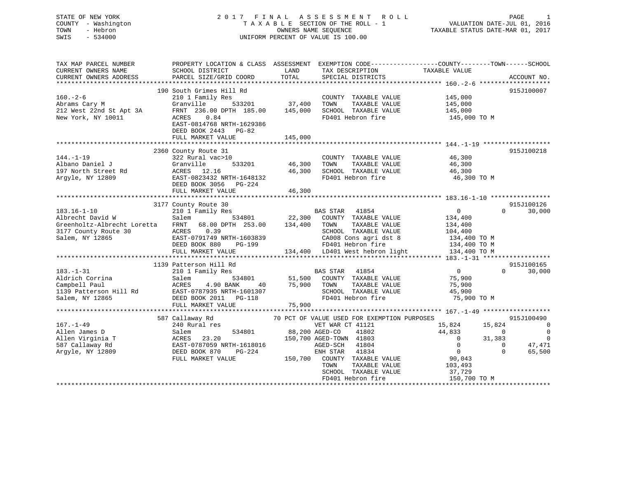# STATE OF NEW YORK 2 0 1 7 F I N A L A S S E S S M E N T R O L L PAGE 1COUNTY - Washington  $T A X A B L E$  SECTION OF THE ROLL - 1<br>TOWN - Hebron DATE-JUL 000NERS NAME SEQUENCE SWIS - 534000 UNIFORM PERCENT OF VALUE IS 100.00

VALUATION DATE-JUL 01, 2016

TAXABLE STATUS DATE-MAR 01, 2017

| SCHOOL DISTRICT<br>LAND<br>TAX DESCRIPTION<br>TAXABLE VALUE<br>TOTAL<br>PARCEL SIZE/GRID COORD<br>SPECIAL DISTRICTS<br>ACCOUNT NO.<br>190 South Grimes Hill Rd<br>915J100007<br>$160. - 2 - 6$<br>210 1 Family Res<br>COUNTY TAXABLE VALUE<br>145,000<br>145,000<br>Abrams Cary M<br>Abrams Cary M<br>212 West 22nd St Apt 3A<br>New York, NY 10011 Mercy 236.00 DPTH 185.00 145,000<br>New York, NY 10011 ACRES 0.84<br>TAXABLE VALUE<br>SCHOOL TAXABLE VALUE 145,000<br>145,000 TO M<br>FD401 Hebron fire<br>EAST-0814768 NRTH-1629386<br>DEED BOOK 2443 PG-82<br>FULL MARKET VALUE<br>145,000<br>915J100218<br>2360 County Route 31<br>46,300<br>COUNTY TAXABLE VALUE<br>144.-1-19<br>Albano Daniel J (197 North Street Rd (197 North Street Rd (197 North Street Rd (1988)<br>197 North Street Rd (1988) (1988)<br>197 North Street Rd (1988) (1988)<br>1988 -1988 1989 (1988) (1988)<br>1988 1989 (1988) (1988)<br>533201 46,300<br>TAXABLE VALUE 46,300<br>TOWN<br>46,300<br>SCHOOL TAXABLE VALUE<br>FD401 Hebron fire<br>46,300<br>46,300 TO M<br>DEED BOOK 3056 PG-224<br>FULL MARKET VALUE<br>46,300<br>915J100126<br>3177 County Route 30<br>$183.16 - 1 - 10$<br>BAS STAR 41854<br>534801 22,300 COUNTY TAXABLE VALUE<br>$\overline{0}$<br>30,000<br>$\Omega$<br>210 1 Family Res<br>210 1 Family Res<br>Salem<br>134,400<br>Albrecht David W<br>Greenholtz-Albrecht Loretta FRNT 68.00 DPTH 253.00 134,400 TOWN<br>TAXABLE VALUE 134,400<br>TAXABLE VALUE 104,400<br>ACRES 0.39<br>3177 County Route 30<br>SCHOOL TAXABLE VALUE<br>CA008 Cons agri dst 8 134,400 TO M<br>EAST-0791749 NRTH-1603839<br>DEED BOOK 880 PG-199<br>Salem, NY 12865<br>FD401 Hebron fire<br>134,400 TO M<br>134,400 LD401 West hebron light 134,400 TO M<br>FULL MARKET VALUE<br>915J100165<br>1139 Patterson Hill Rd<br>$\Omega$<br>30,000<br>210 1 Family Res<br>40 75,900 TOWN<br>01307 SCHOO<br>TAXABLE VALUE<br>75,900<br>Aldrich Corrina<br>Campbell Paul<br>1139 Patterson Hill Rd<br>5 EAST-0787935 NRTH-1601307<br>5 Salem, NY 12865<br>FULL MARKET VALUE<br>SCHOOL TAXABLE VALUE<br>45,900<br>FD401 Hebron fire<br>75,900 TO M<br>75,900<br>70 PCT OF VALUE USED FOR EXEMPTION PURPOSES<br>915J100490<br>587 Callaway Rd<br>15,824 15,824<br>$\overline{\phantom{0}}$<br>44,833<br>$\overline{0}$<br>$\sim$ 0<br>$\overline{0}$<br>$\overline{0}$<br>31,383<br>$\overline{0}$<br>47,471<br>$\overline{0}$<br>$\overline{0}$<br>65,500<br>$\Omega$<br>90,043<br>TAXABLE VALUE 103,493<br>SCHOOL TAXABLE VALUE<br>37,729<br>150,700 TO M<br>FD401 Hebron fire | TAX MAP PARCEL NUMBER  | PROPERTY LOCATION & CLASS ASSESSMENT EXEMPTION CODE---------------COUNTY-------TOWN-----SCHOOL |  |  |
|-------------------------------------------------------------------------------------------------------------------------------------------------------------------------------------------------------------------------------------------------------------------------------------------------------------------------------------------------------------------------------------------------------------------------------------------------------------------------------------------------------------------------------------------------------------------------------------------------------------------------------------------------------------------------------------------------------------------------------------------------------------------------------------------------------------------------------------------------------------------------------------------------------------------------------------------------------------------------------------------------------------------------------------------------------------------------------------------------------------------------------------------------------------------------------------------------------------------------------------------------------------------------------------------------------------------------------------------------------------------------------------------------------------------------------------------------------------------------------------------------------------------------------------------------------------------------------------------------------------------------------------------------------------------------------------------------------------------------------------------------------------------------------------------------------------------------------------------------------------------------------------------------------------------------------------------------------------------------------------------------------------------------------------------------------------------------------------------------------------------------------------------------------------------------------------------------------------------------------------------------------------------------------------------------------------------------------------------------------------------------------------------------------------------------------------------------------------------------------------------------------------------------------------------------------------|------------------------|------------------------------------------------------------------------------------------------|--|--|
|                                                                                                                                                                                                                                                                                                                                                                                                                                                                                                                                                                                                                                                                                                                                                                                                                                                                                                                                                                                                                                                                                                                                                                                                                                                                                                                                                                                                                                                                                                                                                                                                                                                                                                                                                                                                                                                                                                                                                                                                                                                                                                                                                                                                                                                                                                                                                                                                                                                                                                                                                             | CURRENT OWNERS NAME    |                                                                                                |  |  |
|                                                                                                                                                                                                                                                                                                                                                                                                                                                                                                                                                                                                                                                                                                                                                                                                                                                                                                                                                                                                                                                                                                                                                                                                                                                                                                                                                                                                                                                                                                                                                                                                                                                                                                                                                                                                                                                                                                                                                                                                                                                                                                                                                                                                                                                                                                                                                                                                                                                                                                                                                             | CURRENT OWNERS ADDRESS |                                                                                                |  |  |
|                                                                                                                                                                                                                                                                                                                                                                                                                                                                                                                                                                                                                                                                                                                                                                                                                                                                                                                                                                                                                                                                                                                                                                                                                                                                                                                                                                                                                                                                                                                                                                                                                                                                                                                                                                                                                                                                                                                                                                                                                                                                                                                                                                                                                                                                                                                                                                                                                                                                                                                                                             |                        |                                                                                                |  |  |
|                                                                                                                                                                                                                                                                                                                                                                                                                                                                                                                                                                                                                                                                                                                                                                                                                                                                                                                                                                                                                                                                                                                                                                                                                                                                                                                                                                                                                                                                                                                                                                                                                                                                                                                                                                                                                                                                                                                                                                                                                                                                                                                                                                                                                                                                                                                                                                                                                                                                                                                                                             |                        |                                                                                                |  |  |
|                                                                                                                                                                                                                                                                                                                                                                                                                                                                                                                                                                                                                                                                                                                                                                                                                                                                                                                                                                                                                                                                                                                                                                                                                                                                                                                                                                                                                                                                                                                                                                                                                                                                                                                                                                                                                                                                                                                                                                                                                                                                                                                                                                                                                                                                                                                                                                                                                                                                                                                                                             |                        |                                                                                                |  |  |
|                                                                                                                                                                                                                                                                                                                                                                                                                                                                                                                                                                                                                                                                                                                                                                                                                                                                                                                                                                                                                                                                                                                                                                                                                                                                                                                                                                                                                                                                                                                                                                                                                                                                                                                                                                                                                                                                                                                                                                                                                                                                                                                                                                                                                                                                                                                                                                                                                                                                                                                                                             |                        |                                                                                                |  |  |
|                                                                                                                                                                                                                                                                                                                                                                                                                                                                                                                                                                                                                                                                                                                                                                                                                                                                                                                                                                                                                                                                                                                                                                                                                                                                                                                                                                                                                                                                                                                                                                                                                                                                                                                                                                                                                                                                                                                                                                                                                                                                                                                                                                                                                                                                                                                                                                                                                                                                                                                                                             |                        |                                                                                                |  |  |
|                                                                                                                                                                                                                                                                                                                                                                                                                                                                                                                                                                                                                                                                                                                                                                                                                                                                                                                                                                                                                                                                                                                                                                                                                                                                                                                                                                                                                                                                                                                                                                                                                                                                                                                                                                                                                                                                                                                                                                                                                                                                                                                                                                                                                                                                                                                                                                                                                                                                                                                                                             |                        |                                                                                                |  |  |
|                                                                                                                                                                                                                                                                                                                                                                                                                                                                                                                                                                                                                                                                                                                                                                                                                                                                                                                                                                                                                                                                                                                                                                                                                                                                                                                                                                                                                                                                                                                                                                                                                                                                                                                                                                                                                                                                                                                                                                                                                                                                                                                                                                                                                                                                                                                                                                                                                                                                                                                                                             |                        |                                                                                                |  |  |
|                                                                                                                                                                                                                                                                                                                                                                                                                                                                                                                                                                                                                                                                                                                                                                                                                                                                                                                                                                                                                                                                                                                                                                                                                                                                                                                                                                                                                                                                                                                                                                                                                                                                                                                                                                                                                                                                                                                                                                                                                                                                                                                                                                                                                                                                                                                                                                                                                                                                                                                                                             |                        |                                                                                                |  |  |
|                                                                                                                                                                                                                                                                                                                                                                                                                                                                                                                                                                                                                                                                                                                                                                                                                                                                                                                                                                                                                                                                                                                                                                                                                                                                                                                                                                                                                                                                                                                                                                                                                                                                                                                                                                                                                                                                                                                                                                                                                                                                                                                                                                                                                                                                                                                                                                                                                                                                                                                                                             |                        |                                                                                                |  |  |
|                                                                                                                                                                                                                                                                                                                                                                                                                                                                                                                                                                                                                                                                                                                                                                                                                                                                                                                                                                                                                                                                                                                                                                                                                                                                                                                                                                                                                                                                                                                                                                                                                                                                                                                                                                                                                                                                                                                                                                                                                                                                                                                                                                                                                                                                                                                                                                                                                                                                                                                                                             |                        |                                                                                                |  |  |
|                                                                                                                                                                                                                                                                                                                                                                                                                                                                                                                                                                                                                                                                                                                                                                                                                                                                                                                                                                                                                                                                                                                                                                                                                                                                                                                                                                                                                                                                                                                                                                                                                                                                                                                                                                                                                                                                                                                                                                                                                                                                                                                                                                                                                                                                                                                                                                                                                                                                                                                                                             |                        |                                                                                                |  |  |
|                                                                                                                                                                                                                                                                                                                                                                                                                                                                                                                                                                                                                                                                                                                                                                                                                                                                                                                                                                                                                                                                                                                                                                                                                                                                                                                                                                                                                                                                                                                                                                                                                                                                                                                                                                                                                                                                                                                                                                                                                                                                                                                                                                                                                                                                                                                                                                                                                                                                                                                                                             |                        |                                                                                                |  |  |
|                                                                                                                                                                                                                                                                                                                                                                                                                                                                                                                                                                                                                                                                                                                                                                                                                                                                                                                                                                                                                                                                                                                                                                                                                                                                                                                                                                                                                                                                                                                                                                                                                                                                                                                                                                                                                                                                                                                                                                                                                                                                                                                                                                                                                                                                                                                                                                                                                                                                                                                                                             |                        |                                                                                                |  |  |
|                                                                                                                                                                                                                                                                                                                                                                                                                                                                                                                                                                                                                                                                                                                                                                                                                                                                                                                                                                                                                                                                                                                                                                                                                                                                                                                                                                                                                                                                                                                                                                                                                                                                                                                                                                                                                                                                                                                                                                                                                                                                                                                                                                                                                                                                                                                                                                                                                                                                                                                                                             |                        |                                                                                                |  |  |
|                                                                                                                                                                                                                                                                                                                                                                                                                                                                                                                                                                                                                                                                                                                                                                                                                                                                                                                                                                                                                                                                                                                                                                                                                                                                                                                                                                                                                                                                                                                                                                                                                                                                                                                                                                                                                                                                                                                                                                                                                                                                                                                                                                                                                                                                                                                                                                                                                                                                                                                                                             |                        |                                                                                                |  |  |
|                                                                                                                                                                                                                                                                                                                                                                                                                                                                                                                                                                                                                                                                                                                                                                                                                                                                                                                                                                                                                                                                                                                                                                                                                                                                                                                                                                                                                                                                                                                                                                                                                                                                                                                                                                                                                                                                                                                                                                                                                                                                                                                                                                                                                                                                                                                                                                                                                                                                                                                                                             |                        |                                                                                                |  |  |
|                                                                                                                                                                                                                                                                                                                                                                                                                                                                                                                                                                                                                                                                                                                                                                                                                                                                                                                                                                                                                                                                                                                                                                                                                                                                                                                                                                                                                                                                                                                                                                                                                                                                                                                                                                                                                                                                                                                                                                                                                                                                                                                                                                                                                                                                                                                                                                                                                                                                                                                                                             |                        |                                                                                                |  |  |
|                                                                                                                                                                                                                                                                                                                                                                                                                                                                                                                                                                                                                                                                                                                                                                                                                                                                                                                                                                                                                                                                                                                                                                                                                                                                                                                                                                                                                                                                                                                                                                                                                                                                                                                                                                                                                                                                                                                                                                                                                                                                                                                                                                                                                                                                                                                                                                                                                                                                                                                                                             |                        |                                                                                                |  |  |
|                                                                                                                                                                                                                                                                                                                                                                                                                                                                                                                                                                                                                                                                                                                                                                                                                                                                                                                                                                                                                                                                                                                                                                                                                                                                                                                                                                                                                                                                                                                                                                                                                                                                                                                                                                                                                                                                                                                                                                                                                                                                                                                                                                                                                                                                                                                                                                                                                                                                                                                                                             |                        |                                                                                                |  |  |
|                                                                                                                                                                                                                                                                                                                                                                                                                                                                                                                                                                                                                                                                                                                                                                                                                                                                                                                                                                                                                                                                                                                                                                                                                                                                                                                                                                                                                                                                                                                                                                                                                                                                                                                                                                                                                                                                                                                                                                                                                                                                                                                                                                                                                                                                                                                                                                                                                                                                                                                                                             |                        |                                                                                                |  |  |
|                                                                                                                                                                                                                                                                                                                                                                                                                                                                                                                                                                                                                                                                                                                                                                                                                                                                                                                                                                                                                                                                                                                                                                                                                                                                                                                                                                                                                                                                                                                                                                                                                                                                                                                                                                                                                                                                                                                                                                                                                                                                                                                                                                                                                                                                                                                                                                                                                                                                                                                                                             |                        |                                                                                                |  |  |
|                                                                                                                                                                                                                                                                                                                                                                                                                                                                                                                                                                                                                                                                                                                                                                                                                                                                                                                                                                                                                                                                                                                                                                                                                                                                                                                                                                                                                                                                                                                                                                                                                                                                                                                                                                                                                                                                                                                                                                                                                                                                                                                                                                                                                                                                                                                                                                                                                                                                                                                                                             |                        |                                                                                                |  |  |
|                                                                                                                                                                                                                                                                                                                                                                                                                                                                                                                                                                                                                                                                                                                                                                                                                                                                                                                                                                                                                                                                                                                                                                                                                                                                                                                                                                                                                                                                                                                                                                                                                                                                                                                                                                                                                                                                                                                                                                                                                                                                                                                                                                                                                                                                                                                                                                                                                                                                                                                                                             |                        |                                                                                                |  |  |
|                                                                                                                                                                                                                                                                                                                                                                                                                                                                                                                                                                                                                                                                                                                                                                                                                                                                                                                                                                                                                                                                                                                                                                                                                                                                                                                                                                                                                                                                                                                                                                                                                                                                                                                                                                                                                                                                                                                                                                                                                                                                                                                                                                                                                                                                                                                                                                                                                                                                                                                                                             |                        |                                                                                                |  |  |
|                                                                                                                                                                                                                                                                                                                                                                                                                                                                                                                                                                                                                                                                                                                                                                                                                                                                                                                                                                                                                                                                                                                                                                                                                                                                                                                                                                                                                                                                                                                                                                                                                                                                                                                                                                                                                                                                                                                                                                                                                                                                                                                                                                                                                                                                                                                                                                                                                                                                                                                                                             |                        |                                                                                                |  |  |
|                                                                                                                                                                                                                                                                                                                                                                                                                                                                                                                                                                                                                                                                                                                                                                                                                                                                                                                                                                                                                                                                                                                                                                                                                                                                                                                                                                                                                                                                                                                                                                                                                                                                                                                                                                                                                                                                                                                                                                                                                                                                                                                                                                                                                                                                                                                                                                                                                                                                                                                                                             |                        |                                                                                                |  |  |
|                                                                                                                                                                                                                                                                                                                                                                                                                                                                                                                                                                                                                                                                                                                                                                                                                                                                                                                                                                                                                                                                                                                                                                                                                                                                                                                                                                                                                                                                                                                                                                                                                                                                                                                                                                                                                                                                                                                                                                                                                                                                                                                                                                                                                                                                                                                                                                                                                                                                                                                                                             |                        |                                                                                                |  |  |
|                                                                                                                                                                                                                                                                                                                                                                                                                                                                                                                                                                                                                                                                                                                                                                                                                                                                                                                                                                                                                                                                                                                                                                                                                                                                                                                                                                                                                                                                                                                                                                                                                                                                                                                                                                                                                                                                                                                                                                                                                                                                                                                                                                                                                                                                                                                                                                                                                                                                                                                                                             |                        |                                                                                                |  |  |
|                                                                                                                                                                                                                                                                                                                                                                                                                                                                                                                                                                                                                                                                                                                                                                                                                                                                                                                                                                                                                                                                                                                                                                                                                                                                                                                                                                                                                                                                                                                                                                                                                                                                                                                                                                                                                                                                                                                                                                                                                                                                                                                                                                                                                                                                                                                                                                                                                                                                                                                                                             |                        |                                                                                                |  |  |
|                                                                                                                                                                                                                                                                                                                                                                                                                                                                                                                                                                                                                                                                                                                                                                                                                                                                                                                                                                                                                                                                                                                                                                                                                                                                                                                                                                                                                                                                                                                                                                                                                                                                                                                                                                                                                                                                                                                                                                                                                                                                                                                                                                                                                                                                                                                                                                                                                                                                                                                                                             |                        |                                                                                                |  |  |
|                                                                                                                                                                                                                                                                                                                                                                                                                                                                                                                                                                                                                                                                                                                                                                                                                                                                                                                                                                                                                                                                                                                                                                                                                                                                                                                                                                                                                                                                                                                                                                                                                                                                                                                                                                                                                                                                                                                                                                                                                                                                                                                                                                                                                                                                                                                                                                                                                                                                                                                                                             | $183. - 1 - 31$        |                                                                                                |  |  |
|                                                                                                                                                                                                                                                                                                                                                                                                                                                                                                                                                                                                                                                                                                                                                                                                                                                                                                                                                                                                                                                                                                                                                                                                                                                                                                                                                                                                                                                                                                                                                                                                                                                                                                                                                                                                                                                                                                                                                                                                                                                                                                                                                                                                                                                                                                                                                                                                                                                                                                                                                             |                        |                                                                                                |  |  |
|                                                                                                                                                                                                                                                                                                                                                                                                                                                                                                                                                                                                                                                                                                                                                                                                                                                                                                                                                                                                                                                                                                                                                                                                                                                                                                                                                                                                                                                                                                                                                                                                                                                                                                                                                                                                                                                                                                                                                                                                                                                                                                                                                                                                                                                                                                                                                                                                                                                                                                                                                             |                        |                                                                                                |  |  |
|                                                                                                                                                                                                                                                                                                                                                                                                                                                                                                                                                                                                                                                                                                                                                                                                                                                                                                                                                                                                                                                                                                                                                                                                                                                                                                                                                                                                                                                                                                                                                                                                                                                                                                                                                                                                                                                                                                                                                                                                                                                                                                                                                                                                                                                                                                                                                                                                                                                                                                                                                             |                        |                                                                                                |  |  |
|                                                                                                                                                                                                                                                                                                                                                                                                                                                                                                                                                                                                                                                                                                                                                                                                                                                                                                                                                                                                                                                                                                                                                                                                                                                                                                                                                                                                                                                                                                                                                                                                                                                                                                                                                                                                                                                                                                                                                                                                                                                                                                                                                                                                                                                                                                                                                                                                                                                                                                                                                             |                        |                                                                                                |  |  |
|                                                                                                                                                                                                                                                                                                                                                                                                                                                                                                                                                                                                                                                                                                                                                                                                                                                                                                                                                                                                                                                                                                                                                                                                                                                                                                                                                                                                                                                                                                                                                                                                                                                                                                                                                                                                                                                                                                                                                                                                                                                                                                                                                                                                                                                                                                                                                                                                                                                                                                                                                             |                        |                                                                                                |  |  |
|                                                                                                                                                                                                                                                                                                                                                                                                                                                                                                                                                                                                                                                                                                                                                                                                                                                                                                                                                                                                                                                                                                                                                                                                                                                                                                                                                                                                                                                                                                                                                                                                                                                                                                                                                                                                                                                                                                                                                                                                                                                                                                                                                                                                                                                                                                                                                                                                                                                                                                                                                             |                        |                                                                                                |  |  |
|                                                                                                                                                                                                                                                                                                                                                                                                                                                                                                                                                                                                                                                                                                                                                                                                                                                                                                                                                                                                                                                                                                                                                                                                                                                                                                                                                                                                                                                                                                                                                                                                                                                                                                                                                                                                                                                                                                                                                                                                                                                                                                                                                                                                                                                                                                                                                                                                                                                                                                                                                             |                        |                                                                                                |  |  |
|                                                                                                                                                                                                                                                                                                                                                                                                                                                                                                                                                                                                                                                                                                                                                                                                                                                                                                                                                                                                                                                                                                                                                                                                                                                                                                                                                                                                                                                                                                                                                                                                                                                                                                                                                                                                                                                                                                                                                                                                                                                                                                                                                                                                                                                                                                                                                                                                                                                                                                                                                             |                        |                                                                                                |  |  |
|                                                                                                                                                                                                                                                                                                                                                                                                                                                                                                                                                                                                                                                                                                                                                                                                                                                                                                                                                                                                                                                                                                                                                                                                                                                                                                                                                                                                                                                                                                                                                                                                                                                                                                                                                                                                                                                                                                                                                                                                                                                                                                                                                                                                                                                                                                                                                                                                                                                                                                                                                             |                        |                                                                                                |  |  |
|                                                                                                                                                                                                                                                                                                                                                                                                                                                                                                                                                                                                                                                                                                                                                                                                                                                                                                                                                                                                                                                                                                                                                                                                                                                                                                                                                                                                                                                                                                                                                                                                                                                                                                                                                                                                                                                                                                                                                                                                                                                                                                                                                                                                                                                                                                                                                                                                                                                                                                                                                             |                        |                                                                                                |  |  |
|                                                                                                                                                                                                                                                                                                                                                                                                                                                                                                                                                                                                                                                                                                                                                                                                                                                                                                                                                                                                                                                                                                                                                                                                                                                                                                                                                                                                                                                                                                                                                                                                                                                                                                                                                                                                                                                                                                                                                                                                                                                                                                                                                                                                                                                                                                                                                                                                                                                                                                                                                             |                        |                                                                                                |  |  |
|                                                                                                                                                                                                                                                                                                                                                                                                                                                                                                                                                                                                                                                                                                                                                                                                                                                                                                                                                                                                                                                                                                                                                                                                                                                                                                                                                                                                                                                                                                                                                                                                                                                                                                                                                                                                                                                                                                                                                                                                                                                                                                                                                                                                                                                                                                                                                                                                                                                                                                                                                             |                        |                                                                                                |  |  |
|                                                                                                                                                                                                                                                                                                                                                                                                                                                                                                                                                                                                                                                                                                                                                                                                                                                                                                                                                                                                                                                                                                                                                                                                                                                                                                                                                                                                                                                                                                                                                                                                                                                                                                                                                                                                                                                                                                                                                                                                                                                                                                                                                                                                                                                                                                                                                                                                                                                                                                                                                             |                        |                                                                                                |  |  |
|                                                                                                                                                                                                                                                                                                                                                                                                                                                                                                                                                                                                                                                                                                                                                                                                                                                                                                                                                                                                                                                                                                                                                                                                                                                                                                                                                                                                                                                                                                                                                                                                                                                                                                                                                                                                                                                                                                                                                                                                                                                                                                                                                                                                                                                                                                                                                                                                                                                                                                                                                             |                        |                                                                                                |  |  |
|                                                                                                                                                                                                                                                                                                                                                                                                                                                                                                                                                                                                                                                                                                                                                                                                                                                                                                                                                                                                                                                                                                                                                                                                                                                                                                                                                                                                                                                                                                                                                                                                                                                                                                                                                                                                                                                                                                                                                                                                                                                                                                                                                                                                                                                                                                                                                                                                                                                                                                                                                             |                        |                                                                                                |  |  |
|                                                                                                                                                                                                                                                                                                                                                                                                                                                                                                                                                                                                                                                                                                                                                                                                                                                                                                                                                                                                                                                                                                                                                                                                                                                                                                                                                                                                                                                                                                                                                                                                                                                                                                                                                                                                                                                                                                                                                                                                                                                                                                                                                                                                                                                                                                                                                                                                                                                                                                                                                             |                        |                                                                                                |  |  |
|                                                                                                                                                                                                                                                                                                                                                                                                                                                                                                                                                                                                                                                                                                                                                                                                                                                                                                                                                                                                                                                                                                                                                                                                                                                                                                                                                                                                                                                                                                                                                                                                                                                                                                                                                                                                                                                                                                                                                                                                                                                                                                                                                                                                                                                                                                                                                                                                                                                                                                                                                             |                        |                                                                                                |  |  |
|                                                                                                                                                                                                                                                                                                                                                                                                                                                                                                                                                                                                                                                                                                                                                                                                                                                                                                                                                                                                                                                                                                                                                                                                                                                                                                                                                                                                                                                                                                                                                                                                                                                                                                                                                                                                                                                                                                                                                                                                                                                                                                                                                                                                                                                                                                                                                                                                                                                                                                                                                             |                        |                                                                                                |  |  |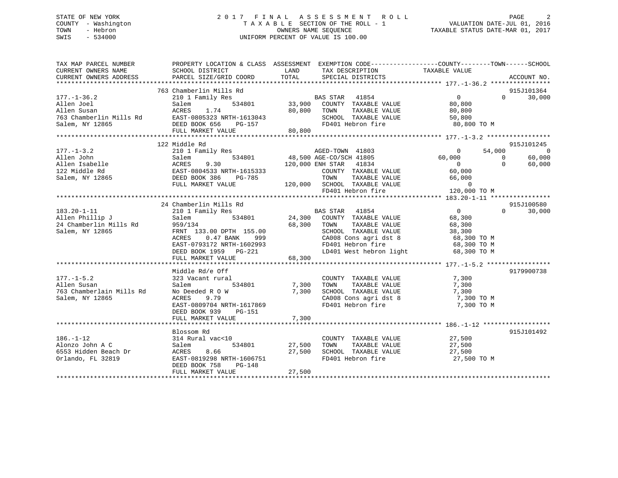## STATE OF NEW YORK 2 0 1 7 F I N A L A S S E S S M E N T R O L L PAGE 2 COUNTY - Washington T A X A B L E SECTION OF THE ROLL - 1 VALUATION DATE-JUL 01, 2016 TOWN - Hebron OWNERS NAME SEQUENCE TAXABLE STATUS DATE-MAR 01, 2017 SWIS - 534000 UNIFORM PERCENT OF VALUE IS 100.00

| TAX MAP PARCEL NUMBER    |                                                                                                                                           | PROPERTY LOCATION & CLASS ASSESSMENT EXEMPTION CODE----------------COUNTY-------TOWN------SCHOOL                                                                                                               |                                      |
|--------------------------|-------------------------------------------------------------------------------------------------------------------------------------------|----------------------------------------------------------------------------------------------------------------------------------------------------------------------------------------------------------------|--------------------------------------|
|                          |                                                                                                                                           |                                                                                                                                                                                                                |                                      |
|                          |                                                                                                                                           | 763 Chamberlin Mills Rd<br>210 1 Family Res BAS STAR 41854 0<br>210 1 Family Res B34801 33,900 COUNTY TAXABLE VALUE 80,800<br>20.000 TOWN TAXABLE VALUE 80 800                                                 | 915J101364                           |
| $177. - 1 - 36.2$        |                                                                                                                                           |                                                                                                                                                                                                                | 30,000<br>$\Omega$ and $\Omega$      |
|                          |                                                                                                                                           |                                                                                                                                                                                                                |                                      |
|                          |                                                                                                                                           |                                                                                                                                                                                                                |                                      |
|                          |                                                                                                                                           |                                                                                                                                                                                                                |                                      |
|                          |                                                                                                                                           |                                                                                                                                                                                                                |                                      |
|                          |                                                                                                                                           |                                                                                                                                                                                                                |                                      |
|                          |                                                                                                                                           |                                                                                                                                                                                                                |                                      |
|                          | 122 Middle Rd                                                                                                                             |                                                                                                                                                                                                                | 915J101245                           |
|                          |                                                                                                                                           |                                                                                                                                                                                                                |                                      |
|                          |                                                                                                                                           |                                                                                                                                                                                                                |                                      |
|                          |                                                                                                                                           |                                                                                                                                                                                                                |                                      |
|                          |                                                                                                                                           |                                                                                                                                                                                                                |                                      |
|                          |                                                                                                                                           |                                                                                                                                                                                                                |                                      |
|                          |                                                                                                                                           |                                                                                                                                                                                                                |                                      |
|                          |                                                                                                                                           |                                                                                                                                                                                                                |                                      |
|                          |                                                                                                                                           |                                                                                                                                                                                                                |                                      |
|                          | 24 Chamberlin Mills Rd                                                                                                                    |                                                                                                                                                                                                                | 915J100580                           |
| $183.20 - 1 - 11$        | 210 1 Family Res                                                                                                                          |                                                                                                                                                                                                                | $\overline{0}$<br>$\Omega$<br>30,000 |
|                          |                                                                                                                                           |                                                                                                                                                                                                                | 68,300                               |
|                          | 183.20-1-11 210 1 Family Res<br>Allen Phillip J Salem 534801<br>24 Chamberlin Mills Rd 959/134<br>Salem, NY 12865 FRNT 133.00 DPTH 155.00 | 68,300 TOWN                                                                                                                                                                                                    | 68,300                               |
|                          |                                                                                                                                           |                                                                                                                                                                                                                |                                      |
|                          |                                                                                                                                           |                                                                                                                                                                                                                |                                      |
|                          |                                                                                                                                           |                                                                                                                                                                                                                |                                      |
|                          |                                                                                                                                           |                                                                                                                                                                                                                |                                      |
|                          |                                                                                                                                           | 959/134<br>FRNT 133.00 DPTH 155.00<br>RCRES 0.47 BANK 999<br>EAST-0793172 NRTH-1602993<br>DEED BOOK 1959 PG-221<br>FULL MARKET VALUE 68,300<br>FD401 West hebron light 68,300 TO M<br>FULL MARKET VALUE 68,300 |                                      |
|                          |                                                                                                                                           |                                                                                                                                                                                                                |                                      |
|                          | Middle Rd/e Off                                                                                                                           |                                                                                                                                                                                                                | 9179900738                           |
| $177. - 1 - 5.2$         | 323 Vacant rural                                                                                                                          | COUNTY TAXABLE VALUE                                                                                                                                                                                           | 7,300                                |
| Allen Susan              | 534801 7,300 TOWN<br>Salem                                                                                                                | TAXABLE VALUE                                                                                                                                                                                                  | 7,300                                |
| 763 Chamberlain Mills Rd |                                                                                                                                           | No Deeded R 0 W 7,300 SCHOOL TAXABLE VALUE<br>ACRES 9.79 CA008 Cons agri dst 8                                                                                                                                 | 7,300                                |
| Salem, NY 12865          |                                                                                                                                           | CA008 Cons agri dst 8<br>FD401 Hebron fire                                                                                                                                                                     | 7,300 TO M<br>7,300 TO M             |
|                          | EAST-0809704 NRTH-1617869                                                                                                                 |                                                                                                                                                                                                                |                                      |
|                          | DEED BOOK 939 PG-151                                                                                                                      |                                                                                                                                                                                                                |                                      |
|                          |                                                                                                                                           |                                                                                                                                                                                                                |                                      |
|                          |                                                                                                                                           |                                                                                                                                                                                                                |                                      |
|                          | Blossom Rd                                                                                                                                |                                                                                                                                                                                                                | 915J101492                           |
| $186. - 1 - 12$          | 314 Rural vac<10                                                                                                                          | COUNTY TAXABLE VALUE $27,500$<br>TOWN TAXABLE VALUE $27,500$                                                                                                                                                   |                                      |
| Alonzo John A C          | Salem                                                                                                                                     | TAXABLE VALUE                                                                                                                                                                                                  | 27,500                               |
| 6553 Hidden Beach Dr     |                                                                                                                                           | ACRES 8.66 27,500 SCHOOL TAXABLE VALUE 27,500<br>EAST-0819298 NRTH-1606751 FD401 Hebron fire 27,500<br>27,500 PD401 Hebron fire 27,500                                                                         |                                      |
| Orlando, FL 32819        |                                                                                                                                           |                                                                                                                                                                                                                | 27,500 TO M                          |
|                          | DEED BOOK 758<br>PG-148                                                                                                                   |                                                                                                                                                                                                                |                                      |
|                          | FULL MARKET VALUE                                                                                                                         | 27,500                                                                                                                                                                                                         |                                      |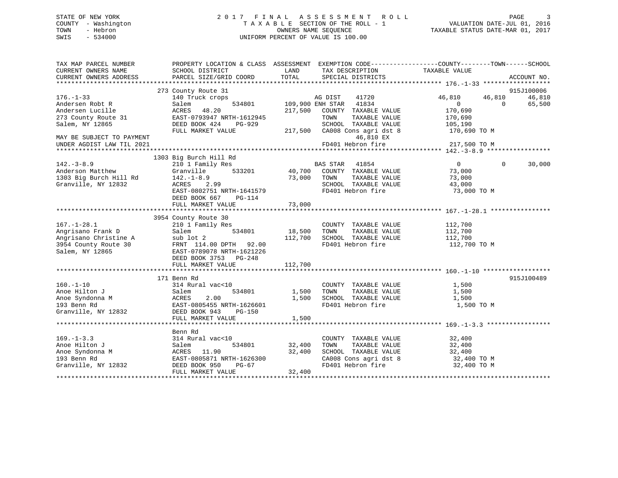## STATE OF NEW YORK 2 0 1 7 F I N A L A S S E S S M E N T R O L L PAGE 3 COUNTY - Washington T A X A B L E SECTION OF THE ROLL - 1 VALUATION DATE-JUL 01, 2016 TOWN - Hebron OWNERS NAME SEQUENCE TAXABLE STATUS DATE-MAR 01, 2017 SWIS - 534000 UNIFORM PERCENT OF VALUE IS 100.00

| TAX MAP PARCEL NUMBER<br>CURRENT OWNERS NAME | PROPERTY LOCATION & CLASS ASSESSMENT<br>SCHOOL DISTRICT | LAND    | EXEMPTION CODE-----------------COUNTY-------TOWN------SCHOOL<br>TAX DESCRIPTION | TAXABLE VALUE    |                    |
|----------------------------------------------|---------------------------------------------------------|---------|---------------------------------------------------------------------------------|------------------|--------------------|
| CURRENT OWNERS ADDRESS                       | PARCEL SIZE/GRID COORD                                  | TOTAL   | SPECIAL DISTRICTS                                                               |                  | ACCOUNT NO.        |
|                                              |                                                         |         |                                                                                 |                  |                    |
|                                              | 273 County Route 31                                     |         |                                                                                 |                  | 915J100006         |
| $176. - 1 - 33$                              | 140 Truck crops                                         |         | AG DIST<br>41720                                                                | 46,810<br>46,810 | 46,810             |
| Andersen Robt R                              | 534801<br>Salem                                         |         | 109,900 ENH STAR 41834                                                          | $\Omega$         | 65,500<br>$\Omega$ |
| Andersen Lucille                             | 48.20<br>ACRES                                          | 217,500 | COUNTY TAXABLE VALUE                                                            | 170,690          |                    |
| 273 County Route 31                          | EAST-0793947 NRTH-1612945                               |         | TOWN<br>TAXABLE VALUE                                                           | 170,690          |                    |
| Salem, NY 12865                              | DEED BOOK 424<br>PG-929                                 |         | SCHOOL TAXABLE VALUE                                                            | 105,190          |                    |
|                                              | FULL MARKET VALUE                                       | 217,500 | CA008 Cons agri dst 8                                                           | 170,690 TO M     |                    |
| MAY BE SUBJECT TO PAYMENT                    |                                                         |         | 46,810 EX                                                                       |                  |                    |
| UNDER AGDIST LAW TIL 2021                    |                                                         |         | FD401 Hebron fire                                                               | 217,500 TO M     |                    |
|                                              |                                                         |         |                                                                                 |                  |                    |
|                                              | 1303 Big Burch Hill Rd                                  |         |                                                                                 |                  |                    |
| $142. - 3 - 8.9$                             | 210 1 Family Res                                        |         | BAS STAR 41854                                                                  | $\overline{0}$   | $\Omega$<br>30,000 |
| Anderson Matthew                             | Granville                                               |         | 533201 40,700 COUNTY TAXABLE VALUE                                              | 73,000           |                    |
| 1303 Big Burch Hill Rd                       | $142. - 1 - 8.9$                                        | 73,000  | TAXABLE VALUE<br>TOWN                                                           | 73,000           |                    |
| Granville, NY 12832                          | ACRES<br>2.99                                           |         | SCHOOL TAXABLE VALUE                                                            | 43,000           |                    |
|                                              | EAST-0802751 NRTH-1641579                               |         | FD401 Hebron fire                                                               | 73,000 TO M      |                    |
|                                              | DEED BOOK 667<br>PG-114                                 |         |                                                                                 |                  |                    |
|                                              | FULL MARKET VALUE                                       | 73,000  |                                                                                 |                  |                    |
|                                              |                                                         |         |                                                                                 |                  |                    |
|                                              | 3954 County Route 30                                    |         |                                                                                 |                  |                    |
| $167. - 1 - 28.1$                            | 210 1 Family Res                                        |         | COUNTY TAXABLE VALUE                                                            | 112,700          |                    |
| Angrisano Frank D                            | 534801<br>Salem                                         | 18,500  | TOWN<br>TAXABLE VALUE                                                           | 112,700          |                    |
| Angrisano Christine A                        | sub lot 2                                               | 112,700 | SCHOOL TAXABLE VALUE                                                            | 112,700          |                    |
| 3954 County Route 30                         | FRNT 114.00 DPTH 92.00                                  |         | FD401 Hebron fire                                                               | 112,700 TO M     |                    |
| Salem, NY 12865                              | EAST-0789078 NRTH-1621226                               |         |                                                                                 |                  |                    |
|                                              | DEED BOOK 3753 PG-248                                   |         |                                                                                 |                  |                    |
|                                              | FULL MARKET VALUE                                       | 112,700 |                                                                                 |                  |                    |
|                                              |                                                         |         |                                                                                 |                  |                    |
|                                              | 171 Benn Rd                                             |         |                                                                                 |                  | 915J100489         |
| $160. - 1 - 10$                              | 314 Rural vac<10                                        |         | COUNTY TAXABLE VALUE                                                            | 1,500            |                    |
| Anoe Hilton J                                | 534801<br>Salem                                         | 1,500   | TOWN<br>TAXABLE VALUE                                                           | 1,500            |                    |
| Anoe Syndonna M                              | ACRES<br>2.00                                           | 1,500   | SCHOOL TAXABLE VALUE                                                            | 1,500            |                    |
| 193 Benn Rd                                  | EAST-0805455 NRTH-1626601                               |         | FD401 Hebron fire                                                               | 1,500 TO M       |                    |
| Granville, NY 12832                          | DEED BOOK 943<br>PG-150                                 |         |                                                                                 |                  |                    |
|                                              | FULL MARKET VALUE                                       | 1,500   |                                                                                 |                  |                    |
|                                              |                                                         |         |                                                                                 |                  |                    |
|                                              | Benn Rd                                                 |         |                                                                                 |                  |                    |
| $169. - 1 - 3.3$                             | 314 Rural vac<10                                        |         | COUNTY TAXABLE VALUE                                                            | 32,400           |                    |
| Anoe Hilton J                                | 534801<br>Salem                                         | 32,400  | TAXABLE VALUE<br>TOWN                                                           | 32,400           |                    |
| Anoe Syndonna M                              | ACRES 11.90                                             | 32,400  | SCHOOL TAXABLE VALUE                                                            | 32,400           |                    |
| 193 Benn Rd                                  | EAST-0805871 NRTH-1626300                               |         | CA008 Cons agri dst 8                                                           | 32,400 TO M      |                    |
| Granville, NY 12832                          | DEED BOOK 950<br>PG-67                                  |         | FD401 Hebron fire                                                               | 32,400 TO M      |                    |
|                                              | FULL MARKET VALUE                                       | 32,400  |                                                                                 |                  |                    |
|                                              |                                                         |         |                                                                                 |                  |                    |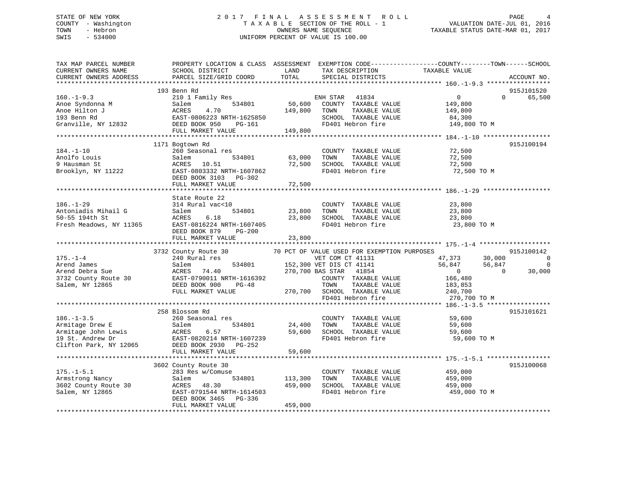## STATE OF NEW YORK 2 0 1 7 F I N A L A S S E S S M E N T R O L L PAGE 4 COUNTY - Washington T A X A B L E SECTION OF THE ROLL - 1 VALUATION DATE-JUL 01, 2016 TOWN - Hebron OWNERS NAME SEQUENCE TAXABLE STATUS DATE-MAR 01, 2017 SWIS - 534000 UNIFORM PERCENT OF VALUE IS 100.00

| TAX MAP PARCEL NUMBER<br>CURRENT OWNERS NAME<br>CURRENT OWNERS ADDRESS                                   | PROPERTY LOCATION & CLASS ASSESSMENT EXEMPTION CODE----------------COUNTY-------TOWN-----SCHOOL<br>SCHOOL DISTRICT<br>PARCEL SIZE/GRID COORD                       | LAND<br>TOTAL                | TAX DESCRIPTION<br>SPECIAL DISTRICTS                                                                                                                                                                                        | TAXABLE VALUE                                                                                                             | ACCOUNT NO.                                              |
|----------------------------------------------------------------------------------------------------------|--------------------------------------------------------------------------------------------------------------------------------------------------------------------|------------------------------|-----------------------------------------------------------------------------------------------------------------------------------------------------------------------------------------------------------------------------|---------------------------------------------------------------------------------------------------------------------------|----------------------------------------------------------|
| ***********************                                                                                  |                                                                                                                                                                    |                              |                                                                                                                                                                                                                             |                                                                                                                           |                                                          |
| $160. -1 - 9.3$<br>Anoe Syndonna M<br>Anoe Hilton J<br>193 Benn Rd<br>Granville, NY 12832                | 193 Benn Rd<br>210 1 Family Res<br>534801<br>Salem<br>ACRES<br>4.70<br>EAST-0806223 NRTH-1625850<br>EAST-0806223 N<br>DEED BOOK 950<br>PG-161<br>FULL MARKET VALUE | 50,600<br>149,800<br>149,800 | ENH STAR<br>41834<br>COUNTY TAXABLE VALUE<br>TAXABLE VALUE<br>TOWN<br>SCHOOL TAXABLE VALUE<br>FD401 Hebron fire                                                                                                             | $\overline{0}$<br>$\Omega$<br>149,800<br>149,800<br>84,300<br>149,800 TO M                                                | 915J101520<br>65,500                                     |
|                                                                                                          |                                                                                                                                                                    |                              |                                                                                                                                                                                                                             |                                                                                                                           |                                                          |
| $184. - 1 - 10$<br>Anolfo Louis<br>9 Hausman St<br>Brooklyn, NY 11222                                    | 1171 Bogtown Rd<br>260 Seasonal res<br>534801<br>Salem<br>ACRES 10.51<br>EAST-0803332 NRTH-1607862<br>DEED BOOK 3103 PG-302                                        | 63,000<br>72,500             | COUNTY TAXABLE VALUE<br>TAXABLE VALUE<br>TOWN<br>SCHOOL TAXABLE VALUE<br>FD401 Hebron fire                                                                                                                                  | 72,500<br>72,500<br>72,500<br>72,500 TO M                                                                                 | 915J100194                                               |
|                                                                                                          | FULL MARKET VALUE                                                                                                                                                  | 72,500                       |                                                                                                                                                                                                                             |                                                                                                                           |                                                          |
| $186. - 1 - 29$<br>Antoniadis Mihail G<br>50-55 194th St<br>Fresh Meadows, NY 11365                      | State Route 22<br>314 Rural vac<10<br>534801<br>Salem<br>6.18<br>ACRES<br>EAST-0816224 NRTH-1607405<br>DEED BOOK 879<br>$PG-200$<br>FULL MARKET VALUE              | 23,800<br>23,800<br>23,800   | COUNTY TAXABLE VALUE<br>TOWN<br>TAXABLE VALUE<br>SCHOOL TAXABLE VALUE<br>FD401 Hebron fire                                                                                                                                  | 23,800<br>23,800<br>23,800<br>23,800 TO M                                                                                 |                                                          |
|                                                                                                          |                                                                                                                                                                    |                              |                                                                                                                                                                                                                             |                                                                                                                           |                                                          |
| $175. - 1 - 4$<br>Arend James<br>Arend Debra Sue<br>3732 County Route 30<br>Salem, NY 12865              | 3732 County Route 30<br>240 Rural res<br>534801<br>Salem<br>ACRES<br>74.40<br>EAST-0790011 NRTH-1616392<br>DEED BOOK 900<br>PG-48<br>FULL MARKET VALUE             |                              | 70 PCT OF VALUE USED FOR EXEMPTION PURPOSES<br>VET COM CT 41131<br>152,300 VET DIS CT 41141<br>270,700 BAS STAR 41854<br>COUNTY TAXABLE VALUE<br>TOWN<br>TAXABLE VALUE<br>270,700 SCHOOL TAXABLE VALUE<br>FD401 Hebron fire | 47,373<br>30,000<br>56,847<br>56,847<br>$\overline{0}$<br>$\overline{0}$<br>166,480<br>183,853<br>240,700<br>270,700 TO M | 915J100142<br>$\overline{0}$<br>$\overline{0}$<br>30,000 |
|                                                                                                          |                                                                                                                                                                    |                              |                                                                                                                                                                                                                             |                                                                                                                           |                                                          |
| $186. - 1 - 3.5$<br>Armitage Drew E<br>Armitage John Lewis<br>19 St. Andrew Dr<br>Clifton Park, NY 12065 | 258 Blossom Rd<br>260 Seasonal res<br>Salem<br>534801<br><b>ACRES</b><br>6.57<br>EAST-0820214 NRTH-1607239<br>DEED BOOK 2930 PG-252                                | 24,400<br>59,600             | COUNTY TAXABLE VALUE<br>TOWN<br>TAXABLE VALUE<br>SCHOOL TAXABLE VALUE<br>FD401 Hebron fire                                                                                                                                  | 59,600<br>59,600<br>59,600<br>59,600 TO M                                                                                 | 915J101621                                               |
|                                                                                                          | FULL MARKET VALUE                                                                                                                                                  | 59,600                       |                                                                                                                                                                                                                             |                                                                                                                           |                                                          |
| $175. - 1 - 5.1$<br>Armstrong Nancy<br>3602 County Route 30                                              | 3602 County Route 30<br>283 Res w/Comuse<br>534801<br>Salem<br>ACRES<br>48.30                                                                                      | 113,300<br>459,000           | COUNTY TAXABLE VALUE<br>TAXABLE VALUE<br>TOWN<br>SCHOOL TAXABLE VALUE                                                                                                                                                       | 459,000<br>459,000<br>459,000                                                                                             | 915J100068                                               |
| Salem, NY 12865                                                                                          | EAST-0791544 NRTH-1614503<br>DEED BOOK 3465<br>PG-336<br>FULL MARKET VALUE                                                                                         | 459,000                      | FD401 Hebron fire                                                                                                                                                                                                           | 459,000 TO M                                                                                                              |                                                          |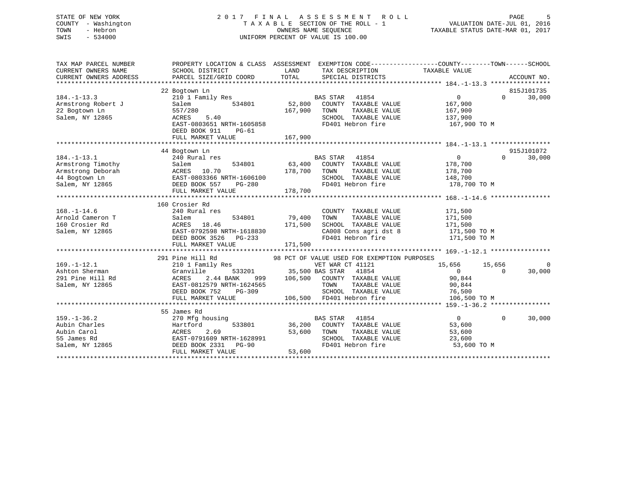## STATE OF NEW YORK 2 0 1 7 F I N A L A S S E S S M E N T R O L L PAGE 5 COUNTY - Washington T A X A B L E SECTION OF THE ROLL - 1 VALUATION DATE-JUL 01, 2016 TOWN - Hebron OWNERS NAME SEQUENCE TAXABLE STATUS DATE-MAR 01, 2017 SWIS - 534000 UNIFORM PERCENT OF VALUE IS 100.00

| TAX MAP PARCEL NUMBER<br>CURRENT OWNERS NAME<br>CURRENT OWNERS ADDRESS              | PROPERTY LOCATION & CLASS ASSESSMENT EXEMPTION CODE----------------COUNTY-------TOWN------SCHOOL<br>SCHOOL DISTRICT<br>PARCEL SIZE/GRID COORD                | LAND<br>TOTAL                         | TAX DESCRIPTION<br>SPECIAL DISTRICTS                                                                                            | TAXABLE VALUE                                                    | ACCOUNT NO.                              |
|-------------------------------------------------------------------------------------|--------------------------------------------------------------------------------------------------------------------------------------------------------------|---------------------------------------|---------------------------------------------------------------------------------------------------------------------------------|------------------------------------------------------------------|------------------------------------------|
| $184. - 1 - 13.3$<br>Armstrong Robert J<br>22 Bogtown Ln<br>Salem, NY 12865         | 22 Bogtown Ln<br>210 1 Family Res<br>Salem<br>534801<br>557/280<br>ACRES<br>5.40<br>EAST-0803651 NRTH-1605858<br>DEED BOOK 911<br>PG-61<br>FULL MARKET VALUE | 52,800<br>167,900<br>167,900          | BAS STAR<br>41854<br>COUNTY TAXABLE VALUE<br>TOWN<br>TAXABLE VALUE<br>SCHOOL TAXABLE VALUE<br>FD401 Hebron fire                 | $\overline{0}$<br>167,900<br>167,900<br>137,900<br>167,900 TO M  | 815J101735<br>$\Omega$<br>30,000         |
|                                                                                     | 44 Bogtown Ln                                                                                                                                                |                                       |                                                                                                                                 |                                                                  | 915J101072                               |
| $184. - 1 - 13.1$                                                                   | 240 Rural res<br>184.-1-13.<br>Armstrong Timothy<br>Armstrong Deborah<br>44 Bogtown Ln<br>19965 - The DEED BOOK 557 PG-280                                   | 178,700<br>178,700                    | BAS STAR 41854<br>63,400 COUNTY TAXABLE VALUE<br>TOWN<br>TAXABLE VALUE<br>SCHOOL TAXABLE VALUE<br>FD401 Hebron fire             | $\overline{0}$<br>178,700<br>178,700<br>148,700<br>178,700 TO M  | $\Omega$<br>30,000                       |
|                                                                                     | 160 Crosier Rd                                                                                                                                               |                                       |                                                                                                                                 |                                                                  |                                          |
| $168. - 1 - 14.6$<br>Arnold Cameron T<br>160 Crosier Rd<br>Salem, NY 12865          | 240 Rural res<br>534801<br>Salem<br>ACRES 18.46<br>EAST-0792598 NRTH-1618830<br>DEED BOOK 3526<br>$PG-233$<br>FULL MARKET VALUE                              | 79,400<br>171,500<br>171,500          | COUNTY TAXABLE VALUE<br>TOWN<br>TAXABLE VALUE<br>SCHOOL TAXABLE VALUE<br>CA008 Cons agri dst 8<br>FD401 Hebron fire             | 171,500<br>171,500<br>171,500<br>171,500 TO M<br>171,500 TO M    |                                          |
|                                                                                     | 291 Pine Hill Rd                                                                                                                                             |                                       | 98 PCT OF VALUE USED FOR EXEMPTION PURPOSES                                                                                     |                                                                  |                                          |
| $169. - 1 - 12.1$<br>Ashton Sherman<br>291 Pine Hill Rd<br>Salem, NY 12865          | 210 1 Family Res<br>Granville<br>2.44 BANK<br>ACRES<br>EAST-0812579 NRTH-1624565<br>DEED BOOK 752<br>PG-309<br>FULL MARKET VALUE                             | 533201 35,500 BAS STAR<br>999 106,500 | VET WAR CT 41121<br>41854<br>COUNTY TAXABLE VALUE<br>TOWN<br>TAXABLE VALUE<br>SCHOOL TAXABLE VALUE<br>106,500 FD401 Hebron fire | 15,656<br>$\Omega$<br>90,844<br>90,844<br>76,500<br>106,500 TO M | 15,656<br>$\Omega$<br>30,000<br>$\Omega$ |
|                                                                                     | 55 James Rd                                                                                                                                                  |                                       |                                                                                                                                 |                                                                  |                                          |
| $159. - 1 - 36.2$<br>Aubin Charles<br>Aubin Carol<br>55 James Rd<br>Salem, NY 12865 | 270 Mfg housing<br>533801<br>Hartford<br>ACRES<br>2.69<br>EAST-0791609 NRTH-1628991<br>DEED BOOK 2331 PG-90<br>FULL MARKET VALUE                             | 36,200<br>53,600<br>53,600            | <b>BAS STAR</b><br>41854<br>COUNTY TAXABLE VALUE<br>TOWN<br>TAXABLE VALUE<br>SCHOOL TAXABLE VALUE<br>FD401 Hebron fire          | $\overline{0}$<br>53,600<br>53,600<br>23,600<br>53,600 TO M      | $\Omega$<br>30,000                       |
|                                                                                     |                                                                                                                                                              |                                       |                                                                                                                                 |                                                                  |                                          |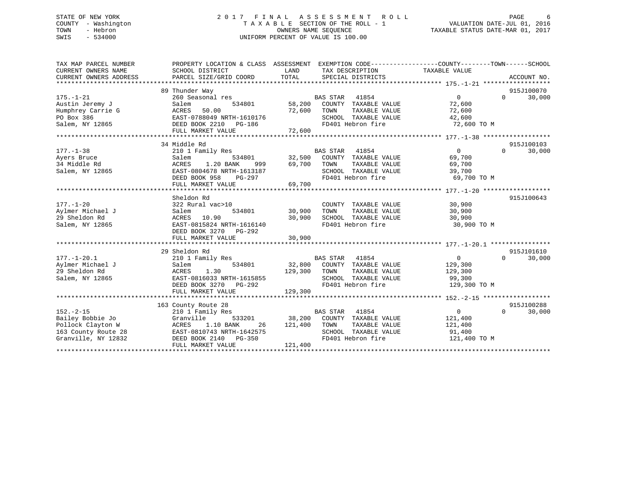## STATE OF NEW YORK 2 0 1 7 F I N A L A S S E S S M E N T R O L L PAGE 6 COUNTY - Washington T A X A B L E SECTION OF THE ROLL - 1 VALUATION DATE-JUL 01, 2016 TOWN - Hebron OWNERS NAME SEQUENCE TAXABLE STATUS DATE-MAR 01, 2017 SWIS - 534000 UNIFORM PERCENT OF VALUE IS 100.00

| TAX MAP PARCEL NUMBER<br>CURRENT OWNERS NAME<br>CURRENT OWNERS ADDRESS                                 | SCHOOL DISTRICT<br>PARCEL SIZE/GRID COORD                                                                                                             | PROPERTY LOCATION & CLASS ASSESSMENT EXEMPTION CODE---------------COUNTY-------TOWN-----SCHOOL<br>LAND<br>TAX DESCRIPTION TAXABLE VALUE<br>TOTAL<br>SPECIAL DISTRICTS |                                                                            | ACCOUNT NO.          |
|--------------------------------------------------------------------------------------------------------|-------------------------------------------------------------------------------------------------------------------------------------------------------|-----------------------------------------------------------------------------------------------------------------------------------------------------------------------|----------------------------------------------------------------------------|----------------------|
| $175. - 1 - 21$<br>Austin Jeremy J<br>Humphrey Carrie G<br>PO Box 386<br>Salem, NY 12865               | 89 Thunder Way<br>260 Seasonal res<br>Salem<br>534801<br>ACRES<br>50.00<br>EAST-0788049 NRTH-1610176<br>DEED BOOK 2210 PG-186<br>FULL MARKET VALUE    | <b>BAS STAR</b><br>41854<br>58,200<br>COUNTY TAXABLE VALUE<br>72,600<br>TOWN<br>TAXABLE VALUE<br>SCHOOL TAXABLE VALUE<br>FD401 Hebron fire<br>72,600                  | $\overline{0}$<br>$\Omega$<br>72,600<br>72,600<br>42,600<br>72,600 TO M    | 915J100070<br>30,000 |
|                                                                                                        | 34 Middle Rd                                                                                                                                          |                                                                                                                                                                       |                                                                            | 915J100103           |
| $177. - 1 - 38$<br>Ayers Bruce<br>34 Middle Rd<br>Salem, NY 12865                                      | 210 1 Family Res<br>Salem<br>1.20 BANK<br>ACRES<br>999<br>EAST-0804678 NRTH-1613187<br>DEED BOOK 958<br>PG-297<br>FULL MARKET VALUE                   | <b>BAS STAR</b><br>41854<br>534801 32,500<br>COUNTY TAXABLE VALUE<br>69,700<br>TOWN<br>TAXABLE VALUE<br>SCHOOL TAXABLE VALUE<br>FD401 Hebron fire<br>69,700           | $\overline{0}$<br>$\Omega$<br>69,700<br>69,700<br>39,700<br>69,700 TO M    | 30,000               |
|                                                                                                        | Sheldon Rd                                                                                                                                            |                                                                                                                                                                       |                                                                            | 915J100643           |
| $177. - 1 - 20$<br>Aylmer Michael J<br>29 Sheldon Rd<br>Salem, NY 12865                                | 322 Rural vac>10<br>Salem<br>534801<br>ACRES<br>10.90<br>EAST-0815824 NRTH-1616140<br>DEED BOOK 3270 PG-292                                           | COUNTY TAXABLE VALUE<br>TAXABLE VALUE<br>30,900<br>TOWN<br>SCHOOL TAXABLE VALUE<br>30,900<br>FD401 Hebron fire                                                        | 30,900<br>30,900<br>30,900<br>30,900 TO M                                  |                      |
|                                                                                                        | FULL MARKET VALUE                                                                                                                                     | 30,900                                                                                                                                                                |                                                                            |                      |
| $177. - 1 - 20.1$<br>Aylmer Michael J<br>29 Sheldon Rd<br>Salem, NY 12865                              | 29 Sheldon Rd<br>210 1 Family Res<br>Salem<br>534801<br>ACRES<br>1.30<br>EAST-0816033 NRTH-1615855<br>DEED BOOK 3270 PG-292<br>FULL MARKET VALUE      | <b>BAS STAR</b><br>41854<br>32,800<br>COUNTY TAXABLE VALUE<br>129,300<br>TOWN<br>TAXABLE VALUE<br>SCHOOL TAXABLE VALUE<br>FD401 Hebron fire<br>129,300                | $\overline{0}$<br>$\Omega$<br>129,300<br>129,300<br>99,300<br>129,300 TO M | 915J101610<br>30,000 |
|                                                                                                        | 163 County Route 28                                                                                                                                   |                                                                                                                                                                       |                                                                            | 915J100288           |
| $152. - 2 - 15$<br>Bailey Bobbie Jo<br>Pollock Clayton W<br>163 County Route 28<br>Granville, NY 12832 | 210 1 Family Res<br>Granville<br>533201<br><b>ACRES</b><br>1.10 BANK<br>26<br>EAST-0810743 NRTH-1642575<br>DEED BOOK 2140 PG-350<br>FULL MARKET VALUE | <b>BAS STAR</b><br>41854<br>38,200<br>COUNTY TAXABLE VALUE<br>121,400<br>TOWN<br>TAXABLE VALUE<br>SCHOOL TAXABLE VALUE<br>FD401 Hebron fire<br>121,400                | $\overline{0}$<br>$\Omega$<br>121,400<br>121,400<br>91,400<br>121,400 TO M | 30,000               |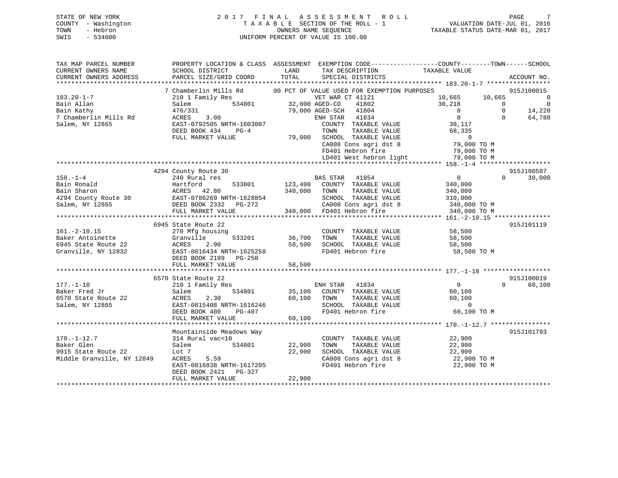# STATE OF NEW YORK 2 0 1 7 F I N A L A S S E S S M E N T R O L L PAGE 7COUNTY - Washington  $T A X A B L E$  SECTION OF THE ROLL - 1<br>TOWN - Hebron DATE-JUL 000NERS NAME SEQUENCE SWIS - 534000 UNIFORM PERCENT OF VALUE IS 100.00

TAXABLE STATUS DATE-MAR 01, 2017

| TAX MAP PARCEL NUMBER                               | PROPERTY LOCATION & CLASS ASSESSMENT EXEMPTION CODE---------------COUNTY-------TOWN-----SCHOOL                                                                 |                    |                                                                                                                             |                                              |                                            |
|-----------------------------------------------------|----------------------------------------------------------------------------------------------------------------------------------------------------------------|--------------------|-----------------------------------------------------------------------------------------------------------------------------|----------------------------------------------|--------------------------------------------|
| CURRENT OWNERS NAME                                 | SCHOOL DISTRICT                                                                                                                                                | LAND               | TAX DESCRIPTION                                                                                                             | TAXABLE VALUE                                |                                            |
| CURRENT OWNERS ADDRESS PARCEL SIZE/GRID COORD TOTAL |                                                                                                                                                                |                    | SPECIAL DISTRICTS                                                                                                           |                                              | ACCOUNT NO.                                |
|                                                     |                                                                                                                                                                |                    |                                                                                                                             |                                              |                                            |
|                                                     | 7 Chamberlin Mills Rd 90 PCT OF VALUE USED FOR EXEMPTION PURPOSES                                                                                              |                    |                                                                                                                             |                                              | 915J100015                                 |
| $183.20 - 1 - 7$                                    | $\begin{tabular}{llllll} \bf 210 & 1 & Family \bf \; Res & & VET \rm \; WAR & CT \\ \bf \it Salem & \tt 534801 & \tt 32,000 \rm \; AGED-CO \\ \end{tabular}$   |                    | VET WAR CT 41121                                                                                                            | 10,665 10,665                                | 0                                          |
| Bain Allan                                          |                                                                                                                                                                |                    | 41802                                                                                                                       | 30,218                                       | $\overline{0}$<br>$\overline{\phantom{0}}$ |
| Bain Kathy                                          | 476/331<br>ACRES 3.00                                                                                                                                          |                    | 79,000 AGED-SCH 41804                                                                                                       | $\overline{\mathbf{0}}$                      | $\overline{0}$<br>14,220                   |
| 7 Chamberlin Mills Rd                               |                                                                                                                                                                |                    | ENH STAR 41834                                                                                                              | $\overline{0}$                               | $\Omega$<br>64,780                         |
| Salem, NY 12865                                     | EAST-0792505 NRTH-1603007<br>EAST-0792505 NRTH-1603007<br>DEED BOOK 434 PG-4 TOWN TAXABLE VALUE 68,335<br>FULL MARKET VALUE 79,000 SCHOOL TAXABLE VALUE 68,335 |                    |                                                                                                                             |                                              |                                            |
|                                                     |                                                                                                                                                                |                    |                                                                                                                             |                                              |                                            |
|                                                     |                                                                                                                                                                |                    |                                                                                                                             |                                              |                                            |
|                                                     |                                                                                                                                                                |                    | CA008 Cons agri dst 8<br>FD401 Hebron fire                                                                                  | 79,000 TO M                                  |                                            |
|                                                     |                                                                                                                                                                |                    |                                                                                                                             | 79,000 TO M                                  |                                            |
|                                                     |                                                                                                                                                                |                    | LD401 West hebron light 79,000 TO M                                                                                         |                                              |                                            |
|                                                     |                                                                                                                                                                |                    |                                                                                                                             |                                              |                                            |
|                                                     | 4294 County Route 30                                                                                                                                           |                    |                                                                                                                             |                                              | 915J100507                                 |
| $158. - 1 - 4$                                      | 240 Rural res                                                                                                                                                  |                    | <b>BAS STAR</b> 41854                                                                                                       | $\overline{0}$                               | $\Omega$<br>30,000                         |
| Bain Ronald                                         | Hartford<br>ACRES     42.80                                                                                                                                    |                    | 533801 123,400 COUNTY TAXABLE VALUE                                                                                         | 340,000                                      |                                            |
|                                                     |                                                                                                                                                                |                    | TAXABLE VALUE                                                                                                               | 340,000                                      |                                            |
|                                                     |                                                                                                                                                                |                    |                                                                                                                             |                                              |                                            |
|                                                     |                                                                                                                                                                |                    | 1628854 SCHOOL TAXABLE VALUE 310,000<br>2G-272 CA008 Cons agri dst 8 340,000 TO M<br>340,000 FD401 Hebron fire 340,000 TO M |                                              |                                            |
|                                                     | FULL MARKET VALUE                                                                                                                                              |                    |                                                                                                                             |                                              |                                            |
|                                                     |                                                                                                                                                                |                    |                                                                                                                             |                                              |                                            |
|                                                     | 6945 State Route 22                                                                                                                                            |                    |                                                                                                                             |                                              | 915J101119                                 |
| $161.-2-10.15$                                      | 270 Mfg housing                                                                                                                                                |                    | COUNTY TAXABLE VALUE 58,500                                                                                                 | TAXABLE VALUE 58,500                         |                                            |
| Baker Antoinette                                    | Granville                                                                                                                                                      | 533201 36,700 TOWN |                                                                                                                             |                                              |                                            |
| 6945 State Route 22                                 | ACRES 2.90 58,500 SCHOOL TAXABLE VALUE 58,500<br>EAST-0816434 NRTH-1625258 FD401 Hebron fire 58,500                                                            |                    |                                                                                                                             |                                              |                                            |
| Granville, NY 12832                                 |                                                                                                                                                                |                    |                                                                                                                             | 58,500 TO M                                  |                                            |
|                                                     | DEED BOOK 2199 PG-250                                                                                                                                          |                    |                                                                                                                             |                                              |                                            |
|                                                     | FULL MARKET VALUE                                                                                                                                              | 58,500             |                                                                                                                             |                                              |                                            |
|                                                     |                                                                                                                                                                |                    |                                                                                                                             |                                              |                                            |
| $177. - 1 - 18$                                     | 6570 State Route 22<br>210 1 Family Res                                                                                                                        |                    | ENH STAR 41834                                                                                                              | $\overline{0}$                               | 915J100019<br>$\Omega$<br>60,100           |
| Baker Fred Jr                                       |                                                                                                                                                                |                    | 534801 35,100 COUNTY TAXABLE VALUE                                                                                          |                                              |                                            |
|                                                     | Salem                                                                                                                                                          | 60,100 TOWN        |                                                                                                                             | 60,100<br>60,100                             |                                            |
| 6570 State Route 22                                 |                                                                                                                                                                |                    | TAXABLE VALUE                                                                                                               |                                              |                                            |
| Salem, NY 12865                                     | ACRES 2.30 60,100<br>EAST-0815408 NRTH-1616246 60,100<br>DEED BOOK 400 PG-407                                                                                  |                    | SCHOOL TAXABLE VALUE 0<br>FD401 Hebron fire 60,100 TO M                                                                     |                                              |                                            |
|                                                     |                                                                                                                                                                | 60, 100            |                                                                                                                             |                                              |                                            |
|                                                     | FULL MARKET VALUE                                                                                                                                              |                    |                                                                                                                             |                                              |                                            |
|                                                     | Mountainside Meadows Way                                                                                                                                       |                    |                                                                                                                             |                                              | 915J101793                                 |
| $170. - 1 - 12.7$                                   | 314 Rural vac<10                                                                                                                                               |                    | COUNTY TAXABLE VALUE 22,900                                                                                                 |                                              |                                            |
| Baker Glen                                          | 534801<br>Salem                                                                                                                                                | 22,900             | TOWN                                                                                                                        |                                              |                                            |
| 9915 State Route 22                                 | Lot 7                                                                                                                                                          | 22,900             | SCHOOL TAXABLE VALUE                                                                                                        | TAXABLE VALUE 22,900<br>TAXABLE VALUE 22,900 |                                            |
| Middle Granville, NY 12849                          | ACRES<br>5.59                                                                                                                                                  |                    | CA008 Cons agri dst 8 22,900 TO M                                                                                           |                                              |                                            |
|                                                     | EAST-0816838 NRTH-1617205                                                                                                                                      |                    | FD401 Hebron fire                                                                                                           | 22,900 TO M                                  |                                            |
|                                                     | DEED BOOK 2421 PG-327                                                                                                                                          |                    |                                                                                                                             |                                              |                                            |
|                                                     | FULL MARKET VALUE                                                                                                                                              | 22,900             |                                                                                                                             |                                              |                                            |
|                                                     |                                                                                                                                                                |                    |                                                                                                                             |                                              |                                            |
|                                                     |                                                                                                                                                                |                    |                                                                                                                             |                                              |                                            |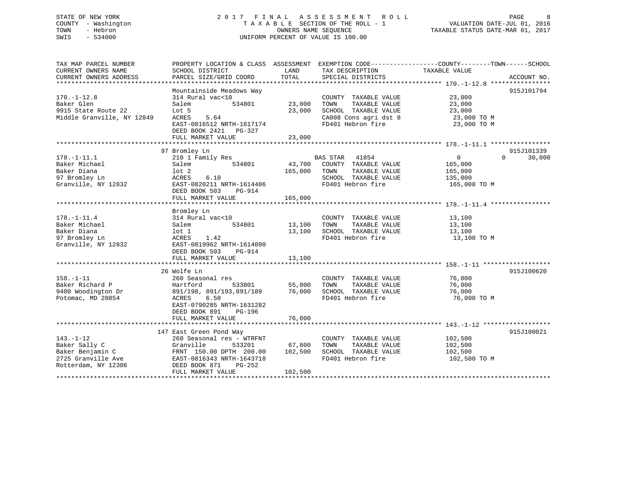## STATE OF NEW YORK 2 0 1 7 F I N A L A S S E S S M E N T R O L L PAGE 8 COUNTY - Washington T A X A B L E SECTION OF THE ROLL - 1 VALUATION DATE-JUL 01, 2016 TOWN - Hebron OWNERS NAME SEQUENCE TAXABLE STATUS DATE-MAR 01, 2017 SWIS - 534000 UNIFORM PERCENT OF VALUE IS 100.00

| TAX MAP PARCEL NUMBER      | PROPERTY LOCATION & CLASS ASSESSMENT EXEMPTION CODE---------------COUNTY-------TOWN-----SCHOOL |              |                                   |                |                    |
|----------------------------|------------------------------------------------------------------------------------------------|--------------|-----------------------------------|----------------|--------------------|
| CURRENT OWNERS NAME        | SCHOOL DISTRICT                                                                                | LAND         | TAX DESCRIPTION                   | TAXABLE VALUE  |                    |
|                            |                                                                                                |              |                                   |                |                    |
|                            |                                                                                                |              |                                   |                |                    |
|                            | Mountainside Meadows Way                                                                       |              |                                   |                | 915J101794         |
| $170. - 1 - 12.8$          | 314 Rural vac<10                                                                               |              | COUNTY TAXABLE VALUE              | 23,000         |                    |
| Baker Glen                 | 534801<br>Salem                                                                                | 23,000       | TAXABLE VALUE<br>TOWN             | 23,000         |                    |
| 9915 State Route 22        | Lot 5                                                                                          | 23,000       | SCHOOL TAXABLE VALUE              | 23,000         |                    |
| Middle Granville, NY 12849 | ACRES<br>5.64                                                                                  |              | CA008 Cons agri dst 8 23,000 TO M |                |                    |
|                            | EAST-0816512 NRTH-1617174                                                                      |              | FD401 Hebron fire                 | 23,000 TO M    |                    |
|                            | DEED BOOK 2421 PG-327                                                                          |              |                                   |                |                    |
|                            | FULL MARKET VALUE                                                                              | 23,000       |                                   |                |                    |
|                            |                                                                                                |              |                                   |                |                    |
|                            | 97 Bromley Ln                                                                                  |              |                                   |                | 915J101339         |
| $178. - 1 - 11.1$          | 210 1 Family Res                                                                               |              | BAS STAR 41854                    | $\overline{0}$ | 30,000<br>$\Omega$ |
| Baker Michael              | 534801<br>Salem                                                                                |              | 43,700 COUNTY TAXABLE VALUE       |                |                    |
|                            |                                                                                                |              |                                   | 165,000        |                    |
| Baker Diana                | lot <sub>2</sub>                                                                               | 165,000 TOWN | TAXABLE VALUE                     | 165,000        |                    |
| 97 Bromley Ln              | 6.10<br>ACRES                                                                                  |              | SCHOOL TAXABLE VALUE              | 135,000        |                    |
| Granville, NY 12832        | EAST-0820211 NRTH-1614406                                                                      |              | FD401 Hebron fire                 | 165,000 TO M   |                    |
|                            | DEED BOOK 503<br>PG-914                                                                        |              |                                   |                |                    |
|                            | FULL MARKET VALUE                                                                              | 165,000      |                                   |                |                    |
|                            |                                                                                                |              |                                   |                |                    |
|                            | Bromley Ln                                                                                     |              |                                   |                |                    |
| $178. - 1 - 11.4$          | 314 Rural vac<10                                                                               |              | COUNTY TAXABLE VALUE              | 13,100         |                    |
| Baker Michael              | 534801<br>Salem                                                                                | 13,100 TOWN  | TAXABLE VALUE                     | 13,100         |                    |
| Baker Diana                | $1$ ot $1$                                                                                     |              | 13,100 SCHOOL TAXABLE VALUE       | 13,100         |                    |
| 97 Bromley Ln              | 1.42<br>ACRES                                                                                  |              | FD401 Hebron fire                 | 13,100 TO M    |                    |
| Granville, NY 12832        | EAST-0819962 NRTH-1614090                                                                      |              |                                   |                |                    |
|                            | DEED BOOK 503<br>PG-914                                                                        |              |                                   |                |                    |
|                            | FULL MARKET VALUE                                                                              | 13,100       |                                   |                |                    |
|                            |                                                                                                |              |                                   |                |                    |
|                            | 26 Wolfe Ln                                                                                    |              |                                   |                | 915J100620         |
| $158. - 1 - 11$            | 260 Seasonal res                                                                               |              | COUNTY TAXABLE VALUE              | 76,000         |                    |
| Baker Richard P            | 533801<br>Hartford                                                                             | 55,000       | TOWN<br>TAXABLE VALUE             | 76,000         |                    |
| 9400 Woodington Dr         | 891/198, 891/193,891/189 76,000                                                                |              | SCHOOL TAXABLE VALUE              | 76,000         |                    |
| Potomac, MD 20854          | 6.50<br>ACRES                                                                                  |              | FD401 Hebron fire                 | 76,000 TO M    |                    |
|                            | EAST-0790285 NRTH-1631282                                                                      |              |                                   |                |                    |
|                            | DEED BOOK 891<br>PG-196                                                                        |              |                                   |                |                    |
|                            | FULL MARKET VALUE                                                                              | 76,000       |                                   |                |                    |
|                            |                                                                                                |              |                                   |                |                    |
|                            | 147 East Green Pond Way                                                                        |              |                                   |                | 915J100021         |
| $143. - 1 - 12$            | 260 Seasonal res - WTRFNT                                                                      |              | COUNTY TAXABLE VALUE              | 102,500        |                    |
| Baker Sally C              | Granville<br>533201                                                                            | 67,800       | TAXABLE VALUE<br>TOWN             | 102,500        |                    |
| Baker Benjamin C           | FRNT 150.00 DPTH 200.00                                                                        | 102,500      | SCHOOL TAXABLE VALUE              | 102,500        |                    |
| 2725 Granville Ave         | EAST-0816343 NRTH-1643718                                                                      |              | FD401 Hebron fire                 | 102,500 TO M   |                    |
| Rotterdam, NY 12306        | DEED BOOK 871<br>PG-252                                                                        |              |                                   |                |                    |
|                            | FULL MARKET VALUE                                                                              | 102,500      |                                   |                |                    |
|                            |                                                                                                |              |                                   |                |                    |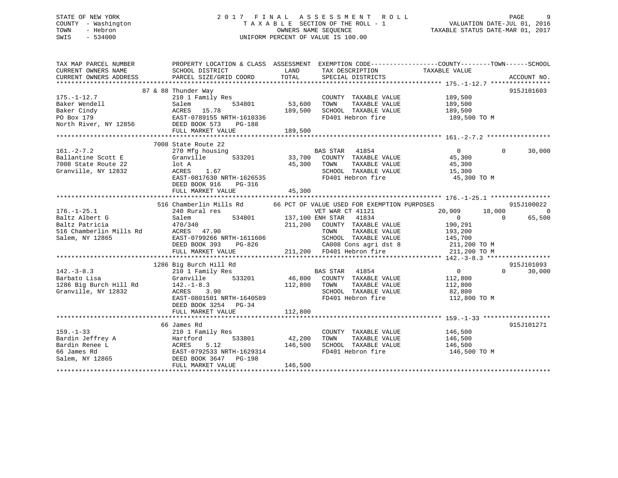## STATE OF NEW YORK 2 0 1 7 F I N A L A S S E S S M E N T R O L L PAGE 9 COUNTY - Washington T A X A B L E SECTION OF THE ROLL - 1 VALUATION DATE-JUL 01, 2016 TOWN - Hebron OWNERS NAME SEQUENCE TAXABLE STATUS DATE-MAR 01, 2017 SWIS - 534000 UNIFORM PERCENT OF VALUE IS 100.00

| PROPERTY LOCATION & CLASS ASSESSMENT EXEMPTION CODE----------------COUNTY-------TOWN------SCHOOL<br>TAX MAP PARCEL NUMBER<br>TAXABLE VALUE<br>CURRENT OWNERS NAME<br>SCHOOL DISTRICT<br><b>LAND</b><br>TAX DESCRIPTION                                                 |                    |
|------------------------------------------------------------------------------------------------------------------------------------------------------------------------------------------------------------------------------------------------------------------------|--------------------|
| CURRENT OWNERS ADDRESS<br>TOTAL<br>PARCEL SIZE/GRID COORD<br>SPECIAL DISTRICTS                                                                                                                                                                                         | ACCOUNT NO.        |
|                                                                                                                                                                                                                                                                        |                    |
| 87 & 88 Thunder Way<br>Thunder Way<br>210 1 Family Res<br>53,600                                                                                                                                                                                                       | 915J101603         |
| COUNTY TAXABLE VALUE 189,500<br>TOWN TAXABLE VALUE 189,500<br>$175. - 1 - 12.7$                                                                                                                                                                                        |                    |
|                                                                                                                                                                                                                                                                        |                    |
| SCHOOL TAXABLE VALUE 189,500                                                                                                                                                                                                                                           |                    |
| FD401 Hebron fire<br>189,500 TO M                                                                                                                                                                                                                                      |                    |
| 1/5.-1-12./<br>Baker Wendell<br>Baker Cindy 53,600<br>Po Box 179 EAST-0789155 NRTH-1610336<br>North River, NY 12856 DEED BOOK 573 PG-188                                                                                                                               |                    |
|                                                                                                                                                                                                                                                                        |                    |
|                                                                                                                                                                                                                                                                        |                    |
| 7008 State Route 22                                                                                                                                                                                                                                                    |                    |
| 270 Mfg housing 633201 673,700 COUNTY TAXABLE VALUE 45,300<br>$161. - 2 - 7.2$                                                                                                                                                                                         | $\Omega$<br>30,000 |
| Ballantine Scott E                                                                                                                                                                                                                                                     |                    |
| 7008 State Route 22<br>lot A<br>45,300 TOWN                                                                                                                                                                                                                            |                    |
| TOWN TAXABLE VALUE 45,300<br>SCHOOL TAXABLE VALUE 15,300<br>Granville, NY 12832<br>1.67<br>ACRES                                                                                                                                                                       |                    |
| EAST-0817630 NRTH-1626535<br>FD401 Hebron fire 45,300 TO M                                                                                                                                                                                                             |                    |
| DEED BOOK 916<br>PG-316                                                                                                                                                                                                                                                |                    |
| 45,300<br>FULL MARKET VALUE                                                                                                                                                                                                                                            |                    |
|                                                                                                                                                                                                                                                                        |                    |
| 516 Chamberlin Mills Rd 66 PCT OF VALUE USED FOR EXEMPTION PURPOSES                                                                                                                                                                                                    | 915J100022         |
| 20,909 18,000<br>240 Rural res                                                                                                                                                                                                                                         | $\sim$ 0           |
| 176.-1-25.1<br>Baltz Albert G<br>l res<br>534801 534801 137,100 ENH STAR 41834<br>240 Rural res<br>Salem 534801 137<br>470/340 211<br>137<br>137<br>137<br>211<br>15 Rd ACRES 47.90<br>EAST-0799266 NRTH-1611606<br>Baltz Albert G<br>$\overline{0}$<br>$\overline{0}$ | 65,500             |
| 211,200 COUNTY TAXABLE VALUE 190,291<br>Baltz Patricia                                                                                                                                                                                                                 |                    |
| 516 Chamberlin Mills Rd<br>TAXABLE VALUE<br>TOWN<br>193,200                                                                                                                                                                                                            |                    |
| SCHOOL TAXABLE VALUE 145,700<br>Salem, NY 12865                                                                                                                                                                                                                        |                    |
| DEED BOOK 393                                                                                                                                                                                                                                                          |                    |
| FULL MARKET VALUE                                                                                                                                                                                                                                                      |                    |
|                                                                                                                                                                                                                                                                        |                    |
| 1286 Big Burch Hill Rd                                                                                                                                                                                                                                                 | 915J101093         |
| 210 1 Family Res BAS STAR 41854<br>$\overline{a}$                                                                                                                                                                                                                      | $\Omega$<br>30,000 |
| Granville 533201                                                                                                                                                                                                                                                       |                    |
| $210$ 1 Family<br>Barbato Lisa (10 1 Family)<br>1286 Big Burch Hill Rd (142.-1-8.3)<br>46,800 COUNTY TAXABLE VALUE<br>112,800 TOWN TAXABLE VALUE<br>112,800<br>112,800                                                                                                 |                    |
| SCHOOL TAXABLE VALUE 82,800<br>Granville, NY 12832<br>ACRES<br>3.90                                                                                                                                                                                                    |                    |
| EAST-0801501 NRTH-1640589<br>FD401 Hebron fire<br>112,800 TO M                                                                                                                                                                                                         |                    |
| DEED BOOK 3254 PG-34                                                                                                                                                                                                                                                   |                    |
|                                                                                                                                                                                                                                                                        |                    |
|                                                                                                                                                                                                                                                                        |                    |
| 66 James Rd                                                                                                                                                                                                                                                            | 915J101271         |
| 210 1 Family Res<br>COUNTY TAXABLE VALUE 146,500<br>$159. - 1 - 33$                                                                                                                                                                                                    |                    |
| TAXABLE VALUE 146,500<br>TOWN                                                                                                                                                                                                                                          |                    |
| Bardin Jeffrey A<br>Bardin Renee L<br>Bardin Renee L<br>ACRES 5.12 146,500<br>66 James Rd<br>Salem, NY 12865<br>EAST-0792533 NRTH-1629314<br>DEED BOOK 3647<br>THE DOOK 3647<br>THE PROTECT PROTECT PROTECT PROTECT PROTECT PROTECT PROTECT PROT                       |                    |
| SCHOOL TAXABLE VALUE 146,500<br>FD401 Hebron fire                                                                                                                                                                                                                      |                    |
| 146,500 TO M                                                                                                                                                                                                                                                           |                    |
| 146,500<br>FULL MARKET VALUE                                                                                                                                                                                                                                           |                    |
|                                                                                                                                                                                                                                                                        |                    |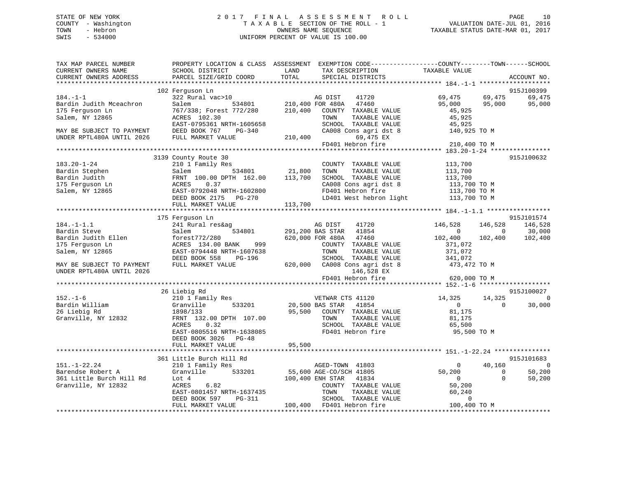## STATE OF NEW YORK 2 0 1 7 F I N A L A S S E S S M E N T R O L L PAGE 10 COUNTY - Washington T A X A B L E SECTION OF THE ROLL - 1 VALUATION DATE-JUL 01, 2016 TOWN - Hebron OWNERS NAME SEQUENCE TAXABLE STATUS DATE-MAR 01, 2017 SWIS - 534000 UNIFORM PERCENT OF VALUE IS 100.00

| TAX MAP PARCEL NUMBER<br>CURRENT OWNERS NAME<br>CURRENT OWNERS ADDRESS                                              | SCHOOL DISTRICT<br>PARCEL SIZE/GRID COORD                                                                                                                                 | PROPERTY LOCATION & CLASS ASSESSMENT EXEMPTION CODE---------------COUNTY-------TOWN-----SCHOOL<br>LAND<br>TAX DESCRIPTION<br>TOTAL<br>SPECIAL DISTRICTS                          | TAXABLE VALUE<br>ACCOUNT NO.                                                                                         |
|---------------------------------------------------------------------------------------------------------------------|---------------------------------------------------------------------------------------------------------------------------------------------------------------------------|----------------------------------------------------------------------------------------------------------------------------------------------------------------------------------|----------------------------------------------------------------------------------------------------------------------|
|                                                                                                                     |                                                                                                                                                                           |                                                                                                                                                                                  |                                                                                                                      |
| $184. - 1 - 1$                                                                                                      | 102 Ferguson Ln<br>322 Rural vac>10                                                                                                                                       | AG DIST<br>41720                                                                                                                                                                 | 915J100399<br>69,475<br>69,475<br>69,475                                                                             |
| Bardin Judith Mceachron<br>175 Ferguson Ln<br>Salem, NY 12865                                                       | Salem<br>534801<br>767/338; Forest 772/280<br>ACRES 102.30                                                                                                                | 210,400 FOR 480A 47460<br>210,400<br>COUNTY TAXABLE VALUE<br>TAXABLE VALUE<br>TOWN                                                                                               | 95,000<br>95,000<br>95,000<br>45,925<br>45,925                                                                       |
| MAY BE SUBJECT TO PAYMENT<br>UNDER RPTL480A UNTIL 2026                                                              | EAST-0795361 NRTH-1605658<br>DEED BOOK 767<br>PG-340<br>FULL MARKET VALUE                                                                                                 | SCHOOL TAXABLE VALUE<br>CA008 Cons agri dst 8<br>210,400<br>69,475 EX                                                                                                            | 45,925<br>140,925 TO M                                                                                               |
|                                                                                                                     |                                                                                                                                                                           | FD401 Hebron fire                                                                                                                                                                | 210,400 TO M                                                                                                         |
|                                                                                                                     |                                                                                                                                                                           |                                                                                                                                                                                  |                                                                                                                      |
| $183.20 - 1 - 24$<br>Bardin Stephen<br>Bardin Judith<br>175 Ferguson Ln<br>Salem, NY 12865                          | 3139 County Route 30<br>210 1 Family Res<br>534801<br>Salem<br>FRNT 100.00 DPTH 162.00<br>ACRES<br>0.37<br>EAST-0792048 NRTH-1602800                                      | COUNTY TAXABLE VALUE<br>21,800<br>TOWN<br>TAXABLE VALUE<br>113,700<br>SCHOOL TAXABLE VALUE<br>CA008 Cons agri dst 8<br>FD401 Hebron fire<br>LD401 West hebron light 113,700 TO M | 915J100632<br>113,700<br>113,700<br>113,700<br>$113,700$ TO M<br>$113,700$ TO M<br>113,700 TO M                      |
|                                                                                                                     | FULL MARKET VALUE                                                                                                                                                         | 113,700                                                                                                                                                                          |                                                                                                                      |
|                                                                                                                     |                                                                                                                                                                           |                                                                                                                                                                                  |                                                                                                                      |
|                                                                                                                     | 175 Ferguson Ln                                                                                                                                                           |                                                                                                                                                                                  | 915J101574                                                                                                           |
| $184. - 1 - 1.1$<br>Bardin Steve                                                                                    | 241 Rural res&ag<br>534801<br>Salem                                                                                                                                       | 41720<br>AG DIST<br>41854<br>291,200 BAS STAR                                                                                                                                    | 146,528<br>146,528<br>146,528<br>$\overline{0}$<br>$\overline{0}$<br>30,000                                          |
| Bardin Judith Ellen<br>175 Ferguson Ln<br>Salem, NY 12865<br>MAY BE SUBJECT TO PAYMENT<br>UNDER RPTL480A UNTIL 2026 | forest772/280<br>ACRES 134.00 BANK<br>999<br>EAST-0794448 NRTH-1607638<br>PG-196<br>DEED BOOK 558<br>FULL MARKET VALUE                                                    | 620,000 FOR 480A<br>47460<br>COUNTY TAXABLE VALUE<br>TOWN<br>TAXABLE VALUE<br>SCHOOL TAXABLE VALUE<br>620,000 CA008 Cons agri dst 8<br>146,528 EX                                | 102,400<br>102,400<br>102,400<br>371,072<br>371,072<br>341,072<br>473,472 TO M                                       |
|                                                                                                                     |                                                                                                                                                                           | FD401 Hebron fire                                                                                                                                                                | 620,000 TO M                                                                                                         |
|                                                                                                                     | 26 Liebig Rd                                                                                                                                                              |                                                                                                                                                                                  | 915J100027                                                                                                           |
| $152. - 1 - 6$<br>Bardin William<br>26 Liebig Rd<br>Granville, NY 12832                                             | 210 1 Family Res<br>533201<br>Granville<br>1898/133<br>FRNT 132.00 DPTH 107.00<br>ACRES<br>0.32<br>EAST-0805516 NRTH-1638085<br>DEED BOOK 3026 PG-48<br>FULL MARKET VALUE | VETWAR CTS 41120<br>20,500 BAS STAR<br>41854<br>95,500<br>COUNTY TAXABLE VALUE<br>TAXABLE VALUE<br>TOWN<br>SCHOOL TAXABLE VALUE<br>FD401 Hebron fire<br>95,500                   | 14,325<br>14,325<br>$\mathbf 0$<br>$\overline{0}$<br>$\Omega$<br>30,000<br>81,175<br>81,175<br>65,500<br>95,500 TO M |
|                                                                                                                     |                                                                                                                                                                           |                                                                                                                                                                                  |                                                                                                                      |
|                                                                                                                     | 361 Little Burch Hill Rd                                                                                                                                                  |                                                                                                                                                                                  | 915J101683                                                                                                           |
| $151. - 1 - 22.24$                                                                                                  | 210 1 Family Res                                                                                                                                                          | AGED-TOWN 41803                                                                                                                                                                  | 40,160<br>$\Omega$<br>$\overline{0}$                                                                                 |
| Barendse Robert A<br>361 Little Burch Hill Rd<br>Granville, NY 12832                                                | 533201<br>Granville<br>Lot 4<br>6.82<br>ACRES<br>EAST-0801457 NRTH-1637435<br>DEED BOOK 597<br>PG-311                                                                     | 55,600 AGE-CO/SCH 41805<br>100,400 ENH STAR<br>41834<br>COUNTY TAXABLE VALUE<br>TOWN<br>TAXABLE VALUE<br>SCHOOL TAXABLE VALUE                                                    | 50,200<br>50,200<br>$\overline{0}$<br>$\Omega$<br>50,200<br>$\overline{0}$<br>50,200<br>60,240<br>$\overline{0}$     |
|                                                                                                                     | FULL MARKET VALUE                                                                                                                                                         | 100,400 FD401 Hebron fire                                                                                                                                                        | 100,400 TO M                                                                                                         |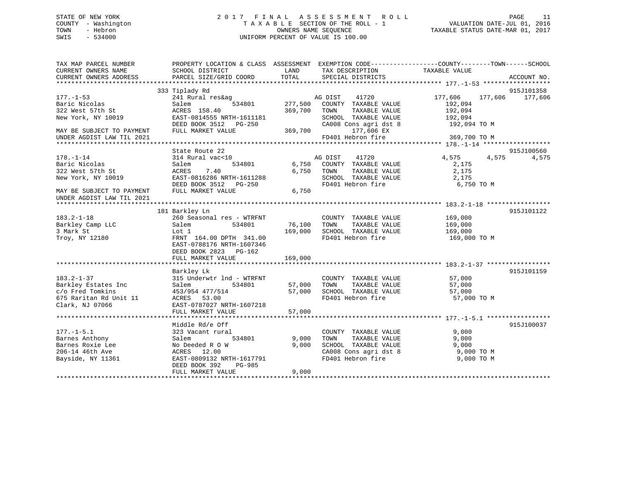## STATE OF NEW YORK 2 0 1 7 F I N A L A S S E S S M E N T R O L L PAGE 11 COUNTY - Washington T A X A B L E SECTION OF THE ROLL - 1 VALUATION DATE-JUL 01, 2016 TOWN - Hebron OWNERS NAME SEQUENCE TAXABLE STATUS DATE-MAR 01, 2017 SWIS - 534000 UNIFORM PERCENT OF VALUE IS 100.00

| TAX MAP PARCEL NUMBER<br>CURRENT OWNERS NAME<br>CURRENT OWNERS ADDRESS                                                               | SCHOOL DISTRICT<br>PARCEL SIZE/GRID COORD                                                                                                                | LAND<br>TOTAL              | TAX DESCRIPTION TAXABLE VALUE<br>SPECIAL DISTRICTS                                                                  | PROPERTY LOCATION & CLASS ASSESSMENT EXEMPTION CODE----------------COUNTY-------TOWN-----SCHOOL | ACCOUNT NO.           |
|--------------------------------------------------------------------------------------------------------------------------------------|----------------------------------------------------------------------------------------------------------------------------------------------------------|----------------------------|---------------------------------------------------------------------------------------------------------------------|-------------------------------------------------------------------------------------------------|-----------------------|
| $177. - 1 - 53$<br>Baric Nicolas<br>322 West 57th St<br>New York, NY 10019                                                           | 333 Tiplady Rd<br>241 Rural res&ag<br>Salem<br>534801<br>ACRES 158.40<br>EAST-0814555 NRTH-1611181<br>DEED BOOK 3512 PG-250                              | 277,500<br>369,700         | AG DIST<br>41720<br>COUNTY TAXABLE VALUE<br>TOWN<br>TAXABLE VALUE<br>SCHOOL TAXABLE VALUE                           | 177,606<br>177,606<br>192,094<br>192,094<br>192,094<br>CA008 Cons agri dst 8 192,094 TO M       | 915J101358<br>177,606 |
| MAY BE SUBJECT TO PAYMENT<br>UNDER AGDIST LAW TIL 2021                                                                               | FULL MARKET VALUE                                                                                                                                        | 369,700                    | 177,606 EX<br>FD401 Hebron fire                                                                                     | 369,700 TO M                                                                                    |                       |
| $178. - 1 - 14$<br>Baric Nicolas<br>322 West 57th St<br>New York, NY 10019<br>MAY BE SUBJECT TO PAYMENT<br>UNDER AGDIST LAW TIL 2021 | State Route 22<br>314 Rural vac<10<br>534801<br>Salem<br>7.40<br>ACRES<br>EAST-0816286 NRTH-1611288<br>FULL MARKET VALUE                                 | 6,750<br>6,750<br>6,750    | AG DIST<br>41720<br>COUNTY TAXABLE VALUE<br>TOWN<br>TAXABLE VALUE<br>SCHOOL TAXABLE VALUE<br>FD401 Hebron fire      | 4,575<br>4,575<br>2,175<br>2,175<br>2,175<br>6,750 TO M                                         | 915J100560<br>4,575   |
| $183.2 - 1 - 18$<br>Barkley Camp LLC<br>3 Mark St<br>Troy, NY 12180                                                                  | 181 Barkley Ln<br>260 Seasonal res - WTRFNT<br>Salem<br>534801<br>Lot 1<br>FRNT 164.00 DPTH 341.00<br>EAST-0788176 NRTH-1607346<br>DEED BOOK 2823 PG-162 | 76,100<br>169,000          | COUNTY TAXABLE VALUE<br>TAXABLE VALUE<br>TOWN<br>SCHOOL TAXABLE VALUE<br>FD401 Hebron fire                          | 169,000<br>169,000<br>169,000<br>169,000 TO M                                                   | 915J101122            |
|                                                                                                                                      | FULL MARKET VALUE                                                                                                                                        | 169,000                    |                                                                                                                     |                                                                                                 |                       |
| $183.2 - 1 - 37$<br>Barkley Estates Inc<br>c/o Fred Tomkins<br>675 Raritan Rd Unit 11<br>Clark, NJ 07066                             | Barkley Lk<br>315 Underwtr 1nd - WTRFNT<br>Salem<br>534801<br>453/954 477/514<br>ACRES 53.00<br>EAST-0787027 NRTH-1607218<br>FULL MARKET VALUE           | 57,000<br>57,000<br>57,000 | COUNTY TAXABLE VALUE<br>TAXABLE VALUE<br>TOWN<br>SCHOOL TAXABLE VALUE<br>FD401 Hebron fire                          | 57,000<br>57,000<br>57,000<br>57,000 TO M                                                       | 915J101159            |
|                                                                                                                                      | Middle Rd/e Off                                                                                                                                          |                            |                                                                                                                     |                                                                                                 | 915J100037            |
| $177. - 1 - 5.1$<br>Barnes Anthony<br>Barnes Roxie Lee<br>206-14 46th Ave<br>Bayside, NY 11361                                       | 323 Vacant rural<br>534801<br>Salem<br>No Deeded R O W<br>ACRES<br>12.00<br>EAST-0809132 NRTH-1617791<br>DEED BOOK 392<br>PG-985<br>FULL MARKET VALUE    | 9,000<br>9.000<br>9,000    | COUNTY TAXABLE VALUE<br>TAXABLE VALUE<br>TOWN<br>SCHOOL TAXABLE VALUE<br>CA008 Cons agri dst 8<br>FD401 Hebron fire | 9,000<br>9,000<br>9,000<br>$9,000$ TO M<br>9,000 TO M                                           |                       |
|                                                                                                                                      |                                                                                                                                                          |                            |                                                                                                                     |                                                                                                 |                       |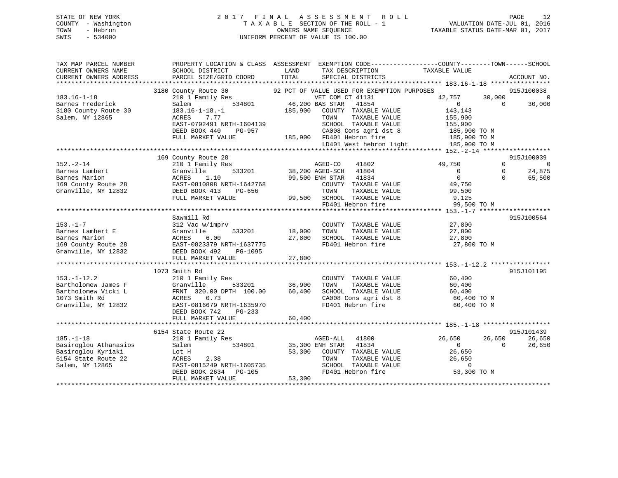## STATE OF NEW YORK 2 0 1 7 F I N A L A S S E S S M E N T R O L L PAGE 12 COUNTY - Washington T A X A B L E SECTION OF THE ROLL - 1 VALUATION DATE-JUL 01, 2016 TOWN - Hebron OWNERS NAME SEQUENCE TAXABLE STATUS DATE-MAR 01, 2017 SWIS - 534000 UNIFORM PERCENT OF VALUE IS 100.00

| TAX MAP PARCEL NUMBER<br>CURRENT OWNERS NAME<br>CURRENT OWNERS ADDRESS | PROPERTY LOCATION & CLASS ASSESSMENT EXEMPTION CODE---------------COUNTY-------TOWN------SCHOOL<br>SCHOOL DISTRICT<br>PARCEL SIZE/GRID COORD | LAND<br>TOTAL                               | TAX DESCRIPTION<br>SPECIAL DISTRICTS      | TAXABLE VALUE                        |          | ACCOUNT NO.    |
|------------------------------------------------------------------------|----------------------------------------------------------------------------------------------------------------------------------------------|---------------------------------------------|-------------------------------------------|--------------------------------------|----------|----------------|
|                                                                        |                                                                                                                                              |                                             |                                           |                                      |          |                |
|                                                                        | 3180 County Route 30                                                                                                                         | 92 PCT OF VALUE USED FOR EXEMPTION PURPOSES |                                           |                                      |          | 915J100038     |
| $183.16 - 1 - 18$                                                      | 210 1 Family Res                                                                                                                             | VET COM CT 41131                            |                                           | 42,757                               | 30,000   | $\overline{0}$ |
| Barnes Frederick                                                       | 534801<br>Salem                                                                                                                              | 46,200 BAS STAR                             | 41854                                     | $\overline{0}$                       | $\Omega$ | 30,000         |
| 3180 County Route 30                                                   | $183.16 - 1 - 18. - 1$                                                                                                                       | 185,900                                     | COUNTY TAXABLE VALUE                      | 143,143                              |          |                |
| Salem, NY 12865                                                        | ACRES<br>7.77                                                                                                                                | TOWN                                        | TAXABLE VALUE                             | 155,900                              |          |                |
|                                                                        | EAST-0792491 NRTH-1604139                                                                                                                    |                                             | SCHOOL TAXABLE VALUE                      | 155,900                              |          |                |
|                                                                        | DEED BOOK 440<br>PG-957                                                                                                                      |                                             | CA008 Cons agri dst 8                     | 185,900 TO M                         |          |                |
|                                                                        | FULL MARKET VALUE                                                                                                                            | 185,900 FD401 Hebron fire                   |                                           | 185,900 TO M                         |          |                |
|                                                                        |                                                                                                                                              |                                             |                                           | LD401 West hebron light 185,900 TO M |          |                |
|                                                                        |                                                                                                                                              |                                             |                                           |                                      |          |                |
|                                                                        | 169 County Route 28                                                                                                                          |                                             |                                           |                                      |          | 915J100039     |
| $152 - 2 - 14$                                                         | 210 1 Family Res                                                                                                                             | AGED-CO 41802                               |                                           | 49,750                               | $\Omega$ | $\overline{0}$ |
| Barnes Lambert                                                         | Granville<br>533201                                                                                                                          | 38,200 AGED-SCH 41804                       |                                           | $\bigcirc$                           | $\Omega$ | 24,875         |
| Barnes Marion                                                          | ACRES<br>1.10                                                                                                                                | 99,500 ENH STAR 41834                       |                                           | $\overline{0}$                       | $\Omega$ | 65,500         |
| 169 County Route 28                                                    | EAST-0810808 NRTH-1642768                                                                                                                    |                                             | COUNTY TAXABLE VALUE                      | 49,750                               |          |                |
| Granville, NY 12832                                                    | DEED BOOK 413<br>PG-656                                                                                                                      | TOWN                                        | TAXABLE VALUE                             | 99,500                               |          |                |
|                                                                        | FULL MARKET VALUE                                                                                                                            | 99,500 SCHOOL TAXABLE VALUE                 |                                           | 9,125                                |          |                |
|                                                                        |                                                                                                                                              |                                             | FD401 Hebron fire                         | 99,500 TO M                          |          |                |
|                                                                        |                                                                                                                                              |                                             |                                           |                                      |          |                |
|                                                                        | Sawmill Rd                                                                                                                                   |                                             |                                           |                                      |          | 915J100564     |
| $153. - 1 - 7$                                                         | 312 Vac w/imprv                                                                                                                              |                                             | COUNTY TAXABLE VALUE                      | 27,800                               |          |                |
| Barnes Lambert E                                                       | Cranville 533201<br>28 EAST-0823379 NRTH-1637775<br>533201                                                                                   | 18,000<br>TOWN                              | TAXABLE VALUE                             | 27,800                               |          |                |
| Barnes Marion                                                          |                                                                                                                                              | 27,800                                      | SCHOOL TAXABLE VALUE                      | 27,800                               |          |                |
| 169 County Route 28                                                    |                                                                                                                                              |                                             | FD401 Hebron fire                         | 27,800 TO M                          |          |                |
| Granville, NY 12832                                                    | DEED BOOK 492<br>PG-1095                                                                                                                     |                                             |                                           |                                      |          |                |
|                                                                        | FULL MARKET VALUE                                                                                                                            | 27,800                                      |                                           |                                      |          |                |
|                                                                        |                                                                                                                                              |                                             |                                           |                                      |          |                |
|                                                                        | 1073 Smith Rd                                                                                                                                |                                             |                                           |                                      |          | 915J101195     |
| $153. - 1 - 12.2$                                                      | 210 1 Family Res                                                                                                                             | 36,900                                      | COUNTY TAXABLE VALUE                      | 60,400                               |          |                |
| Bartholomew James F                                                    | 533201<br>Granville                                                                                                                          | TOWN                                        | TAXABLE VALUE                             | 60,400                               |          |                |
| Bartholomew Vicki L                                                    | FRNT 320.00 DPTH 100.00                                                                                                                      | 60,400                                      | SCHOOL TAXABLE VALUE                      | 60,400                               |          |                |
| 1073 Smith Rd                                                          | ACRES<br>0.73                                                                                                                                |                                             | CA008 Cons agri dst 8                     | 60,400 TO M                          |          |                |
| Granville, NY 12832                                                    | EAST-0816679 NRTH-1635970                                                                                                                    |                                             | FD401 Hebron fire                         | 60,400 TO M                          |          |                |
|                                                                        | DEED BOOK 742<br>$PG-233$                                                                                                                    |                                             |                                           |                                      |          |                |
|                                                                        | FULL MARKET VALUE                                                                                                                            | 60,400                                      |                                           |                                      |          |                |
|                                                                        |                                                                                                                                              |                                             |                                           |                                      |          |                |
|                                                                        | 6154 State Route 22                                                                                                                          |                                             |                                           |                                      |          | 915J101439     |
| $185. - 1 - 18$                                                        | 210 1 Family Res                                                                                                                             | AGED-ALL 41800                              |                                           | 26,650                               | 26,650   | 26,650         |
| Basiroglou Athanasios                                                  | 534801<br>Salem                                                                                                                              | 35,300 ENH STAR 41834                       |                                           | $\overline{0}$                       | $\Omega$ | 26,650         |
| Basiroqlou Kyriaki                                                     | Lot H                                                                                                                                        | 53,300                                      | COUNTY TAXABLE VALUE                      | 26,650                               |          |                |
| 6154 State Route 22                                                    | ACRES<br>2.38                                                                                                                                | TOWN                                        | TAXABLE VALUE                             | 26,650                               |          |                |
| Salem, NY 12865                                                        | EAST-0815249 NRTH-1605735                                                                                                                    |                                             |                                           | $\overline{0}$                       |          |                |
|                                                                        | DEED BOOK 2634<br>PG-105                                                                                                                     |                                             | SCHOOL TAXABLE VALUE<br>FD401 Hebron fire | 53,300 TO M                          |          |                |
|                                                                        | FULL MARKET VALUE                                                                                                                            | 53,300                                      |                                           |                                      |          |                |
|                                                                        |                                                                                                                                              |                                             |                                           |                                      |          |                |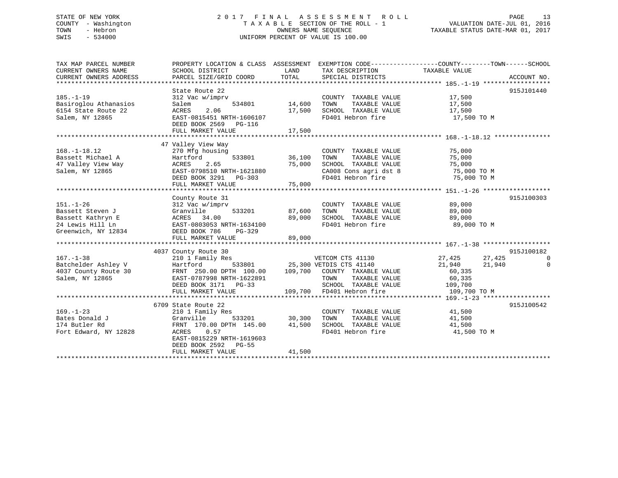## STATE OF NEW YORK 2 0 1 7 F I N A L A S S E S S M E N T R O L L PAGE 13 COUNTY - Washington T A X A B L E SECTION OF THE ROLL - 1 VALUATION DATE-JUL 01, 2016 TOWN - Hebron OWNERS NAME SEQUENCE TAXABLE STATUS DATE-MAR 01, 2017 SWIS - 534000 UNIFORM PERCENT OF VALUE IS 100.00

| TAX MAP PARCEL NUMBER<br>CURRENT OWNERS NAME<br>CURRENT OWNERS ADDRESS                              | PROPERTY LOCATION & CLASS ASSESSMENT EXEMPTION CODE----------------COUNTY-------TOWN-----SCHOOL<br>SCHOOL DISTRICT<br>PARCEL SIZE/GRID COORD                                           | LAND<br>TOTAL              | TAX DESCRIPTION<br>SPECIAL DISTRICTS                                                                                                                      | TAXABLE VALUE                                                                       | ACCOUNT NO.                 |
|-----------------------------------------------------------------------------------------------------|----------------------------------------------------------------------------------------------------------------------------------------------------------------------------------------|----------------------------|-----------------------------------------------------------------------------------------------------------------------------------------------------------|-------------------------------------------------------------------------------------|-----------------------------|
| $185. - 1 - 19$<br>Basiroglou Athanasios<br>6154 State Route 22<br>Salem, NY 12865                  | State Route 22<br>312 Vac w/imprv<br>534801<br>Salem<br>2.06<br>ACRES<br>EAST-0815451 NRTH-1606107<br>DEED BOOK 2569 PG-116<br>FULL MARKET VALUE                                       | 14,600<br>17,500<br>17,500 | COUNTY TAXABLE VALUE<br>TOWN<br>TAXABLE VALUE<br>SCHOOL TAXABLE VALUE<br>FD401 Hebron fire                                                                | 17,500<br>17,500<br>17,500<br>17,500 TO M                                           | 915J101440                  |
| $168. - 1 - 18.12$<br>Bassett Michael A<br>47 Valley View Way<br>Salem, NY 12865                    | 47 Valley View Way<br>270 Mfg housing<br>533801<br>Hartford<br>2.65<br>ACRES<br>EAST-0798510 NRTH-1621880<br>DEED BOOK 3291 PG-303<br>FULL MARKET VALUE                                | 36,100<br>75,000<br>75,000 | COUNTY TAXABLE VALUE 75,000<br>TAXABLE VALUE<br>TOWN<br>SCHOOL TAXABLE VALUE 75,000<br>CA008 Cons agri dst 8 75,000 TO M<br>FD401 Hebron fire 75,000 TO M | 75,000                                                                              |                             |
| $151. - 1 - 26$<br>Bassett Steven J<br>Bassett Kathryn E<br>24 Lewis Hill Ln<br>Greenwich, NY 12834 | County Route 31<br>312 Vac w/imprv<br>533201<br>Granville<br>ACRES 34.00<br>EAST-0803053 NRTH-1634100<br>DEED BOOK 786<br>PG-329<br>FULL MARKET VALUE                                  | 87,600<br>89,000<br>89,000 | COUNTY TAXABLE VALUE<br>TAXABLE VALUE<br>TOWN<br>SCHOOL TAXABLE VALUE<br>FD401 Hebron fire                                                                | 89,000<br>89,000<br>89,000<br>89,000 TO M                                           | 915J100303                  |
| $167. - 1 - 38$<br>Batchelder Ashley V<br>4037 County Route 30<br>Salem, NY 12865                   | 4037 County Route 30<br>210 1 Family Res<br>Hartford<br>FRNT 250.00 DPTH 100.00 109,700 COUNTY TAXABLE VALUE<br>EAST-0787998 NRTH-1622891<br>DEED BOOK 3171 PG-33<br>FULL MARKET VALUE |                            | VETCOM CTS 41130<br>533801 25,300 VETDIS CTS 41140<br>TOWN<br>TAXABLE VALUE<br>SCHOOL TAXABLE VALUE<br>109,700 FD401 Hebron fire                          | 27,425<br>27,425<br>21,940<br>21,940<br>60,335<br>60,335<br>109,700<br>109,700 TO M | 915J100182<br>0<br>$\Omega$ |
| $169. - 1 - 23$<br>Bates Donald J<br>174 Butler Rd<br>Fort Edward, NY 12828                         | 6709 State Route 22<br>210 1 Family Res<br>Granville<br>533201<br>FRNT 170.00 DPTH 145.00<br>ACRES 0.57<br>EAST-0815229 NRTH-1619603<br>DEED BOOK 2592 PG-55<br>FULL MARKET VALUE      | 30,300<br>41,500<br>41,500 | COUNTY TAXABLE VALUE 41,500<br>TOWN<br>TAXABLE VALUE<br>SCHOOL TAXABLE VALUE<br>FD401 Hebron fire                                                         | 41,500<br>41,500<br>41,500 TO M                                                     | 915J100542                  |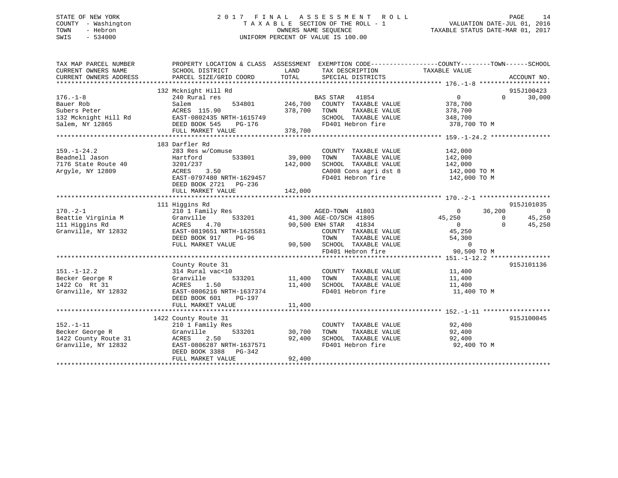## STATE OF NEW YORK 2 0 1 7 F I N A L A S S E S S M E N T R O L L PAGE 14 COUNTY - Washington T A X A B L E SECTION OF THE ROLL - 1 VALUATION DATE-JUL 01, 2016 TOWN - Hebron OWNERS NAME SEQUENCE TAXABLE STATUS DATE-MAR 01, 2017 SWIS - 534000 UNIFORM PERCENT OF VALUE IS 100.00

| SCHOOL DISTRICT                                                                                                           | LAND<br>TOTAL                                                                                                                                                                                         | SPECIAL DISTRICTS                                                                          |                                                                                                                       | ACCOUNT NO.                                                                                                                                                                                                                                                                                                                                       |
|---------------------------------------------------------------------------------------------------------------------------|-------------------------------------------------------------------------------------------------------------------------------------------------------------------------------------------------------|--------------------------------------------------------------------------------------------|-----------------------------------------------------------------------------------------------------------------------|---------------------------------------------------------------------------------------------------------------------------------------------------------------------------------------------------------------------------------------------------------------------------------------------------------------------------------------------------|
| 240 Rural res<br>Salem<br>ACRES 115.90                                                                                    | 378,700                                                                                                                                                                                               | COUNTY TAXABLE VALUE<br>TAXABLE VALUE<br>TOWN<br>SCHOOL TAXABLE VALUE                      | $\overline{0}$<br>378,700<br>378,700<br>348,700                                                                       | 915J100423<br>$\Omega$<br>30,000                                                                                                                                                                                                                                                                                                                  |
| FULL MARKET VALUE                                                                                                         | 378,700                                                                                                                                                                                               |                                                                                            |                                                                                                                       |                                                                                                                                                                                                                                                                                                                                                   |
| 283 Res w/Comuse<br>533801<br>Hartford<br>3201/237<br>3.50<br>ACRES<br>DEED BOOK 2721 PG-236<br>FULL MARKET VALUE         | 39,000<br>142,000                                                                                                                                                                                     | COUNTY TAXABLE VALUE<br>TOWN<br>TAXABLE VALUE<br>FD401 Hebron fire                         | 142,000<br>142,000<br>142,000<br>142,000 TO M                                                                         |                                                                                                                                                                                                                                                                                                                                                   |
|                                                                                                                           |                                                                                                                                                                                                       |                                                                                            |                                                                                                                       |                                                                                                                                                                                                                                                                                                                                                   |
| 210 1 Family Res<br>Granville<br>ACRES<br>4.70<br>EAST-0819651 NRTH-1625581<br>DEED BOOK 917 PG-96<br>FULL MARKET VALUE   |                                                                                                                                                                                                       |                                                                                            | $\mathbf{0}$<br>45,250<br>$\Omega$<br>$\Omega$<br>$\overline{0}$<br>45,250<br>54,300<br>$\overline{0}$<br>90,500 TO M | 915J101035<br>$\overline{0}$<br>45,250<br>45,250                                                                                                                                                                                                                                                                                                  |
|                                                                                                                           |                                                                                                                                                                                                       |                                                                                            |                                                                                                                       |                                                                                                                                                                                                                                                                                                                                                   |
| 314 Rural vac<10<br>Granville<br>ACRES<br>1.50<br>EAST-0806216 NRTH-1637374<br>DEED BOOK 601<br>PG-197                    | 11,400                                                                                                                                                                                                | COUNTY TAXABLE VALUE<br>TOWN<br>TAXABLE VALUE<br>SCHOOL TAXABLE VALUE<br>FD401 Hebron fire | 11,400<br>11,400<br>11,400<br>11,400 TO M                                                                             | 915J101136                                                                                                                                                                                                                                                                                                                                        |
|                                                                                                                           |                                                                                                                                                                                                       |                                                                                            |                                                                                                                       |                                                                                                                                                                                                                                                                                                                                                   |
| 210 1 Family Res<br>Granville<br>ACRES<br>2.50<br>EAST-0806287 NRTH-1637571<br>DEED BOOK 3388 PG-342<br>FULL MARKET VALUE | 92,400<br>92,400                                                                                                                                                                                      | COUNTY TAXABLE VALUE<br>TAXABLE VALUE<br>TOWN<br>FD401 Hebron fire                         | 92,400<br>92,400<br>92,400 TO M                                                                                       | 915J100045                                                                                                                                                                                                                                                                                                                                        |
|                                                                                                                           | 132 Mcknight Hill Rd<br>132 Mcknight Hill Rd EAST-0802435 NRTH-1615749<br>DEED BOOK 545<br>PG-176<br>183 Darfler Rd<br>111 Higgins Rd<br>County Route 31<br>FULL MARKET VALUE<br>1422 County Route 31 | PARCEL SIZE/GRID COORD<br>534801 246,700<br>EAST-0797480 NRTH-1629457<br>142,000<br>11,400 | BAS STAR 41854<br>FD401 Hebron fire<br>s<br>533201 41,300 AGE-CO/SCH 41805<br>90,500 ENH STAR 41834<br>533201 30,700  | PROPERTY LOCATION & CLASS ASSESSMENT EXEMPTION CODE---------------COUNTY-------TOWN-----SCHOOL<br>TAX DESCRIPTION TAXABLE VALUE<br>378,700 TO M<br>SCHOOL TAXABLE VALUE<br>CA008 Cons agri dst 8 142,000 TO M<br>36,200<br>COUNTY TAXABLE VALUE<br>-96<br>-96<br>-90,500 SCHOOL TAXABLE VALUE<br>FD401 Hebron fire<br>SCHOOL TAXABLE VALUE 92,400 |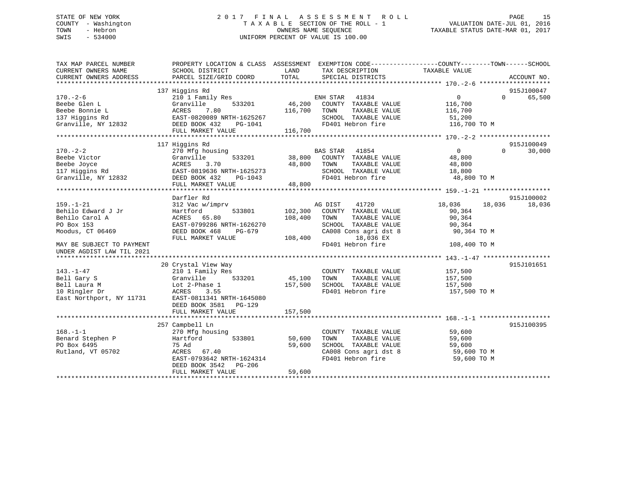## STATE OF NEW YORK 2 0 1 7 F I N A L A S S E S S M E N T R O L L PAGE 15 COUNTY - Washington T A X A B L E SECTION OF THE ROLL - 1 VALUATION DATE-JUL 01, 2016 TOWN - Hebron OWNERS NAME SEQUENCE TAXABLE STATUS DATE-MAR 01, 2017 SWIS - 534000 UNIFORM PERCENT OF VALUE IS 100.00

| TAX MAP PARCEL NUMBER<br>CURRENT OWNERS NAME<br>CURRENT OWNERS ADDRESS | PROPERTY LOCATION & CLASS ASSESSMENT<br>SCHOOL DISTRICT<br>PARCEL SIZE/GRID COORD | LAND<br>TOTAL | TAX DESCRIPTION<br>SPECIAL DISTRICTS | EXEMPTION CODE-----------------COUNTY-------TOWN------SCHOOL<br>TAXABLE VALUE | ACCOUNT NO.        |
|------------------------------------------------------------------------|-----------------------------------------------------------------------------------|---------------|--------------------------------------|-------------------------------------------------------------------------------|--------------------|
|                                                                        |                                                                                   |               |                                      |                                                                               |                    |
|                                                                        | 137 Higgins Rd                                                                    |               |                                      |                                                                               | 915J100047         |
| $170. - 2 - 6$                                                         | 210 1 Family Res                                                                  |               | 41834<br>ENH STAR                    | 0                                                                             | 65,500<br>$\Omega$ |
| Beebe Glen L                                                           | Granville<br>533201                                                               | 46,200        | COUNTY TAXABLE VALUE                 | 116,700                                                                       |                    |
| Beebe Bonnie L                                                         | ACRES<br>7.80                                                                     | 116,700       | TOWN<br>TAXABLE VALUE                | 116,700                                                                       |                    |
| 137 Higgins Rd                                                         | EAST-0820089 NRTH-1625267                                                         |               | SCHOOL TAXABLE VALUE                 | 51,200                                                                        |                    |
| Granville, NY 12832                                                    | DEED BOOK 432<br>PG-1041                                                          |               | FD401 Hebron fire                    | 116,700 TO M                                                                  |                    |
|                                                                        | FULL MARKET VALUE                                                                 | 116,700       |                                      |                                                                               |                    |
|                                                                        |                                                                                   |               |                                      |                                                                               |                    |
|                                                                        | 117 Higgins Rd                                                                    |               |                                      |                                                                               | 915J100049         |
| $170. - 2 - 2$                                                         | 270 Mfg housing                                                                   |               | BAS STAR<br>41854                    | $\Omega$                                                                      | $\Omega$<br>30,000 |
| Beebe Victor                                                           | Granville<br>533201                                                               | 38,800        | COUNTY TAXABLE VALUE                 | 48,800                                                                        |                    |
| Beebe Joyce                                                            | ACRES<br>3.70                                                                     | 48,800        | TAXABLE VALUE<br>TOWN                | 48,800                                                                        |                    |
| 117 Higgins Rd                                                         | EAST-0819636 NRTH-1625273                                                         |               | SCHOOL TAXABLE VALUE                 | 18,800                                                                        |                    |
| Granville, NY 12832                                                    | DEED BOOK 432<br>PG-1043                                                          |               | FD401 Hebron fire                    | 48,800 TO M                                                                   |                    |
|                                                                        | FULL MARKET VALUE                                                                 | 48,800        |                                      |                                                                               |                    |
|                                                                        |                                                                                   |               |                                      |                                                                               |                    |
|                                                                        | Darfler Rd                                                                        |               |                                      |                                                                               | 915J100002         |
| $159. - 1 - 21$                                                        | 312 Vac w/imprv                                                                   |               | AG DIST<br>41720                     | 18,036<br>18,036                                                              | 18,036             |
| Behilo Edward J Jr                                                     | Hartford<br>533801                                                                | 102,300       | COUNTY TAXABLE VALUE                 | 90,364                                                                        |                    |
| Behilo Carol A                                                         | 65.80<br>ACRES                                                                    | 108,400       | TAXABLE VALUE<br>TOWN                | 90,364                                                                        |                    |
| PO Box 153                                                             | EAST-0799286 NRTH-1626270                                                         |               | SCHOOL TAXABLE VALUE                 | 90,364                                                                        |                    |
| Moodus, CT 06469                                                       | DEED BOOK 468<br>PG-679                                                           |               | CA008 Cons agri dst 8                | 90,364 TO M                                                                   |                    |
|                                                                        | FULL MARKET VALUE                                                                 | 108,400       | 18,036 EX                            |                                                                               |                    |
| MAY BE SUBJECT TO PAYMENT                                              |                                                                                   |               | FD401 Hebron fire                    | 108,400 TO M                                                                  |                    |
| UNDER AGDIST LAW TIL 2021                                              |                                                                                   |               |                                      |                                                                               |                    |
|                                                                        |                                                                                   |               |                                      |                                                                               |                    |
|                                                                        | 20 Crystal View Way                                                               |               |                                      |                                                                               | 915J101651         |
| $143. - 1 - 47$                                                        | 210 1 Family Res                                                                  |               | COUNTY TAXABLE VALUE                 | 157,500                                                                       |                    |
| Bell Gary S                                                            | 533201<br>Granville                                                               | 45,100        | TOWN<br>TAXABLE VALUE                | 157,500                                                                       |                    |
| Bell Laura M                                                           | Lot 2-Phase 1                                                                     | 157,500       | SCHOOL TAXABLE VALUE                 | 157,500                                                                       |                    |
| 10 Ringler Dr                                                          | ACRES<br>3.55                                                                     |               | FD401 Hebron fire                    | 157,500 TO M                                                                  |                    |
| East Northport, NY 11731                                               | EAST-0811341 NRTH-1645080                                                         |               |                                      |                                                                               |                    |
|                                                                        | DEED BOOK 3581 PG-129                                                             |               |                                      |                                                                               |                    |
|                                                                        | FULL MARKET VALUE                                                                 | 157,500       |                                      |                                                                               |                    |
|                                                                        |                                                                                   |               |                                      |                                                                               |                    |
|                                                                        | 257 Campbell Ln                                                                   |               |                                      |                                                                               | 915J100395         |
| $168. - 1 - 1$                                                         | 270 Mfg housing                                                                   |               | COUNTY TAXABLE VALUE                 | 59,600                                                                        |                    |
| Benard Stephen P                                                       | Hartford<br>533801                                                                | 50,600        | TAXABLE VALUE<br>TOWN                | 59,600                                                                        |                    |
| PO Box 6495                                                            | 75 Ad                                                                             | 59,600        | SCHOOL TAXABLE VALUE                 | 59,600                                                                        |                    |
| Rutland, VT 05702                                                      | ACRES<br>67.40                                                                    |               | CA008 Cons agri dst 8                | 59,600 TO M                                                                   |                    |
|                                                                        | EAST-0793642 NRTH-1624314                                                         |               | FD401 Hebron fire                    | 59,600 TO M                                                                   |                    |
|                                                                        | DEED BOOK 3542<br>PG-206                                                          |               |                                      |                                                                               |                    |
|                                                                        | FULL MARKET VALUE                                                                 | 59,600        |                                      |                                                                               |                    |
|                                                                        |                                                                                   |               |                                      |                                                                               |                    |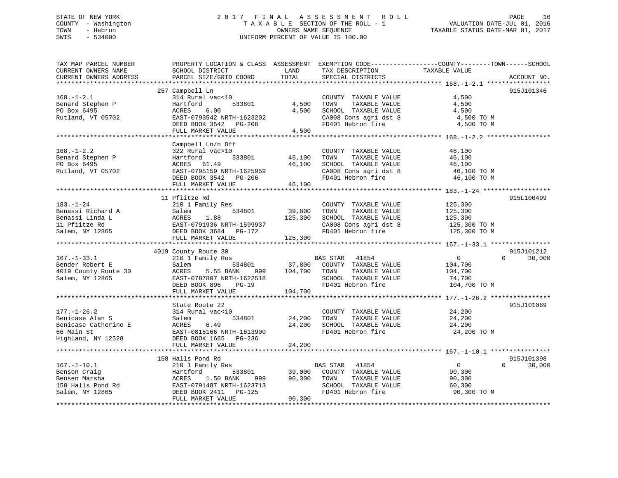## STATE OF NEW YORK 2 0 1 7 F I N A L A S S E S S M E N T R O L L PAGE 16 COUNTY - Washington T A X A B L E SECTION OF THE ROLL - 1 VALUATION DATE-JUL 01, 2016 TOWN - Hebron OWNERS NAME SEQUENCE TAXABLE STATUS DATE-MAR 01, 2017 SWIS - 534000 UNIFORM PERCENT OF VALUE IS 100.00

| TAX MAP PARCEL NUMBER                         | PROPERTY LOCATION & CLASS ASSESSMENT       |               |                                            | EXEMPTION CODE-----------------COUNTY-------TOWN------SCHOOL |                    |
|-----------------------------------------------|--------------------------------------------|---------------|--------------------------------------------|--------------------------------------------------------------|--------------------|
| CURRENT OWNERS NAME<br>CURRENT OWNERS ADDRESS | SCHOOL DISTRICT<br>PARCEL SIZE/GRID COORD  | LAND<br>TOTAL | TAX DESCRIPTION<br>SPECIAL DISTRICTS       | TAXABLE VALUE                                                | ACCOUNT NO.        |
|                                               |                                            |               |                                            |                                                              |                    |
|                                               | 257 Campbell Ln                            |               |                                            |                                                              | 915J101346         |
| $168. - 1 - 2.1$                              | 314 Rural vac<10                           |               | COUNTY TAXABLE VALUE                       | 4,500                                                        |                    |
| Benard Stephen P                              | Hartford<br>533801                         | 4,500         | TAXABLE VALUE<br>TOWN                      | 4,500                                                        |                    |
| PO Box 6495                                   | ACRES<br>6.00                              | 4,500         | SCHOOL TAXABLE VALUE                       | 4,500                                                        |                    |
| Rutland, VT 05702                             | EAST-0793542 NRTH-1623202                  |               | CA008 Cons agri dst 8                      | 4,500 TO M                                                   |                    |
|                                               | DEED BOOK 3542 PG-206                      |               | FD401 Hebron fire                          | 4,500 TO M                                                   |                    |
|                                               | FULL MARKET VALUE                          | 4,500         |                                            |                                                              |                    |
|                                               |                                            |               |                                            |                                                              |                    |
|                                               | Campbell Ln/n Off                          |               |                                            |                                                              |                    |
| $168. - 1 - 2.2$                              | 322 Rural vac>10                           |               | COUNTY TAXABLE VALUE                       | 46,100                                                       |                    |
| Benard Stephen P                              | Hartford<br>533801                         | 46,100        | TAXABLE VALUE<br>TOWN                      | 46,100                                                       |                    |
| PO Box 6495                                   | ACRES 61.49                                | 46,100        | SCHOOL TAXABLE VALUE                       | 46,100                                                       |                    |
| Rutland, VT 05702                             | EAST-0795159 NRTH-1625959                  |               | CA008 Cons agri dst 8                      | 46,100 TO M                                                  |                    |
|                                               | DEED BOOK 3542 PG-206                      |               | FD401 Hebron fire                          | 46,100 TO M                                                  |                    |
|                                               | FULL MARKET VALUE                          | 46,100        |                                            |                                                              |                    |
|                                               |                                            |               |                                            |                                                              |                    |
|                                               | 11 Pfiitze Rd                              |               |                                            |                                                              | 915L100499         |
| $183. - 1 - 24$                               | 210 1 Family Res                           |               | COUNTY TAXABLE VALUE                       | 125,300                                                      |                    |
| Benassi Richard A                             | 534801<br>Salem                            | 39,800        | TAXABLE VALUE<br>TOWN                      | 125,300                                                      |                    |
| Benassi Linda L                               | ACRES 1.88<br>EAST-0791936 NRTH-1599937    | 125,300       | SCHOOL TAXABLE VALUE                       | 125,300                                                      |                    |
| 11 Pfiitze Rd                                 |                                            |               | CA008 Cons agri dst 8<br>FD401 Hebron fire | 125,300 TO M                                                 |                    |
| Salem, NY 12865                               | DEED BOOK 3684 PG-172<br>FULL MARKET VALUE |               |                                            | 125,300 TO M                                                 |                    |
|                                               |                                            | 125,300       |                                            |                                                              |                    |
|                                               | 4019 County Route 30                       |               |                                            |                                                              | 915J101212         |
| $167. - 1 - 33.1$                             | 210 1 Family Res                           |               | BAS STAR 41854                             | $0 \qquad \qquad$                                            | $\Omega$<br>30,000 |
| Bender Robert E                               | Salem<br>534801                            |               | 37,800 COUNTY TAXABLE VALUE                | 104,700                                                      |                    |
| 4019 County Route 30                          | ACRES<br>5.55 BANK<br>999                  | 104,700       | TOWN<br>TAXABLE VALUE                      | 104,700                                                      |                    |
| Salem, NY 12865                               | EAST-0787807 NRTH-1622518                  |               | SCHOOL TAXABLE VALUE                       | 74,700                                                       |                    |
|                                               | DEED BOOK 896<br>$PG-19$                   |               | FD401 Hebron fire                          | 104,700 TO M                                                 |                    |
|                                               | FULL MARKET VALUE                          | 104,700       |                                            |                                                              |                    |
|                                               |                                            |               |                                            |                                                              |                    |
|                                               | State Route 22                             |               |                                            |                                                              | 915J101069         |
| $177. - 1 - 26.2$                             | 314 Rural vac<10                           |               | COUNTY TAXABLE VALUE                       | 24,200                                                       |                    |
| Benicase Alan S                               | Salem<br>534801                            | 24,200        | TOWN<br>TAXABLE VALUE                      | 24,200                                                       |                    |
| Benicase Catherine E                          | ACRES 6.49<br>EAST-0815166 NRTH-1613900    | 24,200        | SCHOOL TAXABLE VALUE                       | 24,200                                                       |                    |
| 66 Main St                                    |                                            |               | FD401 Hebron fire                          | 24,200 TO M                                                  |                    |
| Highland, NY 12528                            | DEED BOOK 1665 PG-236                      |               |                                            |                                                              |                    |
|                                               | FULL MARKET VALUE                          | 24,200        |                                            |                                                              |                    |
|                                               |                                            |               |                                            |                                                              |                    |
|                                               | 158 Halls Pond Rd                          |               |                                            |                                                              | 915J101398         |
| $167. - 1 - 10.1$                             | 210 1 Family Res                           |               | BAS STAR 41854                             | $\overline{0}$                                               | $\Omega$<br>30,000 |
| Benson Craig                                  | Hartford<br>533801                         | 39,000        | COUNTY TAXABLE VALUE                       | 90,300                                                       |                    |
| Bensen Marsha                                 | ACRES<br>1.50 BANK<br>999                  | 90,300        | TOWN<br>TAXABLE VALUE                      | 90,300                                                       |                    |
|                                               |                                            |               | SCHOOL TAXABLE VALUE                       | 60,300                                                       |                    |
| Salem, NY 12865                               |                                            |               | FD401 Hebron fire                          | 90,300 TO M                                                  |                    |
|                                               | FULL MARKET VALUE                          | 90,300        |                                            |                                                              |                    |
|                                               |                                            |               |                                            |                                                              |                    |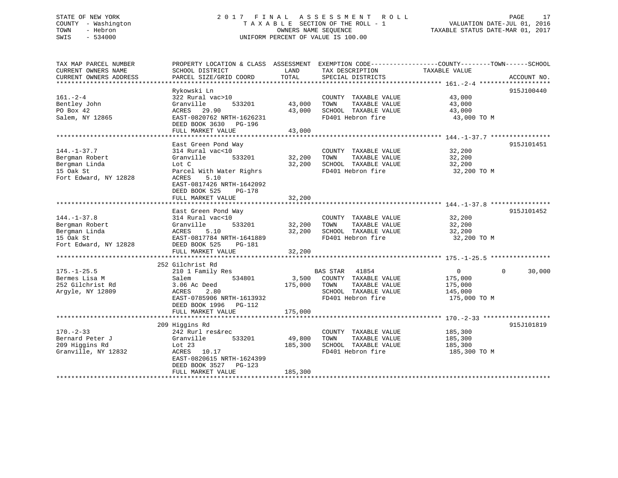## STATE OF NEW YORK 2 0 1 7 F I N A L A S S E S S M E N T R O L L PAGE 17 COUNTY - Washington T A X A B L E SECTION OF THE ROLL - 1 VALUATION DATE-JUL 01, 2016 TOWN - Hebron OWNERS NAME SEQUENCE TAXABLE STATUS DATE-MAR 01, 2017 SWIS - 534000 UNIFORM PERCENT OF VALUE IS 100.00

| TAX MAP PARCEL NUMBER<br>CURRENT OWNERS NAME<br>CURRENT OWNERS ADDRESS                     | PROPERTY LOCATION & CLASS ASSESSMENT<br>SCHOOL DISTRICT<br>PARCEL SIZE/GRID COORD                                                                                                                   | LAND<br>TOTAL                | EXEMPTION CODE-----------------COUNTY-------TOWN------SCHOOL<br>TAX DESCRIPTION<br>SPECIAL DISTRICTS                   | TAXABLE VALUE                                                   | ACCOUNT NO.        |
|--------------------------------------------------------------------------------------------|-----------------------------------------------------------------------------------------------------------------------------------------------------------------------------------------------------|------------------------------|------------------------------------------------------------------------------------------------------------------------|-----------------------------------------------------------------|--------------------|
| $161. - 2 - 4$<br>Bentley John<br>PO Box 42<br>Salem, NY 12865                             | Rykowski Ln<br>322 Rural vac>10<br>Granville<br>533201<br>ACRES 29.90<br>EAST-0820762 NRTH-1626231<br>DEED BOOK 3630 PG-196<br>FULL MARKET VALUE                                                    | 43,000<br>43,000<br>43,000   | COUNTY TAXABLE VALUE<br>TAXABLE VALUE<br>TOWN<br>SCHOOL TAXABLE VALUE<br>FD401 Hebron fire                             | 43,000<br>43,000<br>43,000<br>43,000 TO M                       | 915J100440         |
| $144. - 1 - 37.7$<br>Bergman Robert<br>Bergman Linda<br>15 Oak St<br>Fort Edward, NY 12828 | East Green Pond Way<br>314 Rural vac<10<br>533201<br>Granville<br>Lot C<br>Parcel With Water Righrs<br>5.10<br>ACRES<br>EAST-0817426 NRTH-1642092<br>DEED BOOK 525<br>$PG-178$<br>FULL MARKET VALUE | 32,200<br>32,200<br>32,200   | COUNTY TAXABLE VALUE<br>TAXABLE VALUE<br>TOWN<br>SCHOOL TAXABLE VALUE<br>FD401 Hebron fire                             | 32,200<br>32,200<br>32,200<br>32,200 TO M                       | 915J101451         |
| $144. - 1 - 37.8$<br>Bergman Robert<br>Bergman Linda<br>15 Oak St<br>Fort Edward, NY 12828 | East Green Pond Way<br>314 Rural vac<10<br>Granville<br>533201<br>ACRES<br>5.10<br>EAST-0817784 NRTH-1641889<br>DEED BOOK 525<br>PG-181<br>FULL MARKET VALUE                                        | 32,200<br>32,200<br>32,200   | COUNTY TAXABLE VALUE<br>TAXABLE VALUE<br>TOWN<br>SCHOOL TAXABLE VALUE<br>FD401 Hebron fire                             | 32,200<br>32,200<br>32,200<br>32,200 TO M                       | 915J101452         |
| $175. - 1 - 25.5$<br>Bermes Lisa M<br>252 Gilchrist Rd<br>Arqyle, NY 12809                 | 252 Gilchrist Rd<br>210 1 Family Res<br>534801<br>Salem<br>3.06 Ac Deed<br>2.80<br>ACRES<br>EAST-0785906 NRTH-1613932<br>DEED BOOK 1996<br>PG-112<br>FULL MARKET VALUE                              | 3,500<br>175,000<br>175,000  | <b>BAS STAR</b><br>41854<br>COUNTY TAXABLE VALUE<br>TOWN<br>TAXABLE VALUE<br>SCHOOL TAXABLE VALUE<br>FD401 Hebron fire | $\overline{0}$<br>175,000<br>175,000<br>145,000<br>175,000 TO M | 30,000<br>$\Omega$ |
| $170. - 2 - 33$<br>Bernard Peter J<br>209 Higgins Rd<br>Granville, NY 12832                | 209 Higgins Rd<br>242 Rurl res&rec<br>533201<br>Granville<br>Lot 23<br>ACRES 10.17<br>EAST-0820615 NRTH-1624399<br>DEED BOOK 3527<br>PG-123<br>FULL MARKET VALUE                                    | 49,800<br>185,300<br>185,300 | COUNTY TAXABLE VALUE<br>TAXABLE VALUE<br>TOWN<br>SCHOOL TAXABLE VALUE<br>FD401 Hebron fire                             | 185,300<br>185,300<br>185,300<br>185,300 TO M                   | 915J101819         |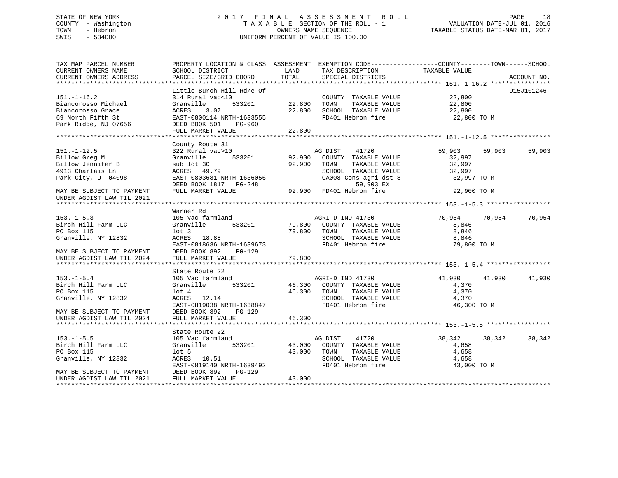## STATE OF NEW YORK 2 0 1 7 F I N A L A S S E S S M E N T R O L L PAGE 18 COUNTY - Washington T A X A B L E SECTION OF THE ROLL - 1 VALUATION DATE-JUL 01, 2016 TOWN - Hebron OWNERS NAME SEQUENCE TAXABLE STATUS DATE-MAR 01, 2017 SWIS - 534000 UNIFORM PERCENT OF VALUE IS 100.00

| TAX MAP PARCEL NUMBER<br>CURRENT OWNERS NAME                                                               | PROPERTY LOCATION & CLASS ASSESSMENT<br>SCHOOL DISTRICT                                                                                         | LAND                       | EXEMPTION CODE-----------------COUNTY-------TOWN------SCHOOL<br>TAX DESCRIPTION                                                                             | TAXABLE VALUE                                                 |             |
|------------------------------------------------------------------------------------------------------------|-------------------------------------------------------------------------------------------------------------------------------------------------|----------------------------|-------------------------------------------------------------------------------------------------------------------------------------------------------------|---------------------------------------------------------------|-------------|
| CURRENT OWNERS ADDRESS                                                                                     | PARCEL SIZE/GRID COORD                                                                                                                          | TOTAL                      | SPECIAL DISTRICTS                                                                                                                                           |                                                               | ACCOUNT NO. |
|                                                                                                            | Little Burch Hill Rd/e Of                                                                                                                       |                            |                                                                                                                                                             |                                                               | 915J101246  |
| $151. - 1 - 16.2$<br>Biancorosso Michael<br>Biancorosso Grace<br>69 North Fifth St<br>Park Ridge, NJ 07656 | 314 Rural vac<10<br>533201<br>Granville<br>3.07<br>ACRES<br>EAST-0800114 NRTH-1633555<br>DEED BOOK 501<br>PG-960<br>FULL MARKET VALUE           | 22,800<br>22,800<br>22,800 | COUNTY TAXABLE VALUE<br>TOWN<br>TAXABLE VALUE<br>SCHOOL TAXABLE VALUE<br>FD401 Hebron fire                                                                  | 22,800<br>22,800<br>22,800<br>22,800 TO M                     |             |
|                                                                                                            | County Route 31                                                                                                                                 |                            |                                                                                                                                                             |                                                               |             |
| $151. - 1 - 12.5$<br>Billow Greq M<br>Billow Jennifer B<br>4913 Charlais Ln<br>Park City, UT 04098         | 322 Rural vac>10<br>533201<br>Granville<br>sub lot 3C<br>ACRES 49.79<br>EAST-0803681 NRTH-1636056<br>DEED BOOK 1817 PG-248<br>FULL MARKET VALUE | 92,900<br>92,900           | AG DIST<br>41720<br>COUNTY TAXABLE VALUE<br>TOWN<br>TAXABLE VALUE<br>SCHOOL TAXABLE VALUE<br>CA008 Cons agri dst 8<br>59,903 EX<br>92,900 FD401 Hebron fire | 59,903<br>59,903<br>32,997<br>32,997<br>32,997<br>32,997 TO M | 59,903      |
| MAY BE SUBJECT TO PAYMENT<br>UNDER AGDIST LAW TIL 2021                                                     |                                                                                                                                                 |                            |                                                                                                                                                             | 92,900 TO M                                                   |             |
|                                                                                                            |                                                                                                                                                 |                            |                                                                                                                                                             |                                                               |             |
| $153. - 1 - 5.3$<br>Birch Hill Farm LLC<br>PO Box 115<br>Granville, NY 12832<br>MAY BE SUBJECT TO PAYMENT  | Warner Rd<br>105 Vac farmland<br>Granville<br>533201<br>$1$ ot $3$<br>ACRES 18.88<br>EAST-0818636 NRTH-1639673<br>DEED BOOK 892<br>PG-129       | 79,800<br>79,800           | AGRI-D IND 41730<br>COUNTY TAXABLE VALUE<br>TOWN<br>TAXABLE VALUE<br>SCHOOL TAXABLE VALUE<br>FD401 Hebron fire                                              | 70,954<br>70,954<br>8,846<br>8,846<br>8,846<br>79,800 TO M    | 70,954      |
| UNDER AGDIST LAW TIL 2024                                                                                  | FULL MARKET VALUE                                                                                                                               | 79,800                     |                                                                                                                                                             |                                                               |             |
|                                                                                                            | State Route 22                                                                                                                                  |                            |                                                                                                                                                             |                                                               |             |
| $153. - 1 - 5.4$<br>Birch Hill Farm LLC<br>PO Box 115<br>Granville, NY 12832<br>MAY BE SUBJECT TO PAYMENT  | 105 Vac farmland<br>Granville<br>533201<br>lot 4<br>ACRES 12.14<br>EAST-0819038 NRTH-1638847<br>DEED BOOK 892<br>PG-129                         | 46,300<br>46,300           | AGRI-D IND 41730<br>COUNTY TAXABLE VALUE<br>TOWN<br>TAXABLE VALUE<br>SCHOOL TAXABLE VALUE<br>FD401 Hebron fire                                              | 41,930<br>41,930<br>4,370<br>4,370<br>4,370<br>46,300 TO M    | 41,930      |
| UNDER AGDIST LAW TIL 2024                                                                                  | FULL MARKET VALUE                                                                                                                               | 46,300                     |                                                                                                                                                             |                                                               |             |
|                                                                                                            | State Route 22                                                                                                                                  |                            |                                                                                                                                                             |                                                               |             |
| $153. - 1 - 5.5$<br>Birch Hill Farm LLC<br>PO Box 115<br>Granville, NY 12832<br>MAY BE SUBJECT TO PAYMENT  | 105 Vac farmland<br>Granville<br>533201<br>$1$ ot 5<br>ACRES<br>10.51<br>EAST-0819140 NRTH-1639492<br>DEED BOOK 892<br>PG-129                   | 43,000<br>43,000           | AG DIST<br>41720<br>COUNTY TAXABLE VALUE<br>TOWN<br>TAXABLE VALUE<br>SCHOOL TAXABLE VALUE<br>FD401 Hebron fire                                              | 38,342<br>38,342<br>4,658<br>4,658<br>4,658<br>43,000 TO M    | 38,342      |
| UNDER AGDIST LAW TIL 2021                                                                                  | FULL MARKET VALUE                                                                                                                               | 43,000                     |                                                                                                                                                             |                                                               |             |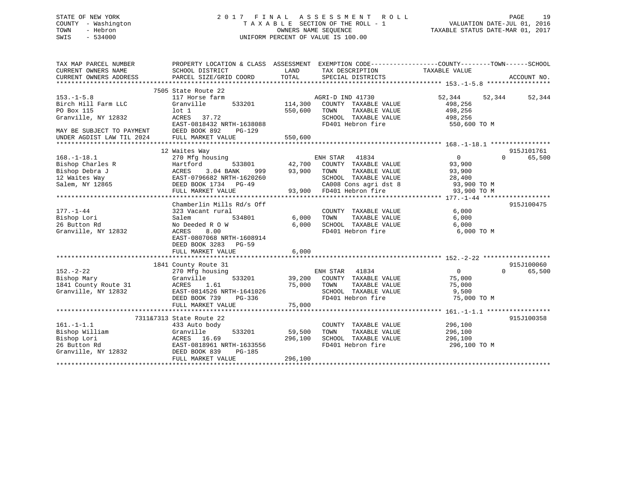## STATE OF NEW YORK 2 0 1 7 F I N A L A S S E S S M E N T R O L L PAGE 19 COUNTY - Washington T A X A B L E SECTION OF THE ROLL - 1 VALUATION DATE-JUL 01, 2016 TOWN - Hebron OWNERS NAME SEQUENCE TAXABLE STATUS DATE-MAR 01, 2017 SWIS - 534000 UNIFORM PERCENT OF VALUE IS 100.00

| TAX MAP PARCEL NUMBER<br>CURRENT OWNERS NAME<br>CURRENT OWNERS ADDRESS                      | PROPERTY LOCATION & CLASS ASSESSMENT EXEMPTION CODE---------------COUNTY-------TOWN------SCHOOL<br>SCHOOL DISTRICT<br>PARCEL SIZE/GRID COORD                  | LAND<br>TOTAL                | TAX DESCRIPTION TAXABLE VALUE<br>SPECIAL DISTRICTS                                                                                                                                            |                                                                              | ACCOUNT NO.                      |
|---------------------------------------------------------------------------------------------|---------------------------------------------------------------------------------------------------------------------------------------------------------------|------------------------------|-----------------------------------------------------------------------------------------------------------------------------------------------------------------------------------------------|------------------------------------------------------------------------------|----------------------------------|
| $153. - 1 - 5.8$<br>Birch Hill Farm LLC<br>PO Box 115<br>Granville, NY 12832                | 7505 State Route 22<br>117 Horse farm<br>Granville<br>533201<br>lot 1<br>ACRES 37.72<br>EAST-0818432 NRTH-1638088                                             | 114,300<br>550,600           | AGRI-D IND 41730<br>COUNTY TAXABLE VALUE<br>TOWN<br>TAXABLE VALUE<br>SCHOOL TAXABLE VALUE 498,256<br>FD401 Hebron fire                                                                        | 52,344 52,344<br>498,256<br>498,256<br>550,600 TO M                          | 52,344                           |
| MAY BE SUBJECT TO PAYMENT DEED BOOK 892<br>UNDER AGDIST LAW TIL 2024                        | <b>PG-129</b><br>FULL MARKET VALUE                                                                                                                            | 550,600                      |                                                                                                                                                                                               |                                                                              |                                  |
|                                                                                             | 12 Waites Way                                                                                                                                                 |                              |                                                                                                                                                                                               |                                                                              | 915J101761                       |
| $168. - 1 - 18.1$<br>Bishop Charles R<br>Bishop Debra J<br>12 Waites Way<br>Salem, NY 12865 | 270 Mfg housing<br>Hartford<br>533801<br>ACRES 3.04 BANK<br>EAST-0796682 NRTH-16202<br>DEED BOOK 1734 PG-49<br>EAST-0796682 NRTH-1620260<br>FULL MARKET VALUE | 93,900<br>999 — 10           | ENH STAR 41834<br>ENH STAR 41834<br>42,700 COUNTY TAXABLE VALUE<br>TOWN<br>TAXABLE VALUE<br>SCHOOL TAXABLE VALUE<br>SCHOOL TAXABLE VALUE<br>CA008 Cons agri dst 8<br>93,900 FD401 Hebron fire | $\overline{0}$<br>93,900<br>93,900<br>28,400<br>$93,900$ TO M<br>93,900 TO M | $\Omega$<br>65,500               |
|                                                                                             | Chamberlin Mills Rd/s Off                                                                                                                                     |                              |                                                                                                                                                                                               |                                                                              | 915J100475                       |
| 177.-1-44<br>Bishop Lori<br>26 Button Rd<br>Granville, NY 12832                             | 323 Vacant rural<br>Salem<br>534801<br>No Deeded R O W<br>8.00<br>ACRES<br>EAST-0807068 NRTH-1608914<br>DEED BOOK 3283 PG-59<br>FULL MARKET VALUE             | 6,000<br>6,000<br>6,000      | COUNTY TAXABLE VALUE<br>TAXABLE VALUE<br>TOWN<br>SCHOOL TAXABLE VALUE<br>FD401 Hebron fire                                                                                                    | 6,000<br>6,000<br>6,000<br>6,000 TO M                                        |                                  |
|                                                                                             |                                                                                                                                                               |                              |                                                                                                                                                                                               |                                                                              |                                  |
| $152. - 2 - 22$<br>Bishop Mary<br>1841 County Route 31<br>Granville, NY 12832               | 1841 County Route 31<br>270 Mfg housing<br>533201<br>Granville<br>ACRES<br>1.61<br>EAST-0814526 NRTH-1641026<br>DEED BOOK 739<br>PG-336<br>FULL MARKET VALUE  | 75,000<br>75,000             | ENH STAR 41834<br>39,200 COUNTY TAXABLE VALUE<br>TAXABLE VALUE<br>TOWN<br>SCHOOL TAXABLE VALUE<br>FD401 Hebron fire                                                                           | $\overline{0}$<br>75,000<br>75,000<br>9,500<br>75,000 TO M                   | 915J100060<br>$\Omega$<br>65,500 |
|                                                                                             |                                                                                                                                                               |                              |                                                                                                                                                                                               |                                                                              |                                  |
| $161. - 1 - 1.1$<br>Bishop William<br>Bishop Lori<br>26 Button Rd<br>Granville, NY 12832    | 7311&7313 State Route 22<br>433 Auto body<br>Granville<br>533201<br>ACRES 16.69<br>EAST-0818961 NRTH-1633556<br>DEED BOOK 839<br>PG-185<br>FULL MARKET VALUE  | 59,500<br>296,100<br>296,100 | COUNTY TAXABLE VALUE<br>TAXABLE VALUE<br>TOWN<br>SCHOOL TAXABLE VALUE<br>FD401 Hebron fire                                                                                                    | 296,100<br>296,100<br>296,100<br>296,100 TO M                                | 915J100358                       |
|                                                                                             |                                                                                                                                                               |                              |                                                                                                                                                                                               |                                                                              |                                  |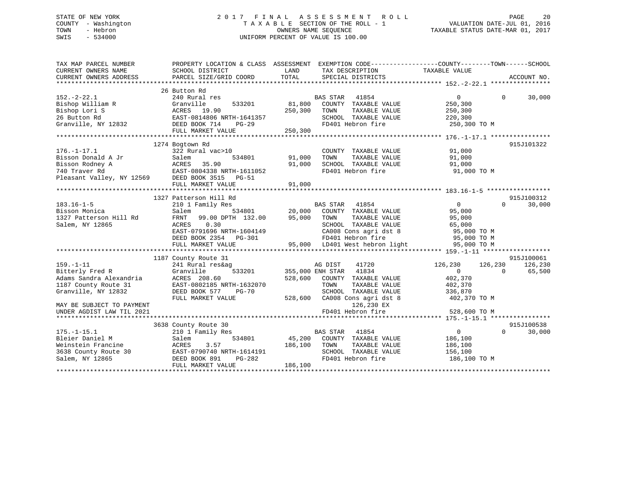#### STATE OF NEW YORK 2 0 1 7 F I N A L A S S E S S M E N T R O L L PAGE 20COUNTY - Washington T A X A B L E SECTION OF THE ROLL - 1 TOWN - Hebron OWNERS NAME SEQUENCE TAXABLE STATUS DATE-MAR 01, 2017 SWIS - 534000 UNIFORM PERCENT OF VALUE IS 100.00

| TAX MAP PARCEL NUMBER                     | PROPERTY LOCATION & CLASS ASSESSMENT EXEMPTION CODE----------------COUNTY-------TOWN------SCHOOL                                                                                                 |         |                                                            |                       |                    |
|-------------------------------------------|--------------------------------------------------------------------------------------------------------------------------------------------------------------------------------------------------|---------|------------------------------------------------------------|-----------------------|--------------------|
| CURRENT OWNERS NAME                       | SCHOOL DISTRICT                                                                                                                                                                                  | LAND    | TAX DESCRIPTION                                            | TAXABLE VALUE         |                    |
| CURRENT OWNERS ADDRESS                    | PARCEL SIZE/GRID COORD                                                                                                                                                                           | TOTAL   | SPECIAL DISTRICTS                                          |                       | ACCOUNT NO.        |
|                                           |                                                                                                                                                                                                  |         |                                                            |                       |                    |
|                                           | 26 Button Rd                                                                                                                                                                                     |         |                                                            |                       |                    |
| $152. - 2 - 22.1$                         | 240 Rural res                                                                                                                                                                                    |         | BAS STAR 41854                                             | 0                     | $\Omega$<br>30,000 |
| Bishop William R                          | 533201<br>Granville                                                                                                                                                                              | 81,800  | COUNTY TAXABLE VALUE                                       | 250,300               |                    |
| Bishop Lori S                             | ACRES 19.90                                                                                                                                                                                      | 250,300 | TAXABLE VALUE<br>TOWN                                      | 250,300               |                    |
| 26 Button Rd                              | EAST-0814806 NRTH-1641357                                                                                                                                                                        |         | SCHOOL TAXABLE VALUE                                       | 220,300               |                    |
| Granville, NY 12832                       |                                                                                                                                                                                                  |         |                                                            |                       |                    |
|                                           | 26 BULLON NO EXAMPLE BOOK 714 PO-29<br>Granville, NY 12832 DEED BOOK 714 PG-29<br>FD401 Hebron fire 250,300 TO M 250,300 TO M 250,300 POM PULL MARKET VALUE 250,300 PO 250,300 POM 250,300 POM   |         |                                                            |                       |                    |
|                                           |                                                                                                                                                                                                  |         |                                                            |                       |                    |
|                                           | 1274 Bogtown Rd                                                                                                                                                                                  |         |                                                            |                       | 915J101322         |
| $176. - 1 - 17.1$                         | 322 Rural vac>10                                                                                                                                                                                 |         | COUNTY TAXABLE VALUE                                       | 91,000                |                    |
|                                           |                                                                                                                                                                                                  | 91,000  | TOWN<br>TAXABLE VALUE                                      | 91,000                |                    |
|                                           |                                                                                                                                                                                                  | 91,000  | SCHOOL TAXABLE VALUE                                       | 91,000                |                    |
|                                           |                                                                                                                                                                                                  |         | FD401 Hebron fire                                          | 91,000 TO M           |                    |
|                                           | 1/0.-1-1/.1<br>Bisson Donald A Jr Salem 534801<br>Bisson Rodney A ACRES 35.90<br>740 Traver Rd EAST-0804338 NRTH-1611052<br>Pleasant Valley, NY 12569 DEED BOOK 3515 PG-51<br>FITTL MADKET VALUE |         |                                                            |                       |                    |
|                                           | FULL MARKET VALUE                                                                                                                                                                                | 91,000  |                                                            |                       |                    |
|                                           | 1327 Patterson Hill Rd                                                                                                                                                                           |         |                                                            |                       | 915J100312         |
| $183.16 - 1 - 5$                          | 210 1 Family Res                                                                                                                                                                                 |         | BAS STAR<br>41854                                          | $\overline{0}$        | $\Omega$<br>30,000 |
|                                           |                                                                                                                                                                                                  |         |                                                            | 95,000                |                    |
| Bisson Monica                             | Salem                                                                                                                                                                                            |         | 534801 20,000 COUNTY TAXABLE VALUE                         |                       |                    |
| 1327 Patterson Hill Rd<br>Salem, NY 12865 | FRNT 99.00 DPTH 132.00<br>0.30<br>ACRES                                                                                                                                                          | 95,000  | TOWN<br>TAXABLE VALUE<br>SCHOOL TAXABLE VALUE              | 95,000                |                    |
|                                           | EAST-0791696 NRTH-1604149                                                                                                                                                                        |         |                                                            | 65,000<br>95,000 TO M |                    |
|                                           | DEED BOOK 2354 PG-301                                                                                                                                                                            |         |                                                            | 95,000 TO M           |                    |
|                                           |                                                                                                                                                                                                  |         | Eliss coms agri dst 8<br>FD401 Hebron fire<br>LD401 Wort ' |                       |                    |
|                                           | FULL MARKET VALUE                                                                                                                                                                                |         | 95,000 LD401 West hebron light                             | 95,000 TO M           |                    |
|                                           | 1187 County Route 31                                                                                                                                                                             |         |                                                            |                       | 915J100061         |
| $159. - 1 - 11$                           | 241 Rural res&ag                                                                                                                                                                                 |         | AG DIST<br>41720                                           | 126,230<br>126,230    | 126,230            |
| Bitterly Fred R                           | Granville<br>533201                                                                                                                                                                              |         | 41834<br>355,000 ENH STAR                                  | $\Omega$              | 65,500<br>$\Omega$ |
| Adams Sandra Alexandria                   | ACRES 208.60                                                                                                                                                                                     | 528,600 | COUNTY TAXABLE VALUE                                       | 402,370               |                    |
| 1187 County Route 31                      | EAST-0802185 NRTH-1632070                                                                                                                                                                        |         | TOWN<br>TAXABLE VALUE                                      | 402,370               |                    |
| Granville, NY 12832                       | DEED BOOK 577<br>$PG-70$                                                                                                                                                                         |         | SCHOOL TAXABLE VALUE                                       | 336,870               |                    |
|                                           | FULL MARKET VALUE                                                                                                                                                                                | 528,600 | CA008 Cons agri dst 8                                      | 402,370 TO M          |                    |
| MAY BE SUBJECT TO PAYMENT                 |                                                                                                                                                                                                  |         | 126,230 EX                                                 |                       |                    |
| UNDER AGDIST LAW TIL 2021                 |                                                                                                                                                                                                  |         | FD401 Hebron fire                                          | 528,600 TO M          |                    |
|                                           |                                                                                                                                                                                                  |         |                                                            |                       |                    |
|                                           | 3638 County Route 30                                                                                                                                                                             |         |                                                            |                       | 915J100538         |
| $175. - 1 - 15.1$                         | 210 1 Family Res                                                                                                                                                                                 |         | BAS STAR 41854                                             | $\overline{0}$        | $\Omega$<br>30,000 |
| Bleier Daniel M                           | 534801<br>Salem                                                                                                                                                                                  | 45,200  | COUNTY TAXABLE VALUE                                       | 186,100               |                    |
| Weinstein Francine                        | ACRES<br>3.57                                                                                                                                                                                    | 186,100 | TAXABLE VALUE<br>TOWN                                      | 186,100               |                    |
| 3638 County Route 30                      | EAST-0790740 NRTH-1614191                                                                                                                                                                        |         | SCHOOL TAXABLE VALUE                                       | 156,100               |                    |
| Salem, NY 12865                           | DEED BOOK 891<br>PG-282                                                                                                                                                                          |         | FD401 Hebron fire                                          | 186,100 TO M          |                    |
|                                           | FULL MARKET VALUE                                                                                                                                                                                | 186,100 |                                                            |                       |                    |
|                                           |                                                                                                                                                                                                  |         |                                                            |                       |                    |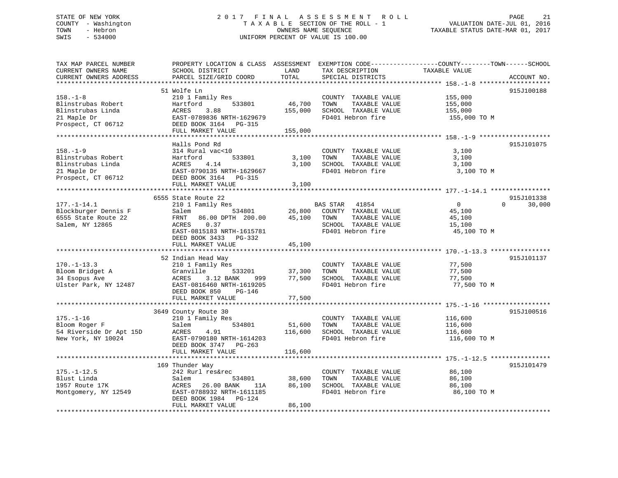## STATE OF NEW YORK 2 0 1 7 F I N A L A S S E S S M E N T R O L L PAGE 21 COUNTY - Washington T A X A B L E SECTION OF THE ROLL - 1 VALUATION DATE-JUL 01, 2016 TOWN - Hebron OWNERS NAME SEQUENCE TAXABLE STATUS DATE-MAR 01, 2017 SWIS - 534000 UNIFORM PERCENT OF VALUE IS 100.00

| TAX MAP PARCEL NUMBER<br>CURRENT OWNERS NAME<br>CURRENT OWNERS ADDRESS                         | SCHOOL DISTRICT<br>PARCEL SIZE/GRID COORD                                                                                      | LAND<br>TOTAL     | TAX DESCRIPTION<br>SPECIAL DISTRICTS                                                       | PROPERTY LOCATION & CLASS ASSESSMENT EXEMPTION CODE----------------COUNTY-------TOWN------SCHOOL<br>TAXABLE VALUE<br>ACCOUNT NO. |        |
|------------------------------------------------------------------------------------------------|--------------------------------------------------------------------------------------------------------------------------------|-------------------|--------------------------------------------------------------------------------------------|----------------------------------------------------------------------------------------------------------------------------------|--------|
|                                                                                                |                                                                                                                                |                   |                                                                                            |                                                                                                                                  |        |
| $158. - 1 - 8$<br>Blinstrubas Robert<br>Blinstrubas Linda<br>21 Maple Dr                       | 51 Wolfe Ln<br>210 1 Family Res<br>533801<br>Hartford<br>3.88<br>ACRES<br>EAST-0789836 NRTH-1629679                            | 46,700<br>155,000 | COUNTY TAXABLE VALUE<br>TOWN<br>TAXABLE VALUE<br>SCHOOL TAXABLE VALUE<br>FD401 Hebron fire | 915J100188<br>155,000<br>155,000<br>155,000<br>155,000 TO M                                                                      |        |
| Prospect, CT 06712                                                                             | DEED BOOK 3164 PG-315                                                                                                          |                   |                                                                                            |                                                                                                                                  |        |
|                                                                                                | FULL MARKET VALUE                                                                                                              | 155,000           |                                                                                            |                                                                                                                                  |        |
|                                                                                                |                                                                                                                                |                   |                                                                                            |                                                                                                                                  |        |
| $158. - 1 - 9$<br>Blinstrubas Robert<br>Blinstrubas Linda<br>21 Maple Dr<br>Prospect, CT 06712 | Halls Pond Rd<br>314 Rural vac<10<br>Hartford<br>533801<br>4.14<br>ACRES<br>EAST-0790135 NRTH-1629667<br>DEED BOOK 3164 PG-315 | 3,100<br>3,100    | COUNTY TAXABLE VALUE<br>TAXABLE VALUE<br>TOWN<br>SCHOOL TAXABLE VALUE<br>FD401 Hebron fire | 915J101075<br>3,100<br>3,100<br>3,100<br>3,100 TO M                                                                              |        |
|                                                                                                | FULL MARKET VALUE                                                                                                              | 3,100             |                                                                                            |                                                                                                                                  |        |
|                                                                                                |                                                                                                                                |                   |                                                                                            |                                                                                                                                  |        |
| $177. - 1 - 14.1$                                                                              | 6555 State Route 22<br>210 1 Family Res                                                                                        |                   | BAS STAR 41854                                                                             | 915J101338<br>$\overline{0}$<br>$\Omega$                                                                                         | 30,000 |
| Blockburger Dennis F<br>6555 State Route 22                                                    | 534801<br>Salem<br>FRNT 86.00 DPTH 200.00                                                                                      | 45,100            | 26,800 COUNTY TAXABLE VALUE<br>TOWN<br>TAXABLE VALUE                                       | 45,100<br>45,100                                                                                                                 |        |
| Salem, NY 12865                                                                                | 0.37<br>ACRES<br>EAST-0815183 NRTH-1615781<br>DEED BOOK 3433 PG-332                                                            |                   | SCHOOL TAXABLE VALUE<br>FD401 Hebron fire                                                  | 15,100<br>45,100 TO M                                                                                                            |        |
|                                                                                                | FULL MARKET VALUE                                                                                                              | 45,100            |                                                                                            |                                                                                                                                  |        |
|                                                                                                |                                                                                                                                |                   |                                                                                            |                                                                                                                                  |        |
|                                                                                                | 52 Indian Head Way                                                                                                             |                   |                                                                                            | 915J101137                                                                                                                       |        |
| $170. - 1 - 13.3$                                                                              | 210 1 Family Res                                                                                                               |                   | COUNTY TAXABLE VALUE                                                                       | 77,500                                                                                                                           |        |
| Bloom Bridget A                                                                                | Granville<br>533201                                                                                                            | 37,300            | TAXABLE VALUE<br>TOWN                                                                      | 77,500                                                                                                                           |        |
| 34 Esopus Ave<br>Ulster Park, NY 12487                                                         | 3.12 BANK<br>ACRES<br>999 — 10<br>EAST-0816460 NRTH-1619205<br>DEED BOOK 850<br>$PG-146$                                       | 77,500            | SCHOOL TAXABLE VALUE<br>FD401 Hebron fire                                                  | 77,500<br>77,500 TO M                                                                                                            |        |
|                                                                                                | FULL MARKET VALUE                                                                                                              | 77,500            |                                                                                            |                                                                                                                                  |        |
|                                                                                                |                                                                                                                                |                   |                                                                                            |                                                                                                                                  |        |
| $175. - 1 - 16$<br>Bloom Roger F                                                               | 3649 County Route 30<br>210 1 Family Res<br>534801<br>Salem                                                                    | 51,600            | COUNTY TAXABLE VALUE<br>TOWN<br>TAXABLE VALUE                                              | 915J100516<br>116,600<br>116,600                                                                                                 |        |
| 54 Riverside Dr Apt 15D<br>New York, NY 10024                                                  | ACRES<br>4.91<br>EAST-0790180 NRTH-1614203                                                                                     | 116,600           | SCHOOL TAXABLE VALUE<br>FD401 Hebron fire                                                  | 116,600<br>116,600 TO M                                                                                                          |        |
|                                                                                                | DEED BOOK 3747 PG-263<br>FULL MARKET VALUE                                                                                     | 116,600           |                                                                                            |                                                                                                                                  |        |
|                                                                                                |                                                                                                                                |                   |                                                                                            |                                                                                                                                  |        |
|                                                                                                | 169 Thunder Way                                                                                                                |                   |                                                                                            | 915J101479                                                                                                                       |        |
| $175. - 1 - 12.5$                                                                              | 242 Rurl res&rec                                                                                                               |                   | COUNTY TAXABLE VALUE                                                                       | 86,100                                                                                                                           |        |
| Blust Linda                                                                                    | Salem<br>534801                                                                                                                | 38,600            | TOWN<br>TAXABLE VALUE                                                                      | 86,100                                                                                                                           |        |
| 1957 Route 17K<br>Montgomery, NY 12549                                                         | ACRES<br>26.00 BANK<br>11A<br>EAST-0788932 NRTH-1611185<br>DEED BOOK 1984 PG-124                                               | 86,100            | SCHOOL TAXABLE VALUE<br>FD401 Hebron fire                                                  | 86,100<br>86,100 TO M                                                                                                            |        |
|                                                                                                | FULL MARKET VALUE                                                                                                              | 86,100            |                                                                                            |                                                                                                                                  |        |
|                                                                                                |                                                                                                                                |                   |                                                                                            |                                                                                                                                  |        |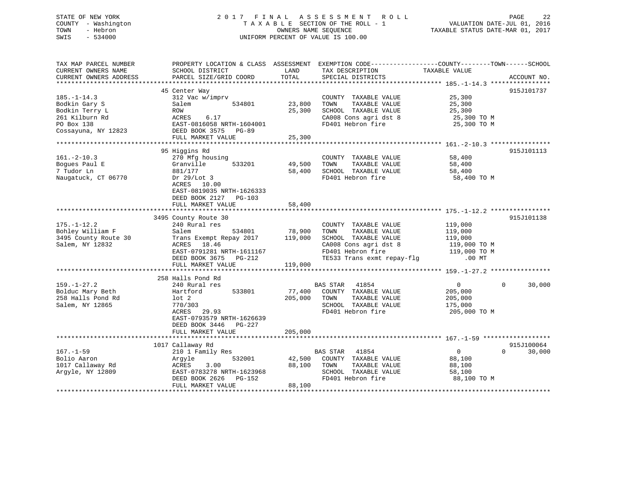# STATE OF NEW YORK 22 1 2 0 1 7 F I N A L A S S E S S M E N T R O L L PAGE 22 COUNTY - Washington  $T A X A B L E$  SECTION OF THE ROLL - 1<br>TOWN - Hebron DATE-JUL 000NERS NAME SEQUENCE SWIS - 534000 UNIFORM PERCENT OF VALUE IS 100.00

TAXABLE STATUS DATE-MAR 01, 2017

| TAX MAP PARCEL NUMBER<br>CURRENT OWNERS NAME<br>CURRENT OWNERS ADDRESS           | PROPERTY LOCATION & CLASS ASSESSMENT EXEMPTION CODE----------------COUNTY-------TOWN------SCHOOL<br>SCHOOL DISTRICT<br>PARCEL SIZE/GRID COORD               | LAND<br>TOTAL              | TAX DESCRIPTION<br>SPECIAL DISTRICTS                                                                                                              | TAXABLE VALUE                                                             | ACCOUNT NO.        |
|----------------------------------------------------------------------------------|-------------------------------------------------------------------------------------------------------------------------------------------------------------|----------------------------|---------------------------------------------------------------------------------------------------------------------------------------------------|---------------------------------------------------------------------------|--------------------|
| $185. - 1 - 14.3$                                                                | 45 Center Way<br>312 Vac w/imprv                                                                                                                            |                            | COUNTY TAXABLE VALUE                                                                                                                              | 25,300                                                                    | 915J101737         |
| Bodkin Gary S<br>Bodkin Terry L<br>261 Kilburn Rd                                | 534801<br>Salem<br>ROW<br>ACRES<br>6.17                                                                                                                     | 23,800<br>25,300           | TOWN<br>TAXABLE VALUE<br>SCHOOL TAXABLE VALUE<br>CA008 Cons agri dst 8                                                                            | 25,300<br>25,300<br>25,300 TO M                                           |                    |
| PO Box 138<br>Cossayuna, NY 12823                                                | EAST-0816058 NRTH-1604001<br>DEED BOOK 3575<br>PG-89<br>FULL MARKET VALUE                                                                                   | 25,300                     | FD401 Hebron fire                                                                                                                                 | 25,300 TO M                                                               |                    |
|                                                                                  |                                                                                                                                                             | **************             |                                                                                                                                                   |                                                                           |                    |
| $161. - 2 - 10.3$<br>Bogues Paul E<br>7 Tudor Ln<br>Naugatuck, CT 06770          | 95 Higgins Rd<br>270 Mfg housing<br>533201<br>Granville<br>881/177<br>Dr $29/Lot$ 3<br>ACRES 10.00                                                          | 49,500<br>58,400           | COUNTY TAXABLE VALUE<br>TOWN<br>TAXABLE VALUE<br>SCHOOL TAXABLE VALUE<br>FD401 Hebron fire                                                        | 58,400<br>58,400<br>58,400<br>58,400 TO M                                 | 915J101113         |
|                                                                                  | EAST-0819035 NRTH-1626333<br>DEED BOOK 2127<br>PG-103<br>FULL MARKET VALUE                                                                                  | 58,400                     |                                                                                                                                                   |                                                                           |                    |
|                                                                                  |                                                                                                                                                             |                            |                                                                                                                                                   |                                                                           | 915J101138         |
| $175. - 1 - 12.2$<br>Bohley William F<br>3495 County Route 30<br>Salem, NY 12832 | 3495 County Route 30<br>240 Rural res<br>Salem<br>534801<br>Trans Exempt Repay 2017<br>ACRES<br>18.46<br>EAST-0791281 NRTH-1611167<br>DEED BOOK 3675 PG-212 | 78,900<br>119,000          | COUNTY TAXABLE VALUE<br>TOWN<br>TAXABLE VALUE<br>SCHOOL TAXABLE VALUE<br>CA008 Cons agri dst 8<br>FD401 Hebron fire<br>TE533 Trans exmt repay-flg | 119,000<br>119,000<br>119,000<br>119,000 TO M<br>119,000 TO M<br>$.00$ MT |                    |
|                                                                                  | FULL MARKET VALUE                                                                                                                                           | 119,000                    |                                                                                                                                                   |                                                                           |                    |
|                                                                                  | 258 Halls Pond Rd                                                                                                                                           |                            |                                                                                                                                                   |                                                                           |                    |
| $159. - 1 - 27.2$<br>Bolduc Mary Beth<br>258 Halls Pond Rd<br>Salem, NY 12865    | 240 Rural res<br>533801<br>Hartford<br>$1$ ot $2$<br>770/303<br>ACRES<br>29.93<br>EAST-0793579 NRTH-1626639                                                 | 77,400<br>205,000          | BAS STAR<br>41854<br>COUNTY TAXABLE VALUE<br>TAXABLE VALUE<br>TOWN<br>SCHOOL TAXABLE VALUE<br>FD401 Hebron fire                                   | $\mathbf{0}$<br>205,000<br>205,000<br>175,000<br>205,000 TO M             | 30,000<br>$\Omega$ |
|                                                                                  | DEED BOOK 3446 PG-227<br>FULL MARKET VALUE                                                                                                                  | 205,000                    |                                                                                                                                                   |                                                                           |                    |
|                                                                                  |                                                                                                                                                             |                            |                                                                                                                                                   |                                                                           |                    |
|                                                                                  | 1017 Callaway Rd                                                                                                                                            |                            |                                                                                                                                                   |                                                                           | 915J100064         |
| $167. - 1 - 59$<br>Bolio Aaron<br>1017 Callaway Rd<br>Arqyle, NY 12809           | 210 1 Family Res<br>532001<br>Argyle<br>3.00<br>ACRES<br>EAST-0783278 NRTH-1623968<br>DEED BOOK 2626<br>PG-152<br>FULL MARKET VALUE                         | 42,500<br>88,100<br>88,100 | 41854<br>BAS STAR<br>COUNTY TAXABLE VALUE<br>TOWN<br>TAXABLE VALUE<br>SCHOOL TAXABLE VALUE<br>FD401 Hebron fire                                   | $\mathbf 0$<br>88,100<br>88,100<br>58,100<br>88,100 TO M                  | 30,000<br>$\Omega$ |
|                                                                                  |                                                                                                                                                             |                            |                                                                                                                                                   |                                                                           |                    |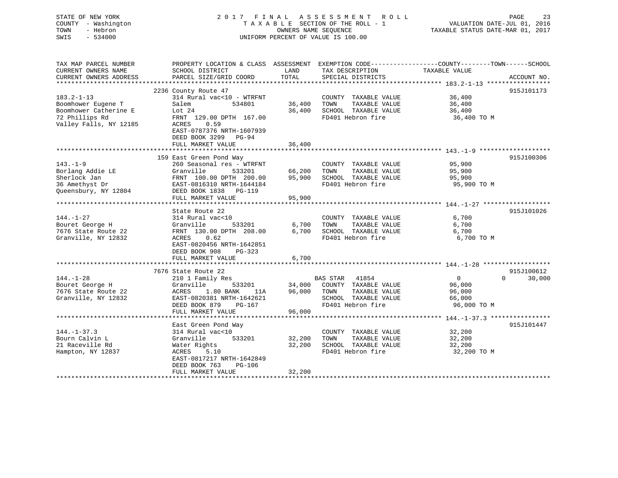## STATE OF NEW YORK 2 0 1 7 F I N A L A S S E S S M E N T R O L L PAGE 23 COUNTY - Washington T A X A B L E SECTION OF THE ROLL - 1 VALUATION DATE-JUL 01, 2016 TOWN - Hebron OWNERS NAME SEQUENCE TAXABLE STATUS DATE-MAR 01, 2017 SWIS - 534000 UNIFORM PERCENT OF VALUE IS 100.00

| TAX MAP PARCEL NUMBER<br>CURRENT OWNERS NAME<br>CURRENT OWNERS ADDRESS                                      | PROPERTY LOCATION & CLASS ASSESSMENT EXEMPTION CODE----------------COUNTY-------TOWN------SCHOOL<br>SCHOOL DISTRICT<br>PARCEL SIZE/GRID COORD                                                          | LAND<br>TOTAL              | TAX DESCRIPTION<br>SPECIAL DISTRICTS                                                                        | TAXABLE VALUE                                               | ACCOUNT NO.                      |
|-------------------------------------------------------------------------------------------------------------|--------------------------------------------------------------------------------------------------------------------------------------------------------------------------------------------------------|----------------------------|-------------------------------------------------------------------------------------------------------------|-------------------------------------------------------------|----------------------------------|
| $183.2 - 1 - 13$<br>Boomhower Eugene T<br>Boomhower Catherine E<br>72 Phillips Rd<br>Valley Falls, NY 12185 | 2236 County Route 47<br>314 Rural vac<10 - WTRFNT<br>Salem<br>534801<br>Lot $24$<br>FRNT 129.00 DPTH 167.00<br>0.59<br>ACRES<br>EAST-0787376 NRTH-1607939<br>DEED BOOK 3299 PG-94<br>FULL MARKET VALUE | 36,400<br>36,400<br>36,400 | COUNTY TAXABLE VALUE<br>TOWN<br>TAXABLE VALUE<br>SCHOOL TAXABLE VALUE<br>FD401 Hebron fire                  | 36,400<br>36,400<br>36,400<br>36,400 TO M                   | 915J101173                       |
| $143. - 1 - 9$<br>Borlang Addie LE<br>Sherlock Jan<br>36 Amethyst Dr<br>Queensbury, NY 12804                | 159 East Green Pond Way<br>260 Seasonal res - WTRFNT<br>Granville<br>533201<br>FRNT 100.00 DPTH 200.00<br>EAST-0816310 NRTH-1644184<br>DEED BOOK 1838 PG-119<br>FULL MARKET VALUE                      | 66,200<br>95,900<br>95,900 | COUNTY TAXABLE VALUE<br>TOWN<br>TAXABLE VALUE<br>SCHOOL TAXABLE VALUE<br>FD401 Hebron fire                  | 95,900<br>95,900<br>95,900<br>95,900 TO M                   | 915J100306                       |
| $144. - 1 - 27$<br>Bouret George H<br>7676 State Route 22<br>Granville, NY 12832                            | State Route 22<br>314 Rural vac<10<br>Granville<br>533201<br>FRNT 130.00 DPTH 208.00<br>0.62<br>ACRES<br>EAST-0820456 NRTH-1642851<br>DEED BOOK 908<br>$PG-323$<br>FULL MARKET VALUE                   | 6,700<br>6,700<br>6,700    | COUNTY TAXABLE VALUE<br>TOWN<br>TAXABLE VALUE<br>SCHOOL TAXABLE VALUE<br>FD401 Hebron fire                  | 6,700<br>6,700<br>6,700<br>6,700 TO M                       | 915J101026                       |
| $144. - 1 - 28$<br>Bouret George H<br>7676 State Route 22<br>Granville, NY 12832                            | 7676 State Route 22<br>210 1 Family Res<br>533201<br>Granville<br>1.80 BANK<br>ACRES<br>11A<br>EAST-0820381 NRTH-1642621<br>DEED BOOK 879<br>PG-167<br>FULL MARKET VALUE                               | 96,000 TOWN<br>96,000      | BAS STAR 41854<br>34,000 COUNTY TAXABLE VALUE<br>TAXABLE VALUE<br>SCHOOL TAXABLE VALUE<br>FD401 Hebron fire | $\overline{0}$<br>96,000<br>96,000<br>66,000<br>96,000 TO M | 915J100612<br>30,000<br>$\Omega$ |
| $144. - 1 - 37.3$<br>Bourn Calvin L<br>21 Raceville Rd<br>Hampton, NY 12837                                 | East Green Pond Way<br>314 Rural vac<10<br>Granville<br>533201<br>Water Rights<br>5.10<br>ACRES<br>EAST-0817217 NRTH-1642849<br>DEED BOOK 763<br><b>PG-106</b><br>FULL MARKET VALUE                    | 32,200<br>32,200<br>32,200 | COUNTY TAXABLE VALUE<br>TAXABLE VALUE<br>TOWN<br>SCHOOL TAXABLE VALUE<br>FD401 Hebron fire                  | 32,200<br>32,200<br>32,200<br>32,200 TO M                   | 915J101447                       |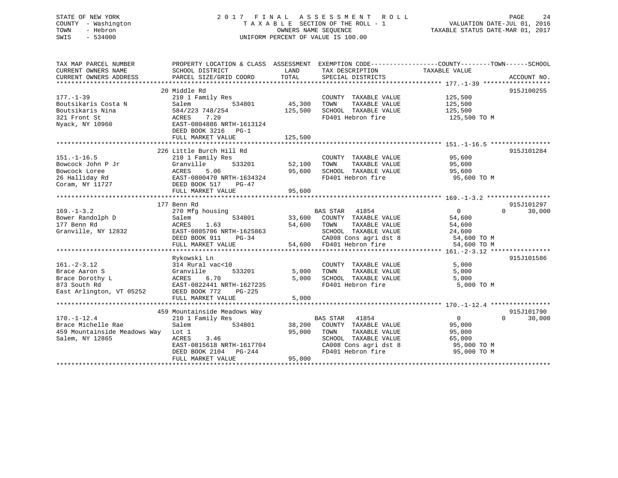## STATE OF NEW YORK 2 0 1 7 F I N A L A S S E S S M E N T R O L L PAGE 24 COUNTY - Washington T A X A B L E SECTION OF THE ROLL - 1 VALUATION DATE-JUL 01, 2016 TOWN - Hebron OWNERS NAME SEQUENCE TAXABLE STATUS DATE-MAR 01, 2017 SWIS - 534000 UNIFORM PERCENT OF VALUE IS 100.00

| TAX MAP PARCEL NUMBER<br>CURRENT OWNERS NAME<br>CURRENT OWNERS ADDRESS                            | PROPERTY LOCATION & CLASS ASSESSMENT<br>SCHOOL DISTRICT<br>PARCEL SIZE/GRID COORD                                                                                | LAND<br>TOTAL              | TAX DESCRIPTION<br>SPECIAL DISTRICTS                                                                                                            | EXEMPTION CODE-----------------COUNTY-------TOWN------SCHOOL<br>TAXABLE VALUE<br>ACCOUNT NO. |  |
|---------------------------------------------------------------------------------------------------|------------------------------------------------------------------------------------------------------------------------------------------------------------------|----------------------------|-------------------------------------------------------------------------------------------------------------------------------------------------|----------------------------------------------------------------------------------------------|--|
|                                                                                                   |                                                                                                                                                                  |                            |                                                                                                                                                 |                                                                                              |  |
| $177. - 1 - 39$<br>Boutsikaris Costa N<br>Boutsikaris Nina                                        | 20 Middle Rd<br>210 1 Family Res<br>Salem<br>534801<br>584/223 748/254                                                                                           | 45,300<br>125,500          | COUNTY TAXABLE VALUE<br>TOWN<br>TAXABLE VALUE<br>SCHOOL TAXABLE VALUE                                                                           | 915J100255<br>125,500<br>125,500<br>125,500                                                  |  |
| 321 Front St<br>Nyack, NY 10960                                                                   | ACRES<br>7.20<br>EAST-0804886 NRTH-1613124<br>DEED BOOK 3216 PG-1<br>FULL MARKET VALUE                                                                           | 125,500                    | FD401 Hebron fire                                                                                                                               | 125,500 TO M                                                                                 |  |
|                                                                                                   |                                                                                                                                                                  |                            |                                                                                                                                                 |                                                                                              |  |
| $151. - 1 - 16.5$<br>Bowcock John P Jr<br>Bowcock Loree<br>26 Halliday Rd<br>Coram, NY 11727      | 226 Little Burch Hill Rd<br>210 1 Family Res<br>Granville<br>533201<br>ACRES<br>5.06<br>EAST-0800470 NRTH-1634324<br>DEED BOOK 517<br>PG-47<br>FULL MARKET VALUE | 52,100<br>95,600<br>95,600 | COUNTY TAXABLE VALUE<br>TOWN<br>TAXABLE VALUE<br>SCHOOL TAXABLE VALUE<br>FD401 Hebron fire                                                      | 915J101284<br>95,600<br>95,600<br>95,600<br>95,600 TO M                                      |  |
|                                                                                                   |                                                                                                                                                                  |                            |                                                                                                                                                 |                                                                                              |  |
|                                                                                                   | 177 Benn Rd                                                                                                                                                      |                            |                                                                                                                                                 | 915J101297                                                                                   |  |
| $169. - 1 - 3.2$<br>Bower Randolph D<br>177 Benn Rd<br>Granville, NY 12832                        | 270 Mfg housing<br>Salem<br>534801<br>ACRES<br>1.63<br>EAST-0805706 NRTH-1625863<br>DEED BOOK 911<br>PG-34<br>FULL MARKET VALUE                                  | 33,600<br>54,600<br>54,600 | BAS STAR 41854<br>COUNTY TAXABLE VALUE<br>TOWN<br>TAXABLE VALUE<br>SCHOOL TAXABLE VALUE<br>CA008 Cons agri dst 8<br>FD401 Hebron fire           | 30,000<br>$\Omega$<br>$\Omega$<br>54,600<br>54,600<br>24,600<br>54,600 TO M<br>54,600 TO M   |  |
|                                                                                                   | Rykowski Ln                                                                                                                                                      |                            |                                                                                                                                                 | 915J101586                                                                                   |  |
| $161. - 2 - 3.12$<br>Brace Aaron S<br>Brace Dorothy L<br>873 South Rd<br>East Arlington, VT 05252 | 314 Rural vac<10<br>Granville<br>533201<br>ACRES<br>6.70<br>EAST-0822441 NRTH-1627235<br>DEED BOOK 772<br>$PG-225$<br>FULL MARKET VALUE                          | 5,000<br>5,000<br>5,000    | COUNTY TAXABLE VALUE<br>TOWN<br>TAXABLE VALUE<br>SCHOOL TAXABLE VALUE<br>FD401 Hebron fire                                                      | 5,000<br>5,000<br>5,000<br>5,000 TO M                                                        |  |
|                                                                                                   |                                                                                                                                                                  |                            |                                                                                                                                                 |                                                                                              |  |
|                                                                                                   | 459 Mountainside Meadows Way                                                                                                                                     |                            |                                                                                                                                                 | 915J101790                                                                                   |  |
| $170. - 1 - 12.4$<br>Brace Michelle Rae<br>459 Mountainside Meadows Way<br>Salem, NY 12865        | 210 1 Family Res<br>Salem<br>534801<br>Lot 1<br>ACRES<br>3.46<br>EAST-0815618 NRTH-1617704<br>DEED BOOK 2104<br>PG-244<br>FULL MARKET VALUE                      | 38,200<br>95,000<br>95,000 | <b>BAS STAR</b><br>41854<br>COUNTY TAXABLE VALUE<br>TOWN<br>TAXABLE VALUE<br>SCHOOL TAXABLE VALUE<br>CA008 Cons agri dst 8<br>FD401 Hebron fire | $\Omega$<br>30,000<br>$\Omega$<br>95,000<br>95,000<br>65,000<br>95,000 TO M<br>95,000 TO M   |  |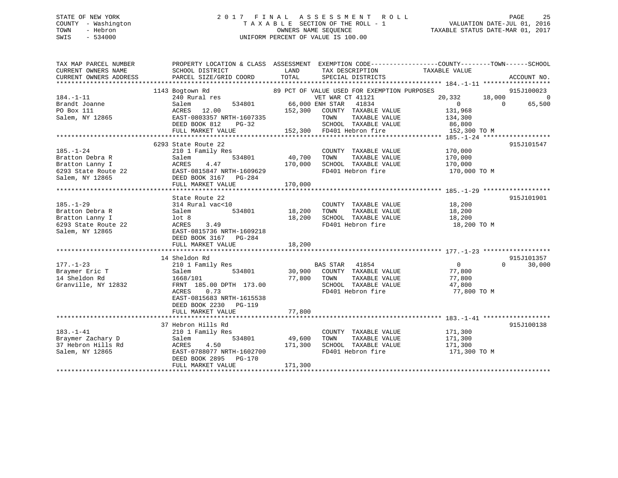## STATE OF NEW YORK 2 0 1 7 F I N A L A S S E S S M E N T R O L L PAGE 25 COUNTY - Washington T A X A B L E SECTION OF THE ROLL - 1 VALUATION DATE-JUL 01, 2016 TOWN - Hebron OWNERS NAME SEQUENCE TAXABLE STATUS DATE-MAR 01, 2017 SWIS - 534000 UNIFORM PERCENT OF VALUE IS 100.00

| TAX MAP PARCEL NUMBER  |                                                                                              |               |                                             | PROPERTY LOCATION & CLASS ASSESSMENT EXEMPTION CODE----------------COUNTY-------TOWN------SCHOOL |                    |
|------------------------|----------------------------------------------------------------------------------------------|---------------|---------------------------------------------|--------------------------------------------------------------------------------------------------|--------------------|
| CURRENT OWNERS NAME    | SCHOOL DISTRICT                                                                              | LAND          | TAX DESCRIPTION                             | TAXABLE VALUE                                                                                    |                    |
| CURRENT OWNERS ADDRESS | PARCEL SIZE/GRID COORD                                                                       | TOTAL         | SPECIAL DISTRICTS                           |                                                                                                  | ACCOUNT NO.        |
|                        |                                                                                              |               |                                             |                                                                                                  |                    |
|                        | 1143 Bogtown Rd                                                                              |               | 89 PCT OF VALUE USED FOR EXEMPTION PURPOSES |                                                                                                  | 915J100023         |
| $184. - 1 - 11$        | 240 Rural res                                                                                |               | VET WAR CT 41121                            | $\begin{array}{cccc} 20,332 & & 18,000 & & & 0 \\ 0 & & 0 & & 65,500 \end{array}$                |                    |
| Brandt Joanne          | 534801 66,000 ENH STAR 41834<br>Salem                                                        |               |                                             |                                                                                                  |                    |
|                        |                                                                                              |               |                                             | 131,968                                                                                          |                    |
|                        |                                                                                              |               | TAXABLE VALUE                               | 134,300                                                                                          |                    |
|                        | DEED BOOK 812<br>$PG-32$                                                                     |               |                                             |                                                                                                  |                    |
|                        | FULL MARKET VALUE                                                                            |               |                                             | 152,300 TO M                                                                                     |                    |
|                        |                                                                                              |               |                                             |                                                                                                  |                    |
|                        | 6293 State Route 22                                                                          |               |                                             |                                                                                                  | 915J101547         |
| $185. - 1 - 24$        | 210 1 Family Res                                                                             |               | COUNTY TAXABLE VALUE 170,000                |                                                                                                  |                    |
| Bratton Debra R        |                                                                                              | 534801 40,700 | TOWN<br>TAXABLE VALUE                       | 170,000                                                                                          |                    |
| Bratton Lanny I        | Salem<br>ACRES<br>4.47                                                                       | 170,000       | SCHOOL TAXABLE VALUE                        | 170,000                                                                                          |                    |
|                        |                                                                                              |               | FD401 Hebron fire                           | 170,000 TO M                                                                                     |                    |
|                        |                                                                                              |               |                                             |                                                                                                  |                    |
|                        | FULL MARKET VALUE                                                                            | 170,000       |                                             |                                                                                                  |                    |
|                        |                                                                                              |               |                                             |                                                                                                  |                    |
|                        | State Route 22                                                                               |               |                                             |                                                                                                  | 915J101901         |
| $185. - 1 - 29$        | 314 Rural vac<10                                                                             |               | COUNTY TAXABLE VALUE 18,200                 |                                                                                                  |                    |
| Bratton Debra R        | 534801                                                                                       |               | 18,200 TOWN TAXABLE VALUE                   |                                                                                                  |                    |
| Bratton Lanny I        | Salem<br>lot 8                                                                               | 18,200        | SCHOOL TAXABLE VALUE                        | 18,200<br>18,200                                                                                 |                    |
|                        |                                                                                              |               | FD401 Hebron fire                           | 18,200 TO M                                                                                      |                    |
|                        |                                                                                              |               |                                             |                                                                                                  |                    |
|                        | Example 22<br>Salem, NY 12865<br>Salem, NY 12865<br>Salem, NY 12865<br>DEED BOOK 3167 PG-284 |               |                                             |                                                                                                  |                    |
|                        | FULL MARKET VALUE                                                                            | 18,200        |                                             |                                                                                                  |                    |
|                        |                                                                                              |               |                                             |                                                                                                  |                    |
|                        | 14 Sheldon Rd                                                                                |               |                                             |                                                                                                  | 915J101357         |
| $177. - 1 - 23$        | 210 1 Family Res                                                                             |               | BAS STAR 41854                              | $\overline{0}$                                                                                   | 30,000<br>$\Omega$ |
| Braymer Eric T         | Salem                                                                                        |               | 534801 30,900 COUNTY TAXABLE VALUE 77,800   |                                                                                                  |                    |
| 14 Sheldon Rd          | 1668/101                                                                                     |               |                                             | 77,800                                                                                           |                    |
| Granville, NY 12832    | roos/101<br>FRNT 185.00 DPTH 173.00 77,800 TOWN TAXABLE VALUE<br>ACRES 0.73                  |               | SCHOOL TAXABLE VALUE                        | 47,800                                                                                           |                    |
|                        | 0.73<br>ACRES                                                                                |               | FD401 Hebron fire                           | 77,800 TO M                                                                                      |                    |
|                        | EAST-0815683 NRTH-1615538                                                                    |               |                                             |                                                                                                  |                    |
|                        | DEED BOOK 2230<br>PG-119                                                                     |               |                                             |                                                                                                  |                    |
|                        | FULL MARKET VALUE                                                                            | 77,800        |                                             |                                                                                                  |                    |
|                        |                                                                                              |               |                                             |                                                                                                  |                    |
|                        | 37 Hebron Hills Rd                                                                           |               |                                             |                                                                                                  | 915J100138         |
| $183. - 1 - 41$        | 210 1 Family Res                                                                             |               | COUNTY TAXABLE VALUE 171,300                |                                                                                                  |                    |
| Braymer Zachary D      | 534801<br>Salem                                                                              | 49,600        | TOWN                                        | TAXABLE VALUE 171,300                                                                            |                    |
|                        |                                                                                              |               | SCHOOL TAXABLE VALUE                        | 171,300                                                                                          |                    |
| Salem, NY 12865        | EAST-0788077 NRTH-1602700                                                                    |               | FD401 Hebron fire                           | 171,300 TO M                                                                                     |                    |
|                        | DEED BOOK 2895 PG-170                                                                        |               |                                             |                                                                                                  |                    |
|                        | FULL MARKET VALUE                                                                            | 171,300       |                                             |                                                                                                  |                    |
|                        |                                                                                              |               |                                             |                                                                                                  |                    |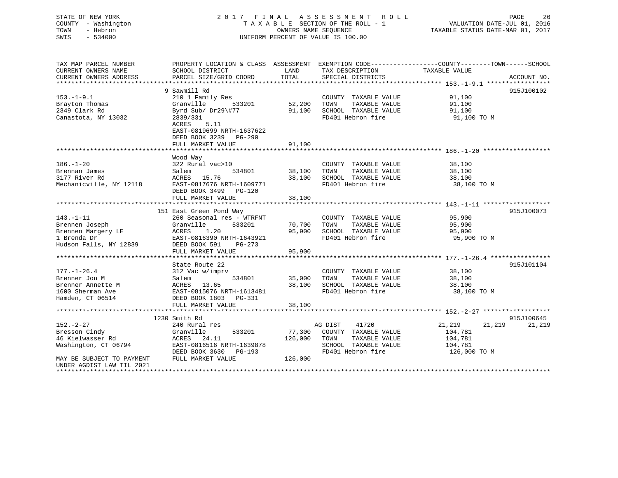## STATE OF NEW YORK 2 0 1 7 F I N A L A S S E S S M E N T R O L L PAGE 26 COUNTY - Washington T A X A B L E SECTION OF THE ROLL - 1 VALUATION DATE-JUL 01, 2016 TOWN - Hebron OWNERS NAME SEQUENCE TAXABLE STATUS DATE-MAR 01, 2017 SWIS - 534000 UNIFORM PERCENT OF VALUE IS 100.00

| TAX MAP PARCEL NUMBER<br>CURRENT OWNERS NAME<br>CURRENT OWNERS ADDRESS | SCHOOL DISTRICT<br>PARCEL SIZE/GRID COORD                                       | LAND<br>TOTAL | TAX DESCRIPTION TAXABLE VALUE<br>SPECIAL DISTRICTS | PROPERTY LOCATION & CLASS ASSESSMENT EXEMPTION CODE---------------COUNTY-------TOWN------SCHOOL<br>ACCOUNT NO. |
|------------------------------------------------------------------------|---------------------------------------------------------------------------------|---------------|----------------------------------------------------|----------------------------------------------------------------------------------------------------------------|
|                                                                        | 9 Sawmill Rd                                                                    |               |                                                    | 915J100102                                                                                                     |
| $153. - 1 - 9.1$                                                       | 210 1 Family Res                                                                |               | COUNTY TAXABLE VALUE                               | 91,100                                                                                                         |
| Brayton Thomas                                                         | Granville<br>533201                                                             | 52,200        | TOWN<br>TAXABLE VALUE                              | 91,100                                                                                                         |
| 2349 Clark Rd                                                          | Byrd Sub/ Dr29\#77                                                              | 91,100        | SCHOOL TAXABLE VALUE                               | 91,100                                                                                                         |
|                                                                        |                                                                                 |               | FD401 Hebron fire                                  |                                                                                                                |
| Canastota, NY 13032                                                    | 2839/331<br>5.11<br>ACRES<br>EAST-0819699 NRTH-1637622<br>DEED BOOK 3239 PG-290 |               |                                                    | 91,100 TO M                                                                                                    |
|                                                                        | FULL MARKET VALUE                                                               | 91,100        |                                                    |                                                                                                                |
|                                                                        |                                                                                 |               |                                                    |                                                                                                                |
|                                                                        | Wood Way                                                                        |               |                                                    |                                                                                                                |
| $186. - 1 - 20$                                                        | 322 Rural vac>10                                                                |               | COUNTY TAXABLE VALUE                               | 38,100                                                                                                         |
| Brennan James                                                          | 534801<br>Salem                                                                 | 38,100        | TOWN<br>TAXABLE VALUE                              | 38,100                                                                                                         |
| 3177 River Rd                                                          | ACRES 15.76                                                                     | 38,100        | SCHOOL TAXABLE VALUE                               | 38,100                                                                                                         |
| Mechanicville, NY 12118                                                | EAST-0817676 NRTH-1609771                                                       |               | FD401 Hebron fire                                  | 38,100 TO M                                                                                                    |
|                                                                        | DEED BOOK 3499 PG-120                                                           |               |                                                    |                                                                                                                |
|                                                                        | FULL MARKET VALUE                                                               | 38,100        |                                                    |                                                                                                                |
|                                                                        |                                                                                 |               |                                                    |                                                                                                                |
|                                                                        | 151 East Green Pond Way                                                         |               |                                                    | 915J100073                                                                                                     |
| $143. - 1 - 11$                                                        | 260 Seasonal res - WTRFNT                                                       |               | COUNTY TAXABLE VALUE                               | 95,900                                                                                                         |
| Brennen Joseph                                                         | Granville<br>533201                                                             | 70,700        | TOWN<br>TAXABLE VALUE                              | 95,900                                                                                                         |
| Brennen Margery LE                                                     | 1.20<br>ACRES                                                                   | 95,900        | SCHOOL TAXABLE VALUE                               | 95,900                                                                                                         |
| 1 Brenda Dr                                                            | EAST-0816390 NRTH-1643921                                                       |               | FD401 Hebron fire                                  | 95,900 TO M                                                                                                    |
| Hudson Falls, NY 12839                                                 | DEED BOOK 591<br>$PG-273$                                                       |               |                                                    |                                                                                                                |
|                                                                        | FULL MARKET VALUE                                                               | 95,900        |                                                    |                                                                                                                |
|                                                                        |                                                                                 |               |                                                    |                                                                                                                |
|                                                                        | State Route 22                                                                  |               |                                                    | 915J101104                                                                                                     |
| $177. - 1 - 26.4$                                                      | 312 Vac w/imprv                                                                 |               | COUNTY TAXABLE VALUE                               | 38,100                                                                                                         |
| Brenner Jon M                                                          | Salem<br>534801                                                                 | 35,000        | TOWN<br>TAXABLE VALUE                              | 38,100                                                                                                         |
| Brenner Annette M                                                      | ACRES 13.65                                                                     | 38,100        | SCHOOL TAXABLE VALUE                               | 38,100                                                                                                         |
| 1600 Sherman Ave                                                       | EAST-0815076 NRTH-1613481                                                       |               | FD401 Hebron fire                                  | 38,100 TO M                                                                                                    |
| Hamden, CT 06514                                                       | DEED BOOK 1803 PG-331                                                           |               |                                                    |                                                                                                                |
|                                                                        | FULL MARKET VALUE                                                               | 38,100        |                                                    |                                                                                                                |
|                                                                        |                                                                                 |               |                                                    |                                                                                                                |
|                                                                        | 1230 Smith Rd                                                                   |               |                                                    | 915J100645                                                                                                     |
| $152. - 2 - 27$                                                        | 240 Rural res                                                                   |               | 41720<br>AG DIST                                   | 21,219<br>21,219<br>21,219                                                                                     |
| Bresson Cindy                                                          | Granville<br>533201                                                             | 77,300        | COUNTY TAXABLE VALUE                               | 104,781                                                                                                        |
| 46 Kielwasser Rd                                                       | ACRES 24.11                                                                     | 126,000       | TOWN<br>TAXABLE VALUE                              | 104,781                                                                                                        |
| Washington, CT 06794                                                   | EAST-0816516 NRTH-1639878                                                       |               | SCHOOL TAXABLE VALUE                               | 104,781                                                                                                        |
|                                                                        | DEED BOOK 3630<br>PG-193                                                        |               | FD401 Hebron fire                                  | 126,000 TO M                                                                                                   |
| MAY BE SUBJECT TO PAYMENT                                              | FULL MARKET VALUE                                                               | 126,000       |                                                    |                                                                                                                |
| UNDER AGDIST LAW TIL 2021<br>**********************                    |                                                                                 |               |                                                    |                                                                                                                |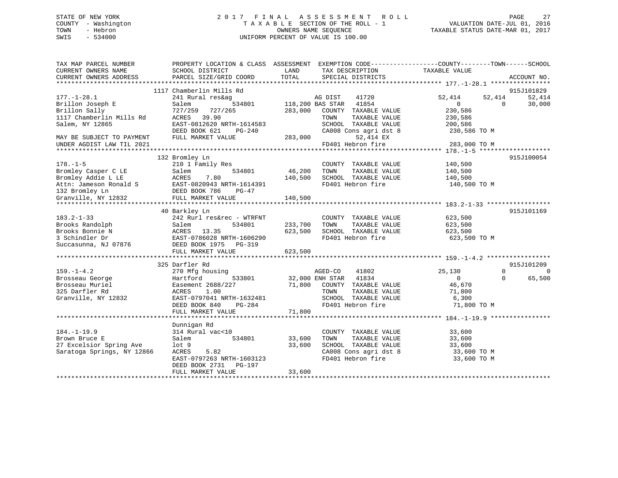## STATE OF NEW YORK 2 0 1 7 F I N A L A S S E S S M E N T R O L L PAGE 27 COUNTY - Washington T A X A B L E SECTION OF THE ROLL - 1 VALUATION DATE-JUL 01, 2016 TOWN - Hebron OWNERS NAME SEQUENCE TAXABLE STATUS DATE-MAR 01, 2017 SWIS - 534000 UNIFORM PERCENT OF VALUE IS 100.00

| TAX MAP PARCEL NUMBER<br>CURRENT OWNERS NAME<br>CURRENT OWNERS ADDRESS | PROPERTY LOCATION & CLASS ASSESSMENT EXEMPTION CODE---------------COUNTY-------TOWN-----SCHOOL<br>SCHOOL DISTRICT<br>PARCEL SIZE/GRID COORD | LAND<br>TOTAL   | TAX DESCRIPTION<br>SPECIAL DISTRICTS          | TAXABLE VALUE                      |                              |
|------------------------------------------------------------------------|---------------------------------------------------------------------------------------------------------------------------------------------|-----------------|-----------------------------------------------|------------------------------------|------------------------------|
|                                                                        |                                                                                                                                             |                 |                                               |                                    | ACCOUNT NO.                  |
|                                                                        | 1117 Chamberlin Mills Rd                                                                                                                    |                 |                                               |                                    | 915J101829                   |
| $177. - 1 - 28.1$<br>Brillon Joseph E                                  | 241 Rural res&ag<br>534801<br>Salem                                                                                                         |                 | AG DIST<br>41720<br>118,200 BAS STAR<br>41854 | 52,414<br>52,414<br>$\overline{0}$ | 52,414<br>30,000<br>$\Omega$ |
| Brillon Sally                                                          | 727/259 727/265                                                                                                                             | 283,000         | COUNTY TAXABLE VALUE                          | 230,586                            |                              |
| 1117 Chamberlin Mills Rd                                               | ACRES<br>39.90                                                                                                                              |                 | TOWN<br>TAXABLE VALUE                         | 230,586                            |                              |
| Salem, NY 12865                                                        | EAST-0812620 NRTH-1614583                                                                                                                   |                 | SCHOOL TAXABLE VALUE                          | 200,586                            |                              |
|                                                                        | DEED BOOK 621<br>$PG-240$                                                                                                                   |                 | CA008 Cons agri dst 8                         | 230,586 TO M                       |                              |
| MAY BE SUBJECT TO PAYMENT                                              | FULL MARKET VALUE                                                                                                                           | 283,000         | 52,414 EX                                     |                                    |                              |
| UNDER AGDIST LAW TIL 2021                                              |                                                                                                                                             |                 | FD401 Hebron fire                             | 283,000 TO M                       |                              |
|                                                                        |                                                                                                                                             |                 |                                               |                                    |                              |
|                                                                        | 132 Bromley Ln                                                                                                                              |                 |                                               |                                    | 915J100054                   |
| $178. - 1 - 5$                                                         | 210 1 Family Res                                                                                                                            |                 | COUNTY TAXABLE VALUE                          | 140,500                            |                              |
| Bromley Casper C LE                                                    | 534801<br>Salem                                                                                                                             | 46,200          | TOWN<br>TAXABLE VALUE                         | 140,500                            |                              |
| Bromley Addie L LE                                                     | 7.80<br>ACRES                                                                                                                               | 140,500         | SCHOOL TAXABLE VALUE                          | 140,500                            |                              |
|                                                                        | Attn: Jameson Ronald S<br>132 Bromley Ln<br>132 Bromley Ln<br>132 Bromley Ln                                                                |                 | FD401 Hebron fire                             | 140,500 TO M                       |                              |
| 132 Bromley Ln<br>Granville, NY 12832                                  | DEED BOOK 786                                                                                                                               |                 |                                               |                                    |                              |
|                                                                        | FULL MARKET VALUE                                                                                                                           | 140,500         |                                               |                                    |                              |
|                                                                        |                                                                                                                                             |                 |                                               |                                    | 915J101169                   |
| $183.2 - 1 - 33$                                                       | 40 Barkley Ln<br>242 Rurl res&rec - WTRFNT                                                                                                  |                 | COUNTY TAXABLE VALUE                          | 623,500                            |                              |
| Brooks Randolph                                                        | 534801<br>Salem                                                                                                                             | 233,700         | TOWN<br>TAXABLE VALUE                         | 623,500                            |                              |
| Brooks Bonnie N                                                        | ACRES 13.35                                                                                                                                 | 623,500         | SCHOOL TAXABLE VALUE                          | 623,500                            |                              |
| 3 Schindler Dr                                                         | EAST-0786028 NRTH-1606290                                                                                                                   |                 | FD401 Hebron fire                             | 623,500 TO M                       |                              |
| Succasunna, NJ 07876                                                   | DEED BOOK 1975 PG-319                                                                                                                       |                 |                                               |                                    |                              |
|                                                                        | FULL MARKET VALUE                                                                                                                           | 623,500         |                                               |                                    |                              |
|                                                                        |                                                                                                                                             |                 |                                               |                                    |                              |
|                                                                        | 325 Darfler Rd                                                                                                                              |                 |                                               |                                    | 915J101209                   |
| $159. - 1 - 4.2$                                                       | 270 Mfg housing                                                                                                                             |                 | AGED-CO<br>41802                              | 25,130                             | $\Omega$<br>$\overline{0}$   |
| Brosseau George                                                        | Hartford<br>533801                                                                                                                          | 32,000 ENH STAR | 41834                                         | $\overline{0}$                     | 65,500<br>$\Omega$           |
| Brosseau Muriel                                                        | Easement 2688/227                                                                                                                           | 71,800          | COUNTY TAXABLE VALUE                          | 46,670                             |                              |
| 325 Darfler Rd                                                         | ACRES<br>1.00                                                                                                                               |                 | TAXABLE VALUE<br>TOWN                         | 71,800                             |                              |
| Granville, NY 12832                                                    | EAST-0797041 NRTH-1632481                                                                                                                   |                 | SCHOOL TAXABLE VALUE                          | 6,300                              |                              |
|                                                                        | PG-284<br>DEED BOOK 840                                                                                                                     |                 | FD401 Hebron fire                             | 71,800 TO M                        |                              |
|                                                                        | FULL MARKET VALUE                                                                                                                           | 71,800          |                                               |                                    |                              |
|                                                                        |                                                                                                                                             |                 |                                               |                                    |                              |
|                                                                        | Dunnigan Rd                                                                                                                                 |                 |                                               |                                    |                              |
| $184. - 1 - 19.9$                                                      | 314 Rural vac<10                                                                                                                            |                 | COUNTY TAXABLE VALUE                          | 33,600                             |                              |
| Brown Bruce E                                                          | 534801<br>Salem                                                                                                                             | 33,600          | TAXABLE VALUE<br>TOWN                         | 33,600                             |                              |
| 27 Excelsior Spring Ave                                                | $1$ ot $9$                                                                                                                                  | 33,600          | SCHOOL TAXABLE VALUE                          | 33,600                             |                              |
| Saratoga Springs, NY 12866                                             | ACRES<br>5.82                                                                                                                               |                 | CA008 Cons agri dst 8                         | 33,600 TO M                        |                              |
|                                                                        | EAST-0797263 NRTH-1603123                                                                                                                   |                 | FD401 Hebron fire                             | 33,600 TO M                        |                              |
|                                                                        | DEED BOOK 2731<br>PG-197                                                                                                                    |                 |                                               |                                    |                              |
|                                                                        | FULL MARKET VALUE                                                                                                                           | 33,600          |                                               |                                    |                              |
|                                                                        |                                                                                                                                             |                 |                                               |                                    |                              |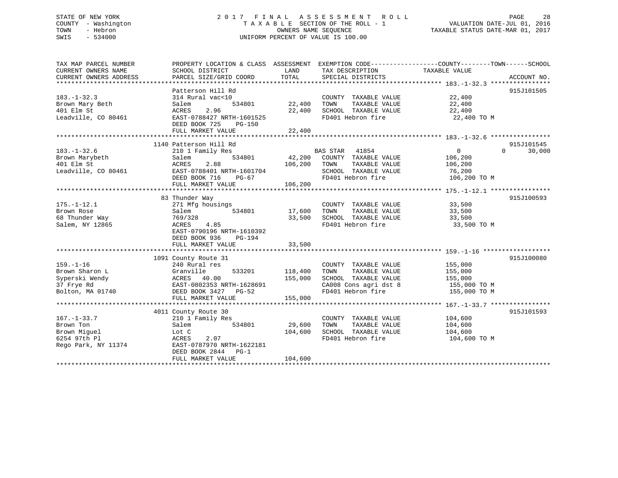## STATE OF NEW YORK 2 0 1 7 F I N A L A S S E S S M E N T R O L L PAGE 28 COUNTY - Washington T A X A B L E SECTION OF THE ROLL - 1 VALUATION DATE-JUL 01, 2016 TOWN - Hebron OWNERS NAME SEQUENCE TAXABLE STATUS DATE-MAR 01, 2017 SWIS - 534000 UNIFORM PERCENT OF VALUE IS 100.00

| TAX MAP PARCEL NUMBER  | PROPERTY LOCATION & CLASS ASSESSMENT EXEMPTION CODE---------------COUNTY-------TOWN-----SCHOOL |         |                             |                   |                    |
|------------------------|------------------------------------------------------------------------------------------------|---------|-----------------------------|-------------------|--------------------|
| CURRENT OWNERS NAME    | SCHOOL DISTRICT                                                                                | LAND    | TAX DESCRIPTION             | TAXABLE VALUE     |                    |
| CURRENT OWNERS ADDRESS | PARCEL SIZE/GRID COORD                                                                         | TOTAL   | SPECIAL DISTRICTS           |                   | ACCOUNT NO.        |
|                        |                                                                                                |         |                             |                   |                    |
|                        | Patterson Hill Rd                                                                              |         |                             |                   | 915J101505         |
| $183. - 1 - 32.3$      | 314 Rural vac<10                                                                               |         | COUNTY TAXABLE VALUE        | 22,400            |                    |
| Brown Mary Beth        | 534801<br>Salem                                                                                | 22,400  | TAXABLE VALUE<br>TOWN       | 22,400            |                    |
| 401 Elm St             | 2.96<br>ACRES                                                                                  | 22,400  | SCHOOL TAXABLE VALUE        | 22,400            |                    |
| Leadville, CO 80461    | EAST-0788427 NRTH-1601525                                                                      |         | FD401 Hebron fire           | 22,400 TO M       |                    |
|                        | DEED BOOK 725<br>PG-150                                                                        |         |                             |                   |                    |
|                        | FULL MARKET VALUE                                                                              | 22,400  |                             |                   |                    |
|                        |                                                                                                |         |                             |                   |                    |
|                        | 1140 Patterson Hill Rd                                                                         |         |                             |                   | 915J101545         |
| $183. - 1 - 32.6$      | 210 1 Family Res                                                                               |         | <b>BAS STAR</b><br>41854    | $0 \qquad \qquad$ | $\Omega$<br>30,000 |
| Brown Marybeth         | Salem<br>534801                                                                                |         | 42,200 COUNTY TAXABLE VALUE | 106,200           |                    |
| 401 Elm St             | ACRES<br>2.88                                                                                  | 106,200 | TOWN<br>TAXABLE VALUE       | 106,200           |                    |
| Leadville, CO 80461    | EAST-0788401 NRTH-1601704                                                                      |         | SCHOOL TAXABLE VALUE        | 76,200            |                    |
|                        | DEED BOOK 716<br>PG-67                                                                         |         | FD401 Hebron fire           | 106,200 TO M      |                    |
|                        | FULL MARKET VALUE                                                                              | 106,200 |                             |                   |                    |
|                        |                                                                                                |         |                             |                   |                    |
|                        | 83 Thunder Way                                                                                 |         |                             |                   | 915J100593         |
| $175. - 1 - 12.1$      | 271 Mfg housings                                                                               |         | COUNTY TAXABLE VALUE        | 33,500            |                    |
| Brown Rose             | Salem<br>534801                                                                                | 17,600  | TAXABLE VALUE<br>TOWN       | 33,500            |                    |
| 68 Thunder Way         | 769/328                                                                                        | 33,500  | SCHOOL TAXABLE VALUE        | 33,500            |                    |
| Salem, NY 12865        | 4.85<br>ACRES                                                                                  |         | FD401 Hebron fire           | 33,500 TO M       |                    |
|                        | EAST-0790196 NRTH-1610392                                                                      |         |                             |                   |                    |
|                        | DEED BOOK 936<br><b>PG-194</b>                                                                 |         |                             |                   |                    |
|                        | FULL MARKET VALUE                                                                              | 33,500  |                             |                   |                    |
|                        |                                                                                                |         |                             |                   |                    |
|                        | 1091 County Route 31                                                                           |         |                             |                   | 915J100080         |
| $159. - 1 - 16$        | 240 Rural res                                                                                  |         | COUNTY TAXABLE VALUE        | 155,000           |                    |
| Brown Sharon L         | Granville<br>533201                                                                            | 118,400 | TOWN<br>TAXABLE VALUE       | 155,000           |                    |
| Syperski Wendy         |                                                                                                | 155,000 | SCHOOL TAXABLE VALUE        | 155,000           |                    |
| 37 Frye Rd             | ACRES 40.00<br>EAST-0802353 NRTH-1628691                                                       |         | CA008 Cons agri dst 8       | 155,000 TO M      |                    |
| Bolton, MA 01740       | DEED BOOK 3427 PG-52                                                                           |         | FD401 Hebron fire           | 155,000 TO M      |                    |
|                        | FULL MARKET VALUE                                                                              | 155,000 |                             |                   |                    |
|                        |                                                                                                |         |                             |                   |                    |
|                        | 4011 County Route 30                                                                           |         |                             |                   | 915J101593         |
| $167. - 1 - 33.7$      | 210 1 Family Res                                                                               |         | COUNTY TAXABLE VALUE        | 104,600           |                    |
| Brown Ton              | Salem<br>534801                                                                                | 29,600  | TOWN<br>TAXABLE VALUE       | 104,600           |                    |
| Brown Miguel           | Lot C                                                                                          | 104,600 | SCHOOL TAXABLE VALUE        | 104,600           |                    |
| 6254 97th Pl           | 2.07<br>ACRES                                                                                  |         | FD401 Hebron fire           | 104,600 TO M      |                    |
| Rego Park, NY 11374    | EAST-0787970 NRTH-1622181                                                                      |         |                             |                   |                    |
|                        | DEED BOOK 2844 PG-1                                                                            |         |                             |                   |                    |
|                        | FULL MARKET VALUE                                                                              | 104,600 |                             |                   |                    |
|                        |                                                                                                |         |                             |                   |                    |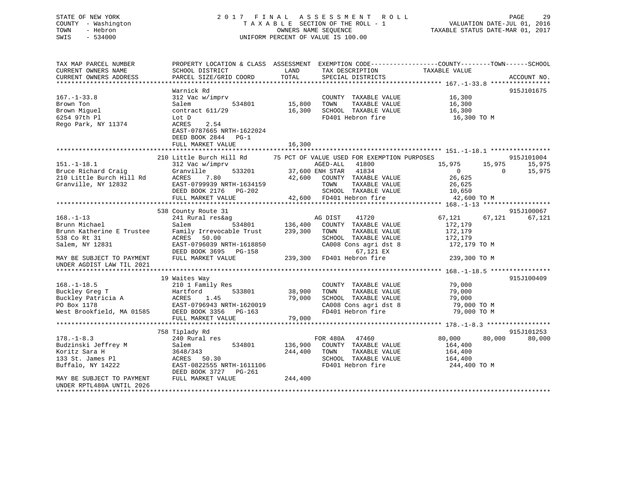## STATE OF NEW YORK 2 0 1 7 F I N A L A S S E S S M E N T R O L L PAGE 29 COUNTY - Washington T A X A B L E SECTION OF THE ROLL - 1 VALUATION DATE-JUL 01, 2016 TOWN - Hebron OWNERS NAME SEQUENCE TAXABLE STATUS DATE-MAR 01, 2017 SWIS - 534000 UNIFORM PERCENT OF VALUE IS 100.00

| TAX MAP PARCEL NUMBER<br>CURRENT OWNERS NAME<br>CURRENT OWNERS ADDRESS | SCHOOL DISTRICT<br>PARCEL SIZE/GRID COORD                                                       | PROPERTY LOCATION & CLASS ASSESSMENT EXEMPTION CODE----------------COUNTY-------TOWN-----SCHOOL<br>LAND<br>TAX DESCRIPTION<br>TOTAL<br>SPECIAL DISTRICTS | TAXABLE VALUE<br>ACCOUNT NO.                   |
|------------------------------------------------------------------------|-------------------------------------------------------------------------------------------------|----------------------------------------------------------------------------------------------------------------------------------------------------------|------------------------------------------------|
|                                                                        |                                                                                                 |                                                                                                                                                          |                                                |
| $167. - 1 - 33.8$<br>Brown Ton<br>Brown Miguel                         | Warnick Rd<br>312 Vac w/imprv<br>534801<br>Salem<br>contract $611/29$                           | COUNTY TAXABLE VALUE<br>15,800<br>TOWN<br>TAXABLE VALUE<br>16,300<br>SCHOOL TAXABLE VALUE                                                                | 915J101675<br>16,300<br>16,300<br>16,300       |
| 6254 97th Pl<br>Rego Park, NY 11374                                    | Lot D<br>ACRES<br>2.54<br>EAST-0787665 NRTH-1622024<br>DEED BOOK 2844 PG-1<br>FULL MARKET VALUE | FD401 Hebron fire<br>16,300                                                                                                                              | 16,300 TO M                                    |
|                                                                        |                                                                                                 |                                                                                                                                                          |                                                |
|                                                                        | 210 Little Burch Hill Rd                                                                        | 75 PCT OF VALUE USED FOR EXEMPTION PURPOSES                                                                                                              | 915J101004                                     |
| $151.-1-18.1$                                                          | 312 Vac w/imprv                                                                                 | AGED-ALL<br>41800                                                                                                                                        | 15,975<br>15,975<br>15,975                     |
| Bruce Richard Craig                                                    | Granville<br>533201<br>ACRES<br>7.80                                                            | 37,600 ENH STAR<br>41834                                                                                                                                 | 15,975<br>$\overline{0}$<br>$\Omega$<br>26,625 |
| 210 Little Burch Hill Rd<br>Granville, NY 12832                        | EAST-0799939 NRTH-1634159                                                                       | 42,600 COUNTY TAXABLE VALUE<br>TAXABLE VALUE<br>TOWN                                                                                                     | 26,625                                         |
|                                                                        | DEED BOOK 2176 PG-202                                                                           | SCHOOL TAXABLE VALUE                                                                                                                                     | 10,650                                         |
|                                                                        | FULL MARKET VALUE                                                                               | 42,600 FD401 Hebron fire                                                                                                                                 | 42,600 TO M                                    |
|                                                                        |                                                                                                 |                                                                                                                                                          |                                                |
|                                                                        | 538 County Route 31                                                                             |                                                                                                                                                          | 915J100067                                     |
| $168. - 1 - 13$<br>Brunn Michael                                       | 241 Rural res&ag<br>Salem<br>534801                                                             | AG DIST<br>41720<br>136,400<br>COUNTY TAXABLE VALUE                                                                                                      | 67,121<br>67,121<br>67,121<br>172,179          |
| Brunn Katherine E Trustee                                              | Family Irrevocable Trust                                                                        | 239,300<br>TOWN<br>TAXABLE VALUE                                                                                                                         | 172,179                                        |
| 538 Co Rt 31                                                           | ACRES<br>50.00                                                                                  | SCHOOL TAXABLE VALUE                                                                                                                                     | 172,179                                        |
| Salem, NY 12831                                                        | EAST-0796039 NRTH-1618850<br>DEED BOOK 3695 PG-158                                              | CA008 Cons agri dst 8<br>67,121 EX                                                                                                                       | 172,179 TO M                                   |
| MAY BE SUBJECT TO PAYMENT<br>UNDER AGDIST LAW TIL 2021                 | FULL MARKET VALUE                                                                               | 239,300 FD401 Hebron fire                                                                                                                                | 239,300 TO M                                   |
|                                                                        |                                                                                                 |                                                                                                                                                          |                                                |
| $168. - 1 - 18.5$                                                      | 19 Waites Way<br>210 1 Family Res                                                               | COUNTY TAXABLE VALUE                                                                                                                                     | 915J100409<br>79,000                           |
| Buckley Greg T                                                         | 533801<br>Hartford                                                                              | 38,900<br>TOWN<br>TAXABLE VALUE                                                                                                                          | 79,000                                         |
| Buckley Patricia A                                                     | ACRES<br>1.45                                                                                   | 79,000<br>SCHOOL TAXABLE VALUE                                                                                                                           | 79,000                                         |
| PO Box 1178                                                            | EAST-0796943 NRTH-1620019                                                                       | CA008 Cons agri dst 8                                                                                                                                    | 79,000 TO M                                    |
| West Brookfield, MA 01585                                              | DEED BOOK 3356 PG-163                                                                           | FD401 Hebron fire                                                                                                                                        | 79,000 TO M                                    |
|                                                                        | FULL MARKET VALUE                                                                               | 79,000                                                                                                                                                   |                                                |
|                                                                        |                                                                                                 |                                                                                                                                                          |                                                |
|                                                                        | 758 Tiplady Rd                                                                                  |                                                                                                                                                          | 915J101253                                     |
| $178. - 1 - 8.3$                                                       | 240 Rural res                                                                                   | FOR 480A 47460                                                                                                                                           | 80,000<br>80,000<br>80,000                     |
| Budzinski Jeffrey M<br>Koritz Sara H                                   | 534801<br>Salem<br>3648/343                                                                     | 136,900<br>COUNTY TAXABLE VALUE<br>244,400<br>TOWN<br>TAXABLE VALUE                                                                                      | 164,400<br>164,400                             |
| 133 St. James Pl                                                       | ACRES 50.30                                                                                     | SCHOOL TAXABLE VALUE                                                                                                                                     | 164,400                                        |
| Buffalo, NY 14222                                                      | EAST-0822555 NRTH-1611106                                                                       | FD401 Hebron fire                                                                                                                                        | 244,400 TO M                                   |
|                                                                        | DEED BOOK 3727 PG-261                                                                           |                                                                                                                                                          |                                                |
| MAY BE SUBJECT TO PAYMENT<br>UNDER RPTL480A UNTIL 2026                 | FULL MARKET VALUE                                                                               | 244,400                                                                                                                                                  |                                                |
| *********************                                                  |                                                                                                 |                                                                                                                                                          |                                                |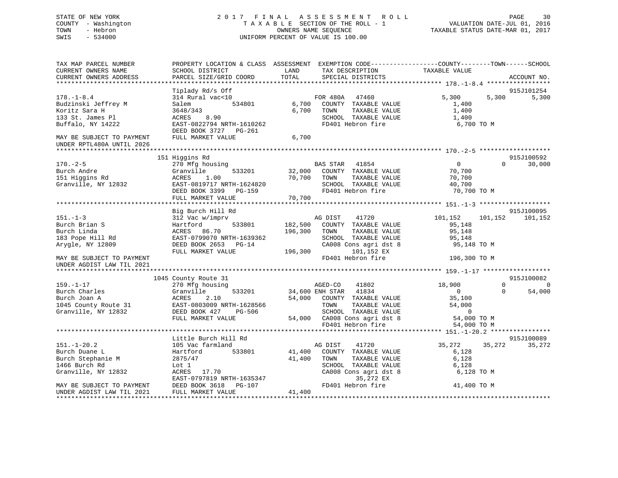## STATE OF NEW YORK 2 0 1 7 F I N A L A S S E S S M E N T R O L L PAGE 30 COUNTY - Washington T A X A B L E SECTION OF THE ROLL - 1 VALUATION DATE-JUL 01, 2016 TOWN - Hebron OWNERS NAME SEQUENCE TAXABLE STATUS DATE-MAR 01, 2017 SWIS - 534000 UNIFORM PERCENT OF VALUE IS 100.00

| TAX MAP PARCEL NUMBER<br>CURRENT OWNERS NAME<br>CURRENT OWNERS ADDRESS       | PROPERTY LOCATION & CLASS ASSESSMENT EXEMPTION CODE----------------COUNTY-------TOWN------SCHOOL<br>SCHOOL DISTRICT<br>PARCEL SIZE/GRID COORD | LAND<br>TOTAL      | TAX DESCRIPTION<br>SPECIAL DISTRICTS                                                                         | TAXABLE VALUE                                               |          | ACCOUNT NO.                  |
|------------------------------------------------------------------------------|-----------------------------------------------------------------------------------------------------------------------------------------------|--------------------|--------------------------------------------------------------------------------------------------------------|-------------------------------------------------------------|----------|------------------------------|
|                                                                              |                                                                                                                                               |                    |                                                                                                              |                                                             |          |                              |
|                                                                              | Tiplady Rd/s Off                                                                                                                              |                    |                                                                                                              |                                                             |          | 915J101254                   |
| $178. - 1 - 8.4$<br>Budzinski Jeffrey M<br>Koritz Sara H<br>133 St. James Pl | 314 Rural vac<10<br>534801<br>Salem<br>3648/343<br>8.90<br>ACRES                                                                              | 6,700<br>6,700     | FOR 480A 47460<br>COUNTY TAXABLE VALUE<br>TOWN<br>TAXABLE VALUE<br>SCHOOL TAXABLE VALUE                      | 5,300<br>1,400<br>1,400<br>1,400                            | 5,300    | 5,300                        |
| Buffalo, NY 14222                                                            | EAST-0822794 NRTH-1610262<br>DEED BOOK 3727 PG-261                                                                                            |                    | FD401 Hebron fire                                                                                            | 6,700 ТО М                                                  |          |                              |
| MAY BE SUBJECT TO PAYMENT<br>UNDER RPTL480A UNTIL 2026                       | FULL MARKET VALUE                                                                                                                             | 6,700              |                                                                                                              |                                                             |          |                              |
|                                                                              | 151 Higgins Rd                                                                                                                                |                    |                                                                                                              |                                                             |          | 915J100592                   |
| $170. - 2 - 5$<br>Burch Andre<br>151 Higgins Rd<br>Granville, NY 12832       | 270 Mfg housing<br>Granville<br>533201<br>ACRES<br>1.00<br>EAST-0819717 NRTH-1624820<br>DEED BOOK 3399<br>PG-159                              | 32,000<br>70,700   | BAS STAR 41854<br>COUNTY TAXABLE VALUE<br>TAXABLE VALUE<br>TOWN<br>SCHOOL TAXABLE VALUE<br>FD401 Hebron fire | $\overline{0}$<br>70,700<br>70,700<br>40,700<br>70,700 TO M | $\Omega$ | 30,000                       |
|                                                                              | FULL MARKET VALUE                                                                                                                             | 70,700             |                                                                                                              |                                                             |          |                              |
|                                                                              |                                                                                                                                               |                    |                                                                                                              |                                                             |          |                              |
| $151. - 1 - 3$                                                               | Big Burch Hill Rd<br>312 Vac w/imprv                                                                                                          |                    | 41720<br>AG DIST                                                                                             | 101,152                                                     | 101,152  | 915J100095<br>101,152        |
| Burch Brian S<br>Burch Linda<br>183 Pope Hill Rd                             | 533801<br>Hartford<br>ACRES 86.70<br>EAST-0799070 NRTH-1639362                                                                                | 182,500<br>196,300 | COUNTY TAXABLE VALUE<br>TOWN<br>TAXABLE VALUE<br>SCHOOL TAXABLE VALUE                                        | 95,148<br>95,148<br>95,148                                  |          |                              |
| Arygle, NY 12809                                                             | DEED BOOK 2653 PG-14<br>FULL MARKET VALUE                                                                                                     | 196,300            | CA008 Cons agri dst 8<br>101,152 EX                                                                          | 95,148 TO M                                                 |          |                              |
| MAY BE SUBJECT TO PAYMENT<br>UNDER AGDIST LAW TIL 2021                       |                                                                                                                                               |                    | FD401 Hebron fire                                                                                            | 196,300 TO M                                                |          |                              |
|                                                                              |                                                                                                                                               |                    |                                                                                                              |                                                             |          |                              |
| $159. - 1 - 17$                                                              | 1045 County Route 31<br>270 Mfg housing                                                                                                       |                    | AGED-CO<br>41802                                                                                             | 18,900                                                      | $\Omega$ | 915J100082<br>$\overline{0}$ |
| Burch Charles<br>Burch Joan A                                                | 533201<br>Granville<br>ACRES<br>2.10                                                                                                          | 54,000             | 34,600 ENH STAR 41834<br>COUNTY TAXABLE VALUE                                                                | $\overline{0}$<br>35,100                                    | $\Omega$ | 54,000                       |
| 1045 County Route 31<br>Granville, NY 12832                                  | EAST-0803009 NRTH-1628566<br>DEED BOOK 427<br>PG-506<br>FULL MARKET VALUE                                                                     |                    | TOWN<br>TAXABLE VALUE<br>SCHOOL TAXABLE VALUE<br>54,000 CA008 Cons agri dst 8                                | 54,000<br>$\overline{0}$<br>54,000 TO M                     |          |                              |
|                                                                              |                                                                                                                                               |                    | FD401 Hebron fire                                                                                            | 54,000 TO M                                                 |          |                              |
|                                                                              |                                                                                                                                               |                    |                                                                                                              |                                                             |          |                              |
|                                                                              | Little Burch Hill Rd                                                                                                                          |                    |                                                                                                              |                                                             |          | 915J100089                   |
| $151. - 1 - 20.2$                                                            | 105 Vac farmland                                                                                                                              |                    | AG DIST<br>41720                                                                                             | 35,272                                                      | 35,272   | 35,272                       |
| Burch Duane L<br>Burch Stephanie M<br>1466 Burch Rd                          | 533801<br>Hartford<br>2875/47<br>Lot 1                                                                                                        | 41,400<br>41,400   | COUNTY TAXABLE VALUE<br>TOWN<br>TAXABLE VALUE<br>SCHOOL TAXABLE VALUE                                        | 6,128<br>6,128<br>6,128                                     |          |                              |
| Granville, NY 12832                                                          | ACRES<br>17.70<br>EAST-0797819 NRTH-1635347                                                                                                   |                    | CA008 Cons agri dst 8<br>35,272 EX                                                                           | 6,128 TO M                                                  |          |                              |
| MAY BE SUBJECT TO PAYMENT<br>UNDER AGDIST LAW TIL 2021                       | DEED BOOK 3618<br>PG-107<br>FULL MARKET VALUE                                                                                                 | 41,400             | FD401 Hebron fire                                                                                            | 41,400 TO M                                                 |          |                              |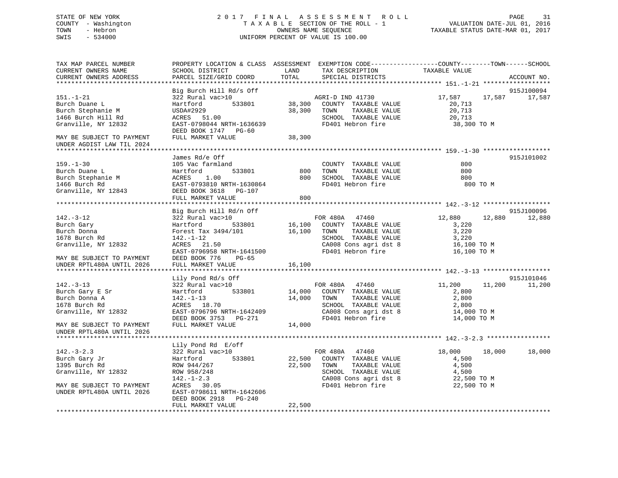## STATE OF NEW YORK 2 0 1 7 F I N A L A S S E S S M E N T R O L L PAGE 31 COUNTY - Washington T A X A B L E SECTION OF THE ROLL - 1 VALUATION DATE-JUL 01, 2016 TOWN - Hebron OWNERS NAME SEQUENCE TAXABLE STATUS DATE-MAR 01, 2017 SWIS - 534000 UNIFORM PERCENT OF VALUE IS 100.00

| TAX MAP PARCEL NUMBER<br>CURRENT OWNERS NAME<br>CURRENT OWNERS ADDRESS<br>*************************                                                                                                                                                                                                 | PROPERTY LOCATION & CLASS ASSESSMENT EXEMPTION CODE---------------COUNTY-------TOWN-----SCHOOL<br>SCHOOL DISTRICT<br>PARCEL SIZE/GRID COORD<br>*************************                                                                                                    | LAND<br>TOTAL         | TAX DESCRIPTION<br>SPECIAL DISTRICTS                                                                                                             | TAXABLE VALUE                                                             | ACCOUNT NO.                 |
|-----------------------------------------------------------------------------------------------------------------------------------------------------------------------------------------------------------------------------------------------------------------------------------------------------|-----------------------------------------------------------------------------------------------------------------------------------------------------------------------------------------------------------------------------------------------------------------------------|-----------------------|--------------------------------------------------------------------------------------------------------------------------------------------------|---------------------------------------------------------------------------|-----------------------------|
| $151. - 1 - 21$<br>Burch Duane L<br>Burch Stephanie M<br>1466 Burch Hill Rd<br>Granville, NY 12832<br>MAY BE SUBJECT TO PAYMENT<br>UNDER AGDIST LAW TIL 2024                                                                                                                                        | Big Burch Hill Rd/s Off<br>322 Rural vac>10<br>Hartford<br>533801<br>USDA#2929<br>ACRES 51.00<br>EAST-0798044 NRTH-1636639<br>DEED BOOK 1747 PG-60<br>FULL MARKET VALUE                                                                                                     | 38,300                | AGRI-D IND 41730<br>38,300 COUNTY TAXABLE VALUE<br>38,300 TOWN<br>TAXABLE VALUE<br>SCHOOL TAXABLE VALUE<br>FD401 Hebron fire                     | 17,587 17,587 17,587<br>20,713<br>20,713<br>20,713<br>38,300 TO M         | 915J100094                  |
| $159. - 1 - 30$<br>159.-1-50<br>Burch Duane L<br>Burch Duane L<br>Burch Stephanie M<br>1466 Burch Rd<br>Granville, NY 12843<br>2000 BAST-0793810 NRTH-1630864<br>2000 BAST-0793810 NRTH-1630864<br>2000 BAST DEED BOOK 3618<br>2000 BAST MAPKET WALLER<br>2000<br>1400 Duren<br>Granville, NY 12843 | James Rd/e Off<br>FULL MARKET VALUE                                                                                                                                                                                                                                         | 800                   | COUNTY TAXABLE VALUE<br>TOWN TAXABLE VALUE<br>800 SCHOOL TAXABLE VALUE<br>FD401 Hebron fire                                                      | 800<br>800<br>800<br>800 TO M                                             | 915J101002                  |
| $142. - 3 - 12$<br>Burch Gary<br>Burch Donna<br>1678 Burch Rd<br>Granville, NY 12832<br>MAY BE SUBJECT TO PAYMENT<br>UNDER RPTL480A UNTIL 2026                                                                                                                                                      | Big Burch Hill Rd/n Off<br>322 Rural vac>10<br>Hartford 533801 16,100 COUNTY TAXABLE VALUE<br>Forest Tax 3494/101 16,100 TOWN<br>142.-1-12<br>ACRES 21.50<br>EAST-0796958 NRTH-1641500<br>DEED BOOK 776<br>PG-65<br>FULL MARKET VALUE                                       | 16,100                | FOR 480A 47460<br>TAXABLE VALUE<br>SCHOOL TAXABLE VALUE<br>CA008 Cons agri dst 8<br>FD401 Hebron fire                                            | 12,880<br>12,880<br>3,220<br>3,220<br>3,220<br>16,100 TO M<br>16,100 TO M | 915J100096<br>12,880        |
| $142. - 3 - 13$<br>Burch Gary E Sr<br>Durch Donna A<br>Burch Donna A<br>1678 Burch Rd<br>Granville, NY 12832<br>MAY BE SUBJECT TO PAYMENT<br>UNDER RPTL480A UNTIL 2026                                                                                                                              | Lily Pond Rd/s Off<br>322 Rural vac>10<br>Hartford 533801 14,000 COUNTY TAXABLE VALUE<br>142.-1-13 14,000 TOWN TAXABLE VALUE<br>142.-1-13<br>ACRES 18.70<br>ACRES 18.70<br>EAST-0796796 NRTH-1642409<br>DEED BOOK 3753 PG-271<br>DEED BOOK 3753 PG-271<br>FULL MARKET VALUE | 14,000                | FOR 480A 47460<br>TAXABLE VALUE<br>SCHOOL TAXABLE VALUE<br>CA008 Cons agri dst 8<br>FD401 Hebron fire                                            | 11,200<br>2,800<br>2,800<br>2,800<br>14,000 TO M<br>14,000 TO M           | 915J101046<br>11,200 11,200 |
| $142. - 3 - 2.3$<br>Burch Gary Jr<br>1395 Burch Rd<br>1395 Burch Rd<br>Granville, NY 12832<br>MAY BE SUBJECT TO PAYMENT<br>UNDER RPTL480A UNTIL 2026                                                                                                                                                | Lily Pond Rd E/off<br>322 Rural vac>10<br>533801<br>Hartford<br>ROW 944/267<br>ROW 958/248<br>142.-1-2.3<br>ACRES 30.05<br>RACRES 30.05<br>EAST-0798611 NRTH-1642606<br>DEED BOOK 2918<br>PG-240<br>FULL MARKET VALUE                                                       | 22,500 TOWN<br>22,500 | FOR 480A 47460<br>22,500 COUNTY TAXABLE VALUE<br>TAXABLE VALUE<br>SCHOOL TAXABLE VALUE<br>CA008 Cons agri dst 8 22,500 TO M<br>FD401 Hebron fire | 18,000<br>18,000<br>4,500<br>4,500<br>4,500<br>22,500 TO M                | 18,000                      |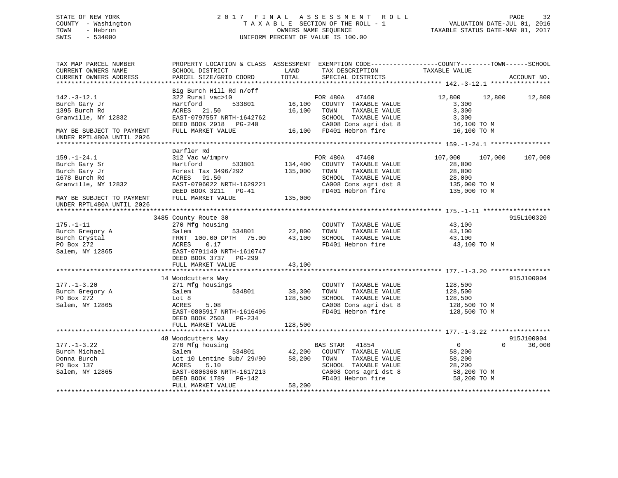## STATE OF NEW YORK 2 0 1 7 F I N A L A S S E S S M E N T R O L L PAGE 32 COUNTY - Washington T A X A B L E SECTION OF THE ROLL - 1 VALUATION DATE-JUL 01, 2016 TOWN - Hebron OWNERS NAME SEQUENCE TAXABLE STATUS DATE-MAR 01, 2017 SWIS - 534000 UNIFORM PERCENT OF VALUE IS 100.00

| TAX MAP PARCEL NUMBER                                  | PROPERTY LOCATION & CLASS ASSESSMENT EXEMPTION CODE----------------COUNTY-------TOWN------SCHOOL |            |                               |                            |             |
|--------------------------------------------------------|--------------------------------------------------------------------------------------------------|------------|-------------------------------|----------------------------|-------------|
| CURRENT OWNERS NAME                                    | SCHOOL DISTRICT                                                                                  | LAND       | TAX DESCRIPTION TAXABLE VALUE |                            |             |
| CURRENT OWNERS ADDRESS                                 | PARCEL SIZE/GRID COORD                                                                           | TOTAL      | SPECIAL DISTRICTS             |                            | ACCOUNT NO. |
|                                                        |                                                                                                  |            |                               |                            |             |
|                                                        | Big Burch Hill Rd n/off                                                                          |            |                               |                            |             |
| $142.-3-12.1$                                          | 322 Rural vac>10                                                                                 |            | FOR 480A<br>47460             | 12,800<br>12,800           | 12,800      |
| Burch Gary Jr                                          | Hartford<br>533801                                                                               |            | 16,100 COUNTY TAXABLE VALUE   | 3,300                      |             |
| 1395 Burch Rd                                          | ACRES 21.50                                                                                      | 16,100     | TOWN<br>TAXABLE VALUE         | 3,300                      |             |
| Granville, NY 12832                                    | EAST-0797557 NRTH-1642762                                                                        |            | SCHOOL TAXABLE VALUE          | 3,300                      |             |
|                                                        | DEED BOOK 2918 PG-240                                                                            |            | CA008 Cons agri dst 8         | 16,100 TO M                |             |
| MAY BE SUBJECT TO PAYMENT<br>UNDER RPTL480A UNTIL 2026 | FULL MARKET VALUE                                                                                |            | 16,100 FD401 Hebron fire      | 16,100 TO M                |             |
|                                                        |                                                                                                  |            |                               |                            |             |
|                                                        | Darfler Rd                                                                                       |            |                               |                            |             |
| $159. - 1 - 24.1$                                      | 312 Vac w/imprv                                                                                  |            | FOR 480A<br>47460             | 107,000<br>107,000         | 107,000     |
| Burch Gary Sr                                          | 533801<br>Hartford                                                                               | 134,400    | COUNTY TAXABLE VALUE          | 28,000                     |             |
| Burch Gary Jr                                          | Forest Tax 3496/292                                                                              | 135,000    | TOWN<br>TAXABLE VALUE         | 28,000                     |             |
| 1678 Burch Rd                                          | ACRES 91.50                                                                                      |            | SCHOOL TAXABLE VALUE          | 28,000                     |             |
| Granville, NY 12832                                    | EAST-0796022 NRTH-1629221                                                                        |            | CA008 Cons agri dst 8         | 135,000 TO M               |             |
|                                                        |                                                                                                  |            |                               |                            |             |
|                                                        | DEED BOOK 3211 PG-41                                                                             |            | FD401 Hebron fire             | 135,000 TO M               |             |
| MAY BE SUBJECT TO PAYMENT                              | FULL MARKET VALUE                                                                                | 135,000    |                               |                            |             |
| UNDER RPTL480A UNTIL 2026                              |                                                                                                  |            |                               |                            |             |
|                                                        |                                                                                                  |            |                               |                            |             |
|                                                        | 3485 County Route 30                                                                             |            |                               |                            | 915L100320  |
| $175. - 1 - 11$                                        | 270 Mfg housing                                                                                  |            | COUNTY TAXABLE VALUE          | 43,100                     |             |
| Burch Gregory A                                        | 534801<br>Salem                                                                                  | 22,800     | TAXABLE VALUE<br>TOWN         | 43,100                     |             |
| Burch Crystal                                          | FRNT 100.00 DPTH 75.00                                                                           | 43,100     | SCHOOL TAXABLE VALUE          | 43,100                     |             |
| PO Box 272                                             | 0.17<br>ACRES                                                                                    |            | FD401 Hebron fire             | 43,100 TO M                |             |
| Salem, NY 12865                                        | EAST-0791140 NRTH-1610747                                                                        |            |                               |                            |             |
|                                                        | DEED BOOK 3737 PG-299                                                                            |            |                               |                            |             |
|                                                        | FULL MARKET VALUE                                                                                | 43,100     |                               |                            |             |
|                                                        |                                                                                                  |            |                               |                            |             |
|                                                        | 14 Woodcutters Way                                                                               |            |                               |                            | 915J100004  |
| $177. - 1 - 3.20$                                      | 271 Mfg housings                                                                                 |            | COUNTY TAXABLE VALUE          | 128,500                    |             |
| Burch Gregory A                                        | 534801<br>Salem                                                                                  | 38,300     | TAXABLE VALUE<br>TOWN         | 128,500                    |             |
| PO Box 272                                             | Lot 8                                                                                            | 128,500    | SCHOOL TAXABLE VALUE          | 128,500                    |             |
| Salem, NY 12865                                        | 5.08<br>ACRES                                                                                    |            | CA008 Cons agri dst 8         | 128,500 TO M               |             |
|                                                        | EAST-0805917 NRTH-1616496                                                                        |            | FD401 Hebron fire             | 128,500 TO M               |             |
|                                                        | DEED BOOK 2503 PG-234                                                                            |            |                               |                            |             |
|                                                        | FULL MARKET VALUE                                                                                | 128,500    |                               |                            |             |
|                                                        |                                                                                                  |            |                               |                            |             |
|                                                        | 48 Woodcutters Way                                                                               |            |                               |                            | 915J100004  |
| $177. - 1 - 3.22$                                      | 270 Mfg housing                                                                                  |            | <b>BAS STAR</b><br>41854      | $\overline{0}$<br>$\Omega$ | 30,000      |
| Burch Michael                                          | Salem                                                                                            | $534801$ B | COUNTY TAXABLE VALUE          | 58,200                     |             |
| Donna Burch                                            | Lot 10 Lentine Sub/ 29#90 58,200                                                                 |            | TOWN<br>TAXABLE VALUE         | 58,200                     |             |
| PO Box 137                                             | ACRES<br>5.10                                                                                    |            | SCHOOL TAXABLE VALUE          | 28,200                     |             |
| Salem, NY 12865                                        | EAST-0806368 NRTH-1617213                                                                        |            | CA008 Cons agri dst 8         | 58,200 TO M                |             |
|                                                        | DEED BOOK 1789 PG-142                                                                            |            | FD401 Hebron fire             | 58,200 TO M                |             |
|                                                        | FULL MARKET VALUE                                                                                | 58,200     |                               |                            |             |
|                                                        |                                                                                                  |            |                               |                            |             |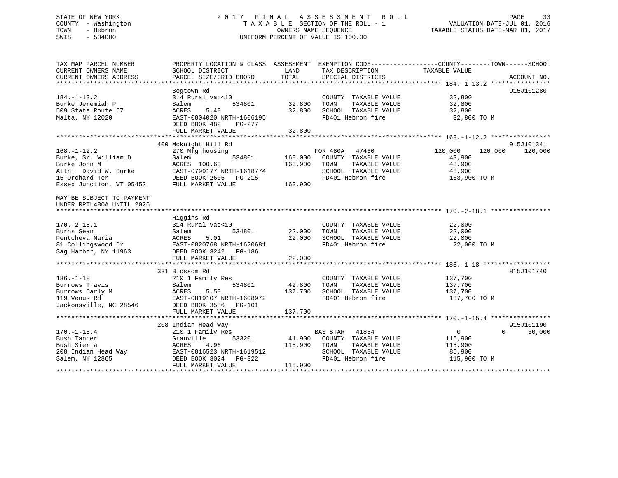## STATE OF NEW YORK 2 0 1 7 F I N A L A S S E S S M E N T R O L L PAGE 33 COUNTY - Washington T A X A B L E SECTION OF THE ROLL - 1 VALUATION DATE-JUL 01, 2016 TOWN - Hebron OWNERS NAME SEQUENCE TAXABLE STATUS DATE-MAR 01, 2017 SWIS - 534000 UNIFORM PERCENT OF VALUE IS 100.00

| TAX MAP PARCEL NUMBER<br>CURRENT OWNERS NAME<br>CURRENT OWNERS ADDRESS                                                                                                               | PROPERTY LOCATION & CLASS ASSESSMENT EXEMPTION CODE---------------COUNTY-------TOWN-----SCHOOL<br>SCHOOL DISTRICT<br>PARCEL SIZE/GRID COORD                | LAND<br>TOTAL                 | TAX DESCRIPTION<br>SPECIAL DISTRICTS                                                                                       | TAXABLE VALUE                                                              | ACCOUNT NO.           |
|--------------------------------------------------------------------------------------------------------------------------------------------------------------------------------------|------------------------------------------------------------------------------------------------------------------------------------------------------------|-------------------------------|----------------------------------------------------------------------------------------------------------------------------|----------------------------------------------------------------------------|-----------------------|
| $184. - 1 - 13.2$<br>Burke Jeremiah P<br>509 State Route 67<br>Malta, NY 12020                                                                                                       | Bogtown Rd<br>314 Rural vac<10<br>534801<br>Salem<br>ACRES<br>5.40<br>EAST-0804020 NRTH-1606195<br>DEED BOOK 482<br>PG-277<br>FULL MARKET VALUE            | 32,800<br>32,800<br>32,800    | COUNTY TAXABLE VALUE<br>TAXABLE VALUE<br>TOWN<br>SCHOOL TAXABLE VALUE<br>FD401 Hebron fire                                 | 32,800<br>32,800<br>32,800<br>32,800 TO M                                  | 915J101280            |
|                                                                                                                                                                                      |                                                                                                                                                            |                               |                                                                                                                            |                                                                            |                       |
| $168. - 1 - 12.2$<br>Burke, Sr. William D<br>Burke John M<br>Attn: David W. Burke<br>15 Orchard Ter<br>Essex Junction, VT 05452                                                      | 400 Mcknight Hill Rd<br>270 Mfg housing<br>Salem<br>534801<br>ACRES 100.60<br>EAST-0799177 NRTH-1618774<br>DEED BOOK 2605 PG-215<br>FULL MARKET VALUE      | 160,000<br>163,900<br>163,900 | FOR 480A<br>47460<br>COUNTY TAXABLE VALUE<br>TOWN<br>TAXABLE VALUE<br>SCHOOL TAXABLE VALUE<br>FD401 Hebron fire            | 120,000<br>120,000<br>43,900<br>43,900<br>43,900<br>163,900 TO M           | 915J101341<br>120,000 |
| MAY BE SUBJECT TO PAYMENT<br>UNDER RPTL480A UNTIL 2026<br>$170. - 2 - 18.1$<br>Burns Sean<br>Pentcheva Maria<br>81 Collingswood Dr EAST-0820768 NRTH-1620681<br>Sag Harbor, NY 11963 | Higgins Rd<br>314 Rural vac<10<br>534801<br>Salem<br>ACRES<br>5.01<br>DEED BOOK 3242 PG-186<br>FULL MARKET VALUE                                           | 22,000<br>22,000<br>22,000    | COUNTY TAXABLE VALUE<br>TAXABLE VALUE<br>TOWN<br>SCHOOL TAXABLE VALUE<br>FD401 Hebron fire                                 | 22,000<br>22,000<br>22,000<br>22,000 TO M                                  |                       |
| $186. - 1 - 18$<br>Burrows Travis<br>Burrows Carly M<br>119 Venus Rd<br>Jackonsville, NC 28546                                                                                       | 331 Blossom Rd<br>210 1 Family Res<br>534801<br>Salem<br>ACRES<br>5.50<br>EAST-0819107 NRTH-1608972<br>DEED BOOK 3586 PG-101<br>FULL MARKET VALUE          | 42,800<br>137,700<br>137,700  | COUNTY TAXABLE VALUE<br>TAXABLE VALUE<br>TOWN<br>SCHOOL TAXABLE VALUE<br>FD401 Hebron fire                                 | 137,700<br>137,700<br>137,700<br>137,700 TO M                              | 815J101740            |
| $170. - 1 - 15.4$<br>Bush Tanner<br>Bush Sierra<br>Bush Sierra<br>208 Indian Head Way<br>Salem, NY 12865<br>Salem, NY 12865                                                          | 208 Indian Head Way<br>210 1 Family Res<br>533201<br>Granville<br>ACRES<br>4.96<br>EAST-0816523 NRTH-1619512<br>DEED BOOK 3024 PG-322<br>FULL MARKET VALUE | 115,900<br>115,900            | <b>BAS STAR</b> 41854<br>41,900 COUNTY TAXABLE VALUE<br>TOWN<br>TAXABLE VALUE<br>SCHOOL TAXABLE VALUE<br>FD401 Hebron fire | $\overline{0}$<br>$\Omega$<br>115,900<br>115,900<br>85,900<br>115,900 TO M | 915J101190<br>30,000  |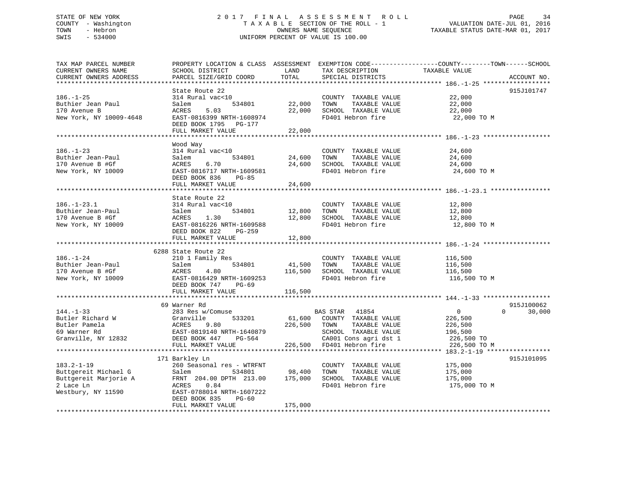## STATE OF NEW YORK 2 0 1 7 F I N A L A S S E S S M E N T R O L L PAGE 34 COUNTY - Washington T A X A B L E SECTION OF THE ROLL - 1 VALUATION DATE-JUL 01, 2016 TOWN - Hebron OWNERS NAME SEQUENCE TAXABLE STATUS DATE-MAR 01, 2017 SWIS - 534000 UNIFORM PERCENT OF VALUE IS 100.00

| TAX MAP PARCEL NUMBER<br>CURRENT OWNERS NAME | PROPERTY LOCATION & CLASS ASSESSMENT EXEMPTION CODE----------------COUNTY-------TOWN-----SCHOOL<br>SCHOOL DISTRICT | LAND    | TAX DESCRIPTION               | TAXABLE VALUE              |             |
|----------------------------------------------|--------------------------------------------------------------------------------------------------------------------|---------|-------------------------------|----------------------------|-------------|
| CURRENT OWNERS ADDRESS                       | PARCEL SIZE/GRID COORD                                                                                             | TOTAL   | SPECIAL DISTRICTS             |                            | ACCOUNT NO. |
|                                              |                                                                                                                    |         |                               |                            |             |
|                                              | State Route 22                                                                                                     |         |                               |                            | 915J101747  |
| $186. - 1 - 25$                              | 314 Rural vac<10                                                                                                   |         | COUNTY TAXABLE VALUE          | 22,000                     |             |
| Buthier Jean Paul                            | 534801<br>Salem                                                                                                    | 22,000  | TOWN<br>TAXABLE VALUE         | 22,000                     |             |
| 170 Avenue B                                 | 5.03<br>ACRES                                                                                                      | 22,000  | SCHOOL TAXABLE VALUE          | 22,000                     |             |
| New York, NY 10009-4648                      | EAST-0816399 NRTH-1608974                                                                                          |         | FD401 Hebron fire             | 22,000 TO M                |             |
|                                              | DEED BOOK 1795 PG-177                                                                                              |         |                               |                            |             |
|                                              | FULL MARKET VALUE                                                                                                  | 22,000  |                               |                            |             |
|                                              |                                                                                                                    |         |                               |                            |             |
|                                              | Wood Way                                                                                                           |         |                               |                            |             |
| $186. - 1 - 23$                              | 314 Rural vac<10                                                                                                   |         | COUNTY TAXABLE VALUE          | 24,600                     |             |
| Buthier Jean-Paul                            | Salem<br>534801                                                                                                    | 24,600  | TAXABLE VALUE<br>TOWN         | 24,600                     |             |
| 170 Avenue B #Gf                             | ACRES<br>6.70                                                                                                      | 24,600  | SCHOOL TAXABLE VALUE          | 24,600                     |             |
| New York, NY 10009                           | EAST-0816717 NRTH-1609581                                                                                          |         | FD401 Hebron fire             | 24,600 TO M                |             |
|                                              | DEED BOOK 836<br>PG-85                                                                                             |         |                               |                            |             |
|                                              | FULL MARKET VALUE                                                                                                  | 24,600  |                               |                            |             |
|                                              |                                                                                                                    |         |                               |                            |             |
|                                              | State Route 22                                                                                                     |         |                               |                            |             |
| $186. - 1 - 23.1$                            | 314 Rural vac<10                                                                                                   |         | COUNTY TAXABLE VALUE 12,800   |                            |             |
| Buthier Jean-Paul                            | Salem<br>534801                                                                                                    | 12,800  | TOWN<br>TAXABLE VALUE         | 12,800                     |             |
| 170 Avenue B #Gf                             | ACRES<br>1.30                                                                                                      | 12,800  | SCHOOL TAXABLE VALUE          | 12,800                     |             |
| New York, NY 10009                           | EAST-0816226 NRTH-1609588                                                                                          |         | FD401 Hebron fire             | 12,800 TO M                |             |
|                                              | DEED BOOK 822<br>PG-259                                                                                            |         |                               |                            |             |
|                                              | FULL MARKET VALUE                                                                                                  | 12,800  |                               |                            |             |
|                                              |                                                                                                                    |         |                               |                            |             |
|                                              | 6288 State Route 22                                                                                                |         |                               |                            |             |
| $186. - 1 - 24$                              | 210 1 Family Res                                                                                                   |         | COUNTY TAXABLE VALUE          | 116,500                    |             |
| Buthier Jean-Paul                            | 534801<br>Salem                                                                                                    | 41,500  | TOWN<br>TAXABLE VALUE         | 116,500                    |             |
| 170 Avenue B #Gf                             | 4.80<br>ACRES                                                                                                      | 116,500 | SCHOOL TAXABLE VALUE          | 116,500                    |             |
| New York, NY 10009                           | EAST-0816429 NRTH-1609253                                                                                          |         | FD401 Hebron fire             | 116,500 TO M               |             |
|                                              | DEED BOOK 747 PG-69                                                                                                |         |                               |                            |             |
|                                              | FULL MARKET VALUE                                                                                                  | 116,500 |                               |                            |             |
|                                              |                                                                                                                    |         |                               |                            |             |
|                                              | 69 Warner Rd                                                                                                       |         |                               |                            | 915J100062  |
| $144. - 1 - 33$                              | 283 Res w/Comuse                                                                                                   |         | BAS STAR 41854                | $\overline{0}$<br>$\Omega$ | 30,000      |
| Butler Richard W                             | Granville<br>533201                                                                                                |         | 61,600 COUNTY TAXABLE VALUE   | 226,500                    |             |
| Butler Pamela                                | <b>ACRES</b><br>9.80                                                                                               |         | 226,500 TOWN<br>TAXABLE VALUE | 226,500                    |             |
| 69 Warner Rd                                 | EAST-0819140 NRTH-1640879                                                                                          |         | SCHOOL TAXABLE VALUE          | 196,500                    |             |
| Granville, NY 12832                          | DEED BOOK 447 PG-564                                                                                               |         | CA001 Cons agri dst 1         | 226,500 TO                 |             |
|                                              | FULL MARKET VALUE                                                                                                  |         | 226,500 FD401 Hebron fire     | 226,500 TO M               |             |
|                                              |                                                                                                                    |         |                               |                            |             |
|                                              | 171 Barkley Ln                                                                                                     |         |                               |                            | 915J101095  |
| $183.2 - 1 - 19$                             | 260 Seasonal res - WTRFNT                                                                                          |         | COUNTY TAXABLE VALUE          | 175,000                    |             |
| Buttgereit Michael G                         | Salem<br>534801                                                                                                    | 98,400  | TOWN<br>TAXABLE VALUE         | 175,000                    |             |
| Buttgereit Marjorie A                        | FRNT 204.00 DPTH 213.00                                                                                            | 175,000 | SCHOOL TAXABLE VALUE          | 175,000                    |             |
| 2 Lace Ln                                    | 0.84<br>ACRES                                                                                                      |         | FD401 Hebron fire             | 175,000 TO M               |             |
| Westbury, NY 11590                           | EAST-0788014 NRTH-1607222                                                                                          |         |                               |                            |             |
|                                              | DEED BOOK 835<br>PG-60                                                                                             |         |                               |                            |             |
|                                              | FULL MARKET VALUE                                                                                                  | 175,000 |                               |                            |             |
|                                              |                                                                                                                    |         |                               |                            |             |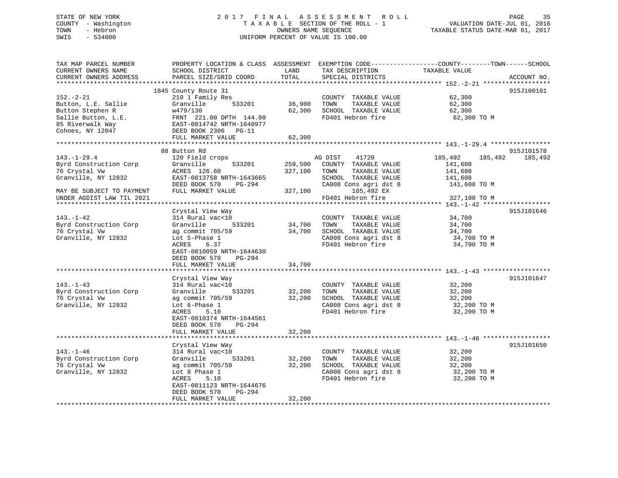## STATE OF NEW YORK 2 0 1 7 F I N A L A S S E S S M E N T R O L L PAGE 35 COUNTY - Washington T A X A B L E SECTION OF THE ROLL - 1 VALUATION DATE-JUL 01, 2016 TOWN - Hebron OWNERS NAME SEQUENCE TAXABLE STATUS DATE-MAR 01, 2017 SWIS - 534000 UNIFORM PERCENT OF VALUE IS 100.00

| TAX MAP PARCEL NUMBER<br>CURRENT OWNERS NAME<br>CURRENT OWNERS ADDRESS                                                                                                                                                             | SCHOOL DISTRICT<br>PARCEL SIZE/GRID COORD                                                                                                                                                                                                               | LAND<br>TOTAL                                     | TAX DESCRIPTION<br>SPECIAL DISTRICTS                                                                                                                                                                                                                                         | PROPERTY LOCATION & CLASS ASSESSMENT EXEMPTION CODE---------------COUNTY-------TOWN-----SCHOOL<br>TAXABLE VALUE                                     | ACCOUNT NO.                         |
|------------------------------------------------------------------------------------------------------------------------------------------------------------------------------------------------------------------------------------|---------------------------------------------------------------------------------------------------------------------------------------------------------------------------------------------------------------------------------------------------------|---------------------------------------------------|------------------------------------------------------------------------------------------------------------------------------------------------------------------------------------------------------------------------------------------------------------------------------|-----------------------------------------------------------------------------------------------------------------------------------------------------|-------------------------------------|
|                                                                                                                                                                                                                                    |                                                                                                                                                                                                                                                         |                                                   |                                                                                                                                                                                                                                                                              |                                                                                                                                                     |                                     |
| $152. - 2 - 21$<br>Button, L.E. Sallie<br>Button Stephen R<br>Sallie Button, L.E.<br>85 Riverwalk Way<br>Cohoes, NY 12047                                                                                                          | 1845 County Route 31<br>210 1 Family Res<br>533201<br>Granville<br>w479/130<br>FRNT 221.00 DPTH 144.00<br>EAST-0814742 NRTH-1640977<br>DEED BOOK 2306 PG-11<br>FULL MARKET VALUE                                                                        | 36,900<br>62,300<br>62,300                        | COUNTY TAXABLE VALUE<br>TOWN<br>TAXABLE VALUE<br>SCHOOL TAXABLE VALUE<br>FD401 Hebron fire                                                                                                                                                                                   | 62,300<br>62,300<br>62,300<br>62,300 TO M                                                                                                           | 915J100101                          |
|                                                                                                                                                                                                                                    |                                                                                                                                                                                                                                                         |                                                   |                                                                                                                                                                                                                                                                              |                                                                                                                                                     |                                     |
| $143. - 1 - 29.4$<br>Byrd Construction Corp<br>76 Crystal Vw<br>Granville, NY 12832<br>MAY BE SUBJECT TO PAYMENT<br>UNDER AGDIST LAW TIL 2021<br>$143. - 1 - 42$<br>Byrd Construction Corp<br>76 Crystal Vw<br>Granville, NY 12832 | 88 Button Rd<br>120 Field crops<br>Granville<br>533201<br>ACRES 126.60<br>EAST-0813758 NRTH-1643665<br>DEED BOOK 570<br>PG-294<br>FULL MARKET VALUE<br>Crystal View Way<br>314 Rural vac<10<br>Granville<br>533201<br>ag commit 705/59<br>Lot 5-Phase 1 | 259,500<br>327,100<br>327,100<br>34,700<br>34,700 | AG DIST<br>41720<br>COUNTY TAXABLE VALUE<br>TOWN<br>TAXABLE VALUE<br>SCHOOL TAXABLE VALUE<br>CA008 Cons agri dst 8<br>185,492 EX<br>FD401 Hebron fire<br>COUNTY TAXABLE VALUE<br>TOWN<br>TAXABLE VALUE<br>SCHOOL TAXABLE VALUE<br>CA008 Cons agri dst 8<br>FD401 Hebron fire | 185,492<br>185,492<br>141,608<br>141,608<br>141,608<br>141,608 TO M<br>327,100 TO M<br>34,700<br>34,700<br>34,700<br>$34,700$ TO M<br>$34,700$ TO M | 915J101578<br>185,492<br>915J101646 |
|                                                                                                                                                                                                                                    | ACRES<br>6.37<br>EAST-0810059 NRTH-1644630<br>DEED BOOK 570<br>PG-294<br>FULL MARKET VALUE                                                                                                                                                              | 34,700                                            |                                                                                                                                                                                                                                                                              | 34,700 TO M                                                                                                                                         |                                     |
| $143. - 1 - 43$<br>Byrd Construction Corp<br>76 Crystal Vw<br>Granville, NY 12832                                                                                                                                                  | Crystal View Way<br>314 Rural vac<10<br>Granville<br>533201<br>ag commit 705/59<br>Lot 6-Phase 1<br>ACRES<br>5.10<br>EAST-0810374 NRTH-1644561<br>DEED BOOK 570<br>PG-294                                                                               | 32,200<br>32,200                                  | COUNTY TAXABLE VALUE<br>TOWN<br>TAXABLE VALUE<br>SCHOOL TAXABLE VALUE<br>CA008 Cons agri dst 8<br>FD401 Hebron fire                                                                                                                                                          | 32,200<br>32,200<br>32,200<br>32,200 TO M<br>32,200 TO M                                                                                            | 915J101647                          |
|                                                                                                                                                                                                                                    | FULL MARKET VALUE                                                                                                                                                                                                                                       | 32,200                                            |                                                                                                                                                                                                                                                                              |                                                                                                                                                     |                                     |
| $143. - 1 - 46$<br>Byrd Construction Corp<br>76 Crystal Vw<br>Granville, NY 12832                                                                                                                                                  | Crystal View Way<br>314 Rural vac<10<br>533201<br>Granville<br>ag commit 705/59<br>Lot 8 Phase 1<br>ACRES<br>5.10<br>EAST-0811123 NRTH-1644676<br>DEED BOOK 570<br>PG-294                                                                               | 32,200<br>32,200                                  | COUNTY TAXABLE VALUE<br>TOWN<br>TAXABLE VALUE<br>SCHOOL TAXABLE VALUE<br>CA008 Cons agri dst 8<br>FD401 Hebron fire                                                                                                                                                          | 32,200<br>32,200<br>32,200<br>32,200 TO M<br>32,200 TO M                                                                                            | 915J101650                          |
|                                                                                                                                                                                                                                    | FULL MARKET VALUE                                                                                                                                                                                                                                       | 32,200                                            | ******************************                                                                                                                                                                                                                                               |                                                                                                                                                     |                                     |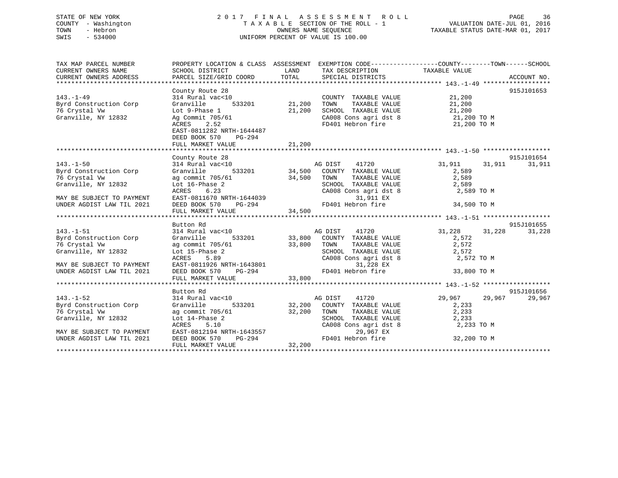## STATE OF NEW YORK 2 0 1 7 F I N A L A S S E S S M E N T R O L L PAGE 36 COUNTY - Washington T A X A B L E SECTION OF THE ROLL - 1 VALUATION DATE-JUL 01, 2016 TOWN - Hebron OWNERS NAME SEQUENCE TAXABLE STATUS DATE-MAR 01, 2017 SWIS - 534000 UNIFORM PERCENT OF VALUE IS 100.00

| TAX MAP PARCEL NUMBER            | PROPERTY LOCATION & CLASS ASSESSMENT EXEMPTION CODE---------------COUNTY-------TOWN-----SCHOOL                                                                                                                                        |         |                                                                                                                                                                                                                                                                                                                 |                     |        |            |
|----------------------------------|---------------------------------------------------------------------------------------------------------------------------------------------------------------------------------------------------------------------------------------|---------|-----------------------------------------------------------------------------------------------------------------------------------------------------------------------------------------------------------------------------------------------------------------------------------------------------------------|---------------------|--------|------------|
| CURRENT OWNERS NAME              | SCHOOL DISTRICT                                                                                                                                                                                                                       | LAND    | TAX DESCRIPTION TAXABLE VALUE                                                                                                                                                                                                                                                                                   |                     |        |            |
| CURRENT OWNERS ADDRESS           |                                                                                                                                                                                                                                       |         |                                                                                                                                                                                                                                                                                                                 |                     |        |            |
|                                  |                                                                                                                                                                                                                                       |         |                                                                                                                                                                                                                                                                                                                 |                     |        |            |
|                                  | County Route 28                                                                                                                                                                                                                       |         |                                                                                                                                                                                                                                                                                                                 |                     |        | 915J101653 |
|                                  |                                                                                                                                                                                                                                       |         |                                                                                                                                                                                                                                                                                                                 |                     |        |            |
|                                  |                                                                                                                                                                                                                                       |         |                                                                                                                                                                                                                                                                                                                 |                     |        |            |
|                                  |                                                                                                                                                                                                                                       |         |                                                                                                                                                                                                                                                                                                                 |                     |        |            |
|                                  |                                                                                                                                                                                                                                       |         | Vac<10<br>Vac<10<br>533201<br>21,200<br>21,200<br>21,200<br>21,200<br>21,200<br>21,200<br>21,200<br>CHOOL TAXABLE VALUE<br>21,200<br>CHOOL TAXABLE VALUE<br>21,200<br>CA008 CONS agrid st 8<br>21,200<br>21,200<br>21,200<br>21,200<br>21,200<br>21,200<br>21,200<br>21,20<br>CA008 Cons agri dst 8 21,200 TO M |                     |        |            |
|                                  | 143.-1-49<br>Byrd Construction Corp Granville 333202<br>76 Crystal Vw 19832 Ag Commit 705/61                                                                                                                                          |         | FD401 Hebron fire 21,200 TO M                                                                                                                                                                                                                                                                                   |                     |        |            |
|                                  | EAST-0811282 NRTH-1644487                                                                                                                                                                                                             |         |                                                                                                                                                                                                                                                                                                                 |                     |        |            |
|                                  | DEED BOOK 570 PG-294                                                                                                                                                                                                                  |         |                                                                                                                                                                                                                                                                                                                 |                     |        |            |
|                                  | FULL MARKET VALUE                                                                                                                                                                                                                     | 21,200  |                                                                                                                                                                                                                                                                                                                 |                     |        |            |
|                                  |                                                                                                                                                                                                                                       |         |                                                                                                                                                                                                                                                                                                                 |                     |        |            |
|                                  | County Route 28                                                                                                                                                                                                                       |         |                                                                                                                                                                                                                                                                                                                 |                     |        | 915J101654 |
| $143. - 1 - 50$                  | 314 Rural vac<10                                                                                                                                                                                                                      |         | vac<10 aG DIST 41720<br>533201 533201 34,500 COUNTY TAXABLE VALUE<br>705/61 34,500 TOWN TAXABLE VALUE                                                                                                                                                                                                           | 31,911 31,911       |        | 31,911     |
| Byrd Construction Corp           | Granville                                                                                                                                                                                                                             |         |                                                                                                                                                                                                                                                                                                                 | 2,589               |        |            |
| 76 Crystal Vw                    | ag commit 705/61                                                                                                                                                                                                                      |         |                                                                                                                                                                                                                                                                                                                 | 2,589               |        |            |
| Granville, NY 12832              |                                                                                                                                                                                                                                       |         | SCHOOL TAXABLE VALUE 2,589                                                                                                                                                                                                                                                                                      |                     |        |            |
|                                  |                                                                                                                                                                                                                                       |         | CA008 Cons agri dst 8 2,589 TO M                                                                                                                                                                                                                                                                                |                     |        |            |
| MAY BE SUBJECT TO PAYMENT        |                                                                                                                                                                                                                                       |         | 31,911 EX                                                                                                                                                                                                                                                                                                       |                     |        |            |
| UNDER AGDIST LAW TIL 2021        |                                                                                                                                                                                                                                       |         |                                                                                                                                                                                                                                                                                                                 | 34,500 TO M         |        |            |
|                                  | EXERES 6.23<br>Lot 16-Phase 2<br>EAST-0811670 NRTH-1644039<br>DEED BOOK 570 PG-294<br>FULL MARKET VALUE<br>FULL MARKET VALUE<br>FULL MARKET VALUE<br>FULL MARKET VALUE<br>FULL MARKET VALUE<br>FULL MARKET VALUE<br>FULL MARKET VALUE |         |                                                                                                                                                                                                                                                                                                                 |                     |        |            |
|                                  |                                                                                                                                                                                                                                       |         |                                                                                                                                                                                                                                                                                                                 |                     |        |            |
|                                  | Button Rd                                                                                                                                                                                                                             |         |                                                                                                                                                                                                                                                                                                                 |                     |        | 915J101655 |
| $143. - 1 - 51$                  | 314 Rural vac<10<br>314 Rural vac<10<br>31,228<br>3201 33,800 COUNTY TAXABLE VALUE 31,228<br>32,572                                                                                                                                   |         |                                                                                                                                                                                                                                                                                                                 | 31,228              | 31,228 | 31,228     |
| Byrd Construction Corp Granville |                                                                                                                                                                                                                                       |         |                                                                                                                                                                                                                                                                                                                 |                     |        |            |
| 76 Crystal Vw                    | ag commit 705/61 33,800 TOWN<br>Lot 15-Phase 2 5CHOO                                                                                                                                                                                  |         |                                                                                                                                                                                                                                                                                                                 | 2,572               |        |            |
| Granville, NY 12832              | Lot 15-Phase 2                                                                                                                                                                                                                        |         |                                                                                                                                                                                                                                                                                                                 |                     |        |            |
|                                  | 5.89<br>ACRES                                                                                                                                                                                                                         |         |                                                                                                                                                                                                                                                                                                                 |                     |        |            |
| MAY BE SUBJECT TO PAYMENT        |                                                                                                                                                                                                                                       |         |                                                                                                                                                                                                                                                                                                                 |                     |        |            |
| UNDER AGDIST LAW TIL 2021        |                                                                                                                                                                                                                                       |         |                                                                                                                                                                                                                                                                                                                 |                     |        |            |
|                                  | EAST-0811926 NRTH-1643801<br>DEED BOOK 570 PG-294 FD401 Hebron fire 33,800 TO M<br>FULL MARKET VALUE 33,800                                                                                                                           |         |                                                                                                                                                                                                                                                                                                                 |                     |        |            |
|                                  |                                                                                                                                                                                                                                       |         |                                                                                                                                                                                                                                                                                                                 |                     |        |            |
|                                  | Button Rd                                                                                                                                                                                                                             |         |                                                                                                                                                                                                                                                                                                                 |                     |        | 915J101656 |
| $143. - 1 - 52$                  | 314 Rural vac<10                                                                                                                                                                                                                      | AG DIST | 41720                                                                                                                                                                                                                                                                                                           | 29,967 29,967       |        | 29,967     |
| Byrd Construction Corp           | Granville                                                                                                                                                                                                                             |         | 533201 32,200 COUNTY TAXABLE VALUE 2,233                                                                                                                                                                                                                                                                        |                     |        |            |
| 76 Crystal Vw                    | ag commit 705/61 32,200 TOWN<br>Lot 14-Phase 2 SCHOOL<br>ACRES 5.10 CA008 C                                                                                                                                                           |         |                                                                                                                                                                                                                                                                                                                 | TAXABLE VALUE 2,233 |        |            |
| Granville, NY 12832              |                                                                                                                                                                                                                                       |         | SCHOOL TAXABLE VALUE 2,233<br>CA008 Cons agri dst 8 2,233                                                                                                                                                                                                                                                       |                     |        |            |
|                                  |                                                                                                                                                                                                                                       |         |                                                                                                                                                                                                                                                                                                                 | 2,233 TO M          |        |            |
| MAY BE SUBJECT TO PAYMENT        |                                                                                                                                                                                                                                       |         | 29,967 EX                                                                                                                                                                                                                                                                                                       |                     |        |            |
| UNDER AGDIST LAW TIL 2021        |                                                                                                                                                                                                                                       |         | FD401 Hebron fire 32,200 TO M                                                                                                                                                                                                                                                                                   |                     |        |            |
|                                  | ACRES<br>EAST-0812194 NRTH-1643557<br>DEED BOOK 570 PG-294 FD401<br>THE MAPKET VALUE 32,200                                                                                                                                           |         |                                                                                                                                                                                                                                                                                                                 |                     |        |            |
|                                  |                                                                                                                                                                                                                                       |         |                                                                                                                                                                                                                                                                                                                 |                     |        |            |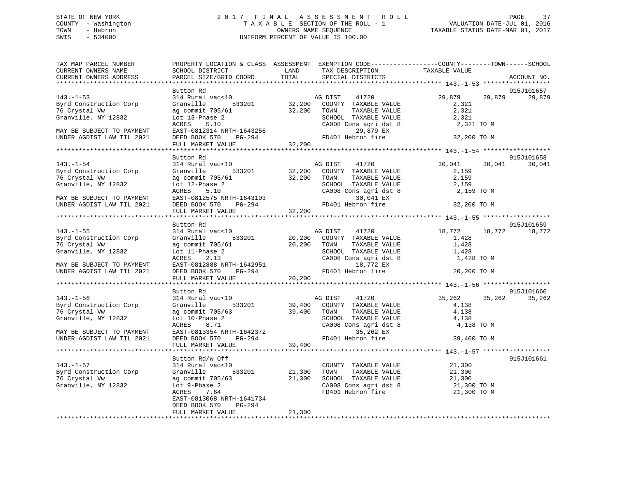## STATE OF NEW YORK 2 0 1 7 F I N A L A S S E S S M E N T R O L L PAGE 37 COUNTY - Washington T A X A B L E SECTION OF THE ROLL - 1 VALUATION DATE-JUL 01, 2016 TOWN - Hebron OWNERS NAME SEQUENCE TAXABLE STATUS DATE-MAR 01, 2017 SWIS - 534000 UNIFORM PERCENT OF VALUE IS 100.00

| TAX MAP PARCEL NUMBER<br>CURRENT OWNERS NAME<br>CURRENT OWNERS ADDRESS                                                                      | SCHOOL DISTRICT<br>PARCEL SIZE/GRID COORD                                                                                                                                           | LAND<br>TAX DESCRIPTION<br>TOTAL<br>SPECIAL DISTRICTS                                                                                                                | PROPERTY LOCATION & CLASS ASSESSMENT EXEMPTION CODE----------------COUNTY-------TOWN------SCHOOL<br>TAXABLE VALUE<br>ACCOUNT NO. |
|---------------------------------------------------------------------------------------------------------------------------------------------|-------------------------------------------------------------------------------------------------------------------------------------------------------------------------------------|----------------------------------------------------------------------------------------------------------------------------------------------------------------------|----------------------------------------------------------------------------------------------------------------------------------|
|                                                                                                                                             |                                                                                                                                                                                     |                                                                                                                                                                      |                                                                                                                                  |
| $143. - 1 - 53$<br>Byrd Construction Corp<br>76 Crystal Vw<br>Granville, NY 12832                                                           | Button Rd<br>314 Rural vac<10<br>Granville<br>ag commit 705/61<br>Lot 13-Phase 2                                                                                                    | AG DIST<br>41720<br>533201 32,200 COUNTY TAXABLE VALUE<br>32,200<br>TOWN<br>TAXABLE VALUE<br>SCHOOL TAXABLE VALUE<br>CA008 Cons agri dst 8                           | 915J101657<br>29,879<br>29,879<br>29,879<br>2,321<br>2,321<br>2,321                                                              |
| MAY BE SUBJECT TO PAYMENT<br>UNDER AGDIST LAW TIL 2021                                                                                      | ACRES 5.10<br>EAST-0812314 NRTH-1643256<br>DEED BOOK 570 PG-294<br>WALKER MALLIF, 32,200                                                                                            | 29,879 EX<br>FD401 Hebron fire                                                                                                                                       | 2,321 TO M<br>32,200 TO M                                                                                                        |
|                                                                                                                                             |                                                                                                                                                                                     |                                                                                                                                                                      |                                                                                                                                  |
|                                                                                                                                             | Button Rd                                                                                                                                                                           |                                                                                                                                                                      | 915J101658                                                                                                                       |
| $143. - 1 - 54$<br>Byrd Construction Corp<br>76 Crystal Vw<br>Granville, NY 12832                                                           | 314 Rural vac<10<br>533201<br>Granville<br>ag commit 705/61<br>Lot 12-Phase 2<br>ACRES                                                                                              | AG DIST 41720<br>32,200 COUNTY TAXABLE VALUE<br>32,200 TOWN TAXABLE VALUE<br>TAXABLE VALUE<br>SCHOOL TAXABLE VALUE<br>CA008 Cons agri dst 8                          | 30,041<br>30,041<br>30,041<br>2,159<br>2,159<br>2,159<br>2,159 TO M                                                              |
| MAY BE SUBJECT TO PAYMENT<br>UNDER AGDIST LAW TIL 2021                                                                                      | 5.10<br>EACRES<br>EAST-0812575 NRTH-1643103<br>DEED BOOK 570 PG-294<br>FULL MARKET VALUE 32,200                                                                                     | 30,041 EX<br>FD401 Hebron fire                                                                                                                                       | 32,200 TO M                                                                                                                      |
|                                                                                                                                             |                                                                                                                                                                                     |                                                                                                                                                                      |                                                                                                                                  |
| $143. - 1 - 55$                                                                                                                             | Button Rd<br>314 Rural vac<10                                                                                                                                                       | AG DIST 41720                                                                                                                                                        | 915J101659<br>18,772<br>18,772 18,772                                                                                            |
| Byrd Construction Corp<br>76 Crystal Vw<br>Granville, NY 12832                                                                              | Granville<br>533201<br>ag commit 705/61<br>Lot 11-Phase 2<br>ACRES<br>2.13                                                                                                          | 20,200 COUNTY TAXABLE VALUE<br>20,200 TOWN TAXABLE VALUE<br>TAXABLE VALUE<br>SCHOOL TAXABLE VALUE<br>CA008 Cons agri dst 8                                           | 1,428<br>1,428<br>1,428<br>1,428 TO M                                                                                            |
| MAY BE SUBJECT TO PAYMENT<br>UNDER AGDIST LAW TIL 2021                                                                                      | EAST-0812888 NRTH-1642951<br>DEED BOOK 570 PG-294<br>FULL MARKET VALUE 20,200                                                                                                       | 18,772 EX<br>FD401 Hebron fire                                                                                                                                       | 20,200 TO M                                                                                                                      |
|                                                                                                                                             |                                                                                                                                                                                     |                                                                                                                                                                      |                                                                                                                                  |
|                                                                                                                                             | Button Rd                                                                                                                                                                           |                                                                                                                                                                      | 915J101660                                                                                                                       |
| $143. - 1 - 56$<br>Byrd Construction Corp<br>76 Crystal Vw<br>Granville, NY 12832<br>MAY BE SUBJECT TO PAYMENT<br>UNDER AGDIST LAW TIL 2021 | 314 Rural vac<10<br>Granville<br>533201<br>ag commit 705/63<br>Lot 10-Phase 2<br>ACRES<br>8.71<br>ACRES 8.71<br>EAST-0813354 NRTH-1642372<br>FILL BOL-294                           | 41720<br>AG DIST<br>39,400 COUNTY TAXABLE VALUE<br>39,400 TOWN<br>TAXABLE VALUE<br>SCHOOL TAXABLE VALUE<br>$CA008$ Cons agri dst 8<br>35,262 EX<br>FD401 Hebron fire | 35,262<br>35,262<br>35,262<br>4,138<br>4,138<br>4,138<br>4,138 TO M<br>39,400 TO M                                               |
|                                                                                                                                             | FULL MARKET VALUE                                                                                                                                                                   | 39,400                                                                                                                                                               |                                                                                                                                  |
| $143. - 1 - 57$<br>Byrd Construction Corp<br>76 Crystal Vw<br>Granville, NY 12832                                                           | Button Rd/w Off<br>314 Rural vac<10<br>533201<br>Granville<br>ag commit 705/63<br>Lot 9-Phase 2<br>ACRES 7.64<br>ACRES 7.64<br>EAST-0813068 NRTH-1641734<br>DEED BOOK 570<br>PG-294 | COUNTY TAXABLE VALUE<br>21,300<br>TAXABLE VALUE<br>TOWN<br>21,300<br>SCHOOL TAXABLE VALUE<br>CA008 Cons agri dst 8<br>FD401 Hebron fire                              | 915J101661<br>21,300<br>21,300<br>21,300<br>21,300<br>21,300 TO M<br>21,300 TO M                                                 |
|                                                                                                                                             | FULL MARKET VALUE                                                                                                                                                                   | 21,300                                                                                                                                                               |                                                                                                                                  |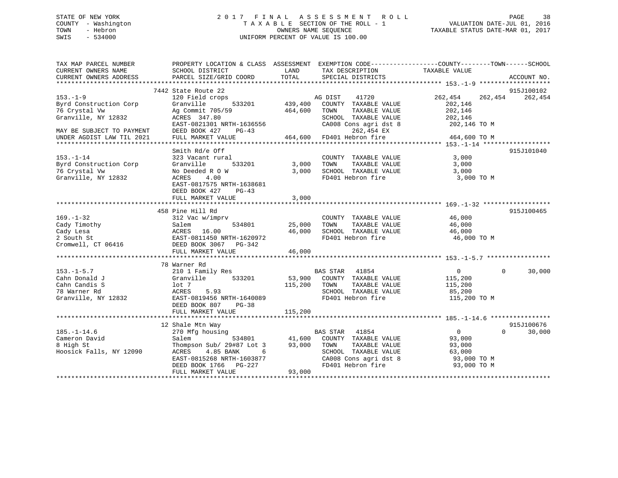## STATE OF NEW YORK 2 0 1 7 F I N A L A S S E S S M E N T R O L L PAGE 38 COUNTY - Washington T A X A B L E SECTION OF THE ROLL - 1 VALUATION DATE-JUL 01, 2016 TOWN - Hebron OWNERS NAME SEQUENCE TAXABLE STATUS DATE-MAR 01, 2017 SWIS - 534000 UNIFORM PERCENT OF VALUE IS 100.00

| TAX MAP PARCEL NUMBER<br>CURRENT OWNERS NAME<br>CURRENT OWNERS ADDRESS                                                                     | SCHOOL DISTRICT<br>PARCEL SIZE/GRID COORD                                                                                                                                                 | TAX DESCRIPTION<br>LAND<br>TOTAL<br>SPECIAL DISTRICTS                                                                                                                                      | PROPERTY LOCATION & CLASS ASSESSMENT EXEMPTION CODE---------------COUNTY-------TOWN-----SCHOOL<br>TAXABLE VALUE<br>ACCOUNT NO. |
|--------------------------------------------------------------------------------------------------------------------------------------------|-------------------------------------------------------------------------------------------------------------------------------------------------------------------------------------------|--------------------------------------------------------------------------------------------------------------------------------------------------------------------------------------------|--------------------------------------------------------------------------------------------------------------------------------|
| $153. - 1 - 9$<br>Byrd Construction Corp<br>76 Crystal Vw<br>Granville, NY 12832<br>MAY BE SUBJECT TO PAYMENT<br>UNDER AGDIST LAW TIL 2021 | 7442 State Route 22<br>120 Field crops<br>Granville<br>Ag Commit 705/59<br>ACRES 347.80<br>EAST-0821301 NRTH-1636556<br>DEED BOOK 427<br>$PG-43$<br>FULL MARKET VALUE                     | 41720<br>AG DIST<br>533201 439,400<br>COUNTY TAXABLE VALUE<br>464,600<br>TOWN<br>TAXABLE VALUE<br>SCHOOL TAXABLE VALUE<br>CA008 Cons agri dst 8<br>262,454 EX<br>464,600 FD401 Hebron fire | 915J100102<br>262,454 262,454<br>262,454<br>202,146<br>202,146<br>202,146<br>202,146 TO M<br>464,600 TO M                      |
| $153. - 1 - 14$<br>Byrd Construction Corp<br>76 Crystal Vw<br>Granville, NY 12832                                                          | Smith Rd/e Off<br>323 Vacant rural<br>533201<br>Granville<br>No Deeded R O W<br>4.00<br>ACRES<br>EAST-0817575 NRTH-1638681<br>DEED BOOK 427<br>PG-43<br>FULL MARKET VALUE                 | COUNTY TAXABLE VALUE<br>3,000<br>TOWN<br>TAXABLE VALUE<br>3,000<br>SCHOOL TAXABLE VALUE<br>FD401 Hebron fire<br>3,000                                                                      | 915J101040<br>3,000<br>3,000<br>3,000<br>3,000 TO M                                                                            |
| $169. - 1 - 32$<br>Cady Timothy<br>Cady Lesa<br>2 South St<br>Cromwell, CT 06416                                                           | 458 Pine Hill Rd<br>312 Vac w/imprv<br>534801<br>Salem<br>ACRES 16.00<br>EAST-0811450 NRTH-1620972<br>DEED BOOK 3067 PG-342<br>FULL MARKET VALUE                                          | COUNTY TAXABLE VALUE<br>25,000<br>TAXABLE VALUE<br>TOWN<br>46,000 SCHOOL TAXABLE VALUE<br>FD401 Hebron fire<br>46,000                                                                      | 915J100465<br>46,000<br>46,000<br>46,000<br>46,000 TO M                                                                        |
| $153. - 1 - 5.7$<br>Cahn Donald J<br>Cahn Candis S<br>78 Warner Rd<br>Granville, NY 12832                                                  | 78 Warner Rd<br>210 1 Family Res<br>Granville<br>533201<br>lot 7<br>5.93<br>ACRES<br>EAST-0819456 NRTH-1640089<br>DEED BOOK 807<br>$PG-38$<br>FULL MARKET VALUE                           | <b>BAS STAR</b><br>41854<br>53,900 COUNTY TAXABLE VALUE<br>115,200<br>TOWN<br>TAXABLE VALUE<br>SCHOOL TAXABLE VALUE<br>FD401 Hebron fire<br>115,200                                        | $\overline{0}$<br>$\Omega$<br>30,000<br>115,200<br>115,200<br>85,200<br>115,200 TO M                                           |
| $185. - 1 - 14.6$<br>Cameron David<br>8 High St<br>Hoosick Falls, NY 12090                                                                 | 12 Shale Mtn Way<br>270 Mfg housing<br>534801<br>Salem<br>Thompson Sub/ 29#87 Lot 3<br>ACRES<br>4.85 BANK<br>6<br>EAST-0815268 NRTH-1603877<br>DEED BOOK 1766 PG-227<br>FULL MARKET VALUE | BAS STAR<br>41854<br>41,600<br>93,000<br>COUNTY TAXABLE VALUE<br>TAXABLE VALUE<br>TOWN<br>SCHOOL TAXABLE VALUE<br>CA008 Cons agri dst 8<br>FD401 Hebron fire<br>93,000                     | 915J100676<br>$\overline{0}$<br>$\Omega$<br>30,000<br>93,000<br>93,000<br>63,000<br>93,000 TO M<br>93,000 TO M                 |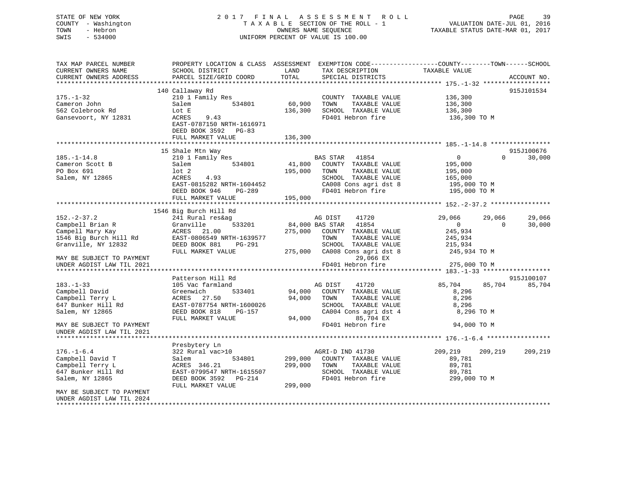## STATE OF NEW YORK 2 0 1 7 F I N A L A S S E S S M E N T R O L L PAGE 39 COUNTY - Washington T A X A B L E SECTION OF THE ROLL - 1 VALUATION DATE-JUL 01, 2016 TOWN - Hebron OWNERS NAME SEQUENCE TAXABLE STATUS DATE-MAR 01, 2017 SWIS - 534000 UNIFORM PERCENT OF VALUE IS 100.00

| TAX MAP PARCEL NUMBER      | PROPERTY LOCATION & CLASS ASSESSMENT |         | EXEMPTION CODE-----------------COUNTY-------TOWN------SCHOOL |                    |                              |
|----------------------------|--------------------------------------|---------|--------------------------------------------------------------|--------------------|------------------------------|
| CURRENT OWNERS NAME        | SCHOOL DISTRICT                      | LAND    | TAX DESCRIPTION                                              | TAXABLE VALUE      |                              |
| CURRENT OWNERS ADDRESS     | PARCEL SIZE/GRID COORD               | TOTAL   | SPECIAL DISTRICTS                                            |                    | ACCOUNT NO.                  |
| **********************     |                                      |         |                                                              |                    |                              |
|                            | 140 Callaway Rd                      |         |                                                              |                    | 915J101534                   |
| $175. - 1 - 32$            | 210 1 Family Res                     |         | COUNTY TAXABLE VALUE                                         | 136,300            |                              |
| Cameron John               | 534801<br>Salem                      | 60,900  | TOWN<br>TAXABLE VALUE                                        | 136,300            |                              |
| 562 Colebrook Rd           | Lot E                                | 136,300 | SCHOOL TAXABLE VALUE                                         | 136,300            |                              |
| Gansevoort, NY 12831       | 9.43<br>ACRES                        |         | FD401 Hebron fire                                            | 136,300 TO M       |                              |
|                            | EAST-0787150 NRTH-1616971            |         |                                                              |                    |                              |
|                            | DEED BOOK 3592<br>PG-83              |         |                                                              |                    |                              |
|                            | FULL MARKET VALUE                    | 136,300 |                                                              |                    |                              |
|                            |                                      |         |                                                              |                    |                              |
|                            | 15 Shale Mtn Way                     |         |                                                              |                    | 915J100676                   |
| $185. - 1 - 14.8$          | 210 1 Family Res                     |         | <b>BAS STAR</b><br>41854                                     | 0                  | 30,000<br>$\Omega$           |
| Cameron Scott B            | 534801<br>Salem                      | 41,800  | COUNTY TAXABLE VALUE                                         | 195,000            |                              |
| PO Box 691                 | $1$ ot $2$                           | 195,000 | TAXABLE VALUE<br>TOWN                                        | 195,000            |                              |
| Salem, NY 12865            | ACRES<br>4.93                        |         | SCHOOL TAXABLE VALUE                                         | 165,000            |                              |
|                            | EAST-0815282 NRTH-1604452            |         |                                                              |                    |                              |
|                            |                                      |         | CA008 Cons agri dst 8                                        | 195,000 TO M       |                              |
|                            | DEED BOOK 946<br>$PG-289$            |         | FD401 Hebron fire                                            | 195,000 TO M       |                              |
|                            | FULL MARKET VALUE                    | 195,000 |                                                              |                    |                              |
|                            |                                      |         |                                                              |                    |                              |
|                            | 1546 Big Burch Hill Rd               |         |                                                              |                    |                              |
| $152. - 2 - 37.2$          | 241 Rural res&ag                     |         | 41720<br>AG DIST                                             | 29,066             | 29,066<br>29,066<br>$\Omega$ |
| Campbell Brian R           | 533201<br>Granville                  |         | 84,000 BAS STAR<br>41854                                     | $\circ$            | 30,000                       |
| Campell Mary Kay           | ACRES<br>21.00                       | 275,000 | COUNTY TAXABLE VALUE                                         | 245,934            |                              |
| 1546 Big Burch Hill Rd     | EAST-0806549 NRTH-1639577            |         | TOWN<br>TAXABLE VALUE                                        | 245,934            |                              |
| Granville, NY 12832        | DEED BOOK 881<br>PG-291              |         | SCHOOL TAXABLE VALUE                                         | 215,934            |                              |
|                            | FULL MARKET VALUE                    | 275,000 | CA008 Cons agri dst 8                                        | 245,934 TO M       |                              |
| MAY BE SUBJECT TO PAYMENT  |                                      |         | 29,066 EX                                                    |                    |                              |
| UNDER AGDIST LAW TIL 2021  |                                      |         | FD401 Hebron fire                                            | 275,000 TO M       |                              |
|                            |                                      |         |                                                              |                    |                              |
|                            | Patterson Hill Rd                    |         |                                                              |                    | 915J100107                   |
| $183. - 1 - 33$            | 105 Vac farmland                     |         | AG DIST<br>41720                                             | 85,704             | 85,704<br>85,704             |
| Campbell David             | Greenwich<br>533401                  | 94,000  | COUNTY TAXABLE VALUE                                         | 8,296              |                              |
| Campbell Terry L           | 27.50<br>ACRES                       | 94,000  | TAXABLE VALUE<br>TOWN                                        | 8,296              |                              |
| 647 Bunker Hill Rd         | EAST-0787754 NRTH-1600026            |         | SCHOOL TAXABLE VALUE                                         | 8,296              |                              |
| Salem, NY 12865            | DEED BOOK 818<br>PG-157              |         | CA004 Cons agri dst 4                                        | 8,296 TO M         |                              |
|                            | FULL MARKET VALUE                    | 94,000  | 85,704 EX                                                    |                    |                              |
| MAY BE SUBJECT TO PAYMENT  |                                      |         | FD401 Hebron fire                                            | 94,000 TO M        |                              |
| UNDER AGDIST LAW TIL 2021  |                                      |         |                                                              |                    |                              |
|                            |                                      |         |                                                              |                    |                              |
|                            | Presbytery Ln                        |         |                                                              |                    |                              |
| $176. - 1 - 6.4$           | 322 Rural vac>10                     |         | AGRI-D IND 41730                                             | 209,219<br>209,219 | 209,219                      |
| Campbell David T           | 534801<br>Salem                      | 299,000 | COUNTY TAXABLE VALUE                                         | 89,781             |                              |
| Campbell Terry L           | ACRES 346.21                         | 299,000 | TAXABLE VALUE<br>TOWN                                        | 89,781             |                              |
| 647 Bunker Hill Rd         | EAST-0799547 NRTH-1615507            |         | SCHOOL TAXABLE VALUE                                         | 89,781             |                              |
| Salem, NY 12865            | DEED BOOK 3592 PG-214                |         | FD401 Hebron fire                                            | 299,000 TO M       |                              |
|                            | FULL MARKET VALUE                    | 299,000 |                                                              |                    |                              |
| MAY BE SUBJECT TO PAYMENT  |                                      |         |                                                              |                    |                              |
| UNDER AGDIST LAW TIL 2024  |                                      |         |                                                              |                    |                              |
| ************************** |                                      |         |                                                              |                    |                              |
|                            |                                      |         |                                                              |                    |                              |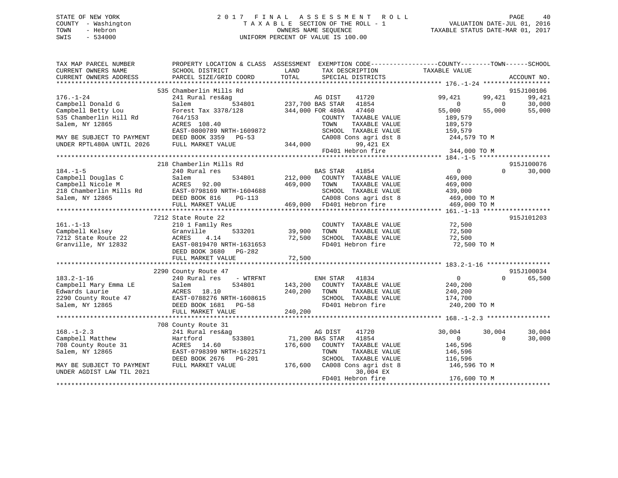## STATE OF NEW YORK 2 0 1 7 F I N A L A S S E S S M E N T R O L L PAGE 40 COUNTY - Washington T A X A B L E SECTION OF THE ROLL - 1 VALUATION DATE-JUL 01, 2016 TOWN - Hebron OWNERS NAME SEQUENCE TAXABLE STATUS DATE-MAR 01, 2017 SWIS - 534000 UNIFORM PERCENT OF VALUE IS 100.00

| TAX MAP PARCEL NUMBER<br>CURRENT OWNERS NAME | SCHOOL DISTRICT           | LAND                    | TAX DESCRIPTION                                    | PROPERTY LOCATION & CLASS ASSESSMENT EXEMPTION CODE----------------COUNTY-------TOWN------SCHOOL<br>TAXABLE VALUE |             |
|----------------------------------------------|---------------------------|-------------------------|----------------------------------------------------|-------------------------------------------------------------------------------------------------------------------|-------------|
| CURRENT OWNERS ADDRESS                       | PARCEL SIZE/GRID COORD    | TOTAL                   | SPECIAL DISTRICTS                                  |                                                                                                                   | ACCOUNT NO. |
|                                              | 535 Chamberlin Mills Rd   |                         |                                                    |                                                                                                                   | 915J100106  |
| $176. - 1 - 24$                              | 241 Rural res&ag          |                         | AG DIST<br>41720                                   | 99,421<br>99,421                                                                                                  | 99,421      |
| Campbell Donald G                            | Salem                     | 534801 237,700 BAS STAR | 41854                                              | $\Omega$<br>$\Omega$                                                                                              | 30,000      |
| Campbell Betty Lou                           | Forest Tax 3378/128       |                         | 344,000 FOR 480A 47460                             | 55,000<br>55,000                                                                                                  | 55,000      |
| 535 Chamberlin Hill Rd                       | 764/153                   |                         | COUNTY TAXABLE VALUE                               | 189,579                                                                                                           |             |
| Salem, NY 12865                              | ACRES 108.40              |                         | TAXABLE VALUE<br>TOWN                              | 189,579                                                                                                           |             |
|                                              | EAST-0800789 NRTH-1609872 |                         | SCHOOL TAXABLE VALUE                               | 159,579                                                                                                           |             |
| MAY BE SUBJECT TO PAYMENT                    | DEED BOOK 3359 PG-53      |                         | CA008 Cons agri dst 8                              | 244,579 TO M                                                                                                      |             |
| UNDER RPTL480A UNTIL 2026                    | FULL MARKET VALUE         | 344,000                 | 99,421 EX                                          |                                                                                                                   |             |
|                                              |                           |                         | FD401 Hebron fire                                  | 344,000 TO M                                                                                                      |             |
|                                              |                           |                         |                                                    |                                                                                                                   |             |
|                                              | 218 Chamberlin Mills Rd   |                         |                                                    |                                                                                                                   | 915J100076  |
| $184. - 1 - 5$                               | 240 Rural res             |                         | BAS STAR 41854                                     | $\overline{0}$<br>$\Omega$                                                                                        | 30,000      |
| Campbell Douglas C                           | 534801<br>Salem           | 212,000                 | COUNTY TAXABLE VALUE                               | 469,000                                                                                                           |             |
| Campbell Nicole M                            | 92.00<br>ACRES            | 469,000                 | TAXABLE VALUE<br>TOWN                              | 469,000                                                                                                           |             |
| 218 Chamberlin Mills Rd                      | EAST-0798169 NRTH-1604688 |                         | SCHOOL TAXABLE VALUE                               | 439,000                                                                                                           |             |
| Salem, NY 12865                              | DEED BOOK 816<br>PG-113   |                         |                                                    | 469,000 TO M                                                                                                      |             |
|                                              | FULL MARKET VALUE         |                         | CA008 Cons agri dst 8<br>469,000 FD401 Hebron fire | 469,000 TO M                                                                                                      |             |
|                                              |                           |                         |                                                    |                                                                                                                   |             |
|                                              | 7212 State Route 22       |                         |                                                    |                                                                                                                   | 915J101203  |
| $161. - 1 - 13$                              | 210 1 Family Res          |                         | COUNTY TAXABLE VALUE                               | 72,500                                                                                                            |             |
| Campbell Kelsey                              | 533201<br>Granville       | 39,900                  | TAXABLE VALUE<br>TOWN                              | 72,500                                                                                                            |             |
| 7212 State Route 22                          | ACRES<br>4.14             | 72,500                  | SCHOOL TAXABLE VALUE                               | 72,500                                                                                                            |             |
| Granville, NY 12832                          | EAST-0819470 NRTH-1631653 |                         | FD401 Hebron fire                                  | 72,500 TO M                                                                                                       |             |
|                                              | DEED BOOK 3680<br>PG-282  |                         |                                                    |                                                                                                                   |             |
|                                              | FULL MARKET VALUE         | 72,500                  |                                                    |                                                                                                                   |             |
|                                              |                           |                         |                                                    |                                                                                                                   |             |
|                                              | 2290 County Route 47      |                         |                                                    |                                                                                                                   | 915J100034  |
| $183.2 - 1 - 16$                             | 240 Rural res<br>- WTRFNT |                         | ENH STAR<br>41834                                  | $\overline{0}$<br>$\Omega$                                                                                        | 65,500      |
| Campbell Mary Emma LE                        | 534801<br>Salem           | 143,200                 | COUNTY TAXABLE VALUE                               | 240,200                                                                                                           |             |
| Edwards Laurie                               | ACRES 18.10               | 240,200                 | TAXABLE VALUE<br>TOWN                              | 240,200                                                                                                           |             |
| 2290 County Route 47                         | EAST-0788276 NRTH-1608615 |                         | SCHOOL TAXABLE VALUE                               | 174,700                                                                                                           |             |
| Salem, NY 12865                              | DEED BOOK 1681<br>$PG-58$ |                         | FD401 Hebron fire                                  | 240,200 TO M                                                                                                      |             |
|                                              | FULL MARKET VALUE         | 240,200                 |                                                    |                                                                                                                   |             |
|                                              |                           |                         |                                                    |                                                                                                                   |             |
|                                              | 708 County Route 31       |                         |                                                    |                                                                                                                   |             |
| $168. - 1 - 2.3$                             | 241 Rural res&ag          |                         | AG DIST<br>41720                                   | 30,004<br>30,004                                                                                                  | 30,004      |
| Campbell Matthew                             | 533801<br>Hartford        | 71,200 BAS STAR         | 41854                                              | $\overline{0}$<br>$\Omega$                                                                                        | 30,000      |
| 708 County Route 31                          | ACRES 14.60               | 176,600                 | COUNTY TAXABLE VALUE                               | 146,596                                                                                                           |             |
| Salem, NY 12865                              | EAST-0798399 NRTH-1622571 |                         | TOWN<br>TAXABLE VALUE                              | 146,596                                                                                                           |             |
|                                              | DEED BOOK 2676<br>PG-201  |                         | SCHOOL TAXABLE VALUE                               | 116,596                                                                                                           |             |
| MAY BE SUBJECT TO PAYMENT                    | FULL MARKET VALUE         | 176,600                 | CA008 Cons agri dst 8                              | 146,596 TO M                                                                                                      |             |
| UNDER AGDIST LAW TIL 2021                    |                           |                         | 30,004 EX                                          |                                                                                                                   |             |
|                                              |                           |                         | FD401 Hebron fire                                  | 176,600 TO M                                                                                                      |             |
|                                              |                           |                         |                                                    |                                                                                                                   |             |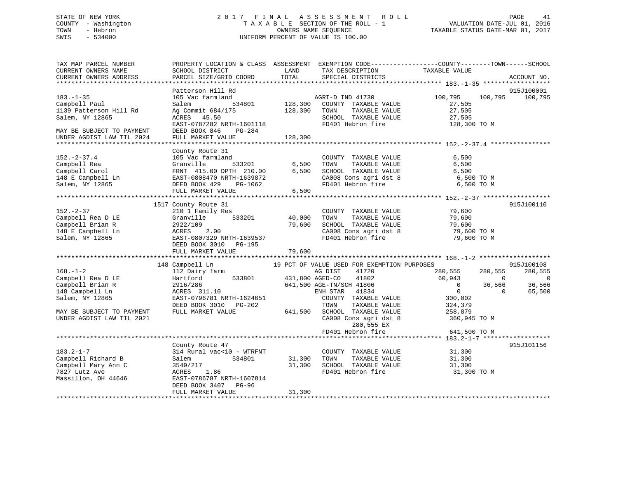## STATE OF NEW YORK 2 0 1 7 F I N A L A S S E S S M E N T R O L L PAGE 41 COUNTY - Washington T A X A B L E SECTION OF THE ROLL - 1 VALUATION DATE-JUL 01, 2016 TOWN - Hebron OWNERS NAME SEQUENCE TAXABLE STATUS DATE-MAR 01, 2017 SWIS - 534000 UNIFORM PERCENT OF VALUE IS 100.00

| TAX MAP PARCEL NUMBER<br>CURRENT OWNERS NAME<br>CURRENT OWNERS ADDRESS                                                                                                                                                                                      | SCHOOL DISTRICT<br>PARCEL SIZE/GRID COORD                                                                                                                                                                                                                                                                                                 | LAND<br>TOTAL                                            | TAX DESCRIPTION<br>SPECIAL DISTRICTS                                                                                                                                                                                                                                                                                                               | PROPERTY LOCATION & CLASS ASSESSMENT EXEMPTION CODE---------------COUNTY-------TOWN-----SCHOOL<br>TAXABLE VALUE                                                                                                       | ACCOUNT NO.                                                                         |
|-------------------------------------------------------------------------------------------------------------------------------------------------------------------------------------------------------------------------------------------------------------|-------------------------------------------------------------------------------------------------------------------------------------------------------------------------------------------------------------------------------------------------------------------------------------------------------------------------------------------|----------------------------------------------------------|----------------------------------------------------------------------------------------------------------------------------------------------------------------------------------------------------------------------------------------------------------------------------------------------------------------------------------------------------|-----------------------------------------------------------------------------------------------------------------------------------------------------------------------------------------------------------------------|-------------------------------------------------------------------------------------|
|                                                                                                                                                                                                                                                             |                                                                                                                                                                                                                                                                                                                                           |                                                          |                                                                                                                                                                                                                                                                                                                                                    |                                                                                                                                                                                                                       |                                                                                     |
| $183. - 1 - 35$<br>Campbell Paul<br>1139 Patterson Hill Rd<br>Salem, NY 12865<br>MAY BE SUBJECT TO PAYMENT                                                                                                                                                  | Patterson Hill Rd<br>105 Vac farmland<br>534801<br>Salem<br>Ag Commit 684/175<br>ACRES 45.50<br>EAST-0787282 NRTH-1601118<br>DEED BOOK 846<br>PG-284                                                                                                                                                                                      | 128,300<br>128,300                                       | AGRI-D IND 41730<br>COUNTY TAXABLE VALUE<br>TOWN<br>TAXABLE VALUE<br>SCHOOL TAXABLE VALUE<br>FD401 Hebron fire                                                                                                                                                                                                                                     | 100,795<br>100,795<br>27,505<br>27,505<br>27,505<br>128,300 TO M                                                                                                                                                      | 915J100001<br>100,795                                                               |
| UNDER AGDIST LAW TIL 2024                                                                                                                                                                                                                                   | FULL MARKET VALUE                                                                                                                                                                                                                                                                                                                         | 128,300                                                  |                                                                                                                                                                                                                                                                                                                                                    |                                                                                                                                                                                                                       |                                                                                     |
|                                                                                                                                                                                                                                                             |                                                                                                                                                                                                                                                                                                                                           |                                                          |                                                                                                                                                                                                                                                                                                                                                    |                                                                                                                                                                                                                       |                                                                                     |
| $152 - 2 - 37.4$<br>Campbell Rea<br>Campbell Carol<br>148 E Campbell Ln<br>Salem, NY 12865                                                                                                                                                                  | County Route 31<br>105 Vac farmland<br>533201<br>Granville<br>FRNT 415.00 DPTH 210.00<br>EAST-0808470 NRTH-1639872<br>DEED BOOK 429<br>PG-1062                                                                                                                                                                                            | 6,500<br>6,500                                           | COUNTY TAXABLE VALUE<br>TAXABLE VALUE<br>TOWN<br>SCHOOL TAXABLE VALUE<br>CA008 Cons agri dst 8<br>FD401 Hebron fire                                                                                                                                                                                                                                | 6,500<br>6,500<br>6,500<br>6,500 ТО М<br>6,500 TO M                                                                                                                                                                   |                                                                                     |
|                                                                                                                                                                                                                                                             | FULL MARKET VALUE                                                                                                                                                                                                                                                                                                                         | 6,500                                                    |                                                                                                                                                                                                                                                                                                                                                    |                                                                                                                                                                                                                       |                                                                                     |
| $152. - 2 - 37$<br>Campbell Rea D LE<br>Campbell Brian R<br>148 E Campbell Ln<br>Salem, NY 12865<br>$168. - 1 - 2$<br>Campbell Rea D LE<br>Campbell Brian R<br>148 Campbell Ln<br>Salem, NY 12865<br>MAY BE SUBJECT TO PAYMENT<br>UNDER AGDIST LAW TIL 2021 | 1517 County Route 31<br>210 1 Family Res<br>533201<br>Granville<br>2922/109<br>2.00<br>ACRES<br>EAST-0807329 NRTH-1639537<br>DEED BOOK 3010 PG-195<br>FULL MARKET VALUE<br>148 Campbell Ln<br>112 Dairy farm<br>533801<br>Hartford<br>2916/286<br>ACRES 311.10<br>EAST-0796781 NRTH-1624651<br>DEED BOOK 3010 PG-202<br>FULL MARKET VALUE | 40,000<br>79,600<br>79,600<br>431,800 AGED-CO<br>641,500 | COUNTY TAXABLE VALUE<br>TAXABLE VALUE<br>TOWN<br>SCHOOL TAXABLE VALUE<br>CA008 Cons agri dst 8<br>FD401 Hebron fire<br>19 PCT OF VALUE USED FOR EXEMPTION PURPOSES<br>41720<br>AG DIST<br>41802<br>641,500 AGE-TN/SCH 41806<br>ENH STAR<br>41834<br>COUNTY TAXABLE VALUE<br>TOWN<br>TAXABLE VALUE<br>SCHOOL TAXABLE VALUE<br>CA008 Cons agri dst 8 | 79,600<br>79,600<br>79,600<br>79,600 TO M<br>79,600 TO M<br>280,555<br>280,555<br>60,943<br>$\overline{0}$<br>$\overline{0}$<br>36,566<br>$\overline{0}$<br>$\Omega$<br>300,002<br>324,379<br>258,879<br>360,945 TO M | 915J100110<br>915J100108<br>280,555<br>$\overline{\phantom{0}}$<br>36,566<br>65,500 |
|                                                                                                                                                                                                                                                             |                                                                                                                                                                                                                                                                                                                                           |                                                          | 280,555 EX<br>FD401 Hebron fire                                                                                                                                                                                                                                                                                                                    | 641,500 TO M                                                                                                                                                                                                          |                                                                                     |
| $183.2 - 1 - 7$<br>Campbell Richard B<br>Campbell Mary Ann C<br>7827 Lutz Ave<br>Massillon, OH 44646                                                                                                                                                        | County Route 47<br>314 Rural vac<10 - WTRFNT<br>Salem<br>534801<br>3549/217<br>1.86<br>ACRES<br>EAST-0786787 NRTH-1607814<br>DEED BOOK 3407<br>PG-96<br>FULL MARKET VALUE                                                                                                                                                                 | 31,300<br>31,300<br>31,300                               | COUNTY TAXABLE VALUE<br>TOWN<br>TAXABLE VALUE<br>SCHOOL TAXABLE VALUE<br>FD401 Hebron fire                                                                                                                                                                                                                                                         | 31,300<br>31,300<br>31,300<br>31,300 TO M                                                                                                                                                                             | 915J101156                                                                          |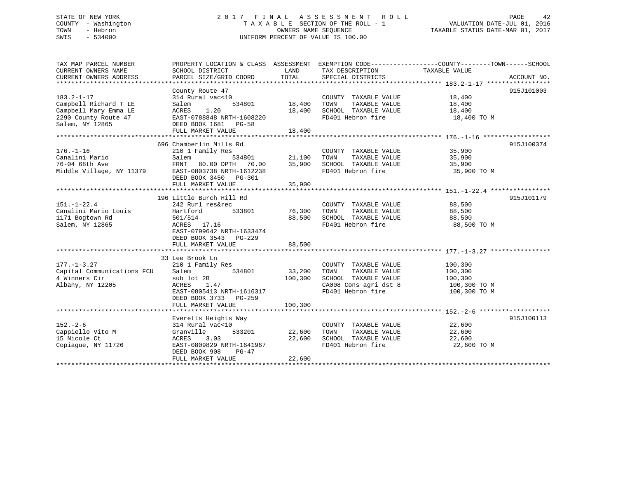## STATE OF NEW YORK 2 0 1 7 F I N A L A S S E S S M E N T R O L L PAGE 42 COUNTY - Washington T A X A B L E SECTION OF THE ROLL - 1 VALUATION DATE-JUL 01, 2016 TOWN - Hebron OWNERS NAME SEQUENCE TAXABLE STATUS DATE-MAR 01, 2017 SWIS - 534000 UNIFORM PERCENT OF VALUE IS 100.00

| TOTAL<br>CURRENT OWNERS ADDRESS<br>PARCEL SIZE/GRID COORD<br>SPECIAL DISTRICTS<br>ACCOUNT NO.<br>**********************<br>915J101003<br>County Route 47<br>$183.2 - 1 - 17$<br>314 Rural vac<10<br>18,400<br>COUNTY TAXABLE VALUE<br>Campbell Richard T LE<br>534801<br>18,400<br>TOWN<br>TAXABLE VALUE<br>Salem<br>18,400<br>1.20<br>Campbell Mary Emma LE<br>ACRES<br>18,400<br>SCHOOL TAXABLE VALUE<br>18,400<br>2290 County Route 47<br>EAST-0788848 NRTH-1608220<br>FD401 Hebron fire<br>18,400 TO M<br>Salem, NY 12865<br>DEED BOOK 1681 PG-58<br>18,400<br>FULL MARKET VALUE<br>696 Chamberlin Mills Rd<br>915J100374<br>$176. - 1 - 16$<br>210 1 Family Res<br>COUNTY TAXABLE VALUE<br>35,900<br>Canalini Mario<br>Salem<br>534801<br>21,100<br>TOWN<br>TAXABLE VALUE<br>35,900<br>76-04 68th Ave<br>FRNT 80.00 DPTH 70.00<br>35,900<br>SCHOOL TAXABLE VALUE<br>35,900<br>Middle Village, NY 11379<br>FD401 Hebron fire<br>EAST-0803738 NRTH-1612238<br>35,900 TO M<br>DEED BOOK 3450 PG-301<br>35,900<br>FULL MARKET VALUE<br>915J101179<br>196 Little Burch Hill Rd<br>$151. - 1 - 22.4$<br>242 Rurl res&rec<br>COUNTY TAXABLE VALUE<br>88,500<br>Canalini Mario Louis<br>533801<br>76,300<br>TOWN<br>TAXABLE VALUE<br>Hartford<br>88,500<br>1171 Bogtown Rd<br>SCHOOL TAXABLE VALUE<br>501/514<br>88,500<br>88,500<br>Salem, NY 12865<br>ACRES 17.16<br>FD401 Hebron fire<br>88,500 TO M<br>EAST-0799642 NRTH-1633474<br>DEED BOOK 3543 PG-229<br>88,500<br>FULL MARKET VALUE<br>33 Lee Brook Ln<br>$177. - 1 - 3.27$<br>210 1 Family Res<br>100,300<br>COUNTY TAXABLE VALUE<br>Capital Communications FCU<br>Salem<br>534801<br>33,200<br>TOWN<br>TAXABLE VALUE<br>100,300<br>4 Winners Cir<br>sub lot 2B<br>100,300<br>SCHOOL TAXABLE VALUE<br>100,300<br>Albany, NY 12205<br>CA008 Cons agri dst 8<br>ACRES<br>1.47<br>100,300 TO M<br>FD401 Hebron fire<br>EAST-0805413 NRTH-1616317<br>100,300 TO M<br>DEED BOOK 3733 PG-259<br>100,300<br>FULL MARKET VALUE<br>915J100113<br>Everetts Heights Way<br>$152. - 2 - 6$<br>314 Rural vac<10<br>COUNTY TAXABLE VALUE<br>22,600<br>Cappiello Vito M<br>Granville<br>533201<br>22,600<br>TOWN<br>TAXABLE VALUE<br>22,600<br>SCHOOL TAXABLE VALUE<br>22,600<br>15 Nicole Ct<br>3.03<br>22,600<br>ACRES<br>FD401 Hebron fire<br>Copiague, NY 11726<br>EAST-0809829 NRTH-1641967<br>22,600 TO M<br>DEED BOOK 908<br>$PG-47$<br>22,600<br>FULL MARKET VALUE | TAX MAP PARCEL NUMBER |                 |      |                 | PROPERTY LOCATION & CLASS ASSESSMENT EXEMPTION CODE---------------COUNTY-------TOWN-----SCHOOL |  |
|--------------------------------------------------------------------------------------------------------------------------------------------------------------------------------------------------------------------------------------------------------------------------------------------------------------------------------------------------------------------------------------------------------------------------------------------------------------------------------------------------------------------------------------------------------------------------------------------------------------------------------------------------------------------------------------------------------------------------------------------------------------------------------------------------------------------------------------------------------------------------------------------------------------------------------------------------------------------------------------------------------------------------------------------------------------------------------------------------------------------------------------------------------------------------------------------------------------------------------------------------------------------------------------------------------------------------------------------------------------------------------------------------------------------------------------------------------------------------------------------------------------------------------------------------------------------------------------------------------------------------------------------------------------------------------------------------------------------------------------------------------------------------------------------------------------------------------------------------------------------------------------------------------------------------------------------------------------------------------------------------------------------------------------------------------------------------------------------------------------------------------------------------------------------------------------------------------------------------------------------------------------------------------------------------------------------------------------------------------------------------------------------------------------------|-----------------------|-----------------|------|-----------------|------------------------------------------------------------------------------------------------|--|
|                                                                                                                                                                                                                                                                                                                                                                                                                                                                                                                                                                                                                                                                                                                                                                                                                                                                                                                                                                                                                                                                                                                                                                                                                                                                                                                                                                                                                                                                                                                                                                                                                                                                                                                                                                                                                                                                                                                                                                                                                                                                                                                                                                                                                                                                                                                                                                                                                    | CURRENT OWNERS NAME   | SCHOOL DISTRICT | LAND | TAX DESCRIPTION | TAXABLE VALUE                                                                                  |  |
|                                                                                                                                                                                                                                                                                                                                                                                                                                                                                                                                                                                                                                                                                                                                                                                                                                                                                                                                                                                                                                                                                                                                                                                                                                                                                                                                                                                                                                                                                                                                                                                                                                                                                                                                                                                                                                                                                                                                                                                                                                                                                                                                                                                                                                                                                                                                                                                                                    |                       |                 |      |                 |                                                                                                |  |
|                                                                                                                                                                                                                                                                                                                                                                                                                                                                                                                                                                                                                                                                                                                                                                                                                                                                                                                                                                                                                                                                                                                                                                                                                                                                                                                                                                                                                                                                                                                                                                                                                                                                                                                                                                                                                                                                                                                                                                                                                                                                                                                                                                                                                                                                                                                                                                                                                    |                       |                 |      |                 |                                                                                                |  |
|                                                                                                                                                                                                                                                                                                                                                                                                                                                                                                                                                                                                                                                                                                                                                                                                                                                                                                                                                                                                                                                                                                                                                                                                                                                                                                                                                                                                                                                                                                                                                                                                                                                                                                                                                                                                                                                                                                                                                                                                                                                                                                                                                                                                                                                                                                                                                                                                                    |                       |                 |      |                 |                                                                                                |  |
|                                                                                                                                                                                                                                                                                                                                                                                                                                                                                                                                                                                                                                                                                                                                                                                                                                                                                                                                                                                                                                                                                                                                                                                                                                                                                                                                                                                                                                                                                                                                                                                                                                                                                                                                                                                                                                                                                                                                                                                                                                                                                                                                                                                                                                                                                                                                                                                                                    |                       |                 |      |                 |                                                                                                |  |
|                                                                                                                                                                                                                                                                                                                                                                                                                                                                                                                                                                                                                                                                                                                                                                                                                                                                                                                                                                                                                                                                                                                                                                                                                                                                                                                                                                                                                                                                                                                                                                                                                                                                                                                                                                                                                                                                                                                                                                                                                                                                                                                                                                                                                                                                                                                                                                                                                    |                       |                 |      |                 |                                                                                                |  |
|                                                                                                                                                                                                                                                                                                                                                                                                                                                                                                                                                                                                                                                                                                                                                                                                                                                                                                                                                                                                                                                                                                                                                                                                                                                                                                                                                                                                                                                                                                                                                                                                                                                                                                                                                                                                                                                                                                                                                                                                                                                                                                                                                                                                                                                                                                                                                                                                                    |                       |                 |      |                 |                                                                                                |  |
|                                                                                                                                                                                                                                                                                                                                                                                                                                                                                                                                                                                                                                                                                                                                                                                                                                                                                                                                                                                                                                                                                                                                                                                                                                                                                                                                                                                                                                                                                                                                                                                                                                                                                                                                                                                                                                                                                                                                                                                                                                                                                                                                                                                                                                                                                                                                                                                                                    |                       |                 |      |                 |                                                                                                |  |
|                                                                                                                                                                                                                                                                                                                                                                                                                                                                                                                                                                                                                                                                                                                                                                                                                                                                                                                                                                                                                                                                                                                                                                                                                                                                                                                                                                                                                                                                                                                                                                                                                                                                                                                                                                                                                                                                                                                                                                                                                                                                                                                                                                                                                                                                                                                                                                                                                    |                       |                 |      |                 |                                                                                                |  |
|                                                                                                                                                                                                                                                                                                                                                                                                                                                                                                                                                                                                                                                                                                                                                                                                                                                                                                                                                                                                                                                                                                                                                                                                                                                                                                                                                                                                                                                                                                                                                                                                                                                                                                                                                                                                                                                                                                                                                                                                                                                                                                                                                                                                                                                                                                                                                                                                                    |                       |                 |      |                 |                                                                                                |  |
|                                                                                                                                                                                                                                                                                                                                                                                                                                                                                                                                                                                                                                                                                                                                                                                                                                                                                                                                                                                                                                                                                                                                                                                                                                                                                                                                                                                                                                                                                                                                                                                                                                                                                                                                                                                                                                                                                                                                                                                                                                                                                                                                                                                                                                                                                                                                                                                                                    |                       |                 |      |                 |                                                                                                |  |
|                                                                                                                                                                                                                                                                                                                                                                                                                                                                                                                                                                                                                                                                                                                                                                                                                                                                                                                                                                                                                                                                                                                                                                                                                                                                                                                                                                                                                                                                                                                                                                                                                                                                                                                                                                                                                                                                                                                                                                                                                                                                                                                                                                                                                                                                                                                                                                                                                    |                       |                 |      |                 |                                                                                                |  |
|                                                                                                                                                                                                                                                                                                                                                                                                                                                                                                                                                                                                                                                                                                                                                                                                                                                                                                                                                                                                                                                                                                                                                                                                                                                                                                                                                                                                                                                                                                                                                                                                                                                                                                                                                                                                                                                                                                                                                                                                                                                                                                                                                                                                                                                                                                                                                                                                                    |                       |                 |      |                 |                                                                                                |  |
|                                                                                                                                                                                                                                                                                                                                                                                                                                                                                                                                                                                                                                                                                                                                                                                                                                                                                                                                                                                                                                                                                                                                                                                                                                                                                                                                                                                                                                                                                                                                                                                                                                                                                                                                                                                                                                                                                                                                                                                                                                                                                                                                                                                                                                                                                                                                                                                                                    |                       |                 |      |                 |                                                                                                |  |
|                                                                                                                                                                                                                                                                                                                                                                                                                                                                                                                                                                                                                                                                                                                                                                                                                                                                                                                                                                                                                                                                                                                                                                                                                                                                                                                                                                                                                                                                                                                                                                                                                                                                                                                                                                                                                                                                                                                                                                                                                                                                                                                                                                                                                                                                                                                                                                                                                    |                       |                 |      |                 |                                                                                                |  |
|                                                                                                                                                                                                                                                                                                                                                                                                                                                                                                                                                                                                                                                                                                                                                                                                                                                                                                                                                                                                                                                                                                                                                                                                                                                                                                                                                                                                                                                                                                                                                                                                                                                                                                                                                                                                                                                                                                                                                                                                                                                                                                                                                                                                                                                                                                                                                                                                                    |                       |                 |      |                 |                                                                                                |  |
|                                                                                                                                                                                                                                                                                                                                                                                                                                                                                                                                                                                                                                                                                                                                                                                                                                                                                                                                                                                                                                                                                                                                                                                                                                                                                                                                                                                                                                                                                                                                                                                                                                                                                                                                                                                                                                                                                                                                                                                                                                                                                                                                                                                                                                                                                                                                                                                                                    |                       |                 |      |                 |                                                                                                |  |
|                                                                                                                                                                                                                                                                                                                                                                                                                                                                                                                                                                                                                                                                                                                                                                                                                                                                                                                                                                                                                                                                                                                                                                                                                                                                                                                                                                                                                                                                                                                                                                                                                                                                                                                                                                                                                                                                                                                                                                                                                                                                                                                                                                                                                                                                                                                                                                                                                    |                       |                 |      |                 |                                                                                                |  |
|                                                                                                                                                                                                                                                                                                                                                                                                                                                                                                                                                                                                                                                                                                                                                                                                                                                                                                                                                                                                                                                                                                                                                                                                                                                                                                                                                                                                                                                                                                                                                                                                                                                                                                                                                                                                                                                                                                                                                                                                                                                                                                                                                                                                                                                                                                                                                                                                                    |                       |                 |      |                 |                                                                                                |  |
|                                                                                                                                                                                                                                                                                                                                                                                                                                                                                                                                                                                                                                                                                                                                                                                                                                                                                                                                                                                                                                                                                                                                                                                                                                                                                                                                                                                                                                                                                                                                                                                                                                                                                                                                                                                                                                                                                                                                                                                                                                                                                                                                                                                                                                                                                                                                                                                                                    |                       |                 |      |                 |                                                                                                |  |
|                                                                                                                                                                                                                                                                                                                                                                                                                                                                                                                                                                                                                                                                                                                                                                                                                                                                                                                                                                                                                                                                                                                                                                                                                                                                                                                                                                                                                                                                                                                                                                                                                                                                                                                                                                                                                                                                                                                                                                                                                                                                                                                                                                                                                                                                                                                                                                                                                    |                       |                 |      |                 |                                                                                                |  |
|                                                                                                                                                                                                                                                                                                                                                                                                                                                                                                                                                                                                                                                                                                                                                                                                                                                                                                                                                                                                                                                                                                                                                                                                                                                                                                                                                                                                                                                                                                                                                                                                                                                                                                                                                                                                                                                                                                                                                                                                                                                                                                                                                                                                                                                                                                                                                                                                                    |                       |                 |      |                 |                                                                                                |  |
|                                                                                                                                                                                                                                                                                                                                                                                                                                                                                                                                                                                                                                                                                                                                                                                                                                                                                                                                                                                                                                                                                                                                                                                                                                                                                                                                                                                                                                                                                                                                                                                                                                                                                                                                                                                                                                                                                                                                                                                                                                                                                                                                                                                                                                                                                                                                                                                                                    |                       |                 |      |                 |                                                                                                |  |
|                                                                                                                                                                                                                                                                                                                                                                                                                                                                                                                                                                                                                                                                                                                                                                                                                                                                                                                                                                                                                                                                                                                                                                                                                                                                                                                                                                                                                                                                                                                                                                                                                                                                                                                                                                                                                                                                                                                                                                                                                                                                                                                                                                                                                                                                                                                                                                                                                    |                       |                 |      |                 |                                                                                                |  |
|                                                                                                                                                                                                                                                                                                                                                                                                                                                                                                                                                                                                                                                                                                                                                                                                                                                                                                                                                                                                                                                                                                                                                                                                                                                                                                                                                                                                                                                                                                                                                                                                                                                                                                                                                                                                                                                                                                                                                                                                                                                                                                                                                                                                                                                                                                                                                                                                                    |                       |                 |      |                 |                                                                                                |  |
|                                                                                                                                                                                                                                                                                                                                                                                                                                                                                                                                                                                                                                                                                                                                                                                                                                                                                                                                                                                                                                                                                                                                                                                                                                                                                                                                                                                                                                                                                                                                                                                                                                                                                                                                                                                                                                                                                                                                                                                                                                                                                                                                                                                                                                                                                                                                                                                                                    |                       |                 |      |                 |                                                                                                |  |
|                                                                                                                                                                                                                                                                                                                                                                                                                                                                                                                                                                                                                                                                                                                                                                                                                                                                                                                                                                                                                                                                                                                                                                                                                                                                                                                                                                                                                                                                                                                                                                                                                                                                                                                                                                                                                                                                                                                                                                                                                                                                                                                                                                                                                                                                                                                                                                                                                    |                       |                 |      |                 |                                                                                                |  |
|                                                                                                                                                                                                                                                                                                                                                                                                                                                                                                                                                                                                                                                                                                                                                                                                                                                                                                                                                                                                                                                                                                                                                                                                                                                                                                                                                                                                                                                                                                                                                                                                                                                                                                                                                                                                                                                                                                                                                                                                                                                                                                                                                                                                                                                                                                                                                                                                                    |                       |                 |      |                 |                                                                                                |  |
|                                                                                                                                                                                                                                                                                                                                                                                                                                                                                                                                                                                                                                                                                                                                                                                                                                                                                                                                                                                                                                                                                                                                                                                                                                                                                                                                                                                                                                                                                                                                                                                                                                                                                                                                                                                                                                                                                                                                                                                                                                                                                                                                                                                                                                                                                                                                                                                                                    |                       |                 |      |                 |                                                                                                |  |
|                                                                                                                                                                                                                                                                                                                                                                                                                                                                                                                                                                                                                                                                                                                                                                                                                                                                                                                                                                                                                                                                                                                                                                                                                                                                                                                                                                                                                                                                                                                                                                                                                                                                                                                                                                                                                                                                                                                                                                                                                                                                                                                                                                                                                                                                                                                                                                                                                    |                       |                 |      |                 |                                                                                                |  |
|                                                                                                                                                                                                                                                                                                                                                                                                                                                                                                                                                                                                                                                                                                                                                                                                                                                                                                                                                                                                                                                                                                                                                                                                                                                                                                                                                                                                                                                                                                                                                                                                                                                                                                                                                                                                                                                                                                                                                                                                                                                                                                                                                                                                                                                                                                                                                                                                                    |                       |                 |      |                 |                                                                                                |  |
|                                                                                                                                                                                                                                                                                                                                                                                                                                                                                                                                                                                                                                                                                                                                                                                                                                                                                                                                                                                                                                                                                                                                                                                                                                                                                                                                                                                                                                                                                                                                                                                                                                                                                                                                                                                                                                                                                                                                                                                                                                                                                                                                                                                                                                                                                                                                                                                                                    |                       |                 |      |                 |                                                                                                |  |
|                                                                                                                                                                                                                                                                                                                                                                                                                                                                                                                                                                                                                                                                                                                                                                                                                                                                                                                                                                                                                                                                                                                                                                                                                                                                                                                                                                                                                                                                                                                                                                                                                                                                                                                                                                                                                                                                                                                                                                                                                                                                                                                                                                                                                                                                                                                                                                                                                    |                       |                 |      |                 |                                                                                                |  |
|                                                                                                                                                                                                                                                                                                                                                                                                                                                                                                                                                                                                                                                                                                                                                                                                                                                                                                                                                                                                                                                                                                                                                                                                                                                                                                                                                                                                                                                                                                                                                                                                                                                                                                                                                                                                                                                                                                                                                                                                                                                                                                                                                                                                                                                                                                                                                                                                                    |                       |                 |      |                 |                                                                                                |  |
|                                                                                                                                                                                                                                                                                                                                                                                                                                                                                                                                                                                                                                                                                                                                                                                                                                                                                                                                                                                                                                                                                                                                                                                                                                                                                                                                                                                                                                                                                                                                                                                                                                                                                                                                                                                                                                                                                                                                                                                                                                                                                                                                                                                                                                                                                                                                                                                                                    |                       |                 |      |                 |                                                                                                |  |
|                                                                                                                                                                                                                                                                                                                                                                                                                                                                                                                                                                                                                                                                                                                                                                                                                                                                                                                                                                                                                                                                                                                                                                                                                                                                                                                                                                                                                                                                                                                                                                                                                                                                                                                                                                                                                                                                                                                                                                                                                                                                                                                                                                                                                                                                                                                                                                                                                    |                       |                 |      |                 |                                                                                                |  |
|                                                                                                                                                                                                                                                                                                                                                                                                                                                                                                                                                                                                                                                                                                                                                                                                                                                                                                                                                                                                                                                                                                                                                                                                                                                                                                                                                                                                                                                                                                                                                                                                                                                                                                                                                                                                                                                                                                                                                                                                                                                                                                                                                                                                                                                                                                                                                                                                                    |                       |                 |      |                 |                                                                                                |  |
|                                                                                                                                                                                                                                                                                                                                                                                                                                                                                                                                                                                                                                                                                                                                                                                                                                                                                                                                                                                                                                                                                                                                                                                                                                                                                                                                                                                                                                                                                                                                                                                                                                                                                                                                                                                                                                                                                                                                                                                                                                                                                                                                                                                                                                                                                                                                                                                                                    |                       |                 |      |                 |                                                                                                |  |
|                                                                                                                                                                                                                                                                                                                                                                                                                                                                                                                                                                                                                                                                                                                                                                                                                                                                                                                                                                                                                                                                                                                                                                                                                                                                                                                                                                                                                                                                                                                                                                                                                                                                                                                                                                                                                                                                                                                                                                                                                                                                                                                                                                                                                                                                                                                                                                                                                    |                       |                 |      |                 |                                                                                                |  |
|                                                                                                                                                                                                                                                                                                                                                                                                                                                                                                                                                                                                                                                                                                                                                                                                                                                                                                                                                                                                                                                                                                                                                                                                                                                                                                                                                                                                                                                                                                                                                                                                                                                                                                                                                                                                                                                                                                                                                                                                                                                                                                                                                                                                                                                                                                                                                                                                                    |                       |                 |      |                 |                                                                                                |  |
|                                                                                                                                                                                                                                                                                                                                                                                                                                                                                                                                                                                                                                                                                                                                                                                                                                                                                                                                                                                                                                                                                                                                                                                                                                                                                                                                                                                                                                                                                                                                                                                                                                                                                                                                                                                                                                                                                                                                                                                                                                                                                                                                                                                                                                                                                                                                                                                                                    |                       |                 |      |                 |                                                                                                |  |
|                                                                                                                                                                                                                                                                                                                                                                                                                                                                                                                                                                                                                                                                                                                                                                                                                                                                                                                                                                                                                                                                                                                                                                                                                                                                                                                                                                                                                                                                                                                                                                                                                                                                                                                                                                                                                                                                                                                                                                                                                                                                                                                                                                                                                                                                                                                                                                                                                    |                       |                 |      |                 |                                                                                                |  |
|                                                                                                                                                                                                                                                                                                                                                                                                                                                                                                                                                                                                                                                                                                                                                                                                                                                                                                                                                                                                                                                                                                                                                                                                                                                                                                                                                                                                                                                                                                                                                                                                                                                                                                                                                                                                                                                                                                                                                                                                                                                                                                                                                                                                                                                                                                                                                                                                                    |                       |                 |      |                 |                                                                                                |  |
|                                                                                                                                                                                                                                                                                                                                                                                                                                                                                                                                                                                                                                                                                                                                                                                                                                                                                                                                                                                                                                                                                                                                                                                                                                                                                                                                                                                                                                                                                                                                                                                                                                                                                                                                                                                                                                                                                                                                                                                                                                                                                                                                                                                                                                                                                                                                                                                                                    |                       |                 |      |                 |                                                                                                |  |
|                                                                                                                                                                                                                                                                                                                                                                                                                                                                                                                                                                                                                                                                                                                                                                                                                                                                                                                                                                                                                                                                                                                                                                                                                                                                                                                                                                                                                                                                                                                                                                                                                                                                                                                                                                                                                                                                                                                                                                                                                                                                                                                                                                                                                                                                                                                                                                                                                    |                       |                 |      |                 |                                                                                                |  |
|                                                                                                                                                                                                                                                                                                                                                                                                                                                                                                                                                                                                                                                                                                                                                                                                                                                                                                                                                                                                                                                                                                                                                                                                                                                                                                                                                                                                                                                                                                                                                                                                                                                                                                                                                                                                                                                                                                                                                                                                                                                                                                                                                                                                                                                                                                                                                                                                                    |                       |                 |      |                 |                                                                                                |  |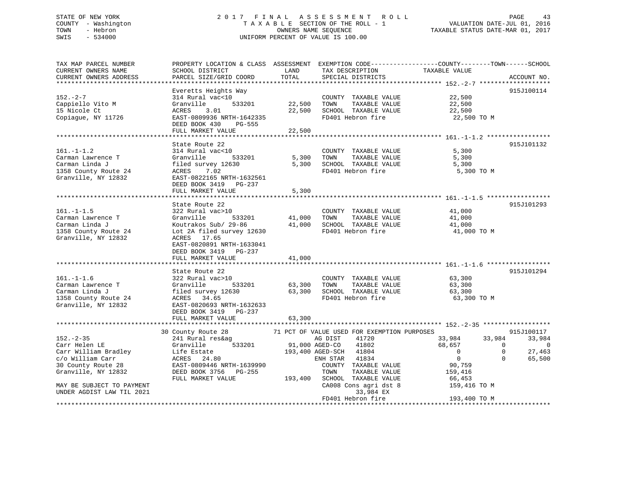# STATE OF NEW YORK 2017 FINAL ASSESSMENT ROLL COUNTY - Washington  $\begin{array}{ccc} 1 & 0 & 0 \\ 0 & 0 & 0 \end{array}$  T A X A B L E SECTION OF THE ROLL - 1 TOWN SWIS - 534000 UNIFORM PERCENT OF VALUE IS 100.00

TAXABLE STATUS DATE-MAR 01, 2017

| TAX MAP PARCEL NUMBER                                                                                                                                                                                                                                                                                                                                                                                                                                                                                       | PROPERTY LOCATION & CLASS ASSESSMENT EXEMPTION CODE---------------COUNTY-------TOWN-----SCHOOL                                                                                   |        |                               |                                              |                          |
|-------------------------------------------------------------------------------------------------------------------------------------------------------------------------------------------------------------------------------------------------------------------------------------------------------------------------------------------------------------------------------------------------------------------------------------------------------------------------------------------------------------|----------------------------------------------------------------------------------------------------------------------------------------------------------------------------------|--------|-------------------------------|----------------------------------------------|--------------------------|
| CURRENT OWNERS NAME                                                                                                                                                                                                                                                                                                                                                                                                                                                                                         | SCHOOL DISTRICT                                                                                                                                                                  | LAND   | TAX DESCRIPTION               | TAXABLE VALUE                                |                          |
| CURRENT OWNERS ADDRESS                                                                                                                                                                                                                                                                                                                                                                                                                                                                                      | PARCEL SIZE/GRID COORD                                                                                                                                                           | TOTAL  | SPECIAL DISTRICTS             |                                              | ACCOUNT NO.              |
|                                                                                                                                                                                                                                                                                                                                                                                                                                                                                                             |                                                                                                                                                                                  |        |                               |                                              |                          |
|                                                                                                                                                                                                                                                                                                                                                                                                                                                                                                             | Everetts Heights Way                                                                                                                                                             |        |                               |                                              | 915J100114               |
| $152 - 2 - 7$                                                                                                                                                                                                                                                                                                                                                                                                                                                                                               | 314 Rural vac<10                                                                                                                                                                 |        | COUNTY TAXABLE VALUE          | 22,500                                       |                          |
|                                                                                                                                                                                                                                                                                                                                                                                                                                                                                                             | 533201 22,500 TOWN                                                                                                                                                               |        |                               |                                              |                          |
| Cappiello Vito M                                                                                                                                                                                                                                                                                                                                                                                                                                                                                            | Granville<br>ACRES 3                                                                                                                                                             |        | TAXABLE VALUE                 | 22,500<br>22,500                             |                          |
| 15 Nicole Ct                                                                                                                                                                                                                                                                                                                                                                                                                                                                                                | 3.01                                                                                                                                                                             |        | 22,500 SCHOOL TAXABLE VALUE   |                                              |                          |
| Copiague, NY 11726                                                                                                                                                                                                                                                                                                                                                                                                                                                                                          | EAST-0809936 NRTH-1642335                                                                                                                                                        |        | FD401 Hebron fire 32,500 TO M |                                              |                          |
|                                                                                                                                                                                                                                                                                                                                                                                                                                                                                                             | DEED BOOK 430 PG-555                                                                                                                                                             |        |                               |                                              |                          |
|                                                                                                                                                                                                                                                                                                                                                                                                                                                                                                             | FULL MARKET VALUE 22,500                                                                                                                                                         |        |                               |                                              |                          |
|                                                                                                                                                                                                                                                                                                                                                                                                                                                                                                             |                                                                                                                                                                                  |        |                               |                                              |                          |
|                                                                                                                                                                                                                                                                                                                                                                                                                                                                                                             | State Route 22                                                                                                                                                                   |        |                               |                                              | 915J101132               |
| $161. - 1 - 1.2$                                                                                                                                                                                                                                                                                                                                                                                                                                                                                            | 314 Rural vac<10                                                                                                                                                                 |        | COUNTY TAXABLE VALUE 5,300    |                                              |                          |
| Carman Lawrence T<br>Carman Lawrence T<br>Carman Linda J<br>Carman Linda J<br>Section 1358 County Route 24<br>ACRES 7.02<br>TOWN TAXABLE VALUE<br>S,300<br>SCHOOL TAXABLE VALUE<br>FD401 Hebron fire<br>FD401 Hebron fire<br>FD401 Hebron fire<br>5,30                                                                                                                                                                                                                                                      |                                                                                                                                                                                  |        |                               |                                              |                          |
|                                                                                                                                                                                                                                                                                                                                                                                                                                                                                                             |                                                                                                                                                                                  |        |                               |                                              |                          |
|                                                                                                                                                                                                                                                                                                                                                                                                                                                                                                             |                                                                                                                                                                                  |        | FD401 Hebron fire             | 5,300 TO M                                   |                          |
|                                                                                                                                                                                                                                                                                                                                                                                                                                                                                                             |                                                                                                                                                                                  |        |                               |                                              |                          |
| Granville, NY 12832 EAST-0822165 NRTH-1632561                                                                                                                                                                                                                                                                                                                                                                                                                                                               |                                                                                                                                                                                  |        |                               |                                              |                          |
|                                                                                                                                                                                                                                                                                                                                                                                                                                                                                                             | DEED BOOK 3419 PG-237                                                                                                                                                            |        |                               |                                              |                          |
|                                                                                                                                                                                                                                                                                                                                                                                                                                                                                                             | FULL MARKET VALUE                                                                                                                                                                | 5,300  |                               |                                              |                          |
|                                                                                                                                                                                                                                                                                                                                                                                                                                                                                                             |                                                                                                                                                                                  |        |                               |                                              |                          |
|                                                                                                                                                                                                                                                                                                                                                                                                                                                                                                             | State Route 22                                                                                                                                                                   |        |                               |                                              | 915J101293               |
|                                                                                                                                                                                                                                                                                                                                                                                                                                                                                                             | 322 Rural vac>10                                                                                                                                                                 |        | COUNTY TAXABLE VALUE 41,000   |                                              |                          |
|                                                                                                                                                                                                                                                                                                                                                                                                                                                                                                             |                                                                                                                                                                                  |        |                               |                                              |                          |
|                                                                                                                                                                                                                                                                                                                                                                                                                                                                                                             |                                                                                                                                                                                  |        |                               |                                              |                          |
| 161.-1-1.5<br>Carman Lawrence T<br>Carman Lawrence T<br>Carman Linda J<br>Carman Linda J<br>Carman Linda J<br>Carman Linda J<br>Carman Linda J<br>Carman Linda J<br>Carman Linda J<br>Carman Linda J<br>Carman Linda J<br>Carman Linda J<br>Carman Linda                                                                                                                                                                                                                                                    |                                                                                                                                                                                  |        |                               | 41,000 TO M                                  |                          |
| Granville, NY 12832                                                                                                                                                                                                                                                                                                                                                                                                                                                                                         | ACRES 17.65                                                                                                                                                                      |        |                               |                                              |                          |
|                                                                                                                                                                                                                                                                                                                                                                                                                                                                                                             | EAST-0820891 NRTH-1633041                                                                                                                                                        |        |                               |                                              |                          |
|                                                                                                                                                                                                                                                                                                                                                                                                                                                                                                             | DEED BOOK 3419 PG-237                                                                                                                                                            |        |                               |                                              |                          |
|                                                                                                                                                                                                                                                                                                                                                                                                                                                                                                             |                                                                                                                                                                                  | 41,000 |                               |                                              |                          |
|                                                                                                                                                                                                                                                                                                                                                                                                                                                                                                             | FULL MARKET VALUE                                                                                                                                                                |        |                               |                                              |                          |
|                                                                                                                                                                                                                                                                                                                                                                                                                                                                                                             |                                                                                                                                                                                  |        |                               |                                              |                          |
|                                                                                                                                                                                                                                                                                                                                                                                                                                                                                                             | state Route 22<br>322 Rural vac>10<br>Cressili                                                                                                                                   |        |                               |                                              | 915J101294               |
| $161. - 1 - 1.6$                                                                                                                                                                                                                                                                                                                                                                                                                                                                                            |                                                                                                                                                                                  |        | COUNTY TAXABLE VALUE          | TAXABLE VALUE 63,300<br>TAXABLE VALUE 63,300 |                          |
|                                                                                                                                                                                                                                                                                                                                                                                                                                                                                                             |                                                                                                                                                                                  |        |                               |                                              |                          |
|                                                                                                                                                                                                                                                                                                                                                                                                                                                                                                             |                                                                                                                                                                                  |        |                               |                                              |                          |
|                                                                                                                                                                                                                                                                                                                                                                                                                                                                                                             |                                                                                                                                                                                  |        |                               | 63,300 TO M                                  |                          |
|                                                                                                                                                                                                                                                                                                                                                                                                                                                                                                             |                                                                                                                                                                                  |        |                               |                                              |                          |
| $\begin{tabular}{lllllllllllllllllllllll} \multicolumn{4}{c }{\begin{tabular}{l} \multicolumn{4}{c}{\begin{tabular}{l} \multicolumn{4}{c}{\begin{tabular}{l} \multicolumn{4}{c}{\begin{tabular}{l} \multicolumn{4}{c}{\begin{tabular}{l} \multicolumn{4}{c}{\begin{tabular}{l} \multicolumn{4}{c}{\begin{tabular}{l} \multicolumn{4}{c}{\begin{tabular}{l} \multicolumn{4}{c}{\begin{tabular}{l} \multicolumn{4}{c}{\begin{tabular}{l} \multicolumn{4}{c}{\begin{tabular}{l} \multicolumn{4}{c}{\begin{tab$ |                                                                                                                                                                                  |        |                               |                                              |                          |
|                                                                                                                                                                                                                                                                                                                                                                                                                                                                                                             | FULL MARKET VALUE                                                                                                                                                                | 63,300 |                               |                                              |                          |
|                                                                                                                                                                                                                                                                                                                                                                                                                                                                                                             |                                                                                                                                                                                  |        |                               |                                              |                          |
|                                                                                                                                                                                                                                                                                                                                                                                                                                                                                                             |                                                                                                                                                                                  |        |                               |                                              | 915J100117               |
| $152 - 2 - 35$                                                                                                                                                                                                                                                                                                                                                                                                                                                                                              | 30 County Route 28 71 PCT OF VALUE USED FOR EXEMPTION PURPOSES<br>241 Rural res&ag and DIST 41720 33,984 3<br>Granville 533201 91,000 AGED-CO 41802 68,657                       |        |                               |                                              | 33,984                   |
|                                                                                                                                                                                                                                                                                                                                                                                                                                                                                                             |                                                                                                                                                                                  |        |                               |                                              |                          |
| Carr Helen LE                                                                                                                                                                                                                                                                                                                                                                                                                                                                                               |                                                                                                                                                                                  |        |                               |                                              | - 0                      |
|                                                                                                                                                                                                                                                                                                                                                                                                                                                                                                             |                                                                                                                                                                                  |        |                               | $\overline{0}$                               | $\overline{0}$<br>27,463 |
|                                                                                                                                                                                                                                                                                                                                                                                                                                                                                                             |                                                                                                                                                                                  |        |                               | $\overline{0}$                               | $\overline{0}$<br>65,500 |
|                                                                                                                                                                                                                                                                                                                                                                                                                                                                                                             |                                                                                                                                                                                  |        |                               |                                              |                          |
| Carr William Bradley<br>Contribution Bradley<br>Contribution Carr (193,400 AGED-SCH 41834<br>Country Route 28 EAST-0809446 NRTH-1639990 ENH STAR 41834<br>Granville, NY 12832 DEED BOOK 3756 PG-255 TOWN TAXABLE VALUE                                                                                                                                                                                                                                                                                      |                                                                                                                                                                                  |        |                               |                                              |                          |
|                                                                                                                                                                                                                                                                                                                                                                                                                                                                                                             |                                                                                                                                                                                  |        |                               |                                              |                          |
| MAY BE SUBJECT TO PAYMENT                                                                                                                                                                                                                                                                                                                                                                                                                                                                                   |                                                                                                                                                                                  |        |                               |                                              |                          |
| UNDER AGDIST LAW TIL 2021                                                                                                                                                                                                                                                                                                                                                                                                                                                                                   | EAST-0809446 NRTH-1639990<br>EEED BOOK 3756 PG-255 TOWN TAXABLE VALUE 159, 410<br>FULL MARKET VALUE 193, 400 SCHOOL TAXABLE VALUE 66, 453<br>CA008 Cons agri dst 8 159, 416 TO M |        |                               |                                              |                          |
|                                                                                                                                                                                                                                                                                                                                                                                                                                                                                                             |                                                                                                                                                                                  |        | FD401 Hebron fire             | 193,400 TO M                                 |                          |
|                                                                                                                                                                                                                                                                                                                                                                                                                                                                                                             |                                                                                                                                                                                  |        |                               |                                              |                          |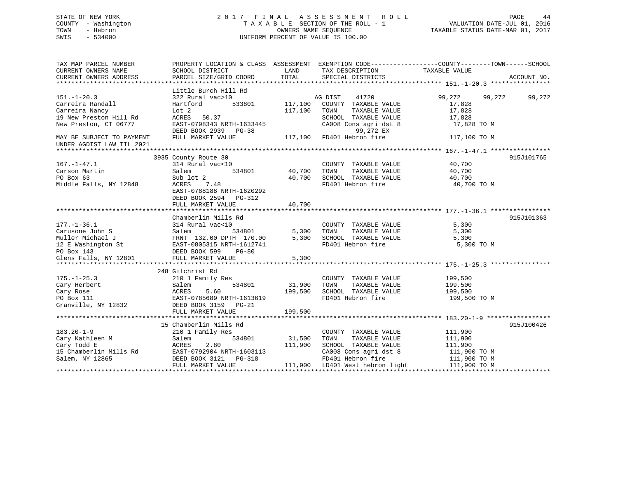## STATE OF NEW YORK 2 0 1 7 F I N A L A S S E S S M E N T R O L L PAGE 44 COUNTY - Washington T A X A B L E SECTION OF THE ROLL - 1 VALUATION DATE-JUL 01, 2016 TOWN - Hebron OWNERS NAME SEQUENCE TAXABLE STATUS DATE-MAR 01, 2017 SWIS - 534000 UNIFORM PERCENT OF VALUE IS 100.00

| TAX MAP PARCEL NUMBER<br>CURRENT OWNERS NAME<br>CURRENT OWNERS ADDRESS                                                                          | SCHOOL DISTRICT<br>PARCEL SIZE/GRID COORD                                                                                                                            | LAND<br>TOTAL                | TAX DESCRIPTION<br>SPECIAL DISTRICTS                                                                                                                   | PROPERTY LOCATION & CLASS ASSESSMENT EXEMPTION CODE---------------COUNTY-------TOWN-----SCHOOL<br>TAXABLE VALUE | ACCOUNT NO. |
|-------------------------------------------------------------------------------------------------------------------------------------------------|----------------------------------------------------------------------------------------------------------------------------------------------------------------------|------------------------------|--------------------------------------------------------------------------------------------------------------------------------------------------------|-----------------------------------------------------------------------------------------------------------------|-------------|
| $151. - 1 - 20.3$<br>Carreira Randall<br>Carreira Nancy<br>19 New Preston Hill Rd<br>New Preston, CT 06777                                      | Little Burch Hill Rd<br>322 Rural vac>10<br>Hartford<br>533801<br>Lot 2<br>50.37<br>ACRES<br>EAST-0798343 NRTH-1633445<br>DEED BOOK 2939 PG-38                       | 117,100<br>117,100           | AG DIST<br>41720<br>COUNTY TAXABLE VALUE<br>TOWN<br>TAXABLE VALUE<br>SCHOOL TAXABLE VALUE<br>CA008 Cons agri dst 8<br>99,272 EX                        | 99,272<br>99,272<br>17,828<br>17,828<br>17,828<br>17,828 TO M                                                   | 99,272      |
| MAY BE SUBJECT TO PAYMENT<br>UNDER AGDIST LAW TIL 2021                                                                                          | FULL MARKET VALUE                                                                                                                                                    |                              | 117,100 FD401 Hebron fire                                                                                                                              | 117,100 TO M                                                                                                    |             |
| $167. - 1 - 47.1$<br>Carson Martin<br>PO Box 63<br>Middle Falls, NY 12848                                                                       | 3935 County Route 30<br>314 Rural vac<10<br>534801<br>Salem<br>Sub lot 2<br>ACRES<br>7.48<br>EAST-0788188 NRTH-1620292<br>DEED BOOK 2594 PG-312<br>FULL MARKET VALUE | 40,700<br>40,700<br>40,700   | COUNTY TAXABLE VALUE<br>TAXABLE VALUE<br>TOWN<br>SCHOOL TAXABLE VALUE<br>FD401 Hebron fire                                                             | 40,700<br>40,700<br>40,700<br>40,700 TO M                                                                       | 915J101765  |
| $177. - 1 - 36.1$<br>Carusone John S<br>Muller Michael J<br>12 E Washington St EAST-0805315 NRTH-1612741<br>PO Box 143<br>Glens Falls, NY 12801 | Chamberlin Mills Rd<br>314 Rural vac<10<br>534801<br>Salem<br>FRNT 132.00 DPTH 170.00<br>DEED BOOK 599<br><b>PG-80</b><br>FULL MARKET VALUE                          | 5,300<br>5,300<br>5,300      | COUNTY TAXABLE VALUE<br>TOWN<br>TAXABLE VALUE<br>SCHOOL TAXABLE VALUE<br>FD401 Hebron fire                                                             | 5,300<br>5,300<br>5,300<br>5,300 TO M                                                                           | 915J101363  |
| $175. - 1 - 25.3$<br>Cary Herbert<br>Cary Rose<br>PO Box 111<br>Granville, NY 12832                                                             | 248 Gilchrist Rd<br>210 1 Family Res<br>534801<br>Salem<br>ACRES<br>5.60<br>EAST-0785689 NRTH-1613619<br>DEED BOOK 3159 PG-21<br>FULL MARKET VALUE                   | 31,900<br>199,500<br>199,500 | COUNTY TAXABLE VALUE<br>TOWN<br>TAXABLE VALUE<br>SCHOOL TAXABLE VALUE<br>FD401 Hebron fire                                                             | 199,500<br>199,500<br>199,500<br>199,500 TO M                                                                   |             |
| $183.20 - 1 - 9$<br>Cary Kathleen M<br>Cary Todd E<br>15 Chamberlin Mills Rd<br>Salem, NY 12865                                                 | 15 Chamberlin Mills Rd<br>210 1 Family Res<br>Salem<br>534801<br>2.80<br>ACRES<br>EAST-0792904 NRTH-1603113<br>DEED BOOK 3121 PG-318<br>FULL MARKET VALUE            | 31,500<br>111,900            | COUNTY TAXABLE VALUE<br>TAXABLE VALUE<br>TOWN<br>SCHOOL TAXABLE VALUE<br>CA008 Cons agri dst 8<br>FD401 Hebron fire<br>111,900 LD401 West hebron light | 111,900<br>111,900<br>111,900<br>111,900 TO M<br>111,900 TO M<br>111,900 TO M                                   | 915J100426  |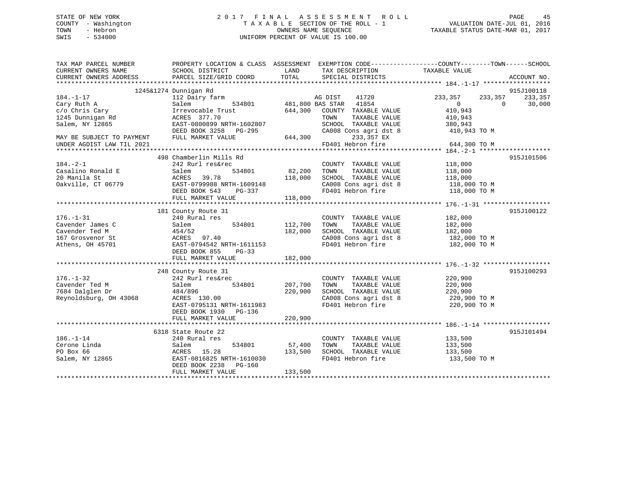## STATE OF NEW YORK 2 0 1 7 F I N A L A S S E S S M E N T R O L L PAGE 45 COUNTY - Washington T A X A B L E SECTION OF THE ROLL - 1 VALUATION DATE-JUL 01, 2016 TOWN - Hebron OWNERS NAME SEQUENCE TAXABLE STATUS DATE-MAR 01, 2017 SWIS - 534000 UNIFORM PERCENT OF VALUE IS 100.00

| TAX MAP PARCEL NUMBER     | PROPERTY LOCATION & CLASS ASSESSMENT EXEMPTION CODE----------------COUNTY-------TOWN------SCHOOL |         |                        |                    |                    |
|---------------------------|--------------------------------------------------------------------------------------------------|---------|------------------------|--------------------|--------------------|
| CURRENT OWNERS NAME       | SCHOOL DISTRICT                                                                                  | LAND    | TAX DESCRIPTION        | TAXABLE VALUE      |                    |
| CURRENT OWNERS ADDRESS    | PARCEL SIZE/GRID COORD                                                                           | TOTAL   | SPECIAL DISTRICTS      |                    | ACCOUNT NO.        |
|                           |                                                                                                  |         |                        |                    |                    |
|                           | 1245&1274 Dunnigan Rd                                                                            |         |                        |                    | 915J100118         |
| $184. - 1 - 17$           | 112 Dairy farm                                                                                   |         | AG DIST<br>41720       | 233,357<br>233,357 | 233,357            |
| Cary Ruth A               | 534801<br>Salem                                                                                  |         | 481,800 BAS STAR 41854 | $\Omega$           | $\Omega$<br>30,000 |
| c/o Chris Cary            | Irrevocable Trust                                                                                | 644,300 | COUNTY TAXABLE VALUE   | 410,943            |                    |
| 1245 Dunnigan Rd          | ACRES 377.70                                                                                     |         | TOWN<br>TAXABLE VALUE  | 410,943            |                    |
| Salem, NY 12865           | EAST-0800899 NRTH-1602807                                                                        |         | SCHOOL TAXABLE VALUE   | 380,943            |                    |
|                           | DEED BOOK 3258<br>PG-295                                                                         |         | CA008 Cons agri dst 8  | 410,943 TO M       |                    |
| MAY BE SUBJECT TO PAYMENT | FULL MARKET VALUE                                                                                | 644,300 | 233,357 EX             |                    |                    |
| UNDER AGDIST LAW TIL 2021 |                                                                                                  |         | FD401 Hebron fire      | 644,300 TO M       |                    |
|                           |                                                                                                  |         |                        |                    |                    |
|                           | 498 Chamberlin Mills Rd                                                                          |         |                        |                    | 915J101506         |
| $184. - 2 - 1$            | 242 Rurl res&rec                                                                                 |         | COUNTY TAXABLE VALUE   | 118,000            |                    |
| Casalino Ronald E         | 534801<br>Salem                                                                                  | 82,200  | TOWN<br>TAXABLE VALUE  | 118,000            |                    |
| 20 Manila St              | 39.78<br>ACRES                                                                                   | 118,000 | SCHOOL TAXABLE VALUE   | 118,000            |                    |
| Oakville, CT 06779        | EAST-0799988 NRTH-1609148                                                                        |         | CA008 Cons agri dst 8  | 118,000 TO M       |                    |
|                           | DEED BOOK 543                                                                                    |         | FD401 Hebron fire      | 118,000 TO M       |                    |
|                           | PG-337<br>FULL MARKET VALUE                                                                      | 118,000 |                        |                    |                    |
|                           |                                                                                                  |         |                        |                    |                    |
|                           |                                                                                                  |         |                        |                    | 915J100122         |
| $176. - 1 - 31$           | 181 County Route 31                                                                              |         |                        | 182,000            |                    |
| Cavender James C          | 240 Rural res<br>534801                                                                          | 112,700 | COUNTY TAXABLE VALUE   |                    |                    |
|                           | Salem                                                                                            |         | TOWN<br>TAXABLE VALUE  | 182,000            |                    |
| Cavender Ted M            | 454/52                                                                                           | 182,000 | SCHOOL TAXABLE VALUE   | 182,000            |                    |
| 167 Grosvenor St          | ACRES<br>97.40                                                                                   |         | CA008 Cons agri dst 8  | 182,000 TO M       |                    |
| Athens, OH 45701          | EAST-0794542 NRTH-1611153                                                                        |         | FD401 Hebron fire      | 182,000 TO M       |                    |
|                           | DEED BOOK 855<br>$PG-33$                                                                         |         |                        |                    |                    |
|                           | FULL MARKET VALUE                                                                                | 182,000 |                        |                    |                    |
|                           |                                                                                                  |         |                        |                    |                    |
|                           | 248 County Route 31                                                                              |         |                        |                    | 915J100293         |
| $176. - 1 - 32$           | 242 Rurl res&rec                                                                                 |         | COUNTY TAXABLE VALUE   | 220,900            |                    |
| Cavender Ted M            | Salem<br>534801                                                                                  | 207,700 | TAXABLE VALUE<br>TOWN  | 220,900            |                    |
| 7684 Dalglen Dr           | 484/896                                                                                          | 220,900 | SCHOOL TAXABLE VALUE   | 220,900            |                    |
| Reynoldsburg, OH 43068    | ACRES 130.00                                                                                     |         | CA008 Cons agri dst 8  | 220,900 TO M       |                    |
|                           | EAST-0795131 NRTH-1611983                                                                        |         | FD401 Hebron fire      | 220,900 TO M       |                    |
|                           | DEED BOOK 1930 PG-136                                                                            |         |                        |                    |                    |
|                           | FULL MARKET VALUE                                                                                | 220,900 |                        |                    |                    |
|                           |                                                                                                  |         |                        |                    |                    |
|                           | 6318 State Route 22                                                                              |         |                        |                    | 915J101494         |
| $186. - 1 - 14$           | 240 Rural res                                                                                    |         | COUNTY TAXABLE VALUE   | 133,500            |                    |
| Cerone Linda              | 534801<br>Salem                                                                                  | 57,400  | TAXABLE VALUE<br>TOWN  | 133,500            |                    |
| PO Box 66                 | 15.28<br>ACRES                                                                                   | 133,500 | SCHOOL TAXABLE VALUE   | 133,500            |                    |
| Salem, NY 12865           | EAST-0816825 NRTH-1610030                                                                        |         | FD401 Hebron fire      | 133,500 TO M       |                    |
|                           | DEED BOOK 2238<br>PG-160                                                                         |         |                        |                    |                    |
|                           | FULL MARKET VALUE                                                                                | 133,500 |                        |                    |                    |
|                           |                                                                                                  |         |                        |                    |                    |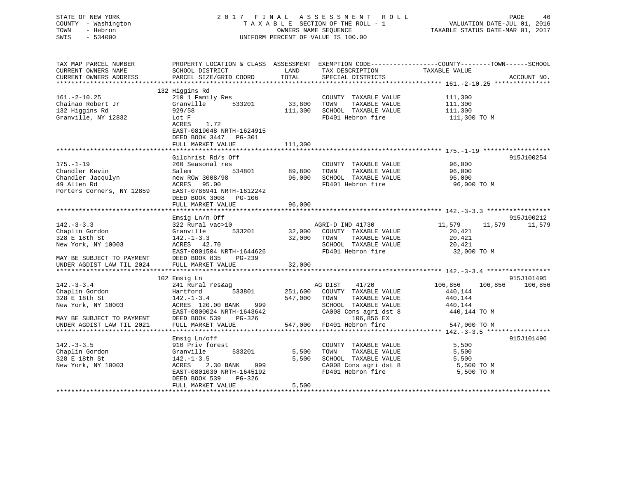STATE OF NEW YORK 2 0 1 7 F I N A L A S S E S S M E N T R O L L PAGE 46 COUNTY - Washington T A X A B L E SECTION OF THE ROLL - 1 VALUATION DATE-JUL 01, 2016 TOWN - Hebron OWNERS NAME SEQUENCE TAXABLE STATUS DATE-MAR 01, 2017 SWIS - 534000 UNIFORM PERCENT OF VALUE IS 100.00TAX MAP PARCEL NUMBER PROPERTY LOCATION & CLASS ASSESSMENT EXEMPTION CODE------------------COUNTY--------TOWN------SCHOOL CURRENT OWNERS NAME SCHOOL DISTRICT THE LAND TAX DESCRIPTION TAXABLE VALUE CURRENT OWNERS ADDRESS PARCEL SIZE/GRID COORD TOTAL SPECIAL DISTRICTS ACCOUNT NO. \*\*\*\*\*\*\*\*\*\*\*\*\*\*\*\*\*\*\*\*\*\*\*\*\*\*\*\*\*\*\*\*\*\*\*\*\*\*\*\*\*\*\*\*\*\*\*\*\*\*\*\*\*\*\*\*\*\*\*\*\*\*\*\*\*\*\*\*\*\*\*\*\*\*\*\*\*\*\*\*\*\*\*\*\*\*\*\*\*\*\*\*\*\*\*\*\*\*\*\*\*\*\* 161.-2-10.25 \*\*\*\*\*\*\*\*\*\*\*\*\*\*\* 132 Higgins Rd 161.-2-10.25 210 1 Family Res COUNTY TAXABLE VALUE 111,300 Chainao Robert Jr Granville 533201 33,800 TOWN TAXABLE VALUE 111,300 132 Higgins Rd 929/58 111,300 SCHOOL TAXABLE VALUE 111,300 Granville, NY 12832 Lot F FRAME REPORTED TO METALLY REPORTED TO MALL TO MALL TO MALL TO MALL TO MALL TO MALL TO M ACRES 1.72 EAST-0819048 NRTH-1624915 DEED BOOK 3447 PG-301FULL MARKET VALUE 111,300 \*\*\*\*\*\*\*\*\*\*\*\*\*\*\*\*\*\*\*\*\*\*\*\*\*\*\*\*\*\*\*\*\*\*\*\*\*\*\*\*\*\*\*\*\*\*\*\*\*\*\*\*\*\*\*\*\*\*\*\*\*\*\*\*\*\*\*\*\*\*\*\*\*\*\*\*\*\*\*\*\*\*\*\*\*\*\*\*\*\*\*\*\*\*\*\*\*\*\*\*\*\*\* 175.-1-19 \*\*\*\*\*\*\*\*\*\*\*\*\*\*\*\*\*\*Gilchrist Rd/s Off 915J100254 175.-1-19 260 Seasonal res COUNTY TAXABLE VALUE 96,000 Chandler Kevin Salem 534801 89,800 TOWN TAXABLE VALUE 96,000 Chandler Jacqulyn new ROW 3008/98 96,000 SCHOOL TAXABLE VALUE 96,000 49 Allen Rd ACRES 95.00 FD401 Hebron fire 96,000 TO M Porters Corners, NY 12859 EAST-0786941 NRTH-1612242 DEED BOOK 3008 PG-106FULL MARKET VALUE 96,000 \*\*\*\*\*\*\*\*\*\*\*\*\*\*\*\*\*\*\*\*\*\*\*\*\*\*\*\*\*\*\*\*\*\*\*\*\*\*\*\*\*\*\*\*\*\*\*\*\*\*\*\*\*\*\*\*\*\*\*\*\*\*\*\*\*\*\*\*\*\*\*\*\*\*\*\*\*\*\*\*\*\*\*\*\*\*\*\*\*\*\*\*\*\*\*\*\*\*\*\*\*\*\* 142.-3-3.3 \*\*\*\*\*\*\*\*\*\*\*\*\*\*\*\*\* Emsig Ln/n Off 915J100212 142.-3-3.3 322 Rural vac>10 AGRI-D IND 41730 11,579 11,579 11,579 Chaplin Gordon Granville 533201 32,000 COUNTY TAXABLE VALUE 20,421 328 E 18th St 142.-1-3.3 32,000 TOWN TAXABLE VALUE 20,421 New York, NY 10003 ACRES 42.70 SCHOOL TAXABLE VALUE 20,421 EAST-0801504 NRTH-1644626 FD401 Hebron fire 32,000 TO M MAY BE SUBJECT TO PAYMENT DEED BOOK 835 PG-239UNDER AGDIST LAW TIL 2024 FULL MARKET VALUE 32,000 \*\*\*\*\*\*\*\*\*\*\*\*\*\*\*\*\*\*\*\*\*\*\*\*\*\*\*\*\*\*\*\*\*\*\*\*\*\*\*\*\*\*\*\*\*\*\*\*\*\*\*\*\*\*\*\*\*\*\*\*\*\*\*\*\*\*\*\*\*\*\*\*\*\*\*\*\*\*\*\*\*\*\*\*\*\*\*\*\*\*\*\*\*\*\*\*\*\*\*\*\*\*\* 142.-3-3.4 \*\*\*\*\*\*\*\*\*\*\*\*\*\*\*\*\* 102 Emsig Ln 915J101495 142.-3-3.4 241 Rural res&ag AG DIST 41720 106,856 106,856 106,856 Chaplin Gordon Hartford 533801 251,600 COUNTY TAXABLE VALUE 440,144 328 E 18th St 142.-1-3.4 547,000 TOWN TAXABLE VALUE 440,144

EAST-0800024 NRTH-1643642 CA008 Cons agri dst 8 440,144 TO M

EAST-0801030 NRTH-1645192 FD401 Hebron fire 5,500 TO M

Emsig Ln/off 915J101496

\*\*\*\*\*\*\*\*\*\*\*\*\*\*\*\*\*\*\*\*\*\*\*\*\*\*\*\*\*\*\*\*\*\*\*\*\*\*\*\*\*\*\*\*\*\*\*\*\*\*\*\*\*\*\*\*\*\*\*\*\*\*\*\*\*\*\*\*\*\*\*\*\*\*\*\*\*\*\*\*\*\*\*\*\*\*\*\*\*\*\*\*\*\*\*\*\*\*\*\*\*\*\* 142.-3-3.5 \*\*\*\*\*\*\*\*\*\*\*\*\*\*\*\*\*

\*\*\*\*\*\*\*\*\*\*\*\*\*\*\*\*\*\*\*\*\*\*\*\*\*\*\*\*\*\*\*\*\*\*\*\*\*\*\*\*\*\*\*\*\*\*\*\*\*\*\*\*\*\*\*\*\*\*\*\*\*\*\*\*\*\*\*\*\*\*\*\*\*\*\*\*\*\*\*\*\*\*\*\*\*\*\*\*\*\*\*\*\*\*\*\*\*\*\*\*\*\*\*\*\*\*\*\*\*\*\*\*\*\*\*\*\*\*\*\*\*\*\*\*\*\*\*\*\*\*\*\*

New York, NY 10003 ACRES 120.00 BANK 999 SCHOOL TAXABLE VALUE 440,144

142.-3-3.5 910 Priv forest COUNTY TAXABLE VALUE 5,500 Chaplin Gordon Granville 533201 5,500 TOWN TAXABLE VALUE 5,500 328 E 18th St 142.-1-3.5 5,500 SCHOOL TAXABLE VALUE 5,500 New York, NY 10003 ACRES 2.30 BANK 999 CA008 Cons agri dst 8 5,500 TO M

UNDER AGDIST LAW TIL 2021 FULL MARKET VALUE 547,000 FD401 Hebron fire 547,000 TO M

MAY BE SUBJECT TO PAYMENT DEED BOOK 539 PG-326 106,856 EX

DEED BOOK 539 PG-326

FULL MARKET VALUE 5,500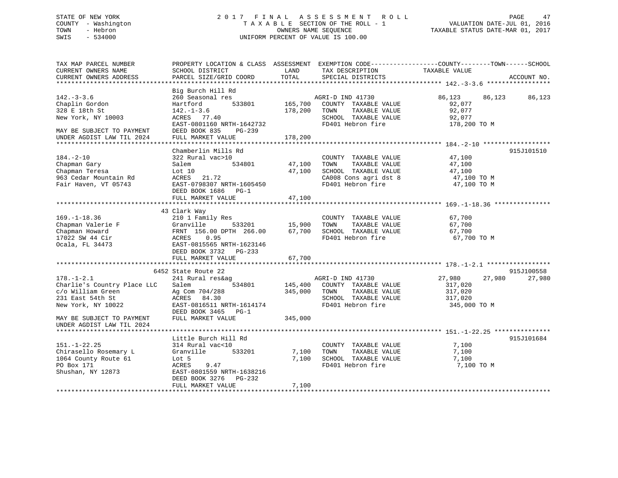## STATE OF NEW YORK 2 0 1 7 F I N A L A S S E S S M E N T R O L L PAGE 47 COUNTY - Washington T A X A B L E SECTION OF THE ROLL - 1 VALUATION DATE-JUL 01, 2016 TOWN - Hebron OWNERS NAME SEQUENCE TAXABLE STATUS DATE-MAR 01, 2017 SWIS - 534000 UNIFORM PERCENT OF VALUE IS 100.00

| SCHOOL DISTRICT<br>PARCEL SIZE/GRID COORD                                                                                                                           | LAND<br>TOTAL                       | SPECIAL DISTRICTS                                                                          | TAXABLE VALUE                                                                                                                                                                              | ACCOUNT NO.                                                                                                                                                                                                   |
|---------------------------------------------------------------------------------------------------------------------------------------------------------------------|-------------------------------------|--------------------------------------------------------------------------------------------|--------------------------------------------------------------------------------------------------------------------------------------------------------------------------------------------|---------------------------------------------------------------------------------------------------------------------------------------------------------------------------------------------------------------|
| Big Burch Hill Rd<br>260 Seasonal res<br>Hartford<br>$142. - 1 - 3.6$<br>ACRES 77.40<br>EAST-0801160 NRTH-1642732<br>DEED BOOK 835<br>$PG-239$<br>FULL MARKET VALUE | 178,200<br>178,200                  | TAXABLE VALUE<br>SCHOOL TAXABLE VALUE<br>FD401 Hebron fire                                 | 86,123<br>92,077<br>92,077<br>92,077<br>178,200 TO M                                                                                                                                       | 86,123                                                                                                                                                                                                        |
| Chamberlin Mills Rd<br>322 Rural vac>10<br>534801<br>Salem<br>Lot 10<br>ACRES 21.72<br>DEED BOOK 1686 PG-1<br>FULL MARKET VALUE                                     | 47,100                              | COUNTY TAXABLE VALUE<br>TAXABLE VALUE<br>FD401 Hebron fire                                 | 47,100<br>47,100<br>47,100<br>47,100 TO M<br>47,100 TO M                                                                                                                                   | 915J101510                                                                                                                                                                                                    |
| 210 1 Family Res<br>Granville<br>FRNT 156.00 DPTH 266.00<br>0.95<br>ACRES<br>EAST-0815565 NRTH-1623146<br>DEED BOOK 3732 PG-233<br>FULL MARKET VALUE                | 67,700<br>67,700                    | COUNTY TAXABLE VALUE<br>TOWN<br>TAXABLE VALUE<br>SCHOOL TAXABLE VALUE<br>FD401 Hebron fire | 67,700<br>67,700<br>67,700<br>67,700 TO M                                                                                                                                                  |                                                                                                                                                                                                               |
|                                                                                                                                                                     |                                     |                                                                                            |                                                                                                                                                                                            |                                                                                                                                                                                                               |
| 241 Rural res&ag<br>Salem<br>534801<br>Ag Com 704/288<br>ACRES 84.30<br>EAST-0816511 NRTH-1614174<br>DEED BOOK 3465 PG-1<br>FULL MARKET VALUE                       | 345,000                             | TAXABLE VALUE<br>FD401 Hebron fire                                                         | 27,980<br>317,020<br>317,020<br>317,020<br>345,000 TO M                                                                                                                                    | 915J100558<br>27,980                                                                                                                                                                                          |
| Little Burch Hill Rd<br>314 Rural vac<10<br>Granville 533201<br>Lot 5<br>ACRES<br>9.47<br>EAST-0801559 NRTH-1638216<br>DEED BOOK 3276 PG-232<br>FULL MARKET VALUE   | 7,100<br>7,100                      | COUNTY TAXABLE VALUE<br>TOWN<br>TAXABLE VALUE<br>SCHOOL TAXABLE VALUE<br>FD401 Hebron fire | 7,100<br>7,100<br>7,100<br>7,100 TO M                                                                                                                                                      | 915J101684                                                                                                                                                                                                    |
|                                                                                                                                                                     | 43 Clark Way<br>6452 State Route 22 | EAST-0798307 NRTH-1605450<br>$533201$ 15,900                                               | AGRI-D IND 41730<br>533801 165,700 COUNTY TAXABLE VALUE<br>TOWN<br>47,100 TOWN<br>47,100 SCHOOL TAXABLE VALUE<br>AGRI-D IND 41730<br>145,400 COUNTY TAXABLE VALUE<br>345,000 TOWN<br>7,100 | PROPERTY LOCATION & CLASS ASSESSMENT EXEMPTION CODE----------------COUNTY-------TOWN------SCHOOL<br>TAX DESCRIPTION<br>SPECIAL DISTRICTS<br>86,123<br>CA008 Cons agri dst 8<br>27,980<br>SCHOOL TAXABLE VALUE |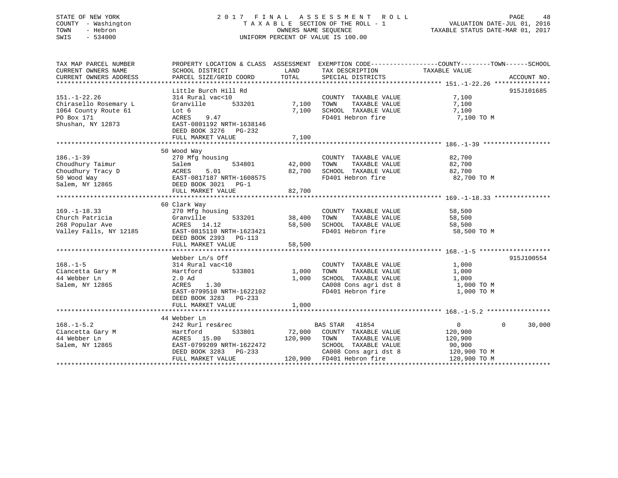## STATE OF NEW YORK 2 0 1 7 F I N A L A S S E S S M E N T R O L L PAGE 48 COUNTY - Washington T A X A B L E SECTION OF THE ROLL - 1 VALUATION DATE-JUL 01, 2016 TOWN - Hebron OWNERS NAME SEQUENCE TAXABLE STATUS DATE-MAR 01, 2017 SWIS - 534000 UNIFORM PERCENT OF VALUE IS 100.00

| TAX MAP PARCEL NUMBER  | PROPERTY LOCATION & CLASS ASSESSMENT EXEMPTION CODE---------------COUNTY-------TOWN------SCHOOL |               |                                                                |                |                             |
|------------------------|-------------------------------------------------------------------------------------------------|---------------|----------------------------------------------------------------|----------------|-----------------------------|
| CURRENT OWNERS NAME    | SCHOOL DISTRICT                                                                                 | LAND          | TAX DESCRIPTION                                                | TAXABLE VALUE  |                             |
| CURRENT OWNERS ADDRESS | PARCEL SIZE/GRID COORD                                                                          | TOTAL         | SPECIAL DISTRICTS                                              |                | ACCOUNT NO.                 |
|                        |                                                                                                 |               |                                                                |                |                             |
|                        | Little Burch Hill Rd                                                                            |               |                                                                |                | 915J101685                  |
| $151. - 1 - 22.26$     | 314 Rural vac<10                                                                                |               | COUNTY TAXABLE VALUE                                           | 7,100          |                             |
| Chirasello Rosemary L  | Granville<br>533201                                                                             | 7,100 TOWN    | TAXABLE VALUE                                                  | 7,100          |                             |
| 1064 County Route 61   | Lot 6                                                                                           |               | 7,100 SCHOOL TAXABLE VALUE                                     | 7,100          |                             |
| PO Box 171             | ACRES<br>9.47                                                                                   |               | FD401 Hebron fire                                              | 7,100 TO M     |                             |
| Shushan, NY 12873      | EAST-0801192 NRTH-1638146                                                                       |               |                                                                |                |                             |
|                        | DEED BOOK 3276 PG-232                                                                           |               |                                                                |                |                             |
|                        | FULL MARKET VALUE                                                                               | 7,100         |                                                                |                |                             |
|                        |                                                                                                 |               |                                                                |                |                             |
|                        | 50 Wood Way                                                                                     |               |                                                                |                |                             |
| $186. - 1 - 39$        | 270 Mfg housing                                                                                 |               | COUNTY TAXABLE VALUE                                           | 82,700         |                             |
| Choudhury Taimur       |                                                                                                 | 534801 42,000 | TOWN                                                           | 82,700         |                             |
|                        |                                                                                                 |               | TAXABLE VALUE                                                  |                |                             |
| Choudhury Tracy D      |                                                                                                 | 82,700        | SCHOOL TAXABLE VALUE<br>FD401 Hebron fire<br>FD401 Hebron fire | 82,700         |                             |
| 50 Wood Way            | Salem<br>ACRES 5.01<br>EAST-0817187 NRTH-1608575<br>CAST-08171091 PG-1                          |               |                                                                | 82,700 TO M    |                             |
| Salem, NY 12865        | DEED BOOK 3021 PG-1                                                                             |               |                                                                |                |                             |
|                        | FULL MARKET VALUE                                                                               | 82,700        |                                                                |                |                             |
|                        |                                                                                                 |               |                                                                |                |                             |
|                        | 60 Clark Way                                                                                    |               |                                                                |                |                             |
| $169. - 1 - 18.33$     | 270 Mfg housing                                                                                 |               | COUNTY TAXABLE VALUE 58,500                                    |                |                             |
| Church Patricia        | Granville                                                                                       | 533201 38,400 | TOWN<br>TAXABLE VALUE                                          | 58,500         |                             |
| 268 Popular Ave        | ACRES 14.12                                                                                     |               | 58,500 SCHOOL TAXABLE VALUE                                    | 58,500         |                             |
| Valley Falls, NY 12185 | EAST-0815110 NRTH-1623421                                                                       |               | FD401 Hebron fire                                              | 58,500 TO M    |                             |
|                        | DEED BOOK 2393 PG-113                                                                           |               |                                                                |                |                             |
|                        | FULL MARKET VALUE                                                                               | 58,500        |                                                                |                |                             |
|                        |                                                                                                 |               |                                                                |                |                             |
|                        | Webber Ln/s Off                                                                                 |               |                                                                |                | 915J100554                  |
| $168. - 1 - 5$         | 314 Rural vac<10                                                                                |               | COUNTY TAXABLE VALUE                                           | 1,000          |                             |
| Ciancetta Gary M       | 533801<br>Hartford                                                                              | 1,000         | TAXABLE VALUE<br>TOWN                                          | 1,000          |                             |
| 44 Webber Ln           | 2.0 Ad                                                                                          | 1,000         | SCHOOL TAXABLE VALUE                                           | 1,000          |                             |
| Salem, NY 12865        | 1.30<br>ACRES                                                                                   |               | CA008 Cons agri dst 8                                          | 1,000 TO M     |                             |
|                        | EAST-0799510 NRTH-1622102                                                                       |               | FD401 Hebron fire                                              | 1,000 TO M     |                             |
|                        | DEED BOOK 3283 PG-233                                                                           |               |                                                                |                |                             |
|                        | FULL MARKET VALUE                                                                               | 1,000         |                                                                |                |                             |
|                        |                                                                                                 |               |                                                                |                |                             |
|                        | 44 Webber Ln                                                                                    |               |                                                                |                |                             |
| $168. - 1 - 5.2$       | 242 Rurl res&rec                                                                                |               | BAS STAR 41854                                                 | $\overline{0}$ | $0 \qquad \qquad$<br>30,000 |
| Ciancetta Gary M       | 533801<br>Hartford                                                                              |               | 72,000 COUNTY TAXABLE VALUE                                    | 120,900        |                             |
| 44 Webber Ln           | ACRES 15.00                                                                                     |               | 120,900 TOWN TAXABLE VALUE                                     | 120,900        |                             |
| Salem, NY 12865        | EAST-0799209 NRTH-1622472                                                                       |               | SCHOOL TAXABLE VALUE                                           | 90,900         |                             |
|                        | DEED BOOK 3283 PG-233                                                                           |               | CA008 Cons agri dst 8                                          | 120,900 TO M   |                             |
|                        | FULL MARKET VALUE                                                                               |               | 120,900 FD401 Hebron fire                                      | 120,900 TO M   |                             |
|                        |                                                                                                 |               |                                                                |                |                             |
|                        |                                                                                                 |               |                                                                |                |                             |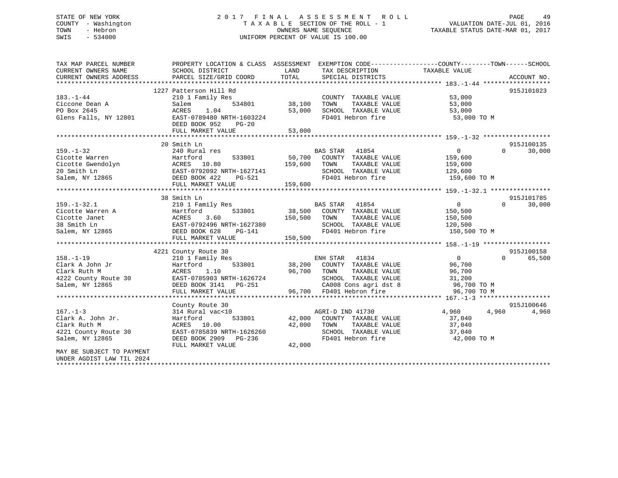## STATE OF NEW YORK 2 0 1 7 F I N A L A S S E S S M E N T R O L L PAGE 49 COUNTY - Washington T A X A B L E SECTION OF THE ROLL - 1 VALUATION DATE-JUL 01, 2016 TOWN - Hebron OWNERS NAME SEQUENCE TAXABLE STATUS DATE-MAR 01, 2017 SWIS - 534000 UNIFORM PERCENT OF VALUE IS 100.00

| TAX MAP PARCEL NUMBER<br>CURRENT OWNERS NAME                                                                                                                                                                                                     | PROPERTY LOCATION & CLASS ASSESSMENT EXEMPTION CODE----------------COUNTY-------TOWN------SCHOOL<br>SCHOOL DISTRICT | LAND          | TAX DESCRIPTION                              | TAXABLE VALUE                 |                             |
|--------------------------------------------------------------------------------------------------------------------------------------------------------------------------------------------------------------------------------------------------|---------------------------------------------------------------------------------------------------------------------|---------------|----------------------------------------------|-------------------------------|-----------------------------|
| CURRENT OWNERS ADDRESS                                                                                                                                                                                                                           | PARCEL SIZE/GRID COORD                                                                                              | TOTAL         | SPECIAL DISTRICTS                            |                               | ACCOUNT NO.                 |
|                                                                                                                                                                                                                                                  |                                                                                                                     |               |                                              |                               |                             |
| $183. - 1 - 44$                                                                                                                                                                                                                                  | 1227 Patterson Hill Rd<br>210 1 Family Res                                                                          |               |                                              |                               | 915J101023                  |
|                                                                                                                                                                                                                                                  | 534801<br>Salem                                                                                                     | 38,100        | COUNTY TAXABLE VALUE 53,000<br>TAXABLE VALUE | 53,000                        |                             |
| Ciccone Dean A<br>PO Box 2645                                                                                                                                                                                                                    | ACRES<br>1.04                                                                                                       | 53,000        |                                              |                               |                             |
| Glens Falls, NY 12801                                                                                                                                                                                                                            | EAST-0789480 NRTH-1603224                                                                                           |               |                                              | FD401 Hebron fire 53,000 TO M |                             |
|                                                                                                                                                                                                                                                  | DEED BOOK 952<br>$PG-20$                                                                                            |               |                                              |                               |                             |
|                                                                                                                                                                                                                                                  | FULL MARKET VALUE                                                                                                   | 53,000        |                                              |                               |                             |
|                                                                                                                                                                                                                                                  |                                                                                                                     |               |                                              |                               |                             |
|                                                                                                                                                                                                                                                  | 20 Smith Ln                                                                                                         |               |                                              |                               | 915J100135                  |
| $159. - 1 - 32$                                                                                                                                                                                                                                  | 240 Rural res                                                                                                       |               | BAS STAR 41854                               | $\overline{0}$<br>$\Omega$    | 30,000                      |
|                                                                                                                                                                                                                                                  |                                                                                                                     |               |                                              |                               |                             |
|                                                                                                                                                                                                                                                  |                                                                                                                     |               | TAXABLE VALUE                                | 159,600<br>159,600            |                             |
|                                                                                                                                                                                                                                                  |                                                                                                                     |               | SCHOOL TAXABLE VALUE 129,600                 |                               |                             |
| Cicotte Warren<br>Cicotte Gwendolyn<br>Cicotte Gwendolyn<br>20 Smith Ln<br>EAST-0792092 NRTH-1627141<br>EAST-0792092 NRTH-1627141<br>EAST-0792092 NRTH-1627141<br>EAST-0792092 NRTH-1627141<br>EAST-0792092 NRTH-1627141<br>EAST-0792092 NRTH-16 |                                                                                                                     |               | FD401 Hebron fire                            | 159,600 TO M                  |                             |
|                                                                                                                                                                                                                                                  | FULL MARKET VALUE                                                                                                   | 159,600       |                                              |                               |                             |
|                                                                                                                                                                                                                                                  |                                                                                                                     |               |                                              |                               |                             |
|                                                                                                                                                                                                                                                  | 38 Smith Ln                                                                                                         |               |                                              |                               | 915J101785                  |
| $159. - 1 - 32.1$                                                                                                                                                                                                                                | 210 1 Family Res                                                                                                    |               | BAS STAR 41854                               | $\overline{0}$                | $0 \qquad \qquad$<br>30,000 |
|                                                                                                                                                                                                                                                  |                                                                                                                     |               | 533801 38,500 COUNTY TAXABLE VALUE           |                               |                             |
|                                                                                                                                                                                                                                                  |                                                                                                                     | 150,500 TOWN  | TAXABLE VALUE                                | 150,500<br>150,500            |                             |
|                                                                                                                                                                                                                                                  |                                                                                                                     |               | SCHOOL TAXABLE VALUE 120,500                 |                               |                             |
| Cicotte Warren A<br>Cicotte Janet<br>38 Smith Ln<br>38 Smith Ln<br>533801<br>533801<br>533801<br>ACRES<br>3.60<br>EAST-0792496 NRTH-1627380<br>Salem, NY 12865<br>DEED BOOK 628<br>PG-141                                                        |                                                                                                                     |               | FD401 Hebron fire                            | 150,500 TO M                  |                             |
|                                                                                                                                                                                                                                                  | FULL MARKET VALUE                                                                                                   | 150,500       |                                              |                               |                             |
|                                                                                                                                                                                                                                                  |                                                                                                                     |               |                                              |                               |                             |
|                                                                                                                                                                                                                                                  | 4221 County Route 30                                                                                                |               |                                              |                               | 915J100158                  |
| $158. - 1 - 19$                                                                                                                                                                                                                                  | 210 1 Family Res                                                                                                    |               | ENH STAR 41834                               | $\overline{0}$                | $\Omega$<br>65,500          |
| Clark A John Jr                                                                                                                                                                                                                                  | Hartford                                                                                                            |               | 533801 38,200 COUNTY TAXABLE VALUE           | 96,700                        |                             |
|                                                                                                                                                                                                                                                  |                                                                                                                     |               |                                              |                               |                             |
|                                                                                                                                                                                                                                                  |                                                                                                                     |               |                                              |                               |                             |
|                                                                                                                                                                                                                                                  |                                                                                                                     |               |                                              |                               |                             |
| CLAIN AND MARKET VALUE<br>2011 ACRES 1.10 96,700 TOWN TAXABLE VALUE<br>202 County Route 30 EAST-0785903 NRTH-1626724 SCHOOL TAXABLE VALUE<br>21,200 Salem, NY 12865 DEED BOOK 3141 PG-251 CA008 Cons agri dst 8 96,700 TO M<br>FULL MA           |                                                                                                                     |               |                                              |                               |                             |
|                                                                                                                                                                                                                                                  |                                                                                                                     |               |                                              |                               |                             |
|                                                                                                                                                                                                                                                  | County Route 30                                                                                                     |               |                                              |                               | 915J100646                  |
| $167. - 1 - 3$                                                                                                                                                                                                                                   | 314 Rural vac<10                                                                                                    | 533801 42,000 | AGRI-D IND 41730<br>COUNTY TAXABLE VALUE     | 4,960 4,960                   | 4,960                       |
| Clark A. John Jr.<br>Clark Ruth M                                                                                                                                                                                                                | Hartford                                                                                                            |               | TAXABLE VALUE                                | 37,040                        |                             |
| 4221 County Route 30                                                                                                                                                                                                                             | ACRES 10.00<br>EAST-0785839 NRTH-1626260                                                                            | 42,000        | TOWN<br>SCHOOL TAXABLE VALUE 37,040          | 37,040                        |                             |
| Salem, NY 12865                                                                                                                                                                                                                                  | DEED BOOK 2909 PG-236                                                                                               |               |                                              | FD401 Hebron fire 42,000 TO M |                             |
|                                                                                                                                                                                                                                                  | FULL MARKET VALUE                                                                                                   | 42,000        |                                              |                               |                             |
| MAY BE SUBJECT TO PAYMENT                                                                                                                                                                                                                        |                                                                                                                     |               |                                              |                               |                             |
| UNDER AGDIST LAW TIL 2024                                                                                                                                                                                                                        |                                                                                                                     |               |                                              |                               |                             |
|                                                                                                                                                                                                                                                  |                                                                                                                     |               |                                              |                               |                             |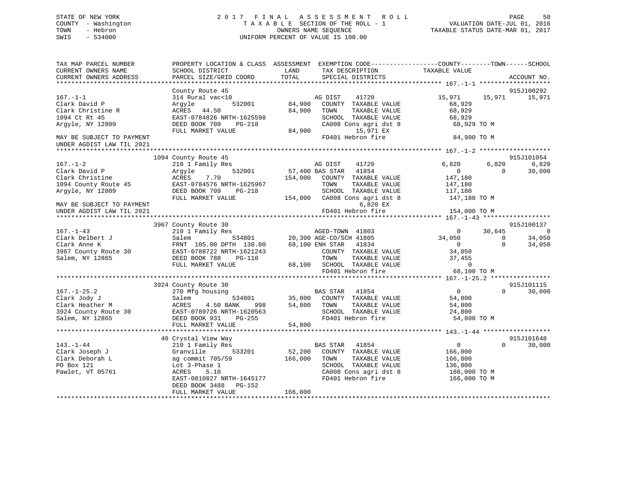## STATE OF NEW YORK 2 0 1 7 F I N A L A S S E S S M E N T R O L L PAGE 50 COUNTY - Washington T A X A B L E SECTION OF THE ROLL - 1 VALUATION DATE-JUL 01, 2016 TOWN - Hebron OWNERS NAME SEQUENCE TAXABLE STATUS DATE-MAR 01, 2017 SWIS - 534000 UNIFORM PERCENT OF VALUE IS 100.00

| TAX MAP PARCEL NUMBER<br>CURRENT OWNERS NAME<br>CURRENT OWNERS ADDRESS                          | SCHOOL DISTRICT<br>PARCEL SIZE/GRID COORD                                                                               | PROPERTY LOCATION & CLASS ASSESSMENT EXEMPTION CODE----------------COUNTY-------TOWN------SCHOOL<br>LAND<br>TAX DESCRIPTION<br>TOTAL<br>SPECIAL DISTRICTS | TAXABLE VALUE<br>ACCOUNT NO.                                                      |
|-------------------------------------------------------------------------------------------------|-------------------------------------------------------------------------------------------------------------------------|-----------------------------------------------------------------------------------------------------------------------------------------------------------|-----------------------------------------------------------------------------------|
|                                                                                                 | County Route 45                                                                                                         |                                                                                                                                                           | 915J100292                                                                        |
| $167. - 1 - 1$<br>Clark David P<br>Clark Christine R<br>1094 Ct Rt 45<br>Argyle, NY 12809       | 314 Rural vac<10<br>532001<br>Argyle<br>ACRES 44.50<br>EAST-0784826 NRTH-1625598<br>DEED BOOK 709<br>PG-218             | 41720<br>AG DIST<br>84,900<br>COUNTY TAXABLE VALUE<br>84,900<br>TAXABLE VALUE<br>TOWN<br>SCHOOL TAXABLE VALUE<br>CA008 Cons agri dst 8                    | 15,971<br>15,971<br>15,971<br>68,929<br>68,929<br>68,929<br>68,929 TO M           |
|                                                                                                 | FULL MARKET VALUE                                                                                                       | 15,971 EX<br>84,900                                                                                                                                       |                                                                                   |
| MAY BE SUBJECT TO PAYMENT<br>UNDER AGDIST LAW TIL 2021                                          |                                                                                                                         | FD401 Hebron fire                                                                                                                                         | 84,900 TO M                                                                       |
|                                                                                                 |                                                                                                                         |                                                                                                                                                           |                                                                                   |
| $167. - 1 - 2$<br>Clark David P                                                                 | 1094 County Route 45<br>210 1 Family Res<br>532001<br>Arqyle                                                            | AG DIST<br>41720<br>41854<br>57,400 BAS STAR                                                                                                              | 915J101054<br>6,820<br>6,820<br>6,820<br>$\overline{0}$<br>$\Omega$<br>30,000     |
| Clark Christine<br>1094 County Route 45<br>Argyle, NY 12809                                     | ACRES<br>7.70<br>EAST-0784576 NRTH-1625967<br>DEED BOOK 709<br>PG-218                                                   | 154,000<br>COUNTY TAXABLE VALUE<br>TOWN<br>TAXABLE VALUE<br>SCHOOL TAXABLE VALUE                                                                          | 147,180<br>147,180<br>117,180                                                     |
| MAY BE SUBJECT TO PAYMENT<br>UNDER AGDIST LAW TIL 2021                                          | FULL MARKET VALUE                                                                                                       | 154,000 CA008 Cons agri dst 8<br>6,820 EX<br>FD401 Hebron fire                                                                                            | 147,180 TO M<br>154,000 TO M                                                      |
|                                                                                                 | 3967 County Route 30                                                                                                    |                                                                                                                                                           | 915J100137                                                                        |
| $167. - 1 - 43$                                                                                 | 210 1 Family Res                                                                                                        | AGED-TOWN 41803                                                                                                                                           | $\overline{0}$<br>$\overline{0}$<br>30,645                                        |
| Clark Delbert J                                                                                 | Salem                                                                                                                   | AGED-TOWN 41803<br>534801 20,300 AGE-CO/SCH 41805                                                                                                         | 34,050<br>$\Omega$<br>34,050                                                      |
| Clark Anne K                                                                                    | FRNT 105.00 DPTH 130.00                                                                                                 | 68,100 ENH STAR 41834                                                                                                                                     | $\overline{0}$<br>$\Omega$<br>34,050                                              |
| 3967 County Route 30                                                                            | EAST-0788722 NRTH-1621243                                                                                               | COUNTY TAXABLE VALUE                                                                                                                                      | 34,050                                                                            |
| Salem, NY 12865                                                                                 | DEED BOOK 788<br>PG-110<br>FULL MARKET VALUE                                                                            | TOWN<br>TAXABLE VALUE<br>68,100 SCHOOL TAXABLE VALUE                                                                                                      | 37,455<br>$\bigcirc$                                                              |
|                                                                                                 |                                                                                                                         | FD401 Hebron fire                                                                                                                                         | 68,100 TO M                                                                       |
|                                                                                                 |                                                                                                                         |                                                                                                                                                           |                                                                                   |
|                                                                                                 | 3924 County Route 30                                                                                                    |                                                                                                                                                           | 915J101115                                                                        |
| $167. - 1 - 25.2$<br>Clark Jody J<br>Clark Heather M<br>3924 County Route 30<br>Salem, NY 12865 | 270 Mfg housing<br>Salem<br>534801<br>ACRES<br>4.50 BANK<br>998<br>EAST-0789726 NRTH-1620563<br>DEED BOOK 931<br>PG-255 | <b>BAS STAR</b><br>41854<br>35,800<br>COUNTY TAXABLE VALUE<br>54,800<br>TAXABLE VALUE<br>TOWN<br>SCHOOL TAXABLE VALUE<br>FD401 Hebron fire                | $\overline{0}$<br>$\Omega$<br>30,000<br>54,800<br>54,800<br>24,800<br>54,800 TO M |
|                                                                                                 | FULL MARKET VALUE                                                                                                       | 54,800                                                                                                                                                    |                                                                                   |
|                                                                                                 |                                                                                                                         |                                                                                                                                                           |                                                                                   |
|                                                                                                 | 40 Crystal View Way                                                                                                     |                                                                                                                                                           | 915J101648                                                                        |
| $143. - 1 - 44$                                                                                 | 210 1 Family Res                                                                                                        | BAS STAR 41854                                                                                                                                            | $\overline{0}$<br>30,000<br>$\Omega$                                              |
| Clark Joseph J                                                                                  | Granville<br>533201                                                                                                     | 52,200<br>COUNTY TAXABLE VALUE                                                                                                                            | 166,000                                                                           |
| Clark Deborah L                                                                                 | ag commit 705/59                                                                                                        | 166,000<br>TOWN<br>TAXABLE VALUE                                                                                                                          | 166,000                                                                           |
| PO Box 121                                                                                      | Lot 3-Phase 1                                                                                                           | SCHOOL TAXABLE VALUE                                                                                                                                      | 136,000                                                                           |
| Pawlet, VT 05761                                                                                | ACRES<br>5.10<br>EAST-0810827 NRTH-1645177<br>DEED BOOK 3488<br>PG-152<br>FULL MARKET VALUE                             | CA008 Cons agri dst 8<br>FD401 Hebron fire<br>166,000                                                                                                     | 166,000 ТО М<br>166,000 ТО М                                                      |
|                                                                                                 |                                                                                                                         |                                                                                                                                                           |                                                                                   |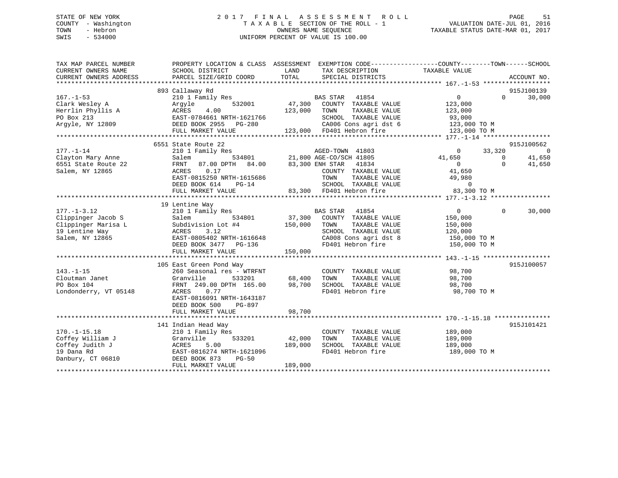## STATE OF NEW YORK 2 0 1 7 F I N A L A S S E S S M E N T R O L L PAGE 51 COUNTY - Washington T A X A B L E SECTION OF THE ROLL - 1 VALUATION DATE-JUL 01, 2016 TOWN - Hebron OWNERS NAME SEQUENCE TAXABLE STATUS DATE-MAR 01, 2017 SWIS - 534000 UNIFORM PERCENT OF VALUE IS 100.00

| TAX MAP PARCEL NUMBER<br>CURRENT OWNERS NAME | PROPERTY LOCATION & CLASS ASSESSMENT EXEMPTION CODE---------------COUNTY-------TOWN-----SCHOOL<br>SCHOOL DISTRICT | LAND    | TAX DESCRIPTION                                                   | TAXABLE VALUE                         |                    |
|----------------------------------------------|-------------------------------------------------------------------------------------------------------------------|---------|-------------------------------------------------------------------|---------------------------------------|--------------------|
| CURRENT OWNERS ADDRESS                       | PARCEL SIZE/GRID COORD                                                                                            | TOTAL   | SPECIAL DISTRICTS                                                 |                                       | ACCOUNT NO.        |
|                                              | 893 Callaway Rd                                                                                                   |         |                                                                   |                                       | 915J100139         |
| $167. - 1 - 53$                              | 210 1 Family Res                                                                                                  |         | BAS STAR 41854                                                    | $\overline{0}$                        | 30,000<br>$\Omega$ |
| Clark Wesley A                               | 532001<br>Argyle                                                                                                  | 47,300  | COUNTY TAXABLE VALUE                                              | 123,000                               |                    |
| Herrlin Phyllis A                            | ACRES<br>4.00                                                                                                     | 123,000 | TAXABLE VALUE<br>TOWN                                             | 123,000                               |                    |
| PO Box 213                                   | EAST-0784661 NRTH-1621766                                                                                         |         | SCHOOL TAXABLE VALUE                                              | 93,000                                |                    |
| Argyle, NY 12809                             | DEED BOOK 2955 PG-280                                                                                             |         | SCHOOL TAXABLE VALUE 93,000<br>CA006 Cons agri dst 6 123,000 TO M |                                       |                    |
|                                              | FULL MARKET VALUE                                                                                                 |         | 123,000 FD401 Hebron fire                                         | 123,000 TO M                          |                    |
|                                              |                                                                                                                   |         |                                                                   |                                       |                    |
|                                              | 6551 State Route 22                                                                                               |         |                                                                   |                                       | 915J100562         |
| $177. - 1 - 14$                              | 210 1 Family Res                                                                                                  |         | AGED-TOWN 41803<br>2002/901 41805                                 | $\overline{0}$<br>33,320              | $\overline{0}$     |
| Clayton Mary Anne                            | Salem                                                                                                             |         | AGED-TOWN 41803<br>534801 21,800 AGE-CO/SCH 41805                 | 41,650<br>$\overline{0}$              | 41,650             |
| 6551 State Route 22                          | 87.00 DPTH 84.00<br>FRNT                                                                                          |         | 83,300 ENH STAR 41834                                             | $\overline{0}$                        | 41,650<br>$\Omega$ |
| Salem, NY 12865                              | 0.17<br>ACRES                                                                                                     |         | COUNTY TAXABLE VALUE                                              | 41,650                                |                    |
|                                              | EAST-0815250 NRTH-1615686                                                                                         |         | TOWN<br>TAXABLE VALUE                                             | 49,980                                |                    |
|                                              | DEED BOOK 614<br>$PG-14$                                                                                          |         | SCHOOL TAXABLE VALUE                                              | $\overline{0}$<br>UE 0<br>83,300 TO M |                    |
|                                              | FULL MARKET VALUE                                                                                                 |         | 83,300 FD401 Hebron fire                                          |                                       |                    |
|                                              |                                                                                                                   |         |                                                                   |                                       |                    |
|                                              | 19 Lentine Way                                                                                                    |         |                                                                   |                                       |                    |
| $177. - 1 - 3.12$                            | 210 1 Family Res                                                                                                  |         | <b>BAS STAR</b><br>41854                                          | $\overline{0}$                        | $\Omega$<br>30,000 |
| Clippinger Jacob S                           | 534801<br>Salem                                                                                                   |         | 37,300 COUNTY TAXABLE VALUE                                       | 150,000                               |                    |
| Clippinger Marisa L                          | Subdivision Lot #4                                                                                                | 150,000 | TAXABLE VALUE<br>TOWN                                             | 150,000                               |                    |
| 19 Lentine Way                               | ACRES<br>3.12                                                                                                     |         | SCHOOL TAXABLE VALUE<br>CA008 Cons agri dst 8                     | 120,000                               |                    |
| Salem, NY 12865                              | EAST-0805402 NRTH-1616648                                                                                         |         |                                                                   | 150,000 TO M                          |                    |
|                                              | DEED BOOK 3477 PG-136                                                                                             |         | FD401 Hebron fire 150,000 TO M                                    |                                       |                    |
|                                              | FULL MARKET VALUE                                                                                                 | 150,000 |                                                                   |                                       |                    |
|                                              | 105 East Green Pond Way                                                                                           |         |                                                                   |                                       | 915J100057         |
| $143. - 1 - 15$                              | 260 Seasonal res - WTRFNT                                                                                         |         | COUNTY TAXABLE VALUE 98,700                                       |                                       |                    |
| Cloutman Janet                               | Granville<br>533201                                                                                               | 68,400  | TOWN<br>TAXABLE VALUE                                             | 98,700                                |                    |
| PO Box 104                                   | FRNT 249.00 DPTH 165.00                                                                                           | 98,700  | SCHOOL TAXABLE VALUE                                              | 98,700                                |                    |
| Londonderry, VT 05148                        | ACRES<br>0.77                                                                                                     |         | FD401 Hebron fire                                                 | 98,700 TO M                           |                    |
|                                              | EAST-0816091 NRTH-1643187                                                                                         |         |                                                                   |                                       |                    |
|                                              | DEED BOOK 500<br>PG-897                                                                                           |         |                                                                   |                                       |                    |
|                                              | FULL MARKET VALUE                                                                                                 | 98,700  |                                                                   |                                       |                    |
|                                              |                                                                                                                   |         |                                                                   |                                       |                    |
|                                              | 141 Indian Head Way                                                                                               |         |                                                                   |                                       | 915J101421         |
| $170. - 1 - 15.18$                           | 210 1 Family Res                                                                                                  |         | COUNTY TAXABLE VALUE                                              | 189,000                               |                    |
| Coffey William J                             | Granville<br>533201                                                                                               | 42,000  | TOWN<br>TAXABLE VALUE                                             | 189,000                               |                    |
| Coffey Judith J                              | 5.00<br>ACRES                                                                                                     | 189,000 | SCHOOL TAXABLE VALUE                                              | 189,000                               |                    |
| 19 Dana Rd                                   | EAST-0816274 NRTH-1621096                                                                                         |         | FD401 Hebron fire                                                 | 189,000 TO M                          |                    |
| Danbury, CT 06810                            | DEED BOOK 873<br>$PG-50$                                                                                          |         |                                                                   |                                       |                    |
|                                              | FULL MARKET VALUE                                                                                                 | 189,000 |                                                                   |                                       |                    |
|                                              |                                                                                                                   |         |                                                                   |                                       |                    |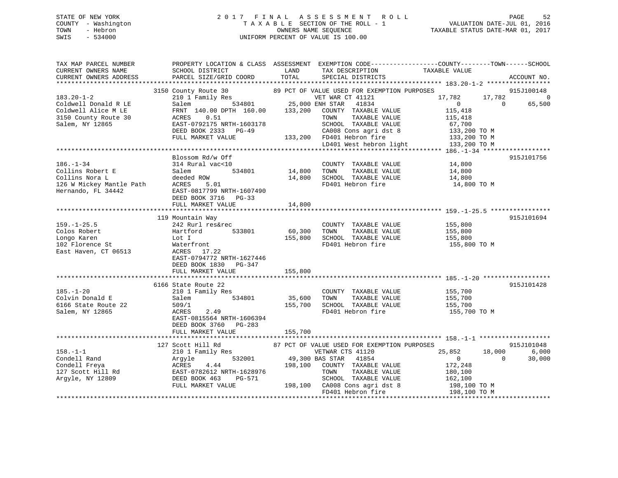## STATE OF NEW YORK 2 0 1 7 F I N A L A S S E S S M E N T R O L L PAGE 52 COUNTY - Washington T A X A B L E SECTION OF THE ROLL - 1 VALUATION DATE-JUL 01, 2016 TOWN - Hebron OWNERS NAME SEQUENCE TAXABLE STATUS DATE-MAR 01, 2017 SWIS - 534000 UNIFORM PERCENT OF VALUE IS 100.00

| 89 PCT OF VALUE USED FOR EXEMPTION PURPOSES<br>3150 County Route 30 89 PCT OF VALUE USED FOR EXEMPTION 210 1 Family Res VET WAR CT 41121<br>Salem 534801 25,000 ENH STAR 41834<br>FRNT 140.00 DPTH 160.00 133,200 COUNTY TAXABLE VALUE<br>915J100148<br>17,782<br>17,782<br>0<br>65,500<br>$\overline{0}$<br>$\overline{0}$<br>Coldwell Alice M LE<br>115,418<br>0.51<br>ACRES<br>TOWN<br>TAXABLE VALUE<br>115,418<br>EAST-0792175 NRTH-1603178<br>SCHOOL TAXABLE VALUE<br>67,700<br>DEED BOOK 2333 PG-49<br>CA008 Cons agri dst 8<br>FD401 Hebron fire<br>133,200 TO M<br>133,200 FD401 Hebron fire<br>FULL MARKET VALUE<br>133,200 TO M<br>LD401 West hebron light<br>133,200 TO M<br>Blossom Rd/w Off<br>915J101756<br>$14,800$<br>$14,800$<br>314 Rural vac<10<br>COUNTY TAXABLE VALUE<br>534801<br>14,800 TOWN<br>TAXABLE VALUE<br>Salem<br>14,800 SCHOOL TAXABLE VALUE<br>deeded ROW<br>14,800<br>COITINS NOTA L<br>126 W Mickey Mantle Path ACRES<br>Hernando, FL 34442 EAST-08<br>5.01<br>FD401 Hebron fire<br>14,800 TO M<br>EAST-0817799 NRTH-1607490<br>DEED BOOK 3716 PG-33<br>FULL MARKET VALUE<br>14,800<br>915J101694<br>119 Mountain Way<br>242 Rurl res&rec<br>COUNTY TAXABLE VALUE 155,800<br>Hartford 533801<br>60,300<br>TAXABLE VALUE<br>TOWN<br>155,800<br>155,800<br>SCHOOL TAXABLE VALUE<br>Lot I<br>155,800<br>FD401 Hebron fire<br>Waterfront<br>155,800 TO M<br>ACRES 17.22<br>EAST-0794772 NRTH-1627446<br>DEED BOOK 1830 PG-347<br>155,800<br>FULL MARKET VALUE<br>915J101428<br>6166 State Route 22<br>210 1 Family Res<br>155,700<br>$185. - 1 - 20$<br>COUNTY TAXABLE VALUE<br>155,700<br>534801<br>35,600 TOWN<br>TAXABLE VALUE<br>Salem<br>155,700 SCHOOL TAXABLE VALUE<br>155,700<br>6166 State Route 22<br>509/1<br>2.49<br>FD401 Hebron fire<br>155,700 TO M<br>ACRES<br>EAST-0815564 NRTH-1606394<br>DEED BOOK 3760 PG-283<br>155,700<br>FULL MARKET VALUE<br>915J101048<br>127 Scott Hill Rd<br>87 PCT OF VALUE USED FOR EXEMPTION PURPOSES<br>$158. - 1 - 1$<br>210 1 Family Res<br>VETWAR CTS 41120<br>25,852<br>18,000<br>6,000<br>532001 49,300 BAS STAR 41854<br>158.-1-1<br>Condell Rand<br>Condell Freya<br>127 Scott Hill Rd<br>127 Scott Hill Rd<br>12809<br>2009<br>2008 DEED BOOK 463<br>2009<br>2008 PG-571<br>2009<br>2008 PG-571<br>2009<br>2008 PG-571<br>2010 RTULL MARKET VALUE<br>30,000<br>$\sim$ 0<br>$\overline{0}$<br>198,100 COUNTY TAXABLE VALUE<br>172,248<br>TAXABLE VALUE<br>TOWN<br>180,100<br>SCHOOL TAXABLE VALUE 162,100<br>198,100 CA008 Cons agri dst 8 198,100 TO M<br>FD401 Hebron fire<br>198,100 TO M | TAX MAP PARCEL NUMBER<br>CURRENT OWNERS NAME<br>CURRENT OWNERS ADDRESS                                  | PROPERTY LOCATION & CLASS ASSESSMENT EXEMPTION CODE----------------COUNTY-------TOWN------SCHOOL<br>SCHOOL DISTRICT<br>PARCEL SIZE/GRID COORD | LAND<br>TOTAL | TAX DESCRIPTION<br>SPECIAL DISTRICTS | TAXABLE VALUE | ACCOUNT NO. |
|-----------------------------------------------------------------------------------------------------------------------------------------------------------------------------------------------------------------------------------------------------------------------------------------------------------------------------------------------------------------------------------------------------------------------------------------------------------------------------------------------------------------------------------------------------------------------------------------------------------------------------------------------------------------------------------------------------------------------------------------------------------------------------------------------------------------------------------------------------------------------------------------------------------------------------------------------------------------------------------------------------------------------------------------------------------------------------------------------------------------------------------------------------------------------------------------------------------------------------------------------------------------------------------------------------------------------------------------------------------------------------------------------------------------------------------------------------------------------------------------------------------------------------------------------------------------------------------------------------------------------------------------------------------------------------------------------------------------------------------------------------------------------------------------------------------------------------------------------------------------------------------------------------------------------------------------------------------------------------------------------------------------------------------------------------------------------------------------------------------------------------------------------------------------------------------------------------------------------------------------------------------------------------------------------------------------------------------------------------------------------------------------------------------------------------------------------------------------------------------------------------------------------------------------------------------------------------------|---------------------------------------------------------------------------------------------------------|-----------------------------------------------------------------------------------------------------------------------------------------------|---------------|--------------------------------------|---------------|-------------|
|                                                                                                                                                                                                                                                                                                                                                                                                                                                                                                                                                                                                                                                                                                                                                                                                                                                                                                                                                                                                                                                                                                                                                                                                                                                                                                                                                                                                                                                                                                                                                                                                                                                                                                                                                                                                                                                                                                                                                                                                                                                                                                                                                                                                                                                                                                                                                                                                                                                                                                                                                                                   | $183.20 - 1 - 2$<br>Coldwell Donald R LE                                                                |                                                                                                                                               |               |                                      |               |             |
|                                                                                                                                                                                                                                                                                                                                                                                                                                                                                                                                                                                                                                                                                                                                                                                                                                                                                                                                                                                                                                                                                                                                                                                                                                                                                                                                                                                                                                                                                                                                                                                                                                                                                                                                                                                                                                                                                                                                                                                                                                                                                                                                                                                                                                                                                                                                                                                                                                                                                                                                                                                   | 3150 County Route 30<br>Salem, NY 12865                                                                 |                                                                                                                                               |               |                                      |               |             |
|                                                                                                                                                                                                                                                                                                                                                                                                                                                                                                                                                                                                                                                                                                                                                                                                                                                                                                                                                                                                                                                                                                                                                                                                                                                                                                                                                                                                                                                                                                                                                                                                                                                                                                                                                                                                                                                                                                                                                                                                                                                                                                                                                                                                                                                                                                                                                                                                                                                                                                                                                                                   |                                                                                                         |                                                                                                                                               |               |                                      |               |             |
|                                                                                                                                                                                                                                                                                                                                                                                                                                                                                                                                                                                                                                                                                                                                                                                                                                                                                                                                                                                                                                                                                                                                                                                                                                                                                                                                                                                                                                                                                                                                                                                                                                                                                                                                                                                                                                                                                                                                                                                                                                                                                                                                                                                                                                                                                                                                                                                                                                                                                                                                                                                   | 186.-1-34<br>Collins Robert E<br>Collins Nora L                                                         |                                                                                                                                               |               |                                      |               |             |
|                                                                                                                                                                                                                                                                                                                                                                                                                                                                                                                                                                                                                                                                                                                                                                                                                                                                                                                                                                                                                                                                                                                                                                                                                                                                                                                                                                                                                                                                                                                                                                                                                                                                                                                                                                                                                                                                                                                                                                                                                                                                                                                                                                                                                                                                                                                                                                                                                                                                                                                                                                                   |                                                                                                         |                                                                                                                                               |               |                                      |               |             |
|                                                                                                                                                                                                                                                                                                                                                                                                                                                                                                                                                                                                                                                                                                                                                                                                                                                                                                                                                                                                                                                                                                                                                                                                                                                                                                                                                                                                                                                                                                                                                                                                                                                                                                                                                                                                                                                                                                                                                                                                                                                                                                                                                                                                                                                                                                                                                                                                                                                                                                                                                                                   |                                                                                                         |                                                                                                                                               |               |                                      |               |             |
|                                                                                                                                                                                                                                                                                                                                                                                                                                                                                                                                                                                                                                                                                                                                                                                                                                                                                                                                                                                                                                                                                                                                                                                                                                                                                                                                                                                                                                                                                                                                                                                                                                                                                                                                                                                                                                                                                                                                                                                                                                                                                                                                                                                                                                                                                                                                                                                                                                                                                                                                                                                   | $159. - 1 - 25.5$<br>Colos Robert<br>Longo Karen<br>102 Florence St<br>East Use<br>East Haven, CT 06513 |                                                                                                                                               |               |                                      |               |             |
|                                                                                                                                                                                                                                                                                                                                                                                                                                                                                                                                                                                                                                                                                                                                                                                                                                                                                                                                                                                                                                                                                                                                                                                                                                                                                                                                                                                                                                                                                                                                                                                                                                                                                                                                                                                                                                                                                                                                                                                                                                                                                                                                                                                                                                                                                                                                                                                                                                                                                                                                                                                   |                                                                                                         |                                                                                                                                               |               |                                      |               |             |
|                                                                                                                                                                                                                                                                                                                                                                                                                                                                                                                                                                                                                                                                                                                                                                                                                                                                                                                                                                                                                                                                                                                                                                                                                                                                                                                                                                                                                                                                                                                                                                                                                                                                                                                                                                                                                                                                                                                                                                                                                                                                                                                                                                                                                                                                                                                                                                                                                                                                                                                                                                                   |                                                                                                         |                                                                                                                                               |               |                                      |               |             |
|                                                                                                                                                                                                                                                                                                                                                                                                                                                                                                                                                                                                                                                                                                                                                                                                                                                                                                                                                                                                                                                                                                                                                                                                                                                                                                                                                                                                                                                                                                                                                                                                                                                                                                                                                                                                                                                                                                                                                                                                                                                                                                                                                                                                                                                                                                                                                                                                                                                                                                                                                                                   | Colvin Donald E<br>Salem, NY 12865                                                                      |                                                                                                                                               |               |                                      |               |             |
|                                                                                                                                                                                                                                                                                                                                                                                                                                                                                                                                                                                                                                                                                                                                                                                                                                                                                                                                                                                                                                                                                                                                                                                                                                                                                                                                                                                                                                                                                                                                                                                                                                                                                                                                                                                                                                                                                                                                                                                                                                                                                                                                                                                                                                                                                                                                                                                                                                                                                                                                                                                   |                                                                                                         |                                                                                                                                               |               |                                      |               |             |
|                                                                                                                                                                                                                                                                                                                                                                                                                                                                                                                                                                                                                                                                                                                                                                                                                                                                                                                                                                                                                                                                                                                                                                                                                                                                                                                                                                                                                                                                                                                                                                                                                                                                                                                                                                                                                                                                                                                                                                                                                                                                                                                                                                                                                                                                                                                                                                                                                                                                                                                                                                                   |                                                                                                         |                                                                                                                                               |               |                                      |               |             |
|                                                                                                                                                                                                                                                                                                                                                                                                                                                                                                                                                                                                                                                                                                                                                                                                                                                                                                                                                                                                                                                                                                                                                                                                                                                                                                                                                                                                                                                                                                                                                                                                                                                                                                                                                                                                                                                                                                                                                                                                                                                                                                                                                                                                                                                                                                                                                                                                                                                                                                                                                                                   |                                                                                                         |                                                                                                                                               |               |                                      |               |             |
|                                                                                                                                                                                                                                                                                                                                                                                                                                                                                                                                                                                                                                                                                                                                                                                                                                                                                                                                                                                                                                                                                                                                                                                                                                                                                                                                                                                                                                                                                                                                                                                                                                                                                                                                                                                                                                                                                                                                                                                                                                                                                                                                                                                                                                                                                                                                                                                                                                                                                                                                                                                   |                                                                                                         |                                                                                                                                               |               |                                      |               |             |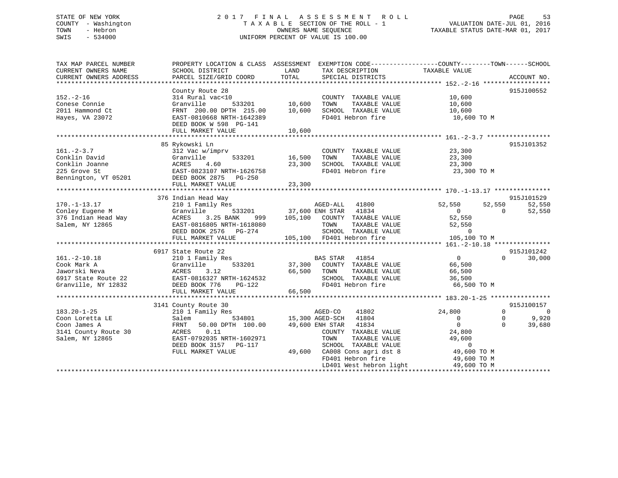## STATE OF NEW YORK 2 0 1 7 F I N A L A S S E S S M E N T R O L L PAGE 53 COUNTY - Washington T A X A B L E SECTION OF THE ROLL - 1 VALUATION DATE-JUL 01, 2016 TOWN - Hebron OWNERS NAME SEQUENCE TAXABLE STATUS DATE-MAR 01, 2017 SWIS - 534000 UNIFORM PERCENT OF VALUE IS 100.00

| TAX MAP PARCEL NUMBER<br>CURRENT OWNERS NAME<br>CURRENT OWNERS ADDRESS       | PROPERTY LOCATION & CLASS ASSESSMENT EXEMPTION CODE---------------COUNTY-------TOWN-----SCHOOL<br>SCHOOL DISTRICT<br>PARCEL SIZE/GRID COORD                                      | LAND<br>TOTAL   | TAX DESCRIPTION TAXABLE VALUE<br>SPECIAL DISTRICTS                                         |                                                                   |              | ACCOUNT NO. |
|------------------------------------------------------------------------------|----------------------------------------------------------------------------------------------------------------------------------------------------------------------------------|-----------------|--------------------------------------------------------------------------------------------|-------------------------------------------------------------------|--------------|-------------|
|                                                                              |                                                                                                                                                                                  |                 |                                                                                            |                                                                   |              |             |
| $152. - 2 - 16$                                                              | County Route 28<br>314 Rural vac<10                                                                                                                                              |                 | COUNTY TAXABLE VALUE                                                                       | 10,600                                                            |              | 915J100552  |
| Conese Connie                                                                | Granville<br>533201                                                                                                                                                              | 10,600          | TOWN<br>TAXABLE VALUE                                                                      | 10,600                                                            |              |             |
| 2011 Hammond Ct                                                              | FRNT 200.00 DPTH 215.00 10,600                                                                                                                                                   |                 | SCHOOL TAXABLE VALUE                                                                       | 10,600                                                            |              |             |
| Hayes, VA 23072                                                              | EAST-0810668 NRTH-1642389                                                                                                                                                        |                 | FD401 Hebron fire                                                                          | 10,600 TO M                                                       |              |             |
|                                                                              | DEED BOOK W 598 PG-141                                                                                                                                                           |                 |                                                                                            |                                                                   |              |             |
|                                                                              | FULL MARKET VALUE                                                                                                                                                                | 10,600          |                                                                                            |                                                                   |              |             |
|                                                                              |                                                                                                                                                                                  |                 |                                                                                            |                                                                   |              |             |
|                                                                              | 85 Rykowski Ln                                                                                                                                                                   |                 |                                                                                            |                                                                   |              | 915J101352  |
| $161 - 2 - 3.7$                                                              | 312 Vac w/imprv                                                                                                                                                                  |                 | COUNTY TAXABLE VALUE                                                                       | 23,300                                                            |              |             |
| Conklin David                                                                | Granville                                                                                                                                                                        | 533201 16,500   | TAXABLE VALUE<br>TOWN                                                                      | 23,300                                                            |              |             |
| Conklin Joanne                                                               |                                                                                                                                                                                  | 23,300          | SCHOOL TAXABLE VALUE                                                                       | 23,300                                                            |              |             |
| 225 Grove St                                                                 | ACRES 4.60<br>EAST-0823107 NRTH-1626758                                                                                                                                          |                 | FD401 Hebron fire                                                                          | 23,300 TO M                                                       |              |             |
| Bennington, VT 05201 DEED BOOK 2875 PG-250                                   |                                                                                                                                                                                  |                 |                                                                                            |                                                                   |              |             |
|                                                                              | FULL MARKET VALUE                                                                                                                                                                | 23,300          |                                                                                            |                                                                   |              |             |
|                                                                              |                                                                                                                                                                                  |                 |                                                                                            |                                                                   |              |             |
|                                                                              | 376 Indian Head Way                                                                                                                                                              |                 |                                                                                            |                                                                   |              | 915J101529  |
|                                                                              |                                                                                                                                                                                  |                 | AGED-ALL 41800                                                                             |                                                                   |              |             |
| $170. - 1 - 13.17$                                                           | 210 1 Family Res                                                                                                                                                                 |                 |                                                                                            | 52,550<br>$\begin{array}{c}\n\sim \\ 0 \\ \hline\n0\n\end{array}$ | 52,550       | 52,550      |
| Conley Eugene M<br>Conley Eugene M<br>376 Indian Head Way<br>Salem, NY 12865 | Granville                                                                                                                                                                        |                 | $37,600$ ENH STAR $41834$<br>ANK 999 105,100 COUNTY TAXABLE VALUE                          |                                                                   | $\Omega$     | 52,550      |
|                                                                              | ACRES 3.25 BANK                                                                                                                                                                  |                 |                                                                                            | 52,550                                                            |              |             |
|                                                                              | EAST-0816805 NRTH-1618080                                                                                                                                                        |                 | TOWN TAXABLE VALUE 52,550<br>SCHOOL TAXABLE VALUE 52,550<br>FD401 Hebron fire 105,100 TO M |                                                                   |              |             |
|                                                                              | DEED BOOK 2576 PG-274                                                                                                                                                            |                 |                                                                                            |                                                                   |              |             |
|                                                                              | FULL MARKET VALUE                                                                                                                                                                |                 | 105,100 FD401 Hebron fire                                                                  |                                                                   |              |             |
|                                                                              |                                                                                                                                                                                  |                 |                                                                                            |                                                                   |              |             |
|                                                                              | 6917 State Route 22                                                                                                                                                              |                 |                                                                                            |                                                                   |              | 915J101242  |
| $161. - 2 - 10.18$                                                           | 210 1 Family Res                                                                                                                                                                 |                 | BAS STAR<br>41854                                                                          | $\overline{0}$                                                    | $\Omega$     | 30,000      |
| Cook Mark A                                                                  | Granville 533201 37,300 COUNTY TAXABLE VALUE<br>ACRES 3.12 66,500 TOWN TAXABLE VALUE<br>EAST-0816327 NRTH-1624532 SCHOOL TAXABLE VALUE<br>DEED BOOK 776 PG-122 FD401 Hebron fire |                 |                                                                                            | 66,500                                                            |              |             |
| Jaworski Neva                                                                |                                                                                                                                                                                  |                 |                                                                                            | 66,500                                                            |              |             |
| 6917 State Route 22                                                          |                                                                                                                                                                                  |                 |                                                                                            |                                                                   |              |             |
| Granville, NY 12832                                                          |                                                                                                                                                                                  |                 |                                                                                            | 66,500 TO M                                                       |              |             |
|                                                                              | FULL MARKET VALUE                                                                                                                                                                | 66,500          |                                                                                            |                                                                   |              |             |
|                                                                              |                                                                                                                                                                                  |                 |                                                                                            |                                                                   |              |             |
|                                                                              | 3141 County Route 30                                                                                                                                                             |                 |                                                                                            |                                                                   |              | 915J100157  |
| $183.20 - 1 - 25$                                                            | 210 1 Family Res                                                                                                                                                                 |                 | 41802                                                                                      | 24,800                                                            | $\Omega$     | $\Omega$    |
| Coon Loretta LE                                                              | Salem                                                                                                                                                                            |                 | 3 AGED-CO 41802<br>534801 15,300 AGED-SCH 41804                                            | $\overline{0}$                                                    | $\mathbf{0}$ | 9,920       |
| Coon James A                                                                 | 50.00 DPTH 100.00<br>FRNT                                                                                                                                                        | 49,600 ENH STAR | 41834                                                                                      | $\bigcirc$                                                        | $\Omega$     | 39,680      |
| 3141 County Route 30                                                         | ACRES<br>0.11                                                                                                                                                                    |                 | COUNTY TAXABLE VALUE                                                                       | 24,800                                                            |              |             |
| Salem, NY 12865                                                              | EAST-0792035 NRTH-1602971                                                                                                                                                        |                 | TOWN<br>TAXABLE VALUE                                                                      | 49,600                                                            |              |             |
|                                                                              |                                                                                                                                                                                  |                 | SCHOOL TAXABLE VALUE                                                                       | $\overline{0}$                                                    |              |             |
|                                                                              | DEED BOOK 3157 PG-117                                                                                                                                                            |                 | $49,600$ $CAO08$ Cons agri dst 8                                                           | 49,600 TO M                                                       |              |             |
|                                                                              | FULL MARKET VALUE                                                                                                                                                                |                 |                                                                                            |                                                                   |              |             |
|                                                                              |                                                                                                                                                                                  |                 | FD401 Hebron fire                                                                          | 49,600 TO M                                                       |              |             |
|                                                                              |                                                                                                                                                                                  |                 | LD401 West hebron light                                                                    | 49,600 TO M                                                       |              |             |
|                                                                              |                                                                                                                                                                                  |                 |                                                                                            |                                                                   |              |             |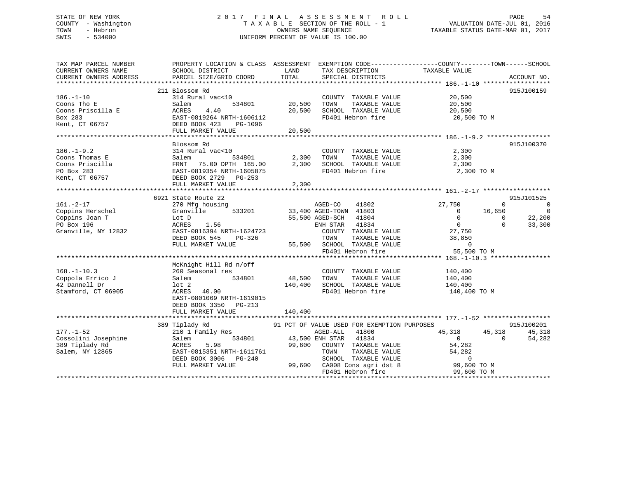## STATE OF NEW YORK 2 0 1 7 F I N A L A S S E S S M E N T R O L L PAGE 54 COUNTY - Washington T A X A B L E SECTION OF THE ROLL - 1 VALUATION DATE-JUL 01, 2016 TOWN - Hebron OWNERS NAME SEQUENCE TAXABLE STATUS DATE-MAR 01, 2017 SWIS - 534000 UNIFORM PERCENT OF VALUE IS 100.00

| TAX MAP PARCEL NUMBER<br>CURRENT OWNERS NAME<br>CURRENT OWNERS ADDRESS | PROPERTY LOCATION & CLASS ASSESSMENT EXEMPTION CODE----------------COUNTY-------TOWN------SCHOOL<br>SCHOOL DISTRICT<br>PARCEL SIZE/GRID COORD | LAND<br>TOTAL          | TAX DESCRIPTION<br>SPECIAL DISTRICTS                         | TAXABLE VALUE                                    | ACCOUNT NO.    |
|------------------------------------------------------------------------|-----------------------------------------------------------------------------------------------------------------------------------------------|------------------------|--------------------------------------------------------------|--------------------------------------------------|----------------|
|                                                                        |                                                                                                                                               |                        |                                                              |                                                  |                |
|                                                                        | 211 Blossom Rd                                                                                                                                |                        |                                                              |                                                  | 915J100159     |
| $186. - 1 - 10$                                                        | 314 Rural vac<10                                                                                                                              |                        | COUNTY TAXABLE VALUE                                         | 20,500                                           |                |
| Coons Tho E                                                            | 534801<br>Salem                                                                                                                               | 20,500                 | TAXABLE VALUE<br>TOWN                                        | 20,500                                           |                |
| Coons Priscilla E                                                      | 4.40<br>ACRES                                                                                                                                 | 20,500                 | SCHOOL TAXABLE VALUE                                         | 20,500                                           |                |
| Box 283                                                                | EAST-0819264 NRTH-1606112                                                                                                                     |                        | FD401 Hebron fire                                            | 20,500 TO M                                      |                |
| Kent, CT 06757                                                         | DEED BOOK 423<br>PG-1096                                                                                                                      |                        |                                                              |                                                  |                |
|                                                                        |                                                                                                                                               |                        |                                                              |                                                  |                |
|                                                                        |                                                                                                                                               |                        |                                                              |                                                  |                |
|                                                                        | Blossom Rd                                                                                                                                    |                        |                                                              |                                                  | 915J100370     |
| $186. - 1 - 9.2$                                                       | 314 Rural vac<10                                                                                                                              |                        | COUNTY TAXABLE VALUE                                         | 2,300                                            |                |
| Coons Thomas E                                                         | Salem                                                                                                                                         | 2,300                  |                                                              |                                                  |                |
| Coons Priscilla                                                        | 534801<br>PTH 165.00<br>FRNT 75.00 DPTH 165.00                                                                                                | 2,300                  | TOWN      TAXABLE VALUE<br>SCHOOL   TAXABLE VALUE            | $\frac{2}{2}$ , 300                              |                |
| PO Box 283                                                             | EAST-0819354 NRTH-1605875                                                                                                                     |                        | FD401 Hebron fire                                            | 2,300 TO M                                       |                |
| Kent, CT 06757                                                         |                                                                                                                                               |                        |                                                              |                                                  |                |
|                                                                        | DEED BOOK 2729 PG-253                                                                                                                         |                        |                                                              |                                                  |                |
|                                                                        | FULL MARKET VALUE                                                                                                                             | 2,300                  |                                                              |                                                  |                |
|                                                                        |                                                                                                                                               |                        |                                                              |                                                  |                |
|                                                                        | 6921 State Route 22                                                                                                                           |                        |                                                              |                                                  | 915J101525     |
| $161. - 2 - 17$                                                        | 270 Mfg housing                                                                                                                               |                        | AGED-CO<br>41802                                             | 27,750<br>$\mathbf{0}$                           | $\overline{0}$ |
| Coppins Herschel                                                       | Granville                                                                                                                                     |                        | $133,400$ AGED-TOWN 41803                                    | 16,650<br>$\overline{0}$                         | $\overline{0}$ |
| Coppins Joan T                                                         | Lot D                                                                                                                                         |                        | 55,500 AGED-SCH<br>41804                                     | $\begin{matrix} 0 \\ 0 \end{matrix}$<br>$\Omega$ | 22,200         |
| PO Box 196                                                             | ACRES<br>1.56                                                                                                                                 |                        | ENH STAR<br>41834                                            | $\Omega$                                         | 33,300         |
| Granville, NY 12832                                                    | EAST-0816394 NRTH-1624723                                                                                                                     |                        | COUNTY TAXABLE VALUE $27,750$<br>TOWN TAXABLE VALUE $38,850$ |                                                  |                |
|                                                                        | DEED BOOK 545<br>PG-326                                                                                                                       |                        |                                                              |                                                  |                |
|                                                                        | FULL MARKET VALUE                                                                                                                             |                        |                                                              | $\overline{0}$                                   |                |
|                                                                        |                                                                                                                                               |                        | 55,500 SCHOOL TAXABLE VALUE<br>FD401 Hebron fire             | 55,500 TO M                                      |                |
|                                                                        |                                                                                                                                               |                        |                                                              |                                                  |                |
|                                                                        | McKnight Hill Rd n/off                                                                                                                        |                        |                                                              |                                                  |                |
| $168. - 1 - 10.3$                                                      | 260 Seasonal res                                                                                                                              |                        | COUNTY TAXABLE VALUE                                         | 140,400                                          |                |
| Coppola Errico J                                                       | 534801<br>Salem                                                                                                                               | 48,500                 | TAXABLE VALUE<br>TOWN                                        |                                                  |                |
| 42 Dannell Dr                                                          | lot 2                                                                                                                                         | 140,400                | SCHOOL TAXABLE VALUE                                         | 140,400<br>140,400                               |                |
| Stamford, CT 06905                                                     | ACRES<br>40.00                                                                                                                                |                        | FD401 Hebron fire                                            |                                                  |                |
|                                                                        |                                                                                                                                               |                        |                                                              | 140,400 TO M                                     |                |
|                                                                        | EAST-0801069 NRTH-1619015                                                                                                                     |                        |                                                              |                                                  |                |
|                                                                        | DEED BOOK 3350 PG-213                                                                                                                         |                        |                                                              |                                                  |                |
|                                                                        | FULL MARKET VALUE                                                                                                                             | 140,400                |                                                              |                                                  |                |
|                                                                        |                                                                                                                                               |                        |                                                              |                                                  |                |
|                                                                        | 389 Tiplady Rd                                                                                                                                |                        | 91 PCT OF VALUE USED FOR EXEMPTION PURPOSES                  |                                                  | 915J100201     |
| $177. - 1 - 52$                                                        | 210 1 Family Res                                                                                                                              |                        | AGED-ALL<br>41800                                            | 45,318<br>45,318                                 | 45,318         |
| Cossolini Josephine                                                    | Salem                                                                                                                                         | 534801 43,500 ENH STAR | 41834                                                        | $\Omega$<br>$\overline{0}$                       | 54,282         |
| 389 Tiplady Rd                                                         | ACRES<br>5.98                                                                                                                                 | 99,600                 | COUNTY TAXABLE VALUE                                         | 54,282                                           |                |
| Salem, NY 12865                                                        | EAST-0815351 NRTH-1611761                                                                                                                     |                        | TOWN<br>TAXABLE VALUE                                        | 54,282                                           |                |
|                                                                        | DEED BOOK 3006 PG-240                                                                                                                         |                        |                                                              |                                                  |                |
|                                                                        | FULL MARKET VALUE                                                                                                                             |                        |                                                              |                                                  |                |
|                                                                        |                                                                                                                                               |                        | FD401 Hebron fire                                            | 99,600 TO M                                      |                |
|                                                                        |                                                                                                                                               |                        |                                                              |                                                  |                |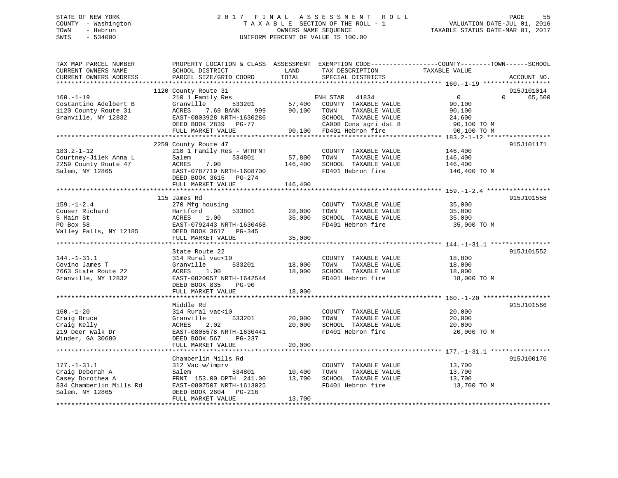# STATE OF NEW YORK STATE OF NEW YORK STATE OF NEW YORK STATE OF NEW YORK STATE OF NEW YORK STATE STATE ASSESSMENT ROLL COUNTY - Washington  $T A X A B L E$  SECTION OF THE ROLL - 1<br>TOWN - Hebron DATE-JUL 000NERS NAME SEQUENCE SWIS - 534000 UNIFORM PERCENT OF VALUE IS 100.00

TAXABLE STATUS DATE-MAR 01, 2017

| TAX MAP PARCEL NUMBER<br>CURRENT OWNERS NAME<br>CURRENT OWNERS ADDRESS<br>*******************          | PROPERTY LOCATION & CLASS ASSESSMENT<br>SCHOOL DISTRICT<br>PARCEL SIZE/GRID COORD                                                                                                                        | LAND<br>TOTAL                | TAX DESCRIPTION<br>SPECIAL DISTRICTS                                                                                                     | EXEMPTION CODE-----------------COUNTY-------TOWN------SCHOOL<br>TAXABLE VALUE | ACCOUNT NO.                      |
|--------------------------------------------------------------------------------------------------------|----------------------------------------------------------------------------------------------------------------------------------------------------------------------------------------------------------|------------------------------|------------------------------------------------------------------------------------------------------------------------------------------|-------------------------------------------------------------------------------|----------------------------------|
| $160. -1 - 19$<br>Costantino Adelbert B<br>1120 County Route 31<br>Granville, NY 12832                 | ***************************<br>1120 County Route 31<br>210 1 Family Res<br>533201<br>Granville<br>7.69 BANK<br>ACRES<br>999<br>EAST-0803928 NRTH-1630286<br>DEED BOOK 2839<br>PG-77<br>FULL MARKET VALUE | 57,400<br>90,100<br>90,100   | ENH STAR<br>41834<br>COUNTY TAXABLE VALUE<br>TOWN<br>TAXABLE VALUE<br>SCHOOL TAXABLE VALUE<br>CA008 Cons agri dst 8<br>FD401 Hebron fire | $\mathbf 0$<br>90,100<br>90,100<br>24,600<br>90,100 TO M<br>90,100 TO M       | 915J101014<br>65,500<br>$\Omega$ |
| $183.2 - 1 - 12$<br>Courtney-Jilek Anna L<br>2259 County Route 47<br>Salem, NY 12865                   | 2259 County Route 47<br>210 1 Family Res - WTRFNT<br>534801<br>Salem<br>7.90<br>ACRES<br>EAST-0787719 NRTH-1608700<br>DEED BOOK 3615 PG-274<br>FULL MARKET VALUE                                         | 57,800<br>146,400<br>146,400 | COUNTY TAXABLE VALUE<br>TOWN<br>TAXABLE VALUE<br>SCHOOL TAXABLE VALUE<br>FD401 Hebron fire                                               | 146,400<br>146,400<br>146,400<br>146,400 TO M                                 | 915J101171                       |
| $159. - 1 - 2.4$<br>Couser Richard<br>5 Main St<br>PO Box 58<br>Valley Falls, NY 12185                 | 115 James Rd<br>270 Mfg housing<br>Hartford<br>533801<br>ACRES<br>1.00<br>EAST-0792443 NRTH-1630468<br>DEED BOOK 3617<br>PG-345<br>FULL MARKET VALUE                                                     | 28,000<br>35,000<br>35,000   | COUNTY TAXABLE VALUE<br>TOWN<br>TAXABLE VALUE<br>SCHOOL TAXABLE VALUE<br>FD401 Hebron fire                                               | 35,000<br>35,000<br>35,000<br>35,000 TO M                                     | 915J101558                       |
| $144. - 1 - 31.1$<br>Covino James T<br>7663 State Route 22<br>Granville, NY 12832                      | State Route 22<br>314 Rural vac<10<br>533201<br>Granville<br>ACRES<br>1.00<br>EAST-0820057 NRTH-1642544<br>DEED BOOK 835<br>$PG-90$<br>FULL MARKET VALUE                                                 | 18,000<br>18,000<br>18,000   | COUNTY TAXABLE VALUE<br>TOWN<br>TAXABLE VALUE<br>SCHOOL TAXABLE VALUE<br>FD401 Hebron fire                                               | 18,000<br>18,000<br>18,000<br>18,000 TO M                                     | 915J101552                       |
| $160. - 1 - 20$<br>Craig Bruce<br>Craig Kelly<br>219 Deer Walk Dr<br>Winder, GA 30680                  | Middle Rd<br>314 Rural vac<10<br>Granville<br>533201<br>ACRES<br>2.02<br>EAST-0805578 NRTH-1630441<br>DEED BOOK 567<br>PG-237<br>FULL MARKET VALUE<br>**********************************                 | 20,000<br>20,000<br>20,000   | COUNTY TAXABLE VALUE<br>TOWN<br>TAXABLE VALUE<br>SCHOOL TAXABLE VALUE<br>FD401 Hebron fire                                               | 20,000<br>20,000<br>20,000<br>20,000 TO M                                     | 915J101566                       |
| $177. - 1 - 31.1$<br>Craig Deborah A<br>Casey Dorothea A<br>834 Chamberlin Mills Rd<br>Salem, NY 12865 | Chamberlin Mills Rd<br>312 Vac w/imprv<br>534801<br>Salem<br>FRNT 153.00 DPTH 241.00<br>EAST-0807507 NRTH-1613025<br>DEED BOOK 2604<br>PG-216<br>FULL MARKET VALUE                                       | 10,400<br>13,700<br>13,700   | COUNTY TAXABLE VALUE<br>TOWN<br>TAXABLE VALUE<br>SCHOOL TAXABLE VALUE<br>FD401 Hebron fire                                               | 13,700<br>13,700<br>13,700<br>13,700 TO M                                     | 915J100170                       |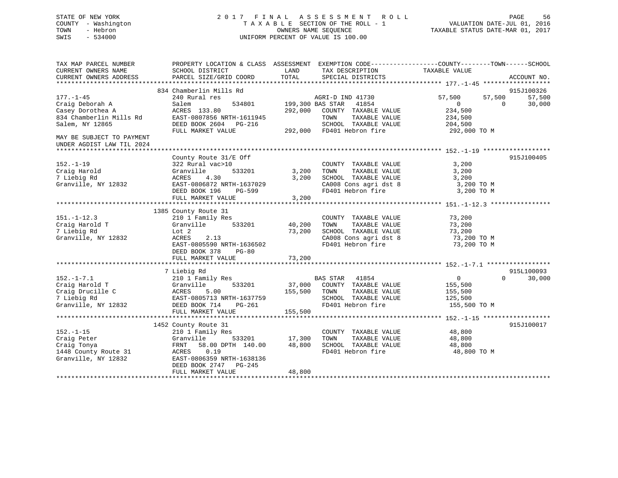## STATE OF NEW YORK 2 0 1 7 F I N A L A S S E S S M E N T R O L L PAGE 56 COUNTY - Washington T A X A B L E SECTION OF THE ROLL - 1 VALUATION DATE-JUL 01, 2016 TOWN - Hebron OWNERS NAME SEQUENCE TAXABLE STATUS DATE-MAR 01, 2017 SWIS - 534000 UNIFORM PERCENT OF VALUE IS 100.00

| TAX MAP PARCEL NUMBER<br>CURRENT OWNERS NAME<br>CURRENT OWNERS ADDRESS                               | PROPERTY LOCATION & CLASS ASSESSMENT<br>SCHOOL DISTRICT<br>PARCEL SIZE/GRID COORD                                                                                              | LAND<br>TOTAL                     | TAX DESCRIPTION<br>SPECIAL DISTRICTS                                                                                | EXEMPTION CODE-----------------COUNTY-------TOWN------SCHOOL<br>TAXABLE VALUE | ACCOUNT NO.                                |
|------------------------------------------------------------------------------------------------------|--------------------------------------------------------------------------------------------------------------------------------------------------------------------------------|-----------------------------------|---------------------------------------------------------------------------------------------------------------------|-------------------------------------------------------------------------------|--------------------------------------------|
| $177. - 1 - 45$<br>Craig Deborah A<br>Casey Dorothea A<br>834 Chamberlin Mills Rd<br>Salem, NY 12865 | 834 Chamberlin Mills Rd<br>240 Rural res<br>534801<br>Salem<br>ACRES 133.80<br>EAST-0807856 NRTH-1611945<br>DEED BOOK 2604 PG-216                                              | 199,300 BAS STAR<br>292,000       | AGRI-D IND 41730<br>41854<br>COUNTY TAXABLE VALUE<br>TOWN<br>TAXABLE VALUE<br>SCHOOL TAXABLE VALUE                  | 57,500<br>57,500<br>$\overline{0}$<br>234,500<br>234,500<br>204,500           | 915J100326<br>57,500<br>30,000<br>$\Omega$ |
| MAY BE SUBJECT TO PAYMENT<br>UNDER AGDIST LAW TIL 2024                                               | FULL MARKET VALUE                                                                                                                                                              |                                   | 292,000 FD401 Hebron fire                                                                                           | 292,000 TO M                                                                  |                                            |
| $152. - 1 - 19$<br>Craig Harold<br>7 Liebig Rd<br>Granville, NY 12832                                | County Route 31/E Off<br>322 Rural vac>10<br>533201<br>Granville<br>ACRES<br>4.30<br>EAST-0806872 NRTH-1637029<br>DEED BOOK 196<br>PG-599<br>FULL MARKET VALUE                 | 3,200<br>3,200<br>3,200           | COUNTY TAXABLE VALUE<br>TOWN<br>TAXABLE VALUE<br>SCHOOL TAXABLE VALUE<br>CA008 Cons agri dst 8<br>FD401 Hebron fire | 3,200<br>3,200<br>3,200<br>3,200 TO M<br>3,200 TO M                           | 915J100405                                 |
|                                                                                                      |                                                                                                                                                                                |                                   |                                                                                                                     |                                                                               |                                            |
| $151. - 1 - 12.3$<br>Craig Harold T<br>7 Liebig Rd<br>Granville, NY 12832                            | 1385 County Route 31<br>210 1 Family Res<br>Granville<br>533201<br>Lot 2<br>ACRES<br>2.13<br>EAST-0805590 NRTH-1636502<br>DEED BOOK 378<br>$PG-80$<br>FULL MARKET VALUE        | 40,200<br>73,200<br>73,200        | COUNTY TAXABLE VALUE<br>TAXABLE VALUE<br>TOWN<br>SCHOOL TAXABLE VALUE<br>CA008 Cons agri dst 8<br>FD401 Hebron fire | 73,200<br>73,200<br>73,200<br>73,200 TO M<br>73,200 TO M                      |                                            |
|                                                                                                      |                                                                                                                                                                                |                                   |                                                                                                                     |                                                                               |                                            |
| $152. - 1 - 7.1$<br>Craig Harold T<br>Craig Drucille C<br>7 Liebig Rd<br>Granville, NY 12832         | 7 Liebig Rd<br>210 1 Family Res<br>533201<br>Granville<br>ACRES<br>5.00<br>EAST-0805713 NRTH-1637759<br>DEED BOOK 714<br>PG-261<br>FULL MARKET VALUE                           | 155,500<br>155,500                | BAS STAR 41854<br>37,000 COUNTY TAXABLE VALUE<br>TOWN<br>TAXABLE VALUE<br>SCHOOL TAXABLE VALUE<br>FD401 Hebron fire | $\Omega$<br>155,500<br>155,500<br>125,500<br>155,500 TO M                     | 915L100093<br>$\Omega$<br>30,000           |
|                                                                                                      |                                                                                                                                                                                |                                   |                                                                                                                     |                                                                               |                                            |
| $152. - 1 - 15$<br>Craig Peter<br>Craig Tonya<br>1448 County Route 31<br>Granville, NY 12832         | 1452 County Route 31<br>210 1 Family Res<br>Granville<br>58.00 DPTH 140.00<br>FRNT<br>ACRES<br>0.19<br>EAST-0806359 NRTH-1638136<br>DEED BOOK 2747 PG-245<br>FULL MARKET VALUE | 533201 17,300<br>48,800<br>48,800 | COUNTY TAXABLE VALUE<br>TAXABLE VALUE<br>TOWN<br>SCHOOL TAXABLE VALUE<br>FD401 Hebron fire                          | 48,800<br>48,800<br>48,800<br>48,800 TO M                                     | 915J100017                                 |
|                                                                                                      |                                                                                                                                                                                |                                   |                                                                                                                     |                                                                               |                                            |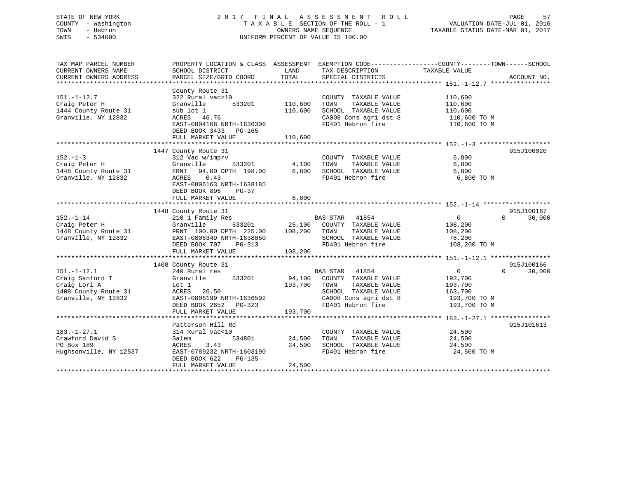## STATE OF NEW YORK 2 0 1 7 F I N A L A S S E S S M E N T R O L L PAGE 57 COUNTY - Washington T A X A B L E SECTION OF THE ROLL - 1 VALUATION DATE-JUL 01, 2016 TOWN - Hebron OWNERS NAME SEQUENCE TAXABLE STATUS DATE-MAR 01, 2017 SWIS - 534000 UNIFORM PERCENT OF VALUE IS 100.00

| TAX MAP PARCEL NUMBER<br>CURRENT OWNERS NAME<br>CURRENT OWNERS ADDRESS                              | SCHOOL DISTRICT<br>PARCEL SIZE/GRID COORD                                                                                                                            | LAND<br>TOTAL                 | TAX DESCRIPTION<br>SPECIAL DISTRICTS                                                                                                                   | PROPERTY LOCATION & CLASS ASSESSMENT EXEMPTION CODE----------------COUNTY-------TOWN------SCHOOL<br>TAXABLE VALUE | ACCOUNT NO.          |
|-----------------------------------------------------------------------------------------------------|----------------------------------------------------------------------------------------------------------------------------------------------------------------------|-------------------------------|--------------------------------------------------------------------------------------------------------------------------------------------------------|-------------------------------------------------------------------------------------------------------------------|----------------------|
|                                                                                                     |                                                                                                                                                                      |                               |                                                                                                                                                        |                                                                                                                   |                      |
| $151. - 1 - 12.7$<br>Craig Peter H<br>1444 County Route 31<br>Granville, NY 12832                   | County Route 31<br>322 Rural vac>10<br>533201<br>Granville<br>sub lot 1<br>ACRES 46.76<br>EAST-0804168 NRTH-1636306<br>DEED BOOK 3433 PG-165<br>FULL MARKET VALUE    | 110,600<br>110,600<br>110,600 | COUNTY TAXABLE VALUE<br>TAXABLE VALUE<br>TOWN<br>SCHOOL TAXABLE VALUE<br>CA008 Cons agri dst 8<br>FD401 Hebron fire                                    | 110,600<br>110,600<br>110,600<br>110,600 TO M<br>110,600 TO M                                                     |                      |
|                                                                                                     |                                                                                                                                                                      |                               |                                                                                                                                                        |                                                                                                                   |                      |
| $152. - 1 - 3$<br>Craig Peter H<br>1448 County Route 31<br>Granville, NY 12832                      | 1447 County Route 31<br>312 Vac w/imprv<br>Granville<br>533201<br>FRNT 94.00 DPTH 198.00<br>ACRES<br>0.43<br>EAST-0806163 NRTH-1638185<br>DEED BOOK 896<br>PG-37     | 4,100<br>6,800                | COUNTY TAXABLE VALUE<br>TAXABLE VALUE<br>TOWN<br>SCHOOL TAXABLE VALUE<br>FD401 Hebron fire                                                             | 6,800<br>6,800<br>6,800<br>6,800 TO M                                                                             | 915J100020           |
|                                                                                                     | FULL MARKET VALUE                                                                                                                                                    | 6,800                         |                                                                                                                                                        |                                                                                                                   |                      |
|                                                                                                     |                                                                                                                                                                      |                               |                                                                                                                                                        |                                                                                                                   |                      |
| $152. - 1 - 14$<br>Craig Peter H<br>1448 County Route 31<br>Granville, NY 12832                     | 1448 County Route 31<br>210 1 Family Res<br>533201<br>Granville<br>FRNT 100.00 DPTH 225.00<br>EAST-0806349 NRTH-1638050<br>DEED BOOK 707<br>PG-313                   | 25,100<br>108,200             | <b>BAS STAR</b><br>41854<br>COUNTY TAXABLE VALUE<br>TOWN<br>TAXABLE VALUE<br>SCHOOL TAXABLE VALUE<br>FD401 Hebron fire                                 | $\mathbf{0}$<br>$\Omega$<br>108,200<br>108,200<br>78,200<br>108,200 TO M                                          | 915J100167<br>30,000 |
|                                                                                                     | FULL MARKET VALUE                                                                                                                                                    | 108,200                       |                                                                                                                                                        |                                                                                                                   |                      |
| $151. - 1 - 12.1$<br>Craig Sanford T<br>Craig Lori A<br>1408 County Route 31<br>Granville, NY 12832 | 1408 County Route 31<br>240 Rural res<br>533201<br>Granville<br>Lot 1<br>ACRES 26.50<br>EAST-0806199 NRTH-1636592<br>DEED BOOK 2652<br>$PG-323$<br>FULL MARKET VALUE | 193,700<br>193,700            | <b>BAS STAR</b><br>41854<br>94,100 COUNTY TAXABLE VALUE<br>TAXABLE VALUE<br>TOWN<br>SCHOOL TAXABLE VALUE<br>CA008 Cons agri dst 8<br>FD401 Hebron fire | $\overline{0}$<br>$\Omega$<br>193,700<br>193,700<br>163,700<br>193,700 TO M<br>193,700 TO M                       | 915J100166<br>30,000 |
|                                                                                                     | Patterson Hill Rd                                                                                                                                                    |                               |                                                                                                                                                        |                                                                                                                   | 915J101613           |
| $183. - 1 - 27.1$<br>Crawford David S<br>PO Box 189<br>Hughsonville, NY 12537                       | 314 Rural vac<10<br>534801<br>Salem<br>ACRES<br>3.43<br>EAST-0789232 NRTH-1603190<br>DEED BOOK 622<br>PG-135<br>FULL MARKET VALUE                                    | 24,500<br>24,500<br>24,500    | COUNTY TAXABLE VALUE<br>TOWN<br>TAXABLE VALUE<br>SCHOOL TAXABLE VALUE<br>FD401 Hebron fire                                                             | 24,500<br>24,500<br>24,500<br>24,500 TO M                                                                         |                      |
|                                                                                                     |                                                                                                                                                                      |                               |                                                                                                                                                        |                                                                                                                   |                      |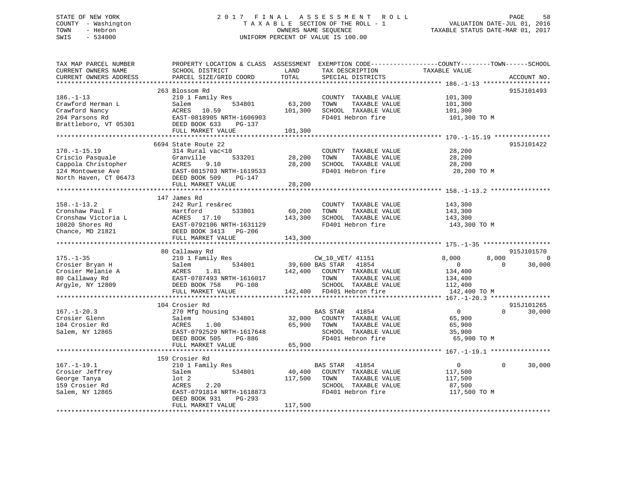## STATE OF NEW YORK 2 0 1 7 F I N A L A S S E S S M E N T R O L L PAGE 58 COUNTY - Washington T A X A B L E SECTION OF THE ROLL - 1 VALUATION DATE-JUL 01, 2016 TOWN - Hebron OWNERS NAME SEQUENCE TAXABLE STATUS DATE-MAR 01, 2017 SWIS - 534000 UNIFORM PERCENT OF VALUE IS 100.00

| TAX MAP PARCEL NUMBER<br>CURRENT OWNERS NAME<br>CURRENT OWNERS ADDRESS                                      | PROPERTY LOCATION & CLASS ASSESSMENT EXEMPTION CODE---------------COUNTY-------TOWN-----SCHOOL<br>SCHOOL DISTRICT<br>PARCEL SIZE/GRID COORD                       | LAND<br>TOTAL                | TAX DESCRIPTION<br>SPECIAL DISTRICTS                                                                                   | TAXABLE VALUE                                                                 | ACCOUNT NO.                            |
|-------------------------------------------------------------------------------------------------------------|-------------------------------------------------------------------------------------------------------------------------------------------------------------------|------------------------------|------------------------------------------------------------------------------------------------------------------------|-------------------------------------------------------------------------------|----------------------------------------|
|                                                                                                             |                                                                                                                                                                   |                              |                                                                                                                        |                                                                               |                                        |
| $186. - 1 - 13$<br>Crawford Herman L<br>Crawford Nancy<br>204 Parsons Rd                                    | 263 Blossom Rd<br>210 1 Family Res<br>534801<br>Salem<br>10.59<br>ACRES<br>EAST-0818905 NRTH-1606903                                                              | 63,200<br>101,300            | COUNTY TAXABLE VALUE<br>TOWN<br>TAXABLE VALUE<br>SCHOOL TAXABLE VALUE<br>FD401 Hebron fire                             | 101,300<br>101,300<br>101,300<br>101,300 TO M                                 | 915J101493                             |
| Brattleboro, VT 05301                                                                                       | DEED BOOK 633<br>PG-137<br>FULL MARKET VALUE                                                                                                                      | 101,300                      |                                                                                                                        |                                                                               |                                        |
|                                                                                                             |                                                                                                                                                                   |                              |                                                                                                                        |                                                                               |                                        |
| $170. - 1 - 15.19$<br>Criscio Pasquale<br>Cappola Christopher<br>124 Montowese Ave<br>North Haven, CT 06473 | 6694 State Route 22<br>314 Rural vac<10<br>533201<br>Granville<br>ACRES<br>9.10<br>EAST-0815703 NRTH-1619533<br>DEED BOOK 509<br>PG-147                           | 28,200<br>28,200             | COUNTY TAXABLE VALUE<br>TOWN<br>TAXABLE VALUE<br>SCHOOL TAXABLE VALUE<br>FD401 Hebron fire                             | 28,200<br>28,200<br>28,200<br>28,200 TO M                                     | 915J101422                             |
|                                                                                                             | FULL MARKET VALUE                                                                                                                                                 | 28,200                       |                                                                                                                        |                                                                               |                                        |
|                                                                                                             |                                                                                                                                                                   |                              |                                                                                                                        |                                                                               |                                        |
| $158. - 1 - 13.2$<br>Cronshaw Paul F<br>Cronshaw Victoria L<br>10820 Shores Rd<br>Chance, MD 21821          | 147 James Rd<br>242 Rurl res&rec<br>Hartford<br>533801<br>ACRES<br>17.10<br>EAST-0792106 NRTH-1631129<br>DEED BOOK 3413 PG-206<br>FULL MARKET VALUE               | 60,200<br>143,300<br>143,300 | COUNTY TAXABLE VALUE<br>TOWN<br>TAXABLE VALUE<br>SCHOOL TAXABLE VALUE<br>FD401 Hebron fire                             | 143,300<br>143,300<br>143,300<br>143,300 TO M                                 |                                        |
|                                                                                                             |                                                                                                                                                                   |                              |                                                                                                                        |                                                                               |                                        |
| $175. - 1 - 35$<br>Crosier Bryan H<br>Crosier Melanie A<br>80 Callaway Rd<br>Argyle, NY 12809               | 80 Callaway Rd<br>210 1 Family Res<br>534801<br>Salem<br>1.81<br>ACRES<br>EAST-0787493 NRTH-1616017<br>DEED BOOK 758<br>PG-108                                    | 39,600 BAS STAR<br>142,400   | CW_10_VET/ 41151<br>41854<br>COUNTY TAXABLE VALUE<br>TOWN<br>TAXABLE VALUE<br>SCHOOL TAXABLE VALUE                     | 8,000<br>8,000<br>$\Omega$<br>$\overline{0}$<br>134,400<br>134,400<br>112,400 | 915J101570<br>$\overline{0}$<br>30,000 |
|                                                                                                             | FULL MARKET VALUE                                                                                                                                                 |                              | 142,400 FD401 Hebron fire                                                                                              | 142,400 TO M                                                                  |                                        |
| $167. - 1 - 20.3$<br>Crosier Glenn<br>104 Crosier Rd<br>Salem, NY 12865                                     | 104 Crosier Rd<br>270 Mfg housing<br>534801<br>Salem<br>ACRES<br>1.00<br>EAST-0792529 NRTH-1617648<br>DEED BOOK 505<br>PG-886<br>FULL MARKET VALUE                | 32,000<br>65,900<br>65,900   | BAS STAR<br>41854<br>COUNTY TAXABLE VALUE<br>TOWN<br>TAXABLE VALUE<br>SCHOOL TAXABLE VALUE<br>FD401 Hebron fire        | $\overline{0}$<br>$\Omega$<br>65,900<br>65,900<br>35,900<br>65,900 TO M       | 915J101265<br>30,000                   |
|                                                                                                             |                                                                                                                                                                   |                              |                                                                                                                        |                                                                               |                                        |
| $167. - 1 - 19.1$<br>Crosier Jeffrey<br>George Tanya<br>159 Crosier Rd<br>Salem, NY 12865                   | 159 Crosier Rd<br>210 1 Family Res<br>534801<br>Salem<br>$1$ ot $2$<br>ACRES<br>2.20<br>EAST-0791814 NRTH-1618873<br>DEED BOOK 931<br>PG-293<br>FULL MARKET VALUE | 40,400<br>117,500<br>117,500 | <b>BAS STAR</b><br>41854<br>COUNTY TAXABLE VALUE<br>TOWN<br>TAXABLE VALUE<br>SCHOOL TAXABLE VALUE<br>FD401 Hebron fire | $\overline{0}$<br>$\Omega$<br>117,500<br>117,500<br>87,500<br>117,500 TO M    | 30,000                                 |
|                                                                                                             |                                                                                                                                                                   |                              |                                                                                                                        |                                                                               |                                        |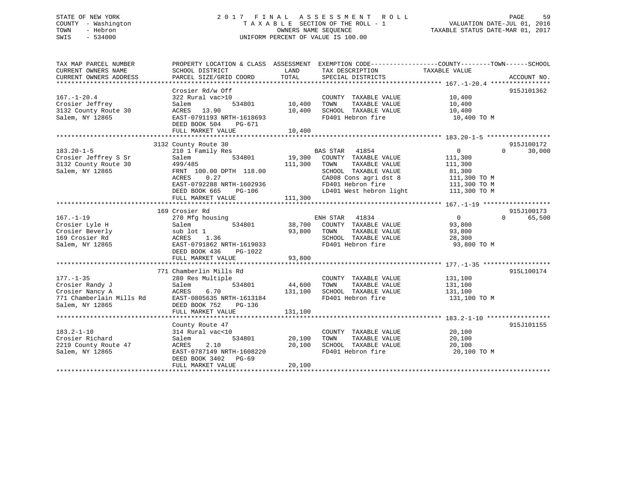## STATE OF NEW YORK 2 0 1 7 F I N A L A S S E S S M E N T R O L L PAGE 59 COUNTY - Washington T A X A B L E SECTION OF THE ROLL - 1 VALUATION DATE-JUL 01, 2016 TOWN - Hebron OWNERS NAME SEQUENCE TAXABLE STATUS DATE-MAR 01, 2017 SWIS - 534000 UNIFORM PERCENT OF VALUE IS 100.00

| TAX MAP PARCEL NUMBER<br>CURRENT OWNERS NAME<br>CURRENT OWNERS ADDRESS | SCHOOL DISTRICT<br>PARCEL SIZE/GRID COORD                                              | LAND<br>TOTAL     | TAX DESCRIPTION<br>SPECIAL DISTRICTS                                  | PROPERTY LOCATION & CLASS ASSESSMENT EXEMPTION CODE----------------COUNTY-------TOWN------SCHOOL<br>TAXABLE VALUE<br>ACCOUNT NO. |
|------------------------------------------------------------------------|----------------------------------------------------------------------------------------|-------------------|-----------------------------------------------------------------------|----------------------------------------------------------------------------------------------------------------------------------|
| $167. - 1 - 20.4$                                                      | Crosier Rd/w Off<br>322 Rural vac>10                                                   |                   | COUNTY TAXABLE VALUE                                                  | 915J101362<br>10,400                                                                                                             |
| Crosier Jeffrey<br>3132 County Route 30<br>Salem, NY 12865             | Salem<br>534801<br>ACRES 13.90<br>EAST-0791193 NRTH-1618693<br>DEED BOOK 504<br>PG-671 | 10,400<br>10,400  | TOWN<br>TAXABLE VALUE<br>SCHOOL TAXABLE VALUE<br>FD401 Hebron fire    | 10,400<br>10,400<br>10,400 TO M                                                                                                  |
|                                                                        | FULL MARKET VALUE                                                                      | 10,400            |                                                                       |                                                                                                                                  |
|                                                                        | 3132 County Route 30                                                                   |                   |                                                                       | 915J100172                                                                                                                       |
| $183.20 - 1 - 5$                                                       | 210 1 Family Res                                                                       |                   | BAS STAR 41854                                                        | $\mathbf 0$<br>$\Omega$<br>30,000                                                                                                |
| Crosier Jeffrey S Sr<br>3132 County Route 30<br>Salem, NY 12865        | Salem<br>534801<br>499/485<br>FRNT 100.00 DPTH 118.00                                  | 19,300<br>111,300 | COUNTY TAXABLE VALUE<br>TAXABLE VALUE<br>TOWN<br>SCHOOL TAXABLE VALUE | 111,300<br>111,300<br>81,300                                                                                                     |
|                                                                        | ACRES<br>0.27<br>EAST-0792288 NRTH-1602936                                             |                   | CA008 Cons agri dst 8<br>FD401 Hebron fire                            | 111,300 TO M<br>111,300 TO M                                                                                                     |
|                                                                        | DEED BOOK 665<br>PG-106<br>FULL MARKET VALUE                                           | 111,300           | LD401 West hebron light                                               | 111,300 TO M                                                                                                                     |
|                                                                        |                                                                                        |                   |                                                                       |                                                                                                                                  |
|                                                                        | 169 Crosier Rd                                                                         |                   |                                                                       | 915J100173                                                                                                                       |
| $167. - 1 - 19$                                                        | 270 Mfg housing                                                                        |                   | ENH STAR 41834                                                        | $\overline{0}$<br>$\Omega$<br>65,500                                                                                             |
| Crosier Lyle H                                                         | 534801<br>Salem                                                                        | 38,700            | COUNTY TAXABLE VALUE                                                  | 93,800                                                                                                                           |
| Crosier Beverly<br>169 Crosier Rd                                      | sub lot 1<br>ACRES<br>1.36                                                             | 93,800            | TOWN<br>TAXABLE VALUE<br>SCHOOL TAXABLE VALUE                         | 93,800<br>28,300                                                                                                                 |
| Salem, NY 12865                                                        | EAST-0791862 NRTH-1619033<br>DEED BOOK 436<br>PG-1022<br>FULL MARKET VALUE             | 93,800            | FD401 Hebron fire                                                     | 93,800 TO M                                                                                                                      |
|                                                                        |                                                                                        |                   |                                                                       |                                                                                                                                  |
| $177. - 1 - 35$                                                        | 771 Chamberlin Mills Rd<br>280 Res Multiple                                            |                   | COUNTY TAXABLE VALUE                                                  | 915L100174<br>131,100                                                                                                            |
| Crosier Randy J<br>Crosier Nancy A                                     | 534801<br>Salem<br>ACRES<br>6.70                                                       | 44,600<br>131,100 | TOWN<br>TAXABLE VALUE<br>SCHOOL TAXABLE VALUE                         | 131,100<br>131,100                                                                                                               |
| 771 Chamberlain Mills Rd<br>Salem, NY 12865                            | EAST-0805635 NRTH-1613184<br>DEED BOOK 752<br>$PG-136$<br>FULL MARKET VALUE            | 131,100           | FD401 Hebron fire                                                     | 131,100 TO M                                                                                                                     |
|                                                                        |                                                                                        |                   |                                                                       |                                                                                                                                  |
|                                                                        | County Route 47                                                                        |                   |                                                                       | 915J101155                                                                                                                       |
| $183.2 - 1 - 10$                                                       | 314 Rural vac<10                                                                       |                   | COUNTY TAXABLE VALUE                                                  | 20,100                                                                                                                           |
| Crosier Richard                                                        | Salem<br>534801<br>2.10                                                                | 20,100<br>20,100  | TOWN<br>TAXABLE VALUE<br>SCHOOL TAXABLE VALUE                         | 20,100                                                                                                                           |
| 2219 County Route 47<br>Salem, NY 12865                                | ACRES<br>EAST-0787149 NRTH-1608220<br>DEED BOOK 3402<br>PG-69<br>FULL MARKET VALUE     | 20,100            | FD401 Hebron fire                                                     | 20,100<br>20,100 TO M                                                                                                            |
|                                                                        |                                                                                        |                   |                                                                       |                                                                                                                                  |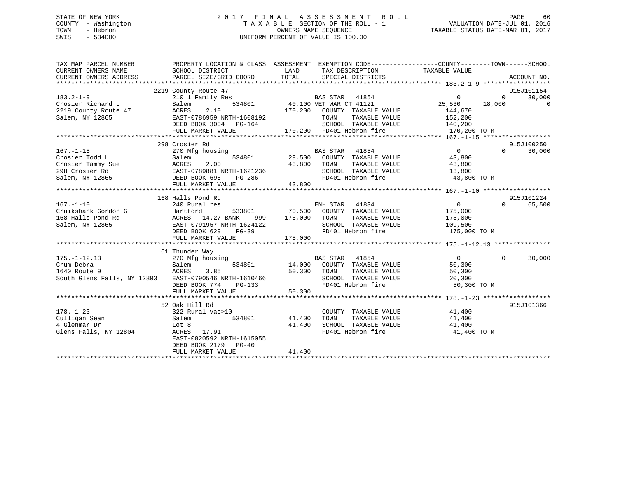## STATE OF NEW YORK 2 0 1 7 F I N A L A S S E S S M E N T R O L L PAGE 60 COUNTY - Washington T A X A B L E SECTION OF THE ROLL - 1 VALUATION DATE-JUL 01, 2016 TOWN - Hebron OWNERS NAME SEQUENCE TAXABLE STATUS DATE-MAR 01, 2017 SWIS - 534000 UNIFORM PERCENT OF VALUE IS 100.00

| TAX MAP PARCEL NUMBER<br>CURRENT OWNERS NAME<br>CURRENT OWNERS ADDRESS                                                                                         | SCHOOL DISTRICT<br>PARCEL SIZE/GRID COORD                                                                                   | LAND<br>TAX DESCRIPTION TAXABLE VALUE<br>TOTAL<br>SPECIAL DISTRICTS                                                                                                                    | PROPERTY LOCATION & CLASS ASSESSMENT EXEMPTION CODE----------------COUNTY-------TOWN------SCHOOL<br>ACCOUNT NO.                                      |
|----------------------------------------------------------------------------------------------------------------------------------------------------------------|-----------------------------------------------------------------------------------------------------------------------------|----------------------------------------------------------------------------------------------------------------------------------------------------------------------------------------|------------------------------------------------------------------------------------------------------------------------------------------------------|
| $183.2 - 1 - 9$<br>Crosier Richard L<br>2219 County Route 47<br>Salem, NY 12865<br>2.10<br>2.10<br>2.164<br>2.164<br>2.164<br>2.164<br>2.164<br>2.164<br>2.164 | 2219 County Route 47<br>210 1 Family Res<br>DEED BOOK 3004 PG-164<br>FULL MARKET VALUE                                      | BAS STAR 41854<br>534801 40,100 VET WAR CT 41121<br>170,200 COUNTY TAXABLE VALUE<br>TOWN<br>SCHOOL TAXABLE VALUE 140,200<br>170,200 FD401 Hebron fire                                  | 915J101154<br>$\overline{0}$<br>30,000<br>$0 \qquad \qquad$<br>$25,530$ 18,000<br>$\overline{0}$<br>144,670<br>TAXABLE VALUE 152,200<br>170,200 TO M |
| $167. - 1 - 15$<br>Crosier Todd L                                                                                                                              | 298 Crosier Rd<br>FULL MARKET VALUE                                                                                         | 270 Mfg housing<br>28.0 Mfg housing<br>29,500 COUNTY TAXABLE VALUE 43,800<br>TOWN TAXABLE VALUE $43,800$<br>SCHOOL TAXABLE VALUE $13,800$<br>FD401 Hebron fire $43,800$ TO M<br>43,800 | 915J100250<br>$\overline{0}$<br>30,000<br>$\Omega$                                                                                                   |
| $167. - 1 - 10$                                                                                                                                                | 168 Halls Pond Rd<br>240 Rural res<br>999<br>EAST-0791957 NRTH-1624122<br>DEED BOOK 629 PG-39<br>FULL MARKET VALUE          | ENH STAR 41834<br>533801 70,500 COUNTY TAXABLE VALUE<br>175,000 TOWN<br>SCHOOL TAXABLE VALUE 109,500<br>FD401 Hebron fire 175,000<br>FD401 Hebron fire<br>175,000                      | 915J101224<br>$\overline{0}$<br>65,500<br>$\Omega$<br>175,000<br>TAXABLE VALUE 175,000<br>175,000 TO M                                               |
| $175. - 1 - 12.13$<br>Crum Debra<br>Salem<br>ACRES<br>1640 Route 9<br>South Glens Falls, NY 12803 EAST-0790546 NRTH-1610466                                    | 61 Thunder Way<br>270 Mfg housing<br>Salem<br>3.85<br>DEED BOOK 774<br>$PG-133$<br>FULL MARKET VALUE                        | BAS STAR 41854<br>1ng<br>534801 14,000 COUNTY TAXABLE VALUE<br>- FOROUT TOWN TAXABLE VALUE<br>TAXABLE VALUE<br>50,300 TOWN<br>SCHOOL TAXABLE VALUE<br>FD401 Hebron fire<br>50,300      | $\overline{0}$<br>$\Omega$<br>30,000<br>50,300<br>50,300<br>20,300<br>50,300 TO M                                                                    |
| $178. - 1 - 23$<br>Salem<br>2 Lot 8<br>2 ACRES<br>Culligan Sean<br>4 Glenmar Dr<br>Glens Falls, NY 12804                                                       | 52 Oak Hill Rd<br>322 Rural vac>10<br>ACRES 17.91<br>EAST-0820592 NRTH-1615055<br>DEED BOOK 2179 PG-40<br>FULL MARKET VALUE | COUNTY TAXABLE VALUE 41,400<br>534801 41,400<br>TOWN<br>SCHOOL TAXABLE VALUE 41,400<br>FD401 Hebron fire 41,400<br>41,400<br>41,400                                                    | 915J101366<br>TAXABLE VALUE 41,400<br>41,400 TO M                                                                                                    |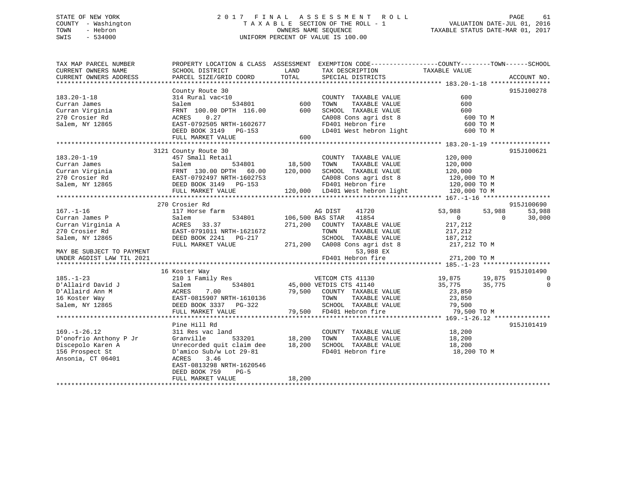## STATE OF NEW YORK 2 0 1 7 F I N A L A S S E S S M E N T R O L L PAGE 61 COUNTY - Washington T A X A B L E SECTION OF THE ROLL - 1 VALUATION DATE-JUL 01, 2016 TOWN - Hebron OWNERS NAME SEQUENCE TAXABLE STATUS DATE-MAR 01, 2017 SWIS - 534000 UNIFORM PERCENT OF VALUE IS 100.00

| TAX MAP PARCEL NUMBER<br>CURRENT OWNERS NAME              | PROPERTY LOCATION & CLASS ASSESSMENT EXEMPTION CODE---------------COUNTY-------TOWN-----SCHOOL<br>SCHOOL DISTRICT | LAND    | TAX DESCRIPTION                                   | TAXABLE VALUE                |                        |
|-----------------------------------------------------------|-------------------------------------------------------------------------------------------------------------------|---------|---------------------------------------------------|------------------------------|------------------------|
| CURRENT OWNERS ADDRESS                                    | PARCEL SIZE/GRID COORD                                                                                            | TOTAL   | SPECIAL DISTRICTS                                 |                              | ACCOUNT NO.            |
|                                                           | County Route 30                                                                                                   |         |                                                   |                              | 915J100278             |
| $183.20 - 1 - 18$                                         | 314 Rural vac<10                                                                                                  |         | COUNTY TAXABLE VALUE                              | 600                          |                        |
| Curran James                                              | Salem<br>534801                                                                                                   | 600     | TOWN<br>TAXABLE VALUE                             | 600                          |                        |
| Curran Virginia                                           | FRNT 100.00 DPTH 116.00                                                                                           | 600     | SCHOOL TAXABLE VALUE                              | 600                          |                        |
| 270 Crosier Rd                                            | 0.27<br>ACRES                                                                                                     |         | CA008 Cons agri dst 8                             | 600 TO M                     |                        |
| Salem, NY 12865                                           | EAST-0792505 NRTH-1602677                                                                                         |         | FD401 Hebron fire                                 | 600 TO M                     |                        |
|                                                           | DEED BOOK 3149<br>PG-153                                                                                          |         | LD401 West hebron light                           | 600 TO M                     |                        |
|                                                           | FULL MARKET VALUE                                                                                                 | 600     |                                                   |                              |                        |
|                                                           |                                                                                                                   |         |                                                   |                              |                        |
|                                                           | 3121 County Route 30                                                                                              |         |                                                   |                              | 915J100621             |
| $183.20 - 1 - 19$                                         | 457 Small Retail                                                                                                  |         | COUNTY TAXABLE VALUE                              | 120,000                      |                        |
| Curran James                                              | Salem<br>534801                                                                                                   | 18,500  | TOWN<br>TAXABLE VALUE                             | 120,000                      |                        |
| Curran Virginia                                           | FRNT 130.00 DPTH 60.00                                                                                            | 120,000 | SCHOOL TAXABLE VALUE                              | 120,000                      |                        |
| 270 Crosier Rd                                            | EAST-0792497 NRTH-1602753                                                                                         |         | CA008 Cons agri dst 8                             | 120,000 ТО М<br>120,000 ТО М |                        |
| Salem, NY 12865                                           | DEED BOOK 3149 PG-153                                                                                             |         | FD401 Hebron fire                                 |                              |                        |
|                                                           | FULL MARKET VALUE                                                                                                 |         | 120,000 LD401 West hebron light                   | 120,000 TO M                 |                        |
|                                                           |                                                                                                                   |         |                                                   |                              |                        |
|                                                           | 270 Crosier Rd                                                                                                    |         |                                                   |                              | 915J100690             |
| $167. - 1 - 16$                                           | 117 Horse farm                                                                                                    |         | 41720<br>AG DIST                                  | 53,988                       | 53,988<br>53,988       |
| Curran James P                                            | Salem<br>534801                                                                                                   |         | 106,500 BAS STAR<br>41854                         | $0 \qquad \qquad$            | $\mathbf{0}$<br>30,000 |
| Curran Virginia A<br>Curran Virginia A<br>200 Creation Rd | ACRES<br>33.37                                                                                                    | 271,200 | COUNTY TAXABLE VALUE                              | 217,212                      |                        |
|                                                           | EAST-0791011 NRTH-1621672                                                                                         |         | TAXABLE VALUE<br>TOWN                             | 217,212                      |                        |
| Salem, NY 12865                                           | DEED BOOK 2241 PG-217                                                                                             |         | SCHOOL TAXABLE VALUE                              | 187,212<br>217,212 TO M      |                        |
|                                                           | FULL MARKET VALUE                                                                                                 |         | 271,200 CA008 Cons agri dst 8                     |                              |                        |
| MAY BE SUBJECT TO PAYMENT<br>UNDER AGDIST LAW TIL 2021    |                                                                                                                   |         | 53,988 EX<br>FD401 Hebron fire                    | 271,200 TO M                 |                        |
|                                                           |                                                                                                                   |         |                                                   |                              |                        |
|                                                           | 16 Koster Way                                                                                                     |         |                                                   |                              | 915J101490             |
| $185. - 1 - 23$                                           | 210 1 Family Res                                                                                                  |         | VETCOM CTS 41130                                  | 19,875                       | 19,875<br>$\mathbf 0$  |
| D'Allaird David J                                         | Salem<br>534801                                                                                                   |         | 45,000 VETDIS CTS 41140                           | 35,775                       | $\mathbf 0$<br>35,775  |
| D'Allaird Ann M                                           | ACRES<br>7.00                                                                                                     | 79,500  | COUNTY TAXABLE VALUE                              | 23,850                       |                        |
| 16 Koster Way                                             | EAST-0815907 NRTH-1610136                                                                                         |         | TOWN<br>TAXABLE VALUE                             | 23,850                       |                        |
| Salem, NY 12865                                           | DEED BOOK 3337 PG-322                                                                                             |         |                                                   | 79,500                       |                        |
|                                                           | FULL MARKET VALUE                                                                                                 | 79,500  | TOWN<br>SCHOOL TAXABLE VALUE<br>FD401 Hebron fire | 79,500 TO M                  |                        |
|                                                           |                                                                                                                   |         |                                                   |                              |                        |
|                                                           | Pine Hill Rd                                                                                                      |         |                                                   |                              | 915J101419             |
| $169. - 1 - 26.12$                                        | 311 Res vac land                                                                                                  |         | COUNTY TAXABLE VALUE                              | 18,200                       |                        |
| D'onofrio Anthony P Jr                                    | 533201<br>Granville                                                                                               | 18,200  | TOWN<br>TAXABLE VALUE                             | 18,200                       |                        |
| Discepolo Karen A                                         | Unrecorded quit claim dee 18,200                                                                                  |         | SCHOOL TAXABLE VALUE                              | 18,200                       |                        |
| 156 Prospect St                                           | D'amico Sub/w Lot 29-81                                                                                           |         | FD401 Hebron fire                                 | 18,200 TO M                  |                        |
| Ansonia, CT 06401                                         | ACRES<br>3.46                                                                                                     |         |                                                   |                              |                        |
|                                                           | EAST-0813298 NRTH-1620546                                                                                         |         |                                                   |                              |                        |
|                                                           | DEED BOOK 759<br>$PG-5$                                                                                           |         |                                                   |                              |                        |
|                                                           | FULL MARKET VALUE                                                                                                 | 18,200  |                                                   |                              |                        |
|                                                           |                                                                                                                   |         |                                                   |                              |                        |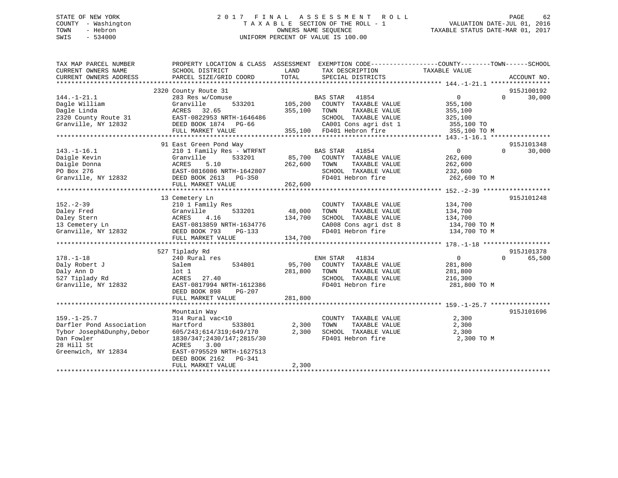## STATE OF NEW YORK 2 0 1 7 F I N A L A S S E S S M E N T R O L L PAGE 62 COUNTY - Washington T A X A B L E SECTION OF THE ROLL - 1 VALUATION DATE-JUL 01, 2016 TOWN - Hebron OWNERS NAME SEQUENCE TAXABLE STATUS DATE-MAR 01, 2017 SWIS - 534000 UNIFORM PERCENT OF VALUE IS 100.00

| TAX MAP PARCEL NUMBER<br>CURRENT OWNERS NAME | PROPERTY LOCATION & CLASS ASSESSMENT<br>SCHOOL DISTRICT | LAND              | EXEMPTION CODE-----------------COUNTY-------TOWN------SCHOOL<br>TAX DESCRIPTION | TAXABLE VALUE                                        |                    |
|----------------------------------------------|---------------------------------------------------------|-------------------|---------------------------------------------------------------------------------|------------------------------------------------------|--------------------|
| CURRENT OWNERS ADDRESS                       | PARCEL SIZE/GRID COORD                                  | TOTAL             | SPECIAL DISTRICTS                                                               |                                                      | ACCOUNT NO.        |
| *************************                    |                                                         |                   |                                                                                 |                                                      |                    |
|                                              | 2320 County Route 31                                    |                   |                                                                                 |                                                      | 915J100192         |
| $144. - 1 - 21.1$                            | 283 Res w/Comuse                                        |                   | <b>BAS STAR</b><br>41854                                                        | $\overline{0}$                                       | 30,000<br>$\Omega$ |
| Dagle William                                | Granville<br>533201                                     | 105,200           | COUNTY TAXABLE VALUE                                                            | 355,100                                              |                    |
| Dagle Linda                                  | ACRES 32.65                                             | 355,100           | TOWN<br>TAXABLE VALUE                                                           | 355,100                                              |                    |
| 2320 County Route 31                         | EAST-0822953 NRTH-1646486                               |                   | SCHOOL TAXABLE VALUE                                                            | 325,100                                              |                    |
| Granville, NY 12832                          | DEED BOOK 1874 PG-66                                    |                   | CA001 Cons agri dst 1                                                           | 355,100 TO                                           |                    |
|                                              | FULL MARKET VALUE                                       |                   | 355,100 FD401 Hebron fire                                                       | 355,100 TO M                                         |                    |
|                                              |                                                         |                   |                                                                                 |                                                      |                    |
|                                              | 91 East Green Pond Way                                  |                   |                                                                                 |                                                      | 915J101348         |
| $143. - 1 - 16.1$                            | 210 1 Family Res - WTRFNT                               |                   | <b>BAS STAR</b><br>41854                                                        | $\overline{0}$                                       | 30,000<br>$\Omega$ |
|                                              |                                                         |                   |                                                                                 |                                                      |                    |
| Daigle Kevin                                 | Granville<br>533201<br>ACRES<br>5.10                    | 85,700<br>262,600 | COUNTY TAXABLE VALUE<br>TAXABLE VALUE                                           | 262,600                                              |                    |
| Daigle Donna                                 |                                                         |                   | TOWN                                                                            | 262,600                                              |                    |
| PO Box 276                                   | EAST-0816086 NRTH-1642807                               |                   | SCHOOL TAXABLE VALUE                                                            | 232,600                                              |                    |
| Granville, NY 12832                          | DEED BOOK 2613 PG-350                                   |                   | FD401 Hebron fire                                                               | 262,600 TO M                                         |                    |
|                                              | FULL MARKET VALUE                                       | 262,600           |                                                                                 |                                                      |                    |
|                                              | *********************************                       | **************    |                                                                                 | ********************** 152.-2-39 ******************* |                    |
|                                              | 13 Cemetery Ln                                          |                   |                                                                                 |                                                      | 915J101248         |
| $152 - 2 - 39$                               | 210 1 Family Res                                        |                   | COUNTY TAXABLE VALUE                                                            | 134,700                                              |                    |
| Daley Fred                                   | 533201<br>Granville                                     | 48,000            | TAXABLE VALUE<br>TOWN                                                           | 134,700                                              |                    |
| Daley Stern                                  | ACRES<br>4.16                                           | 134,700           | SCHOOL TAXABLE VALUE                                                            | 134,700                                              |                    |
| 13 Cemetery Ln                               | EAST-0813859 NRTH-1634776                               |                   | CA008 Cons agri dst 8                                                           | 134,700 TO M                                         |                    |
| Granville, NY 12832                          | DEED BOOK 793<br>PG-133                                 |                   | FD401 Hebron fire                                                               | 134,700 TO M                                         |                    |
|                                              | FULL MARKET VALUE                                       | 134,700           |                                                                                 |                                                      |                    |
|                                              |                                                         |                   |                                                                                 |                                                      |                    |
|                                              | 527 Tiplady Rd                                          |                   |                                                                                 |                                                      | 915J101378         |
| $178. - 1 - 18$                              | 240 Rural res                                           |                   | ENH STAR<br>41834                                                               | $\overline{0}$                                       | $\Omega$<br>65,500 |
| Daly Robert J                                | Salem<br>534801                                         | 95,700            | COUNTY TAXABLE VALUE                                                            | 281,800                                              |                    |
| Daly Ann D                                   | $1$ ot $1$                                              | 281,800           | TAXABLE VALUE<br>TOWN                                                           | 281,800                                              |                    |
| 527 Tiplady Rd                               | 27.40<br>ACRES                                          |                   | SCHOOL TAXABLE VALUE                                                            | 216,300                                              |                    |
| Granville, NY 12832                          | EAST-0817994 NRTH-1612386                               |                   | FD401 Hebron fire                                                               | 281,800 TO M                                         |                    |
|                                              | DEED BOOK 898<br>PG-207                                 |                   |                                                                                 |                                                      |                    |
|                                              | FULL MARKET VALUE                                       | 281,800           |                                                                                 |                                                      |                    |
|                                              |                                                         |                   |                                                                                 |                                                      |                    |
|                                              | Mountain Way                                            |                   |                                                                                 |                                                      | 915J101696         |
| $159. - 1 - 25.7$                            | 314 Rural vac<10                                        |                   | COUNTY TAXABLE VALUE                                                            | 2,300                                                |                    |
| Darfler Pond Association                     | Hartford<br>533801                                      | 2,300             | TOWN<br>TAXABLE VALUE                                                           | 2,300                                                |                    |
| Tybor Joseph&Dunphy, Debor                   | 605/243;614/319;649/170                                 | 2,300             | SCHOOL TAXABLE VALUE                                                            | 2,300                                                |                    |
| Dan Fowler                                   | 1830/347;2430/147;2815/30                               |                   | FD401 Hebron fire                                                               | 2,300 TO M                                           |                    |
| 28 Hill St                                   | ACRES<br>3.00                                           |                   |                                                                                 |                                                      |                    |
| Greenwich, NY 12834                          | EAST-0795529 NRTH-1627513                               |                   |                                                                                 |                                                      |                    |
|                                              | DEED BOOK 2162 PG-341                                   |                   |                                                                                 |                                                      |                    |
|                                              |                                                         | 2,300             |                                                                                 |                                                      |                    |
|                                              | FULL MARKET VALUE                                       |                   |                                                                                 |                                                      |                    |
|                                              |                                                         |                   |                                                                                 |                                                      |                    |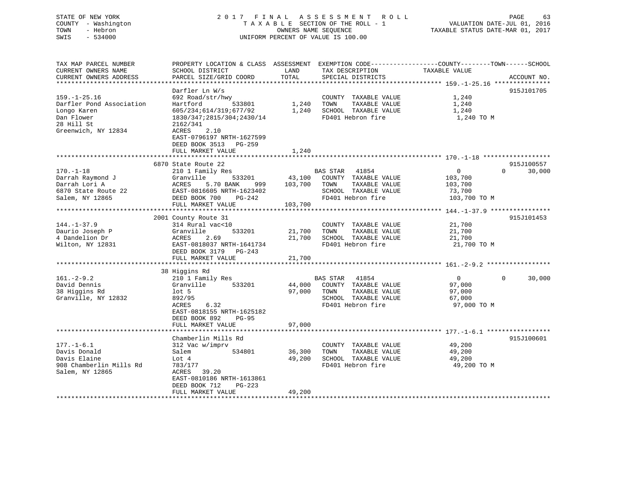## STATE OF NEW YORK 2 0 1 7 F I N A L A S S E S S M E N T R O L L PAGE 63 COUNTY - Washington T A X A B L E SECTION OF THE ROLL - 1 VALUATION DATE-JUL 01, 2016 TOWN - Hebron OWNERS NAME SEQUENCE TAXABLE STATUS DATE-MAR 01, 2017 SWIS - 534000 UNIFORM PERCENT OF VALUE IS 100.00

| TAX MAP PARCEL NUMBER    | PROPERTY LOCATION & CLASS ASSESSMENT EXEMPTION CODE----------------COUNTY-------TOWN------SCHOOL |            |                       |                |                    |
|--------------------------|--------------------------------------------------------------------------------------------------|------------|-----------------------|----------------|--------------------|
| CURRENT OWNERS NAME      | SCHOOL DISTRICT                                                                                  | LAND       | TAX DESCRIPTION       | TAXABLE VALUE  |                    |
| CURRENT OWNERS ADDRESS   | PARCEL SIZE/GRID COORD                                                                           | TOTAL      | SPECIAL DISTRICTS     |                | ACCOUNT NO.        |
|                          |                                                                                                  |            |                       |                |                    |
|                          | Darfler Ln W/s                                                                                   |            |                       |                | 915J101705         |
| $159. - 1 - 25.16$       | 692 Road/str/hwy                                                                                 |            | COUNTY TAXABLE VALUE  | 1,240          |                    |
| Darfler Pond Association | Hartford<br>533801                                                                               | 1,240      | TAXABLE VALUE<br>TOWN | 1,240          |                    |
| Longo Karen              | 605/234;614/319;677/92                                                                           | 1,240      | SCHOOL TAXABLE VALUE  | 1,240          |                    |
| Dan Flower               | 1830/347;2815/304;2430/14                                                                        |            | FD401 Hebron fire     | 1,240 TO M     |                    |
| 28 Hill St               | 2162/341                                                                                         |            |                       |                |                    |
| Greenwich, NY 12834      | 2.10<br>ACRES                                                                                    |            |                       |                |                    |
|                          | EAST-0796197 NRTH-1627599                                                                        |            |                       |                |                    |
|                          | DEED BOOK 3513<br>PG-259                                                                         |            |                       |                |                    |
|                          | FULL MARKET VALUE                                                                                | 1,240      |                       |                |                    |
|                          |                                                                                                  | ********** |                       |                |                    |
|                          | 6870 State Route 22                                                                              |            |                       |                | 915J100557         |
| $170. - 1 - 18$          | 210 1 Family Res                                                                                 |            | BAS STAR<br>41854     | $\mathbf{0}$   | 30,000<br>$\Omega$ |
| Darrah Raymond J         | Granville<br>533201                                                                              | 43,100     | COUNTY TAXABLE VALUE  | 103,700        |                    |
| Darrah Lori A            | ACRES<br>5.70 BANK<br>999                                                                        | 103,700    | TAXABLE VALUE<br>TOWN | 103,700        |                    |
| 6870 State Route 22      | EAST-0816605 NRTH-1623402                                                                        |            | SCHOOL TAXABLE VALUE  | 73,700         |                    |
| Salem, NY 12865          | DEED BOOK 700<br>$PG-242$                                                                        |            | FD401 Hebron fire     | 103,700 TO M   |                    |
|                          | FULL MARKET VALUE<br>*****************************                                               | 103,700    |                       |                |                    |
|                          |                                                                                                  |            |                       |                |                    |
| $144. - 1 - 37.9$        | 2001 County Route 31<br>314 Rural vac<10                                                         |            | COUNTY TAXABLE VALUE  | 21,700         | 915J101453         |
| Daurio Joseph P          | Granville<br>533201                                                                              | 21,700     | TAXABLE VALUE<br>TOWN | 21,700         |                    |
| 4 Dandelion Dr           | 2.69<br>ACRES                                                                                    | 21,700     | SCHOOL TAXABLE VALUE  | 21,700         |                    |
| Wilton, NY 12831         | EAST-0818037 NRTH-1641734                                                                        |            | FD401 Hebron fire     | 21,700 TO M    |                    |
|                          | DEED BOOK 3179 PG-243                                                                            |            |                       |                |                    |
|                          | FULL MARKET VALUE                                                                                | 21,700     |                       |                |                    |
|                          |                                                                                                  |            |                       |                |                    |
|                          | 38 Higgins Rd                                                                                    |            |                       |                |                    |
| $161. - 2 - 9.2$         | 210 1 Family Res                                                                                 |            | BAS STAR 41854        | $\overline{0}$ | $\Omega$<br>30,000 |
| David Dennis             | Granville<br>533201                                                                              | 44,000     | COUNTY TAXABLE VALUE  | 97,000         |                    |
| 38 Higgins Rd            | $1$ ot 5                                                                                         | 97,000     | TOWN<br>TAXABLE VALUE | 97,000         |                    |
| Granville, NY 12832      | 892/95                                                                                           |            | SCHOOL TAXABLE VALUE  | 67,000         |                    |
|                          | 6.32<br>ACRES                                                                                    |            | FD401 Hebron fire     | 97,000 TO M    |                    |
|                          | EAST-0818155 NRTH-1625182                                                                        |            |                       |                |                    |
|                          | DEED BOOK 892<br>$PG-95$                                                                         |            |                       |                |                    |
|                          | FULL MARKET VALUE                                                                                | 97,000     |                       |                |                    |
|                          | ********************************                                                                 |            |                       |                |                    |
|                          | Chamberlin Mills Rd                                                                              |            |                       |                | 915J100601         |
| $177. - 1 - 6.1$         | 312 Vac w/imprv                                                                                  |            | COUNTY TAXABLE VALUE  | 49,200         |                    |
| Davis Donald             | 534801<br>Salem                                                                                  | 36,300     | TOWN<br>TAXABLE VALUE | 49,200         |                    |
| Davis Elaine             | Lot 4                                                                                            | 49,200     | SCHOOL TAXABLE VALUE  | 49,200         |                    |
| 908 Chamberlin Mills Rd  | 783/177                                                                                          |            | FD401 Hebron fire     | 49,200 TO M    |                    |
| Salem, NY 12865          | ACRES<br>39.20                                                                                   |            |                       |                |                    |
|                          | EAST-0810186 NRTH-1613861                                                                        |            |                       |                |                    |
|                          | DEED BOOK 712<br>$PG-223$                                                                        |            |                       |                |                    |
|                          | FULL MARKET VALUE                                                                                | 49,200     |                       |                |                    |
|                          |                                                                                                  |            |                       |                |                    |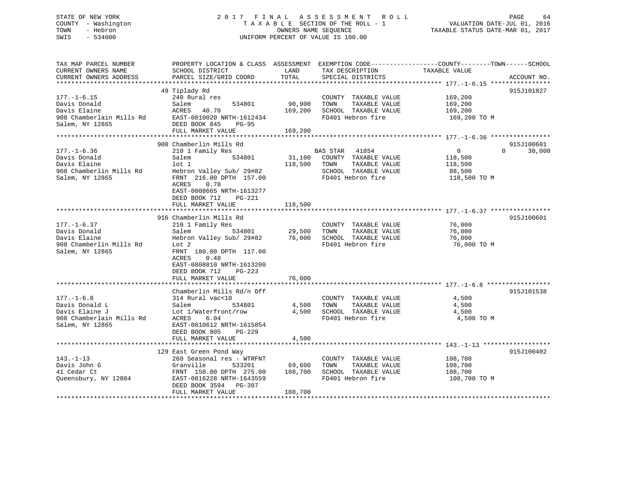## STATE OF NEW YORK 2 0 1 7 F I N A L A S S E S S M E N T R O L L PAGE 64 COUNTY - Washington T A X A B L E SECTION OF THE ROLL - 1 VALUATION DATE-JUL 01, 2016 TOWN - Hebron OWNERS NAME SEQUENCE TAXABLE STATUS DATE-MAR 01, 2017 SWIS - 534000 UNIFORM PERCENT OF VALUE IS 100.00

| TAX MAP PARCEL NUMBER<br>CURRENT OWNERS NAME<br>CURRENT OWNERS ADDRESS                              | PROPERTY LOCATION & CLASS ASSESSMENT EXEMPTION CODE----------------COUNTY-------TOWN------SCHOOL<br>SCHOOL DISTRICT<br>PARCEL SIZE/GRID COORD                                                                                  | LAND<br>TOTAL                      | TAX DESCRIPTION<br>SPECIAL DISTRICTS                                                                            | TAXABLE VALUE                                                  | ACCOUNT NO.                      |
|-----------------------------------------------------------------------------------------------------|--------------------------------------------------------------------------------------------------------------------------------------------------------------------------------------------------------------------------------|------------------------------------|-----------------------------------------------------------------------------------------------------------------|----------------------------------------------------------------|----------------------------------|
|                                                                                                     |                                                                                                                                                                                                                                |                                    |                                                                                                                 |                                                                |                                  |
| $177. - 1 - 6.15$<br>Davis Donald<br>Davis Elaine<br>908 Chamberlain Mills Rd<br>Salem, NY 12865    | 49 Tiplady Rd<br>240 Rural res<br>534801<br>Salem<br>ACRES<br>40.70<br>EAST-0810020 NRTH-1612434<br>DEED BOOK 845<br>$PG-95$                                                                                                   | 90,900<br>169,200                  | COUNTY TAXABLE VALUE<br>TOWN<br>TAXABLE VALUE<br>SCHOOL TAXABLE VALUE<br>FD401 Hebron fire                      | 169,200<br>169,200<br>169,200<br>169,200 TO M                  | 915J101827                       |
|                                                                                                     | FULL MARKET VALUE<br>**********************                                                                                                                                                                                    | 169,200<br>* * * * * * * * * * * * |                                                                                                                 | ********************** 177.-1-6.36 *****************           |                                  |
| $177. - 1 - 6.36$<br>Davis Donald<br>Davis Elaine<br>908 Chamberlin Mills Rd<br>Salem, NY 12865     | 908 Chamberlin Mills Rd<br>210 1 Family Res<br>Salem<br>534801<br>$1$ ot $1$<br>Hebron Valley Sub/ 29#82<br>FRNT 216.00 DPTH 157.00<br>0.78<br>ACRES<br>EAST-0808665 NRTH-1613277<br>DEED BOOK 712<br>$PG-221$                 | 31,100<br>118,500                  | BAS STAR<br>41854<br>COUNTY TAXABLE VALUE<br>TOWN<br>TAXABLE VALUE<br>SCHOOL TAXABLE VALUE<br>FD401 Hebron fire | $\overline{0}$<br>118,500<br>118,500<br>88,500<br>118,500 TO M | 915J100601<br>30,000<br>$\Omega$ |
|                                                                                                     | FULL MARKET VALUE                                                                                                                                                                                                              | 118,500                            |                                                                                                                 |                                                                |                                  |
|                                                                                                     | ***********************                                                                                                                                                                                                        | ***********                        |                                                                                                                 | ******************************** 177. -1-6.37 **************** |                                  |
| $177. - 1 - 6.37$<br>Davis Donald<br>Davis Elaine<br>908 Chamberlin Mills Rd<br>Salem, NY 12865     | 916 Chamberlin Mills Rd<br>210 1 Family Res<br>534801<br>Salem<br>Hebron Valley Sub/ 29#82<br>Lot 2<br>FRNT 180.00 DPTH 117.00<br>0.48<br>ACRES<br>EAST-0808810 NRTH-1613200<br>DEED BOOK 712<br>$PG-223$<br>FULL MARKET VALUE | 29,500<br>76,000<br>76,000         | COUNTY TAXABLE VALUE<br>TOWN<br>TAXABLE VALUE<br>SCHOOL TAXABLE VALUE<br>FD401 Hebron fire                      | 76,000<br>76,000<br>76,000<br>76,000 TO M                      | 915J100601                       |
|                                                                                                     | ********************                                                                                                                                                                                                           | **********                         |                                                                                                                 | ******************************* 177. -1-6.8 **************     |                                  |
| $177. - 1 - 6.8$<br>Davis Donald L<br>Davis Elaine J<br>908 Chamberlain Mills Rd<br>Salem, NY 12865 | Chamberlin Mills Rd/n Off<br>314 Rural vac<10<br>534801<br>Salem<br>Lot 1/Waterfront/row<br>6.04<br>ACRES<br>EAST-0810612 NRTH-1615854<br>DEED BOOK 805<br>PG-229                                                              | 4,500<br>4,500                     | COUNTY TAXABLE VALUE<br>TAXABLE VALUE<br>TOWN<br>SCHOOL TAXABLE VALUE<br>FD401 Hebron fire                      | 4,500<br>4,500<br>4,500<br>4,500 TO M                          | 915J101538                       |
|                                                                                                     | FULL MARKET VALUE                                                                                                                                                                                                              | 4,500                              |                                                                                                                 |                                                                |                                  |
| $143. - 1 - 13$<br>Davis John G<br>41 Cedar Ct<br>Queensbury, NY 12804                              | 129 East Green Pond Way<br>260 Seasonal res - WTRFNT<br>Granville<br>533201<br>FRNT 150.00 DPTH 275.00<br>EAST-0816228 NRTH-1643559<br>DEED BOOK 3594 PG-307                                                                   | 69,600<br>108,700                  | COUNTY TAXABLE VALUE<br>TOWN<br>TAXABLE VALUE<br>SCHOOL TAXABLE VALUE<br>FD401 Hebron fire                      | 108,700<br>108,700<br>108,700<br>108,700 TO M                  | 915J100402                       |
|                                                                                                     | FULL MARKET VALUE                                                                                                                                                                                                              | 108,700                            |                                                                                                                 |                                                                |                                  |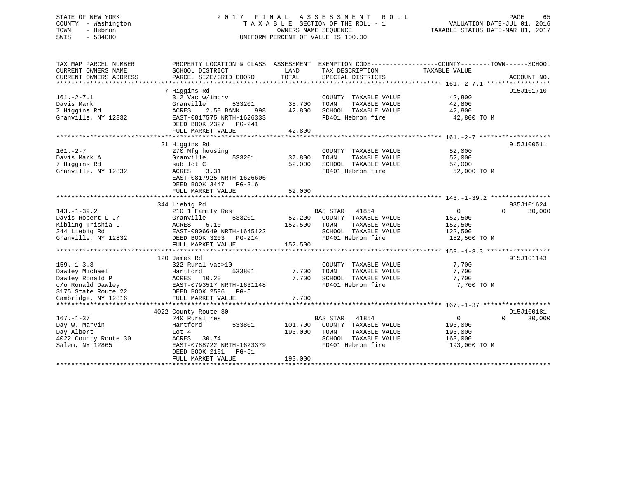## STATE OF NEW YORK 2 0 1 7 F I N A L A S S E S S M E N T R O L L PAGE 65 COUNTY - Washington T A X A B L E SECTION OF THE ROLL - 1 VALUATION DATE-JUL 01, 2016 TOWN - Hebron OWNERS NAME SEQUENCE TAXABLE STATUS DATE-MAR 01, 2017 SWIS - 534000 UNIFORM PERCENT OF VALUE IS 100.00

| TAX MAP PARCEL NUMBER<br>CURRENT OWNERS NAME<br>CURRENT OWNERS ADDRESS                                                   | PROPERTY LOCATION & CLASS ASSESSMENT<br>SCHOOL DISTRICT<br>PARCEL SIZE/GRID COORD                                                                   | LAND<br>TOTAL                 | TAX DESCRIPTION<br>SPECIAL DISTRICTS                                                                                   | EXEMPTION CODE----------------COUNTY-------TOWN------SCHOOL<br>TAXABLE VALUE | ACCOUNT NO.          |
|--------------------------------------------------------------------------------------------------------------------------|-----------------------------------------------------------------------------------------------------------------------------------------------------|-------------------------------|------------------------------------------------------------------------------------------------------------------------|------------------------------------------------------------------------------|----------------------|
| $161. - 2 - 7.1$<br>Davis Mark<br>7 Higgins Rd                                                                           | 7 Higgins Rd<br>312 Vac w/imprv<br>Granville<br>533201<br>2.50 BANK<br>ACRES<br>998                                                                 | 35,700<br>42,800              | COUNTY TAXABLE VALUE<br>TOWN<br>TAXABLE VALUE<br>SCHOOL TAXABLE VALUE                                                  | 42,800<br>42,800<br>42,800                                                   | 915J101710           |
| Granville, NY 12832                                                                                                      | EAST-0817575 NRTH-1626333<br>DEED BOOK 2327<br>PG-241<br>FULL MARKET VALUE                                                                          | 42,800                        | FD401 Hebron fire                                                                                                      | 42,800 TO M                                                                  |                      |
|                                                                                                                          |                                                                                                                                                     |                               |                                                                                                                        |                                                                              |                      |
| $161. - 2 - 7$<br>Davis Mark A<br>7 Higgins Rd                                                                           | 21 Higgins Rd<br>270 Mfg housing<br>Granville<br>533201<br>sub lot C                                                                                | 37,800<br>52,000              | COUNTY TAXABLE VALUE<br>TOWN<br>TAXABLE VALUE<br>SCHOOL TAXABLE VALUE<br>FD401 Hebron fire                             | 52,000<br>52,000<br>52,000                                                   | 915J100511           |
| Granville, NY 12832                                                                                                      | ACRES<br>3.31<br>EAST-0817925 NRTH-1626606<br>DEED BOOK 3447<br>PG-316<br>FULL MARKET VALUE                                                         | 52,000                        |                                                                                                                        | 52,000 TO M                                                                  |                      |
|                                                                                                                          |                                                                                                                                                     |                               |                                                                                                                        |                                                                              |                      |
| $143. - 1 - 39.2$<br>Davis Robert L Jr<br>Kibling Trishia L<br>344 Liebig Rd<br>Granville, NY 12832                      | 344 Liebig Rd<br>210 1 Family Res<br>Granville<br>533201<br>ACRES<br>5.10<br>EAST-0806649 NRTH-1645122<br>DEED BOOK 3203 PG-214                     | 52,200<br>152,500             | <b>BAS STAR</b><br>41854<br>COUNTY TAXABLE VALUE<br>TOWN<br>TAXABLE VALUE<br>SCHOOL TAXABLE VALUE<br>FD401 Hebron fire | $\overline{0}$<br>$\Omega$<br>152,500<br>152,500<br>122,500<br>152,500 TO M  | 935J101624<br>30,000 |
|                                                                                                                          | FULL MARKET VALUE                                                                                                                                   | 152,500                       |                                                                                                                        |                                                                              |                      |
|                                                                                                                          |                                                                                                                                                     |                               |                                                                                                                        |                                                                              |                      |
| $159. - 1 - 3.3$<br>Dawley Michael<br>Dawley Ronald P<br>c/o Ronald Dawley<br>3175 State Route 22<br>Cambridge, NY 12816 | 120 James Rd<br>322 Rural vac>10<br>Hartford<br>533801<br>ACRES 10.20<br>EAST-0793517 NRTH-1631148<br>DEED BOOK 2596<br>$PG-5$<br>FULL MARKET VALUE | 7,700<br>7,700<br>7,700       | COUNTY TAXABLE VALUE<br>TOWN<br>TAXABLE VALUE<br>SCHOOL TAXABLE VALUE<br>FD401 Hebron fire                             | 7,700<br>7,700<br>7,700<br>7,700 TO M                                        | 915J101143           |
|                                                                                                                          |                                                                                                                                                     |                               |                                                                                                                        |                                                                              |                      |
|                                                                                                                          | 4022 County Route 30                                                                                                                                |                               |                                                                                                                        |                                                                              | 915J100181           |
| $167. - 1 - 37$<br>Day W. Marvin<br>Day Albert<br>4022 County Route 30<br>Salem, NY 12865                                | 240 Rural res<br>Hartford<br>533801<br>Lot 4<br>30.74<br>ACRES<br>EAST-0788722 NRTH-1623379<br>DEED BOOK 2181<br><b>PG-51</b><br>FULL MARKET VALUE  | 101,700<br>193,000<br>193,000 | <b>BAS STAR</b><br>41854<br>COUNTY TAXABLE VALUE<br>TOWN<br>TAXABLE VALUE<br>SCHOOL TAXABLE VALUE<br>FD401 Hebron fire | $\mathbf{0}$<br>$\Omega$<br>193,000<br>193,000<br>163,000<br>193,000 TO M    | 30,000               |
|                                                                                                                          |                                                                                                                                                     |                               |                                                                                                                        |                                                                              |                      |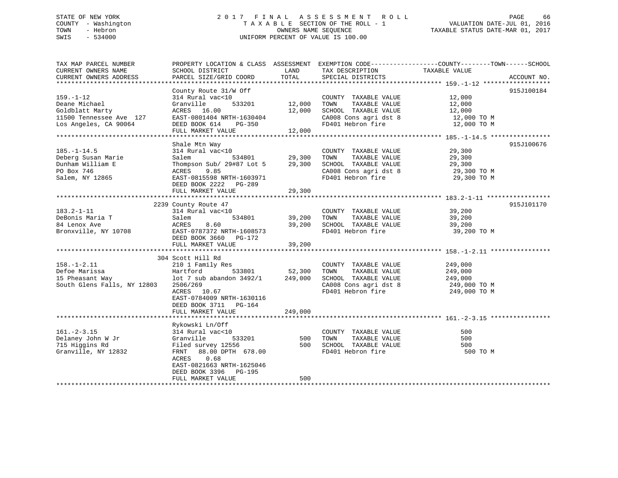## STATE OF NEW YORK 2 0 1 7 F I N A L A S S E S S M E N T R O L L PAGE 66 COUNTY - Washington T A X A B L E SECTION OF THE ROLL - 1 VALUATION DATE-JUL 01, 2016 TOWN - Hebron OWNERS NAME SEQUENCE TAXABLE STATUS DATE-MAR 01, 2017 SWIS - 534000 UNIFORM PERCENT OF VALUE IS 100.00

| TAX MAP PARCEL NUMBER                         | PROPERTY LOCATION & CLASS ASSESSMENT EXEMPTION CODE----------------COUNTY-------TOWN------SCHOOL |               |                                      |               |             |
|-----------------------------------------------|--------------------------------------------------------------------------------------------------|---------------|--------------------------------------|---------------|-------------|
| CURRENT OWNERS NAME<br>CURRENT OWNERS ADDRESS | SCHOOL DISTRICT<br>PARCEL SIZE/GRID COORD                                                        | LAND<br>TOTAL | TAX DESCRIPTION<br>SPECIAL DISTRICTS | TAXABLE VALUE | ACCOUNT NO. |
|                                               |                                                                                                  |               |                                      |               |             |
|                                               | County Route 31/W Off                                                                            |               |                                      |               | 915J100184  |
| $159. - 1 - 12$                               | 314 Rural vac<10                                                                                 |               | COUNTY TAXABLE VALUE                 | 12,000        |             |
| Deane Michael                                 | 533201<br>Granville                                                                              | 12,000        | TOWN<br>TAXABLE VALUE                | 12,000        |             |
| Goldblatt Marty                               | ACRES 16.00                                                                                      | 12,000        | SCHOOL TAXABLE VALUE                 | 12,000        |             |
| 11500 Tennessee Ave 127                       | EAST-0801404 NRTH-1630404                                                                        |               | CA008 Cons agri dst 8                | 12,000 TO M   |             |
| Los Angeles, CA 90064                         | DEED BOOK 614<br>PG-350                                                                          |               | FD401 Hebron fire                    | 12,000 TO M   |             |
|                                               | FULL MARKET VALUE                                                                                | 12,000        |                                      |               |             |
|                                               |                                                                                                  |               |                                      |               |             |
|                                               | Shale Mtn Way                                                                                    |               |                                      |               | 915J100676  |
| $185. - 1 - 14.5$                             | 314 Rural vac<10                                                                                 |               | COUNTY TAXABLE VALUE                 | 29,300        |             |
| Deberg Susan Marie                            | Salem<br>534801                                                                                  | 29,300        | TAXABLE VALUE<br>TOWN                | 29,300        |             |
| Dunham William E                              | Thompson Sub/ 29#87 Lot 5                                                                        | 29,300        | SCHOOL TAXABLE VALUE                 | 29,300        |             |
| PO Box 746                                    | 9.85<br>ACRES                                                                                    |               | CA008 Cons agri dst 8 29,300 TO M    |               |             |
| Salem, NY 12865                               | EAST-0815598 NRTH-1603971                                                                        |               | FD401 Hebron fire                    | 29,300 TO M   |             |
|                                               | DEED BOOK 2222 PG-289                                                                            |               |                                      |               |             |
|                                               | FULL MARKET VALUE                                                                                | 29,300        |                                      |               |             |
|                                               |                                                                                                  |               |                                      |               |             |
|                                               | 2239 County Route 47                                                                             |               |                                      |               | 915J101170  |
| $183.2 - 1 - 11$                              | 314 Rural vac<10                                                                                 |               | COUNTY TAXABLE VALUE 39,200          |               |             |
| DeBonis Maria T                               | 534801<br>Salem                                                                                  | 39,200        | TOWN<br>TAXABLE VALUE                | 39,200        |             |
| 84 Lenox Ave                                  | 8.60<br>ACRES                                                                                    | 39,200        | SCHOOL TAXABLE VALUE                 | 39,200        |             |
| Bronxville, NY 10708                          | EAST-0787372 NRTH-1608573                                                                        |               | FD401 Hebron fire                    | 39,200 TO M   |             |
|                                               | DEED BOOK 3660 PG-172                                                                            |               |                                      |               |             |
|                                               | FULL MARKET VALUE                                                                                | 39,200        |                                      |               |             |
|                                               | 304 Scott Hill Rd                                                                                |               |                                      |               |             |
| $158. - 1 - 2.11$                             | 210 1 Family Res                                                                                 |               | COUNTY TAXABLE VALUE                 | 249,000       |             |
| Defoe Marissa                                 | Hartford                                                                                         | 533801 52,300 | TOWN<br>TAXABLE VALUE                | 249,000       |             |
| 15 Pheasant Way                               | lot 7 sub abandon 3492/1 249,000                                                                 |               | SCHOOL TAXABLE VALUE                 | 249,000       |             |
| South Glens Falls, NY 12803                   | 2506/269                                                                                         |               | CA008 Cons agri dst 8                | 249,000 TO M  |             |
|                                               | ACRES 10.67                                                                                      |               | FD401 Hebron fire                    | 249,000 TO M  |             |
|                                               | EAST-0784009 NRTH-1630116                                                                        |               |                                      |               |             |
|                                               | DEED BOOK 3711 PG-164                                                                            |               |                                      |               |             |
|                                               | FULL MARKET VALUE                                                                                | 249,000       |                                      |               |             |
|                                               |                                                                                                  |               |                                      |               |             |
|                                               | Rykowski Ln/Off                                                                                  |               |                                      |               |             |
| $161. - 2 - 3.15$                             | 314 Rural vac<10                                                                                 |               | COUNTY TAXABLE VALUE                 | 500           |             |
| Delaney John W Jr                             | 533201<br>Granville                                                                              | 500 TOWN      | TAXABLE VALUE                        | 500           |             |
| 715 Higgins Rd                                | Filed survey 12556                                                                               |               | 500 SCHOOL TAXABLE VALUE             | 500           |             |
| Granville, NY 12832                           | FRNT 88.00 DPTH 678.00                                                                           |               | FD401 Hebron fire                    | 500 TO M      |             |
|                                               | 0.68<br>ACRES                                                                                    |               |                                      |               |             |
|                                               | EAST-0821663 NRTH-1625046                                                                        |               |                                      |               |             |
|                                               | DEED BOOK 3396 PG-195                                                                            |               |                                      |               |             |
|                                               | FULL MARKET VALUE                                                                                | 500           |                                      |               |             |
|                                               |                                                                                                  |               |                                      |               |             |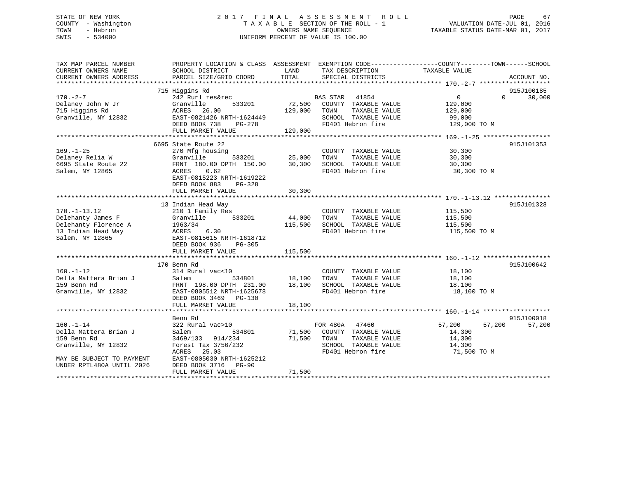## STATE OF NEW YORK 2 0 1 7 F I N A L A S S E S S M E N T R O L L PAGE 67 COUNTY - Washington T A X A B L E SECTION OF THE ROLL - 1 VALUATION DATE-JUL 01, 2016 TOWN - Hebron OWNERS NAME SEQUENCE TAXABLE STATUS DATE-MAR 01, 2017 SWIS - 534000 UNIFORM PERCENT OF VALUE IS 100.00

| TAX MAP PARCEL NUMBER<br>CURRENT OWNERS NAME<br>CURRENT OWNERS ADDRESS | PROPERTY LOCATION & CLASS ASSESSMENT EXEMPTION CODE---------------COUNTY-------TOWN------SCHOOL<br>SCHOOL DISTRICT<br>PARCEL SIZE/GRID COORD | LAND<br>TOTAL | TAX DESCRIPTION<br>SPECIAL DISTRICTS          | TAXABLE VALUE                 | ACCOUNT NO. |
|------------------------------------------------------------------------|----------------------------------------------------------------------------------------------------------------------------------------------|---------------|-----------------------------------------------|-------------------------------|-------------|
|                                                                        |                                                                                                                                              |               |                                               |                               |             |
|                                                                        | 715 Higgins Rd                                                                                                                               |               |                                               |                               | 915J100185  |
| $170. - 2 - 7$                                                         | 242 Rurl res&rec                                                                                                                             |               | <b>BAS STAR</b><br>41854                      | $0 \qquad \qquad$<br>$\Omega$ | 30,000      |
| Delaney John W Jr                                                      | Granville<br>533201                                                                                                                          | 72,500        | COUNTY TAXABLE VALUE                          | 129,000                       |             |
| 715 Higgins Rd                                                         | ACRES 26.00                                                                                                                                  | 129,000       | TOWN<br>TAXABLE VALUE                         | 129,000                       |             |
| Granville, NY 12832                                                    | EAST-0821426 NRTH-1624449                                                                                                                    |               | SCHOOL TAXABLE VALUE                          | 99,000                        |             |
|                                                                        | DEED BOOK 738<br>PG-278                                                                                                                      |               | FD401 Hebron fire                             | 129,000 TO M                  |             |
|                                                                        | FULL MARKET VALUE                                                                                                                            | 129,000       |                                               |                               |             |
|                                                                        |                                                                                                                                              |               |                                               |                               |             |
|                                                                        | 6695 State Route 22                                                                                                                          |               |                                               |                               | 915J101353  |
| $169. - 1 - 25$                                                        | 270 Mfg housing                                                                                                                              |               | COUNTY TAXABLE VALUE                          | 30,300                        |             |
| Delaney Relia W                                                        | Granville<br>533201                                                                                                                          | 25,000        | TOWN<br>TAXABLE VALUE                         | 30,300                        |             |
| 6695 State Route 22                                                    | FRNT 180.00 DPTH 150.00                                                                                                                      | 30,300        | SCHOOL TAXABLE VALUE                          | 30,300                        |             |
| Salem, NY 12865                                                        | 0.62<br>ACRES                                                                                                                                |               | FD401 Hebron fire                             | 30,300 TO M                   |             |
|                                                                        | EAST-0815223 NRTH-1619222                                                                                                                    |               |                                               |                               |             |
|                                                                        | DEED BOOK 883<br>PG-328                                                                                                                      |               |                                               |                               |             |
|                                                                        | FULL MARKET VALUE                                                                                                                            | 30,300        |                                               |                               |             |
|                                                                        |                                                                                                                                              |               |                                               |                               |             |
|                                                                        | 13 Indian Head Way                                                                                                                           |               |                                               |                               | 915J101328  |
| $170. - 1 - 13.12$                                                     | 210 1 Family Res                                                                                                                             |               | COUNTY TAXABLE VALUE                          |                               |             |
| Delehanty James F                                                      | 533201                                                                                                                                       | 44,000        |                                               | 115,500                       |             |
| Delehanty Florence A                                                   | Granville                                                                                                                                    |               | TOWN<br>TAXABLE VALUE<br>SCHOOL TAXABLE VALUE | 115,500                       |             |
|                                                                        | 1963/34                                                                                                                                      | 115,500       | FD401 Hebron fire                             | 115,500                       |             |
| 13 Indian Head Way<br>Salem, NY 12865                                  | ACRES<br>6.30                                                                                                                                |               |                                               | 115,500 TO M                  |             |
|                                                                        | EAST-0815615 NRTH-1618712                                                                                                                    |               |                                               |                               |             |
|                                                                        | DEED BOOK 936<br>PG-305                                                                                                                      |               |                                               |                               |             |
|                                                                        | FULL MARKET VALUE                                                                                                                            | 115,500       |                                               |                               |             |
|                                                                        |                                                                                                                                              |               |                                               |                               |             |
|                                                                        | 170 Benn Rd                                                                                                                                  |               |                                               |                               | 915J100642  |
| $160. - 1 - 12$                                                        | 314 Rural vac<10                                                                                                                             |               | COUNTY TAXABLE VALUE                          | 18,100                        |             |
| Della Mattera Brian J                                                  | Salem<br>534801                                                                                                                              | 18,100        | TAXABLE VALUE<br>TOWN                         | 18,100                        |             |
| 159 Benn Rd                                                            | FRNT 198.00 DPTH 231.00                                                                                                                      | 18,100        | SCHOOL TAXABLE VALUE                          | 18,100                        |             |
| Granville, NY 12832                                                    | EAST-0805512 NRTH-1625678                                                                                                                    |               | FD401 Hebron fire                             | 18,100 TO M                   |             |
|                                                                        | DEED BOOK 3469 PG-130                                                                                                                        |               |                                               |                               |             |
|                                                                        | FULL MARKET VALUE                                                                                                                            | 18,100        |                                               |                               |             |
|                                                                        |                                                                                                                                              |               |                                               |                               |             |
|                                                                        | Benn Rd                                                                                                                                      |               |                                               |                               | 915J100018  |
| $160. - 1 - 14$                                                        | 322 Rural vac>10                                                                                                                             |               | FOR 480A<br>47460                             | 57,200<br>57,200              | 57,200      |
| Della Mattera Brian J                                                  | 534801<br>Salem                                                                                                                              | 71,500        | COUNTY TAXABLE VALUE                          | 14,300                        |             |
| 159 Benn Rd                                                            | 3469/133<br>914/234                                                                                                                          | 71,500        | TOWN<br>TAXABLE VALUE                         | 14,300                        |             |
| Granville, NY 12832                                                    | Forest Tax 3756/232                                                                                                                          |               | SCHOOL TAXABLE VALUE                          | 14,300                        |             |
|                                                                        | 25.03<br>ACRES                                                                                                                               |               | FD401 Hebron fire                             | 71,500 TO M                   |             |
| MAY BE SUBJECT TO PAYMENT                                              | EAST-0805030 NRTH-1625212                                                                                                                    |               |                                               |                               |             |
| UNDER RPTL480A UNTIL 2026                                              | DEED BOOK 3716 PG-90                                                                                                                         |               |                                               |                               |             |
|                                                                        | FULL MARKET VALUE                                                                                                                            | 71,500        |                                               |                               |             |
| ******************                                                     |                                                                                                                                              |               |                                               |                               |             |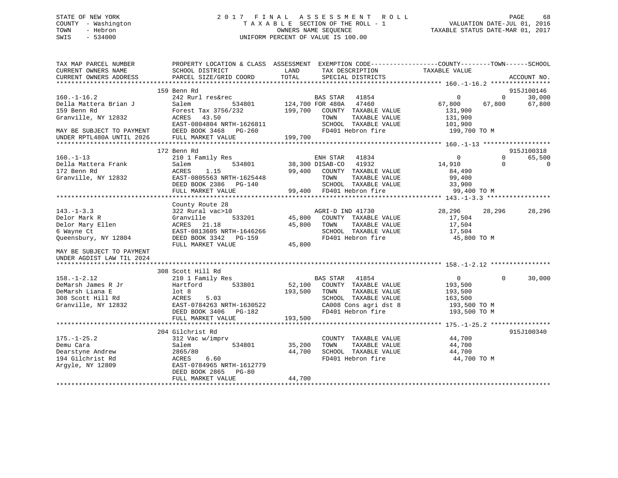## STATE OF NEW YORK 2 0 1 7 F I N A L A S S E S S M E N T R O L L PAGE 68 COUNTY - Washington T A X A B L E SECTION OF THE ROLL - 1 VALUATION DATE-JUL 01, 2016 TOWN - Hebron OWNERS NAME SEQUENCE TAXABLE STATUS DATE-MAR 01, 2017 SWIS - 534000 UNIFORM PERCENT OF VALUE IS 100.00

| TAX MAP PARCEL NUMBER<br>CURRENT OWNERS NAME<br>CURRENT OWNERS ADDRESS | PROPERTY LOCATION & CLASS ASSESSMENT EXEMPTION CODE----------------COUNTY-------TOWN-----SCHOOL<br>SCHOOL DISTRICT<br>PARCEL SIZE/GRID COORD | LAND<br>TOTAL           | TAX DESCRIPTION<br>SPECIAL DISTRICTS | TAXABLE VALUE  | ACCOUNT NO.           |
|------------------------------------------------------------------------|----------------------------------------------------------------------------------------------------------------------------------------------|-------------------------|--------------------------------------|----------------|-----------------------|
|                                                                        |                                                                                                                                              |                         |                                      |                |                       |
|                                                                        | 159 Benn Rd                                                                                                                                  |                         |                                      |                | 915J100146            |
| $160. - 1 - 16.2$                                                      | 242 Rurl res&rec                                                                                                                             |                         | BAS STAR 41854                       | $\mathbf{0}$   | $\Omega$<br>30,000    |
| Della Mattera Brian J                                                  | Salem                                                                                                                                        | 534801 124,700 FOR 480A | 47460                                | 67,800         | 67,800<br>67,800      |
| 159 Benn Rd                                                            | Forest Tax 3756/232                                                                                                                          |                         | 199,700 COUNTY TAXABLE VALUE         | 131,900        |                       |
| Granville, NY 12832                                                    | 43.50<br>ACRES                                                                                                                               |                         | TAXABLE VALUE<br>TOWN                | 131,900        |                       |
|                                                                        | EAST-0804804 NRTH-1626811                                                                                                                    |                         | SCHOOL TAXABLE VALUE                 | 101,900        |                       |
| MAY BE SUBJECT TO PAYMENT                                              | DEED BOOK 3468 PG-260                                                                                                                        |                         | FD401 Hebron fire                    | 199,700 TO M   |                       |
| UNDER RPTL480A UNTIL 2026                                              | FULL MARKET VALUE                                                                                                                            | 199,700                 |                                      |                |                       |
|                                                                        |                                                                                                                                              |                         |                                      |                |                       |
|                                                                        | 172 Benn Rd                                                                                                                                  |                         |                                      |                | 915J100318            |
| $160. - 1 - 13$                                                        | 210 1 Family Res                                                                                                                             |                         | ENH STAR 41834                       | $\overline{0}$ | $\mathbf 0$<br>65,500 |
| Della Mattera Frank                                                    | 534801<br>Salem                                                                                                                              |                         | 38,300 DISAB-CO 41932                | 14,910         | $\Omega$<br>$\Omega$  |
| 172 Benn Rd                                                            | 1.15<br>ACRES                                                                                                                                |                         | 99,400 COUNTY TAXABLE VALUE          | 84,490         |                       |
| Granville, NY 12832                                                    | EAST-0805563 NRTH-1625448                                                                                                                    |                         | TOWN<br>TAXABLE VALUE                | 99,400         |                       |
|                                                                        | DEED BOOK 2386 PG-140                                                                                                                        |                         | SCHOOL TAXABLE VALUE                 | 33,900         |                       |
|                                                                        | FULL MARKET VALUE                                                                                                                            |                         | 99,400 FD401 Hebron fire             | 99,400 TO M    |                       |
|                                                                        |                                                                                                                                              |                         |                                      |                |                       |
|                                                                        | County Route 28                                                                                                                              |                         |                                      |                |                       |
| $143. - 1 - 3.3$                                                       | 322 Rural vac>10                                                                                                                             |                         | AGRI-D IND 41730                     | 28,296         | 28,296<br>28,296      |
| Delor Mark R                                                           | 533201<br>Granville                                                                                                                          | 45,800                  | COUNTY TAXABLE VALUE                 | 17,504         |                       |
| Delor Mary Ellen                                                       | ACRES 21.18                                                                                                                                  | 45,800                  | TOWN<br>TAXABLE VALUE                | 17,504         |                       |
| 6 Wayne Ct                                                             | EAST-0813605 NRTH-1646266                                                                                                                    |                         | SCHOOL TAXABLE VALUE                 | 17,504         |                       |
| Queensbury, NY 12804                                                   | DEED BOOK 3342 PG-159                                                                                                                        |                         | FD401 Hebron fire                    | 45,800 TO M    |                       |
|                                                                        | FULL MARKET VALUE                                                                                                                            | 45,800                  |                                      |                |                       |
|                                                                        |                                                                                                                                              |                         |                                      |                |                       |
| MAY BE SUBJECT TO PAYMENT                                              |                                                                                                                                              |                         |                                      |                |                       |
| UNDER AGDIST LAW TIL 2024                                              |                                                                                                                                              |                         |                                      |                |                       |
|                                                                        |                                                                                                                                              |                         |                                      |                |                       |
|                                                                        | 308 Scott Hill Rd                                                                                                                            |                         |                                      |                |                       |
| $158. - 1 - 2.12$                                                      | 210 1 Family Res                                                                                                                             |                         | BAS STAR 41854                       | 0              | $\Omega$<br>30,000    |
| DeMarsh James R Jr                                                     | Hartford<br>533801                                                                                                                           | 52,100                  | COUNTY TAXABLE VALUE                 | 193,500        |                       |
| DeMarsh Liana E                                                        | lot 8                                                                                                                                        | 193,500                 | TAXABLE VALUE<br>TOWN                | 193,500        |                       |
| 308 Scott Hill Rd                                                      | ACRES<br>5.03                                                                                                                                |                         | SCHOOL TAXABLE VALUE                 | 163,500        |                       |
| Granville, NY 12832                                                    | EAST-0784263 NRTH-1630522                                                                                                                    |                         | CA008 Cons agri dst 8                | 193,500 TO M   |                       |
|                                                                        | DEED BOOK 3406 PG-182                                                                                                                        |                         | FD401 Hebron fire                    | 193,500 TO M   |                       |
|                                                                        | FULL MARKET VALUE                                                                                                                            | 193,500                 |                                      |                |                       |
|                                                                        |                                                                                                                                              |                         |                                      |                |                       |
|                                                                        | 204 Gilchrist Rd                                                                                                                             |                         |                                      |                | 915J100340            |
| $175. - 1 - 25.2$                                                      | 312 Vac w/imprv                                                                                                                              |                         | COUNTY TAXABLE VALUE                 | 44,700         |                       |
| Demu Cara                                                              | 534801<br>Salem                                                                                                                              | 35,200                  | TOWN<br>TAXABLE VALUE                | 44,700         |                       |
| Dearstyne Andrew                                                       | 2865/80                                                                                                                                      | 44,700                  | SCHOOL TAXABLE VALUE                 | 44,700         |                       |
| 194 Gilchrist Rd                                                       | ACRES<br>6.60                                                                                                                                |                         | FD401 Hebron fire                    | 44,700 TO M    |                       |
| Argyle, NY 12809                                                       | EAST-0784965 NRTH-1612779                                                                                                                    |                         |                                      |                |                       |
|                                                                        | DEED BOOK 2865<br>$PG-80$                                                                                                                    |                         |                                      |                |                       |
|                                                                        | FULL MARKET VALUE                                                                                                                            | 44,700                  |                                      |                |                       |
|                                                                        |                                                                                                                                              |                         |                                      |                |                       |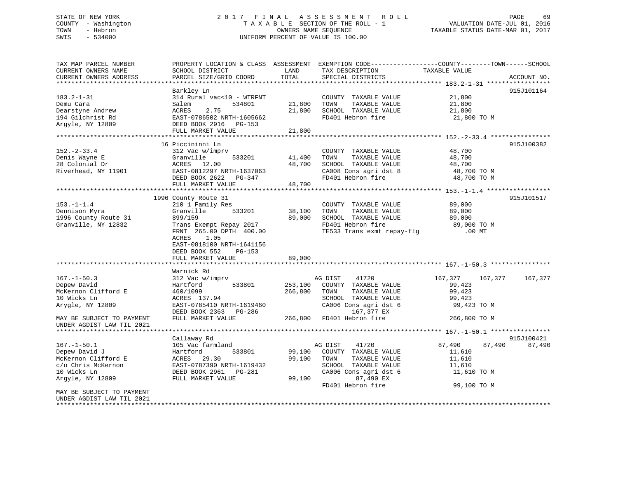# STATE OF NEW YORK GOOD CONTROLLY FINAL ASSESSMENT ROLL CONTROLL PAGE 69 COUNTY - Washington  $T A X A B L E$  SECTION OF THE ROLL - 1<br>TOWN - Hebron DATE-JUL 000NERS NAME SEQUENCE SWIS - 534000 UNIFORM PERCENT OF VALUE IS 100.00

TAXABLE STATUS DATE-MAR 01, 2017

| TAX MAP PARCEL NUMBER<br>CURRENT OWNERS NAME | PROPERTY LOCATION & CLASS ASSESSMENT EXEMPTION CODE----------------COUNTY-------TOWN------SCHOOL<br>SCHOOL DISTRICT | LAND    | TAX DESCRIPTION            | TAXABLE VALUE      |             |
|----------------------------------------------|---------------------------------------------------------------------------------------------------------------------|---------|----------------------------|--------------------|-------------|
| CURRENT OWNERS ADDRESS                       | PARCEL SIZE/GRID COORD                                                                                              | TOTAL   | SPECIAL DISTRICTS          |                    | ACCOUNT NO. |
| ***********************                      |                                                                                                                     |         |                            |                    |             |
|                                              | Barkley Ln                                                                                                          |         |                            |                    | 915J101164  |
| $183.2 - 1 - 31$                             | 314 Rural vac<10 - WTRFNT                                                                                           |         | COUNTY TAXABLE VALUE       | 21,800             |             |
| Demu Cara                                    | Salem<br>534801                                                                                                     | 21,800  | TAXABLE VALUE<br>TOWN      | 21,800             |             |
| Dearstyne Andrew                             | 2.75<br>ACRES                                                                                                       | 21,800  | SCHOOL TAXABLE VALUE       | 21,800             |             |
| 194 Gilchrist Rd                             | EAST-0786502 NRTH-1605662                                                                                           |         | FD401 Hebron fire          | 21,800 TO M        |             |
| Argyle, NY 12809                             | DEED BOOK 2916 PG-153                                                                                               |         |                            |                    |             |
|                                              | FULL MARKET VALUE                                                                                                   | 21,800  |                            |                    |             |
|                                              |                                                                                                                     |         |                            |                    |             |
|                                              | 16 Piccininni Ln                                                                                                    |         |                            |                    | 915J100382  |
| $152 - 2 - 33.4$                             | 312 Vac w/imprv                                                                                                     |         | COUNTY TAXABLE VALUE       | 48,700             |             |
| Denis Wayne E                                | Granville<br>533201                                                                                                 | 41,400  | TAXABLE VALUE<br>TOWN      | 48,700             |             |
| 28 Colonial Dr                               | ACRES 12.00                                                                                                         | 48,700  | SCHOOL TAXABLE VALUE       | 48,700             |             |
| Riverhead, NY 11901                          | EAST-0812297 NRTH-1637063                                                                                           |         | CA008 Cons agri dst 8      | 48,700 TO M        |             |
|                                              | DEED BOOK 2622 PG-347                                                                                               |         | FD401 Hebron fire          | 48,700 TO M        |             |
|                                              | FULL MARKET VALUE                                                                                                   | 48,700  |                            |                    |             |
|                                              |                                                                                                                     |         |                            |                    |             |
|                                              | 1996 County Route 31                                                                                                |         |                            |                    | 915J101517  |
| $153. - 1 - 1.4$                             | 210 1 Family Res                                                                                                    |         | COUNTY TAXABLE VALUE       | 89,000             |             |
| Dennison Myra                                | Granville<br>533201                                                                                                 | 38,100  | TOWN<br>TAXABLE VALUE      | 89,000             |             |
| 1996 County Route 31                         | 899/159                                                                                                             | 89,000  | SCHOOL TAXABLE VALUE       | 89,000             |             |
| Granville, NY 12832                          | Trans Exempt Repay 2017                                                                                             |         | FD401 Hebron fire          | 89,000 TO M        |             |
|                                              | FRNT 265.00 DPTH 400.00                                                                                             |         | TE533 Trans exmt repay-flg | $.00$ MT           |             |
|                                              | ACRES<br>1.05                                                                                                       |         |                            |                    |             |
|                                              | EAST-0818100 NRTH-1641156                                                                                           |         |                            |                    |             |
|                                              | DEED BOOK 552<br>PG-153                                                                                             |         |                            |                    |             |
|                                              | FULL MARKET VALUE                                                                                                   | 89,000  |                            |                    |             |
|                                              | ************************                                                                                            |         |                            |                    |             |
|                                              | Warnick Rd                                                                                                          |         |                            |                    |             |
| $167. - 1 - 50.3$                            | 312 Vac w/imprv                                                                                                     |         | AG DIST<br>41720           | 167,377<br>167,377 | 167,377     |
| Depew David                                  | 533801<br>Hartford                                                                                                  | 253,100 | COUNTY TAXABLE VALUE       | 99,423             |             |
| McKernon Clifford E                          | 460/1099                                                                                                            | 266,800 | TAXABLE VALUE<br>TOWN      | 99,423             |             |
| 10 Wicks Ln                                  | ACRES 137.94                                                                                                        |         | SCHOOL TAXABLE VALUE       | 99,423             |             |
| Arygle, NY 12809                             | EAST-0785410 NRTH-1619460                                                                                           |         | CA006 Cons agri dst 6      | 99,423 TO M        |             |
|                                              | DEED BOOK 2363 PG-286                                                                                               |         | 167,377 EX                 |                    |             |
| MAY BE SUBJECT TO PAYMENT                    | FULL MARKET VALUE                                                                                                   |         | 266,800 FD401 Hebron fire  | 266,800 TO M       |             |
| UNDER AGDIST LAW TIL 2021                    |                                                                                                                     |         |                            |                    |             |
|                                              |                                                                                                                     |         |                            |                    |             |
|                                              | Callaway Rd                                                                                                         |         |                            |                    | 915J100421  |
| $167. - 1 - 50.1$                            | 105 Vac farmland                                                                                                    |         | 41720<br>AG DIST           | 87,490<br>87,490   | 87,490      |
| Depew David J                                | 533801<br>Hartford                                                                                                  | 99,100  | COUNTY TAXABLE VALUE       | 11,610             |             |
| McKernon Clifford E                          | ACRES<br>29.30                                                                                                      | 99,100  | TOWN<br>TAXABLE VALUE      | 11,610             |             |
| c/o Chris McKernon                           | EAST-0787390 NRTH-1619432                                                                                           |         | SCHOOL TAXABLE VALUE       | 11,610             |             |
| 10 Wicks Ln                                  | DEED BOOK 2961 PG-281                                                                                               |         | CA006 Cons agri dst 6      | 11,610 TO M        |             |
| Argyle, NY 12809                             | FULL MARKET VALUE                                                                                                   | 99,100  | 87,490 EX                  |                    |             |
|                                              |                                                                                                                     |         | FD401 Hebron fire          | 99,100 TO M        |             |
| MAY BE SUBJECT TO PAYMENT                    |                                                                                                                     |         |                            |                    |             |
| UNDER AGDIST LAW TIL 2021                    |                                                                                                                     |         |                            |                    |             |
| ********************                         |                                                                                                                     |         |                            |                    |             |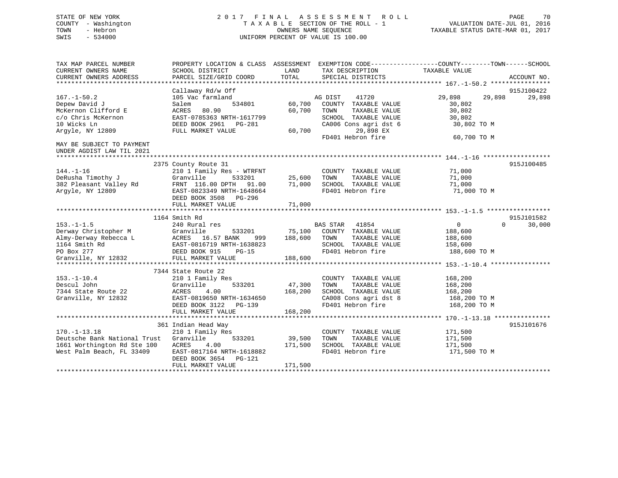## STATE OF NEW YORK 2 0 1 7 F I N A L A S S E S S M E N T R O L L PAGE 70 COUNTY - Washington T A X A B L E SECTION OF THE ROLL - 1 VALUATION DATE-JUL 01, 2016 TOWN - Hebron OWNERS NAME SEQUENCE TAXABLE STATUS DATE-MAR 01, 2017 SWIS - 534000 UNIFORM PERCENT OF VALUE IS 100.00

| TAX MAP PARCEL NUMBER<br>CURRENT OWNERS NAME<br>CURRENT OWNERS ADDRESS                                                  | SCHOOL DISTRICT<br>PARCEL SIZE/GRID COORD                                                                                                                                           | LAND<br>TOTAL                | TAX DESCRIPTION<br>SPECIAL DISTRICTS                                                                                                                 | PROPERTY LOCATION & CLASS ASSESSMENT EXEMPTION CODE----------------COUNTY-------TOWN------SCHOOL<br>TAXABLE VALUE<br>ACCOUNT NO. |
|-------------------------------------------------------------------------------------------------------------------------|-------------------------------------------------------------------------------------------------------------------------------------------------------------------------------------|------------------------------|------------------------------------------------------------------------------------------------------------------------------------------------------|----------------------------------------------------------------------------------------------------------------------------------|
| $167. - 1 - 50.2$<br>Depew David J<br>McKernon Clifford E<br>c/o Chris McKernon<br>10 Wicks Ln<br>Argyle, NY 12809      | Callaway Rd/w Off<br>105 Vac farmland<br>Salem<br>534801<br>80.90<br>ACRES<br>EAST-0785363 NRTH-1617799<br>DEED BOOK 2961<br>PG-281<br>FULL MARKET VALUE                            | 60,700<br>60,700<br>60,700   | AG DIST<br>41720<br>COUNTY TAXABLE VALUE<br>TOWN<br>TAXABLE VALUE<br>SCHOOL TAXABLE VALUE<br>CA006 Cons agri dst 6<br>29,898 EX<br>FD401 Hebron fire | 915J100422<br>29,898<br>29,898<br>29,898<br>30,802<br>30,802<br>30,802<br>30,802 TO M<br>60,700 TO M                             |
| MAY BE SUBJECT TO PAYMENT<br>UNDER AGDIST LAW TIL 2021                                                                  |                                                                                                                                                                                     |                              |                                                                                                                                                      |                                                                                                                                  |
| $144. - 1 - 16$<br>DeRusha Timothy J<br>382 Pleasant Valley Rd<br>Argyle, NY 12809                                      | 2375 County Route 31<br>210 1 Family Res - WTRFNT<br>Granville<br>533201<br>FRNT 116.00 DPTH<br>91.00<br>EAST-0823349 NRTH-1648664<br>DEED BOOK 3508<br>PG-296<br>FULL MARKET VALUE | 25,600<br>71,000<br>71,000   | COUNTY TAXABLE VALUE<br>TAXABLE VALUE<br>TOWN<br>SCHOOL TAXABLE VALUE<br>FD401 Hebron fire                                                           | 915J100485<br>71,000<br>71,000<br>71,000<br>71,000 TO M                                                                          |
|                                                                                                                         |                                                                                                                                                                                     |                              |                                                                                                                                                      |                                                                                                                                  |
| $153. - 1 - 1.5$<br>Derway Christopher M<br>Almy-Derway Rebecca L<br>1164 Smith Rd<br>PO Box 277<br>Granville, NY 12832 | 1164 Smith Rd<br>240 Rural res<br>Granville<br>533201<br>16.57 BANK<br>ACRES<br>999<br>EAST-0816719 NRTH-1638823<br>DEED BOOK 915   PG-15<br>FULL MARKET VALUE                      | 75,100<br>188,600<br>188,600 | <b>BAS STAR</b><br>41854<br>COUNTY TAXABLE VALUE<br>TOWN<br>TAXABLE VALUE<br>SCHOOL TAXABLE VALUE<br>FD401 Hebron fire                               | 915J101582<br>$\mathbf 0$<br>$\Omega$<br>30,000<br>188,600<br>188,600<br>158,600<br>188,600 TO M                                 |
| $153. - 1 - 10.4$<br>Descul John<br>7344 State Route 22<br>Granville, NY 12832                                          | 7344 State Route 22<br>210 1 Family Res<br>533201<br>Granville<br>4.00<br>ACRES<br>EAST-0819650 NRTH-1634650<br>DEED BOOK 3122<br>PG-139<br>FULL MARKET VALUE                       | 47,300<br>168,200<br>168,200 | COUNTY TAXABLE VALUE<br>TOWN<br>TAXABLE VALUE<br>SCHOOL TAXABLE VALUE<br>CA008 Cons agri dst 8<br>FD401 Hebron fire                                  | 168,200<br>168,200<br>168,200<br>168,200 TO M<br>168,200 TO M                                                                    |
|                                                                                                                         |                                                                                                                                                                                     |                              |                                                                                                                                                      | 915J101676                                                                                                                       |
| $170. - 1 - 13.18$<br>Deutsche Bank National Trust<br>1661 Worthington Rd Ste 100<br>West Palm Beach, FL 33409          | 361 Indian Head Way<br>210 1 Family Res<br>Granville<br>533201<br>ACRES<br>4.00<br>EAST-0817164 NRTH-1618882<br>DEED BOOK 3654<br>PG-121<br>FULL MARKET VALUE                       | 39,500<br>171,500<br>171,500 | COUNTY TAXABLE VALUE<br>TAXABLE VALUE<br>TOWN<br>SCHOOL TAXABLE VALUE<br>FD401 Hebron fire                                                           | 171,500<br>171,500<br>171,500<br>171,500 TO M                                                                                    |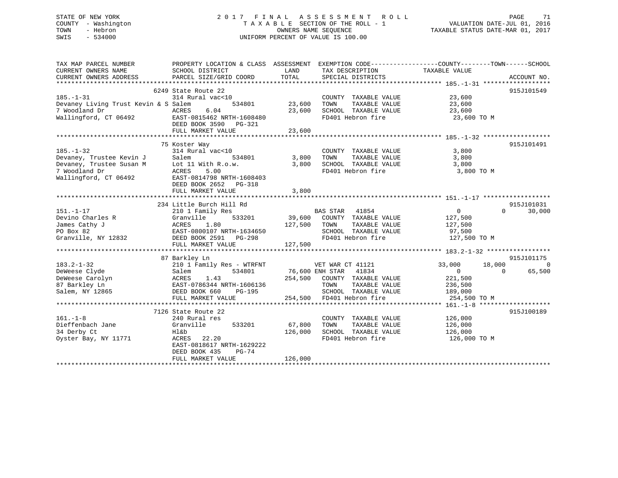## STATE OF NEW YORK 2 0 1 7 F I N A L A S S E S S M E N T R O L L PAGE 71 COUNTY - Washington T A X A B L E SECTION OF THE ROLL - 1 VALUATION DATE-JUL 01, 2016 TOWN - Hebron OWNERS NAME SEQUENCE TAXABLE STATUS DATE-MAR 01, 2017 SWIS - 534000 UNIFORM PERCENT OF VALUE IS 100.00

| TAX MAP PARCEL NUMBER<br>CURRENT OWNERS NAME<br>CURRENT OWNERS ADDRESS | PROPERTY LOCATION & CLASS ASSESSMENT EXEMPTION CODE---------------COUNTY-------TOWN-----SCHOOL<br>SCHOOL DISTRICT<br>PARCEL SIZE/GRID COORD                                                                                                                                                                                                                                 | LAND<br>TOTAL  | TAX DESCRIPTION<br>SPECIAL DISTRICTS                                                    | TAXABLE VALUE              | ACCOUNT NO. |           |           |           |           |              |             |         |                     |               |        |  |                                                               |  |  |
|------------------------------------------------------------------------|-----------------------------------------------------------------------------------------------------------------------------------------------------------------------------------------------------------------------------------------------------------------------------------------------------------------------------------------------------------------------------|----------------|-----------------------------------------------------------------------------------------|----------------------------|-------------|-----------|-----------|-----------|-----------|--------------|-------------|---------|---------------------|---------------|--------|--|---------------------------------------------------------------|--|--|
|                                                                        |                                                                                                                                                                                                                                                                                                                                                                             |                |                                                                                         |                            |             |           |           |           |           |              |             |         |                     |               |        |  |                                                               |  |  |
|                                                                        | 6249 State Route 22                                                                                                                                                                                                                                                                                                                                                         |                |                                                                                         |                            | 915J101549  |           |           |           |           |              |             |         |                     |               |        |  |                                                               |  |  |
| $185. - 1 - 31$                                                        | 314 Rural vac<10                                                                                                                                                                                                                                                                                                                                                            |                | COUNTY TAXABLE VALUE 23,600                                                             |                            |             |           |           |           |           |              |             |         |                     |               |        |  |                                                               |  |  |
| Devaney Living Trust Kevin & S Salem                                   | 534801                                                                                                                                                                                                                                                                                                                                                                      | 23,600         | TOWN       TAXABLE  VALUE<br>SCHOOL    TAXABLE  VALUE                                   | 23,600                     |             |           |           |           |           |              |             |         |                     |               |        |  |                                                               |  |  |
| 7 Woodland Dr<br>ACRES                                                 | 6.04                                                                                                                                                                                                                                                                                                                                                                        | 23,600         |                                                                                         | 23,600                     |             |           |           |           |           |              |             |         |                     |               |        |  |                                                               |  |  |
|                                                                        | Wallingford, CT 06492 EAST-0815462 NRTH-1608480                                                                                                                                                                                                                                                                                                                             |                | FD401 Hebron fire                                                                       | 23,600 TO M                |             |           |           |           |           |              |             |         |                     |               |        |  |                                                               |  |  |
|                                                                        | DEED BOOK 3590 PG-321                                                                                                                                                                                                                                                                                                                                                       |                |                                                                                         |                            |             |           |           |           |           |              |             |         |                     |               |        |  |                                                               |  |  |
|                                                                        | FULL MARKET VALUE                                                                                                                                                                                                                                                                                                                                                           | 23,600         |                                                                                         |                            |             |           |           |           |           |              |             |         |                     |               |        |  |                                                               |  |  |
|                                                                        |                                                                                                                                                                                                                                                                                                                                                                             |                |                                                                                         |                            |             |           |           |           |           |              |             |         |                     |               |        |  |                                                               |  |  |
|                                                                        | 185.-1-32<br>Devaney, Trustee Kevin J<br>Commercy, Trustee Susan M<br>Commercy, Trustee Susan M<br>Commercy, Trustee Susan M<br>ACRES<br>Commercy 18814798<br>NRTH-160840:                                                                                                                                                                                                  |                |                                                                                         |                            | 915J101491  |           |           |           |           |              |             |         |                     |               |        |  |                                                               |  |  |
|                                                                        | 314 Rural vac<10                                                                                                                                                                                                                                                                                                                                                            |                | COUNTY TAXABLE VALUE 3,800                                                              |                            |             |           |           |           |           |              |             |         |                     |               |        |  |                                                               |  |  |
|                                                                        | 534801                                                                                                                                                                                                                                                                                                                                                                      | 3,800 TOWN     |                                                                                         | 3,800                      |             |           |           |           |           |              |             |         |                     |               |        |  |                                                               |  |  |
|                                                                        |                                                                                                                                                                                                                                                                                                                                                                             |                | 3,800 TOWN TAXABLE VALUE<br>3,800 SCHOOL TAXABLE VALUE                                  | 3,800                      |             |           |           |           |           |              |             |         |                     |               |        |  |                                                               |  |  |
|                                                                        |                                                                                                                                                                                                                                                                                                                                                                             |                | FD401 Hebron fire 3,800 TO M                                                            |                            |             |           |           |           |           |              |             |         |                     |               |        |  |                                                               |  |  |
|                                                                        |                                                                                                                                                                                                                                                                                                                                                                             |                |                                                                                         |                            |             |           |           |           |           |              |             |         |                     |               |        |  |                                                               |  |  |
|                                                                        | DEED BOOK 2652 PG-318                                                                                                                                                                                                                                                                                                                                                       |                |                                                                                         |                            |             |           |           |           |           |              |             |         |                     |               |        |  |                                                               |  |  |
|                                                                        | FULL MARKET VALUE                                                                                                                                                                                                                                                                                                                                                           | 3,800          |                                                                                         |                            |             |           |           |           |           |              |             |         |                     |               |        |  |                                                               |  |  |
|                                                                        |                                                                                                                                                                                                                                                                                                                                                                             |                |                                                                                         |                            |             |           |           |           |           |              |             |         |                     |               |        |  |                                                               |  |  |
|                                                                        | 234 Little Burch Hill Rd                                                                                                                                                                                                                                                                                                                                                    |                |                                                                                         |                            | 915J101031  |           |           |           |           |              |             |         |                     |               |        |  |                                                               |  |  |
| $151. - 1 - 17$                                                        | 210 1 Family Res                                                                                                                                                                                                                                                                                                                                                            |                |                                                                                         | $\overline{0}$<br>$\Omega$ | 30,000      |           |           |           |           |              |             |         |                     |               |        |  |                                                               |  |  |
| Devino Charles R                                                       | Granville                                                                                                                                                                                                                                                                                                                                                                   |                | EAS STAR 41004<br>533201 39,600 COUNTY TAXABLE VALUE<br>533201 - 200 TOMM TAXABLE VALUE | 127,500                    |             |           |           |           |           |              |             |         |                     |               |        |  |                                                               |  |  |
|                                                                        |                                                                                                                                                                                                                                                                                                                                                                             | 127,500 TOWN   |                                                                                         | TAXABLE VALUE 127,500      |             |           |           |           |           |              |             |         |                     |               |        |  |                                                               |  |  |
|                                                                        |                                                                                                                                                                                                                                                                                                                                                                             |                |                                                                                         |                            |             |           |           |           |           |              |             |         |                     |               |        |  |                                                               |  |  |
|                                                                        | <table>\n<tbody>\n<tr>\n<th>James</th>\n<th>Cathy J</th>\n<th>2.3000107</th>\n<th>2.3000107</th>\n<th>2.3000107</th>\n<th>2.3000107</th>\n<th>2.3000107</th>\n</tr>\n<tr>\n<td>PO Box 82</td>\n<td>EAST-0800107</td>\n<td>RTH-1634650</td>\n<td>127,500</td>\n</tr>\n<tr>\n<td>Granville, NY 12832</td>\n<td>DEED BOK 2591</td>\n<td>PG-298</td>\n</tr>\n</tbody>\n</table> | James          | Cathy J                                                                                 | 2.3000107                  | 2.3000107   | 2.3000107 | 2.3000107 | 2.3000107 | PO Box 82 | EAST-0800107 | RTH-1634650 | 127,500 | Granville, NY 12832 | DEED BOK 2591 | PG-298 |  | SCHOOL TAXABLE VALUE 97,500<br>FD401 Hebron fire 127,500 TO M |  |  |
| James                                                                  | Cathy J                                                                                                                                                                                                                                                                                                                                                                     | 2.3000107      | 2.3000107                                                                               | 2.3000107                  | 2.3000107   | 2.3000107 |           |           |           |              |             |         |                     |               |        |  |                                                               |  |  |
| PO Box 82                                                              | EAST-0800107                                                                                                                                                                                                                                                                                                                                                                | RTH-1634650    | 127,500                                                                                 |                            |             |           |           |           |           |              |             |         |                     |               |        |  |                                                               |  |  |
| Granville, NY 12832                                                    | DEED BOK 2591                                                                                                                                                                                                                                                                                                                                                               | PG-298         |                                                                                         |                            |             |           |           |           |           |              |             |         |                     |               |        |  |                                                               |  |  |
|                                                                        | FULL MARKET VALUE                                                                                                                                                                                                                                                                                                                                                           | 127,500        |                                                                                         |                            |             |           |           |           |           |              |             |         |                     |               |        |  |                                                               |  |  |
|                                                                        |                                                                                                                                                                                                                                                                                                                                                                             |                |                                                                                         |                            |             |           |           |           |           |              |             |         |                     |               |        |  |                                                               |  |  |
|                                                                        |                                                                                                                                                                                                                                                                                                                                                                             |                |                                                                                         |                            | 915J101175  |           |           |           |           |              |             |         |                     |               |        |  |                                                               |  |  |
|                                                                        | 87 Barkley Ln                                                                                                                                                                                                                                                                                                                                                               |                |                                                                                         |                            |             |           |           |           |           |              |             |         |                     |               |        |  |                                                               |  |  |
| $183.2 - 1 - 32$                                                       | 210 1 Family Res - WTRFNT                                                                                                                                                                                                                                                                                                                                                   |                | VET WAR CT 41121<br>534801 76,600 ENH STAR 41834                                        | 33,000<br>18,000           | $\Omega$    |           |           |           |           |              |             |         |                     |               |        |  |                                                               |  |  |
| DeWeese Clyde                                                          | Salem                                                                                                                                                                                                                                                                                                                                                                       |                |                                                                                         | $\overline{0}$<br>$\Omega$ | 65,500      |           |           |           |           |              |             |         |                     |               |        |  |                                                               |  |  |
| DeWeese Carolyn                                                        | ACRES 1.43<br>EAST-0786344 NRTH-1606136<br>DEED BOOK 660 PG-195                                                                                                                                                                                                                                                                                                             |                | 254,500 COUNTY TAXABLE VALUE 221,500                                                    |                            |             |           |           |           |           |              |             |         |                     |               |        |  |                                                               |  |  |
| 87 Barkley Ln                                                          |                                                                                                                                                                                                                                                                                                                                                                             | $6\frac{1}{2}$ | TAXABLE VALUE<br>TOWN<br>SCHOOL TAXABLE VALUE 189,000                                   | 236,500                    |             |           |           |           |           |              |             |         |                     |               |        |  |                                                               |  |  |
| Salem, NY 12865                                                        |                                                                                                                                                                                                                                                                                                                                                                             |                |                                                                                         |                            |             |           |           |           |           |              |             |         |                     |               |        |  |                                                               |  |  |
|                                                                        | FULL MARKET VALUE                                                                                                                                                                                                                                                                                                                                                           |                | 254,500 FD401 Hebron fire                                                               | 254,500 TO M               |             |           |           |           |           |              |             |         |                     |               |        |  |                                                               |  |  |
|                                                                        |                                                                                                                                                                                                                                                                                                                                                                             |                |                                                                                         |                            |             |           |           |           |           |              |             |         |                     |               |        |  |                                                               |  |  |
|                                                                        | 7126 State Route 22                                                                                                                                                                                                                                                                                                                                                         |                |                                                                                         |                            | 915J100189  |           |           |           |           |              |             |         |                     |               |        |  |                                                               |  |  |
| $161. - 1 - 8$                                                         | 240 Rural res                                                                                                                                                                                                                                                                                                                                                               |                | COUNTY TAXABLE VALUE                                                                    | 126,000                    |             |           |           |           |           |              |             |         |                     |               |        |  |                                                               |  |  |
| Dieffenbach Jane                                                       | Granville<br>533201                                                                                                                                                                                                                                                                                                                                                         | 67,800         | TAXABLE VALUE<br>TOWN                                                                   | 126,000                    |             |           |           |           |           |              |             |         |                     |               |        |  |                                                               |  |  |
| 34 Derby Ct                                                            | Hl&b                                                                                                                                                                                                                                                                                                                                                                        | 126,000        | SCHOOL TAXABLE VALUE                                                                    | 126,000                    |             |           |           |           |           |              |             |         |                     |               |        |  |                                                               |  |  |
| Oyster Bay, NY 11771                                                   | ACRES 22.20                                                                                                                                                                                                                                                                                                                                                                 |                | FD401 Hebron fire                                                                       | 126,000 TO M               |             |           |           |           |           |              |             |         |                     |               |        |  |                                                               |  |  |
|                                                                        | EAST-0818617 NRTH-1629222                                                                                                                                                                                                                                                                                                                                                   |                |                                                                                         |                            |             |           |           |           |           |              |             |         |                     |               |        |  |                                                               |  |  |
|                                                                        | DEED BOOK 435<br>PG-74                                                                                                                                                                                                                                                                                                                                                      |                |                                                                                         |                            |             |           |           |           |           |              |             |         |                     |               |        |  |                                                               |  |  |
|                                                                        | FULL MARKET VALUE                                                                                                                                                                                                                                                                                                                                                           | 126,000        |                                                                                         |                            |             |           |           |           |           |              |             |         |                     |               |        |  |                                                               |  |  |
|                                                                        |                                                                                                                                                                                                                                                                                                                                                                             |                |                                                                                         |                            |             |           |           |           |           |              |             |         |                     |               |        |  |                                                               |  |  |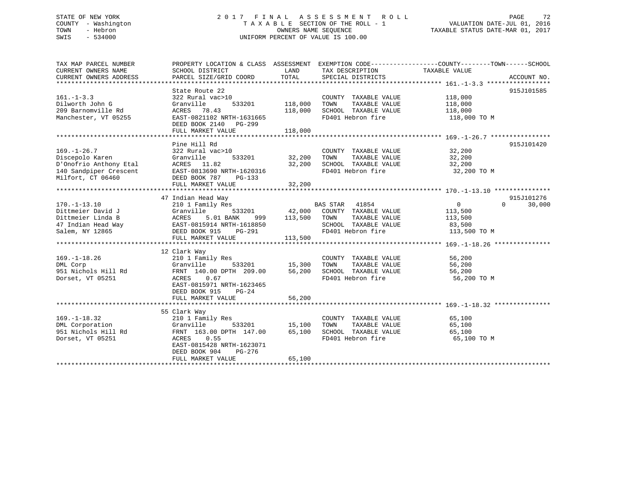## STATE OF NEW YORK 2 0 1 7 F I N A L A S S E S S M E N T R O L L PAGE 72 COUNTY - Washington T A X A B L E SECTION OF THE ROLL - 1 VALUATION DATE-JUL 01, 2016 TOWN - Hebron OWNERS NAME SEQUENCE TAXABLE STATUS DATE-MAR 01, 2017 SWIS - 534000 UNIFORM PERCENT OF VALUE IS 100.00

| TAX MAP PARCEL NUMBER<br>CURRENT OWNERS NAME<br>CURRENT OWNERS ADDRESS                                                                                                                              | PROPERTY LOCATION & CLASS ASSESSMENT EXEMPTION CODE---------------COUNTY-------TOWN-----SCHOOL<br>SCHOOL DISTRICT<br>PARCEL SIZE/GRID COORD                                         | LAND<br>TOTAL             | TAX DESCRIPTION<br>SPECIAL DISTRICTS                                                       | TAXABLE VALUE                                     | ACCOUNT NO.                 |
|-----------------------------------------------------------------------------------------------------------------------------------------------------------------------------------------------------|-------------------------------------------------------------------------------------------------------------------------------------------------------------------------------------|---------------------------|--------------------------------------------------------------------------------------------|---------------------------------------------------|-----------------------------|
|                                                                                                                                                                                                     |                                                                                                                                                                                     |                           |                                                                                            |                                                   |                             |
| $161. - 1 - 3.3$                                                                                                                                                                                    | State Route 22<br>322 Rural vac>10                                                                                                                                                  |                           | COUNTY TAXABLE VALUE 118,000                                                               |                                                   | 915J101585                  |
| Dilworth John G<br>209 Barnomville Rd<br>Manchester, VT 05255                                                                                                                                       | Granville<br>ACRES 78.43<br>EAST-0821102 NRTH-1631665                                                                                                                               | 533201 118,000<br>118,000 | TOWN      TAXABLE  VALUE<br>SCHOOL   TAXABLE  VALUE<br>FD401 Hebron fire                   | 118,000<br>118,000<br>118,000 TO M                |                             |
|                                                                                                                                                                                                     | DEED BOOK 2140 PG-299<br>FULL MARKET VALUE                                                                                                                                          | 118,000                   |                                                                                            |                                                   |                             |
|                                                                                                                                                                                                     |                                                                                                                                                                                     |                           |                                                                                            |                                                   |                             |
| $169. - 1 - 26.7$<br>Discepolo Karen                                                                                                                                                                | Pine Hill Rd<br>322 Rural vac>10                                                                                                                                                    | 533201 32,200 TOWN        | COUNTY TAXABLE VALUE 32,200                                                                |                                                   | 915J101420                  |
| Discepolo Karen (Granville D'Onofrio Anthony Etal (ACRES 11.82)<br>140 Sandpiper Crescent<br>Milfort, CT 06460                                                                                      | EAST-0813690 NRTH-1620316<br>DEED BOOK 787 PG-133                                                                                                                                   |                           | 32,200 TOWN TAXABLE VALUE<br>32,200 SCHOOL TAXABLE VALUE                                   | 32,200<br>32,200<br>FD401 Hebron fire 32,200 TO M |                             |
|                                                                                                                                                                                                     | FULL MARKET VALUE                                                                                                                                                                   | 32,200                    |                                                                                            |                                                   |                             |
|                                                                                                                                                                                                     |                                                                                                                                                                                     |                           |                                                                                            |                                                   |                             |
|                                                                                                                                                                                                     | 47 Indian Head Way                                                                                                                                                                  |                           |                                                                                            |                                                   | 915J101276                  |
| $170. - 1 - 13.10$<br>Dittmeier David J<br>Dittmeier Linda B<br>47 Indian Head Way<br>Salem, NY 12865<br>Salem, NY 12865<br>PHITLE, MAPRET VALUE PG-291<br>FIILL MAPRET VALUE<br>FIILL MAPRET VALUE | 210 1 Family Res                                                                                                                                                                    |                           | BAS STAR 41854<br>SCHOOL TAXABLE VALUE 83,500                                              | 0<br>113,500<br>113,500                           | $0 \qquad \qquad$<br>30,000 |
|                                                                                                                                                                                                     |                                                                                                                                                                                     | 113,500                   | FD401 Hebron fire                                                                          | 113,500 TO M                                      |                             |
|                                                                                                                                                                                                     |                                                                                                                                                                                     |                           |                                                                                            |                                                   |                             |
| $169. - 1 - 18.26$<br>DML Corp<br>951 Nichols Hill Rd<br>Dorset, VT 05251                                                                                                                           | 12 Clark Way<br>210 1 Family Res<br>Granville 533201 15,300 TOWN<br>FRNT 140.00 DPTH 209.00 56,200 SCHOOL<br>ACRES<br>0.67<br>EAST-0815971 NRTH-1623465<br>DEED BOOK 915<br>$PG-24$ |                           | COUNTY TAXABLE VALUE 56,200<br>TOWN       TAXABLE  VALUE<br>SCHOOL    TAXABLE  VALUE       | 56,200<br>56,200<br>FD401 Hebron fire 56,200 TO M |                             |
|                                                                                                                                                                                                     | FULL MARKET VALUE                                                                                                                                                                   | 56,200                    |                                                                                            |                                                   |                             |
|                                                                                                                                                                                                     |                                                                                                                                                                                     |                           |                                                                                            |                                                   |                             |
| $169. - 1 - 18.32$<br>DML Corporation<br>951 Nichols Hill Rd<br>Dorset, VT 05251                                                                                                                    | 55 Clark Way<br>210 1 Family Res<br>Cranville<br>FRNT 163.00 DPTH 147.00 65,100<br>ACRES 0.55<br>EAST-0815428 NRTH-1623071<br>DEED BOOK 904<br>PG-276<br>FULL MARKET VALUE          | 533201 15,100<br>65,100   | COUNTY TAXABLE VALUE<br>TAXABLE VALUE<br>TOWN<br>SCHOOL TAXABLE VALUE<br>FD401 Hebron fire | 65,100<br>65,100<br>65,100<br>65,100 TO M         |                             |
|                                                                                                                                                                                                     |                                                                                                                                                                                     |                           |                                                                                            |                                                   |                             |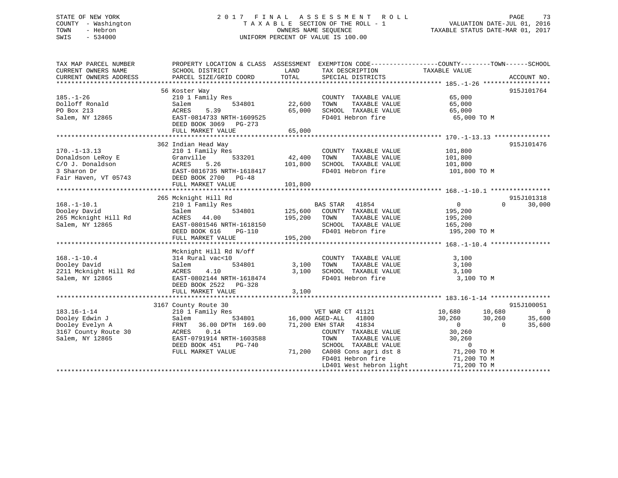## STATE OF NEW YORK 2 0 1 7 F I N A L A S S E S S M E N T R O L L PAGE 73 COUNTY - Washington T A X A B L E SECTION OF THE ROLL - 1 VALUATION DATE-JUL 01, 2016 TOWN - Hebron OWNERS NAME SEQUENCE TAXABLE STATUS DATE-MAR 01, 2017 SWIS - 534000 UNIFORM PERCENT OF VALUE IS 100.00

| TAX MAP PARCEL NUMBER<br>CURRENT OWNERS NAME<br>CURRENT OWNERS ADDRESS                             | PROPERTY LOCATION & CLASS ASSESSMENT EXEMPTION CODE----------------COUNTY-------TOWN------SCHOOL<br>SCHOOL DISTRICT<br>PARCEL SIZE/GRID COORD                                | LAND<br>TOTAL              | TAX DESCRIPTION<br>SPECIAL DISTRICTS                                                                                                                                                                                               | TAXABLE VALUE                                                                                                                          | ACCOUNT NO.                                                            |
|----------------------------------------------------------------------------------------------------|------------------------------------------------------------------------------------------------------------------------------------------------------------------------------|----------------------------|------------------------------------------------------------------------------------------------------------------------------------------------------------------------------------------------------------------------------------|----------------------------------------------------------------------------------------------------------------------------------------|------------------------------------------------------------------------|
| $185. - 1 - 26$<br>Dolloff Ronald<br>PO Box 213<br>Salem, NY 12865                                 | 56 Koster Way<br>210 1 Family Res<br>Salem<br>534801<br>5.39<br>ACRES<br>EAST-0814733 NRTH-1609525<br>DEED BOOK 3069 PG-273<br>FULL MARKET VALUE                             | 22,600<br>65,000<br>65,000 | COUNTY TAXABLE VALUE<br>TAXABLE VALUE<br>TOWN<br>SCHOOL TAXABLE VALUE<br>FD401 Hebron fire                                                                                                                                         | 65,000<br>65,000<br>65,000<br>65,000 TO M                                                                                              | 915J101764                                                             |
| $170. - 1 - 13.13$<br>Donaldson LeRoy E<br>C/O J. Donaldson<br>3 Sharon Dr<br>Fair Haven, VT 05743 | 362 Indian Head Way<br>210 1 Family Res<br>Granville<br>ACRES 5.26<br>EAST-0816735 NRTH-1618417<br>DEED BOOK 2700 PG-48                                                      | 533201 42,400<br>101,800   | COUNTY TAXABLE VALUE<br>TAXABLE VALUE<br>TOWN<br>SCHOOL TAXABLE VALUE<br>FD401 Hebron fire                                                                                                                                         | 101,800<br>101,800<br>101,800<br>101,800 TO M                                                                                          | 915J101476                                                             |
|                                                                                                    | FULL MARKET VALUE                                                                                                                                                            | 101,800                    |                                                                                                                                                                                                                                    |                                                                                                                                        |                                                                        |
| $168. - 1 - 10.1$<br>Dooley David<br>265 Mcknight Hill Rd<br>Salem, NY 12865                       | 265 Mcknight Hill Rd<br>210 1 Family Res<br>Salem<br>ACRES 44.00<br>EAST-0801546 NRTH-1618150<br>DEED BOOK 616<br>PG-110<br>FULL MARKET VALUE                                | 195,200 TOWN<br>195,200    | BAS STAR 41854<br>534801 125,600 COUNTY TAXABLE VALUE<br>TAXABLE VALUE<br>SCHOOL TAXABLE VALUE<br>FD401 Hebron fire                                                                                                                | $\overline{0}$<br>195,200<br>195,200<br>165, 200<br>195,200 TO M                                                                       | 915J101318<br>$\Omega$<br>30,000                                       |
| $168. - 1 - 10.4$<br>Dooley David<br>2211 Mcknight Hill Rd<br>Salem, NY 12865                      | Mcknight Hill Rd N/off<br>314 Rural vac<10<br>534801<br>Salem<br><b>ACRES</b><br>4.10<br>EAST-0802144 NRTH-1618474<br>DEED BOOK 2522 PG-328<br>FULL MARKET VALUE             | 3,100<br>3,100<br>3,100    | COUNTY TAXABLE VALUE<br>TAXABLE VALUE<br>TOWN<br>SCHOOL TAXABLE VALUE<br>FD401 Hebron fire                                                                                                                                         | 3,100<br>3,100<br>3,100<br>3,100 TO M                                                                                                  |                                                                        |
| $183.16 - 1 - 14$<br>Dooley Edwin J<br>Dooley Evelyn A<br>3167 County Route 30<br>Salem, NY 12865  | 3167 County Route 30<br>210 1 Family Res<br>Salem<br>FRNT<br>36.00 DPTH 169.00<br>0.14<br>ACRES<br>EAST-0791914 NRTH-1603588<br>DEED BOOK 451<br>PG-740<br>FULL MARKET VALUE |                            | VET WAR CT 41121<br>534801 16,000 AGED-ALL 41800<br>71,200 ENH STAR 41834<br>COUNTY TAXABLE VALUE<br>TOWN<br>TAXABLE VALUE<br>SCHOOL TAXABLE VALUE<br>71,200 CA008 Cons agri dst 8<br>FD401 Hebron fire<br>LD401 West hebron light | 10,680<br>10,680<br>30,260 30,260<br>$\overline{0}$<br>30,260<br>30,260<br>$\overline{0}$<br>71,200 TO M<br>71,200 TO M<br>71,200 TO M | 915J100051<br>$\overline{\phantom{0}}$<br>35,600<br>35,600<br>$\Omega$ |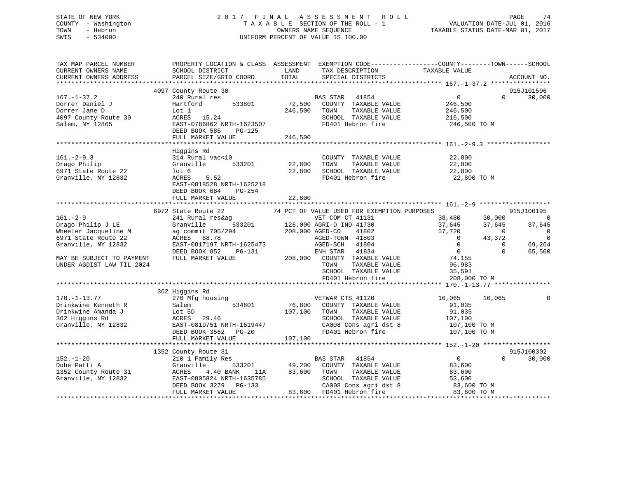## STATE OF NEW YORK 2 0 1 7 F I N A L A S S E S S M E N T R O L L PAGE 74 COUNTY - Washington T A X A B L E SECTION OF THE ROLL - 1 VALUATION DATE-JUL 01, 2016 TOWN - Hebron OWNERS NAME SEQUENCE TAXABLE STATUS DATE-MAR 01, 2017 SWIS - 534000 UNIFORM PERCENT OF VALUE IS 100.00

| TAX MAP PARCEL NUMBER<br>CURRENT OWNERS NAME<br>CURRENT OWNERS ADDRESS | PROPERTY LOCATION & CLASS ASSESSMENT EXEMPTION CODE---------------COUNTY-------TOWN-----SCHOOL<br>SCHOOL DISTRICT<br>PARCEL SIZE/GRID COORD | LAND<br>TOTAL   | IAX DESCRIPTION TAXABLE VALUE TRAVELLE VALUE              |                              | ACCOUNT NO.                                |
|------------------------------------------------------------------------|---------------------------------------------------------------------------------------------------------------------------------------------|-----------------|-----------------------------------------------------------|------------------------------|--------------------------------------------|
|                                                                        |                                                                                                                                             |                 |                                                           |                              |                                            |
|                                                                        | 4097 County Route 30                                                                                                                        |                 |                                                           |                              | 915J101596                                 |
| $167. - 1 - 37.2$                                                      | 240 Rural res                                                                                                                               |                 | BAS STAR 41854                                            | $\overline{0}$               | 30,000<br>$\Omega$                         |
| Dorrer Daniel J                                                        | 533801<br>Hartford                                                                                                                          | 72,500          | COUNTY TAXABLE VALUE                                      | 246,500                      |                                            |
| Dorrer Jane D                                                          | Lot 1                                                                                                                                       | 246,500         | TOWN<br>TAXABLE VALUE                                     | 246,500                      |                                            |
| 4097 County Route 30                                                   | ACRES 15.24                                                                                                                                 |                 | SCHOOL TAXABLE VALUE                                      | 216,500                      |                                            |
| Salem, NY 12865                                                        | EAST-0786862 NRTH-1623507                                                                                                                   |                 | FD401 Hebron fire                                         | 246,500 TO M                 |                                            |
|                                                                        | DEED BOOK 585<br>PG-125                                                                                                                     |                 |                                                           |                              |                                            |
|                                                                        | FULL MARKET VALUE                                                                                                                           | 246,500         |                                                           |                              |                                            |
|                                                                        |                                                                                                                                             |                 |                                                           |                              |                                            |
|                                                                        | Higgins Rd                                                                                                                                  |                 |                                                           |                              |                                            |
| $161. - 2 - 9.3$                                                       | 314 Rural vac<10                                                                                                                            |                 | COUNTY TAXABLE VALUE                                      | 22,800                       |                                            |
| Drago Philip                                                           | Granville                                                                                                                                   | 533201 22,800   | TAXABLE VALUE<br>TOWN                                     | 22,800                       |                                            |
| 6971 State Route 22                                                    | lot 6                                                                                                                                       | 22,800          | SCHOOL TAXABLE VALUE                                      | 22,800                       |                                            |
| Granville, NY 12832                                                    | ACRES<br>5.52                                                                                                                               |                 | FD401 Hebron fire                                         | 22,800 TO M                  |                                            |
|                                                                        | EAST-0818528 NRTH-1625218                                                                                                                   |                 |                                                           |                              |                                            |
|                                                                        | DEED BOOK 684<br>PG-254                                                                                                                     |                 |                                                           |                              |                                            |
|                                                                        | FULL MARKET VALUE                                                                                                                           | 22,800          |                                                           |                              |                                            |
|                                                                        |                                                                                                                                             |                 |                                                           |                              |                                            |
|                                                                        | 6972 State Route 22                                                                                                                         |                 | 74 PCT OF VALUE USED FOR EXEMPTION PURPOSES               |                              | 915J100195                                 |
| $161. - 2 - 9$                                                         | 241 Rural res&ag                                                                                                                            |                 | VET COM CT 41131<br>$\overline{126,000}$ AGRI-D IND 41730 | 38,480                       | 30,000<br>$\bigcirc$                       |
| Drago Philip J LE                                                      | Granville                                                                                                                                   |                 |                                                           | 37,645                       | 37,645<br>37,645                           |
| Wheeler Jacqueline M                                                   | ag commit 705/294                                                                                                                           | 208,000 AGED-CO | 41802                                                     | 57,720                       | $\overline{0}$<br>$\overline{\phantom{0}}$ |
| 6971 State Route 22                                                    | ACRES 68.78                                                                                                                                 |                 | AGED-TOWN 41803                                           | $\overline{0}$               | $\overline{0}$<br>43,372                   |
| Granville, NY 12832                                                    | EAST-0817197 NRTH-1625473                                                                                                                   |                 | AGED-SCH 41804                                            | $\overline{0}$               | $\mathbf 0$<br>69,264                      |
|                                                                        | DEED BOOK 852<br>PG-131                                                                                                                     |                 | ENH STAR 41834                                            | $\sim$ 0                     | $\Omega$<br>65,500                         |
| MAY BE SUBJECT TO PAYMENT                                              | FULL MARKET VALUE                                                                                                                           |                 | 208,000 COUNTY TAXABLE VALUE                              | 74,155                       |                                            |
| UNDER AGDIST LAW TIL 2024                                              |                                                                                                                                             |                 | TOWN<br>TAXABLE VALUE                                     | 96,983                       |                                            |
|                                                                        |                                                                                                                                             |                 | SCHOOL TAXABLE VALUE                                      | 35,591                       |                                            |
|                                                                        |                                                                                                                                             |                 | FD401 Hebron fire                                         | 208,000 TO M                 |                                            |
|                                                                        |                                                                                                                                             |                 |                                                           |                              |                                            |
|                                                                        | 362 Higgins Rd                                                                                                                              |                 | VETWAR CTS 41120                                          |                              |                                            |
| $170. - 1 - 13.77$                                                     | 270 Mfg housing                                                                                                                             |                 |                                                           | 16,065                       | 16,065                                     |
| Drinkwine Kenneth R                                                    | 534801<br>Salem                                                                                                                             |                 | 76,800 COUNTY TAXABLE VALUE                               | 91,035                       |                                            |
| Drinkwine Amanda J                                                     | Lot 5D                                                                                                                                      | 107,100         | TAXABLE VALUE<br>TOWN                                     | 91,035                       |                                            |
| 362 Higgins Rd                                                         | ACRES 29.46                                                                                                                                 |                 | SCHOOL TAXABLE VALUE                                      | 107,100                      |                                            |
| Granville, NY 12832                                                    | EAST-0819751 NRTH-1619447                                                                                                                   |                 | CA008 Cons agri dst 8<br>FD401 Hebron fire                | $107,100$ TO M<br>$-20.70$ M |                                            |
|                                                                        | DEED BOOK 3562 PG-20                                                                                                                        |                 |                                                           | 107,100 TO M                 |                                            |
|                                                                        | FULL MARKET VALUE                                                                                                                           | 107,100         |                                                           |                              |                                            |
|                                                                        |                                                                                                                                             |                 |                                                           |                              | 915J100302                                 |
| $152. - 1 - 20$                                                        | 1352 County Route 31<br>210 1 Family Res                                                                                                    |                 | BAS STAR 41854                                            | $\overline{0}$               | $\Omega$<br>30,000                         |
| Dube Patti A                                                           | Granville                                                                                                                                   | 533201 49,200   | COUNTY TAXABLE VALUE                                      | 83,600                       |                                            |
| 1352 County Route 31                                                   | ACRES<br>4.40 BANK                                                                                                                          | 83,600          | TOWN<br>TAXABLE VALUE                                     |                              |                                            |
| Granville, NY 12832                                                    | 11A<br>EAST-0805824 NRTH-1635785                                                                                                            |                 | SCHOOL TAXABLE VALUE                                      | 83,600<br>53,600             |                                            |
|                                                                        | DEED BOOK 3279 PG-133                                                                                                                       |                 | CA008 Cons agri dst 8                                     | 53,600<br>83,600 TO M        |                                            |
|                                                                        | FULL MARKET VALUE                                                                                                                           |                 | 83,600 FD401 Hebron fire                                  | $83,600$ TO M                |                                            |
|                                                                        |                                                                                                                                             |                 |                                                           |                              |                                            |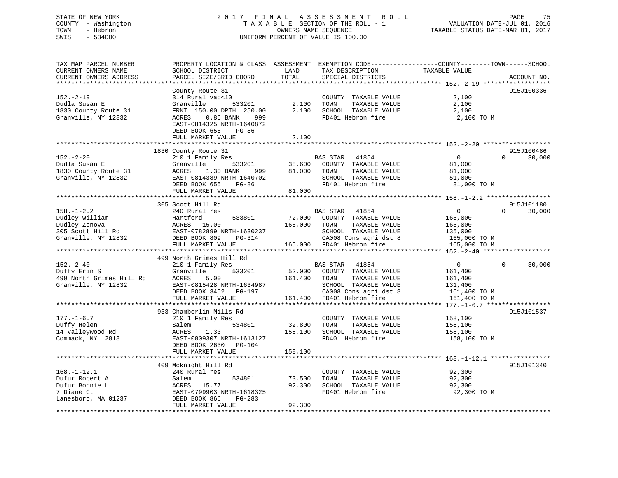## STATE OF NEW YORK 2 0 1 7 F I N A L A S S E S S M E N T R O L L PAGE 75 COUNTY - Washington T A X A B L E SECTION OF THE ROLL - 1 VALUATION DATE-JUL 01, 2016 TOWN - Hebron OWNERS NAME SEQUENCE TAXABLE STATUS DATE-MAR 01, 2017 SWIS - 534000 UNIFORM PERCENT OF VALUE IS 100.00

| TAX MAP PARCEL NUMBER<br>CURRENT OWNERS NAME<br>CURRENT OWNERS ADDRESS                          | PROPERTY LOCATION & CLASS ASSESSMENT<br>SCHOOL DISTRICT<br>PARCEL SIZE/GRID COORD                                                                                                  | LAND<br>TOTAL                | TAX DESCRIPTION<br>SPECIAL DISTRICTS                                                                                                                                        | EXEMPTION CODE-----------------COUNTY-------TOWN------SCHOOL<br>TAXABLE VALUE<br>ACCOUNT NO.                                                                           |
|-------------------------------------------------------------------------------------------------|------------------------------------------------------------------------------------------------------------------------------------------------------------------------------------|------------------------------|-----------------------------------------------------------------------------------------------------------------------------------------------------------------------------|------------------------------------------------------------------------------------------------------------------------------------------------------------------------|
| *********************                                                                           |                                                                                                                                                                                    |                              |                                                                                                                                                                             |                                                                                                                                                                        |
| $152. - 2 - 19$<br>Dudla Susan E<br>1830 County Route 31<br>Granville, NY 12832                 | County Route 31<br>314 Rural vac<10<br>Granville<br>533201<br>FRNT 150.00 DPTH 250.00<br>0.86 BANK<br>ACRES<br>999<br>EAST-0814325 NRTH-1640872<br>DEED BOOK 655<br>PG-86          | 2,100<br>2,100               | COUNTY TAXABLE VALUE<br>TOWN<br>TAXABLE VALUE<br>SCHOOL TAXABLE VALUE<br>FD401 Hebron fire                                                                                  | 915J100336<br>2,100<br>2,100<br>2,100<br>2,100 TO M                                                                                                                    |
|                                                                                                 | FULL MARKET VALUE                                                                                                                                                                  | 2,100                        |                                                                                                                                                                             |                                                                                                                                                                        |
|                                                                                                 |                                                                                                                                                                                    |                              |                                                                                                                                                                             |                                                                                                                                                                        |
| $152. - 2 - 20$<br>Dudla Susan E<br>1830 County Route 31<br>Granville, NY 12832                 | 1830 County Route 31<br>210 1 Family Res<br>Granville<br>533201<br>ACRES<br>1.30 BANK<br>999<br>EAST-0814389 NRTH-1640702<br>DEED BOOK 655<br>$PG-86$<br>FULL MARKET VALUE         | 38,600<br>81,000<br>81,000   | 41854<br>BAS STAR<br>COUNTY TAXABLE VALUE<br>TOWN<br>TAXABLE VALUE<br>SCHOOL TAXABLE VALUE<br>FD401 Hebron fire                                                             | 915J100486<br>$\Omega$<br>$\Omega$<br>30,000<br>81,000<br>81,000<br>51,000<br>81,000 TO M                                                                              |
|                                                                                                 |                                                                                                                                                                                    |                              |                                                                                                                                                                             |                                                                                                                                                                        |
| $158. - 1 - 2.2$<br>Dudley William<br>Dudley Zenova<br>305 Scott Hill Rd<br>Granville, NY 12832 | 305 Scott Hill Rd<br>240 Rural res<br>Hartford<br>533801<br>ACRES 15.00<br>EAST-0782899 NRTH-1630237<br>DEED BOOK 809<br>$PG-314$<br>FULL MARKET VALUE<br>499 North Grimes Hill Rd | 72,000<br>165,000<br>165,000 | BAS STAR<br>41854<br>COUNTY TAXABLE VALUE<br>TAXABLE VALUE<br>TOWN<br>SCHOOL TAXABLE VALUE<br>CA008 Cons agri dst 8<br>FD401 Hebron fire                                    | 915J101180<br>$\mathbf 0$<br>$\Omega$<br>30,000<br>165,000<br>165,000<br>135,000<br>165,000 TO M<br>165,000 TO M<br>********* 152.-2-40 ******************<br>$\Omega$ |
| $152 - 2 - 40$<br>Duffy Erin S<br>499 North Grimes Hill Rd<br>Granville, NY 12832               | 210 1 Family Res<br>Granville<br>533201<br>ACRES<br>5.00<br>EAST-0815428 NRTH-1634987<br>DEED BOOK 3452<br>PG-197<br>FULL MARKET VALUE<br>*********************                    | 52,000<br>161,400<br>161,400 | 41854<br>BAS STAR<br>COUNTY TAXABLE VALUE<br>TOWN<br>TAXABLE VALUE<br>SCHOOL TAXABLE VALUE<br>CA008 Cons agri dst 8<br>FD401 Hebron fire<br>******************************* | 30,000<br>0<br>161,400<br>161,400<br>131,400<br>161,400 TO M<br>161,400 TO M<br>*** $177. - 1 - 6.7$ *****                                                             |
|                                                                                                 | 933 Chamberlin Mills Rd                                                                                                                                                            |                              |                                                                                                                                                                             | 915J101537                                                                                                                                                             |
| $177. - 1 - 6.7$<br>Duffy Helen<br>14 Valleywood Rd<br>Commack, NY 12818                        | 210 1 Family Res<br>Salem<br>534801<br>1.33<br>ACRES<br>EAST-0809307 NRTH-1613127<br>DEED BOOK 2630<br>$PG-104$                                                                    | 32,800<br>158,100            | COUNTY TAXABLE VALUE<br>TOWN<br>TAXABLE VALUE<br>SCHOOL TAXABLE VALUE<br>FD401 Hebron fire                                                                                  | 158,100<br>158,100<br>158,100<br>158,100 TO M                                                                                                                          |
|                                                                                                 | FULL MARKET VALUE                                                                                                                                                                  | 158,100                      |                                                                                                                                                                             |                                                                                                                                                                        |
|                                                                                                 | 409 Mcknight Hill Rd                                                                                                                                                               |                              |                                                                                                                                                                             | ********** 168. -1-12.1 ************<br>915J101340                                                                                                                     |
| $168. - 1 - 12.1$<br>Dufur Robert A<br>Dufur Bonnie L<br>7 Diane Ct<br>Lanesboro, MA 01237      | 240 Rural res<br>534801<br>Salem<br>15.77<br>ACRES<br>EAST-0799903 NRTH-1618325<br>DEED BOOK 866<br>PG-283<br>FULL MARKET VALUE                                                    | 73,500<br>92,300<br>92,300   | COUNTY TAXABLE VALUE<br>TOWN<br>TAXABLE VALUE<br>SCHOOL TAXABLE VALUE<br>FD401 Hebron fire                                                                                  | 92,300<br>92,300<br>92,300<br>92,300 TO M                                                                                                                              |
|                                                                                                 |                                                                                                                                                                                    |                              |                                                                                                                                                                             |                                                                                                                                                                        |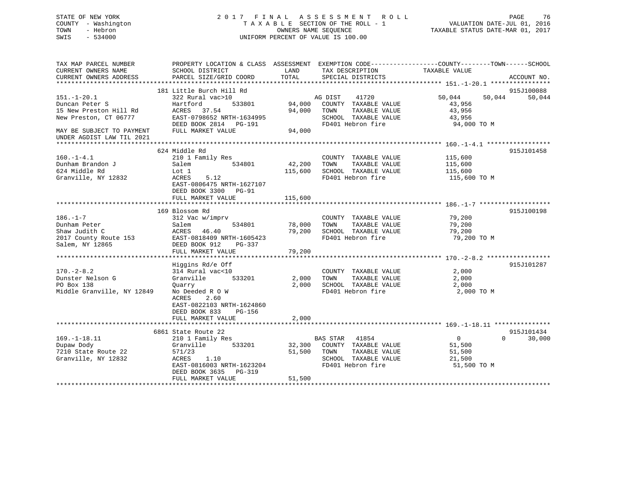## STATE OF NEW YORK 2 0 1 7 F I N A L A S S E S S M E N T R O L L PAGE 76 COUNTY - Washington T A X A B L E SECTION OF THE ROLL - 1 VALUATION DATE-JUL 01, 2016 TOWN - Hebron OWNERS NAME SEQUENCE TAXABLE STATUS DATE-MAR 01, 2017 SWIS - 534000 UNIFORM PERCENT OF VALUE IS 100.00

| TAX MAP PARCEL NUMBER          | PROPERTY LOCATION & CLASS ASSESSMENT |                | EXEMPTION CODE-----------------COUNTY-------TOWN------SCHOOL |                  |                    |
|--------------------------------|--------------------------------------|----------------|--------------------------------------------------------------|------------------|--------------------|
| CURRENT OWNERS NAME            | SCHOOL DISTRICT                      | LAND           | TAX DESCRIPTION                                              | TAXABLE VALUE    |                    |
| CURRENT OWNERS ADDRESS         | PARCEL SIZE/GRID COORD               | TOTAL          | SPECIAL DISTRICTS                                            |                  | ACCOUNT NO.        |
|                                |                                      |                |                                                              |                  |                    |
|                                | 181 Little Burch Hill Rd             |                |                                                              |                  | 915J100088         |
| $151. - 1 - 20.1$              | 322 Rural vac>10                     |                | AG DIST<br>41720                                             | 50,044<br>50,044 | 50,044             |
| Duncan Peter S                 | Hartford<br>533801                   | 94,000         | COUNTY TAXABLE VALUE                                         | 43,956           |                    |
| 15 New Preston Hill Rd         | ACRES 37.54                          | 94,000         | TAXABLE VALUE<br>TOWN                                        | 43,956           |                    |
| New Preston, CT 06777          | EAST-0798652 NRTH-1634995            |                | SCHOOL TAXABLE VALUE                                         | 43,956           |                    |
|                                | DEED BOOK 2814 PG-191                |                | FD401 Hebron fire                                            | 94,000 TO M      |                    |
| MAY BE SUBJECT TO PAYMENT      | FULL MARKET VALUE                    | 94,000         |                                                              |                  |                    |
| UNDER AGDIST LAW TIL 2021      |                                      |                |                                                              |                  |                    |
|                                |                                      |                |                                                              |                  |                    |
|                                | 624 Middle Rd                        |                |                                                              |                  | 915J101458         |
| $160. -1 - 4.1$                | 210 1 Family Res                     |                | COUNTY TAXABLE VALUE                                         | 115,600          |                    |
| Dunham Brandon J               | 534801<br>Salem                      | 42,200         | TOWN<br>TAXABLE VALUE                                        | 115,600          |                    |
| 624 Middle Rd                  | Lot 1                                | 115,600        | SCHOOL TAXABLE VALUE                                         | 115,600          |                    |
| Granville, NY 12832            | ACRES<br>5.12                        |                | FD401 Hebron fire                                            | 115,600 TO M     |                    |
|                                | EAST-0806475 NRTH-1627107            |                |                                                              |                  |                    |
|                                | DEED BOOK 3300<br>$PG-91$            |                |                                                              |                  |                    |
|                                | FULL MARKET VALUE                    | 115,600        |                                                              |                  |                    |
|                                |                                      |                |                                                              |                  |                    |
|                                | 169 Blossom Rd                       |                |                                                              |                  | 915J100198         |
| $186. - 1 - 7$                 | 312 Vac w/imprv                      |                | COUNTY TAXABLE VALUE                                         | 79,200           |                    |
| Dunham Peter                   | 534801<br>Salem                      | 78,000         | TOWN<br>TAXABLE VALUE                                        | 79,200           |                    |
| Shaw Judith C                  | ACRES<br>46.40                       | 79,200         | SCHOOL TAXABLE VALUE                                         | 79,200           |                    |
| 2017 County Route 153          | EAST-0818409 NRTH-1605423            |                | FD401 Hebron fire                                            | 79,200 TO M      |                    |
| Salem, NY 12865                | DEED BOOK 912<br>PG-337              |                |                                                              |                  |                    |
|                                | FULL MARKET VALUE                    | 79,200         |                                                              |                  |                    |
|                                |                                      |                |                                                              |                  |                    |
|                                | Higgins Rd/e Off                     |                |                                                              |                  | 915J101287         |
| $170. - 2 - 8.2$               |                                      |                | COUNTY TAXABLE VALUE                                         | 2,000            |                    |
|                                | 314 Rural vac<10<br>533201           |                |                                                              |                  |                    |
| Dunster Nelson G<br>PO Box 138 | Granville                            | 2,000<br>2,000 | TOWN<br>TAXABLE VALUE<br>SCHOOL TAXABLE VALUE                | 2,000            |                    |
|                                | Quarry                               |                |                                                              | 2,000            |                    |
| Middle Granville, NY 12849     | No Deeded R O W                      |                | FD401 Hebron fire                                            | 2,000 TO M       |                    |
|                                | 2.60<br>ACRES                        |                |                                                              |                  |                    |
|                                | EAST-0822103 NRTH-1624860            |                |                                                              |                  |                    |
|                                | DEED BOOK 833<br>PG-156              |                |                                                              |                  |                    |
|                                | FULL MARKET VALUE                    | 2,000          |                                                              |                  |                    |
|                                |                                      |                |                                                              |                  |                    |
|                                | 6861 State Route 22                  |                |                                                              |                  | 915J101434         |
| $169. - 1 - 18.11$             | 210 1 Family Res                     |                | BAS STAR 41854                                               | $\overline{0}$   | $\Omega$<br>30,000 |
| Dupaw Dody                     | 533201<br>Granville                  | 32,300         | COUNTY TAXABLE VALUE                                         | 51,500           |                    |
| 7210 State Route 22            | 571/23                               | 51,500         | TOWN<br>TAXABLE VALUE                                        | 51,500           |                    |
| Granville, NY 12832            | ACRES<br>1.10                        |                | SCHOOL TAXABLE VALUE                                         | 21,500           |                    |
|                                | EAST-0816003 NRTH-1623204            |                | FD401 Hebron fire                                            | 51,500 TO M      |                    |
|                                | DEED BOOK 3635<br>PG-319             |                |                                                              |                  |                    |
|                                | FULL MARKET VALUE                    | 51,500         |                                                              |                  |                    |
|                                |                                      |                |                                                              |                  |                    |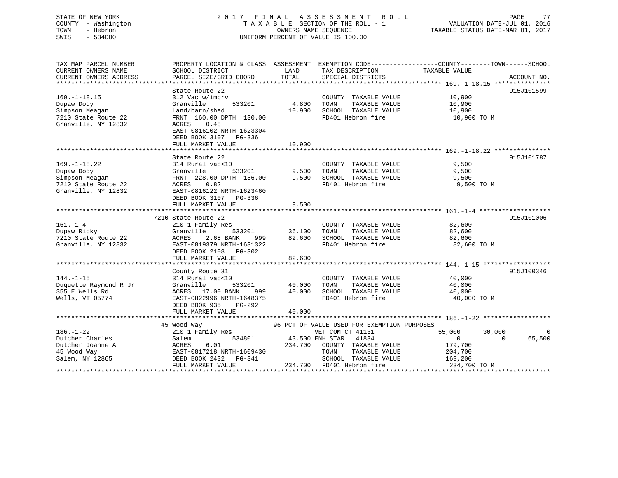## STATE OF NEW YORK 2 0 1 7 F I N A L A S S E S S M E N T R O L L PAGE 77 COUNTY - Washington T A X A B L E SECTION OF THE ROLL - 1 VALUATION DATE-JUL 01, 2016 TOWN - Hebron OWNERS NAME SEQUENCE TAXABLE STATUS DATE-MAR 01, 2017 SWIS - 534000 UNIFORM PERCENT OF VALUE IS 100.00

| TAX MAP PARCEL NUMBER<br>CURRENT OWNERS NAME | PROPERTY LOCATION & CLASS ASSESSMENT<br>SCHOOL DISTRICT | LAND                   | EXEMPTION CODE-----------------COUNTY-------TOWN------SCHOOL<br>TAX DESCRIPTION | TAXABLE VALUE    |                    |
|----------------------------------------------|---------------------------------------------------------|------------------------|---------------------------------------------------------------------------------|------------------|--------------------|
| CURRENT OWNERS ADDRESS                       | PARCEL SIZE/GRID COORD                                  | TOTAL                  | SPECIAL DISTRICTS                                                               |                  | ACCOUNT NO.        |
|                                              |                                                         |                        |                                                                                 |                  |                    |
|                                              | State Route 22                                          |                        |                                                                                 |                  | 915J101599         |
| $169. - 1 - 18.15$                           | 312 Vac w/imprv                                         |                        | COUNTY TAXABLE VALUE                                                            | 10,900           |                    |
| Dupaw Dody                                   | 533201<br>Granville                                     | 4,800                  | TAXABLE VALUE<br>TOWN                                                           | 10,900           |                    |
| Simpson Meagan                               | Land/barn/shed                                          | 10,900                 | SCHOOL TAXABLE VALUE                                                            | 10,900           |                    |
| 7210 State Route 22                          | FRNT 160.00 DPTH 130.00                                 |                        | FD401 Hebron fire                                                               | 10,900 TO M      |                    |
| Granville, NY 12832                          | 0.48<br>ACRES                                           |                        |                                                                                 |                  |                    |
|                                              | EAST-0816102 NRTH-1623304                               |                        |                                                                                 |                  |                    |
|                                              | DEED BOOK 3107<br>PG-336                                |                        |                                                                                 |                  |                    |
|                                              | FULL MARKET VALUE                                       | 10,900                 |                                                                                 |                  |                    |
|                                              |                                                         |                        |                                                                                 |                  |                    |
|                                              | State Route 22                                          |                        |                                                                                 |                  | 915J101787         |
| $169. - 1 - 18.22$                           | 314 Rural vac<10                                        |                        | COUNTY TAXABLE VALUE                                                            | 9,500            |                    |
| Dupaw Dody                                   | 533201<br>Granville                                     | 9,500                  | TOWN<br>TAXABLE VALUE                                                           | 9,500            |                    |
| 22<br>Simpson Meagan                         | FRNT 228.00 DPTH 156.00                                 | 9,500                  | SCHOOL TAXABLE VALUE                                                            | 9,500            |                    |
| 7210 State Route 22                          | ACRES 0.82                                              |                        | FD401 Hebron fire                                                               | 9,500 TO M       |                    |
| Granville, NY 12832                          | EAST-0816122 NRTH-1623460                               |                        |                                                                                 |                  |                    |
|                                              | DEED BOOK 3107 PG-336                                   |                        |                                                                                 |                  |                    |
|                                              | FULL MARKET VALUE                                       | 9,500                  |                                                                                 |                  |                    |
|                                              |                                                         |                        |                                                                                 |                  |                    |
| $161. - 1 - 4$                               | 7210 State Route 22<br>210 1 Family Res                 |                        | COUNTY TAXABLE VALUE                                                            | 82,600           | 915J101006         |
| Dupaw Ricky                                  | Granville<br>533201                                     | 36,100                 | TAXABLE VALUE<br>TOWN                                                           | 82,600           |                    |
| 7210 State Route 22                          | 2.68 BANK<br>ACRES<br>999                               | 82,600                 | SCHOOL TAXABLE VALUE                                                            | 82,600           |                    |
| Granville, NY 12832                          | EAST-0819379 NRTH-1631322                               |                        | FD401 Hebron fire                                                               | 82,600 TO M      |                    |
|                                              | DEED BOOK 2108 PG-302                                   |                        |                                                                                 |                  |                    |
|                                              | FULL MARKET VALUE                                       | 82,600                 |                                                                                 |                  |                    |
|                                              |                                                         |                        |                                                                                 |                  |                    |
|                                              | County Route 31                                         |                        |                                                                                 |                  | 915J100346         |
| $144. - 1 - 15$                              | 314 Rural vac<10                                        |                        | COUNTY TAXABLE VALUE                                                            | 40,000           |                    |
| Duquette Raymond R Jr                        | Granville<br>533201                                     | 40,000                 | TOWN<br>TAXABLE VALUE                                                           | 40,000           |                    |
| 355 E Wells Rd                               | ACRES 17.00 BANK<br>999                                 | 40,000                 | SCHOOL TAXABLE VALUE                                                            | 40,000           |                    |
| Wells, VT 05774                              | EAST-0822996 NRTH-1648375                               |                        | FD401 Hebron fire                                                               | 40,000 TO M      |                    |
|                                              | DEED BOOK 935<br>PG-292                                 |                        |                                                                                 |                  |                    |
|                                              | FULL MARKET VALUE                                       | 40,000                 |                                                                                 |                  |                    |
|                                              |                                                         |                        |                                                                                 |                  |                    |
|                                              | 45 Wood Way                                             |                        | 96 PCT OF VALUE USED FOR EXEMPTION PURPOSES                                     |                  |                    |
| $186. - 1 - 22$                              | 210 1 Family Res                                        |                        | VET COM CT 41131                                                                | 55,000<br>30,000 | $\Omega$           |
| Dutcher Charles                              | Salem                                                   | 534801 43,500 ENH STAR | 41834                                                                           | $\overline{0}$   | 65,500<br>$\Omega$ |
| Dutcher Joanne A                             | 6.01<br>ACRES                                           | 234,700                | COUNTY TAXABLE VALUE                                                            | 179,700          |                    |
| 45 Wood Way                                  | EAST-0817218 NRTH-1609430                               |                        | TOWN<br>TAXABLE VALUE                                                           | 204,700          |                    |
| Salem, NY 12865                              | DEED BOOK 2432    PG-341                                |                        | SCHOOL TAXABLE VALUE                                                            | 169,200          |                    |
|                                              | FULL MARKET VALUE                                       |                        | 234,700 FD401 Hebron fire                                                       | 234,700 TO M     |                    |
|                                              |                                                         |                        |                                                                                 |                  |                    |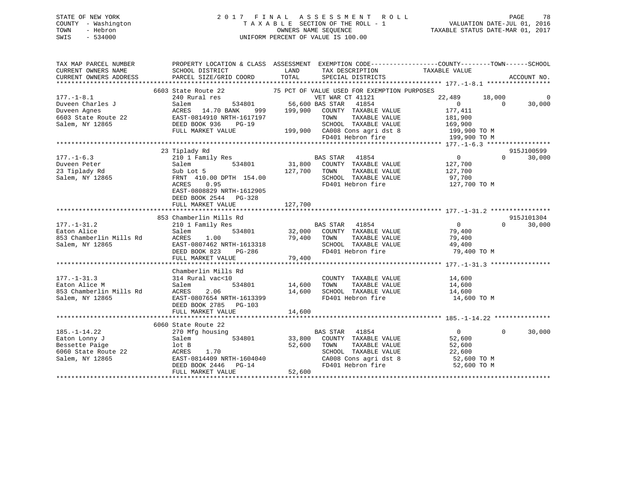## STATE OF NEW YORK 2 0 1 7 F I N A L A S S E S S M E N T R O L L PAGE 78 COUNTY - Washington T A X A B L E SECTION OF THE ROLL - 1 VALUATION DATE-JUL 01, 2016 TOWN - Hebron OWNERS NAME SEQUENCE TAXABLE STATUS DATE-MAR 01, 2017 SWIS - 534000 UNIFORM PERCENT OF VALUE IS 100.00

| TAX MAP PARCEL NUMBER<br>CURRENT OWNERS NAME                                       | SCHOOL DISTRICT<br>CURRENT OWNERS ADDRESS PARCEL SIZE/GRID COORD                         | LAND<br>TAX DESCRIPTION TAXABLE VALUE SPECIAL DISTRICTS                                                                                                                         | PROPERTY LOCATION & CLASS ASSESSMENT EXEMPTION CODE----------------COUNTY-------TOWN------SCHOOL                                                                                                                                                                   |
|------------------------------------------------------------------------------------|------------------------------------------------------------------------------------------|---------------------------------------------------------------------------------------------------------------------------------------------------------------------------------|--------------------------------------------------------------------------------------------------------------------------------------------------------------------------------------------------------------------------------------------------------------------|
|                                                                                    |                                                                                          | TOTAL<br>SPECIAL DISTRICTS                                                                                                                                                      | ACCOUNT NO.                                                                                                                                                                                                                                                        |
|                                                                                    |                                                                                          |                                                                                                                                                                                 |                                                                                                                                                                                                                                                                    |
| $177. - 1 - 8.1$                                                                   | 240 Rural res                                                                            | 6603 State Route 22 75 PCT OF VALUE USED FOR EXEMPTION PURPOSES<br>VET WAR CT 41121<br>534801 56,600 BAS STAR 41854                                                             | 18,000<br>22,489<br>$\Omega$                                                                                                                                                                                                                                       |
| 177.-1-8.1<br>Duveen Charles J<br>Duveen Agnes<br>6603 State Route 22<br>Nuv 12865 | Salem<br>ACRES 14.70 BANK                                                                | 999 199,900 COUNTY TAXABLE VALUE                                                                                                                                                | $\begin{matrix}0&0\end{matrix}$<br>30,000<br>177,411                                                                                                                                                                                                               |
|                                                                                    | EAST-0814910 NRTH-1617197<br>DEED BOOK 936<br>$PG-19$                                    | 1617197 TOWN TAXABLE VALUE 181,900<br>G-19 SCHOOL TAXABLE VALUE 169,900<br>199,900 CA008 Cons agri dst 8 199,900 TO M<br>FD401 Hebron fire 199,900 TO M                         |                                                                                                                                                                                                                                                                    |
|                                                                                    | FULL MARKET VALUE                                                                        |                                                                                                                                                                                 |                                                                                                                                                                                                                                                                    |
|                                                                                    |                                                                                          |                                                                                                                                                                                 |                                                                                                                                                                                                                                                                    |
|                                                                                    | 23 Tiplady Rd                                                                            |                                                                                                                                                                                 | 915J100599                                                                                                                                                                                                                                                         |
| $177. - 1 - 6.3$<br>Duveen Peter<br>23 Tiplady Rd<br>Salem, NY 12865               | Sub Lot 5<br>Sub Lot 5<br>FRNT 410.<br>FRNT 410.00 DPTH 154.00                           | Tiplady kd<br>210 1 Family Res 634801 BAS STAR 41854<br>221am 134801 131,800 COUNTY TAXABLE VALUE<br>127,700 TOWN<br>TAXABLE VALUE<br>SCHOOL TAXABLE VALUE<br>FD401 Hebron fire | $\frac{0}{127,700}$<br>$0 \qquad \qquad$<br>30,000<br>127,700<br>97,700<br>127,700 TO M                                                                                                                                                                            |
|                                                                                    | ACRES<br>0.95<br>EAST-0808829 NRTH-1612905<br>DEED BOOK 2544 PG-328<br>FULL MARKET VALUE | 127,700                                                                                                                                                                         |                                                                                                                                                                                                                                                                    |
|                                                                                    |                                                                                          |                                                                                                                                                                                 |                                                                                                                                                                                                                                                                    |
|                                                                                    | 853 Chamberlin Mills Rd                                                                  |                                                                                                                                                                                 | 915J101304                                                                                                                                                                                                                                                         |
| $177. - 1 - 31.2$<br>Eaton Alice                                                   | 210 1 Family Res<br>Salem                                                                | 3 Rd<br>32,000 COUNTY TAXABLE VALUE 79,400<br>534801 32,000 COUNTY TAXABLE VALUE 79,400                                                                                         | $\Omega$<br>30,000<br>853 Chamberlin Mills Rd<br>853 Chamberlin Mills Rd<br>863 Chamberlin Mills Rd<br>861em, NY 12865 EAST-0807462 NRTH-1613318<br>862 EAST-0807462 NRTH-1613318<br>862 EAST-0807462 NRTH-1613318<br>862 EAST-0807462 NRTH-1613318<br>879,400 EVI |
|                                                                                    |                                                                                          |                                                                                                                                                                                 |                                                                                                                                                                                                                                                                    |
|                                                                                    |                                                                                          |                                                                                                                                                                                 |                                                                                                                                                                                                                                                                    |
| $177. - 1 - 31.3$<br>Eaton Alice M<br>853 Chamberlin Mills Rd                      | Chamberlin Mills Rd<br>314 Rural vac<10<br>Salem<br>2.06<br>ACRES                        | COUNTY TAXABLE VALUE<br>TAXABLE VALUE<br>534801 14,600<br>TOWN<br>SCHOOL TAXABLE VALUE 14,600<br>14,600                                                                         | 14,600<br>14,600                                                                                                                                                                                                                                                   |
| Salem, NY 12865                                                                    | EAST-0807654 NRTH-1613399<br>DEED BOOK 2785 PG-103                                       | FD401 Hebron fire                                                                                                                                                               | 14,600 TO M                                                                                                                                                                                                                                                        |
|                                                                                    |                                                                                          |                                                                                                                                                                                 |                                                                                                                                                                                                                                                                    |
|                                                                                    | 6060 State Route 22                                                                      |                                                                                                                                                                                 |                                                                                                                                                                                                                                                                    |
| $185. - 1 - 14.22$<br>Eaton Lonny J<br>Bessette Paige                              | 270 Mfg housing<br>Salem<br>lot B                                                        | BAS STAR 41854<br>534801 33,800 COUNTY TAXABLE VALUE<br>52,600                                                                                                                  | $\overline{0}$<br>$\mathbf{0}$<br>30,000<br>52,600                                                                                                                                                                                                                 |
| 6060 State Route 22<br>Salem, NY 12865                                             | ACRES<br>1.70<br>EAST-0814409 NRTH-1604040<br>DEED BOOK 2446 PG-14<br>FULL MARKET VALUE  | CONSIDER THE VALUE CONSIDER SCHOOL TAXABLE VALUE 52,600<br>CA008 Cons agri dst 8 52,600<br>FD401 Hebron fire 52,600 TO M<br>FD401 Hebron fire 52,600 TO M<br>52,600             |                                                                                                                                                                                                                                                                    |
|                                                                                    |                                                                                          |                                                                                                                                                                                 |                                                                                                                                                                                                                                                                    |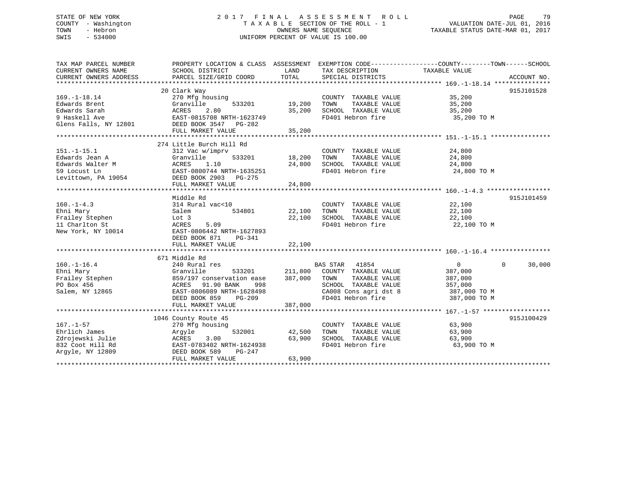## STATE OF NEW YORK 2 0 1 7 F I N A L A S S E S S M E N T R O L L PAGE 79 COUNTY - Washington T A X A B L E SECTION OF THE ROLL - 1 VALUATION DATE-JUL 01, 2016 TOWN - Hebron OWNERS NAME SEQUENCE TAXABLE STATUS DATE-MAR 01, 2017 SWIS - 534000 UNIFORM PERCENT OF VALUE IS 100.00

| TAX MAP PARCEL NUMBER  |                                                                                                                                                                                                                                |               |                                                                                                                                                                                                                     | PROPERTY LOCATION & CLASS ASSESSMENT EXEMPTION CODE----------------COUNTY-------TOWN------SCHOOL |             |
|------------------------|--------------------------------------------------------------------------------------------------------------------------------------------------------------------------------------------------------------------------------|---------------|---------------------------------------------------------------------------------------------------------------------------------------------------------------------------------------------------------------------|--------------------------------------------------------------------------------------------------|-------------|
| CURRENT OWNERS NAME    | SCHOOL DISTRICT                                                                                                                                                                                                                | LAND          | TAX DESCRIPTION                                                                                                                                                                                                     | TAXABLE VALUE                                                                                    |             |
| CURRENT OWNERS ADDRESS | PARCEL SIZE/GRID COORD                                                                                                                                                                                                         | TOTAL         | SPECIAL DISTRICTS                                                                                                                                                                                                   |                                                                                                  | ACCOUNT NO. |
|                        |                                                                                                                                                                                                                                |               |                                                                                                                                                                                                                     |                                                                                                  |             |
|                        | 20 Clark Way                                                                                                                                                                                                                   |               |                                                                                                                                                                                                                     |                                                                                                  | 915J101528  |
| $169. - 1 - 18.14$     | 270 Mfg housing                                                                                                                                                                                                                |               | $\begin{tabular}{lllllll} \multicolumn{2}{c}{\text{COUNTY}} & \text{TAXABLE VALUE} & & & & 35,200 \\ \multicolumn{2}{c}{\text{max}} & \multicolumn{2}{c}{\text{TAXABLE}} & \text{VALUE} & & & 35,200 \end{tabular}$ |                                                                                                  |             |
| Edwards Brent          | 533201<br>Granville                                                                                                                                                                                                            | 19,200        |                                                                                                                                                                                                                     |                                                                                                  |             |
|                        |                                                                                                                                                                                                                                | 35,200        | SCHOOL TAXABLE VALUE 35,200                                                                                                                                                                                         |                                                                                                  |             |
|                        |                                                                                                                                                                                                                                |               | FD401 Hebron fire                                                                                                                                                                                                   | 35,200 TO M                                                                                      |             |
|                        | Edwards Sarah and a creater and a creater and a marked and a matched and a matched and a matched and a matched and a matched and a matched and a matched a matched and a matched and a matched a matched a matched a matched a |               |                                                                                                                                                                                                                     |                                                                                                  |             |
|                        | FULL MARKET VALUE                                                                                                                                                                                                              | 35,200        |                                                                                                                                                                                                                     |                                                                                                  |             |
|                        |                                                                                                                                                                                                                                |               |                                                                                                                                                                                                                     |                                                                                                  |             |
|                        | 274 Little Burch Hill Rd                                                                                                                                                                                                       |               |                                                                                                                                                                                                                     |                                                                                                  |             |
| $151. - 1 - 15.1$      | 312 Vac w/imprv                                                                                                                                                                                                                |               | COUNTY TAXABLE VALUE                                                                                                                                                                                                | 24,800                                                                                           |             |
| Edwards Jean A         | Granville<br>533201                                                                                                                                                                                                            | 18,200        | TOWN<br>TAXABLE VALUE                                                                                                                                                                                               | 24,800                                                                                           |             |
|                        |                                                                                                                                                                                                                                | 24,800        | SCHOOL TAXABLE VALUE 24,800                                                                                                                                                                                         |                                                                                                  |             |
|                        |                                                                                                                                                                                                                                |               | FD401 Hebron fire 24,800 TO M                                                                                                                                                                                       |                                                                                                  |             |
|                        | Edwards Walter M<br>Edwards Walter M<br>59 Locust Ln<br>Levittown, PA 19054<br>Levittown, PA 19054<br>DEED BOOK 2903 PG-275                                                                                                    |               |                                                                                                                                                                                                                     |                                                                                                  |             |
|                        | FULL MARKET VALUE                                                                                                                                                                                                              | 24,800        |                                                                                                                                                                                                                     |                                                                                                  |             |
|                        |                                                                                                                                                                                                                                |               |                                                                                                                                                                                                                     |                                                                                                  |             |
|                        | Middle Rd                                                                                                                                                                                                                      |               |                                                                                                                                                                                                                     |                                                                                                  | 915J101459  |
| $160. -1 - 4.3$        | 314 Rural vac<10                                                                                                                                                                                                               |               | COUNTY TAXABLE VALUE                                                                                                                                                                                                | 22,100                                                                                           |             |
| Ehni Mary              | Salem<br>534801                                                                                                                                                                                                                | 22,100        | TOWN<br>TAXABLE VALUE                                                                                                                                                                                               |                                                                                                  |             |
| Frailey Stephen        | Lot 3                                                                                                                                                                                                                          | 22,100        | SCHOOL TAXABLE VALUE                                                                                                                                                                                                | 22,100<br>22,100                                                                                 |             |
| 11 Charlton St         | 5.09<br>ACRES                                                                                                                                                                                                                  |               | FD401 Hebron fire 22,100 TO M                                                                                                                                                                                       |                                                                                                  |             |
| New York, NY 10014     | EAST-0806442 NRTH-1627893                                                                                                                                                                                                      |               |                                                                                                                                                                                                                     |                                                                                                  |             |
|                        | DEED BOOK 871<br>PG-341                                                                                                                                                                                                        |               |                                                                                                                                                                                                                     |                                                                                                  |             |
|                        | FULL MARKET VALUE                                                                                                                                                                                                              | 22,100        |                                                                                                                                                                                                                     |                                                                                                  |             |
|                        |                                                                                                                                                                                                                                |               |                                                                                                                                                                                                                     |                                                                                                  |             |
|                        | 671 Middle Rd                                                                                                                                                                                                                  |               |                                                                                                                                                                                                                     |                                                                                                  |             |
| $160. - 1 - 16.4$      | 240 Rural res                                                                                                                                                                                                                  |               | BAS STAR 41854                                                                                                                                                                                                      | $0 \qquad \qquad$<br>$\Omega$                                                                    | 30,000      |
|                        |                                                                                                                                                                                                                                |               | 211,800 COUNTY TAXABLE VALUE                                                                                                                                                                                        | 387,000                                                                                          |             |
|                        |                                                                                                                                                                                                                                | 387,000       | TAXABLE VALUE<br>TOWN                                                                                                                                                                                               | 387,000                                                                                          |             |
|                        |                                                                                                                                                                                                                                |               | SCHOOL TAXABLE VALUE                                                                                                                                                                                                |                                                                                                  |             |
| Salem, NY 12865        | Frailey Stephen<br>Enil Mary Stephen<br>Frailey Stephen<br>Po Box 456<br>Po Box 456<br>Salem, NY 12865<br>Salem, NY 12865<br>Po Box 456<br>BAST-0806089 NRTH-1628498<br>EAST-0806089 NRTH-1628498                              |               | SCHOOL TAXABLE VALUE 357,000<br>CA008 Cons agri dst 8 387,000 TO M                                                                                                                                                  |                                                                                                  |             |
|                        | DEED BOOK 859<br>PG-209                                                                                                                                                                                                        |               | FD401 Hebron fire 387,000 TO M                                                                                                                                                                                      |                                                                                                  |             |
|                        |                                                                                                                                                                                                                                | 387,000       |                                                                                                                                                                                                                     |                                                                                                  |             |
|                        | FULL MARKET VALUE                                                                                                                                                                                                              |               |                                                                                                                                                                                                                     |                                                                                                  |             |
|                        |                                                                                                                                                                                                                                |               |                                                                                                                                                                                                                     |                                                                                                  |             |
|                        | 1046 County Route 45                                                                                                                                                                                                           |               |                                                                                                                                                                                                                     |                                                                                                  | 915J100429  |
| $167. - 1 - 57$        | 270 Mfg housing                                                                                                                                                                                                                |               | COUNTY TAXABLE VALUE 63,900                                                                                                                                                                                         |                                                                                                  |             |
| Ehrlich James          | Argyle                                                                                                                                                                                                                         | 532001 42,500 | TOWN                                                                                                                                                                                                                | TAXABLE VALUE 63,900                                                                             |             |
|                        |                                                                                                                                                                                                                                | 63,900        | SCHOOL TAXABLE VALUE 63,900                                                                                                                                                                                         |                                                                                                  |             |
|                        |                                                                                                                                                                                                                                |               | FD401 Hebron fire                                                                                                                                                                                                   | 63,900 TO M                                                                                      |             |
| Arqyle, NY 12809       | PG-247<br>DEED BOOK 589                                                                                                                                                                                                        |               |                                                                                                                                                                                                                     |                                                                                                  |             |
|                        | FULL MARKET VALUE                                                                                                                                                                                                              | 63,900        |                                                                                                                                                                                                                     |                                                                                                  |             |
|                        |                                                                                                                                                                                                                                |               |                                                                                                                                                                                                                     |                                                                                                  |             |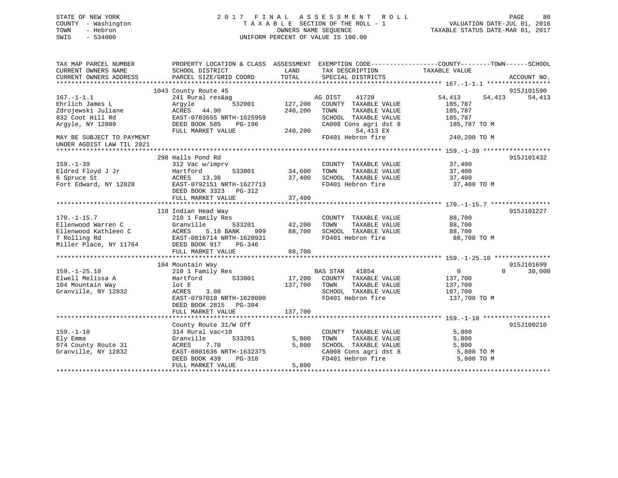## STATE OF NEW YORK 2 0 1 7 F I N A L A S S E S S M E N T R O L L PAGE 80 COUNTY - Washington T A X A B L E SECTION OF THE ROLL - 1 VALUATION DATE-JUL 01, 2016 TOWN - Hebron OWNERS NAME SEQUENCE TAXABLE STATUS DATE-MAR 01, 2017 SWIS - 534000 UNIFORM PERCENT OF VALUE IS 100.00

| TAX MAP PARCEL NUMBER<br>CURRENT OWNERS NAME | PROPERTY LOCATION & CLASS ASSESSMENT EXEMPTION CODE----------------COUNTY-------TOWN------SCHOOL<br>SCHOOL DISTRICT | LAND    | TAX DESCRIPTION          | TAXABLE VALUE              |             |
|----------------------------------------------|---------------------------------------------------------------------------------------------------------------------|---------|--------------------------|----------------------------|-------------|
| CURRENT OWNERS ADDRESS                       | PARCEL SIZE/GRID COORD                                                                                              | TOTAL   | SPECIAL DISTRICTS        |                            | ACCOUNT NO. |
|                                              |                                                                                                                     |         |                          |                            |             |
|                                              | 1043 County Route 45                                                                                                |         |                          |                            | 915J101590  |
| $167. - 1 - 1.1$                             | 241 Rural res&ag                                                                                                    |         | AG DIST<br>41720         | 54,413<br>54,413           | 54,413      |
| Ehrlich James L                              | 532001<br>Argyle                                                                                                    | 127,200 | COUNTY TAXABLE VALUE     | 185,787                    |             |
| Zdrojewski Juliane                           | ACRES<br>44.90                                                                                                      | 240,200 | TOWN<br>TAXABLE VALUE    | 185,787                    |             |
| 832 Coot Hill Rd                             | EAST-0783655 NRTH-1625959                                                                                           |         | SCHOOL TAXABLE VALUE     | 185,787                    |             |
| Argyle, NY 12809                             | DEED BOOK 585<br>PG-196                                                                                             |         | CA008 Cons agri dst 8    | 185,787 TO M               |             |
|                                              | FULL MARKET VALUE                                                                                                   | 240,200 | 54,413 EX                |                            |             |
| MAY BE SUBJECT TO PAYMENT                    |                                                                                                                     |         | FD401 Hebron fire        | 240,200 TO M               |             |
| UNDER AGDIST LAW TIL 2021                    |                                                                                                                     |         |                          |                            |             |
|                                              |                                                                                                                     |         |                          |                            |             |
|                                              | 298 Halls Pond Rd                                                                                                   |         |                          |                            | 915J101432  |
| $159. - 1 - 39$                              | 312 Vac w/imprv                                                                                                     |         | COUNTY TAXABLE VALUE     | 37,400                     |             |
| Eldred Floyd J Jr                            | 533801<br>Hartford                                                                                                  | 34,600  | TAXABLE VALUE<br>TOWN    | 37,400                     |             |
| 6 Spruce St                                  | ACRES 13.38                                                                                                         | 37,400  | SCHOOL TAXABLE VALUE     | 37,400                     |             |
| Fort Edward, NY 12828                        | EAST-0792151 NRTH-1627713                                                                                           |         | FD401 Hebron fire        | 37,400 TO M                |             |
|                                              | DEED BOOK 3323 PG-312                                                                                               |         |                          |                            |             |
|                                              | FULL MARKET VALUE                                                                                                   | 37,400  |                          |                            |             |
|                                              |                                                                                                                     |         |                          |                            |             |
|                                              | 118 Indian Head Way                                                                                                 |         |                          |                            | 915J101227  |
| $170. - 1 - 15.7$                            | 210 1 Family Res                                                                                                    |         | COUNTY TAXABLE VALUE     | 88,700                     |             |
| Ellenwood Warren C                           | Granville<br>533201                                                                                                 | 42,200  | TOWN<br>TAXABLE VALUE    | 88,700                     |             |
| Ellenwood Kathleen C                         | ACRES<br>5.10 BANK<br>999                                                                                           | 88,700  | SCHOOL TAXABLE VALUE     | 88,700                     |             |
| 7 Rolling Rd                                 | EAST-0816714 NRTH-1620931                                                                                           |         | FD401 Hebron fire        | 88,700 TO M                |             |
| Miller Place, NY 11764                       | DEED BOOK 917<br>PG-346                                                                                             |         |                          |                            |             |
|                                              | FULL MARKET VALUE                                                                                                   | 88,700  |                          |                            |             |
|                                              |                                                                                                                     |         |                          |                            |             |
|                                              | 104 Mountain Way                                                                                                    |         |                          |                            | 915J101699  |
| $159. - 1 - 25.10$                           | 210 1 Family Res                                                                                                    |         | <b>BAS STAR</b><br>41854 | $\overline{0}$<br>$\Omega$ | 30,000      |
| Elwell Melissa A                             | 533801<br>Hartford                                                                                                  | 17,200  | COUNTY TAXABLE VALUE     | 137,700                    |             |
| 104 Mountain Way                             | lot E                                                                                                               | 137,700 | TOWN<br>TAXABLE VALUE    | 137,700                    |             |
| Granville, NY 12832                          | ACRES<br>3.08                                                                                                       |         | SCHOOL TAXABLE VALUE     | 107,700                    |             |
|                                              | EAST-0797018 NRTH-1628000                                                                                           |         | FD401 Hebron fire        | 137,700 TO M               |             |
|                                              | DEED BOOK 2815<br>PG-304                                                                                            |         |                          |                            |             |
|                                              | FULL MARKET VALUE                                                                                                   | 137,700 |                          |                            |             |
|                                              |                                                                                                                     |         |                          |                            |             |
|                                              | County Route 31/W Off                                                                                               |         |                          |                            | 915J100210  |
| $159. - 1 - 10$                              | 314 Rural vac<10                                                                                                    |         | COUNTY TAXABLE VALUE     | 5,800                      |             |
| Ely Emma                                     | Granville<br>533201                                                                                                 | 5,800   | TAXABLE VALUE<br>TOWN    | 5,800                      |             |
| 974 County Route 31                          | 7.70<br>ACRES                                                                                                       | 5,800   | SCHOOL TAXABLE VALUE     | 5,800                      |             |
| Granville, NY 12832                          | EAST-0801636 NRTH-1632375                                                                                           |         | CA008 Cons agri dst 8    | 5,800 TO M                 |             |
|                                              | DEED BOOK 439<br><b>PG-310</b>                                                                                      |         | FD401 Hebron fire        | 5,800 TO M                 |             |
|                                              | FULL MARKET VALUE                                                                                                   | 5,800   |                          |                            |             |
|                                              |                                                                                                                     |         |                          |                            |             |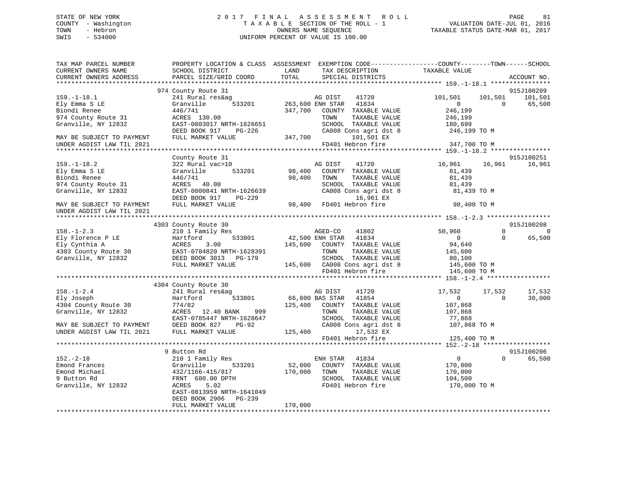## STATE OF NEW YORK 2 0 1 7 F I N A L A S S E S S M E N T R O L L PAGE 81 COUNTY - Washington T A X A B L E SECTION OF THE ROLL - 1 VALUATION DATE-JUL 01, 2016 TOWN - Hebron OWNERS NAME SEQUENCE TAXABLE STATUS DATE-MAR 01, 2017 SWIS - 534000 UNIFORM PERCENT OF VALUE IS 100.00

| TAX MAP PARCEL NUMBER<br>CURRENT OWNERS NAME<br>CURRENT OWNERS ADDRESS                                                                  | SCHOOL DISTRICT<br>PARCEL SIZE/GRID COORD                                                                                                                 | PROPERTY LOCATION & CLASS ASSESSMENT EXEMPTION CODE----------------COUNTY-------TOWN------SCHOOL<br>LAND<br>TAX DESCRIPTION<br>TOTAL<br>SPECIAL DISTRICTS                   | TAXABLE VALUE<br>ACCOUNT NO.                                                                                       |
|-----------------------------------------------------------------------------------------------------------------------------------------|-----------------------------------------------------------------------------------------------------------------------------------------------------------|-----------------------------------------------------------------------------------------------------------------------------------------------------------------------------|--------------------------------------------------------------------------------------------------------------------|
|                                                                                                                                         |                                                                                                                                                           |                                                                                                                                                                             |                                                                                                                    |
|                                                                                                                                         | 974 County Route 31                                                                                                                                       |                                                                                                                                                                             | 915J100209                                                                                                         |
| $159. - 1 - 18.1$<br>Ely Emma S LE<br>Biondi Renee<br>974 County Route 31<br>Granville, NY 12832                                        | 241 Rural res&ag<br>533201<br>Granville<br>446/741<br>ACRES 130.00<br>EAST-0803017 NRTH-1626651                                                           | AG DIST<br>41720<br>263,600 ENH STAR 41834<br>347,700<br>COUNTY TAXABLE VALUE<br>TOWN<br>TAXABLE VALUE<br>SCHOOL TAXABLE VALUE                                              | 101,501<br>101,501<br>101,501<br>$\Omega$<br>$\Omega$<br>65,500<br>246,199<br>246,199<br>180,699                   |
|                                                                                                                                         | DEED BOOK 917<br>PG-226                                                                                                                                   | CA008 Cons agri dst 8                                                                                                                                                       | 246,199 TO M                                                                                                       |
| MAY BE SUBJECT TO PAYMENT<br>UNDER AGDIST LAW TIL 2021                                                                                  | FULL MARKET VALUE                                                                                                                                         | 347,700<br>101,501 EX<br>FD401 Hebron fire                                                                                                                                  | 347,700 TO M                                                                                                       |
|                                                                                                                                         |                                                                                                                                                           |                                                                                                                                                                             |                                                                                                                    |
|                                                                                                                                         | County Route 31                                                                                                                                           |                                                                                                                                                                             | 915J100251                                                                                                         |
| $159. - 1 - 18.2$<br>Ely Emma S LE<br>Biondi Renee<br>974 County Route 31<br>Granville, NY 12832                                        | 322 Rural vac>10<br>Granville<br>533201<br>446/741<br>ACRES 40.00<br>EAST-0800841 NRTH-1626639                                                            | AG DIST<br>41720<br>98,400<br>COUNTY TAXABLE VALUE<br>98,400<br>TOWN<br>TAXABLE VALUE<br>SCHOOL TAXABLE VALUE<br>CA008 Cons agri dst 8                                      | 16,961<br>16,961<br>16,961<br>81,439<br>81,439<br>81,439<br>81,439 TO M                                            |
| MAY BE SUBJECT TO PAYMENT                                                                                                               | DEED BOOK 917<br>PG-229<br>FULL MARKET VALUE                                                                                                              | 16,961 EX<br>98,400 FD401 Hebron fire                                                                                                                                       | 98,400 TO M                                                                                                        |
| UNDER AGDIST LAW TIL 2021                                                                                                               |                                                                                                                                                           |                                                                                                                                                                             |                                                                                                                    |
|                                                                                                                                         |                                                                                                                                                           |                                                                                                                                                                             |                                                                                                                    |
|                                                                                                                                         | 4303 County Route 30                                                                                                                                      |                                                                                                                                                                             | 915J100208                                                                                                         |
| $158. - 1 - 2.3$<br>Ely Florence P LE<br>The Computer A                                                                                 | 210 1 Family Res<br>533801<br>Hartford<br>ACRES<br>3.00                                                                                                   | 41802<br>AGED-CO<br>42,500 ENH STAR 41834<br>145,600 COUNTY TAXABLE VALUE<br>TOWN<br>TAXABLE VALUE                                                                          | 50,960<br>$\Omega$<br>65,500<br>$\overline{0}$<br>$\Omega$<br>94,640<br>145,600                                    |
| 4303 County Route 30<br>Granville, NY 12832                                                                                             | EAST-0784820 NRTH-1628391<br>DEED BOOK 3013 PG-179<br>FULL MARKET VALUE                                                                                   | SCHOOL TAXABLE VALUE<br>145,600 CA008 Cons agri dst 8<br>FD401 Hebron fire                                                                                                  | 80,100<br>145,600 TO M<br>145,600 TO M                                                                             |
|                                                                                                                                         |                                                                                                                                                           |                                                                                                                                                                             |                                                                                                                    |
|                                                                                                                                         | 4304 County Route 30                                                                                                                                      |                                                                                                                                                                             |                                                                                                                    |
| $158. - 1 - 2.4$<br>Ely Joseph<br>4304 County Route 30<br>Granville, NY 12832<br>MAY BE SUBJECT TO PAYMENT<br>UNDER AGDIST LAW TIL 2021 | 241 Rural res&ag<br>Hartford<br>533801<br>774/82<br>999<br>ACRES 12.40 BANK<br>EAST-0785447 NRTH-1628647<br>DEED BOOK 827<br>$PG-92$<br>FULL MARKET VALUE | AG DIST<br>41720<br>66,800 BAS STAR 41854<br>125,400 COUNTY TAXABLE VALUE<br>TAXABLE VALUE<br>TOWN<br>SCHOOL TAXABLE VALUE<br>CA008 Cons agri dst 8<br>125,400<br>17,532 EX | 17,532<br>17,532<br>17,532<br>$\overline{0}$<br>$\Omega$<br>30,000<br>107,868<br>107,868<br>77,868<br>107,868 TO M |
|                                                                                                                                         |                                                                                                                                                           | FD401 Hebron fire                                                                                                                                                           | 125,400 TO M                                                                                                       |
|                                                                                                                                         | 9 Button Rd                                                                                                                                               |                                                                                                                                                                             | 915J100206                                                                                                         |
| $152. - 2 - 18$<br>Emond Frances<br>Emond Michael<br>9 Button Rd<br>Granville, NY 12832                                                 | 210 1 Family Res<br>Granville<br>533201<br>432/1166-415/817<br>FRNT 680.00 DPTH<br>ACRES<br>5.02<br>EAST-0813959 NRTH-1641049<br>DEED BOOK 2906 PG-239    | ENH STAR<br>41834<br>52,000<br>COUNTY TAXABLE VALUE<br>170,000<br>TOWN<br>TAXABLE VALUE<br>SCHOOL TAXABLE VALUE<br>FD401 Hebron fire                                        | $\overline{0}$<br>$\Omega$<br>65,500<br>170,000<br>170,000<br>104,500<br>170,000 TO M                              |
|                                                                                                                                         | FULL MARKET VALUE                                                                                                                                         | 170,000                                                                                                                                                                     |                                                                                                                    |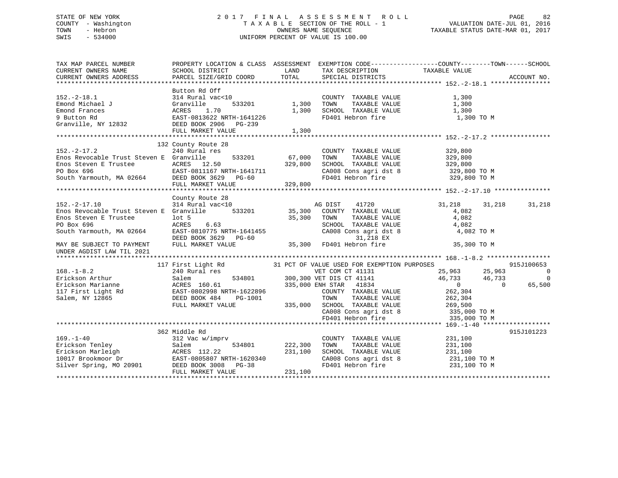## STATE OF NEW YORK 2 0 1 7 F I N A L A S S E S S M E N T R O L L PAGE 82 COUNTY - Washington T A X A B L E SECTION OF THE ROLL - 1 VALUATION DATE-JUL 01, 2016 TOWN - Hebron OWNERS NAME SEQUENCE TAXABLE STATUS DATE-MAR 01, 2017 SWIS - 534000 UNIFORM PERCENT OF VALUE IS 100.00

| TAX MAP PARCEL NUMBER                                                                                                                                                                                                                                  | PROPERTY LOCATION & CLASS ASSESSMENT EXEMPTION CODE---------------COUNTY-------TOWN------SCHOOL                                                                                                                                                                                                                                                                                                                                                                               |                          |                                                                                                               |                     |        |                          |
|--------------------------------------------------------------------------------------------------------------------------------------------------------------------------------------------------------------------------------------------------------|-------------------------------------------------------------------------------------------------------------------------------------------------------------------------------------------------------------------------------------------------------------------------------------------------------------------------------------------------------------------------------------------------------------------------------------------------------------------------------|--------------------------|---------------------------------------------------------------------------------------------------------------|---------------------|--------|--------------------------|
| CURRENT OWNERS NAME                                                                                                                                                                                                                                    | SCHOOL DISTRICT<br>PARCEL SIZE/GRID COORD                                                                                                                                                                                                                                                                                                                                                                                                                                     | LAND<br>TOTAL            | TAX DESCRIPTION<br>SPECIAL DISTRICTS                                                                          | TAXABLE VALUE       |        | ACCOUNT NO.              |
| CURRENT OWNERS ADDRESS                                                                                                                                                                                                                                 |                                                                                                                                                                                                                                                                                                                                                                                                                                                                               |                          |                                                                                                               |                     |        |                          |
|                                                                                                                                                                                                                                                        | Button Rd Off                                                                                                                                                                                                                                                                                                                                                                                                                                                                 |                          |                                                                                                               |                     |        |                          |
| $152.-2-18.1$                                                                                                                                                                                                                                          | $314$ Rural vac< $10$                                                                                                                                                                                                                                                                                                                                                                                                                                                         |                          | COUNTY TAXABLE VALUE                                                                                          | 1,300               |        |                          |
|                                                                                                                                                                                                                                                        |                                                                                                                                                                                                                                                                                                                                                                                                                                                                               | 533201 1,300             | TOWN                                                                                                          | TAXABLE VALUE 1,300 |        |                          |
| Emond Michael J<br>Emond Frances<br>Frances ACRES 1.70<br>9 Button Rd<br>Granville, NY 12832<br>DEED BOOK 2906 PG-239<br>PET MAPKET VALUE<br>FRINGER DEC-239                                                                                           |                                                                                                                                                                                                                                                                                                                                                                                                                                                                               |                          |                                                                                                               |                     |        |                          |
|                                                                                                                                                                                                                                                        |                                                                                                                                                                                                                                                                                                                                                                                                                                                                               |                          | $1,300$ SCHOOL TAXABLE VALUE $1,300$<br>FD401 Hebron fire $1,300$ TO M                                        |                     |        |                          |
|                                                                                                                                                                                                                                                        |                                                                                                                                                                                                                                                                                                                                                                                                                                                                               |                          |                                                                                                               |                     |        |                          |
|                                                                                                                                                                                                                                                        | FULL MARKET VALUE                                                                                                                                                                                                                                                                                                                                                                                                                                                             | 1,300                    |                                                                                                               |                     |        |                          |
|                                                                                                                                                                                                                                                        |                                                                                                                                                                                                                                                                                                                                                                                                                                                                               |                          |                                                                                                               |                     |        |                          |
|                                                                                                                                                                                                                                                        | 132 County Route 28                                                                                                                                                                                                                                                                                                                                                                                                                                                           |                          |                                                                                                               |                     |        |                          |
| $152. - 2 - 17.2$                                                                                                                                                                                                                                      | 240 Rural res                                                                                                                                                                                                                                                                                                                                                                                                                                                                 |                          | COUNTY TAXABLE VALUE                                                                                          | 329,800             |        |                          |
| Enos Revocable Trust Steven E Granville                                                                                                                                                                                                                |                                                                                                                                                                                                                                                                                                                                                                                                                                                                               |                          |                                                                                                               |                     |        |                          |
|                                                                                                                                                                                                                                                        |                                                                                                                                                                                                                                                                                                                                                                                                                                                                               | 533201 67,000<br>329,800 | TOWN TAXABLE VALUE 329,800<br>SCHOOL TAXABLE VALUE 329,800                                                    |                     |        |                          |
|                                                                                                                                                                                                                                                        |                                                                                                                                                                                                                                                                                                                                                                                                                                                                               |                          |                                                                                                               |                     |        |                          |
|                                                                                                                                                                                                                                                        |                                                                                                                                                                                                                                                                                                                                                                                                                                                                               |                          | CA008 Cons agri dst 8 $329,800$ TO M<br>FD401 Hebron fire $329,800$ TO M                                      |                     |        |                          |
| Enos Steven E Trustee (ACRES 12.50 329,800<br>PO Box 696 EAST-0811167 NRTH-1641711<br>South Yarmouth, MA 02664 DEED BOOK 3629 PG-60<br>FULL MARKET VALUE 329,800                                                                                       | FULL MARKET VALUE                                                                                                                                                                                                                                                                                                                                                                                                                                                             | 329,800                  |                                                                                                               |                     |        |                          |
|                                                                                                                                                                                                                                                        |                                                                                                                                                                                                                                                                                                                                                                                                                                                                               |                          |                                                                                                               |                     |        |                          |
|                                                                                                                                                                                                                                                        | County Route 28                                                                                                                                                                                                                                                                                                                                                                                                                                                               |                          |                                                                                                               |                     |        |                          |
|                                                                                                                                                                                                                                                        |                                                                                                                                                                                                                                                                                                                                                                                                                                                                               |                          |                                                                                                               | 31,218              | 31,218 | 31,218                   |
|                                                                                                                                                                                                                                                        |                                                                                                                                                                                                                                                                                                                                                                                                                                                                               |                          |                                                                                                               | 4,082               |        |                          |
|                                                                                                                                                                                                                                                        |                                                                                                                                                                                                                                                                                                                                                                                                                                                                               |                          |                                                                                                               |                     |        |                          |
|                                                                                                                                                                                                                                                        |                                                                                                                                                                                                                                                                                                                                                                                                                                                                               |                          |                                                                                                               |                     |        |                          |
|                                                                                                                                                                                                                                                        |                                                                                                                                                                                                                                                                                                                                                                                                                                                                               |                          | TOWN TAXABLE VALUE<br>SCHOOL TAXABLE VALUE<br>CA008 Cons agri dst 8 4,082<br>CA008 Cons agri dst 8 4,082 TO M |                     |        |                          |
|                                                                                                                                                                                                                                                        |                                                                                                                                                                                                                                                                                                                                                                                                                                                                               |                          |                                                                                                               |                     |        |                          |
| Enos Steven E Trustee<br>PO Box 696<br>South Yarmouth, MA 02664<br>DEED BOOK 3629<br>MAY BE SUBJECT TO PAYMENT<br>MAY BE SUBJECT TO PAYMENT<br>PO BOOK 3629<br>DEED BOOK 3629<br>PG-60<br>MAY BE SUBJECT TO PAYMENT<br>PO BOOK 3629<br>PG-60<br>35,300 |                                                                                                                                                                                                                                                                                                                                                                                                                                                                               |                          |                                                                                                               |                     |        |                          |
| UNDER AGDIST LAW TIL 2021                                                                                                                                                                                                                              |                                                                                                                                                                                                                                                                                                                                                                                                                                                                               |                          |                                                                                                               |                     |        |                          |
|                                                                                                                                                                                                                                                        |                                                                                                                                                                                                                                                                                                                                                                                                                                                                               |                          |                                                                                                               |                     |        |                          |
|                                                                                                                                                                                                                                                        | 117 First Light Rd 31 PCT OF VALUE USED FOR EXEMPTION PURPOSES 915J:<br>240 Rural res vET COM CT 41131 25,963 25,963 25,963<br>31801 300,300 VET DIS CT 41141 46,733 46,733<br>ACRES 160.61 335,000 ENH STAR 41834 0                                                                                                                                                                                                                                                          |                          |                                                                                                               |                     |        | 915J100653               |
| $168. - 1 - 8.2$                                                                                                                                                                                                                                       |                                                                                                                                                                                                                                                                                                                                                                                                                                                                               |                          |                                                                                                               |                     |        | $\overline{\phantom{0}}$ |
|                                                                                                                                                                                                                                                        |                                                                                                                                                                                                                                                                                                                                                                                                                                                                               |                          |                                                                                                               |                     |        | $\overline{0}$           |
|                                                                                                                                                                                                                                                        |                                                                                                                                                                                                                                                                                                                                                                                                                                                                               |                          |                                                                                                               |                     |        | 65,500                   |
|                                                                                                                                                                                                                                                        |                                                                                                                                                                                                                                                                                                                                                                                                                                                                               |                          | COUNTY TAXABLE VALUE 262,304                                                                                  |                     |        |                          |
|                                                                                                                                                                                                                                                        |                                                                                                                                                                                                                                                                                                                                                                                                                                                                               |                          |                                                                                                               |                     |        |                          |
|                                                                                                                                                                                                                                                        | ${\small \begin{tabular}{lcccccc} DEED BOOK & 484 & PG-1001 & & & & & & & \begin{tabular}{l} & & & \multicolumn{2}{c}{} & \multicolumn{2}{c}{} & \multicolumn{2}{c}{} & \multicolumn{2}{c}{} & \multicolumn{2}{c}{} & \multicolumn{2}{c}{} & \multicolumn{2}{c}{} & \multicolumn{2}{c}{} & \multicolumn{2}{c}{} & \multicolumn{2}{c}{} & \multicolumn{2}{c}{} & \multicolumn{2}{c}{} & \multicolumn{2}{c}{} & \multicolumn{2}{c}{} & \multicolumn{2}{c}{} & \multicolumn{2}{$ |                          |                                                                                                               |                     |        |                          |
|                                                                                                                                                                                                                                                        |                                                                                                                                                                                                                                                                                                                                                                                                                                                                               |                          |                                                                                                               |                     |        |                          |
|                                                                                                                                                                                                                                                        |                                                                                                                                                                                                                                                                                                                                                                                                                                                                               |                          | CA008 Cons agri dst 8 335,000 TO M<br>FD401 Hebron fire 335,000 TO M                                          |                     |        |                          |
|                                                                                                                                                                                                                                                        |                                                                                                                                                                                                                                                                                                                                                                                                                                                                               |                          |                                                                                                               |                     |        |                          |
|                                                                                                                                                                                                                                                        | 362 Middle Rd                                                                                                                                                                                                                                                                                                                                                                                                                                                                 |                          |                                                                                                               |                     |        | 915J101223               |
| $169. - 1 - 40$                                                                                                                                                                                                                                        | 312 Vac w/imprv                                                                                                                                                                                                                                                                                                                                                                                                                                                               |                          | COUNTY TAXABLE VALUE 231,100                                                                                  |                     |        |                          |
|                                                                                                                                                                                                                                                        | 534801 222,300                                                                                                                                                                                                                                                                                                                                                                                                                                                                |                          | TAXABLE VALUE<br>TOWN                                                                                         | 231,100             |        |                          |
|                                                                                                                                                                                                                                                        |                                                                                                                                                                                                                                                                                                                                                                                                                                                                               | 231,100                  | SCHOOL TAXABLE VALUE 231,100                                                                                  |                     |        |                          |
|                                                                                                                                                                                                                                                        |                                                                                                                                                                                                                                                                                                                                                                                                                                                                               |                          |                                                                                                               |                     |        |                          |
| 169.-1-40<br>Erickson Tenley Salem 534801<br>Erickson Marleigh Salem 534801 222,30<br>10017 Brookmoor Dr EAST-0805807 NRTH-1620340<br>Silver Spring, MO 20901 DEED BOOK 3008 PG-38                                                                     |                                                                                                                                                                                                                                                                                                                                                                                                                                                                               |                          | CA008 Cons agri dst 8 $231,100$ TO M<br>FD401 Hebron fire $231,100$ TO M                                      |                     |        |                          |
|                                                                                                                                                                                                                                                        | FULL MARKET VALUE                                                                                                                                                                                                                                                                                                                                                                                                                                                             | 231,100                  |                                                                                                               |                     |        |                          |
|                                                                                                                                                                                                                                                        |                                                                                                                                                                                                                                                                                                                                                                                                                                                                               |                          |                                                                                                               |                     |        |                          |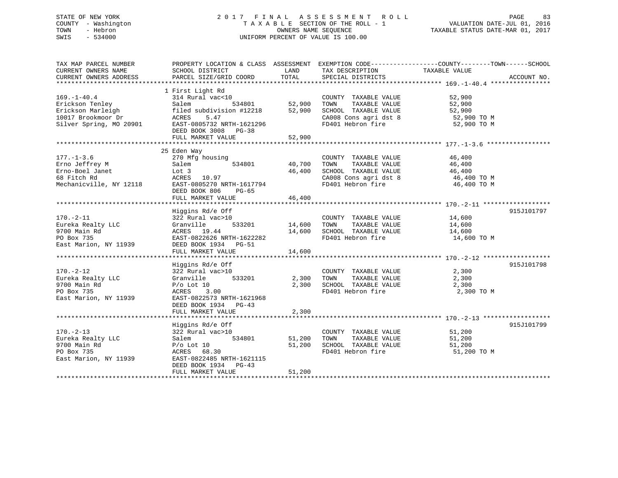## STATE OF NEW YORK 2 0 1 7 F I N A L A S S E S S M E N T R O L L PAGE 83 COUNTY - Washington T A X A B L E SECTION OF THE ROLL - 1 VALUATION DATE-JUL 01, 2016 TOWN - Hebron OWNERS NAME SEQUENCE TAXABLE STATUS DATE-MAR 01, 2017 SWIS - 534000 UNIFORM PERCENT OF VALUE IS 100.00

| TAX MAP PARCEL NUMBER<br>CURRENT OWNERS NAME<br>CURRENT OWNERS ADDRESS                                                               | SCHOOL DISTRICT<br>PARCEL SIZE/GRID COORD                                                                                                                          | LAND<br>TOTAL              | TAX DESCRIPTION TAXABLE VALUE<br>SPECIAL DISTRICTS                                         | PROPERTY LOCATION & CLASS ASSESSMENT EXEMPTION CODE----------------COUNTY-------TOWN-----SCHOOL                                                                                                                                                                         | ACCOUNT NO. |
|--------------------------------------------------------------------------------------------------------------------------------------|--------------------------------------------------------------------------------------------------------------------------------------------------------------------|----------------------------|--------------------------------------------------------------------------------------------|-------------------------------------------------------------------------------------------------------------------------------------------------------------------------------------------------------------------------------------------------------------------------|-------------|
| $169. - 1 - 40.4$<br>Erickson Tenley<br>Erickson Marleigh<br>10017 Brookmoor Dr<br>Silver Spring, MO 20901 EAST-0805732 NRTH-1621296 | 1 First Light Rd<br>314 Rural vac<10<br>Salem<br>534801<br>filed subdivision #12218<br>ACRES<br>5.47<br>DEED BOOK 3008 PG-38<br>FULL MARKET VALUE                  | 52,900<br>52,900<br>52,900 | COUNTY TAXABLE VALUE<br>TAXABLE VALUE<br>TOWN<br>SCHOOL TAXABLE VALUE                      | 52,900<br>52,900<br>52,900<br>$\begin{array}{lll} \texttt{CA008} \texttt{ Cons} & \texttt{aspti} & \texttt{dt8} & \texttt{52,900} \texttt{ TO M} \\ \texttt{FD401} & \texttt{Hebron} & \texttt{fire} & \texttt{52,900} \texttt{ TO M} \end{array}$                      |             |
|                                                                                                                                      | 25 Eden Way                                                                                                                                                        |                            |                                                                                            |                                                                                                                                                                                                                                                                         |             |
| $177. - 1 - 3.6$<br>Erno Jeffrey M<br>Erno-Boel Janet<br>68 Fitch Rd<br>Mechanicville, NY 12118                                      | 270 Mfg housing<br>Salem<br>Lot 3<br>ACRES 10.97<br>EAST-0805270 NRTH-1617794<br>DEED BOOK 806<br>PG-65                                                            | 534801 40,700<br>46,400    | COUNTY TAXABLE VALUE<br>TAXABLE VALUE<br>TOWN<br>SCHOOL TAXABLE VALUE                      | 46,400<br>46,400<br>46,400<br>$\begin{array}{llllll} \texttt{CA008} & \texttt{Cons}\ \texttt{agrid}\ \texttt{st}\ 8 & \texttt{46,400} \texttt{\no} \texttt{N} \\ \texttt{FD401} & \texttt{Hebron}\ \texttt{fire} & \texttt{46,400} \texttt{\no} \texttt{N} \end{array}$ |             |
|                                                                                                                                      | FULL MARKET VALUE                                                                                                                                                  | 46,400                     |                                                                                            |                                                                                                                                                                                                                                                                         |             |
| $170. - 2 - 11$<br>Eureka Realty LLC<br>9700 Main Rd<br>PO Box 735<br>East Marion, NY 11939                                          | Higgins Rd/e Off<br>322 Rural vac>10<br>533201<br>Granville<br>ACRES 19.44<br>EAST-0822626 NRTH-1622282<br>DEED BOOK 1934 PG-51                                    | 14,600<br>14,600           | COUNTY TAXABLE VALUE<br>TAXABLE VALUE<br>TOWN<br>SCHOOL TAXABLE VALUE<br>FD401 Hebron fire | 14,600<br>14,600<br>14,600<br>14,600 TO M                                                                                                                                                                                                                               | 915J101797  |
| $170. - 2 - 12$<br>Eureka Realty LLC<br>9700 Main Rd<br>PO Box 735<br>East Marion, NY 11939                                          | Higgins Rd/e Off<br>322 Rural vac>10<br>533201<br>Granville<br>$P/O$ Lot 10<br>3.00<br>ACRES<br>EAST-0822573 NRTH-1621968                                          | 2,300<br>2,300             | COUNTY TAXABLE VALUE<br>TAXABLE VALUE<br>TOWN<br>SCHOOL TAXABLE VALUE<br>FD401 Hebron fire | 2,300<br>2,300<br>2,300<br>2,300 TO M                                                                                                                                                                                                                                   | 915J101798  |
|                                                                                                                                      | DEED BOOK 1934 PG-43<br>FULL MARKET VALUE                                                                                                                          | 2,300                      |                                                                                            |                                                                                                                                                                                                                                                                         |             |
| $170. - 2 - 13$<br>Eureka Realty LLC<br>9700 Main Rd<br>PO Box 735<br>East Marion, NY 11939                                          | Higgins Rd/e Off<br>322 Rural vac>10<br>Salem<br>534801<br>$P/O$ Lot $10$<br>ACRES 68.30<br>EAST-0822485 NRTH-1621115<br>DEED BOOK 1934 PG-43<br>FULL MARKET VALUE | 51,200<br>51,200<br>51,200 | COUNTY TAXABLE VALUE<br>TAXABLE VALUE<br>TOWN<br>SCHOOL TAXABLE VALUE<br>FD401 Hebron fire | 51,200<br>51,200<br>51,200<br>51,200 TO M                                                                                                                                                                                                                               | 915J101799  |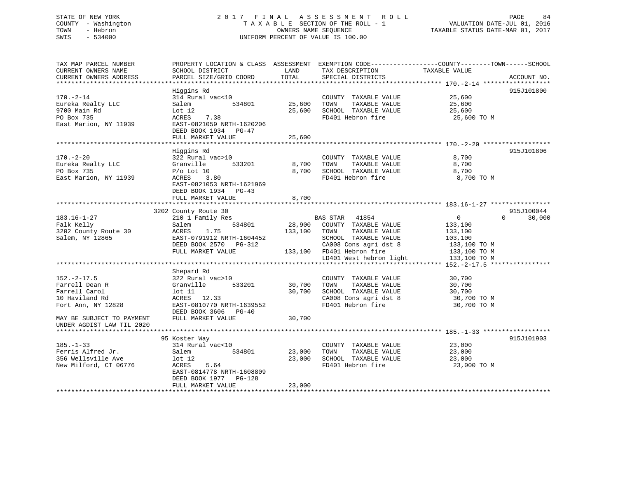# STATE OF NEW YORK 2 0 1 7 F I N A L A S S E S S M E N T R O L L PAGE 84COUNTY - Washington  $T A X A B L E$  SECTION OF THE ROLL - 1<br>TOWN - Hebron DATE-JUL 000NERS NAME SEQUENCE SWIS - 534000 UNIFORM PERCENT OF VALUE IS 100.00

TAXABLE STATUS DATE-MAR 01, 2017

| TAX MAP PARCEL NUMBER<br>CURRENT OWNERS NAME<br>CURRENT OWNERS ADDRESS                                                                                 | PROPERTY LOCATION & CLASS ASSESSMENT<br>SCHOOL DISTRICT<br>PARCEL SIZE/GRID COORD                                                                                | LAND<br>TOTAL              | EXEMPTION CODE-----------------COUNTY-------TOWN------SCHOOL<br>TAX DESCRIPTION<br>SPECIAL DISTRICTS                                                                        | TAXABLE VALUE                                                                                   | ACCOUNT NO.                      |
|--------------------------------------------------------------------------------------------------------------------------------------------------------|------------------------------------------------------------------------------------------------------------------------------------------------------------------|----------------------------|-----------------------------------------------------------------------------------------------------------------------------------------------------------------------------|-------------------------------------------------------------------------------------------------|----------------------------------|
| $170. - 2 - 14$<br>Eureka Realty LLC<br>9700 Main Rd<br>PO Box 735<br>East Marion, NY 11939                                                            | Higgins Rd<br>314 Rural vac<10<br>534801<br>Salem<br>Lot $12$<br>7.38<br>ACRES<br>EAST-0821059 NRTH-1620206<br>DEED BOOK 1934 PG-47<br>FULL MARKET VALUE         | 25,600<br>25,600<br>25,600 | COUNTY TAXABLE VALUE<br>TOWN<br>TAXABLE VALUE<br>SCHOOL TAXABLE VALUE<br>FD401 Hebron fire                                                                                  | 25,600<br>25,600<br>25,600<br>25,600 TO M                                                       | 915J101800                       |
| $170. - 2 - 20$<br>Eureka Realty LLC<br>PO Box 735<br>East Marion, NY 11939                                                                            | Higgins Rd<br>322 Rural vac>10<br>Granville<br>533201<br>$P/O$ Lot 10<br>ACRES<br>3.80<br>EAST-0821053 NRTH-1621969<br>DEED BOOK 1934 PG-43<br>FULL MARKET VALUE | 8,700<br>8,700<br>8,700    | COUNTY TAXABLE VALUE<br>TOWN<br>TAXABLE VALUE<br>SCHOOL TAXABLE VALUE<br>FD401 Hebron fire                                                                                  | 8,700<br>8,700<br>8,700<br>8,700 TO M                                                           | 915J101806                       |
| $183.16 - 1 - 27$<br>Falk Kelly<br>3202 County Route 30<br>Salem, NY 12865                                                                             | 3202 County Route 30<br>210 1 Family Res<br>534801<br>Salem<br>1.75<br>ACRES<br>EAST-0791912 NRTH-1604452<br>DEED BOOK 2570 PG-312<br>FULL MARKET VALUE          | 28,900<br>133,100          | BAS STAR<br>41854<br>COUNTY TAXABLE VALUE<br>TAXABLE VALUE<br>TOWN<br>SCHOOL TAXABLE VALUE<br>CA008 Cons agri dst 8<br>133,100 FD401 Hebron fire<br>LD401 West hebron light | $\overline{0}$<br>133,100<br>133,100<br>103,100<br>133,100 TO M<br>133,100 TO M<br>133,100 TO M | 915J100044<br>$\Omega$<br>30,000 |
| $152. - 2 - 17.5$<br>Farrell Dean R<br>Farrell Carol<br>10 Haviland Rd<br>Fort Ann, NY 12828<br>MAY BE SUBJECT TO PAYMENT<br>UNDER AGDIST LAW TIL 2020 | Shepard Rd<br>322 Rural vac>10<br>Granville<br>533201<br>$1$ ot $11$<br>ACRES 12.33<br>EAST-0810770 NRTH-1639552<br>DEED BOOK 3606 PG-40<br>FULL MARKET VALUE    | 30,700<br>30,700<br>30,700 | COUNTY TAXABLE VALUE<br>TAXABLE VALUE<br>TOWN<br>SCHOOL TAXABLE VALUE<br>CA008 Cons agri dst 8<br>FD401 Hebron fire                                                         | 30,700<br>30,700<br>30,700<br>30,700 TO M<br>30,700 TO M                                        |                                  |
| $185. - 1 - 33$<br>Ferris Alfred Jr.<br>356 Wellsville Ave<br>New Milford, CT 06776                                                                    | 95 Koster Way<br>314 Rural vac<10<br>534801<br>Salem<br>lot 12<br>ACRES<br>5.64<br>EAST-0814778 NRTH-1608809<br>DEED BOOK 1977<br>PG-128<br>FULL MARKET VALUE    | 23,000<br>23,000<br>23,000 | COUNTY TAXABLE VALUE<br>TOWN<br>TAXABLE VALUE<br>SCHOOL TAXABLE VALUE<br>FD401 Hebron fire                                                                                  | 23,000<br>23,000<br>23,000<br>23,000 TO M                                                       | 915J101903                       |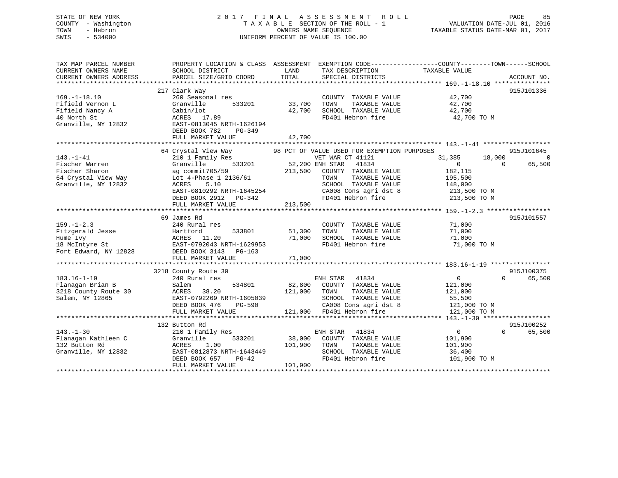## STATE OF NEW YORK 2 0 1 7 F I N A L A S S E S S M E N T R O L L PAGE 85 COUNTY - Washington T A X A B L E SECTION OF THE ROLL - 1 VALUATION DATE-JUL 01, 2016 TOWN - Hebron OWNERS NAME SEQUENCE TAXABLE STATUS DATE-MAR 01, 2017 SWIS - 534000 UNIFORM PERCENT OF VALUE IS 100.00

| TAX MAP PARCEL NUMBER<br>CURRENT OWNERS NAME<br>CURRENT OWNERS ADDRESS                          | SCHOOL DISTRICT<br>PARCEL SIZE/GRID COORD                                                                                                               | LAND<br>TOTAL                | TAX DESCRIPTION<br>SPECIAL DISTRICTS                                                                                                                    | PROPERTY LOCATION & CLASS ASSESSMENT EXEMPTION CODE---------------COUNTY-------TOWN-----SCHOOL<br>TAXABLE VALUE | ACCOUNT NO.          |
|-------------------------------------------------------------------------------------------------|---------------------------------------------------------------------------------------------------------------------------------------------------------|------------------------------|---------------------------------------------------------------------------------------------------------------------------------------------------------|-----------------------------------------------------------------------------------------------------------------|----------------------|
| $169. - 1 - 18.10$<br>Fifield Vernon L<br>Fifield Nancy A<br>40 North St<br>Granville, NY 12832 | 217 Clark Way<br>260 Seasonal res<br>Granville<br>533201<br>Cabin/lot<br>ACRES 17.89<br>EAST-0813045 NRTH-1626194                                       | 33,700<br>42,700             | COUNTY TAXABLE VALUE<br>TOWN<br>TAXABLE VALUE<br>SCHOOL TAXABLE VALUE<br>FD401 Hebron fire                                                              | 42,700<br>42,700<br>42,700<br>42,700 TO M                                                                       | 915J101336           |
|                                                                                                 | DEED BOOK 782<br>PG-349<br>FULL MARKET VALUE                                                                                                            | 42,700                       |                                                                                                                                                         |                                                                                                                 |                      |
|                                                                                                 | 64 Crystal View Way                                                                                                                                     |                              | 98 PCT OF VALUE USED FOR EXEMPTION PURPOSES                                                                                                             |                                                                                                                 | 915J101645           |
| $143. - 1 - 41$<br>Fischer Warren                                                               | 210 1 Family Res<br>Granville<br>533201                                                                                                                 |                              | VET WAR CT 41121<br>52,200 ENH STAR<br>41834                                                                                                            | 31,385<br>18,000<br>$\overline{0}$<br>$\Omega$                                                                  | $\Omega$<br>65,500   |
| Fischer Sharon<br>64 Crystal View Way<br>Granville, NY 12832                                    | ag commit705/59<br>Lot 4-Phase 1 2136/61<br>ACRES<br>5.10<br>EAST-0810292 NRTH-1645254<br>DEED BOOK 2912 PG-342                                         | 213,500                      | COUNTY TAXABLE VALUE<br>TAXABLE VALUE<br>TOWN<br>SCHOOL TAXABLE VALUE<br>CA008 Cons agri dst 8                                                          | 182,115<br>195,500<br>148,000<br>213,500 TO M<br>FD401 Hebron fire 213,500 TO M                                 |                      |
|                                                                                                 | FULL MARKET VALUE                                                                                                                                       | 213,500                      |                                                                                                                                                         |                                                                                                                 |                      |
|                                                                                                 |                                                                                                                                                         |                              |                                                                                                                                                         |                                                                                                                 |                      |
|                                                                                                 | 69 James Rd                                                                                                                                             |                              |                                                                                                                                                         |                                                                                                                 | 915J101557           |
| $159. - 1 - 2.3$                                                                                | 240 Rural res                                                                                                                                           |                              | COUNTY TAXABLE VALUE                                                                                                                                    | 71,000                                                                                                          |                      |
| Fitzgerald Jesse                                                                                | Hartford<br>533801                                                                                                                                      | 51,300                       | TAXABLE VALUE<br>TOWN                                                                                                                                   | 71,000                                                                                                          |                      |
| Hume Ivy                                                                                        | ACRES 11.20                                                                                                                                             | 71,000                       | SCHOOL TAXABLE VALUE                                                                                                                                    | 71,000                                                                                                          |                      |
| 18 McIntyre St EAST-0792043 NRTH-1629953<br>Fort Edward, NY 12828                               | DEED BOOK 3143 PG-163                                                                                                                                   |                              | FD401 Hebron fire                                                                                                                                       | 71,000 TO M                                                                                                     |                      |
|                                                                                                 | FULL MARKET VALUE                                                                                                                                       | 71,000                       |                                                                                                                                                         |                                                                                                                 |                      |
|                                                                                                 |                                                                                                                                                         |                              |                                                                                                                                                         |                                                                                                                 |                      |
|                                                                                                 | 3218 County Route 30                                                                                                                                    |                              |                                                                                                                                                         |                                                                                                                 | 915J100375           |
| $183.16 - 1 - 19$<br>Flanagan Brian B<br>3218 County Route 30<br>Salem, NY 12865                | 240 Rural res<br>534801<br>Salem<br>ACRES<br>38.20<br>EAST-0792269 NRTH-1605039<br>DEED BOOK 476<br>PG-590<br>FULL MARKET VALUE                         | 121,000                      | ENH STAR<br>41834<br>82,800 COUNTY TAXABLE VALUE<br>TOWN<br>TAXABLE VALUE<br>SCHOOL TAXABLE VALUE<br>CA008 Cons agri dst 8<br>121,000 FD401 Hebron fire | $\overline{0}$<br>$\Omega$<br>121,000<br>121,000<br>55,500<br>121,000 TO M<br>121,000 TO M                      | 65,500               |
|                                                                                                 |                                                                                                                                                         |                              |                                                                                                                                                         |                                                                                                                 |                      |
| $143. - 1 - 30$<br>Flanagan Kathleen C<br>132 Button Rd<br>Granville, NY 12832                  | 132 Button Rd<br>210 1 Family Res<br>Granville<br>533201<br>1.00<br>ACRES<br>EAST-0812873 NRTH-1643449<br>DEED BOOK 657<br>$PG-42$<br>FULL MARKET VALUE | 38,000<br>101,900<br>101,900 | ENH STAR 41834<br>COUNTY TAXABLE VALUE<br>TAXABLE VALUE<br>TOWN<br>SCHOOL TAXABLE VALUE<br>FD401 Hebron fire                                            | $0 \qquad \qquad$<br>$\Omega$<br>101,900<br>101,900<br>36,400<br>101,900 TO M                                   | 915J100252<br>65,500 |
|                                                                                                 |                                                                                                                                                         |                              |                                                                                                                                                         |                                                                                                                 |                      |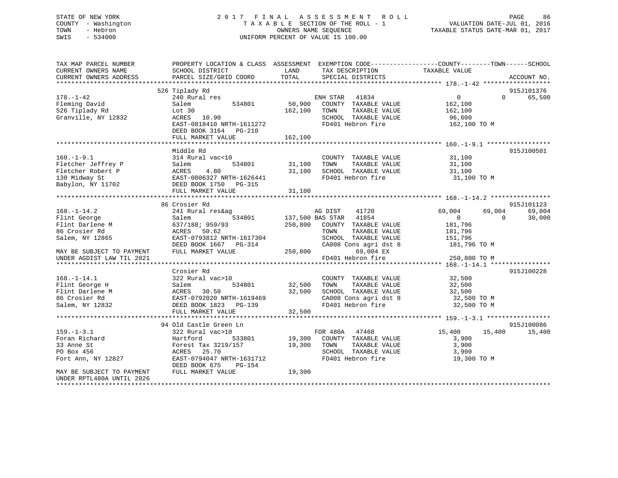## STATE OF NEW YORK 2 0 1 7 F I N A L A S S E S S M E N T R O L L PAGE 86 COUNTY - Washington T A X A B L E SECTION OF THE ROLL - 1 VALUATION DATE-JUL 01, 2016 TOWN - Hebron OWNERS NAME SEQUENCE TAXABLE STATUS DATE-MAR 01, 2017 SWIS - 534000 UNIFORM PERCENT OF VALUE IS 100.00

| TAX MAP PARCEL NUMBER<br>CURRENT OWNERS NAME<br>CURRENT OWNERS ADDRESS | PROPERTY LOCATION & CLASS ASSESSMENT<br>SCHOOL DISTRICT<br>PARCEL SIZE/GRID COORD   | LAND<br><b>TOTAL</b> | EXEMPTION CODE-----------------COUNTY-------TOWN------SCHOOL<br>TAX DESCRIPTION<br>SPECIAL DISTRICTS | TAXABLE VALUE                         | ACCOUNT NO.          |
|------------------------------------------------------------------------|-------------------------------------------------------------------------------------|----------------------|------------------------------------------------------------------------------------------------------|---------------------------------------|----------------------|
| $178. - 1 - 42$<br>Fleming David                                       | 526 Tiplady Rd<br>240 Rural res<br>Salem<br>534801                                  | 50,900               | ENH STAR<br>41834<br>COUNTY TAXABLE VALUE                                                            | $\overline{0}$<br>$\Omega$<br>162,100 | 915J101376<br>65,500 |
| 526 Tiplady Rd<br>Granville, NY 12832                                  | Lot 30<br>ACRES<br>10.90<br>EAST-0818410 NRTH-1611272<br>DEED BOOK 3164<br>$PG-210$ | 162,100              | TAXABLE VALUE<br>TOWN<br>SCHOOL TAXABLE VALUE<br>FD401 Hebron fire                                   | 162,100<br>96,600<br>162,100 TO M     |                      |
|                                                                        | FULL MARKET VALUE                                                                   | 162,100              |                                                                                                      |                                       |                      |
|                                                                        | Middle Rd                                                                           |                      |                                                                                                      |                                       | 915J100501           |
| $160. - 1 - 9.1$                                                       | 314 Rural vac<10                                                                    |                      | COUNTY TAXABLE VALUE                                                                                 | 31,100                                |                      |
| Fletcher Jeffrey P                                                     | 534801<br>Salem                                                                     | 31,100               | TOWN<br>TAXABLE VALUE                                                                                | 31,100                                |                      |
| Fletcher Robert P                                                      | ACRES<br>4.80                                                                       | 31,100               | SCHOOL TAXABLE VALUE                                                                                 | 31,100                                |                      |
| 130 Midway St                                                          | EAST-0806327 NRTH-1626441                                                           |                      | FD401 Hebron fire                                                                                    | 31,100 TO M                           |                      |
| Babylon, NY 11702                                                      | DEED BOOK 1750 PG-315<br>FULL MARKET VALUE                                          | 31,100               |                                                                                                      |                                       |                      |
|                                                                        |                                                                                     |                      |                                                                                                      |                                       |                      |
|                                                                        | 86 Crosier Rd                                                                       |                      |                                                                                                      |                                       | 915J101123           |
| $168. - 1 - 14.2$                                                      | 241 Rural res&ag                                                                    |                      | AG DIST<br>41720                                                                                     | 69,004<br>69,004                      | 69,004               |
| Flint George                                                           | Salem<br>534801                                                                     |                      | 41854<br>137,500 BAS STAR                                                                            | $\overline{0}$<br>$\Omega$            | 30,000               |
| Flint Darlene M                                                        | 637/188; 959/93                                                                     | 250,800              | COUNTY TAXABLE VALUE                                                                                 | 181,796                               |                      |
| 86 Crosier Rd                                                          | ACRES<br>50.62                                                                      |                      | TOWN<br>TAXABLE VALUE                                                                                | 181,796                               |                      |
| Salem, NY 12865                                                        | EAST-0793812 NRTH-1617304                                                           |                      | SCHOOL TAXABLE VALUE                                                                                 | 151,796                               |                      |
|                                                                        | DEED BOOK 1667<br>PG-314                                                            |                      | CA008 Cons agri dst 8                                                                                | 181,796 TO M                          |                      |
| MAY BE SUBJECT TO PAYMENT                                              | FULL MARKET VALUE                                                                   | 250,800              | 69,004 EX                                                                                            |                                       |                      |
| UNDER AGDIST LAW TIL 2021                                              |                                                                                     |                      | FD401 Hebron fire                                                                                    | 250,800 TO M                          |                      |
|                                                                        | Crosier Rd                                                                          |                      |                                                                                                      |                                       | 915J100228           |
| $168. - 1 - 14.1$                                                      | 322 Rural vac>10                                                                    |                      | COUNTY TAXABLE VALUE                                                                                 | 32,500                                |                      |
| Flint George H                                                         | Salem<br>534801                                                                     | 32,500               | TOWN<br>TAXABLE VALUE                                                                                | 32,500                                |                      |
| Flint Darlene M                                                        | ACRES<br>30.50                                                                      | 32,500               | SCHOOL TAXABLE VALUE                                                                                 | 32,500                                |                      |
| 86 Crosier Rd                                                          | EAST-0792020 NRTH-1619469                                                           |                      | CA008 Cons agri dst 8                                                                                | 32,500 TO M                           |                      |
| Salem, NY 12832                                                        | DEED BOOK 1823<br>PG-139                                                            |                      | FD401 Hebron fire                                                                                    | 32,500 TO M                           |                      |
|                                                                        | FULL MARKET VALUE                                                                   | 32,500               |                                                                                                      |                                       |                      |
|                                                                        |                                                                                     |                      |                                                                                                      |                                       |                      |
|                                                                        | 94 Old Castle Green Ln                                                              |                      |                                                                                                      |                                       | 915J100086           |
| $159. - 1 - 3.1$<br>Foran Richard                                      | 322 Rural vac>10                                                                    |                      | FOR 480A<br>47460                                                                                    | 15,400<br>15,400                      | 15,400               |
| 33 Anne St                                                             | Hartford<br>533801<br>Forest Tax 3219/157                                           | 19,300<br>19,300     | COUNTY TAXABLE VALUE<br>TOWN<br>TAXABLE VALUE                                                        | 3,900<br>3,900                        |                      |
| PO Box 456                                                             | 25.70<br>ACRES                                                                      |                      | SCHOOL TAXABLE VALUE                                                                                 | 3,900                                 |                      |
| Fort Ann, NY 12827                                                     | EAST-0794047 NRTH-1631712                                                           |                      | FD401 Hebron fire                                                                                    | 19,300 TO M                           |                      |
|                                                                        | DEED BOOK 675<br>PG-154                                                             |                      |                                                                                                      |                                       |                      |
| MAY BE SUBJECT TO PAYMENT                                              | FULL MARKET VALUE                                                                   | 19,300               |                                                                                                      |                                       |                      |
| UNDER RPTL480A UNTIL 2026                                              |                                                                                     |                      |                                                                                                      |                                       |                      |
|                                                                        |                                                                                     |                      |                                                                                                      |                                       |                      |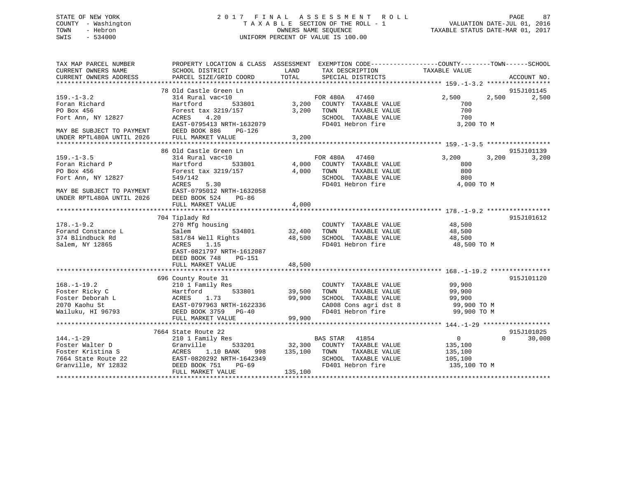## STATE OF NEW YORK 2 0 1 7 F I N A L A S S E S S M E N T R O L L PAGE 87 COUNTY - Washington T A X A B L E SECTION OF THE ROLL - 1 VALUATION DATE-JUL 01, 2016 TOWN - Hebron OWNERS NAME SEQUENCE TAXABLE STATUS DATE-MAR 01, 2017 SWIS - 534000 UNIFORM PERCENT OF VALUE IS 100.00

| TAX MAP PARCEL NUMBER                         | PROPERTY LOCATION & CLASS ASSESSMENT EXEMPTION CODE---------------COUNTY-------TOWN------SCHOOL |               |                                      |                            |             |
|-----------------------------------------------|-------------------------------------------------------------------------------------------------|---------------|--------------------------------------|----------------------------|-------------|
| CURRENT OWNERS NAME<br>CURRENT OWNERS ADDRESS | SCHOOL DISTRICT<br>PARCEL SIZE/GRID COORD                                                       | LAND<br>TOTAL | TAX DESCRIPTION<br>SPECIAL DISTRICTS | TAXABLE VALUE              | ACCOUNT NO. |
|                                               |                                                                                                 |               |                                      |                            |             |
|                                               | 78 Old Castle Green Ln                                                                          |               |                                      |                            | 915J101145  |
| $159. - 1 - 3.2$                              | 314 Rural vac<10                                                                                |               | FOR 480A 47460                       | 2,500<br>2,500             | 2,500       |
| Foran Richard                                 | 533801<br>Hartford                                                                              | 3,200         | COUNTY TAXABLE VALUE                 | 700                        |             |
| PO Box 456                                    | Forest tax 3219/157                                                                             | 3,200         | TOWN<br>TAXABLE VALUE                | 700                        |             |
| Fort Ann, NY 12827                            | 4.20<br>ACRES                                                                                   |               | SCHOOL TAXABLE VALUE                 | 700                        |             |
|                                               | EAST-0795413 NRTH-1632079                                                                       |               | FD401 Hebron fire                    | 3,200 TO M                 |             |
| MAY BE SUBJECT TO PAYMENT                     | DEED BOOK 886<br>PG-126                                                                         |               |                                      |                            |             |
| UNDER RPTL480A UNTIL 2026                     |                                                                                                 | 3,200         |                                      |                            |             |
|                                               | FULL MARKET VALUE                                                                               |               |                                      |                            |             |
|                                               | 86 Old Castle Green Ln                                                                          |               |                                      |                            | 915J101139  |
| $159. - 1 - 3.5$                              |                                                                                                 |               | FOR 480A 47460                       | 3,200<br>3,200             | 3,200       |
|                                               | 314 Rural vac<10<br>533801                                                                      | 4,000         | COUNTY TAXABLE VALUE                 | 800                        |             |
| Foran Richard P                               | Hartford                                                                                        |               |                                      |                            |             |
| PO Box 456                                    | Forest tax 3219/157                                                                             | 4,000         | TOWN<br>TAXABLE VALUE                | 800                        |             |
| Fort Ann, NY 12827                            | 549/142                                                                                         |               | SCHOOL TAXABLE VALUE                 | 800                        |             |
|                                               | ACRES<br>5.30                                                                                   |               | FD401 Hebron fire                    | 4,000 TO M                 |             |
| MAY BE SUBJECT TO PAYMENT                     | EAST-0795012 NRTH-1632058                                                                       |               |                                      |                            |             |
| UNDER RPTL480A UNTIL 2026                     | DEED BOOK 524<br>PG-86                                                                          |               |                                      |                            |             |
|                                               | FULL MARKET VALUE                                                                               | 4,000         |                                      |                            |             |
|                                               |                                                                                                 |               |                                      |                            |             |
|                                               | 704 Tiplady Rd                                                                                  |               |                                      |                            | 915J101612  |
| $178. - 1 - 9.2$                              | 270 Mfg housing                                                                                 |               | COUNTY TAXABLE VALUE                 | 48,500                     |             |
| Forand Constance L                            | 534801<br>Salem                                                                                 | 32,400        | TAXABLE VALUE<br>TOWN                | 48,500                     |             |
| 374 Blindbuck Rd                              | 581/84 Well Rights                                                                              | 48,500        | SCHOOL TAXABLE VALUE                 | 48,500                     |             |
| Salem, NY 12865                               | 1.15<br>ACRES                                                                                   |               | FD401 Hebron fire                    | 48,500 TO M                |             |
|                                               | EAST-0821797 NRTH-1612087                                                                       |               |                                      |                            |             |
|                                               | DEED BOOK 748<br>PG-151                                                                         |               |                                      |                            |             |
|                                               | FULL MARKET VALUE                                                                               | 48,500        |                                      |                            |             |
|                                               |                                                                                                 |               |                                      |                            |             |
|                                               | 696 County Route 31                                                                             |               |                                      |                            | 915J101120  |
| $168. - 1 - 19.2$                             | 210 1 Family Res                                                                                |               | COUNTY TAXABLE VALUE                 | 99,900                     |             |
| Foster Ricky C                                | 533801<br>Hartford                                                                              | 39,500        | TOWN<br>TAXABLE VALUE                | 99,900                     |             |
| Foster Deborah L                              | ACRES<br>1.73                                                                                   | 99,900        | SCHOOL TAXABLE VALUE                 | 99,900                     |             |
| 2070 Kaohu St                                 | EAST-0797963 NRTH-1622336                                                                       |               | CA008 Cons agri dst 8                | 99,900 TO M                |             |
| Wailuku, HI 96793                             | DEED BOOK 3759 PG-40                                                                            |               | FD401 Hebron fire                    | 99,900 TO M                |             |
|                                               | FULL MARKET VALUE                                                                               | 99,900        |                                      |                            |             |
|                                               |                                                                                                 |               |                                      |                            |             |
|                                               | 7664 State Route 22                                                                             |               |                                      |                            | 915J101025  |
| $144. - 1 - 29$                               | 210 1 Family Res                                                                                |               | BAS STAR 41854                       | $\overline{0}$<br>$\Omega$ | 30,000      |
| Foster Walter D                               | Granville<br>533201                                                                             | 32,300        | COUNTY TAXABLE VALUE                 | 135,100                    |             |
| Foster Kristina S                             | 1.10 BANK<br>ACRES<br>998                                                                       | 135,100       | TOWN<br>TAXABLE VALUE                | 135,100                    |             |
| 7664 State Route 22                           | EAST-0820292 NRTH-1642349                                                                       |               | SCHOOL TAXABLE VALUE                 | 105,100                    |             |
| Granville, NY 12832                           | DEED BOOK 751<br>$PG-69$                                                                        |               | FD401 Hebron fire                    | 135,100 TO M               |             |
|                                               | FULL MARKET VALUE                                                                               | 135,100       |                                      |                            |             |
|                                               |                                                                                                 |               |                                      |                            |             |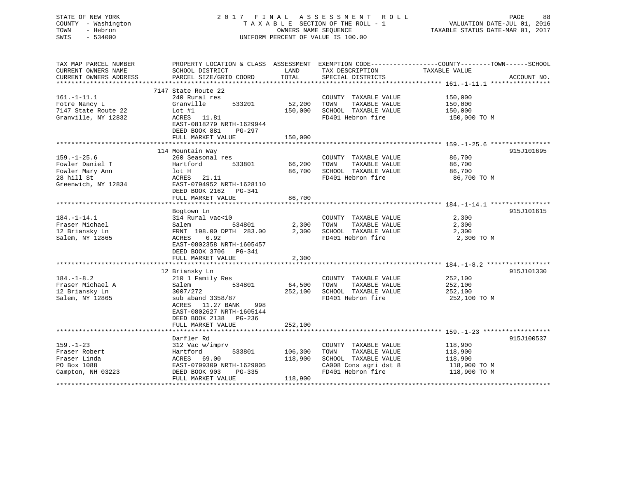## STATE OF NEW YORK 2 0 1 7 F I N A L A S S E S S M E N T R O L L PAGE 88 COUNTY - Washington T A X A B L E SECTION OF THE ROLL - 1 VALUATION DATE-JUL 01, 2016 TOWN - Hebron OWNERS NAME SEQUENCE TAXABLE STATUS DATE-MAR 01, 2017 SWIS - 534000 UNIFORM PERCENT OF VALUE IS 100.00

| TAX MAP PARCEL NUMBER  | PROPERTY LOCATION & CLASS ASSESSMENT EXEMPTION CODE----------------COUNTY-------TOWN------SCHOOL |         |                       |               |             |
|------------------------|--------------------------------------------------------------------------------------------------|---------|-----------------------|---------------|-------------|
| CURRENT OWNERS NAME    | SCHOOL DISTRICT                                                                                  | LAND    | TAX DESCRIPTION       | TAXABLE VALUE |             |
| CURRENT OWNERS ADDRESS | PARCEL SIZE/GRID COORD                                                                           | TOTAL   | SPECIAL DISTRICTS     |               | ACCOUNT NO. |
| *********************  |                                                                                                  |         |                       |               |             |
|                        | 7147 State Route 22                                                                              |         |                       |               |             |
| $161. - 1 - 11.1$      | 240 Rural res                                                                                    |         | COUNTY TAXABLE VALUE  | 150,000       |             |
| Fotre Nancy L          | Granville<br>533201                                                                              | 52,200  | TAXABLE VALUE<br>TOWN | 150,000       |             |
| 7147 State Route 22    | Lot $#1$                                                                                         | 150,000 | SCHOOL TAXABLE VALUE  | 150,000       |             |
| Granville, NY 12832    | ACRES 11.81                                                                                      |         | FD401 Hebron fire     | 150,000 TO M  |             |
|                        | EAST-0818279 NRTH-1629944                                                                        |         |                       |               |             |
|                        |                                                                                                  |         |                       |               |             |
|                        | DEED BOOK 881<br>PG-297                                                                          |         |                       |               |             |
|                        | FULL MARKET VALUE                                                                                | 150,000 |                       |               |             |
|                        |                                                                                                  |         |                       |               |             |
|                        | 114 Mountain Way                                                                                 |         |                       |               | 915J101695  |
| $159. - 1 - 25.6$      | 260 Seasonal res                                                                                 |         | COUNTY TAXABLE VALUE  | 86,700        |             |
| Fowler Daniel T        | 533801<br>Hartford                                                                               | 66,200  | TAXABLE VALUE<br>TOWN | 86,700        |             |
| Fowler Mary Ann        | lot H                                                                                            | 86,700  | SCHOOL TAXABLE VALUE  | 86,700        |             |
| 28 hill St             | ACRES 21.11                                                                                      |         | FD401 Hebron fire     | 86,700 TO M   |             |
| Greenwich, NY 12834    | EAST-0794952 NRTH-1628110                                                                        |         |                       |               |             |
|                        | DEED BOOK 2162    PG-341                                                                         |         |                       |               |             |
|                        | FULL MARKET VALUE                                                                                | 86,700  |                       |               |             |
|                        |                                                                                                  |         |                       |               |             |
|                        | Bogtown Ln                                                                                       |         |                       |               | 915J101615  |
| $184. - 1 - 14.1$      | 314 Rural vac<10                                                                                 |         | COUNTY TAXABLE VALUE  | 2,300         |             |
| Fraser Michael         | 534801<br>Salem                                                                                  | 2,300   | TOWN<br>TAXABLE VALUE | 2,300         |             |
| 12 Briansky Ln         | FRNT 198.00 DPTH 283.00                                                                          | 2,300   | SCHOOL TAXABLE VALUE  | 2,300         |             |
|                        |                                                                                                  |         |                       |               |             |
| Salem, NY 12865        | 0.92<br>ACRES                                                                                    |         | FD401 Hebron fire     | 2,300 TO M    |             |
|                        | EAST-0802358 NRTH-1605457                                                                        |         |                       |               |             |
|                        | DEED BOOK 3706 PG-341                                                                            |         |                       |               |             |
|                        | FULL MARKET VALUE                                                                                | 2,300   |                       |               |             |
|                        |                                                                                                  |         |                       |               |             |
|                        | 12 Briansky Ln                                                                                   |         |                       |               | 915J101330  |
| $184. - 1 - 8.2$       | 210 1 Family Res                                                                                 |         | COUNTY TAXABLE VALUE  | 252,100       |             |
| Fraser Michael A       | Salem<br>534801                                                                                  | 64,500  | TOWN<br>TAXABLE VALUE | 252,100       |             |
| 12 Briansky Ln         | 3007/272                                                                                         | 252,100 | SCHOOL TAXABLE VALUE  | 252,100       |             |
| Salem, NY 12865        | sub aband 3358/87                                                                                |         | FD401 Hebron fire     | 252,100 TO M  |             |
|                        | ACRES 11.27 BANK<br>998                                                                          |         |                       |               |             |
|                        | EAST-0802627 NRTH-1605144                                                                        |         |                       |               |             |
|                        | DEED BOOK 2138 PG-236                                                                            |         |                       |               |             |
|                        | FULL MARKET VALUE                                                                                | 252,100 |                       |               |             |
|                        |                                                                                                  |         |                       |               |             |
|                        | Darfler Rd                                                                                       |         |                       |               | 915J100537  |
| $159. - 1 - 23$        | 312 Vac w/imprv                                                                                  |         | COUNTY TAXABLE VALUE  | 118,900       |             |
|                        | 533801                                                                                           |         |                       |               |             |
| Fraser Robert          | Hartford                                                                                         | 106,300 | TAXABLE VALUE<br>TOWN | 118,900       |             |
| Fraser Linda           | 69.00<br>ACRES                                                                                   | 118,900 | SCHOOL TAXABLE VALUE  | 118,900       |             |
| PO Box 1088            | EAST-0799309 NRTH-1629005                                                                        |         | CA008 Cons agri dst 8 | 118,900 TO M  |             |
| Campton, NH 03223      | DEED BOOK 903<br>PG-335                                                                          |         | FD401 Hebron fire     | 118,900 TO M  |             |
|                        | FULL MARKET VALUE                                                                                | 118,900 |                       |               |             |
|                        |                                                                                                  |         |                       |               |             |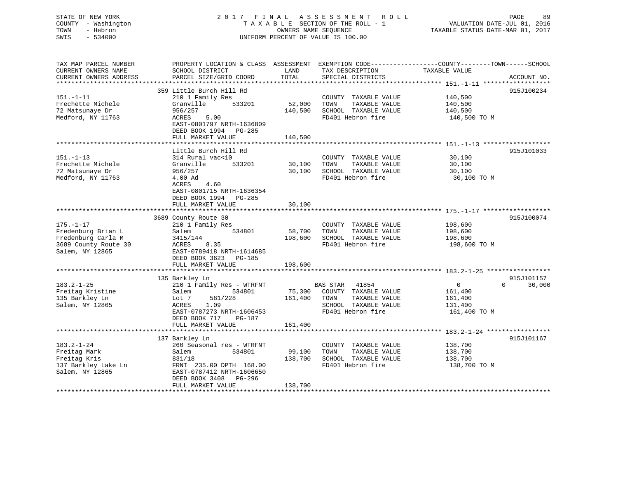# STATE OF NEW YORK 2 0 1 7 F I N A L A S S E S S M E N T R O L L PAGE 89COUNTY - Washington  $T A X A B L E$  SECTION OF THE ROLL - 1<br>TOWN - Hebron DATE-JUL 000NERS NAME SEQUENCE SWIS - 534000 UNIFORM PERCENT OF VALUE IS 100.00

VALUATION DATE-JUL 01, 2016

TAXABLE STATUS DATE-MAR 01, 2017

| TAX MAP PARCEL NUMBER<br>CURRENT OWNERS NAME<br>CURRENT OWNERS ADDRESS | PROPERTY LOCATION & CLASS ASSESSMENT<br>SCHOOL DISTRICT<br>PARCEL SIZE/GRID COORD        | LAND<br>TOTAL          | EXEMPTION CODE----------------COUNTY-------TOWN------SCHOOL<br>TAX DESCRIPTION<br>SPECIAL DISTRICTS | TAXABLE VALUE      | ACCOUNT NO.        |
|------------------------------------------------------------------------|------------------------------------------------------------------------------------------|------------------------|-----------------------------------------------------------------------------------------------------|--------------------|--------------------|
| ***********************                                                | **********************                                                                   |                        |                                                                                                     |                    |                    |
|                                                                        | 359 Little Burch Hill Rd                                                                 |                        |                                                                                                     |                    | 915J100234         |
| $151. - 1 - 11$                                                        | 210 1 Family Res                                                                         |                        | COUNTY TAXABLE VALUE                                                                                | 140,500            |                    |
| Frechette Michele                                                      | Granville<br>533201                                                                      | 52,000                 | TOWN<br>TAXABLE VALUE                                                                               | 140,500            |                    |
| 72 Matsunaye Dr                                                        | 956/257                                                                                  | 140,500                | SCHOOL TAXABLE VALUE                                                                                | 140,500            |                    |
| Medford, NY 11763                                                      | 5.00<br>ACRES<br>EAST-0801797 NRTH-1636809<br>DEED BOOK 1994 PG-285                      |                        | FD401 Hebron fire                                                                                   | 140,500 TO M       |                    |
|                                                                        | FULL MARKET VALUE<br>************************                                            | 140,500<br>*********** |                                                                                                     |                    |                    |
|                                                                        |                                                                                          |                        |                                                                                                     |                    |                    |
| $151. - 1 - 13$                                                        | Little Burch Hill Rd<br>314 Rural vac<10                                                 |                        | COUNTY TAXABLE VALUE                                                                                | 30,100             | 915J101033         |
| Frechette Michele                                                      | 533201<br>Granville                                                                      | 30,100                 | TAXABLE VALUE<br>TOWN                                                                               | 30,100             |                    |
| 72 Matsunaye Dr                                                        | 956/257                                                                                  | 30,100                 | SCHOOL TAXABLE VALUE                                                                                | 30,100             |                    |
| Medford, NY 11763                                                      | 4.00 Ad                                                                                  |                        | FD401 Hebron fire                                                                                   | 30,100 TO M        |                    |
|                                                                        | ACRES<br>4.60<br>EAST-0801715 NRTH-1636354<br>DEED BOOK 1994 PG-285<br>FULL MARKET VALUE | 30,100                 |                                                                                                     |                    |                    |
|                                                                        |                                                                                          |                        |                                                                                                     |                    |                    |
|                                                                        | 3689 County Route 30                                                                     |                        |                                                                                                     |                    | 915J100074         |
| $175. - 1 - 17$                                                        | 210 1 Family Res                                                                         |                        | COUNTY TAXABLE VALUE                                                                                | 198,600            |                    |
| Fredenburg Brian L                                                     | 534801<br>Salem                                                                          | 58,700                 | TAXABLE VALUE<br>TOWN                                                                               | 198,600            |                    |
| Fredenburg Carla M                                                     | 3415/144                                                                                 | 198,600                | SCHOOL TAXABLE VALUE                                                                                | 198,600            |                    |
| 3689 County Route 30                                                   | ACRES<br>8.35                                                                            |                        | FD401 Hebron fire                                                                                   | 198,600 TO M       |                    |
| Salem, NY 12865                                                        | EAST-0789418 NRTH-1614685                                                                |                        |                                                                                                     |                    |                    |
|                                                                        | DEED BOOK 3623 PG-185                                                                    |                        |                                                                                                     |                    |                    |
|                                                                        | FULL MARKET VALUE                                                                        | 198,600                |                                                                                                     |                    |                    |
|                                                                        | 135 Barkley Ln                                                                           |                        |                                                                                                     |                    | 915J101157         |
| $183.2 - 1 - 25$                                                       | 210 1 Family Res - WTRFNT                                                                |                        | BAS STAR 41854                                                                                      | $\overline{0}$     | $\Omega$<br>30,000 |
| Freitag Kristine                                                       | Salem<br>534801                                                                          | 75,300                 | COUNTY TAXABLE VALUE                                                                                | 161,400            |                    |
| 135 Barkley Ln                                                         | 581/228<br>Lot 7                                                                         | 161,400                | TAXABLE VALUE<br>TOWN                                                                               | 161,400            |                    |
| Salem, NY 12865                                                        | 1.09<br>ACRES                                                                            |                        | SCHOOL TAXABLE VALUE                                                                                | 131,400            |                    |
|                                                                        | EAST-0787273 NRTH-1606453<br>DEED BOOK 717<br>PG-187                                     |                        | FD401 Hebron fire                                                                                   | 161,400 TO M       |                    |
|                                                                        | FULL MARKET VALUE                                                                        | 161,400                |                                                                                                     |                    |                    |
|                                                                        |                                                                                          |                        |                                                                                                     |                    |                    |
|                                                                        | 137 Barkley Ln                                                                           |                        |                                                                                                     |                    | 915J101167         |
| $183.2 - 1 - 24$                                                       | 260 Seasonal res - WTRFNT<br>Salem<br>534801                                             |                        | COUNTY TAXABLE VALUE<br>TOWN<br>TAXABLE VALUE                                                       | 138,700            |                    |
| Freitag Mark<br>Freitag Kris                                           | 831/18                                                                                   | 99,100<br>138,700      | SCHOOL TAXABLE VALUE                                                                                | 138,700<br>138,700 |                    |
| 137 Barkley Lake Ln                                                    | FRNT 235.00 DPTH 168.00                                                                  |                        | FD401 Hebron fire                                                                                   | 138,700 TO M       |                    |
| Salem, NY 12865                                                        | EAST-0787412 NRTH-1606650<br>DEED BOOK 3408 PG-296                                       |                        |                                                                                                     |                    |                    |
|                                                                        | FULL MARKET VALUE                                                                        | 138,700                |                                                                                                     |                    |                    |
|                                                                        |                                                                                          |                        |                                                                                                     |                    |                    |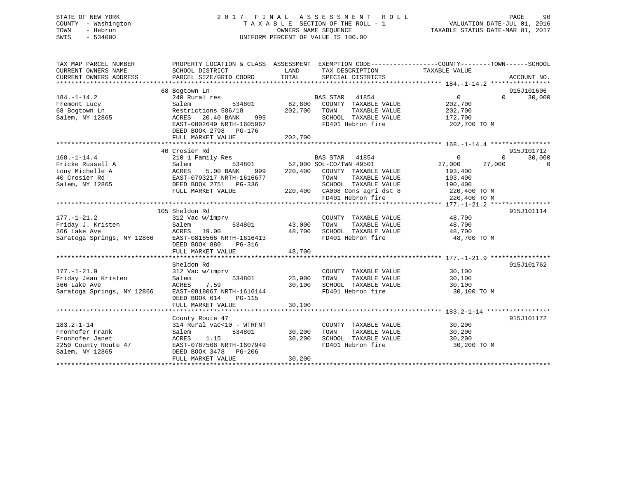## STATE OF NEW YORK 2 0 1 7 F I N A L A S S E S S M E N T R O L L PAGE 90 COUNTY - Washington T A X A B L E SECTION OF THE ROLL - 1 VALUATION DATE-JUL 01, 2016 TOWN - Hebron OWNERS NAME SEQUENCE TAXABLE STATUS DATE-MAR 01, 2017 SWIS - 534000 UNIFORM PERCENT OF VALUE IS 100.00

| TAX MAP PARCEL NUMBER<br>CURRENT OWNERS NAME<br>CURRENT OWNERS ADDRESS                            | PROPERTY LOCATION & CLASS ASSESSMENT<br>SCHOOL DISTRICT<br>PARCEL SIZE/GRID COORD                                                                                                 | LAND<br>TOTAL                | TAX DESCRIPTION TAXABLE VALUE<br>SPECIAL DISTRICTS                                                                                                                       | EXEMPTION CODE-----------------COUNTY-------TOWN------SCHOOL<br>ACCOUNT NO.                                                                                      |
|---------------------------------------------------------------------------------------------------|-----------------------------------------------------------------------------------------------------------------------------------------------------------------------------------|------------------------------|--------------------------------------------------------------------------------------------------------------------------------------------------------------------------|------------------------------------------------------------------------------------------------------------------------------------------------------------------|
| $184. - 1 - 14.2$<br>Fremont Lucy<br>68 Bogtown Ln<br>Salem, NY 12865                             | 68 Bogtown Ln<br>240 Rural res<br>Salem<br>534801<br>Restrictions 586/18<br>ACRES<br>20.40 BANK<br>999<br>EAST-0802649 NRTH-1605967<br>DEED BOOK 2798 PG-176<br>FULL MARKET VALUE | 82,800<br>202,700<br>202,700 | BAS STAR 41854<br>COUNTY TAXABLE VALUE<br>TAXABLE VALUE<br>TOWN<br>SCHOOL TAXABLE VALUE<br>FD401 Hebron fire                                                             | 915J101606<br>$\Omega$<br>30,000<br>$\overline{0}$<br>202,700<br>202,700<br>172,700<br>202,700 TO M                                                              |
|                                                                                                   |                                                                                                                                                                                   |                              |                                                                                                                                                                          |                                                                                                                                                                  |
| $168. - 1 - 14.4$<br>Fricke Russell A<br>Louy Michelle A<br>40 Crosier Rd<br>Salem, NY 12865      | 40 Crosier Rd<br>210 1 Family Res<br>534801<br>Salem<br>ACRES<br>5.00 BANK<br>999<br>EAST-0793217 NRTH-1616677<br>DEED BOOK 2751 PG-336<br>FULL MARKET VALUE                      | 220,400                      | BAS STAR 41854<br>52,000 SOL-CO/TWN 49501<br>COUNTY TAXABLE VALUE<br>TOWN<br>TAXABLE VALUE<br>SCHOOL TAXABLE VALUE<br>220,400 CA008 Cons agri dst 8<br>FD401 Hebron fire | 915J101712<br>30,000<br>$\mathbf 0$<br>$\Omega$<br>27,000<br>27,000<br>$\overline{\phantom{0}}$<br>193,400<br>193,400<br>190,400<br>220,400 TO M<br>220,400 TO M |
|                                                                                                   |                                                                                                                                                                                   |                              |                                                                                                                                                                          |                                                                                                                                                                  |
| $177. - 1 - 21.2$<br>Friday J. Kristen<br>366 Lake Ave<br>Saratoga Springs, NY 12866              | 105 Sheldon Rd<br>312 Vac w/imprv<br>534801<br>Salem<br>19.00<br>ACRES<br>EAST-0816566 NRTH-1616413<br>DEED BOOK 880<br>PG-316<br>FULL MARKET VALUE                               | 43,000<br>48,700<br>48,700   | COUNTY TAXABLE VALUE<br>TOWN<br>TAXABLE VALUE<br>SCHOOL TAXABLE VALUE<br>FD401 Hebron fire                                                                               | 915J101114<br>48,700<br>48,700<br>48,700<br>48,700 TO M                                                                                                          |
|                                                                                                   | Sheldon Rd                                                                                                                                                                        |                              |                                                                                                                                                                          | 915J101762                                                                                                                                                       |
| $177. - 1 - 21.9$<br>Friday Jean Kristen<br>366 Lake Ave<br>Saratoga Springs, NY 12866            | 312 Vac w/imprv<br>534801<br>Salem<br>7.59<br>ACRES<br>EAST-0818067 NRTH-1616144<br>DEED BOOK 614<br><b>PG-115</b><br>FULL MARKET VALUE                                           | 25,900<br>30,100<br>30,100   | COUNTY TAXABLE VALUE<br>TOWN<br>TAXABLE VALUE<br>SCHOOL TAXABLE VALUE<br>FD401 Hebron fire                                                                               | 30,100<br>30,100<br>30,100<br>30,100 TO M                                                                                                                        |
|                                                                                                   |                                                                                                                                                                                   |                              |                                                                                                                                                                          |                                                                                                                                                                  |
| $183.2 - 1 - 14$<br>Fronhofer Frank<br>Fronhofer Janet<br>2250 County Route 47<br>Salem, NY 12865 | County Route 47<br>314 Rural vac<10 - WTRFNT<br>534801<br>Salem<br>1.15<br>ACRES<br>EAST-0787568 NRTH-1607949<br>DEED BOOK 3478<br>PG-206<br>FULL MARKET VALUE                    | 30,200<br>30,200<br>30,200   | COUNTY TAXABLE VALUE<br>TOWN<br>TAXABLE VALUE<br>SCHOOL TAXABLE VALUE<br>FD401 Hebron fire                                                                               | 915J101172<br>30,200<br>30,200<br>30,200<br>30,200 TO M                                                                                                          |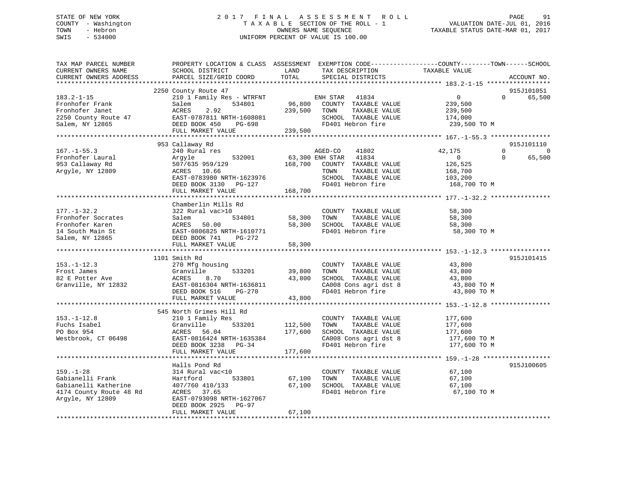## STATE OF NEW YORK 2 0 1 7 F I N A L A S S E S S M E N T R O L L PAGE 91 COUNTY - Washington T A X A B L E SECTION OF THE ROLL - 1 VALUATION DATE-JUL 01, 2016 TOWN - Hebron OWNERS NAME SEQUENCE TAXABLE STATUS DATE-MAR 01, 2017 SWIS - 534000 UNIFORM PERCENT OF VALUE IS 100.00

| TAX MAP PARCEL NUMBER<br>CURRENT OWNERS NAME<br>CURRENT OWNERS ADDRESS                                     | SCHOOL DISTRICT<br>PARCEL SIZE/GRID COORD                                                                                                                              | LAND<br>TOTAL                 | TAX DESCRIPTION<br>SPECIAL DISTRICTS                                                                                                            | PROPERTY LOCATION & CLASS ASSESSMENT EXEMPTION CODE---------------COUNTY-------TOWN-----SCHOOL<br>TAXABLE VALUE | ACCOUNT NO.                      |
|------------------------------------------------------------------------------------------------------------|------------------------------------------------------------------------------------------------------------------------------------------------------------------------|-------------------------------|-------------------------------------------------------------------------------------------------------------------------------------------------|-----------------------------------------------------------------------------------------------------------------|----------------------------------|
|                                                                                                            | **************************                                                                                                                                             |                               |                                                                                                                                                 |                                                                                                                 |                                  |
| $183.2 - 1 - 15$<br>Fronhofer Frank<br>Fronhofer Janet<br>2250 County Route 47<br>Salem, NY 12865          | 2250 County Route 47<br>210 1 Family Res - WTRFNT<br>534801<br>Salem<br>2.92<br>ACRES<br>EAST-0787811 NRTH-1608081<br>DEED BOOK 450<br>PG-698<br>FULL MARKET VALUE     | 96,800<br>239,500<br>239,500  | ENH STAR<br>41834<br>COUNTY TAXABLE VALUE<br>TAXABLE VALUE<br>TOWN<br>SCHOOL TAXABLE VALUE<br>FD401 Hebron fire                                 | $\mathbf{0}$<br>$\Omega$<br>239,500<br>239,500<br>174,000<br>239,500 TO M                                       | 915J101051<br>65,500             |
| ***********************                                                                                    |                                                                                                                                                                        |                               |                                                                                                                                                 |                                                                                                                 |                                  |
| $167. - 1 - 55.3$<br>Fronhofer Laural<br>953 Callaway Rd<br>Argyle, NY 12809                               | 953 Callaway Rd<br>240 Rural res<br>532001<br>Argyle<br>507/635 959/129<br>ACRES 10.66<br>EAST-0783980 NRTH-1623976<br>DEED BOOK 3130 PG-127                           |                               | AGED-CO<br>41802<br>63,300 ENH STAR 41834<br>168,700 COUNTY TAXABLE VALUE<br>TOWN<br>TAXABLE VALUE<br>SCHOOL TAXABLE VALUE<br>FD401 Hebron fire | 42,175<br>$\Omega$<br>$\overline{0}$<br>$\Omega$<br>126,525<br>168,700<br>103,200<br>168,700 TO M               | 915J101110<br>$\Omega$<br>65,500 |
|                                                                                                            | FULL MARKET VALUE                                                                                                                                                      | 168,700                       |                                                                                                                                                 |                                                                                                                 |                                  |
|                                                                                                            |                                                                                                                                                                        |                               |                                                                                                                                                 |                                                                                                                 |                                  |
| $177. - 1 - 32.2$<br>Fronhofer Socrates<br>Fronhofer Karen<br>14 South Main St<br>Salem, NY 12865          | Chamberlin Mills Rd<br>322 Rural vac>10<br>534801<br>Salem<br>ACRES 50.00<br>EAST-0806825 NRTH-1610771<br>DEED BOOK 741<br>PG-272<br>FULL MARKET VALUE                 | 58,300<br>58,300<br>58,300    | COUNTY TAXABLE VALUE<br>TAXABLE VALUE<br>TOWN<br>SCHOOL TAXABLE VALUE<br>FD401 Hebron fire                                                      | 58,300<br>58,300<br>58,300<br>58,300 TO M                                                                       |                                  |
|                                                                                                            |                                                                                                                                                                        |                               |                                                                                                                                                 |                                                                                                                 |                                  |
| $153. - 1 - 12.3$<br>Frost James<br>82 E Potter Ave<br>Granville, NY 12832                                 | 1101 Smith Rd<br>270 Mfg housing<br>533201<br>Granville<br>ACRES<br>8.70<br>EAST-0816304 NRTH-1636811<br>PG-270<br>DEED BOOK 516                                       | 39,800<br>43,800              | COUNTY TAXABLE VALUE<br>TAXABLE VALUE<br>TOWN<br>SCHOOL TAXABLE VALUE<br>CA008 Cons agri dst 8<br>FD401 Hebron fire                             | 43,800<br>43,800<br>43,800<br>43,800 TO M<br>43,800 TO M                                                        | 915J101415                       |
|                                                                                                            | FULL MARKET VALUE                                                                                                                                                      | 43,800                        |                                                                                                                                                 |                                                                                                                 |                                  |
| $153. - 1 - 12.8$<br>Fuchs Isabel<br>PO Box 954<br>Westbrook, CT 06498                                     | 545 North Grimes Hill Rd<br>210 1 Family Res<br>Granville<br>533201<br>ACRES 56.04<br>EAST-0816424 NRTH-1635384<br>DEED BOOK 3238 PG-34<br>FULL MARKET VALUE           | 112,500<br>177,600<br>177,600 | COUNTY TAXABLE VALUE<br>TAXABLE VALUE<br>TOWN<br>SCHOOL TAXABLE VALUE<br>CA008 Cons agri dst 8<br>FD401 Hebron fire                             | 177,600<br>177,600<br>177,600<br>177,600 TO M<br>177,600 TO M                                                   |                                  |
|                                                                                                            |                                                                                                                                                                        |                               |                                                                                                                                                 |                                                                                                                 |                                  |
| $159. - 1 - 28$<br>Gabianelli Frank<br>Gabianelli Katherine<br>4174 County Route 48 Rd<br>Argyle, NY 12809 | Halls Pond Rd<br>314 Rural vac<10<br>533801<br>Hartford<br>407/760 410/133<br>ACRES 37.65<br>EAST-0793098 NRTH-1627067<br>DEED BOOK 2925<br>PG-97<br>FULL MARKET VALUE | 67,100<br>67,100<br>67,100    | COUNTY TAXABLE VALUE<br>TAXABLE VALUE<br>TOWN<br>SCHOOL TAXABLE VALUE<br>FD401 Hebron fire                                                      | 67,100<br>67,100<br>67,100<br>67,100 TO M                                                                       | 915J100605                       |
|                                                                                                            |                                                                                                                                                                        |                               |                                                                                                                                                 |                                                                                                                 |                                  |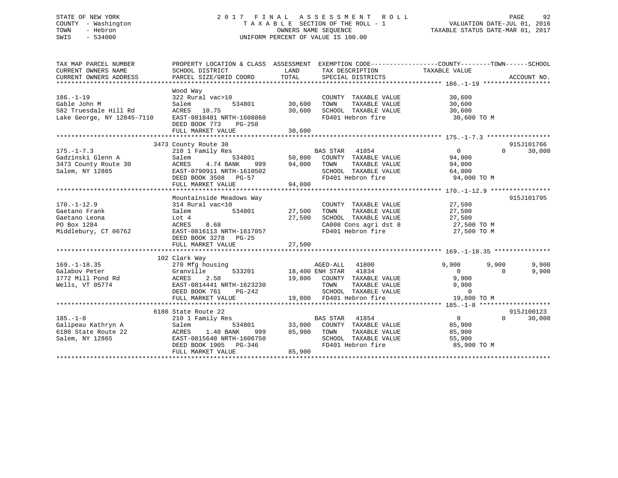## STATE OF NEW YORK 2 0 1 7 F I N A L A S S E S S M E N T R O L L PAGE 92 COUNTY - Washington T A X A B L E SECTION OF THE ROLL - 1 VALUATION DATE-JUL 01, 2016 TOWN - Hebron OWNERS NAME SEQUENCE TAXABLE STATUS DATE-MAR 01, 2017 SWIS - 534000 UNIFORM PERCENT OF VALUE IS 100.00

| TAX MAP PARCEL NUMBER      | PROPERTY LOCATION & CLASS ASSESSMENT EXEMPTION CODE----------------COUNTY-------TOWN-----SCHOOL                 |        |                                                                                                                                               |                |                    |
|----------------------------|-----------------------------------------------------------------------------------------------------------------|--------|-----------------------------------------------------------------------------------------------------------------------------------------------|----------------|--------------------|
| CURRENT OWNERS NAME        | SCHOOL DISTRICT                                                                                                 | LAND   | TAX DESCRIPTION                                                                                                                               | TAXABLE VALUE  |                    |
| CURRENT OWNERS ADDRESS     | PARCEL SIZE/GRID COORD                                                                                          | TOTAL  | SPECIAL DISTRICTS                                                                                                                             |                | ACCOUNT NO.        |
|                            | Wood Way                                                                                                        |        |                                                                                                                                               |                |                    |
| $186. - 1 - 19$            | 322 Rural vac>10                                                                                                |        | COUNTY TAXABLE VALUE                                                                                                                          | 30,600         |                    |
| Gable John M               | Salem<br>534801                                                                                                 | 30,600 | TOWN        TAXABLE  VALUE<br>SCHOOL    TAXABLE  VALUE                                                                                        | 30,600         |                    |
| 582 Truesdale Hill Rd      | ACRES 10.75                                                                                                     | 30,600 |                                                                                                                                               | 30,600         |                    |
| Lake George, NY 12845-7110 | EAST-0818481 NRTH-1608860<br>DEED BOOK 773<br>PG-258<br>FULL MARKET VALUE                                       | 30,600 | FD401 Hebron fire                                                                                                                             | 30,600 TO M    |                    |
|                            |                                                                                                                 |        |                                                                                                                                               |                |                    |
|                            | 3473 County Route 30                                                                                            |        |                                                                                                                                               |                | 915J101766         |
| $175. - 1 - 7.3$           | 210 1 Family Res                                                                                                |        | <b>BAS STAR</b> 41854                                                                                                                         | $\overline{0}$ | $\Omega$<br>30,000 |
| Gadzinski Glenn A          | Salem                                                                                                           |        | 534801 50,800 COUNTY TAXABLE VALUE 94,000                                                                                                     |                |                    |
| 3473 County Route 30       |                                                                                                                 |        | TAXABLE VALUE                                                                                                                                 | 94,000         |                    |
| Salem, NY 12865            |                                                                                                                 |        | SCHOOL TAXABLE VALUE 64,000                                                                                                                   |                |                    |
|                            | ACRES   4.74 BANK   999   94,000 TOWN<br>EAST-0790911 NRTH-1610502   SCHOOI<br>DEED BOOK   3508   PG-57   PD401 |        | FD401 Hebron fire                                                                                                                             | 94,000 TO M    |                    |
|                            |                                                                                                                 |        |                                                                                                                                               |                |                    |
|                            | Mountainside Meadows Way                                                                                        |        |                                                                                                                                               |                | 915J101795         |
| $170. - 1 - 12.9$          | 314 Rural vac<10                                                                                                |        | COUNTY TAXABLE VALUE                                                                                                                          | 27,500         |                    |
| Gaetano Frank              | al vac<10<br>534801 27,500<br>Salem                                                                             |        | TAXABLE VALUE<br>TOWN                                                                                                                         | 27,500         |                    |
| Gaetano Leona              | Lot 4                                                                                                           | 27,500 | SCHOOL TAXABLE VALUE 27,500<br>CA008 Cons agri dst 8 27,500 TO M                                                                              |                |                    |
| PO Box 1284                | 8.68<br>ACRES                                                                                                   |        | CA008 Cons agri dst 8<br>-- 101 Tebron fire                                                                                                   |                |                    |
| Middlebury, CT 06762       | EAST-0816113 NRTH-1617057                                                                                       |        | FD401 Hebron fire                                                                                                                             | 27,500 TO M    |                    |
|                            | DEED BOOK 3278 PG-25                                                                                            |        |                                                                                                                                               |                |                    |
|                            | FULL MARKET VALUE                                                                                               | 27,500 |                                                                                                                                               |                |                    |
|                            |                                                                                                                 |        |                                                                                                                                               |                |                    |
| $169. - 1 - 18.35$         | 102 Clark Way<br>270 Mfg housing                                                                                |        | AGED-ALL 41800                                                                                                                                | 9,900          | 9,900<br>9,900     |
| Galabov Peter              | Granville                                                                                                       |        | 533201 18,400 ENH STAR 41834                                                                                                                  | $\overline{0}$ | 9,900<br>$\Omega$  |
| 1772 Mill Pond Rd          |                                                                                                                 |        |                                                                                                                                               | 9,900          |                    |
| Wells, VT 05774            | ACRES 2.50<br>EAST-0814441 NRTH-1623230                                                                         |        |                                                                                                                                               | 9,900          |                    |
|                            | DEED BOOK 761 PG-242                                                                                            |        |                                                                                                                                               | $\Omega$       |                    |
|                            | FULL MARKET VALUE                                                                                               |        | 19,800 COUNTY TAXABLE VALUE 9,<br>TOWN TAXABLE VALUE 9,<br>SCHOOL TAXABLE VALUE 9,<br>19,800 FD401 Hebron fire 19<br>19,800 FD401 Hebron fire | 19,800 TO M    |                    |
|                            |                                                                                                                 |        |                                                                                                                                               |                |                    |
|                            | 6180 State Route 22                                                                                             |        |                                                                                                                                               |                | 915J100123         |
| $185. - 1 - 8$             | 210 1 Family Res                                                                                                |        |                                                                                                                                               | $\overline{0}$ | $\Omega$<br>30,000 |
| Galipeau Kathryn A         | Salem<br>534801                                                                                                 |        |                                                                                                                                               | 85,900         |                    |
| 6180 State Route 22        | ACRES<br>1.40 BANK<br>999 — 10                                                                                  | 85,900 | BAS STAR 41854<br>33,000 COUNTY TAXABLE VALUE<br>2011E VALUE<br>TOWN<br>TAXABLE VALUE                                                         | 85,900         |                    |
| Salem, NY 12865            | EAST-0815640 NRTH-1606750                                                                                       |        | SCHOOL TAXABLE VALUE                                                                                                                          | 55,900         |                    |
|                            | DEED BOOK 1905 PG-346                                                                                           |        | FD401 Hebron fire                                                                                                                             | 85,900 TO M    |                    |
|                            | FULL MARKET VALUE                                                                                               | 85,900 |                                                                                                                                               |                |                    |
|                            |                                                                                                                 |        |                                                                                                                                               |                |                    |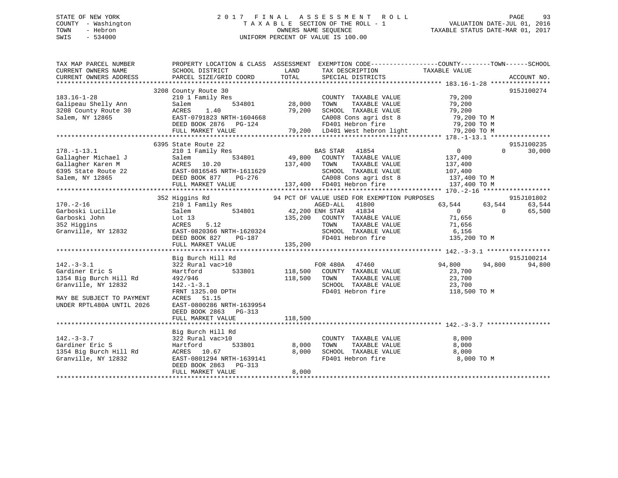## STATE OF NEW YORK 2 0 1 7 F I N A L A S S E S S M E N T R O L L PAGE 93 COUNTY - Washington T A X A B L E SECTION OF THE ROLL - 1 VALUATION DATE-JUL 01, 2016 TOWN - Hebron OWNERS NAME SEQUENCE TAXABLE STATUS DATE-MAR 01, 2017 SWIS - 534000 UNIFORM PERCENT OF VALUE IS 100.00

| TAX MAP PARCEL NUMBER     | PROPERTY LOCATION & CLASS ASSESSMENT EXEMPTION CODE----------------COUNTY-------TOWN------SCHOOL                                                                                                                                                   |       |                                  |                   |                    |
|---------------------------|----------------------------------------------------------------------------------------------------------------------------------------------------------------------------------------------------------------------------------------------------|-------|----------------------------------|-------------------|--------------------|
|                           |                                                                                                                                                                                                                                                    |       |                                  |                   |                    |
|                           | 3208 County Route 30                                                                                                                                                                                                                               |       |                                  |                   | 915J100274         |
|                           | County Route 30<br>210 1 Family Res<br>Salem 534801 28,000                                                                                                                                                                                         |       |                                  |                   |                    |
|                           |                                                                                                                                                                                                                                                    |       |                                  |                   |                    |
|                           |                                                                                                                                                                                                                                                    |       |                                  |                   |                    |
|                           |                                                                                                                                                                                                                                                    |       |                                  |                   |                    |
|                           |                                                                                                                                                                                                                                                    |       |                                  |                   |                    |
|                           |                                                                                                                                                                                                                                                    |       |                                  |                   |                    |
|                           | $\begin{array}{cccccccc} 183.16-1-28 & 3208 \text{ Country Route 30} & 2101 I Family Res & 28,000 & TOMTY TAXABLE VALUE & 79,200 & 915J1002/4 \end{array}$                                                                                         |       |                                  |                   |                    |
|                           | 6395 State Route 22                                                                                                                                                                                                                                |       |                                  |                   | 915J100235         |
|                           | 534801 BAS STAR 41854 0<br>6395 State Route 22<br>Gallagher Michael J Salem 534801 49,800 COUNTY TAXABLE VALUE 137,400<br>6395 State Route 22 EAST-081654 137,400 TOWN TAXABLE VALUE 137,400<br>Salem, NY 12865 DEED BOOK 877 PG-276 C             |       |                                  |                   | $\Omega$<br>30,000 |
|                           |                                                                                                                                                                                                                                                    |       |                                  |                   |                    |
|                           |                                                                                                                                                                                                                                                    |       |                                  |                   |                    |
|                           |                                                                                                                                                                                                                                                    |       |                                  |                   |                    |
|                           |                                                                                                                                                                                                                                                    |       |                                  |                   |                    |
|                           |                                                                                                                                                                                                                                                    |       |                                  |                   |                    |
|                           |                                                                                                                                                                                                                                                    |       |                                  |                   |                    |
|                           |                                                                                                                                                                                                                                                    |       |                                  |                   |                    |
|                           | 352 Higgins Rd                   94 PCT OF VALUE USED FOR EXEMPTION PURPOSES                                                                                                                                                                       |       |                                  |                   | 915J101802         |
|                           |                                                                                                                                                                                                                                                    |       |                                  | $63,544$ $63,544$ | 63,544             |
|                           |                                                                                                                                                                                                                                                    |       |                                  |                   | 65,500             |
|                           |                                                                                                                                                                                                                                                    |       |                                  |                   |                    |
|                           |                                                                                                                                                                                                                                                    |       |                                  |                   |                    |
|                           |                                                                                                                                                                                                                                                    |       |                                  |                   |                    |
|                           |                                                                                                                                                                                                                                                    |       |                                  |                   |                    |
|                           | 170.-2-16<br>332 Higgins Ku<br>210 I Family Res<br>Garboski Lucille Salem 534801<br>352 Higgins Lot 13<br>352 Higgins Lot 13<br>352 Higgins Lot 13<br>352 Higgins Lot 13<br>352 Higgins ACRES 5.12<br>352 Higgins ACRES 5.12<br>352 Higgi          |       |                                  |                   |                    |
|                           |                                                                                                                                                                                                                                                    |       |                                  |                   |                    |
|                           | Big Burch Hill Rd                                                                                                                                                                                                                                  |       |                                  |                   | 915J100214         |
| $142. - 3 - 3.1$          |                                                                                                                                                                                                                                                    |       |                                  |                   | 94,800             |
| Gardiner Eric S           |                                                                                                                                                                                                                                                    |       |                                  |                   |                    |
| 1354 Big Burch Hill Rd    |                                                                                                                                                                                                                                                    |       |                                  |                   |                    |
|                           |                                                                                                                                                                                                                                                    |       |                                  |                   |                    |
| Granville, NY 12832       |                                                                                                                                                                                                                                                    |       |                                  |                   |                    |
|                           | 9153<br>322 Rural vac>10<br>Hartford 533801 118,500 COUNTY TAXABLE VALUE<br>492/946 118,500 TOWN TAXABLE VALUE<br>142.-1-3.1<br>SCHOOL TAXABLE VALUE<br>FRNT 1325.00 DPTH<br>FRNT 1325.00 DPTH<br>FRNT 1325.00 DPTH<br>FRNT 1325.00 DPTH<br>FRNT 1 |       |                                  |                   |                    |
| MAY BE SUBJECT TO PAYMENT | ACRES 51.15                                                                                                                                                                                                                                        |       |                                  |                   |                    |
| UNDER RPTL480A UNTIL 2026 | EAST-0800286 NRTH-1639954                                                                                                                                                                                                                          |       |                                  |                   |                    |
|                           | DEED BOOK 2863 PG-313                                                                                                                                                                                                                              |       |                                  |                   |                    |
|                           |                                                                                                                                                                                                                                                    |       |                                  |                   |                    |
|                           |                                                                                                                                                                                                                                                    |       |                                  |                   |                    |
|                           | Big Burch Hill Rd                                                                                                                                                                                                                                  |       |                                  |                   |                    |
| $142. - 3 - 3.7$          | 322 Rural vac>10                                                                                                                                                                                                                                   |       | COUNTY TAXABLE VALUE             | 8,000             |                    |
| Gardiner Eric S           |                                                                                                                                                                                                                                                    |       |                                  |                   |                    |
| 1354 Big Burch Hill Rd    |                                                                                                                                                                                                                                                    |       |                                  |                   |                    |
| Granville, NY 12832       | Hartford 533801 8,000<br>ACRES 10.67 8,000<br>EAST-0801294 NRTH-1639141 8,000<br>THE 16301294 NRTH-1639141                                                                                                                                         |       | $FD401$ Hebron fire $8,000$ TO M |                   |                    |
|                           | DEED BOOK 2863 PG-313                                                                                                                                                                                                                              |       |                                  |                   |                    |
|                           | FULL MARKET VALUE                                                                                                                                                                                                                                  | 8,000 |                                  |                   |                    |
|                           |                                                                                                                                                                                                                                                    |       |                                  |                   |                    |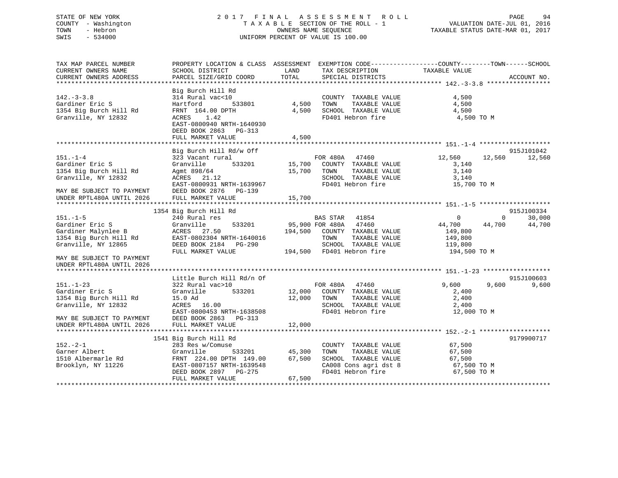## STATE OF NEW YORK 2 0 1 7 F I N A L A S S E S S M E N T R O L L PAGE 94 COUNTY - Washington T A X A B L E SECTION OF THE ROLL - 1 VALUATION DATE-JUL 01, 2016 TOWN - Hebron OWNERS NAME SEQUENCE TAXABLE STATUS DATE-MAR 01, 2017 SWIS - 534000 UNIFORM PERCENT OF VALUE IS 100.00

| TAX MAP PARCEL NUMBER<br>CURRENT OWNERS NAME<br>CURRENT OWNERS ADDRESS                                           | PROPERTY LOCATION & CLASS ASSESSMENT<br>SCHOOL DISTRICT<br>PARCEL SIZE/GRID COORD                                                                                              | LAND<br>TOTAL              | EXEMPTION CODE-----------------COUNTY-------TOWN------SCHOOL<br>TAX DESCRIPTION<br>SPECIAL DISTRICTS                                             | TAXABLE VALUE                                                          | ACCOUNT NO.                  |
|------------------------------------------------------------------------------------------------------------------|--------------------------------------------------------------------------------------------------------------------------------------------------------------------------------|----------------------------|--------------------------------------------------------------------------------------------------------------------------------------------------|------------------------------------------------------------------------|------------------------------|
| $142. - 3 - 3.8$<br>Gardiner Eric S<br>1354 Big Burch Hill Rd<br>Granville, NY 12832                             | Big Burch Hill Rd<br>314 Rural vac<10<br>533801<br>Hartford<br>FRNT 164.00 DPTH<br>1.42<br>ACRES<br>EAST-0800940 NRTH-1640930<br>DEED BOOK 2863<br>PG-313<br>FULL MARKET VALUE | 4,500<br>4,500<br>4,500    | COUNTY TAXABLE VALUE<br>TOWN<br>TAXABLE VALUE<br>SCHOOL TAXABLE VALUE<br>FD401 Hebron fire                                                       | 4,500<br>4,500<br>4,500<br>4,500 TO M                                  |                              |
|                                                                                                                  | Big Burch Hill Rd/w Off                                                                                                                                                        |                            |                                                                                                                                                  |                                                                        | 915J101042                   |
| $151. - 1 - 4$<br>Gardiner Eric S<br>1354 Big Burch Hill Rd<br>Granville, NY 12832<br>MAY BE SUBJECT TO PAYMENT  | 323 Vacant rural<br>Granville<br>533201<br>Agmt 898/64<br>ACRES 21.12<br>EAST-0800931 NRTH-1639967<br>DEED BOOK 2876 PG-139                                                    | 15,700                     | FOR 480A 47460<br>15,700 COUNTY TAXABLE VALUE<br>TOWN<br>TAXABLE VALUE<br>SCHOOL TAXABLE VALUE<br>FD401 Hebron fire                              | 12,560<br>12,560<br>3,140<br>3,140<br>3,140<br>15,700 TO M             | 12,560                       |
| UNDER RPTL480A UNTIL 2026                                                                                        | FULL MARKET VALUE                                                                                                                                                              | 15,700                     |                                                                                                                                                  |                                                                        |                              |
|                                                                                                                  | 1354 Big Burch Hill Rd                                                                                                                                                         |                            |                                                                                                                                                  |                                                                        | 915J100334                   |
| $151. - 1 - 5$<br>Gardiner Eric S<br>Gardiner Malynlee B<br>1354 Big Burch Hill Rd<br>Granville, NY 12865        | 240 Rural res<br>Granville<br>533201<br>ACRES 27.50<br>EAST-0802304 NRTH-1640016<br>DEED BOOK 2184 PG-290<br>FULL MARKET VALUE                                                 | 194,500                    | BAS STAR<br>41854<br>95,900 FOR 480A 47460<br>COUNTY TAXABLE VALUE<br>TOWN<br>TAXABLE VALUE<br>SCHOOL TAXABLE VALUE<br>194,500 FD401 Hebron fire | 0<br>44,700<br>44,700<br>149,800<br>149,800<br>119,800<br>194,500 TO M | $\Omega$<br>30,000<br>44,700 |
| MAY BE SUBJECT TO PAYMENT<br>UNDER RPTL480A UNTIL 2026                                                           |                                                                                                                                                                                |                            |                                                                                                                                                  |                                                                        |                              |
|                                                                                                                  | Little Burch Hill Rd/n Of                                                                                                                                                      |                            |                                                                                                                                                  |                                                                        | 915J100603                   |
| $151. - 1 - 23$<br>Gardiner Eric S<br>1354 Big Burch Hill Rd<br>Granville, NY 12832<br>MAY BE SUBJECT TO PAYMENT | 322 Rural vac>10<br>Granville<br>533201<br>15.0 Ad<br>ACRES 16.00<br>EAST-0800453 NRTH-1638508<br>DEED BOOK 2863 PG-313                                                        | 12,000<br>12,000           | FOR 480A 47460<br>COUNTY TAXABLE VALUE<br>TAXABLE VALUE<br>TOWN<br>SCHOOL TAXABLE VALUE<br>FD401 Hebron fire                                     | 9,600<br>9,600<br>2,400<br>2,400<br>2,400<br>12,000 TO M               | 9,600                        |
| UNDER RPTL480A UNTIL 2026                                                                                        | FULL MARKET VALUE                                                                                                                                                              | 12,000                     |                                                                                                                                                  |                                                                        |                              |
|                                                                                                                  | 1541 Big Burch Hill Rd                                                                                                                                                         |                            |                                                                                                                                                  |                                                                        | 9179900717                   |
| $152 - 2 - 1$<br>Garner Albert<br>1510 Albermarle Rd<br>Brooklyn, NY 11226                                       | 283 Res w/Comuse<br>Granville<br>533201<br>FRNT 224.00 DPTH 149.00<br>EAST-0807157 NRTH-1639548<br>DEED BOOK 2897 PG-275<br>FULL MARKET VALUE                                  | 45,300<br>67,500<br>67,500 | COUNTY TAXABLE VALUE<br>TAXABLE VALUE<br>TOWN<br>SCHOOL TAXABLE VALUE<br>CA008 Cons agri dst 8<br>FD401 Hebron fire                              | 67,500<br>67,500<br>67,500<br>67,500 TO M<br>67,500 TO M               |                              |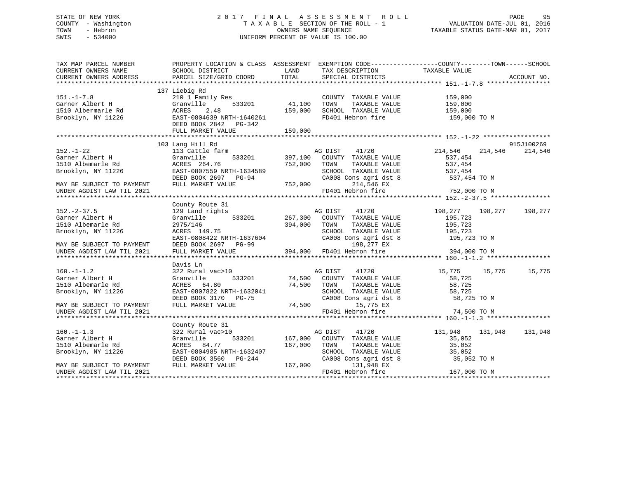## STATE OF NEW YORK 2 0 1 7 F I N A L A S S E S S M E N T R O L L PAGE 95 COUNTY - Washington T A X A B L E SECTION OF THE ROLL - 1 VALUATION DATE-JUL 01, 2016 TOWN - Hebron OWNERS NAME SEQUENCE TAXABLE STATUS DATE-MAR 01, 2017 SWIS - 534000 UNIFORM PERCENT OF VALUE IS 100.00

| LAND<br>TAXABLE VALUE<br>SCHOOL DISTRICT<br>TAX DESCRIPTION<br>TOTAL<br>PARCEL SIZE/GRID COORD<br>SPECIAL DISTRICTS<br>ACCOUNT NO.<br>137 Liebig Rd<br>210 1 Family Res<br>COUNTY TAXABLE VALUE<br>159,000<br>Granville<br>533201<br>41,100<br>TOWN<br>TAXABLE VALUE<br>159,000<br>159,000<br>SCHOOL TAXABLE VALUE<br>ACRES<br>2.48<br>159,000<br>EAST-0804639 NRTH-1640261<br>FD401 Hebron fire<br>159,000 TO M<br>Brooklyn, NY 11226<br>DEED BOOK 2842 PG-342<br>FULL MARKET VALUE<br>159,000<br>103 Lang Hill Rd<br>915J100269<br>214,546<br>$152. - 1 - 22$<br>113 Cattle farm<br>AG DIST<br>41720<br>214,546<br>214,546<br>Garner Albert H<br>Granville<br>533201 397,100<br>537,454<br>COUNTY TAXABLE VALUE<br>1510 Albemarle Rd<br>ACRES 264.76<br>752,000<br>TOWN<br>TAXABLE VALUE<br>537,454<br>Brooklyn, NY 11226<br>EAST-0807559 NRTH-1634589<br>SCHOOL TAXABLE VALUE 537,454<br>CA008 Cons agri dst 8 537,454<br>DEED BOOK 2697 PG-94<br>FIILL MADFER 11-10-10-04<br>537,454 TO M<br>$752,000$ FD4<br>214,546 EX<br>MAY BE SUBJECT TO PAYMENT<br>FULL MARKET VALUE<br>FD401 Hebron fire<br>752,000 TO M<br>UNDER AGDIST LAW TIL 2021<br>County Route 31<br>$152. - 2 - 37.5$<br>129 Land rights<br>41720<br>198,277<br>198,277<br>AG DIST<br>198,277<br>Garner Albert H<br>533201<br>267,300<br>COUNTY TAXABLE VALUE<br>195,723<br>Granville<br>1510 Albemarle Rd<br>2975/146<br>394,000<br>TOWN<br>TAXABLE VALUE<br>195,723<br>Brooklyn, NY 11226<br>SCHOOL TAXABLE VALUE<br>ACRES 149.75<br>195,723<br>EAST-0808422 NRTH-1637604<br>DEED BOOK 2697 PG-99<br>TULL MARKET VALUE 394,000 FD401 Hebron fire<br>CA008 Cons agri dst 8<br>195,723 TO M<br>198,277 EX<br>394,000 TO M<br>Davis Ln<br>322 Rural vac>10<br>41720<br>15,775<br>15,775<br>15,775<br>AG DIST<br>74,500<br>533201<br>Granville<br>COUNTY TAXABLE VALUE<br>58,725<br>74,500<br>58,725<br>ACRES 64.80<br>TOWN<br>TAXABLE VALUE<br>Brooklyn, NY 11226<br>EAST-0807822 NRTH-1632041<br>SCHOOL TAXABLE VALUE<br>58,725<br>CA008 Cons agri dst 8<br>DEED BOOK 3170 PG-75<br>58,725 TO M<br>74,500<br>FULL MARKET VALUE<br>15,775 EX<br>MAY BE SUBJECT TO PAYMENT<br>FD401 Hebron fire<br>74,500 TO M<br>UNDER AGDIST LAW TIL 2021<br>County Route 31<br>$160. - 1 - 1.3$<br>322 Rural vac>10<br>41720<br>131,948<br>131,948<br>131,948<br>AG DIST<br>Garner Albert H<br>Granville<br>533201 167,000<br>COUNTY TAXABLE VALUE<br>35,052<br>1510 Albemarle Rd<br>ACRES 84.77<br>167,000<br>TOWN<br>TAXABLE VALUE<br>35,052<br>EAST-0804985 NRTH-1632407<br>SCHOOL TAXABLE VALUE<br>Brooklyn, NY 11226<br>35,052<br>CA008 Cons agri dst 8<br>DEED BOOK 3560 PG-244<br>35,052 TO M<br>167,000<br>FULL MARKET VALUE<br>131,948 EX<br>MAY BE SUBJECT TO PAYMENT<br>FD401 Hebron fire<br>167,000 TO M<br>UNDER AGDIST LAW TIL 2021 | TAX MAP PARCEL NUMBER     |  | PROPERTY LOCATION & CLASS ASSESSMENT EXEMPTION CODE---------------COUNTY-------TOWN-----SCHOOL |  |  |
|-------------------------------------------------------------------------------------------------------------------------------------------------------------------------------------------------------------------------------------------------------------------------------------------------------------------------------------------------------------------------------------------------------------------------------------------------------------------------------------------------------------------------------------------------------------------------------------------------------------------------------------------------------------------------------------------------------------------------------------------------------------------------------------------------------------------------------------------------------------------------------------------------------------------------------------------------------------------------------------------------------------------------------------------------------------------------------------------------------------------------------------------------------------------------------------------------------------------------------------------------------------------------------------------------------------------------------------------------------------------------------------------------------------------------------------------------------------------------------------------------------------------------------------------------------------------------------------------------------------------------------------------------------------------------------------------------------------------------------------------------------------------------------------------------------------------------------------------------------------------------------------------------------------------------------------------------------------------------------------------------------------------------------------------------------------------------------------------------------------------------------------------------------------------------------------------------------------------------------------------------------------------------------------------------------------------------------------------------------------------------------------------------------------------------------------------------------------------------------------------------------------------------------------------------------------------------------------------------------------------------------------------------------------------------------------------------------------------------------------------------------------------------------------------------------|---------------------------|--|------------------------------------------------------------------------------------------------|--|--|
|                                                                                                                                                                                                                                                                                                                                                                                                                                                                                                                                                                                                                                                                                                                                                                                                                                                                                                                                                                                                                                                                                                                                                                                                                                                                                                                                                                                                                                                                                                                                                                                                                                                                                                                                                                                                                                                                                                                                                                                                                                                                                                                                                                                                                                                                                                                                                                                                                                                                                                                                                                                                                                                                                                                                                                                                       | CURRENT OWNERS NAME       |  |                                                                                                |  |  |
|                                                                                                                                                                                                                                                                                                                                                                                                                                                                                                                                                                                                                                                                                                                                                                                                                                                                                                                                                                                                                                                                                                                                                                                                                                                                                                                                                                                                                                                                                                                                                                                                                                                                                                                                                                                                                                                                                                                                                                                                                                                                                                                                                                                                                                                                                                                                                                                                                                                                                                                                                                                                                                                                                                                                                                                                       | CURRENT OWNERS ADDRESS    |  |                                                                                                |  |  |
|                                                                                                                                                                                                                                                                                                                                                                                                                                                                                                                                                                                                                                                                                                                                                                                                                                                                                                                                                                                                                                                                                                                                                                                                                                                                                                                                                                                                                                                                                                                                                                                                                                                                                                                                                                                                                                                                                                                                                                                                                                                                                                                                                                                                                                                                                                                                                                                                                                                                                                                                                                                                                                                                                                                                                                                                       |                           |  |                                                                                                |  |  |
|                                                                                                                                                                                                                                                                                                                                                                                                                                                                                                                                                                                                                                                                                                                                                                                                                                                                                                                                                                                                                                                                                                                                                                                                                                                                                                                                                                                                                                                                                                                                                                                                                                                                                                                                                                                                                                                                                                                                                                                                                                                                                                                                                                                                                                                                                                                                                                                                                                                                                                                                                                                                                                                                                                                                                                                                       |                           |  |                                                                                                |  |  |
|                                                                                                                                                                                                                                                                                                                                                                                                                                                                                                                                                                                                                                                                                                                                                                                                                                                                                                                                                                                                                                                                                                                                                                                                                                                                                                                                                                                                                                                                                                                                                                                                                                                                                                                                                                                                                                                                                                                                                                                                                                                                                                                                                                                                                                                                                                                                                                                                                                                                                                                                                                                                                                                                                                                                                                                                       | $151. - 1 - 7.8$          |  |                                                                                                |  |  |
|                                                                                                                                                                                                                                                                                                                                                                                                                                                                                                                                                                                                                                                                                                                                                                                                                                                                                                                                                                                                                                                                                                                                                                                                                                                                                                                                                                                                                                                                                                                                                                                                                                                                                                                                                                                                                                                                                                                                                                                                                                                                                                                                                                                                                                                                                                                                                                                                                                                                                                                                                                                                                                                                                                                                                                                                       | Garner Albert H           |  |                                                                                                |  |  |
|                                                                                                                                                                                                                                                                                                                                                                                                                                                                                                                                                                                                                                                                                                                                                                                                                                                                                                                                                                                                                                                                                                                                                                                                                                                                                                                                                                                                                                                                                                                                                                                                                                                                                                                                                                                                                                                                                                                                                                                                                                                                                                                                                                                                                                                                                                                                                                                                                                                                                                                                                                                                                                                                                                                                                                                                       | 1510 Albermarle Rd        |  |                                                                                                |  |  |
|                                                                                                                                                                                                                                                                                                                                                                                                                                                                                                                                                                                                                                                                                                                                                                                                                                                                                                                                                                                                                                                                                                                                                                                                                                                                                                                                                                                                                                                                                                                                                                                                                                                                                                                                                                                                                                                                                                                                                                                                                                                                                                                                                                                                                                                                                                                                                                                                                                                                                                                                                                                                                                                                                                                                                                                                       |                           |  |                                                                                                |  |  |
|                                                                                                                                                                                                                                                                                                                                                                                                                                                                                                                                                                                                                                                                                                                                                                                                                                                                                                                                                                                                                                                                                                                                                                                                                                                                                                                                                                                                                                                                                                                                                                                                                                                                                                                                                                                                                                                                                                                                                                                                                                                                                                                                                                                                                                                                                                                                                                                                                                                                                                                                                                                                                                                                                                                                                                                                       |                           |  |                                                                                                |  |  |
|                                                                                                                                                                                                                                                                                                                                                                                                                                                                                                                                                                                                                                                                                                                                                                                                                                                                                                                                                                                                                                                                                                                                                                                                                                                                                                                                                                                                                                                                                                                                                                                                                                                                                                                                                                                                                                                                                                                                                                                                                                                                                                                                                                                                                                                                                                                                                                                                                                                                                                                                                                                                                                                                                                                                                                                                       |                           |  |                                                                                                |  |  |
|                                                                                                                                                                                                                                                                                                                                                                                                                                                                                                                                                                                                                                                                                                                                                                                                                                                                                                                                                                                                                                                                                                                                                                                                                                                                                                                                                                                                                                                                                                                                                                                                                                                                                                                                                                                                                                                                                                                                                                                                                                                                                                                                                                                                                                                                                                                                                                                                                                                                                                                                                                                                                                                                                                                                                                                                       |                           |  |                                                                                                |  |  |
|                                                                                                                                                                                                                                                                                                                                                                                                                                                                                                                                                                                                                                                                                                                                                                                                                                                                                                                                                                                                                                                                                                                                                                                                                                                                                                                                                                                                                                                                                                                                                                                                                                                                                                                                                                                                                                                                                                                                                                                                                                                                                                                                                                                                                                                                                                                                                                                                                                                                                                                                                                                                                                                                                                                                                                                                       |                           |  |                                                                                                |  |  |
|                                                                                                                                                                                                                                                                                                                                                                                                                                                                                                                                                                                                                                                                                                                                                                                                                                                                                                                                                                                                                                                                                                                                                                                                                                                                                                                                                                                                                                                                                                                                                                                                                                                                                                                                                                                                                                                                                                                                                                                                                                                                                                                                                                                                                                                                                                                                                                                                                                                                                                                                                                                                                                                                                                                                                                                                       |                           |  |                                                                                                |  |  |
|                                                                                                                                                                                                                                                                                                                                                                                                                                                                                                                                                                                                                                                                                                                                                                                                                                                                                                                                                                                                                                                                                                                                                                                                                                                                                                                                                                                                                                                                                                                                                                                                                                                                                                                                                                                                                                                                                                                                                                                                                                                                                                                                                                                                                                                                                                                                                                                                                                                                                                                                                                                                                                                                                                                                                                                                       |                           |  |                                                                                                |  |  |
|                                                                                                                                                                                                                                                                                                                                                                                                                                                                                                                                                                                                                                                                                                                                                                                                                                                                                                                                                                                                                                                                                                                                                                                                                                                                                                                                                                                                                                                                                                                                                                                                                                                                                                                                                                                                                                                                                                                                                                                                                                                                                                                                                                                                                                                                                                                                                                                                                                                                                                                                                                                                                                                                                                                                                                                                       |                           |  |                                                                                                |  |  |
|                                                                                                                                                                                                                                                                                                                                                                                                                                                                                                                                                                                                                                                                                                                                                                                                                                                                                                                                                                                                                                                                                                                                                                                                                                                                                                                                                                                                                                                                                                                                                                                                                                                                                                                                                                                                                                                                                                                                                                                                                                                                                                                                                                                                                                                                                                                                                                                                                                                                                                                                                                                                                                                                                                                                                                                                       |                           |  |                                                                                                |  |  |
|                                                                                                                                                                                                                                                                                                                                                                                                                                                                                                                                                                                                                                                                                                                                                                                                                                                                                                                                                                                                                                                                                                                                                                                                                                                                                                                                                                                                                                                                                                                                                                                                                                                                                                                                                                                                                                                                                                                                                                                                                                                                                                                                                                                                                                                                                                                                                                                                                                                                                                                                                                                                                                                                                                                                                                                                       |                           |  |                                                                                                |  |  |
|                                                                                                                                                                                                                                                                                                                                                                                                                                                                                                                                                                                                                                                                                                                                                                                                                                                                                                                                                                                                                                                                                                                                                                                                                                                                                                                                                                                                                                                                                                                                                                                                                                                                                                                                                                                                                                                                                                                                                                                                                                                                                                                                                                                                                                                                                                                                                                                                                                                                                                                                                                                                                                                                                                                                                                                                       |                           |  |                                                                                                |  |  |
|                                                                                                                                                                                                                                                                                                                                                                                                                                                                                                                                                                                                                                                                                                                                                                                                                                                                                                                                                                                                                                                                                                                                                                                                                                                                                                                                                                                                                                                                                                                                                                                                                                                                                                                                                                                                                                                                                                                                                                                                                                                                                                                                                                                                                                                                                                                                                                                                                                                                                                                                                                                                                                                                                                                                                                                                       |                           |  |                                                                                                |  |  |
|                                                                                                                                                                                                                                                                                                                                                                                                                                                                                                                                                                                                                                                                                                                                                                                                                                                                                                                                                                                                                                                                                                                                                                                                                                                                                                                                                                                                                                                                                                                                                                                                                                                                                                                                                                                                                                                                                                                                                                                                                                                                                                                                                                                                                                                                                                                                                                                                                                                                                                                                                                                                                                                                                                                                                                                                       |                           |  |                                                                                                |  |  |
|                                                                                                                                                                                                                                                                                                                                                                                                                                                                                                                                                                                                                                                                                                                                                                                                                                                                                                                                                                                                                                                                                                                                                                                                                                                                                                                                                                                                                                                                                                                                                                                                                                                                                                                                                                                                                                                                                                                                                                                                                                                                                                                                                                                                                                                                                                                                                                                                                                                                                                                                                                                                                                                                                                                                                                                                       |                           |  |                                                                                                |  |  |
|                                                                                                                                                                                                                                                                                                                                                                                                                                                                                                                                                                                                                                                                                                                                                                                                                                                                                                                                                                                                                                                                                                                                                                                                                                                                                                                                                                                                                                                                                                                                                                                                                                                                                                                                                                                                                                                                                                                                                                                                                                                                                                                                                                                                                                                                                                                                                                                                                                                                                                                                                                                                                                                                                                                                                                                                       |                           |  |                                                                                                |  |  |
|                                                                                                                                                                                                                                                                                                                                                                                                                                                                                                                                                                                                                                                                                                                                                                                                                                                                                                                                                                                                                                                                                                                                                                                                                                                                                                                                                                                                                                                                                                                                                                                                                                                                                                                                                                                                                                                                                                                                                                                                                                                                                                                                                                                                                                                                                                                                                                                                                                                                                                                                                                                                                                                                                                                                                                                                       |                           |  |                                                                                                |  |  |
|                                                                                                                                                                                                                                                                                                                                                                                                                                                                                                                                                                                                                                                                                                                                                                                                                                                                                                                                                                                                                                                                                                                                                                                                                                                                                                                                                                                                                                                                                                                                                                                                                                                                                                                                                                                                                                                                                                                                                                                                                                                                                                                                                                                                                                                                                                                                                                                                                                                                                                                                                                                                                                                                                                                                                                                                       |                           |  |                                                                                                |  |  |
|                                                                                                                                                                                                                                                                                                                                                                                                                                                                                                                                                                                                                                                                                                                                                                                                                                                                                                                                                                                                                                                                                                                                                                                                                                                                                                                                                                                                                                                                                                                                                                                                                                                                                                                                                                                                                                                                                                                                                                                                                                                                                                                                                                                                                                                                                                                                                                                                                                                                                                                                                                                                                                                                                                                                                                                                       |                           |  |                                                                                                |  |  |
|                                                                                                                                                                                                                                                                                                                                                                                                                                                                                                                                                                                                                                                                                                                                                                                                                                                                                                                                                                                                                                                                                                                                                                                                                                                                                                                                                                                                                                                                                                                                                                                                                                                                                                                                                                                                                                                                                                                                                                                                                                                                                                                                                                                                                                                                                                                                                                                                                                                                                                                                                                                                                                                                                                                                                                                                       |                           |  |                                                                                                |  |  |
|                                                                                                                                                                                                                                                                                                                                                                                                                                                                                                                                                                                                                                                                                                                                                                                                                                                                                                                                                                                                                                                                                                                                                                                                                                                                                                                                                                                                                                                                                                                                                                                                                                                                                                                                                                                                                                                                                                                                                                                                                                                                                                                                                                                                                                                                                                                                                                                                                                                                                                                                                                                                                                                                                                                                                                                                       |                           |  |                                                                                                |  |  |
|                                                                                                                                                                                                                                                                                                                                                                                                                                                                                                                                                                                                                                                                                                                                                                                                                                                                                                                                                                                                                                                                                                                                                                                                                                                                                                                                                                                                                                                                                                                                                                                                                                                                                                                                                                                                                                                                                                                                                                                                                                                                                                                                                                                                                                                                                                                                                                                                                                                                                                                                                                                                                                                                                                                                                                                                       | MAY BE SUBJECT TO PAYMENT |  |                                                                                                |  |  |
|                                                                                                                                                                                                                                                                                                                                                                                                                                                                                                                                                                                                                                                                                                                                                                                                                                                                                                                                                                                                                                                                                                                                                                                                                                                                                                                                                                                                                                                                                                                                                                                                                                                                                                                                                                                                                                                                                                                                                                                                                                                                                                                                                                                                                                                                                                                                                                                                                                                                                                                                                                                                                                                                                                                                                                                                       | UNDER AGDIST LAW TIL 2021 |  |                                                                                                |  |  |
|                                                                                                                                                                                                                                                                                                                                                                                                                                                                                                                                                                                                                                                                                                                                                                                                                                                                                                                                                                                                                                                                                                                                                                                                                                                                                                                                                                                                                                                                                                                                                                                                                                                                                                                                                                                                                                                                                                                                                                                                                                                                                                                                                                                                                                                                                                                                                                                                                                                                                                                                                                                                                                                                                                                                                                                                       |                           |  |                                                                                                |  |  |
|                                                                                                                                                                                                                                                                                                                                                                                                                                                                                                                                                                                                                                                                                                                                                                                                                                                                                                                                                                                                                                                                                                                                                                                                                                                                                                                                                                                                                                                                                                                                                                                                                                                                                                                                                                                                                                                                                                                                                                                                                                                                                                                                                                                                                                                                                                                                                                                                                                                                                                                                                                                                                                                                                                                                                                                                       |                           |  |                                                                                                |  |  |
|                                                                                                                                                                                                                                                                                                                                                                                                                                                                                                                                                                                                                                                                                                                                                                                                                                                                                                                                                                                                                                                                                                                                                                                                                                                                                                                                                                                                                                                                                                                                                                                                                                                                                                                                                                                                                                                                                                                                                                                                                                                                                                                                                                                                                                                                                                                                                                                                                                                                                                                                                                                                                                                                                                                                                                                                       | $160. - 1 - 1.2$          |  |                                                                                                |  |  |
|                                                                                                                                                                                                                                                                                                                                                                                                                                                                                                                                                                                                                                                                                                                                                                                                                                                                                                                                                                                                                                                                                                                                                                                                                                                                                                                                                                                                                                                                                                                                                                                                                                                                                                                                                                                                                                                                                                                                                                                                                                                                                                                                                                                                                                                                                                                                                                                                                                                                                                                                                                                                                                                                                                                                                                                                       | Garner Albert H           |  |                                                                                                |  |  |
|                                                                                                                                                                                                                                                                                                                                                                                                                                                                                                                                                                                                                                                                                                                                                                                                                                                                                                                                                                                                                                                                                                                                                                                                                                                                                                                                                                                                                                                                                                                                                                                                                                                                                                                                                                                                                                                                                                                                                                                                                                                                                                                                                                                                                                                                                                                                                                                                                                                                                                                                                                                                                                                                                                                                                                                                       | 1510 Albemarle Rd         |  |                                                                                                |  |  |
|                                                                                                                                                                                                                                                                                                                                                                                                                                                                                                                                                                                                                                                                                                                                                                                                                                                                                                                                                                                                                                                                                                                                                                                                                                                                                                                                                                                                                                                                                                                                                                                                                                                                                                                                                                                                                                                                                                                                                                                                                                                                                                                                                                                                                                                                                                                                                                                                                                                                                                                                                                                                                                                                                                                                                                                                       |                           |  |                                                                                                |  |  |
|                                                                                                                                                                                                                                                                                                                                                                                                                                                                                                                                                                                                                                                                                                                                                                                                                                                                                                                                                                                                                                                                                                                                                                                                                                                                                                                                                                                                                                                                                                                                                                                                                                                                                                                                                                                                                                                                                                                                                                                                                                                                                                                                                                                                                                                                                                                                                                                                                                                                                                                                                                                                                                                                                                                                                                                                       |                           |  |                                                                                                |  |  |
|                                                                                                                                                                                                                                                                                                                                                                                                                                                                                                                                                                                                                                                                                                                                                                                                                                                                                                                                                                                                                                                                                                                                                                                                                                                                                                                                                                                                                                                                                                                                                                                                                                                                                                                                                                                                                                                                                                                                                                                                                                                                                                                                                                                                                                                                                                                                                                                                                                                                                                                                                                                                                                                                                                                                                                                                       |                           |  |                                                                                                |  |  |
|                                                                                                                                                                                                                                                                                                                                                                                                                                                                                                                                                                                                                                                                                                                                                                                                                                                                                                                                                                                                                                                                                                                                                                                                                                                                                                                                                                                                                                                                                                                                                                                                                                                                                                                                                                                                                                                                                                                                                                                                                                                                                                                                                                                                                                                                                                                                                                                                                                                                                                                                                                                                                                                                                                                                                                                                       |                           |  |                                                                                                |  |  |
|                                                                                                                                                                                                                                                                                                                                                                                                                                                                                                                                                                                                                                                                                                                                                                                                                                                                                                                                                                                                                                                                                                                                                                                                                                                                                                                                                                                                                                                                                                                                                                                                                                                                                                                                                                                                                                                                                                                                                                                                                                                                                                                                                                                                                                                                                                                                                                                                                                                                                                                                                                                                                                                                                                                                                                                                       |                           |  |                                                                                                |  |  |
|                                                                                                                                                                                                                                                                                                                                                                                                                                                                                                                                                                                                                                                                                                                                                                                                                                                                                                                                                                                                                                                                                                                                                                                                                                                                                                                                                                                                                                                                                                                                                                                                                                                                                                                                                                                                                                                                                                                                                                                                                                                                                                                                                                                                                                                                                                                                                                                                                                                                                                                                                                                                                                                                                                                                                                                                       |                           |  |                                                                                                |  |  |
|                                                                                                                                                                                                                                                                                                                                                                                                                                                                                                                                                                                                                                                                                                                                                                                                                                                                                                                                                                                                                                                                                                                                                                                                                                                                                                                                                                                                                                                                                                                                                                                                                                                                                                                                                                                                                                                                                                                                                                                                                                                                                                                                                                                                                                                                                                                                                                                                                                                                                                                                                                                                                                                                                                                                                                                                       |                           |  |                                                                                                |  |  |
|                                                                                                                                                                                                                                                                                                                                                                                                                                                                                                                                                                                                                                                                                                                                                                                                                                                                                                                                                                                                                                                                                                                                                                                                                                                                                                                                                                                                                                                                                                                                                                                                                                                                                                                                                                                                                                                                                                                                                                                                                                                                                                                                                                                                                                                                                                                                                                                                                                                                                                                                                                                                                                                                                                                                                                                                       |                           |  |                                                                                                |  |  |
|                                                                                                                                                                                                                                                                                                                                                                                                                                                                                                                                                                                                                                                                                                                                                                                                                                                                                                                                                                                                                                                                                                                                                                                                                                                                                                                                                                                                                                                                                                                                                                                                                                                                                                                                                                                                                                                                                                                                                                                                                                                                                                                                                                                                                                                                                                                                                                                                                                                                                                                                                                                                                                                                                                                                                                                                       |                           |  |                                                                                                |  |  |
|                                                                                                                                                                                                                                                                                                                                                                                                                                                                                                                                                                                                                                                                                                                                                                                                                                                                                                                                                                                                                                                                                                                                                                                                                                                                                                                                                                                                                                                                                                                                                                                                                                                                                                                                                                                                                                                                                                                                                                                                                                                                                                                                                                                                                                                                                                                                                                                                                                                                                                                                                                                                                                                                                                                                                                                                       |                           |  |                                                                                                |  |  |
|                                                                                                                                                                                                                                                                                                                                                                                                                                                                                                                                                                                                                                                                                                                                                                                                                                                                                                                                                                                                                                                                                                                                                                                                                                                                                                                                                                                                                                                                                                                                                                                                                                                                                                                                                                                                                                                                                                                                                                                                                                                                                                                                                                                                                                                                                                                                                                                                                                                                                                                                                                                                                                                                                                                                                                                                       |                           |  |                                                                                                |  |  |
|                                                                                                                                                                                                                                                                                                                                                                                                                                                                                                                                                                                                                                                                                                                                                                                                                                                                                                                                                                                                                                                                                                                                                                                                                                                                                                                                                                                                                                                                                                                                                                                                                                                                                                                                                                                                                                                                                                                                                                                                                                                                                                                                                                                                                                                                                                                                                                                                                                                                                                                                                                                                                                                                                                                                                                                                       |                           |  |                                                                                                |  |  |
|                                                                                                                                                                                                                                                                                                                                                                                                                                                                                                                                                                                                                                                                                                                                                                                                                                                                                                                                                                                                                                                                                                                                                                                                                                                                                                                                                                                                                                                                                                                                                                                                                                                                                                                                                                                                                                                                                                                                                                                                                                                                                                                                                                                                                                                                                                                                                                                                                                                                                                                                                                                                                                                                                                                                                                                                       |                           |  |                                                                                                |  |  |
|                                                                                                                                                                                                                                                                                                                                                                                                                                                                                                                                                                                                                                                                                                                                                                                                                                                                                                                                                                                                                                                                                                                                                                                                                                                                                                                                                                                                                                                                                                                                                                                                                                                                                                                                                                                                                                                                                                                                                                                                                                                                                                                                                                                                                                                                                                                                                                                                                                                                                                                                                                                                                                                                                                                                                                                                       |                           |  |                                                                                                |  |  |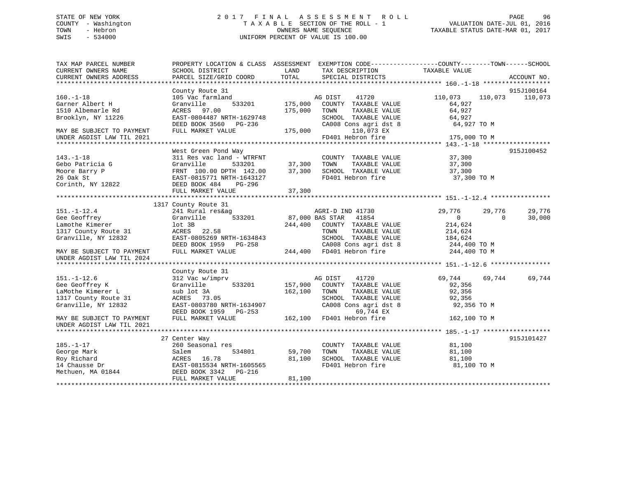## STATE OF NEW YORK 2 0 1 7 F I N A L A S S E S S M E N T R O L L PAGE 96 COUNTY - Washington T A X A B L E SECTION OF THE ROLL - 1 VALUATION DATE-JUL 01, 2016 TOWN - Hebron OWNERS NAME SEQUENCE TAXABLE STATUS DATE-MAR 01, 2017 SWIS - 534000 UNIFORM PERCENT OF VALUE IS 100.00

| TAX MAP PARCEL NUMBER                                                                                                                                                                                                            | PROPERTY LOCATION & CLASS ASSESSMENT EXEMPTION CODE----------------COUNTY-------TOWN------SCHOOL |         |                                                                        |                    |                    |
|----------------------------------------------------------------------------------------------------------------------------------------------------------------------------------------------------------------------------------|--------------------------------------------------------------------------------------------------|---------|------------------------------------------------------------------------|--------------------|--------------------|
| CURRENT OWNERS NAME                                                                                                                                                                                                              | SCHOOL DISTRICT                                                                                  | LAND    | TAX DESCRIPTION                                                        | TAXABLE VALUE      |                    |
| CURRENT OWNERS ADDRESS                                                                                                                                                                                                           | PARCEL SIZE/GRID COORD                                                                           | TOTAL   | SPECIAL DISTRICTS                                                      |                    | ACCOUNT NO.        |
|                                                                                                                                                                                                                                  |                                                                                                  |         |                                                                        |                    |                    |
|                                                                                                                                                                                                                                  | County Route 31                                                                                  |         |                                                                        |                    | 915J100164         |
| $160. - 1 - 18$                                                                                                                                                                                                                  | 105 Vac farmland                                                                                 |         | 41720<br>AG DIST                                                       | 110,073            | 110,073 110,073    |
| Garner Albert H                                                                                                                                                                                                                  | Granville<br>533201                                                                              |         | 175,000 COUNTY TAXABLE VALUE                                           | 64,927             |                    |
| 1510 Albemarle Rd                                                                                                                                                                                                                | ACRES 97.00                                                                                      | 175,000 | TOWN<br>TAXABLE VALUE                                                  | 64,927             |                    |
| Brooklyn, NY 11226                                                                                                                                                                                                               | EAST-0804487 NRTH-1629748                                                                        |         |                                                                        | 64,927             |                    |
|                                                                                                                                                                                                                                  | DEED BOOK 3560 PG-236                                                                            |         | SCHOOL TAXABLE VALUE<br>CA008 Cons agri dst 8<br>CA008 Cons agri dst 8 | 64,927 TO M        |                    |
| MAY BE SUBJECT TO PAYMENT                                                                                                                                                                                                        | FULL MARKET VALUE                                                                                | 175,000 | 110,073 EX                                                             |                    |                    |
| UNDER AGDIST LAW TIL 2021                                                                                                                                                                                                        |                                                                                                  |         | FD401 Hebron fire                                                      | 175,000 TO M       |                    |
|                                                                                                                                                                                                                                  |                                                                                                  |         |                                                                        |                    |                    |
|                                                                                                                                                                                                                                  | West Green Pond Way                                                                              |         |                                                                        |                    | 915J100452         |
| $143. - 1 - 18$                                                                                                                                                                                                                  | 311 Res vac land - WTRFNT                                                                        |         | COUNTY TAXABLE VALUE 37,300                                            |                    |                    |
| Gebo Patricia G                                                                                                                                                                                                                  | Granville                                                                                        |         | TAXABLE VALUE                                                          | 37,300             |                    |
| Moore Barry P                                                                                                                                                                                                                    | FRNT 100.00 DPTH 142.00                                                                          |         | 37,300 SCHOOL TAXABLE VALUE 37,300                                     |                    |                    |
| 26 Oak St                                                                                                                                                                                                                        | EAST-0815771 NRTH-1643127                                                                        |         | FD401 Hebron fire                                                      | 37,300 TO M        |                    |
| Corinth, NY 12822                                                                                                                                                                                                                | DEED BOOK 484<br>PG-296                                                                          |         |                                                                        |                    |                    |
|                                                                                                                                                                                                                                  | FULL MARKET VALUE                                                                                | 37,300  |                                                                        |                    |                    |
|                                                                                                                                                                                                                                  |                                                                                                  |         |                                                                        |                    |                    |
|                                                                                                                                                                                                                                  | 1317 County Route 31                                                                             |         |                                                                        |                    |                    |
| $151. - 1 - 12.4$                                                                                                                                                                                                                | 241 Rural res&ag                                                                                 |         | AGRI-D IND 41730                                                       | 29,776             | 29,776<br>29,776   |
| Gee Geoffrey                                                                                                                                                                                                                     | 533201<br>Granville                                                                              |         | 87,000 BAS STAR 41854                                                  | $\overline{0}$     | 30,000<br>$\Omega$ |
| Lamothe Kimerer                                                                                                                                                                                                                  | lot 3B                                                                                           |         | 244,400 COUNTY TAXABLE VALUE                                           | 214,624            |                    |
| 1317 County Route 31                                                                                                                                                                                                             | ACRES 22.58                                                                                      |         | TAXABLE VALUE<br>TOWN                                                  | 214,624<br>184,624 |                    |
| Granville, NY 12832                                                                                                                                                                                                              | EAST-0805269 NRTH-1634843                                                                        |         |                                                                        |                    |                    |
|                                                                                                                                                                                                                                  | DEED BOOK 1959 PG-258 CA008 Cons agri dst 8<br>FULL MARKET VALUE 244,400 FD401 Hebron fire       |         | SCHOOL TAXABLE VALUE 184,624<br>CA008 Cons agri dst 8 1244,400 TO M    |                    |                    |
| MAY BE SUBJECT TO PAYMENT                                                                                                                                                                                                        |                                                                                                  |         |                                                                        | 244,400 TO M       |                    |
| UNDER AGDIST LAW TIL 2024                                                                                                                                                                                                        |                                                                                                  |         |                                                                        |                    |                    |
|                                                                                                                                                                                                                                  |                                                                                                  |         |                                                                        |                    |                    |
|                                                                                                                                                                                                                                  | County Route 31                                                                                  |         |                                                                        |                    |                    |
| $151. - 1 - 12.6$                                                                                                                                                                                                                | 312 Vac w/imprv                                                                                  |         | 41720<br>AG DIST                                                       | 69,744             | 69,744<br>69,744   |
| Gee Geoffrey K                                                                                                                                                                                                                   | 533201<br>Granville                                                                              | 157,900 | COUNTY TAXABLE VALUE                                                   | 92,356             |                    |
| LaMothe Kimerer L                                                                                                                                                                                                                | sub lot 3A                                                                                       | 162,100 | TAXABLE VALUE<br>TOWN                                                  | 92,356             |                    |
| 1317 County Route 31                                                                                                                                                                                                             | ACRES 73.05                                                                                      |         | SCHOOL TAXABLE VALUE                                                   | 92,356             |                    |
| Granville, NY 12832                                                                                                                                                                                                              | EAST-0803780 NRTH-1634907                                                                        |         | CA008 Cons agri dst 8                                                  | 92,356 TO M        |                    |
|                                                                                                                                                                                                                                  | DEED BOOK 1959 PG-253 69,744 EX<br>FULL MARKET VALUE 162,100 FD401 Hebron fire                   |         |                                                                        |                    |                    |
| MAY BE SUBJECT TO PAYMENT                                                                                                                                                                                                        |                                                                                                  |         |                                                                        | 162,100 TO M       |                    |
| UNDER AGDIST LAW TIL 2021                                                                                                                                                                                                        |                                                                                                  |         |                                                                        |                    |                    |
|                                                                                                                                                                                                                                  |                                                                                                  |         |                                                                        |                    |                    |
|                                                                                                                                                                                                                                  | 27 Center Way                                                                                    |         |                                                                        |                    | 915J101427         |
| $185. - 1 - 17$                                                                                                                                                                                                                  | 260 Seasonal res                                                                                 |         | COUNTY TAXABLE VALUE                                                   | 81,100             |                    |
| George Mark                                                                                                                                                                                                                      | Salem<br>534801                                                                                  | 59,700  | TOWN<br>TAXABLE VALUE                                                  | 81,100             |                    |
|                                                                                                                                                                                                                                  |                                                                                                  | 81,100  | SCHOOL TAXABLE VALUE                                                   | 81,100             |                    |
| Roy Richard<br>14 Chausse Dr<br>14 Chausse Dr<br>14 Chausse Dr<br>14 Chausse Dr<br>14 Chausse Dr<br>16.78<br>16.78<br>16.78<br>16.78<br>16.78<br>16.78<br>16.78<br>16.78<br>16.78<br>16.78<br>16.2015565<br>16.201554<br>178-216 |                                                                                                  |         | FD401 Hebron fire                                                      | 81,100 TO M        |                    |
|                                                                                                                                                                                                                                  |                                                                                                  |         |                                                                        |                    |                    |
|                                                                                                                                                                                                                                  | FULL MARKET VALUE                                                                                | 81,100  |                                                                        |                    |                    |
|                                                                                                                                                                                                                                  |                                                                                                  |         |                                                                        |                    |                    |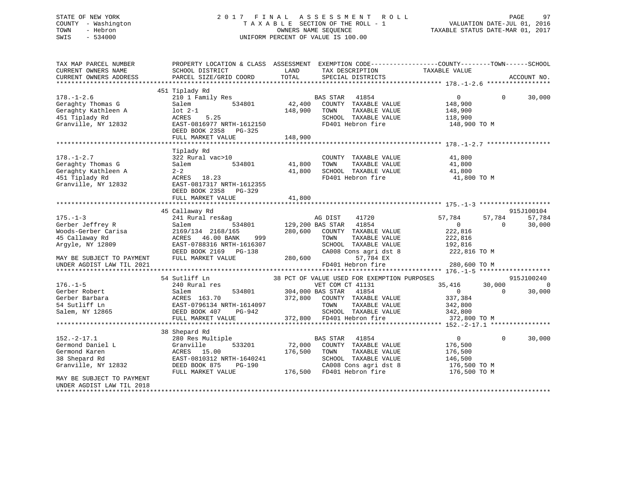## STATE OF NEW YORK 2 0 1 7 F I N A L A S S E S S M E N T R O L L PAGE 97 COUNTY - Washington T A X A B L E SECTION OF THE ROLL - 1 VALUATION DATE-JUL 01, 2016 TOWN - Hebron OWNERS NAME SEQUENCE TAXABLE STATUS DATE-MAR 01, 2017 SWIS - 534000 UNIFORM PERCENT OF VALUE IS 100.00

| TAX MAP PARCEL NUMBER<br>CURRENT OWNERS NAME<br>CURRENT OWNERS ADDRESS<br>*************************   | PROPERTY LOCATION & CLASS ASSESSMENT<br>SCHOOL DISTRICT<br>PARCEL SIZE/GRID COORD                                                             | LAND<br>TOTAL                | EXEMPTION CODE-----------------COUNTY-------TOWN------SCHOOL<br>TAX DESCRIPTION<br>SPECIAL DISTRICTS                                                    | TAXABLE VALUE                                                                |                    | ACCOUNT NO.                    |
|-------------------------------------------------------------------------------------------------------|-----------------------------------------------------------------------------------------------------------------------------------------------|------------------------------|---------------------------------------------------------------------------------------------------------------------------------------------------------|------------------------------------------------------------------------------|--------------------|--------------------------------|
|                                                                                                       | 451 Tiplady Rd                                                                                                                                |                              |                                                                                                                                                         |                                                                              |                    |                                |
| $178. - 1 - 2.6$<br>Geraghty Thomas G<br>Geraghty Kathleen A<br>451 Tiplady Rd<br>Granville, NY 12832 | 210 1 Family Res<br>Salem<br>534801<br>lot 2-1<br>5.25<br>ACRES<br>EAST-0816977 NRTH-1612150<br>DEED BOOK 2358<br>PG-325<br>FULL MARKET VALUE | 42,400<br>148,900<br>148,900 | BAS STAR<br>41854<br>COUNTY TAXABLE VALUE<br>TOWN<br>TAXABLE VALUE<br>SCHOOL TAXABLE VALUE<br>FD401 Hebron fire                                         | $\overline{0}$<br>148,900<br>148,900<br>118,900<br>148,900 TO M              | $\Omega$           | 30,000                         |
|                                                                                                       |                                                                                                                                               |                              |                                                                                                                                                         |                                                                              |                    |                                |
| $178. - 1 - 2.7$<br>Geraghty Thomas G<br>Geraghty Kathleen A<br>451 Tiplady Rd<br>Granville, NY 12832 | Tiplady Rd<br>322 Rural vac>10<br>534801<br>Salem<br>$2 - 2$<br>ACRES 18.23<br>EAST-0817317 NRTH-1612355<br>DEED BOOK 2358 PG-329             | 41,800<br>41,800             | COUNTY TAXABLE VALUE<br>TOWN<br>TAXABLE VALUE<br>SCHOOL TAXABLE VALUE<br>FD401 Hebron fire                                                              | 41,800<br>41,800<br>41,800<br>41,800 TO M                                    |                    |                                |
|                                                                                                       | FULL MARKET VALUE                                                                                                                             | 41,800                       |                                                                                                                                                         |                                                                              |                    |                                |
|                                                                                                       |                                                                                                                                               |                              |                                                                                                                                                         |                                                                              |                    |                                |
| $175. - 1 - 3$<br>Gerber Jeffrey R                                                                    | 45 Callaway Rd<br>241 Rural res&ag<br>Salem<br>534801                                                                                         |                              | AG DIST<br>41720<br>41854<br>129,200 BAS STAR                                                                                                           | 57,784<br>$\mathbf{0}$                                                       | 57,784<br>$\Omega$ | 915J100104<br>57,784<br>30,000 |
| Woods-Gerber Carisa<br>45 Callaway Rd<br>Arqyle, NY 12809                                             | 2169/134 2168/165<br>46.00 BANK<br>ACRES<br>999<br>EAST-0788316 NRTH-1616307<br>DEED BOOK 2169 PG-138                                         | 280,600                      | COUNTY TAXABLE VALUE<br>TOWN<br>TAXABLE VALUE<br>SCHOOL TAXABLE VALUE<br>CA008 Cons agri dst 8                                                          | 222,816<br>222,816<br>192,816<br>222,816 TO M                                |                    |                                |
| MAY BE SUBJECT TO PAYMENT<br>UNDER AGDIST LAW TIL 2021                                                | FULL MARKET VALUE                                                                                                                             | 280,600                      | 57,784 EX<br>FD401 Hebron fire                                                                                                                          | 280,600 TO M                                                                 |                    |                                |
|                                                                                                       |                                                                                                                                               |                              |                                                                                                                                                         |                                                                              |                    |                                |
|                                                                                                       | 54 Sutliff Ln                                                                                                                                 |                              | 38 PCT OF VALUE USED FOR EXEMPTION PURPOSES                                                                                                             |                                                                              |                    | 915J100240                     |
| $176. - 1 - 5$<br>Gerber Robert                                                                       | 240 Rural res<br>534801<br>Salem                                                                                                              | 304,000 BAS STAR             | VET COM CT 41131<br>41854                                                                                                                               | 35,416<br>$\overline{0}$                                                     | 30,000<br>$\Omega$ | $\Omega$<br>30,000             |
| Gerber Barbara<br>54 Sutliff Ln<br>Salem, NY 12865                                                    | ACRES 163.70<br>EAST-0796134 NRTH-1614097<br>DEED BOOK 407<br>PG-942                                                                          | 372,800                      | COUNTY TAXABLE VALUE<br>TAXABLE VALUE<br>TOWN<br>SCHOOL TAXABLE VALUE                                                                                   | 337,384<br>342,800<br>342,800                                                |                    |                                |
|                                                                                                       | FULL MARKET VALUE                                                                                                                             |                              | 372,800 FD401 Hebron fire                                                                                                                               | 372,800 TO M                                                                 |                    |                                |
|                                                                                                       |                                                                                                                                               |                              |                                                                                                                                                         |                                                                              |                    |                                |
|                                                                                                       | 38 Shepard Rd                                                                                                                                 |                              |                                                                                                                                                         |                                                                              |                    |                                |
| $152. - 2 - 17.1$<br>Germond Daniel L<br>Germond Karen<br>38 Shepard Rd<br>Granville, NY 12832        | 280 Res Multiple<br>533201<br>Granville<br>ACRES 15.00<br>EAST-0810312 NRTH-1640241<br>DEED BOOK 875<br>PG-190<br>FULL MARKET VALUE           | 72,000<br>176,500            | 41854<br><b>BAS STAR</b><br>COUNTY TAXABLE VALUE<br>TAXABLE VALUE<br>TOWN<br>SCHOOL TAXABLE VALUE<br>CA008 Cons agri dst 8<br>176,500 FD401 Hebron fire | $\mathbf 0$<br>176,500<br>176,500<br>146,500<br>176,500 TO M<br>176,500 TO M | $\mathbf 0$        | 30,000                         |
| MAY BE SUBJECT TO PAYMENT<br>UNDER AGDIST LAW TIL 2018                                                |                                                                                                                                               |                              |                                                                                                                                                         |                                                                              |                    |                                |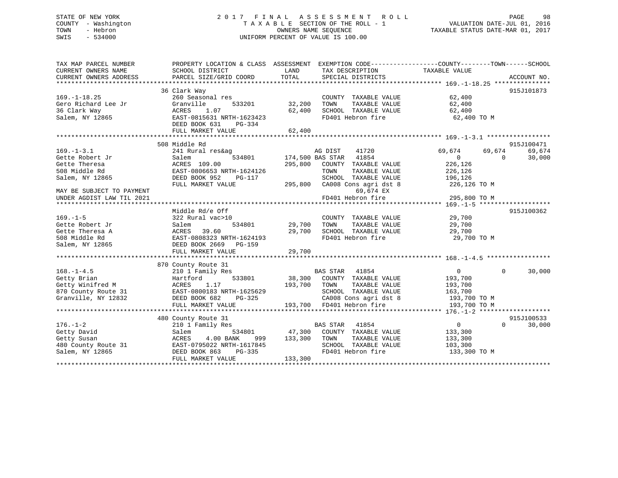## STATE OF NEW YORK 2 0 1 7 F I N A L A S S E S S M E N T R O L L PAGE 98 COUNTY - Washington T A X A B L E SECTION OF THE ROLL - 1 VALUATION DATE-JUL 01, 2016 TOWN - Hebron OWNERS NAME SEQUENCE TAXABLE STATUS DATE-MAR 01, 2017 SWIS - 534000 UNIFORM PERCENT OF VALUE IS 100.00

| TAX MAP PARCEL NUMBER<br>CURRENT OWNERS NAME<br>CURRENT OWNERS ADDRESS | PROPERTY LOCATION & CLASS ASSESSMENT EXEMPTION CODE----------------COUNTY-------TOWN------SCHOOL<br>SCHOOL DISTRICT<br>PARCEL SIZE/GRID COORD | LAND<br>TOTAL | TAX DESCRIPTION<br>SPECIAL DISTRICTS | TAXABLE VALUE    | ACCOUNT NO.        |
|------------------------------------------------------------------------|-----------------------------------------------------------------------------------------------------------------------------------------------|---------------|--------------------------------------|------------------|--------------------|
|                                                                        |                                                                                                                                               |               |                                      |                  |                    |
|                                                                        | 36 Clark Way                                                                                                                                  |               |                                      |                  | 915J101873         |
| $169. - 1 - 18.25$                                                     | 260 Seasonal res                                                                                                                              |               | COUNTY TAXABLE VALUE                 | 62,400           |                    |
| Gero Richard Lee Jr                                                    | Granville<br>533201                                                                                                                           | 32,200        | TAXABLE VALUE<br>TOWN                | 62,400           |                    |
| 36 Clark Way                                                           | 1.07<br>ACRES                                                                                                                                 | 62,400        | SCHOOL TAXABLE VALUE                 | 62,400           |                    |
| Salem, NY 12865                                                        | EAST-0815631 NRTH-1623423                                                                                                                     |               | FD401 Hebron fire                    | 62,400 TO M      |                    |
|                                                                        | DEED BOOK 631<br>PG-334                                                                                                                       |               |                                      |                  |                    |
|                                                                        | FULL MARKET VALUE                                                                                                                             | 62,400        |                                      |                  |                    |
|                                                                        |                                                                                                                                               |               |                                      |                  |                    |
|                                                                        | 508 Middle Rd                                                                                                                                 |               |                                      |                  | 915J100471         |
| $169. - 1 - 3.1$                                                       | 241 Rural res&ag                                                                                                                              |               | AG DIST<br>41720                     | 69,674<br>69,674 | 69,674             |
| Gette Robert Jr                                                        | 534801<br>Salem                                                                                                                               |               | 174,500 BAS STAR 41854               | $\Omega$         | $\Omega$<br>30,000 |
| Gette Theresa                                                          | ACRES 109.00                                                                                                                                  | 295,800       | COUNTY TAXABLE VALUE                 | 226,126          |                    |
| 508 Middle Rd                                                          | EAST-0806653 NRTH-1624126                                                                                                                     |               | TAXABLE VALUE<br>TOWN                | 226,126          |                    |
| Salem, NY 12865                                                        | DEED BOOK 952<br>PG-117                                                                                                                       |               | SCHOOL TAXABLE VALUE                 | 196,126          |                    |
|                                                                        | FULL MARKET VALUE                                                                                                                             | 295,800       | CA008 Cons agri dst 8                | 226,126 TO M     |                    |
| MAY BE SUBJECT TO PAYMENT                                              |                                                                                                                                               |               | 69,674 EX                            |                  |                    |
| UNDER AGDIST LAW TIL 2021                                              |                                                                                                                                               |               | FD401 Hebron fire                    | 295,800 TO M     |                    |
|                                                                        |                                                                                                                                               |               |                                      |                  |                    |
|                                                                        | Middle Rd/e Off                                                                                                                               |               |                                      |                  | 915J100362         |
| $169. - 1 - 5$                                                         | 322 Rural vac>10                                                                                                                              |               | COUNTY TAXABLE VALUE                 | 29,700           |                    |
| Gette Robert Jr                                                        | 534801<br>Salem                                                                                                                               | 29,700        | TOWN<br>TAXABLE VALUE                | 29,700           |                    |
| Gette Theresa A                                                        | 39.60<br>ACRES                                                                                                                                | 29,700        | SCHOOL TAXABLE VALUE                 | 29,700           |                    |
| 508 Middle Rd                                                          | EAST-0808323 NRTH-1624193                                                                                                                     |               | FD401 Hebron fire                    | 29,700 TO M      |                    |
| Salem, NY 12865                                                        | DEED BOOK 2669 PG-159                                                                                                                         |               |                                      |                  |                    |
|                                                                        | FULL MARKET VALUE                                                                                                                             | 29,700        |                                      |                  |                    |
|                                                                        |                                                                                                                                               |               |                                      |                  |                    |
|                                                                        | 870 County Route 31                                                                                                                           |               |                                      |                  |                    |
| $168. - 1 - 4.5$                                                       | 210 1 Family Res                                                                                                                              |               | BAS STAR 41854                       | $\overline{0}$   | $\Omega$<br>30,000 |
| Getty Brian                                                            | Hartford<br>533801                                                                                                                            |               | 38,300 COUNTY TAXABLE VALUE          | 193,700          |                    |
| Getty Winifred M                                                       | 1.17<br>ACRES                                                                                                                                 | 193,700       | TOWN<br>TAXABLE VALUE                | 193,700          |                    |
| 870 County Route 31                                                    | EAST-0800183 NRTH-1625629                                                                                                                     |               | SCHOOL TAXABLE VALUE                 | 163,700          |                    |
| Granville, NY 12832                                                    | DEED BOOK 682<br>PG-325                                                                                                                       |               | CA008 Cons agri dst 8                | 193,700 TO M     |                    |
|                                                                        | FULL MARKET VALUE                                                                                                                             |               | 193,700 FD401 Hebron fire            | 193,700 TO M     |                    |
|                                                                        |                                                                                                                                               |               |                                      |                  |                    |
|                                                                        | 480 County Route 31                                                                                                                           |               |                                      |                  | 915J100533         |
| $176. - 1 - 2$                                                         | 210 1 Family Res                                                                                                                              |               | BAS STAR 41854                       | $\overline{0}$   | 30,000<br>$\Omega$ |
| Getty David                                                            | 534801<br>Salem                                                                                                                               |               | 47,300 COUNTY TAXABLE VALUE          | 133,300          |                    |
| Getty Susan                                                            | ACRES<br>4.00 BANK<br>999                                                                                                                     | 133,300       | TOWN<br>TAXABLE VALUE                | 133,300          |                    |
| 480 County Route 31                                                    | EAST-0795022 NRTH-1617845                                                                                                                     |               | SCHOOL TAXABLE VALUE                 | 103,300          |                    |
| Salem, NY 12865                                                        | DEED BOOK 863<br>$PG-335$                                                                                                                     |               | FD401 Hebron fire                    | 133,300 TO M     |                    |
|                                                                        | FULL MARKET VALUE                                                                                                                             | 133,300       |                                      |                  |                    |
|                                                                        |                                                                                                                                               |               |                                      |                  |                    |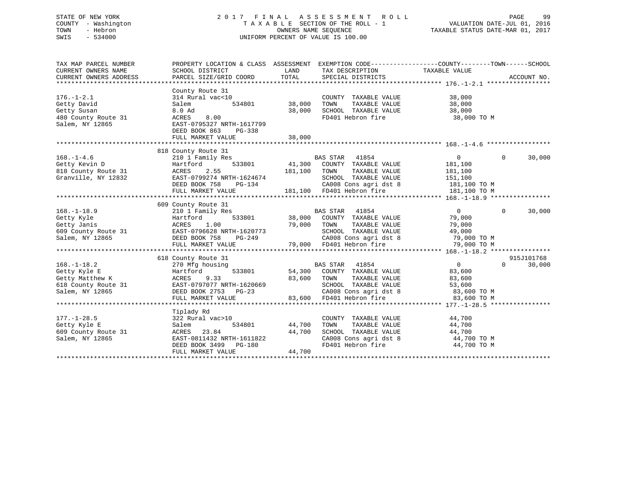## STATE OF NEW YORK 2 0 1 7 F I N A L A S S E S S M E N T R O L L PAGE 99 COUNTY - Washington T A X A B L E SECTION OF THE ROLL - 1 VALUATION DATE-JUL 01, 2016 TOWN - Hebron OWNERS NAME SEQUENCE TAXABLE STATUS DATE-MAR 01, 2017 SWIS - 534000 UNIFORM PERCENT OF VALUE IS 100.00

| TAX MAP PARCEL NUMBER<br>CURRENT OWNERS NAME<br>CURRENT OWNERS ADDRESS                                                     | PROPERTY LOCATION & CLASS ASSESSMENT<br>SCHOOL DISTRICT<br>PARCEL SIZE/GRID COORD                                                                                                                                                                     | LAND<br>TOTAL                     | TAX DESCRIPTION TAXABLE VALUE SPECIAL DISTRICTS                                                                                                                                                                                             | EXEMPTION CODE-----------------COUNTY-------TOWN------SCHOOL                                                       | ACCOUNT NO.              |
|----------------------------------------------------------------------------------------------------------------------------|-------------------------------------------------------------------------------------------------------------------------------------------------------------------------------------------------------------------------------------------------------|-----------------------------------|---------------------------------------------------------------------------------------------------------------------------------------------------------------------------------------------------------------------------------------------|--------------------------------------------------------------------------------------------------------------------|--------------------------|
| $176. - 1 - 2.1$<br>Getty David<br>Getty Susan<br>480 County Route 31<br>Salem, NY 12865                                   | County Route 31<br>314 Rural vac<10<br>Salem<br>8.0 Ad<br>ACRES<br>8.00<br>EAST-0795327 NRTH-1617799<br>DEED BOOK 863<br>PG-338<br>FULL MARKET VALUE                                                                                                  | 534801 38,000<br>38,000<br>38,000 | COUNTY TAXABLE VALUE<br>TOWN<br>TAXABLE VALUE                                                                                                                                                                                               | 38,000<br>38,000<br>SCHOOL TAXABLE VALUE 38,000<br>FD401 Hebron fire 38,000 TO M                                   |                          |
|                                                                                                                            |                                                                                                                                                                                                                                                       |                                   |                                                                                                                                                                                                                                             |                                                                                                                    |                          |
| $168. - 1 - 4.6$<br>$\begin{array}{c} -2 \\ -2 \end{array}$<br>Getty Kevin D<br>818 County Route 31<br>Granville, NY 12832 | 818 County Route 31<br>210 1 Family Res<br>533801<br>Hartford<br>ACRES 2.55 181,100 TOWN TAXABLE VALUE<br>EAST-0799274 NRTH-1624674 SCHOOL TAXABLE VALUE<br>DEED BOOK 758 PG-134 CA008 Cons agri dst 8<br>FULL MARKET VALUE 181,100 FD401 Hebron fire |                                   | BAS STAR 41854<br>41,300 COUNTY TAXABLE VALUE<br>SCHOOL TAXABLE VALUE 151,100                                                                                                                                                               | $\overline{0}$<br>181,100<br>181,100<br>CA008 Cons agri dst 8 181,100 TO M<br>181,100 TO M                         | $\overline{0}$<br>30,000 |
|                                                                                                                            | 609 County Route 31                                                                                                                                                                                                                                   |                                   |                                                                                                                                                                                                                                             |                                                                                                                    |                          |
| $168. - 1 - 18.9$<br>Getty Kyle<br>Salem, NY 12865                                                                         | 210 1 Family Res<br>Hartford<br>DEED BOOK 758<br>FULL MARKET VALUE                                                                                                                                                                                    | 79,000<br>H-1620773<br>PG-249     | BAS STAR 41854<br>533801 38,000 COUNTY TAXABLE VALUE 79,000<br>TAXABLE VALUE<br>TOWN<br>SCHOOL TAXABLE VALUE<br>79,000 FD401 Hebron fire                                                                                                    | $\overline{0}$<br>79,000<br>49,000<br>CA008 Cons agri dst 8 79,000 TO M<br>79,000 TO M                             | $\Omega$<br>30,000       |
|                                                                                                                            | 618 County Route 31                                                                                                                                                                                                                                   |                                   |                                                                                                                                                                                                                                             |                                                                                                                    | 915J101768               |
| $168. - 1 - 18.2$<br>Getty Kyle E<br>Getty Matthew K<br>618 County Route 31<br>Salem, NY 12865                             | 270 Mfg housing<br>533801<br>Hartford<br>ACRES<br>9.33<br>EAST-0797077 NRTH-1620669<br>DEED BOOK 2753 PG-23<br>FUIL WILLET<br>FULL MARKET VALUE                                                                                                       | 83,600<br>83,600                  | BAS STAR 41854<br>54,300 COUNTY TAXABLE VALUE<br>TAXABLE VALUE<br>TOWN<br>FD401 Hebron fire                                                                                                                                                 | $\overline{0}$<br>83,600<br>83,600<br>TOWN TAXABLE VALUE 53,600<br>SCHOOL TAXABLE VALUE 53,600 TO M<br>83,600 TO M | 30,000<br>$\Omega$       |
|                                                                                                                            |                                                                                                                                                                                                                                                       |                                   |                                                                                                                                                                                                                                             |                                                                                                                    |                          |
| $177. - 1 - 28.5$<br>Getty Kyle E<br>609 County Route 31<br>Salem, NY 12865                                                | Tiplady Rd<br>322 Rural vac>10<br>534801<br>Salem<br>23.84<br>ACRES<br>EAST-0811432 NRTH-1611822<br>DEED BOOK 3499 PG-180<br>FULL MARKET VALUE                                                                                                        | 44,700<br>44,700<br>44,700        | COUNTY TAXABLE VALUE 44,700<br>$\begin{tabular}{lllllllll} \textsc{TONN} & \textsc{TAXABLE} & \textsc{VALUE} & \textsc{44,700} \\ \textsc{SCHOOL} & \textsc{TAXABLE} & \textsc{VALUE} & \textsc{44,700} \end{tabular}$<br>FD401 Hebron fire | CA008 Cons agri dst 8 44,700 TO M<br>44,700 TO M                                                                   |                          |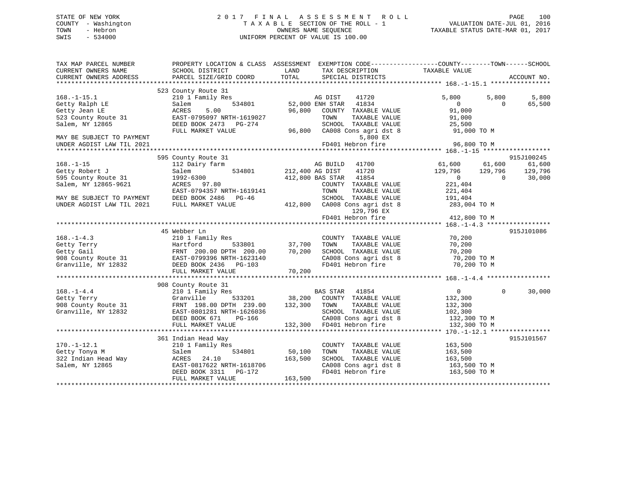## STATE OF NEW YORK 2 0 1 7 F I N A L A S S E S S M E N T R O L L PAGE 100 COUNTY - Washington T A X A B L E SECTION OF THE ROLL - 1 VALUATION DATE-JUL 01, 2016 TOWN - Hebron OWNERS NAME SEQUENCE TAXABLE STATUS DATE-MAR 01, 2017 SWIS - 534000 UNIFORM PERCENT OF VALUE IS 100.00

| TAX MAP PARCEL NUMBER<br>CURRENT OWNERS NAME<br>CURRENT OWNERS ADDRESS | SCHOOL DISTRICT<br>PARCEL SIZE/GRID COORD                                    | LAND<br>TOTAL   | TAX DESCRIPTION<br>SPECIAL DISTRICTS       | PROPERTY LOCATION & CLASS ASSESSMENT EXEMPTION CODE----------------COUNTY-------TOWN------SCHOOL<br>TAXABLE VALUE | ACCOUNT NO. |
|------------------------------------------------------------------------|------------------------------------------------------------------------------|-----------------|--------------------------------------------|-------------------------------------------------------------------------------------------------------------------|-------------|
|                                                                        |                                                                              |                 |                                            |                                                                                                                   |             |
| $168. - 1 - 15.1$                                                      | 523 County Route 31<br>210 1 Family Res                                      |                 | AG DIST<br>41720                           | 5,800<br>5,800                                                                                                    | 5,800       |
| Getty Ralph LE                                                         | 534801<br>Salem                                                              |                 | 52,000 ENH STAR<br>41834                   | $\overline{0}$<br>$\Omega$                                                                                        | 65,500      |
| Getty Jean LE                                                          | ACRES<br>5.00                                                                |                 | 96,800 COUNTY TAXABLE VALUE                | 91,000                                                                                                            |             |
| 523 County Route 31                                                    | EAST-0795097 NRTH-1619027                                                    |                 | TOWN<br>TAXABLE VALUE                      | 91,000                                                                                                            |             |
| Salem, NY 12865                                                        | DEED BOOK 2473 PG-274                                                        |                 | SCHOOL TAXABLE VALUE                       | 25,500                                                                                                            |             |
|                                                                        | FULL MARKET VALUE                                                            |                 | 96,800 CA008 Cons agri dst 8               | 91,000 TO M                                                                                                       |             |
| MAY BE SUBJECT TO PAYMENT                                              |                                                                              |                 | 5,800 EX                                   |                                                                                                                   |             |
| UNDER AGDIST LAW TIL 2021                                              |                                                                              |                 | FD401 Hebron fire                          | 96,800 TO M                                                                                                       |             |
|                                                                        |                                                                              |                 |                                            |                                                                                                                   |             |
|                                                                        | 595 County Route 31                                                          |                 |                                            |                                                                                                                   | 915J100245  |
| $168. - 1 - 15$                                                        | 112 Dairy farm                                                               |                 | AG BUILD<br>41700                          | 61,600<br>61,600                                                                                                  | 61,600      |
| Getty Robert J                                                         | 534801<br>Salem                                                              | 212,400 AG DIST | 41720                                      | 129,796<br>129,796                                                                                                | 129,796     |
| 595 County Route 31                                                    | 1992-6300                                                                    |                 | 41854<br>412,800 BAS STAR                  | $\overline{0}$<br>$\bigcap$                                                                                       | 30,000      |
| Salem, NY 12865-9621                                                   | ACRES 97.80                                                                  |                 | COUNTY TAXABLE VALUE                       | 221,404                                                                                                           |             |
|                                                                        | EAST-0794357 NRTH-1619141                                                    |                 | TOWN<br>TAXABLE VALUE                      | 221,404                                                                                                           |             |
| MAY BE SUBJECT TO PAYMENT                                              | DEED BOOK 2486 PG-46                                                         |                 | SCHOOL TAXABLE VALUE                       | 191,404                                                                                                           |             |
| UNDER AGDIST LAW TIL 2021                                              | FULL MARKET VALUE                                                            |                 | 412,800 CA008 Cons agri dst 8              | 283,004 TO M                                                                                                      |             |
|                                                                        |                                                                              |                 | 129,796 EX                                 |                                                                                                                   |             |
|                                                                        |                                                                              |                 | FD401 Hebron fire                          | 412,800 TO M                                                                                                      |             |
|                                                                        | 45 Webber Ln                                                                 |                 |                                            |                                                                                                                   | 915J101086  |
| $168. - 1 - 4.3$                                                       | 210 1 Family Res                                                             |                 | COUNTY TAXABLE VALUE                       | 70,200                                                                                                            |             |
| Getty Terry                                                            | Hartford<br>533801                                                           | 37,700          | TOWN<br>TAXABLE VALUE                      | 70,200                                                                                                            |             |
| Getty Gail                                                             |                                                                              | 70,200          | SCHOOL TAXABLE VALUE                       | 70,200                                                                                                            |             |
| 908 County Route 31                                                    |                                                                              |                 | CA008 Cons agri dst 8                      | 70,200 TO M                                                                                                       |             |
| Granville, NY 12832                                                    | FRNT 200.00 LL.L.<br>te 31 EAST-0799396 NRTH-1623140<br>FER BOOK 2436 PG-103 |                 | CA008 Cons agri dst 8<br>FD401 Hebron fire | 70,200 TO M                                                                                                       |             |
|                                                                        |                                                                              |                 |                                            |                                                                                                                   |             |
|                                                                        |                                                                              |                 |                                            |                                                                                                                   |             |
|                                                                        | 908 County Route 31                                                          |                 |                                            |                                                                                                                   |             |
| $168. - 1 - 4.4$                                                       | 210 1 Family Res                                                             |                 | BAS STAR<br>41854                          | $\overline{0}$<br>$\Omega$                                                                                        | 30,000      |
| Getty Terry                                                            | Granville<br>533201                                                          |                 | 38,200 COUNTY TAXABLE VALUE                | 132,300                                                                                                           |             |
| 908 County Route 31                                                    | FRNT 198.00 DPTH 239.00                                                      | 132,300         | TOWN<br>TAXABLE VALUE                      | 132,300                                                                                                           |             |
| Granville, NY 12832                                                    | EAST-0801281 NRTH-1626036                                                    |                 | SCHOOL TAXABLE VALUE                       | 102,300                                                                                                           |             |
|                                                                        | DEED BOOK 671 PG-166                                                         |                 | CA008 Cons agri dst 8                      | 132,300 TO M                                                                                                      |             |
|                                                                        | FULL MARKET VALUE                                                            |                 | 132,300 FD401 Hebron fire                  | 132,300 TO M                                                                                                      |             |
|                                                                        |                                                                              |                 |                                            |                                                                                                                   |             |
|                                                                        | 361 Indian Head Way                                                          |                 |                                            |                                                                                                                   | 915J101567  |
| $170. - 1 - 12.1$                                                      | 210 1 Family Res                                                             |                 | COUNTY TAXABLE VALUE                       | 163,500                                                                                                           |             |
| Getty Tonya M                                                          | 534801<br>Salem                                                              | 50,100          | TOWN<br>TAXABLE VALUE                      | 163,500                                                                                                           |             |
| 322 Indian Head Way                                                    | ACRES<br>24.10                                                               | 163,500         | SCHOOL TAXABLE VALUE                       | 163,500                                                                                                           |             |
| Salem, NY 12865                                                        | EAST-0817622 NRTH-1618706                                                    |                 | CA008 Cons agri dst 8                      | 163,500 TO M                                                                                                      |             |
|                                                                        | DEED BOOK 3311 PG-172                                                        |                 | FD401 Hebron fire                          | 163,500 TO M                                                                                                      |             |
|                                                                        | FULL MARKET VALUE                                                            | 163,500         |                                            |                                                                                                                   |             |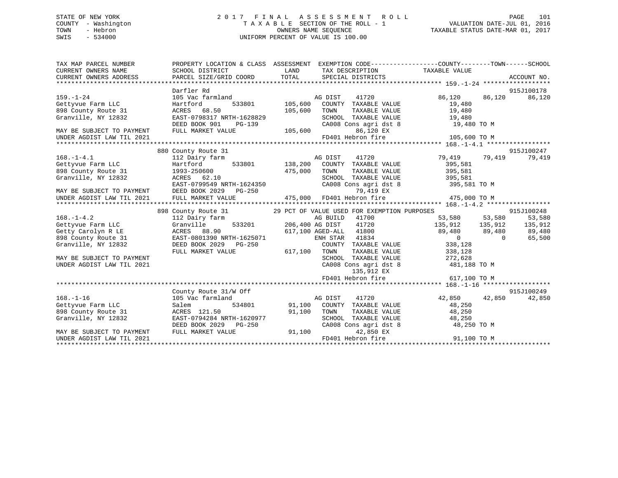## STATE OF NEW YORK 2 0 1 7 F I N A L A S S E S S M E N T R O L L PAGE 101 COUNTY - Washington T A X A B L E SECTION OF THE ROLL - 1 VALUATION DATE-JUL 01, 2016 TOWN - Hebron OWNERS NAME SEQUENCE TAXABLE STATUS DATE-MAR 01, 2017 SWIS - 534000 UNIFORM PERCENT OF VALUE IS 100.00

| TAX MAP PARCEL NUMBER                                                                                                | PROPERTY LOCATION & CLASS ASSESSMENT EXEMPTION CODE----------------COUNTY-------TOWN------SCHOOL                                                            |                                                                                                                        |                                                                                      |                                                                                                  |            |
|----------------------------------------------------------------------------------------------------------------------|-------------------------------------------------------------------------------------------------------------------------------------------------------------|------------------------------------------------------------------------------------------------------------------------|--------------------------------------------------------------------------------------|--------------------------------------------------------------------------------------------------|------------|
| CURRENT OWNERS NAME                                                                                                  | SCHOOL DISTRICT                                                                                                                                             | <b>EXAMPLE SERVICE SERVICE SERVICE SERVICE SERVICE SERVICE SERVICE SERVICE SERVICE SERVICE SERVICE SERVICE SERVICE</b> |                                                                                      | TAX DESCRIPTION TAXABLE VALUE                                                                    |            |
|                                                                                                                      |                                                                                                                                                             |                                                                                                                        |                                                                                      |                                                                                                  |            |
|                                                                                                                      |                                                                                                                                                             |                                                                                                                        |                                                                                      |                                                                                                  |            |
|                                                                                                                      | Darfler Rd                                                                                                                                                  |                                                                                                                        |                                                                                      |                                                                                                  | 915J100178 |
| $159. - 1 - 24$                                                                                                      | 105 Vac farmland                                                                                                                                            |                                                                                                                        | 41720                                                                                | 86,120 86,120                                                                                    | 86,120     |
| ---. - --<br>Gettyvue Farm LLC                                                                                       | Hartford                                                                                                                                                    |                                                                                                                        |                                                                                      | 19,480                                                                                           |            |
| 898 County Route 31 ACRES 68.50                                                                                      |                                                                                                                                                             | 105,600                                                                                                                | TOWN                                                                                 | TAXABLE VALUE 19,480                                                                             |            |
| Granville, NY 12832                                                                                                  | EAST-0798317 NRTH-1628829<br>RTH-1628829 SCHOOL<br>PG-139 CA008 C                                                                                           |                                                                                                                        | SCHOOL TAXABLE VALUE<br>CA008 Cons agri dst 8                                        | 19,480<br>19,480 TO M                                                                            |            |
|                                                                                                                      | DEED BOOK 901                                                                                                                                               |                                                                                                                        |                                                                                      |                                                                                                  |            |
| MAY BE SUBJECT TO PAYMENT                                                                                            | FULL MARKET VALUE                                                                                                                                           |                                                                                                                        | 86,120 EX                                                                            |                                                                                                  |            |
| UNDER AGDIST LAW TIL 2021                                                                                            |                                                                                                                                                             |                                                                                                                        | FD401 Hebron fire                                                                    | 105,600 TO M                                                                                     |            |
|                                                                                                                      |                                                                                                                                                             |                                                                                                                        |                                                                                      |                                                                                                  |            |
|                                                                                                                      | 880 County Route 31                                                                                                                                         |                                                                                                                        |                                                                                      |                                                                                                  | 915J100247 |
| $168. - 1 - 4.1$                                                                                                     | Earm A<br>533801 138,200<br>112 Dairy farm                                                                                                                  |                                                                                                                        | AG DIST<br>41720                                                                     | 79,419 79,419                                                                                    | 79,419     |
| Gettyvue Farm LLC                                                                                                    | Hartford                                                                                                                                                    |                                                                                                                        |                                                                                      | COUNTY TAXABLE VALUE 395,581                                                                     |            |
| 898 County Route 31 1993-250600<br>Granville, NY 12832 2008 2010<br>EAST-0799549 NRTH-1624350                        |                                                                                                                                                             | 475,000                                                                                                                | TOWN<br>TAXABLE VALUE                                                                | 395,581<br>395,581                                                                               |            |
|                                                                                                                      |                                                                                                                                                             |                                                                                                                        |                                                                                      | SCHOOL TAXABLE VALUE 395,581<br>CA008 Cons agri dst 8 395,581 TO M                               |            |
|                                                                                                                      | EAST-0799549 NRTH-1624350                                                                                                                                   |                                                                                                                        |                                                                                      |                                                                                                  |            |
| MAY BE SUBJECT TO PAYMENT DEED BOOK 2029                                                                             |                                                                                                                                                             |                                                                                                                        | 2011 - 1212 - 1212 - 1212<br>T9,419 EX<br>IUE 475,000 FD401 Hebron fire<br>79,419 EX |                                                                                                  |            |
| UNDER AGDIST LAW TIL 2021                                                                                            | FULL MARKET VALUE                                                                                                                                           |                                                                                                                        |                                                                                      | 475,000 TO M                                                                                     |            |
|                                                                                                                      |                                                                                                                                                             |                                                                                                                        |                                                                                      |                                                                                                  |            |
|                                                                                                                      | 898 County Route 31 29 PCT OF VALUE USED FOR EXEMPTION PURPOSES 3,580 315J100248<br>112 Dairy farm               AG BUILD 41700 53,580 53,580 53,580 53,580 |                                                                                                                        |                                                                                      |                                                                                                  |            |
| $168. - 1 - 4.2$                                                                                                     |                                                                                                                                                             |                                                                                                                        |                                                                                      |                                                                                                  |            |
|                                                                                                                      |                                                                                                                                                             |                                                                                                                        | arm ag BUILD 41700<br>533201 206,400 AG DIST 41720                                   |                                                                                                  |            |
| Total Control Cranville 533201<br>Getty Carolyn R LE RE ACRES 88.90<br>898 County Route 31 EAST-0801390 NRTH-1625071 |                                                                                                                                                             |                                                                                                                        | 617,100 AGED-ALL 41800                                                               | $135,912$ $135,912$ $135,912$<br>89,480 89,480 89,480<br>0 0 65,500                              |            |
|                                                                                                                      |                                                                                                                                                             |                                                                                                                        | ENH STAR 41834                                                                       |                                                                                                  |            |
| Granville, NY 12832                                                                                                  | DEED BOOK 2029 PG-250                                                                                                                                       |                                                                                                                        |                                                                                      | COUNTY TAXABLE VALUE 338,128                                                                     |            |
|                                                                                                                      | FULL MARKET VALUE                                                                                                                                           | 617,100 TOWN                                                                                                           |                                                                                      | TOWN TAXABLE VALUE 338,128<br>SCHOOL TAXABLE VALUE 272,628<br>CA008 Cons agri dst 8 481,188 TO M |            |
| MAY BE SUBJECT TO PAYMENT                                                                                            |                                                                                                                                                             |                                                                                                                        |                                                                                      |                                                                                                  |            |
| UNDER AGDIST LAW TIL 2021                                                                                            |                                                                                                                                                             |                                                                                                                        |                                                                                      |                                                                                                  |            |
|                                                                                                                      |                                                                                                                                                             |                                                                                                                        | 135,912 EX<br>FD401 Hebron fire                                                      | 617,100 TO M                                                                                     |            |
|                                                                                                                      |                                                                                                                                                             |                                                                                                                        |                                                                                      |                                                                                                  |            |
|                                                                                                                      | County Route 31/W Off                                                                                                                                       |                                                                                                                        |                                                                                      |                                                                                                  | 915J100249 |
| $168. - 1 - 16$                                                                                                      | 105 Vac farmland                                                                                                                                            |                                                                                                                        | AG DIST<br>41720                                                                     | 42,850 42,850                                                                                    | 42,850     |
|                                                                                                                      | Salem 534801 91,100 COUNTY TAXABLE VALUE                                                                                                                    |                                                                                                                        |                                                                                      | 48,250                                                                                           |            |
|                                                                                                                      |                                                                                                                                                             | 91,100                                                                                                                 | TOWN                                                                                 |                                                                                                  |            |
|                                                                                                                      |                                                                                                                                                             |                                                                                                                        |                                                                                      |                                                                                                  |            |
| 168.-1-10<br>Gettyvue Farm LLC<br>898 County Route 31 (ACRES 121.50<br>200977 (EAST-0794284 NRTH-1620977             | DEED BOOK 2029 PG-250                                                                                                                                       |                                                                                                                        |                                                                                      | TOWN TAXABLE VALUE 48,250<br>SCHOOL TAXABLE VALUE 48,250<br>CA008 Cons agri dst 8 48,250 TO M    |            |
| MAY BE SUBJECT TO PAYMENT                                                                                            | FULL MARKET VALUE                                                                                                                                           | 91,100                                                                                                                 | 42,850 EX                                                                            |                                                                                                  |            |
| UNDER AGDIST LAW TIL 2021                                                                                            |                                                                                                                                                             |                                                                                                                        | FD401 Hebron fire                                                                    | 91,100 TO M                                                                                      |            |
|                                                                                                                      |                                                                                                                                                             |                                                                                                                        |                                                                                      |                                                                                                  |            |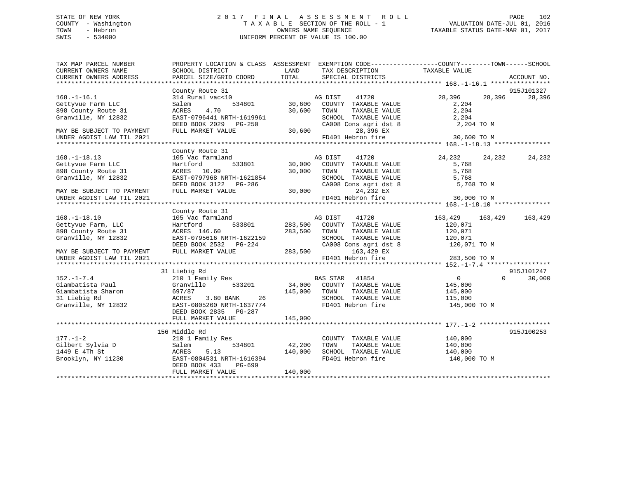## STATE OF NEW YORK 2 0 1 7 F I N A L A S S E S S M E N T R O L L PAGE 102 COUNTY - Washington T A X A B L E SECTION OF THE ROLL - 1 VALUATION DATE-JUL 01, 2016 TOWN - Hebron OWNERS NAME SEQUENCE TAXABLE STATUS DATE-MAR 01, 2017 SWIS - 534000 UNIFORM PERCENT OF VALUE IS 100.00

| TAX MAP PARCEL NUMBER<br>CURRENT OWNERS NAME<br>CURRENT OWNERS ADDRESS | SCHOOL DISTRICT<br>PARCEL SIZE/GRID COORD | LAND<br>TAX DESCRIPTION<br>TOTAL<br>SPECIAL DISTRICTS | PROPERTY LOCATION & CLASS ASSESSMENT EXEMPTION CODE----------------COUNTY-------TOWN------SCHOOL<br>TAXABLE VALUE<br>ACCOUNT NO. |
|------------------------------------------------------------------------|-------------------------------------------|-------------------------------------------------------|----------------------------------------------------------------------------------------------------------------------------------|
|                                                                        |                                           |                                                       |                                                                                                                                  |
|                                                                        | County Route 31                           |                                                       | 915J101327                                                                                                                       |
| $168. - 1 - 16.1$                                                      | 314 Rural vac<10                          | AG DIST<br>41720                                      | 28,396<br>28,396<br>28,396                                                                                                       |
| Gettyvue Farm LLC                                                      | 534801<br>Salem                           | 30,600<br>COUNTY TAXABLE VALUE                        | 2,204                                                                                                                            |
| 898 County Route 31                                                    | 4.70<br>ACRES                             | 30,600<br>TOWN<br>TAXABLE VALUE                       | 2,204                                                                                                                            |
| Granville, NY 12832                                                    | EAST-0796441 NRTH-1619961                 | SCHOOL TAXABLE VALUE                                  | 2,204                                                                                                                            |
|                                                                        | DEED BOOK 2029 PG-250                     | CA008 Cons agri dst 8                                 | 2,204 TO M                                                                                                                       |
| MAY BE SUBJECT TO PAYMENT                                              | FULL MARKET VALUE                         | $30,600$ CAUUO<br>28,396 EX                           |                                                                                                                                  |
| UNDER AGDIST LAW TIL 2021                                              |                                           | FD401 Hebron fire                                     | 30,600 TO M                                                                                                                      |
|                                                                        |                                           |                                                       |                                                                                                                                  |
|                                                                        | County Route 31                           |                                                       |                                                                                                                                  |
| $168. - 1 - 18.13$                                                     | 105 Vac farmland                          | AG DIST<br>41720                                      | 24,232<br>24,232<br>24,232                                                                                                       |
| Gettyvue Farm LLC                                                      | 533801<br>Hartford                        | 30,000<br>COUNTY TAXABLE VALUE                        | 5,768                                                                                                                            |
| 898 County Route 31                                                    | ACRES 10.09                               | 30,000<br>TAXABLE VALUE<br>TOWN                       | 5,768                                                                                                                            |
| Granville, NY 12832                                                    | EAST-0797968 NRTH-1621854                 | SCHOOL TAXABLE VALUE                                  | 5,768                                                                                                                            |
|                                                                        | DEED BOOK 3122 PG-286                     | CA008 Cons agri dst 8                                 | 5,768 TO M                                                                                                                       |
| MAY BE SUBJECT TO PAYMENT                                              | FULL MARKET VALUE                         | 30,000<br>24,232 EX                                   |                                                                                                                                  |
| UNDER AGDIST LAW TIL 2021                                              |                                           | FD401 Hebron fire                                     | 30,000 TO M                                                                                                                      |
|                                                                        |                                           |                                                       |                                                                                                                                  |
|                                                                        | County Route 31                           |                                                       |                                                                                                                                  |
| $168. - 1 - 18.10$                                                     | 105 Vac farmland                          | AG DIST<br>41720                                      | 163,429<br>163,429<br>163,429                                                                                                    |
| Gettyvue Farm, LLC                                                     | 533801<br>Hartford                        | 283,500<br>COUNTY TAXABLE VALUE                       | 120,071                                                                                                                          |
| 898 County Route 31                                                    | ACRES 146.60                              | 283,500<br>TAXABLE VALUE<br>TOWN                      | 120,071                                                                                                                          |
| Granville, NY 12832                                                    | EAST-0795616 NRTH-1622159                 | SCHOOL TAXABLE VALUE                                  | 120,071                                                                                                                          |
|                                                                        | DEED BOOK 2532 PG-224                     |                                                       | CA008 Cons agri dst 8 120,071 TO M                                                                                               |
| MAY BE SUBJECT TO PAYMENT                                              | FULL MARKET VALUE                         | 283,500<br>163,429 EX                                 |                                                                                                                                  |
| UNDER AGDIST LAW TIL 2021                                              |                                           | FD401 Hebron fire                                     | 283,500 TO M                                                                                                                     |
|                                                                        |                                           |                                                       |                                                                                                                                  |
|                                                                        | 31 Liebig Rd                              |                                                       | 915J101247                                                                                                                       |
| $152. - 1 - 7.4$                                                       | 210 1 Family Res                          | BAS STAR 41854                                        | $\Omega$<br>30,000<br>$0 \qquad \qquad$                                                                                          |
| Giambatista Paul                                                       | Granville<br>533201                       | 34,000 COUNTY TAXABLE VALUE                           | 145,000                                                                                                                          |
| Giambatista Sharon                                                     | 697/87                                    | 145,000 TOWN<br>TAXABLE VALUE                         | 145,000                                                                                                                          |
| 31 Liebig Rd                                                           | ACRES<br>3.80 BANK<br>26                  | SCHOOL TAXABLE VALUE                                  | 115,000                                                                                                                          |
| Granville, NY 12832                                                    | EAST-0805260 NRTH-1637774                 | FD401 Hebron fire                                     | 145,000 TO M                                                                                                                     |
|                                                                        | DEED BOOK 2835 PG-287                     |                                                       |                                                                                                                                  |
|                                                                        | FULL MARKET VALUE                         | 145,000                                               |                                                                                                                                  |
|                                                                        |                                           |                                                       |                                                                                                                                  |
|                                                                        | 156 Middle Rd                             |                                                       | 915J100253                                                                                                                       |
| $177. - 1 - 2$                                                         | 210 1 Family Res                          | COUNTY TAXABLE VALUE                                  | 140,000                                                                                                                          |
| Gilbert Sylvia D                                                       | 534801<br>Salem                           | 42,200<br>TOWN<br>TAXABLE VALUE                       | 140,000                                                                                                                          |
| 1449 E 4Th St                                                          | ACRES<br>5.13                             | 140,000<br>SCHOOL TAXABLE VALUE                       | 140,000                                                                                                                          |
| Brooklyn, NY 11230                                                     | EAST-0804531 NRTH-1616394                 | FD401 Hebron fire                                     | 140,000 TO M                                                                                                                     |
|                                                                        | DEED BOOK 433<br>PG-699                   |                                                       |                                                                                                                                  |
|                                                                        | FULL MARKET VALUE                         | 140,000                                               |                                                                                                                                  |
|                                                                        |                                           |                                                       |                                                                                                                                  |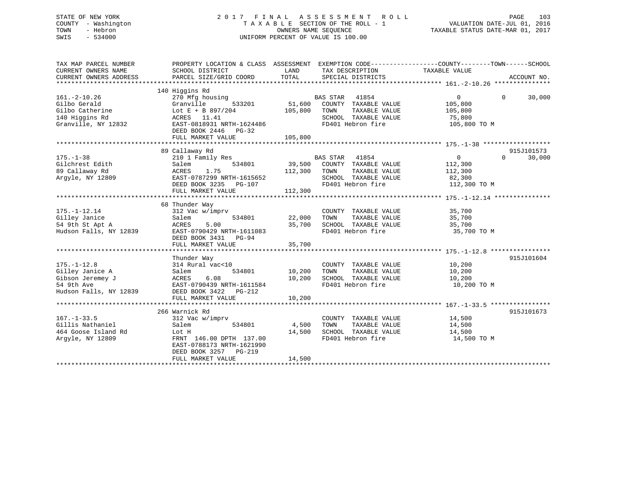## STATE OF NEW YORK 2 0 1 7 F I N A L A S S E S S M E N T R O L L PAGE 103 COUNTY - Washington T A X A B L E SECTION OF THE ROLL - 1 VALUATION DATE-JUL 01, 2016 TOWN - Hebron OWNERS NAME SEQUENCE TAXABLE STATUS DATE-MAR 01, 2017 SWIS - 534000 UNIFORM PERCENT OF VALUE IS 100.00

| TAX MAP PARCEL NUMBER                                                                          | PROPERTY LOCATION & CLASS ASSESSMENT EXEMPTION CODE---------------COUNTY-------TOWN------SCHOOL                           |                   |                                                                                                                        |                                                                   |                    |
|------------------------------------------------------------------------------------------------|---------------------------------------------------------------------------------------------------------------------------|-------------------|------------------------------------------------------------------------------------------------------------------------|-------------------------------------------------------------------|--------------------|
|                                                                                                |                                                                                                                           |                   |                                                                                                                        |                                                                   |                    |
| $161. - 2 - 10.26$<br>Gilbo Gerald<br>Gilbo Catherine<br>140 Higgins Rd<br>Granville, NY 12832 | 140 Higgins Rd<br>270 Mfg housing<br>533201<br>Granville<br>Lot E + B 897/204<br>ACRES 11.41<br>EAST-0818931 NRTH-1624486 | 51,600<br>105,800 | <b>BAS STAR</b><br>41854<br>COUNTY TAXABLE VALUE<br>TOWN<br>TAXABLE VALUE<br>SCHOOL TAXABLE VALUE<br>FD401 Hebron fire | $0 \qquad \qquad$<br>105,800<br>105,800<br>75,800<br>105,800 TO M | $\Omega$<br>30,000 |
|                                                                                                | DEED BOOK 2446 PG-32                                                                                                      |                   |                                                                                                                        |                                                                   |                    |
|                                                                                                |                                                                                                                           |                   |                                                                                                                        |                                                                   |                    |
|                                                                                                |                                                                                                                           |                   |                                                                                                                        |                                                                   |                    |
|                                                                                                | 89 Callaway Rd                                                                                                            |                   |                                                                                                                        |                                                                   | 915J101573         |
| $175. - 1 - 38$                                                                                | 210 1 Family Res                                                                                                          |                   | BAS STAR     41854<br>39,500    COUNTY   TAXABLE  VALUE                                                                | $\overline{0}$                                                    | $\Omega$<br>30,000 |
| Gilchrest Edith                                                                                | 534801<br>Salem                                                                                                           |                   |                                                                                                                        | 112,300                                                           |                    |
| 89 Callaway Rd                                                                                 | ACRES<br>1.75                                                                                                             | 112,300           | TAXABLE VALUE<br>TOWN                                                                                                  | 112,300                                                           |                    |
| Argyle, NY 12809                                                                               | EAST-0787299 NRTH-1615652                                                                                                 | $\overline{a}$    | SCHOOL TAXABLE VALUE                                                                                                   | 82,300                                                            |                    |
|                                                                                                | DEED BOOK 3235<br>PG-107                                                                                                  |                   | FD401 Hebron fire                                                                                                      | 112,300 TO M                                                      |                    |
|                                                                                                | FULL MARKET VALUE                                                                                                         | 112,300           |                                                                                                                        |                                                                   |                    |
|                                                                                                |                                                                                                                           |                   |                                                                                                                        |                                                                   |                    |
|                                                                                                | 68 Thunder Way                                                                                                            |                   |                                                                                                                        |                                                                   |                    |
| $175. - 1 - 12.14$                                                                             | 312 Vac w/imprv                                                                                                           |                   | COUNTY TAXABLE VALUE                                                                                                   | 35,700                                                            |                    |
| Gilley Janice                                                                                  | 534801<br>Salem                                                                                                           | 22,000            | TAXABLE VALUE<br>TOWN                                                                                                  | 35,700                                                            |                    |
| 54 9th St Apt A                                                                                | 5.00<br>ACRES                                                                                                             | 35,700            | SCHOOL TAXABLE VALUE                                                                                                   | 35,700                                                            |                    |
| Hudson Falls, NY 12839                                                                         | EAST-0790429 NRTH-1611083                                                                                                 |                   | FD401 Hebron fire                                                                                                      | 35,700 TO M                                                       |                    |
|                                                                                                | DEED BOOK 3431 PG-94                                                                                                      |                   |                                                                                                                        |                                                                   |                    |
|                                                                                                | FULL MARKET VALUE                                                                                                         | 35,700            |                                                                                                                        |                                                                   |                    |
|                                                                                                |                                                                                                                           |                   |                                                                                                                        |                                                                   |                    |
|                                                                                                | Thunder Way                                                                                                               |                   |                                                                                                                        |                                                                   | 915J101604         |
| $175. - 1 - 12.8$                                                                              | 314 Rural vac<10                                                                                                          |                   | COUNTY TAXABLE VALUE                                                                                                   | 10,200                                                            |                    |
| Gilley Janice A                                                                                | 534801<br>Salem                                                                                                           | 10,200            | TOWN<br>TAXABLE VALUE                                                                                                  | 10,200                                                            |                    |
| Gibson Jeremey J                                                                               | ACRES<br>6.08                                                                                                             | 10,200            | SCHOOL TAXABLE VALUE                                                                                                   | 10,200                                                            |                    |
| 54 9th Ave                                                                                     | EAST-0790439 NRTH-1611584                                                                                                 |                   | FD401 Hebron fire                                                                                                      | 10,200 TO M                                                       |                    |
| Hudson Falls, NY 12839                                                                         | DEED BOOK 3422 PG-212                                                                                                     |                   |                                                                                                                        |                                                                   |                    |
|                                                                                                | FULL MARKET VALUE                                                                                                         | 10,200            |                                                                                                                        |                                                                   |                    |
|                                                                                                |                                                                                                                           |                   |                                                                                                                        |                                                                   |                    |
|                                                                                                | 266 Warnick Rd                                                                                                            |                   |                                                                                                                        |                                                                   | 915J101673         |
| $167. - 1 - 33.5$                                                                              | 312 Vac w/imprv                                                                                                           |                   | COUNTY TAXABLE VALUE                                                                                                   | 14,500                                                            |                    |
| Gillis Nathaniel                                                                               | Salem<br>534801                                                                                                           | 4,500             | TAXABLE VALUE<br>TOWN                                                                                                  | 14,500                                                            |                    |
| 464 Goose Island Rd                                                                            | Lot H                                                                                                                     | 14,500            | SCHOOL TAXABLE VALUE                                                                                                   | 14,500                                                            |                    |
| Argyle, NY 12809                                                                               | FRNT 146.00 DPTH 137.00<br>EAST-0788173 NRTH-1621990<br>DEED BOOK 3257<br>$PG-219$                                        |                   | FD401 Hebron fire                                                                                                      | 14,500 TO M                                                       |                    |
|                                                                                                | FULL MARKET VALUE                                                                                                         | 14,500            |                                                                                                                        |                                                                   |                    |
|                                                                                                |                                                                                                                           |                   |                                                                                                                        |                                                                   |                    |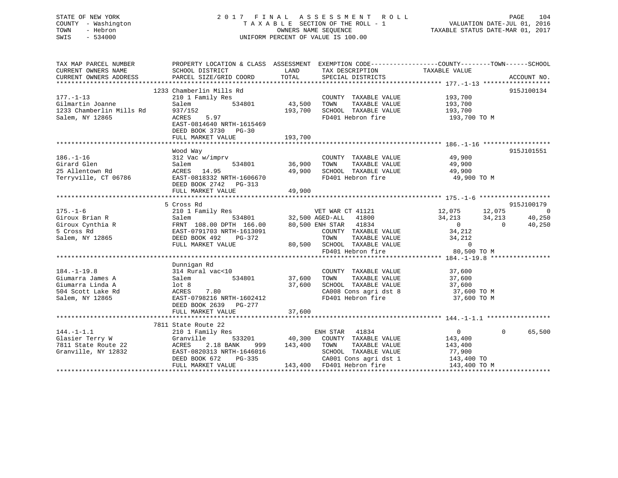## STATE OF NEW YORK 2 0 1 7 F I N A L A S S E S S M E N T R O L L PAGE 104 COUNTY - Washington T A X A B L E SECTION OF THE ROLL - 1 VALUATION DATE-JUL 01, 2016 TOWN - Hebron OWNERS NAME SEQUENCE TAXABLE STATUS DATE-MAR 01, 2017 SWIS - 534000 UNIFORM PERCENT OF VALUE IS 100.00

| TAX MAP PARCEL NUMBER | PROPERTY LOCATION & CLASS ASSESSMENT EXEMPTION CODE----------------COUNTY-------TOWN------SCHOOL                                                                                                                                                             |         |                                                                                 |                                                                                                                                          |            |
|-----------------------|--------------------------------------------------------------------------------------------------------------------------------------------------------------------------------------------------------------------------------------------------------------|---------|---------------------------------------------------------------------------------|------------------------------------------------------------------------------------------------------------------------------------------|------------|
| CURRENT OWNERS NAME   | SCHOOL DISTRICT                                                                                                                                                                                                                                              | LAND    | TAX DESCRIPTION                                                                 | TAXABLE VALUE                                                                                                                            |            |
|                       |                                                                                                                                                                                                                                                              |         |                                                                                 |                                                                                                                                          |            |
|                       |                                                                                                                                                                                                                                                              |         |                                                                                 |                                                                                                                                          |            |
|                       | 1233 Chamberlin Mills Rd                                                                                                                                                                                                                                     |         |                                                                                 |                                                                                                                                          | 915J100134 |
| $177. - 1 - 13$       | 210 1 Family Res                                                                                                                                                                                                                                             |         | COUNTY TAXABLE VALUE 193,700                                                    |                                                                                                                                          |            |
|                       | Salem 534801 43,500                                                                                                                                                                                                                                          |         | TOWN                                                                            |                                                                                                                                          |            |
|                       |                                                                                                                                                                                                                                                              |         | 193,700 SCHOOL TAXABLE VALUE                                                    | TAXABLE VALUE 193,700<br>TAXABLE VALUE 193,700                                                                                           |            |
|                       | 937/152<br>ACRES 5.97                                                                                                                                                                                                                                        |         | FD401 Hebron fire                                                               | 193,700 TO M                                                                                                                             |            |
|                       | EAST-0814640 NRTH-1615469                                                                                                                                                                                                                                    |         |                                                                                 |                                                                                                                                          |            |
|                       | DEED BOOK 3730 PG-30                                                                                                                                                                                                                                         |         |                                                                                 |                                                                                                                                          |            |
|                       | FULL MARKET VALUE                                                                                                                                                                                                                                            | 193,700 |                                                                                 |                                                                                                                                          |            |
|                       |                                                                                                                                                                                                                                                              |         |                                                                                 |                                                                                                                                          |            |
|                       | Wood Way                                                                                                                                                                                                                                                     |         |                                                                                 |                                                                                                                                          | 915J101551 |
|                       | 186.-1-16<br>Girard Glen<br>25 Allentown Rd<br>25 Allentown Rd<br>25 Allentown Rd<br>25 Allentown Rd<br>25 Allentown Rd<br>25 Allentown Rd<br>25 Allentown Rd<br>25 Allentown Rd<br>25 Allentown Rd<br>25 Allentown Rd<br>29,900<br>29,900<br>29,900<br>29,9 |         |                                                                                 |                                                                                                                                          |            |
|                       |                                                                                                                                                                                                                                                              |         |                                                                                 | 49,900<br>49,900                                                                                                                         |            |
|                       |                                                                                                                                                                                                                                                              |         |                                                                                 |                                                                                                                                          |            |
|                       |                                                                                                                                                                                                                                                              |         |                                                                                 |                                                                                                                                          |            |
|                       |                                                                                                                                                                                                                                                              |         |                                                                                 | 49,900 TO M                                                                                                                              |            |
|                       |                                                                                                                                                                                                                                                              |         |                                                                                 |                                                                                                                                          |            |
|                       | FULL MARKET VALUE                                                                                                                                                                                                                                            | 49,900  |                                                                                 |                                                                                                                                          |            |
|                       |                                                                                                                                                                                                                                                              |         |                                                                                 |                                                                                                                                          |            |
|                       | 5 Cross Rd                                                                                                                                                                                                                                                   |         |                                                                                 |                                                                                                                                          | 915J100179 |
|                       |                                                                                                                                                                                                                                                              |         |                                                                                 |                                                                                                                                          |            |
|                       | 175.-1-6<br>Giroux Brian R<br>Giroux Cynthia R<br>Salem Balem 108.00 DPTH 166.00<br>Salem NY 12865<br>Salem NY 12865<br>TOWN TAXABLE VALUE<br>Marked DEED POOK 49,500 ASD-ALL<br>Salem NY 12865<br>TOWN TAXABLE VALUE<br>Marked DEED POOK 490,500            |         |                                                                                 | $\begin{array}{cccc} 12\, ,075 & 12\, ,075 & 0 \\ 34\, ,213 & 34\, ,213 & 40\, ,250 \\ 0 & 0 & 40\, ,250 \\ 34\, ,212 & & & \end{array}$ |            |
|                       |                                                                                                                                                                                                                                                              |         |                                                                                 |                                                                                                                                          |            |
|                       |                                                                                                                                                                                                                                                              |         |                                                                                 |                                                                                                                                          |            |
|                       |                                                                                                                                                                                                                                                              |         |                                                                                 | TAXABLE VALUE 34, 212                                                                                                                    |            |
|                       |                                                                                                                                                                                                                                                              |         |                                                                                 |                                                                                                                                          |            |
|                       | FULL MARKET VALUE<br>FULL MARKET VALUE <b>80,500</b> SCHOOL TAXABLE VALUE <b>10000</b> 0<br>FD401 Hebron fire 80,500 TO M                                                                                                                                    |         |                                                                                 |                                                                                                                                          |            |
|                       |                                                                                                                                                                                                                                                              |         |                                                                                 |                                                                                                                                          |            |
|                       | Dunnigan Rd                                                                                                                                                                                                                                                  |         |                                                                                 |                                                                                                                                          |            |
| $184. - 1 - 19.8$     |                                                                                                                                                                                                                                                              |         | COUNTY TAXABLE VALUE 37,600                                                     |                                                                                                                                          |            |
| Giumarra James A      |                                                                                                                                                                                                                                                              |         |                                                                                 |                                                                                                                                          |            |
| Giumarra Linda A      | 314 Rural vac<10 COUNTY TAXABLE VALUE<br>Salem 534801 37,600 TOWN TAXABLE VALUE<br>1ot 8 37,600 SCHOOL TAXABLE VALUE                                                                                                                                         |         | 10WN TAXABLE VALUE 37,600<br>SCHOOL TAXABLE VALUE 37,600<br>CA009 Contractive 1 |                                                                                                                                          |            |
| 504 Scott Lake Rd     | ACRES 7.80<br>EAST-0798216 NRTH-1602412<br>DEED BOOK 2639 PG-277<br>---------                                                                                                                                                                                |         | CA008 Cons agri dst 8                                                           | 37,600 TO M                                                                                                                              |            |
| Salem, NY 12865       |                                                                                                                                                                                                                                                              |         | FD401 Hebron fire                                                               | 37,600 TO M                                                                                                                              |            |
|                       |                                                                                                                                                                                                                                                              |         |                                                                                 |                                                                                                                                          |            |
|                       | FULL MARKET VALUE                                                                                                                                                                                                                                            | 37,600  |                                                                                 |                                                                                                                                          |            |
|                       |                                                                                                                                                                                                                                                              |         |                                                                                 |                                                                                                                                          |            |
|                       | 7811 State Route 22                                                                                                                                                                                                                                          |         |                                                                                 |                                                                                                                                          |            |
| $144. - 1 - 1.1$      |                                                                                                                                                                                                                                                              |         |                                                                                 | $\overline{0}$<br>$\overline{0}$                                                                                                         | 65,500     |
|                       |                                                                                                                                                                                                                                                              |         |                                                                                 |                                                                                                                                          |            |
|                       |                                                                                                                                                                                                                                                              |         |                                                                                 |                                                                                                                                          |            |
|                       |                                                                                                                                                                                                                                                              |         |                                                                                 |                                                                                                                                          |            |
|                       |                                                                                                                                                                                                                                                              |         |                                                                                 |                                                                                                                                          |            |
|                       |                                                                                                                                                                                                                                                              |         |                                                                                 |                                                                                                                                          |            |
|                       | Chasier Terry W (Channel Strandby Research 22 (Channel Strandby Research 22 (Channel Strandby Research 22 (Channel Strandby Research 210 I Family Research 213, 400 COUNTY TAXABLE VALUE 143, 400<br>TAXABLE VALUE 143, 400 TOWN                             |         |                                                                                 |                                                                                                                                          |            |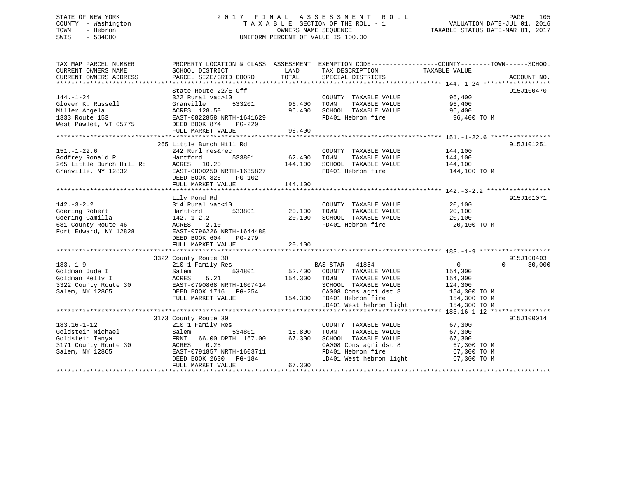## STATE OF NEW YORK 2 0 1 7 F I N A L A S S E S S M E N T R O L L PAGE 105 COUNTY - Washington T A X A B L E SECTION OF THE ROLL - 1 VALUATION DATE-JUL 01, 2016 TOWN - Hebron OWNERS NAME SEQUENCE TAXABLE STATUS DATE-MAR 01, 2017 SWIS - 534000 UNIFORM PERCENT OF VALUE IS 100.00

| TAX MAP PARCEL NUMBER                                                  | PROPERTY LOCATION & CLASS ASSESSMENT EXEMPTION CODE----------------COUNTY-------TOWN------SCHOOL                                                                                              |               |                                                                                                     |                            |                                     |
|------------------------------------------------------------------------|-----------------------------------------------------------------------------------------------------------------------------------------------------------------------------------------------|---------------|-----------------------------------------------------------------------------------------------------|----------------------------|-------------------------------------|
| CURRENT OWNERS NAME                                                    | SCHOOL DISTRICT                                                                                                                                                                               | LAND          | TAX DESCRIPTION TAXABLE VALUE                                                                       |                            |                                     |
| CURRENT OWNERS ADDRESS                                                 | PARCEL SIZE/GRID COORD                                                                                                                                                                        | TOTAL         | SPECIAL DISTRICTS                                                                                   |                            | ACCOUNT NO.                         |
|                                                                        |                                                                                                                                                                                               |               |                                                                                                     |                            |                                     |
|                                                                        | State Route 22/E Off                                                                                                                                                                          |               |                                                                                                     |                            | 915J100470                          |
| $144. - 1 - 24$                                                        | 322 Rural vac>10                                                                                                                                                                              |               | COUNTY TAXABLE VALUE 96,400                                                                         |                            |                                     |
| Glover K. Russell                                                      | Granville                                                                                                                                                                                     | 533201 96,400 | TOWN                                                                                                | TAXABLE VALUE 96,400       |                                     |
| Miller Angela                                                          |                                                                                                                                                                                               | 96,400        | SCHOOL TAXABLE VALUE<br>FD401 Hebron fire                                                           | 96,400                     |                                     |
| 1333 Route 153                                                         | ACRES 128.50<br>EAST-0822858 NRTH-1641629<br>CLA DC-229                                                                                                                                       |               |                                                                                                     | 96,400 TO M                |                                     |
| West Pawlet, VT 05775 DEED BOOK 874                                    | PG-229                                                                                                                                                                                        |               |                                                                                                     |                            |                                     |
|                                                                        | FULL MARKET VALUE                                                                                                                                                                             | 96,400        |                                                                                                     |                            |                                     |
|                                                                        |                                                                                                                                                                                               |               |                                                                                                     |                            |                                     |
|                                                                        | 265 Little Burch Hill Rd                                                                                                                                                                      |               |                                                                                                     |                            | 915J101251                          |
|                                                                        | 242 Rurl res&rec                                                                                                                                                                              |               | COUNTY TAXABLE VALUE 144,100                                                                        |                            |                                     |
|                                                                        | 533801 62,400                                                                                                                                                                                 |               | TAXABLE VALUE<br>TOWN                                                                               | 144,100                    |                                     |
|                                                                        |                                                                                                                                                                                               | 144,100       | SCHOOL TAXABLE VALUE                                                                                | 144,100                    |                                     |
|                                                                        | EAST-0800250 NRTH-1635827                                                                                                                                                                     |               | FD401 Hebron fire 144,100 TO M                                                                      |                            |                                     |
|                                                                        | DEED BOOK 826<br>PG-102                                                                                                                                                                       |               |                                                                                                     |                            |                                     |
|                                                                        | FULL MARKET VALUE                                                                                                                                                                             | 144,100       |                                                                                                     |                            |                                     |
|                                                                        |                                                                                                                                                                                               |               |                                                                                                     |                            |                                     |
|                                                                        | Lily Pond Rd                                                                                                                                                                                  |               |                                                                                                     |                            | 915J101071                          |
| $142. - 3 - 2.2$                                                       | 314 Rural vac<10                                                                                                                                                                              |               | COUNTY TAXABLE VALUE 20,100                                                                         |                            |                                     |
| Goering Robert                                                         | Hartford 533801 20,100<br>Hartford<br>142.-1-2.2                                                                                                                                              |               | TOWN<br>TAXABLE VALUE                                                                               | 20,100<br>20,100           |                                     |
| Goering Camilla                                                        |                                                                                                                                                                                               | 20,100        | SCHOOL TAXABLE VALUE                                                                                |                            |                                     |
| 681 County Route 46 MCRES 2.10<br>Fort Edward, NY 12828 EAST-0796226 N |                                                                                                                                                                                               |               | FD401 Hebron fire 20,100 TO M                                                                       |                            |                                     |
| Fort Edward, NY 12828                                                  | EAST-0796226 NRTH-1644488                                                                                                                                                                     |               |                                                                                                     |                            |                                     |
|                                                                        | DEED BOOK 604<br>PG-279                                                                                                                                                                       |               |                                                                                                     |                            |                                     |
|                                                                        | FULL MARKET VALUE                                                                                                                                                                             | 20,100        |                                                                                                     |                            |                                     |
|                                                                        |                                                                                                                                                                                               |               |                                                                                                     |                            |                                     |
|                                                                        | 3322 County Route 30<br>County Route 30<br>210 1 Family Res                                                                                                                                   |               |                                                                                                     | $\overline{0}$             | 915J100403<br>$\Omega$ and $\Omega$ |
| $183. - 1 - 9$                                                         |                                                                                                                                                                                               |               | BAS STAR 41854                                                                                      |                            | 30,000                              |
| Goldman Jude I                                                         |                                                                                                                                                                                               |               | 534801 52,400 COUNTY TAXABLE VALUE                                                                  | 154,300                    |                                     |
|                                                                        | Salem<br>ACRES<br>Goldman Kelly I<br>3322 County Route 30<br>EAST-0790868 NRTH-1607414                                                                                                        | 154,300 TOWN  | TAXABLE VALUE<br>SCHOOL TAXABLE VALUE                                                               | 154,300<br>124,300         |                                     |
|                                                                        |                                                                                                                                                                                               |               |                                                                                                     |                            |                                     |
| Salem, NY 12865                                                        | DEED BOOK 1716 PG-254                                                                                                                                                                         |               | CA008 Cons agri dst 8 154,300 TO M<br>FD401 Hebron fire 154,300 TO M<br>$154,300$ FD401 Hebron fire |                            |                                     |
|                                                                        | FULL MARKET VALUE                                                                                                                                                                             |               |                                                                                                     |                            |                                     |
|                                                                        |                                                                                                                                                                                               |               | LD401 West hebron light 154,300 TO M                                                                |                            |                                     |
|                                                                        |                                                                                                                                                                                               |               |                                                                                                     |                            | 915J100014                          |
|                                                                        | 3173 County Route 30                                                                                                                                                                          |               |                                                                                                     |                            |                                     |
| $183.16 - 1 - 12$<br>Goldstein Michael                                 | 210 1 Family Res<br>Salem                                                                                                                                                                     | 534801 18,800 | COUNTY TAXABLE VALUE<br>TOWN<br>TAXABLE VALUE                                                       | 67,300<br>67.300<br>67,300 |                                     |
|                                                                        |                                                                                                                                                                                               |               | TOWN TAXABLE VALUE 67,300<br>SCHOOL TAXABLE VALUE 67,300 TO M                                       |                            |                                     |
|                                                                        |                                                                                                                                                                                               |               |                                                                                                     |                            |                                     |
|                                                                        | Goldstein Tanya (Goldstein Tanya (Goldstein Tanya (Goldstein Tanya (Goldstein 167.00 (Goldstein 167.300 (Goldstein 160.25)<br>Salem, NY 12865 (Goldstein 160.25)<br>EAST-0791857 NRTH-1603711 |               | CA008 Cons agri dst 8<br>FD401 Hebron fire                                                          |                            |                                     |
| Salem, NY 12865                                                        |                                                                                                                                                                                               |               |                                                                                                     | 67,300 TO M                |                                     |
|                                                                        | DEED BOOK 2630 PG-184                                                                                                                                                                         | 67,300        | LD401 West hebron light                                                                             | 67,300 TO M                |                                     |
|                                                                        | FULL MARKET VALUE                                                                                                                                                                             |               |                                                                                                     |                            |                                     |
|                                                                        |                                                                                                                                                                                               |               |                                                                                                     |                            |                                     |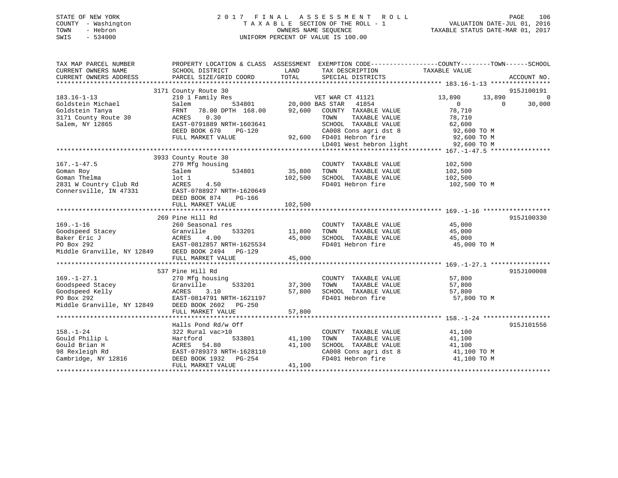## STATE OF NEW YORK 2 0 1 7 F I N A L A S S E S S M E N T R O L L PAGE 106 COUNTY - Washington T A X A B L E SECTION OF THE ROLL - 1 VALUATION DATE-JUL 01, 2016 TOWN - Hebron OWNERS NAME SEQUENCE TAXABLE STATUS DATE-MAR 01, 2017 SWIS - 534000 UNIFORM PERCENT OF VALUE IS 100.00

| TAX MAP PARCEL NUMBER | PROPERTY LOCATION & CLASS ASSESSMENT EXEMPTION CODE---------------COUNTY-------TOWN------SCHOOL                                                                                                                                                                                                                                                                                                                               |        |                                                                                                                                                                                              |                           |                |
|-----------------------|-------------------------------------------------------------------------------------------------------------------------------------------------------------------------------------------------------------------------------------------------------------------------------------------------------------------------------------------------------------------------------------------------------------------------------|--------|----------------------------------------------------------------------------------------------------------------------------------------------------------------------------------------------|---------------------------|----------------|
| CURRENT OWNERS NAME   | SCHOOL DISTRICT                                                                                                                                                                                                                                                                                                                                                                                                               |        | LAND TAX DESCRIPTION                                                                                                                                                                         | TAXABLE VALUE             |                |
|                       |                                                                                                                                                                                                                                                                                                                                                                                                                               |        |                                                                                                                                                                                              |                           |                |
|                       | $\begin{array}{cccccc} 183.16-1-13 & 3171 & \text{Country Route } 30 & & & & & & & & & & & 183.16-1 \\ & & 210 & 1 & \text{Family Res} & & & & 534801 & & & & & & & 13 & 890 \\ \text{Goldstein Michael} & & & & & & & & & & & 534801 & & & & 20,000 \text{ BAS } \text{STAR} & & & & & & & 13,890 \\ \text{Goldstein Tanya} & & & & & & & & & & & & 13,890 & & & & & & 13,890 \\ \text{Goldstein Tanya} & & & & & & & & & &$ |        |                                                                                                                                                                                              |                           | 915J100191     |
|                       |                                                                                                                                                                                                                                                                                                                                                                                                                               |        |                                                                                                                                                                                              |                           | $\overline{0}$ |
|                       |                                                                                                                                                                                                                                                                                                                                                                                                                               |        |                                                                                                                                                                                              | 13,890 13,890<br>$\sim$ 0 | 30,000         |
|                       |                                                                                                                                                                                                                                                                                                                                                                                                                               |        |                                                                                                                                                                                              |                           |                |
|                       |                                                                                                                                                                                                                                                                                                                                                                                                                               |        |                                                                                                                                                                                              |                           |                |
|                       |                                                                                                                                                                                                                                                                                                                                                                                                                               |        |                                                                                                                                                                                              |                           |                |
|                       |                                                                                                                                                                                                                                                                                                                                                                                                                               |        |                                                                                                                                                                                              |                           |                |
|                       |                                                                                                                                                                                                                                                                                                                                                                                                                               |        |                                                                                                                                                                                              |                           |                |
|                       |                                                                                                                                                                                                                                                                                                                                                                                                                               |        |                                                                                                                                                                                              |                           |                |
|                       | 3171 County Route 30 $\footnotesize$ ACRES 0.30 TOWN TAXABLE VALUE (8,000 CALCLE 20<br>Salem, NY 12865 BAST-0791889 NRTH-1603641 SCHOOL TAXABLE VALUE 62,600 TO M<br>DEED BOOK 670 PG-120 92,600 FD401 Hebron fire 92,600 TO M<br>FULL MARKET                                                                                                                                                                                 |        |                                                                                                                                                                                              |                           |                |
|                       |                                                                                                                                                                                                                                                                                                                                                                                                                               |        |                                                                                                                                                                                              |                           |                |
|                       | 3933 County Route 30                                                                                                                                                                                                                                                                                                                                                                                                          |        |                                                                                                                                                                                              |                           |                |
| $167. - 1 - 47.5$     | g housing<br>534801 534801 534801 534801<br>270 Mfg housing                                                                                                                                                                                                                                                                                                                                                                   |        | COUNTY TAXABLE VALUE 102,500<br>TAXABLE VALUE 102,500                                                                                                                                        |                           |                |
|                       |                                                                                                                                                                                                                                                                                                                                                                                                                               |        |                                                                                                                                                                                              |                           |                |
|                       |                                                                                                                                                                                                                                                                                                                                                                                                                               |        | 102,500 SCHOOL TAXABLE VALUE 102,500                                                                                                                                                         |                           |                |
|                       |                                                                                                                                                                                                                                                                                                                                                                                                                               |        | FD401 Hebron fire                                                                                                                                                                            | 102,500 TO M              |                |
|                       | 167.-1-47.5<br>Coman Roy<br>Coman Thelma<br>2831 W Country Club Rd<br>2831 W Country Club Rd<br>2831 W Country Club Rd<br>2831 M Country Club Rd<br>2837-0788927 NRTH-1620649                                                                                                                                                                                                                                                 |        |                                                                                                                                                                                              |                           |                |
|                       | DEED BOOK 874 PG-166                                                                                                                                                                                                                                                                                                                                                                                                          |        |                                                                                                                                                                                              |                           |                |
|                       |                                                                                                                                                                                                                                                                                                                                                                                                                               |        |                                                                                                                                                                                              |                           |                |
|                       |                                                                                                                                                                                                                                                                                                                                                                                                                               |        |                                                                                                                                                                                              |                           |                |
|                       | 269 Pine Hill Rd                                                                                                                                                                                                                                                                                                                                                                                                              |        |                                                                                                                                                                                              |                           | 915J100330     |
|                       |                                                                                                                                                                                                                                                                                                                                                                                                                               |        | COUNTY TAXABLE VALUE $45,000$<br>TOWN TAXABLE VALUE $45,000$<br>SCHOOL TAXABLE VALUE $45,000$                                                                                                |                           |                |
|                       |                                                                                                                                                                                                                                                                                                                                                                                                                               |        |                                                                                                                                                                                              |                           |                |
|                       |                                                                                                                                                                                                                                                                                                                                                                                                                               |        |                                                                                                                                                                                              |                           |                |
|                       |                                                                                                                                                                                                                                                                                                                                                                                                                               |        | FD401 Hebron fire 45,000 TO M                                                                                                                                                                |                           |                |
|                       | $\begin{tabular}{lllllllllllllllllll} \rule{0pt}{0pt} \rule{0pt}{0pt} \rule{0pt}{0pt} \rule{0pt}{0pt} \rule{0pt}{0pt} \rule{0pt}{0pt} \rule{0pt}{0pt} \rule{0pt}{0pt} \rule{0pt}{0pt} \rule{0pt}{0pt} \rule{0pt}{0pt} \rule{0pt}{0pt} \rule{0pt}{0pt} \rule{0pt}{0pt} \rule{0pt}{0pt} \rule{0pt}{0pt} \rule{0pt}{0pt} \rule{0pt}{0pt} \rule{0pt}{0pt} \rule{0pt}{0pt} \rule{0pt}{0pt} \rule{0pt}{0pt} \rule{0pt$              |        |                                                                                                                                                                                              |                           |                |
|                       | FULL MARKET VALUE                                                                                                                                                                                                                                                                                                                                                                                                             | 45,000 |                                                                                                                                                                                              |                           |                |
|                       |                                                                                                                                                                                                                                                                                                                                                                                                                               |        |                                                                                                                                                                                              |                           |                |
|                       | 537 Pine Hill Rd                                                                                                                                                                                                                                                                                                                                                                                                              |        |                                                                                                                                                                                              |                           | 915J100008     |
|                       |                                                                                                                                                                                                                                                                                                                                                                                                                               |        |                                                                                                                                                                                              |                           |                |
|                       |                                                                                                                                                                                                                                                                                                                                                                                                                               |        | $\begin{tabular}{lllllllll} \multicolumn{2}{c}{\text{COUNTY}} & \text{TAXABLE VALUE} & & & & 57,800 \\ \multicolumn{2}{c}{\text{TOWN}} & \text{TAXABLE VALUE} & & & 57,800 \\ \end{tabular}$ |                           |                |
|                       |                                                                                                                                                                                                                                                                                                                                                                                                                               |        | 57,800 SCHOOL TAXABLE VALUE 57,800                                                                                                                                                           |                           |                |
|                       | 169.-1-27.1<br>Coodspeed Stacey<br>Goodspeed Kelly<br>PO Box 292<br>Middle Granville, NY 12849<br>DEED BOOK 2602<br>PO BOX 292<br>Middle Granville, NY 12849<br>DEED BOOK 2602<br>PO BOX 292<br>PO BOX 292                                                                                                                                                                                                                    |        | FD401 Hebron fire                                                                                                                                                                            | 57,800 TO M               |                |
|                       |                                                                                                                                                                                                                                                                                                                                                                                                                               |        |                                                                                                                                                                                              |                           |                |
|                       |                                                                                                                                                                                                                                                                                                                                                                                                                               |        |                                                                                                                                                                                              |                           |                |
|                       |                                                                                                                                                                                                                                                                                                                                                                                                                               |        |                                                                                                                                                                                              |                           |                |
|                       | Halls Pond Rd/w Off                                                                                                                                                                                                                                                                                                                                                                                                           |        |                                                                                                                                                                                              |                           | 915J101556     |
| $158. - 1 - 24$       | 322 Rural vac>10                                                                                                                                                                                                                                                                                                                                                                                                              |        | COUNTY TAXABLE VALUE 41,100                                                                                                                                                                  |                           |                |
|                       |                                                                                                                                                                                                                                                                                                                                                                                                                               |        | TOWN                                                                                                                                                                                         | TAXABLE VALUE 41,100      |                |
|                       |                                                                                                                                                                                                                                                                                                                                                                                                                               |        |                                                                                                                                                                                              |                           |                |
|                       |                                                                                                                                                                                                                                                                                                                                                                                                                               |        |                                                                                                                                                                                              |                           |                |
|                       | 158.-1-24 322 Rural vac>10<br>Gould Philip L Hartford 533801 41,100<br>Gould Brian H ACRES 54.80 41,100<br>98 Rexleigh Rd EAST-0789373 NRTH-1628110<br>Cambridge, NY 12816 DEED BOOK 1932 PG-254<br>THE MONGER PROTON PROTON PROTON COMP                                                                                                                                                                                      |        | SCHOOL TAXABLE VALUE $41,100$<br>CA008 Cons agri dst 8 $41,100$ TO M<br>FD401 Hebron fire $41,100$ TO M                                                                                      |                           |                |
|                       | FULL MARKET VALUE                                                                                                                                                                                                                                                                                                                                                                                                             | 41,100 |                                                                                                                                                                                              |                           |                |
|                       |                                                                                                                                                                                                                                                                                                                                                                                                                               |        |                                                                                                                                                                                              |                           |                |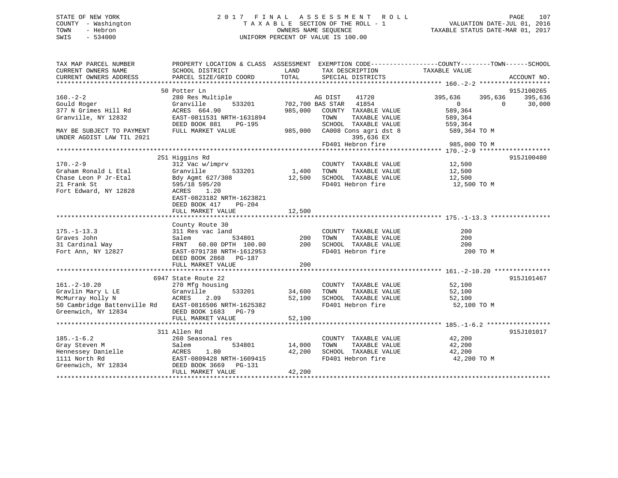## STATE OF NEW YORK 2 0 1 7 F I N A L A S S E S S M E N T R O L L PAGE 107 COUNTY - Washington T A X A B L E SECTION OF THE ROLL - 1 VALUATION DATE-JUL 01, 2016 TOWN - Hebron OWNERS NAME SEQUENCE TAXABLE STATUS DATE-MAR 01, 2017 SWIS - 534000 UNIFORM PERCENT OF VALUE IS 100.00

| TAX MAP PARCEL NUMBER<br>CURRENT OWNERS NAME<br>CURRENT OWNERS ADDRESS                                                                                                                                                                                                                                                                                                                                                                              | PROPERTY LOCATION & CLASS ASSESSMENT EXEMPTION CODE---------------COUNTY-------TOWN------SCHOOL<br>SCHOOL DISTRICT<br>PARCEL SIZE/GRID COORD | TOTAL                           | LAND TAX DESCRIPTION<br>SPECIAL DISTRICTS                                                                                                                                                                                                               | TAXABLE VALUE                                                                                        | ACCOUNT NO.                   |
|-----------------------------------------------------------------------------------------------------------------------------------------------------------------------------------------------------------------------------------------------------------------------------------------------------------------------------------------------------------------------------------------------------------------------------------------------------|----------------------------------------------------------------------------------------------------------------------------------------------|---------------------------------|---------------------------------------------------------------------------------------------------------------------------------------------------------------------------------------------------------------------------------------------------------|------------------------------------------------------------------------------------------------------|-------------------------------|
|                                                                                                                                                                                                                                                                                                                                                                                                                                                     |                                                                                                                                              |                                 |                                                                                                                                                                                                                                                         |                                                                                                      |                               |
|                                                                                                                                                                                                                                                                                                                                                                                                                                                     | 50 Potter Ln                                                                                                                                 |                                 |                                                                                                                                                                                                                                                         |                                                                                                      | 915J100265                    |
| $160. -2 - 2$<br>Gould Roger<br>377 N Grimes Hill Rd<br>Granville, NY 12832                                                                                                                                                                                                                                                                                                                                                                         | 280 Res Multiple<br>380 Res Multiple<br>333201 702,700 BAS STAR 41854<br>ACRES 664.90<br>EAST-0811531 NRTH-1631894                           |                                 | 41720<br>985,000 COUNTY TAXABLE VALUE<br>TOWN<br>TAXABLE VALUE                                                                                                                                                                                          | 395,636 395,636<br>$\begin{array}{c}\n 0 \\  589 \text{ } \text{?} \text{?}\n\end{array}$<br>589,364 | 395,636<br>30,000<br>$\Omega$ |
| MAY BE SUBJECT TO PAYMENT<br>UNDER AGDIST LAW TIL 2021                                                                                                                                                                                                                                                                                                                                                                                              |                                                                                                                                              |                                 | 395,636 EX                                                                                                                                                                                                                                              |                                                                                                      |                               |
|                                                                                                                                                                                                                                                                                                                                                                                                                                                     |                                                                                                                                              |                                 | FD401 Hebron fire                                                                                                                                                                                                                                       | 985,000 TO M                                                                                         |                               |
| $170 - 2 - 9$<br>Graham Ronald L Etal Granville 533201<br>Chase Leon P Jr-Etal Bdy Agmt 627/308<br>21 Frank St 595/18 595/20<br>Fort Edward, NY 12828 ACRES 1.20                                                                                                                                                                                                                                                                                    | 251 Higgins Rd<br>312 Vac w/imprv<br>533201<br>EAST-0823182 NRTH-1623821<br>DEED BOOK 417 PG-204                                             |                                 | COUNTY TAXABLE VALUE 12,500<br>1,400 TOWN TAXABLE VALUE<br>12,500 SCHOOL TAXABLE VALUE<br>FD401 Hebron fire 12,500 TO M                                                                                                                                 | 12,500<br>12,500                                                                                     | 915J100480                    |
|                                                                                                                                                                                                                                                                                                                                                                                                                                                     | FULL MARKET VALUE                                                                                                                            | 12,500                          |                                                                                                                                                                                                                                                         |                                                                                                      |                               |
|                                                                                                                                                                                                                                                                                                                                                                                                                                                     |                                                                                                                                              |                                 |                                                                                                                                                                                                                                                         |                                                                                                      |                               |
| $\begin{array}{cccc} \texttt{175.-1-13.3} & \texttt{311 Res vac land} & \texttt{COUNTY TAXABLE VALUE} \\ \texttt{Graves John} & \texttt{Salem} & \texttt{534801} & \texttt{200 TOWN} & \texttt{TAXABLE VALUE} \\ \texttt{31 Cardinal Way} & \texttt{FRNT} & \texttt{60.00 DPTH} & \texttt{100.00} & \texttt{200 SCHOOL TAXABLE VALUE} \\ \texttt{Fort Ann, NY 12827} & \texttt{EAST-0791738 NRTH-1612953} & \texttt{FP401 Hebron fire} \end{array}$ | County Route 30<br>DEED BOOK 2868 PG-187<br>FULL MARKET VALUE                                                                                | 200                             | FD401 Hebron fire                                                                                                                                                                                                                                       | 200<br>200<br>200<br>200 TO M                                                                        |                               |
|                                                                                                                                                                                                                                                                                                                                                                                                                                                     |                                                                                                                                              |                                 |                                                                                                                                                                                                                                                         |                                                                                                      |                               |
| $161. - 2 - 10.20$<br>50 Cambridge Battenville Rd EAST-0816506 NRTH-1625382<br>Greenwich, NY 12834                                                                                                                                                                                                                                                                                                                                                  | 6947 State Route 22<br>270 Mfg housing<br>533201<br>DEED BOOK 1683 PG-79<br>FULL MARKET VALUE                                                | 52,100                          | COUNTY TAXABLE VALUE 52,100<br>34,600 TOWN TAXABLE VALUE 52,100<br>52,100 SCHOOL TAXABLE VALUE 52,100<br>52,100 SCHOOL TAXABLE VALUE<br>FD401 Hebron fire 52,100 TO M                                                                                   |                                                                                                      | 915J101467                    |
|                                                                                                                                                                                                                                                                                                                                                                                                                                                     |                                                                                                                                              |                                 |                                                                                                                                                                                                                                                         |                                                                                                      |                               |
|                                                                                                                                                                                                                                                                                                                                                                                                                                                     | 311 Allen Rd<br>FULL MARKET VALUE                                                                                                            | 14,000 TOWN<br>42,200<br>42,200 | $\begin{tabular}{lllllllll} \multicolumn{2}{c}{\textbf{COUNTY}} & \textbf{TXABLE VALUE} & & & & 42\,,200 \\ \multicolumn{2}{c}{\textbf{TOWN}} & \textbf{TXABLE VALUE} & & & 42\,,200 \end{tabular}$<br>SCHOOL TAXABLE VALUE 42,200<br>FD401 Hebron fire | 42,200 TO M                                                                                          | 915J101017                    |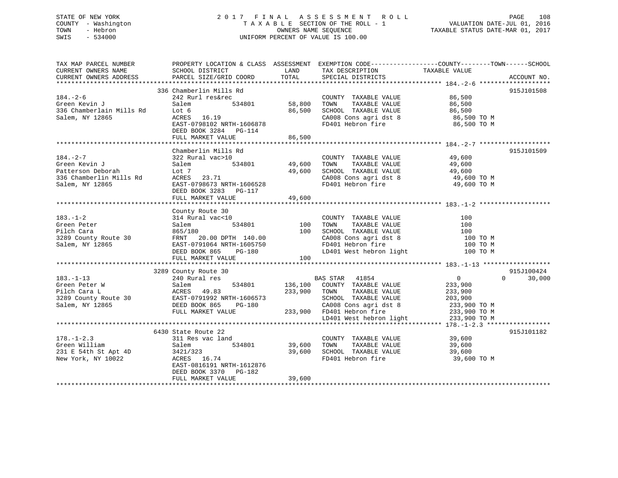## STATE OF NEW YORK 2 0 1 7 F I N A L A S S E S S M E N T R O L L PAGE 108 COUNTY - Washington T A X A B L E SECTION OF THE ROLL - 1 VALUATION DATE-JUL 01, 2016 TOWN - Hebron OWNERS NAME SEQUENCE TAXABLE STATUS DATE-MAR 01, 2017 SWIS - 534000 UNIFORM PERCENT OF VALUE IS 100.00

| TAX MAP PARCEL NUMBER                             | PROPERTY LOCATION & CLASS  ASSESSMENT  EXEMPTION CODE-----------------COUNTY-------TOWN------SCHOOL          |                             |                                                                                            |               |                    |
|---------------------------------------------------|--------------------------------------------------------------------------------------------------------------|-----------------------------|--------------------------------------------------------------------------------------------|---------------|--------------------|
| CURRENT OWNERS NAME                               | SCHOOL DISTRICT                                                                                              | LAND                        | TAX DESCRIPTION                                                                            |               |                    |
|                                                   | CURRENT OWNERS ADDRESS PARCEL SIZE/GRID COORD                                                                | TOTAL                       | SPECIAL DISTRICTS                                                                          | TAXABLE VALUE | ACCOUNT NO.        |
|                                                   |                                                                                                              |                             |                                                                                            |               |                    |
|                                                   | 336 Chamberlin Mills Rd                                                                                      |                             |                                                                                            |               | 915J101508         |
| $184. - 2 - 6$                                    | 242 Rurl res&rec                                                                                             |                             |                                                                                            |               |                    |
|                                                   |                                                                                                              | COUNT<br>534801 58,800 TOWN | COUNTY TAXABLE VALUE $86,500$<br>TOWN TAXABLE VALUE $86,500$                               |               |                    |
|                                                   |                                                                                                              |                             |                                                                                            |               |                    |
| 336 Chamberlain Mills Rd<br>Salem, NY 12865 ACRES |                                                                                                              | 86,500                      |                                                                                            |               |                    |
|                                                   | Lot 6<br>ACRES 16.19                                                                                         |                             |                                                                                            |               |                    |
|                                                   | EAST-0798102 NRTH-1606878                                                                                    |                             | SCHOOL TAXABLE VALUE<br>CA008 Cons agri dst 8 06,500 TO M<br>FD401 Hebron fire 86,500 TO M |               |                    |
|                                                   | DEED BOOK 3284 PG-114                                                                                        |                             |                                                                                            |               |                    |
|                                                   | FULL MARKET VALUE                                                                                            | 86,500                      |                                                                                            |               |                    |
|                                                   |                                                                                                              |                             |                                                                                            |               |                    |
|                                                   | Chamberlin Mills Rd                                                                                          |                             |                                                                                            |               | 915J101509         |
|                                                   |                                                                                                              |                             |                                                                                            |               |                    |
|                                                   |                                                                                                              |                             |                                                                                            |               |                    |
|                                                   |                                                                                                              |                             |                                                                                            |               |                    |
|                                                   |                                                                                                              |                             |                                                                                            |               |                    |
|                                                   |                                                                                                              |                             |                                                                                            |               |                    |
|                                                   |                                                                                                              |                             |                                                                                            |               |                    |
|                                                   |                                                                                                              |                             |                                                                                            |               |                    |
|                                                   |                                                                                                              |                             |                                                                                            |               |                    |
|                                                   |                                                                                                              |                             |                                                                                            |               |                    |
|                                                   | County Route 30                                                                                              |                             |                                                                                            |               |                    |
|                                                   |                                                                                                              |                             |                                                                                            |               |                    |
|                                                   |                                                                                                              |                             |                                                                                            |               |                    |
|                                                   |                                                                                                              |                             |                                                                                            |               |                    |
|                                                   |                                                                                                              |                             |                                                                                            |               |                    |
|                                                   |                                                                                                              |                             |                                                                                            |               |                    |
|                                                   |                                                                                                              |                             |                                                                                            |               |                    |
|                                                   |                                                                                                              |                             |                                                                                            |               |                    |
|                                                   |                                                                                                              |                             |                                                                                            |               |                    |
|                                                   |                                                                                                              |                             |                                                                                            |               |                    |
|                                                   | 3289 County Route 30                                                                                         |                             |                                                                                            |               | 915J100424         |
|                                                   |                                                                                                              |                             |                                                                                            |               | 30,000<br>$\Omega$ |
|                                                   |                                                                                                              |                             |                                                                                            |               |                    |
|                                                   |                                                                                                              |                             |                                                                                            |               |                    |
|                                                   |                                                                                                              |                             |                                                                                            |               |                    |
|                                                   |                                                                                                              |                             |                                                                                            |               |                    |
|                                                   |                                                                                                              |                             |                                                                                            |               |                    |
|                                                   |                                                                                                              |                             |                                                                                            |               |                    |
|                                                   |                                                                                                              |                             |                                                                                            |               |                    |
|                                                   |                                                                                                              |                             |                                                                                            |               |                    |
|                                                   | 6430 State Route 22                                                                                          |                             |                                                                                            |               | 915J101182         |
| $178. - 1 - 2.3$                                  | 311 Res vac land                                                                                             |                             | COUNTY TAXABLE VALUE 39,600                                                                |               |                    |
|                                                   |                                                                                                              | $534801$ 39,600             | TAXABLE VALUE 39,600<br>TOWN                                                               |               |                    |
|                                                   | 170. -172.5<br>Green William Salem 534801<br>231 E 54th St Apt 4D 3421/323<br>New York, NY 10022 ACRES 16.74 | 39,600                      |                                                                                            |               |                    |
|                                                   |                                                                                                              |                             |                                                                                            |               |                    |
|                                                   | EAST-0816191 NRTH-1612876                                                                                    |                             |                                                                                            |               |                    |
|                                                   | DEED BOOK 3370 PG-182                                                                                        |                             |                                                                                            |               |                    |
|                                                   | FULL MARKET VALUE                                                                                            | 39,600                      |                                                                                            |               |                    |
|                                                   |                                                                                                              |                             |                                                                                            |               |                    |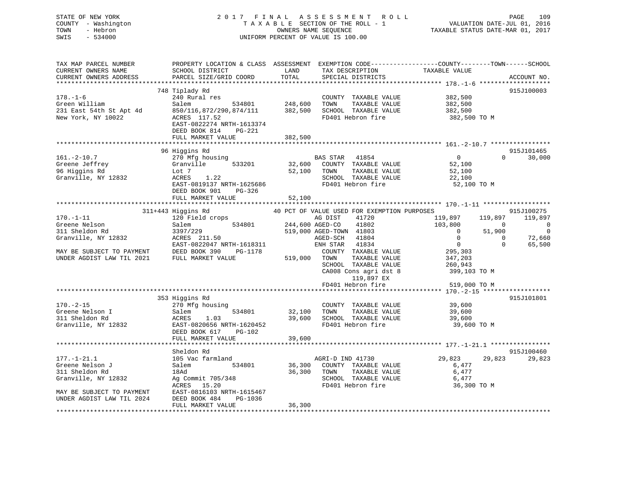# STATE OF NEW YORK 2 0 1 7 F I N A L A S S E S S M E N T R O L L PAGE 109 COUNTY - Washington T A X A B L E SECTION OF THE ROLL - 1 VALUATION DATE-JUL 01, 2016 TOWN - Hebron OWNERS NAME SEQUENCE TAXABLE STATUS DATE-MAR 01, 2017 SWIS - 534000 UNIFORM PERCENT OF VALUE IS 100.00

| TAX MAP PARCEL NUMBER     | PROPERTY LOCATION & CLASS ASSESSMENT EXEMPTION CODE----------------COUNTY-------TOWN-----SCHOOL |         |                                             |                                     |                    |
|---------------------------|-------------------------------------------------------------------------------------------------|---------|---------------------------------------------|-------------------------------------|--------------------|
| CURRENT OWNERS NAME       | SCHOOL DISTRICT                                                                                 | LAND    | TAX DESCRIPTION                             | TAXABLE VALUE                       |                    |
| CURRENT OWNERS ADDRESS    | PARCEL SIZE/GRID COORD                                                                          | TOTAL   | SPECIAL DISTRICTS                           |                                     | ACCOUNT NO.        |
| ***********************   |                                                                                                 |         |                                             |                                     |                    |
|                           | 748 Tiplady Rd                                                                                  |         |                                             |                                     | 915J100003         |
| $178. - 1 - 6$            | 240 Rural res                                                                                   |         | COUNTY TAXABLE VALUE                        | 382,500                             |                    |
| Green William             | 534801<br>Salem                                                                                 | 248,600 | TOWN<br>TAXABLE VALUE                       | 382,500                             |                    |
| 231 East 54th St Apt 4d   | 850/116,872/290,874/111                                                                         | 382,500 | SCHOOL TAXABLE VALUE                        | 382,500                             |                    |
| New York, NY 10022        | ACRES 117.52                                                                                    |         | FD401 Hebron fire                           | 382,500 TO M                        |                    |
|                           | EAST-0822274 NRTH-1613374                                                                       |         |                                             |                                     |                    |
|                           | DEED BOOK 814<br>PG-221                                                                         |         |                                             |                                     |                    |
|                           | FULL MARKET VALUE                                                                               | 382,500 |                                             |                                     |                    |
|                           |                                                                                                 |         |                                             |                                     |                    |
|                           | 96 Higgins Rd                                                                                   |         |                                             |                                     | 915J101465         |
| $161. - 2 - 10.7$         | 270 Mfg housing                                                                                 |         | BAS STAR<br>41854                           | $\overline{0}$                      | 30,000<br>$\Omega$ |
| Greene Jeffrey            | Granville<br>533201                                                                             | 32,600  | COUNTY TAXABLE VALUE                        | 52,100                              |                    |
| 96 Higgins Rd             | Lot 7                                                                                           | 52,100  | TAXABLE VALUE<br>TOWN                       | 52,100                              |                    |
| Granville, NY 12832       | ACRES<br>1.22                                                                                   |         | SCHOOL TAXABLE VALUE                        | 22,100                              |                    |
|                           | EAST-0819137 NRTH-1625686                                                                       |         | FD401 Hebron fire                           | 52,100 TO M                         |                    |
|                           | DEED BOOK 901<br>PG-326                                                                         |         |                                             |                                     |                    |
|                           | FULL MARKET VALUE                                                                               | 52,100  |                                             |                                     |                    |
|                           |                                                                                                 |         |                                             |                                     |                    |
|                           | 311+443 Higgins Rd                                                                              |         | 40 PCT OF VALUE USED FOR EXEMPTION PURPOSES |                                     | 915J100275         |
| $170. - 1 - 11$           | 120 Field crops                                                                                 |         | AG DIST<br>41720                            | 119,897<br>119,897                  | 119,897            |
| Greene Nelson             | 534801<br>Salem                                                                                 |         | 244,600 AGED-CO<br>41802                    | 103,800<br>$\overline{\phantom{0}}$ | $\overline{0}$     |
| 311 Sheldon Rd            | 3397/229                                                                                        |         | 519,000 AGED-TOWN 41803                     | $\overline{0}$<br>51,900            | $\overline{0}$     |
| Granville, NY 12832       | ACRES 211.50                                                                                    |         | AGED-SCH 41804                              | $\Omega$<br>$\mathbf{0}$            | 72,660             |
|                           | EAST-0822047 NRTH-1618311                                                                       |         | 41834<br>ENH STAR                           | $\overline{0}$<br>$\Omega$          | 65,500             |
| MAY BE SUBJECT TO PAYMENT | DEED BOOK 390<br>PG-1178                                                                        |         | COUNTY TAXABLE VALUE                        | 295,303                             |                    |
|                           | FULL MARKET VALUE                                                                               | 519,000 | TAXABLE VALUE<br>TOWN                       | 347,203                             |                    |
|                           |                                                                                                 |         | SCHOOL TAXABLE VALUE                        | 260,943                             |                    |
|                           |                                                                                                 |         | CA008 Cons agri dst 8                       | 399,103 TO M                        |                    |
|                           |                                                                                                 |         | 119,897 EX                                  |                                     |                    |
|                           |                                                                                                 |         | FD401 Hebron fire                           | 519,000 TO M                        |                    |
|                           |                                                                                                 |         |                                             |                                     |                    |
|                           | 353 Higgins Rd                                                                                  |         |                                             |                                     | 915J101801         |
| $170. - 2 - 15$           | 270 Mfg housing                                                                                 |         | COUNTY TAXABLE VALUE                        | 39,600                              |                    |
| Greene Nelson I           | Salem<br>534801                                                                                 | 32,100  | TOWN<br>TAXABLE VALUE                       | 39,600                              |                    |
| 311 Sheldon Rd            | ACRES<br>1.03                                                                                   | 39,600  | SCHOOL TAXABLE VALUE                        | 39,600                              |                    |
| Granville, NY 12832       | EAST-0820656 NRTH-1620452                                                                       |         | FD401 Hebron fire                           | 39,600 TO M                         |                    |
|                           | DEED BOOK 617<br>PG-102                                                                         |         |                                             |                                     |                    |
|                           | FULL MARKET VALUE                                                                               | 39,600  |                                             |                                     |                    |
|                           |                                                                                                 |         |                                             |                                     |                    |
|                           | Sheldon Rd                                                                                      |         |                                             |                                     | 915J100460         |
| $177. - 1 - 21.1$         | 105 Vac farmland                                                                                |         | AGRI-D IND 41730                            | 29,823<br>29,823                    | 29,823             |
| Greene Nelson J           | Salem<br>534801                                                                                 | 36,300  | COUNTY TAXABLE VALUE                        | 6,477                               |                    |
| 311 Sheldon Rd            | 18Ad                                                                                            | 36,300  | TOWN<br>TAXABLE VALUE                       | 6,477                               |                    |
| Granville, NY 12832       | Ag Commit 705/348                                                                               |         | SCHOOL TAXABLE VALUE                        | 6,477                               |                    |
|                           | ACRES<br>15.20                                                                                  |         | FD401 Hebron fire                           | 36,300 TO M                         |                    |
| MAY BE SUBJECT TO PAYMENT | EAST-0816103 NRTH-1615467                                                                       |         |                                             |                                     |                    |
| UNDER AGDIST LAW TIL 2024 | DEED BOOK 484<br>PG-1036                                                                        |         |                                             |                                     |                    |
|                           | FULL MARKET VALUE                                                                               | 36,300  |                                             |                                     |                    |
| *********************     |                                                                                                 |         |                                             |                                     |                    |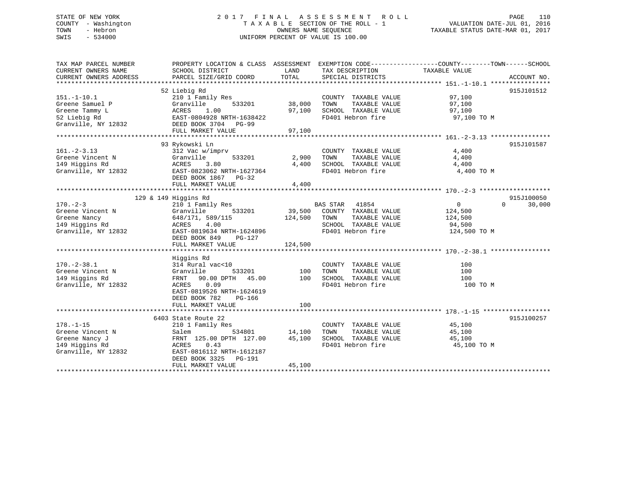# STATE OF NEW YORK 2 0 1 7 F I N A L A S S E S S M E N T R O L L PAGE 110 COUNTY - Washington T A X A B L E SECTION OF THE ROLL - 1 VALUATION DATE-JUL 01, 2016 TOWN - Hebron OWNERS NAME SEQUENCE TAXABLE STATUS DATE-MAR 01, 2017 SWIS - 534000 UNIFORM PERCENT OF VALUE IS 100.00

| TAX MAP PARCEL NUMBER<br>CURRENT OWNERS NAME<br>CURRENT OWNERS ADDRESS | PROPERTY LOCATION & CLASS ASSESSMENT<br>SCHOOL DISTRICT<br>PARCEL SIZE/GRID COORD | LAND<br>TOTAL | TAX DESCRIPTION<br>SPECIAL DISTRICTS | EXEMPTION CODE-----------------COUNTY-------TOWN------SCHOOL<br>TAXABLE VALUE | ACCOUNT NO.        |
|------------------------------------------------------------------------|-----------------------------------------------------------------------------------|---------------|--------------------------------------|-------------------------------------------------------------------------------|--------------------|
|                                                                        |                                                                                   |               |                                      |                                                                               |                    |
|                                                                        | 52 Liebig Rd                                                                      |               |                                      |                                                                               | 915J101512         |
| $151. - 1 - 10.1$                                                      | 210 1 Family Res                                                                  |               | COUNTY TAXABLE VALUE                 | 97,100                                                                        |                    |
| Greene Samuel P                                                        | Granville<br>533201                                                               | 38,000        | TOWN<br>TAXABLE VALUE                | 97,100                                                                        |                    |
| Greene Tammy L                                                         | ACRES<br>1.00                                                                     | 97,100        | SCHOOL TAXABLE VALUE                 | 97,100                                                                        |                    |
| 52 Liebig Rd                                                           | EAST-0804928 NRTH-1638422                                                         |               | FD401 Hebron fire                    | 97,100 TO M                                                                   |                    |
| Granville, NY 12832                                                    | DEED BOOK 3704 PG-99                                                              |               |                                      |                                                                               |                    |
|                                                                        | FULL MARKET VALUE                                                                 | 97,100        |                                      |                                                                               |                    |
|                                                                        |                                                                                   |               |                                      |                                                                               |                    |
|                                                                        | 93 Rykowski Ln                                                                    |               |                                      |                                                                               | 915J101587         |
| $161 - 2 - 3.13$                                                       | 312 Vac w/imprv                                                                   |               | COUNTY TAXABLE VALUE                 | 4,400                                                                         |                    |
| Greene Vincent N                                                       | Granville<br>533201                                                               | 2,900         | TAXABLE VALUE<br>TOWN                | 4,400                                                                         |                    |
| 149 Higgins Rd                                                         | ACRES<br>3.80                                                                     | 4,400         | SCHOOL TAXABLE VALUE                 | 4,400                                                                         |                    |
| Granville, NY 12832                                                    | EAST-0823062 NRTH-1627364                                                         |               | FD401 Hebron fire                    | 4,400 TO M                                                                    |                    |
|                                                                        | DEED BOOK 1867 PG-32                                                              |               |                                      |                                                                               |                    |
|                                                                        | FULL MARKET VALUE                                                                 | 4,400         |                                      |                                                                               |                    |
|                                                                        |                                                                                   |               |                                      |                                                                               |                    |
|                                                                        | 129 & 149 Higgins Rd                                                              |               |                                      |                                                                               | 915J100050         |
| $170. - 2 - 3$                                                         | 210 1 Family Res                                                                  |               | BAS STAR 41854                       | $\overline{0}$                                                                | $\Omega$<br>30,000 |
| Greene Vincent N                                                       | 533201<br>Granville                                                               |               | 39,500 COUNTY TAXABLE VALUE          | 124,500                                                                       |                    |
| Greene Nancy                                                           | 648/171, 589/115                                                                  | 124,500 TOWN  | TAXABLE VALUE                        | 124,500                                                                       |                    |
| 149 Higgins Rd                                                         | 4.00<br>ACRES                                                                     |               | SCHOOL TAXABLE VALUE                 | 94,500                                                                        |                    |
| Granville, NY 12832                                                    | EAST-0819634 NRTH-1624896                                                         |               | FD401 Hebron fire                    | 124,500 TO M                                                                  |                    |
|                                                                        | DEED BOOK 849<br>PG-127                                                           |               |                                      |                                                                               |                    |
|                                                                        | FULL MARKET VALUE                                                                 | 124,500       |                                      |                                                                               |                    |
|                                                                        |                                                                                   |               |                                      |                                                                               |                    |
|                                                                        | Higgins Rd                                                                        |               |                                      |                                                                               |                    |
| $170. - 2 - 38.1$                                                      | 314 Rural vac<10                                                                  |               | COUNTY TAXABLE VALUE                 | 100                                                                           |                    |
| Greene Vincent N                                                       | 533201<br>Granville                                                               | 100           | TAXABLE VALUE<br>TOWN                | 100                                                                           |                    |
| 149 Higgins Rd                                                         | FRNT 90.00 DPTH 45.00 100                                                         |               | SCHOOL TAXABLE VALUE                 | 100                                                                           |                    |
| Granville, NY 12832                                                    | ACRES 0.09                                                                        |               | FD401 Hebron fire                    | 100 TO M                                                                      |                    |
|                                                                        | EAST-0819526 NRTH-1624619                                                         |               |                                      |                                                                               |                    |
|                                                                        | DEED BOOK 782<br>PG-166                                                           |               |                                      |                                                                               |                    |
|                                                                        | FULL MARKET VALUE                                                                 | 100           |                                      |                                                                               |                    |
|                                                                        |                                                                                   |               |                                      |                                                                               |                    |
|                                                                        | 6403 State Route 22                                                               |               |                                      |                                                                               | 915J100257         |
| $178. - 1 - 15$                                                        | 210 1 Family Res                                                                  |               | COUNTY TAXABLE VALUE                 | 45,100                                                                        |                    |
| Greene Vincent N                                                       | 534801<br>Salem                                                                   | 14,100        | TAXABLE VALUE<br>TOWN                | 45,100                                                                        |                    |
| Greene Nancy J                                                         | FRNT 125.00 DPTH 127.00                                                           | 45,100        | SCHOOL TAXABLE VALUE                 | 45,100                                                                        |                    |
| 149 Higgins Rd                                                         | ACRES<br>0.43                                                                     |               | FD401 Hebron fire                    | 45,100 TO M                                                                   |                    |
| Granville, NY 12832                                                    | EAST-0816112 NRTH-1612187                                                         |               |                                      |                                                                               |                    |
|                                                                        | DEED BOOK 3325<br>PG-191                                                          |               |                                      |                                                                               |                    |
|                                                                        | FULL MARKET VALUE                                                                 | 45,100        |                                      |                                                                               |                    |
|                                                                        |                                                                                   |               |                                      |                                                                               |                    |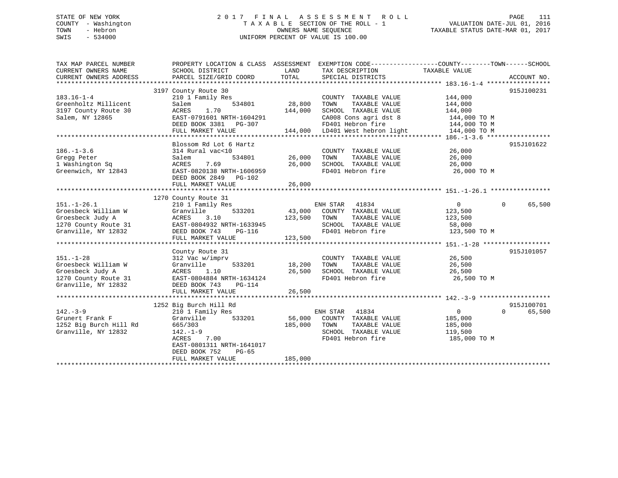# STATE OF NEW YORK 2 0 1 7 F I N A L A S S E S S M E N T R O L L PAGE 111 COUNTY - Washington T A X A B L E SECTION OF THE ROLL - 1 VALUATION DATE-JUL 01, 2016 TOWN - Hebron OWNERS NAME SEQUENCE TAXABLE STATUS DATE-MAR 01, 2017 SWIS - 534000 UNIFORM PERCENT OF VALUE IS 100.00

| TAX MAP PARCEL NUMBER<br>CURRENT OWNERS NAME<br>CURRENT OWNERS ADDRESS                                      | PROPERTY LOCATION & CLASS ASSESSMENT EXEMPTION CODE---------------COUNTY-------TOWN-----SCHOOL<br>SCHOOL DISTRICT<br>PARCEL SIZE/GRID COORD                                                 | LAND<br>TOTAL                | TAX DESCRIPTION<br>SPECIAL DISTRICTS                                                                                   | TAXABLE VALUE                                                   | ACCOUNT NO.                      |
|-------------------------------------------------------------------------------------------------------------|---------------------------------------------------------------------------------------------------------------------------------------------------------------------------------------------|------------------------------|------------------------------------------------------------------------------------------------------------------------|-----------------------------------------------------------------|----------------------------------|
|                                                                                                             |                                                                                                                                                                                             |                              |                                                                                                                        |                                                                 |                                  |
| $183.16 - 1 - 4$<br>Greenholtz Millicent<br>3197 County Route 30<br>Salem, NY 12865                         | 3197 County Route 30<br>210 1 Family Res<br>534801<br>Salem<br>1.70<br>ACRES<br>EAST-0791601 NRTH-1604291<br>DEED BOOK 3381 PG-307                                                          | 28,800<br>144,000            | COUNTY TAXABLE VALUE<br>TAXABLE VALUE<br>TOWN<br>SCHOOL TAXABLE VALUE<br>CA008 Cons agri dst 8<br>FD401 Hebron fire    | 144,000<br>144,000<br>144,000<br>144,000 TO M<br>144,000 TO M   | 915J100231                       |
|                                                                                                             | FULL MARKET VALUE                                                                                                                                                                           | 144,000                      | LD401 West hebron light                                                                                                | 144,000 TO M                                                    |                                  |
|                                                                                                             |                                                                                                                                                                                             |                              |                                                                                                                        |                                                                 |                                  |
| $186. - 1 - 3.6$<br>Gregg Peter<br>1 Washington Sq<br>Greenwich, NY 12843                                   | Blossom Rd Lot 6 Hartz<br>314 Rural vac<10<br>534801<br>Salem<br>7.69<br>ACRES<br>EAST-0820138 NRTH-1606959<br>DEED BOOK 2849 PG-102<br>FULL MARKET VALUE                                   | 26,000<br>26,000<br>26,000   | COUNTY TAXABLE VALUE<br>TOWN<br>TAXABLE VALUE<br>SCHOOL TAXABLE VALUE<br>FD401 Hebron fire                             | 26,000<br>26,000<br>26,000<br>26,000 TO M                       | 915J101622                       |
|                                                                                                             |                                                                                                                                                                                             |                              |                                                                                                                        |                                                                 |                                  |
| $151. - 1 - 26.1$<br>Groesbeck William W<br>Groesbeck Judy A<br>1270 County Route 31<br>Granville, NY 12832 | 1270 County Route 31<br>210 1 Family Res<br>Granville<br>533201<br>3.10<br>ACRES<br>EAST-0804932 NRTH-1633945<br>DEED BOOK 743<br>PG-116<br>FULL MARKET VALUE                               | 123,500<br>123,500           | ENH STAR<br>41834<br>43,000 COUNTY TAXABLE VALUE<br>TAXABLE VALUE<br>TOWN<br>SCHOOL TAXABLE VALUE<br>FD401 Hebron fire | $\overline{0}$<br>123,500<br>123,500<br>58,000<br>123,500 TO M  | 65,500<br>$\Omega$               |
|                                                                                                             |                                                                                                                                                                                             |                              |                                                                                                                        |                                                                 |                                  |
| $151. - 1 - 28$<br>Groesbeck William W<br>Groesbeck Judy A<br>1270 County Route 31<br>Granville, NY 12832   | County Route 31<br>312 Vac w/imprv<br>Granville<br>533201<br>1.10<br>ACRES<br>EAST-0804884 NRTH-1634124<br>DEED BOOK 743<br>PG-114                                                          | 18,200<br>26,500             | COUNTY TAXABLE VALUE<br>TOWN<br>TAXABLE VALUE<br>SCHOOL TAXABLE VALUE<br>FD401 Hebron fire                             | 26,500<br>26,500<br>26,500<br>26,500 TO M                       | 915J101057                       |
|                                                                                                             | FULL MARKET VALUE                                                                                                                                                                           | 26,500                       |                                                                                                                        |                                                                 |                                  |
|                                                                                                             |                                                                                                                                                                                             |                              |                                                                                                                        |                                                                 |                                  |
| $142 - 3 - 9$<br>Grunert Frank F<br>1252 Big Burch Hill Rd<br>Granville, NY 12832                           | 1252 Big Burch Hill Rd<br>210 1 Family Res<br>Granville<br>533201<br>665/303<br>$142. - 1 - 9$<br>ACRES<br>7.00<br>EAST-0801311 NRTH-1641017<br>DEED BOOK 752<br>PG-65<br>FULL MARKET VALUE | 56,000<br>185,000<br>185,000 | ENH STAR<br>41834<br>COUNTY TAXABLE VALUE<br>TAXABLE VALUE<br>TOWN<br>SCHOOL TAXABLE VALUE<br>FD401 Hebron fire        | $\overline{0}$<br>185,000<br>185,000<br>119,500<br>185,000 TO M | 915J100701<br>$\Omega$<br>65,500 |
|                                                                                                             |                                                                                                                                                                                             |                              |                                                                                                                        |                                                                 |                                  |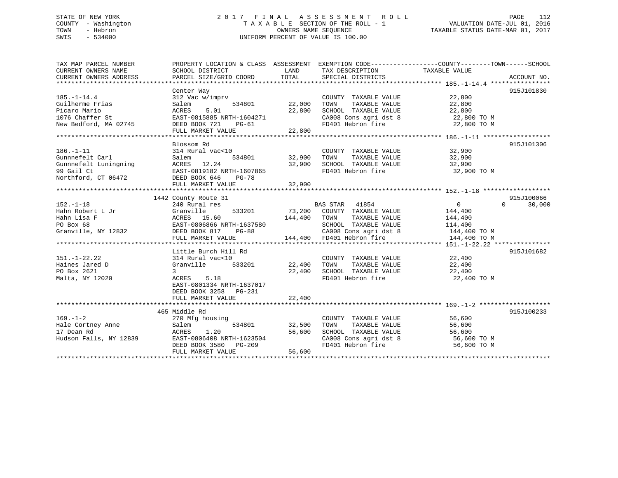# STATE OF NEW YORK 2 0 1 7 F I N A L A S S E S S M E N T R O L L PAGE 112 COUNTY - Washington T A X A B L E SECTION OF THE ROLL - 1 VALUATION DATE-JUL 01, 2016 TOWN - Hebron OWNERS NAME SEQUENCE TAXABLE STATUS DATE-MAR 01, 2017 SWIS - 534000 UNIFORM PERCENT OF VALUE IS 100.00

| TAX MAP PARCEL NUMBER<br>CURRENT OWNERS NAME<br>CURRENT OWNERS ADDRESS                           | PROPERTY LOCATION & CLASS ASSESSMENT EXEMPTION CODE---------------COUNTY-------TOWN-----SCHOOL<br>SCHOOL DISTRICT<br>PARCEL SIZE/GRID COORD TOTAL                                    | LAND                              | TAX DESCRIPTION TAXABLE VALUE<br>SPECIAL DISTRICTS                                                                                                                                                                                        |                                                                 | ACCOUNT NO.                      |
|--------------------------------------------------------------------------------------------------|--------------------------------------------------------------------------------------------------------------------------------------------------------------------------------------|-----------------------------------|-------------------------------------------------------------------------------------------------------------------------------------------------------------------------------------------------------------------------------------------|-----------------------------------------------------------------|----------------------------------|
| $185. - 1 - 14.4$<br>Guilherme Frias<br>Picaro Mario<br>1076 Chaffer St<br>New Bedford, MA 02745 | Center Way<br>312 Vac w/imprv<br>Salem<br>5.01<br>ACRES<br>EAST-0815885 NRTH-1604271<br>DEED BOOK 721<br>PG-61<br>FULL MARKET VALUE                                                  | 534801 22,000<br>22,800<br>22,800 | COUNTY TAXABLE VALUE<br>TAXABLE VALUE<br>TOWN<br>SCHOOL TAXABLE VALUE<br>SCHOOL TAXABLE VALUE 22,800<br>CA008 Cons agri dst 8 22,800 TO M<br>FD401 Hebron fire                                                                            | 22,800<br>22,800<br>22,800<br>22,800 TO M                       | 915J101830                       |
| $186. - 1 - 11$<br>Gunnnefelt Carl<br>Gunnnefelt Luningning<br>99 Gail Ct<br>Northford, CT 06472 | Blossom Rd<br>314 Rural vac<10<br>534801<br>Salem<br>ACRES 12.24<br>EAST-0819182 NRTH-1607865<br>DEED BOOK 646 PG-78<br>FULL MARKET VALUE                                            | 32,900<br>32,900<br>32,900        | COUNTY TAXABLE VALUE 32,900<br>TOWN<br>TAXABLE VALUE<br>SCHOOL TAXABLE VALUE 32,900<br>FD401 Hebron fire                                                                                                                                  | 32,900<br>32,900 TO M                                           | 915J101306                       |
| $152. - 1 - 18$<br>Hahn Robert L Jr<br>Hahn Lisa F<br>PO Box 68<br>Granville, NY 12832           | 1442 County Route 31<br>240 Rural res<br>240 Rural res<br>Granville 533201<br>ACRES 15.60<br>EAST-0806866 NRTH-1637580<br>BEED BOOK 817 PG-88<br>FULL MARKET VALUE                   | 144,400 TOWN                      | BAS STAR 41054<br>73,200 COUNTY TAXABLE VALUE<br>COUNTY TAXABLE VALUE<br>TAXABLE VALUE<br>SCHOOL TAXABLE VALUE<br>637580 SCHOOL TAXABLE VALUE 114,400<br>-88 CA008 Cons agri dst 8 144,400 TO M<br>144,400 FD401 Hebron fire 144,400 TO M | $\overline{0}$<br>144,400<br>144,400<br>114,400<br>144,400 TO M | 915J100066<br>$\Omega$<br>30,000 |
| $151. - 1 - 22.22$<br>Haines Jared D<br>PO Box 2621<br>Malta, NY 12020                           | Little Burch Hill Rd<br>314 Rural vac<10<br>533201 22,400<br>Granville<br>$\overline{3}$<br>ACRES<br>5.18<br>EAST-0801334 NRTH-1637017<br>DEED BOOK 3258 PG-231<br>FULL MARKET VALUE | 22,400<br>22,400                  | COUNTY TAXABLE VALUE<br>TOWN<br>TAXABLE VALUE<br>SCHOOL TAXABLE VALUE<br>FD401 Hebron fire                                                                                                                                                | 22,400<br>22,400<br>22,400<br>22,400 TO M                       | 915J101682                       |
| $169. - 1 - 2$<br>Hale Cortney Anne<br>17 Dean Rd<br>Hudson Falls, NY 12839                      | 465 Middle Rd<br>270 Mfg housing<br>534801<br>Salem<br>1.20<br>ACRES<br>EAST-0806408 NRTH-1623504<br>DEED BOOK 3580 PG-209<br>FULL MARKET VALUE                                      | 32,500<br>56,600<br>56,600        | COUNTY TAXABLE VALUE 56,600<br>TOWN TAXABLE VALUE 56,600<br>SCHOOL TAXABLE VALUE 56,600<br>CA008 Cons agri dst 8 56,600 TO M<br>FD401 Hebron fire                                                                                         | 56,600 TO M                                                     | 915J100233                       |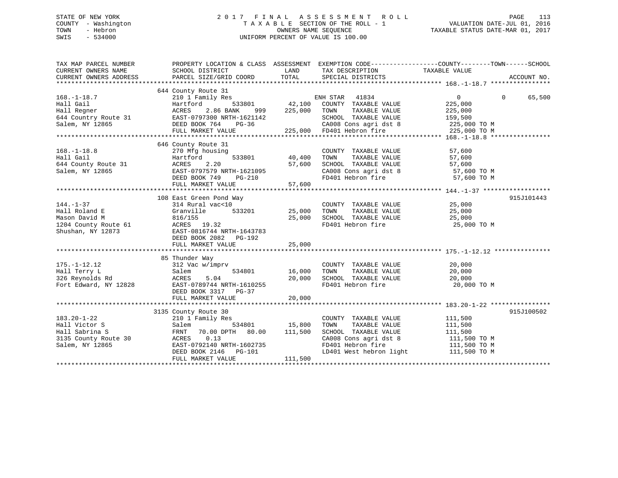# STATE OF NEW YORK 2 0 1 7 F I N A L A S S E S S M E N T R O L L PAGE 113 COUNTY - Washington T A X A B L E SECTION OF THE ROLL - 1 VALUATION DATE-JUL 01, 2016 TOWN - Hebron OWNERS NAME SEQUENCE TAXABLE STATUS DATE-MAR 01, 2017 SWIS - 534000 UNIFORM PERCENT OF VALUE IS 100.00

| TAX MAP PARCEL NUMBER<br>CURRENT OWNERS NAME<br>CURRENT OWNERS ADDRESS                          | PROPERTY LOCATION & CLASS ASSESSMENT EXEMPTION CODE---------------COUNTY-------TOWN-----SCHOOL<br>SCHOOL DISTRICT<br>PARCEL SIZE/GRID COORD                                            | LAND<br>TOTAL                | TAX DESCRIPTION TAXABLE VALUE<br>SPECIAL DISTRICTS                                                                                                                    |                                                                                 | ACCOUNT NO.        |
|-------------------------------------------------------------------------------------------------|----------------------------------------------------------------------------------------------------------------------------------------------------------------------------------------|------------------------------|-----------------------------------------------------------------------------------------------------------------------------------------------------------------------|---------------------------------------------------------------------------------|--------------------|
| $168. - 1 - 18.7$<br>Hall Gail<br>Hall Regner<br>644 Country Route 31<br>Salem, NY 12865        | 644 County Route 31<br>210 1 Family Res<br>Hartford<br>2.86 BANK<br>ACRES<br>999<br>EAST-0797300 NRTH-1621142<br>DEED BOOK 764<br>PG-36<br>FULL MARKET VALUE                           | 533801 42,100<br>225,000     | ENH STAR<br>41834<br>COUNTY TAXABLE VALUE<br>TAXABLE VALUE<br>TOWN<br>SCHOOL TAXABLE VALUE<br>CA008 Cons agri dst 8<br>FD401 Hebron fire<br>225,000 FD401 Hebron fire | $\overline{0}$<br>225,000<br>225,000<br>159,500<br>225,000 TO M<br>225,000 TO M | $\Omega$<br>65,500 |
| $168. - 1 - 18.8$<br>Hall Gail<br>644 County Route 31<br>Salem, NY 12865                        | 646 County Route 31<br>270 Mfg housing<br>533801<br>Hartford<br>2.20<br>ACRES<br>EAST-0797579 NRTH-1621095                                                                             | 40,400<br>57,600             | COUNTY TAXABLE VALUE<br>TOWN<br>TAXABLE VALUE<br>SCHOOL TAXABLE VALUE 57,600<br>CA008 Cons agri dst 8 57,600 TO M                                                     | 57,600<br>57,600                                                                |                    |
| $144. - 1 - 37$<br>Hall Roland E<br>Mason David M<br>1204 County Route 61<br>Shushan, NY 12873  | 108 East Green Pond Way<br>314 Rural vac<10<br>533201<br>Granville<br>816/155<br>ACRES 19.32<br>EAST-0816744 NRTH-1643783<br>DEED BOOK 2082    PG-192<br>FULL MARKET VALUE             | 25,000<br>25,000<br>25,000   | COUNTY TAXABLE VALUE<br>TOWN<br>TAXABLE VALUE<br>SCHOOL TAXABLE VALUE<br>FD401 Hebron fire                                                                            | 25,000<br>25,000<br>25,000<br>25,000 TO M                                       | 915J101443         |
| $175. - 1 - 12.12$<br>Hall Terry L<br>326 Reynolds Rd<br>Fort Edward, NY 12828                  | 85 Thunder Way<br>312 Vac w/imprv<br>534801<br>Salem<br>5.04<br>ACRES<br>EAST-0789744 NRTH-1610255<br>DEED BOOK 3317 PG-37<br>FULL MARKET VALUE                                        | 16,000<br>20,000<br>20,000   | COUNTY TAXABLE VALUE<br>TAXABLE VALUE<br>TOWN<br>TOWN       TAXABLE  VALUE<br>SCHOOL    TAXABLE  VALUE<br>FD401 Hebron fire                                           | 20,000<br>20,000<br>20,000<br>20,000 TO M                                       |                    |
| $183.20 - 1 - 22$<br>Hall Victor S<br>Hall Sabrina S<br>3135 County Route 30<br>Salem, NY 12865 | 3135 County Route 30<br>210 1 Family Res<br>534801<br>Salem<br>70.00 DPTH 80.00<br>FRNT<br>0.13<br>ACRES<br>EAST-0792140 NRTH-1602735<br>DEED BOOK 2146    PG-101<br>FULL MARKET VALUE | 15,800<br>111,500<br>111,500 | COUNTY TAXABLE VALUE<br>TAXABLE VALUE<br>TOWN<br>SCHOOL TAXABLE VALUE<br>CA008 Cons agri dst 8<br>FD401 Hebron fire<br>LD401 West hebron light 111,500 TO M           | 111,500<br>111,500<br>111,500<br>111,500 TO M<br>111,500 TO M                   | 915J100502         |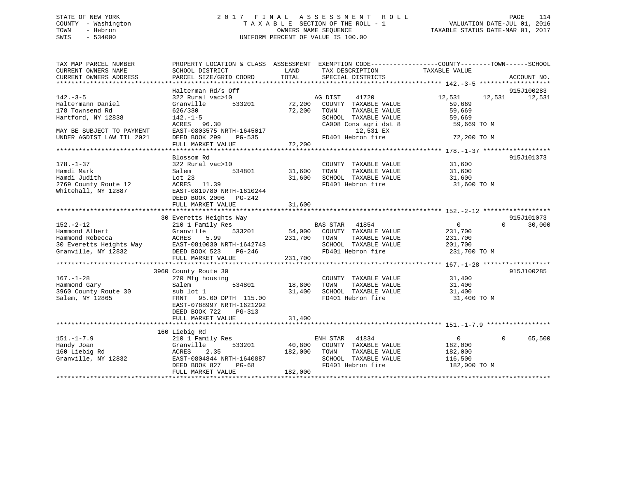# STATE OF NEW YORK 2 0 1 7 F I N A L A S S E S S M E N T R O L L PAGE 114 COUNTY - Washington T A X A B L E SECTION OF THE ROLL - 1 VALUATION DATE-JUL 01, 2016 TOWN - Hebron OWNERS NAME SEQUENCE TAXABLE STATUS DATE-MAR 01, 2017 SWIS - 534000 UNIFORM PERCENT OF VALUE IS 100.00

| TAX MAP PARCEL NUMBER<br>CURRENT OWNERS NAME      | SCHOOL DISTRICT                | LAND<br>TAX DESCRIPTION          | PROPERTY LOCATION & CLASS ASSESSMENT EXEMPTION CODE---------------COUNTY-------TOWN-----SCHOOL<br>TAXABLE VALUE |
|---------------------------------------------------|--------------------------------|----------------------------------|-----------------------------------------------------------------------------------------------------------------|
| CURRENT OWNERS ADDRESS                            | PARCEL SIZE/GRID COORD         | TOTAL<br>SPECIAL DISTRICTS       | ACCOUNT NO.                                                                                                     |
|                                                   | Halterman Rd/s Off             |                                  | 915J100283                                                                                                      |
| $142. - 3 - 5$                                    | 322 Rural vac>10               | AG DIST<br>41720                 | 12,531<br>12,531 12,531                                                                                         |
| Haltermann Daniel                                 | 533201<br>Granville            | 72,200 COUNTY TAXABLE VALUE      | 59,669                                                                                                          |
| 178 Townsend Rd                                   | 626/330                        | 72,200<br>TOWN<br>TAXABLE VALUE  | 59,669                                                                                                          |
| Hartford, NY 12838                                | $142. - 1 - 5$                 | SCHOOL TAXABLE VALUE             | 59,669                                                                                                          |
|                                                   | ACRES 96.30                    | CA008 Cons agri dst 8            | 59,669 TO M                                                                                                     |
| MAY BE SUBJECT TO PAYMENT                         | EAST-0803575 NRTH-1645017      | 12,531 EX                        |                                                                                                                 |
| UNDER AGDIST LAW TIL 2021                         | DEED BOOK 299<br>PG-535        | FD401 Hebron fire                | 72,200 TO M                                                                                                     |
|                                                   | FULL MARKET VALUE              | 72,200                           |                                                                                                                 |
|                                                   |                                |                                  |                                                                                                                 |
|                                                   | Blossom Rd<br>322 Rural vac>10 |                                  | 915J101373                                                                                                      |
| $178. - 1 - 37$                                   |                                | COUNTY TAXABLE VALUE             | 31,600                                                                                                          |
| Hamdi Mark                                        | 534801<br>Salem                | 31,600<br>TOWN<br>TAXABLE VALUE  | $31,600$<br>$31,600$                                                                                            |
| Hamdi Judith                                      | Lot $23$                       | 31,600                           |                                                                                                                 |
| 2769 County Route 12                              | ACRES 11.39                    |                                  |                                                                                                                 |
| Whitehall, NY 12887                               | EAST-0819780 NRTH-1610244      |                                  |                                                                                                                 |
|                                                   | DEED BOOK 2006 PG-242          |                                  |                                                                                                                 |
|                                                   | FULL MARKET VALUE              | 31,600                           |                                                                                                                 |
|                                                   |                                |                                  |                                                                                                                 |
|                                                   | 30 Everetts Heights Way        |                                  | 915J101073                                                                                                      |
| $152 - 2 - 12$                                    | 210 1 Family Res               | BAS STAR 41854                   | $\overline{0}$<br>$\overline{0}$<br>30,000                                                                      |
| Hammond Albert                                    | 533201<br>Granville            | 54,000 COUNTY TAXABLE VALUE      | 231,700                                                                                                         |
| Hammond Rebecca                                   | 5.99<br>ACRES                  | 231,700 TOWN<br>TAXABLE VALUE    | 231,700                                                                                                         |
| 30 Everetts Heights Way EAST-0810030 NRTH-1642748 |                                |                                  | SCHOOL TAXABLE VALUE 201,700                                                                                    |
| Granville, NY 12832                               | DEED BOOK 523<br>PG-246        | FD401 Hebron fire                | 231,700 TO M                                                                                                    |
|                                                   | FULL MARKET VALUE              | 231,700                          |                                                                                                                 |
|                                                   |                                |                                  |                                                                                                                 |
|                                                   | 3960 County Route 30           |                                  | 915J100285                                                                                                      |
| $167. - 1 - 28$                                   | 270 Mfg housing                | COUNTY TAXABLE VALUE             | $31,400$<br>$31,400$                                                                                            |
| Hammond Gary                                      | 534801<br>Salem                | TAXABLE VALUE<br>18,800<br>TOWN  | 31,400                                                                                                          |
| 3960 County Route 30                              | sub lot 1                      | 31,400<br>SCHOOL TAXABLE VALUE   | 31,400                                                                                                          |
| Salem, NY 12865                                   | FRNT 95.00 DPTH 115.00         | FD401 Hebron fire                | 31,400 TO M                                                                                                     |
|                                                   | EAST-0788997 NRTH-1621292      |                                  |                                                                                                                 |
|                                                   | DEED BOOK 722<br>PG-313        |                                  |                                                                                                                 |
|                                                   | FULL MARKET VALUE              | 31,400                           |                                                                                                                 |
|                                                   |                                |                                  |                                                                                                                 |
|                                                   | 160 Liebig Rd                  |                                  |                                                                                                                 |
| $151. - 1 - 7.9$                                  | 210 1 Family Res               | ENH STAR 41834                   | 65,500<br>$\overline{0}$<br>$\Omega$                                                                            |
| Handy Joan                                        | Granville<br>533201            | 40,800 COUNTY TAXABLE VALUE      | 182,000                                                                                                         |
| 160 Liebig Rd                                     | 2.35<br>ACRES                  | TOWN<br>TAXABLE VALUE<br>182,000 | 182,000                                                                                                         |
| Granville, NY 12832                               | EAST-0804844 NRTH-1640887      | SCHOOL TAXABLE VALUE             | 116,500                                                                                                         |
|                                                   | DEED BOOK 827<br>PG-68         | FD401 Hebron fire                | 182,000 TO M                                                                                                    |
|                                                   | FULL MARKET VALUE              | 182,000                          |                                                                                                                 |
|                                                   |                                |                                  |                                                                                                                 |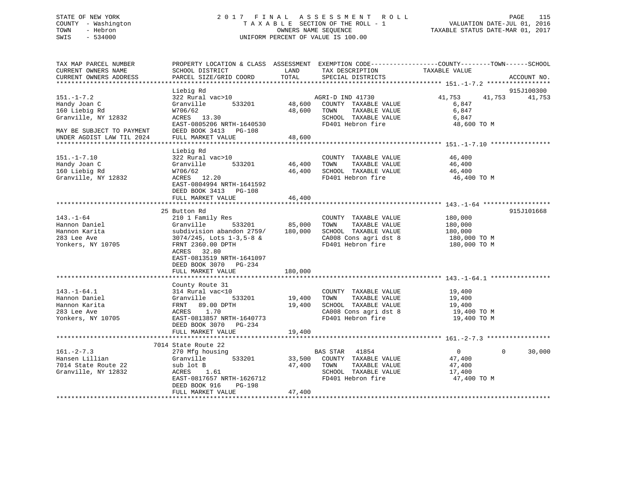# STATE OF NEW YORK 2 0 1 7 F I N A L A S S E S S M E N T R O L L PAGE 115 COUNTY - Washington T A X A B L E SECTION OF THE ROLL - 1 VALUATION DATE-JUL 01, 2016 TOWN - Hebron OWNERS NAME SEQUENCE TAXABLE STATUS DATE-MAR 01, 2017 SWIS - 534000 UNIFORM PERCENT OF VALUE IS 100.00

| TAX MAP PARCEL NUMBER<br>CURRENT OWNERS NAME<br>CURRENT OWNERS ADDRESS                  | PROPERTY LOCATION & CLASS ASSESSMENT EXEMPTION CODE----------------COUNTY-------TOWN-----SCHOOL<br>SCHOOL DISTRICT<br>PARCEL SIZE/GRID COORD | LAND<br>TOTAL    | TAX DESCRIPTION<br>SPECIAL DISTRICTS                                                                                | TAXABLE VALUE                                            | ACCOUNT NO.          |
|-----------------------------------------------------------------------------------------|----------------------------------------------------------------------------------------------------------------------------------------------|------------------|---------------------------------------------------------------------------------------------------------------------|----------------------------------------------------------|----------------------|
|                                                                                         |                                                                                                                                              |                  |                                                                                                                     |                                                          |                      |
| $151. - 1 - 7.2$<br>Handy Joan C<br>160 Liebig Rd                                       | Liebig Rd<br>322 Rural vac>10<br>Granville<br>533201<br>W706/62                                                                              | 48,600<br>48,600 | AGRI-D IND 41730<br>COUNTY TAXABLE VALUE<br>TOWN<br>TAXABLE VALUE                                                   | 41,753<br>41,753<br>6,847<br>6,847                       | 915J100300<br>41,753 |
| Granville, NY 12832                                                                     | ACRES 13.30<br>EAST-0805206 NRTH-1640530                                                                                                     |                  | SCHOOL TAXABLE VALUE<br>FD401 Hebron fire                                                                           | 6,847<br>48,600 TO M                                     |                      |
| MAY BE SUBJECT TO PAYMENT<br>UNDER AGDIST LAW TIL 2024                                  | DEED BOOK 3413 PG-108<br>FULL MARKET VALUE                                                                                                   | 48,600           |                                                                                                                     |                                                          |                      |
|                                                                                         | Liebig Rd                                                                                                                                    |                  |                                                                                                                     |                                                          |                      |
| $151. - 1 - 7.10$<br>Handy Joan C<br>160 Liebig Rd<br>Granville, NY 12832               | 322 Rural vac>10<br>Granville<br>533201<br>W706/62<br>ACRES 12.20<br>EAST-0804994 NRTH-1641592                                               | 46,400<br>46,400 | COUNTY TAXABLE VALUE<br>TOWN<br>TAXABLE VALUE<br>SCHOOL TAXABLE VALUE<br>FD401 Hebron fire                          | 46,400<br>46,400<br>46,400<br>46,400 TO M                |                      |
|                                                                                         | DEED BOOK 3413 PG-108                                                                                                                        |                  |                                                                                                                     |                                                          |                      |
|                                                                                         | FULL MARKET VALUE                                                                                                                            | 46,400           |                                                                                                                     |                                                          |                      |
|                                                                                         | 25 Button Rd                                                                                                                                 |                  |                                                                                                                     |                                                          | 915J101668           |
| $143. - 1 - 64$<br>Hannon Daniel<br>Hannon Karita<br>283 Lee Ave                        | 210 1 Family Res<br>533201<br>Granville<br>subdivision abandon 2759/ 180,000<br>$3074/245$ , Lots $1-3,5-8$ &                                | 85,000           | COUNTY TAXABLE VALUE<br>TAXABLE VALUE<br>TOWN<br>SCHOOL TAXABLE VALUE<br>CA008 Cons agri dst 8                      | 180,000<br>180,000<br>180,000<br>180,000 TO M            |                      |
| Yonkers, NY 10705                                                                       | FRNT 2360.00 DPTH<br>ACRES 32.80<br>EAST-0813519 NRTH-1641097<br>DEED BOOK 3070 PG-234<br>FULL MARKET VALUE                                  | 180,000          | FD401 Hebron fire                                                                                                   | 180,000 TO M                                             |                      |
|                                                                                         |                                                                                                                                              |                  |                                                                                                                     |                                                          |                      |
|                                                                                         | County Route 31                                                                                                                              |                  |                                                                                                                     |                                                          |                      |
| $143. - 1 - 64.1$<br>Hannon Daniel<br>Hannon Karita<br>283 Lee Ave<br>Yonkers, NY 10705 | 314 Rural vac<10<br>533201<br>Granville<br>FRNT 89.00 DPTH<br>1.70<br>ACRES<br>EAST-0813857 NRTH-1640773                                     | 19,400<br>19,400 | COUNTY TAXABLE VALUE<br>TAXABLE VALUE<br>TOWN<br>SCHOOL TAXABLE VALUE<br>CA008 Cons agri dst 8<br>FD401 Hebron fire | 19,400<br>19,400<br>19,400<br>19,400 TO M<br>19,400 TO M |                      |
|                                                                                         | DEED BOOK 3070 PG-234<br>FULL MARKET VALUE                                                                                                   | 19,400           |                                                                                                                     |                                                          |                      |
|                                                                                         |                                                                                                                                              |                  |                                                                                                                     |                                                          |                      |
|                                                                                         | 7014 State Route 22                                                                                                                          |                  |                                                                                                                     |                                                          |                      |
| $161. - 2 - 7.3$                                                                        | 270 Mfg housing                                                                                                                              |                  | BAS STAR<br>41854                                                                                                   | $0 \qquad \qquad$                                        | $\Omega$<br>30,000   |
| Hansen Lillian                                                                          | Granville<br>533201                                                                                                                          | 33,500           | COUNTY TAXABLE VALUE                                                                                                | 47,400                                                   |                      |
| 7014 State Route 22                                                                     | sub lot B                                                                                                                                    | 47,400           | TAXABLE VALUE<br>TOWN                                                                                               | 47,400                                                   |                      |
| Granville, NY 12832                                                                     | 1.61<br>ACRES<br>EAST-0817657 NRTH-1626712<br>DEED BOOK 916<br>PG-198                                                                        |                  | SCHOOL TAXABLE VALUE<br>FD401 Hebron fire                                                                           | 17,400<br>47,400 TO M                                    |                      |
|                                                                                         | FULL MARKET VALUE                                                                                                                            | 47,400           |                                                                                                                     |                                                          |                      |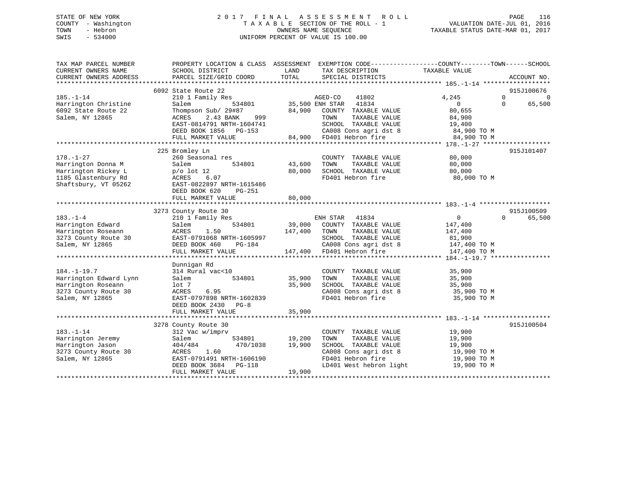# STATE OF NEW YORK 2 0 1 7 F I N A L A S S E S S M E N T R O L L PAGE 116 COUNTY - Washington T A X A B L E SECTION OF THE ROLL - 1 VALUATION DATE-JUL 01, 2016 TOWN - Hebron OWNERS NAME SEQUENCE TAXABLE STATUS DATE-MAR 01, 2017 SWIS - 534000 UNIFORM PERCENT OF VALUE IS 100.00

| TAX MAP PARCEL NUMBER<br>CURRENT OWNERS NAME<br>CURRENT OWNERS ADDRESS | PROPERTY LOCATION & CLASS ASSESSMENT<br>SCHOOL DISTRICT<br>PARCEL SIZE/GRID COORD | LAND<br>TAX DESCRIPTION<br>TOTAL<br>SPECIAL DISTRICTS | EXEMPTION CODE-----------------COUNTY-------TOWN------SCHOOL<br>TAXABLE VALUE<br>ACCOUNT NO. |
|------------------------------------------------------------------------|-----------------------------------------------------------------------------------|-------------------------------------------------------|----------------------------------------------------------------------------------------------|
|                                                                        | 6092 State Route 22                                                               |                                                       | 915J100676                                                                                   |
|                                                                        |                                                                                   |                                                       | $\Omega$                                                                                     |
| $185. - 1 - 14$                                                        | 210 1 Family Res                                                                  | AGED-CO<br>41802                                      | 4,245<br>$\Omega$<br>$\Omega$<br>$\Omega$                                                    |
| Harrington Christine                                                   | 534801<br>Salem                                                                   | 35,500 ENH STAR<br>41834                              | 65,500                                                                                       |
| 6092 State Route 22                                                    | Thompson Sub/ 29#87                                                               | 84,900 COUNTY TAXABLE VALUE                           | 80,655                                                                                       |
| Salem, NY 12865                                                        | ACRES<br>2.43 BANK<br>999                                                         | TOWN<br>TAXABLE VALUE                                 | 84,900                                                                                       |
|                                                                        | EAST-0814791 NRTH-1604741                                                         | SCHOOL TAXABLE VALUE                                  | 19,400                                                                                       |
|                                                                        | DEED BOOK 1856 PG-153                                                             | CA008 Cons agri dst 8<br>FD401 Hebron fire            | 84,900 TO M                                                                                  |
|                                                                        | FULL MARKET VALUE                                                                 | 84,900 FD401 Hebron fire                              | 84,900 TO M                                                                                  |
|                                                                        |                                                                                   |                                                       |                                                                                              |
|                                                                        | 225 Bromley Ln                                                                    |                                                       | 915J101407                                                                                   |
| $178. - 1 - 27$                                                        | 260 Seasonal res                                                                  | COUNTY TAXABLE VALUE                                  | 80,000                                                                                       |
| Harrington Donna M                                                     | 534801<br>Salem                                                                   | 43,600<br>TAXABLE VALUE<br>TOWN                       | 80,000                                                                                       |
| Harrington Rickey L                                                    | $p/o$ lot 12                                                                      | 80,000<br>SCHOOL TAXABLE VALUE                        | 80,000                                                                                       |
| 1185 Glastenbury Rd                                                    | ACRES<br>6.07                                                                     | FD401 Hebron fire                                     | 80,000 TO M                                                                                  |
| Shaftsbury, VT 05262                                                   | EAST-0822897 NRTH-1615486                                                         |                                                       |                                                                                              |
|                                                                        | DEED BOOK 620<br>PG-251                                                           |                                                       |                                                                                              |
|                                                                        | FULL MARKET VALUE                                                                 | 80,000                                                |                                                                                              |
|                                                                        |                                                                                   |                                                       |                                                                                              |
|                                                                        | 3273 County Route 30                                                              |                                                       | 915J100509                                                                                   |
| $183. - 1 - 4$                                                         | 210 1 Family Res                                                                  | ENH STAR<br>41834                                     | 65,500<br>$0 \qquad \qquad$<br>$\Omega$                                                      |
| Harrington Edward                                                      | Salem<br>534801                                                                   | 39,000<br>COUNTY TAXABLE VALUE                        | 147,400                                                                                      |
| Harrington Roseann                                                     | ACRES<br>1.50                                                                     | 147,400<br>TAXABLE VALUE<br>TOWN                      | 147,400                                                                                      |
| 3273 County Route 30                                                   | EAST-0791068 NRTH-1605997                                                         | SCHOOL TAXABLE VALUE                                  | 81,900                                                                                       |
| Salem, NY 12865                                                        | DEED BOOK 460<br>PG-184                                                           | CA008 Cons agri dst 8                                 | 147,400 TO M                                                                                 |
|                                                                        | FULL MARKET VALUE                                                                 | 147,400 FD401 Hebron fire                             | 147,400 TO M                                                                                 |
|                                                                        |                                                                                   |                                                       |                                                                                              |
|                                                                        | Dunnigan Rd                                                                       |                                                       |                                                                                              |
| $184. - 1 - 19.7$                                                      | 314 Rural vac<10                                                                  | COUNTY TAXABLE VALUE                                  | 35,900                                                                                       |
| Harrington Edward Lynn                                                 | 534801<br>Salem                                                                   | 35,900<br>TOWN<br>TAXABLE VALUE                       | 35,900                                                                                       |
| Harrington Roseann                                                     | lot 7                                                                             | 35,900<br>SCHOOL TAXABLE VALUE                        | 35,900                                                                                       |
| 3273 County Route 30                                                   | ACRES<br>6.95                                                                     | CA008 Cons agri dst 8                                 | 35,900 TO M                                                                                  |
| Salem, NY 12865                                                        | EAST-0797898 NRTH-1602839                                                         | FD401 Hebron fire                                     | 35,900 TO M                                                                                  |
|                                                                        |                                                                                   |                                                       |                                                                                              |
|                                                                        | DEED BOOK 2430 PG-8                                                               |                                                       |                                                                                              |
|                                                                        | FULL MARKET VALUE                                                                 | 35,900                                                |                                                                                              |
|                                                                        |                                                                                   |                                                       |                                                                                              |
|                                                                        | 3278 County Route 30                                                              |                                                       | 915J100504                                                                                   |
| $183. - 1 - 14$                                                        | 312 Vac w/imprv                                                                   | COUNTY TAXABLE VALUE                                  | 19,900                                                                                       |
| Harrington Jeremy                                                      | 534801<br>Salem                                                                   | 19,200<br>TOWN<br>TAXABLE VALUE                       | 19,900                                                                                       |
| Harrington Jason                                                       | 470/1038<br>404/484                                                               | 19,900<br>SCHOOL TAXABLE VALUE                        | 19,900                                                                                       |
| 3273 County Route 30                                                   | 1.60<br>ACRES                                                                     | CA008 Cons agri dst 8                                 | 19,900 TO M                                                                                  |
| Salem, NY 12865                                                        | EAST-0791491 NRTH-1606190                                                         | FD401 Hebron fire                                     | 19,900 TO M                                                                                  |
|                                                                        | DEED BOOK 3684<br>PG-118                                                          | LD401 West hebron light                               | 19,900 TO M                                                                                  |
|                                                                        | FULL MARKET VALUE                                                                 | 19,900                                                |                                                                                              |
|                                                                        |                                                                                   |                                                       |                                                                                              |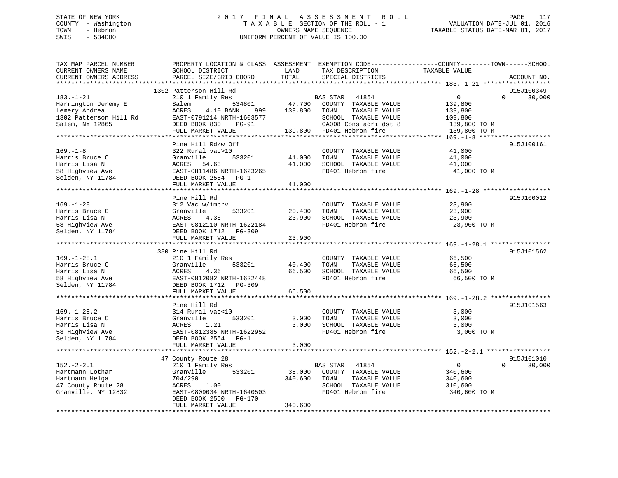# STATE OF NEW YORK 2 0 1 7 F I N A L A S S E S S M E N T R O L L PAGE 117 COUNTY - Washington T A X A B L E SECTION OF THE ROLL - 1 VALUATION DATE-JUL 01, 2016 TOWN - Hebron OWNERS NAME SEQUENCE TAXABLE STATUS DATE-MAR 01, 2017 SWIS - 534000 UNIFORM PERCENT OF VALUE IS 100.00

| ACCOUNT NO.<br>915J100349<br>1302 Patterson Hill Rd<br>210 1 Family Res<br>$\mathbf{0}$<br>$\Omega$<br>30,000<br>$183. - 1 - 21$<br>BAS STAR 41854<br>47,700<br>Harrington Jeremy E<br>534801<br>COUNTY TAXABLE VALUE<br>Salem<br>139,800<br>Lemery Andrea<br>ACRES<br>4.10 BANK<br>139,800<br>TOWN<br>TAXABLE VALUE<br>139,800<br>999<br>1302 Patterson Hill Rd<br>EAST-0791214 NRTH-1603577<br>SCHOOL TAXABLE VALUE<br>109,800<br>CA008 Cons agri dst 8<br>Salem, NY 12865<br>DEED BOOK 830<br>$PG-91$<br>139,800 TO M<br>139,800 FD401 Hebron fire<br>FULL MARKET VALUE<br>139,800 TO M<br>Pine Hill Rd/w Off<br>915J100161<br>41,000<br>322 Rural vac>10<br>COUNTY TAXABLE VALUE<br>Granville<br>533201<br>41,000<br>TOWN<br>TAXABLE VALUE<br>41,000<br>41,000<br>ACRES 54.63<br>SCHOOL TAXABLE VALUE<br>41,000<br>EAST-0811486 NRTH-1623265<br>FD401 Hebron fire<br>41,000 TO M<br>DEED BOOK 2554 PG-1<br>FULL MARKET VALUE<br>41,000<br>***************************<br>Pine Hill Rd<br>915J100012<br>COUNTY TAXABLE VALUE<br>23,900<br>312 Vac w/imprv<br>Granville<br>533201<br>20,400<br>TOWN<br>TAXABLE VALUE<br>23,900<br>23,900<br>SCHOOL TAXABLE VALUE<br>ACRES<br>4.36<br>23,900<br>58 Highview Ave<br>EAST-0812110 NRTH-1622184<br>FD401 Hebron fire<br>23,900 TO M<br>DEED BOOK 1712 PG-309<br>23,900<br>FULL MARKET VALUE<br>380 Pine Hill Rd<br>915J101562<br>$169. - 1 - 28.1$<br>210 1 Family Res<br>66,500<br>COUNTY TAXABLE VALUE<br>Harris Bruce C<br>Granville<br>533201<br>40,400<br>TOWN<br>TAXABLE VALUE<br>66,500<br>Harris Lisa N<br>ACRES<br>4.36<br>66,500<br>SCHOOL TAXABLE VALUE<br>66,500<br>FD401 Hebron fire<br>58 Highview Ave<br>EAST-0812082 NRTH-1622448<br>66,500 TO M<br>Selden, NY 11784<br>DEED BOOK 1712 PG-309<br>FULL MARKET VALUE<br>66,500<br>Pine Hill Rd<br>915J101563<br>$169. - 1 - 28.2$<br>314 Rural vac<10<br>COUNTY TAXABLE VALUE<br>3,000<br>Harris Bruce C<br>Granville<br>533201<br>3,000<br>TAXABLE VALUE<br>TOWN<br>3,000<br>SCHOOL TAXABLE VALUE<br>Harris Lisa N<br>ACRES<br>1.21<br>3,000<br>3,000<br>EAST-0812385 NRTH-1622952<br>FD401 Hebron fire<br>3,000 TO M<br>58 Highview Ave<br>Selden, NY 11784<br>DEED BOOK 2554 PG-1<br>FULL MARKET VALUE<br>3,000<br>47 County Route 28<br>915J101010<br>$152 - 2 - 2.1$<br>41854<br>$\Omega$<br>30,000<br>210 1 Family Res<br>BAS STAR<br>$\overline{0}$<br>533201<br>38,000<br>COUNTY TAXABLE VALUE<br>Hartmann Lothar<br>Granville<br>340,600<br>Hartmann Helga<br>340,600<br>TOWN<br>TAXABLE VALUE<br>704/290<br>340,600<br>47 County Route 28<br>SCHOOL TAXABLE VALUE<br>ACRES<br>1.00<br>310,600<br>FD401 Hebron fire<br>Granville, NY 12832<br>EAST-0809034 NRTH-1640503<br>340,600 TO M<br>DEED BOOK 2550<br>PG-170<br>FULL MARKET VALUE<br>340,600 | TAX MAP PARCEL NUMBER<br>CURRENT OWNERS NAME | SCHOOL DISTRICT        | LAND<br>TOTAL | TAX DESCRIPTION   | PROPERTY LOCATION & CLASS ASSESSMENT EXEMPTION CODE----------------COUNTY-------TOWN------SCHOOL<br>TAXABLE VALUE |  |
|--------------------------------------------------------------------------------------------------------------------------------------------------------------------------------------------------------------------------------------------------------------------------------------------------------------------------------------------------------------------------------------------------------------------------------------------------------------------------------------------------------------------------------------------------------------------------------------------------------------------------------------------------------------------------------------------------------------------------------------------------------------------------------------------------------------------------------------------------------------------------------------------------------------------------------------------------------------------------------------------------------------------------------------------------------------------------------------------------------------------------------------------------------------------------------------------------------------------------------------------------------------------------------------------------------------------------------------------------------------------------------------------------------------------------------------------------------------------------------------------------------------------------------------------------------------------------------------------------------------------------------------------------------------------------------------------------------------------------------------------------------------------------------------------------------------------------------------------------------------------------------------------------------------------------------------------------------------------------------------------------------------------------------------------------------------------------------------------------------------------------------------------------------------------------------------------------------------------------------------------------------------------------------------------------------------------------------------------------------------------------------------------------------------------------------------------------------------------------------------------------------------------------------------------------------------------------------------------------------------------------------------------------------------------------------------------------------------------------------------------------------------------------|----------------------------------------------|------------------------|---------------|-------------------|-------------------------------------------------------------------------------------------------------------------|--|
|                                                                                                                                                                                                                                                                                                                                                                                                                                                                                                                                                                                                                                                                                                                                                                                                                                                                                                                                                                                                                                                                                                                                                                                                                                                                                                                                                                                                                                                                                                                                                                                                                                                                                                                                                                                                                                                                                                                                                                                                                                                                                                                                                                                                                                                                                                                                                                                                                                                                                                                                                                                                                                                                                                                                                                          | CURRENT OWNERS ADDRESS                       | PARCEL SIZE/GRID COORD |               | SPECIAL DISTRICTS |                                                                                                                   |  |
|                                                                                                                                                                                                                                                                                                                                                                                                                                                                                                                                                                                                                                                                                                                                                                                                                                                                                                                                                                                                                                                                                                                                                                                                                                                                                                                                                                                                                                                                                                                                                                                                                                                                                                                                                                                                                                                                                                                                                                                                                                                                                                                                                                                                                                                                                                                                                                                                                                                                                                                                                                                                                                                                                                                                                                          |                                              |                        |               |                   |                                                                                                                   |  |
|                                                                                                                                                                                                                                                                                                                                                                                                                                                                                                                                                                                                                                                                                                                                                                                                                                                                                                                                                                                                                                                                                                                                                                                                                                                                                                                                                                                                                                                                                                                                                                                                                                                                                                                                                                                                                                                                                                                                                                                                                                                                                                                                                                                                                                                                                                                                                                                                                                                                                                                                                                                                                                                                                                                                                                          |                                              |                        |               |                   |                                                                                                                   |  |
|                                                                                                                                                                                                                                                                                                                                                                                                                                                                                                                                                                                                                                                                                                                                                                                                                                                                                                                                                                                                                                                                                                                                                                                                                                                                                                                                                                                                                                                                                                                                                                                                                                                                                                                                                                                                                                                                                                                                                                                                                                                                                                                                                                                                                                                                                                                                                                                                                                                                                                                                                                                                                                                                                                                                                                          |                                              |                        |               |                   |                                                                                                                   |  |
|                                                                                                                                                                                                                                                                                                                                                                                                                                                                                                                                                                                                                                                                                                                                                                                                                                                                                                                                                                                                                                                                                                                                                                                                                                                                                                                                                                                                                                                                                                                                                                                                                                                                                                                                                                                                                                                                                                                                                                                                                                                                                                                                                                                                                                                                                                                                                                                                                                                                                                                                                                                                                                                                                                                                                                          |                                              |                        |               |                   |                                                                                                                   |  |
|                                                                                                                                                                                                                                                                                                                                                                                                                                                                                                                                                                                                                                                                                                                                                                                                                                                                                                                                                                                                                                                                                                                                                                                                                                                                                                                                                                                                                                                                                                                                                                                                                                                                                                                                                                                                                                                                                                                                                                                                                                                                                                                                                                                                                                                                                                                                                                                                                                                                                                                                                                                                                                                                                                                                                                          |                                              |                        |               |                   |                                                                                                                   |  |
|                                                                                                                                                                                                                                                                                                                                                                                                                                                                                                                                                                                                                                                                                                                                                                                                                                                                                                                                                                                                                                                                                                                                                                                                                                                                                                                                                                                                                                                                                                                                                                                                                                                                                                                                                                                                                                                                                                                                                                                                                                                                                                                                                                                                                                                                                                                                                                                                                                                                                                                                                                                                                                                                                                                                                                          |                                              |                        |               |                   |                                                                                                                   |  |
|                                                                                                                                                                                                                                                                                                                                                                                                                                                                                                                                                                                                                                                                                                                                                                                                                                                                                                                                                                                                                                                                                                                                                                                                                                                                                                                                                                                                                                                                                                                                                                                                                                                                                                                                                                                                                                                                                                                                                                                                                                                                                                                                                                                                                                                                                                                                                                                                                                                                                                                                                                                                                                                                                                                                                                          |                                              |                        |               |                   |                                                                                                                   |  |
|                                                                                                                                                                                                                                                                                                                                                                                                                                                                                                                                                                                                                                                                                                                                                                                                                                                                                                                                                                                                                                                                                                                                                                                                                                                                                                                                                                                                                                                                                                                                                                                                                                                                                                                                                                                                                                                                                                                                                                                                                                                                                                                                                                                                                                                                                                                                                                                                                                                                                                                                                                                                                                                                                                                                                                          |                                              |                        |               |                   |                                                                                                                   |  |
|                                                                                                                                                                                                                                                                                                                                                                                                                                                                                                                                                                                                                                                                                                                                                                                                                                                                                                                                                                                                                                                                                                                                                                                                                                                                                                                                                                                                                                                                                                                                                                                                                                                                                                                                                                                                                                                                                                                                                                                                                                                                                                                                                                                                                                                                                                                                                                                                                                                                                                                                                                                                                                                                                                                                                                          |                                              |                        |               |                   |                                                                                                                   |  |
|                                                                                                                                                                                                                                                                                                                                                                                                                                                                                                                                                                                                                                                                                                                                                                                                                                                                                                                                                                                                                                                                                                                                                                                                                                                                                                                                                                                                                                                                                                                                                                                                                                                                                                                                                                                                                                                                                                                                                                                                                                                                                                                                                                                                                                                                                                                                                                                                                                                                                                                                                                                                                                                                                                                                                                          | $169. - 1 - 8$                               |                        |               |                   |                                                                                                                   |  |
|                                                                                                                                                                                                                                                                                                                                                                                                                                                                                                                                                                                                                                                                                                                                                                                                                                                                                                                                                                                                                                                                                                                                                                                                                                                                                                                                                                                                                                                                                                                                                                                                                                                                                                                                                                                                                                                                                                                                                                                                                                                                                                                                                                                                                                                                                                                                                                                                                                                                                                                                                                                                                                                                                                                                                                          | Harris Bruce C                               |                        |               |                   |                                                                                                                   |  |
|                                                                                                                                                                                                                                                                                                                                                                                                                                                                                                                                                                                                                                                                                                                                                                                                                                                                                                                                                                                                                                                                                                                                                                                                                                                                                                                                                                                                                                                                                                                                                                                                                                                                                                                                                                                                                                                                                                                                                                                                                                                                                                                                                                                                                                                                                                                                                                                                                                                                                                                                                                                                                                                                                                                                                                          | Harris Lisa N                                |                        |               |                   |                                                                                                                   |  |
|                                                                                                                                                                                                                                                                                                                                                                                                                                                                                                                                                                                                                                                                                                                                                                                                                                                                                                                                                                                                                                                                                                                                                                                                                                                                                                                                                                                                                                                                                                                                                                                                                                                                                                                                                                                                                                                                                                                                                                                                                                                                                                                                                                                                                                                                                                                                                                                                                                                                                                                                                                                                                                                                                                                                                                          | 58 Highview Ave                              |                        |               |                   |                                                                                                                   |  |
|                                                                                                                                                                                                                                                                                                                                                                                                                                                                                                                                                                                                                                                                                                                                                                                                                                                                                                                                                                                                                                                                                                                                                                                                                                                                                                                                                                                                                                                                                                                                                                                                                                                                                                                                                                                                                                                                                                                                                                                                                                                                                                                                                                                                                                                                                                                                                                                                                                                                                                                                                                                                                                                                                                                                                                          | Selden, NY 11784                             |                        |               |                   |                                                                                                                   |  |
|                                                                                                                                                                                                                                                                                                                                                                                                                                                                                                                                                                                                                                                                                                                                                                                                                                                                                                                                                                                                                                                                                                                                                                                                                                                                                                                                                                                                                                                                                                                                                                                                                                                                                                                                                                                                                                                                                                                                                                                                                                                                                                                                                                                                                                                                                                                                                                                                                                                                                                                                                                                                                                                                                                                                                                          |                                              |                        |               |                   |                                                                                                                   |  |
|                                                                                                                                                                                                                                                                                                                                                                                                                                                                                                                                                                                                                                                                                                                                                                                                                                                                                                                                                                                                                                                                                                                                                                                                                                                                                                                                                                                                                                                                                                                                                                                                                                                                                                                                                                                                                                                                                                                                                                                                                                                                                                                                                                                                                                                                                                                                                                                                                                                                                                                                                                                                                                                                                                                                                                          |                                              |                        |               |                   |                                                                                                                   |  |
|                                                                                                                                                                                                                                                                                                                                                                                                                                                                                                                                                                                                                                                                                                                                                                                                                                                                                                                                                                                                                                                                                                                                                                                                                                                                                                                                                                                                                                                                                                                                                                                                                                                                                                                                                                                                                                                                                                                                                                                                                                                                                                                                                                                                                                                                                                                                                                                                                                                                                                                                                                                                                                                                                                                                                                          |                                              |                        |               |                   |                                                                                                                   |  |
|                                                                                                                                                                                                                                                                                                                                                                                                                                                                                                                                                                                                                                                                                                                                                                                                                                                                                                                                                                                                                                                                                                                                                                                                                                                                                                                                                                                                                                                                                                                                                                                                                                                                                                                                                                                                                                                                                                                                                                                                                                                                                                                                                                                                                                                                                                                                                                                                                                                                                                                                                                                                                                                                                                                                                                          | $169. - 1 - 28$                              |                        |               |                   |                                                                                                                   |  |
|                                                                                                                                                                                                                                                                                                                                                                                                                                                                                                                                                                                                                                                                                                                                                                                                                                                                                                                                                                                                                                                                                                                                                                                                                                                                                                                                                                                                                                                                                                                                                                                                                                                                                                                                                                                                                                                                                                                                                                                                                                                                                                                                                                                                                                                                                                                                                                                                                                                                                                                                                                                                                                                                                                                                                                          | Harris Bruce C                               |                        |               |                   |                                                                                                                   |  |
|                                                                                                                                                                                                                                                                                                                                                                                                                                                                                                                                                                                                                                                                                                                                                                                                                                                                                                                                                                                                                                                                                                                                                                                                                                                                                                                                                                                                                                                                                                                                                                                                                                                                                                                                                                                                                                                                                                                                                                                                                                                                                                                                                                                                                                                                                                                                                                                                                                                                                                                                                                                                                                                                                                                                                                          | Harris Lisa N                                |                        |               |                   |                                                                                                                   |  |
|                                                                                                                                                                                                                                                                                                                                                                                                                                                                                                                                                                                                                                                                                                                                                                                                                                                                                                                                                                                                                                                                                                                                                                                                                                                                                                                                                                                                                                                                                                                                                                                                                                                                                                                                                                                                                                                                                                                                                                                                                                                                                                                                                                                                                                                                                                                                                                                                                                                                                                                                                                                                                                                                                                                                                                          |                                              |                        |               |                   |                                                                                                                   |  |
|                                                                                                                                                                                                                                                                                                                                                                                                                                                                                                                                                                                                                                                                                                                                                                                                                                                                                                                                                                                                                                                                                                                                                                                                                                                                                                                                                                                                                                                                                                                                                                                                                                                                                                                                                                                                                                                                                                                                                                                                                                                                                                                                                                                                                                                                                                                                                                                                                                                                                                                                                                                                                                                                                                                                                                          | Selden, NY 11784                             |                        |               |                   |                                                                                                                   |  |
|                                                                                                                                                                                                                                                                                                                                                                                                                                                                                                                                                                                                                                                                                                                                                                                                                                                                                                                                                                                                                                                                                                                                                                                                                                                                                                                                                                                                                                                                                                                                                                                                                                                                                                                                                                                                                                                                                                                                                                                                                                                                                                                                                                                                                                                                                                                                                                                                                                                                                                                                                                                                                                                                                                                                                                          |                                              |                        |               |                   |                                                                                                                   |  |
|                                                                                                                                                                                                                                                                                                                                                                                                                                                                                                                                                                                                                                                                                                                                                                                                                                                                                                                                                                                                                                                                                                                                                                                                                                                                                                                                                                                                                                                                                                                                                                                                                                                                                                                                                                                                                                                                                                                                                                                                                                                                                                                                                                                                                                                                                                                                                                                                                                                                                                                                                                                                                                                                                                                                                                          |                                              |                        |               |                   |                                                                                                                   |  |
|                                                                                                                                                                                                                                                                                                                                                                                                                                                                                                                                                                                                                                                                                                                                                                                                                                                                                                                                                                                                                                                                                                                                                                                                                                                                                                                                                                                                                                                                                                                                                                                                                                                                                                                                                                                                                                                                                                                                                                                                                                                                                                                                                                                                                                                                                                                                                                                                                                                                                                                                                                                                                                                                                                                                                                          |                                              |                        |               |                   |                                                                                                                   |  |
|                                                                                                                                                                                                                                                                                                                                                                                                                                                                                                                                                                                                                                                                                                                                                                                                                                                                                                                                                                                                                                                                                                                                                                                                                                                                                                                                                                                                                                                                                                                                                                                                                                                                                                                                                                                                                                                                                                                                                                                                                                                                                                                                                                                                                                                                                                                                                                                                                                                                                                                                                                                                                                                                                                                                                                          |                                              |                        |               |                   |                                                                                                                   |  |
|                                                                                                                                                                                                                                                                                                                                                                                                                                                                                                                                                                                                                                                                                                                                                                                                                                                                                                                                                                                                                                                                                                                                                                                                                                                                                                                                                                                                                                                                                                                                                                                                                                                                                                                                                                                                                                                                                                                                                                                                                                                                                                                                                                                                                                                                                                                                                                                                                                                                                                                                                                                                                                                                                                                                                                          |                                              |                        |               |                   |                                                                                                                   |  |
|                                                                                                                                                                                                                                                                                                                                                                                                                                                                                                                                                                                                                                                                                                                                                                                                                                                                                                                                                                                                                                                                                                                                                                                                                                                                                                                                                                                                                                                                                                                                                                                                                                                                                                                                                                                                                                                                                                                                                                                                                                                                                                                                                                                                                                                                                                                                                                                                                                                                                                                                                                                                                                                                                                                                                                          |                                              |                        |               |                   |                                                                                                                   |  |
|                                                                                                                                                                                                                                                                                                                                                                                                                                                                                                                                                                                                                                                                                                                                                                                                                                                                                                                                                                                                                                                                                                                                                                                                                                                                                                                                                                                                                                                                                                                                                                                                                                                                                                                                                                                                                                                                                                                                                                                                                                                                                                                                                                                                                                                                                                                                                                                                                                                                                                                                                                                                                                                                                                                                                                          |                                              |                        |               |                   |                                                                                                                   |  |
|                                                                                                                                                                                                                                                                                                                                                                                                                                                                                                                                                                                                                                                                                                                                                                                                                                                                                                                                                                                                                                                                                                                                                                                                                                                                                                                                                                                                                                                                                                                                                                                                                                                                                                                                                                                                                                                                                                                                                                                                                                                                                                                                                                                                                                                                                                                                                                                                                                                                                                                                                                                                                                                                                                                                                                          |                                              |                        |               |                   |                                                                                                                   |  |
|                                                                                                                                                                                                                                                                                                                                                                                                                                                                                                                                                                                                                                                                                                                                                                                                                                                                                                                                                                                                                                                                                                                                                                                                                                                                                                                                                                                                                                                                                                                                                                                                                                                                                                                                                                                                                                                                                                                                                                                                                                                                                                                                                                                                                                                                                                                                                                                                                                                                                                                                                                                                                                                                                                                                                                          |                                              |                        |               |                   |                                                                                                                   |  |
|                                                                                                                                                                                                                                                                                                                                                                                                                                                                                                                                                                                                                                                                                                                                                                                                                                                                                                                                                                                                                                                                                                                                                                                                                                                                                                                                                                                                                                                                                                                                                                                                                                                                                                                                                                                                                                                                                                                                                                                                                                                                                                                                                                                                                                                                                                                                                                                                                                                                                                                                                                                                                                                                                                                                                                          |                                              |                        |               |                   |                                                                                                                   |  |
|                                                                                                                                                                                                                                                                                                                                                                                                                                                                                                                                                                                                                                                                                                                                                                                                                                                                                                                                                                                                                                                                                                                                                                                                                                                                                                                                                                                                                                                                                                                                                                                                                                                                                                                                                                                                                                                                                                                                                                                                                                                                                                                                                                                                                                                                                                                                                                                                                                                                                                                                                                                                                                                                                                                                                                          |                                              |                        |               |                   |                                                                                                                   |  |
|                                                                                                                                                                                                                                                                                                                                                                                                                                                                                                                                                                                                                                                                                                                                                                                                                                                                                                                                                                                                                                                                                                                                                                                                                                                                                                                                                                                                                                                                                                                                                                                                                                                                                                                                                                                                                                                                                                                                                                                                                                                                                                                                                                                                                                                                                                                                                                                                                                                                                                                                                                                                                                                                                                                                                                          |                                              |                        |               |                   |                                                                                                                   |  |
|                                                                                                                                                                                                                                                                                                                                                                                                                                                                                                                                                                                                                                                                                                                                                                                                                                                                                                                                                                                                                                                                                                                                                                                                                                                                                                                                                                                                                                                                                                                                                                                                                                                                                                                                                                                                                                                                                                                                                                                                                                                                                                                                                                                                                                                                                                                                                                                                                                                                                                                                                                                                                                                                                                                                                                          |                                              |                        |               |                   |                                                                                                                   |  |
|                                                                                                                                                                                                                                                                                                                                                                                                                                                                                                                                                                                                                                                                                                                                                                                                                                                                                                                                                                                                                                                                                                                                                                                                                                                                                                                                                                                                                                                                                                                                                                                                                                                                                                                                                                                                                                                                                                                                                                                                                                                                                                                                                                                                                                                                                                                                                                                                                                                                                                                                                                                                                                                                                                                                                                          |                                              |                        |               |                   |                                                                                                                   |  |
|                                                                                                                                                                                                                                                                                                                                                                                                                                                                                                                                                                                                                                                                                                                                                                                                                                                                                                                                                                                                                                                                                                                                                                                                                                                                                                                                                                                                                                                                                                                                                                                                                                                                                                                                                                                                                                                                                                                                                                                                                                                                                                                                                                                                                                                                                                                                                                                                                                                                                                                                                                                                                                                                                                                                                                          |                                              |                        |               |                   |                                                                                                                   |  |
|                                                                                                                                                                                                                                                                                                                                                                                                                                                                                                                                                                                                                                                                                                                                                                                                                                                                                                                                                                                                                                                                                                                                                                                                                                                                                                                                                                                                                                                                                                                                                                                                                                                                                                                                                                                                                                                                                                                                                                                                                                                                                                                                                                                                                                                                                                                                                                                                                                                                                                                                                                                                                                                                                                                                                                          |                                              |                        |               |                   |                                                                                                                   |  |
|                                                                                                                                                                                                                                                                                                                                                                                                                                                                                                                                                                                                                                                                                                                                                                                                                                                                                                                                                                                                                                                                                                                                                                                                                                                                                                                                                                                                                                                                                                                                                                                                                                                                                                                                                                                                                                                                                                                                                                                                                                                                                                                                                                                                                                                                                                                                                                                                                                                                                                                                                                                                                                                                                                                                                                          |                                              |                        |               |                   |                                                                                                                   |  |
|                                                                                                                                                                                                                                                                                                                                                                                                                                                                                                                                                                                                                                                                                                                                                                                                                                                                                                                                                                                                                                                                                                                                                                                                                                                                                                                                                                                                                                                                                                                                                                                                                                                                                                                                                                                                                                                                                                                                                                                                                                                                                                                                                                                                                                                                                                                                                                                                                                                                                                                                                                                                                                                                                                                                                                          |                                              |                        |               |                   |                                                                                                                   |  |
|                                                                                                                                                                                                                                                                                                                                                                                                                                                                                                                                                                                                                                                                                                                                                                                                                                                                                                                                                                                                                                                                                                                                                                                                                                                                                                                                                                                                                                                                                                                                                                                                                                                                                                                                                                                                                                                                                                                                                                                                                                                                                                                                                                                                                                                                                                                                                                                                                                                                                                                                                                                                                                                                                                                                                                          |                                              |                        |               |                   |                                                                                                                   |  |
|                                                                                                                                                                                                                                                                                                                                                                                                                                                                                                                                                                                                                                                                                                                                                                                                                                                                                                                                                                                                                                                                                                                                                                                                                                                                                                                                                                                                                                                                                                                                                                                                                                                                                                                                                                                                                                                                                                                                                                                                                                                                                                                                                                                                                                                                                                                                                                                                                                                                                                                                                                                                                                                                                                                                                                          |                                              |                        |               |                   |                                                                                                                   |  |
|                                                                                                                                                                                                                                                                                                                                                                                                                                                                                                                                                                                                                                                                                                                                                                                                                                                                                                                                                                                                                                                                                                                                                                                                                                                                                                                                                                                                                                                                                                                                                                                                                                                                                                                                                                                                                                                                                                                                                                                                                                                                                                                                                                                                                                                                                                                                                                                                                                                                                                                                                                                                                                                                                                                                                                          |                                              |                        |               |                   |                                                                                                                   |  |
|                                                                                                                                                                                                                                                                                                                                                                                                                                                                                                                                                                                                                                                                                                                                                                                                                                                                                                                                                                                                                                                                                                                                                                                                                                                                                                                                                                                                                                                                                                                                                                                                                                                                                                                                                                                                                                                                                                                                                                                                                                                                                                                                                                                                                                                                                                                                                                                                                                                                                                                                                                                                                                                                                                                                                                          |                                              |                        |               |                   |                                                                                                                   |  |
|                                                                                                                                                                                                                                                                                                                                                                                                                                                                                                                                                                                                                                                                                                                                                                                                                                                                                                                                                                                                                                                                                                                                                                                                                                                                                                                                                                                                                                                                                                                                                                                                                                                                                                                                                                                                                                                                                                                                                                                                                                                                                                                                                                                                                                                                                                                                                                                                                                                                                                                                                                                                                                                                                                                                                                          |                                              |                        |               |                   |                                                                                                                   |  |
|                                                                                                                                                                                                                                                                                                                                                                                                                                                                                                                                                                                                                                                                                                                                                                                                                                                                                                                                                                                                                                                                                                                                                                                                                                                                                                                                                                                                                                                                                                                                                                                                                                                                                                                                                                                                                                                                                                                                                                                                                                                                                                                                                                                                                                                                                                                                                                                                                                                                                                                                                                                                                                                                                                                                                                          |                                              |                        |               |                   |                                                                                                                   |  |
|                                                                                                                                                                                                                                                                                                                                                                                                                                                                                                                                                                                                                                                                                                                                                                                                                                                                                                                                                                                                                                                                                                                                                                                                                                                                                                                                                                                                                                                                                                                                                                                                                                                                                                                                                                                                                                                                                                                                                                                                                                                                                                                                                                                                                                                                                                                                                                                                                                                                                                                                                                                                                                                                                                                                                                          |                                              |                        |               |                   |                                                                                                                   |  |
|                                                                                                                                                                                                                                                                                                                                                                                                                                                                                                                                                                                                                                                                                                                                                                                                                                                                                                                                                                                                                                                                                                                                                                                                                                                                                                                                                                                                                                                                                                                                                                                                                                                                                                                                                                                                                                                                                                                                                                                                                                                                                                                                                                                                                                                                                                                                                                                                                                                                                                                                                                                                                                                                                                                                                                          |                                              |                        |               |                   |                                                                                                                   |  |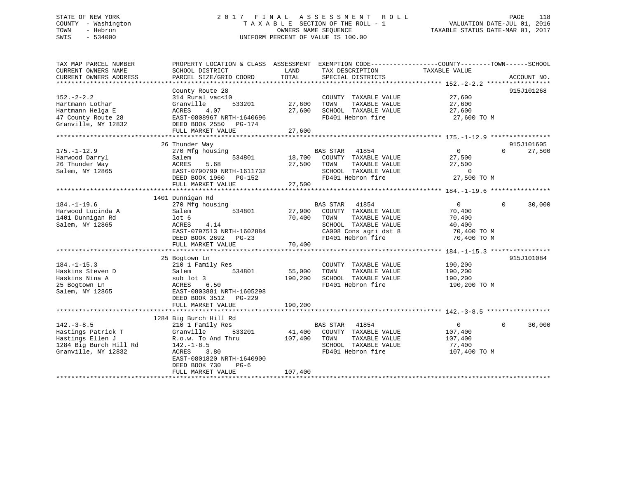# STATE OF NEW YORK 2 0 1 7 F I N A L A S S E S S M E N T R O L L PAGE 118 COUNTY - Washington T A X A B L E SECTION OF THE ROLL - 1 VALUATION DATE-JUL 01, 2016 TOWN - Hebron OWNERS NAME SEQUENCE TAXABLE STATUS DATE-MAR 01, 2017 SWIS - 534000 UNIFORM PERCENT OF VALUE IS 100.00

| TAX MAP PARCEL NUMBER<br>CURRENT OWNERS NAME<br>CURRENT OWNERS ADDRESS                                                                                                       | PROPERTY LOCATION & CLASS ASSESSMENT<br>SCHOOL DISTRICT<br>PARCEL SIZE/GRID COORD                                                                                                                                                                                                                                                      | LAND<br>TAX DESCRIPTION<br>TOTAL<br>SPECIAL DISTRICTS                                                                                                                                                                                                                                                | EXEMPTION CODE-----------------COUNTY-------TOWN------SCHOOL<br>TAXABLE VALUE<br>ACCOUNT NO.                                                                    |
|------------------------------------------------------------------------------------------------------------------------------------------------------------------------------|----------------------------------------------------------------------------------------------------------------------------------------------------------------------------------------------------------------------------------------------------------------------------------------------------------------------------------------|------------------------------------------------------------------------------------------------------------------------------------------------------------------------------------------------------------------------------------------------------------------------------------------------------|-----------------------------------------------------------------------------------------------------------------------------------------------------------------|
|                                                                                                                                                                              |                                                                                                                                                                                                                                                                                                                                        |                                                                                                                                                                                                                                                                                                      |                                                                                                                                                                 |
| $152. - 2 - 2.2$<br>Hartmann Lothar<br>Hartmann Helga E                                                                                                                      | County Route 28<br>314 Rural vac<10<br>533201<br>Granville<br>4.07<br>ACRES                                                                                                                                                                                                                                                            | COUNTY TAXABLE VALUE<br>27,600<br>TOWN<br>TAXABLE VALUE<br>27,600<br>SCHOOL TAXABLE VALUE                                                                                                                                                                                                            | 915J101268<br>27,600<br>27,600<br>27,600                                                                                                                        |
| 47 County Route 28<br>Granville, NY 12832                                                                                                                                    | EAST-0808967 NRTH-1640696<br>DEED BOOK 2550 PG-174<br>FULL MARKET VALUE                                                                                                                                                                                                                                                                | FD401 Hebron fire<br>27,600                                                                                                                                                                                                                                                                          | 27,600 TO M                                                                                                                                                     |
|                                                                                                                                                                              |                                                                                                                                                                                                                                                                                                                                        |                                                                                                                                                                                                                                                                                                      |                                                                                                                                                                 |
|                                                                                                                                                                              | 26 Thunder Way                                                                                                                                                                                                                                                                                                                         |                                                                                                                                                                                                                                                                                                      | 915J101605                                                                                                                                                      |
| $175. - 1 - 12.9$<br>Harwood Darryl<br>26 Thunder Way<br>Salem, NY 12865                                                                                                     | 270 Mfg housing<br>534801<br>Salem<br>5.68<br>ACRES<br>EAST-0790790 NRTH-1611732<br>DEED BOOK 1960 PG-152<br>FULL MARKET VALUE                                                                                                                                                                                                         | BAS STAR 41854<br>18,700<br>COUNTY TAXABLE VALUE<br>27,500<br>TAXABLE VALUE<br>TOWN<br>SCHOOL TAXABLE VALUE<br>FD401 Hebron fire<br>27,500                                                                                                                                                           | 27,500<br>$\Omega$<br>$\cap$<br>27,500<br>27,500<br>$\sim$ 0<br>27,500 TO M                                                                                     |
|                                                                                                                                                                              |                                                                                                                                                                                                                                                                                                                                        |                                                                                                                                                                                                                                                                                                      |                                                                                                                                                                 |
|                                                                                                                                                                              |                                                                                                                                                                                                                                                                                                                                        |                                                                                                                                                                                                                                                                                                      |                                                                                                                                                                 |
| $184. - 1 - 19.6$<br>Harwood Lucinda A<br>1401 Dunnigan Rd<br>Salem, NY 12865<br>$184. - 1 - 15.3$<br>Haskins Steven D<br>Haskins Nina A<br>25 Bogtown Ln<br>Salem, NY 12865 | 1401 Dunnigan Rd<br>270 Mfg housing<br>534801<br>Salem<br>lot <sub>6</sub><br>ACRES<br>4.14<br>EAST-0797513 NRTH-1602884<br>DEED BOOK 2692 PG-23<br>FULL MARKET VALUE<br>25 Bogtown Ln<br>210 1 Family Res<br>534801<br>Salem<br>sub lot 3<br>ACRES<br>6.50<br>EAST-0803881 NRTH-1605298<br>DEED BOOK 3512 PG-229<br>FULL MARKET VALUE | BAS STAR<br>41854<br>27,900<br>COUNTY TAXABLE VALUE<br>70,400<br>TAXABLE VALUE<br>TOWN<br>SCHOOL TAXABLE VALUE<br>CA008 Cons agri dst 8<br>FD401 Hebron fire<br>70,400<br>COUNTY TAXABLE VALUE<br>55,000<br>TOWN<br>TAXABLE VALUE<br>190,200<br>SCHOOL TAXABLE VALUE<br>FD401 Hebron fire<br>190,200 | $\overline{0}$<br>$\Omega$<br>30,000<br>70,400<br>70,400<br>40,400<br>70,400 TO M<br>70,400 TO M<br>915J101084<br>190,200<br>190,200<br>190,200<br>190,200 TO M |
|                                                                                                                                                                              |                                                                                                                                                                                                                                                                                                                                        |                                                                                                                                                                                                                                                                                                      |                                                                                                                                                                 |
| $142. - 3 - 8.5$<br>Hastings Patrick T<br>Hastings Ellen J<br>1284 Big Burch Hill Rd<br>Granville, NY 12832                                                                  | 1284 Big Burch Hill Rd<br>210 1 Family Res<br>Granville<br>533201<br>R.o.w. To And Thru<br>$142. - 1 - 8.5$<br>ACRES<br>3.80<br>EAST-0801820 NRTH-1640900<br>DEED BOOK 730<br>$PG-6$                                                                                                                                                   | <b>BAS STAR</b><br>41854<br>41,400 COUNTY TAXABLE VALUE<br>107,400<br>TOWN<br>TAXABLE VALUE<br>SCHOOL TAXABLE VALUE<br>FD401 Hebron fire                                                                                                                                                             | 30,000<br>$\overline{0}$<br>$\Omega$<br>107,400<br>107,400<br>77,400<br>107,400 TO M                                                                            |
|                                                                                                                                                                              | FULL MARKET VALUE                                                                                                                                                                                                                                                                                                                      | 107,400                                                                                                                                                                                                                                                                                              |                                                                                                                                                                 |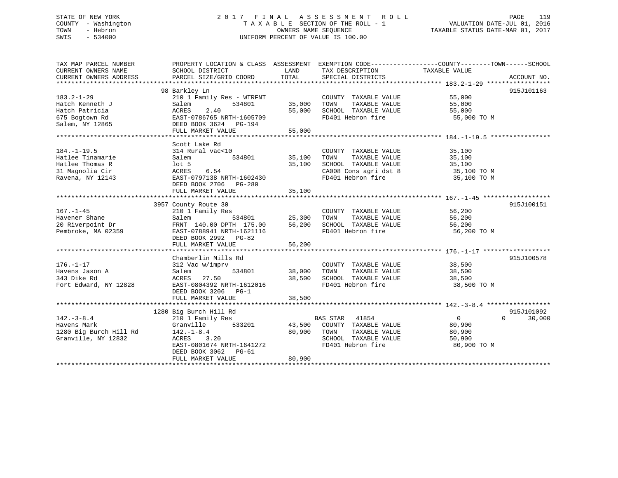# STATE OF NEW YORK 2 0 1 7 F I N A L A S S E S S M E N T R O L L PAGE 119 COUNTY - Washington T A X A B L E SECTION OF THE ROLL - 1 VALUATION DATE-JUL 01, 2016 TOWN - Hebron OWNERS NAME SEQUENCE TAXABLE STATUS DATE-MAR 01, 2017 SWIS - 534000 UNIFORM PERCENT OF VALUE IS 100.00

| TAX MAP PARCEL NUMBER                                    | PROPERTY LOCATION & CLASS ASSESSMENT EXEMPTION CODE----------------COUNTY-------TOWN-----SCHOOL |                    |                                                          |                       |             |
|----------------------------------------------------------|-------------------------------------------------------------------------------------------------|--------------------|----------------------------------------------------------|-----------------------|-------------|
| CURRENT OWNERS NAME                                      | SCHOOL DISTRICT                                                                                 | LAND               | TAX DESCRIPTION                                          | TAXABLE VALUE         |             |
| CURRENT OWNERS ADDRESS                                   | PARCEL SIZE/GRID COORD                                                                          | TOTAL              | SPECIAL DISTRICTS                                        |                       | ACCOUNT NO. |
|                                                          |                                                                                                 |                    |                                                          |                       |             |
|                                                          | 98 Barkley Ln                                                                                   |                    |                                                          | 55,000                | 915J101163  |
| $183.2 - 1 - 29$                                         | 210 1 Family Res - WTRFNT                                                                       |                    | COUNTY TAXABLE VALUE                                     |                       |             |
| Hatch Kenneth J                                          | 534801<br>Salem                                                                                 | 35,000 TOWN        | TAXABLE VALUE                                            | 55,000                |             |
| Hatch Patricia                                           | 2.40<br>ACRES                                                                                   | 55,000             | SCHOOL TAXABLE VALUE                                     | 55,000                |             |
| 675 Bogtown Rd                                           | EAST-0786765 NRTH-1605709                                                                       |                    | FD401 Hebron fire                                        | 55,000 TO M           |             |
| Salem, NY 12865                                          | DEED BOOK 3624 PG-194                                                                           |                    |                                                          |                       |             |
|                                                          | FULL MARKET VALUE                                                                               | 55,000             |                                                          |                       |             |
|                                                          |                                                                                                 |                    |                                                          |                       |             |
|                                                          | Scott Lake Rd                                                                                   |                    |                                                          |                       |             |
| $184. - 1 - 19.5$                                        | 314 Rural vac<10                                                                                |                    | COUNTY TAXABLE VALUE                                     | 35,100                |             |
| Hatlee Tinamarie                                         | Salem                                                                                           |                    | TOWN TAXABLE VALUE 35,100<br>SCHOOL TAXABLE VALUE 35,100 |                       |             |
| bardan<br>10t 5<br>Hatlee Thomas R                       |                                                                                                 | 35,100             |                                                          |                       |             |
| 31 Magnolia Cir                                          |                                                                                                 |                    | CA008 Cons agri dst 8 $35,100$ TO M                      |                       |             |
| Ravena, NY 12143                                         |                                                                                                 |                    | FD401 Hebron fire                                        | 35,100 TO M           |             |
|                                                          | DEED BOOK 2706 PG-280                                                                           |                    |                                                          |                       |             |
|                                                          | FULL MARKET VALUE                                                                               | 35,100             |                                                          |                       |             |
|                                                          |                                                                                                 |                    |                                                          |                       |             |
|                                                          | 3957 County Route 30                                                                            |                    |                                                          |                       | 915J100151  |
| $167. - 1 - 45$                                          | 210 1 Family Res                                                                                |                    | COUNTY TAXABLE VALUE 56,200<br>TAXABLE VALUE             |                       |             |
| Havener Shane                                            | Salem                                                                                           | 534801 25,300      | TOWN                                                     | 56,200                |             |
| 20 Riverpoint Dr                                         | FRNT 140.00 DPTH 175.00 56,200                                                                  |                    | SCHOOL TAXABLE VALUE 56,200                              |                       |             |
| Pembroke, MA 02359                                       | EAST-0788941 NRTH-1621116                                                                       |                    | FD401 Hebron fire                                        | 56,200 TO M           |             |
|                                                          | DEED BOOK 2992 PG-82                                                                            |                    |                                                          |                       |             |
|                                                          |                                                                                                 |                    |                                                          |                       |             |
|                                                          |                                                                                                 |                    |                                                          |                       |             |
|                                                          | Chamberlin Mills Rd                                                                             |                    |                                                          |                       | 915J100578  |
| $176. - 1 - 17$                                          | 312 Vac w/imprv                                                                                 | 534801 38,000 TOWN | COUNTY TAXABLE VALUE<br>TAXABLE VALUE                    | 38,500                |             |
| Havens Jason A                                           | Salem<br>ACRES 27.50                                                                            | 38,500             |                                                          | 38,500                |             |
| 343 Dike Rd                                              | EAST-0804392 NRTH-1612016                                                                       |                    | SCHOOL TAXABLE VALUE 38,500<br>FD401 Hebron fire         |                       |             |
| Fort Edward, NY 12828                                    | DEED BOOK 3206 PG-1                                                                             |                    |                                                          | 38,500 TO M           |             |
|                                                          |                                                                                                 |                    |                                                          |                       |             |
|                                                          | FULL MARKET VALUE                                                                               | 38,500             |                                                          |                       |             |
|                                                          |                                                                                                 |                    |                                                          |                       | 915J101092  |
|                                                          | 1280 Big Burch Hill Rd                                                                          |                    |                                                          | $\overline{0}$        | $\Omega$    |
| $142.-3-8.4$                                             | 210 1 Family Res                                                                                |                    | BAS STAR 41854                                           |                       | 30,000      |
| Havens Mark                                              | Granville                                                                                       |                    | 533201 43,500 COUNTY TAXABLE VALUE                       | 80,900                |             |
| 1280 Big Burch Hill Rd 142.-1-8.4<br>Granville, NY 12832 | ACRES 3.20                                                                                      | 80,900 TOWN        | TAXABLE VALUE<br>SCHOOL TAXABLE VALUE                    | 80,900                |             |
|                                                          | EAST-0801674 NRTH-1641272                                                                       |                    | FD401 Hebron fire                                        | 50,900<br>80,900 TO M |             |
|                                                          |                                                                                                 |                    |                                                          |                       |             |
|                                                          | DEED BOOK 3062 PG-61                                                                            | 80,900             |                                                          |                       |             |
|                                                          | FULL MARKET VALUE                                                                               |                    |                                                          |                       |             |
|                                                          |                                                                                                 |                    |                                                          |                       |             |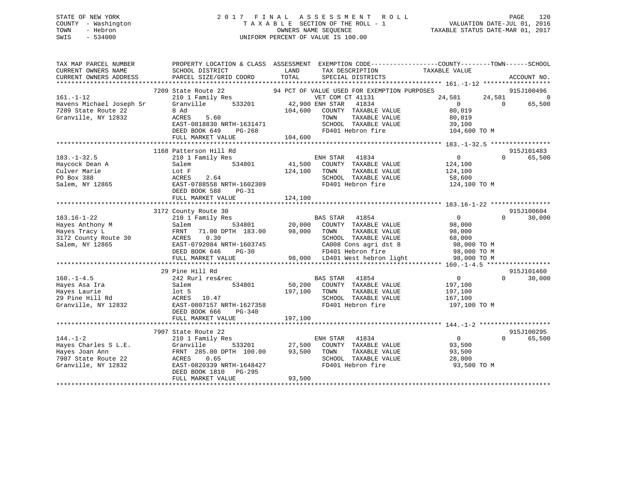# STATE OF NEW YORK 2 0 1 7 F I N A L A S S E S S M E N T R O L L PAGE 120 COUNTY - Washington T A X A B L E SECTION OF THE ROLL - 1 VALUATION DATE-JUL 01, 2016 TOWN - Hebron OWNERS NAME SEQUENCE TAXABLE STATUS DATE-MAR 01, 2017 SWIS - 534000 UNIFORM PERCENT OF VALUE IS 100.00

| TAX MAP PARCEL NUMBER<br>CURRENT OWNERS NAME<br>CURRENT OWNERS ADDRESS                                 | PROPERTY LOCATION & CLASS ASSESSMENT EXEMPTION CODE----------------COUNTY-------TOWN-----SCHOOL<br>SCHOOL DISTRICT<br>PARCEL SIZE/GRID COORD                         | LAND<br>TOTAL                                                                                | SPECIAL DISTRICTS                                                                                                      | TAX DESCRIPTION TAXABLE VALUE SPECIAL DISTRICTS                                           |                    | ACCOUNT NO.                            |
|--------------------------------------------------------------------------------------------------------|----------------------------------------------------------------------------------------------------------------------------------------------------------------------|----------------------------------------------------------------------------------------------|------------------------------------------------------------------------------------------------------------------------|-------------------------------------------------------------------------------------------|--------------------|----------------------------------------|
| $161. - 1 - 12$<br>Havens Michael Joseph Sr<br>7209 State Route 22<br>Granville, NY 12832              | 7209 State Route 22<br>210 1 Family Res<br>533201<br>Granville<br>8 Ad<br>ACRES<br>5.60<br>EAST-0818830 NRTH-1631471<br>DEED BOOK 649<br>PG-268<br>FULL MARKET VALUE | 94 PCT OF VALUE USED FOR EXEMPTION PURPOSES<br>42,900 ENH STAR<br>104,600<br>TOWN<br>104,600 | VET COM CT 41131<br>41834<br>COUNTY TAXABLE VALUE<br>TAXABLE VALUE<br>SCHOOL TAXABLE VALUE<br>FD401 Hebron fire        | 24,581<br>$\overline{0}$<br>80,019<br>80,019<br>39,100<br>104,600 TO M                    | 24,581<br>$\Omega$ | 915J100496<br>$\overline{0}$<br>65,500 |
|                                                                                                        | 1168 Patterson Hill Rd                                                                                                                                               |                                                                                              |                                                                                                                        |                                                                                           |                    | 915J101483                             |
| $183. - 1 - 32.5$<br>Haycock Dean A<br>Culver Marie<br>PO Box 388<br>Salem, NY 12865                   | 210 1 Family Res<br>534801<br>Salem<br>Lot F<br>ACRES<br>2.64<br>EAST-0788558 NRTH-1602309<br>DEED BOOK 588<br>$PG-31$<br>FULL MARKET VALUE                          | ENH STAR 41834<br>124,100<br>TOWN<br>124,100                                                 | 41,500 COUNTY TAXABLE VALUE<br>TAXABLE VALUE<br>SCHOOL TAXABLE VALUE<br>FD401 Hebron fire                              | $\overline{0}$<br>124,100<br>124,100<br>58,600<br>124,100 TO M                            | $\Omega$           | 65,500                                 |
|                                                                                                        | 3172 County Route 30                                                                                                                                                 |                                                                                              |                                                                                                                        |                                                                                           |                    | 915J100604                             |
| $183.16 - 1 - 22$<br>Hayes Anthony M<br>Hayes Tracy L<br>3172 County Route 30<br>Salem, NY 12865       | 210 1 Family Res<br>534801<br>Salem<br>FRNT 71.00 DPTH 183.00<br>0.30<br>ACRES<br>EAST-0792084 NRTH-1603745<br>DEED BOOK 646<br>$PG-30$<br>FULL MARKET VALUE         | 20,000 COUNTY TAXABLE VALUE<br>98,000 TOWN TAXABLE VALUE                                     | BAS STAR 41854<br>SCHOOL TAXABLE VALUE<br>CA008 Cons agri dst 8<br>FD401 Hebron fire<br>98,000 LD401 West hebron light | $\overline{0}$<br>98,000<br>98,000<br>68,000<br>98,000 TO M<br>98,000 TO M<br>98,000 TO M | $\Omega$           | 30,000                                 |
|                                                                                                        |                                                                                                                                                                      |                                                                                              |                                                                                                                        |                                                                                           |                    |                                        |
| $160. -1 - 4.5$<br>Hayes Asa Ira<br>Hayes Laurie<br>29 Pine Hill Rd<br>Granville, NY 12832             | 29 Pine Hill Rd<br>242 Rurl res&rec<br>534801<br>Salem<br>$1$ ot 5<br>ACRES 10.47<br>EAST-0807157 NRTH-1627358<br>DEED BOOK 666<br>PG-340                            | <b>BAS STAR</b><br>197,100<br>TOWN                                                           | 41854<br>50,200 COUNTY TAXABLE VALUE<br>TAXABLE VALUE<br>SCHOOL TAXABLE VALUE<br>FD401 Hebron fire                     | $\overline{0}$<br>197,100<br>197,100<br>167,100<br>197,100 TO M                           | $\Omega$           | 915J101460<br>30,000                   |
|                                                                                                        | FULL MARKET VALUE                                                                                                                                                    | 197,100                                                                                      |                                                                                                                        |                                                                                           |                    |                                        |
|                                                                                                        | 7907 State Route 22                                                                                                                                                  |                                                                                              |                                                                                                                        |                                                                                           |                    | 915J100295                             |
| $144. - 1 - 2$<br>Hayes Charles S L.E.<br>Hayes Joan Ann<br>7907 State Route 22<br>Granville, NY 12832 | 210 1 Family Res<br>533201<br>Granville<br>FRNT 285.00 DPTH 100.00<br>ACRES<br>0.65<br>EAST-0820339 NRTH-1648427<br>DEED BOOK 1810 PG-295<br>FULL MARKET VALUE       | 27,500<br>93,500<br>TOWN<br>93,500                                                           | ENH STAR 41834<br>COUNTY TAXABLE VALUE<br>TAXABLE VALUE<br>SCHOOL TAXABLE VALUE<br>FD401 Hebron fire                   | $\overline{0}$<br>93,500<br>93,500<br>28,000<br>93,500 TO M                               | $\Omega$           | 65,500                                 |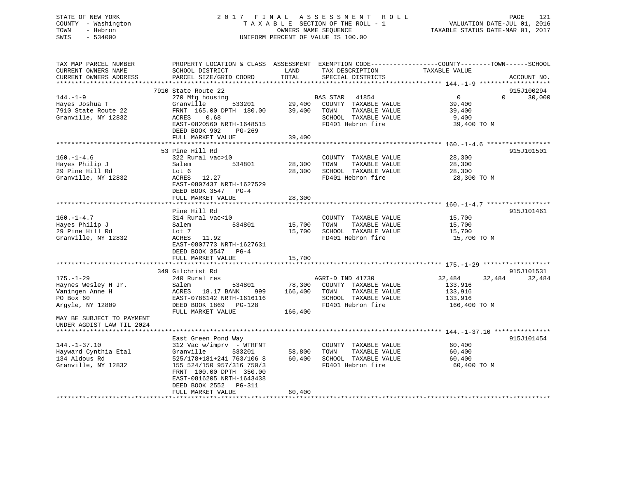# STATE OF NEW YORK 2 0 1 7 F I N A L A S S E S S M E N T R O L L PAGE 121 COUNTY - Washington T A X A B L E SECTION OF THE ROLL - 1 VALUATION DATE-JUL 01, 2016 TOWN - Hebron OWNERS NAME SEQUENCE TAXABLE STATUS DATE-MAR 01, 2017 SWIS - 534000 UNIFORM PERCENT OF VALUE IS 100.00

| TAX MAP PARCEL NUMBER<br>CURRENT OWNERS NAME<br>CURRENT OWNERS ADDRESS                                                                               | SCHOOL DISTRICT<br>PARCEL SIZE/GRID COORD                                                                                                                                                                                                 | LAND<br>TOTAL                        | TAX DESCRIPTION<br>SPECIAL DISTRICTS                                                                           | PROPERTY LOCATION & CLASS ASSESSMENT EXEMPTION CODE----------------COUNTY-------TOWN------SCHOOL<br>TAXABLE VALUE | ACCOUNT NO.          |
|------------------------------------------------------------------------------------------------------------------------------------------------------|-------------------------------------------------------------------------------------------------------------------------------------------------------------------------------------------------------------------------------------------|--------------------------------------|----------------------------------------------------------------------------------------------------------------|-------------------------------------------------------------------------------------------------------------------|----------------------|
| $144. - 1 - 9$<br>Hayes Joshua T<br>7910 State Route 22<br>Granville, NY 12832                                                                       | 7910 State Route 22<br>270 Mfg housing<br>533201<br>Granville<br>FRNT 165.00 DPTH 180.00<br>0.68<br>ACRES<br>EAST-0820560 NRTH-1648515<br>DEED BOOK 902<br>PG-269                                                                         | 29,400<br>39,400                     | BAS STAR 41854<br>COUNTY TAXABLE VALUE<br>TOWN<br>TAXABLE VALUE<br>SCHOOL TAXABLE VALUE<br>FD401 Hebron fire   | $\overline{0}$<br>$\Omega$<br>39,400<br>39,400<br>9,400<br>39,400 TO M                                            | 915J100294<br>30,000 |
| $160. - 1 - 4.6$<br>Hayes Philip J<br>29 Pine Hill Rd<br>Granville, NY 12832                                                                         | FULL MARKET VALUE<br>53 Pine Hill Rd<br>322 Rural vac>10<br>534801<br>Salem<br>Lot 6<br>ACRES 12.27<br>EAST-0807437 NRTH-1627529<br>DEED BOOK 3547 PG-4<br>FULL MARKET VALUE                                                              | 39,400<br>28,300<br>28,300<br>28,300 | COUNTY TAXABLE VALUE<br>TAXABLE VALUE<br>TOWN<br>SCHOOL TAXABLE VALUE<br>FD401 Hebron fire                     | 28,300<br>28,300<br>28,300<br>28,300 TO M                                                                         | 915J101501           |
| $160. - 1 - 4.7$<br>Hayes Philip J<br>29 Pine Hill Rd<br>Granville, NY 12832                                                                         | Pine Hill Rd<br>314 Rural vac<10<br>534801<br>Salem<br>Lot 7<br>ACRES 11.92<br>EAST-0807773 NRTH-1627631<br>DEED BOOK 3547 PG-4<br>FULL MARKET VALUE                                                                                      | 15,700<br>15,700<br>15,700           | COUNTY TAXABLE VALUE<br>TAXABLE VALUE<br>TOWN<br>SCHOOL TAXABLE VALUE<br>FD401 Hebron fire                     | 15,700<br>15,700<br>15,700<br>15,700 TO M                                                                         | 915J101461           |
| $175. - 1 - 29$<br>Haynes Wesley H Jr.<br>Vaningen Anne H<br>PO Box 60<br>Argyle, NY 12809<br>MAY BE SUBJECT TO PAYMENT<br>UNDER AGDIST LAW TIL 2024 | 349 Gilchrist Rd<br>240 Rural res<br>Salem<br>534801<br>ACRES 18.17 BANK<br>999<br>EAST-0786142 NRTH-1616116<br>DEED BOOK 1869 PG-128<br>FULL MARKET VALUE                                                                                | 78,300<br>166,400<br>166,400         | AGRI-D IND 41730<br>COUNTY TAXABLE VALUE<br>TAXABLE VALUE<br>TOWN<br>SCHOOL TAXABLE VALUE<br>FD401 Hebron fire | 32,484<br>32,484<br>133,916<br>133,916<br>133,916<br>166,400 TO M                                                 | 915J101531<br>32,484 |
| $144. - 1 - 37.10$<br>Hayward Cynthia Etal<br>134 Aldous Rd<br>Granville, NY 12832                                                                   | East Green Pond Way<br>312 Vac w/imprv - WTRFNT<br>Granville<br>533201<br>525/178+181+241 763/106 8<br>155 524/150 957/316 750/3<br>FRNT 100.00 DPTH 350.00<br>EAST-0816205 NRTH-1643438<br>DEED BOOK 2552<br>PG-311<br>FULL MARKET VALUE | 58,800<br>60,400<br>60,400           | COUNTY TAXABLE VALUE<br>TOWN<br>TAXABLE VALUE<br>SCHOOL TAXABLE VALUE<br>FD401 Hebron fire                     | 60,400<br>60,400<br>60,400<br>60,400 TO M                                                                         | 915J101454           |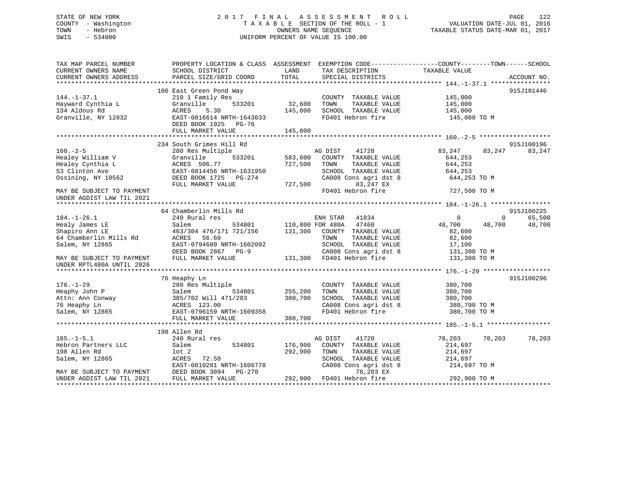# STATE OF NEW YORK 2 0 1 7 F I N A L A S S E S S M E N T R O L L PAGE 122 COUNTY - Washington T A X A B L E SECTION OF THE ROLL - 1 VALUATION DATE-JUL 01, 2016 TOWN - Hebron OWNERS NAME SEQUENCE TAXABLE STATUS DATE-MAR 01, 2017 SWIS - 534000 UNIFORM PERCENT OF VALUE IS 100.00

| TAX MAP PARCEL NUMBER<br>CURRENT OWNERS NAME<br>CURRENT OWNERS ADDRESS | PROPERTY LOCATION & CLASS ASSESSMENT EXEMPTION CODE---------------COUNTY-------TOWN-----SCHOOL<br>SCHOOL DISTRICT<br>PARCEL SIZE/GRID COORD | LAND<br>TOTAL    | TAX DESCRIPTION<br>SPECIAL DISTRICTS | TAXABLE VALUE    | ACCOUNT NO.            |
|------------------------------------------------------------------------|---------------------------------------------------------------------------------------------------------------------------------------------|------------------|--------------------------------------|------------------|------------------------|
|                                                                        |                                                                                                                                             |                  |                                      |                  |                        |
|                                                                        | 106 East Green Pond Way                                                                                                                     |                  |                                      |                  | 915J101446             |
| $144. - 1 - 37.1$                                                      | 210 1 Family Res                                                                                                                            |                  | COUNTY TAXABLE VALUE                 | 145,000          |                        |
| Hayward Cynthia L                                                      | 533201<br>Granville                                                                                                                         | 32,600           | TOWN<br>TAXABLE VALUE                | 145,000          |                        |
| 134 Aldous Rd                                                          | ACRES<br>5.30                                                                                                                               | 145,000          | SCHOOL TAXABLE VALUE                 | 145,000          |                        |
| Granville, NY 12832                                                    | EAST-0816614 NRTH-1643033<br>DEED BOOK 1925 PG-76                                                                                           |                  | FD401 Hebron fire                    | 145,000 TO M     |                        |
|                                                                        | FULL MARKET VALUE                                                                                                                           | 145,000          |                                      |                  |                        |
|                                                                        |                                                                                                                                             |                  |                                      |                  |                        |
|                                                                        | 234 South Grimes Hill Rd                                                                                                                    |                  |                                      |                  | 915J100196             |
| $160. - 2 - 5$                                                         | 280 Res Multiple                                                                                                                            |                  | AG DIST<br>41720                     | 83,247<br>83,247 | 83,247                 |
| Healey William V                                                       | 533201<br>Granville                                                                                                                         | 583,600          | COUNTY TAXABLE VALUE                 | 644,253          |                        |
| Healey Cynthia L                                                       | ACRES 506.77                                                                                                                                | 727,500          | TOWN<br>TAXABLE VALUE                | 644,253          |                        |
| 53 Clinton Ave                                                         | EAST-0814456 NRTH-1631950                                                                                                                   |                  | SCHOOL TAXABLE VALUE                 | 644,253          |                        |
| Ossining, NY 10562                                                     | DEED BOOK 1725 PG-274                                                                                                                       |                  | CA008 Cons agri dst 8                | 644,253 TO M     |                        |
|                                                                        | FULL MARKET VALUE                                                                                                                           | 727,500          | 83,247 EX                            |                  |                        |
| MAY BE SUBJECT TO PAYMENT<br>UNDER AGDIST LAW TIL 2021                 |                                                                                                                                             |                  | FD401 Hebron fire                    | 727,500 TO M     |                        |
|                                                                        |                                                                                                                                             |                  |                                      |                  |                        |
|                                                                        | 64 Chamberlin Mills Rd                                                                                                                      |                  |                                      |                  | 915J100225             |
| $184. - 1 - 26.1$                                                      | 240 Rural res                                                                                                                               |                  | ENH STAR<br>41834                    | $\circ$          | 65,500<br>$\mathbf{0}$ |
| Healy James LE                                                         | 534801<br>Salem                                                                                                                             | 110,800 FOR 480A | 47460                                | 48,700<br>48,700 | 48,700                 |
| Shapiro Ann LE                                                         | 463/304 476/171 721/156                                                                                                                     | 131,300          | COUNTY TAXABLE VALUE                 | 82,600           |                        |
| 64 Chamberlin Mills Rd                                                 | ACRES 56.60                                                                                                                                 |                  | TAXABLE VALUE<br>TOWN                | 82,600           |                        |
| Salem, NY 12865                                                        | EAST-0794689 NRTH-1602092                                                                                                                   |                  | SCHOOL TAXABLE VALUE                 | 17,100           |                        |
|                                                                        | DEED BOOK 2867 PG-9                                                                                                                         |                  | CA008 Cons agri dst 8                | 131,300 TO M     |                        |
| MAY BE SUBJECT TO PAYMENT<br>UNDER RPTL480A UNTIL 2026                 | FULL MARKET VALUE                                                                                                                           |                  | 131,300 FD401 Hebron fire            | 131,300 TO M     |                        |
|                                                                        |                                                                                                                                             |                  |                                      |                  |                        |
|                                                                        | 76 Heaphy Ln                                                                                                                                |                  |                                      |                  | 915J100296             |
| $176. - 1 - 29$                                                        | 280 Res Multiple                                                                                                                            |                  | COUNTY TAXABLE VALUE                 | 380,700          |                        |
| Heaphy John P                                                          | Salem<br>534801                                                                                                                             | 255,200          | TAXABLE VALUE<br>TOWN                | 380,700          |                        |
| Attn: Ann Conway<br>76 Heaphy Ln                                       | 385/702 Will 471/203                                                                                                                        | 380,700          | SCHOOL TAXABLE VALUE                 | 380,700          |                        |
| 76 Heaphy Ln                                                           | ACRES 123.00                                                                                                                                |                  | CA008 Cons agri dst 8                | 380,700 TO M     |                        |
| Salem, NY 12865                                                        | EAST-0796159 NRTH-1609358<br>FULL MARKET VALUE                                                                                              | 380,700          | FD401 Hebron fire                    | 380,700 TO M     |                        |
|                                                                        |                                                                                                                                             |                  |                                      |                  |                        |
|                                                                        | 198 Allen Rd                                                                                                                                |                  |                                      |                  |                        |
| $185. - 1 - 5.1$                                                       | 240 Rural res                                                                                                                               |                  | AG DIST<br>41720                     | 78,203<br>78,203 | 78,203                 |
| Hebron Partners LLC                                                    | 534801<br>Salem                                                                                                                             | 176,900          | COUNTY TAXABLE VALUE                 | 214,697          |                        |
| 198 Allen Rd                                                           | lot 2                                                                                                                                       | 292,900          | TAXABLE VALUE<br>TOWN                | 214,697          |                        |
| Salem, NY 12865                                                        | 72.50<br>ACRES                                                                                                                              |                  | SCHOOL TAXABLE VALUE                 | 214,697          |                        |
|                                                                        | EAST-0810281 NRTH-1606778                                                                                                                   |                  | CA008 Cons agri dst 8                | 214,697 TO M     |                        |
| MAY BE SUBJECT TO PAYMENT                                              | DEED BOOK 3094<br>PG-270                                                                                                                    |                  | 78,203 EX                            |                  |                        |
| UNDER AGDIST LAW TIL 2021                                              | FULL MARKET VALUE                                                                                                                           | 292,900          | FD401 Hebron fire                    | 292,900 TO M     |                        |
|                                                                        |                                                                                                                                             |                  |                                      |                  |                        |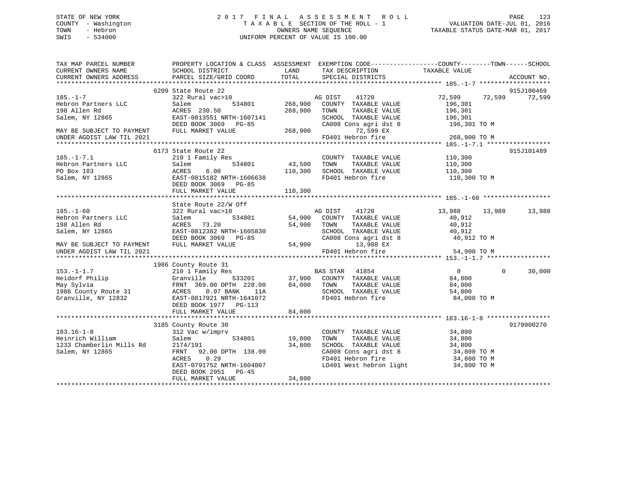# STATE OF NEW YORK 2 0 1 7 F I N A L A S S E S S M E N T R O L L PAGE 123 COUNTY - Washington T A X A B L E SECTION OF THE ROLL - 1 VALUATION DATE-JUL 01, 2016 TOWN - Hebron OWNERS NAME SEQUENCE TAXABLE STATUS DATE-MAR 01, 2017 SWIS - 534000 UNIFORM PERCENT OF VALUE IS 100.00

| TAX MAP PARCEL NUMBER<br>CURRENT OWNERS NAME<br>CURRENT OWNERS ADDRESS                                                                             | PROPERTY LOCATION & CLASS ASSESSMENT EXEMPTION CODE----------------COUNTY-------TOWN------SCHOOL<br>SCHOOL DISTRICT<br>PARCEL SIZE/GRID COORD                                                                                                 | <b>LAND</b><br>TOTAL                                   | TAX DESCRIPTION TAXABLE VALUE<br>SPECIAL DISTRICTS                                                                                                                         |                                 | ACCOUNT NO. |
|----------------------------------------------------------------------------------------------------------------------------------------------------|-----------------------------------------------------------------------------------------------------------------------------------------------------------------------------------------------------------------------------------------------|--------------------------------------------------------|----------------------------------------------------------------------------------------------------------------------------------------------------------------------------|---------------------------------|-------------|
|                                                                                                                                                    |                                                                                                                                                                                                                                               |                                                        |                                                                                                                                                                            |                                 |             |
|                                                                                                                                                    | 6209 State Route 22                                                                                                                                                                                                                           |                                                        |                                                                                                                                                                            |                                 | 915J100469  |
| $185. -1 - 7$<br>185.-1-7<br>Hebron Partners LLC                                                                                                   | State Route 22<br>322 Rural vac>10<br>Salem 534801 268,900 COUNTY TAXABLE VALUE<br>222 Rural 534801 268,900 COUNTY TAXABLE VALUE                                                                                                              |                                                        |                                                                                                                                                                            | 72,599 72,599 72,599<br>196,301 |             |
|                                                                                                                                                    |                                                                                                                                                                                                                                               |                                                        | TAXABLE VALUE                                                                                                                                                              | 196,301                         |             |
| 198 Allen Rd<br>Salem, NY 12865                                                                                                                    |                                                                                                                                                                                                                                               |                                                        | SCHOOL TAXABLE VALUE 196,301                                                                                                                                               |                                 |             |
|                                                                                                                                                    |                                                                                                                                                                                                                                               |                                                        | CA008 Cons agri dst 8 196,301 TO M                                                                                                                                         |                                 |             |
| MAY BE SUBJECT TO PAYMENT FULL MARKET VALUE                                                                                                        | ACRES 230.50<br>EAST-0813551 NRTH-1607141<br>DEED BOOK 3069 PG-85<br>FULL MARKET VALUE 268,900<br>268,900<br>268,900<br>268,900<br>268,900<br>268,900<br>268,900<br>268,900<br>268,900<br>268,900<br>268,900<br>268,900<br>268,900<br>268,900 |                                                        |                                                                                                                                                                            |                                 |             |
|                                                                                                                                                    |                                                                                                                                                                                                                                               |                                                        |                                                                                                                                                                            |                                 |             |
|                                                                                                                                                    |                                                                                                                                                                                                                                               |                                                        |                                                                                                                                                                            |                                 |             |
| $185. -1 - 7.1$                                                                                                                                    | 6173 State Route 22                                                                                                                                                                                                                           |                                                        |                                                                                                                                                                            |                                 | 915J101489  |
| 185.-1-7.1<br>Hebron Partners LLC<br>-- 2001192                                                                                                    | 210 1 Family Res<br>Salem                                                                                                                                                                                                                     | s<br>534801                          43,500<br>110,300 | COUNTY TAXABLE VALUE 110,300<br>TOWN TAXABLE VALUE 110,300<br>SCHOOL TAXABLE VALUE 110,300                                                                                 |                                 |             |
|                                                                                                                                                    | ACRES<br>6.00                                                                                                                                                                                                                                 |                                                        |                                                                                                                                                                            |                                 |             |
| Salem, NY 12865                                                                                                                                    | EAST-0815182 NRTH-1606638                                                                                                                                                                                                                     |                                                        | FD401 Hebron fire 110,300 TO M                                                                                                                                             |                                 |             |
|                                                                                                                                                    | DEED BOOK 3069 PG-85                                                                                                                                                                                                                          |                                                        |                                                                                                                                                                            |                                 |             |
|                                                                                                                                                    | FULL MARKET VALUE                                                                                                                                                                                                                             | 110,300                                                |                                                                                                                                                                            |                                 |             |
|                                                                                                                                                    |                                                                                                                                                                                                                                               |                                                        |                                                                                                                                                                            |                                 |             |
|                                                                                                                                                    | State Route 22/W Off<br>322 Rural vac>10<br>534801 54,900 COUNTY TAXABLE VALUE<br>534801 54,900 COUNTY TAXABLE VALUE                                                                                                                          |                                                        |                                                                                                                                                                            |                                 |             |
| $185. - 1 - 60$                                                                                                                                    |                                                                                                                                                                                                                                               |                                                        |                                                                                                                                                                            | 13,988 13,988 13,988            |             |
| Hebron Partners LLC                                                                                                                                |                                                                                                                                                                                                                                               |                                                        |                                                                                                                                                                            | 40,912                          |             |
| 198 Allen Rd<br>Salem, NY 12865                                                                                                                    |                                                                                                                                                                                                                                               |                                                        | TAXABLE VALUE                                                                                                                                                              | 40,912                          |             |
|                                                                                                                                                    |                                                                                                                                                                                                                                               |                                                        |                                                                                                                                                                            |                                 |             |
|                                                                                                                                                    | ACRES 73.20 54,900 TOWN<br>EAST-0812382 NRTH-1605830 54,900 TOWN<br>DEED BOOK 3069 PG-85 CA008 CC<br>FULL MARKET VALUE 54,900                                                                                                                 |                                                        | SCHOOL TAXABLE VALUE 40,912<br>CA008 Cons agri dst 8 40,912 TO M                                                                                                           |                                 |             |
| MAY BE SUBJECT TO PAYMENT                                                                                                                          |                                                                                                                                                                                                                                               |                                                        | 13,988 EX<br>FD401 Hebron fire                                                                                                                                             |                                 |             |
| UNDER AGDIST LAW TIL 2021                                                                                                                          |                                                                                                                                                                                                                                               |                                                        |                                                                                                                                                                            | 54,900 TO M                     |             |
|                                                                                                                                                    |                                                                                                                                                                                                                                               |                                                        |                                                                                                                                                                            |                                 |             |
|                                                                                                                                                    |                                                                                                                                                                                                                                               |                                                        |                                                                                                                                                                            |                                 | 30,000      |
|                                                                                                                                                    |                                                                                                                                                                                                                                               |                                                        |                                                                                                                                                                            |                                 |             |
|                                                                                                                                                    |                                                                                                                                                                                                                                               |                                                        |                                                                                                                                                                            |                                 |             |
|                                                                                                                                                    |                                                                                                                                                                                                                                               |                                                        |                                                                                                                                                                            |                                 |             |
|                                                                                                                                                    |                                                                                                                                                                                                                                               |                                                        |                                                                                                                                                                            |                                 |             |
|                                                                                                                                                    |                                                                                                                                                                                                                                               |                                                        |                                                                                                                                                                            |                                 |             |
|                                                                                                                                                    | FULL MARKET VALUE                                                                                                                                                                                                                             | 84,000                                                 |                                                                                                                                                                            |                                 |             |
|                                                                                                                                                    |                                                                                                                                                                                                                                               |                                                        |                                                                                                                                                                            |                                 |             |
|                                                                                                                                                    | 3185 County Route 30                                                                                                                                                                                                                          |                                                        |                                                                                                                                                                            |                                 | 9179900270  |
|                                                                                                                                                    | 312 Vac w/imprv                                                                                                                                                                                                                               |                                                        | COUNTY TAXABLE VALUE 34,800                                                                                                                                                |                                 |             |
|                                                                                                                                                    | 534801<br>Salem                                                                                                                                                                                                                               | 19,800                                                 | TOWN                                                                                                                                                                       |                                 |             |
| 183.16-1-8<br>Heinrich William<br>1233 Chamberlin Mills Rd<br>$\begin{array}{r} 312 \text{ Vac w} \\ 512174/191 \\ 2174/191 \\ \hline \end{array}$ |                                                                                                                                                                                                                                               | 34,800                                                 |                                                                                                                                                                            |                                 |             |
| Salem, NY 12865                                                                                                                                    | FRNT 92.00 DPTH 138.00                                                                                                                                                                                                                        |                                                        | TOWN TAXABLE VALUE<br>TOWN TAXABLE VALUE<br>SCHOOL TAXABLE VALUE<br>CA008 Cons agri dst 8<br>TD401 Hebron fire<br>34,800 TO M<br>34,800 TO M<br>34,800 TO M<br>34,800 TO M |                                 |             |
|                                                                                                                                                    | 0.29<br>ACRES                                                                                                                                                                                                                                 |                                                        |                                                                                                                                                                            |                                 |             |
|                                                                                                                                                    | EAST-0791752 NRTH-1604007<br>DEED BOOK 2951 PG-45                                                                                                                                                                                             |                                                        | LD401 West hebron light 34,800 TO M                                                                                                                                        |                                 |             |
|                                                                                                                                                    | FULL MARKET VALUE                                                                                                                                                                                                                             | 34,800                                                 |                                                                                                                                                                            |                                 |             |
|                                                                                                                                                    |                                                                                                                                                                                                                                               |                                                        |                                                                                                                                                                            |                                 |             |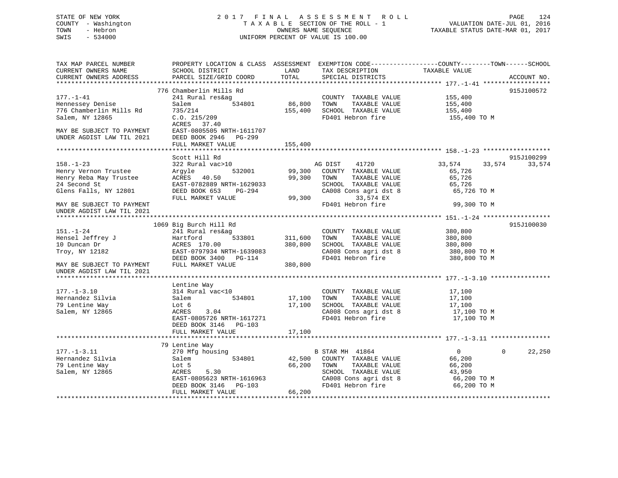# STATE OF NEW YORK 2017 FINAL ASSESSMENT ROLL PAGE 124 COUNTY - Washington  $T A X A B L E$  SECTION OF THE ROLL - 1<br>TOWN - Hebron DATE-JUL 000NERS NAME SEQUENCE SWIS - 534000 UNIFORM PERCENT OF VALUE IS 100.00

VALUATION DATE-JUL 01, 2016

TAXABLE STATUS DATE-MAR 01, 2017

| TAX MAP PARCEL NUMBER<br>CURRENT OWNERS NAME | PROPERTY LOCATION & CLASS ASSESSMENT EXEMPTION CODE---------------COUNTY-------TOWN------SCHOOL<br>SCHOOL DISTRICT | LAND        | TAX DESCRIPTION                                | TAXABLE VALUE    |                        |
|----------------------------------------------|--------------------------------------------------------------------------------------------------------------------|-------------|------------------------------------------------|------------------|------------------------|
| CURRENT OWNERS ADDRESS                       | PARCEL SIZE/GRID COORD                                                                                             | TOTAL       | SPECIAL DISTRICTS                              |                  | ACCOUNT NO.            |
|                                              | 776 Chamberlin Mills Rd                                                                                            |             |                                                |                  | 915J100572             |
| $177. - 1 - 41$                              | 241 Rural res&ag                                                                                                   |             | COUNTY TAXABLE VALUE                           | 155,400          |                        |
| Hennessey Denise                             | 534801<br>Salem                                                                                                    | 86,800      | TAXABLE VALUE<br>TOWN                          | 155,400          |                        |
| 776 Chamberlin Mills Rd                      | 735/214                                                                                                            | 155,400     | SCHOOL TAXABLE VALUE                           | 155,400          |                        |
| Salem, NY 12865                              | C.O. 215/209                                                                                                       |             | FD401 Hebron fire                              | 155,400 TO M     |                        |
|                                              | ACRES 37.40                                                                                                        |             |                                                |                  |                        |
| MAY BE SUBJECT TO PAYMENT                    | EAST-0805505 NRTH-1611707                                                                                          |             |                                                |                  |                        |
| UNDER AGDIST LAW TIL 2021                    | DEED BOOK 2946 PG-299                                                                                              |             |                                                |                  |                        |
|                                              | FULL MARKET VALUE                                                                                                  | 155,400     |                                                |                  |                        |
|                                              |                                                                                                                    |             |                                                |                  |                        |
|                                              | Scott Hill Rd                                                                                                      |             |                                                |                  | 915J100299             |
| $158. - 1 - 23$                              | 322 Rural vac>10                                                                                                   |             | AG DIST 41720                                  | 33,574<br>33,574 | 33,574                 |
| Henry Vernon Trustee                         | 532001<br>Argyle                                                                                                   |             | 99,300 COUNTY TAXABLE VALUE                    | 65,726           |                        |
| Henry Reba May Trustee                       | ACRES 40.50                                                                                                        | 99,300 TOWN | TAXABLE VALUE                                  | 65,726           |                        |
| 24 Second St                                 | EAST-0782889 NRTH-1629033                                                                                          |             | SCHOOL TAXABLE VALUE                           | 65,726           |                        |
| Glens Falls, NY 12801                        | DEED BOOK 653<br>PG-294                                                                                            |             | CA008 Cons agri dst 8                          | 65,726 TO M      |                        |
|                                              | FULL MARKET VALUE                                                                                                  | 99,300      | 33,574 EX                                      |                  |                        |
| MAY BE SUBJECT TO PAYMENT                    |                                                                                                                    |             | FD401 Hebron fire                              | 99,300 TO M      |                        |
| UNDER AGDIST LAW TIL 2021                    |                                                                                                                    |             |                                                |                  |                        |
|                                              |                                                                                                                    |             |                                                |                  |                        |
|                                              | 1069 Big Burch Hill Rd                                                                                             |             |                                                |                  | 915J100030             |
| $151. - 1 - 24$                              | 241 Rural res&ag                                                                                                   |             | COUNTY TAXABLE VALUE                           | 380,800          |                        |
| Hensel Jeffrey J                             | 533801<br>Hartford                                                                                                 | 311,600     | TAXABLE VALUE<br>TOWN                          | 380,800          |                        |
| 10 Duncan Dr                                 | ACRES 170.00                                                                                                       | 380,800     | SCHOOL TAXABLE VALUE                           | 380,800          |                        |
| Troy, NY 12182                               | EAST-0797934 NRTH-1639083                                                                                          |             | CA008 Cons agri dst 8<br>CA008 Cons agri dst 8 | 380,800 TO M     |                        |
|                                              | DEED BOOK 3400 PG-114                                                                                              |             | FD401 Hebron fire                              | 380,800 TO M     |                        |
| MAY BE SUBJECT TO PAYMENT                    | FULL MARKET VALUE                                                                                                  | 380,800     |                                                |                  |                        |
| UNDER AGDIST LAW TIL 2021                    |                                                                                                                    |             |                                                |                  |                        |
|                                              |                                                                                                                    |             |                                                |                  |                        |
| $177. - 1 - 3.10$                            | Lentine Way<br>314 Rural vac<10                                                                                    |             |                                                |                  |                        |
| Hernandez Silvia                             | 534801                                                                                                             |             | COUNTY TAXABLE VALUE<br>TAXABLE VALUE          | 17,100           |                        |
| 79 Lentine Way                               | Salem<br>Lot 6                                                                                                     |             | 17,100 TOWN<br>17,100 SCHOOL TAXABLE VALUE     | 17,100<br>17,100 |                        |
| Salem, NY 12865                              | ACRES<br>3.04                                                                                                      |             | CA008 Cons agri dst 8                          | 17,100 TO M      |                        |
|                                              | EAST-0805726 NRTH-1617271                                                                                          |             | FD401 Hebron fire                              | 17,100 TO M      |                        |
|                                              | DEED BOOK 3146 PG-103                                                                                              |             |                                                |                  |                        |
|                                              | FULL MARKET VALUE                                                                                                  | 17,100      |                                                |                  |                        |
|                                              |                                                                                                                    |             |                                                |                  |                        |
|                                              | 79 Lentine Way                                                                                                     |             |                                                |                  |                        |
| $177. - 1 - 3.11$                            | 270 Mfg housing                                                                                                    |             | B STAR MH 41864                                | $\overline{0}$   | $\mathbf{0}$<br>22,250 |
| Hernandez Silvia                             | 534801<br>Salem                                                                                                    |             | 42,500 COUNTY TAXABLE VALUE                    | 66,200           |                        |
| 79 Lentine Way                               | Lot 5                                                                                                              | 66,200 TOWN | TAXABLE VALUE                                  | 66,200           |                        |
| Salem, NY 12865                              | ACRES<br>5.30                                                                                                      |             | SCHOOL TAXABLE VALUE                           | 43,950           |                        |
|                                              | EAST-0805623 NRTH-1616963                                                                                          |             | CA008 Cons agri dst 8                          | 66,200 TO M      |                        |
|                                              | DEED BOOK 3146 PG-103                                                                                              |             | FD401 Hebron fire                              | 66,200 TO M      |                        |
|                                              | FULL MARKET VALUE                                                                                                  | 66,200      |                                                |                  |                        |
|                                              |                                                                                                                    |             |                                                |                  |                        |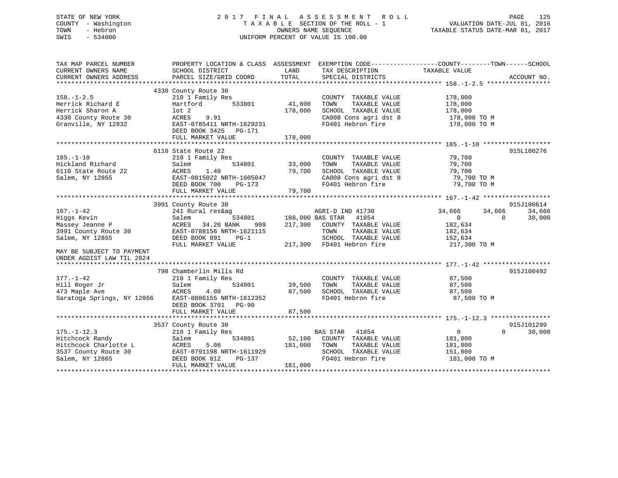# STATE OF NEW YORK 2 0 1 7 F I N A L A S S E S S M E N T R O L L PAGE 125 COUNTY - Washington T A X A B L E SECTION OF THE ROLL - 1 VALUATION DATE-JUL 01, 2016 TOWN - Hebron OWNERS NAME SEQUENCE TAXABLE STATUS DATE-MAR 01, 2017 SWIS - 534000 UNIFORM PERCENT OF VALUE IS 100.00

| TAX MAP PARCEL NUMBER<br>CURRENT OWNERS NAME<br>CURRENT OWNERS ADDRESS                                                                                 | PROPERTY LOCATION & CLASS ASSESSMENT EXEMPTION CODE---------------COUNTY-------TOWN-----SCHOOL<br>SCHOOL DISTRICT<br>PARCEL SIZE/GRID COORD                            | LAND<br>TOTAL                | TAX DESCRIPTION<br>SPECIAL DISTRICTS                                                                                            | TAXABLE VALUE                                                                                   | ACCOUNT NO.                      |
|--------------------------------------------------------------------------------------------------------------------------------------------------------|------------------------------------------------------------------------------------------------------------------------------------------------------------------------|------------------------------|---------------------------------------------------------------------------------------------------------------------------------|-------------------------------------------------------------------------------------------------|----------------------------------|
| $158. - 1 - 2.5$<br>Herrick Richard E<br>Herrick Sharon A<br>4330 County Route 30<br>Granville, NY 12832                                               | 4330 County Route 30<br>210 1 Family Res<br>533801<br>Hartford<br>$1$ ot $2$<br>ACRES<br>9.91<br>EAST-0785411 NRTH-1629231<br>DEED BOOK 3425<br>PG-171                 | 41,800<br>178,000            | COUNTY TAXABLE VALUE<br>TAXABLE VALUE<br>TOWN<br>SCHOOL TAXABLE VALUE<br>CA008 Cons agri dst 8<br>FD401 Hebron fire             | 178,000<br>178,000<br>178,000<br>178,000 TO M<br>178,000 TO M                                   |                                  |
|                                                                                                                                                        | FULL MARKET VALUE                                                                                                                                                      | 178,000                      |                                                                                                                                 |                                                                                                 |                                  |
| $185. - 1 - 10$<br>Hickland Richard<br>6110 State Route 22<br>Salem, NY 12865                                                                          | 6110 State Route 22<br>210 1 Family Res<br>534801<br>Salem<br>ACRES<br>1.40<br>EAST-0815022 NRTH-1605047<br>DEED BOOK 700<br>PG-173<br>FULL MARKET VALUE               | 33,000<br>79,700<br>79,700   | COUNTY TAXABLE VALUE<br>TOWN<br>TAXABLE VALUE<br>SCHOOL TAXABLE VALUE<br>CA008 Cons agri dst 8<br>FD401 Hebron fire             | 79,700<br>79,700<br>79,700<br>79,700 TO M<br>79,700 TO M                                        | 915L100276                       |
|                                                                                                                                                        |                                                                                                                                                                        |                              |                                                                                                                                 |                                                                                                 | 915J100614                       |
| $167. - 1 - 42$<br>Higgs Kevin<br>Massey Jeanne P<br>3991 County Route 30<br>Salem, NY 12865<br>MAY BE SUBJECT TO PAYMENT<br>UNDER AGDIST LAW TIL 2024 | 3991 County Route 30<br>241 Rural res&ag<br>534801<br>Salem<br>ACRES<br>34.20 BANK<br>999<br>EAST-0788156 NRTH-1621115<br>DEED BOOK 891<br>$PG-1$<br>FULL MARKET VALUE | 108,000 BAS STAR<br>217,300  | AGRI-D IND 41730<br>41854<br>COUNTY TAXABLE VALUE<br>TOWN<br>TAXABLE VALUE<br>SCHOOL TAXABLE VALUE<br>217,300 FD401 Hebron fire | 34,666<br>34,666<br>$\overline{0}$<br>$\Omega$<br>182,634<br>182,634<br>152,634<br>217,300 TO M | 34,666<br>30,000                 |
| $177. - 1 - 42$<br>Hill Roger Jr<br>473 Maple Ave<br>Saratoga Springs, NY 12866                                                                        | 798 Chamberlin Mills Rd<br>210 1 Family Res<br>Salem<br>534801<br>ACRES<br>4.00<br>EAST-0806155 NRTH-1612352<br>DEED BOOK 3701 PG-90<br>FULL MARKET VALUE              | 39,500<br>87,500<br>87,500   | COUNTY TAXABLE VALUE<br>TOWN<br>TAXABLE VALUE<br>SCHOOL TAXABLE VALUE<br>FD401 Hebron fire                                      | 87,500<br>87,500<br>87,500<br>87,500 TO M                                                       | 915J100492                       |
|                                                                                                                                                        |                                                                                                                                                                        |                              |                                                                                                                                 |                                                                                                 |                                  |
| $175. - 1 - 12.3$<br>Hitchcock Randy<br>Hitchcock Charlotte L<br>3537 County Route 30<br>Salem, NY 12865                                               | 3537 County Route 30<br>210 1 Family Res<br>534801<br>Salem<br>5.06<br>ACRES<br>EAST-0791198 NRTH-1611929<br>DEED BOOK 812<br>PG-137<br>FULL MARKET VALUE              | 52,100<br>181,000<br>181,000 | BAS STAR 41854<br>COUNTY TAXABLE VALUE<br>TOWN<br>TAXABLE VALUE<br>SCHOOL TAXABLE VALUE<br>FD401 Hebron fire                    | $\overline{0}$<br>181,000<br>181,000<br>151,000<br>181,000 TO M                                 | 915J101299<br>30,000<br>$\Omega$ |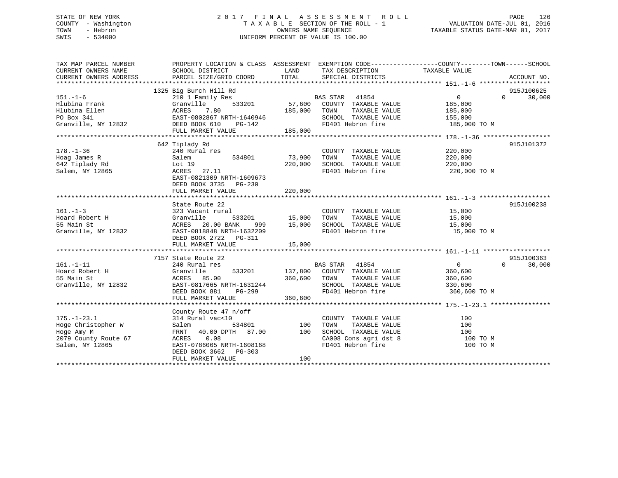# STATE OF NEW YORK 2 0 1 7 F I N A L A S S E S S M E N T R O L L PAGE 126 COUNTY - Washington T A X A B L E SECTION OF THE ROLL - 1 VALUATION DATE-JUL 01, 2016 TOWN - Hebron OWNERS NAME SEQUENCE TAXABLE STATUS DATE-MAR 01, 2017 SWIS - 534000 UNIFORM PERCENT OF VALUE IS 100.00

| TAX MAP PARCEL NUMBER  | PROPERTY LOCATION & CLASS ASSESSMENT EXEMPTION CODE---------------COUNTY-------TOWN-----SCHOOL |               |                             |                |                    |
|------------------------|------------------------------------------------------------------------------------------------|---------------|-----------------------------|----------------|--------------------|
| CURRENT OWNERS NAME    | SCHOOL DISTRICT                                                                                | LAND          | TAX DESCRIPTION             | TAXABLE VALUE  |                    |
| CURRENT OWNERS ADDRESS | PARCEL SIZE/GRID COORD                                                                         | TOTAL         | SPECIAL DISTRICTS           |                | ACCOUNT NO.        |
|                        |                                                                                                |               |                             |                |                    |
|                        | 1325 Big Burch Hill Rd                                                                         |               |                             |                | 915J100625         |
| $151. - 1 - 6$         | 210 1 Family Res                                                                               |               | BAS STAR 41854              | 0              | 30,000<br>$\Omega$ |
| Hlubina Frank          | 533201<br>Granville                                                                            | 57,600        | COUNTY TAXABLE VALUE        | 185,000        |                    |
| Hlubina Ellen          | ACRES<br>7.80                                                                                  | 185,000       | TAXABLE VALUE<br>TOWN       | 185,000        |                    |
| PO Box 341             | EAST-0802867 NRTH-1640946                                                                      |               | SCHOOL TAXABLE VALUE        | 155,000        |                    |
| Granville, NY 12832    | DEED BOOK 610<br>PG-142                                                                        |               | FD401 Hebron fire           | 185,000 TO M   |                    |
|                        | FULL MARKET VALUE                                                                              | 185,000       |                             |                |                    |
|                        |                                                                                                |               |                             |                |                    |
|                        | 642 Tiplady Rd                                                                                 |               |                             |                | 915J101372         |
| $178. - 1 - 36$        | 240 Rural res                                                                                  |               | COUNTY TAXABLE VALUE        | 220,000        |                    |
| Hoag James R           | 534801<br>Salem                                                                                | 73,900        | TOWN<br>TAXABLE VALUE       | 220,000        |                    |
| 642 Tiplady Rd         | Lot 19                                                                                         | 220,000       | SCHOOL TAXABLE VALUE        | 220,000        |                    |
| Salem, NY 12865        | ACRES 27.11                                                                                    |               | FD401 Hebron fire           | 220,000 TO M   |                    |
|                        | EAST-0821309 NRTH-1609673                                                                      |               |                             |                |                    |
|                        | DEED BOOK 3735 PG-230                                                                          |               |                             |                |                    |
|                        | FULL MARKET VALUE                                                                              | 220,000       |                             |                |                    |
|                        |                                                                                                |               |                             |                |                    |
|                        | State Route 22                                                                                 |               |                             |                | 915J100238         |
| $161. - 1 - 3$         | 323 Vacant rural                                                                               |               | COUNTY TAXABLE VALUE 15,000 |                |                    |
| Hoard Robert H         | Granville                                                                                      | 533201 15,000 | TAXABLE VALUE<br>TOWN       | 15,000         |                    |
| 55 Main St             | ACRES 20.00 BANK                                                                               | $999$ 15,000  | SCHOOL TAXABLE VALUE        | 15,000         |                    |
| Granville, NY 12832    | EAST-0818848 NRTH-1632209                                                                      |               | FD401 Hebron fire           | 15,000 TO M    |                    |
|                        | DEED BOOK 2722 PG-311                                                                          |               |                             |                |                    |
|                        | FULL MARKET VALUE                                                                              | 15,000        |                             |                |                    |
|                        |                                                                                                |               |                             |                |                    |
|                        | 7157 State Route 22                                                                            |               |                             |                | 915J100363         |
| $161. - 1 - 11$        | 240 Rural res                                                                                  |               | BAS STAR 41854              | $\overline{0}$ | $\Omega$<br>30,000 |
| Hoard Robert H         | Granville<br>533201                                                                            | 137,800       | COUNTY TAXABLE VALUE        | 360,600        |                    |
| 55 Main St             | ACRES 85.00                                                                                    | 360,600       | TOWN<br>TAXABLE VALUE       | 360,600        |                    |
| Granville, NY 12832    | EAST-0817665 NRTH-1631244                                                                      |               | SCHOOL TAXABLE VALUE        | 330,600        |                    |
|                        |                                                                                                |               | FD401 Hebron fire           |                |                    |
|                        | DEED BOOK 881<br>PG-299                                                                        |               |                             | 360,600 TO M   |                    |
|                        | FULL MARKET VALUE                                                                              | 360,600       |                             |                |                    |
|                        |                                                                                                |               |                             |                |                    |
|                        | County Route 47 n/off                                                                          |               |                             |                |                    |
| $175. - 1 - 23.1$      | 314 Rural vac<10                                                                               |               | COUNTY TAXABLE VALUE        | 100            |                    |
| Hoge Christopher W     | 534801<br>Salem                                                                                | 100           | TOWN<br>TAXABLE VALUE       | 100            |                    |
| Hoge Amy M             | FRNT 40.00 DPTH 87.00                                                                          | 100           | SCHOOL TAXABLE VALUE        | 100            |                    |
| 2079 County Route 67   | ACRES 0.08                                                                                     |               | CA008 Cons agri dst 8       | 100 TO M       |                    |
| Salem, NY 12865        | EAST-0786065 NRTH-1608168                                                                      |               | FD401 Hebron fire           | 100 TO M       |                    |
|                        | DEED BOOK 3662 PG-303                                                                          |               |                             |                |                    |
|                        | FULL MARKET VALUE                                                                              | 100           |                             |                |                    |
|                        |                                                                                                |               |                             |                |                    |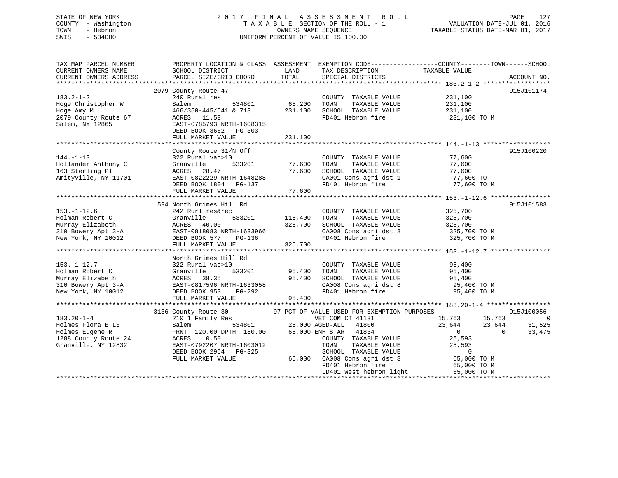# STATE OF NEW YORK 2 0 1 7 F I N A L A S S E S S M E N T R O L L PAGE 127 COUNTY - Washington T A X A B L E SECTION OF THE ROLL - 1 VALUATION DATE-JUL 01, 2016 TOWN - Hebron OWNERS NAME SEQUENCE TAXABLE STATUS DATE-MAR 01, 2017 SWIS - 534000 UNIFORM PERCENT OF VALUE IS 100.00

| TAX MAP PARCEL NUMBER<br>CURRENT OWNERS NAME<br>CURRENT OWNERS ADDRESS                                                                                                                                                                                                                                                 | SCHOOL DISTRICT<br>PARCEL SIZE/GRID COORD                                                                                                                                                                                                                                                                                                                                                                                                                                                                          | LAND<br>TOTAL                     | TAX DESCRIPTION<br>SPECIAL DISTRICTS                                                                                                                                                                                                                    | PROPERTY LOCATION & CLASS ASSESSMENT EXEMPTION CODE---------------COUNTY-------TOWN------SCHOOL<br>TAXABLE VALUE            | ACCOUNT NO.                                |
|------------------------------------------------------------------------------------------------------------------------------------------------------------------------------------------------------------------------------------------------------------------------------------------------------------------------|--------------------------------------------------------------------------------------------------------------------------------------------------------------------------------------------------------------------------------------------------------------------------------------------------------------------------------------------------------------------------------------------------------------------------------------------------------------------------------------------------------------------|-----------------------------------|---------------------------------------------------------------------------------------------------------------------------------------------------------------------------------------------------------------------------------------------------------|-----------------------------------------------------------------------------------------------------------------------------|--------------------------------------------|
| $183.2 - 1 - 2$<br>Hoge Christopher W<br>Hoge Amy M<br>2079 County Route 67<br>Salem, NY 12865                                                                                                                                                                                                                         | 2079 County Route 47<br>240 Rural res<br>Salem<br>466/350-445/541 & 713 231,100<br>ACRES 11.59<br>EAST-0785793 NRTH-1608315<br>DEED BOOK 3662 PG-303<br>FULL MARKET VALUE                                                                                                                                                                                                                                                                                                                                          | 534801 65,200<br>231,100          | COUNTY TAXABLE VALUE<br>TOWN<br>TAXABLE VALUE<br>SCHOOL TAXABLE VALUE<br>FD401 Hebron fire                                                                                                                                                              | 231,100<br>231,100<br>231,100<br>231,100 TO M                                                                               | 915J101174                                 |
| $144. - 1 - 13$<br>Hollander Anthony C<br>163 Sterling Pl<br>Amityville, NY 11701<br>2001 Cons agridst 1 277,600 TO<br>2001 EAST-0822229 NRTH-1648288 CA001 Cons agridst 1 27,600 TO<br>2003 EVILL MARKET VALUE 77,600 TO 77,600 TO FULL MARKET VALUE 77,600 TO 77,600 TO 77,600 TO 77,600 TO 77,600 FULL MARKET VALUE | County Route 31/N Off<br>322 Rural vac>10<br>Granville<br>ACRES 28.47                                                                                                                                                                                                                                                                                                                                                                                                                                              | 533201 77,600<br>77,600           | COUNTY TAXABLE VALUE<br>TOWN<br>TAXABLE VALUE                                                                                                                                                                                                           | 77,600<br>77,600<br>SCHOOL TAXABLE VALUE<br>CA001 Cons agri dst 1 77,600 TO<br>FD401 Hebron fire 77,600 TO M<br>77,600 TO M | 915J100220                                 |
| $153. - 1 - 12.6$<br>Holman Robert C<br>Murray Elizabeth ACRES 40.00 325,700<br>310 Bowery Apt 3-A<br>New York, NY 10012 DEED BOOK 577 PG-136<br>Mew York, NY 10012 DEED BOOK 577 PG-136                                                                                                                               | 594 North Grimes Hill Rd<br>242 Rurl res&rec<br>FULL MARKET VALUE                                                                                                                                                                                                                                                                                                                                                                                                                                                  | $533201$ $118,400$<br>325,700     | COUNTY TAXABLE VALUE<br>TAXABLE VALUE<br>TOWN<br>SCHOOL TAXABLE VALUE 325,700                                                                                                                                                                           | 325,700<br>325,700<br>CA008 Cons agri dst 8 325,700 TO M<br>FD401 Hebron fire 325,700 TO M                                  | 915J101583                                 |
| $153. - 1 - 12.7$<br>Folman Robert C<br>Murray Elizabeth ACRES 38.35 95,400<br>310 Bowery Apt 3-A<br>310 Bowery Apt 3-A<br>22 EAST-0817596 NRTH-1633058<br>New York, NY 10012 DEED BOOK 953                                                                                                                            | North Grimes Hill Rd<br>322 Rural vac>10<br>PG-292<br>FULL MARKET VALUE                                                                                                                                                                                                                                                                                                                                                                                                                                            | 533201 95,400<br>95,400<br>95,400 | COUNTY TAXABLE VALUE<br>TOWN<br>FD401 Hebron fire                                                                                                                                                                                                       | 95,400<br>TAXABLE VALUE 95,400<br>SCHOOL TAXABLE VALUE 95,400<br>CA008 Cons agri dst 8 95,400 TO M<br>95,400 TO M           |                                            |
| $183.20 - 1 - 4$<br>Holmes Flora E LE<br>Holmes Eugene R<br>1288 County Route 24<br>Granville, NY 12832                                                                                                                                                                                                                | 3136 County Route 30<br>210 1 Family Res<br>Salem 534801 25,00<br>$\begin{tabular}{lcccc} 210 & 1 & Family &\texttt{new} &\texttt{534801} &\texttt{25,000 AGED-ALL} & \texttt{534801} \\ \texttt{Salem} & & & 534801 & & 25,000 AGED-ALL & \texttt{534801} \\ \texttt{FRNT} & 120.00 DPTH & 180.00 & 65,000 ENH STR & 41834 \\ \texttt{ACRES} & & 0.50 & & \texttt{COUNTY} & \texttt{TAXABLE} \\ \texttt{C/CUNTY} & & & & \texttt{TAXABLE} & \texttt{C/TU} \\ \text$<br>DEED BOOK 2964 PG-325<br>FULL MARKET VALUE |                                   | 97 PCT OF VALUE USED FOR EXEMPTION PURPOSES<br>VET COM CT 41131<br>25,000 AGED-ALL 41800<br>COUNTY TAXABLE VALUE<br>TAXABLE VALUE<br>SCHOOL TAXABLE VALUE 0<br>65,000 CA008 Cons agri dst 8 65,000 TO M<br>FD401 Hebron fire<br>LD401 West hebron light | $15,763$<br>$23,644$<br>$23,644$<br>$0$<br>$25,593$<br>25,593<br>25,593<br>65,000 TO M                                      | 915J100056<br>$\sim$ 0<br>31,525<br>33,475 |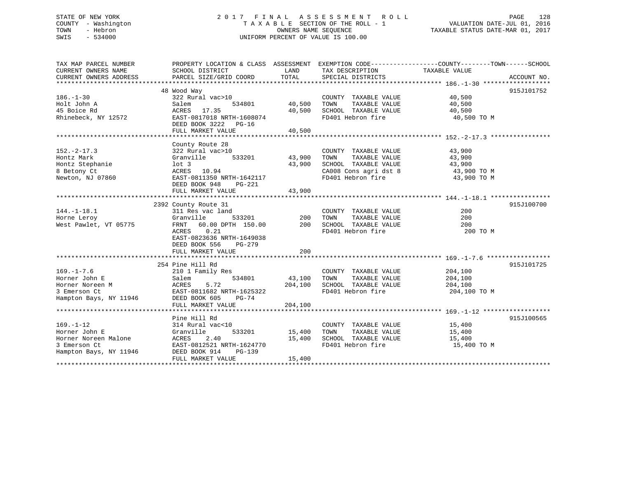# STATE OF NEW YORK 2 0 1 7 F I N A L A S S E S S M E N T R O L L PAGE 128 COUNTY - Washington T A X A B L E SECTION OF THE ROLL - 1 VALUATION DATE-JUL 01, 2016 TOWN - Hebron OWNERS NAME SEQUENCE TAXABLE STATUS DATE-MAR 01, 2017 SWIS - 534000 UNIFORM PERCENT OF VALUE IS 100.00

| TAX MAP PARCEL NUMBER         | PROPERTY LOCATION & CLASS ASSESSMENT EXEMPTION CODE---------------COUNTY-------TOWN-----SCHOOL |                            |                                               |                     |             |
|-------------------------------|------------------------------------------------------------------------------------------------|----------------------------|-----------------------------------------------|---------------------|-------------|
| CURRENT OWNERS NAME           | SCHOOL DISTRICT                                                                                | LAND                       | TAX DESCRIPTION                               | TAXABLE VALUE       |             |
| CURRENT OWNERS ADDRESS        | PARCEL SIZE/GRID COORD                                                                         | TOTAL                      | SPECIAL DISTRICTS                             |                     | ACCOUNT NO. |
|                               |                                                                                                |                            |                                               |                     |             |
| $186. - 1 - 30$               | 48 Wood Way                                                                                    |                            |                                               | $\frac{40,500}{40}$ | 915J101752  |
|                               | 322 Rural vac>10                                                                               |                            | COUNTY TAXABLE VALUE                          |                     |             |
| Holt John A<br>45 Boice Rd    | Salem<br>534801                                                                                | 40,500                     | TOWN<br>TAXABLE VALUE<br>SCHOOL TAXABLE VALUE |                     |             |
|                               | ACRES 17.35                                                                                    | 40,500                     |                                               | 40,500              |             |
| Rhinebeck, NY 12572           | EAST-0817018 NRTH-1608074<br>DEED BOOK 3222 PG-16                                              |                            | FD401 Hebron fire                             | 40,500 TO M         |             |
|                               | FULL MARKET VALUE                                                                              | 40,500                     |                                               |                     |             |
|                               |                                                                                                |                            |                                               |                     |             |
|                               | County Route 28                                                                                |                            |                                               |                     |             |
| $152. - 2 - 17.3$             | 322 Rural vac>10                                                                               |                            | COUNTY TAXABLE VALUE                          |                     |             |
|                               | 533201<br>Granville                                                                            | COUNTY<br>43,900      TOWN | TAXABLE VALUE                                 | 43,900<br>43,900    |             |
| Hontz Mark<br>Hontz Stephanie | lot 3                                                                                          | 43,900                     | SCHOOL TAXABLE VALUE                          | 43,900              |             |
|                               |                                                                                                |                            |                                               |                     |             |
| 8 Betony Ct                   |                                                                                                |                            | CA008 Cons agri dst 8<br>FD401 Hebron fire    | 43,900 TO M         |             |
| Newton, NJ 07860              | ACRES 10.54<br>EAST-0811350 NRTH-1642117                                                       |                            |                                               | 43,900 TO M         |             |
|                               | DEED BOOK 948<br>$PG-221$                                                                      |                            |                                               |                     |             |
|                               | FULL MARKET VALUE                                                                              | 43,900                     |                                               |                     |             |
|                               |                                                                                                |                            |                                               |                     |             |
|                               | 2392 County Route 31                                                                           |                            |                                               |                     | 915J100700  |
| $144. - 1 - 18.1$             | 311 Res vac land                                                                               | 533201 200 TOWN            | COUNTY TAXABLE VALUE                          | 200                 |             |
| Horne Leroy                   | Granville                                                                                      |                            | TAXABLE VALUE                                 | 200                 |             |
| West Pawlet, VT 05775         | FRNT 60.00 DPTH 150.00 200 SCHOOL TAXABLE VALUE                                                |                            |                                               | 200                 |             |
|                               | ACRES 0.21                                                                                     |                            | FD401 Hebron fire                             | 200 TO M            |             |
|                               | EAST-0823636 NRTH-1649038                                                                      |                            |                                               |                     |             |
|                               | DEED BOOK 556<br>PG-279                                                                        |                            |                                               |                     |             |
|                               | FULL MARKET VALUE                                                                              | 200                        |                                               |                     |             |
|                               |                                                                                                |                            |                                               |                     |             |
|                               | 254 Pine Hill Rd                                                                               |                            |                                               |                     | 915J101725  |
| $169. - 1 - 7.6$              | 210 1 Family Res                                                                               |                            | COUNTY TAXABLE VALUE                          | 204,100             |             |
| Horner John E                 |                                                                                                | 534801 43,100              | TOWN<br>TAXABLE VALUE                         | 204,100             |             |
| Horner Noreen M               |                                                                                                | 204,100                    | SCHOOL TAXABLE VALUE                          | 204,100             |             |
| 3 Emerson Ct                  | Salem 534801<br>ACRES 5.72<br>EAST-0811682 NRTH-1625322                                        |                            | FD401 Hebron fire                             | 204,100 TO M        |             |
| Hampton Bays, NY 11946        | DEED BOOK 605<br>$PG-74$                                                                       |                            |                                               |                     |             |
|                               | FULL MARKET VALUE                                                                              | 204,100                    |                                               |                     |             |
|                               |                                                                                                |                            |                                               |                     |             |
|                               | Pine Hill Rd                                                                                   |                            |                                               |                     | 915J100565  |
| $169. - 1 - 12$               | 314 Rural vac<10                                                                               |                            | COUNTY TAXABLE VALUE 15,400                   |                     |             |
| Horner John E                 | Granville                                                                                      | 533201 15,400              | TOWN<br>TAXABLE VALUE                         | 15,400              |             |
| Horner Noreen Malone          | ACRES 2.40                                                                                     |                            | 15,400 SCHOOL TAXABLE VALUE                   | 15,400              |             |
| 3 Emerson Ct                  | EAST-0812521 NRTH-1624770                                                                      |                            | FD401 Hebron fire                             | 15,400 TO M         |             |
| Hampton Bays, NY 11946        | DEED BOOK 914<br>PG-139                                                                        |                            |                                               |                     |             |
|                               | FULL MARKET VALUE                                                                              | 15,400                     |                                               |                     |             |
|                               |                                                                                                |                            |                                               |                     |             |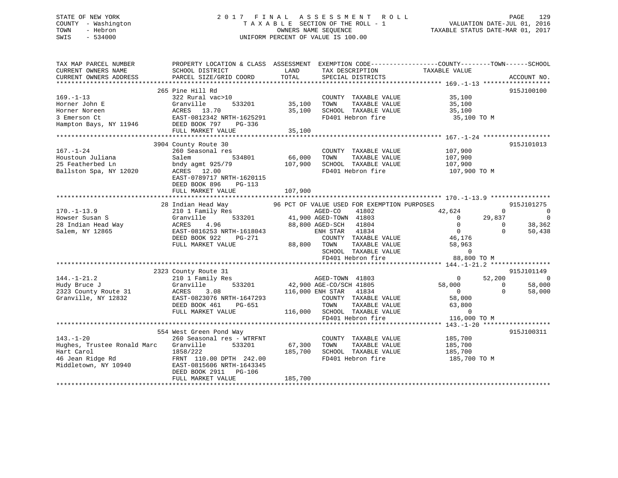# STATE OF NEW YORK 2 0 1 7 F I N A L A S S E S S M E N T R O L L PAGE 129 COUNTY - Washington T A X A B L E SECTION OF THE ROLL - 1 VALUATION DATE-JUL 01, 2016 TOWN - Hebron OWNERS NAME SEQUENCE TAXABLE STATUS DATE-MAR 01, 2017 SWIS - 534000 UNIFORM PERCENT OF VALUE IS 100.00

| TAX MAP PARCEL NUMBER<br>CURRENT OWNERS NAME                                                             | PROPERTY LOCATION & CLASS ASSESSMENT<br>SCHOOL DISTRICT                                                                                                                                          | LAND                         | TAX DESCRIPTION                                                                                                                                                                                                                              | EXEMPTION CODE-----------------COUNTY-------TOWN------SCHOOL<br>TAXABLE VALUE                                            |                                                                                                  |
|----------------------------------------------------------------------------------------------------------|--------------------------------------------------------------------------------------------------------------------------------------------------------------------------------------------------|------------------------------|----------------------------------------------------------------------------------------------------------------------------------------------------------------------------------------------------------------------------------------------|--------------------------------------------------------------------------------------------------------------------------|--------------------------------------------------------------------------------------------------|
| CURRENT OWNERS ADDRESS                                                                                   | PARCEL SIZE/GRID COORD                                                                                                                                                                           | TOTAL                        | SPECIAL DISTRICTS                                                                                                                                                                                                                            |                                                                                                                          | ACCOUNT NO.                                                                                      |
| $169. - 1 - 13$<br>Horner John E<br>Horner Noreen<br>3 Emerson Ct<br>Hampton Bays, NY 11946              | 265 Pine Hill Rd<br>322 Rural vac>10<br>Granville<br>533201<br>ACRES 13.70<br>EAST-0812342 NRTH-1625291<br>DEED BOOK 797<br>PG-336<br>FULL MARKET VALUE                                          | 35,100<br>35,100<br>35,100   | COUNTY TAXABLE VALUE<br>TAXABLE VALUE<br>TOWN<br>SCHOOL TAXABLE VALUE<br>FD401 Hebron fire                                                                                                                                                   | 35,100<br>35,100<br>35,100<br>35,100 TO M                                                                                | 915J100100                                                                                       |
| $167. - 1 - 24$<br>Houstoun Juliana<br>25 Featherbed Ln<br>Ballston Spa, NY 12020                        | 3904 County Route 30<br>260 Seasonal res<br>534801<br>Salem<br>bndy agmt 925/79<br>ACRES 12.00<br>EAST-0789717 NRTH-1620115<br>DEED BOOK 896<br>PG-113<br>FULL MARKET VALUE                      | 66,000<br>107,900<br>107,900 | COUNTY TAXABLE VALUE<br>TOWN<br>TAXABLE VALUE<br>SCHOOL TAXABLE VALUE<br>FD401 Hebron fire                                                                                                                                                   | 107,900<br>107,900<br>107,900<br>107,900 TO M                                                                            | 915J101013                                                                                       |
| $170. - 1 - 13.9$<br>Howser Susan S<br>28 Indian Head Way<br>Salem, NY 12865                             | 28 Indian Head Way<br>210 1 Family Res<br>533201<br>Granville<br>4.96<br>ACRES<br>EAST-0816253 NRTH-1618043<br>DEED BOOK 922<br>PG-271<br>FULL MARKET VALUE                                      |                              | 96 PCT OF VALUE USED FOR EXEMPTION PURPOSES<br>41802<br>AGED-CO<br>41,900 AGED-TOWN 41803<br>88,800 AGED-SCH 41804<br>41834<br>ENH STAR<br>COUNTY TAXABLE VALUE<br>88,800 TOWN<br>TAXABLE VALUE<br>SCHOOL TAXABLE VALUE<br>FD401 Hebron fire | 42,624<br>29,837<br>$\overline{0}$<br>$\overline{0}$<br>$\overline{0}$<br>46,176<br>58,963<br>$\mathbf 0$<br>88,800 TO M | 915J101275<br>$\sim$ 0<br>$\Omega$<br>$\overline{0}$<br>38,362<br>$\Omega$<br>$\Omega$<br>50,438 |
|                                                                                                          |                                                                                                                                                                                                  |                              |                                                                                                                                                                                                                                              |                                                                                                                          |                                                                                                  |
| $144. - 1 - 21.2$<br>Hudy Bruce J<br>2323 County Route 31<br>Granville, NY 12832                         | 2323 County Route 31<br>210 1 Family Res<br>533201<br>Granville<br>ACRES<br>3.08<br>EAST-0823076 NRTH-1647293<br>DEED BOOK 461<br>PG-651<br>FULL MARKET VALUE                                    |                              | AGED-TOWN 41803<br>42,900 AGE-CO/SCH 41805<br>116,000 ENH STAR 41834<br>COUNTY TAXABLE VALUE<br>TAXABLE VALUE<br>TOWN<br>116,000 SCHOOL TAXABLE VALUE<br>FD401 Hebron fire                                                                   | $\bigcirc$<br>52,200<br>58,000<br>$\overline{0}$<br>58,000<br>63,800<br>$\overline{0}$<br>116,000 TO M                   | 915J101149<br>$\overline{0}$<br>58,000<br>$\Omega$<br>$\Omega$<br>58,000                         |
|                                                                                                          |                                                                                                                                                                                                  |                              |                                                                                                                                                                                                                                              |                                                                                                                          |                                                                                                  |
| $143. - 1 - 20$<br>Hughes, Trustee Ronald Marc<br>Hart Carol<br>46 Jean Ridge Rd<br>Middletown, NY 10940 | 554 West Green Pond Way<br>260 Seasonal res - WTRFNT<br>533201<br>Granville<br>1858/222<br>FRNT 110.00 DPTH 242.00<br>EAST-0815606 NRTH-1643345<br>DEED BOOK 2911<br>PG-106<br>FULL MARKET VALUE | 67,300<br>185,700<br>185,700 | COUNTY TAXABLE VALUE<br>TAXABLE VALUE<br>TOWN<br>SCHOOL TAXABLE VALUE<br>FD401 Hebron fire                                                                                                                                                   | 185,700<br>185,700<br>185,700<br>185,700 TO M                                                                            | 915J100311                                                                                       |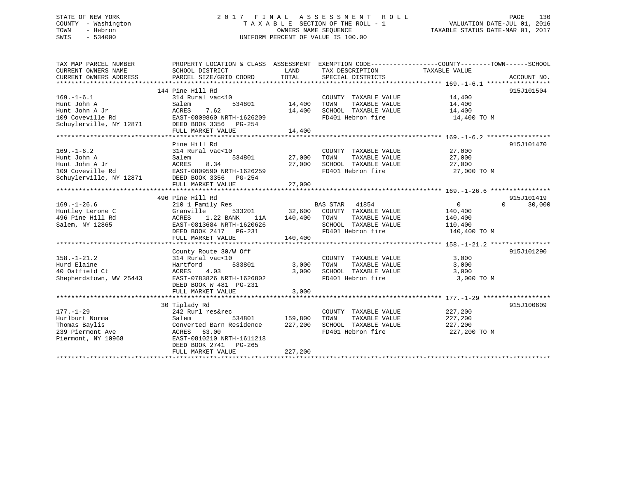# STATE OF NEW YORK 2 0 1 7 F I N A L A S S E S S M E N T R O L L PAGE 130 COUNTY - Washington T A X A B L E SECTION OF THE ROLL - 1 VALUATION DATE-JUL 01, 2016 TOWN - Hebron OWNERS NAME SEQUENCE TAXABLE STATUS DATE-MAR 01, 2017 SWIS - 534000 UNIFORM PERCENT OF VALUE IS 100.00

| TAX MAP PARCEL NUMBER              | PROPERTY LOCATION & CLASS ASSESSMENT EXEMPTION CODE----------------COUNTY-------TOWN------SCHOOL |         |                                           |               |                    |
|------------------------------------|--------------------------------------------------------------------------------------------------|---------|-------------------------------------------|---------------|--------------------|
| CURRENT OWNERS NAME                | SCHOOL DISTRICT                                                                                  | LAND    | TAX DESCRIPTION                           | TAXABLE VALUE |                    |
| CURRENT OWNERS ADDRESS             | PARCEL SIZE/GRID COORD                                                                           | TOTAL   | SPECIAL DISTRICTS                         |               | ACCOUNT NO.        |
|                                    |                                                                                                  |         |                                           |               |                    |
|                                    | 144 Pine Hill Rd                                                                                 |         |                                           |               | 915J101504         |
| $169. - 1 - 6.1$                   | 314 Rural vac<10                                                                                 |         | COUNTY TAXABLE VALUE                      | 14,400        |                    |
| Hunt John A                        | Salem<br>534801                                                                                  | 14,400  | TOWN<br>TAXABLE VALUE                     | 14,400        |                    |
| Hunt John A Jr<br>109 Coveville Rd | 7.62<br>ACRES                                                                                    | 14,400  | SCHOOL TAXABLE VALUE<br>FD401 Hebron fire | 14,400        |                    |
|                                    | EAST-0809860 NRTH-1626209<br>DEED BOOK 3356 PG-254                                               |         |                                           | 14,400 TO M   |                    |
| Schuylerville, NY 12871            | FULL MARKET VALUE                                                                                | 14,400  |                                           |               |                    |
|                                    |                                                                                                  |         |                                           |               |                    |
|                                    | Pine Hill Rd                                                                                     |         |                                           |               | 915J101470         |
| $169. - 1 - 6.2$                   | 314 Rural vac<10                                                                                 |         | COUNTY TAXABLE VALUE 27,000               |               |                    |
| Hunt John A                        | 534801<br>Salem                                                                                  | 27,000  | TOWN<br>TAXABLE VALUE                     | 27,000        |                    |
| Hunt John A Jr                     | 8.34<br>ACRES                                                                                    | 27,000  | SCHOOL TAXABLE VALUE                      | 27,000        |                    |
|                                    |                                                                                                  |         | FD401 Hebron fire                         | 27,000 TO M   |                    |
|                                    |                                                                                                  |         |                                           |               |                    |
|                                    | FULL MARKET VALUE                                                                                | 27,000  |                                           |               |                    |
|                                    |                                                                                                  |         |                                           |               |                    |
|                                    | 496 Pine Hill Rd                                                                                 |         |                                           |               | 915J101419         |
| $169. - 1 - 26.6$                  | 210 1 Family Res                                                                                 |         | BAS STAR 41854                            | 0             | $\Omega$<br>30,000 |
| Huntley Lerone C                   | Granville<br>533201                                                                              |         | 32,600 COUNTY TAXABLE VALUE               | 140,400       |                    |
| 496 Pine Hill Rd                   | 1.22 BANK<br>ACRES<br>11A                                                                        | 140,400 | TOWN<br>TAXABLE VALUE                     | 140,400       |                    |
| Salem, NY 12865                    | EAST-0813684 NRTH-1620626                                                                        |         | SCHOOL TAXABLE VALUE                      | 110,400       |                    |
|                                    | DEED BOOK 2417 PG-231                                                                            |         | FD401 Hebron fire                         | 140,400 TO M  |                    |
|                                    | FULL MARKET VALUE                                                                                | 140,400 |                                           |               |                    |
|                                    |                                                                                                  |         |                                           |               |                    |
|                                    | County Route 30/W Off                                                                            |         |                                           |               | 915J101290         |
| $158. - 1 - 21.2$                  | 314 Rural vac<10                                                                                 |         | COUNTY TAXABLE VALUE                      | 3,000         |                    |
| Hurd Elaine                        | 533801<br>Hartford                                                                               | 3,000   | TOWN<br>TAXABLE VALUE                     | 3,000         |                    |
| 40 Oatfield Ct                     | 4.03<br>ACRES                                                                                    | 3,000   | SCHOOL TAXABLE VALUE                      | 3,000         |                    |
| Shepherdstown, WV 25443            | EAST-0783826 NRTH-1626802                                                                        |         | FD401 Hebron fire                         | 3,000 TO M    |                    |
|                                    | DEED BOOK W 481 PG-231                                                                           |         |                                           |               |                    |
|                                    | FULL MARKET VALUE                                                                                | 3,000   |                                           |               |                    |
|                                    |                                                                                                  |         |                                           |               |                    |
|                                    | 30 Tiplady Rd                                                                                    |         |                                           |               | 915J100609         |
| $177. - 1 - 29$                    | 242 Rurl res&rec                                                                                 |         | COUNTY TAXABLE VALUE                      | 227,200       |                    |
| Hurlburt Norma                     | Salem<br>534801                                                                                  | 159,800 | TOWN<br>TAXABLE VALUE                     | 227,200       |                    |
| Thomas Baylis                      | Converted Barn Residence                                                                         | 227,200 | SCHOOL TAXABLE VALUE                      | 227,200       |                    |
| 239 Piermont Ave                   | ACRES 63.00<br>EAST-0810210 NRTH-1611218                                                         |         | FD401 Hebron fire                         | 227,200 TO M  |                    |
| Piermont, NY 10968                 | DEED BOOK 2741 PG-265                                                                            |         |                                           |               |                    |
|                                    | FULL MARKET VALUE                                                                                | 227,200 |                                           |               |                    |
|                                    |                                                                                                  |         |                                           |               |                    |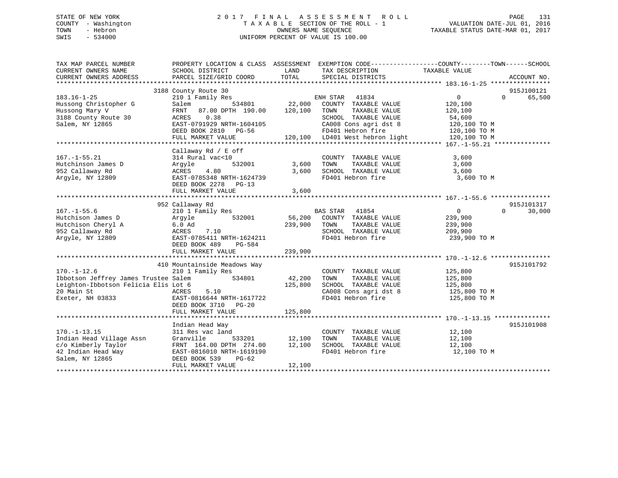# STATE OF NEW YORK 2 0 1 7 F I N A L A S S E S S M E N T R O L L PAGE 131 COUNTY - Washington T A X A B L E SECTION OF THE ROLL - 1 VALUATION DATE-JUL 01, 2016 TOWN - Hebron OWNERS NAME SEQUENCE TAXABLE STATUS DATE-MAR 01, 2017 SWIS - 534000 UNIFORM PERCENT OF VALUE IS 100.00

| TAX MAP PARCEL NUMBER<br>CURRENT OWNERS NAME<br>CURRENT OWNERS ADDRESS                                                              | PROPERTY LOCATION & CLASS ASSESSMENT<br>SCHOOL DISTRICT<br>PARCEL SIZE/GRID COORD                                                                                                   | LAND<br>TOTAL                | EXEMPTION CODE----------------COUNTY-------TOWN-----SCHOOL<br>TAX DESCRIPTION<br>SPECIAL DISTRICTS                                                                          | TAXABLE VALUE                                                                     | ACCOUNT NO.                      |
|-------------------------------------------------------------------------------------------------------------------------------------|-------------------------------------------------------------------------------------------------------------------------------------------------------------------------------------|------------------------------|-----------------------------------------------------------------------------------------------------------------------------------------------------------------------------|-----------------------------------------------------------------------------------|----------------------------------|
| $183.16 - 1 - 25$<br>Hussong Christopher G<br>Hussong Mary V<br>3188 County Route 30<br>Salem, NY 12865                             | 3188 County Route 30<br>210 1 Family Res<br>534801<br>Salem<br>87.00 DPTH 190.00<br>FRNT<br>0.38<br>ACRES<br>EAST-0791929 NRTH-1604105<br>DEED BOOK 2810 PG-56<br>FULL MARKET VALUE | 22,000<br>120,100            | ENH STAR<br>41834<br>COUNTY TAXABLE VALUE<br>TOWN<br>TAXABLE VALUE<br>SCHOOL TAXABLE VALUE<br>CA008 Cons agri dst 8<br>FD401 Hebron fire<br>120,100 LD401 West hebron light | 0<br>120,100<br>120,100<br>54,600<br>120,100 TO M<br>120,100 TO M<br>120,100 TO M | 915J100121<br>$\Omega$<br>65,500 |
| $167. - 1 - 55.21$<br>Hutchinson James D<br>952 Callaway Rd<br>Argyle, NY 12809                                                     | Callaway Rd / E off<br>314 Rural vac<10<br>532001<br>Argyle<br>ACRES<br>4.80<br>EAST-0785348 NRTH-1624739<br>DEED BOOK 2278<br>$PG-13$<br>FULL MARKET VALUE                         | 3,600<br>3,600<br>3,600      | COUNTY TAXABLE VALUE<br>TAXABLE VALUE<br>TOWN<br>SCHOOL TAXABLE VALUE<br>FD401 Hebron fire                                                                                  | 3,600<br>3,600<br>3,600<br>3,600 TO M                                             |                                  |
| $167. - 1 - 55.6$<br>Hutchison James D<br>Hutchison Cheryl A<br>952 Callaway Rd<br>Arqyle, NY 12809                                 | 952 Callaway Rd<br>210 1 Family Res<br>532001<br>Arqyle<br>$6.0$ Ad<br>ACRES<br>7.10<br>EAST-0785411 NRTH-1624211<br>DEED BOOK 489<br>PG-584<br>FULL MARKET VALUE                   | 56,200<br>239,900<br>239,900 | 41854<br><b>BAS STAR</b><br>COUNTY TAXABLE VALUE<br>TOWN<br>TAXABLE VALUE<br>SCHOOL TAXABLE VALUE<br>FD401 Hebron fire                                                      | $\overline{0}$<br>239,900<br>239,900<br>209,900<br>239,900 TO M                   | 915J101317<br>$\Omega$<br>30,000 |
| $170. - 1 - 12.6$<br>Ibbotson Jeffrey James Trustee Salem<br>Leighton-Ibbotson Felicia Elis Lot 6<br>20 Main St<br>Exeter, NH 03833 | 410 Mountainside Meadows Way<br>210 1 Family Res<br>534801<br>ACRES<br>5.10<br>EAST-0816644 NRTH-1617722<br>DEED BOOK 3710 PG-20<br>FULL MARKET VALUE                               | 42,200<br>125,800<br>125,800 | COUNTY TAXABLE VALUE<br>TAXABLE VALUE<br>TOWN<br>SCHOOL TAXABLE VALUE<br>CA008 Cons agri dst 8<br>FD401 Hebron fire                                                         | 125,800<br>125,800<br>125,800<br>125,800 TO M<br>125,800 TO M                     | 915J101792                       |
| $170. - 1 - 13.15$<br>Indian Head Village Assn<br>c/o Kimberly Taylor<br>42 Indian Head Way<br>Salem, NY 12865                      | Indian Head Way<br>311 Res vac land<br>Granville<br>533201<br>FRNT 164.00 DPTH 274.00<br>EAST-0816010 NRTH-1619190<br>DEED BOOK 539<br>$PG-62$<br>FULL MARKET VALUE                 | 12,100<br>12,100<br>12,100   | COUNTY TAXABLE VALUE<br>TAXABLE VALUE<br>TOWN<br>SCHOOL TAXABLE VALUE<br>FD401 Hebron fire                                                                                  | 12,100<br>12,100<br>12,100<br>12,100 TO M                                         | 915J101908                       |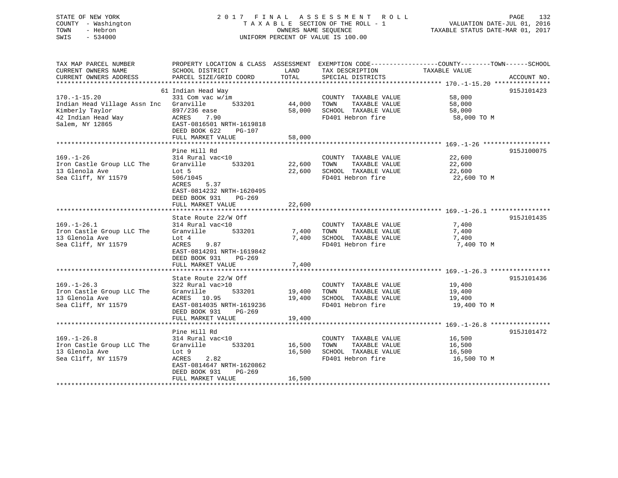# STATE OF NEW YORK 2 0 1 7 F I N A L A S S E S S M E N T R O L L PAGE 132 COUNTY - Washington T A X A B L E SECTION OF THE ROLL - 1 VALUATION DATE-JUL 01, 2016 TOWN - Hebron OWNERS NAME SEQUENCE TAXABLE STATUS DATE-MAR 01, 2017 SWIS - 534000 UNIFORM PERCENT OF VALUE IS 100.00

| TAX MAP PARCEL NUMBER<br>CURRENT OWNERS NAME<br>CURRENT OWNERS ADDRESS                             | PROPERTY LOCATION & CLASS ASSESSMENT EXEMPTION CODE---------------COUNTY-------TOWN-----SCHOOL<br>SCHOOL DISTRICT<br>PARCEL SIZE/GRID COORD                    | LAND<br>TOTAL              | TAX DESCRIPTION<br>SPECIAL DISTRICTS                                                              | TAXABLE VALUE                             | ACCOUNT NO. |
|----------------------------------------------------------------------------------------------------|----------------------------------------------------------------------------------------------------------------------------------------------------------------|----------------------------|---------------------------------------------------------------------------------------------------|-------------------------------------------|-------------|
|                                                                                                    |                                                                                                                                                                |                            |                                                                                                   |                                           |             |
| $170. - 1 - 15.20$                                                                                 | 61 Indian Head Way<br>331 Com vac w/im                                                                                                                         |                            | COUNTY TAXABLE VALUE                                                                              | 58,000                                    | 915J101423  |
| Indian Head Village Assn Inc Granville<br>Kimberly Taylor<br>42 Indian Head Way<br>Salem, NY 12865 | 533201<br>897/236 ease<br>ACRES<br>7.90<br>EAST-0816501 NRTH-1619818<br>DEED BOOK 622<br>$PG-107$                                                              | 44,000<br>58,000           | TOWN<br>TAXABLE VALUE<br>SCHOOL TAXABLE VALUE<br>FD401 Hebron fire                                | 58,000<br>58,000<br>58,000 TO M           |             |
|                                                                                                    | FULL MARKET VALUE                                                                                                                                              | 58,000                     |                                                                                                   |                                           |             |
|                                                                                                    |                                                                                                                                                                |                            |                                                                                                   |                                           |             |
| $169. - 1 - 26$<br>Iron Castle Group LLC The<br>13 Glenola Ave<br>Sea Cliff, NY 11579              | Pine Hill Rd<br>314 Rural vac<10<br>Granville<br>533201<br>Lot 5<br>506/1045<br>5.37<br>ACRES<br>EAST-0814232 NRTH-1620495<br>PG-269                           | 22,600                     | COUNTY TAXABLE VALUE<br>TAXABLE VALUE<br>TOWN<br>22,600 SCHOOL TAXABLE VALUE<br>FD401 Hebron fire | 22,600<br>22,600<br>22,600<br>22,600 TO M | 915J100075  |
|                                                                                                    | DEED BOOK 931<br>FULL MARKET VALUE                                                                                                                             | 22,600                     |                                                                                                   |                                           |             |
|                                                                                                    |                                                                                                                                                                |                            |                                                                                                   |                                           |             |
| $169. - 1 - 26.1$<br>Iron Castle Group LLC The<br>13 Glenola Ave<br>Sea Cliff, NY 11579            | State Route 22/W Off<br>314 Rural vac<10<br>Granville<br>533201<br>Lot 4<br>9.87<br>ACRES<br>EAST-0814201 NRTH-1619842<br>DEED BOOK 931<br>PG-269              | 7,400<br>7,400             | COUNTY TAXABLE VALUE<br>TOWN<br>TAXABLE VALUE<br>SCHOOL TAXABLE VALUE<br>FD401 Hebron fire        | 7,400<br>7,400<br>7,400<br>7,400 TO M     | 915J101435  |
|                                                                                                    | FULL MARKET VALUE                                                                                                                                              | 7,400                      |                                                                                                   |                                           |             |
|                                                                                                    |                                                                                                                                                                |                            |                                                                                                   |                                           |             |
| $169. - 1 - 26.3$<br>Iron Castle Group LLC The<br>13 Glenola Ave<br>Sea Cliff, NY 11579            | State Route 22/W Off<br>322 Rural vac>10<br>Granville<br>533201<br>ACRES 10.95<br>EAST-0814035 NRTH-1619236<br>DEED BOOK 931<br>$PG-269$                       | 19,400<br>19,400           | COUNTY TAXABLE VALUE<br>TAXABLE VALUE<br>TOWN<br>SCHOOL TAXABLE VALUE<br>FD401 Hebron fire        | 19,400<br>19,400<br>19,400<br>19,400 TO M | 915J101436  |
|                                                                                                    | FULL MARKET VALUE                                                                                                                                              | 19,400                     |                                                                                                   |                                           |             |
| $169. - 1 - 26.8$<br>Iron Castle Group LLC The<br>13 Glenola Ave<br>Sea Cliff, NY 11579            | Pine Hill Rd<br>314 Rural vac<10<br>Granville<br>533201<br>Lot 9<br>ACRES<br>2.82<br>EAST-0814647 NRTH-1620862<br>DEED BOOK 931<br>PG-269<br>FULL MARKET VALUE | 16,500<br>16,500<br>16,500 | COUNTY TAXABLE VALUE<br>TOWN<br>TAXABLE VALUE<br>SCHOOL TAXABLE VALUE<br>FD401 Hebron fire        | 16,500<br>16,500<br>16,500<br>16,500 TO M | 915J101472  |
|                                                                                                    |                                                                                                                                                                |                            |                                                                                                   |                                           |             |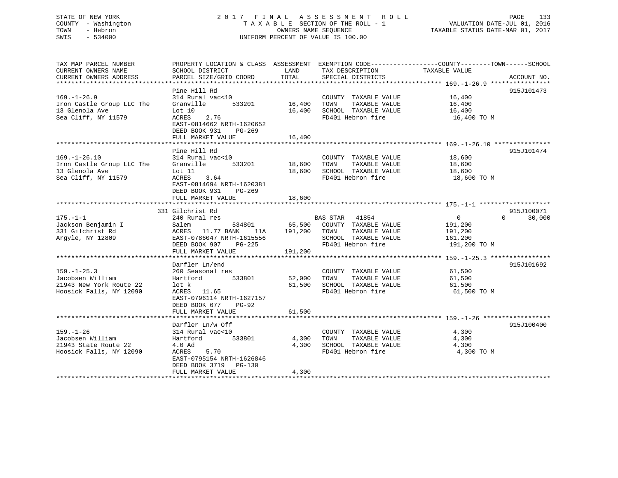# STATE OF NEW YORK 2 0 1 7 F I N A L A S S E S S M E N T R O L L PAGE 133 COUNTY - Washington T A X A B L E SECTION OF THE ROLL - 1 VALUATION DATE-JUL 01, 2016 TOWN - Hebron OWNERS NAME SEQUENCE TAXABLE STATUS DATE-MAR 01, 2017 SWIS - 534000 UNIFORM PERCENT OF VALUE IS 100.00

| TAX MAP PARCEL NUMBER<br>CURRENT OWNERS NAME<br>CURRENT OWNERS ADDRESS                      | SCHOOL DISTRICT<br>PARCEL SIZE/GRID COORD                                                                                                                              | LAND<br><b>TOTAL</b>         | TAX DESCRIPTION<br>SPECIAL DISTRICTS                                                                                | PROPERTY LOCATION & CLASS ASSESSMENT EXEMPTION CODE----------------COUNTY-------TOWN------SCHOOL<br>TAXABLE VALUE<br>ACCOUNT NO. |
|---------------------------------------------------------------------------------------------|------------------------------------------------------------------------------------------------------------------------------------------------------------------------|------------------------------|---------------------------------------------------------------------------------------------------------------------|----------------------------------------------------------------------------------------------------------------------------------|
| $169. - 1 - 26.9$<br>Iron Castle Group LLC The<br>13 Glenola Ave<br>Sea Cliff, NY 11579     | Pine Hill Rd<br>314 Rural vac<10<br>Granville<br>533201<br>Lot 10<br>ACRES<br>2.76<br>EAST-0814662 NRTH-1620652<br>DEED BOOK 931<br>$PG-269$<br>FULL MARKET VALUE      | 16,400<br>16,400<br>16,400   | COUNTY TAXABLE VALUE<br>TAXABLE VALUE<br>TOWN<br>SCHOOL TAXABLE VALUE<br>FD401 Hebron fire                          | 915J101473<br>16,400<br>16,400<br>16,400<br>16,400 TO M                                                                          |
| $169. - 1 - 26.10$<br>Iron Castle Group LLC The<br>13 Glenola Ave<br>Sea Cliff, NY 11579    | Pine Hill Rd<br>314 Rural vac<10<br>533201<br>Granville<br>Lot 11<br>ACRES<br>3.64<br>EAST-0814694 NRTH-1620381<br>DEED BOOK 931<br>PG-269<br>FULL MARKET VALUE        | 18,600<br>18,600<br>18,600   | COUNTY TAXABLE VALUE<br>TOWN<br>TAXABLE VALUE<br>SCHOOL TAXABLE VALUE<br>FD401 Hebron fire                          | 915J101474<br>18,600<br>18,600<br>18,600<br>18,600 TO M                                                                          |
| $175. - 1 - 1$<br>Jackson Benjamin I<br>331 Gilchrist Rd<br>Argyle, NY 12809                | 331 Gilchrist Rd<br>240 Rural res<br>Salem<br>534801<br>11.77 BANK<br>ACRES<br>11A<br>EAST-0786047 NRTH-1615556<br>DEED BOOK 907<br>PG-225<br>FULL MARKET VALUE        | 65,500<br>191,200<br>191,200 | <b>BAS STAR</b> 41854<br>COUNTY TAXABLE VALUE<br>TOWN<br>TAXABLE VALUE<br>SCHOOL TAXABLE VALUE<br>FD401 Hebron fire | 915J100071<br>$\Omega$<br>$\Omega$<br>30,000<br>191,200<br>191,200<br>161,200<br>191,200 TO M                                    |
| $159. - 1 - 25.3$<br>Jacobsen William<br>21943 New York Route 22<br>Hoosick Falls, NY 12090 | Darfler Ln/end<br>260 Seasonal res<br>Hartford<br>533801<br>lot k<br>ACRES<br>11.65<br>EAST-0796114 NRTH-1627157<br>DEED BOOK 677<br><b>PG-92</b><br>FULL MARKET VALUE | 52,000<br>61,500<br>61,500   | COUNTY TAXABLE VALUE<br>TOWN<br>TAXABLE VALUE<br>SCHOOL TAXABLE VALUE<br>FD401 Hebron fire                          | 915J101692<br>61,500<br>61,500<br>61,500<br>61,500 TO M                                                                          |
| $159. - 1 - 26$<br>Jacobsen William<br>21943 State Route 22<br>Hoosick Falls, NY 12090      | Darfler Ln/w Off<br>314 Rural vac<10<br>533801<br>Hartford<br>4.0 Ad<br>ACRES<br>5.70<br>EAST-0795154 NRTH-1626846<br>DEED BOOK 3719 PG-130<br>FULL MARKET VALUE       | 4,300<br>4,300<br>4,300      | COUNTY TAXABLE VALUE<br>TOWN<br>TAXABLE VALUE<br>SCHOOL TAXABLE VALUE<br>FD401 Hebron fire                          | 915J100400<br>4,300<br>4,300<br>4,300<br>4,300 TO M                                                                              |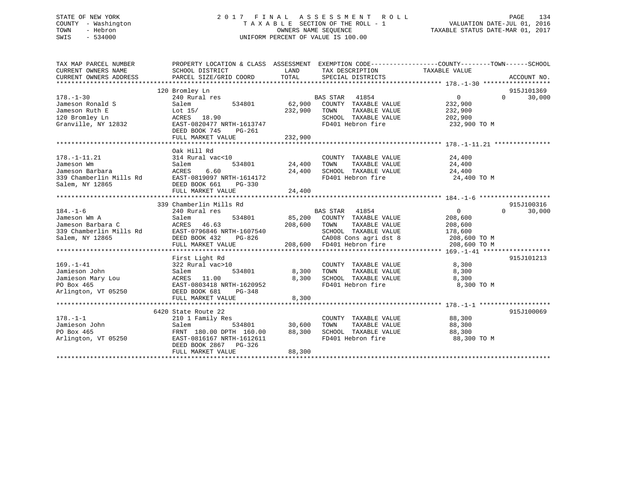# STATE OF NEW YORK 2 0 1 7 F I N A L A S S E S S M E N T R O L L PAGE 134 COUNTY - Washington T A X A B L E SECTION OF THE ROLL - 1 VALUATION DATE-JUL 01, 2016 TOWN - Hebron OWNERS NAME SEQUENCE TAXABLE STATUS DATE-MAR 01, 2017 SWIS - 534000 UNIFORM PERCENT OF VALUE IS 100.00

| TAX MAP PARCEL NUMBER<br>CURRENT OWNERS NAME<br>CURRENT OWNERS ADDRESS                            | SCHOOL DISTRICT<br>PARCEL SIZE/GRID COORD                                                                                                                        | LAND<br>TOTAL                | TAX DESCRIPTION<br>SPECIAL DISTRICTS                                                                                                          | PROPERTY LOCATION & CLASS ASSESSMENT EXEMPTION CODE----------------COUNTY-------TOWN------SCHOOL<br>TAXABLE VALUE | ACCOUNT NO.                      |
|---------------------------------------------------------------------------------------------------|------------------------------------------------------------------------------------------------------------------------------------------------------------------|------------------------------|-----------------------------------------------------------------------------------------------------------------------------------------------|-------------------------------------------------------------------------------------------------------------------|----------------------------------|
| $178. - 1 - 30$<br>Jameson Ronald S<br>Jameson Ruth E<br>120 Bromley Ln<br>Granville, NY 12832    | 120 Bromley Ln<br>240 Rural res<br>Salem<br>534801<br>Lot $15/$<br>ACRES 18.90<br>EAST-0820477 NRTH-1613747<br>DEED BOOK 745<br>PG-261<br>FULL MARKET VALUE      | 62,900<br>232,900<br>232,900 | BAS STAR<br>41854<br>COUNTY TAXABLE VALUE<br>TAXABLE VALUE<br>TOWN<br>SCHOOL TAXABLE VALUE<br>FD401 Hebron fire                               | $\overline{0}$<br>232,900<br>232,900<br>202,900<br>232,900 TO M                                                   | 915J101369<br>$\Omega$<br>30,000 |
| $178. - 1 - 11.21$<br>Jameson Wm<br>Jameson Barbara<br>339 Chamberlin Mills Rd<br>Salem, NY 12865 | Oak Hill Rd<br>314 Rural vac<10<br>534801<br>Salem<br>6.60<br>ACRES<br>EAST-0819097 NRTH-1614172<br>DEED BOOK 661<br>PG-330                                      | 24,400<br>24,400             | COUNTY TAXABLE VALUE<br>TOWN<br>TAXABLE VALUE<br>SCHOOL TAXABLE VALUE<br>FD401 Hebron fire                                                    | 24,400<br>24,400<br>24,400<br>24,400 TO M                                                                         |                                  |
| $184. - 1 - 6$<br>Jameson Wm A<br>Jameson Barbara C<br>339 Chamberlin Mills Rd<br>Salem, NY 12865 | 339 Chamberlin Mills Rd<br>240 Rural res<br>Salem<br>534801<br>ACRES<br>46.63<br>EAST-0796846 NRTH-1607540<br>DEED BOOK 432<br>PG-826<br>FULL MARKET VALUE       | 85,200<br>208,600            | BAS STAR 41854<br>COUNTY TAXABLE VALUE<br>TAXABLE VALUE<br>TOWN<br>SCHOOL TAXABLE VALUE<br>CA008 Cons agri dst 8<br>208,600 FD401 Hebron fire | $\overline{0}$<br>$\Omega$<br>208,600<br>208,600<br>178,600<br>208,600 TO M<br>208,600 TO M                       | 915J100316<br>30,000             |
| $169. - 1 - 41$<br>Jamieson John<br>Jamieson Mary Lou<br>PO Box 465<br>Arlington, VT 05250        | First Light Rd<br>322 Rural vac>10<br>Salem<br>534801<br>ACRES 11.00<br>EAST-0803418 NRTH-1620952<br>DEED BOOK 681<br>PG-348<br>FULL MARKET VALUE                | 8,300<br>8,300<br>8,300      | COUNTY TAXABLE VALUE<br>TAXABLE VALUE<br>TOWN<br>SCHOOL TAXABLE VALUE<br>FD401 Hebron fire                                                    | 8,300<br>8,300<br>8,300<br>8,300 TO M                                                                             | 915J101213                       |
| $178. - 1 - 1$<br>Jamieson John<br>PO Box 465<br>Arlington, VT 05250                              | 6420 State Route 22<br>210 1 Family Res<br>Salem<br>534801<br>FRNT 180.00 DPTH 160.00<br>EAST-0816167 NRTH-1612611<br>DEED BOOK 2867 PG-326<br>FULL MARKET VALUE | 30,600<br>88,300<br>88,300   | COUNTY TAXABLE VALUE<br>TOWN<br>TAXABLE VALUE<br>SCHOOL TAXABLE VALUE<br>FD401 Hebron fire                                                    | 88,300<br>88,300<br>88,300<br>88,300 TO M                                                                         | 915J100069                       |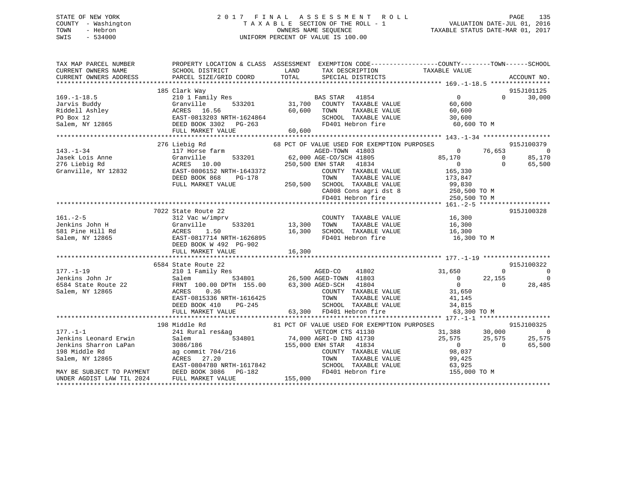# STATE OF NEW YORK 2 0 1 7 F I N A L A S S E S S M E N T R O L L PAGE 135 COUNTY - Washington T A X A B L E SECTION OF THE ROLL - 1 VALUATION DATE-JUL 01, 2016 TOWN - Hebron OWNERS NAME SEQUENCE TAXABLE STATUS DATE-MAR 01, 2017 SWIS - 534000 UNIFORM PERCENT OF VALUE IS 100.00

| TAX MAP PARCEL NUMBER<br>CURRENT OWNERS NAME<br>CURRENT OWNERS ADDRESS                    | SCHOOL DISTRICT<br>PARCEL SIZE/GRID COORD       | TAX DESCRIPTION TAXABLE VALUE SPECIAL DISTRICTS<br><b>LAND</b><br>TOTAL                                                                                                                          | PROPERTY LOCATION & CLASS ASSESSMENT EXEMPTION CODE----------------COUNTY-------TOWN-----SCHOOL<br>ACCOUNT NO.                                   |
|-------------------------------------------------------------------------------------------|-------------------------------------------------|--------------------------------------------------------------------------------------------------------------------------------------------------------------------------------------------------|--------------------------------------------------------------------------------------------------------------------------------------------------|
|                                                                                           | 185 Clark Way                                   |                                                                                                                                                                                                  | 915J101125                                                                                                                                       |
| $169. - 1 - 18.5$                                                                         |                                                 |                                                                                                                                                                                                  | $\overline{0}$<br>$0 \t 30,000$                                                                                                                  |
|                                                                                           |                                                 | 210 1 Family Res<br>Granville 533201 31,700 COUNTY TAXABLE VALUE                                                                                                                                 | 60,600                                                                                                                                           |
|                                                                                           |                                                 | TAXABLE VALUE                                                                                                                                                                                    | 60,600                                                                                                                                           |
|                                                                                           |                                                 | SCHOOL TAXABLE VALUE 30,600                                                                                                                                                                      |                                                                                                                                                  |
|                                                                                           |                                                 |                                                                                                                                                                                                  | FD401 Hebron fire 60,600 TO M                                                                                                                    |
|                                                                                           |                                                 |                                                                                                                                                                                                  |                                                                                                                                                  |
|                                                                                           |                                                 |                                                                                                                                                                                                  |                                                                                                                                                  |
|                                                                                           | 276 Liebig Rd                                   | 68 PCT OF VALUE USED FOR EXEMPTION PURPOSES                                                                                                                                                      | 915J100379                                                                                                                                       |
| $143. - 1 - 34$                                                                           | Liebig Rd<br>117 Horse farm                     | AGED-TOWN 41803                                                                                                                                                                                  | $76,653$<br>0<br>$\overline{0}$                                                                                                                  |
|                                                                                           |                                                 |                                                                                                                                                                                                  | $85,170$ 76,653<br>0 0 0<br>85,170                                                                                                               |
|                                                                                           |                                                 |                                                                                                                                                                                                  | 65,500                                                                                                                                           |
|                                                                                           |                                                 |                                                                                                                                                                                                  |                                                                                                                                                  |
|                                                                                           |                                                 |                                                                                                                                                                                                  |                                                                                                                                                  |
|                                                                                           |                                                 |                                                                                                                                                                                                  |                                                                                                                                                  |
|                                                                                           |                                                 |                                                                                                                                                                                                  |                                                                                                                                                  |
|                                                                                           |                                                 |                                                                                                                                                                                                  |                                                                                                                                                  |
|                                                                                           |                                                 |                                                                                                                                                                                                  |                                                                                                                                                  |
|                                                                                           |                                                 |                                                                                                                                                                                                  |                                                                                                                                                  |
|                                                                                           | 7022 State Route 22                             |                                                                                                                                                                                                  | 915J100328                                                                                                                                       |
|                                                                                           | 312 Vac w/imprv<br>Granville 533201 13,300 TOWN | COUNTY TAXABLE VALUE 16,300                                                                                                                                                                      |                                                                                                                                                  |
|                                                                                           |                                                 | 13,300 TOWN TAXABLE VALUE 16,300<br>16,300 SCHOOL TAXABLE VALUE 16,300                                                                                                                           |                                                                                                                                                  |
|                                                                                           | 1.50                                            |                                                                                                                                                                                                  |                                                                                                                                                  |
|                                                                                           | EAST-0817714 NRTH-1626895                       |                                                                                                                                                                                                  | FD401 Hebron fire 16,300 TO M                                                                                                                    |
| 161.-2-5<br>Jenkins John H Granvil<br>581 Pine Hill Rd ACRES<br>Salem, NY 12865<br>DEED B | DEED BOOK W 492 PG-902                          |                                                                                                                                                                                                  |                                                                                                                                                  |
|                                                                                           |                                                 |                                                                                                                                                                                                  |                                                                                                                                                  |
|                                                                                           |                                                 |                                                                                                                                                                                                  |                                                                                                                                                  |
|                                                                                           | 6584 State Route 22                             |                                                                                                                                                                                                  | 915J100322                                                                                                                                       |
| $177. - 1 - 19$                                                                           |                                                 |                                                                                                                                                                                                  |                                                                                                                                                  |
|                                                                                           |                                                 |                                                                                                                                                                                                  |                                                                                                                                                  |
|                                                                                           |                                                 |                                                                                                                                                                                                  |                                                                                                                                                  |
| Jenkins John Jr<br>6584 State Route 22<br>Salem, NY 12865                                 | 0.36<br>ACRES                                   | $\begin{tabular}{lllllllllll} \multicolumn{2}{c}{\textbf{COUNTY}} & \textbf{TXABLE} & \textbf{VALUE} & & 31,650 \\ \textbf{TOWN} & \textbf{TXABLE} & \textbf{VALUE} & & 41,145 \\ \end{tabular}$ |                                                                                                                                                  |
|                                                                                           | EAST-0815336 NRTH-1616425                       | TAXABLE VALUE                                                                                                                                                                                    |                                                                                                                                                  |
|                                                                                           |                                                 |                                                                                                                                                                                                  |                                                                                                                                                  |
|                                                                                           |                                                 |                                                                                                                                                                                                  |                                                                                                                                                  |
|                                                                                           |                                                 |                                                                                                                                                                                                  |                                                                                                                                                  |
|                                                                                           | 198 Middle Rd                                   | 81 PCT OF VALUE USED FOR EXEMPTION PURPOSES                                                                                                                                                      | 915J100325                                                                                                                                       |
|                                                                                           |                                                 |                                                                                                                                                                                                  |                                                                                                                                                  |
|                                                                                           |                                                 |                                                                                                                                                                                                  | VETCOM CTS 41130<br>AGRI-D IND 41730<br>ENH STAR 41834<br>COUNTY TAXABLE VALUE<br>$98,037$<br>COUNTY TAXABLE VALUE<br>25,575<br>25,575<br>26,500 |
|                                                                                           |                                                 |                                                                                                                                                                                                  |                                                                                                                                                  |
|                                                                                           |                                                 |                                                                                                                                                                                                  |                                                                                                                                                  |
|                                                                                           |                                                 |                                                                                                                                                                                                  | TAXABLE VALUE 99,425                                                                                                                             |
|                                                                                           |                                                 |                                                                                                                                                                                                  |                                                                                                                                                  |
|                                                                                           |                                                 |                                                                                                                                                                                                  | SCHOOL TAXABLE VALUE 63,925<br>FD401 Hebron fire 155,000 TO M                                                                                    |
| UNDER AGDIST LAW TIL 2024                                                                 | FULL MARKET VALUE                               | 155,000                                                                                                                                                                                          |                                                                                                                                                  |
|                                                                                           |                                                 |                                                                                                                                                                                                  |                                                                                                                                                  |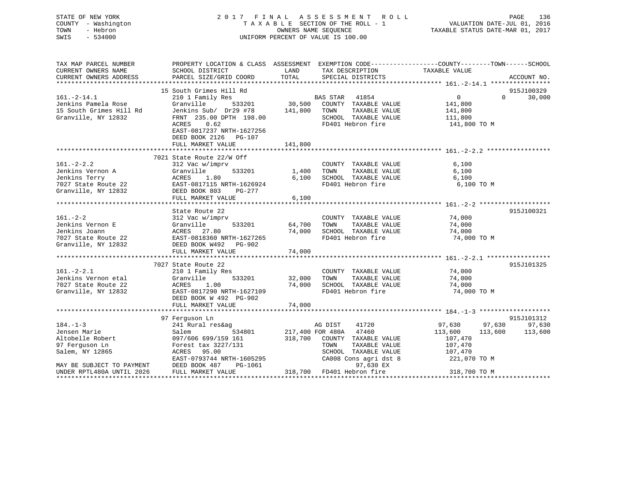# STATE OF NEW YORK 2 0 1 7 F I N A L A S S E S S M E N T R O L L PAGE 136 COUNTY - Washington T A X A B L E SECTION OF THE ROLL - 1 VALUATION DATE-JUL 01, 2016 TOWN - Hebron OWNERS NAME SEQUENCE TAXABLE STATUS DATE-MAR 01, 2017 SWIS - 534000 UNIFORM PERCENT OF VALUE IS 100.00

| TAX MAP PARCEL NUMBER                                                 | PROPERTY LOCATION & CLASS ASSESSMENT EXEMPTION CODE----------------COUNTY-------TOWN------SCHOOL                    |               |                                                                     |                       |                                 |
|-----------------------------------------------------------------------|---------------------------------------------------------------------------------------------------------------------|---------------|---------------------------------------------------------------------|-----------------------|---------------------------------|
| CURRENT OWNERS NAME<br>CURRENT OWNERS ADDRESS                         | SCHOOL DISTRICT<br>PARCEL SIZE/GRID COORD                                                                           | LAND<br>TOTAL | TAX DESCRIPTION<br>SPECIAL DISTRICTS                                | TAXABLE VALUE         | ACCOUNT NO.                     |
|                                                                       |                                                                                                                     |               |                                                                     |                       |                                 |
|                                                                       | 15 South Grimes Hill Rd                                                                                             |               |                                                                     |                       | 915J100329                      |
| $161.-2-14.1$                                                         | 210 1 Family Res                                                                                                    |               | <b>BAS STAR</b> 41854                                               | $\overline{0}$        | $\Omega$ and $\Omega$<br>30,000 |
| Jonkins Pamela Rose<br>15 South Grimes Hill Rd<br>Cranville. NY 12832 | Granville                                                                                                           |               | 533201 30,500 COUNTY TAXABLE VALUE                                  | 141,800               |                                 |
|                                                                       | Jenkins Sub/ Dr29 #78 141,800 TOWN                                                                                  |               | TAXABLE VALUE                                                       | 141,800               |                                 |
| Granville, NY 12832                                                   | FRNT 235.00 DPTH 198.00                                                                                             |               | SCHOOL TAXABLE VALUE                                                | 111,800               |                                 |
|                                                                       | 0.62<br>ACRES                                                                                                       |               | FD401 Hebron fire                                                   | 141,800 TO M          |                                 |
|                                                                       | EAST-0817237 NRTH-1627256                                                                                           |               |                                                                     |                       |                                 |
|                                                                       | DEED BOOK 2126 PG-107                                                                                               |               |                                                                     |                       |                                 |
|                                                                       | FULL MARKET VALUE                                                                                                   | 141,800       |                                                                     |                       |                                 |
|                                                                       |                                                                                                                     |               |                                                                     |                       |                                 |
|                                                                       | 7021 State Route 22/W Off                                                                                           |               |                                                                     |                       |                                 |
| $161. - 2 - 2.2$                                                      | 312 Vac w/imprv                                                                                                     |               | COUNTY TAXABLE VALUE                                                | 6,100                 |                                 |
|                                                                       | 533201                                                                                                              | 1,400 TOWN    | TAXABLE VALUE                                                       | 6,100                 |                                 |
|                                                                       |                                                                                                                     |               | 1,400    TOWN      TAXABLE VALUE<br>6,100    SCHOOL   TAXABLE VALUE | 6,⊥∪∪<br>6,100        |                                 |
|                                                                       | 7027 State Route 22<br>The Fact Counter of EAST-0817115 NRTH-1626924<br>Granville, NY 12832<br>DEED BOOK 803 PG-277 |               | FD401 Hebron fire                                                   | 6,100 TO M            |                                 |
|                                                                       |                                                                                                                     |               |                                                                     |                       |                                 |
|                                                                       | FULL MARKET VALUE                                                                                                   | 6,100         |                                                                     |                       |                                 |
|                                                                       |                                                                                                                     |               |                                                                     |                       |                                 |
|                                                                       | State Route 22                                                                                                      |               |                                                                     |                       | 915J100321                      |
| $161 - 2 - 2$                                                         | 312 Vac w/imprv                                                                                                     |               | COUNTY TAXABLE VALUE                                                | 74,000<br>74.000      |                                 |
| Jenkins Vernon E                                                      | 533201<br>Granville                                                                                                 | 64,700 TOWN   | TAXABLE VALUE                                                       | 74,000                |                                 |
| Jenkins Joann                                                         | ACRES 27.80<br>22 EAST-0818360 NRTH-1627265<br>332 DEED BOOK W492 PG-902                                            | 74,000        | SCHOOL TAXABLE VALUE 74,000                                         |                       |                                 |
| 7027 State Route 22                                                   |                                                                                                                     |               | FD401 Hebron fire                                                   | 74,000 TO M           |                                 |
| Granville, NY 12832                                                   |                                                                                                                     |               |                                                                     |                       |                                 |
|                                                                       | FULL MARKET VALUE                                                                                                   | 74,000        |                                                                     |                       |                                 |
|                                                                       |                                                                                                                     |               |                                                                     |                       |                                 |
| $161. - 2 - 2.1$                                                      | 7027 State Route 22                                                                                                 |               |                                                                     | 74,000                | 915J101325                      |
| Jenkins Vernon etal                                                   | 210 1 Family Res                                                                                                    | 533201 32,000 | COUNTY TAXABLE VALUE<br>TOWN                                        | 74,000                |                                 |
|                                                                       | Granville                                                                                                           |               | TAXABLE VALUE                                                       |                       |                                 |
| 7027 State Route 22<br>Granville, NY 12832                            | 1.00<br>ACRES<br>EAST-0817290 NRTH-1627109                                                                          | 74,000        | SCHOOL TAXABLE VALUE<br>FD401 Hebron fire                           | 74,000<br>74,000 TO M |                                 |
|                                                                       |                                                                                                                     |               |                                                                     |                       |                                 |
|                                                                       | DEED BOOK W 492 PG-902<br>FULL MARKET VALUE                                                                         | 74,000        |                                                                     |                       |                                 |
|                                                                       |                                                                                                                     |               |                                                                     |                       |                                 |
|                                                                       | 97 Ferquson Ln                                                                                                      |               |                                                                     |                       | 915J101312                      |
| $184. - 1 - 3$                                                        | 241 Rural res&aq                                                                                                    |               | 41720                                                               | 97,630 97,630         | 97,630                          |
| Jensen Marie                                                          | 534801<br>Salem                                                                                                     |               | AG DIST 41720<br>217,400 FOR 480A 47460                             | 113,600<br>113,600    | 113,600                         |
|                                                                       | Altobelle Robert 097/606 699/159 161                                                                                |               | 318,700 COUNTY TAXABLE VALUE                                        | 107,470               |                                 |
| 97 Ferguson Ln                                                        | Forest tax 3227/131                                                                                                 |               | TOWN<br>TAXABLE VALUE                                               | 107,470               |                                 |
| Salem, NY 12865                                                       | ACRES 95.00                                                                                                         |               | SCHOOL TAXABLE VALUE                                                | 107,470               |                                 |
|                                                                       | EAST-0793744 NRTH-1605295                                                                                           |               | CA008 Cons agri dst 8                                               | 221,070 TO M          |                                 |
| MAY BE SUBJECT TO PAYMENT                                             | DEED BOOK 487<br>PG-1061                                                                                            |               | 97,630 EX                                                           |                       |                                 |
| UNDER RPTL480A UNTIL 2026                                             | FULL MARKET VALUE                                                                                                   |               | 318,700 FD401 Hebron fire                                           | 318,700 TO M          |                                 |
|                                                                       |                                                                                                                     |               |                                                                     |                       |                                 |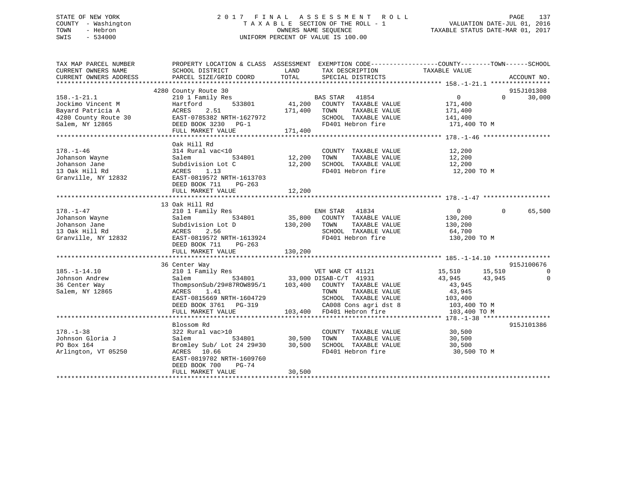# STATE OF NEW YORK 2 0 1 7 F I N A L A S S E S S M E N T R O L L PAGE 137 COUNTY - Washington T A X A B L E SECTION OF THE ROLL - 1 VALUATION DATE-JUL 01, 2016 TOWN - Hebron OWNERS NAME SEQUENCE TAXABLE STATUS DATE-MAR 01, 2017 SWIS - 534000 UNIFORM PERCENT OF VALUE IS 100.00

| TAX MAP PARCEL NUMBER<br>CURRENT OWNERS NAME<br>CURRENT OWNERS ADDRESS                                                                                                                                                                                                                                                 | PROPERTY LOCATION & CLASS ASSESSMENT EXEMPTION CODE----------------COUNTY-------TOWN------SCHOOL                                                                                                                                                                                                                                                                                           |                                                                                                                                                                                                                                                                                                                                              | ACCOUNT NO.                 |
|------------------------------------------------------------------------------------------------------------------------------------------------------------------------------------------------------------------------------------------------------------------------------------------------------------------------|--------------------------------------------------------------------------------------------------------------------------------------------------------------------------------------------------------------------------------------------------------------------------------------------------------------------------------------------------------------------------------------------|----------------------------------------------------------------------------------------------------------------------------------------------------------------------------------------------------------------------------------------------------------------------------------------------------------------------------------------------|-----------------------------|
| $158. - 1 - 21.1$<br>198.-1-21.1<br>30 Jockimo Vincent M<br>30 Jockimo Vincent M<br>30 Hartford 533801 41,200 COUNTY TAXABLE VALUE 171,400<br>41,400 TOWN TAXABLE VALUE 171,400<br>4280 County Route 30 EAST-0785382 NRTH-1627972 SCHOOL TAXABLE VALUE 141,40                                                          | 4280 County Route 30                                                                                                                                                                                                                                                                                                                                                                       |                                                                                                                                                                                                                                                                                                                                              | 915J101308<br>$0 \t 30,000$ |
|                                                                                                                                                                                                                                                                                                                        | Oak Hill Rd<br>DEED BOOK 711<br>PG-263                                                                                                                                                                                                                                                                                                                                                     | COUNTY TAXABLE VALUE 12,200<br>al vac<10 $\begin{array}{cccccc} \text{COUNTY} & \text{TABLE VALUE} & \text{12,200} \\ \text{534801} & \text{12,200} & \text{TOWN} & \text{TAXABLE VALUE} & \text{12,200} \\ \text{sion Lot C} & \text{12,200} & \text{SCHOOL TAXABLE VALUE} & \text{12,200} \\ \end{array}$<br>FD401 Hebron fire 12,200 TO M |                             |
| 178.-1-47<br>18.-1-47<br>18.-1-47<br>18.-1-47<br>534801<br>534801<br>534801<br>534801<br>534801<br>534801<br>534801<br>536,800<br>200 COUNTY TAXABLE VALUE<br>TAXABLE VALUE<br>TAXABLE VALUE<br>2.56<br>SCHOOL TAXABLE VALUE<br>SCHOOL TAXABLE VALUE<br>130,200<br>5                                                   | 13 Oak Hill Rd                                                                                                                                                                                                                                                                                                                                                                             |                                                                                                                                                                                                                                                                                                                                              | 65,500<br>$\Omega$          |
| $\begin{tabular}{lllllllllllll} 185.-1-14.10 & 36 \mbox{Center way} & 15,510 & 15,510 & 15,510 & 15,510 & 15,510 & 15,510 & 15,510 & 15,510 & 15,510 & 15,510 & 15,510 & 15,510 & 15,510 & 15,510 & 15,510 & 15,510 & 15,510 & 15,510 & 15,510 & 15,510 & 15,510 & 15,510 & 15,51$<br>Johnson Andrew<br>Johnson Andrew | 36 Center Way                                                                                                                                                                                                                                                                                                                                                                              |                                                                                                                                                                                                                                                                                                                                              | 915J100676                  |
| $178. - 1 - 38$<br>Johnson Gloria J<br>PO Box 164<br>Arlington, VT 05250                                                                                                                                                                                                                                               | Blossom Rd<br>$\begin{tabular}{lcccccc}322 Rural vac >10 & & & \textbf{COUNTY TAXABLE VALUE} & & & 30,500 \\ \texttt{Salem} & & 534801 & & 30,500 & \texttt{TOWN} & \texttt{TAXABLE VALUE} & & 30,500 \\ \texttt{Bromley Sub/ Lot 24 29\#30} & & 30,500 & \texttt{SCHOOL TAXABLE VALUE} & & 30,500 \\ \end{tabular}$<br>ACRES 10.66<br>EAST-0819702 NRTH-1609760<br>DEED BOOK 700<br>PG-74 | FD401 Hebron fire 30,500 TO M                                                                                                                                                                                                                                                                                                                | 915J101386                  |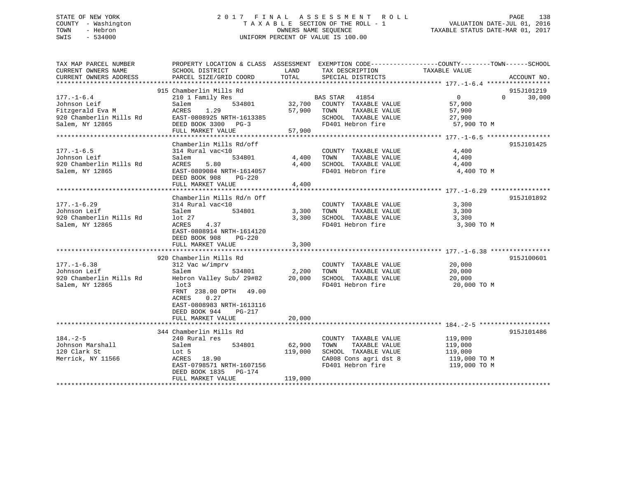# STATE OF NEW YORK 2 0 1 7 F I N A L A S S E S S M E N T R O L L PAGE 138 COUNTY - Washington T A X A B L E SECTION OF THE ROLL - 1 VALUATION DATE-JUL 01, 2016 TOWN - Hebron OWNERS NAME SEQUENCE TAXABLE STATUS DATE-MAR 01, 2017 SWIS - 534000 UNIFORM PERCENT OF VALUE IS 100.00

| TAX MAP PARCEL NUMBER                   | PROPERTY LOCATION & CLASS ASSESSMENT EXEMPTION CODE----------------COUNTY-------TOWN------SCHOOL |              |                                                     |                     |                    |
|-----------------------------------------|--------------------------------------------------------------------------------------------------|--------------|-----------------------------------------------------|---------------------|--------------------|
| CURRENT OWNERS NAME                     | SCHOOL DISTRICT                                                                                  | LAND         | TAX DESCRIPTION                                     | TAXABLE VALUE       |                    |
| CURRENT OWNERS ADDRESS                  | PARCEL SIZE/GRID COORD                                                                           | TOTAL        | SPECIAL DISTRICTS                                   |                     | ACCOUNT NO.        |
|                                         | 915 Chamberlin Mills Rd                                                                          |              |                                                     |                     | 915J101219         |
| $177. - 1 - 6.4$                        | 210 1 Family Res                                                                                 |              | BAS STAR 41854                                      | $\overline{0}$      | $\Omega$<br>30,000 |
| Johnson Leif                            | 534801<br>Salem                                                                                  |              | 32,700 COUNTY TAXABLE VALUE                         | 57,900              |                    |
| Fitzgerald Eva M                        | ACRES<br>1.29                                                                                    | 57,900       | TAXABLE VALUE<br>TOWN                               | 57,900              |                    |
| 920 Chamberlin Mills Rd                 | EAST-0808925 NRTH-1613385                                                                        |              | SCHOOL TAXABLE VALUE                                | 27,900              |                    |
| Salem, NY 12865                         | DEED BOOK 3300 PG-3                                                                              |              | FD401 Hebron fire                                   | 57,900 TO M         |                    |
|                                         | FULL MARKET VALUE                                                                                | 57,900       |                                                     |                     |                    |
|                                         |                                                                                                  |              |                                                     |                     |                    |
|                                         | Chamberlin Mills Rd/off                                                                          |              |                                                     |                     | 915J101425         |
| $177. - 1 - 6.5$                        | 314 Rural vac<10                                                                                 |              | COUNTY TAXABLE VALUE                                | 4,400               |                    |
| Johnson Leif                            | 534801<br>Salem                                                                                  | 4,400        | TOWN<br>TAXABLE VALUE                               | 4,400               |                    |
| 920 Chamberlin Mills Rd                 | ACRES<br>5.80                                                                                    | 4,400        | SCHOOL TAXABLE VALUE                                | 4,400               |                    |
| Salem, NY 12865                         | EAST-0809084 NRTH-1614057                                                                        |              | FD401 Hebron fire                                   | 4,400 TO M          |                    |
|                                         | DEED BOOK 908<br>PG-220                                                                          |              |                                                     |                     |                    |
|                                         | FULL MARKET VALUE                                                                                | 4,400        |                                                     |                     |                    |
|                                         |                                                                                                  |              |                                                     |                     |                    |
|                                         | Chamberlin Mills Rd/n Off                                                                        |              |                                                     |                     | 915J101892         |
| $177. - 1 - 6.29$                       | 314 Rural vac<10                                                                                 |              | COUNTY TAXABLE VALUE                                | 3,300               |                    |
| Johnson Leif<br>920 Chamberlin Mills Rd | 534801<br>Salem                                                                                  | 3,300        | TAXABLE VALUE<br>TOWN<br>3,300 SCHOOL TAXABLE VALUE | 3,300               |                    |
| Salem, NY 12865                         | lot 27<br>4.37<br>ACRES                                                                          |              | FD401 Hebron fire                                   | 3,300<br>3,300 TO M |                    |
|                                         | EAST-0808914 NRTH-1614120                                                                        |              |                                                     |                     |                    |
|                                         | DEED BOOK 908<br>$PG-220$                                                                        |              |                                                     |                     |                    |
|                                         | FULL MARKET VALUE                                                                                | 3,300        |                                                     |                     |                    |
|                                         |                                                                                                  |              |                                                     |                     |                    |
|                                         | 920 Chamberlin Mills Rd                                                                          |              |                                                     |                     | 915J100601         |
| $177. - 1 - 6.38$                       | 312 Vac w/imprv                                                                                  |              | COUNTY TAXABLE VALUE                                | 20,000              |                    |
| Johnson Leif                            | Salem                                                                                            | 534801 2,200 | TOWN<br>TAXABLE VALUE                               | 20,000              |                    |
| 920 Chamberlin Mills Rd                 | Hebron Valley Sub/ 29#82 20,000                                                                  |              | SCHOOL TAXABLE VALUE                                | 20,000              |                    |
| Salem, NY 12865                         | lot3                                                                                             |              | FD401 Hebron fire                                   | 20,000 TO M         |                    |
|                                         | FRNT 238.00 DPTH 49.00                                                                           |              |                                                     |                     |                    |
|                                         | 0.27<br>ACRES                                                                                    |              |                                                     |                     |                    |
|                                         | EAST-0808983 NRTH-1613116                                                                        |              |                                                     |                     |                    |
|                                         | DEED BOOK 944<br>PG-217                                                                          |              |                                                     |                     |                    |
|                                         | FULL MARKET VALUE                                                                                | 20,000       |                                                     |                     |                    |
|                                         |                                                                                                  |              |                                                     |                     |                    |
| $184. - 2 - 5$                          | 344 Chamberlin Mills Rd<br>240 Rural res                                                         |              |                                                     | 119,000             | 915J101486         |
| Johnson Marshall                        | 534801<br>Salem                                                                                  | 62,900       | COUNTY TAXABLE VALUE<br>TOWN<br>TAXABLE VALUE       | 119,000             |                    |
| 120 Clark St                            | Lot 5                                                                                            | 119,000      | SCHOOL TAXABLE VALUE                                | 119,000             |                    |
| Merrick, NY 11566                       | ACRES 18.90                                                                                      |              | CA008 Cons agri dst 8                               | 119,000 TO M        |                    |
|                                         | EAST-0798571 NRTH-1607156                                                                        |              | FD401 Hebron fire                                   | 119,000 TO M        |                    |
|                                         | DEED BOOK 1835 PG-174                                                                            |              |                                                     |                     |                    |
|                                         | FULL MARKET VALUE                                                                                | 119,000      |                                                     |                     |                    |
|                                         |                                                                                                  |              |                                                     |                     |                    |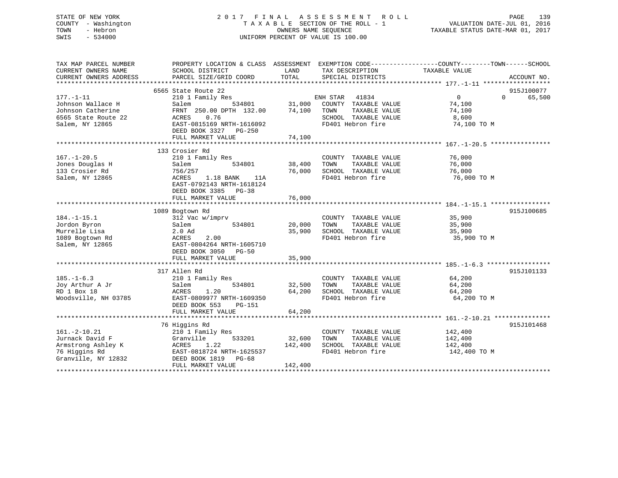# STATE OF NEW YORK 2 0 1 7 F I N A L A S S E S S M E N T R O L L PAGE 139 COUNTY - Washington T A X A B L E SECTION OF THE ROLL - 1 VALUATION DATE-JUL 01, 2016 TOWN - Hebron OWNERS NAME SEQUENCE TAXABLE STATUS DATE-MAR 01, 2017 SWIS - 534000 UNIFORM PERCENT OF VALUE IS 100.00

| TAX MAP PARCEL NUMBER<br>CURRENT OWNERS NAME<br>CURRENT OWNERS ADDRESS | PROPERTY LOCATION & CLASS ASSESSMENT EXEMPTION CODE----------------COUNTY-------TOWN------SCHOOL<br>SCHOOL DISTRICT<br>PARCEL SIZE/GRID COORD | LAND<br>TOTAL | TAX DESCRIPTION<br>SPECIAL DISTRICTS          | TAXABLE VALUE    | ACCOUNT NO.        |
|------------------------------------------------------------------------|-----------------------------------------------------------------------------------------------------------------------------------------------|---------------|-----------------------------------------------|------------------|--------------------|
|                                                                        | 6565 State Route 22                                                                                                                           |               |                                               |                  | 915J100077         |
| $177. - 1 - 11$                                                        | 210 1 Family Res                                                                                                                              |               | ENH STAR<br>41834                             | $\overline{0}$   | 65,500<br>$\Omega$ |
| Johnson Wallace H                                                      |                                                                                                                                               | 31,000        |                                               |                  |                    |
| Johnson Catherine                                                      | Salem<br>534801<br>FRNT 250.00 DPTH 132.00                                                                                                    | 74,100        | COUNTY TAXABLE VALUE<br>TOWN<br>TAXABLE VALUE | 74,100<br>74,100 |                    |
|                                                                        | 0.76                                                                                                                                          |               |                                               |                  |                    |
| 6565 State Route 22                                                    | ACRES                                                                                                                                         |               | SCHOOL TAXABLE VALUE                          | 8,600            |                    |
| Salem, NY 12865                                                        | EAST-0815169 NRTH-1616092<br>DEED BOOK 3327 PG-250                                                                                            |               | FD401 Hebron fire                             | 74,100 TO M      |                    |
|                                                                        | FULL MARKET VALUE                                                                                                                             | 74,100        |                                               |                  |                    |
|                                                                        |                                                                                                                                               |               |                                               |                  |                    |
|                                                                        | 133 Crosier Rd                                                                                                                                |               |                                               |                  |                    |
| $167. - 1 - 20.5$                                                      | 210 1 Family Res                                                                                                                              |               | COUNTY TAXABLE VALUE                          | 76,000           |                    |
| Jones Douglas H                                                        | 534801<br>Salem                                                                                                                               | 38,400        | TAXABLE VALUE<br>TOWN                         | 76,000           |                    |
| 133 Crosier Rd                                                         | 756/257                                                                                                                                       | 76,000        | SCHOOL TAXABLE VALUE                          | 76,000           |                    |
| Salem, NY 12865                                                        | ACRES<br>1.18 BANK<br>11A<br>EAST-0792143 NRTH-1618124<br>DEED BOOK 3385 PG-38                                                                |               | FD401 Hebron fire                             | 76,000 TO M      |                    |
|                                                                        | FULL MARKET VALUE                                                                                                                             | 76,000        |                                               |                  |                    |
|                                                                        |                                                                                                                                               |               |                                               |                  |                    |
|                                                                        | 1089 Bogtown Rd                                                                                                                               |               |                                               |                  | 915J100685         |
| $184. - 1 - 15.1$                                                      | 312 Vac w/imprv                                                                                                                               |               | COUNTY TAXABLE VALUE                          | 35,900           |                    |
| Jordon Byron                                                           | 534801<br>Salem                                                                                                                               | 20,000        | TOWN<br>TAXABLE VALUE                         | 35,900           |                    |
| Murrelle Lisa                                                          | $2.0$ Ad                                                                                                                                      | 35,900        | SCHOOL TAXABLE VALUE                          | 35,900           |                    |
| 1089 Bogtown Rd                                                        | 2.00<br>ACRES                                                                                                                                 |               | FD401 Hebron fire                             | 35,900 TO M      |                    |
| Salem, NY 12865                                                        | EAST-0804264 NRTH-1605710<br>DEED BOOK 3050 PG-50                                                                                             |               |                                               |                  |                    |
|                                                                        | FULL MARKET VALUE                                                                                                                             | 35,900        |                                               |                  |                    |
|                                                                        |                                                                                                                                               |               |                                               |                  |                    |
|                                                                        | 317 Allen Rd                                                                                                                                  |               |                                               |                  | 915J101133         |
| $185. - 1 - 6.3$                                                       | 210 1 Family Res                                                                                                                              |               | COUNTY TAXABLE VALUE                          | 64,200           |                    |
| Joy Arthur A Jr                                                        | 534801<br>Salem                                                                                                                               | 32,500        | TAXABLE VALUE<br>TOWN                         | 64,200           |                    |
| RD 1 Box 18                                                            | ACRES<br>1.20                                                                                                                                 | 64,200        | SCHOOL TAXABLE VALUE                          | 64,200           |                    |
| Woodsville, NH 03785                                                   | EAST-0809977 NRTH-1609350<br>DEED BOOK 553<br>PG-151                                                                                          |               | FD401 Hebron fire                             | 64,200 TO M      |                    |
|                                                                        | FULL MARKET VALUE                                                                                                                             | 64,200        |                                               |                  |                    |
|                                                                        |                                                                                                                                               |               |                                               |                  |                    |
|                                                                        | 76 Higgins Rd                                                                                                                                 |               |                                               |                  | 915J101468         |
| $161. -2 - 10.21$                                                      | 210 1 Family Res                                                                                                                              |               | COUNTY TAXABLE VALUE                          | 142,400          |                    |
| Jurnack David F                                                        | Granville<br>533201                                                                                                                           | 32,600        | TOWN<br>TAXABLE VALUE                         | 142,400          |                    |
| Armstrong Ashley K                                                     | 1.22<br>ACRES                                                                                                                                 | 142,400       | SCHOOL TAXABLE VALUE                          | 142,400          |                    |
| 76 Higgins Rd                                                          | EAST-0818724 NRTH-1625537                                                                                                                     |               | FD401 Hebron fire                             | 142,400 TO M     |                    |
| Granville, NY 12832                                                    | DEED BOOK 1819<br>PG-68                                                                                                                       |               |                                               |                  |                    |
|                                                                        | FULL MARKET VALUE                                                                                                                             | 142,400       |                                               |                  |                    |
|                                                                        |                                                                                                                                               |               |                                               |                  |                    |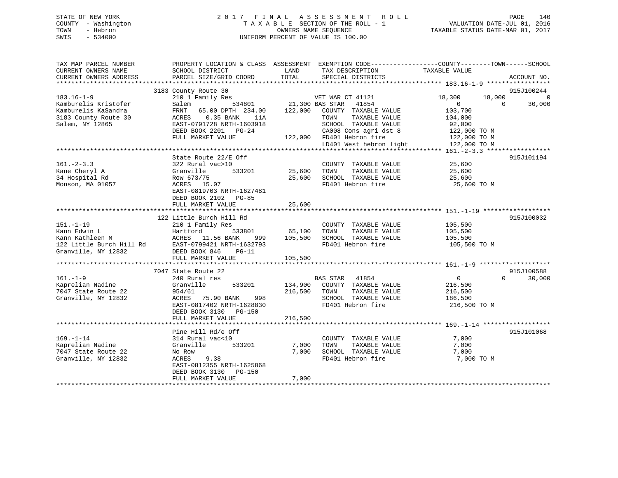# STATE OF NEW YORK 2 0 1 7 F I N A L A S S E S S M E N T R O L L PAGE 140 COUNTY - Washington T A X A B L E SECTION OF THE ROLL - 1 VALUATION DATE-JUL 01, 2016 TOWN - Hebron OWNERS NAME SEQUENCE TAXABLE STATUS DATE-MAR 01, 2017 SWIS - 534000 UNIFORM PERCENT OF VALUE IS 100.00

| TAX MAP PARCEL NUMBER | PROPERTY LOCATION & CLASS ASSESSMENT EXEMPTION CODE----------------COUNTY-------TOWN-----SCHOOL               |              |                                                                                                               |                              |                |                    |
|-----------------------|---------------------------------------------------------------------------------------------------------------|--------------|---------------------------------------------------------------------------------------------------------------|------------------------------|----------------|--------------------|
| CURRENT OWNERS NAME   | SCHOOL DISTRICT                                                                                               | LAND         | TAX DESCRIPTION                                                                                               | TAXABLE VALUE                |                |                    |
|                       |                                                                                                               |              |                                                                                                               |                              |                |                    |
|                       |                                                                                                               |              |                                                                                                               |                              |                |                    |
|                       | 3183 County Route 30                                                                                          |              |                                                                                                               |                              |                | 915J100244         |
| $183.16 - 1 - 9$      |                                                                                                               |              |                                                                                                               | 18,300                       | 18,000         | $\Omega$           |
| Kamburelis Kristofer  |                                                                                                               |              |                                                                                                               | $\overline{0}$               | $\overline{0}$ | 30,000             |
| Kamburelis KaSandra   | 210 1 Family Res<br>Salem 534801 21,300 BAS STAR 41854<br>FRNT 65.00 DPTH 234.00 122,000 COUNTY TAXABLE VALUE |              |                                                                                                               | 103,700                      |                |                    |
| 3183 County Route 30  | ACRES 0.35 BANK 11A                                                                                           |              | TAXABLE VALUE<br>TOWN                                                                                         | 104,000                      |                |                    |
| Salem, NY 12865       | EAST-0791728 NRTH-1603918                                                                                     |              | SCHOOL TAXABLE VALUE                                                                                          | 92,000                       |                |                    |
|                       | DEED BOOK 2201 PG-24                                                                                          |              | CA008 Cons agri dst 8<br>122,000 FD401 Hebron fire                                                            | 122,000 TO M<br>122,000 TO M |                |                    |
|                       | FULL MARKET VALUE                                                                                             |              |                                                                                                               |                              |                |                    |
|                       |                                                                                                               |              | LD401 West hebron light 122,000 TO M                                                                          |                              |                |                    |
|                       |                                                                                                               |              |                                                                                                               |                              |                |                    |
|                       | State Route 22/E Off                                                                                          |              |                                                                                                               |                              |                | 915J101194         |
| $161. - 2 - 3.3$      | 322 Rural vac>10                                                                                              |              | COUNTY TAXABLE VALUE 25,600                                                                                   |                              |                |                    |
| Kane Cheryl A         | 533201 25,600 TOWN<br>Granville                                                                               |              | TAXABLE VALUE 25,600                                                                                          |                              |                |                    |
| 34 Hospital Rd        |                                                                                                               |              | 25,600 SCHOOL TAXABLE VALUE                                                                                   | 25,600                       |                |                    |
| Monson, MA 01057      | Row 673/75<br>ACRES 15.07                                                                                     |              | FD401 Hebron fire                                                                                             | 25,600 TO M                  |                |                    |
|                       | EAST-0819703 NRTH-1627481                                                                                     |              |                                                                                                               |                              |                |                    |
|                       | DEED BOOK 2102 PG-85                                                                                          |              |                                                                                                               |                              |                |                    |
|                       |                                                                                                               |              |                                                                                                               |                              |                |                    |
|                       |                                                                                                               |              |                                                                                                               |                              |                |                    |
|                       | 122 Little Burch Hill Rd                                                                                      |              |                                                                                                               |                              |                | 915J100032         |
| $151. - 1 - 19$       | 210 1 Family Res                                                                                              |              | COUNTY TAXABLE VALUE 105,500                                                                                  |                              |                |                    |
|                       |                                                                                                               |              |                                                                                                               |                              |                |                    |
|                       |                                                                                                               |              | $\frac{105,33801}{105,500}$ 65,100 TOWN TAXABLE VALUE 105,500<br>ANK 999 105,500 SCHOOL TAXABLE VALUE 105,500 |                              |                |                    |
|                       |                                                                                                               |              | FD401 Hebron fire                                                                                             | 105,500 TO M                 |                |                    |
|                       |                                                                                                               |              |                                                                                                               |                              |                |                    |
|                       |                                                                                                               |              |                                                                                                               |                              |                |                    |
|                       |                                                                                                               |              |                                                                                                               |                              |                |                    |
|                       | 7047 State Route 22                                                                                           |              |                                                                                                               |                              |                | 915J100588         |
| $161. - 1 - 9$        | 240 Rural res                                                                                                 |              | <b>BAS STAR 41854</b>                                                                                         | $\overline{0}$               |                | $\Omega$<br>30,000 |
| Kaprelian Nadine      | Granville                                                                                                     |              | 533201 134,900 COUNTY TAXABLE VALUE 216,500                                                                   |                              |                |                    |
| 7047 State Route 22   | 954/61                                                                                                        | 216,500 TOWN | TAXABLE VALUE                                                                                                 | 216,500                      |                |                    |
| Granville, NY 12832   | ACRES 75.90 BANK 998                                                                                          |              | SCHOOL TAXABLE VALUE 186,500                                                                                  |                              |                |                    |
|                       | EAST-0817402 NRTH-1628830                                                                                     |              | FD401 Hebron fire                                                                                             | 216,500 TO M                 |                |                    |
|                       | DEED BOOK 3130 PG-150                                                                                         |              |                                                                                                               |                              |                |                    |
|                       | FULL MARKET VALUE                                                                                             | 216,500      |                                                                                                               |                              |                |                    |
|                       |                                                                                                               |              |                                                                                                               |                              |                |                    |
|                       | Pine Hill Rd/e Off                                                                                            |              |                                                                                                               |                              |                | 915J101068         |
| $169. - 1 - 14$       | 314 Rural vac<10                                                                                              |              | COUNTY TAXABLE VALUE                                                                                          | 7,000                        |                |                    |
| Kaprelian Nadine      | 533201<br>Granville                                                                                           | 7,000        | TAXABLE VALUE<br>TOWN                                                                                         | 7,000                        |                |                    |
| 7047 State Route 22   | No Row                                                                                                        | 7,000        | SCHOOL TAXABLE VALUE                                                                                          | 7,000                        |                |                    |
| Granville, NY 12832   | 9.38<br>ACRES                                                                                                 |              | FD401 Hebron fire                                                                                             | 7,000 TO M                   |                |                    |
|                       | EAST-0812355 NRTH-1625868                                                                                     |              |                                                                                                               |                              |                |                    |
|                       | DEED BOOK 3130 PG-150                                                                                         |              |                                                                                                               |                              |                |                    |
|                       | FULL MARKET VALUE                                                                                             | 7,000        |                                                                                                               |                              |                |                    |
|                       |                                                                                                               |              |                                                                                                               |                              |                |                    |
|                       |                                                                                                               |              |                                                                                                               |                              |                |                    |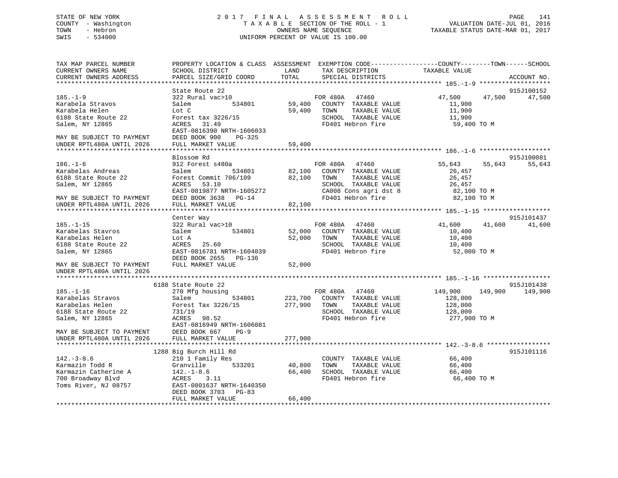# STATE OF NEW YORK 2 0 1 7 F I N A L A S S E S S M E N T R O L L PAGE 141 COUNTY - Washington T A X A B L E SECTION OF THE ROLL - 1 VALUATION DATE-JUL 01, 2016 TOWN - Hebron OWNERS NAME SEQUENCE TAXABLE STATUS DATE-MAR 01, 2017 SWIS - 534000 UNIFORM PERCENT OF VALUE IS 100.00

| TAX MAP PARCEL NUMBER<br>CURRENT OWNERS NAME | PROPERTY LOCATION & CLASS ASSESSMENT EXEMPTION CODE----------------COUNTY-------TOWN------SCHOOL<br>SCHOOL DISTRICT | LAND    | TAX DESCRIPTION       | TAXABLE VALUE      |             |
|----------------------------------------------|---------------------------------------------------------------------------------------------------------------------|---------|-----------------------|--------------------|-------------|
| CURRENT OWNERS ADDRESS                       | PARCEL SIZE/GRID COORD                                                                                              | TOTAL   | SPECIAL DISTRICTS     |                    | ACCOUNT NO. |
|                                              |                                                                                                                     |         |                       |                    |             |
|                                              | State Route 22                                                                                                      |         |                       |                    | 915J100152  |
| $185. - 1 - 9$                               | 322 Rural vac>10                                                                                                    |         | FOR 480A<br>47460     | 47,500<br>47,500   | 47,500      |
| Karabela Stravos                             | Salem<br>534801                                                                                                     | 59,400  | COUNTY TAXABLE VALUE  | 11,900             |             |
| Karabela Helen                               | Lot C                                                                                                               | 59,400  | TOWN<br>TAXABLE VALUE | 11,900             |             |
| 6188 State Route 22                          | Forest tax 3226/15                                                                                                  |         | SCHOOL TAXABLE VALUE  | 11,900             |             |
| Salem, NY 12865                              | ACRES 31.49                                                                                                         |         | FD401 Hebron fire     | 59,400 TO M        |             |
|                                              | EAST-0816390 NRTH-1606033                                                                                           |         |                       |                    |             |
| MAY BE SUBJECT TO PAYMENT                    | DEED BOOK 900<br>PG-325                                                                                             |         |                       |                    |             |
| UNDER RPTL480A UNTIL 2026                    | FULL MARKET VALUE                                                                                                   | 59,400  |                       |                    |             |
|                                              |                                                                                                                     |         |                       |                    |             |
|                                              | Blossom Rd                                                                                                          |         |                       |                    | 915J100081  |
| $186. - 1 - 6$                               | 912 Forest s480a                                                                                                    |         | FOR 480A 47460        | 55,643<br>55,643   | 55,643      |
| Karabelas Andreas                            | 534801<br>Salem                                                                                                     | 82,100  | COUNTY TAXABLE VALUE  | 26,457             |             |
| 6188 State Route 22                          | Forest Commit 706/109                                                                                               | 82,100  | TAXABLE VALUE<br>TOWN | 26,457             |             |
| Salem, NY 12865                              | ACRES<br>53.10                                                                                                      |         | SCHOOL TAXABLE VALUE  | 26,457             |             |
|                                              | EAST-0819877 NRTH-1605272                                                                                           |         | CA008 Cons agri dst 8 | 82,100 TO M        |             |
| MAY BE SUBJECT TO PAYMENT                    | DEED BOOK 3638 PG-14                                                                                                |         | FD401 Hebron fire     | 82,100 TO M        |             |
| UNDER RPTL480A UNTIL 2026                    | FULL MARKET VALUE                                                                                                   | 82,100  |                       |                    |             |
|                                              |                                                                                                                     |         |                       |                    |             |
|                                              | Center Way                                                                                                          |         |                       |                    | 915J101437  |
| $185. - 1 - 15$                              | 322 Rural vac>10                                                                                                    |         | FOR 480A<br>47460     | 41,600<br>41,600   | 41,600      |
| Karabelas Stavros                            | Salem<br>534801                                                                                                     | 52,000  | COUNTY TAXABLE VALUE  | 10,400             |             |
| Karabelas Helen                              | Lot A                                                                                                               | 52,000  | TAXABLE VALUE<br>TOWN | 10,400             |             |
| 6188 State Route 22                          | 25.60<br>ACRES                                                                                                      |         | SCHOOL TAXABLE VALUE  | 10,400             |             |
| Salem, NY 12865                              | EAST-0816781 NRTH-1604039                                                                                           |         | FD401 Hebron fire     | 52,000 TO M        |             |
|                                              | DEED BOOK 2655<br>PG-136                                                                                            |         |                       |                    |             |
| MAY BE SUBJECT TO PAYMENT                    | FULL MARKET VALUE                                                                                                   | 52,000  |                       |                    |             |
| UNDER RPTL480A UNTIL 2026                    |                                                                                                                     |         |                       |                    |             |
| *********************                        |                                                                                                                     |         |                       |                    |             |
|                                              | 6188 State Route 22                                                                                                 |         |                       |                    | 915J101438  |
| $185. - 1 - 16$                              | 270 Mfg housing                                                                                                     |         | FOR 480A 47460        | 149,900<br>149,900 | 149,900     |
| Karabelas Stravos                            | Salem<br>534801                                                                                                     | 223,700 | COUNTY TAXABLE VALUE  | 128,000            |             |
| Karabelas Helen                              | Forest Tax 3226/15                                                                                                  | 277,900 | TOWN<br>TAXABLE VALUE | 128,000            |             |
| 6188 State Route 22                          | 731/19                                                                                                              |         | SCHOOL TAXABLE VALUE  | 128,000            |             |
| Salem, NY 12865                              | ACRES<br>98.52                                                                                                      |         | FD401 Hebron fire     | 277,900 TO M       |             |
|                                              | EAST-0816949 NRTH-1606081                                                                                           |         |                       |                    |             |
| MAY BE SUBJECT TO PAYMENT                    | DEED BOOK 667<br>$PG-9$                                                                                             |         |                       |                    |             |
| UNDER RPTL480A UNTIL 2026                    | FULL MARKET VALUE                                                                                                   | 277,900 |                       |                    |             |
|                                              |                                                                                                                     |         |                       |                    |             |
|                                              |                                                                                                                     |         |                       |                    | 915J101116  |
| $142.-3-8.6$                                 | 1288 Big Burch Hill Rd                                                                                              |         |                       | 66,400             |             |
|                                              | 210 1 Family Res                                                                                                    |         | COUNTY TAXABLE VALUE  |                    |             |
| Karmazin Todd R                              | Granville<br>533201                                                                                                 | 40,800  | TAXABLE VALUE<br>TOWN | 66,400             |             |
| Karmazin Catherine A                         | $142. - 1 - 8.6$                                                                                                    | 66,400  | SCHOOL TAXABLE VALUE  | 66,400             |             |
| 700 Broadway Blvd                            | ACRES<br>3.11                                                                                                       |         | FD401 Hebron fire     | 66,400 TO M        |             |
| Toms River, NJ 08757                         | EAST-0801637 NRTH-1640350                                                                                           |         |                       |                    |             |
|                                              | DEED BOOK 3703 PG-83                                                                                                |         |                       |                    |             |
|                                              | FULL MARKET VALUE                                                                                                   | 66,400  |                       |                    |             |
|                                              |                                                                                                                     |         |                       |                    |             |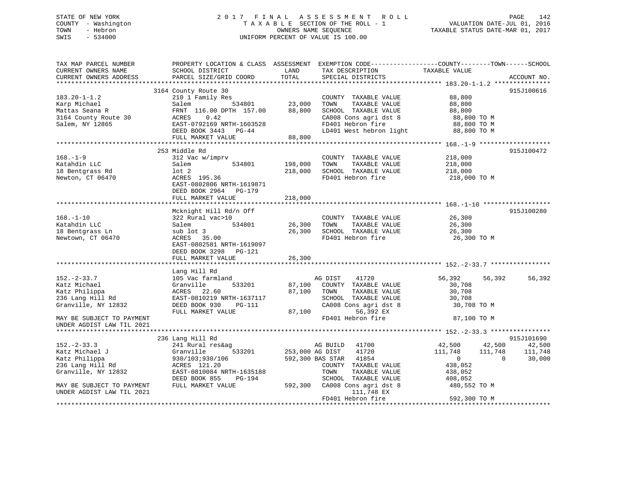# STATE OF NEW YORK 2 0 1 7 F I N A L A S S E S S M E N T R O L L PAGE 142 COUNTY - Washington T A X A B L E SECTION OF THE ROLL - 1 VALUATION DATE-JUL 01, 2016 TOWN - Hebron OWNERS NAME SEQUENCE TAXABLE STATUS DATE-MAR 01, 2017 SWIS - 534000 UNIFORM PERCENT OF VALUE IS 100.00

| CURRENT OWNERS NAME<br>SCHOOL DISTRICT<br>TAXABLE VALUE<br>LAND<br>TAX DESCRIPTION<br>TOTAL<br>CURRENT OWNERS ADDRESS<br>PARCEL SIZE/GRID COORD<br>SPECIAL DISTRICTS<br>***********************<br>3164 County Route 30 | ACCOUNT NO. |
|-------------------------------------------------------------------------------------------------------------------------------------------------------------------------------------------------------------------------|-------------|
|                                                                                                                                                                                                                         |             |
|                                                                                                                                                                                                                         |             |
|                                                                                                                                                                                                                         | 915J100616  |
| $183.20 - 1 - 1.2$<br>88,800<br>210 1 Family Res<br>COUNTY TAXABLE VALUE                                                                                                                                                |             |
| 534801<br>23,000<br>Karp Michael<br>TOWN<br>TAXABLE VALUE<br>88,800<br>Salem                                                                                                                                            |             |
| Mattas Seana R<br>FRNT 116.00 DPTH 157.00<br>88,800<br>SCHOOL TAXABLE VALUE<br>88,800                                                                                                                                   |             |
| 3164 County Route 30<br>CA008 Cons agri dst 8<br>ACRES<br>0.42<br>88,800 TO M                                                                                                                                           |             |
| FD401 Hebron fire<br>EAST-0792169 NRTH-1603528<br>Salem, NY 12865<br>88,800 TO M                                                                                                                                        |             |
| LD401 West hebron light<br>DEED BOOK 3443 PG-44<br>88,800 TO M                                                                                                                                                          |             |
| 88,800<br>FULL MARKET VALUE                                                                                                                                                                                             |             |
|                                                                                                                                                                                                                         |             |
| 253 Middle Rd                                                                                                                                                                                                           | 915J100472  |
| $168. - 1 - 9$<br>312 Vac w/imprv<br>218,000<br>COUNTY TAXABLE VALUE                                                                                                                                                    |             |
| Katahdin LLC<br>534801<br>198,000<br>TAXABLE VALUE<br>Salem<br>TOWN<br>218,000                                                                                                                                          |             |
| SCHOOL TAXABLE VALUE<br>18 Bentgrass Rd<br>$1$ ot $2$<br>218,000<br>218,000                                                                                                                                             |             |
| FD401 Hebron fire<br>Newton, CT 06470<br>ACRES 195.36<br>218,000 TO M                                                                                                                                                   |             |
| EAST-0802806 NRTH-1619871                                                                                                                                                                                               |             |
| DEED BOOK 2964 PG-179                                                                                                                                                                                                   |             |
| FULL MARKET VALUE<br>218,000                                                                                                                                                                                            |             |
|                                                                                                                                                                                                                         |             |
| Mcknight Hill Rd/n Off                                                                                                                                                                                                  | 915J100280  |
| $168. - 1 - 10$<br>322 Rural vac>10<br>26,300<br>COUNTY TAXABLE VALUE                                                                                                                                                   |             |
| 534801<br>26,300<br>Katahdin LLC<br>TOWN<br>TAXABLE VALUE<br>26,300<br>Salem                                                                                                                                            |             |
| 18 Bentgrass Ln<br>sub lot 3<br>26,300<br>SCHOOL TAXABLE VALUE<br>26,300                                                                                                                                                |             |
| Newtown, CT 06470<br>FD401 Hebron fire<br>26,300 TO M<br>ACRES 35.00                                                                                                                                                    |             |
| EAST-0802581 NRTH-1619097                                                                                                                                                                                               |             |
| DEED BOOK 3298 PG-121                                                                                                                                                                                                   |             |
| FULL MARKET VALUE<br>26,300                                                                                                                                                                                             |             |
|                                                                                                                                                                                                                         |             |
| Lang Hill Rd                                                                                                                                                                                                            |             |
| $152. - 2 - 33.7$<br>105 Vac farmland<br>AG DIST<br>41720<br>56,392<br>56,392                                                                                                                                           | 56,392      |
| Katz Michael<br>533201<br>30,708<br>Granville<br>87,100<br>COUNTY TAXABLE VALUE                                                                                                                                         |             |
| Katz Philippa<br>ACRES 22.60<br>87,100<br>TOWN<br>TAXABLE VALUE<br>30,708                                                                                                                                               |             |
| 236 Lang Hill Rd<br>EAST-0810219 NRTH-1637117<br>SCHOOL TAXABLE VALUE<br>30,708                                                                                                                                         |             |
| CA008 Cons agri dst 8<br>Granville, NY 12832<br>DEED BOOK 930<br>PG-111<br>30,708 TO M                                                                                                                                  |             |
| 56,392 EX<br>87,100<br>FULL MARKET VALUE                                                                                                                                                                                |             |
| FD401 Hebron fire<br>87,100 TO M<br>MAY BE SUBJECT TO PAYMENT                                                                                                                                                           |             |
|                                                                                                                                                                                                                         |             |
| UNDER AGDIST LAW TIL 2021                                                                                                                                                                                               |             |
| 236 Lang Hill Rd                                                                                                                                                                                                        | 915J101690  |
| $152 - 2 - 33.3$<br>241 Rural res&ag<br>AG BUILD<br>41700<br>42,500<br>42,500                                                                                                                                           | 42,500      |
|                                                                                                                                                                                                                         |             |
| 533201<br>Katz Michael J<br>253,000 AG DIST<br>41720<br>111,748<br>111,748<br>Granville                                                                                                                                 | 111,748     |
| Katz Philippa<br>592,300 BAS STAR<br>41854<br>$\overline{0}$<br>$\Omega$<br>930/103;930/106                                                                                                                             | 30,000      |
| 236 Lang Hill Rd<br>ACRES 121.20<br>COUNTY TAXABLE VALUE<br>438,052                                                                                                                                                     |             |
| Granville, NY 12832<br>EAST-0810084 NRTH-1635188<br>TOWN<br>TAXABLE VALUE<br>438,052                                                                                                                                    |             |
| DEED BOOK 855<br>PG-194<br>SCHOOL TAXABLE VALUE<br>408,052                                                                                                                                                              |             |
| FULL MARKET VALUE<br>592,300 CA008 Cons agri dst 8<br>480,552 TO M<br>MAY BE SUBJECT TO PAYMENT                                                                                                                         |             |
| UNDER AGDIST LAW TIL 2021<br>111,748 EX                                                                                                                                                                                 |             |
| 592,300 TO M<br>FD401 Hebron fire                                                                                                                                                                                       |             |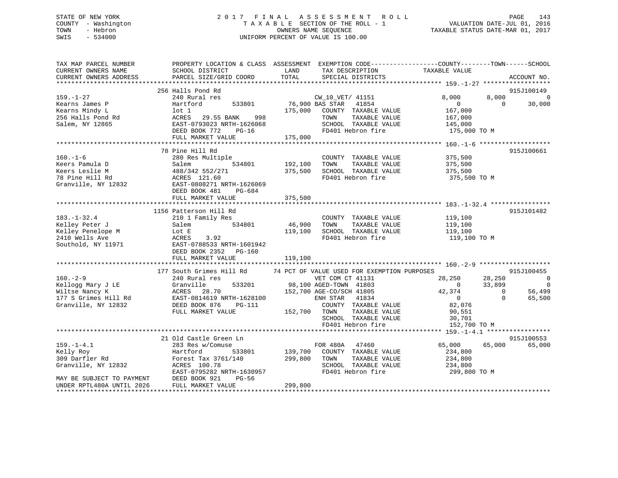# STATE OF NEW YORK 2017 FINAL ASSESSMENT ROLL PAGE 143 COUNTY - Washington  $\begin{array}{ccc} 1 & 0 & 0 \\ 0 & 0 & 0 \end{array}$  T A X A B L E SECTION OF THE ROLL - 1 TOWN SWIS - 534000 UNIFORM PERCENT OF VALUE IS 100.00

| TAX MAP PARCEL NUMBER     | PROPERTY LOCATION & CLASS ASSESSMENT EXEMPTION CODE---------------COUNTY-------TOWN------SCHOOL       |                |                                                       |                  |                |                          |
|---------------------------|-------------------------------------------------------------------------------------------------------|----------------|-------------------------------------------------------|------------------|----------------|--------------------------|
| CURRENT OWNERS NAME       | SCHOOL DISTRICT                                                                                       | LAND           | TAX DESCRIPTION                                       | TAXABLE VALUE    |                |                          |
| CURRENT OWNERS ADDRESS    | PARCEL SIZE/GRID COORD                                                                                | TOTAL          | SPECIAL DISTRICTS                                     |                  |                | ACCOUNT NO.              |
|                           |                                                                                                       |                |                                                       |                  |                |                          |
|                           | 256 Halls Pond Rd                                                                                     |                |                                                       |                  |                | 915J100149               |
| $159. - 1 - 27$           | 240 Rural res                                                                                         |                | $\frac{CW_1U_2V_{11}}{1854}$<br>76,900 BAS STAR 41854 | 8,000            | 8,000          | $\overline{0}$           |
| Kearns James P            | 533801<br>Hartford                                                                                    |                |                                                       | $\overline{0}$   | $\bigcap$      | 30,000                   |
| Kearns Mindy L            |                                                                                                       |                | 175,000 COUNTY TAXABLE VALUE                          | 167,000          |                |                          |
| 256 Halls Pond Rd         | lot 1<br>ACRES   29.55 BANK<br>998                                                                    |                | TAXABLE VALUE<br>TOWN                                 | 167,000          |                |                          |
| Salem, NY 12865           | EAST-0793023 NRTH-1626068                                                                             |                | SCHOOL TAXABLE VALUE                                  | 145,000          |                |                          |
|                           | DEED BOOK 772<br>PG-16                                                                                |                | FD401 Hebron fire                                     | 175,000 TO M     |                |                          |
|                           | FULL MARKET VALUE                                                                                     | 175,000        |                                                       |                  |                |                          |
|                           |                                                                                                       |                |                                                       |                  |                |                          |
|                           | 78 Pine Hill Rd                                                                                       |                |                                                       |                  |                | 915J100661               |
| $160. - 1 - 6$            | 280 Res Multiple                                                                                      |                | COUNTY TAXABLE VALUE                                  | 375,500          |                |                          |
| Keers Pamula D            | Salem                                                                                                 | 534801 192,100 | TOWN<br>TAXABLE VALUE                                 | 375,500          |                |                          |
| Keers Leslie M            | 488/342 552/271                                                                                       | 375,500        | SCHOOL TAXABLE VALUE                                  | 375,500          |                |                          |
| 78 Pine Hill Rd           | ACRES 121.60<br>EAST-0808271 I                                                                        |                | FD401 Hebron fire                                     | 375,500 TO M     |                |                          |
| Granville, NY 12832       | EAST-0808271 NRTH-1626069                                                                             |                |                                                       |                  |                |                          |
|                           | DEED BOOK 481<br>PG-684                                                                               |                |                                                       |                  |                |                          |
|                           | FULL MARKET VALUE                                                                                     | 375,500        |                                                       |                  |                |                          |
|                           |                                                                                                       |                |                                                       |                  |                |                          |
|                           | 1156 Patterson Hill Rd                                                                                |                |                                                       |                  |                | 915J101482               |
| $183. - 1 - 32.4$         | 210 1 Family Res                                                                                      |                | COUNTY TAXABLE VALUE                                  | 119,100          |                |                          |
| Kelley Peter J            | 534801<br>Salem                                                                                       | 46,900 TOWN    | TAXABLE VALUE                                         | 119,100          |                |                          |
| Kelley Penelope M         | Lot E                                                                                                 | 119,100        | SCHOOL TAXABLE VALUE                                  | 119,100          |                |                          |
| 2410 Wells Ave            | ACRES<br>3.92                                                                                         |                | FD401 Hebron fire                                     | 119,100 TO M     |                |                          |
| Southold, NY 11971        | EAST-0788533 NRTH-1601942                                                                             |                |                                                       |                  |                |                          |
|                           | DEED BOOK 2352 PG-160                                                                                 |                |                                                       |                  |                |                          |
|                           | FULL MARKET VALUE                                                                                     | 119,100        |                                                       |                  |                |                          |
|                           |                                                                                                       |                |                                                       |                  |                |                          |
|                           | 177 South Grimes Hill Rd 34 PCT OF VALUE USED FOR EXEMPTION PURPOSES                                  |                |                                                       |                  |                | 915J100455               |
| $160. - 2 - 9$            | 240 Rural res                                                                                         |                | VET COM CT 41131                                      | 28,250           | 28,250         | $\overline{\phantom{0}}$ |
| Kellogg Mary J LE         | 533201<br>Granville                                                                                   |                | 98,100 AGED-TOWN 41803                                | $\sim$ 0         | 33,899         | $\overline{0}$           |
| Wiltse Nancy K            | ACRES 28.70<br>EAST-0814619 NRTH-1628100                                                              |                | 152,700 AGE-CO/SCH 41805                              | 42,374           | $\overline{0}$ | 56,499                   |
| 177 S Grimes Hill Rd      |                                                                                                       |                | ENH STAR 41834                                        | $\overline{0}$   | $\Omega$       | 65,500                   |
| Granville, NY 12832       | DEED BOOK 876<br>PG-111                                                                               |                | COUNTY TAXABLE VALUE                                  | 82,076<br>90.551 |                |                          |
|                           | FULL MARKET VALUE                                                                                     | 152,700 TOWN   | TAXABLE VALUE                                         | 90,551           |                |                          |
|                           |                                                                                                       |                | SCHOOL TAXABLE VALUE                                  | 30,701           |                |                          |
|                           |                                                                                                       |                | FD401 Hebron fire                                     | 152,700 TO M     |                |                          |
|                           |                                                                                                       |                |                                                       |                  |                |                          |
|                           | 21 Old Castle Green Ln                                                                                |                |                                                       |                  |                | 915J100553               |
| $159. - 1 - 4.1$          | 283 Res w/Comuse                                                                                      |                | FOR 480A<br>47460                                     | 65,000           | 65,000         | 65,000                   |
| Kelly Roy                 | Hartford<br>533801                                                                                    |                | 139,700 COUNTY TAXABLE VALUE                          | 234,800          |                |                          |
| 309 Darfler Rd            |                                                                                                       | 299,800        | TOWN<br>TAXABLE VALUE                                 | 234,800          |                |                          |
|                           |                                                                                                       |                | SCHOOL TAXABLE VALUE                                  | 234,800          |                |                          |
|                           |                                                                                                       |                | FD401 Hebron fire                                     | 299,800 TO M     |                |                          |
|                           | 309 Darfler Rd<br>Granville, NY 12832 (ACRES 100.78<br>MAY BE SUBJECT TO PAYMENT (DEED BOOK 921 PG-56 |                |                                                       |                  |                |                          |
| UNDER RPTL480A UNTIL 2026 | FULL MARKET VALUE                                                                                     | 299,800        |                                                       |                  |                |                          |
|                           |                                                                                                       |                |                                                       |                  |                |                          |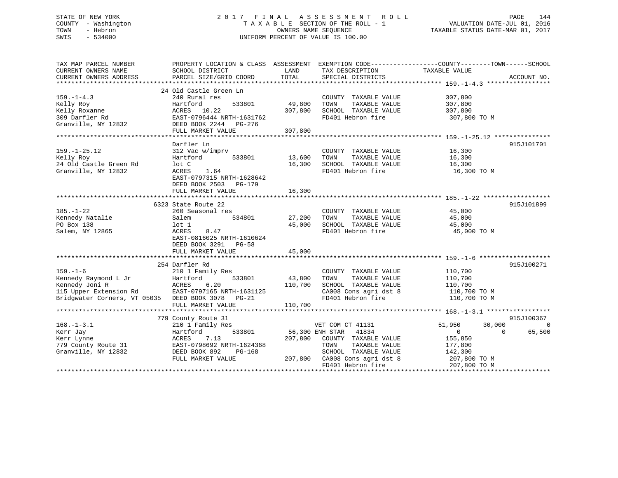# STATE OF NEW YORK 2 0 1 7 F I N A L A S S E S S M E N T R O L L PAGE 144 COUNTY - Washington T A X A B L E SECTION OF THE ROLL - 1 VALUATION DATE-JUL 01, 2016 TOWN - Hebron OWNERS NAME SEQUENCE TAXABLE STATUS DATE-MAR 01, 2017 SWIS - 534000 UNIFORM PERCENT OF VALUE IS 100.00

| TAX MAP PARCEL NUMBER<br>CURRENT OWNERS NAME                                | SCHOOL DISTRICT                                   | LAND    | TAX DESCRIPTION                            | PROPERTY LOCATION & CLASS ASSESSMENT EXEMPTION CODE---------------COUNTY-------TOWN------SCHOOL<br>TAXABLE VALUE |                |
|-----------------------------------------------------------------------------|---------------------------------------------------|---------|--------------------------------------------|------------------------------------------------------------------------------------------------------------------|----------------|
| CURRENT OWNERS ADDRESS                                                      | PARCEL SIZE/GRID COORD                            | TOTAL   | SPECIAL DISTRICTS                          |                                                                                                                  | ACCOUNT NO.    |
|                                                                             |                                                   |         |                                            |                                                                                                                  |                |
| $159. - 1 - 4.3$                                                            | 24 Old Castle Green Ln<br>240 Rural res           |         | COUNTY TAXABLE VALUE                       | 307,800                                                                                                          |                |
| Kelly Roy                                                                   | 533801<br>Hartford                                | 49,800  | TOWN<br>TAXABLE VALUE                      | 307,800                                                                                                          |                |
| Kelly Roxanne                                                               | ACRES 10.22                                       | 307,800 | SCHOOL TAXABLE VALUE                       | 307,800                                                                                                          |                |
| 309 Darfler Rd                                                              | EAST-0796444 NRTH-1631762                         |         | FD401 Hebron fire                          | 307,800 TO M                                                                                                     |                |
| Granville, NY 12832 DEED BOOK 2244 PG-276                                   |                                                   |         |                                            |                                                                                                                  |                |
|                                                                             | FULL MARKET VALUE                                 | 307,800 |                                            |                                                                                                                  |                |
|                                                                             |                                                   |         |                                            |                                                                                                                  |                |
|                                                                             | Darfler Ln                                        |         |                                            |                                                                                                                  | 915J101701     |
| $159. - 1 - 25.12$                                                          | 312 Vac w/imprv                                   |         | COUNTY TAXABLE VALUE                       | 16,300                                                                                                           |                |
| Kelly Roy                                                                   | 533801<br>Hartford                                | 13,600  | TOWN<br>TAXABLE VALUE                      | 16,300                                                                                                           |                |
| 24 Old Castle Green Rd                                                      | lot C                                             | 16,300  | SCHOOL TAXABLE VALUE                       | 16,300                                                                                                           |                |
| Granville, NY 12832                                                         | ACRES<br>1.64                                     |         | FD401 Hebron fire                          | 16,300 TO M                                                                                                      |                |
|                                                                             | EAST-0797315 NRTH-1628642                         |         |                                            |                                                                                                                  |                |
|                                                                             | DEED BOOK 2503 PG-179                             |         |                                            |                                                                                                                  |                |
|                                                                             | FULL MARKET VALUE                                 | 16,300  |                                            |                                                                                                                  |                |
|                                                                             |                                                   |         |                                            |                                                                                                                  |                |
|                                                                             | 6323 State Route 22                               |         |                                            |                                                                                                                  | 915J101899     |
| $185. - 1 - 22$                                                             | 260 Seasonal res                                  |         | COUNTY TAXABLE VALUE                       | 45,000                                                                                                           |                |
| Kennedy Natalie                                                             | 534801<br>Salem                                   | 27,200  | TOWN<br>TAXABLE VALUE                      | 45,000                                                                                                           |                |
| PO Box 138                                                                  | lot 1                                             | 45,000  | SCHOOL TAXABLE VALUE                       | 45,000                                                                                                           |                |
| Salem, NY 12865                                                             | ACRES<br>8.47                                     |         | FD401 Hebron fire                          | 45,000 TO M                                                                                                      |                |
|                                                                             | EAST-0816025 NRTH-1610624                         |         |                                            |                                                                                                                  |                |
|                                                                             | DEED BOOK 3291 PG-58                              |         |                                            |                                                                                                                  |                |
|                                                                             | FULL MARKET VALUE                                 | 45,000  |                                            |                                                                                                                  |                |
|                                                                             |                                                   |         |                                            |                                                                                                                  |                |
|                                                                             | 254 Darfler Rd                                    |         |                                            |                                                                                                                  | 915J100271     |
| $159. - 1 - 6$                                                              | 210 1 Family Res<br>533801                        | 43,800  | COUNTY TAXABLE VALUE<br>TOWN               | 110,700                                                                                                          |                |
| Kennedy Raymond L Jr<br>Kennedy Joni R                                      | Hartford<br>6.20                                  | 110,700 | TAXABLE VALUE                              | 110,700                                                                                                          |                |
|                                                                             | ACRES                                             |         | SCHOOL TAXABLE VALUE                       | 110,700                                                                                                          |                |
| 115 Upper Extension Rd<br>Bridqwater Corners, VT 05035 DEED BOOK 3078 PG-21 | EAST-0797165 NRTH-1631125                         |         | CA008 Cons agri dst 8<br>FD401 Hebron fire | 110,700 TO M<br>110,700 TO M                                                                                     |                |
|                                                                             | FULL MARKET VALUE                                 | 110,700 |                                            |                                                                                                                  |                |
|                                                                             |                                                   |         |                                            |                                                                                                                  |                |
|                                                                             | 779 County Route 31                               |         |                                            |                                                                                                                  | 915J100367     |
| $168. - 1 - 3.1$                                                            | 210 1 Family Res                                  |         | VET COM CT 41131                           | 51,950<br>30,000                                                                                                 | $\overline{0}$ |
| Kerr Jay                                                                    | 533801<br>Hartford                                |         | 56,300 ENH STAR 41834                      | $\Omega$<br>$\Omega$                                                                                             | 65,500         |
| Kerr Lynne                                                                  | 7.13<br>ACRES                                     | 207,800 | COUNTY TAXABLE VALUE                       | 155,850                                                                                                          |                |
| 779 County Route 31                                                         |                                                   |         | TOWN<br>TAXABLE VALUE                      | 177,800                                                                                                          |                |
| Granville, NY 12832                                                         | EAST-0798692 NRTH-1624368<br>DEED BOOK 892 PG-168 |         | SCHOOL TAXABLE VALUE                       | 142,300                                                                                                          |                |
|                                                                             | FULL MARKET VALUE                                 | 207,800 | CA008 Cons agri dst 8                      | 207,800 TO M                                                                                                     |                |
|                                                                             |                                                   |         | FD401 Hebron fire                          | 207,800 TO M                                                                                                     |                |
|                                                                             |                                                   |         |                                            |                                                                                                                  |                |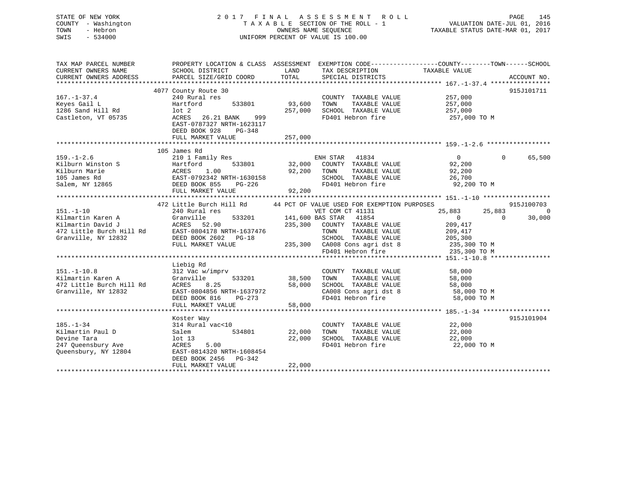| STATE OF NEW YORK<br>COUNTY - Washington<br>TOWN<br>- Hebron<br>SWIS<br>$-534000$                | 2017 FINAL                                                                                                                                                      |                            | A S S E S S M E N T<br>R O L L<br>TAXABLE SECTION OF THE ROLL - 1<br>OWNERS NAME SEOUENCE<br>UNIFORM PERCENT OF VALUE IS 100.00            | VALUATION DATE-JUL 01, 2016<br>TAXABLE STATUS DATE-MAR 01, 2017 | PAGE<br>145                                        |
|--------------------------------------------------------------------------------------------------|-----------------------------------------------------------------------------------------------------------------------------------------------------------------|----------------------------|--------------------------------------------------------------------------------------------------------------------------------------------|-----------------------------------------------------------------|----------------------------------------------------|
| TAX MAP PARCEL NUMBER<br>CURRENT OWNERS NAME<br>CURRENT OWNERS ADDRESS                           | PROPERTY LOCATION & CLASS ASSESSMENT EXEMPTION CODE---------------COUNTY-------TOWN-----SCHOOL<br>SCHOOL DISTRICT<br>PARCEL SIZE/GRID COORD                     | LAND<br>TOTAL              | TAX DESCRIPTION<br>SPECIAL DISTRICTS                                                                                                       | TAXABLE VALUE                                                   | ACCOUNT NO.                                        |
|                                                                                                  |                                                                                                                                                                 |                            |                                                                                                                                            |                                                                 |                                                    |
| $167. - 1 - 37.4$<br>Keyes Gail L<br>1286 Sand Hill Rd<br>Castleton, VT 05735                    | 4077 County Route 30<br>240 Rural res<br>Hartford<br>533801<br>$1$ ot $2$<br>ACRES<br>26.21 BANK<br>999<br>EAST-0787327 NRTH-1623117<br>DEED BOOK 928<br>PG-348 | 93,600<br>257,000          | COUNTY TAXABLE VALUE<br>TAXABLE VALUE<br>TOWN<br>SCHOOL TAXABLE VALUE<br>FD401 Hebron fire                                                 | 257,000<br>257,000<br>257,000<br>257,000 TO M                   | 915J101711                                         |
|                                                                                                  | FULL MARKET VALUE                                                                                                                                               | 257,000                    |                                                                                                                                            |                                                                 |                                                    |
|                                                                                                  | 105 James Rd                                                                                                                                                    |                            |                                                                                                                                            |                                                                 |                                                    |
| $159. - 1 - 2.6$<br>Kilburn Winston S<br>Kilburn Marie<br>105 James Rd<br>Salem, NY 12865        | 210 1 Family Res<br>Hartford<br>533801<br>ACRES<br>1.00<br>EAST-0792342 NRTH-1630158<br>DEED BOOK 855<br>PG-226<br>FULL MARKET VALUE                            | 32,000<br>92,200<br>92,200 | ENH STAR<br>41834<br>COUNTY TAXABLE VALUE<br>TOWN<br>TAXABLE VALUE<br>SCHOOL TAXABLE VALUE<br>FD401 Hebron fire                            | $\overline{0}$<br>92,200<br>92,200<br>26,700<br>92,200 TO M     | 65,500<br>$\Omega$                                 |
|                                                                                                  |                                                                                                                                                                 |                            |                                                                                                                                            |                                                                 |                                                    |
| $151. - 1 - 10$<br>Kilmartin Karen A<br>Kilmartin David J<br>472 Little Burch Hill Rd            | 472 Little Burch Hill Rd<br>240 Rural res<br>Granville<br>533201<br>ACRES<br>52.90<br>EAST-0804178 NRTH-1637476                                                 | 235,300                    | 44 PCT OF VALUE USED FOR EXEMPTION PURPOSES<br>VET COM CT 41131<br>141,600 BAS STAR 41854<br>COUNTY TAXABLE VALUE<br>TAXABLE VALUE<br>TOWN | 25,883<br>25,883<br>$\overline{0}$<br>209,417<br>209,417        | 915J100703<br>$\overline{0}$<br>$\Omega$<br>30,000 |
| Granville, NY 12832                                                                              | DEED BOOK 2602 PG-18<br>FULL MARKET VALUE                                                                                                                       | 235,300                    | SCHOOL TAXABLE VALUE<br>CA008 Cons agri dst 8<br>FD401 Hebron fire                                                                         | 205,300<br>235,300 TO M<br>235,300 TO M                         |                                                    |
|                                                                                                  | ************************                                                                                                                                        |                            |                                                                                                                                            |                                                                 |                                                    |
| $151. - 1 - 10.8$<br>Kilmartin Karen A<br>472 Little Burch Hill Rd<br>Granville, NY 12832        | Liebig Rd<br>312 Vac w/imprv<br>Granville<br>533201<br>ACRES<br>8.25<br>EAST-0804856 NRTH-1637972<br>DEED BOOK 816<br>PG-273                                    | 38,500<br>58,000           | COUNTY TAXABLE VALUE<br>TOWN<br>TAXABLE VALUE<br>SCHOOL TAXABLE VALUE<br>CA008 Cons agri dst 8<br>FD401 Hebron fire                        | 58,000<br>58,000<br>58,000<br>58,000 TO M<br>58,000 TO M        |                                                    |
|                                                                                                  | FULL MARKET VALUE                                                                                                                                               | 58,000                     |                                                                                                                                            |                                                                 |                                                    |
| ************************                                                                         | *************************                                                                                                                                       |                            |                                                                                                                                            |                                                                 |                                                    |
| $185. - 1 - 34$<br>Kilmartin Paul D<br>Devine Tara<br>247 Queensbury Ave<br>Queensbury, NY 12804 | Koster Way<br>314 Rural vac<10<br>534801<br>Salem<br>$1$ ot $13$<br>ACRES<br>5.00<br>EAST-0814320 NRTH-1608454<br>DEED BOOK 2456 PG-342                         | 22,000<br>22,000           | COUNTY TAXABLE VALUE<br>TOWN<br>TAXABLE VALUE<br>SCHOOL TAXABLE VALUE<br>FD401 Hebron fire                                                 | 22,000<br>22,000<br>22,000<br>22,000 TO M                       | 915J101904                                         |
|                                                                                                  | FULL MARKET VALUE                                                                                                                                               | 22,000                     |                                                                                                                                            |                                                                 |                                                    |

\*\*\*\*\*\*\*\*\*\*\*\*\*\*\*\*\*\*\*\*\*\*\*\*\*\*\*\*\*\*\*\*\*\*\*\*\*\*\*\*\*\*\*\*\*\*\*\*\*\*\*\*\*\*\*\*\*\*\*\*\*\*\*\*\*\*\*\*\*\*\*\*\*\*\*\*\*\*\*\*\*\*\*\*\*\*\*\*\*\*\*\*\*\*\*\*\*\*\*\*\*\*\*\*\*\*\*\*\*\*\*\*\*\*\*\*\*\*\*\*\*\*\*\*\*\*\*\*\*\*\*\*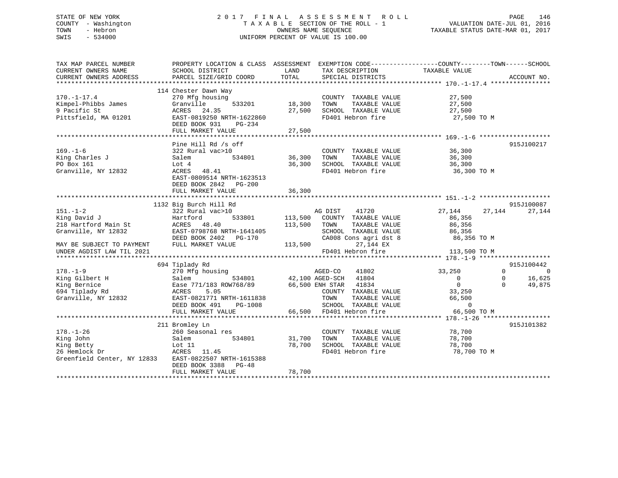# STATE OF NEW YORK 2 0 1 7 F I N A L A S S E S S M E N T R O L L PAGE 146 COUNTY - Washington T A X A B L E SECTION OF THE ROLL - 1 VALUATION DATE-JUL 01, 2016 TOWN - Hebron OWNERS NAME SEQUENCE TAXABLE STATUS DATE-MAR 01, 2017 SWIS - 534000 UNIFORM PERCENT OF VALUE IS 100.00

| TAX MAP PARCEL NUMBER<br>CURRENT OWNERS NAME<br>CURRENT OWNERS ADDRESS                                                                  | PROPERTY LOCATION & CLASS ASSESSMENT EXEMPTION CODE---------------COUNTY-------TOWN-----SCHOOL<br>SCHOOL DISTRICT<br>PARCEL SIZE/GRID COORD                                    | LAND<br>TOTAL                    | TAX DESCRIPTION<br>SPECIAL DISTRICTS                                                                                                                             | TAXABLE VALUE                                                                                                                                        | ACCOUNT NO.                                                         |
|-----------------------------------------------------------------------------------------------------------------------------------------|--------------------------------------------------------------------------------------------------------------------------------------------------------------------------------|----------------------------------|------------------------------------------------------------------------------------------------------------------------------------------------------------------|------------------------------------------------------------------------------------------------------------------------------------------------------|---------------------------------------------------------------------|
| $170. - 1 - 17.4$<br>Kimpel-Phibbs James<br>9 Pacific St<br>Pittsfield, MA 01201                                                        | 114 Chester Dawn Way<br>270 Mfg housing<br>Granville<br>ACRES 24.35 27,50<br>EAST-0819250 NRTH-1622860 27,50<br>DEED BOOK 931<br>PG-234                                        | 533201 18,300                    | COUNTY TAXABLE VALUE 27,500<br>TOWN<br>$27,500$ SCHOOL TAXABLE VALUE $27,500$<br>FD401 Hebron fire 27,500 TO M                                                   | TAXABLE VALUE 27,500                                                                                                                                 |                                                                     |
| $169. - 1 - 6$<br>King Charles J<br>To Der 161<br>PO Box 161<br>Granville, NY 12832                                                     | Pine Hill Rd /s off<br>322 Rural vac>10<br>Salem<br>Lot 4<br>ACRES 48.41<br>EAST-0809514 NRTH-1623513<br>DEED BOOK 2842 PG-200                                                 |                                  | COUNTY TAXABLE VALUE<br>534801 36,300 TOWN TAXABLE VALUE 36,300<br>36,300 SCHOOL TAXABLE VALUE 36,300<br>FD401 Hebron fire                                       | 36,300<br>36,300 TO M                                                                                                                                | 915J100217                                                          |
| $151. - 1 - 2$<br>King David J<br>218 Hartford Main St<br>Granville, NY 12832<br>MAY BE SUBJECT TO PAYMENT<br>UNDER AGDIST LAW TIL 2021 | 1132 Big Burch Hill Rd<br>322 Rural vac>10<br>Hartford<br>ACRES 48.40<br>LASI-078768 NRTH-1641405<br>DEED BOOK 2402 PG-170<br>FULL MARKET VALUE                                | 113,500 TOWN<br>$113,500$ $FD40$ | AG DIST<br>41720<br>533801 113,500 COUNTY TAXABLE VALUE<br>TAXABLE VALUE                                                                                         | 27, 144<br>86,356<br>86,356<br>SCHOOL TAXABLE VALUE 86,356<br>CA008 Cons agri dst 8 86,356 TO M<br>$27,144$ EX<br>$FD401$ Hebron fire $113,500$ TO M | 915J100087<br>27,144<br>27,144                                      |
|                                                                                                                                         | 694 Tiplady Rd                                                                                                                                                                 |                                  |                                                                                                                                                                  |                                                                                                                                                      | 915J100442                                                          |
| $178. - 1 - 9$<br>King Gilbert H<br>King Bernice<br>King Bernice<br>694 Tiplady Rd<br>Granville, NY 12832                               | 270 Mfg housing<br>534801<br>Salem<br>Ease 771/183 ROW768/89 66,500 ENH STAR 41834<br>ACRES 5.05<br>EAST-0821771 NRTH-1611838<br>DEED BOOK 491<br>PG-1008<br>FULL MARKET VALUE |                                  | AGED-CO 41802<br>42,100 AGED-SCH 41804<br>COUNTY TAXABLE VALUE<br>TAXABLE VALUE<br>TOWN<br>SCHOOL TAXABLE VALUE<br>FD401 Hebron fire<br>66,500 FD401 Hebron fire | 33,250<br>$\overline{0}$<br>$\overline{0}$<br>33,250<br>66,500<br>0<br>66,500 TO M                                                                   | $\Omega$<br>$\Omega$<br>16,625<br>$\mathbf 0$<br>49,875<br>$\Omega$ |
| $178. - 1 - 26$<br>King John<br>King Betty<br>26 Hemlock Dr<br>Greenfield Center, NY 12833                                              | 211 Bromley Ln<br>260 Seasonal res<br>Salem<br>534801<br>Lot $11$<br>ACRES 11.45<br>EAST-0822507 NRTH-1615388<br>DEED BOOK 3388 PG-48<br>FULL MARKET VALUE                     | 31,700<br>78,700<br>78,700       | COUNTY TAXABLE VALUE<br>TOWN<br>TAXABLE VALUE<br>SCHOOL TAXABLE VALUE<br>FD401 Hebron fire                                                                       | 78,700<br>78,700<br>78,700<br>78,700 TO M                                                                                                            | 915J101382                                                          |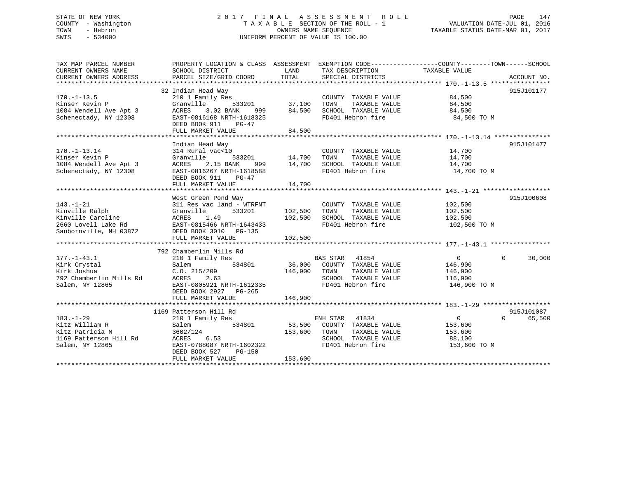# STATE OF NEW YORK 2 0 1 7 F I N A L A S S E S S M E N T R O L L PAGE 147 COUNTY - Washington T A X A B L E SECTION OF THE ROLL - 1 VALUATION DATE-JUL 01, 2016 TOWN - Hebron OWNERS NAME SEQUENCE TAXABLE STATUS DATE-MAR 01, 2017 SWIS - 534000 UNIFORM PERCENT OF VALUE IS 100.00

| TAX MAP PARCEL NUMBER<br>CURRENT OWNERS NAME<br>CURRENT OWNERS ADDRESS | PROPERTY LOCATION & CLASS ASSESSMENT EXEMPTION CODE----------------COUNTY-------TOWN-----SCHOOL<br>SCHOOL DISTRICT<br>PARCEL SIZE/GRID COORD | LAND<br>TOTAL | TAX DESCRIPTION<br>SPECIAL DISTRICTS | TAXABLE VALUE  | ACCOUNT NO.              |
|------------------------------------------------------------------------|----------------------------------------------------------------------------------------------------------------------------------------------|---------------|--------------------------------------|----------------|--------------------------|
|                                                                        |                                                                                                                                              |               |                                      |                |                          |
| $170. - 1 - 13.5$                                                      | 32 Indian Head Way<br>210 1 Family Res                                                                                                       |               | COUNTY TAXABLE VALUE                 | 84,500         | 915J101177               |
| Kinser Kevin P                                                         | 533201<br>Granville                                                                                                                          |               | TAXABLE VALUE                        | 84,500         |                          |
| 1084 Wendell Ave Apt 3                                                 | 999 7<br>3.02 BANK<br>ACRES                                                                                                                  | 84,500        | SCHOOL TAXABLE VALUE                 | 84,500         |                          |
| Schenectady, NY 12308                                                  | EAST-0816168 NRTH-1618325<br>DEED BOOK 911<br>$PG-47$<br>FULL MARKET VALUE                                                                   | 84,500        | FD401 Hebron fire                    | 84,500 TO M    |                          |
|                                                                        |                                                                                                                                              |               |                                      |                |                          |
|                                                                        | Indian Head Way                                                                                                                              |               |                                      |                | 915J101477               |
| $170. - 1 - 13.14$                                                     | 314 Rural vac<10                                                                                                                             |               | COUNTY TAXABLE VALUE 14,700          |                |                          |
| Kinser Kevin P                                                         | Granville<br>533201                                                                                                                          | 14,700 TOWN   | TAXABLE VALUE                        | 14,700         |                          |
| 1084 Wendell Ave Apt 3                                                 | 2.15 BANK<br>ACRES<br>999                                                                                                                    | 14,700        | SCHOOL TAXABLE VALUE 14,700          |                |                          |
| Schenectady, NY 12308                                                  | EAST-0816267 NRTH-1618588                                                                                                                    |               | FD401 Hebron fire                    | 14,700 TO M    |                          |
|                                                                        | DEED BOOK 911<br>$PG-47$                                                                                                                     |               |                                      |                |                          |
|                                                                        | FULL MARKET VALUE                                                                                                                            | 14,700        |                                      |                |                          |
|                                                                        |                                                                                                                                              |               |                                      |                | 915J100608               |
|                                                                        | West Green Pond Way                                                                                                                          |               |                                      |                |                          |
| $143. - 1 - 21$                                                        | 311 Res vac land - WTRFNT                                                                                                                    |               | COUNTY TAXABLE VALUE                 | 102,500        |                          |
| Kinville Ralph                                                         | Granville<br>533201                                                                                                                          | 102,500 TOWN  | TAXABLE VALUE                        | 102,500        |                          |
| Kinville Caroline                                                      | 1.49<br>ACRES                                                                                                                                | 102,500       | SCHOOL TAXABLE VALUE                 | 102,500        |                          |
| 2660 Lovell Lake Rd                                                    | EAST-0815466 NRTH-1643433<br>72 DEED BOOK 3010 PG-135                                                                                        |               | FD401 Hebron fire                    | 102,500 TO M   |                          |
| Sanbornville, NH 03872                                                 |                                                                                                                                              |               |                                      |                |                          |
|                                                                        | FULL MARKET VALUE                                                                                                                            | 102,500       |                                      |                |                          |
|                                                                        | 792 Chamberlin Mills Rd                                                                                                                      |               |                                      |                |                          |
| $177. - 1 - 43.1$                                                      | 210 1 Family Res                                                                                                                             |               | BAS STAR 41854                       | $\overline{0}$ | 30,000<br>$\Omega$       |
|                                                                        | 534801                                                                                                                                       |               |                                      |                |                          |
| Kirk Crystal                                                           | Salem                                                                                                                                        |               | 36,000 COUNTY TAXABLE VALUE          | 146,900        |                          |
| Kirk Joshua                                                            | C.0.215/209                                                                                                                                  | 146,900       | TOWN<br>TAXABLE VALUE                | 146,900        |                          |
| 792 Chamberlin Mills Rd                                                | ACRES<br>2.63                                                                                                                                |               | SCHOOL TAXABLE VALUE                 | 116,900        |                          |
| Salem, NY 12865                                                        | EAST-0805921 NRTH-1612335                                                                                                                    |               | FD401 Hebron fire                    | 146,900 TO M   |                          |
|                                                                        | DEED BOOK 2927 PG-265                                                                                                                        |               |                                      |                |                          |
|                                                                        | FULL MARKET VALUE                                                                                                                            | 146,900       |                                      |                |                          |
|                                                                        |                                                                                                                                              |               |                                      |                |                          |
|                                                                        | 1169 Patterson Hill Rd                                                                                                                       |               |                                      |                | 915J101087               |
| $183. - 1 - 29$                                                        | 210 1 Family Res                                                                                                                             |               | ENH STAR 41834                       | $\overline{0}$ | $\overline{0}$<br>65,500 |
| Kitz William R                                                         | Salem<br>534801                                                                                                                              |               | 53,500 COUNTY TAXABLE VALUE          | 153,600        |                          |
| Kitz Patricia M                                                        | 3602/124                                                                                                                                     | 153,600 TOWN  | TAXABLE VALUE                        | 153,600        |                          |
| 1169 Patterson Hill Rd                                                 | ACRES 6.53                                                                                                                                   |               | SCHOOL TAXABLE VALUE                 | 88,100         |                          |
| Salem, NY 12865                                                        | EAST-0788087 NRTH-1602322                                                                                                                    |               | FD401 Hebron fire                    | 153,600 TO M   |                          |
|                                                                        | DEED BOOK 527<br>PG-150                                                                                                                      |               |                                      |                |                          |
|                                                                        | FULL MARKET VALUE                                                                                                                            | 153,600       |                                      |                |                          |
|                                                                        |                                                                                                                                              |               |                                      |                |                          |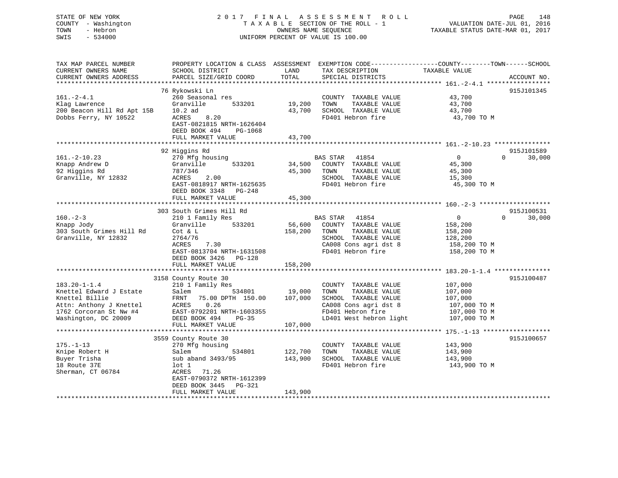# STATE OF NEW YORK 2 0 1 7 F I N A L A S S E S S M E N T R O L L PAGE 148 COUNTY - Washington T A X A B L E SECTION OF THE ROLL - 1 VALUATION DATE-JUL 01, 2016 TOWN - Hebron OWNERS NAME SEQUENCE TAXABLE STATUS DATE-MAR 01, 2017 SWIS - 534000 UNIFORM PERCENT OF VALUE IS 100.00

| TAX MAP PARCEL NUMBER<br>CURRENT OWNERS NAME<br>CURRENT OWNERS ADDRESS                                                                       | PROPERTY LOCATION & CLASS ASSESSMENT EXEMPTION CODE----------------COUNTY-------TOWN------SCHOOL<br>SCHOOL DISTRICT<br>PARCEL SIZE/GRID COORD                                           | LAND<br>TOTAL                 | TAX DESCRIPTION<br>SPECIAL DISTRICTS                                                                                                           | TAXABLE VALUE                                                                 | ACCOUNT NO.          |
|----------------------------------------------------------------------------------------------------------------------------------------------|-----------------------------------------------------------------------------------------------------------------------------------------------------------------------------------------|-------------------------------|------------------------------------------------------------------------------------------------------------------------------------------------|-------------------------------------------------------------------------------|----------------------|
| $161.-2-4.1$<br>Klag Lawrence<br>200 Beacon Hill Rd Apt 15B<br>Dobbs Ferry, NY 10522                                                         | 76 Rykowski Ln<br>260 Seasonal res<br>Granville<br>533201<br>$10.2$ ad<br>ACRES<br>8.20<br>EAST-0821815 NRTH-1626404<br>DEED BOOK 494<br>PG-1068<br>FULL MARKET VALUE                   | 19,200<br>43,700<br>43,700    | COUNTY TAXABLE VALUE<br>TOWN<br>TAXABLE VALUE<br>SCHOOL TAXABLE VALUE<br>FD401 Hebron fire                                                     | 43,700<br>43,700<br>43,700<br>43,700 TO M                                     | 915J101345           |
|                                                                                                                                              |                                                                                                                                                                                         |                               |                                                                                                                                                |                                                                               |                      |
| $161. - 2 - 10.23$<br>Knapp Andrew D<br>92 Higgins Rd<br>Granville, NY 12832                                                                 | 92 Higgins Rd<br>270 Mfg housing<br>Granville<br>533201<br>787/346<br>2.00<br>ACRES<br>EAST-0818917 NRTH-1625635<br>DEED BOOK 3348<br>$PG-248$                                          | 34,500<br>45,300              | BAS STAR 41854<br>COUNTY TAXABLE VALUE<br>TOWN<br>TAXABLE VALUE<br>SCHOOL TAXABLE VALUE<br>FD401 Hebron fire                                   | $\mathbf 0$<br>$\Omega$<br>45,300<br>45,300<br>15,300<br>45,300 TO M          | 915J101589<br>30,000 |
|                                                                                                                                              | FULL MARKET VALUE                                                                                                                                                                       | 45,300                        |                                                                                                                                                |                                                                               |                      |
| $160. - 2 - 3$                                                                                                                               | 303 South Grimes Hill Rd<br>210 1 Family Res                                                                                                                                            |                               | BAS STAR<br>41854                                                                                                                              | $\Omega$<br>$\mathbf{0}$                                                      | 915J100531<br>30,000 |
| Knapp Jody<br>303 South Grimes Hill Rd<br>Granville, NY 12832                                                                                | 533201<br>Granville<br>Cot & L<br>2764/76<br>7.30<br>ACRES<br>EAST-0813704 NRTH-1631508<br>DEED BOOK 3426<br>PG-128<br>FULL MARKET VALUE                                                | 56,600<br>158,200<br>158,200  | COUNTY TAXABLE VALUE<br>TOWN<br>TAXABLE VALUE<br>SCHOOL TAXABLE VALUE<br>CA008 Cons agri dst 8<br>FD401 Hebron fire                            | 158,200<br>158,200<br>128,200<br>158,200 TO M<br>158,200 TO M                 |                      |
|                                                                                                                                              |                                                                                                                                                                                         |                               |                                                                                                                                                |                                                                               |                      |
| $183.20 - 1 - 1.4$<br>Knettel Edward J Estate<br>Knettel Billie<br>Attn: Anthony J Knettel<br>1762 Corcoran St Nw #4<br>Washington, DC 20009 | 3158 County Route 30<br>210 1 Family Res<br>Salem<br>534801<br>75.00 DPTH 150.00<br>FRNT<br>0.26<br>ACRES<br>EAST-0792201 NRTH-1603355<br>DEED BOOK 494<br>$PG-35$<br>FULL MARKET VALUE | 19,000<br>107,000<br>107,000  | COUNTY TAXABLE VALUE<br>TOWN<br>TAXABLE VALUE<br>SCHOOL TAXABLE VALUE<br>CA008 Cons agri dst 8<br>FD401 Hebron fire<br>LD401 West hebron light | 107,000<br>107,000<br>107,000<br>107,000 TO M<br>107,000 TO M<br>107,000 TO M | 915J100487           |
|                                                                                                                                              | 3559 County Route 30                                                                                                                                                                    |                               |                                                                                                                                                |                                                                               | 915J100657           |
| $175. - 1 - 13$<br>Knipe Robert H<br>Buyer Trisha<br>18 Route 37E<br>Sherman, CT 06784                                                       | 270 Mfg housing<br>534801<br>Salem<br>sub aband 3493/95<br>lot 1<br>71.26<br>ACRES<br>EAST-0790372 NRTH-1612399<br>DEED BOOK 3445<br><b>PG-321</b><br>FULL MARKET VALUE                 | 122,700<br>143,900<br>143,900 | COUNTY TAXABLE VALUE<br>TOWN<br>TAXABLE VALUE<br>SCHOOL TAXABLE VALUE<br>FD401 Hebron fire                                                     | 143,900<br>143,900<br>143,900<br>143,900 TO M                                 |                      |
|                                                                                                                                              |                                                                                                                                                                                         |                               |                                                                                                                                                |                                                                               |                      |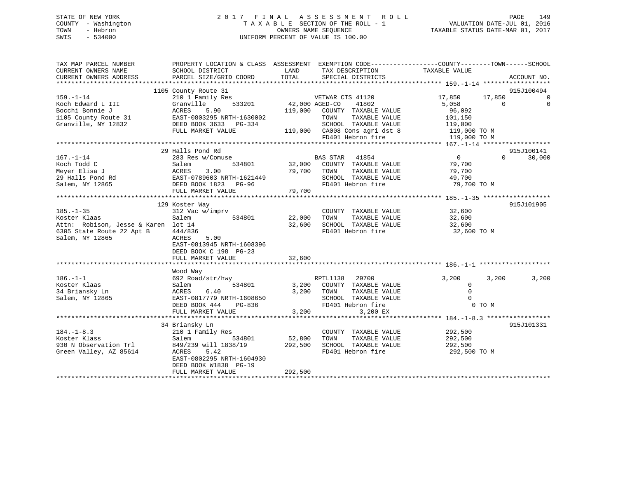# STATE OF NEW YORK 2 0 1 7 F I N A L A S S E S S M E N T R O L L PAGE 149 COUNTY - Washington T A X A B L E SECTION OF THE ROLL - 1 VALUATION DATE-JUL 01, 2016 TOWN - Hebron OWNERS NAME SEQUENCE TAXABLE STATUS DATE-MAR 01, 2017 SWIS - 534000 UNIFORM PERCENT OF VALUE IS 100.00

| TAX MAP PARCEL NUMBER                                                                                                                                                                                                              | PROPERTY LOCATION & CLASS ASSESSMENT EXEMPTION CODE----------------COUNTY-------TOWN------SCHOOL |                              |                                                                            |                         |                                                                                                                                                                                                                                                                                                                                              |
|------------------------------------------------------------------------------------------------------------------------------------------------------------------------------------------------------------------------------------|--------------------------------------------------------------------------------------------------|------------------------------|----------------------------------------------------------------------------|-------------------------|----------------------------------------------------------------------------------------------------------------------------------------------------------------------------------------------------------------------------------------------------------------------------------------------------------------------------------------------|
| CURRENT OWNERS NAME<br>CURRENT OWNERS ADDRESS                                                                                                                                                                                      | SCHOOL DISTRICT<br>PARCEL SIZE/GRID COORD                                                        | LAND<br>TOTAL                | TAX DESCRIPTION<br>SPECIAL DISTRICTS                                       | TAXABLE VALUE           | ACCOUNT NO.                                                                                                                                                                                                                                                                                                                                  |
|                                                                                                                                                                                                                                    |                                                                                                  |                              |                                                                            |                         |                                                                                                                                                                                                                                                                                                                                              |
|                                                                                                                                                                                                                                    | 1105 County Route 31                                                                             |                              |                                                                            |                         | 915J100494                                                                                                                                                                                                                                                                                                                                   |
| $159. - 1 - 14$                                                                                                                                                                                                                    | 210 1 Family Res                                                                                 |                              | VETWAR CTS 41120                                                           | 17,850                  | 17,850<br>$\overline{a}$ and $\overline{a}$ and $\overline{a}$ and $\overline{a}$ and $\overline{a}$ and $\overline{a}$ and $\overline{a}$ and $\overline{a}$ and $\overline{a}$ and $\overline{a}$ and $\overline{a}$ and $\overline{a}$ and $\overline{a}$ and $\overline{a}$ and $\overline{a}$ and $\overline{a}$ and $\overline{a}$ and |
| Koch Edward L III                                                                                                                                                                                                                  | 533201<br>Granville                                                                              | 42,000 AGED-CO               | 41802                                                                      | 5,058                   | $\Omega$<br>$\Omega$                                                                                                                                                                                                                                                                                                                         |
| Bocchi Bonnie J                                                                                                                                                                                                                    | <b>ACRES</b><br>5.90                                                                             |                              | 119,000 COUNTY TAXABLE VALUE                                               | 96,092                  |                                                                                                                                                                                                                                                                                                                                              |
| 1105 County Route 31 EAST-0803295 NRTH-1630002                                                                                                                                                                                     |                                                                                                  |                              | TOWN<br>TAXABLE VALUE                                                      | 101,150                 |                                                                                                                                                                                                                                                                                                                                              |
| Granville, NY 12832                                                                                                                                                                                                                | DEED BOOK 3633 PG-334                                                                            |                              | SCHOOL TAXABLE VALUE 119,000<br>119,000 CA008 Cons agri dst 8 119,000 TO M |                         |                                                                                                                                                                                                                                                                                                                                              |
|                                                                                                                                                                                                                                    | FULL MARKET VALUE                                                                                |                              |                                                                            |                         |                                                                                                                                                                                                                                                                                                                                              |
|                                                                                                                                                                                                                                    |                                                                                                  |                              | FD401 Hebron fire                                                          | 119,000 TO M            |                                                                                                                                                                                                                                                                                                                                              |
|                                                                                                                                                                                                                                    |                                                                                                  |                              |                                                                            |                         |                                                                                                                                                                                                                                                                                                                                              |
|                                                                                                                                                                                                                                    | 29 Halls Pond Rd                                                                                 |                              | <b>BAS STAR</b> 41854                                                      | $\overline{a}$          | 915J100141<br>$\Omega$                                                                                                                                                                                                                                                                                                                       |
| $167. - 1 - 14$<br>Koch Todd C                                                                                                                                                                                                     | 283 Res w/Comuse<br>534801<br>Salem                                                              | 32,000                       | COUNTY TAXABLE VALUE                                                       | 79,700                  | 30,000                                                                                                                                                                                                                                                                                                                                       |
|                                                                                                                                                                                                                                    |                                                                                                  |                              |                                                                            |                         |                                                                                                                                                                                                                                                                                                                                              |
|                                                                                                                                                                                                                                    |                                                                                                  |                              |                                                                            |                         |                                                                                                                                                                                                                                                                                                                                              |
|                                                                                                                                                                                                                                    |                                                                                                  |                              |                                                                            |                         |                                                                                                                                                                                                                                                                                                                                              |
|                                                                                                                                                                                                                                    |                                                                                                  |                              |                                                                            |                         |                                                                                                                                                                                                                                                                                                                                              |
| Meyer Elisa J<br>Meyer Elisa J<br>29 Halls Pond Rd 29 Halls Pond Rd 29 Halls Pond Rd 29 Halls Pond Rd 29 Halls Pond Rd 29 Halls Pond Rd 29 Halls Pond Rd 29 Halls Pond Rd 29 Halls Pond Rd 29 Halls Pond Rd 29 Halls Pond Rd 29 Ha |                                                                                                  |                              |                                                                            |                         |                                                                                                                                                                                                                                                                                                                                              |
|                                                                                                                                                                                                                                    | 129 Koster Way                                                                                   |                              |                                                                            |                         | 915J101905                                                                                                                                                                                                                                                                                                                                   |
| $185. - 1 - 35$                                                                                                                                                                                                                    | 312 Vac w/imprv                                                                                  |                              | COUNTY TAXABLE VALUE 32,600                                                |                         |                                                                                                                                                                                                                                                                                                                                              |
| Koster Klaas                                                                                                                                                                                                                       | Salem<br>534801                                                                                  | 22,000                       | TOWN<br>TAXABLE VALUE                                                      | 32,600<br>32,600        |                                                                                                                                                                                                                                                                                                                                              |
| Attn: Robison, Jesse & Karen lot 14                                                                                                                                                                                                |                                                                                                  | 32,600                       | SCHOOL TAXABLE VALUE                                                       |                         |                                                                                                                                                                                                                                                                                                                                              |
| 6305 State Route 22 Apt B                                                                                                                                                                                                          | 444/836                                                                                          |                              | FD401 Hebron fire                                                          | 32,600 TO M             |                                                                                                                                                                                                                                                                                                                                              |
| Salem, NY 12865                                                                                                                                                                                                                    | 5.00<br>ACRES                                                                                    |                              |                                                                            |                         |                                                                                                                                                                                                                                                                                                                                              |
|                                                                                                                                                                                                                                    | EAST-0813945 NRTH-1608396                                                                        |                              |                                                                            |                         |                                                                                                                                                                                                                                                                                                                                              |
|                                                                                                                                                                                                                                    | DEED BOOK C 198 PG-23<br>FULL MARKET VALUE                                                       | 32,600                       |                                                                            |                         |                                                                                                                                                                                                                                                                                                                                              |
|                                                                                                                                                                                                                                    |                                                                                                  |                              |                                                                            |                         |                                                                                                                                                                                                                                                                                                                                              |
|                                                                                                                                                                                                                                    | Wood Way                                                                                         |                              |                                                                            |                         |                                                                                                                                                                                                                                                                                                                                              |
| $186. - 1 - 1$                                                                                                                                                                                                                     | 692 Road/str/hwy                                                                                 |                              | RPTL1138 29700                                                             | 3,200                   | 3,200<br>3,200                                                                                                                                                                                                                                                                                                                               |
| Koster Klaas                                                                                                                                                                                                                       | Salem<br>534801                                                                                  |                              | 3,200 COUNTY TAXABLE VALUE                                                 | $\mathbf{0}$            |                                                                                                                                                                                                                                                                                                                                              |
| 34 Briansky Ln                                                                                                                                                                                                                     | 6.40<br>ACRES                                                                                    |                              | 3,200 TOWN<br>TAXABLE VALUE                                                | $\Omega$                |                                                                                                                                                                                                                                                                                                                                              |
| Salem, NY 12865                                                                                                                                                                                                                    | EAST-0817779 NRTH-1608650                                                                        | 3,200<br>H-1608650<br>PG-836 | SCHOOL TAXABLE VALUE (FD401 Hebron fire                                    | $\Omega$                |                                                                                                                                                                                                                                                                                                                                              |
|                                                                                                                                                                                                                                    | DEED BOOK 444                                                                                    |                              |                                                                            | 0 TO M                  |                                                                                                                                                                                                                                                                                                                                              |
|                                                                                                                                                                                                                                    | FULL MARKET VALUE                                                                                |                              | 3,200<br>3,200 EX                                                          |                         |                                                                                                                                                                                                                                                                                                                                              |
|                                                                                                                                                                                                                                    |                                                                                                  |                              |                                                                            |                         |                                                                                                                                                                                                                                                                                                                                              |
|                                                                                                                                                                                                                                    | 34 Briansky Ln                                                                                   |                              |                                                                            |                         | 915J101331                                                                                                                                                                                                                                                                                                                                   |
| $184. - 1 - 8.3$                                                                                                                                                                                                                   | 210 1 Family Res                                                                                 |                              | COUNTY TAXABLE VALUE                                                       | 292,500                 |                                                                                                                                                                                                                                                                                                                                              |
| Koster Klass                                                                                                                                                                                                                       | Salem<br>534801                                                                                  | 52,800                       | TOWN<br>TAXABLE VALUE                                                      | 292,500                 |                                                                                                                                                                                                                                                                                                                                              |
| 930 N Observation Trl<br>Green Valley, AZ 85614                                                                                                                                                                                    | 849/239 will 1838/19<br>5.42<br>ACRES                                                            | 292,500                      | SCHOOL TAXABLE VALUE<br>FD401 Hebron fire                                  | 292,500<br>292,500 TO M |                                                                                                                                                                                                                                                                                                                                              |
|                                                                                                                                                                                                                                    | EAST-0802295 NRTH-1604930                                                                        |                              |                                                                            |                         |                                                                                                                                                                                                                                                                                                                                              |
|                                                                                                                                                                                                                                    | DEED BOOK W1838 PG-19                                                                            |                              |                                                                            |                         |                                                                                                                                                                                                                                                                                                                                              |
|                                                                                                                                                                                                                                    | FULL MARKET VALUE                                                                                | 292,500                      |                                                                            |                         |                                                                                                                                                                                                                                                                                                                                              |
|                                                                                                                                                                                                                                    |                                                                                                  |                              |                                                                            |                         |                                                                                                                                                                                                                                                                                                                                              |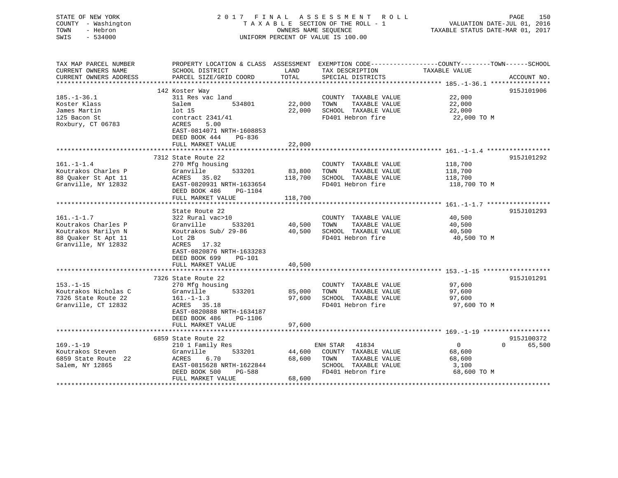| STATE OF NEW YORK<br>COUNTY - Washington<br>TOWN<br>- Hebron<br>SWIS<br>$-534000$ |                                                                                                                                               | OWNERS NAME SEQUENCE | 2017 FINAL ASSESSMENT ROLL<br>TAXABLE SECTION OF THE ROLL - 1<br>UNIFORM PERCENT OF VALUE IS 100.00 | VALUATION DATE-JUL 01, 2016<br>TAXABLE STATUS DATE-MAR 01, 2017 | PAGE<br>150            |
|-----------------------------------------------------------------------------------|-----------------------------------------------------------------------------------------------------------------------------------------------|----------------------|-----------------------------------------------------------------------------------------------------|-----------------------------------------------------------------|------------------------|
| TAX MAP PARCEL NUMBER<br>CURRENT OWNERS NAME<br>CURRENT OWNERS ADDRESS            | PROPERTY LOCATION & CLASS ASSESSMENT EXEMPTION CODE----------------COUNTY-------TOWN------SCHOOL<br>SCHOOL DISTRICT<br>PARCEL SIZE/GRID COORD | LAND<br>TOTAL        | TAX DESCRIPTION<br>SPECIAL DISTRICTS                                                                | TAXABLE VALUE                                                   | ACCOUNT NO.            |
| *********************                                                             |                                                                                                                                               |                      |                                                                                                     |                                                                 |                        |
|                                                                                   | 142 Koster Way                                                                                                                                |                      |                                                                                                     |                                                                 | 915J101906             |
| $185. - 1 - 36.1$<br>Koster Klass                                                 | 311 Res vac land<br>534801<br>Salem                                                                                                           | 22,000               | COUNTY TAXABLE VALUE<br>TOWN<br>TAXABLE VALUE                                                       | 22,000<br>22,000                                                |                        |
| James Martin                                                                      | lot 15                                                                                                                                        | 22,000               | SCHOOL TAXABLE VALUE                                                                                | 22,000                                                          |                        |
| 125 Bacon St                                                                      | contract 2341/41                                                                                                                              |                      | FD401 Hebron fire                                                                                   | 22,000 TO M                                                     |                        |
| Roxbury, CT 06783                                                                 | <b>ACRES</b><br>5.00                                                                                                                          |                      |                                                                                                     |                                                                 |                        |
|                                                                                   | EAST-0814071 NRTH-1608853                                                                                                                     |                      |                                                                                                     |                                                                 |                        |
|                                                                                   | DEED BOOK 444<br>PG-836<br>FULL MARKET VALUE                                                                                                  | 22,000               |                                                                                                     |                                                                 |                        |
|                                                                                   |                                                                                                                                               |                      |                                                                                                     |                                                                 |                        |
|                                                                                   | 7312 State Route 22                                                                                                                           |                      |                                                                                                     |                                                                 | 915J101292             |
| $161. - 1 - 1.4$                                                                  | 270 Mfg housing                                                                                                                               |                      | COUNTY TAXABLE VALUE                                                                                | 118,700                                                         |                        |
| Koutrakos Charles P                                                               | Granville<br>533201                                                                                                                           | 83,800               | TOWN<br>TAXABLE VALUE                                                                               | 118,700                                                         |                        |
| 88 Quaker St Apt 11                                                               | ACRES 35.02                                                                                                                                   | 118,700              | SCHOOL TAXABLE VALUE                                                                                | 118,700                                                         |                        |
| Granville, NY 12832                                                               | EAST-0820931 NRTH-1633654                                                                                                                     |                      | FD401 Hebron fire                                                                                   | 118,700 TO M                                                    |                        |
|                                                                                   | DEED BOOK 486<br>PG-1104                                                                                                                      |                      |                                                                                                     |                                                                 |                        |
|                                                                                   | FULL MARKET VALUE                                                                                                                             | 118,700              |                                                                                                     |                                                                 |                        |
|                                                                                   | State Route 22                                                                                                                                |                      |                                                                                                     |                                                                 | 915J101293             |
| $161. - 1 - 1.7$                                                                  | 322 Rural vac>10                                                                                                                              |                      | COUNTY TAXABLE VALUE                                                                                | 40,500                                                          |                        |
| Koutrakos Charles P                                                               | Granville<br>533201                                                                                                                           | 40,500               | TAXABLE VALUE<br>TOWN                                                                               | 40,500                                                          |                        |
| Koutrakos Marilyn N                                                               | Koutrakos Sub/ 29-86                                                                                                                          | 40,500               | SCHOOL TAXABLE VALUE                                                                                | 40,500                                                          |                        |
| 88 Quaker St Apt 11                                                               | Lot 2B                                                                                                                                        |                      | FD401 Hebron fire                                                                                   | 40,500 TO M                                                     |                        |
| Granville, NY 12832                                                               | ACRES 17.32                                                                                                                                   |                      |                                                                                                     |                                                                 |                        |
|                                                                                   | EAST-0820876 NRTH-1633283                                                                                                                     |                      |                                                                                                     |                                                                 |                        |
|                                                                                   | DEED BOOK 699<br><b>PG-101</b>                                                                                                                |                      |                                                                                                     |                                                                 |                        |
|                                                                                   | FULL MARKET VALUE<br>*********************                                                                                                    | 40,500               |                                                                                                     |                                                                 |                        |
|                                                                                   |                                                                                                                                               |                      |                                                                                                     |                                                                 |                        |
| $153. - 1 - 15$                                                                   | 7326 State Route 22<br>270 Mfg housing                                                                                                        |                      | COUNTY TAXABLE VALUE                                                                                | 97,600                                                          | 915J101291             |
| Koutrakos Nicholas C                                                              | 533201<br>Granville                                                                                                                           | 85,000               | TOWN<br>TAXABLE VALUE                                                                               | 97,600                                                          |                        |
| 7326 State Route 22                                                               | $161. - 1 - 1.3$                                                                                                                              | 97,600               | SCHOOL TAXABLE VALUE                                                                                | 97,600                                                          |                        |
| Granville, CT 12832                                                               | ACRES 35.18                                                                                                                                   |                      | FD401 Hebron fire                                                                                   | 97,600 TO M                                                     |                        |
|                                                                                   | EAST-0820888 NRTH-1634187                                                                                                                     |                      |                                                                                                     |                                                                 |                        |
|                                                                                   | DEED BOOK 486<br>PG-1106                                                                                                                      |                      |                                                                                                     |                                                                 |                        |
|                                                                                   | FULL MARKET VALUE                                                                                                                             | 97,600               |                                                                                                     |                                                                 |                        |
|                                                                                   |                                                                                                                                               |                      |                                                                                                     |                                                                 |                        |
|                                                                                   | 6859 State Route 22                                                                                                                           |                      |                                                                                                     | $\overline{0}$                                                  | 915J100372<br>$\Omega$ |
| $169. - 1 - 19$<br>Koutrakos Steven                                               | 210 1 Family Res<br>533201<br>Granville                                                                                                       | 44,600               | ENH STAR 41834<br>COUNTY TAXABLE VALUE                                                              | 68,600                                                          | 65,500                 |
| 6859 State Route 22                                                               | ACRES<br>6.70                                                                                                                                 | 68,600               | TOWN<br>TAXABLE VALUE                                                                               | 68,600                                                          |                        |
| Salem, NY 12865                                                                   | EAST-0815628 NRTH-1622844                                                                                                                     |                      | SCHOOL TAXABLE VALUE                                                                                | 3,100                                                           |                        |
|                                                                                   | DEED BOOK 500<br>PG-588                                                                                                                       |                      | FD401 Hebron fire                                                                                   | 68,600 TO M                                                     |                        |
|                                                                                   | FULL MARKET VALUE                                                                                                                             | 68,600               |                                                                                                     |                                                                 |                        |
|                                                                                   |                                                                                                                                               | ******               |                                                                                                     |                                                                 |                        |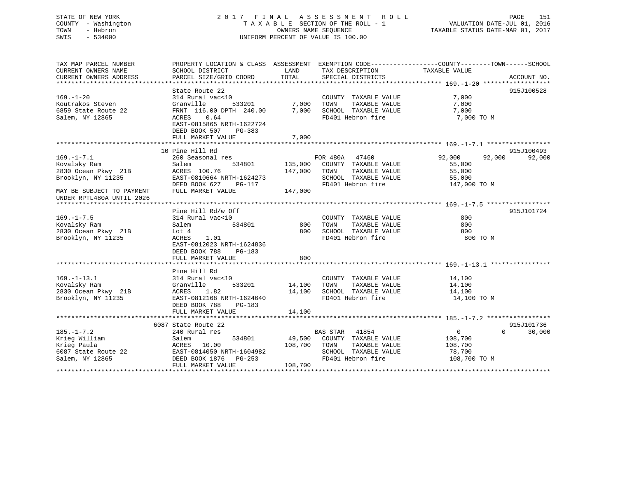# STATE OF NEW YORK 2 0 1 7 F I N A L A S S E S S M E N T R O L L PAGE 151 COUNTY - Washington T A X A B L E SECTION OF THE ROLL - 1 VALUATION DATE-JUL 01, 2016 TOWN - Hebron OWNERS NAME SEQUENCE TAXABLE STATUS DATE-MAR 01, 2017 SWIS - 534000 UNIFORM PERCENT OF VALUE IS 100.00

| TAX MAP PARCEL NUMBER<br>CURRENT OWNERS NAME                                               | PROPERTY LOCATION & CLASS ASSESSMENT EXEMPTION CODE---------------COUNTY-------TOWN------SCHOOL<br>SCHOOL DISTRICT                               | LAND                            | TAX DESCRIPTION                                                                                                                         | TAXABLE VALUE                                                             |                                  |
|--------------------------------------------------------------------------------------------|--------------------------------------------------------------------------------------------------------------------------------------------------|---------------------------------|-----------------------------------------------------------------------------------------------------------------------------------------|---------------------------------------------------------------------------|----------------------------------|
| CURRENT OWNERS ADDRESS                                                                     | PARCEL SIZE/GRID COORD                                                                                                                           | TOTAL                           | SPECIAL DISTRICTS                                                                                                                       |                                                                           | ACCOUNT NO.                      |
|                                                                                            |                                                                                                                                                  |                                 |                                                                                                                                         |                                                                           |                                  |
| $169. - 1 - 20$<br>Koutrakos Steven<br>6859 State Route 22<br>Salem, NY 12865              | State Route 22<br>314 Rural vac<10<br>Granville<br>FRNT 116.00 DPTH 240.00 7,000 SCHOOL TAXABLE VALUE<br>ACRES 0.64<br>EAST-0815865 NRTH-1622724 | 533201 7,000 TOWN               | COUNTY TAXABLE VALUE<br>TAXABLE VALUE<br>FD401 Hebron fire                                                                              | 7,000<br>7,000<br>7,000<br>7,000 TO M                                     | 915J100528                       |
|                                                                                            | DEED BOOK 507 PG-383<br>FULL MARKET VALUE                                                                                                        | 7,000                           |                                                                                                                                         |                                                                           |                                  |
|                                                                                            |                                                                                                                                                  |                                 |                                                                                                                                         |                                                                           |                                  |
|                                                                                            | 10 Pine Hill Rd                                                                                                                                  |                                 |                                                                                                                                         |                                                                           | 915J100493                       |
| $169. - 1 - 7.1$<br>Kovalsky Ram<br>2830 Ocean Pkwy 21B<br>Brooklyn, NY 11235              | 260 Seasonal res<br>Salem<br>ACRES 100.76<br>EAST-0810664 NRTH-1624273<br>------ volvoot NKTH-1624273<br>DEED BOOK 627 PG-117<br>FUIT ::----     |                                 | FOR 480A 47460<br>534801 135,000 COUNTY TAXABLE VALUE<br>147,000 TOWN<br>TAXABLE VALUE<br>SCHOOL TAXABLE VALUE<br>FD401 Hebron fire     | 92,000<br>92,000<br>55,000<br>55,000<br>55,000<br>147.000<br>147,000 TO M | 92,000                           |
| MAY BE SUBJECT TO PAYMENT<br>UNDER RPTL480A UNTIL 2026                                     | FULL MARKET VALUE                                                                                                                                | 147,000                         |                                                                                                                                         |                                                                           |                                  |
|                                                                                            |                                                                                                                                                  |                                 |                                                                                                                                         |                                                                           |                                  |
|                                                                                            | Pine Hill Rd/w Off                                                                                                                               |                                 |                                                                                                                                         |                                                                           | 915J101724                       |
| $169. - 1 - 7.5$<br>Kovalsky Ram                                                           | 314 Rural vac<10<br>Salem                                                                                                                        | 534801 800                      | COUNTY TAXABLE VALUE<br>TOWN<br>TAXABLE VALUE                                                                                           | 800<br>800                                                                |                                  |
| 2830 Ocean Pkwy 21B                                                                        | Lot 4                                                                                                                                            | 800                             | SCHOOL TAXABLE VALUE                                                                                                                    | 800                                                                       |                                  |
| Brooklyn, NY 11235                                                                         | ACRES<br>1.01<br>EAST-0812023 NRTH-1624836<br>DEED BOOK 788<br>PG-183<br>FULL MARKET VALUE                                                       | 800                             | FD401 Hebron fire                                                                                                                       | 800 TO M                                                                  |                                  |
|                                                                                            |                                                                                                                                                  |                                 |                                                                                                                                         |                                                                           |                                  |
|                                                                                            | Pine Hill Rd                                                                                                                                     |                                 |                                                                                                                                         |                                                                           |                                  |
| $169. - 1 - 13.1$<br>Kovalsky Ram<br>2830 Ocean Pkwy 21B<br>Brooklyn, NY 11235             | 314 Rural vac<10<br>533201<br>Granville<br>1.82<br>ACRES<br>EAST-0812168 NRTH-1624640<br>DEED BOOK 788<br>$PG-183$<br>FULL MARKET VALUE          | COUNTY<br>14,100 TOWN<br>14,100 | COUNTY TAXABLE VALUE<br>TAXABLE VALUE<br>14,100 SCHOOL TAXABLE VALUE 14,100<br>FD401 Hebron fire                                        | $14,100$<br>$14,100$<br>14,100<br>14,100 TO M                             |                                  |
|                                                                                            |                                                                                                                                                  |                                 |                                                                                                                                         |                                                                           |                                  |
| $185. - 1 - 7.2$<br>Krieg William<br>Krieg Paula<br>6087 State Route 22<br>Salem, NY 12865 | 6087 State Route 22<br>240 Rural res<br>Salem<br>ACRES 10.00<br>EAST-0814050 NRTH-1604982<br>DEED BOOK 1876 PG-253                               |                                 | BAS STAR 41854<br>534801 49,500 COUNTY TAXABLE VALUE 108,700<br>108,700 TOWN TAXABLE VALUE<br>SCHOOL TAXABLE VALUE<br>FD401 Hebron fire | $\overline{0}$<br>108,700<br>78,700<br>108,700 TO M                       | 915J101736<br>$\Omega$<br>30,000 |
|                                                                                            | FULL MARKET VALUE                                                                                                                                | 108,700                         |                                                                                                                                         |                                                                           |                                  |
|                                                                                            |                                                                                                                                                  |                                 |                                                                                                                                         |                                                                           |                                  |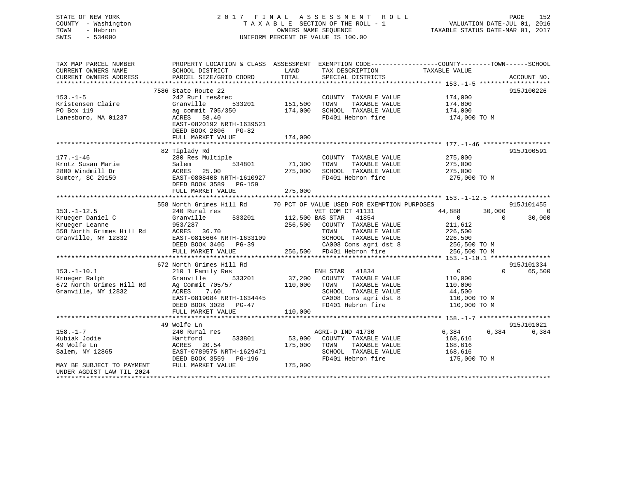# STATE OF NEW YORK 2 0 1 7 F I N A L A S S E S S M E N T R O L L PAGE 152 COUNTY - Washington T A X A B L E SECTION OF THE ROLL - 1 VALUATION DATE-JUL 01, 2016 TOWN - Hebron OWNERS NAME SEQUENCE TAXABLE STATUS DATE-MAR 01, 2017 SWIS - 534000 UNIFORM PERCENT OF VALUE IS 100.00

| TAX MAP PARCEL NUMBER<br>CURRENT OWNERS NAME<br>CURRENT OWNERS ADDRESS | SCHOOL DISTRICT<br>PARCEL SIZE/GRID COORD                      | LAND<br>TOTAL | TAX DESCRIPTION TAXABLE VALUE<br>SPECIAL DISTRICTS | PROPERTY LOCATION & CLASS ASSESSMENT EXEMPTION CODE----------------COUNTY-------TOWN------SCHOOL | ACCOUNT NO.    |
|------------------------------------------------------------------------|----------------------------------------------------------------|---------------|----------------------------------------------------|--------------------------------------------------------------------------------------------------|----------------|
|                                                                        |                                                                |               |                                                    |                                                                                                  |                |
| $153. - 1 - 5$<br>Kristensen Claire                                    | 7586 State Route 22<br>242 Rurl res&rec<br>Granville<br>533201 | 151,500       | COUNTY TAXABLE VALUE<br>TOWN<br>TAXABLE VALUE      | 174,000<br>174,000                                                                               | 915J100226     |
| PO Box 119<br>Lanesboro, MA 01237                                      | ag commit 705/350<br>ACRES 58.40<br>EAST-0820192 NRTH-1639521  | 174,000       | SCHOOL TAXABLE VALUE<br>FD401 Hebron fire          | 174,000<br>174,000 TO M                                                                          |                |
|                                                                        | DEED BOOK 2806 PG-82<br>FULL MARKET VALUE                      | 174,000       |                                                    |                                                                                                  |                |
|                                                                        |                                                                |               |                                                    |                                                                                                  |                |
|                                                                        | 82 Tiplady Rd                                                  |               |                                                    |                                                                                                  | 915J100591     |
| $177. - 1 - 46$<br>Krotz Susan Marie                                   | 280 Res Multiple<br>Salem<br>534801                            | 71,300        | COUNTY TAXABLE VALUE<br>TOWN<br>TAXABLE VALUE      | 275,000<br>275,000                                                                               |                |
| 2800 Windmill Dr<br>Sumter, SC 29150                                   | <b>ACRES</b><br>25.00<br>EAST-0808408 NRTH-1610927             | 275,000       | SCHOOL TAXABLE VALUE<br>FD401 Hebron fire          | 275,000<br>275,000 TO M                                                                          |                |
|                                                                        | DEED BOOK 3589 PG-159<br>FULL MARKET VALUE                     | 275,000       |                                                    |                                                                                                  |                |
|                                                                        |                                                                |               |                                                    |                                                                                                  |                |
|                                                                        | 558 North Grimes Hill Rd                                       |               | 70 PCT OF VALUE USED FOR EXEMPTION PURPOSES        |                                                                                                  | 915J101455     |
| $153. - 1 - 12.5$                                                      | 240 Rural res                                                  |               | VET COM CT 41131                                   | 44,888<br>30,000                                                                                 | $\overline{0}$ |
| Krueger Daniel C                                                       | Granville<br>533201                                            |               | 112,500 BAS STAR 41854                             | $\overline{0}$<br>$\Omega$                                                                       | 30,000         |
| Krueger Leanne                                                         | 953/287                                                        | 256,500       | COUNTY TAXABLE VALUE                               | 211,612                                                                                          |                |
| 558 North Grimes Hill Rd                                               | ACRES 36.70                                                    |               | TAXABLE VALUE<br>TOWN                              | 226,500                                                                                          |                |
|                                                                        |                                                                |               |                                                    |                                                                                                  |                |
| Granville, NY 12832                                                    | EAST-0816664 NRTH-1633109                                      |               | SCHOOL TAXABLE VALUE                               | 226,500                                                                                          |                |
|                                                                        | DEED BOOK 3405 PG-39                                           |               | CA008 Cons agri dst 8                              | 256,500 TO M                                                                                     |                |
|                                                                        | FULL MARKET VALUE                                              |               | 256,500 FD401 Hebron fire                          | 256,500 TO M                                                                                     |                |
|                                                                        |                                                                |               |                                                    |                                                                                                  |                |
|                                                                        | 672 North Grimes Hill Rd                                       |               |                                                    |                                                                                                  | 915J101334     |
| $153. - 1 - 10.1$                                                      | 210 1 Family Res                                               |               | ENH STAR 41834                                     | $\overline{0}$<br>$\Omega$                                                                       | 65,500         |
| Krueger Ralph                                                          | Granville<br>533201                                            | 37,200        | COUNTY TAXABLE VALUE                               | 110,000                                                                                          |                |
| 672 North Grimes Hill Rd                                               | Ag Commit 705/57                                               | 110,000       | TOWN<br>TAXABLE VALUE                              | 110,000                                                                                          |                |
| Granville, NY 12832                                                    | 7.60<br>ACRES                                                  |               | SCHOOL TAXABLE VALUE                               | 44,500                                                                                           |                |
|                                                                        | EAST-0819084 NRTH-1634445                                      |               | CA008 Cons agri dst 8                              | 110,000 TO M                                                                                     |                |
|                                                                        | DEED BOOK 3028 PG-47                                           |               | FD401 Hebron fire                                  | 110,000 TO M                                                                                     |                |
|                                                                        | FULL MARKET VALUE                                              | 110,000       |                                                    |                                                                                                  |                |
|                                                                        |                                                                |               |                                                    |                                                                                                  |                |
|                                                                        | 49 Wolfe Ln                                                    |               |                                                    |                                                                                                  | 915J101021     |
| $158. - 1 - 7$                                                         | 240 Rural res                                                  |               | AGRI-D IND 41730                                   | 6,384<br>6,384                                                                                   | 6,384          |
| Kubiak Jodie                                                           | Hartford<br>533801                                             | 53,900        | COUNTY TAXABLE VALUE                               | 168,616                                                                                          |                |
| 49 Wolfe Ln                                                            | ACRES 20.54                                                    | 175,000       | TOWN<br>TAXABLE VALUE                              | 168,616                                                                                          |                |
| Salem, NY 12865                                                        | EAST-0789575 NRTH-1629471                                      |               | SCHOOL TAXABLE VALUE                               | 168,616                                                                                          |                |
|                                                                        | DEED BOOK 3559<br>PG-196                                       |               | FD401 Hebron fire                                  | 175,000 TO M                                                                                     |                |
| MAY BE SUBJECT TO PAYMENT<br>UNDER AGDIST LAW TIL 2024                 | FULL MARKET VALUE                                              | 175,000       |                                                    |                                                                                                  |                |
|                                                                        |                                                                |               |                                                    |                                                                                                  |                |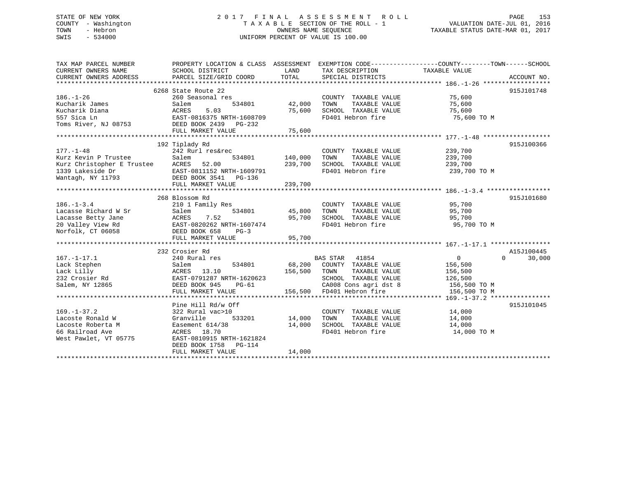# STATE OF NEW YORK 2 0 1 7 F I N A L A S S E S S M E N T R O L L PAGE 153 COUNTY - Washington T A X A B L E SECTION OF THE ROLL - 1 VALUATION DATE-JUL 01, 2016 TOWN - Hebron OWNERS NAME SEQUENCE TAXABLE STATUS DATE-MAR 01, 2017 SWIS - 534000 UNIFORM PERCENT OF VALUE IS 100.00

| TAX MAP PARCEL NUMBER<br>CURRENT OWNERS NAME<br>CURRENT OWNERS ADDRESS                                                     | SCHOOL DISTRICT<br>PARCEL SIZE/GRID COORD                                                                                                                                  | LAND<br>TOTAL                 | TAX DESCRIPTION<br>SPECIAL DISTRICTS                                                                                                          | PROPERTY LOCATION & CLASS ASSESSMENT EXEMPTION CODE----------------COUNTY-------TOWN------SCHOOL<br>TAXABLE VALUE<br>ACCOUNT NO. |
|----------------------------------------------------------------------------------------------------------------------------|----------------------------------------------------------------------------------------------------------------------------------------------------------------------------|-------------------------------|-----------------------------------------------------------------------------------------------------------------------------------------------|----------------------------------------------------------------------------------------------------------------------------------|
| $186. - 1 - 26$<br>Kucharik James<br>Kucharik Diana<br>557 Sica Ln<br>Toms River, NJ 08753 DEED BOOK 2439 PG-232           | 6268 State Route 22<br>260 Seasonal res<br>534801<br>Salem<br>ACRES<br>5.03<br>EAST-0816375 NRTH-1608709<br>FULL MARKET VALUE                                              | 42,000<br>75,600<br>75,600    | COUNTY TAXABLE VALUE<br>TOWN<br>TAXABLE VALUE<br>SCHOOL TAXABLE VALUE<br>FD401 Hebron fire                                                    | 915J101748<br>75,600<br>75,600<br>75,600<br>75,600 TO M                                                                          |
| $177. - 1 - 48$<br>Kurz Kevin P Trustee<br>Kurz Christopher E Trustee ACRES 52.00<br>1339 Lakeside Dr<br>Wantagh, NY 11793 | 192 Tiplady Rd<br>242 Rurl res&rec<br>Salem<br>534801<br>EAST-0811152 NRTH-1609791<br>DEED BOOK 3541 PG-136<br>FULL MARKET VALUE                                           | 140,000<br>239,700<br>239,700 | COUNTY TAXABLE VALUE<br>TOWN<br>TAXABLE VALUE<br>SCHOOL TAXABLE VALUE<br>FD401 Hebron fire                                                    | 915J100366<br>239,700<br>239,700<br>239,700<br>239,700 TO M                                                                      |
| $186. - 1 - 3.4$<br>Lacasse Richard W Sr<br>Lacasse Betty Jane<br>20 Valley View Rd<br>Norfolk, CT 06058                   | 268 Blossom Rd<br>210 1 Family Res<br>534801<br>Salem<br><b>ACRES</b><br>7.52<br>EAST-0820262 NRTH-1607474<br>DEED BOOK 658<br>$PG-3$<br>FULL MARKET VALUE                 | 45,800<br>95,700<br>95,700    | COUNTY TAXABLE VALUE<br>TOWN<br>TAXABLE VALUE<br>SCHOOL TAXABLE VALUE<br>FD401 Hebron fire                                                    | 915J101680<br>95,700<br>95,700<br>95,700<br>95,700 TO M                                                                          |
| $167. - 1 - 17.1$<br>Lack Stephen<br>Lack Lilly<br>232 Crosier Rd<br>Salem, NY 12865                                       | 232 Crosier Rd<br>240 Rural res<br>534801<br>Salem<br>13.10<br>ACRES<br>EAST-0791287 NRTH-1620623<br>DEED BOOK 945<br>PG-61<br>FULL MARKET VALUE                           | 68,200<br>156,500             | BAS STAR 41854<br>COUNTY TAXABLE VALUE<br>TOWN<br>TAXABLE VALUE<br>SCHOOL TAXABLE VALUE<br>CA008 Cons agri dst 8<br>156,500 FD401 Hebron fire | A15J100445<br>$0 \qquad \qquad$<br>$\overline{0}$<br>30,000<br>156,500<br>156,500<br>126,500<br>156,500 TO M<br>156,500 TO M     |
| $169. - 1 - 37.2$<br>Lacoste Ronald W<br>Lacoste Roberta M<br>66 Railroad Ave<br>West Pawlet, VT 05775                     | Pine Hill Rd/w Off<br>322 Rural vac>10<br>Granville<br>533201<br>Easement 614/38<br>ACRES 18.70<br>EAST-0810915 NRTH-1621824<br>DEED BOOK 1758 PG-114<br>FULL MARKET VALUE | 14,000<br>14,000<br>14,000    | COUNTY TAXABLE VALUE<br>TOWN<br>TAXABLE VALUE<br>SCHOOL TAXABLE VALUE<br>FD401 Hebron fire                                                    | 915J101045<br>14,000<br>14,000<br>14,000<br>14,000 TO M                                                                          |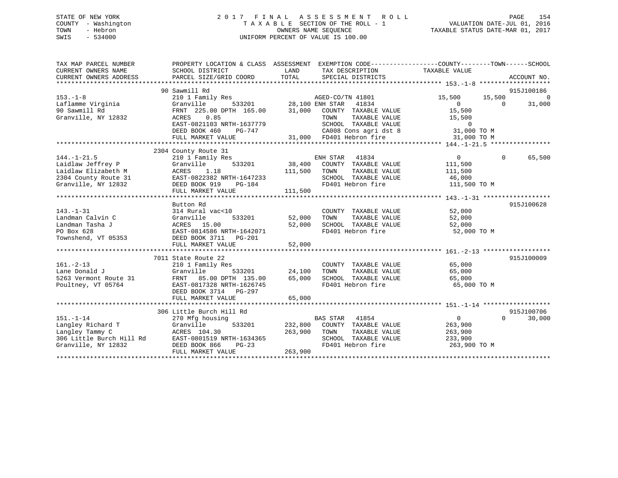# STATE OF NEW YORK 2 0 1 7 F I N A L A S S E S S M E N T R O L L PAGE 154 COUNTY - Washington T A X A B L E SECTION OF THE ROLL - 1 VALUATION DATE-JUL 01, 2016 TOWN - Hebron OWNERS NAME SEQUENCE TAXABLE STATUS DATE-MAR 01, 2017 SWIS - 534000 UNIFORM PERCENT OF VALUE IS 100.00

| TAX MAP PARCEL NUMBER<br>CURRENT OWNERS NAME<br>CURRENT OWNERS ADDRESS                                                                                                                | PROPERTY LOCATION & CLASS ASSESSMENT EXEMPTION CODE----------------COUNTY-------TOWN------SCHOOL<br>SCHOOL DISTRICT<br>PARCEL SIZE/GRID COORD                  | LAND<br>TOTAL              | TAX DESCRIPTION TAXABLE VALUE<br>SPECIAL DISTRICTS                                                                                  |                                                               | ACCOUNT NO.                      |
|---------------------------------------------------------------------------------------------------------------------------------------------------------------------------------------|----------------------------------------------------------------------------------------------------------------------------------------------------------------|----------------------------|-------------------------------------------------------------------------------------------------------------------------------------|---------------------------------------------------------------|----------------------------------|
| $153. - 1 - 8$                                                                                                                                                                        | 90 Sawmill Rd<br>210 1 Family Res                                                                                                                              |                            | AGED-CO/TN 41801                                                                                                                    | 15,500<br>15,500                                              | 915J100186<br>$\overline{0}$     |
| Laflamme Virginia<br>90 Sawmill Rd<br>Granville, NY 12832                                                                                                                             | 533201 28,100 ENH STAR<br>Granville<br>FRNT 225.00 DPTH 165.00<br>0.85<br>ACRES<br>EAST-0821103 NRTH-1637779<br>DEED BOOK 460<br>PG-747                        | 31,000                     | 41834<br>COUNTY TAXABLE VALUE<br>TAXABLE VALUE<br>TOWN<br>SCHOOL TAXABLE VALUE<br>CA008 Cons agri dst 8<br>31,000 FD401 Hebron fire | $\Omega$<br>15,500<br>15,500<br>$\overline{0}$<br>31,000 TO M | $\Omega$<br>31,000               |
|                                                                                                                                                                                       | FULL MARKET VALUE                                                                                                                                              |                            |                                                                                                                                     | 31,000 TO M                                                   |                                  |
| $144. - 1 - 21.5$<br>14.1.1 2.1.2<br>Laidlaw Jeffrey P (3.1.18 111,500<br>2304 County Route 31 EAST-0822382 NRTH-1647233<br>111,500<br>2304 County Route 31 EAST-0822382 NRTH-1647233 | 2304 County Route 31<br>210 1 Family Res<br>FULL MARKET VALUE                                                                                                  | 111,500                    | ENH STAR 41834<br>38,400 COUNTY TAXABLE VALUE<br>TOWN<br>TAXABLE VALUE<br>SCHOOL TAXABLE VALUE 46,000<br>FD401 Hebron fire          | $\overline{0}$<br>111,500<br>111,500<br>111,500 TO M          | $\Omega$<br>65,500               |
|                                                                                                                                                                                       |                                                                                                                                                                |                            |                                                                                                                                     |                                                               |                                  |
| $143. - 1 - 31$<br>Landman Calvin C<br>Landman Tasha J<br>PO Box 628<br>Townshend, VT 05353                                                                                           | Button Rd<br>314 Rural vac<10<br>533201<br>Granville<br>ACRES 15.00<br>EAST-0814586<br>EAST-0814586 NRTH-1642071<br>DEED BOOK 3711 PG-201<br>FULL MARKET VALUE | 52,000<br>52,000<br>52,000 | COUNTY TAXABLE VALUE<br>TOWN<br>TAXABLE VALUE<br>SCHOOL TAXABLE VALUE<br>FD401 Hebron fire                                          | 52,000<br>52,000<br>52,000<br>52,000 TO M                     | 915J100628                       |
|                                                                                                                                                                                       | 7011 State Route 22                                                                                                                                            |                            |                                                                                                                                     |                                                               | 915J100009                       |
| $161. - 2 - 13$<br>Lane Donald J<br>5263 Vermont Route 31<br>Poultney, VT 05764                                                                                                       | 210 1 Family Res<br>Granville<br>FRNT 85.00 DPTH 135.00<br>EAST-0817328 NRTH-1626745<br>DEED BOOK 3714 PG-297                                                  | 533201 24,100<br>65,000    | COUNTY TAXABLE VALUE<br>TAXABLE VALUE<br>TOWN<br>SCHOOL TAXABLE VALUE 65,000<br>FD401 Hebron fire                                   | 65,000<br>65,000<br>65,000 TO M                               |                                  |
|                                                                                                                                                                                       | FULL MARKET VALUE                                                                                                                                              | 65,000                     |                                                                                                                                     |                                                               |                                  |
| $151. - 1 - 14$<br>Langley Richard T<br>Langley Tammy C<br>306 Little Burch Hill Rd EAST-0801519 NRTH-1634365<br>Granville, NY 12832                                                  | 306 Little Burch Hill Rd<br>270 Mfg housing<br>533201<br>Granville<br>ACRES 104.30<br>DEED BOOK 866<br>$PG-23$<br>FULL MARKET VALUE                            | 263,900<br>263,900         | <b>BAS STAR</b><br>41854<br>232,800 COUNTY TAXABLE VALUE<br>TOWN<br>TAXABLE VALUE<br>SCHOOL TAXABLE VALUE<br>FD401 Hebron fire      | 0<br>263,900<br>263,900<br>233,900<br>263,900 TO M            | 915J100706<br>$\Omega$<br>30,000 |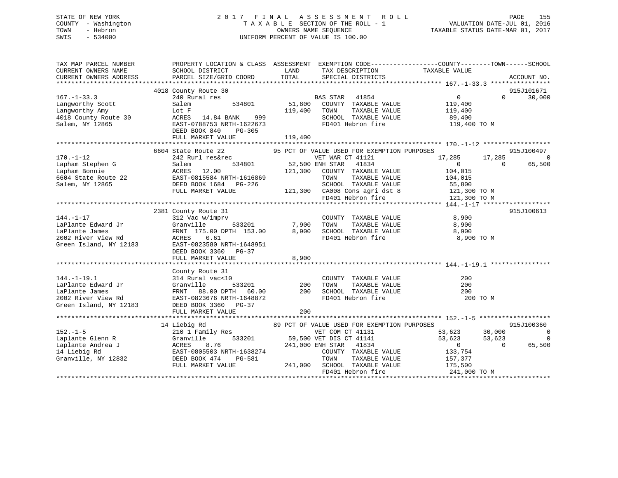# STATE OF NEW YORK 2 0 1 7 F I N A L A S S E S S M E N T R O L L PAGE 155 COUNTY - Washington T A X A B L E SECTION OF THE ROLL - 1 VALUATION DATE-JUL 01, 2016 TOWN - Hebron OWNERS NAME SEQUENCE TAXABLE STATUS DATE-MAR 01, 2017 SWIS - 534000 UNIFORM PERCENT OF VALUE IS 100.00

| TAX MAP PARCEL NUMBER<br>CURRENT OWNERS NAME<br>CURRENT OWNERS ADDRESS | SCHOOL DISTRICT<br>PARCEL SIZE/GRID COORD | LAND<br>TOTAL   | TAX DESCRIPTION<br>SPECIAL DISTRICTS                                        | PROPERTY LOCATION & CLASS ASSESSMENT EXEMPTION CODE---------------COUNTY-------TOWN------SCHOOL<br>TAXABLE VALUE | ACCOUNT NO.    |
|------------------------------------------------------------------------|-------------------------------------------|-----------------|-----------------------------------------------------------------------------|------------------------------------------------------------------------------------------------------------------|----------------|
|                                                                        |                                           |                 |                                                                             |                                                                                                                  |                |
|                                                                        | 4018 County Route 30                      |                 |                                                                             |                                                                                                                  | 915J101671     |
| $167. - 1 - 33.3$                                                      | 240 Rural res                             |                 | BAS STAR<br>41854                                                           | $0 \qquad \qquad$<br>$\Omega$                                                                                    | 30,000         |
| Langworthy Scott                                                       | Salem<br>534801                           | 51,800          | COUNTY TAXABLE VALUE                                                        | 119,400                                                                                                          |                |
| Langworthy Amy                                                         | Lot F                                     | 119,400         | TAXABLE VALUE<br>TOWN                                                       | 119,400                                                                                                          |                |
| 4018 County Route 30                                                   | 999<br>ACRES 14.84 BANK                   |                 | SCHOOL TAXABLE VALUE                                                        | 89,400                                                                                                           |                |
| Salem, NY 12865                                                        | EAST-0788753 NRTH-1622673                 |                 | FD401 Hebron fire                                                           | 119,400 TO M                                                                                                     |                |
|                                                                        | DEED BOOK 840<br>$PG-305$                 |                 |                                                                             |                                                                                                                  |                |
|                                                                        | FULL MARKET VALUE                         | 119,400         |                                                                             |                                                                                                                  |                |
|                                                                        |                                           |                 |                                                                             |                                                                                                                  |                |
|                                                                        | 6604 State Route 22                       |                 | 95 PCT OF VALUE USED FOR EXEMPTION PURPOSES                                 |                                                                                                                  | 915J100497     |
| $170. - 1 - 12$                                                        | 242 Rurl res&rec                          |                 | VET WAR CT 41121                                                            | 17,285<br>17,285                                                                                                 | $\Omega$       |
| Lapham Stephen G                                                       | 534801<br>Salem                           | 52,500 ENH STAR | 41834                                                                       | $\overline{0}$<br>$\Omega$                                                                                       | 65,500         |
| Lapham Bonnie                                                          | ACRES 12.00                               | 121,300         | COUNTY TAXABLE VALUE                                                        | 104,015                                                                                                          |                |
| 6604 State Route 22                                                    | EAST-0815584 NRTH-1616869                 |                 | TAXABLE VALUE<br>TOWN                                                       | 104,015                                                                                                          |                |
| Salem, NY 12865                                                        | DEED BOOK 1684 PG-226                     |                 | SCHOOL TAXABLE VALUE                                                        | 55,800                                                                                                           |                |
|                                                                        | FULL MARKET VALUE                         |                 | 121,300 CA008 Cons agri dst 8<br>CA008 Cons agri dst 8<br>FD401 Hebron fire | 121,300 TO M                                                                                                     |                |
|                                                                        |                                           |                 |                                                                             | 121,300 TO M                                                                                                     |                |
|                                                                        |                                           |                 |                                                                             |                                                                                                                  |                |
|                                                                        | 2381 County Route 31                      |                 |                                                                             |                                                                                                                  | 915J100613     |
| $144. - 1 - 17$                                                        | 312 Vac w/imprv                           |                 | COUNTY TAXABLE VALUE                                                        | 8,900                                                                                                            |                |
| LaPlante Edward Jr                                                     | 533201<br>Granville                       | 7,900           | TAXABLE VALUE<br>TOWN                                                       | 8,900                                                                                                            |                |
| LaPlante James                                                         | FRNT 175.00 DPTH 153.00                   | 8,900           | SCHOOL TAXABLE VALUE                                                        | 8,900                                                                                                            |                |
| 2002 River View Rd                                                     | ACRES 0.61                                |                 | FD401 Hebron fire                                                           | 8,900 TO M                                                                                                       |                |
| Green Island, NY 12183                                                 | EAST-0823580 NRTH-1648951                 |                 |                                                                             |                                                                                                                  |                |
|                                                                        | DEED BOOK 3360 PG-37                      |                 |                                                                             |                                                                                                                  |                |
|                                                                        | FULL MARKET VALUE                         | 8,900           |                                                                             |                                                                                                                  |                |
|                                                                        |                                           |                 |                                                                             |                                                                                                                  |                |
|                                                                        | County Route 31                           |                 |                                                                             |                                                                                                                  |                |
| $144. - 1 - 19.1$                                                      | 314 Rural vac<10                          |                 | COUNTY TAXABLE VALUE                                                        | 200                                                                                                              |                |
| LaPlante Edward Jr                                                     | Granville<br>533201                       | 200             | TOWN<br>TAXABLE VALUE                                                       | 200                                                                                                              |                |
| LaPlante James                                                         | FRNT 88.00 DPTH 60.00                     | 200             | SCHOOL TAXABLE VALUE                                                        | 200                                                                                                              |                |
| 2002 River View Rd                                                     | EAST-0823676 NRTH-1648872                 |                 | FD401 Hebron fire                                                           | 200 TO M                                                                                                         |                |
| Green Island, NY 12183                                                 | DEED BOOK 3360 PG-37                      |                 |                                                                             |                                                                                                                  |                |
|                                                                        | FULL MARKET VALUE                         | 200             |                                                                             |                                                                                                                  |                |
|                                                                        |                                           |                 |                                                                             |                                                                                                                  |                |
|                                                                        | 14 Liebig Rd                              |                 | 89 PCT OF VALUE USED FOR EXEMPTION PURPOSES                                 |                                                                                                                  | 915J100360     |
| $152. - 1 - 5$                                                         | 210 1 Family Res                          |                 | VET COM CT 41131                                                            | 53,623<br>30,000                                                                                                 | $\overline{0}$ |
| Laplante Glenn R                                                       | 533201<br>Granville                       |                 | 59,500 VET DIS CT 41141                                                     | 53,623<br>53,623                                                                                                 | $\mathbf 0$    |
| Laplante Andrea J                                                      | ACRES<br>8.76                             |                 | 241,000 ENH STAR 41834                                                      | $\overline{0}$<br>$\Omega$                                                                                       | 65,500         |
| 14 Liebig Rd                                                           | EAST-0805503 NRTH-1638274                 |                 | COUNTY TAXABLE VALUE                                                        | 133,754                                                                                                          |                |
| Granville, NY 12832                                                    | DEED BOOK 474<br>PG-581                   |                 | TOWN<br>TAXABLE VALUE                                                       | 157,377                                                                                                          |                |
|                                                                        | FULL MARKET VALUE                         |                 | 241,000 SCHOOL TAXABLE VALUE                                                | 175,500                                                                                                          |                |
|                                                                        |                                           |                 | FD401 Hebron fire                                                           | 241,000 TO M                                                                                                     |                |
|                                                                        |                                           |                 |                                                                             |                                                                                                                  |                |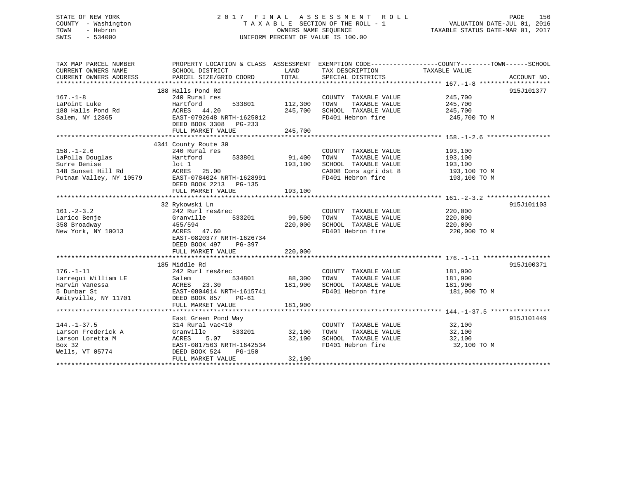# STATE OF NEW YORK 2 0 1 7 F I N A L A S S E S S M E N T R O L L PAGE 156 COUNTY - Washington T A X A B L E SECTION OF THE ROLL - 1 VALUATION DATE-JUL 01, 2016 TOWN - Hebron OWNERS NAME SEQUENCE TAXABLE STATUS DATE-MAR 01, 2017 SWIS - 534000 UNIFORM PERCENT OF VALUE IS 100.00

| TAX MAP PARCEL NUMBER<br>CURRENT OWNERS NAME | PROPERTY LOCATION & CLASS ASSESSMENT EXEMPTION CODE---------------COUNTY-------TOWN-----SCHOOL<br>SCHOOL DISTRICT | LAND    | TAX DESCRIPTION       | TAXABLE VALUE |             |
|----------------------------------------------|-------------------------------------------------------------------------------------------------------------------|---------|-----------------------|---------------|-------------|
| CURRENT OWNERS ADDRESS                       | PARCEL SIZE/GRID COORD                                                                                            | TOTAL   | SPECIAL DISTRICTS     |               | ACCOUNT NO. |
|                                              |                                                                                                                   |         |                       |               |             |
|                                              | 188 Halls Pond Rd                                                                                                 |         |                       |               | 915J101377  |
| $167. - 1 - 8$                               | 240 Rural res                                                                                                     |         | COUNTY TAXABLE VALUE  | 245,700       |             |
| LaPoint Luke                                 | Hartford<br>533801                                                                                                | 112,300 | TOWN<br>TAXABLE VALUE | 245,700       |             |
| 188 Halls Pond Rd                            | ACRES 44.20                                                                                                       | 245,700 | SCHOOL TAXABLE VALUE  | 245,700       |             |
| Salem, NY 12865                              | EAST-0792648 NRTH-1625012                                                                                         |         | FD401 Hebron fire     | 245,700 TO M  |             |
|                                              | DEED BOOK 3308 PG-233                                                                                             |         |                       |               |             |
|                                              | FULL MARKET VALUE                                                                                                 | 245,700 |                       |               |             |
|                                              |                                                                                                                   |         |                       |               |             |
|                                              | 4341 County Route 30                                                                                              |         |                       |               |             |
| $158. - 1 - 2.6$                             | 240 Rural res                                                                                                     |         | COUNTY TAXABLE VALUE  | 193,100       |             |
| LaPolla Douglas                              | 533801<br>Hartford                                                                                                | 91,400  | TAXABLE VALUE<br>TOWN | 193,100       |             |
| Surre Denise                                 | lot 1                                                                                                             | 193,100 | SCHOOL TAXABLE VALUE  | 193,100       |             |
| 148 Sunset Hill Rd                           | ACRES<br>25.00                                                                                                    |         | CA008 Cons agri dst 8 | 193,100 TO M  |             |
| Putnam Valley, NY 10579                      | EAST-0784024 NRTH-1628991                                                                                         |         | FD401 Hebron fire     | 193,100 TO M  |             |
|                                              | DEED BOOK 2213<br>PG-135                                                                                          |         |                       |               |             |
|                                              | FULL MARKET VALUE                                                                                                 | 193,100 |                       |               |             |
|                                              |                                                                                                                   |         |                       |               |             |
|                                              | 32 Rykowski Ln                                                                                                    |         |                       |               | 915J101103  |
| $161. - 2 - 3.2$                             | 242 Rurl res&rec                                                                                                  |         | COUNTY TAXABLE VALUE  | 220,000       |             |
| Larico Benje                                 | Granville<br>533201                                                                                               | 99,500  | TAXABLE VALUE<br>TOWN | 220,000       |             |
| 358 Broadway                                 | 455/594                                                                                                           | 220,000 | SCHOOL TAXABLE VALUE  | 220,000       |             |
| New York, NY 10013                           | ACRES 47.60                                                                                                       |         | FD401 Hebron fire     | 220,000 TO M  |             |
|                                              | EAST-0820377 NRTH-1626734                                                                                         |         |                       |               |             |
|                                              | DEED BOOK 497<br>PG-397                                                                                           |         |                       |               |             |
|                                              | FULL MARKET VALUE                                                                                                 | 220,000 |                       |               |             |
|                                              |                                                                                                                   |         |                       |               |             |
|                                              | 185 Middle Rd                                                                                                     |         |                       |               | 915J100371  |
| $176. - 1 - 11$                              | 242 Rurl res&rec                                                                                                  |         | COUNTY TAXABLE VALUE  | 181,900       |             |
| Larregui William LE                          | 534801<br>Salem                                                                                                   | 88,300  | TOWN<br>TAXABLE VALUE | 181,900       |             |
| Harvin Vanessa                               | ACRES 23.30                                                                                                       | 181,900 | SCHOOL TAXABLE VALUE  | 181,900       |             |
| 5 Dunbar St                                  | EAST-0804014 NRTH-1615741                                                                                         |         | FD401 Hebron fire     | 181,900 TO M  |             |
| Amityville, NY 11701                         | DEED BOOK 857<br>$PG-61$                                                                                          |         |                       |               |             |
|                                              | FULL MARKET VALUE                                                                                                 | 181,900 |                       |               |             |
|                                              |                                                                                                                   |         |                       |               |             |
|                                              | East Green Pond Way                                                                                               |         |                       |               | 915J101449  |
| $144. - 1 - 37.5$                            | 314 Rural vac<10                                                                                                  |         | COUNTY TAXABLE VALUE  | 32,100        |             |
| Larson Frederick A                           | Granville<br>533201                                                                                               | 32,100  | TAXABLE VALUE<br>TOWN | 32,100        |             |
| Larson Loretta M                             | ACRES<br>5.07                                                                                                     | 32,100  | SCHOOL TAXABLE VALUE  | 32,100        |             |
| Box 32                                       | EAST-0817563 NRTH-1642534                                                                                         |         | FD401 Hebron fire     | 32,100 TO M   |             |
| Wells, VT 05774                              | DEED BOOK 524<br>PG-150                                                                                           |         |                       |               |             |
|                                              | FULL MARKET VALUE                                                                                                 | 32,100  |                       |               |             |
|                                              |                                                                                                                   |         |                       |               |             |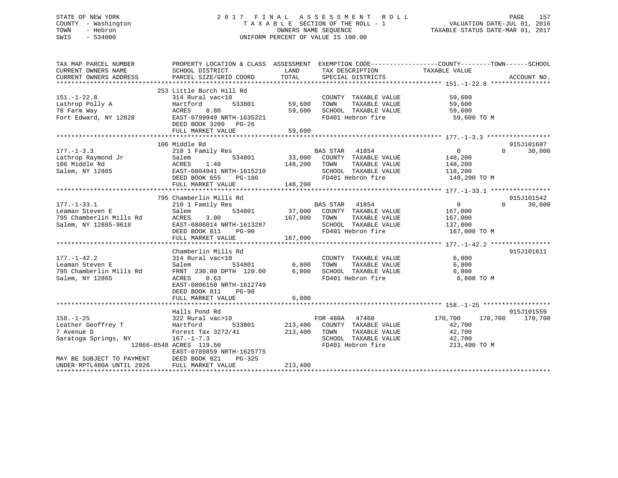# STATE OF NEW YORK 2 0 1 7 F I N A L A S S E S S M E N T R O L L PAGE 157 COUNTY - Washington T A X A B L E SECTION OF THE ROLL - 1 VALUATION DATE-JUL 01, 2016 TOWN - Hebron OWNERS NAME SEQUENCE TAXABLE STATUS DATE-MAR 01, 2017 SWIS - 534000 UNIFORM PERCENT OF VALUE IS 100.00

| TAX MAP PARCEL NUMBER<br>CURRENT OWNERS NAME<br>CURRENT OWNERS ADDRESS                  | PROPERTY LOCATION & CLASS ASSESSMENT EXEMPTION CODE---------------COUNTY-------TOWN-----SCHOOL<br>SCHOOL DISTRICT<br>PARCEL SIZE/GRID COORD                          | LAND<br>TOTAL              | TAX DESCRIPTION TAXABLE VALUE<br>SPECIAL DISTRICTS                                                           |                                                                    | ACCOUNT NO.        |
|-----------------------------------------------------------------------------------------|----------------------------------------------------------------------------------------------------------------------------------------------------------------------|----------------------------|--------------------------------------------------------------------------------------------------------------|--------------------------------------------------------------------|--------------------|
| $151. - 1 - 22.8$<br>Lathrop Polly A<br>78 Farm Way<br>Fort Edward, NY 12828            | 253 Little Burch Hill Rd<br>314 Rural vac<10<br>Hartford<br>533801<br>8.80<br>ACRES<br>EAST-0799949 NRTH-1635221<br>DEED BOOK 3200 PG-26<br>FULL MARKET VALUE        | 59,600<br>59,600<br>59,600 | COUNTY TAXABLE VALUE<br>TAXABLE VALUE<br>TOWN<br>SCHOOL TAXABLE VALUE<br>FD401 Hebron fire                   | 59,600<br>59,600<br>59,600<br>59,600 TO M                          |                    |
|                                                                                         |                                                                                                                                                                      |                            |                                                                                                              |                                                                    |                    |
|                                                                                         | 106 Middle Rd                                                                                                                                                        |                            |                                                                                                              |                                                                    | 915J101607         |
| $177. - 1 - 3.3$<br>Lathrop Raymond Jr<br>106 Middle Rd<br>Salem, NY 12865              | 210 1 Family Res<br>Salem<br>534801<br>1.40<br>ACRES<br>EAST-0804941 NRTH-1615210<br>DEED BOOK 655<br>PG-186                                                         | 33,000<br>148,200          | BAS STAR 41854<br>COUNTY TAXABLE VALUE<br>TAXABLE VALUE<br>TOWN<br>SCHOOL TAXABLE VALUE<br>FD401 Hebron fire | $0 \qquad \qquad$<br>148,200<br>148,200<br>118,200<br>148,200 TO M | 30,000<br>$\Omega$ |
|                                                                                         | FULL MARKET VALUE                                                                                                                                                    | 148,200                    |                                                                                                              |                                                                    |                    |
|                                                                                         |                                                                                                                                                                      |                            |                                                                                                              |                                                                    |                    |
|                                                                                         | 795 Chamberlin Mills Rd                                                                                                                                              |                            |                                                                                                              |                                                                    | 915J101542         |
| $177. - 1 - 33.1$<br>Leaman Steven E<br>795 Chamberlin Mills Rd<br>Salem, NY 12865-9618 | 210 1 Family Res<br>Salem<br>3.00<br>ACRES<br>EAST-0806014 NRTH-1613287<br>DEED BOOK 811<br><b>PG-90</b>                                                             | 534801 37,000<br>167,000   | BAS STAR 41854<br>COUNTY TAXABLE VALUE<br>TOWN<br>TAXABLE VALUE<br>SCHOOL TAXABLE VALUE<br>FD401 Hebron fire | $\overline{0}$<br>167,000<br>167,000<br>137,000<br>167,000 TO M    | $\Omega$<br>30,000 |
|                                                                                         | FULL MARKET VALUE                                                                                                                                                    | 167,000                    |                                                                                                              |                                                                    |                    |
| $177. - 1 - 42.2$<br>Leaman Steven E<br>795 Chamberlin Mills Rd<br>Salem, NY 12865      | Chamberlin Mills Rd<br>314 Rural vac<10<br>Salem<br>534801<br>FRNT 230.00 DPTH 120.00<br>0.63<br>ACRES<br>EAST-0806150 NRTH-1612749<br>DEED BOOK 811<br><b>PG-90</b> | 6,800<br>6,800             | COUNTY TAXABLE VALUE<br>TAXABLE VALUE<br>TOWN<br>SCHOOL TAXABLE VALUE<br>FD401 Hebron fire                   | 6,800<br>6,800<br>6,800<br>6,800 TO M                              | 915J101611         |
|                                                                                         | FULL MARKET VALUE                                                                                                                                                    | 6,800                      |                                                                                                              |                                                                    |                    |
|                                                                                         |                                                                                                                                                                      |                            |                                                                                                              |                                                                    |                    |
|                                                                                         | Halls Pond Rd                                                                                                                                                        |                            |                                                                                                              |                                                                    | 915J101559         |
| $158. - 1 - 25$<br>Leather Geoffrey T<br>7 Avenue D<br>Saratoga Springs, NY             | 322 Rural vac>10<br>Hartford<br>533801<br>Forest Tax 3272/41<br>$167. - 1 - 7.3$<br>12866-8548 ACRES 119.50<br>EAST-0789859 NRTH-1625775                             | 213,400<br>213,400         | FOR 480A 47460<br>COUNTY TAXABLE VALUE<br>TOWN<br>TAXABLE VALUE<br>SCHOOL TAXABLE VALUE<br>FD401 Hebron fire | 170,700<br>42,700<br>42,700<br>42,700<br>213,400 TO M              | 170,700 170,700    |
| MAY BE SUBJECT TO PAYMENT<br>UNDER RPTL480A UNTIL 2026                                  | DEED BOOK 821<br>PG-325<br>FULL MARKET VALUE                                                                                                                         | 213,400                    |                                                                                                              |                                                                    |                    |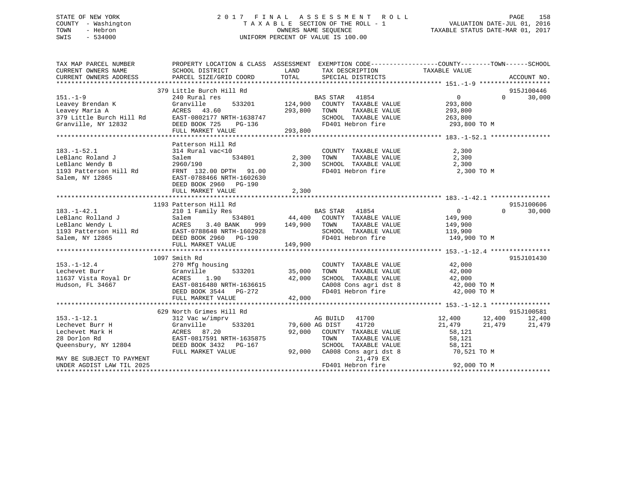# STATE OF NEW YORK 2 0 1 7 F I N A L A S S E S S M E N T R O L L PAGE 158 COUNTY - Washington T A X A B L E SECTION OF THE ROLL - 1 VALUATION DATE-JUL 01, 2016 TOWN - Hebron OWNERS NAME SEQUENCE TAXABLE STATUS DATE-MAR 01, 2017 SWIS - 534000 UNIFORM PERCENT OF VALUE IS 100.00

| TAX MAP PARCEL NUMBER<br>CURRENT OWNERS NAME | PROPERTY LOCATION & CLASS ASSESSMENT EXEMPTION CODE---------------COUNTY-------TOWN-----SCHOOL<br>SCHOOL DISTRICT | <b>LAND</b>  | TAX DESCRIPTION                                                    | TAXABLE VALUE              |                                  |
|----------------------------------------------|-------------------------------------------------------------------------------------------------------------------|--------------|--------------------------------------------------------------------|----------------------------|----------------------------------|
| CURRENT OWNERS ADDRESS                       | PARCEL SIZE/GRID COORD                                                                                            | TOTAL        | SPECIAL DISTRICTS                                                  |                            | ACCOUNT NO.                      |
|                                              |                                                                                                                   |              |                                                                    |                            |                                  |
| $151. - 1 - 9$                               | 379 Little Burch Hill Rd<br>240 Rural res                                                                         |              | BAS STAR 41854                                                     | $\overline{0}$             | 915J100446<br>30,000<br>$\Omega$ |
| Leavey Brendan K                             | Granville                                                                                                         |              | 533201 124,900 COUNTY TAXABLE VALUE                                | 293,800                    |                                  |
| Leavey Maria A                               | ACRES 43.60<br>293,800 TOWN                                                                                       |              | TAXABLE VALUE                                                      |                            |                                  |
| 379 Little Burch Hill Rd                     | EAST-0802177 NRTH-1638747                                                                                         |              | SCHOOL TAXABLE VALUE                                               | 293,800                    |                                  |
| Granville, NY 12832                          | NKTH-1638747<br>PG-136<br>DEED BOOK 725                                                                           |              | FD401 Hebron fire                                                  | 263,800<br>293,800 TO M    |                                  |
|                                              |                                                                                                                   |              |                                                                    |                            |                                  |
|                                              | FULL MARKET VALUE                                                                                                 | 293,800      |                                                                    |                            |                                  |
|                                              | Patterson Hill Rd                                                                                                 |              |                                                                    |                            |                                  |
|                                              |                                                                                                                   |              |                                                                    |                            |                                  |
| $183. - 1 - 52.1$                            | 314 Rural vac<10                                                                                                  |              | COUNTY TAXABLE VALUE<br>TAXABLE VALUE                              | 2,300                      |                                  |
| LeBlanc Roland J                             | Salem                                                                                                             | 534801 2,300 | TOWN                                                               | 2,300                      |                                  |
| LeBlanc Wendy B                              | 2960/190                                                                                                          | 2,300        | SCHOOL TAXABLE VALUE                                               | 2,300                      |                                  |
| 1193 Patterson Hill Rd                       | FRNT 132.00 DPTH 91.00                                                                                            |              | FD401 Hebron fire                                                  | 2,300 TO M                 |                                  |
| Salem, NY 12865                              | EAST-0788466 NRTH-1602630                                                                                         |              |                                                                    |                            |                                  |
|                                              | DEED BOOK 2960 PG-190                                                                                             |              |                                                                    |                            |                                  |
|                                              | FULL MARKET VALUE                                                                                                 | 2,300        |                                                                    |                            |                                  |
|                                              |                                                                                                                   |              |                                                                    |                            |                                  |
|                                              | 1193 Patterson Hill Rd                                                                                            |              |                                                                    |                            | 915J100606                       |
| $183. - 1 - 42.1$                            | 210 1 Family Res                                                                                                  |              | BAS STAR 41854<br>44,400 COUNTY TAXABLE VALUE                      | $\overline{0}$<br>$\Omega$ | 30,000                           |
| LeBlanc Rolland J                            | 534801<br>Salem                                                                                                   |              |                                                                    | 149,900                    |                                  |
| LeBlanc Wendy L                              | ACRES<br>3.40 BANK<br>999                                                                                         | 149,900 TOWN | TAXABLE VALUE                                                      | 149,900                    |                                  |
| 1193 Patterson Hill Rd<br>Salem, NY 12865    | EAST-0788648 NRTH-1602928                                                                                         |              | SCHOOL TAXABLE VALUE<br>SCHOOL TAXABLE VA<br>FD401 Hebron fire     | 119,900                    |                                  |
|                                              | DEED BOOK 2960 PG-190                                                                                             |              |                                                                    | 149,900 TO M               |                                  |
|                                              | FULL MARKET VALUE                                                                                                 | 149,900      |                                                                    |                            |                                  |
|                                              |                                                                                                                   |              |                                                                    |                            |                                  |
|                                              | 1097 Smith Rd                                                                                                     |              |                                                                    |                            | 915J101430                       |
| $153. - 1 - 12.4$                            | 270 Mfg housing                                                                                                   |              | COUNTY TAXABLE VALUE                                               | 42,000<br>42,000           |                                  |
| Lechevet Burr                                | 533201<br>Granville                                                                                               | 35,000       | TAXABLE VALUE<br>TOWN                                              | 42,000                     |                                  |
| 11637 Vista Royal Dr                         |                                                                                                                   |              | SCHOOL TAXABLE VALUE                                               | 42,000                     |                                  |
| Hudson, FL 34667                             |                                                                                                                   |              | CA008 Cons agri dst 8 42,000 TO M<br>FD401 Hebron fire 42,000 TO M |                            |                                  |
|                                              | ACRES 1.90 42,000<br>EAST-0816480 NRTH-1636615 42,000<br>DEED BOOK 3544 PG-272                                    |              |                                                                    |                            |                                  |
|                                              | FULL MARKET VALUE                                                                                                 | 42,000       |                                                                    |                            |                                  |
|                                              |                                                                                                                   |              |                                                                    |                            |                                  |
|                                              | 629 North Grimes Hill Rd                                                                                          |              |                                                                    |                            | 915J100581                       |
| $153.-1-12.1$                                | 312 Vac w/imprv                                                                                                   |              | AG BUILD 41700                                                     | 12,400 12,400              | 12,400                           |
| Lechevet Burr H                              | Granville<br>533201                                                                                               |              | 79,600 AG DIST 41720                                               | 21,479 21,479              | 21,479                           |
| Lechevet Mark H                              | ACRES 87.20                                                                                                       |              | 92,000 COUNTY TAXABLE VALUE                                        | 58,121                     |                                  |
| 28 Dorlon Rd                                 | EAST-0817591 NRTH-1635875                                                                                         |              | TOWN<br>TAXABLE VALUE                                              | 58,121                     |                                  |
| Queensbury, NY 12804                         | DEED BOOK 3432 PG-167                                                                                             |              |                                                                    | 58,121                     |                                  |
|                                              | FULL MARKET VALUE                                                                                                 |              | SCHOOL TAXABLE VALUE<br>92,000 CA008 Cons agri dst 8<br>21.479 FY  | 70,521 TO M                |                                  |
| MAY BE SUBJECT TO PAYMENT                    |                                                                                                                   |              | 21,479 EX                                                          |                            |                                  |
| UNDER AGDIST LAW TIL 2025                    |                                                                                                                   |              | FD401 Hebron fire                                                  | 92,000 TO M                |                                  |
|                                              |                                                                                                                   |              |                                                                    |                            |                                  |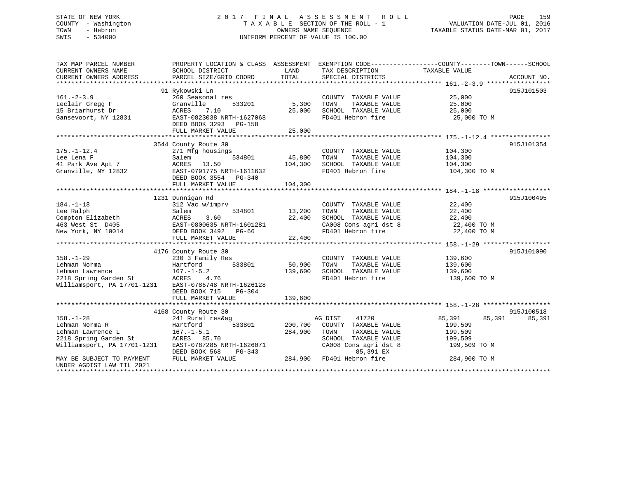# STATE OF NEW YORK 2 0 1 7 F I N A L A S S E S S M E N T R O L L PAGE 159 COUNTY - Washington T A X A B L E SECTION OF THE ROLL - 1 VALUATION DATE-JUL 01, 2016 TOWN - Hebron OWNERS NAME SEQUENCE TAXABLE STATUS DATE-MAR 01, 2017 SWIS - 534000 UNIFORM PERCENT OF VALUE IS 100.00

| TAX MAP PARCEL NUMBER<br>CURRENT OWNERS NAME<br>CURRENT OWNERS ADDRESS | PROPERTY LOCATION & CLASS ASSESSMENT<br>SCHOOL DISTRICT<br>PARCEL SIZE/GRID COORD | LAND<br>TOTAL   | TAX DESCRIPTION<br>SPECIAL DISTRICTS          | EXEMPTION CODE-----------------COUNTY-------TOWN------SCHOOL<br>TAXABLE VALUE | ACCOUNT NO. |
|------------------------------------------------------------------------|-----------------------------------------------------------------------------------|-----------------|-----------------------------------------------|-------------------------------------------------------------------------------|-------------|
|                                                                        |                                                                                   |                 |                                               |                                                                               |             |
| $161. - 2 - 3.9$                                                       | 91 Rykowski Ln<br>260 Seasonal res                                                |                 | COUNTY TAXABLE VALUE                          | 25,000                                                                        | 915J101503  |
| Leclair Gregg F<br>15 Briarhurst Dr                                    | Granville<br>533201<br>ACRES<br>7.10                                              | 5,300<br>25,000 | TAXABLE VALUE<br>TOWN<br>SCHOOL TAXABLE VALUE | 25,000<br>25,000                                                              |             |
| Gansevoort, NY 12831                                                   | EAST-0823038 NRTH-1627068<br>DEED BOOK 3293 PG-158<br>FULL MARKET VALUE           | 25,000          | FD401 Hebron fire                             | 25,000 TO M                                                                   |             |
|                                                                        |                                                                                   |                 |                                               |                                                                               |             |
|                                                                        | 3544 County Route 30                                                              |                 |                                               |                                                                               | 915J101354  |
| $175. - 1 - 12.4$                                                      | 271 Mfg housings                                                                  |                 | COUNTY TAXABLE VALUE                          | 104,300                                                                       |             |
| Lee Lena F                                                             | 534801<br>Salem                                                                   | 45,800          | TOWN<br>TAXABLE VALUE                         | 104,300                                                                       |             |
| 41 Park Ave Apt 7                                                      | 13.50<br>ACRES                                                                    | 104,300         | SCHOOL TAXABLE VALUE                          | 104,300                                                                       |             |
| Granville, NY 12832                                                    | EAST-0791775 NRTH-1611632<br>DEED BOOK 3554 PG-340                                |                 | FD401 Hebron fire                             | 104,300 TO M                                                                  |             |
|                                                                        | FULL MARKET VALUE                                                                 | 104,300         |                                               |                                                                               |             |
|                                                                        |                                                                                   |                 |                                               |                                                                               |             |
|                                                                        | 1231 Dunnigan Rd                                                                  |                 |                                               |                                                                               | 915J100495  |
| $184. - 1 - 18$                                                        | 312 Vac w/imprv                                                                   |                 | COUNTY TAXABLE VALUE                          | 22,400                                                                        |             |
| Lee Ralph                                                              | 534801<br>Salem                                                                   | 13,200          | TOWN<br>TAXABLE VALUE                         | 22,400                                                                        |             |
| Compton Elizabeth                                                      | ACRES<br>3.60                                                                     | 22,400          | SCHOOL TAXABLE VALUE                          | 22,400                                                                        |             |
| 463 West St D405                                                       | EAST-0800635 NRTH-1601281                                                         |                 | CA008 Cons agri dst 8                         | 22,400 TO M                                                                   |             |
| New York, NY 10014                                                     | DEED BOOK 3492 PG-66                                                              |                 | FD401 Hebron fire                             | 22,400 TO M                                                                   |             |
|                                                                        | FULL MARKET VALUE                                                                 | 22,400          |                                               |                                                                               |             |
|                                                                        |                                                                                   |                 |                                               |                                                                               |             |
|                                                                        | 4176 County Route 30                                                              |                 |                                               |                                                                               | 915J101090  |
| $158. - 1 - 29$                                                        | 230 3 Family Res                                                                  |                 | COUNTY TAXABLE VALUE                          | 139,600                                                                       |             |
| Lehman Norma                                                           | 533801<br>Hartford                                                                | 50,900          | TAXABLE VALUE<br>TOWN                         | 139,600                                                                       |             |
| Lehman Lawrence                                                        | $167. - 1 - 5.2$                                                                  | 139,600         | SCHOOL TAXABLE VALUE                          | 139,600                                                                       |             |
| 2218 Spring Garden St                                                  | 4.76<br>ACRES                                                                     |                 | FD401 Hebron fire                             | 139,600 TO M                                                                  |             |
| Williamsport, PA 17701-1231                                            | EAST-0786748 NRTH-1626128<br>PG-304<br>DEED BOOK 715                              |                 |                                               |                                                                               |             |
|                                                                        | FULL MARKET VALUE                                                                 | 139,600         |                                               |                                                                               |             |
|                                                                        |                                                                                   |                 |                                               |                                                                               |             |
|                                                                        | 4168 County Route 30                                                              |                 |                                               |                                                                               | 915J100518  |
| $158. - 1 - 28$                                                        | 241 Rural res&ag                                                                  |                 | AG DIST<br>41720                              | 85,391<br>85,391                                                              | 85,391      |
| Lehman Norma R                                                         | 533801<br>Hartford                                                                | 200,700         | COUNTY TAXABLE VALUE                          | 199,509                                                                       |             |
| Lehman Lawrence L                                                      | $167. - 1 - 5.1$                                                                  | 284,900         | TOWN<br>TAXABLE VALUE                         | 199,509                                                                       |             |
| 2218 Spring Garden St                                                  | ACRES 85.70                                                                       |                 | SCHOOL TAXABLE VALUE                          | 199,509                                                                       |             |
| Williamsport, PA 17701-1231                                            | EAST-0787285 NRTH-1626071                                                         |                 | CA008 Cons agri dst 8                         | 199,509 TO M                                                                  |             |
|                                                                        | DEED BOOK 568<br>$PG-343$                                                         |                 | 85,391 EX                                     |                                                                               |             |
| MAY BE SUBJECT TO PAYMENT<br>UNDER AGDIST LAW TIL 2021                 | FULL MARKET VALUE                                                                 | 284,900         | FD401 Hebron fire                             | 284,900 TO M                                                                  |             |
|                                                                        |                                                                                   |                 |                                               |                                                                               |             |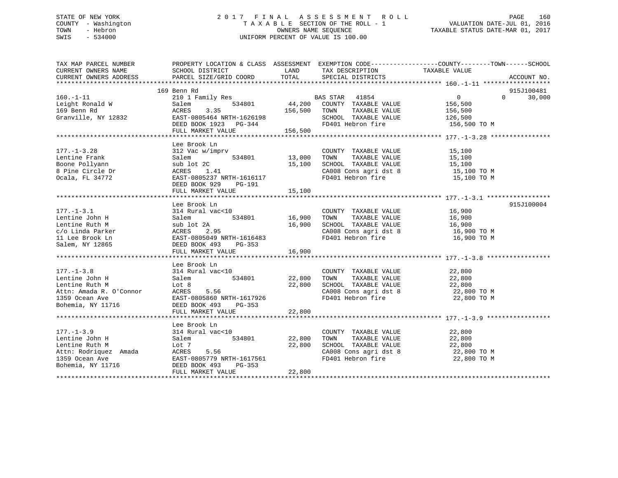# STATE OF NEW YORK 2 0 1 7 F I N A L A S S E S S M E N T R O L L PAGE 160 COUNTY - Washington T A X A B L E SECTION OF THE ROLL - 1 VALUATION DATE-JUL 01, 2016 TOWN - Hebron OWNERS NAME SEQUENCE TAXABLE STATUS DATE-MAR 01, 2017 SWIS - 534000 UNIFORM PERCENT OF VALUE IS 100.00

| TAX MAP PARCEL NUMBER<br>CURRENT OWNERS NAME                                                                                                                                                                                                                                                                                                                                 | PROPERTY LOCATION & CLASS ASSESSMENT EXEMPTION CODE---------------COUNTY-------TOWN------SCHOOL                        |        |                                                                                               |                                                |                    |
|------------------------------------------------------------------------------------------------------------------------------------------------------------------------------------------------------------------------------------------------------------------------------------------------------------------------------------------------------------------------------|------------------------------------------------------------------------------------------------------------------------|--------|-----------------------------------------------------------------------------------------------|------------------------------------------------|--------------------|
| CURRENT OWNERS ADDRESS                                                                                                                                                                                                                                                                                                                                                       |                                                                                                                        |        |                                                                                               |                                                | ACCOUNT NO.        |
|                                                                                                                                                                                                                                                                                                                                                                              |                                                                                                                        |        |                                                                                               |                                                |                    |
|                                                                                                                                                                                                                                                                                                                                                                              | 169 Benn Rd                                                                                                            |        |                                                                                               |                                                | 915J100481         |
| $160. - 1 - 11$                                                                                                                                                                                                                                                                                                                                                              |                                                                                                                        |        |                                                                                               | $\overline{0}$                                 | 30,000<br>$\Omega$ |
| Leight Ronald W                                                                                                                                                                                                                                                                                                                                                              |                                                                                                                        |        |                                                                                               | 156,500                                        |                    |
| 169 Benn Rd<br>Granville, NY 12832                                                                                                                                                                                                                                                                                                                                           |                                                                                                                        |        |                                                                                               | TAXABLE VALUE 156,500<br>TAXABLE VALUE 126,500 |                    |
|                                                                                                                                                                                                                                                                                                                                                                              |                                                                                                                        |        | SCHOOL TAXABLE VALUE                                                                          |                                                |                    |
|                                                                                                                                                                                                                                                                                                                                                                              | ACRES 3.35 15,500 TOWN<br>EAST-0805464 NRTH-1626198 5CHOOI<br>DEED BOOK 1923 PG-344 FD401<br>FULL MARKET VALUE 156,500 |        | FD401 Hebron fire                                                                             | 156,500 TO M                                   |                    |
|                                                                                                                                                                                                                                                                                                                                                                              |                                                                                                                        |        |                                                                                               |                                                |                    |
|                                                                                                                                                                                                                                                                                                                                                                              |                                                                                                                        |        |                                                                                               |                                                |                    |
|                                                                                                                                                                                                                                                                                                                                                                              | Lee Brook Ln                                                                                                           |        |                                                                                               |                                                |                    |
| $177. - 1 - 3.28$                                                                                                                                                                                                                                                                                                                                                            | 312 Vac w/imprv                                                                                                        |        | COUNTY TAXABLE VALUE                                                                          | 15,100                                         |                    |
|                                                                                                                                                                                                                                                                                                                                                                              | $534801$ 13,000<br>$2 \text{ C}$ 15,100                                                                                |        | TOWN<br>TAXABLE VALUE                                                                         | 15,100<br>15,100                               |                    |
|                                                                                                                                                                                                                                                                                                                                                                              |                                                                                                                        |        | SCHOOL TAXABLE VALUE                                                                          |                                                |                    |
|                                                                                                                                                                                                                                                                                                                                                                              |                                                                                                                        |        | CA008 Cons agri dst 8 15,100 TO M                                                             |                                                |                    |
| Extra 1.41<br>Dentine Frank Salem Salem 534801<br>Boone Pollyann sub lot 2C<br>8 Pine Circle Dr ACRES 1.41<br>Ocala, FL 34772 EAST-0805237 NRTH-1616117<br>DEED BOOK 929 PG-191                                                                                                                                                                                              | ACKES 1.41<br>EAST-0805237 NRTH-1616117                                                                                |        | FD401 Hebron fire                                                                             | 15,100 TO M                                    |                    |
|                                                                                                                                                                                                                                                                                                                                                                              | DEED BOOK 929 PG-191                                                                                                   |        |                                                                                               |                                                |                    |
|                                                                                                                                                                                                                                                                                                                                                                              |                                                                                                                        |        |                                                                                               |                                                |                    |
|                                                                                                                                                                                                                                                                                                                                                                              |                                                                                                                        |        |                                                                                               |                                                |                    |
|                                                                                                                                                                                                                                                                                                                                                                              | Lee Brook Ln                                                                                                           |        |                                                                                               |                                                | 915J100004         |
| $177. - 1 - 3.1$                                                                                                                                                                                                                                                                                                                                                             | 314 Rural vac<10                                                                                                       |        | COUNTY TAXABLE VALUE 16,900                                                                   |                                                |                    |
|                                                                                                                                                                                                                                                                                                                                                                              | $rac{10}{534801}$ 16,900<br>2A 534801                                                                                  |        | TOWN                                                                                          | TAXABLE VALUE 16,900<br>TAXABLE VALUE 16,900   |                    |
|                                                                                                                                                                                                                                                                                                                                                                              |                                                                                                                        |        | SCHOOL TAXABLE VALUE                                                                          |                                                |                    |
|                                                                                                                                                                                                                                                                                                                                                                              |                                                                                                                        |        | CA008 Cons agri dst 8 16,900 TO M                                                             |                                                |                    |
|                                                                                                                                                                                                                                                                                                                                                                              |                                                                                                                        |        | FD401 Hebron fire                                                                             | 16,900 TO M                                    |                    |
| Fig. 16,900<br>Lentine John H<br>Lentine Ruth M<br>c/o Linda Parker<br>11 Lee Brook Ln<br>Salem M<br>RAST-0805049 NRTH-1616483<br>Salem, NY 12865<br>DEED BOOK 493<br>PG-353                                                                                                                                                                                                 |                                                                                                                        |        |                                                                                               |                                                |                    |
|                                                                                                                                                                                                                                                                                                                                                                              | FULL MARKET VALUE 16,900                                                                                               |        |                                                                                               |                                                |                    |
|                                                                                                                                                                                                                                                                                                                                                                              |                                                                                                                        |        |                                                                                               |                                                |                    |
|                                                                                                                                                                                                                                                                                                                                                                              | Lee Brook Ln                                                                                                           |        |                                                                                               |                                                |                    |
| $177. - 1 - 3.8$                                                                                                                                                                                                                                                                                                                                                             |                                                                                                                        |        | COUNTY TAXABLE VALUE                                                                          | 22,800                                         |                    |
| Lentine John H                                                                                                                                                                                                                                                                                                                                                               | al vac<10<br>534801 22,800                                                                                             |        |                                                                                               |                                                |                    |
|                                                                                                                                                                                                                                                                                                                                                                              | 314 Rural vac<10<br>Salem 5:<br>Lot 8                                                                                  | 22,800 | TOWN TAXABLE VALUE 22,800<br>SCHOOL TAXABLE VALUE 22,800<br>CA008 Cons agri dst 8 22,800 TO M |                                                |                    |
|                                                                                                                                                                                                                                                                                                                                                                              |                                                                                                                        |        |                                                                                               |                                                |                    |
| Lentine Ruth M $\begin{array}{lll} \text{Lentine Ruth} & \text{Lot 8} & \text{22,} \\ \text{Attn: Amada R. O'Connor} & \text{ACRES} & \text{5.56} \\ \text{1359 Ocean Ave} & \text{EAST-0805860 NRTH-1617926} \\ \text{Bohemia, NY 11716} & \text{DEED BCON-493} & \text{PG-353} \\ \text{EAST-0805860 NRTH-1617926} & \text{EAST-0805860 NRTH-1617926} \\ \text{DSED BON-1$ |                                                                                                                        |        | FD401 Hebron fire                                                                             | 22,800 TO M                                    |                    |
|                                                                                                                                                                                                                                                                                                                                                                              |                                                                                                                        |        |                                                                                               |                                                |                    |
|                                                                                                                                                                                                                                                                                                                                                                              | FULL MARKET VALUE                                                                                                      | 22,800 |                                                                                               |                                                |                    |
|                                                                                                                                                                                                                                                                                                                                                                              |                                                                                                                        |        |                                                                                               |                                                |                    |
|                                                                                                                                                                                                                                                                                                                                                                              | Lee Brook Ln                                                                                                           |        |                                                                                               |                                                |                    |
| $177. - 1 - 3.9$                                                                                                                                                                                                                                                                                                                                                             | 314 Rural vac<10                                                                                                       |        | COUNTY TAXABLE VALUE                                                                          | 22,800                                         |                    |
| Lentine John H                                                                                                                                                                                                                                                                                                                                                               | 534801 22,800<br>Salem                                                                                                 |        | TAXABLE VALUE<br>TOWN                                                                         | 22,800                                         |                    |
|                                                                                                                                                                                                                                                                                                                                                                              |                                                                                                                        |        |                                                                                               |                                                |                    |
|                                                                                                                                                                                                                                                                                                                                                                              |                                                                                                                        |        | SCHOOL TAXABLE VALUE 22,800<br>CA008 Cons agri dst 8 22,800 TO M                              |                                                |                    |
|                                                                                                                                                                                                                                                                                                                                                                              |                                                                                                                        |        |                                                                                               |                                                |                    |
|                                                                                                                                                                                                                                                                                                                                                                              |                                                                                                                        |        | FD401 Hebron fire 22,800 TO M                                                                 |                                                |                    |
| Lentine Ruth M<br>Attn: Rodriquez Amada ACRES 5.56<br>1359 Ocean Ave EAST-0805779 NRTH-1617561<br>Bohemia, NY 11716 DEED BOOK 493 PG-353                                                                                                                                                                                                                                     |                                                                                                                        |        |                                                                                               |                                                |                    |
|                                                                                                                                                                                                                                                                                                                                                                              | FULL MARKET VALUE                                                                                                      | 22,800 |                                                                                               |                                                |                    |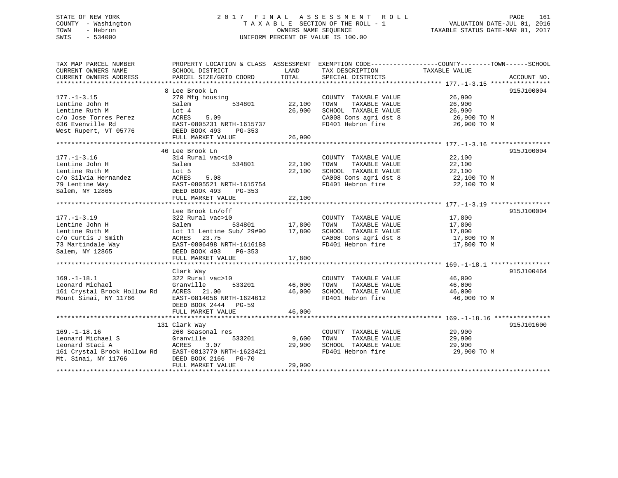# STATE OF NEW YORK 2 0 1 7 F I N A L A S S E S S M E N T R O L L PAGE 161 COUNTY - Washington T A X A B L E SECTION OF THE ROLL - 1 VALUATION DATE-JUL 01, 2016 TOWN - Hebron OWNERS NAME SEQUENCE TAXABLE STATUS DATE-MAR 01, 2017 SWIS - 534000 UNIFORM PERCENT OF VALUE IS 100.00

| TAX MAP PARCEL NUMBER<br>CURRENT OWNERS NAME          | PROPERTY LOCATION & CLASS ASSESSMENT EXEMPTION CODE----------------COUNTY-------TOWN-----SCHOOL<br>SCHOOL DISTRICT | LAND               | TAX DESCRIPTION              | TAXABLE VALUE              |             |
|-------------------------------------------------------|--------------------------------------------------------------------------------------------------------------------|--------------------|------------------------------|----------------------------|-------------|
| CURRENT OWNERS ADDRESS                                | PARCEL SIZE/GRID COORD                                                                                             | TOTAL              | SPECIAL DISTRICTS            |                            | ACCOUNT NO. |
|                                                       |                                                                                                                    |                    |                              |                            |             |
| $177. - 1 - 3.15$                                     | 8 Lee Brook Ln<br>270 Mfg housing                                                                                  |                    | COUNTY TAXABLE VALUE         | 26,900                     | 915J100004  |
| Lentine John H                                        | 534801                                                                                                             | 22,100             | TAXABLE VALUE                | 26,900                     |             |
| Lentine Ruth M                                        | Salem                                                                                                              | 26,900             | TOWN<br>SCHOOL TAXABLE VALUE | 26,900                     |             |
|                                                       | Lot 4<br>ACRES<br>5.09                                                                                             |                    | CA008 Cons agri dst 8        | 26,900 TO M                |             |
| c/o Jose Torres Perez                                 |                                                                                                                    |                    | FD401 Hebron fire            |                            |             |
| 636 Evenville Rd                                      | EAST-0805231 NRTH-1615737                                                                                          |                    |                              | 26,900 TO M                |             |
| West Rupert, VT 05776                                 | DEED BOOK 493<br>PG-353                                                                                            |                    |                              |                            |             |
|                                                       |                                                                                                                    |                    |                              |                            |             |
|                                                       | 46 Lee Brook Ln                                                                                                    |                    |                              |                            | 915J100004  |
| $177. - 1 - 3.16$                                     | 314 Rural vac<10                                                                                                   |                    | COUNTY TAXABLE VALUE         | 22,100                     |             |
| Lentine John H                                        | Salem<br>534801                                                                                                    | 22,100             | TAXABLE VALUE<br>TOWN        | 22,100                     |             |
| Lentine Ruth M                                        | Lot 5                                                                                                              | 22,100             | SCHOOL TAXABLE VALUE         | 22,100                     |             |
| c/o Silvia Hernandez                                  | 5.08<br>ACRES                                                                                                      |                    | CA008 Cons agri dst 8        |                            |             |
| 79 Lentine Way                                        | EAST-0805521 NRTH-1615754                                                                                          |                    | FD401 Hebron fire            | 22,100 TO M<br>22,100 TO M |             |
| Salem, NY 12865                                       | DEED BOOK 493                                                                                                      |                    |                              |                            |             |
|                                                       | PG-353                                                                                                             | 22,100             |                              |                            |             |
|                                                       | FULL MARKET VALUE                                                                                                  |                    |                              |                            |             |
|                                                       | Lee Brook Ln/off                                                                                                   |                    |                              |                            | 915J100004  |
| $177. - 1 - 3.19$                                     | 322 Rural vac>10                                                                                                   |                    | COUNTY TAXABLE VALUE         | 17,800                     |             |
| Lentine John H                                        | Salem                                                                                                              | 0<br>534801 17,800 | TAXABLE VALUE<br>TOWN        | 17,800                     |             |
| Lentine Ruth M                                        | Lot 11 Lentine Sub/ 29#90                                                                                          | 17,800             | SCHOOL TAXABLE VALUE         | 17,800                     |             |
| c/o Curtis J Smith                                    | ACRES 23.75                                                                                                        |                    |                              |                            |             |
| 73 Martindale Way                                     | EAST-0806498 NRTH-1616188                                                                                          |                    | FD401 Hebron fire            | 17,800 TO M                |             |
| Salem, NY 12865                                       | DEED BOOK 493<br>PG-353                                                                                            |                    |                              |                            |             |
|                                                       | FULL MARKET VALUE                                                                                                  | 17,800             |                              |                            |             |
|                                                       |                                                                                                                    |                    |                              |                            |             |
|                                                       | Clark Way                                                                                                          |                    |                              |                            | 915J100464  |
| $169. - 1 - 18.1$                                     | 322 Rural vac>10                                                                                                   |                    | COUNTY TAXABLE VALUE         | 46,000                     |             |
| Leonard Michael                                       | Granville<br>533201                                                                                                | 46,000             | TOWN<br>TAXABLE VALUE        | 46,000                     |             |
| 161 Crystal Brook Hollow Rd                           | ACRES 21.00                                                                                                        | 46,000             | SCHOOL TAXABLE VALUE 46,000  |                            |             |
| Mount Sinai, NY 11766                                 | EAST-0814056 NRTH-1624612                                                                                          |                    | FD401 Hebron fire            | 46,000 TO M                |             |
|                                                       | DEED BOOK 2444 PG-59                                                                                               |                    |                              |                            |             |
|                                                       | FULL MARKET VALUE                                                                                                  | 46,000             |                              |                            |             |
|                                                       |                                                                                                                    |                    |                              |                            |             |
|                                                       | 131 Clark Way                                                                                                      |                    |                              |                            | 915J101600  |
| $169. - 1 - 18.16$                                    | 260 Seasonal res                                                                                                   |                    | COUNTY TAXABLE VALUE         | 29,900                     |             |
| Leonard Michael S                                     | Granville<br>533201                                                                                                | 9,600              | TAXABLE VALUE<br>TOWN        | 29,900                     |             |
| Leonard Staci A                                       | ACRES<br>3.07                                                                                                      | 29,900             | SCHOOL TAXABLE VALUE         | 29,900                     |             |
| 161 Crystal Brook Hollow Rd EAST-0813770 NRTH-1623421 |                                                                                                                    |                    | FD401 Hebron fire            | 29,900 TO M                |             |
| Mt. Sinai, NY 11766                                   | DEED BOOK 2166 PG-70                                                                                               |                    |                              |                            |             |
|                                                       | FULL MARKET VALUE                                                                                                  | 29,900             |                              |                            |             |
|                                                       |                                                                                                                    |                    |                              |                            |             |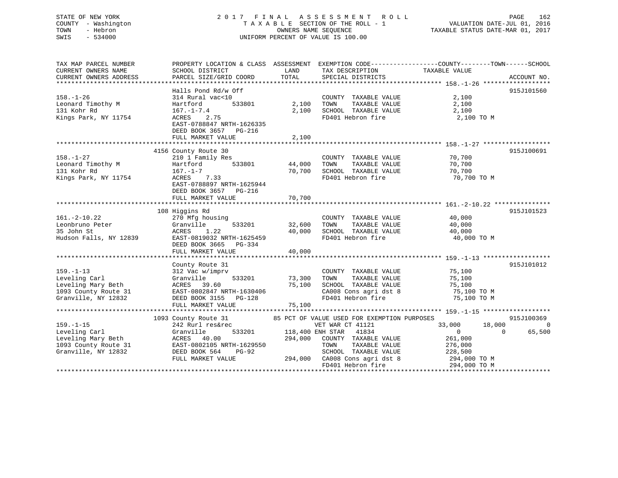# STATE OF NEW YORK 2 0 1 7 F I N A L A S S E S S M E N T R O L L PAGE 162 COUNTY - Washington T A X A B L E SECTION OF THE ROLL - 1 VALUATION DATE-JUL 01, 2016 TOWN - Hebron OWNERS NAME SEQUENCE TAXABLE STATUS DATE-MAR 01, 2017 SWIS - 534000 UNIFORM PERCENT OF VALUE IS 100.00

| TAX MAP PARCEL NUMBER<br>CURRENT OWNERS NAME<br>CURRENT OWNERS ADDRESS                                                          | SCHOOL DISTRICT<br>PARCEL SIZE/GRID COORD                                                                                                                                     | LAND<br>TOTAL              | TAX DESCRIPTION TAXABLE VALUE<br>SPECIAL DISTRICTS                                                                                                                                                                              | PROPERTY LOCATION & CLASS ASSESSMENT EXEMPTION CODE---------------COUNTY-------TOWN-----SCHOOL                        | ACCOUNT NO.        |
|---------------------------------------------------------------------------------------------------------------------------------|-------------------------------------------------------------------------------------------------------------------------------------------------------------------------------|----------------------------|---------------------------------------------------------------------------------------------------------------------------------------------------------------------------------------------------------------------------------|-----------------------------------------------------------------------------------------------------------------------|--------------------|
| $158. - 1 - 26$<br>Leonard Timothy M<br>131 Kohr Rd<br>Kings Park, NY 11754                                                     | Halls Pond Rd/w Off<br>314 Rural vac<10<br>Hartford<br>533801<br>$167. - 1 - 7.4$<br>ACRES<br>2.75<br>EAST-0788847 NRTH-1626335<br>DEED BOOK 3657 PG-216<br>FULL MARKET VALUE | 2,100<br>2,100<br>2,100    | COUNTY TAXABLE VALUE<br>TAXABLE VALUE<br>TOWN<br>SCHOOL TAXABLE VALUE<br>FD401 Hebron fire                                                                                                                                      | 2,100<br>2,100<br>2,100<br>2,100 TO M                                                                                 | 915J101560         |
|                                                                                                                                 |                                                                                                                                                                               |                            |                                                                                                                                                                                                                                 |                                                                                                                       |                    |
| $158. - 1 - 27$<br>Leonard Timothy M<br>131 Kohr Rd<br>Kings Park, NY 11754                                                     | 4156 County Route 30<br>210 1 Family Res<br>Hartford<br>$167. - 1 - 7$<br>ACRES 7.33<br>EAST-0788897 NRTH-1625944<br>DEED BOOK 3657 PG-216                                    | 533801 44,000<br>70,700    | COUNTY TAXABLE VALUE<br>TAXABLE VALUE<br>TOWN<br>SCHOOL TAXABLE VALUE<br>FD401 Hebron fire                                                                                                                                      | 70,700<br>70,700<br>70,700<br>70,700 TO M                                                                             | 915J100691         |
|                                                                                                                                 | FULL MARKET VALUE                                                                                                                                                             | 70,700                     |                                                                                                                                                                                                                                 |                                                                                                                       |                    |
| $161.-2-10.22$<br>Leonbruno Peter<br>35 John St<br>Hudson Falls, NY 12839                                                       | 108 Higgins Rd<br>270 Mfg housing<br>533201<br>Granville<br>1.22<br>ACRES<br>EAST-0819032 NRTH-1625459<br>DEED BOOK 3665<br>PG-334<br>FULL MARKET VALUE                       | 32,600<br>40,000<br>40,000 | COUNTY TAXABLE VALUE<br>TOWN<br>TAXABLE VALUE<br>SCHOOL TAXABLE VALUE<br>FD401 Hebron fire                                                                                                                                      | 40,000<br>40,000<br>40,000<br>40,000 TO M                                                                             | 915J101523         |
|                                                                                                                                 | County Route 31                                                                                                                                                               |                            |                                                                                                                                                                                                                                 |                                                                                                                       | 915J101012         |
| $159. - 1 - 13$<br>Leveling Carl<br>Leveling Mary Beth<br>Leveling Mary Beth<br>1093 County Route 31<br>Granville, NY 12832     | 312 Vac w/imprv<br>533201<br>Granville<br>ACRES 39.60<br>EAST-0802847 NRTH-1630406<br>DEED BOOK 3155 PG-128                                                                   | 73,300<br>75,100<br>75,100 | COUNTY TAXABLE VALUE 75,100<br>TOWN<br>TAXABLE VALUE<br>SCHOOL TAXABLE VALUE<br>CA008 Cons agri dst 8<br>FD401 Hebron fire                                                                                                      | 75,100<br>75,100<br>75,100 TO M<br>75,100 TO M                                                                        |                    |
|                                                                                                                                 |                                                                                                                                                                               |                            |                                                                                                                                                                                                                                 |                                                                                                                       | 915J100369         |
| $159. - 1 - 15$<br>Leveling Carl<br>Leveling Mary Beth<br>1093 County Route 31 EAST-0802105 NRTH-1629550<br>Granville, NY 12832 | 1093 County Route 31<br>242 Rurl res&rec<br>Granville<br>ACRES 40.00<br>DEED BOOK 564<br>PG-92<br>FULL MARKET VALUE                                                           | 294,000                    | 85 PCT OF VALUE USED FOR EXEMPTION PURPOSES<br>VET WAR CT 41121<br>533201 118,400 ENH STAR 41834<br>COUNTY TAXABLE VALUE<br>TAXABLE VALUE<br>TOWN<br>SCHOOL TAXABLE VALUE<br>294,000 CA008 Cons agri dst 8<br>FD401 Hebron fire | 33,000<br>18,000<br>$\overline{0}$<br>$\overline{0}$<br>261,000<br>276,000<br>228,500<br>294,000 TO M<br>294,000 TO M | $\Omega$<br>65,500 |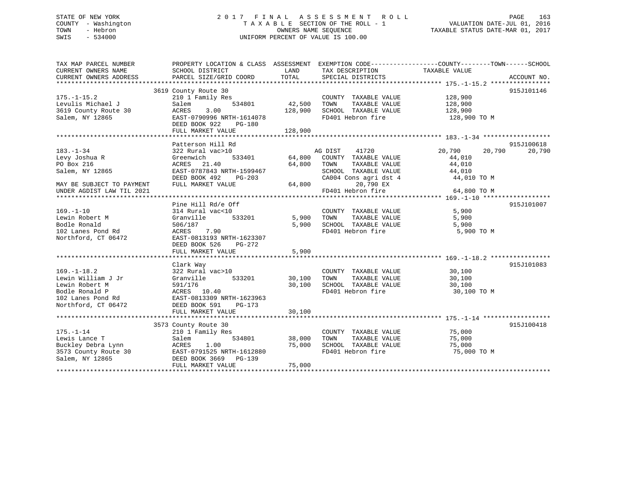# STATE OF NEW YORK 2 0 1 7 F I N A L A S S E S S M E N T R O L L PAGE 163 COUNTY - Washington T A X A B L E SECTION OF THE ROLL - 1 VALUATION DATE-JUL 01, 2016 TOWN - Hebron OWNERS NAME SEQUENCE TAXABLE STATUS DATE-MAR 01, 2017 SWIS - 534000 UNIFORM PERCENT OF VALUE IS 100.00

| TAX MAP PARCEL NUMBER<br>CURRENT OWNERS NAME                                                                            | PROPERTY LOCATION & CLASS ASSESSMENT EXEMPTION CODE---------------COUNTY-------TOWN------SCHOOL<br>SCHOOL DISTRICT                                                     | LAND                       | TAX DESCRIPTION TAXABLE VALUE                                                                                      |                                                               |                      |
|-------------------------------------------------------------------------------------------------------------------------|------------------------------------------------------------------------------------------------------------------------------------------------------------------------|----------------------------|--------------------------------------------------------------------------------------------------------------------|---------------------------------------------------------------|----------------------|
| CURRENT OWNERS ADDRESS                                                                                                  | PARCEL SIZE/GRID COORD                                                                                                                                                 | TOTAL                      | SPECIAL DISTRICTS                                                                                                  |                                                               | ACCOUNT NO.          |
|                                                                                                                         |                                                                                                                                                                        |                            |                                                                                                                    |                                                               |                      |
| $175. - 1 - 15.2$<br>Levulis Michael J<br>3619 County Route 30<br>Salem, NY 12865                                       | 3619 County Route 30<br>210 1 Family Res<br>534801<br>Salem<br>ACRES<br>3.00<br>EAST-0790996 NRTH-1614078<br>DEED BOOK 922<br>PG-180                                   | 42,500<br>128,900          | COUNTY TAXABLE VALUE<br>TOWN<br>TAXABLE VALUE<br>SCHOOL TAXABLE VALUE<br>FD401 Hebron fire                         | 128,900<br>128,900<br>128,900<br>128,900 TO M                 | 915J101146           |
|                                                                                                                         | FULL MARKET VALUE                                                                                                                                                      | 128,900                    |                                                                                                                    |                                                               |                      |
|                                                                                                                         |                                                                                                                                                                        |                            |                                                                                                                    |                                                               |                      |
| $183. - 1 - 34$<br>Levy Joshua R<br>PO Box 216<br>Salem, NY 12865                                                       | Patterson Hill Rd<br>322 Rural vac>10<br>533401<br>Greenwich<br>ACRES 21.40<br>EAST-0787843 NRTH-1599467<br>DEED BOOK 492<br>PG-203                                    | 64,800<br>64,800           | AG DIST<br>41720<br>COUNTY TAXABLE VALUE<br>TOWN<br>TAXABLE VALUE<br>SCHOOL TAXABLE VALUE<br>CA004 Cons agri dst 4 | 20,790<br>20,790<br>44,010<br>44,010<br>44,010<br>44,010 TO M | 915J100618<br>20,790 |
| MAY BE SUBJECT TO PAYMENT                                                                                               | FULL MARKET VALUE                                                                                                                                                      | 64,800                     | 20,790 EX                                                                                                          |                                                               |                      |
| UNDER AGDIST LAW TIL 2021                                                                                               |                                                                                                                                                                        |                            | FD401 Hebron fire                                                                                                  | 64,800 TO M                                                   |                      |
| $169. - 1 - 10$<br>Lewin Robert M<br>Bodle Ronald<br>102 Lanes Pond Rd<br>Northford, CT 06472                           | Pine Hill Rd/e Off<br>314 Rural vac<10<br>Granville<br>533201<br>506/187<br>7.90<br>ACRES<br>EAST-0813193 NRTH-1623307<br>DEED BOOK 526<br>PG-272<br>FULL MARKET VALUE | 5,900<br>5,900<br>5,900    | COUNTY TAXABLE VALUE<br>TAXABLE VALUE<br>TOWN<br>SCHOOL TAXABLE VALUE<br>FD401 Hebron fire                         | 5,900<br>5,900<br>5,900<br>5,900 TO M                         | 915J101007           |
|                                                                                                                         | Clark Way                                                                                                                                                              |                            |                                                                                                                    |                                                               | 915J101083           |
| $169. - 1 - 18.2$<br>Lewin William J Jr<br>Lewin Robert M<br>Bodle Ronald P<br>102 Lanes Pond Rd<br>Northford, CT 06472 | 322 Rural vac>10<br>533201<br>Granville<br>591/176<br>ACRES 10.40<br>EAST-0813309 NRTH-1623963<br>DEED BOOK 591<br>$PG-173$<br>FULL MARKET VALUE                       | 30,100<br>30,100<br>30,100 | COUNTY TAXABLE VALUE<br>TOWN<br>TAXABLE VALUE<br>SCHOOL TAXABLE VALUE<br>FD401 Hebron fire                         | 30,100<br>30,100<br>30,100<br>30,100 TO M                     |                      |
|                                                                                                                         |                                                                                                                                                                        |                            |                                                                                                                    |                                                               |                      |
| $175. - 1 - 14$<br>Lewis Lance T<br>Buckley Debra Lynn<br>3573 County Route 30<br>Salem, NY 12865                       | 3573 County Route 30<br>210 1 Family Res<br>534801<br>Salem<br>1.00<br>ACRES<br>EAST-0791525 NRTH-1612880<br>DEED BOOK 3669 PG-139<br>FULL MARKET VALUE                | 38,000<br>75,000<br>75,000 | COUNTY TAXABLE VALUE<br>TAXABLE VALUE<br>TOWN<br>SCHOOL TAXABLE VALUE<br>FD401 Hebron fire                         | 75,000<br>75,000<br>75,000<br>75,000 TO M                     | 915J100418           |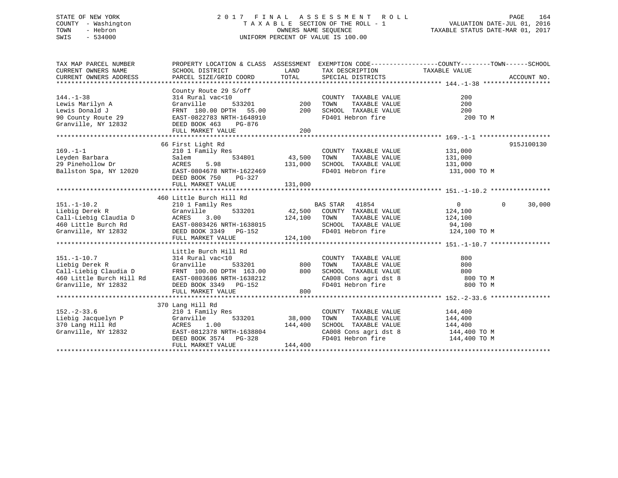# STATE OF NEW YORK 2 0 1 7 F I N A L A S S E S S M E N T R O L L PAGE 164 COUNTY - Washington T A X A B L E SECTION OF THE ROLL - 1 VALUATION DATE-JUL 01, 2016 TOWN - Hebron OWNERS NAME SEQUENCE TAXABLE STATUS DATE-MAR 01, 2017 SWIS - 534000 UNIFORM PERCENT OF VALUE IS 100.00

| TAX MAP PARCEL NUMBER                                                                     |                                                                                                                                                                                                                                 |                    |                                                                                                                                                                            | PROPERTY LOCATION & CLASS ASSESSMENT EXEMPTION CODE---------------COUNTY-------TOWN-----SCHOOL |            |
|-------------------------------------------------------------------------------------------|---------------------------------------------------------------------------------------------------------------------------------------------------------------------------------------------------------------------------------|--------------------|----------------------------------------------------------------------------------------------------------------------------------------------------------------------------|------------------------------------------------------------------------------------------------|------------|
| CURRENT OWNERS NAME                                                                       | SCHOOL DISTRICT                                                                                                                                                                                                                 | LAND               | TAX DESCRIPTION TAXABLE VALUE                                                                                                                                              |                                                                                                |            |
|                                                                                           |                                                                                                                                                                                                                                 |                    |                                                                                                                                                                            |                                                                                                |            |
|                                                                                           | County Route 29 S/off                                                                                                                                                                                                           |                    |                                                                                                                                                                            |                                                                                                |            |
| $144. - 1 - 38$                                                                           | 314 Rural vac<10                                                                                                                                                                                                                |                    | COUNTY TAXABLE VALUE                                                                                                                                                       | 200                                                                                            |            |
| Lewis Marilyn A                                                                           |                                                                                                                                                                                                                                 |                    | TAXABLE VALUE                                                                                                                                                              | 200                                                                                            |            |
|                                                                                           |                                                                                                                                                                                                                                 |                    |                                                                                                                                                                            | 200                                                                                            |            |
|                                                                                           | Example of the control of the control of the control of the control of the control of the control of the control of the control of the control of the control of the control of the control of the control of the control of t  |                    |                                                                                                                                                                            | 200 TO M                                                                                       |            |
|                                                                                           |                                                                                                                                                                                                                                 |                    |                                                                                                                                                                            |                                                                                                |            |
|                                                                                           | FULL MARKET VALUE                                                                                                                                                                                                               | 200                |                                                                                                                                                                            |                                                                                                |            |
|                                                                                           |                                                                                                                                                                                                                                 |                    |                                                                                                                                                                            |                                                                                                |            |
|                                                                                           | 66 First Light Rd                                                                                                                                                                                                               |                    |                                                                                                                                                                            |                                                                                                | 915J100130 |
| $169. - 1 - 1$                                                                            | 210 1 Family Res                                                                                                                                                                                                                |                    | COUNTY TAXABLE VALUE 131,000                                                                                                                                               |                                                                                                |            |
| Leyden Barbara                                                                            | Salem                                                                                                                                                                                                                           | 534801 43,500 TOWN |                                                                                                                                                                            | TAXABLE VALUE 131,000                                                                          |            |
| 29 Pinehollow Dr                                                                          | 5.98<br>ACRES<br>131,000                                                                                                                                                                                                        |                    | SCHOOL TAXABLE VALUE 131,000                                                                                                                                               |                                                                                                |            |
| 12020<br>Ballston Spa, NY 12020                                                           | EAST-0804678 NRTH-1622469                                                                                                                                                                                                       |                    | FD401 Hebron fire                                                                                                                                                          | 131,000 TO M                                                                                   |            |
|                                                                                           | DEED BOOK 750 PG-327                                                                                                                                                                                                            |                    |                                                                                                                                                                            |                                                                                                |            |
|                                                                                           | FULL MARKET VALUE                                                                                                                                                                                                               | 131,000            |                                                                                                                                                                            |                                                                                                |            |
|                                                                                           |                                                                                                                                                                                                                                 |                    |                                                                                                                                                                            |                                                                                                |            |
|                                                                                           | 460 Little Burch Hill Rd                                                                                                                                                                                                        |                    |                                                                                                                                                                            |                                                                                                |            |
| $151. - 1 - 10.2$                                                                         | 210 1 Family Res                                                                                                                                                                                                                |                    | BAS STAR 41854                                                                                                                                                             | $\Omega$<br>$\sim$ 0                                                                           | 30,000     |
|                                                                                           | 191.-1-12<br>Liebig Claudia D (191.-1-1.0.2)<br>Call-Liebig Claudia D (1928) ACRES 3.00 124,100 TOWN<br>460 Little Burch Rd EAST-0803426 NRTH-1638015 SCHOOL<br>Granville, NY 12832 DEED BOOK 3349 PG-152 FD401 He              |                    | 533201 42,500 COUNTY TAXABLE VALUE 124,100                                                                                                                                 |                                                                                                |            |
|                                                                                           |                                                                                                                                                                                                                                 |                    | TOWN TAXABLE VALUE $124,100$<br>SCHOOL TAXABLE VALUE 94,100<br>FD401 Hebron fire 124,100 TO M                                                                              |                                                                                                |            |
|                                                                                           |                                                                                                                                                                                                                                 |                    |                                                                                                                                                                            |                                                                                                |            |
|                                                                                           |                                                                                                                                                                                                                                 |                    |                                                                                                                                                                            |                                                                                                |            |
|                                                                                           |                                                                                                                                                                                                                                 |                    |                                                                                                                                                                            |                                                                                                |            |
|                                                                                           |                                                                                                                                                                                                                                 |                    |                                                                                                                                                                            |                                                                                                |            |
|                                                                                           |                                                                                                                                                                                                                                 |                    |                                                                                                                                                                            |                                                                                                |            |
|                                                                                           |                                                                                                                                                                                                                                 |                    |                                                                                                                                                                            |                                                                                                |            |
|                                                                                           |                                                                                                                                                                                                                                 |                    |                                                                                                                                                                            |                                                                                                |            |
|                                                                                           | 151.-1-10.7<br>Liebig Derek R (Granville 533201)<br>Call-Liebig Claudia D FRNT 100.00 DPTH 163.00 800<br>460 Little Burch Hill Rd EAST-0803686 NRTH-1638212<br>-  NY 12832 DEED BOOK 3349 PG-152<br>--------------------------- |                    |                                                                                                                                                                            |                                                                                                |            |
|                                                                                           |                                                                                                                                                                                                                                 |                    |                                                                                                                                                                            |                                                                                                |            |
|                                                                                           |                                                                                                                                                                                                                                 |                    |                                                                                                                                                                            |                                                                                                |            |
|                                                                                           |                                                                                                                                                                                                                                 |                    |                                                                                                                                                                            |                                                                                                |            |
|                                                                                           |                                                                                                                                                                                                                                 |                    |                                                                                                                                                                            |                                                                                                |            |
|                                                                                           | 370 Lang Hill Rd                                                                                                                                                                                                                |                    |                                                                                                                                                                            |                                                                                                |            |
| 152.-2-33.6 210 1 Family R<br>Liebig Jacquelyn P Granville<br>370 Lang Hill Rd ACRES 1.00 | 210 1 Family Res                                                                                                                                                                                                                |                    | $\begin{tabular}{llllllll} \multicolumn{2}{c}{\textbf{COUNTY}} & \textbf{TAXABLE VALUE} & & & 144,400 \\ \textbf{TOWN} & \textbf{TAXABLE VALUE} & & 144,400 \end{tabular}$ |                                                                                                |            |
|                                                                                           |                                                                                                                                                                                                                                 | 533201 38,000      | TOWN                                                                                                                                                                       | 144,400                                                                                        |            |
|                                                                                           |                                                                                                                                                                                                                                 | 144,400            | SCHOOL TAXABLE VALUE 144,400                                                                                                                                               |                                                                                                |            |
| Granville, NY 12832                                                                       | EAST-0812378 NRTH-1638804<br>EASI-0812378 NRTH-1638804<br>DEED BOOK 3574 PG-328                                                                                                                                                 |                    | $CA008$ Cons agri dst 8 $144,400$ TO M<br>FD401 Hebron fire $144,400$ TO M                                                                                                 |                                                                                                |            |
|                                                                                           |                                                                                                                                                                                                                                 |                    | FD401 Hebron fire                                                                                                                                                          |                                                                                                |            |
|                                                                                           | FULL MARKET VALUE                                                                                                                                                                                                               | 144,400            |                                                                                                                                                                            |                                                                                                |            |
|                                                                                           |                                                                                                                                                                                                                                 |                    |                                                                                                                                                                            |                                                                                                |            |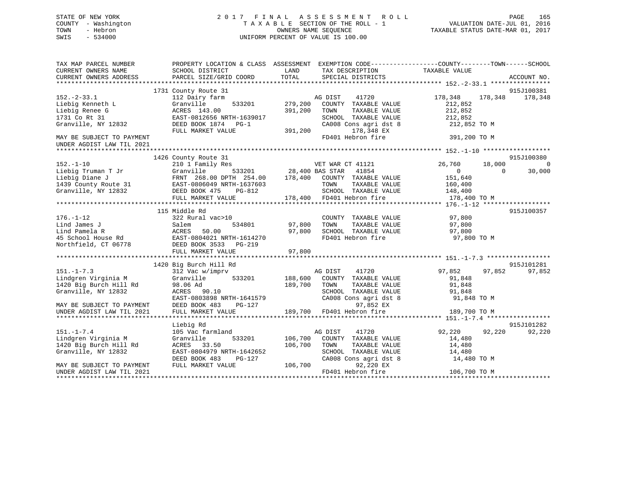# STATE OF NEW YORK 2 0 1 7 F I N A L A S S E S S M E N T R O L L PAGE 165 COUNTY - Washington T A X A B L E SECTION OF THE ROLL - 1 VALUATION DATE-JUL 01, 2016 TOWN - Hebron OWNERS NAME SEQUENCE TAXABLE STATUS DATE-MAR 01, 2017 SWIS - 534000 UNIFORM PERCENT OF VALUE IS 100.00

| TAX MAP PARCEL NUMBER<br>CURRENT OWNERS NAME | SCHOOL DISTRICT                                | PROPERTY LOCATION & CLASS ASSESSMENT EXEMPTION CODE---------------COUNTY-------TOWN-----SCHOOL<br>LAND<br>TAX DESCRIPTION | TAXABLE VALUE                        |
|----------------------------------------------|------------------------------------------------|---------------------------------------------------------------------------------------------------------------------------|--------------------------------------|
| CURRENT OWNERS ADDRESS                       | PARCEL SIZE/GRID COORD                         | TOTAL<br>SPECIAL DISTRICTS                                                                                                | ACCOUNT NO.                          |
|                                              | 1731 County Route 31                           |                                                                                                                           | 915J100381                           |
| $152.-2-33.1$                                | 112 Dairy farm                                 | AG DIST<br>41720                                                                                                          | 178,348<br>178,348<br>178,348        |
| Liebig Kenneth L                             | Granville<br>533201                            | 279,200<br>COUNTY TAXABLE VALUE                                                                                           | 212,852                              |
| Liebig Renee G                               | ACRES 143.00                                   | 391,200<br>TAXABLE VALUE<br>TOWN                                                                                          | 212,852                              |
| 1731 Co Rt 31                                | EAST-0812656 NRTH-1639017                      | SCHOOL TAXABLE VALUE                                                                                                      | 212,852                              |
| Granville, NY 12832                          | DEED BOOK 1874 PG-1                            | CA008 Cons agri dst 8                                                                                                     | 212,852 TO M                         |
|                                              | FULL MARKET VALUE                              | 391,200<br>178,348 EX                                                                                                     |                                      |
| MAY BE SUBJECT TO PAYMENT                    |                                                | FD401 Hebron fire                                                                                                         | 391,200 TO M                         |
| UNDER AGDIST LAW TIL 2021                    |                                                |                                                                                                                           |                                      |
|                                              |                                                |                                                                                                                           |                                      |
|                                              | 1426 County Route 31                           |                                                                                                                           | 915J100380                           |
| $152. - 1 - 10$                              | 210 1 Family Res                               | VET WAR CT 41121                                                                                                          | 26,760<br>18,000<br>$\overline{0}$   |
| Liebig Truman T Jr                           | Granville                                      |                                                                                                                           | 30,000<br>$\overline{0}$<br>$\Omega$ |
| Liebig Diane J                               | FRNT 268.00 DPTH 254.00                        | 533201 28,400 BAS STAR 41854<br>TH 254.00 178,400 COUNTY TAXABLE VALUE                                                    | 151,640                              |
|                                              | 1439 County Route 31 EAST-0806049 NRTH-1637603 | TAXABLE VALUE<br>TOWN                                                                                                     | 160,400                              |
| Granville, NY 12832                          | DEED BOOK 475<br>PG-812                        | SCHOOL TAXABLE VALUE                                                                                                      | 148,400                              |
|                                              | FULL MARKET VALUE                              | 178,400 FD401 Hebron fire                                                                                                 | 178,400 TO M                         |
|                                              |                                                |                                                                                                                           |                                      |
|                                              | 115 Middle Rd                                  |                                                                                                                           | 915J100357                           |
| $176. - 1 - 12$                              | 322 Rural vac>10                               | COUNTY TAXABLE VALUE                                                                                                      | 97,800                               |
| Lind James J                                 | Salem<br>534801                                | 97,800<br>TAXABLE VALUE<br>TOWN                                                                                           | 97,800                               |
|                                              | ACRES<br>50.00                                 | 97,800<br>SCHOOL TAXABLE VALUE                                                                                            | 97,800                               |
| Lind Pamela R<br>45 School House Rd          | EAST-0804021 NRTH-1614270                      | FD401 Hebron fire                                                                                                         | 97,800 TO M                          |
| Northfield, CT 06778                         | DEED BOOK 3533 PG-219                          |                                                                                                                           |                                      |
|                                              | FULL MARKET VALUE                              | 97,800                                                                                                                    |                                      |
|                                              |                                                |                                                                                                                           |                                      |
|                                              | 1420 Big Burch Hill Rd                         |                                                                                                                           | 915J101281                           |
| $151. - 1 - 7.3$                             | 312 Vac w/imprv                                | AG DIST<br>41720                                                                                                          | 97,852<br>97,852<br>97,852           |
| Lindgren Virginia M                          | Granville<br>533201                            | 188,600<br>COUNTY TAXABLE VALUE                                                                                           | 91,848                               |
| 1420 Big Burch Hill Rd                       | 98.06 Ad                                       | 189,700<br>TOWN<br>TAXABLE VALUE                                                                                          | 91,848                               |
| Granville, NY 12832                          | ACRES 90.10                                    | SCHOOL TAXABLE VALUE                                                                                                      | 91,848                               |
|                                              |                                                | CA008 Cons agri dst 8                                                                                                     |                                      |
|                                              | EAST-0803898 NRTH-1641579                      | 97,852 EX                                                                                                                 | 91,848 TO M                          |
| MAY BE SUBJECT TO PAYMENT                    | DEED BOOK 483<br>PG-127                        |                                                                                                                           |                                      |
| UNDER AGDIST LAW TIL 2021                    | FULL MARKET VALUE                              | 189,700 FD401 Hebron fire                                                                                                 | 189,700 TO M                         |
|                                              |                                                |                                                                                                                           |                                      |
| $151. - 1 - 7.4$                             | Liebig Rd                                      |                                                                                                                           | 915J101282<br>92,220<br>92,220       |
|                                              | 105 Vac farmland                               | AG DIST<br>41720                                                                                                          | 92,220                               |
| Lindgren Virginia M                          | Granville<br>533201                            | 106,700<br>COUNTY TAXABLE VALUE                                                                                           | 14,480                               |
| 1420 Big Burch Hill Rd                       | ACRES 33.50                                    | 106,700<br>TOWN<br>TAXABLE VALUE                                                                                          | 14,480                               |
| Granville, NY 12832                          | EAST-0804979 NRTH-1642652                      | SCHOOL TAXABLE VALUE                                                                                                      | 14,480                               |
|                                              | DEED BOOK 483<br>PG-127                        | CA008 Cons agri dst 8                                                                                                     | 14,480 TO M                          |
| MAY BE SUBJECT TO PAYMENT                    | FULL MARKET VALUE                              | 106,700<br>92,220 EX                                                                                                      |                                      |
| UNDER AGDIST LAW TIL 2021                    |                                                | FD401 Hebron fire                                                                                                         | 106,700 TO M                         |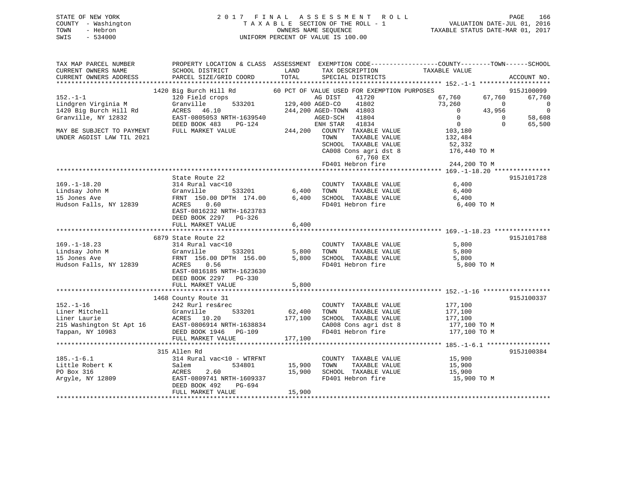# STATE OF NEW YORK 2 0 1 7 F I N A L A S S E S S M E N T R O L L PAGE 166 COUNTY - Washington T A X A B L E SECTION OF THE ROLL - 1 VALUATION DATE-JUL 01, 2016 TOWN - Hebron OWNERS NAME SEQUENCE TAXABLE STATUS DATE-MAR 01, 2017 SWIS - 534000 UNIFORM PERCENT OF VALUE IS 100.00

| TAX MAP PARCEL NUMBER<br>CURRENT OWNERS NAME<br>CURRENT OWNERS ADDRESS                            | PROPERTY LOCATION & CLASS ASSESSMENT<br>SCHOOL DISTRICT<br>PARCEL SIZE/GRID COORD                                                                                              | LAND<br>TOTAL              | TAX DESCRIPTION<br>SPECIAL DISTRICTS                                                                                                                  | EXEMPTION CODE-----------------COUNTY-------TOWN------SCHOOL<br>TAXABLE VALUE | ACCOUNT NO.                      |
|---------------------------------------------------------------------------------------------------|--------------------------------------------------------------------------------------------------------------------------------------------------------------------------------|----------------------------|-------------------------------------------------------------------------------------------------------------------------------------------------------|-------------------------------------------------------------------------------|----------------------------------|
| ***********************                                                                           |                                                                                                                                                                                |                            |                                                                                                                                                       |                                                                               |                                  |
| $152. - 1 - 1$<br>Lindgren Virginia M                                                             | 1420 Big Burch Hill Rd<br>120 Field crops<br>Granville<br>533201                                                                                                               | 129,400 AGED-CO            | 60 PCT OF VALUE USED FOR EXEMPTION PURPOSES<br>AG DIST<br>41720<br>41802                                                                              | 67,760<br>67,760<br>73,260<br>$\Omega$                                        | 915J100099<br>67,760<br>$\Omega$ |
| 1420 Big Burch Hill Rd<br>Granville, NY 12832                                                     | ACRES<br>46.10<br>EAST-0805053 NRTH-1639540                                                                                                                                    |                            | 244,200 AGED-TOWN 41803<br>AGED-SCH<br>41804                                                                                                          | 43,956<br>$\mathbf 0$<br>$\Omega$<br>$\Omega$<br>$\mathbf 0$<br>$\Omega$      | $\mathbf 0$<br>58,608            |
| MAY BE SUBJECT TO PAYMENT<br>UNDER AGDIST LAW TIL 2021                                            | DEED BOOK 483<br>PG-124<br>FULL MARKET VALUE                                                                                                                                   | 244,200                    | ENH STAR<br>41834<br>COUNTY TAXABLE VALUE<br>TOWN<br>TAXABLE VALUE<br>SCHOOL TAXABLE VALUE<br>CA008 Cons agri dst 8<br>67,760 EX<br>FD401 Hebron fire | 103,180<br>132,484<br>52,332<br>176,440 TO M<br>244,200 TO M                  | 65,500                           |
|                                                                                                   | *************************                                                                                                                                                      |                            |                                                                                                                                                       | *********** 169.-1-18.20 ***                                                  |                                  |
| $169. - 1 - 18.20$<br>Lindsay John M<br>15 Jones Ave<br>Hudson Falls, NY 12839                    | State Route 22<br>314 Rural vac<10<br>Granville<br>533201<br>FRNT 150.00 DPTH 174.00<br>ACRES<br>0.60<br>EAST-0816232 NRTH-1623783<br>DEED BOOK 2297 PG-326                    | 6,400<br>6,400             | COUNTY TAXABLE VALUE<br>TAXABLE VALUE<br>TOWN<br>SCHOOL TAXABLE VALUE<br>FD401 Hebron fire                                                            | 6,400<br>6,400<br>6,400<br>6,400 TO M                                         | 915J101728                       |
|                                                                                                   | FULL MARKET VALUE                                                                                                                                                              | $6\,,400$                  |                                                                                                                                                       |                                                                               |                                  |
|                                                                                                   |                                                                                                                                                                                |                            |                                                                                                                                                       |                                                                               |                                  |
| $169. - 1 - 18.23$<br>Lindsay John M<br>15 Jones Ave<br>Hudson Falls, NY 12839                    | 6879 State Route 22<br>314 Rural vac<10<br>Granville<br>533201<br>FRNT 156.00 DPTH 156.00<br>0.56<br>ACRES<br>EAST-0816185 NRTH-1623630<br>DEED BOOK 2297<br>PG-330            | 5,800<br>5,800             | COUNTY TAXABLE VALUE<br>TAXABLE VALUE<br>TOWN<br>SCHOOL TAXABLE VALUE<br>FD401 Hebron fire                                                            | 5,800<br>5,800<br>5,800<br>5,800 TO M                                         | 915J101788                       |
|                                                                                                   | FULL MARKET VALUE                                                                                                                                                              | 5,800                      |                                                                                                                                                       |                                                                               |                                  |
| $152. - 1 - 16$<br>Liner Mitchell<br>Liner Laurie<br>215 Washington St Apt 16<br>Tappan, NY 10983 | ********************************<br>1468 County Route 31<br>242 Rurl res&rec<br>533201<br>Granville<br>ACRES<br>10.20<br>EAST-0806914 NRTH-1638834<br>DEED BOOK 1946<br>PG-109 | 62,400<br>177,100          | COUNTY TAXABLE VALUE<br>TAXABLE VALUE<br>TOWN<br>SCHOOL TAXABLE VALUE<br>CA008 Cons agri dst 8<br>FD401 Hebron fire                                   | 177,100<br>177,100<br>177,100<br>177,100 TO M<br>177,100 TO M                 | 915J100337                       |
|                                                                                                   | FULL MARKET VALUE                                                                                                                                                              | 177,100                    |                                                                                                                                                       |                                                                               |                                  |
|                                                                                                   |                                                                                                                                                                                |                            |                                                                                                                                                       |                                                                               |                                  |
| $185. - 1 - 6.1$<br>Little Robert K<br>PO Box 316<br>Argyle, NY 12809                             | 315 Allen Rd<br>314 Rural vac<10 - WTRFNT<br>534801<br>Salem<br>ACRES<br>2.60<br>EAST-0809741 NRTH-1609337<br>DEED BOOK 492<br>PG-694<br>FULL MARKET VALUE                     | 15,900<br>15,900<br>15,900 | COUNTY TAXABLE VALUE<br>TAXABLE VALUE<br>TOWN<br>SCHOOL TAXABLE VALUE<br>FD401 Hebron fire                                                            | 15,900<br>15,900<br>15,900<br>15,900 TO M                                     | 915J100384                       |
|                                                                                                   |                                                                                                                                                                                |                            |                                                                                                                                                       |                                                                               |                                  |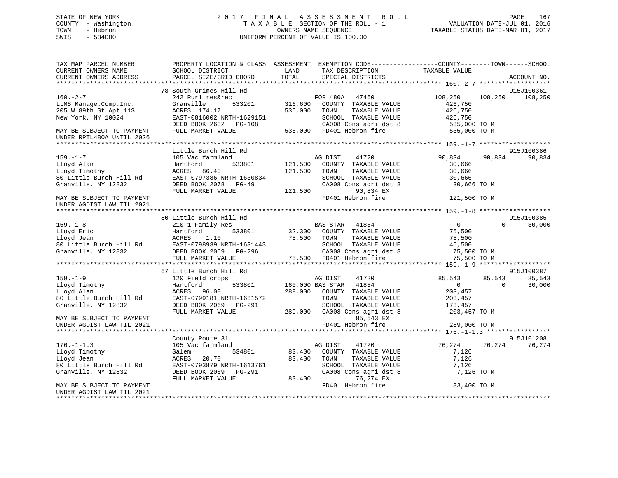# STATE OF NEW YORK 2 0 1 7 F I N A L A S S E S S M E N T R O L L PAGE 167 COUNTY - Washington T A X A B L E SECTION OF THE ROLL - 1 VALUATION DATE-JUL 01, 2016 TOWN - Hebron OWNERS NAME SEQUENCE TAXABLE STATUS DATE-MAR 01, 2017 SWIS - 534000 UNIFORM PERCENT OF VALUE IS 100.00

| TAX MAP PARCEL NUMBER<br>CURRENT OWNERS NAME | PROPERTY LOCATION & CLASS ASSESSMENT EXEMPTION CODE----------------COUNTY-------TOWN------SCHOOL<br>SCHOOL DISTRICT | LAND<br>TAX DESCRIPTION     |                       | TAXABLE VALUE  |          |             |
|----------------------------------------------|---------------------------------------------------------------------------------------------------------------------|-----------------------------|-----------------------|----------------|----------|-------------|
| CURRENT OWNERS ADDRESS                       | PARCEL SIZE/GRID COORD                                                                                              | TOTAL                       | SPECIAL DISTRICTS     |                |          | ACCOUNT NO. |
|                                              | 78 South Grimes Hill Rd                                                                                             |                             |                       |                |          | 915J100361  |
| $160. - 2 - 7$                               | 242 Rurl res&rec                                                                                                    | FOR 480A 47460              |                       | 108,250        | 108,250  | 108,250     |
| LLMS Manage.Comp.Inc.                        | Granville<br>533201                                                                                                 | 316,600                     | COUNTY TAXABLE VALUE  | 426,750        |          |             |
| 205 W 89th St Apt 11S                        | ACRES 174.17                                                                                                        | 535,000<br>TOWN             | TAXABLE VALUE         | 426,750        |          |             |
| New York, NY 10024                           | EAST-0816002 NRTH-1629151                                                                                           |                             | SCHOOL TAXABLE VALUE  | 426,750        |          |             |
|                                              | DEED BOOK 2632 PG-108                                                                                               |                             | CA008 Cons agri dst 8 | 535,000 TO M   |          |             |
| MAY BE SUBJECT TO PAYMENT                    | FULL MARKET VALUE                                                                                                   | 535,000 FD401 Hebron fire   |                       | 535,000 TO M   |          |             |
| UNDER RPTL480A UNTIL 2026                    |                                                                                                                     |                             |                       |                |          |             |
|                                              |                                                                                                                     |                             |                       |                |          |             |
|                                              | Little Burch Hill Rd                                                                                                |                             |                       |                |          | 915J100386  |
| $159. - 1 - 7$                               | 105 Vac farmland                                                                                                    | AG DIST                     | 41720                 | 90,834         | 90,834   | 90,834      |
| Lloyd Alan                                   | Hartford<br>533801                                                                                                  | 121,500                     | COUNTY TAXABLE VALUE  | 30,666         |          |             |
| LLoyd Timothy                                | 86.40<br>ACRES                                                                                                      | 121,500<br>TOWN             | TAXABLE VALUE         | 30,666         |          |             |
| 80 Little Burch Hill Rd                      | EAST-0797386 NRTH-1630834                                                                                           |                             | SCHOOL TAXABLE VALUE  | 30,666         |          |             |
| Granville, NY 12832                          | DEED BOOK 2078<br>PG-49                                                                                             |                             | CA008 Cons agri dst 8 | 30,666 TO M    |          |             |
|                                              | FULL MARKET VALUE                                                                                                   | 121,500                     | 90,834 EX             |                |          |             |
| MAY BE SUBJECT TO PAYMENT                    |                                                                                                                     |                             | FD401 Hebron fire     | 121,500 TO M   |          |             |
| UNDER AGDIST LAW TIL 2021                    |                                                                                                                     |                             |                       |                |          |             |
|                                              |                                                                                                                     |                             |                       |                |          |             |
|                                              | 80 Little Burch Hill Rd                                                                                             |                             |                       |                |          | 915J100385  |
| $159. - 1 - 8$                               | 210 1 Family Res                                                                                                    | BAS STAR                    | 41854                 | $\overline{0}$ | $\Omega$ | 30,000      |
| Lloyd Eric                                   | Hartford<br>533801                                                                                                  | 32,300 COUNTY TAXABLE VALUE |                       | 75,500         |          |             |
| Lloyd Jean                                   | 1.10<br>ACRES                                                                                                       | 75,500<br>TOWN              | TAXABLE VALUE         | 75,500         |          |             |
| 80 Little Burch Hill Rd                      | EAST-0798939 NRTH-1631443                                                                                           |                             | SCHOOL TAXABLE VALUE  | 45,500         |          |             |
| Granville, NY 12832                          | DEED BOOK 2069 PG-296<br>FULL MARKET VALUE                                                                          | 75,500 FD401 Hebron fire    | CA008 Cons agri dst 8 | 75,500 TO M    |          |             |
|                                              |                                                                                                                     |                             |                       | 75,500 TO M    |          |             |
|                                              | 67 Little Burch Hill Rd                                                                                             |                             |                       |                |          | 915J100387  |
| $159. - 1 - 9$                               | 120 Field crops                                                                                                     | AG DIST                     | 41720                 | 85,543         | 85,543   | 85,543      |
| Lloyd Timothy                                | Hartford<br>533801                                                                                                  | 160,000 BAS STAR 41854      |                       | $\mathbf{0}$   | $\Omega$ | 30,000      |
| LLoyd Alan                                   | ACRES 96.00                                                                                                         | 289,000                     | COUNTY TAXABLE VALUE  | 203,457        |          |             |
| 80 Little Burch Hill Rd                      | EAST-0799181 NRTH-1631572                                                                                           | TOWN                        | TAXABLE VALUE         | 203,457        |          |             |
| Granville, NY 12832                          | DEED BOOK 2069 PG-291                                                                                               |                             | SCHOOL TAXABLE VALUE  | 173,457        |          |             |
|                                              | FULL MARKET VALUE                                                                                                   | 289,000                     | CA008 Cons agri dst 8 | 203,457 TO M   |          |             |
| MAY BE SUBJECT TO PAYMENT                    |                                                                                                                     |                             | 85,543 EX             |                |          |             |
| UNDER AGDIST LAW TIL 2021                    |                                                                                                                     |                             | FD401 Hebron fire     | 289,000 TO M   |          |             |
|                                              |                                                                                                                     |                             |                       |                |          |             |
|                                              | County Route 31                                                                                                     |                             |                       |                |          | 915J101208  |
| $176. - 1 - 1.3$                             | 105 Vac farmland                                                                                                    | AG DIST                     | 41720                 | 76,274         | 76,274   | 76,274      |
| Lloyd Timothy                                | 534801<br>Salem                                                                                                     | 83,400                      | COUNTY TAXABLE VALUE  | 7,126          |          |             |
| Lloyd Jean                                   | 20.70<br>ACRES                                                                                                      | 83,400<br>TOWN              | TAXABLE VALUE         | 7,126          |          |             |
| 80 Little Burch Hill Rd                      | EAST-0793879 NRTH-1613761                                                                                           |                             | SCHOOL TAXABLE VALUE  | 7,126          |          |             |
| Granville, NY 12832                          | DEED BOOK 2069<br>$PG-291$                                                                                          |                             | CA008 Cons agri dst 8 | 7,126 TO M     |          |             |
|                                              | FULL MARKET VALUE                                                                                                   | 83,400                      | 76,274 EX             |                |          |             |
| MAY BE SUBJECT TO PAYMENT                    |                                                                                                                     |                             | FD401 Hebron fire     | 83,400 TO M    |          |             |
| UNDER AGDIST LAW TIL 2021                    |                                                                                                                     |                             |                       |                |          |             |
|                                              |                                                                                                                     |                             |                       |                |          |             |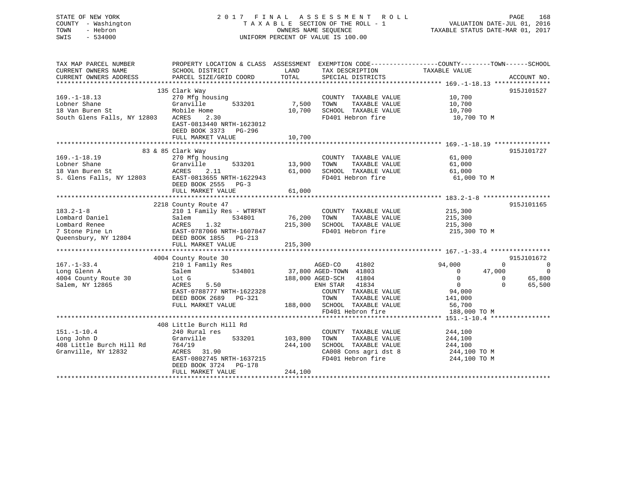| STATE OF NEW YORK<br>COUNTY - Washington<br>TOWN<br>- Hebron<br>SWIS<br>$-534000$            | 2017 FINAL ASSESSMENT ROLL<br>TAXABLE SECTION OF THE ROLL - 1<br>UNIFORM PERCENT OF VALUE IS 100.00      | VALUATION DATE-JUL 01, 2016<br>TAXABLE STATUS DATE-MAR 01, 2017 | PAGE<br>168                                        |                                                                                                  |                          |
|----------------------------------------------------------------------------------------------|----------------------------------------------------------------------------------------------------------|-----------------------------------------------------------------|----------------------------------------------------|--------------------------------------------------------------------------------------------------|--------------------------|
| TAX MAP PARCEL NUMBER                                                                        |                                                                                                          |                                                                 |                                                    | PROPERTY LOCATION & CLASS ASSESSMENT EXEMPTION CODE----------------COUNTY-------TOWN------SCHOOL |                          |
| CURRENT OWNERS NAME<br>CURRENT OWNERS ADDRESS                                                | SCHOOL DISTRICT<br>PARCEL SIZE/GRID COORD                                                                | LAND<br>TOTAL                                                   | TAX DESCRIPTION TAXABLE VALUE<br>SPECIAL DISTRICTS |                                                                                                  | ACCOUNT NO.              |
|                                                                                              |                                                                                                          |                                                                 |                                                    |                                                                                                  |                          |
|                                                                                              | 135 Clark Way                                                                                            |                                                                 |                                                    |                                                                                                  | 915J101527               |
| $169. - 1 - 18.13$                                                                           | 270 Mfg housing                                                                                          |                                                                 | COUNTY TAXABLE VALUE                               | 10,700                                                                                           |                          |
| Lobner Shane                                                                                 | Granville<br>533201                                                                                      | 7,500                                                           | TOWN<br>TAXABLE VALUE                              | 10,700                                                                                           |                          |
| 18 Van Buren St                                                                              | Mobile Home                                                                                              |                                                                 | 10,700 SCHOOL TAXABLE VALUE                        | 10,700                                                                                           |                          |
| South Glens Falls, NY 12803                                                                  | ACRES<br>2.30<br>EAST-0813440 NRTH-1623012<br>DEED BOOK 3373 PG-296<br>FULL MARKET VALUE                 | 10,700                                                          | FD401 Hebron fire                                  | 10,700 TO M                                                                                      |                          |
|                                                                                              |                                                                                                          |                                                                 |                                                    |                                                                                                  |                          |
|                                                                                              | 83 & 85 Clark Way                                                                                        |                                                                 |                                                    |                                                                                                  | 915J101727               |
| $169. - 1 - 18.19$                                                                           | 270 Mfg housing                                                                                          |                                                                 | COUNTY TAXABLE VALUE                               | 61,000                                                                                           |                          |
| Lobner Shane                                                                                 | 533201<br>Granville                                                                                      | 13,900                                                          | TAXABLE VALUE<br>TOWN                              | 61,000                                                                                           |                          |
|                                                                                              |                                                                                                          | 61,000                                                          | SCHOOL TAXABLE VALUE                               | 61,000                                                                                           |                          |
| 18 Van Buren St<br>18 Van Buren St<br>S. Glens Falls, NY 12803<br>EXECT-0813655 NRTH-1622943 |                                                                                                          |                                                                 | FD401 Hebron fire                                  | 61,000 TO M                                                                                      |                          |
|                                                                                              | DEED BOOK 2555 PG-3                                                                                      | 61,000                                                          |                                                    |                                                                                                  |                          |
|                                                                                              | FULL MARKET VALUE                                                                                        |                                                                 |                                                    |                                                                                                  |                          |
|                                                                                              | 2218 County Route 47                                                                                     |                                                                 |                                                    |                                                                                                  | 915J101165               |
| $183.2 - 1 - 8$                                                                              | 210 1 Family Res - WTRFNT                                                                                |                                                                 | COUNTY TAXABLE VALUE                               | 215,300                                                                                          |                          |
| Lombard Daniel                                                                               | Salem<br>534801                                                                                          | 76,200                                                          | TAXABLE VALUE<br>TOWN                              | 215,300                                                                                          |                          |
| Lombard Renee                                                                                |                                                                                                          |                                                                 | 215,300 SCHOOL TAXABLE VALUE                       | 215,300                                                                                          |                          |
| 7 Stone Pine Ln                                                                              |                                                                                                          |                                                                 | FD401 Hebron fire                                  | 215,300 TO M                                                                                     |                          |
| Queensbury, NY 12804                                                                         | Salem 534801<br>ACRES 1.32<br>EAST-0787066 NRTH-1607847<br>DEED BOOK 1855 PG-213<br>EED BOOK 1855 PG-213 |                                                                 |                                                    |                                                                                                  |                          |
|                                                                                              | FULL MARKET VALUE                                                                                        | 215,300                                                         |                                                    |                                                                                                  |                          |
|                                                                                              |                                                                                                          |                                                                 |                                                    |                                                                                                  | 915J101672               |
| $167. - 1 - 33.4$                                                                            | 4004 County Route 30<br>210 1 Family Res                                                                 |                                                                 | 41802<br>AGED-CO                                   | 94,000<br>$\mathbf 0$                                                                            | $\overline{\phantom{0}}$ |
| Long Glenn A                                                                                 | 534801<br>Salem                                                                                          |                                                                 | 37,800 AGED-TOWN 41803                             | 47,000<br>$\overline{0}$                                                                         | $\overline{0}$           |
| 4004 County Route 30                                                                         | Lot G                                                                                                    |                                                                 | 188,000 AGED-SCH 41804                             | $\overline{0}$                                                                                   | $\overline{0}$<br>65,800 |
| Salem, NY 12865                                                                              | ACRES<br>5.50                                                                                            |                                                                 | ENH STAR 41834                                     | $\overline{0}$<br>$\Omega$                                                                       | 65,500                   |
|                                                                                              | EAST-0788777 NRTH-1622328                                                                                |                                                                 | COUNTY TAXABLE VALUE                               | 94,000                                                                                           |                          |
|                                                                                              | DEED BOOK 2689 PG-321                                                                                    |                                                                 | TOWN<br>TAXABLE VALUE                              | 141,000                                                                                          |                          |
|                                                                                              | FULL MARKET VALUE                                                                                        |                                                                 | 188,000 SCHOOL TAXABLE VALUE                       | 56,700                                                                                           |                          |
|                                                                                              |                                                                                                          |                                                                 | FD401 Hebron fire                                  | 188,000 TO M                                                                                     |                          |
|                                                                                              |                                                                                                          |                                                                 |                                                    |                                                                                                  |                          |
|                                                                                              | 408 Little Burch Hill Rd                                                                                 |                                                                 |                                                    |                                                                                                  |                          |
| $151. - 1 - 10.4$                                                                            | 240 Rural res<br>Granville<br>533201                                                                     | 103,800                                                         | COUNTY TAXABLE VALUE<br>TAXABLE VALUE<br>TOWN      | 244,100                                                                                          |                          |
| Long John D                                                                                  | 764/19                                                                                                   | 244,100                                                         | SCHOOL TAXABLE VALUE                               | 244,100<br>244,100                                                                               |                          |
| 408 Little Burch Hill Rd<br>Granville, NY 12832<br>Granville, NY 12832                       | ACRES 31.90                                                                                              |                                                                 | CA008 Cons agri dst 8                              | 244,100 TO M                                                                                     |                          |
|                                                                                              | EAST-0802745 NRTH-1637215                                                                                |                                                                 | FD401 Hebron fire                                  | 244,100 TO M                                                                                     |                          |
|                                                                                              | DEED BOOK 3724 PG-178                                                                                    |                                                                 |                                                    |                                                                                                  |                          |
|                                                                                              | FULL MARKET VALUE                                                                                        | 244,100                                                         |                                                    |                                                                                                  |                          |
|                                                                                              |                                                                                                          |                                                                 |                                                    |                                                                                                  |                          |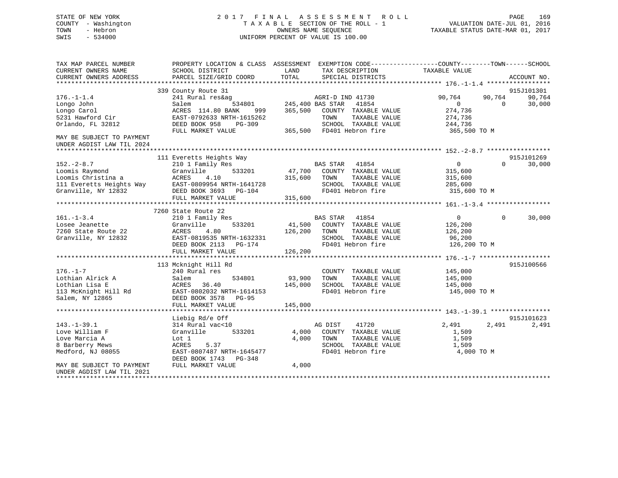# STATE OF NEW YORK 2 0 1 7 F I N A L A S S E S S M E N T R O L L PAGE 169 COUNTY - Washington T A X A B L E SECTION OF THE ROLL - 1 VALUATION DATE-JUL 01, 2016 TOWN - Hebron OWNERS NAME SEQUENCE TAXABLE STATUS DATE-MAR 01, 2017 SWIS - 534000 UNIFORM PERCENT OF VALUE IS 100.00

| TAX MAP PARCEL NUMBER<br>CURRENT OWNERS NAME           | PROPERTY LOCATION & CLASS ASSESSMENT<br>SCHOOL DISTRICT | LAND<br>TAX DESCRIPTION<br>TOTAL | EXEMPTION CODE-----------------COUNTY-------TOWN------SCHOOL<br>TAXABLE VALUE |
|--------------------------------------------------------|---------------------------------------------------------|----------------------------------|-------------------------------------------------------------------------------|
| CURRENT OWNERS ADDRESS                                 | PARCEL SIZE/GRID COORD                                  | SPECIAL DISTRICTS                | ACCOUNT NO.                                                                   |
|                                                        | 339 County Route 31                                     |                                  | 915J101301                                                                    |
| $176. - 1 - 1.4$                                       | 241 Rural res&ag                                        | AGRI-D IND 41730                 | 90,764<br>90,764<br>90,764                                                    |
| Longo John                                             | 534801<br>Salem                                         | 245,400 BAS STAR<br>41854        | $\overline{0}$<br>30,000<br>$\Omega$                                          |
| Longo Carol                                            | ACRES 114.80 BANK<br>999                                | 365,500<br>COUNTY TAXABLE VALUE  | 274,736                                                                       |
| 5231 Hawford Cir                                       | EAST-0792633 NRTH-1615262                               | TAXABLE VALUE<br>TOWN            | 274,736                                                                       |
| Orlando, FL 32812                                      | DEED BOOK 958<br>PG-309                                 | SCHOOL TAXABLE VALUE             | 244,736                                                                       |
|                                                        | FULL MARKET VALUE                                       | 365,500 FD401 Hebron fire        | 365,500 TO M                                                                  |
| MAY BE SUBJECT TO PAYMENT<br>UNDER AGDIST LAW TIL 2024 |                                                         |                                  |                                                                               |
|                                                        |                                                         |                                  |                                                                               |
|                                                        | 111 Everetts Heights Way                                |                                  | 915J101269                                                                    |
| $152 - 2 - 8.7$                                        | 210 1 Family Res                                        | BAS STAR<br>41854                | $\overline{0}$<br>30,000<br>$\Omega$                                          |
| Loomis Raymond                                         | Granville<br>533201                                     | 47,700<br>COUNTY TAXABLE VALUE   | 315,600                                                                       |
| Loomis Christina a                                     | ACRES<br>4.10                                           | 315,600<br>TOWN<br>TAXABLE VALUE | 315,600                                                                       |
| 111 Everetts Heights Way                               | EAST-0809954 NRTH-1641728                               | SCHOOL TAXABLE VALUE             | 285,600                                                                       |
| Granville, NY 12832                                    | DEED BOOK 3693 PG-104                                   | FD401 Hebron fire                | 315,600 TO M                                                                  |
|                                                        | FULL MARKET VALUE                                       | 315,600                          |                                                                               |
|                                                        |                                                         |                                  |                                                                               |
|                                                        | 7260 State Route 22                                     |                                  |                                                                               |
| $161. - 1 - 3.4$                                       | 210 1 Family Res                                        | <b>BAS STAR</b><br>41854         | $\mathbf{0}$<br>$\Omega$<br>30,000                                            |
| Losee Jeanette                                         | Granville<br>533201                                     | 41,500<br>COUNTY TAXABLE VALUE   | 126,200                                                                       |
| 7260 State Route 22                                    | ACRES<br>4.80                                           | 126,200<br>TOWN<br>TAXABLE VALUE | 126,200                                                                       |
| Granville, NY 12832                                    | EAST-0819535 NRTH-1632331                               | SCHOOL TAXABLE VALUE             | 96,200                                                                        |
|                                                        | DEED BOOK 2113 PG-174                                   | FD401 Hebron fire                | 126,200 TO M                                                                  |
|                                                        | FULL MARKET VALUE                                       | 126,200                          |                                                                               |
|                                                        |                                                         |                                  |                                                                               |
|                                                        | 113 Mcknight Hill Rd                                    |                                  | 915J100566                                                                    |
| $176. - 1 - 7$                                         | 240 Rural res                                           | COUNTY TAXABLE VALUE             | 145,000                                                                       |
| Lothian Alrick A                                       | Salem<br>534801                                         | 93,900<br>TOWN<br>TAXABLE VALUE  | 145,000                                                                       |
| Lothian Lisa E                                         | 36.40<br>ACRES                                          | 145,000<br>SCHOOL TAXABLE VALUE  | 145,000                                                                       |
| 113 McKnight Hill Rd                                   | EAST-0802032 NRTH-1614153                               | FD401 Hebron fire                | 145,000 TO M                                                                  |
| Salem, NY 12865                                        | DEED BOOK 3578<br>$PG-95$                               |                                  |                                                                               |
|                                                        | FULL MARKET VALUE                                       | 145,000                          |                                                                               |
|                                                        |                                                         |                                  |                                                                               |
|                                                        | Liebig Rd/e Off                                         |                                  | 915J101623                                                                    |
| $143. - 1 - 39.1$                                      | 314 Rural vac<10                                        | AG DIST<br>41720                 | 2,491<br>2,491<br>2,491                                                       |
| Love William F                                         | 533201<br>Granville                                     | 4,000<br>COUNTY TAXABLE VALUE    | 1,509                                                                         |
| Love Marcia A                                          | Lot 1                                                   | 4,000<br>TAXABLE VALUE<br>TOWN   | 1,509                                                                         |
| 8 Barberry Mews                                        | ACRES<br>5.37                                           | SCHOOL TAXABLE VALUE             | 1,509                                                                         |
| Medford, NJ 08055                                      | EAST-0807487 NRTH-1645477                               | FD401 Hebron fire                | 4,000 TO M                                                                    |
|                                                        | DEED BOOK 1743<br>PG-348                                |                                  |                                                                               |
| MAY BE SUBJECT TO PAYMENT                              | FULL MARKET VALUE                                       | 4,000                            |                                                                               |
| UNDER AGDIST LAW TIL 2021                              |                                                         |                                  |                                                                               |
|                                                        |                                                         |                                  |                                                                               |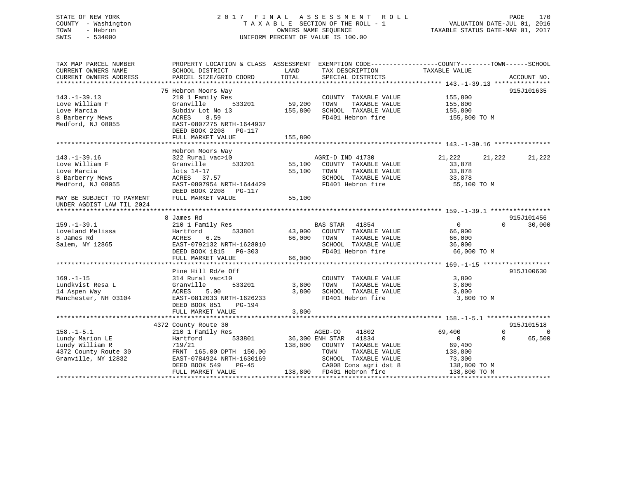# STATE OF NEW YORK 2 0 1 7 F I N A L A S S E S S M E N T R O L L PAGE 170 COUNTY - Washington T A X A B L E SECTION OF THE ROLL - 1 VALUATION DATE-JUL 01, 2016 TOWN - Hebron OWNERS NAME SEQUENCE TAXABLE STATUS DATE-MAR 01, 2017 SWIS - 534000 UNIFORM PERCENT OF VALUE IS 100.00

| CURRENT OWNERS NAME                                                                                                                                                                  |                           |         | PROPERTY LOCATION & CLASS ASSESSMENT EXEMPTION CODE----------------COUNTY-------TOWN------SCHOOL |                          |                                                |
|--------------------------------------------------------------------------------------------------------------------------------------------------------------------------------------|---------------------------|---------|--------------------------------------------------------------------------------------------------|--------------------------|------------------------------------------------|
|                                                                                                                                                                                      | SCHOOL DISTRICT           | LAND    | TAX DESCRIPTION                                                                                  | TAXABLE VALUE            |                                                |
| CURRENT OWNERS ADDRESS                                                                                                                                                               | PARCEL SIZE/GRID COORD    | TOTAL   | SPECIAL DISTRICTS                                                                                |                          | ACCOUNT NO.                                    |
|                                                                                                                                                                                      |                           |         |                                                                                                  |                          |                                                |
|                                                                                                                                                                                      | 75 Hebron Moors Way       |         |                                                                                                  |                          | 915J101635                                     |
| $143. - 1 - 39.13$                                                                                                                                                                   | 210 1 Family Res          |         | COUNTY TAXABLE VALUE                                                                             | 155,800                  |                                                |
| Love William F                                                                                                                                                                       | 533201<br>Granville       | 59,200  | TAXABLE VALUE<br>TOWN                                                                            | 155,800                  |                                                |
| Love Marcia                                                                                                                                                                          | Subdiv Lot No 13          |         | SCHOOL TAXABLE VALUE                                                                             | 155,800                  |                                                |
|                                                                                                                                                                                      |                           | 155,800 |                                                                                                  |                          |                                                |
| 8 Barberry Mews                                                                                                                                                                      | ACRES<br>8.59             |         | FD401 Hebron fire                                                                                | 155,800 TO M             |                                                |
| Medford, NJ 08055                                                                                                                                                                    | EAST-0807275 NRTH-1644937 |         |                                                                                                  |                          |                                                |
|                                                                                                                                                                                      | DEED BOOK 2208 PG-117     |         |                                                                                                  |                          |                                                |
|                                                                                                                                                                                      | FULL MARKET VALUE         | 155,800 |                                                                                                  |                          |                                                |
|                                                                                                                                                                                      |                           |         |                                                                                                  |                          |                                                |
|                                                                                                                                                                                      | Hebron Moors Way          |         |                                                                                                  |                          |                                                |
| $143. - 1 - 39.16$                                                                                                                                                                   | 322 Rural vac>10          |         | AGRI-D IND 41730                                                                                 | 21,222<br>21,222         | 21,222                                         |
| Love William F                                                                                                                                                                       | 533201<br>Granville       | 55,100  | COUNTY TAXABLE VALUE                                                                             | 33,878                   |                                                |
| Love Marcia                                                                                                                                                                          | lots 14-17                | 55,100  | TOWN<br>TAXABLE VALUE                                                                            | 33,878                   |                                                |
| 8 Barberry Mews                                                                                                                                                                      | ACRES 37.57               |         | SCHOOL TAXABLE VALUE                                                                             | 33,878                   |                                                |
| Medford, NJ 08055                                                                                                                                                                    | EAST-0807954 NRTH-1644429 |         | FD401 Hebron fire                                                                                | 55,100 TO M              |                                                |
|                                                                                                                                                                                      | DEED BOOK 2208 PG-117     |         |                                                                                                  |                          |                                                |
| MAY BE SUBJECT TO PAYMENT                                                                                                                                                            | FULL MARKET VALUE         | 55,100  |                                                                                                  |                          |                                                |
|                                                                                                                                                                                      |                           |         |                                                                                                  |                          |                                                |
| UNDER AGDIST LAW TIL 2024                                                                                                                                                            |                           |         |                                                                                                  |                          |                                                |
|                                                                                                                                                                                      |                           |         |                                                                                                  |                          |                                                |
|                                                                                                                                                                                      | 8 James Rd                |         |                                                                                                  |                          | 915J101456                                     |
| $159. - 1 - 39.1$                                                                                                                                                                    | 210 1 Family Res          |         | BAS STAR 41854                                                                                   | $\mathbf{0}$<br>$\Omega$ | 30,000                                         |
| Loveland Melissa                                                                                                                                                                     | 533801<br>Hartford        | 43,900  | COUNTY TAXABLE VALUE                                                                             | 66,000                   |                                                |
| 8 James Rd                                                                                                                                                                           | ACRES<br>6.25             | 66,000  | TOWN<br>TAXABLE VALUE                                                                            | 66,000                   |                                                |
| Salem, NY 12865                                                                                                                                                                      | EAST-0792132 NRTH-1628010 |         | SCHOOL TAXABLE VALUE                                                                             | 36,000                   |                                                |
|                                                                                                                                                                                      | DEED BOOK 1815 PG-303     |         | FD401 Hebron fire                                                                                | 66,000 TO M              |                                                |
|                                                                                                                                                                                      |                           |         |                                                                                                  |                          |                                                |
|                                                                                                                                                                                      | FULL MARKET VALUE         | 66,000  |                                                                                                  |                          |                                                |
|                                                                                                                                                                                      |                           |         |                                                                                                  |                          |                                                |
|                                                                                                                                                                                      | Pine Hill Rd/e Off        |         |                                                                                                  |                          |                                                |
|                                                                                                                                                                                      | 314 Rural vac<10          |         | COUNTY TAXABLE VALUE                                                                             | 3,800                    |                                                |
|                                                                                                                                                                                      |                           |         |                                                                                                  |                          |                                                |
|                                                                                                                                                                                      | Granville<br>533201       | 3,800   | TOWN<br>TAXABLE VALUE                                                                            | 3,800                    |                                                |
|                                                                                                                                                                                      | ACRES<br>5.00             | 3,800   | SCHOOL TAXABLE VALUE                                                                             | 3,800                    |                                                |
|                                                                                                                                                                                      | EAST-0812033 NRTH-1626233 |         | FD401 Hebron fire                                                                                | 3,800 TO M               |                                                |
|                                                                                                                                                                                      | DEED BOOK 851<br>PG-194   |         |                                                                                                  |                          |                                                |
|                                                                                                                                                                                      | FULL MARKET VALUE         | 3,800   |                                                                                                  |                          |                                                |
|                                                                                                                                                                                      |                           |         |                                                                                                  |                          |                                                |
|                                                                                                                                                                                      | 4372 County Route 30      |         |                                                                                                  |                          |                                                |
|                                                                                                                                                                                      | 210 1 Family Res          |         | AGED-CO<br>41802                                                                                 | 69,400<br>$\Omega$       |                                                |
|                                                                                                                                                                                      | Hartford<br>533801        |         | 41834<br>36,300 ENH STAR                                                                         | $\mathbf 0$<br>$\Omega$  |                                                |
|                                                                                                                                                                                      | 719/21                    | 138,800 | COUNTY TAXABLE VALUE                                                                             | 69,400                   |                                                |
|                                                                                                                                                                                      | FRNT 165.00 DPTH 150.00   |         | TOWN<br>TAXABLE VALUE                                                                            | 138,800                  |                                                |
|                                                                                                                                                                                      | EAST-0784924 NRTH-1630169 |         | SCHOOL TAXABLE VALUE                                                                             | 73,300                   |                                                |
| $169. - 1 - 15$<br>Lundkvist Resa L<br>14 Aspen Way<br>Manchester, NH 03104<br>$158. - 1 - 5.1$<br>Lundy Marion LE<br>Lundy William R<br>4372 County Route 30<br>Granville, NY 12832 | DEED BOOK 549<br>$PG-45$  |         | CA008 Cons agri dst 8                                                                            | 138,800 TO M             | 915J100630<br>915J101518<br>$\Omega$<br>65,500 |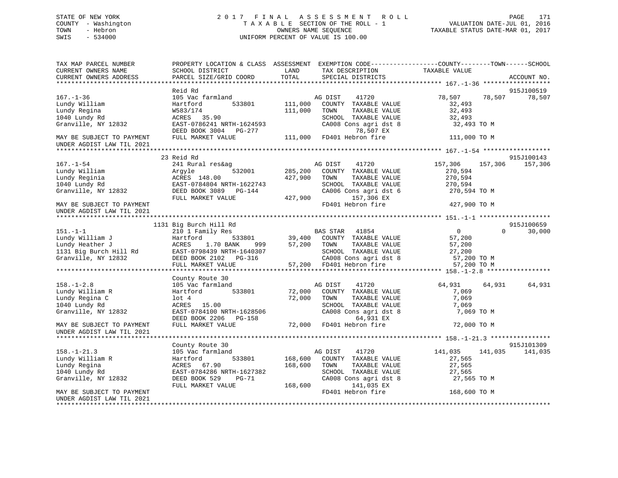# STATE OF NEW YORK 2 0 1 7 F I N A L A S S E S S M E N T R O L L PAGE 171 COUNTY - Washington T A X A B L E SECTION OF THE ROLL - 1 VALUATION DATE-JUL 01, 2016 TOWN - Hebron OWNERS NAME SEQUENCE TAXABLE STATUS DATE-MAR 01, 2017 SWIS - 534000 UNIFORM PERCENT OF VALUE IS 100.00

| TAX MAP PARCEL NUMBER<br>CURRENT OWNERS NAME                                                  | PROPERTY LOCATION & CLASS ASSESSMENT EXEMPTION CODE----------------COUNTY-------TOWN------SCHOOL<br>SCHOOL DISTRICT                                                                                                                              | LAND               | TAX DESCRIPTION                                                                                                                                                | TAXABLE VALUE                                          |                      |
|-----------------------------------------------------------------------------------------------|--------------------------------------------------------------------------------------------------------------------------------------------------------------------------------------------------------------------------------------------------|--------------------|----------------------------------------------------------------------------------------------------------------------------------------------------------------|--------------------------------------------------------|----------------------|
| CURRENT OWNERS ADDRESS                                                                        | PARCEL SIZE/GRID COORD                                                                                                                                                                                                                           | TOTAL              | SPECIAL DISTRICTS                                                                                                                                              |                                                        | ACCOUNT NO.          |
|                                                                                               |                                                                                                                                                                                                                                                  |                    |                                                                                                                                                                |                                                        |                      |
| $167. - 1 - 36$<br>Lundy William<br>Lundy Regina                                              | Reid Rd<br>105 Vac farmland<br>533801<br>Hartford<br>W583/174                                                                                                                                                                                    | 111,000<br>111,000 | AG DIST 41720<br>COUNTY TAXABLE VALUE<br>TOWN<br>TAXABLE VALUE                                                                                                 | 78,507 78,507<br>32,493<br>32,493                      | 915J100519<br>78,507 |
| 1040 Lundy Rd<br>Granville, NY 12832                                                          | ACRES 35.90<br>EAST-0786241 NRTH-1624593<br>DEED BOOK 3004 PG-277                                                                                                                                                                                |                    | SCHOOL TAXABLE VALUE<br>CA008 Cons agri dst 8<br>78,507 EX                                                                                                     | 32,493<br>32,493 TO M                                  |                      |
| MAY BE SUBJECT TO PAYMENT<br>UNDER AGDIST LAW TIL 2021                                        | FULL MARKET VALUE                                                                                                                                                                                                                                |                    | 111,000 FD401 Hebron fire                                                                                                                                      | 111,000 TO M                                           |                      |
|                                                                                               | 23 Reid Rd                                                                                                                                                                                                                                       |                    |                                                                                                                                                                |                                                        | 915J100143           |
| $167. - 1 - 54$<br>Lundy William<br>Lundy Reginia<br>1040 Lundy Rd                            | 241 Rural res&ag<br>Argyle 532001<br>ACRES 148.00<br>EAST-0784804 NRTH-1622743<br>DEED BOOK 3089 PG-144                                                                                                                                          | 427,900            | AG DIST 41720<br>532001 285,200 COUNTY TAXABLE VALUE<br>TOWN<br>TAXABLE VALUE<br>SCHOOL TAXABLE VALUE<br>SCHOOL TAXABLE VALUE<br>CA006 Cons agri dst 6         | 157,306 157,306<br>270,594<br>270,594<br>270,594       | 157,306              |
| Granville, NY 12832<br>MAY BE SUBJECT TO PAYMENT                                              | FULL MARKET VALUE                                                                                                                                                                                                                                | 427,900            | 157,306 EX<br>FD401 Hebron fire                                                                                                                                | 270,594 TO M<br>427,900 TO M                           |                      |
| UNDER AGDIST LAW TIL 2021<br>*************************                                        |                                                                                                                                                                                                                                                  |                    |                                                                                                                                                                |                                                        |                      |
|                                                                                               | 1131 Big Burch Hill Rd                                                                                                                                                                                                                           |                    |                                                                                                                                                                |                                                        | 915J100659           |
| $151.-1-1$                                                                                    | 210 1 Family Res                                                                                                                                                                                                                                 |                    | <b>BAS STAR</b> 41854                                                                                                                                          | $\overline{0}$                                         | $\Omega$<br>30,000   |
|                                                                                               | 151.-1-1<br>Lundy William J<br>Lundy Heather J<br>Lundy Heather J<br>210 1 Family Res<br>533801 39,400 COUNTY TAXABLE VALUE<br>131 Big Burch Hill Rd<br>EAST-0798439 NRTH-1640307 57,200 TOWN TAXABLE VALUE<br>CAD08 Cons agri dst 8<br>Granvill |                    |                                                                                                                                                                | 57,200                                                 |                      |
|                                                                                               |                                                                                                                                                                                                                                                  |                    |                                                                                                                                                                | 57,200                                                 |                      |
|                                                                                               |                                                                                                                                                                                                                                                  |                    | SCHOOL TAXABLE VALUE                                                                                                                                           | 27,200                                                 |                      |
|                                                                                               |                                                                                                                                                                                                                                                  |                    |                                                                                                                                                                | 57,200 TO M                                            |                      |
|                                                                                               | FULL MARKET VALUE                                                                                                                                                                                                                                |                    | CA008 Cons agri dst 8<br>57,200 FD401 Hebron fire                                                                                                              | 57,200 TO M                                            |                      |
|                                                                                               |                                                                                                                                                                                                                                                  |                    |                                                                                                                                                                |                                                        |                      |
|                                                                                               | County Route 30                                                                                                                                                                                                                                  |                    |                                                                                                                                                                |                                                        |                      |
| $158. - 1 - 2.8$<br>Lundy William R<br>Lundy Regina C<br>1040 Lundy Rd<br>Granville, NY 12832 | 105 Vac farmland<br>533801<br>Hartford<br>lot 4<br>ACRES 15.00<br>EAST-0784100 NRTH-1628506<br>DEED BOOK 2206 PG-158 64,931 EX<br>FULL MARKET VALUE 72,000 FD401 Hebron fire                                                                     | 72,000             | 41720<br>AG DIST<br>72,000 COUNTY TAXABLE VALUE<br>TOWN<br>TAXABLE VALUE<br>SCHOOL TAXABLE VALUE<br>SCHOOL TAXABLE VALUE<br>CA008 Cons agri dst 8<br>64,931 EX | 64,931 64,931<br>7,069<br>7,069<br>7,069<br>7,069 TO M | 64,931               |
| MAY BE SUBJECT TO PAYMENT<br>UNDER AGDIST LAW TIL 2021                                        |                                                                                                                                                                                                                                                  |                    |                                                                                                                                                                | 72,000 TO M                                            |                      |
|                                                                                               |                                                                                                                                                                                                                                                  |                    |                                                                                                                                                                |                                                        |                      |
|                                                                                               | County Route 30                                                                                                                                                                                                                                  |                    |                                                                                                                                                                |                                                        | 915J101309           |
| $158. - 1 - 21.3$                                                                             | 105 Vac farmland                                                                                                                                                                                                                                 |                    | AG DIST 41720                                                                                                                                                  | 141,035<br>141,035                                     | 141,035              |
| Lundy William R                                                                               | Hartford                                                                                                                                                                                                                                         |                    | 533801 168,600 COUNTY TAXABLE VALUE                                                                                                                            | 27,565                                                 |                      |
| Lundy Regina                                                                                  | ACRES 67.90                                                                                                                                                                                                                                      | 168,600            | TOWN<br>TAXABLE VALUE                                                                                                                                          | 27,565                                                 |                      |
| 1040 Lundy Rd                                                                                 | EAST-0784286 NRTH-1627382                                                                                                                                                                                                                        |                    | SCHOOL TAXABLE VALUE                                                                                                                                           | 27,565                                                 |                      |
| Granville, NY 12832                                                                           | DEED BOOK 529<br>PG-71<br>FULL MARKET VALUE                                                                                                                                                                                                      | 168,600            | CA008 Cons agri dst 8<br>141,035 EX                                                                                                                            | 27,565 TO M                                            |                      |
| MAY BE SUBJECT TO PAYMENT<br>UNDER AGDIST LAW TIL 2021                                        |                                                                                                                                                                                                                                                  |                    | FD401 Hebron fire                                                                                                                                              | 168,600 TO M                                           |                      |
|                                                                                               |                                                                                                                                                                                                                                                  |                    |                                                                                                                                                                |                                                        |                      |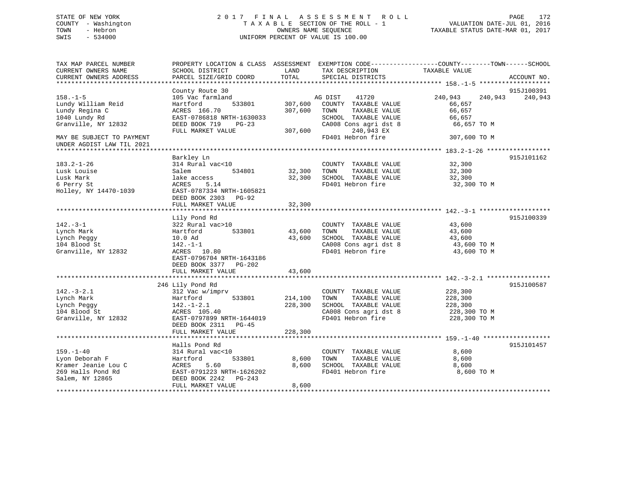# STATE OF NEW YORK 2 0 1 7 F I N A L A S S E S S M E N T R O L L PAGE 172 COUNTY - Washington T A X A B L E SECTION OF THE ROLL - 1 VALUATION DATE-JUL 01, 2016 TOWN - Hebron OWNERS NAME SEQUENCE TAXABLE STATUS DATE-MAR 01, 2017 SWIS - 534000 UNIFORM PERCENT OF VALUE IS 100.00

| TAX MAP PARCEL NUMBER<br>CURRENT OWNERS NAME<br>CURRENT OWNERS ADDRESS                           | PROPERTY LOCATION & CLASS ASSESSMENT EXEMPTION CODE----------------COUNTY-------TOWN------SCHOOL<br>SCHOOL DISTRICT<br>PARCEL SIZE/GRID COORD          | LAND<br><b>TOTAL</b>          | TAX DESCRIPTION<br>SPECIAL DISTRICTS                                                                                | TAXABLE VALUE                                                   | ACCOUNT NO. |
|--------------------------------------------------------------------------------------------------|--------------------------------------------------------------------------------------------------------------------------------------------------------|-------------------------------|---------------------------------------------------------------------------------------------------------------------|-----------------------------------------------------------------|-------------|
|                                                                                                  |                                                                                                                                                        |                               |                                                                                                                     |                                                                 |             |
|                                                                                                  | County Route 30                                                                                                                                        |                               |                                                                                                                     |                                                                 | 915J100391  |
| $158. - 1 - 5$<br>Lundy William Reid<br>Lundy Regina C<br>1040 Lundy Rd<br>Granville, NY 12832   | 105 Vac farmland<br>533801<br>Hartford<br>ACRES 166.70<br>EAST-0786818 NRTH-1630033<br>DEED BOOK 719<br>$PG-23$                                        | 307,600<br>307,600            | 41720<br>AG DIST<br>COUNTY TAXABLE VALUE<br>TAXABLE VALUE<br>TOWN<br>SCHOOL TAXABLE VALUE<br>CA008 Cons agri dst 8  | 240,943<br>240,943<br>66,657<br>66,657<br>66,657<br>66,657 TO M | 240,943     |
| MAY BE SUBJECT TO PAYMENT<br>UNDER AGDIST LAW TIL 2021                                           | FULL MARKET VALUE                                                                                                                                      | 307,600                       | 240,943 EX<br>FD401 Hebron fire                                                                                     | 307,600 TO M                                                    |             |
|                                                                                                  |                                                                                                                                                        |                               |                                                                                                                     |                                                                 |             |
| $183.2 - 1 - 26$<br>Lusk Louise<br>Lusk Mark<br>6 Perry St<br>Holley, NY 14470-1039              | Barkley Ln<br>314 Rural vac<10<br>Salem<br>534801<br>lake access<br>ACRES<br>5.14<br>EAST-0787334 NRTH-1605821<br>DEED BOOK 2303<br>$PG-92$            | 32,300<br>32,300              | COUNTY TAXABLE VALUE<br>TAXABLE VALUE<br>TOWN<br>SCHOOL TAXABLE VALUE<br>FD401 Hebron fire                          | 32,300<br>32,300<br>32,300<br>32,300 TO M                       | 915J101162  |
|                                                                                                  | FULL MARKET VALUE                                                                                                                                      | 32,300                        |                                                                                                                     |                                                                 |             |
|                                                                                                  |                                                                                                                                                        |                               |                                                                                                                     |                                                                 | 915J100339  |
| $142 - 3 - 1$<br>Lynch Mark<br>Lynch Peggy<br>104 Blood St<br>Granville, NY 12832                | Lily Pond Rd<br>322 Rural vac>10<br>Hartford<br>533801<br>10.0 Ad<br>$142. - 1 - 1$<br>ACRES 10.80<br>EAST-0796704 NRTH-1643186                        | 43,600<br>43,600              | COUNTY TAXABLE VALUE<br>TAXABLE VALUE<br>TOWN<br>SCHOOL TAXABLE VALUE<br>CA008 Cons agri dst 8<br>FD401 Hebron fire | 43,600<br>43,600<br>43,600<br>43,600 TO M<br>43,600 TO M        |             |
|                                                                                                  | DEED BOOK 3377<br>PG-202<br>FULL MARKET VALUE                                                                                                          | 43,600                        |                                                                                                                     |                                                                 |             |
|                                                                                                  |                                                                                                                                                        |                               |                                                                                                                     |                                                                 |             |
|                                                                                                  | 246 Lily Pond Rd                                                                                                                                       |                               |                                                                                                                     |                                                                 | 915J100587  |
| $142. - 3 - 2.1$<br>Lynch Mark<br>Lynch Peggy<br>104 Blood St<br>Granville, NY 12832             | 312 Vac w/imprv<br>Hartford<br>533801<br>$142. - 1 - 2.1$<br>ACRES 105.40<br>EAST-0797899 NRTH-1644019<br>DEED BOOK 2311 PG-45<br>FULL MARKET VALUE    | 214,100<br>228,300<br>228,300 | COUNTY TAXABLE VALUE<br>TAXABLE VALUE<br>TOWN<br>SCHOOL TAXABLE VALUE<br>CA008 Cons agri dst 8<br>FD401 Hebron fire | 228,300<br>228,300<br>228,300<br>228,300 TO M<br>228,300 TO M   |             |
|                                                                                                  |                                                                                                                                                        |                               |                                                                                                                     |                                                                 |             |
| $159. - 1 - 40$<br>Lyon Deborah F<br>Kramer Jeanie Lou C<br>269 Halls Pond Rd<br>Salem, NY 12865 | Halls Pond Rd<br>314 Rural vac<10<br>Hartford<br>533801<br>5.60<br>ACRES<br>EAST-0791223 NRTH-1626202<br>DEED BOOK 2242<br>PG-243<br>FULL MARKET VALUE | 8,600<br>8,600<br>8,600       | COUNTY TAXABLE VALUE<br>TAXABLE VALUE<br>TOWN<br>SCHOOL TAXABLE VALUE<br>FD401 Hebron fire                          | 8,600<br>8,600<br>8,600<br>8,600 TO M                           | 915J101457  |
|                                                                                                  |                                                                                                                                                        |                               |                                                                                                                     |                                                                 |             |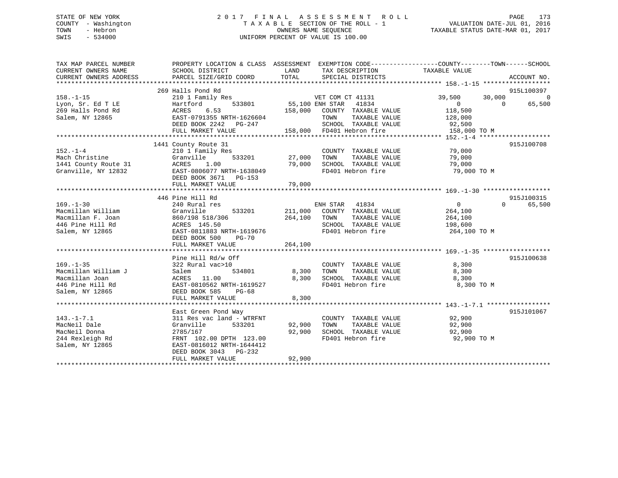# STATE OF NEW YORK 2 0 1 7 F I N A L A S S E S S M E N T R O L L PAGE 173 COUNTY - Washington T A X A B L E SECTION OF THE ROLL - 1 VALUATION DATE-JUL 01, 2016 TOWN - Hebron OWNERS NAME SEQUENCE TAXABLE STATUS DATE-MAR 01, 2017 SWIS - 534000 UNIFORM PERCENT OF VALUE IS 100.00

| TAX MAP PARCEL NUMBER<br>CURRENT OWNERS NAME<br>CURRENT OWNERS ADDRESS                                                                                                                                                                      | PROPERTY LOCATION & CLASS ASSESSMENT EXEMPTION CODE----------------COUNTY-------TOWN------SCHOOL<br>SCHOOL DISTRICT<br>PARCEL SIZE/GRID COORD TOTAL SPECIAL DISTRICTS                             | <b>LAND</b> | TAX DESCRIPTION TAXABLE VALUE                                                                                       |                                                     | ACCOUNT NO.                      |
|---------------------------------------------------------------------------------------------------------------------------------------------------------------------------------------------------------------------------------------------|---------------------------------------------------------------------------------------------------------------------------------------------------------------------------------------------------|-------------|---------------------------------------------------------------------------------------------------------------------|-----------------------------------------------------|----------------------------------|
| $158. - 1 - 15$                                                                                                                                                                                                                             | 269 Halls Pond Rd<br>210 1 Family Res                                                                                                                                                             |             |                                                                                                                     | 39,500                                              | 915L100397<br>30,000<br>$\Omega$ |
|                                                                                                                                                                                                                                             |                                                                                                                                                                                                   |             |                                                                                                                     | $\begin{smallmatrix}&&0\118\,,500\end{smallmatrix}$ | $\overline{0}$<br>65,500         |
| Salem, NY 12865                                                                                                                                                                                                                             | EAST-0791355 NRTH-1626604<br>FULL MARKET VALUE                                                                                                                                                    |             | TAXABLE VALUE 128,000<br>SCHOOL TAXABLE VALUE 92,500<br>FD401 Hebron fire 158,000 TO M<br>158,000 FD401 Hebron fire |                                                     |                                  |
|                                                                                                                                                                                                                                             |                                                                                                                                                                                                   |             |                                                                                                                     |                                                     |                                  |
| 152.-1-4<br>Mach Christine 210 1 Family Res<br>Mach Christine 210 1 Family Res<br>27,000 TOWN TAXABLE VALUE 79,000<br>27,000 TOWN TAXABLE VALUE 79,000<br>SCHOOL TAXABLE VALUE 79,000<br>SCHOOL TAXABLE VALUE 79,000<br>27,000 TOWN TAXABLE | 1441 County Route 31                                                                                                                                                                              |             |                                                                                                                     |                                                     | 915J100708                       |
|                                                                                                                                                                                                                                             | DEED BOOK 3671 PG-153                                                                                                                                                                             |             |                                                                                                                     |                                                     |                                  |
|                                                                                                                                                                                                                                             |                                                                                                                                                                                                   |             |                                                                                                                     |                                                     |                                  |
|                                                                                                                                                                                                                                             | 446 Pine Hill Rd                                                                                                                                                                                  |             |                                                                                                                     |                                                     | 915J100315                       |
| $169. - 1 - 30$<br>Macmillan William<br>Macmillan F. Joan<br>446 Pine Hill Rd<br>Salem, NY 12865                                                                                                                                            | 240 Rural res<br>Granville 533201 211,000 COOLLET TAXABLE VALUE<br>860/198 518/306 264,100 TOWN TAXABLE VALUE<br>ACRES 145.50 SCHOOL TAXABLE VALUE<br>EAST-0811883 NRTH-1619676 FD401 Hebron fire |             | ENH STAR 41834<br>533201 211,000 COUNTY TAXABLE VALUE 264,100<br>SCHOOL TAXABLE VALUE 198,600                       | $\overline{0}$<br>264,100<br>264,100 TO M           | $\Omega$<br>65,500               |
|                                                                                                                                                                                                                                             | FULL MARKET VALUE                                                                                                                                                                                 | 264,100     |                                                                                                                     |                                                     |                                  |
|                                                                                                                                                                                                                                             |                                                                                                                                                                                                   |             |                                                                                                                     |                                                     |                                  |
|                                                                                                                                                                                                                                             | Pine Hill Rd/w Off<br>FULL MARKET VALUE                                                                                                                                                           | 8,300       | COUNTY TAXABLE VALUE 8,300<br>FD401 Hebron fire 8,300 TO M                                                          |                                                     | 915J100638                       |
|                                                                                                                                                                                                                                             |                                                                                                                                                                                                   |             |                                                                                                                     |                                                     |                                  |
| $143. - 1 - 7.1$<br>MacNeil Dale<br>MacNeil Donna<br>244 Rexleigh Rd<br>Salem, NY 12865                                                                                                                                                     | East Green Pond Way<br>311 Res vac land - WTRFNT<br>Granville 533201 92,900 TOWN<br>2785/167 92,900 SCHOO<br>FRNT 102.00 DPTH 123.00 PD401<br>EAST-0816012 NRTH-1644412<br>DEED BOOK 3043 PG-232  |             | COUNTY TAXABLE VALUE 92,900<br>FD401 Hebron fire 92,900 TO M                                                        |                                                     | 915J101067                       |
|                                                                                                                                                                                                                                             | FULL MARKET VALUE                                                                                                                                                                                 | 92,900      |                                                                                                                     |                                                     |                                  |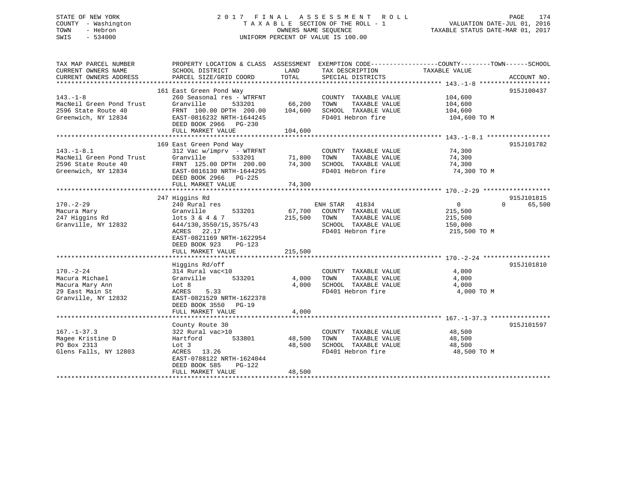# STATE OF NEW YORK 2 0 1 7 F I N A L A S S E S S M E N T R O L L PAGE 174 COUNTY - Washington T A X A B L E SECTION OF THE ROLL - 1 VALUATION DATE-JUL 01, 2016 TOWN - Hebron OWNERS NAME SEQUENCE TAXABLE STATUS DATE-MAR 01, 2017 SWIS - 534000 UNIFORM PERCENT OF VALUE IS 100.00

| TAX MAP PARCEL NUMBER<br>CURRENT OWNERS NAME<br>CURRENT OWNERS ADDRESS                         | PROPERTY LOCATION & CLASS ASSESSMENT<br>SCHOOL DISTRICT<br>PARCEL SIZE/GRID COORD                                                                                                                          | LAND<br>TOTAL                | EXEMPTION CODE-----------------COUNTY-------TOWN------SCHOOL<br>TAX DESCRIPTION<br>SPECIAL DISTRICTS         | TAXABLE VALUE                                                   | ACCOUNT NO.                      |
|------------------------------------------------------------------------------------------------|------------------------------------------------------------------------------------------------------------------------------------------------------------------------------------------------------------|------------------------------|--------------------------------------------------------------------------------------------------------------|-----------------------------------------------------------------|----------------------------------|
| $143. - 1 - 8$<br>MacNeil Green Pond Trust<br>2596 State Route 40<br>Greenwich, NY 12834       | 161 East Green Pond Way<br>260 Seasonal res - WTRFNT<br>Granville<br>533201<br>FRNT 100.00 DPTH 200.00<br>EAST-0816232 NRTH-1644245<br>DEED BOOK 2966 PG-230<br>FULL MARKET VALUE                          | 66,200<br>104,600<br>104,600 | COUNTY TAXABLE VALUE<br>TOWN<br>TAXABLE VALUE<br>SCHOOL TAXABLE VALUE<br>FD401 Hebron fire                   | 104,600<br>104,600<br>104,600<br>104,600 TO M                   | 915J100437                       |
| $143. - 1 - 8.1$<br>MacNeil Green Pond Trust<br>2596 State Route 40<br>Greenwich, NY 12834     | 169 East Green Pond Way<br>$312$ Vac w/imprv - WTRFNT<br>Granville<br>533201<br>FRNT 125.00 DPTH 200.00<br>EAST-0816130 NRTH-1644295<br>DEED BOOK 2966<br>PG-225<br>FULL MARKET VALUE                      | 71,800<br>74,300<br>74,300   | COUNTY TAXABLE VALUE<br>TOWN<br>TAXABLE VALUE<br>SCHOOL TAXABLE VALUE<br>FD401 Hebron fire                   | 74,300<br>74,300<br>74,300<br>74,300 TO M                       | 915J101782                       |
| $170. - 2 - 29$<br>Macura Mary<br>247 Higgins Rd<br>Granville, NY 12832                        | 247 Higgins Rd<br>240 Rural res<br>Granville<br>533201<br>lots $3 \& 4 \& 7$<br>644/130, 3550/15, 3575/43<br>22.17<br>ACRES<br>EAST-0821169 NRTH-1622954<br>DEED BOOK 923<br>$PG-123$<br>FULL MARKET VALUE | 67,700<br>215,500<br>215,500 | ENH STAR 41834<br>COUNTY TAXABLE VALUE<br>TAXABLE VALUE<br>TOWN<br>SCHOOL TAXABLE VALUE<br>FD401 Hebron fire | $\overline{0}$<br>215,500<br>215,500<br>150,000<br>215,500 TO M | 915J101815<br>65,500<br>$\Omega$ |
| $170. - 2 - 24$<br>Macura Michael<br>Macura Mary Ann<br>29 East Main St<br>Granville, NY 12832 | Higgins Rd/off<br>314 Rural vac<10<br>Granville<br>533201<br>Lot 8<br>5.33<br>ACRES<br>EAST-0821529 NRTH-1622378<br>DEED BOOK 3550<br>$PG-19$<br>FULL MARKET VALUE                                         | 4,000<br>4,000<br>4,000      | COUNTY TAXABLE VALUE<br>TAXABLE VALUE<br>TOWN<br>SCHOOL TAXABLE VALUE<br>FD401 Hebron fire                   | 4,000<br>4,000<br>4,000<br>4,000 TO M                           | 915J101810                       |
| $167. - 1 - 37.3$<br>Magee Kristine D<br>PO Box 2313<br>Glens Falls, NY 12803                  | County Route 30<br>322 Rural vac>10<br>533801<br>Hartford<br>Lot 3<br>13.26<br>ACRES<br>EAST-0788122 NRTH-1624044<br>DEED BOOK 585<br>PG-122<br>FULL MARKET VALUE                                          | 48,500<br>48,500<br>48,500   | COUNTY TAXABLE VALUE<br>TAXABLE VALUE<br>TOWN<br>SCHOOL TAXABLE VALUE<br>FD401 Hebron fire                   | 48,500<br>48,500<br>48,500<br>48,500 TO M                       | 915J101597                       |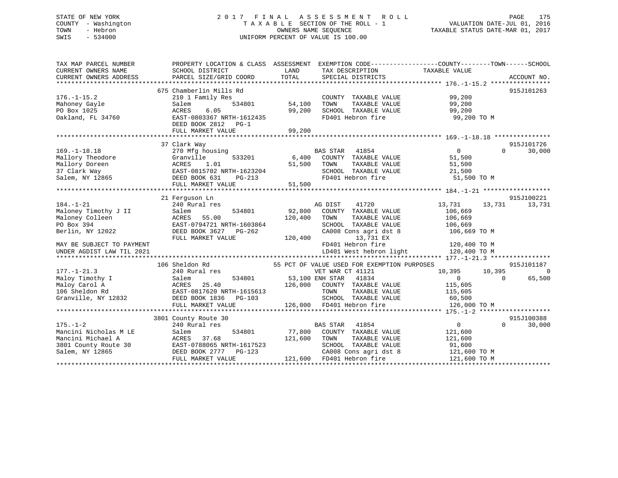# STATE OF NEW YORK 2 0 1 7 F I N A L A S S E S S M E N T R O L L PAGE 175 COUNTY - Washington T A X A B L E SECTION OF THE ROLL - 1 VALUATION DATE-JUL 01, 2016 TOWN - Hebron OWNERS NAME SEQUENCE TAXABLE STATUS DATE-MAR 01, 2017 SWIS - 534000 UNIFORM PERCENT OF VALUE IS 100.00

| TAX MAP PARCEL NUMBER<br>CURRENT OWNERS NAME<br>CURRENT OWNERS ADDRESS | PROPERTY LOCATION & CLASS ASSESSMENT EXEMPTION CODE---------------COUNTY-------TOWN-----SCHOOL<br>SCHOOL DISTRICT<br>PARCEL SIZE/GRID COORD | LAND<br>TOTAL | TAX DESCRIPTION<br>SPECIAL DISTRICTS        | TAXABLE VALUE  |          | ACCOUNT NO. |
|------------------------------------------------------------------------|---------------------------------------------------------------------------------------------------------------------------------------------|---------------|---------------------------------------------|----------------|----------|-------------|
|                                                                        |                                                                                                                                             |               |                                             |                |          |             |
|                                                                        | 675 Chamberlin Mills Rd                                                                                                                     |               |                                             |                |          | 915J101263  |
| $176. - 1 - 15.2$                                                      | 210 1 Family Res                                                                                                                            |               | COUNTY TAXABLE VALUE                        | 99,200         |          |             |
| Mahoney Gayle                                                          | 534801<br>Salem                                                                                                                             | 54,100        | TAXABLE VALUE<br>TOWN                       | 99,200         |          |             |
| PO Box 1025                                                            | ACRES<br>6.05                                                                                                                               | 99,200        | SCHOOL TAXABLE VALUE                        | 99,200         |          |             |
| Oakland, FL 34760                                                      | EAST-0803367 NRTH-1612435                                                                                                                   |               | FD401 Hebron fire                           | 99,200 TO M    |          |             |
|                                                                        | DEED BOOK 2812 PG-1                                                                                                                         |               |                                             |                |          |             |
|                                                                        | FULL MARKET VALUE                                                                                                                           | 99,200        |                                             |                |          |             |
|                                                                        |                                                                                                                                             |               |                                             |                |          |             |
|                                                                        | 37 Clark Way                                                                                                                                |               |                                             |                |          | 915J101726  |
| $169. - 1 - 18.18$                                                     | 270 Mfg housing                                                                                                                             |               | <b>BAS STAR</b><br>41854                    | $\overline{0}$ | $\Omega$ | 30,000      |
| Mallory Theodore                                                       | 533201<br>Granville                                                                                                                         |               | 6,400 COUNTY TAXABLE VALUE                  | 51,500         |          |             |
| Mallory Doreen                                                         | 1.01<br>ACRES                                                                                                                               | 51,500        | TOWN<br>TAXABLE VALUE                       | 51,500         |          |             |
| 37 Clark Way                                                           | EAST-0815702 NRTH-1623204                                                                                                                   |               | SCHOOL TAXABLE VALUE                        | 21,500         |          |             |
| Salem, NY 12865                                                        | DEED BOOK 631<br>$PG-213$                                                                                                                   |               | FD401 Hebron fire                           | 51,500 TO M    |          |             |
|                                                                        | FULL MARKET VALUE                                                                                                                           | 51,500        |                                             |                |          |             |
|                                                                        |                                                                                                                                             |               |                                             |                |          |             |
|                                                                        | 21 Ferguson Ln                                                                                                                              |               |                                             |                |          | 915J100221  |
| $184. - 1 - 21$                                                        | 240 Rural res                                                                                                                               |               | 41720<br>AG DIST                            | 13,731         | 13,731   | 13,731      |
| Maloney Timothy J II                                                   | 534801<br>Salem                                                                                                                             | 92,800        | COUNTY TAXABLE VALUE                        | 106,669        |          |             |
| Maloney Colleen                                                        | ACRES<br>55.00                                                                                                                              | 120,400       | TAXABLE VALUE<br>TOWN                       | 106,669        |          |             |
| PO Box 394                                                             | EAST-0794721 NRTH-1603864                                                                                                                   |               | SCHOOL TAXABLE VALUE                        | 106,669        |          |             |
| Berlin, NY 12022                                                       | DEED BOOK 3627 PG-262                                                                                                                       |               | CA008 Cons agri dst 8                       | 106,669 TO M   |          |             |
|                                                                        | FULL MARKET VALUE                                                                                                                           | 120,400       | 13,731 EX                                   |                |          |             |
| MAY BE SUBJECT TO PAYMENT                                              |                                                                                                                                             |               | FD401 Hebron fire                           | 120,400 TO M   |          |             |
| UNDER AGDIST LAW TIL 2021                                              |                                                                                                                                             |               | LD401 West hebron light                     | 120,400 TO M   |          |             |
|                                                                        |                                                                                                                                             |               |                                             |                |          |             |
|                                                                        | 106 Sheldon Rd                                                                                                                              |               | 55 PCT OF VALUE USED FOR EXEMPTION PURPOSES |                |          | 915J101187  |
| $177. - 1 - 21.3$                                                      | 240 Rural res                                                                                                                               |               | VET WAR CT 41121                            | 10,395         | 10,395   | $\Omega$    |
| Maloy Timothy I                                                        | Salem                                                                                                                                       |               | 534801 53,100 ENH STAR 41834                | $\overline{0}$ | $\Omega$ | 65,500      |
| Maloy Carol A                                                          | 25.40<br>ACRES                                                                                                                              | 126,000       | COUNTY TAXABLE VALUE                        | 115,605        |          |             |
| 106 Sheldon Rd                                                         | EAST-0817620 NRTH-1615613                                                                                                                   |               | TAXABLE VALUE<br>TOWN                       | 115,605        |          |             |
| Granville, NY 12832                                                    | DEED BOOK 1836<br>PG-103                                                                                                                    |               | SCHOOL TAXABLE VALUE                        | 60,500         |          |             |
|                                                                        | FULL MARKET VALUE                                                                                                                           |               | 126,000 FD401 Hebron fire                   | 126,000 TO M   |          |             |
|                                                                        |                                                                                                                                             |               |                                             |                |          |             |
|                                                                        | 3801 County Route 30                                                                                                                        |               |                                             |                |          | 915J100388  |
| $175. - 1 - 2$                                                         | 240 Rural res                                                                                                                               |               | BAS STAR 41854                              | $\overline{0}$ | $\Omega$ | 30,000      |
| Mancini Nicholas M LE                                                  | 534801<br>Salem                                                                                                                             | 77,800        | COUNTY TAXABLE VALUE                        | 121,600        |          |             |
| Mancini Michael A                                                      | ACRES<br>37.68                                                                                                                              | 121,600       | TOWN<br>TAXABLE VALUE                       | 121,600        |          |             |
| 3801 County Route 30                                                   | EAST-0788065 NRTH-1617523                                                                                                                   |               | SCHOOL TAXABLE VALUE                        | 91,600         |          |             |
| Salem, NY 12865                                                        | DEED BOOK 2777 PG-123                                                                                                                       |               | CA008 Cons agri dst 8                       | 121,600 TO M   |          |             |
|                                                                        |                                                                                                                                             |               | 121,600 FD401 Hebron fire                   |                |          |             |
|                                                                        | FULL MARKET VALUE                                                                                                                           |               |                                             | 121,600 TO M   |          |             |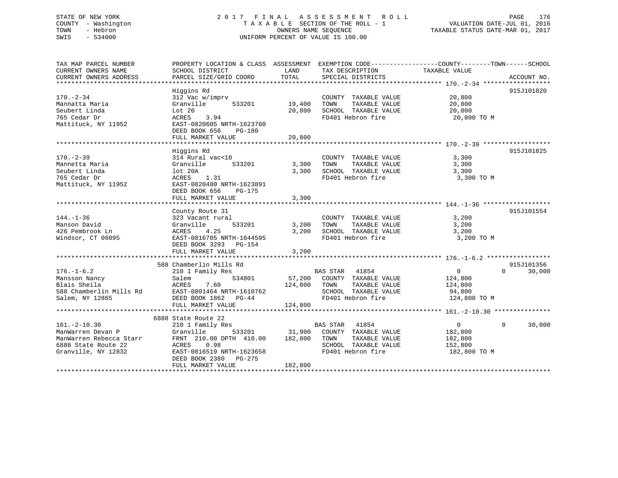# STATE OF NEW YORK 2 0 1 7 F I N A L A S S E S S M E N T R O L L PAGE 176 COUNTY - Washington T A X A B L E SECTION OF THE ROLL - 1 VALUATION DATE-JUL 01, 2016 TOWN - Hebron OWNERS NAME SEQUENCE TAXABLE STATUS DATE-MAR 01, 2017 SWIS - 534000 UNIFORM PERCENT OF VALUE IS 100.00

| TAX MAP PARCEL NUMBER<br>CURRENT OWNERS NAME<br>CURRENT OWNERS ADDRESS                                           | PROPERTY LOCATION & CLASS ASSESSMENT<br>SCHOOL DISTRICT<br>PARCEL SIZE/GRID COORD                                                                                                     | LAND<br>TOTAL                            | TAX DESCRIPTION TAXABLE VALUE<br>SPECIAL DISTRICTS                                                                  | EXEMPTION CODE-----------------COUNTY-------TOWN------SCHOOL               | ACCOUNT NO.          |
|------------------------------------------------------------------------------------------------------------------|---------------------------------------------------------------------------------------------------------------------------------------------------------------------------------------|------------------------------------------|---------------------------------------------------------------------------------------------------------------------|----------------------------------------------------------------------------|----------------------|
| $170. - 2 - 34$<br>Mannatta Maria<br>Seubert Linda<br>765 Cedar Dr<br>Mattituck, NY 11952                        | Higgins Rd<br>312 Vac w/imprv<br>Granville<br>533201<br>Lot 20<br>3.94<br>ACRES<br>EAST-0820605 NRTH-1623700<br>DEED BOOK 656<br>PG-180<br>FULL MARKET VALUE                          | 19,400<br>20,800<br>20,800               | COUNTY TAXABLE VALUE<br>TOWN<br>TAXABLE VALUE<br>SCHOOL TAXABLE VALUE<br>FD401 Hebron fire                          | 20,800<br>20,800<br>20,800<br>20,800 TO M                                  | 915J101820           |
| $170. - 2 - 39$<br>Mannetta Maria<br>Seubert Linda<br>765 Cedar Dr<br>Mattituck, NY 11952                        | Higgins Rd<br>314 Rural vac<10<br>533201<br>Granville<br>lot 20A<br>ACRES<br>1.31<br>EAST-0820480 NRTH-1623891<br>DEED BOOK 656<br>$PG-175$<br>FULL MARKET VALUE                      | 3,300<br>3,300<br>3,300                  | COUNTY TAXABLE VALUE<br>TAXABLE VALUE<br>TOWN<br>SCHOOL TAXABLE VALUE<br>FD401 Hebron fire                          | 3,300<br>3,300<br>3,300<br>3,300 TO M                                      | 915J101825           |
| $144. - 1 - 36$<br>Manson David<br>426 Pembrook Ln<br>Windsor, CT 06095                                          | County Route 31<br>323 Vacant rural<br>533201<br>Granville<br>4.25<br>ACRES<br>EAST-0816705 NRTH-1644595<br>DEED BOOK 3293 PG-154<br>FULL MARKET VALUE<br>**********************      | 3,200<br>3,200<br>3,200<br>************* | COUNTY TAXABLE VALUE<br>TAXABLE VALUE<br>TOWN<br>SCHOOL TAXABLE VALUE<br>FD401 Hebron fire                          | 3,200<br>3,200<br>3,200<br>3,200 TO M                                      | 915J101554           |
| $176. - 1 - 6.2$<br>Mansson Nancy<br>Blais Sheila<br>588 Chamberlin Mills Rd<br>Salem, NY 12865                  | 588 Chamberlin Mills Rd<br>210 1 Family Res<br>534801<br>Salem<br>ACRES<br>7.60<br>EAST-0801464 NRTH-1610762<br>DEED BOOK 1862 PG-44<br>FULL MARKET VALUE                             | 124,800<br>124,800                       | BAS STAR 41854<br>57,200 COUNTY TAXABLE VALUE<br>TOWN<br>TAXABLE VALUE<br>SCHOOL TAXABLE VALUE<br>FD401 Hebron fire | $\overline{0}$<br>$\Omega$<br>124,800<br>124,800<br>94,800<br>124,800 TO M | 915J101356<br>30,000 |
| $161. - 2 - 10.30$<br>ManWarren Devan P<br>ManWarren Rebecca Starr<br>6888 State Route 22<br>Granville, NY 12832 | 6888 State Route 22<br>210 1 Family Res<br>Granville<br>533201<br>FRNT 210.00 DPTH 410.00<br>ACRES 0.98<br>EAST-0816519 NRTH-1623658<br>DEED BOOK 2380<br>PG-275<br>FULL MARKET VALUE | 31,900<br>182,800<br>182,800             | BAS STAR<br>41854<br>COUNTY TAXABLE VALUE<br>TOWN<br>TAXABLE VALUE<br>SCHOOL TAXABLE VALUE<br>FD401 Hebron fire     | $\Omega$<br>$\Omega$<br>182,800<br>182,800<br>152,800<br>182,800 TO M      | 30,000               |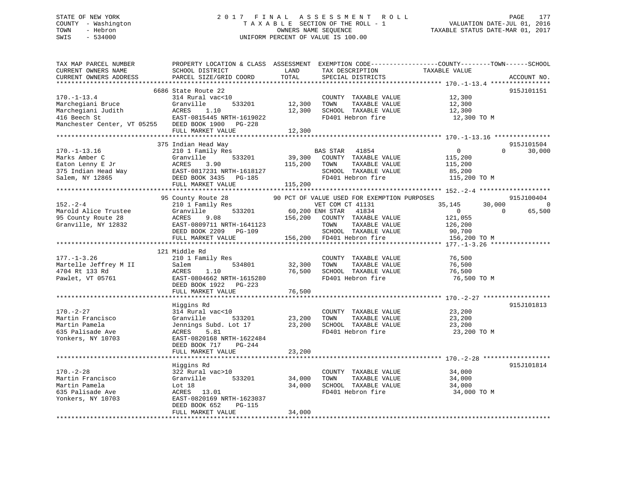# STATE OF NEW YORK 2 0 1 7 F I N A L A S S E S S M E N T R O L L PAGE 177 COUNTY - Washington T A X A B L E SECTION OF THE ROLL - 1 VALUATION DATE-JUL 01, 2016 TOWN - Hebron OWNERS NAME SEQUENCE TAXABLE STATUS DATE-MAR 01, 2017 SWIS - 534000 UNIFORM PERCENT OF VALUE IS 100.00UNIFORM PERCENT OF VALUE IS 100.00

| TAX MAP PARCEL NUMBER<br>CURRENT OWNERS NAME<br>CURRENT OWNERS ADDRESS                                                            | SCHOOL DISTRICT<br>PARCEL SIZE/GRID COORD                                                                                                                        | LAND<br>TOTAL                | TAX DESCRIPTION<br>SPECIAL DISTRICTS                                                                                                            | PROPERTY LOCATION & CLASS ASSESSMENT EXEMPTION CODE---------------COUNTY-------TOWN------SCHOOL<br>TAXABLE VALUE | ACCOUNT NO.                      |
|-----------------------------------------------------------------------------------------------------------------------------------|------------------------------------------------------------------------------------------------------------------------------------------------------------------|------------------------------|-------------------------------------------------------------------------------------------------------------------------------------------------|------------------------------------------------------------------------------------------------------------------|----------------------------------|
|                                                                                                                                   |                                                                                                                                                                  |                              |                                                                                                                                                 |                                                                                                                  |                                  |
| $170. - 1 - 13.4$<br>Marchegiani Bruce<br>Marchegiani Judith<br>416 Beech St<br>Manchester Center, VT 05255 DEED BOOK 1900 PG-228 | 6686 State Route 22<br>314 Rural vac<10<br>533201<br>Granville<br>ACRES<br>1.10<br>EAST-0815445 NRTH-1619022                                                     | 12,300<br>12,300             | COUNTY TAXABLE VALUE<br>TOWN<br>TAXABLE VALUE<br>SCHOOL TAXABLE VALUE<br>FD401 Hebron fire                                                      | 12,300<br>12,300<br>12,300<br>12,300 TO M                                                                        | 915J101151                       |
|                                                                                                                                   | FULL MARKET VALUE                                                                                                                                                | 12,300                       |                                                                                                                                                 |                                                                                                                  |                                  |
|                                                                                                                                   |                                                                                                                                                                  |                              |                                                                                                                                                 |                                                                                                                  |                                  |
| $170. - 1 - 13.16$<br>Marks Amber C<br>Eaton Lenny E Jr<br>375 Indian Head Way<br>Salem, NY 12865                                 | 375 Indian Head Way<br>210 1 Family Res<br>533201<br>Granville<br>ACRES<br>3.90<br>EAST-0817231 NRTH-1618127<br>DEED BOOK 3435 PG-185<br>FULL MARKET VALUE       | 39,300<br>115,200<br>115,200 | <b>BAS STAR</b><br>41854<br>COUNTY TAXABLE VALUE<br>TOWN<br>TAXABLE VALUE<br>SCHOOL TAXABLE VALUE<br>FD401 Hebron fire                          | $\overline{0}$<br>115,200<br>115,200<br>85,200<br>115,200 TO M                                                   | 915J101504<br>$\Omega$<br>30,000 |
|                                                                                                                                   |                                                                                                                                                                  |                              |                                                                                                                                                 |                                                                                                                  |                                  |
| $152 - 2 - 4$                                                                                                                     | 95 County Route 28<br>210 1 Family Res                                                                                                                           |                              | 90 PCT OF VALUE USED FOR EXEMPTION PURPOSES                                                                                                     | 30,000<br>35,145                                                                                                 | 915J100404<br>$\Omega$           |
| Marold Alice Trustee<br>95 County Route 28<br>Granville, NY 12832                                                                 | 533201<br>Granville<br>ACRES<br>9.08<br>EAST-0809711 NRTH-1641123<br>DEED BOOK 2209 PG-109<br>FULL MARKET VALUE                                                  | 156,200                      | VET COM CT 41131<br>60,200 ENH STAR 41834<br>COUNTY TAXABLE VALUE<br>TAXABLE VALUE<br>TOWN<br>SCHOOL TAXABLE VALUE<br>156,200 FD401 Hebron fire | $\overline{0}$<br>121,055<br>126,200<br>90,700<br>156,200 TO M                                                   | $\Omega$<br>65,500               |
|                                                                                                                                   |                                                                                                                                                                  |                              |                                                                                                                                                 |                                                                                                                  |                                  |
| $177. - 1 - 3.26$<br>Martelle Jeffrey M II<br>4704 Rt 133 Rd<br>Pawlet, VT 05761                                                  | 121 Middle Rd<br>210 1 Family Res<br>534801<br>Salem<br>ACRES<br>1.10<br>EAST-0804662 NRTH-1615280<br>DEED BOOK 1922 PG-223                                      | 32,300<br>76,500             | COUNTY TAXABLE VALUE<br>TOWN<br>TAXABLE VALUE<br>SCHOOL TAXABLE VALUE<br>FD401 Hebron fire                                                      | 76,500<br>76,500<br>76,500<br>76,500 TO M                                                                        |                                  |
|                                                                                                                                   | FULL MARKET VALUE                                                                                                                                                | 76,500                       |                                                                                                                                                 |                                                                                                                  |                                  |
|                                                                                                                                   | Higgins Rd                                                                                                                                                       |                              |                                                                                                                                                 |                                                                                                                  | 915J101813                       |
| $170. - 2 - 27$<br>Martin Francisco<br>Martin Pamela<br>635 Palisade Ave<br>Yonkers, NY 10703                                     | 314 Rural vac<10<br>Granville<br>533201<br>Jennings Subd. Lot 17<br>ACRES<br>5.81<br>EAST-0820168 NRTH-1622484<br>$PG-244$<br>DEED BOOK 717<br>FULL MARKET VALUE | 23,200<br>23,200<br>23,200   | COUNTY TAXABLE VALUE<br>TOWN<br>TAXABLE VALUE<br>SCHOOL TAXABLE VALUE<br>FD401 Hebron fire                                                      | 23,200<br>23,200<br>23,200<br>23,200 TO M                                                                        |                                  |
|                                                                                                                                   |                                                                                                                                                                  |                              |                                                                                                                                                 |                                                                                                                  |                                  |
|                                                                                                                                   | Higgins Rd                                                                                                                                                       |                              |                                                                                                                                                 |                                                                                                                  | 915J101814                       |
| $170. - 2 - 28$<br>Martin Francisco<br>Martin Pamela<br>635 Palisade Ave<br>Yonkers, NY 10703                                     | 322 Rural vac>10<br>Granville<br>533201<br>Lot 18<br>ACRES 13.01<br>EAST-0820169 NRTH-1623037<br>DEED BOOK 652<br>PG-115                                         | 34,000<br>34,000             | COUNTY TAXABLE VALUE<br>TOWN<br>TAXABLE VALUE<br>SCHOOL TAXABLE VALUE<br>FD401 Hebron fire                                                      | 34,000<br>34,000<br>34,000<br>34,000 TO M                                                                        |                                  |
|                                                                                                                                   | FULL MARKET VALUE                                                                                                                                                | 34,000                       |                                                                                                                                                 |                                                                                                                  |                                  |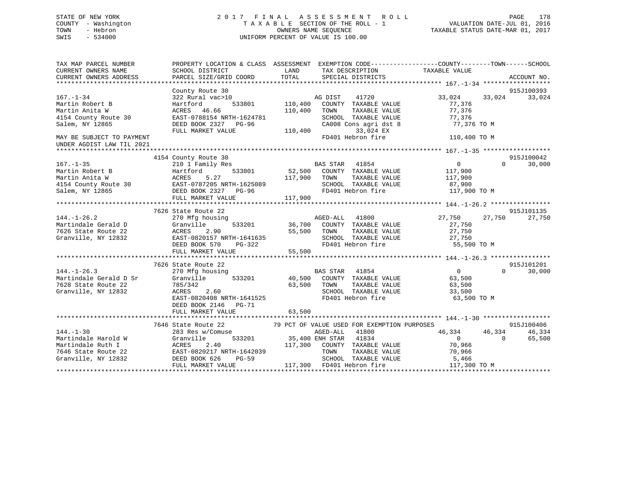# STATE OF NEW YORK 2 0 1 7 F I N A L A S S E S S M E N T R O L L PAGE 178 COUNTY - Washington T A X A B L E SECTION OF THE ROLL - 1 VALUATION DATE-JUL 01, 2016 TOWN - Hebron OWNERS NAME SEQUENCE TAXABLE STATUS DATE-MAR 01, 2017 SWIS - 534000 UNIFORM PERCENT OF VALUE IS 100.00

| TAX MAP PARCEL NUMBER<br>CURRENT OWNERS NAME<br>CURRENT OWNERS ADDRESS | SCHOOL DISTRICT<br>PARCEL SIZE/GRID COORD | PROPERTY LOCATION & CLASS ASSESSMENT EXEMPTION CODE----------------COUNTY-------TOWN-----SCHOOL<br>LAND<br>TAX DESCRIPTION<br>TOTAL<br>SPECIAL DISTRICTS | TAXABLE VALUE     | ACCOUNT NO.        |
|------------------------------------------------------------------------|-------------------------------------------|----------------------------------------------------------------------------------------------------------------------------------------------------------|-------------------|--------------------|
|                                                                        |                                           |                                                                                                                                                          |                   |                    |
|                                                                        | County Route 30                           |                                                                                                                                                          |                   | 915J100393         |
| $167. - 1 - 34$                                                        | 322 Rural vac>10                          | AG DIST<br>41720                                                                                                                                         | 33,024            | 33,024<br>33,024   |
| Martin Robert B                                                        | 533801<br>Hartford                        | 110,400<br>COUNTY TAXABLE VALUE                                                                                                                          | 77,376            |                    |
| Martin Anita W                                                         | ACRES 46.66                               | 110,400<br>TOWN<br>TAXABLE VALUE                                                                                                                         | 77,376            |                    |
| 4154 County Route 30                                                   | EAST-0788154 NRTH-1624781                 | SCHOOL TAXABLE VALUE                                                                                                                                     | 77,376            |                    |
| Salem, NY 12865                                                        | DEED BOOK 2327 PG-96                      | CA008 Cons agri dst 8                                                                                                                                    | 77,376 TO M       |                    |
|                                                                        | FULL MARKET VALUE                         | 33,024 EX<br>110,400                                                                                                                                     |                   |                    |
| MAY BE SUBJECT TO PAYMENT                                              |                                           | FD401 Hebron fire                                                                                                                                        | 110,400 TO M      |                    |
| UNDER AGDIST LAW TIL 2021                                              |                                           |                                                                                                                                                          |                   |                    |
|                                                                        |                                           |                                                                                                                                                          |                   |                    |
|                                                                        | 4154 County Route 30                      |                                                                                                                                                          |                   | 915J100042         |
| $167. - 1 - 35$                                                        | 210 1 Family Res                          | <b>BAS STAR</b> 41854                                                                                                                                    | $0 \qquad \qquad$ | 30,000<br>$\Omega$ |
| Martin Robert B                                                        | 533801<br>Hartford                        | 52,500 COUNTY TAXABLE VALUE                                                                                                                              | 117,900           |                    |
| Martin Anita W                                                         | 5.27<br>ACRES                             | 117,900 TOWN<br>TAXABLE VALUE                                                                                                                            | 117,900           |                    |
| 4154 County Route 30                                                   | EAST-0787205 NRTH-1625089                 | SCHOOL TAXABLE VALUE                                                                                                                                     | 87,900            |                    |
| Salem, NY 12865                                                        | DEED BOOK 2327 PG-96                      | FD401 Hebron fire                                                                                                                                        | 117,900 TO M      |                    |
|                                                                        | FULL MARKET VALUE                         | 117,900                                                                                                                                                  |                   |                    |
|                                                                        |                                           |                                                                                                                                                          |                   |                    |
|                                                                        | 7626 State Route 22                       |                                                                                                                                                          |                   | 915J101135         |
| $144. - 1 - 26.2$                                                      | 270 Mfg housing                           | AGED-ALL 41800                                                                                                                                           | 27,750            | 27,750<br>27,750   |
| Martindale Gerald D                                                    | Granville                                 | 533201 36,700<br>COUNTY TAXABLE VALUE                                                                                                                    | 27,750            |                    |
| 7626 State Route 22                                                    | ACRES<br>2.90                             | 55,500<br>TOWN<br>TAXABLE VALUE                                                                                                                          | 27,750            |                    |
| Granville, NY 12832                                                    | EAST-0820157 NRTH-1641635                 | SCHOOL TAXABLE VALUE                                                                                                                                     | 27,750            |                    |
|                                                                        | DEED BOOK 570<br>PG-322                   | FD401 Hebron fire                                                                                                                                        | 55,500 TO M       |                    |
|                                                                        | FULL MARKET VALUE                         | 55,500                                                                                                                                                   |                   |                    |
|                                                                        |                                           |                                                                                                                                                          |                   |                    |
|                                                                        | 7626 State Route 22                       |                                                                                                                                                          |                   | 915J101201         |
| $144. - 1 - 26.3$                                                      | 270 Mfg housing                           | BAS STAR 41854                                                                                                                                           | $\overline{0}$    | $\Omega$<br>30,000 |
| Martindale Gerald D Sr                                                 | 533201<br>Granville                       | 40,500 COUNTY TAXABLE VALUE                                                                                                                              | 63,500            |                    |
| 7628 State Route 22                                                    | 785/342                                   | 63,500 TOWN<br>TAXABLE VALUE                                                                                                                             | 63,500            |                    |
| Granville, NY 12832                                                    | 2.60<br>ACRES                             | SCHOOL TAXABLE VALUE                                                                                                                                     | 33,500            |                    |
|                                                                        | EAST-0820408 NRTH-1641525                 | FD401 Hebron fire                                                                                                                                        | 63,500 TO M       |                    |
|                                                                        | DEED BOOK 2146 PG-71                      |                                                                                                                                                          |                   |                    |
|                                                                        | FULL MARKET VALUE                         | 63,500                                                                                                                                                   |                   |                    |
|                                                                        |                                           |                                                                                                                                                          |                   |                    |
|                                                                        | 7646 State Route 22                       | 79 PCT OF VALUE USED FOR EXEMPTION PURPOSES                                                                                                              |                   | 915J100406         |
| $144. - 1 - 30$                                                        | 283 Res w/Comuse                          | AGED-ALL<br>41800                                                                                                                                        | 46,334            | 46,334<br>46,334   |
| Martindale Harold W                                                    | Granville                                 | 533201 35,400 ENH STAR<br>41834                                                                                                                          | $\Omega$          | 65,500<br>$\Omega$ |
| Martindale Ruth I                                                      | 2.40<br>ACRES                             | 117,300 COUNTY TAXABLE VALUE                                                                                                                             | 70,966            |                    |
| 7646 State Route 22                                                    | EAST-0820217 NRTH-1642039                 | TOWN<br>TAXABLE VALUE                                                                                                                                    | 70,966            |                    |
| Granville, NY 12832                                                    | DEED BOOK 626<br>$PG-59$                  | SCHOOL TAXABLE VALUE                                                                                                                                     | 5,466             |                    |
|                                                                        | FULL MARKET VALUE                         | 117,300 FD401 Hebron fire                                                                                                                                | 117,300 TO M      |                    |
|                                                                        |                                           |                                                                                                                                                          |                   |                    |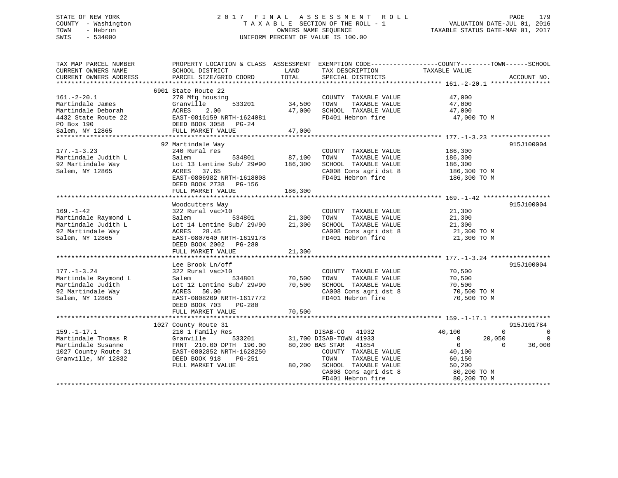# STATE OF NEW YORK 2 0 1 7 F I N A L A S S E S S M E N T R O L L PAGE 179 COUNTY - Washington T A X A B L E SECTION OF THE ROLL - 1 VALUATION DATE-JUL 01, 2016 TOWN - Hebron OWNERS NAME SEQUENCE TAXABLE STATUS DATE-MAR 01, 2017 SWIS - 534000 UNIFORM PERCENT OF VALUE IS 100.00

| TAX MAP PARCEL NUMBER<br>CURRENT OWNERS NAME<br>CURRENT OWNERS ADDRESS                                        | SCHOOL DISTRICT<br>PARCEL SIZE/GRID COORD                                                                                                                                           | LAND<br>TOTAL                | TAX DESCRIPTION<br>SPECIAL DISTRICTS                                                                                                                                                            | PROPERTY LOCATION & CLASS ASSESSMENT EXEMPTION CODE---------------COUNTY-------TOWN-----SCHOOL<br>TAXABLE VALUE                          | ACCOUNT NO.                                        |
|---------------------------------------------------------------------------------------------------------------|-------------------------------------------------------------------------------------------------------------------------------------------------------------------------------------|------------------------------|-------------------------------------------------------------------------------------------------------------------------------------------------------------------------------------------------|------------------------------------------------------------------------------------------------------------------------------------------|----------------------------------------------------|
| $161.-2-20.1$<br>Martindale James<br>Martindale Deborah<br>4432 State Route 22<br>PO Box 190                  | 6901 State Route 22<br>270 Mfg housing<br>Granville<br>533201<br>ACRES<br>2.00<br>EAST-0816159 NRTH-1624081<br>DEED BOOK 3058 PG-24                                                 | 34,500<br>47,000             | COUNTY TAXABLE VALUE<br>TOWN<br>TAXABLE VALUE<br>SCHOOL TAXABLE VALUE<br>FD401 Hebron fire                                                                                                      | 47,000<br>47,000<br>47,000<br>47,000 TO M                                                                                                |                                                    |
| Salem, NY 12865                                                                                               | FULL MARKET VALUE                                                                                                                                                                   | 47,000                       |                                                                                                                                                                                                 |                                                                                                                                          |                                                    |
| $177. - 1 - 3.23$<br>Martindale Judith L<br>92 Martindale Way<br>Salem, NY 12865                              | 92 Martindale Way<br>240 Rural res<br>534801<br>Salem<br>Lot 13 Lentine Sub/ 29#90<br>ACRES<br>37.65<br>EAST-0806982 NRTH-1618008<br>DEED BOOK 2738 PG-156<br>FULL MARKET VALUE     | 87,100<br>186,300<br>186,300 | COUNTY TAXABLE VALUE<br>TAXABLE VALUE<br>TOWN<br>SCHOOL TAXABLE VALUE<br>CA008 Cons agri dst 8<br>FD401 Hebron fire                                                                             | 186,300<br>186,300<br>186,300<br>186,300 TO M<br>186,300 TO M                                                                            | 915J100004                                         |
| $169. - 1 - 42$<br>Martindale Raymond L<br>Martindale Judith L<br>92 Martindale Way<br>Salem, NY 12865        | Woodcutters Way<br>322 Rural vac>10<br>Salem<br>534801<br>Lot 14 Lentine Sub/ 29#90<br>28.45<br>ACRES<br>EAST-0807640 NRTH-1619178<br>DEED BOOK 2002<br>PG-280<br>FULL MARKET VALUE | 21,300<br>21,300<br>21,300   | COUNTY TAXABLE VALUE<br>TAXABLE VALUE<br>TOWN<br>SCHOOL TAXABLE VALUE<br>CA008 Cons agri dst 8<br>FD401 Hebron fire                                                                             | 21,300<br>21,300<br>21,300<br>21,300 TO M<br>21,300 TO M                                                                                 | 915J100004                                         |
| $177. - 1 - 3.24$<br>Martindale Raymond L<br>Martindale Judith<br>92 Martindale Way<br>Salem, NY 12865        | Lee Brook Ln/off<br>322 Rural vac>10<br>534801<br>Salem<br>Lot 12 Lentine Sub/ 29#90<br>ACRES<br>50.00<br>EAST-0808209 NRTH-1617772<br>DEED BOOK 703<br>PG-280<br>FULL MARKET VALUE | 70,500<br>70,500<br>70,500   | COUNTY TAXABLE VALUE<br>TOWN<br>TAXABLE VALUE<br>SCHOOL TAXABLE VALUE<br>CA008 Cons agri dst 8<br>FD401 Hebron fire                                                                             | 70,500<br>70,500<br>70,500<br>70,500 TO M<br>70,500 TO M                                                                                 | 915J100004                                         |
|                                                                                                               |                                                                                                                                                                                     |                              |                                                                                                                                                                                                 |                                                                                                                                          |                                                    |
| $159. - 1 - 17.1$<br>Martindale Thomas R<br>Martindale Susanne<br>1027 County Route 31<br>Granville, NY 12832 | 1027 County Route 31<br>210 1 Family Res<br>Granville<br>533201<br>FRNT 210.00 DPTH 190.00<br>EAST-0802852 NRTH-1628250<br>DEED BOOK 918<br>PG-251<br>FULL MARKET VALUE             | 80,200                       | DISAB-CO<br>41932<br>31,700 DISAB-TOWN 41933<br>80,200 BAS STAR<br>41854<br>COUNTY TAXABLE VALUE<br>TOWN<br>TAXABLE VALUE<br>SCHOOL TAXABLE VALUE<br>CA008 Cons agri dst 8<br>FD401 Hebron fire | 40,100<br>$\Omega$<br>$\overline{0}$<br>20,050<br>$\overline{0}$<br>$\Omega$<br>40,100<br>60,150<br>50,200<br>80,200 TO M<br>80,200 TO M | 915J101784<br>$\mathbf 0$<br>$\mathbf 0$<br>30,000 |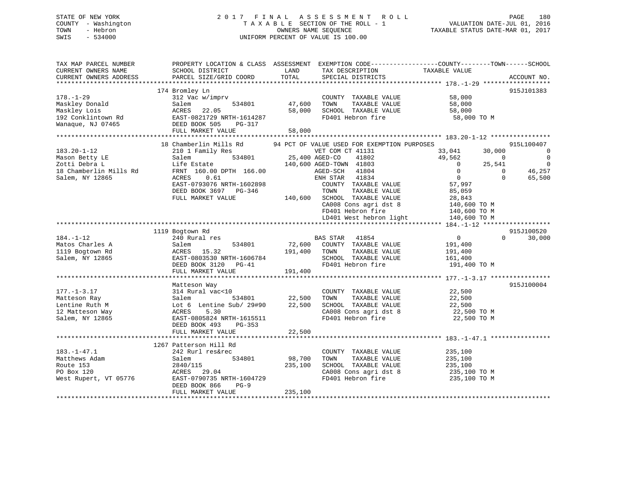# STATE OF NEW YORK 2 0 1 7 F I N A L A S S E S S M E N T R O L L PAGE 180 COUNTY - Washington T A X A B L E SECTION OF THE ROLL - 1 VALUATION DATE-JUL 01, 2016 TOWN - Hebron OWNERS NAME SEQUENCE TAXABLE STATUS DATE-MAR 01, 2017 SWIS - 534000 UNIFORM PERCENT OF VALUE IS 100.00

| TAX MAP PARCEL NUMBER<br>CURRENT OWNERS NAME<br>CURRENT OWNERS ADDRESS                            | PROPERTY LOCATION & CLASS ASSESSMENT EXEMPTION CODE---------------COUNTY-------TOWN------SCHOOL<br>SCHOOL DISTRICT<br>PARCEL SIZE/GRID COORD                          | LAND<br>TOTAL                | TAX DESCRIPTION<br>SPECIAL DISTRICTS                                                                                                               | TAXABLE VALUE                                                                                                                                        | ACCOUNT NO.                                                                      |
|---------------------------------------------------------------------------------------------------|-----------------------------------------------------------------------------------------------------------------------------------------------------------------------|------------------------------|----------------------------------------------------------------------------------------------------------------------------------------------------|------------------------------------------------------------------------------------------------------------------------------------------------------|----------------------------------------------------------------------------------|
|                                                                                                   |                                                                                                                                                                       |                              |                                                                                                                                                    |                                                                                                                                                      |                                                                                  |
| $178. - 1 - 29$<br>Maskley Donald<br>Maskley Lois<br>192 Conklintown Rd<br>Wanaque, NJ 07465      | 174 Bromley Ln<br>312 Vac w/imprv<br>Salem<br>534801<br>ACRES<br>22.05<br>EAST-0821729 NRTH-1614287<br>DEED BOOK 505<br>PG-317                                        | 47,600<br>58,000             | COUNTY TAXABLE VALUE<br>TOWN<br>TAXABLE VALUE<br>SCHOOL TAXABLE VALUE<br>FD401 Hebron fire                                                         | 58,000<br>58,000<br>58,000<br>58,000 TO M                                                                                                            | 915J101383                                                                       |
|                                                                                                   | FULL MARKET VALUE                                                                                                                                                     | 58,000                       |                                                                                                                                                    |                                                                                                                                                      |                                                                                  |
|                                                                                                   | 18 Chamberlin Mills Rd                                                                                                                                                |                              | 94 PCT OF VALUE USED FOR EXEMPTION PURPOSES                                                                                                        |                                                                                                                                                      | 915L100407                                                                       |
| $183.20 - 1 - 12$<br>Mason Betty LE<br>Zotti Debra L<br>18 Chamberlin Mills Rd<br>Salem, NY 12865 | 210 1 Family Res<br>534801<br>Salem<br>Life Estate<br>FRNT 160.00 DPTH 166.00<br>ACRES<br>0.61<br>EAST-0793076 NRTH-1602898<br>DEED BOOK 3697 PG-346                  | VET COM<br>25,400 AGED-CO    | VET COM CT 41131<br>25,400 AGED-CO<br>140,600 AGED-TOWN 41803<br>AGED-SCH 41804<br>ENH STAR 41834<br>COUNTY TAXABLE VALUE<br>TAXABLE VALUE<br>TOWN | 33,041<br>30,000<br>49,562<br>$\overline{0}$<br>$\overline{0}$<br>25,541<br>$\Omega$<br>$\bigcirc$<br>$\overline{0}$<br>$\Omega$<br>57,997<br>85,059 | $\overline{0}$<br>$\overline{\phantom{0}}$<br>$\overline{0}$<br>46,257<br>65,500 |
|                                                                                                   | FULL MARKET VALUE                                                                                                                                                     |                              | 140,600 SCHOOL TAXABLE VALUE<br>CA008 Cons agri dst 8<br>FD401 Hebron fire                                                                         | 28,843<br>140,600 TO M<br>140,600 TO M<br>LD401 West hebron light 140,600 TO M                                                                       |                                                                                  |
|                                                                                                   |                                                                                                                                                                       |                              |                                                                                                                                                    |                                                                                                                                                      |                                                                                  |
| $184. - 1 - 12$<br>Matos Charles A<br>1119 Bogtown Rd<br>Salem, NY 12865                          | 1119 Bogtown Rd<br>240 Rural res<br>Salem<br>534801<br>ACRES 15.32<br>RAST-0803530 NRTH-1606784<br>EAST-0803530 NRTH-1606784<br>DEED ROOK 3120 PG-41                  | 191,400 TOWN                 | BAS STAR 41854<br>72,600 COUNTY TAXABLE VALUE<br>TAXABLE VALUE<br>SCHOOL TAXABLE VALUE<br>FD401 Hebron fire                                        | $\overline{0}$<br>$\Omega$<br>191,400<br>191,400<br>161,400<br>191,400 TO M                                                                          | 915J100520<br>30,000                                                             |
|                                                                                                   | FULL MARKET VALUE                                                                                                                                                     | 191,400                      |                                                                                                                                                    |                                                                                                                                                      |                                                                                  |
|                                                                                                   | Matteson Way                                                                                                                                                          |                              |                                                                                                                                                    |                                                                                                                                                      | 915J100004                                                                       |
| $177. - 1 - 3.17$<br>Matteson Ray<br>Lentine Ruth M<br>12 Matteson Way<br>Salem, NY 12865         | 314 Rural vac<10<br>Salem<br>Lot 6 Lentine Sub/ 29#90 22,500<br>5.30<br>ACRES<br>EAST-0805824 NRTH-1615511<br>DEED BOOK 493<br>PG-353<br>FULL MARKET VALUE            | 534801 22,500<br>22,500      | COUNTY TAXABLE VALUE<br>TAXABLE VALUE<br>TOWN<br>SCHOOL TAXABLE VALUE<br>CA008 Cons agri dst 8<br>FD401 Hebron fire                                | 22,500<br>22,500<br>22,500<br>22,500 TO M<br>22,500 TO M                                                                                             |                                                                                  |
|                                                                                                   |                                                                                                                                                                       |                              |                                                                                                                                                    |                                                                                                                                                      |                                                                                  |
| $183. - 1 - 47.1$<br>Matthews Adam<br>Route 153<br>PO Box 120<br>West Rupert, VT 05776            | 1267 Patterson Hill Rd<br>242 Rurl res&rec<br>Salem<br>534801<br>2840/115<br>ACRES 29.04<br>EAST-0790735 NRTH-1604729<br>DEED BOOK 866<br>$PG-9$<br>FULL MARKET VALUE | 98,700<br>235,100<br>235,100 | COUNTY TAXABLE VALUE<br>TAXABLE VALUE<br>TOWN<br>SCHOOL TAXABLE VALUE<br>CA008 Cons agri dst 8<br>FD401 Hebron fire                                | 235,100<br>235,100<br>235,100<br>235,100 TO M<br>235,100 TO M                                                                                        |                                                                                  |
|                                                                                                   |                                                                                                                                                                       |                              |                                                                                                                                                    |                                                                                                                                                      |                                                                                  |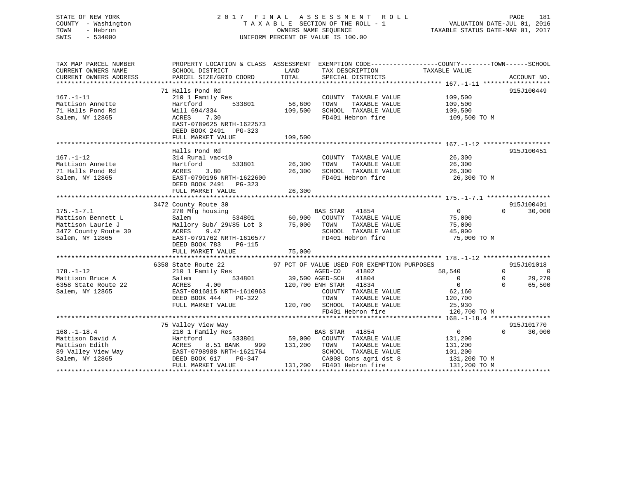# STATE OF NEW YORK 2 0 1 7 F I N A L A S S E S S M E N T R O L L PAGE 181COUNTY - Washington  $T A X A B L E$  SECTION OF THE ROLL - 1<br>TOWN - Hebron DATE-JUL 000NERS NAME SEQUENCE SWIS - 534000 UNIFORM PERCENT OF VALUE IS 100.00

VALUATION DATE-JUL 01, 2016

TAXABLE STATUS DATE-MAR 01, 2017

| CURRENT OWNERS NAME<br>LAND<br>TAXABLE VALUE<br>SCHOOL DISTRICT<br>TAX DESCRIPTION<br>71 Halls Pond Rd<br>915J100449<br>$167. - 1 - 11$<br>210 1 Family Res<br>COUNTY TAXABLE VALUE 109,500<br>533801<br>56,600<br>TOWN<br>TAXABLE VALUE<br>109,500<br>109,500<br>Mattison Annette<br>Hartford<br>71 Halls Pond Rd<br>Will 694/334<br>109,500<br>SCHOOL TAXABLE VALUE<br>FD401 Hebron fire 109,500 TO M<br>Salem, NY 12865<br>ACRES<br>7.30<br>EAST-0789625 NRTH-1622573<br>DEED BOOK 2491 PG-323<br>FULL MARKET VALUE<br>109,500<br>915J100451<br>Halls Pond Rd<br>314 Rural vac<10<br>26,300<br>$167. - 1 - 12$<br>COUNTY TAXABLE VALUE<br>26,300<br>533801 26,300 TOWN<br>Mattison Annette<br>TAXABLE VALUE<br>Hartford<br>3.80<br>26,300 SCHOOL TAXABLE VALUE 26,300<br>26,300 FD401 Hebron fire 300 26,300<br>71 Halls Pond Rd<br>ACRES<br>EAST-0790196 NRTH-1622600<br>Salem, NY 12865<br>26,300 TO M<br>DEED BOOK 2491 PG-323<br>26, 300<br>FULL MARKET VALUE<br>3472 County Route 30<br>915J100401<br>g housing<br>534801 60,900 COUNTY TAXABLE VALUE 75,000<br>$175. - 1 - 7.1$<br>30,000<br>270 Mfg housing<br>$\Omega$<br>Mattison Bennett L<br>Salem<br>Mattison Laurie J<br>Mallory Sub/ 29#85 Lot 3 75,000 TOWN<br>TAXABLE VALUE<br>75,000<br>9.47<br>SCHOOL TAXABLE VALUE<br>3472 County Route 30<br>ACRES<br>45,000<br>EAST-0791762 NRTH-1610577<br>FD401 Hebron fire<br>Salem, NY 12865<br>75,000 TO M<br>DEED BOOK 783<br>PG-115<br>75,000<br>FULL MARKET VALUE<br>6358 State Route 22 97 PCT OF VALUE USED FOR EXEMPTION PURPOSES<br>58,540<br>$\Omega$<br>$178. - 1 - 12$<br>$\overline{0}$<br>$0 \qquad \qquad$<br>Mattison Bruce A<br>120,700 ENH STAR 41834<br>$\overline{0}$<br>6358 State Route 22<br>$\Omega$<br>ACRES<br>4.00<br>EAST-0816815 NRTH-1610963<br>COUNTY TAXABLE VALUE<br>62,160<br>Salem, NY 12865<br>120,700<br>DEED BOOK 444<br>PG-322<br>TOWN<br>TAXABLE VALUE<br>FULL MARKET VALUE<br>120,700 SCHOOL TAXABLE VALUE 25,930<br>FD401 Hebron fire<br>120,700 TO M<br>75 Valley View Way<br>915J101770<br>BAS STAR 41854<br>$\overline{0}$<br>$168. - 1 - 18.4$<br>$0 \qquad \qquad$<br>30,000<br>210 1 Family Res<br>Mattison David A Martford 533801<br>Mattison Edith ACRES 8.51 BANK 999<br>89 Valley View Way EAST-0798988 NRTH-1621764<br>533801 59,000 COUNTY TAXABLE VALUE<br>131,200<br>999 131,200 TOWN TAXABLE VALUE<br>131,200<br>131,200<br>101,200<br>SCHOOL TAXABLE VALUE<br>$\begin{tabular}{lllllllll} \textbf{89 Valley View Way} & \textbf{EAST-0798988 NRFH-1621764} & \textbf{SCHOOL TAXABLE VALUE} & \textbf{101,200} \\ \textbf{Salem, NY 12865} & \textbf{DEED BOOK 617} & \textbf{PG-347} & \textbf{CAO08 Cons agri dst 8} & \textbf{131,200 TO M} \\ & & \textbf{FULL MARKET VALUE} & \textbf{131,200} & \textbf{FD401 Hebron fire} & \textbf{131,200 TO M} \\ & & \textbf{0.141} & \textbf{$<br>Salem, NY 12865 | TAX MAP PARCEL NUMBER | PROPERTY LOCATION & CLASS ASSESSMENT EXEMPTION CODE---------------COUNTY-------TOWN------SCHOOL |  |            |
|------------------------------------------------------------------------------------------------------------------------------------------------------------------------------------------------------------------------------------------------------------------------------------------------------------------------------------------------------------------------------------------------------------------------------------------------------------------------------------------------------------------------------------------------------------------------------------------------------------------------------------------------------------------------------------------------------------------------------------------------------------------------------------------------------------------------------------------------------------------------------------------------------------------------------------------------------------------------------------------------------------------------------------------------------------------------------------------------------------------------------------------------------------------------------------------------------------------------------------------------------------------------------------------------------------------------------------------------------------------------------------------------------------------------------------------------------------------------------------------------------------------------------------------------------------------------------------------------------------------------------------------------------------------------------------------------------------------------------------------------------------------------------------------------------------------------------------------------------------------------------------------------------------------------------------------------------------------------------------------------------------------------------------------------------------------------------------------------------------------------------------------------------------------------------------------------------------------------------------------------------------------------------------------------------------------------------------------------------------------------------------------------------------------------------------------------------------------------------------------------------------------------------------------------------------------------------------------------------------------------------------------------------------------------------------------------------------------------------------------------------------------------------------------------------------------------------------------------------------------------------------|-----------------------|-------------------------------------------------------------------------------------------------|--|------------|
|                                                                                                                                                                                                                                                                                                                                                                                                                                                                                                                                                                                                                                                                                                                                                                                                                                                                                                                                                                                                                                                                                                                                                                                                                                                                                                                                                                                                                                                                                                                                                                                                                                                                                                                                                                                                                                                                                                                                                                                                                                                                                                                                                                                                                                                                                                                                                                                                                                                                                                                                                                                                                                                                                                                                                                                                                                                                                    |                       |                                                                                                 |  |            |
|                                                                                                                                                                                                                                                                                                                                                                                                                                                                                                                                                                                                                                                                                                                                                                                                                                                                                                                                                                                                                                                                                                                                                                                                                                                                                                                                                                                                                                                                                                                                                                                                                                                                                                                                                                                                                                                                                                                                                                                                                                                                                                                                                                                                                                                                                                                                                                                                                                                                                                                                                                                                                                                                                                                                                                                                                                                                                    |                       |                                                                                                 |  |            |
|                                                                                                                                                                                                                                                                                                                                                                                                                                                                                                                                                                                                                                                                                                                                                                                                                                                                                                                                                                                                                                                                                                                                                                                                                                                                                                                                                                                                                                                                                                                                                                                                                                                                                                                                                                                                                                                                                                                                                                                                                                                                                                                                                                                                                                                                                                                                                                                                                                                                                                                                                                                                                                                                                                                                                                                                                                                                                    |                       |                                                                                                 |  |            |
|                                                                                                                                                                                                                                                                                                                                                                                                                                                                                                                                                                                                                                                                                                                                                                                                                                                                                                                                                                                                                                                                                                                                                                                                                                                                                                                                                                                                                                                                                                                                                                                                                                                                                                                                                                                                                                                                                                                                                                                                                                                                                                                                                                                                                                                                                                                                                                                                                                                                                                                                                                                                                                                                                                                                                                                                                                                                                    |                       |                                                                                                 |  |            |
|                                                                                                                                                                                                                                                                                                                                                                                                                                                                                                                                                                                                                                                                                                                                                                                                                                                                                                                                                                                                                                                                                                                                                                                                                                                                                                                                                                                                                                                                                                                                                                                                                                                                                                                                                                                                                                                                                                                                                                                                                                                                                                                                                                                                                                                                                                                                                                                                                                                                                                                                                                                                                                                                                                                                                                                                                                                                                    |                       |                                                                                                 |  |            |
|                                                                                                                                                                                                                                                                                                                                                                                                                                                                                                                                                                                                                                                                                                                                                                                                                                                                                                                                                                                                                                                                                                                                                                                                                                                                                                                                                                                                                                                                                                                                                                                                                                                                                                                                                                                                                                                                                                                                                                                                                                                                                                                                                                                                                                                                                                                                                                                                                                                                                                                                                                                                                                                                                                                                                                                                                                                                                    |                       |                                                                                                 |  |            |
|                                                                                                                                                                                                                                                                                                                                                                                                                                                                                                                                                                                                                                                                                                                                                                                                                                                                                                                                                                                                                                                                                                                                                                                                                                                                                                                                                                                                                                                                                                                                                                                                                                                                                                                                                                                                                                                                                                                                                                                                                                                                                                                                                                                                                                                                                                                                                                                                                                                                                                                                                                                                                                                                                                                                                                                                                                                                                    |                       |                                                                                                 |  |            |
|                                                                                                                                                                                                                                                                                                                                                                                                                                                                                                                                                                                                                                                                                                                                                                                                                                                                                                                                                                                                                                                                                                                                                                                                                                                                                                                                                                                                                                                                                                                                                                                                                                                                                                                                                                                                                                                                                                                                                                                                                                                                                                                                                                                                                                                                                                                                                                                                                                                                                                                                                                                                                                                                                                                                                                                                                                                                                    |                       |                                                                                                 |  |            |
|                                                                                                                                                                                                                                                                                                                                                                                                                                                                                                                                                                                                                                                                                                                                                                                                                                                                                                                                                                                                                                                                                                                                                                                                                                                                                                                                                                                                                                                                                                                                                                                                                                                                                                                                                                                                                                                                                                                                                                                                                                                                                                                                                                                                                                                                                                                                                                                                                                                                                                                                                                                                                                                                                                                                                                                                                                                                                    |                       |                                                                                                 |  |            |
|                                                                                                                                                                                                                                                                                                                                                                                                                                                                                                                                                                                                                                                                                                                                                                                                                                                                                                                                                                                                                                                                                                                                                                                                                                                                                                                                                                                                                                                                                                                                                                                                                                                                                                                                                                                                                                                                                                                                                                                                                                                                                                                                                                                                                                                                                                                                                                                                                                                                                                                                                                                                                                                                                                                                                                                                                                                                                    |                       |                                                                                                 |  |            |
|                                                                                                                                                                                                                                                                                                                                                                                                                                                                                                                                                                                                                                                                                                                                                                                                                                                                                                                                                                                                                                                                                                                                                                                                                                                                                                                                                                                                                                                                                                                                                                                                                                                                                                                                                                                                                                                                                                                                                                                                                                                                                                                                                                                                                                                                                                                                                                                                                                                                                                                                                                                                                                                                                                                                                                                                                                                                                    |                       |                                                                                                 |  |            |
|                                                                                                                                                                                                                                                                                                                                                                                                                                                                                                                                                                                                                                                                                                                                                                                                                                                                                                                                                                                                                                                                                                                                                                                                                                                                                                                                                                                                                                                                                                                                                                                                                                                                                                                                                                                                                                                                                                                                                                                                                                                                                                                                                                                                                                                                                                                                                                                                                                                                                                                                                                                                                                                                                                                                                                                                                                                                                    |                       |                                                                                                 |  |            |
|                                                                                                                                                                                                                                                                                                                                                                                                                                                                                                                                                                                                                                                                                                                                                                                                                                                                                                                                                                                                                                                                                                                                                                                                                                                                                                                                                                                                                                                                                                                                                                                                                                                                                                                                                                                                                                                                                                                                                                                                                                                                                                                                                                                                                                                                                                                                                                                                                                                                                                                                                                                                                                                                                                                                                                                                                                                                                    |                       |                                                                                                 |  |            |
|                                                                                                                                                                                                                                                                                                                                                                                                                                                                                                                                                                                                                                                                                                                                                                                                                                                                                                                                                                                                                                                                                                                                                                                                                                                                                                                                                                                                                                                                                                                                                                                                                                                                                                                                                                                                                                                                                                                                                                                                                                                                                                                                                                                                                                                                                                                                                                                                                                                                                                                                                                                                                                                                                                                                                                                                                                                                                    |                       |                                                                                                 |  |            |
|                                                                                                                                                                                                                                                                                                                                                                                                                                                                                                                                                                                                                                                                                                                                                                                                                                                                                                                                                                                                                                                                                                                                                                                                                                                                                                                                                                                                                                                                                                                                                                                                                                                                                                                                                                                                                                                                                                                                                                                                                                                                                                                                                                                                                                                                                                                                                                                                                                                                                                                                                                                                                                                                                                                                                                                                                                                                                    |                       |                                                                                                 |  |            |
|                                                                                                                                                                                                                                                                                                                                                                                                                                                                                                                                                                                                                                                                                                                                                                                                                                                                                                                                                                                                                                                                                                                                                                                                                                                                                                                                                                                                                                                                                                                                                                                                                                                                                                                                                                                                                                                                                                                                                                                                                                                                                                                                                                                                                                                                                                                                                                                                                                                                                                                                                                                                                                                                                                                                                                                                                                                                                    |                       |                                                                                                 |  |            |
|                                                                                                                                                                                                                                                                                                                                                                                                                                                                                                                                                                                                                                                                                                                                                                                                                                                                                                                                                                                                                                                                                                                                                                                                                                                                                                                                                                                                                                                                                                                                                                                                                                                                                                                                                                                                                                                                                                                                                                                                                                                                                                                                                                                                                                                                                                                                                                                                                                                                                                                                                                                                                                                                                                                                                                                                                                                                                    |                       |                                                                                                 |  |            |
|                                                                                                                                                                                                                                                                                                                                                                                                                                                                                                                                                                                                                                                                                                                                                                                                                                                                                                                                                                                                                                                                                                                                                                                                                                                                                                                                                                                                                                                                                                                                                                                                                                                                                                                                                                                                                                                                                                                                                                                                                                                                                                                                                                                                                                                                                                                                                                                                                                                                                                                                                                                                                                                                                                                                                                                                                                                                                    |                       |                                                                                                 |  |            |
|                                                                                                                                                                                                                                                                                                                                                                                                                                                                                                                                                                                                                                                                                                                                                                                                                                                                                                                                                                                                                                                                                                                                                                                                                                                                                                                                                                                                                                                                                                                                                                                                                                                                                                                                                                                                                                                                                                                                                                                                                                                                                                                                                                                                                                                                                                                                                                                                                                                                                                                                                                                                                                                                                                                                                                                                                                                                                    |                       |                                                                                                 |  |            |
|                                                                                                                                                                                                                                                                                                                                                                                                                                                                                                                                                                                                                                                                                                                                                                                                                                                                                                                                                                                                                                                                                                                                                                                                                                                                                                                                                                                                                                                                                                                                                                                                                                                                                                                                                                                                                                                                                                                                                                                                                                                                                                                                                                                                                                                                                                                                                                                                                                                                                                                                                                                                                                                                                                                                                                                                                                                                                    |                       |                                                                                                 |  |            |
|                                                                                                                                                                                                                                                                                                                                                                                                                                                                                                                                                                                                                                                                                                                                                                                                                                                                                                                                                                                                                                                                                                                                                                                                                                                                                                                                                                                                                                                                                                                                                                                                                                                                                                                                                                                                                                                                                                                                                                                                                                                                                                                                                                                                                                                                                                                                                                                                                                                                                                                                                                                                                                                                                                                                                                                                                                                                                    |                       |                                                                                                 |  |            |
|                                                                                                                                                                                                                                                                                                                                                                                                                                                                                                                                                                                                                                                                                                                                                                                                                                                                                                                                                                                                                                                                                                                                                                                                                                                                                                                                                                                                                                                                                                                                                                                                                                                                                                                                                                                                                                                                                                                                                                                                                                                                                                                                                                                                                                                                                                                                                                                                                                                                                                                                                                                                                                                                                                                                                                                                                                                                                    |                       |                                                                                                 |  |            |
|                                                                                                                                                                                                                                                                                                                                                                                                                                                                                                                                                                                                                                                                                                                                                                                                                                                                                                                                                                                                                                                                                                                                                                                                                                                                                                                                                                                                                                                                                                                                                                                                                                                                                                                                                                                                                                                                                                                                                                                                                                                                                                                                                                                                                                                                                                                                                                                                                                                                                                                                                                                                                                                                                                                                                                                                                                                                                    |                       |                                                                                                 |  |            |
|                                                                                                                                                                                                                                                                                                                                                                                                                                                                                                                                                                                                                                                                                                                                                                                                                                                                                                                                                                                                                                                                                                                                                                                                                                                                                                                                                                                                                                                                                                                                                                                                                                                                                                                                                                                                                                                                                                                                                                                                                                                                                                                                                                                                                                                                                                                                                                                                                                                                                                                                                                                                                                                                                                                                                                                                                                                                                    |                       |                                                                                                 |  |            |
|                                                                                                                                                                                                                                                                                                                                                                                                                                                                                                                                                                                                                                                                                                                                                                                                                                                                                                                                                                                                                                                                                                                                                                                                                                                                                                                                                                                                                                                                                                                                                                                                                                                                                                                                                                                                                                                                                                                                                                                                                                                                                                                                                                                                                                                                                                                                                                                                                                                                                                                                                                                                                                                                                                                                                                                                                                                                                    |                       |                                                                                                 |  |            |
|                                                                                                                                                                                                                                                                                                                                                                                                                                                                                                                                                                                                                                                                                                                                                                                                                                                                                                                                                                                                                                                                                                                                                                                                                                                                                                                                                                                                                                                                                                                                                                                                                                                                                                                                                                                                                                                                                                                                                                                                                                                                                                                                                                                                                                                                                                                                                                                                                                                                                                                                                                                                                                                                                                                                                                                                                                                                                    |                       |                                                                                                 |  |            |
|                                                                                                                                                                                                                                                                                                                                                                                                                                                                                                                                                                                                                                                                                                                                                                                                                                                                                                                                                                                                                                                                                                                                                                                                                                                                                                                                                                                                                                                                                                                                                                                                                                                                                                                                                                                                                                                                                                                                                                                                                                                                                                                                                                                                                                                                                                                                                                                                                                                                                                                                                                                                                                                                                                                                                                                                                                                                                    |                       |                                                                                                 |  |            |
|                                                                                                                                                                                                                                                                                                                                                                                                                                                                                                                                                                                                                                                                                                                                                                                                                                                                                                                                                                                                                                                                                                                                                                                                                                                                                                                                                                                                                                                                                                                                                                                                                                                                                                                                                                                                                                                                                                                                                                                                                                                                                                                                                                                                                                                                                                                                                                                                                                                                                                                                                                                                                                                                                                                                                                                                                                                                                    |                       |                                                                                                 |  | 915J101018 |
|                                                                                                                                                                                                                                                                                                                                                                                                                                                                                                                                                                                                                                                                                                                                                                                                                                                                                                                                                                                                                                                                                                                                                                                                                                                                                                                                                                                                                                                                                                                                                                                                                                                                                                                                                                                                                                                                                                                                                                                                                                                                                                                                                                                                                                                                                                                                                                                                                                                                                                                                                                                                                                                                                                                                                                                                                                                                                    |                       |                                                                                                 |  | 0          |
|                                                                                                                                                                                                                                                                                                                                                                                                                                                                                                                                                                                                                                                                                                                                                                                                                                                                                                                                                                                                                                                                                                                                                                                                                                                                                                                                                                                                                                                                                                                                                                                                                                                                                                                                                                                                                                                                                                                                                                                                                                                                                                                                                                                                                                                                                                                                                                                                                                                                                                                                                                                                                                                                                                                                                                                                                                                                                    |                       |                                                                                                 |  | 29,270     |
|                                                                                                                                                                                                                                                                                                                                                                                                                                                                                                                                                                                                                                                                                                                                                                                                                                                                                                                                                                                                                                                                                                                                                                                                                                                                                                                                                                                                                                                                                                                                                                                                                                                                                                                                                                                                                                                                                                                                                                                                                                                                                                                                                                                                                                                                                                                                                                                                                                                                                                                                                                                                                                                                                                                                                                                                                                                                                    |                       |                                                                                                 |  | 65,500     |
|                                                                                                                                                                                                                                                                                                                                                                                                                                                                                                                                                                                                                                                                                                                                                                                                                                                                                                                                                                                                                                                                                                                                                                                                                                                                                                                                                                                                                                                                                                                                                                                                                                                                                                                                                                                                                                                                                                                                                                                                                                                                                                                                                                                                                                                                                                                                                                                                                                                                                                                                                                                                                                                                                                                                                                                                                                                                                    |                       |                                                                                                 |  |            |
|                                                                                                                                                                                                                                                                                                                                                                                                                                                                                                                                                                                                                                                                                                                                                                                                                                                                                                                                                                                                                                                                                                                                                                                                                                                                                                                                                                                                                                                                                                                                                                                                                                                                                                                                                                                                                                                                                                                                                                                                                                                                                                                                                                                                                                                                                                                                                                                                                                                                                                                                                                                                                                                                                                                                                                                                                                                                                    |                       |                                                                                                 |  |            |
|                                                                                                                                                                                                                                                                                                                                                                                                                                                                                                                                                                                                                                                                                                                                                                                                                                                                                                                                                                                                                                                                                                                                                                                                                                                                                                                                                                                                                                                                                                                                                                                                                                                                                                                                                                                                                                                                                                                                                                                                                                                                                                                                                                                                                                                                                                                                                                                                                                                                                                                                                                                                                                                                                                                                                                                                                                                                                    |                       |                                                                                                 |  |            |
|                                                                                                                                                                                                                                                                                                                                                                                                                                                                                                                                                                                                                                                                                                                                                                                                                                                                                                                                                                                                                                                                                                                                                                                                                                                                                                                                                                                                                                                                                                                                                                                                                                                                                                                                                                                                                                                                                                                                                                                                                                                                                                                                                                                                                                                                                                                                                                                                                                                                                                                                                                                                                                                                                                                                                                                                                                                                                    |                       |                                                                                                 |  |            |
|                                                                                                                                                                                                                                                                                                                                                                                                                                                                                                                                                                                                                                                                                                                                                                                                                                                                                                                                                                                                                                                                                                                                                                                                                                                                                                                                                                                                                                                                                                                                                                                                                                                                                                                                                                                                                                                                                                                                                                                                                                                                                                                                                                                                                                                                                                                                                                                                                                                                                                                                                                                                                                                                                                                                                                                                                                                                                    |                       |                                                                                                 |  |            |
|                                                                                                                                                                                                                                                                                                                                                                                                                                                                                                                                                                                                                                                                                                                                                                                                                                                                                                                                                                                                                                                                                                                                                                                                                                                                                                                                                                                                                                                                                                                                                                                                                                                                                                                                                                                                                                                                                                                                                                                                                                                                                                                                                                                                                                                                                                                                                                                                                                                                                                                                                                                                                                                                                                                                                                                                                                                                                    |                       |                                                                                                 |  |            |
|                                                                                                                                                                                                                                                                                                                                                                                                                                                                                                                                                                                                                                                                                                                                                                                                                                                                                                                                                                                                                                                                                                                                                                                                                                                                                                                                                                                                                                                                                                                                                                                                                                                                                                                                                                                                                                                                                                                                                                                                                                                                                                                                                                                                                                                                                                                                                                                                                                                                                                                                                                                                                                                                                                                                                                                                                                                                                    |                       |                                                                                                 |  |            |
|                                                                                                                                                                                                                                                                                                                                                                                                                                                                                                                                                                                                                                                                                                                                                                                                                                                                                                                                                                                                                                                                                                                                                                                                                                                                                                                                                                                                                                                                                                                                                                                                                                                                                                                                                                                                                                                                                                                                                                                                                                                                                                                                                                                                                                                                                                                                                                                                                                                                                                                                                                                                                                                                                                                                                                                                                                                                                    |                       |                                                                                                 |  |            |
|                                                                                                                                                                                                                                                                                                                                                                                                                                                                                                                                                                                                                                                                                                                                                                                                                                                                                                                                                                                                                                                                                                                                                                                                                                                                                                                                                                                                                                                                                                                                                                                                                                                                                                                                                                                                                                                                                                                                                                                                                                                                                                                                                                                                                                                                                                                                                                                                                                                                                                                                                                                                                                                                                                                                                                                                                                                                                    |                       |                                                                                                 |  |            |
|                                                                                                                                                                                                                                                                                                                                                                                                                                                                                                                                                                                                                                                                                                                                                                                                                                                                                                                                                                                                                                                                                                                                                                                                                                                                                                                                                                                                                                                                                                                                                                                                                                                                                                                                                                                                                                                                                                                                                                                                                                                                                                                                                                                                                                                                                                                                                                                                                                                                                                                                                                                                                                                                                                                                                                                                                                                                                    |                       |                                                                                                 |  |            |
|                                                                                                                                                                                                                                                                                                                                                                                                                                                                                                                                                                                                                                                                                                                                                                                                                                                                                                                                                                                                                                                                                                                                                                                                                                                                                                                                                                                                                                                                                                                                                                                                                                                                                                                                                                                                                                                                                                                                                                                                                                                                                                                                                                                                                                                                                                                                                                                                                                                                                                                                                                                                                                                                                                                                                                                                                                                                                    |                       |                                                                                                 |  |            |
|                                                                                                                                                                                                                                                                                                                                                                                                                                                                                                                                                                                                                                                                                                                                                                                                                                                                                                                                                                                                                                                                                                                                                                                                                                                                                                                                                                                                                                                                                                                                                                                                                                                                                                                                                                                                                                                                                                                                                                                                                                                                                                                                                                                                                                                                                                                                                                                                                                                                                                                                                                                                                                                                                                                                                                                                                                                                                    |                       |                                                                                                 |  |            |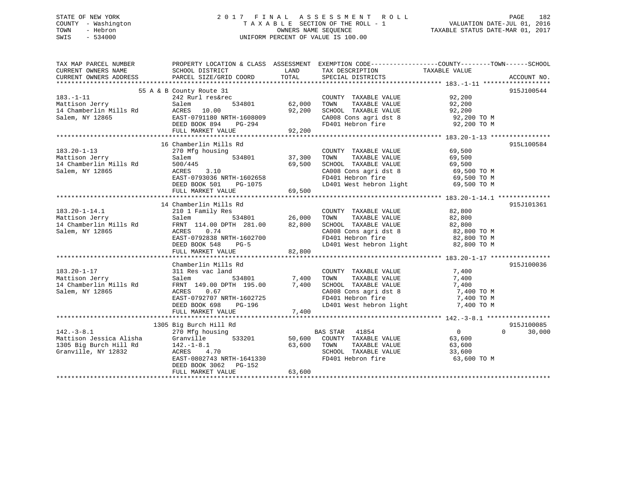## STATE OF NEW YORK 2 0 1 7 F I N A L A S S E S S M E N T R O L L PAGE 182 COUNTY - Washington T A X A B L E SECTION OF THE ROLL - 1 VALUATION DATE-JUL 01, 2016 TOWN - Hebron OWNERS NAME SEQUENCE TAXABLE STATUS DATE-MAR 01, 2017 SWIS - 534000 UNIFORM PERCENT OF VALUE IS 100.00

| TAX MAP PARCEL NUMBER<br>CURRENT OWNERS NAME<br>CURRENT OWNERS ADDRESS | PROPERTY LOCATION & CLASS ASSESSMENT<br>SCHOOL DISTRICT<br>PARCEL SIZE/GRID COORD | LAND<br>TOTAL | EXEMPTION CODE-----------------COUNTY-------TOWN------SCHOOL<br>TAX DESCRIPTION<br>SPECIAL DISTRICTS | TAXABLE VALUE  | ACCOUNT NO.        |
|------------------------------------------------------------------------|-----------------------------------------------------------------------------------|---------------|------------------------------------------------------------------------------------------------------|----------------|--------------------|
|                                                                        |                                                                                   |               |                                                                                                      |                |                    |
|                                                                        | 55 A & B County Route 31                                                          |               |                                                                                                      |                | 915J100544         |
| $183. - 1 - 11$                                                        | 242 Rurl res&rec                                                                  |               | COUNTY TAXABLE VALUE                                                                                 | 92,200         |                    |
| Mattison Jerry                                                         | 534801<br>Salem                                                                   | 62,000        | TOWN<br>TAXABLE VALUE                                                                                | 92,200         |                    |
| 14 Chamberlin Mills Rd                                                 | ACRES 10.00                                                                       | 92,200        | SCHOOL TAXABLE VALUE                                                                                 | 92,200         |                    |
| Salem, NY 12865                                                        | EAST-0791180 NRTH-1608009                                                         |               | CA008 Cons agri dst 8                                                                                | 92,200 TO M    |                    |
|                                                                        | DEED BOOK 894<br>PG-294                                                           |               | FD401 Hebron fire                                                                                    | 92,200 TO M    |                    |
|                                                                        | FULL MARKET VALUE                                                                 | 92,200        |                                                                                                      |                |                    |
|                                                                        |                                                                                   |               |                                                                                                      |                |                    |
|                                                                        | 16 Chamberlin Mills Rd                                                            |               |                                                                                                      |                | 915L100584         |
| $183.20 - 1 - 13$                                                      | 270 Mfg housing                                                                   |               | COUNTY TAXABLE VALUE                                                                                 | 69,500         |                    |
| Mattison Jerry                                                         | Salem<br>534801                                                                   | 37,300        | TOWN<br>TAXABLE VALUE                                                                                | 69,500         |                    |
| 14 Chamberlin Mills Rd                                                 | 500/445                                                                           | 69,500        | SCHOOL TAXABLE VALUE                                                                                 | 69,500         |                    |
| Salem, NY 12865                                                        | ACRES<br>3.10                                                                     |               | CA008 Cons agri dst 8                                                                                | 69,500 TO M    |                    |
|                                                                        | EAST-0793036 NRTH-1602658                                                         |               | FD401 Hebron fire                                                                                    | 69,500 TO M    |                    |
|                                                                        | DEED BOOK 501<br>PG-1075                                                          |               | LD401 West hebron light                                                                              | 69,500 TO M    |                    |
|                                                                        | FULL MARKET VALUE                                                                 | 69,500        |                                                                                                      |                |                    |
|                                                                        |                                                                                   |               |                                                                                                      |                |                    |
|                                                                        | 14 Chamberlin Mills Rd                                                            |               |                                                                                                      |                | 915J101361         |
| $183.20 - 1 - 14.1$                                                    | 210 1 Family Res                                                                  |               | COUNTY TAXABLE VALUE                                                                                 | 82,800         |                    |
| Mattison Jerry                                                         | Salem<br>534801                                                                   | 26,000        | TAXABLE VALUE<br>TOWN                                                                                | 82,800         |                    |
| 14 Chamberlin Mills Rd                                                 | FRNT 114.00 DPTH 281.00                                                           | 82,800        | SCHOOL TAXABLE VALUE                                                                                 | 82,800         |                    |
| Salem, NY 12865                                                        | ACRES<br>0.74                                                                     |               | CA008 Cons agri dst 8                                                                                | 82,800 TO M    |                    |
|                                                                        | EAST-0792838 NRTH-1602700                                                         |               | FD401 Hebron fire                                                                                    | 82,800 TO M    |                    |
|                                                                        | DEED BOOK 548<br>$PG-5$                                                           |               | LD401 West hebron light                                                                              | 82,800 TO M    |                    |
|                                                                        | FULL MARKET VALUE                                                                 | 82,800        |                                                                                                      |                |                    |
|                                                                        |                                                                                   |               |                                                                                                      |                |                    |
|                                                                        | Chamberlin Mills Rd                                                               |               |                                                                                                      |                | 915J100036         |
| $183.20 - 1 - 17$                                                      | 311 Res vac land                                                                  |               | COUNTY TAXABLE VALUE                                                                                 | 7,400          |                    |
| Mattison Jerry                                                         | 534801<br>Salem                                                                   | 7,400         | TOWN<br>TAXABLE VALUE                                                                                | 7,400          |                    |
| 14 Chamberlin Mills Rd                                                 | FRNT 149.00 DPTH 195.00                                                           | 7,400         | SCHOOL TAXABLE VALUE                                                                                 | 7,400          |                    |
| Salem, NY 12865                                                        | <b>ACRES</b><br>0.67                                                              |               | CA008 Cons agri dst 8                                                                                | 7,400 TO M     |                    |
|                                                                        | EAST-0792707 NRTH-1602725                                                         |               | FD401 Hebron fire                                                                                    | 7,400 TO M     |                    |
|                                                                        | DEED BOOK 698<br>PG-196                                                           |               | LD401 West hebron light 7,400 TO M                                                                   |                |                    |
|                                                                        | FULL MARKET VALUE                                                                 | 7,400         |                                                                                                      |                |                    |
|                                                                        |                                                                                   |               |                                                                                                      |                |                    |
|                                                                        | 1305 Big Burch Hill Rd                                                            |               |                                                                                                      |                | 915J100085         |
| $142. - 3 - 8.1$                                                       | 270 Mfg housing                                                                   |               | BAS STAR 41854                                                                                       | $\overline{0}$ | 30,000<br>$\Omega$ |
| Mattison Jessica Alisha                                                | 533201<br>Granville                                                               | 50,600        | COUNTY TAXABLE VALUE                                                                                 | 63,600         |                    |
| 1305 Big Burch Hill Rd                                                 | $142. - 1 - 8.1$                                                                  | 63,600        | TAXABLE VALUE<br>TOWN                                                                                | 63,600         |                    |
| Granville, NY 12832                                                    | ACRES<br>4.70                                                                     |               | SCHOOL TAXABLE VALUE                                                                                 | 33,600         |                    |
|                                                                        | EAST-0802743 NRTH-1641330                                                         |               | FD401 Hebron fire                                                                                    | 63,600 TO M    |                    |
|                                                                        | DEED BOOK 3062<br>PG-152                                                          |               |                                                                                                      |                |                    |
|                                                                        | FULL MARKET VALUE                                                                 | 63,600        |                                                                                                      |                |                    |
|                                                                        |                                                                                   |               |                                                                                                      |                |                    |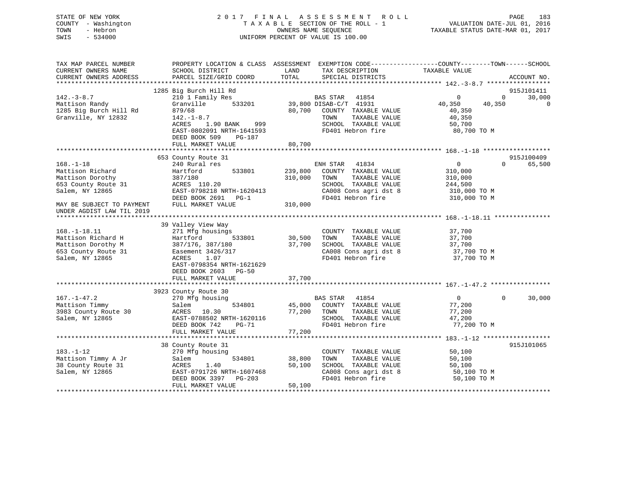## STATE OF NEW YORK 2 0 1 7 F I N A L A S S E S S M E N T R O L L PAGE 183 COUNTY - Washington T A X A B L E SECTION OF THE ROLL - 1 VALUATION DATE-JUL 01, 2016 TOWN - Hebron OWNERS NAME SEQUENCE TAXABLE STATUS DATE-MAR 01, 2017 SWIS - 534000 UNIFORM PERCENT OF VALUE IS 100.00

| TAX MAP PARCEL NUMBER                         | PROPERTY LOCATION & CLASS ASSESSMENT EXEMPTION CODE----------------COUNTY-------TOWN-----SCHOOL |               |                                                  |                  |             |             |
|-----------------------------------------------|-------------------------------------------------------------------------------------------------|---------------|--------------------------------------------------|------------------|-------------|-------------|
| CURRENT OWNERS NAME<br>CURRENT OWNERS ADDRESS | SCHOOL DISTRICT<br>PARCEL SIZE/GRID COORD                                                       | LAND<br>TOTAL | TAX DESCRIPTION<br>SPECIAL DISTRICTS             | TAXABLE VALUE    |             | ACCOUNT NO. |
| ************************                      |                                                                                                 |               |                                                  |                  |             |             |
|                                               | 1285 Big Burch Hill Rd                                                                          |               |                                                  |                  |             | 915J101411  |
| $142. - 3 - 8.7$                              | 210 1 Family Res                                                                                |               | BAS STAR<br>41854                                | $\mathbf 0$      | $\mathbf 0$ | 30,000      |
| Mattison Randy                                | 533201<br>Granville                                                                             |               | 39,800 DISAB-C/T 41931                           | 40,350           | 40,350      | $\mathbf 0$ |
| 1285 Big Burch Hill Rd                        | 879/68                                                                                          | 80,700        | COUNTY TAXABLE VALUE                             | 40,350           |             |             |
| Granville, NY 12832                           | $142. - 1 - 8.7$                                                                                |               | TOWN<br>TAXABLE VALUE                            | 40,350           |             |             |
|                                               | ACRES<br>1.90 BANK<br>999                                                                       |               | SCHOOL TAXABLE VALUE                             | 50,700           |             |             |
|                                               | EAST-0802091 NRTH-1641593                                                                       |               | FD401 Hebron fire                                | 80,700 TO M      |             |             |
|                                               | DEED BOOK 509<br>PG-187                                                                         |               |                                                  |                  |             |             |
|                                               | FULL MARKET VALUE                                                                               | 80,700        |                                                  |                  |             |             |
|                                               |                                                                                                 |               |                                                  |                  |             |             |
|                                               | 653 County Route 31                                                                             |               |                                                  |                  |             | 915J100409  |
| $168. - 1 - 18$                               | 240 Rural res                                                                                   |               | ENH STAR<br>41834                                | 0                | $\Omega$    | 65,500      |
| Mattison Richard                              | Hartford<br>533801                                                                              | 239,800       | COUNTY TAXABLE VALUE                             | 310,000          |             |             |
| Mattison Dorothy                              | 387/180                                                                                         | 310,000       | TOWN<br>TAXABLE VALUE                            | 310,000          |             |             |
| 653 County Route 31                           | ACRES 110.20                                                                                    |               | SCHOOL TAXABLE VALUE                             | 244,500          |             |             |
| Salem, NY 12865                               | EAST-0798218 NRTH-1620413                                                                       |               | CA008 Cons agri dst 8                            | 310,000 TO M     |             |             |
|                                               | DEED BOOK 2691<br>$PG-1$                                                                        |               | FD401 Hebron fire                                | 310,000 TO M     |             |             |
| MAY BE SUBJECT TO PAYMENT                     | FULL MARKET VALUE                                                                               | 310,000       |                                                  |                  |             |             |
| UNDER AGDIST LAW TIL 2019                     |                                                                                                 |               |                                                  |                  |             |             |
|                                               |                                                                                                 |               |                                                  |                  |             |             |
|                                               | 39 Valley View Way                                                                              |               |                                                  |                  |             |             |
| $168. - 1 - 18.11$                            | 271 Mfg housings                                                                                |               | COUNTY TAXABLE VALUE                             | 37,700           |             |             |
| Mattison Richard H                            | Hartford<br>533801                                                                              | 30,500        | TOWN<br>TAXABLE VALUE                            | 37,700           |             |             |
| Mattison Dorothy M                            | 387/176, 387/180                                                                                | 37,700        | SCHOOL TAXABLE VALUE                             | 37,700           |             |             |
| 653 County Route 31                           | Easement 3426/317                                                                               |               | CA008 Cons agri dst 8                            | 37,700 TO M      |             |             |
| Salem, NY 12865                               | 1.07<br>ACRES                                                                                   |               | FD401 Hebron fire                                | 37,700 TO M      |             |             |
|                                               | EAST-0798354 NRTH-1621629                                                                       |               |                                                  |                  |             |             |
|                                               | DEED BOOK 2603<br><b>PG-50</b>                                                                  |               |                                                  |                  |             |             |
|                                               | FULL MARKET VALUE                                                                               | 37,700        |                                                  |                  |             |             |
|                                               |                                                                                                 |               |                                                  |                  |             |             |
|                                               | 3923 County Route 30                                                                            |               |                                                  | $\mathbf{0}$     | $\Omega$    | 30,000      |
| $167. - 1 - 47.2$                             | 270 Mfg housing<br>534801                                                                       | 45,000        | <b>BAS STAR</b><br>41854<br>COUNTY TAXABLE VALUE |                  |             |             |
| Mattison Timmy                                | Salem<br>10.30                                                                                  | 77,200        | TOWN<br>TAXABLE VALUE                            | 77,200           |             |             |
| 3983 County Route 30<br>Salem, NY 12865       | ACRES<br>EAST-0788502 NRTH-1620116                                                              |               | SCHOOL TAXABLE VALUE                             | 77,200<br>47,200 |             |             |
|                                               | DEED BOOK 742<br>PG-71                                                                          |               | FD401 Hebron fire                                | 77,200 TO M      |             |             |
|                                               | FULL MARKET VALUE                                                                               | 77,200        |                                                  |                  |             |             |
|                                               |                                                                                                 |               |                                                  |                  |             |             |
|                                               | 38 County Route 31                                                                              |               |                                                  |                  |             | 915J101065  |
| $183. - 1 - 12$                               | 270 Mfg housing                                                                                 |               | COUNTY TAXABLE VALUE                             | 50,100           |             |             |
| Mattison Timmy A Jr                           | 534801<br>Salem                                                                                 | 38,800        | TAXABLE VALUE<br>TOWN                            | 50,100           |             |             |
| 38 County Route 31                            | 1.40<br>ACRES                                                                                   | 50,100        | SCHOOL TAXABLE VALUE                             | 50,100           |             |             |
| Salem, NY 12865                               | EAST-0791726 NRTH-1607468                                                                       |               | CA008 Cons agri dst 8                            | 50,100 TO M      |             |             |
|                                               | DEED BOOK 3397<br>$PG-203$                                                                      |               | FD401 Hebron fire                                | 50,100 TO M      |             |             |
|                                               | FULL MARKET VALUE                                                                               | 50,100        |                                                  |                  |             |             |
|                                               |                                                                                                 |               |                                                  |                  |             |             |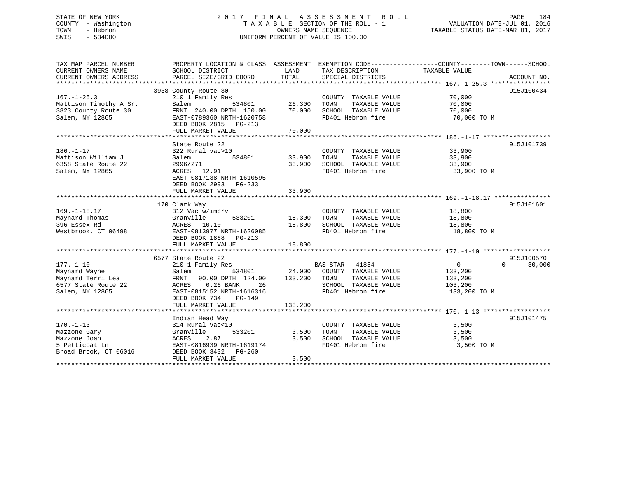## STATE OF NEW YORK 2 0 1 7 F I N A L A S S E S S M E N T R O L L PAGE 184 COUNTY - Washington T A X A B L E SECTION OF THE ROLL - 1 VALUATION DATE-JUL 01, 2016 TOWN - Hebron OWNERS NAME SEQUENCE TAXABLE STATUS DATE-MAR 01, 2017 SWIS - 534000 UNIFORM PERCENT OF VALUE IS 100.00

| TAX MAP PARCEL NUMBER                         | PROPERTY LOCATION & CLASS ASSESSMENT EXEMPTION CODE---------------COUNTY-------TOWN------SCHOOL |               |                                      |                |                    |
|-----------------------------------------------|-------------------------------------------------------------------------------------------------|---------------|--------------------------------------|----------------|--------------------|
| CURRENT OWNERS NAME<br>CURRENT OWNERS ADDRESS | SCHOOL DISTRICT<br>PARCEL SIZE/GRID COORD                                                       | LAND<br>TOTAL | TAX DESCRIPTION<br>SPECIAL DISTRICTS | TAXABLE VALUE  | ACCOUNT NO.        |
|                                               |                                                                                                 |               |                                      |                |                    |
|                                               | 3938 County Route 30                                                                            |               |                                      |                | 915J100434         |
| $167. - 1 - 25.3$                             | 210 1 Family Res                                                                                |               | COUNTY TAXABLE VALUE                 | 70,000         |                    |
| Mattison Timothy A Sr.                        | Salem<br>534801                                                                                 | 26,300        | TAXABLE VALUE<br>TOWN                | 70,000         |                    |
| 3823 County Route 30                          | FRNT 240.00 DPTH 150.00                                                                         | 70,000        | SCHOOL TAXABLE VALUE                 | 70,000         |                    |
| Salem, NY 12865                               | EAST-0789360 NRTH-1620758                                                                       |               | FD401 Hebron fire                    | 70,000 TO M    |                    |
|                                               | DEED BOOK 2815 PG-213                                                                           |               |                                      |                |                    |
|                                               | FULL MARKET VALUE                                                                               | 70,000        |                                      |                |                    |
|                                               |                                                                                                 |               |                                      |                |                    |
|                                               | State Route 22                                                                                  |               |                                      |                | 915J101739         |
| $186. - 1 - 17$                               | 322 Rural vac>10                                                                                |               | COUNTY TAXABLE VALUE                 | 33,900         |                    |
| Mattison William J                            | 534801<br>Salem                                                                                 | 33,900        | TAXABLE VALUE<br>TOWN                | 33,900         |                    |
| 6358 State Route 22                           | 2996/271                                                                                        | 33,900        | SCHOOL TAXABLE VALUE 33,900          |                |                    |
| Salem, NY 12865                               | ACRES 12.91                                                                                     |               | FD401 Hebron fire                    | 33,900 TO M    |                    |
|                                               | EAST-0817138 NRTH-1610595                                                                       |               |                                      |                |                    |
|                                               | DEED BOOK 2993 PG-233                                                                           |               |                                      |                |                    |
|                                               | FULL MARKET VALUE                                                                               | 33,900        |                                      |                |                    |
|                                               |                                                                                                 |               |                                      |                |                    |
|                                               | 170 Clark Way                                                                                   |               |                                      |                | 915J101601         |
| $169. - 1 - 18.17$                            | 312 Vac w/imprv                                                                                 |               | COUNTY TAXABLE VALUE 18,800          |                |                    |
| Maynard Thomas                                | 533201<br>Granville                                                                             | 18,300        | TAXABLE VALUE<br>TOWN                | 18,800         |                    |
| 396 Essex Rd                                  | ACRES 10.10                                                                                     | 18,800        | SCHOOL TAXABLE VALUE                 | 18,800         |                    |
| Westbrook, CT 06498                           | EAST-0813977 NRTH-1626085                                                                       |               | FD401 Hebron fire                    | 18,800 TO M    |                    |
|                                               | DEED BOOK 1868 PG-213                                                                           |               |                                      |                |                    |
|                                               | FULL MARKET VALUE                                                                               | 18,800        |                                      |                |                    |
|                                               | 6577 State Route 22                                                                             |               |                                      |                | 915J100570         |
| $177. - 1 - 10$                               | 210 1 Family Res                                                                                |               | BAS STAR 41854                       | $\overline{0}$ | $\Omega$<br>30,000 |
| Maynard Wayne                                 | Salem<br>534801                                                                                 |               | 24,000 COUNTY TAXABLE VALUE          | 133,200        |                    |
| Maynard Terri Lea                             | FRNT 90.00 DPTH 124.00                                                                          | 133,200 TOWN  | TAXABLE VALUE                        | 133,200        |                    |
| 6577 State Route 22                           | ACRES 0.26 BANK<br>26                                                                           |               | SCHOOL TAXABLE VALUE                 | 103,200        |                    |
| Salem, NY 12865                               | EAST-0815152 NRTH-1616316                                                                       |               | FD401 Hebron fire                    | 133,200 TO M   |                    |
|                                               | DEED BOOK 734<br>PG-149                                                                         |               |                                      |                |                    |
|                                               | FULL MARKET VALUE                                                                               | 133,200       |                                      |                |                    |
|                                               |                                                                                                 |               |                                      |                |                    |
|                                               | Indian Head Way                                                                                 |               |                                      |                | 915J101475         |
| $170. - 1 - 13$                               | 314 Rural vac<10                                                                                |               | COUNTY TAXABLE VALUE                 | 3,500          |                    |
| Mazzone Gary                                  | 533201<br>Granville                                                                             | 3,500         | TOWN<br>TAXABLE VALUE                | 3,500          |                    |
| Mazzone Joan                                  | 2.87<br>ACRES                                                                                   | 3,500         | SCHOOL TAXABLE VALUE                 | 3,500          |                    |
| 5 Petticoat Ln                                | EAST-0816939 NRTH-1619174                                                                       |               | FD401 Hebron fire                    | 3,500 TO M     |                    |
| Broad Brook, CT 06016                         | DEED BOOK 3432 PG-260                                                                           |               |                                      |                |                    |
|                                               | FULL MARKET VALUE                                                                               | 3,500         |                                      |                |                    |
|                                               |                                                                                                 |               |                                      |                |                    |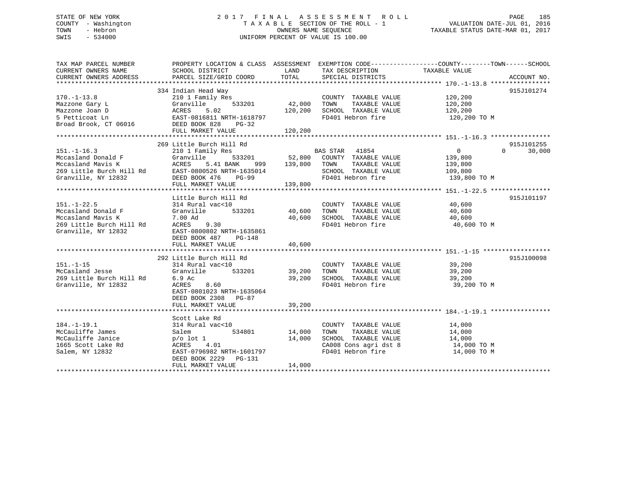## STATE OF NEW YORK 2 0 1 7 F I N A L A S S E S S M E N T R O L L PAGE 185 COUNTY - Washington T A X A B L E SECTION OF THE ROLL - 1 VALUATION DATE-JUL 01, 2016 TOWN - Hebron OWNERS NAME SEQUENCE TAXABLE STATUS DATE-MAR 01, 2017 SWIS - 534000 UNIFORM PERCENT OF VALUE IS 100.00

| TAX MAP PARCEL NUMBER<br>CURRENT OWNERS NAME<br>CURRENT OWNERS ADDRESS                                                                                                                                                                         | PROPERTY LOCATION & CLASS ASSESSMENT EXEMPTION CODE----------------COUNTY-------TOWN------SCHOOL<br>SCHOOL DISTRICT                                                                                                                                               |                  | LAND TAX DESCRIPTION TAXABLE VALUE COORD TOTAL SPECIAL DISTRICTS                                                                                    |                       |                    |
|------------------------------------------------------------------------------------------------------------------------------------------------------------------------------------------------------------------------------------------------|-------------------------------------------------------------------------------------------------------------------------------------------------------------------------------------------------------------------------------------------------------------------|------------------|-----------------------------------------------------------------------------------------------------------------------------------------------------|-----------------------|--------------------|
| $170. - 1 - 13.8$<br>Mazzone Gary L<br>Mazzone Joan D<br>Mazzone Joan D<br>BACRES 5.02<br>120,200<br>S Petticoat Ln<br>EAST-0816811 NRTH-1618797<br>Broad Brook, CT 06016<br>DEED BOOK 828<br>PG-32                                            | 334 Indian Head Way<br>(1)<br>11y Res 533201 42,000 TOWN<br>210 1 Family Res<br>Granville                                                                                                                                                                         |                  | COUNTY TAXABLE VALUE 120,200<br>TOWN TAXABLE VALUE 120,200<br>FD401 Hebron fire                                                                     | 120,200 TO M          | 915J101274         |
|                                                                                                                                                                                                                                                | 269 Little Burch Hill Rd                                                                                                                                                                                                                                          |                  |                                                                                                                                                     |                       | 915J101255         |
| 151.-1-16.3<br>Mccasland Donald F (Granville 533201 52,800<br>Mccasland Mavis K (ACRES 5.41 BANK 999 139,800<br>269 Little Burch Hill Rd EAST-0800526 NRTH-1635014<br>139,800<br>139,800<br>269 Little Nur 12832<br>269 Little Nur 12832<br>26 | ACRES 5.41 BANK 999 139,800 TOWN TAXABLE VALUE 139,800 EAST-0800526 NRTH-1635014 SCHOOL TAXABLE VALUE 109,800<br>FULL MARKET VALUE                                                                                                                                | 139,800          | 533201 62,800 COUNTY TAXABLE VALUE 139,800<br>FD401 Hebron fire 139,800 TO M                                                                        | $\overline{0}$        | $\Omega$<br>30,000 |
|                                                                                                                                                                                                                                                |                                                                                                                                                                                                                                                                   |                  |                                                                                                                                                     |                       |                    |
| $151. - 1 - 22.5$<br>Nocasland Donald F<br>Mccasland Mavis K<br>269 Little Burch Hill Rd<br>Granville, NY 12832                                                                                                                                | Little Burch Hill Rd<br>214 Rural vac<10<br>Granville 533201 40,600 TOWN TAXABLE VALUE 40,600<br>7.00 Ad 40,600 SCHOOL TAXABLE VALUE 40,600<br>ACRES 9.30 FD401 Hebron fire 40,600 TO M<br>EAST-0800802 NRTH-1635861<br>DEED BOOK 487 PG-148<br>FULL MARKET VALUE | 40,600           | COUNTY TAXABLE VALUE 40,600                                                                                                                         |                       | 915J101197         |
| $151. - 1 - 15$<br>151.-1-15 المساب الساب المسابرة التي يوم المسابرة المسابرة المسابرة التي يوم المسابرة التي المسابرة التي التي<br>McCasland Jesse 1988 (1988) Granville 533201<br>269 Little Burch Hill Rd 6.9 Ac<br>Granville, NY 12832     | 292 Little Burch Hill Rd<br>ACRES 8.60<br>EAST-0801023 NRTH-1635064<br>DEED BOOK 2308 PG-87                                                                                                                                                                       |                  | al vac<10<br>19,200 COUNTY TAXABLE VALUE 39,200<br>19,200 TOWN TAXABLE VALUE 39,200<br>39,200 SCHOOL TAXABLE VALUE 39,200<br>8.60 FD401 Hebron fire | 39,200 TO M           | 915J100098         |
| 184.-1-19.1<br>McCauliffe James<br>McCauliffe Janice<br>Salem, NY 12832                                                                                                                                                                        | Scott Lake Rd<br>314 Rural vac<10<br>534801 14,000<br>Salem<br>p/o lot 1<br>ACRES 4.01<br>EAST-0796982 NRTH-1601797<br>DEED BOOK 2229 PG-131<br>FULL MARKET VALUE                                                                                                 | 14,000<br>14,000 | COUNTY TAXABLE VALUE<br>CA008 Cons agri dst 8 14,000 TO M<br>FD401 Hebron fire                                                                      | 14,000<br>14,000 TO M |                    |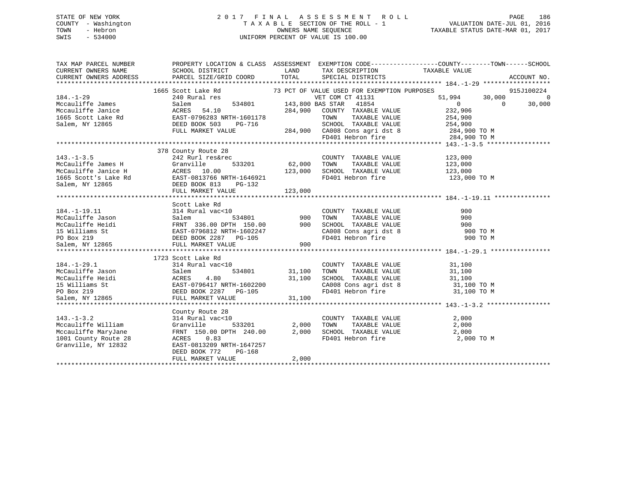## STATE OF NEW YORK 2 0 1 7 F I N A L A S S E S S M E N T R O L L PAGE 186 COUNTY - Washington T A X A B L E SECTION OF THE ROLL - 1 VALUATION DATE-JUL 01, 2016 TOWN - Hebron OWNERS NAME SEQUENCE TAXABLE STATUS DATE-MAR 01, 2017 SWIS - 534000 UNIFORM PERCENT OF VALUE IS 100.00

| TAX MAP PARCEL NUMBER                                                                                                                                                                                                                                                                                    |                                                                                                                  |                          |                                                                        | PROPERTY LOCATION & CLASS ASSESSMENT EXEMPTION CODE---------------COUNTY-------TOWN-----SCHOOL          |            |
|----------------------------------------------------------------------------------------------------------------------------------------------------------------------------------------------------------------------------------------------------------------------------------------------------------|------------------------------------------------------------------------------------------------------------------|--------------------------|------------------------------------------------------------------------|---------------------------------------------------------------------------------------------------------|------------|
| CURRENT OWNERS NAME                                                                                                                                                                                                                                                                                      | SCHOOL DISTRICT                                                                                                  | <b>EXAMPLE TO A LAND</b> | TAX DESCRIPTION TAXABLE VALUE                                          |                                                                                                         |            |
|                                                                                                                                                                                                                                                                                                          |                                                                                                                  |                          |                                                                        |                                                                                                         |            |
|                                                                                                                                                                                                                                                                                                          |                                                                                                                  |                          |                                                                        |                                                                                                         |            |
|                                                                                                                                                                                                                                                                                                          | 1665 Scott Lake Rd 73 PCT OF VALUE USED FOR EXEMPTION PURPOSES<br>240 Rural res 634801 143,800 BAS STAR 41854 51 |                          |                                                                        |                                                                                                         | 915J100224 |
| $184. - 1 - 29$                                                                                                                                                                                                                                                                                          |                                                                                                                  |                          |                                                                        | $51,994$ $30,000$ 0<br>0 0 30,000                                                                       |            |
|                                                                                                                                                                                                                                                                                                          |                                                                                                                  |                          |                                                                        |                                                                                                         |            |
|                                                                                                                                                                                                                                                                                                          |                                                                                                                  |                          |                                                                        |                                                                                                         |            |
|                                                                                                                                                                                                                                                                                                          |                                                                                                                  |                          |                                                                        |                                                                                                         |            |
|                                                                                                                                                                                                                                                                                                          |                                                                                                                  |                          |                                                                        |                                                                                                         |            |
|                                                                                                                                                                                                                                                                                                          |                                                                                                                  |                          |                                                                        |                                                                                                         |            |
|                                                                                                                                                                                                                                                                                                          |                                                                                                                  |                          |                                                                        |                                                                                                         |            |
| $\begin{array}{cccccccc} 184.-1-29 & 240~\text{Rural res} & 534801 & 143,800~\text{Bolm} & 534801 & 143,800~\text{Bolm} & 534801 & 143,800~\text{Bolm} & 534801 & 143,800~\text{Bolm} & 534801 & 143,800~\text{Bolm} & 534801 & 143,800~\text{Bolm} & 534801 & 143,800~\text{COUNTY} & 53484 & 0 & 0 & $ |                                                                                                                  |                          |                                                                        |                                                                                                         |            |
|                                                                                                                                                                                                                                                                                                          | 378 County Route 28                                                                                              |                          |                                                                        |                                                                                                         |            |
| $143. - 1 - 3.5$                                                                                                                                                                                                                                                                                         | 242 Rurl res&rec                                                                                                 |                          | COUNTY TAXABLE VALUE 123,000                                           |                                                                                                         |            |
|                                                                                                                                                                                                                                                                                                          | 533201 62,000 TOWN                                                                                               |                          |                                                                        | TAXABLE VALUE 123,000                                                                                   |            |
|                                                                                                                                                                                                                                                                                                          |                                                                                                                  |                          |                                                                        |                                                                                                         |            |
|                                                                                                                                                                                                                                                                                                          |                                                                                                                  |                          | 123,000 SCHOOL TAXABLE VALUE 123,000<br>FD401 Hebron fire 123,000 TO M |                                                                                                         |            |
|                                                                                                                                                                                                                                                                                                          |                                                                                                                  |                          |                                                                        |                                                                                                         |            |
| 143.-1-3.5<br>McCauliffe James H (1932)<br>McCauliffe Janice H (1933201 62,000<br>123,000<br>123,000<br>123,000<br>Salem, NY 12865<br>23,000<br>23,000<br>23,000<br>23,000<br>23,000<br>23,000<br>23,000<br>23,000<br>23,000<br>23,000<br>23,000<br>23,000<br>23,000                                     |                                                                                                                  | 123,000                  |                                                                        |                                                                                                         |            |
|                                                                                                                                                                                                                                                                                                          |                                                                                                                  |                          |                                                                        |                                                                                                         |            |
|                                                                                                                                                                                                                                                                                                          |                                                                                                                  |                          |                                                                        |                                                                                                         |            |
|                                                                                                                                                                                                                                                                                                          |                                                                                                                  |                          |                                                                        |                                                                                                         |            |
|                                                                                                                                                                                                                                                                                                          |                                                                                                                  |                          |                                                                        |                                                                                                         |            |
|                                                                                                                                                                                                                                                                                                          |                                                                                                                  |                          |                                                                        |                                                                                                         |            |
|                                                                                                                                                                                                                                                                                                          |                                                                                                                  |                          |                                                                        |                                                                                                         |            |
|                                                                                                                                                                                                                                                                                                          |                                                                                                                  |                          |                                                                        |                                                                                                         |            |
|                                                                                                                                                                                                                                                                                                          |                                                                                                                  |                          |                                                                        |                                                                                                         |            |
|                                                                                                                                                                                                                                                                                                          |                                                                                                                  |                          |                                                                        |                                                                                                         |            |
|                                                                                                                                                                                                                                                                                                          | 1723 Scott Lake Rd                                                                                               |                          |                                                                        |                                                                                                         |            |
| $184. - 1 - 29.1$                                                                                                                                                                                                                                                                                        | 314 Rural vac<10                                                                                                 |                          |                                                                        |                                                                                                         |            |
|                                                                                                                                                                                                                                                                                                          |                                                                                                                  |                          |                                                                        |                                                                                                         |            |
|                                                                                                                                                                                                                                                                                                          |                                                                                                                  |                          |                                                                        |                                                                                                         |            |
| $[34. -1-29.1$ McCauliffe Jason 534801 534801 31,100<br>McCauliffe Heidi ACRES 4.80 31,100<br>15 Williams St EAST-0796417 NRTH-1602200<br>29 DEED BOX 21965 EULL MARKET VALUE 31,100<br>29 DEED BOX 21965 EULL MARKET VALUE 31,100                                                                       |                                                                                                                  |                          |                                                                        | SCHOOL TAXABLE VALUE $31,100$<br>CA008 Cons agri dst 8 $31,100$ TO M<br>FD401 Hebron fire $31,100$ TO M |            |
|                                                                                                                                                                                                                                                                                                          |                                                                                                                  |                          |                                                                        |                                                                                                         |            |
| Salem, NY 12865                                                                                                                                                                                                                                                                                          | FULL MARKET VALUE                                                                                                | 31,100                   |                                                                        |                                                                                                         |            |
|                                                                                                                                                                                                                                                                                                          |                                                                                                                  |                          |                                                                        |                                                                                                         |            |
|                                                                                                                                                                                                                                                                                                          | County Route 28                                                                                                  |                          |                                                                        |                                                                                                         |            |
| $143. - 1 - 3.2$                                                                                                                                                                                                                                                                                         | 314 Rural vac<10                                                                                                 |                          | COUNTY TAXABLE VALUE 2,000                                             |                                                                                                         |            |
|                                                                                                                                                                                                                                                                                                          |                                                                                                                  | 533201 2,000 TOWN        |                                                                        | TAXABLE VALUE 2,000                                                                                     |            |
| Mccauliffe MaryJane $\begin{array}{l}$ FRNT 150.00 DPTH 240.00 $\end{array}$ 2,000 SCHOOL TAXABLE VALUE $\begin{array}{l} 2,000 \\ 2,000 \end{array}$ 2,000 1001 County Route 28 $\begin{array}{l} 2,000 \\ 2,000 \end{array}$                                                                           |                                                                                                                  |                          |                                                                        |                                                                                                         |            |
|                                                                                                                                                                                                                                                                                                          |                                                                                                                  |                          |                                                                        | 2,000 TO M                                                                                              |            |
| Granville, NY 12832                                                                                                                                                                                                                                                                                      | EAST-0813209 NRTH-1647257                                                                                        |                          |                                                                        |                                                                                                         |            |
|                                                                                                                                                                                                                                                                                                          | DEED BOOK 772<br>PG-168                                                                                          |                          |                                                                        |                                                                                                         |            |
|                                                                                                                                                                                                                                                                                                          | FULL MARKET VALUE                                                                                                | 2,000                    |                                                                        |                                                                                                         |            |
|                                                                                                                                                                                                                                                                                                          |                                                                                                                  |                          |                                                                        |                                                                                                         |            |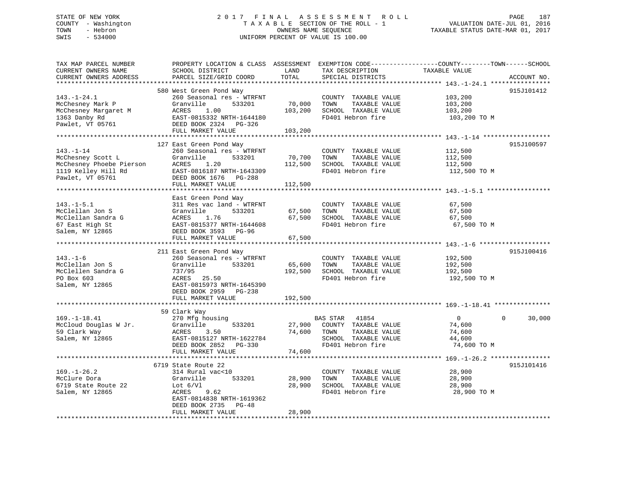## STATE OF NEW YORK 2 0 1 7 F I N A L A S S E S S M E N T R O L L PAGE 187 COUNTY - Washington T A X A B L E SECTION OF THE ROLL - 1 VALUATION DATE-JUL 01, 2016 TOWN - Hebron OWNERS NAME SEQUENCE TAXABLE STATUS DATE-MAR 01, 2017 SWIS - 534000 UNIFORM PERCENT OF VALUE IS 100.00

| TAX MAP PARCEL NUMBER<br>CURRENT OWNERS NAME<br>CURRENT OWNERS ADDRESS                                                         | PROPERTY LOCATION & CLASS ASSESSMENT EXEMPTION CODE----------------COUNTY-------TOWN------SCHOOL<br>SCHOOL DISTRICT<br>PARCEL SIZE/GRID COORD                                   | LAND<br>TOTAL                | TAX DESCRIPTION<br>SPECIAL DISTRICTS                                                                         | TAXABLE VALUE                                               | ACCOUNT NO.        |
|--------------------------------------------------------------------------------------------------------------------------------|---------------------------------------------------------------------------------------------------------------------------------------------------------------------------------|------------------------------|--------------------------------------------------------------------------------------------------------------|-------------------------------------------------------------|--------------------|
| $143. - 1 - 24.1$<br>McChesney Mark P<br>McChesney Margaret M<br>1363 Danby Rd<br>Pawlet, VT 05761<br>************************ | 580 West Green Pond Way<br>260 Seasonal res - WTRFNT<br>Granville<br>533201<br>ACRES<br>1.00<br>EAST-0815332 NRTH-1644180<br>DEED BOOK 2324 PG-326<br>FULL MARKET VALUE         | 70,000<br>103,200<br>103,200 | COUNTY TAXABLE VALUE<br>TAXABLE VALUE<br>TOWN<br>SCHOOL TAXABLE VALUE<br>FD401 Hebron fire                   | 103,200<br>103,200<br>103,200<br>103,200 TO M               | 915J101412         |
| $143. - 1 - 14$<br>McChesney Scott L<br>McChesney Phoebe Pierson<br>1119 Kelley Hill Rd<br>Pawlet, VT 05761                    | 127 East Green Pond Way<br>260 Seasonal res - WTRFNT<br>Granville<br>533201<br>ACRES<br>1.20<br>EAST-0816187 NRTH-1643309<br>DEED BOOK 1676 PG-288<br>FULL MARKET VALUE         | 70,700<br>112,500<br>112,500 | COUNTY TAXABLE VALUE<br>TOWN<br>TAXABLE VALUE<br>SCHOOL TAXABLE VALUE<br>FD401 Hebron fire                   | 112,500<br>112,500<br>112,500<br>112,500 TO M               | 915J100597         |
|                                                                                                                                | East Green Pond Way                                                                                                                                                             |                              |                                                                                                              |                                                             |                    |
| $143. - 1 - 5.1$<br>McClellan Jon S<br>McClellan Sandra G<br>67 East High St<br>Salem, NY 12865                                | 311 Res vac land - WTRFNT<br>Granville<br>533201<br>ACRES<br>1.76<br>EAST-0815377 NRTH-1644608<br>DEED BOOK 3593 PG-96                                                          | 67,500<br>67,500             | COUNTY TAXABLE VALUE<br>TAXABLE VALUE<br>TOWN<br>SCHOOL TAXABLE VALUE<br>FD401 Hebron fire                   | 67,500<br>67,500<br>67,500<br>67,500 TO M                   |                    |
|                                                                                                                                | FULL MARKET VALUE                                                                                                                                                               | 67,500                       |                                                                                                              |                                                             |                    |
| $143. - 1 - 6$<br>McClellan Jon S<br>McClellen Sandra G<br>PO Box 603<br>Salem, NY 12865                                       | 211 East Green Pond Way<br>260 Seasonal res - WTRFNT<br>Granville<br>533201<br>737/95<br>ACRES 25.50<br>EAST-0815973 NRTH-1645390<br>DEED BOOK 2959 PG-238<br>FULL MARKET VALUE | 65,600<br>192,500<br>192,500 | COUNTY TAXABLE VALUE<br>TAXABLE VALUE<br>TOWN<br>SCHOOL TAXABLE VALUE<br>FD401 Hebron fire                   | 192,500<br>192,500<br>192,500<br>192,500 TO M               | 915J100416         |
|                                                                                                                                |                                                                                                                                                                                 |                              |                                                                                                              |                                                             |                    |
| $169. - 1 - 18.41$<br>McCloud Douglas W Jr.<br>59 Clark Way<br>Salem, NY 12865                                                 | 59 Clark Way<br>270 Mfg housing<br>Granville<br>533201<br>3.50<br>ACRES<br>EAST-0815127 NRTH-1622784<br>DEED BOOK 2852 PG-330                                                   | 27,900<br>74,600             | BAS STAR 41854<br>COUNTY TAXABLE VALUE<br>TAXABLE VALUE<br>TOWN<br>SCHOOL TAXABLE VALUE<br>FD401 Hebron fire | $\overline{0}$<br>74,600<br>74,600<br>44,600<br>74,600 TO M | $\Omega$<br>30,000 |
|                                                                                                                                | FULL MARKET VALUE                                                                                                                                                               | 74,600                       |                                                                                                              |                                                             |                    |
| $169. - 1 - 26.2$<br>McClure Dora<br>6719 State Route 22<br>Salem, NY 12865<br>*************************                       | 6719 State Route 22<br>314 Rural vac<10<br>Granville<br>533201<br>Lot $6/V1$<br>9.62<br>ACRES<br>EAST-0814838 NRTH-1619362<br>DEED BOOK 2735 PG-48<br>FULL MARKET VALUE         | 28,900<br>28,900<br>28,900   | COUNTY TAXABLE VALUE<br>TAXABLE VALUE<br>TOWN<br>SCHOOL TAXABLE VALUE<br>FD401 Hebron fire                   | 28,900<br>28,900<br>28,900<br>28,900 TO M                   | 915J101416         |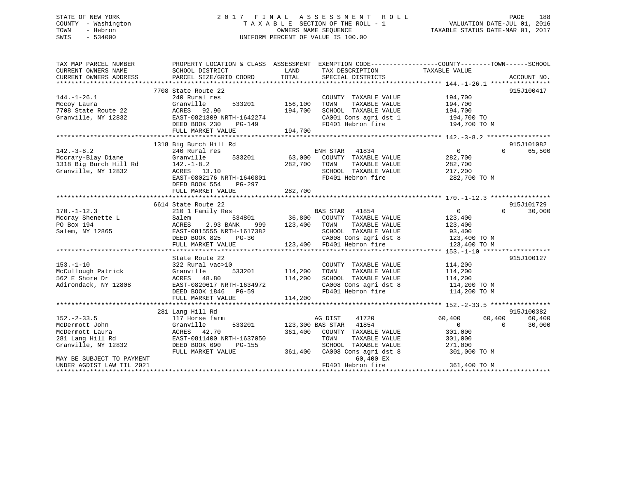## STATE OF NEW YORK 2 0 1 7 F I N A L A S S E S S M E N T R O L L PAGE 188 COUNTY - Washington T A X A B L E SECTION OF THE ROLL - 1 VALUATION DATE-JUL 01, 2016 TOWN - Hebron OWNERS NAME SEQUENCE TAXABLE STATUS DATE-MAR 01, 2017 SWIS - 534000 UNIFORM PERCENT OF VALUE IS 100.00

| TAX MAP PARCEL NUMBER<br>CURRENT OWNERS NAME<br>CURRENT OWNERS ADDRESS                                                         | PROPERTY LOCATION & CLASS ASSESSMENT<br>SCHOOL DISTRICT<br>PARCEL SIZE/GRID COORD                                                                                              | LAND<br>TOTAL                 | EXEMPTION CODE-----------------COUNTY-------TOWN------SCHOOL<br>TAX DESCRIPTION<br>SPECIAL DISTRICTS                                                      | TAXABLE VALUE                                                                  | ACCOUNT NO.                                          |
|--------------------------------------------------------------------------------------------------------------------------------|--------------------------------------------------------------------------------------------------------------------------------------------------------------------------------|-------------------------------|-----------------------------------------------------------------------------------------------------------------------------------------------------------|--------------------------------------------------------------------------------|------------------------------------------------------|
| $144. - 1 - 26.1$<br>Mccoy Laura<br>7708 State Route 22<br>Granville, NY 12832                                                 | 7708 State Route 22<br>240 Rural res<br>Granville<br>533201<br>ACRES 92.90<br>EAST-0821309 NRTH-1642274                                                                        | 156,100<br>194,700            | COUNTY TAXABLE VALUE<br>TOWN<br>TAXABLE VALUE<br>SCHOOL TAXABLE VALUE<br>CA001 Cons agri dst 1                                                            | 194,700<br>194,700<br>194,700<br>194,700 TO                                    | 915J100417                                           |
|                                                                                                                                | DEED BOOK 230<br>PG-149<br>FULL MARKET VALUE                                                                                                                                   | 194,700                       | FD401 Hebron fire                                                                                                                                         | 194,700 TO M                                                                   |                                                      |
|                                                                                                                                |                                                                                                                                                                                |                               |                                                                                                                                                           |                                                                                |                                                      |
| $142. - 3 - 8.2$<br>Mccrary-Blay Diane<br>1318 Big Burch Hill Rd<br>Granville, NY 12832                                        | 1318 Big Burch Hill Rd<br>240 Rural res<br>533201<br>Granville<br>$142. - 1 - 8.2$<br>ACRES 13.10<br>EAST-0802176 NRTH-1640801<br>DEED BOOK 554<br>PG-297<br>FULL MARKET VALUE | 63,000<br>282,700<br>282,700  | ENH STAR 41834<br>COUNTY TAXABLE VALUE<br>TOWN<br>TAXABLE VALUE<br>SCHOOL TAXABLE VALUE<br>FD401 Hebron fire                                              | $\Omega$<br>282,700<br>282,700<br>217,200<br>282,700 TO M                      | 915J101082<br>$\Omega$<br>65,500                     |
|                                                                                                                                |                                                                                                                                                                                |                               |                                                                                                                                                           |                                                                                |                                                      |
|                                                                                                                                | 6614 State Route 22                                                                                                                                                            |                               |                                                                                                                                                           |                                                                                | 915J101729                                           |
| $170. - 1 - 12.3$<br>Mccray Shenette L<br>PO Box 194<br>Salem, NY 12865                                                        | 210 1 Family Res<br>Salem<br>534801<br>ACRES<br>2.93 BANK<br>999<br>EAST-0815555 NRTH-1617382<br>DEED BOOK 825<br>$PG-30$<br>FULL MARKET VALUE                                 | 123,400                       | 41854<br>BAS STAR<br>36,800 COUNTY TAXABLE VALUE<br>TOWN<br>TAXABLE VALUE<br>SCHOOL TAXABLE VALUE<br>CA008 Cons agri dst 8<br>123,400 FD401 Hebron fire   | $\overline{0}$<br>123,400<br>123,400<br>93,400<br>123,400 TO M<br>123,400 TO M | $\Omega$<br>30,000                                   |
|                                                                                                                                |                                                                                                                                                                                |                               |                                                                                                                                                           |                                                                                |                                                      |
| $153. - 1 - 10$<br>McCullough Patrick<br>562 E Shore Dr<br>Adirondack, NY 12808                                                | State Route 22<br>322 Rural vac>10<br>Granville<br>533201<br>ACRES 48.80<br>EAST-0820617 NRTH-1634972<br>DEED BOOK 1846 PG-59<br>FULL MARKET VALUE                             | 114,200<br>114,200<br>114,200 | COUNTY TAXABLE VALUE<br>TOWN<br>TAXABLE VALUE<br>SCHOOL TAXABLE VALUE<br>CA008 Cons agri dst 8<br>FD401 Hebron fire                                       | 114,200<br>114,200<br>114,200<br>114,200 TO M<br>114,200 TO M                  | 915J100127                                           |
|                                                                                                                                |                                                                                                                                                                                |                               |                                                                                                                                                           |                                                                                |                                                      |
| $152. - 2 - 33.5$<br>McDermott John<br>McDermott Laura<br>281 Lang Hill Rd<br>Granville, NY 12832<br>MAY BE SUBJECT TO PAYMENT | 281 Lang Hill Rd<br>117 Horse farm<br>Granville<br>533201<br>ACRES 42.70<br>EAST-0811400 NRTH-1637050<br>DEED BOOK 690<br><b>PG-155</b><br>FULL MARKET VALUE                   | 361,400<br>361,400            | 41720<br>AG DIST<br>123,300 BAS STAR 41854<br>COUNTY TAXABLE VALUE<br>TOWN<br>TAXABLE VALUE<br>SCHOOL TAXABLE VALUE<br>CA008 Cons agri dst 8<br>60,400 EX | 60,400<br>$\overline{0}$<br>301,000<br>301,000<br>271,000<br>301,000 TO M      | 915J100382<br>60,400<br>60,400<br>$\Omega$<br>30,000 |
| UNDER AGDIST LAW TIL 2021                                                                                                      |                                                                                                                                                                                |                               | FD401 Hebron fire                                                                                                                                         | 361,400 TO M                                                                   |                                                      |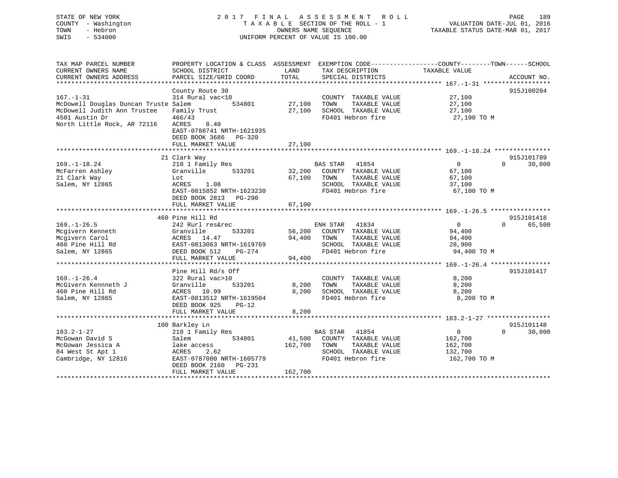| TOWN<br>SWIS | STATE OF NEW YORK<br>COUNTY - Washington<br>- Hebron<br>$-534000$ |                                                         |      | 2017 FINAL ASSESSMENT ROLL<br>TAXABLE SECTION OF THE ROLL - 1<br>OWNERS NAME SEOUENCE<br>UNIFORM PERCENT OF VALUE IS 100.00 | VALUATION DATE-JUL 01, 2016<br>TAXABLE STATUS DATE-MAR 01, 2017 | PAGE | 189 |
|--------------|-------------------------------------------------------------------|---------------------------------------------------------|------|-----------------------------------------------------------------------------------------------------------------------------|-----------------------------------------------------------------|------|-----|
|              | TAX MAP PARCEL NUMBER<br>CURRENT OWNERS NAME                      | PROPERTY LOCATION & CLASS ASSESSMENT<br>SCHOOL DISTRICT | LAND | EXEMPTION CODE-----------------COUNTY-------TOWN------SCHOOL<br>TAX DESCRIPTION                                             | TAXABLE VALUE                                                   |      |     |

| condumni omnuno immid                |                           |              |                              |                      |             |
|--------------------------------------|---------------------------|--------------|------------------------------|----------------------|-------------|
| CURRENT OWNERS ADDRESS               | PARCEL SIZE/GRID COORD    | TOTAL        | SPECIAL DISTRICTS            |                      | ACCOUNT NO. |
|                                      |                           |              |                              |                      |             |
|                                      | County Route 30           |              |                              |                      | 915J100204  |
| $167. - 1 - 31$                      | 314 Rural vac<10          |              | COUNTY TAXABLE VALUE         | 27,100               |             |
| McDowell Douglas Duncan Truste Salem | 534801                    | 27,100       | TOWN<br>TAXABLE VALUE        | 27,100               |             |
| McDowell Judith Ann Trustee          | Family Trust              |              | 27,100 SCHOOL TAXABLE VALUE  | 27,100               |             |
| 4501 Austin Dr                       | 466/43                    |              | FD401 Hebron fire            | 27,100 TO M          |             |
| North Little Rock, AR 72116          | ACRES<br>8.40             |              |                              |                      |             |
|                                      | EAST-0788741 NRTH-1621935 |              |                              |                      |             |
|                                      | DEED BOOK 3686 PG-320     |              |                              |                      |             |
|                                      | FULL MARKET VALUE         | 27,100       |                              |                      |             |
|                                      |                           |              |                              |                      |             |
|                                      | 21 Clark Way              |              |                              |                      | 915J101789  |
| $169. - 1 - 18.24$                   | 210 1 Family Res          |              | BAS STAR 41854               | 0<br>$\Omega$        | 30,000      |
| McFarren Ashley                      | Granville<br>533201       |              | 32,200 COUNTY TAXABLE VALUE  | 67,100               |             |
| 21 Clark Way                         | Lot                       |              | 67,100 TOWN<br>TAXABLE VALUE | 67,100               |             |
| Salem, NY 12865                      | ACRES 1.08                |              | SCHOOL TAXABLE VALUE         | 37,100               |             |
|                                      | EAST-0815852 NRTH-1623230 |              | FD401 Hebron fire            | 67,100 TO M          |             |
|                                      | DEED BOOK 2813 PG-290     |              |                              |                      |             |
|                                      | FULL MARKET VALUE         | 67,100       |                              |                      |             |
|                                      |                           |              |                              |                      |             |
|                                      | 460 Pine Hill Rd          |              |                              |                      | 915J101418  |
| $169. - 1 - 26.5$                    | 242 Rurl res&rec          |              | ENH STAR 41834               | $\Omega$<br>$\Omega$ | 65,500      |
| Mcgivern Kenneth                     | Granville<br>533201       |              | 56,200 COUNTY TAXABLE VALUE  | 94,400               |             |
| Mcgivern Carol                       | ACRES 14.47               |              | 94,400 TOWN<br>TAXABLE VALUE | 94,400               |             |
| 460 Pine Hill Rd                     | EAST-0813063 NRTH-1619769 |              | SCHOOL TAXABLE VALUE         | 28,900               |             |
| Salem, NY 12865                      | DEED BOOK 512<br>PG-274   |              | FD401 Hebron fire            | 94,400 TO M          |             |
|                                      | FULL MARKET VALUE         | 94,400       |                              |                      |             |
|                                      |                           |              |                              |                      |             |
|                                      | Pine Hill Rd/s Off        |              |                              |                      | 915J101417  |
| $169. - 1 - 26.4$                    | 322 Rural vac>10          |              | COUNTY TAXABLE VALUE         | 8,200                |             |
| McGivern Kennneth J                  | Granville<br>533201       | 8,200        | TOWN<br>TAXABLE VALUE        | 8,200                |             |
| 460 Pine Hill Rd                     | ACRES 10.99               | 8,200        | SCHOOL TAXABLE VALUE         | 8,200                |             |
| Salem, NY 12865                      | EAST-0813512 NRTH-1619504 |              | FD401 Hebron fire            | 8,200 TO M           |             |
|                                      | DEED BOOK 925<br>$PG-12$  |              |                              |                      |             |
|                                      | FULL MARKET VALUE         | 8,200        |                              |                      |             |
|                                      |                           |              |                              |                      |             |
|                                      | 100 Barkley Ln            |              |                              |                      | 915J101148  |
| $183.2 - 1 - 27$                     | 210 1 Family Res          |              | <b>BAS STAR</b> 41854        | 0<br>$\Omega$        | 30,000      |
| McGowan David S                      | Salem<br>534801           |              | 41,500 COUNTY TAXABLE VALUE  | 162,700              |             |
| McGowan Jessica A                    | lake access               | 162,700 TOWN | TAXABLE VALUE                | 162,700              |             |
| 84 West St Apt 1                     | ACRES<br>2.62             |              | SCHOOL TAXABLE VALUE         | 132,700              |             |
| Cambridge, NY 12816                  | EAST-0787000 NRTH-1605779 |              | FD401 Hebron fire            | 162,700 TO M         |             |
|                                      | DEED BOOK 2160<br>PG-231  |              |                              |                      |             |
|                                      | FULL MARKET VALUE         | 162,700      |                              |                      |             |
|                                      |                           |              |                              |                      |             |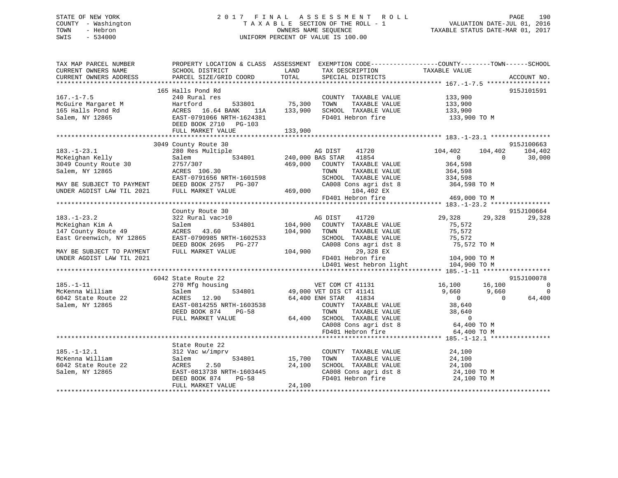## STATE OF NEW YORK 2 0 1 7 F I N A L A S S E S S M E N T R O L L PAGE 190 COUNTY - Washington T A X A B L E SECTION OF THE ROLL - 1 VALUATION DATE-JUL 01, 2016 TOWN - Hebron OWNERS NAME SEQUENCE TAXABLE STATUS DATE-MAR 01, 2017 SWIS - 534000 UNIFORM PERCENT OF VALUE IS 100.00

| TAX MAP PARCEL NUMBER<br>CURRENT OWNERS NAME<br>CURRENT OWNERS ADDRESS                                                                                                             | SCHOOL DISTRICT<br>PARCEL SIZE/GRID COORD | LAND<br>TOTAL           | TAX DESCRIPTION<br>SPECIAL DISTRICTS          | PROPERTY LOCATION & CLASS ASSESSMENT EXEMPTION CODE----------------COUNTY-------TOWN------SCHOOL<br>TAXABLE VALUE | ACCOUNT NO.    |
|------------------------------------------------------------------------------------------------------------------------------------------------------------------------------------|-------------------------------------------|-------------------------|-----------------------------------------------|-------------------------------------------------------------------------------------------------------------------|----------------|
|                                                                                                                                                                                    |                                           |                         |                                               |                                                                                                                   |                |
|                                                                                                                                                                                    | 165 Halls Pond Rd                         |                         |                                               |                                                                                                                   | 915J101591     |
|                                                                                                                                                                                    |                                           |                         | COUNTY TAXABLE VALUE 133,900                  |                                                                                                                   |                |
|                                                                                                                                                                                    |                                           | 533801 75,300           | TOWN<br>TAXABLE VALUE                         | 133,900<br>133,900                                                                                                |                |
|                                                                                                                                                                                    |                                           | 133,900                 | SCHOOL TAXABLE VALUE                          |                                                                                                                   |                |
| 167.-1-7.5<br>McGuire Margaret M<br>165 Halls Pond Rd<br>Salem, NY 12865<br>2008 EAST-0791066 NRTH-1624381<br>2008 EAST-0791066 NRTH-1624381<br>2008 DEED BOOK 2710<br>2009 PG-103 |                                           | 133,900                 |                                               | FD401 Hebron fire 133,900 TO M                                                                                    |                |
|                                                                                                                                                                                    |                                           |                         |                                               |                                                                                                                   |                |
|                                                                                                                                                                                    | 3049 County Route 30                      |                         |                                               |                                                                                                                   | 915J100663     |
| $183. - 1 - 23.1$                                                                                                                                                                  | 280 Res Multiple                          |                         | 41720<br>AG DIST                              | 104,402<br>104,402                                                                                                | 104,402        |
| McKeighan Kelly                                                                                                                                                                    | Salem                                     | 534801 240,000 BAS STAR | 41854                                         | $\Omega$<br>$\Omega$                                                                                              | 30,000         |
| 3049 County Route 30                                                                                                                                                               | 2757/307                                  | 469,000                 | COUNTY TAXABLE VALUE                          | 364,598                                                                                                           |                |
| Salem, NY 12865                                                                                                                                                                    | ACRES 106.30                              |                         | TOWN<br>TAXABLE VALUE                         | 364,598                                                                                                           |                |
|                                                                                                                                                                                    | EAST-0791656 NRTH-1601598                 |                         | SCHOOL TAXABLE VALUE                          | 334,598                                                                                                           |                |
| MAY BE SUBJECT TO PAYMENT<br>AND THE TAM TIL 2021                                                                                                                                  | DEED BOOK 2757 PG-307                     | $469,000$ CAO           | CA008 Cons agri dst 8                         | 364,598 TO M                                                                                                      |                |
| UNDER AGDIST LAW TIL 2021                                                                                                                                                          | FULL MARKET VALUE                         |                         | 104,402 EX                                    |                                                                                                                   |                |
|                                                                                                                                                                                    |                                           |                         | FD401 Hebron fire                             | 469,000 TO M                                                                                                      |                |
|                                                                                                                                                                                    |                                           |                         |                                               |                                                                                                                   |                |
|                                                                                                                                                                                    | County Route 30                           |                         |                                               |                                                                                                                   | 915J100664     |
| $183. - 1 - 23.2$                                                                                                                                                                  | 322 Rural vac>10                          |                         | AG DIST<br>41720                              | 29,328<br>29,328                                                                                                  | 29,328         |
| McKeighan Kim A                                                                                                                                                                    | 534801<br>Salem                           | 104,900                 | COUNTY TAXABLE VALUE                          | 75,572                                                                                                            |                |
| 147 County Route 49<br>East Greenwich, NY 12865                                                                                                                                    | ACRES 43.60<br>EAST-0790985 NRTH-1602533  | 104,900                 | TOWN<br>TAXABLE VALUE<br>SCHOOL TAXABLE VALUE | 75,572<br>75,572                                                                                                  |                |
|                                                                                                                                                                                    | DEED BOOK 2695 PG-277                     |                         | CA008 Cons agri dst 8                         | 75,572 TO M                                                                                                       |                |
| MAY BE SUBJECT TO PAYMENT                                                                                                                                                          | FULL MARKET VALUE                         | 104,900                 | 29,328 EX                                     |                                                                                                                   |                |
| UNDER AGDIST LAW TIL 2021                                                                                                                                                          |                                           |                         | FD401 Hebron fire                             | 104,900 TO M                                                                                                      |                |
|                                                                                                                                                                                    |                                           |                         | LD401 West hebron light                       | 104,900 TO M                                                                                                      |                |
|                                                                                                                                                                                    |                                           |                         |                                               |                                                                                                                   |                |
|                                                                                                                                                                                    | 6042 State Route 22                       |                         |                                               |                                                                                                                   | 915J100078     |
| $185. - 1 - 11$                                                                                                                                                                    | 270 Mfg housing                           |                         | VET COM CT 41131 16,100                       | 16,100                                                                                                            | $\overline{0}$ |
| McKenna William                                                                                                                                                                    | Salem<br>534801                           |                         | 49,000 VET DIS CT 41141                       | 9,660<br>9,660                                                                                                    | $\overline{0}$ |
| 6042 State Route 22                                                                                                                                                                | ACRES 12.90                               |                         | 41834<br>64,400 ENH STAR                      | $\overline{0}$<br>$\Omega$                                                                                        | 64,400         |
| Salem, NY 12865                                                                                                                                                                    | EAST-0814255 NRTH-1603538                 |                         | COUNTY TAXABLE VALUE                          | 38,640<br>38,640                                                                                                  |                |
|                                                                                                                                                                                    | DEED BOOK 874<br>$PG-58$                  |                         |                                               | TOWN TAXABLE VALUE<br>SCHOOL TAXABLE VALUE<br>CA008 Cons agri dst 8 64,400 TO M                                   |                |
|                                                                                                                                                                                    | FULL MARKET VALUE                         | 64,400                  |                                               |                                                                                                                   |                |
|                                                                                                                                                                                    |                                           |                         |                                               |                                                                                                                   |                |
|                                                                                                                                                                                    |                                           |                         | FD401 Hebron fire                             | 64,400 TO M                                                                                                       |                |
|                                                                                                                                                                                    |                                           |                         |                                               |                                                                                                                   |                |
| $185. - 1 - 12.1$                                                                                                                                                                  | State Route 22                            |                         |                                               |                                                                                                                   |                |
| McKenna William                                                                                                                                                                    | 312 Vac w/imprv<br>534801<br>Salem        | 15,700                  | COUNTY TAXABLE VALUE<br>TOWN<br>TAXABLE VALUE | 24,100<br>24,100                                                                                                  |                |
| 6042 State Route 22                                                                                                                                                                | 2.50<br>ACRES                             | 24,100                  | SCHOOL TAXABLE VALUE                          | 24,100                                                                                                            |                |
| Salem, NY 12865                                                                                                                                                                    | EAST-0813738 NRTH-1603445                 |                         |                                               | 24,100 TO M                                                                                                       |                |
|                                                                                                                                                                                    | DEED BOOK 874<br>PG-58                    |                         | CA008 Cons agri dst 8<br>FD401 Hebron fire    | $24,100$ TO M                                                                                                     |                |
|                                                                                                                                                                                    | FULL MARKET VALUE                         | 24,100                  |                                               |                                                                                                                   |                |
|                                                                                                                                                                                    |                                           |                         |                                               |                                                                                                                   |                |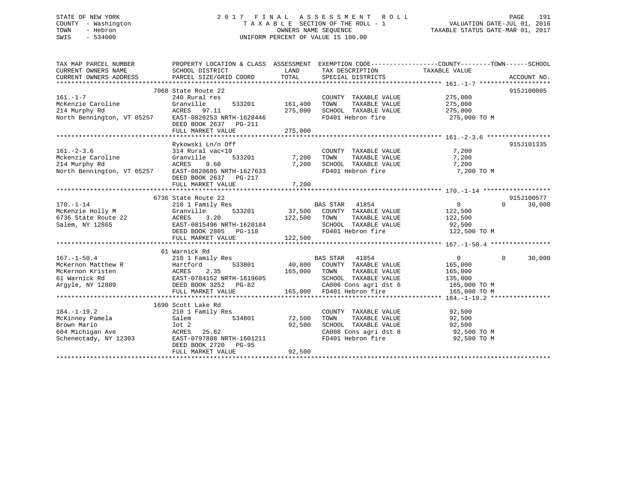## STATE OF NEW YORK 2 0 1 7 F I N A L A S S E S S M E N T R O L L PAGE 191 COUNTY - Washington T A X A B L E SECTION OF THE ROLL - 1 VALUATION DATE-JUL 01, 2016 TOWN - Hebron OWNERS NAME SEQUENCE TAXABLE STATUS DATE-MAR 01, 2017 SWIS - 534000 UNIFORM PERCENT OF VALUE IS 100.00

| TAX MAP PARCEL NUMBER                                                                                                                                  | PROPERTY LOCATION & CLASS ASSESSMENT EXEMPTION CODE---------------COUNTY-------TOWN------SCHOOL |                |                                               | TAXABLE VALUE           |                    |
|--------------------------------------------------------------------------------------------------------------------------------------------------------|-------------------------------------------------------------------------------------------------|----------------|-----------------------------------------------|-------------------------|--------------------|
| CURRENT OWNERS NAME<br>CURRENT OWNERS ADDRESS                                                                                                          | SCHOOL DISTRICT<br>PARCEL SIZE/GRID COORD                                                       | LAND<br>TOTAL  | TAX DESCRIPTION<br>SPECIAL DISTRICTS          |                         | ACCOUNT NO.        |
|                                                                                                                                                        |                                                                                                 |                |                                               |                         |                    |
|                                                                                                                                                        | 7068 State Route 22                                                                             |                |                                               |                         | 915J100005         |
| $161. - 1 - 7$                                                                                                                                         | 240 Rural res                                                                                   |                | COUNTY TAXABLE VALUE                          | 275,000                 |                    |
| McKenzie Caroline                                                                                                                                      | Granville                                                                                       | 533201 161,400 | TAXABLE VALUE<br>TOWN                         | 275,000                 |                    |
| 214 Murphy Rd                                                                                                                                          | ACRES 97.11                                                                                     | 275,000        | SCHOOL TAXABLE VALUE                          | 275,000                 |                    |
| North Bennington, VT 05257 EAST-0820253 NRTH-1628446                                                                                                   |                                                                                                 |                | FD401 Hebron fire                             | 275,000 TO M            |                    |
|                                                                                                                                                        | DEED BOOK 2637 PG-211                                                                           |                |                                               |                         |                    |
|                                                                                                                                                        | FULL MARKET VALUE                                                                               | 275,000        |                                               |                         |                    |
|                                                                                                                                                        |                                                                                                 |                |                                               |                         |                    |
|                                                                                                                                                        | Rykowski Ln/n Off                                                                               |                |                                               |                         | 915J101335         |
| $161. - 2 - 3.6$                                                                                                                                       | 314 Rural vac<10                                                                                |                | COUNTY TAXABLE VALUE                          | 7,200                   |                    |
|                                                                                                                                                        | 533201                                                                                          | 7,200          | TOWN<br>TAXABLE VALUE                         | 7,200                   |                    |
| Mckenzie Caroline<br>214 Murphy Rd<br>North Bennington, VT 05257<br>214 Murphy Rd<br>214 Murphy Rd<br>214 Murphy Rd<br>215 McRES<br>21685 NRTH-1627633 |                                                                                                 | 7,200          | SCHOOL TAXABLE VALUE<br>FD401 Hebron fire     | 7,200                   |                    |
|                                                                                                                                                        | DEED BOOK 2637 PG-217                                                                           |                |                                               | 7,200 TO M              |                    |
|                                                                                                                                                        | FULL MARKET VALUE                                                                               | 7,200          |                                               |                         |                    |
|                                                                                                                                                        |                                                                                                 |                |                                               |                         |                    |
|                                                                                                                                                        | 6736 State Route 22                                                                             |                |                                               |                         | 915J100577         |
| $170. - 1 - 14$                                                                                                                                        | 210 1 Family Res                                                                                |                |                                               | 0                       | $\Omega$<br>30,000 |
| McKenzie Holly M                                                                                                                                       | 533201<br>Granville                                                                             |                | BAS STAR 41854<br>37,500 COUNTY TAXABLE VALUE | 122,500                 |                    |
|                                                                                                                                                        | 3.20<br>ACRES                                                                                   | 122,500 TOWN   |                                               | TAXABLE VALUE 122,500   |                    |
| 6736 State Route 22<br>Salem, NY 12865                                                                                                                 | EAST-0815496 NRTH-1620184                                                                       |                |                                               | 92,500                  |                    |
|                                                                                                                                                        | DEED BOOK 2805 PG-118                                                                           |                | SCHOOL TAXABLE VALUE<br>FD401 Hebron fire     | 122,500 TO M            |                    |
|                                                                                                                                                        | FULL MARKET VALUE                                                                               | 122,500        |                                               |                         |                    |
|                                                                                                                                                        |                                                                                                 |                |                                               |                         |                    |
|                                                                                                                                                        | 61 Warnick Rd                                                                                   |                |                                               |                         |                    |
| $167. - 1 - 50.4$                                                                                                                                      | 210 1 Family Res                                                                                |                | BAS STAR 41854                                | $\overline{0}$          | 30,000<br>$\Omega$ |
| McKernon Matthew R                                                                                                                                     |                                                                                                 |                | 40,800 COUNTY TAXABLE VALUE                   | 165,000                 |                    |
| McKernon Kristen                                                                                                                                       |                                                                                                 | 165,000        | TAXABLE VALUE<br>TOWN                         | 165,000                 |                    |
| 61 Warnick Rd<br>Argyle, NY 12809                                                                                                                      | DEED BOOK 3252 PG-82                                                                            |                | SCHOOL TAXABLE VALUE                          | 135,000<br>165,000 TO M |                    |
|                                                                                                                                                        | FULL MARKET VALUE                                                                               | 165,000        | CA006 Cons agri dst 6<br>FD401 Hebron fire    | 165,000 TO M            |                    |
|                                                                                                                                                        |                                                                                                 |                |                                               |                         |                    |
|                                                                                                                                                        | 1690 Scott Lake Rd                                                                              |                |                                               |                         |                    |
| $184. - 1 - 19.2$                                                                                                                                      | 210 1 Family Res                                                                                |                | COUNTY TAXABLE VALUE                          | 92,500                  |                    |
| McKinney Pamela                                                                                                                                        | Salem                                                                                           | 534801 72,500  | TOWN<br>TAXABLE VALUE                         | 92,500                  |                    |
| Brown Mario                                                                                                                                            | $1$ ot $2$                                                                                      | 92,500         |                                               |                         |                    |
| 604 Michigan Ave                                                                                                                                       | ACRES 25.62                                                                                     |                | SCHOOL TAXABLE VALUE<br>CA008 Cons agri dst 8 | 92,500<br>92,500 TO M   |                    |
| Schenectady, NY 12303                                                                                                                                  | EAST-0797808 NRTH-1601211                                                                       |                | FD401 Hebron fire                             | 92,500 TO M             |                    |
|                                                                                                                                                        | DEED BOOK 2720 PG-95                                                                            |                |                                               |                         |                    |
|                                                                                                                                                        | FULL MARKET VALUE                                                                               | 92,500         |                                               |                         |                    |
|                                                                                                                                                        |                                                                                                 |                |                                               |                         |                    |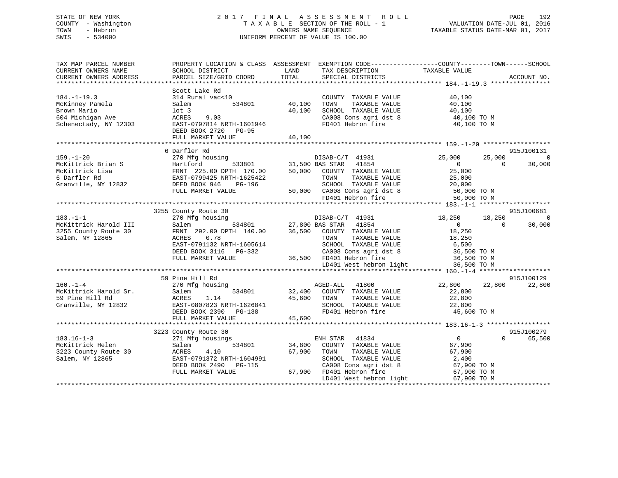## STATE OF NEW YORK 2 0 1 7 F I N A L A S S E S S M E N T R O L L PAGE 192 COUNTY - Washington T A X A B L E SECTION OF THE ROLL - 1 VALUATION DATE-JUL 01, 2016 TOWN - Hebron OWNERS NAME SEQUENCE TAXABLE STATUS DATE-MAR 01, 2017 SWIS - 534000 UNIFORM PERCENT OF VALUE IS 100.00

| TAX MAP PARCEL NUMBER<br>CURRENT OWNERS NAME<br>CURRENT OWNERS ADDRESS                                     | SCHOOL DISTRICT<br>PARCEL SIZE/GRID COORD                                                                                                                   | LAND<br>TOTAL<br>SPECIAL DISTRICTS                                                                                                                                                                                                                                                                                                                                                                        | PROPERTY LOCATION & CLASS ASSESSMENT EXEMPTION CODE---------------COUNTY-------TOWN-----SCHOOL<br>TAX DESCRIPTION TAXABLE VALUE<br>SERCIAL DISTRICTS<br>ACCOUNT NO.                                                                                                                     |
|------------------------------------------------------------------------------------------------------------|-------------------------------------------------------------------------------------------------------------------------------------------------------------|-----------------------------------------------------------------------------------------------------------------------------------------------------------------------------------------------------------------------------------------------------------------------------------------------------------------------------------------------------------------------------------------------------------|-----------------------------------------------------------------------------------------------------------------------------------------------------------------------------------------------------------------------------------------------------------------------------------------|
| $184. - 1 - 19.3$<br>McKinney Pamela<br>Brown Mario<br>604 Michigan Ave<br>Schenectady, NY 12303           | Scott Lake Rd<br>314 Rural vac<10<br>534801<br>Salem<br>lot 3<br>ACRES<br>9.03<br>EAST-0797814 NRTH-1601946<br>DEED BOOK 2720 PG-95<br>FULL MARKET VALUE    | COUNTY TAXABLE VALUE<br>40,100<br>TOWN<br>TAXABLE VALUE<br>40,100<br>SCHOOL TAXABLE VALUE<br>40,100                                                                                                                                                                                                                                                                                                       | 40,100<br>40,100<br>40,100<br>$\begin{array}{llllll} \texttt{CA008} & \texttt{cons} & \texttt{agri} & \texttt{dst} & 8 & \texttt{40,100} & \texttt{TO} & \texttt{M} \\ \texttt{FD401} & \texttt{Hebron} & \texttt{fire} & & & & \texttt{40,100} & \texttt{TO} & \texttt{M} \end{array}$ |
|                                                                                                            | 6 Darfler Rd                                                                                                                                                |                                                                                                                                                                                                                                                                                                                                                                                                           | 915J100131                                                                                                                                                                                                                                                                              |
| $159. - 1 - 20$<br>McKittrick Brian S<br>McKittrick Lisa<br>6 Darfler Rd<br>Granville, NY 12832            | 270 Mfg housing<br>FULL MARKET VALUE                                                                                                                        | DISAB-C/T 41931<br>533801 31,500 BAS STAR 41854<br>DISAB-C/T 41931<br>S<br>EXECUTE 170.00 31,500 BAS STAR 41854<br>FRNT 225.00 DPTH 170.00 50,000 COUNTY TAXABLE VALUE<br>EAST-0799425 NRTH-1625422 TOWN TAXABLE VALUE<br>DEED BOOK 946 PG-196 SCHOOL TAXABLE VALUE<br>FULL MARKET VALUE<br>TAXABLE VALUE<br>SCHOOL TAXABLE VALUE 20,000<br>50,000 CA008 Cons agri dst 8 50,000 TO M<br>FD401 Hebron fire | 25,000<br>25,000<br>$\Omega$<br>30,000<br>$\overline{0}$<br>$\Omega$<br>25,000<br>25,000<br>50,000 TO M                                                                                                                                                                                 |
|                                                                                                            |                                                                                                                                                             |                                                                                                                                                                                                                                                                                                                                                                                                           |                                                                                                                                                                                                                                                                                         |
| $183. - 1 - 1$<br>McKittrick Harold III<br>3255 County Route 30<br>3255 County Route 30<br>Salem, NY 12865 | 3255 County Route 30<br>ACRES<br>0.78<br>EAST-0791132 NRTH-1605614<br>DEED BOOK 3116 PG-332<br>FULL MARKET VALUE                                            | County Route 30<br>270 Mfg housing<br>Salem 534801 27,800 BAS STAR 41854<br>FRNT 292.00 DPTH 140.00 36,500 COUNTY TAXABLE VALUE<br>TOWN TAXABLE VALUE<br>TAXABLE VALUE<br>TOWN<br>CA008 Cons agri dst 8<br>36,500 FD401 Hebron fire                                                                                                                                                                       | 915J100681<br>18,250<br>18,250<br>$\Omega$<br>30,000<br>$\overline{0}$<br>$\Omega$<br>18,250<br>18,250<br>$\frac{1}{6}$ , 500<br>SCHOOL TAXABLE VALUE 6,500<br>CA008 Cons agridst 8 36,500 TO M<br>26 500 TO M<br>36,500 TO M<br>LD401 West hebron light 36,500 TO M                    |
|                                                                                                            |                                                                                                                                                             |                                                                                                                                                                                                                                                                                                                                                                                                           |                                                                                                                                                                                                                                                                                         |
| $160. - 1 - 4$<br>McKittrick Harold Sr.<br>59 Pine Hill Rd                                                 | 59 Pine Hill Rd<br>270 Mfg housing<br>Salem<br>ACRES<br>1.14<br>Granville, NY 12832 EAST-0807823 NRTH-1626841<br>DEED BOOK 2390 PG-138<br>FULL MARKET VALUE | AGED-ALL 41800<br>534801 32,400 COUNTY TAXABLE VALUE<br>45,600 TOWN<br>TAXABLE VALUE<br>SCHOOL TAXABLE VALUE<br>FD401 Hebron fire<br>45,600                                                                                                                                                                                                                                                               | 915J100129<br>22,800<br>22,800<br>22,800<br>22,800<br>22,800<br>22,800<br>45,600 TO M                                                                                                                                                                                                   |
|                                                                                                            |                                                                                                                                                             |                                                                                                                                                                                                                                                                                                                                                                                                           |                                                                                                                                                                                                                                                                                         |
| $183.16 - 1 - 3$<br>McKittrick Helen<br>3223 County Route 30<br>Salem, NY 12865                            | 3223 County Route 30<br>271 Mfg housings<br>534801<br>Salem<br>ACRES<br>4.10<br>EAST-0791372 NRTH-1604991<br>DEED BOOK 2490 PG-115<br>FULL MARKET VALUE     | 34,800<br>ENH STAR 41834<br>COUNTY TAXABLE VALUE<br>67,900<br>TAXABLE VALUE<br>TOWN<br>SCHOOL TAXABLE VALUE<br>CAOO8 Cons agri ds<br>CAOO8 Cons agri ds<br>67,900 FD401 Hebron fire<br>LD401 West hebron light                                                                                                                                                                                            | 915J100279<br>$\overline{0}$<br>65,500<br>$\Omega$<br>67,900<br>67,900<br>2,400<br>CA008 Cons agri dst 8 67,900 TO M<br>67,900 TO M<br>67,900 TO M                                                                                                                                      |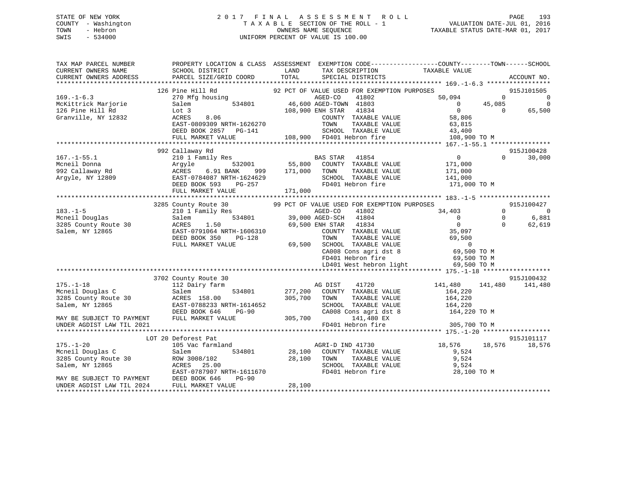## STATE OF NEW YORK 2 0 1 7 F I N A L A S S E S S M E N T R O L L PAGE 193 COUNTY - Washington T A X A B L E SECTION OF THE ROLL - 1 VALUATION DATE-JUL 01, 2016 TOWN - Hebron OWNERS NAME SEQUENCE TAXABLE STATUS DATE-MAR 01, 2017 SWIS - 534000 UNIFORM PERCENT OF VALUE IS 100.00

| TAX MAP PARCEL NUMBER<br>CURRENT OWNERS NAME<br>CURRENT OWNERS ADDRESS | PROPERTY LOCATION & CLASS ASSESSMENT EXEMPTION CODE---------------COUNTY-------TOWN-----SCHOOL<br>SCHOOL DISTRICT<br>PARCEL SIZE/GRID COORD | LAND<br>TOTAL     | TAX DESCRIPTION<br>SPECIAL PISTRICTS<br>SPECIAL DISTRICTS | TAXABLE VALUE      |          | ACCOUNT NO.              |
|------------------------------------------------------------------------|---------------------------------------------------------------------------------------------------------------------------------------------|-------------------|-----------------------------------------------------------|--------------------|----------|--------------------------|
|                                                                        |                                                                                                                                             |                   |                                                           |                    |          |                          |
|                                                                        | 126 Pine Hill Rd                                                                                                                            |                   | 92 PCT OF VALUE USED FOR EXEMPTION PURPOSES               |                    |          | 915J101505               |
| $169. - 1 - 6.3$                                                       | 270 Mfg housing                                                                                                                             |                   | AGED-CO<br>41802                                          | 50,094             | $\Omega$ | $\overline{0}$           |
| McKittrick Marjorie                                                    | 534801<br>Salem                                                                                                                             |                   | 46,600 AGED-TOWN 41803                                    | $\overline{0}$     | 45,085   | $\mathbf 0$              |
| 126 Pine Hill Rd                                                       | Lot 3                                                                                                                                       |                   | 108,900 ENH STAR<br>41834                                 | $\overline{0}$     | $\Omega$ | 65,500                   |
| Granville, NY 12832                                                    | ACRES<br>8.06                                                                                                                               |                   | COUNTY TAXABLE VALUE                                      | 58,806             |          |                          |
|                                                                        | EAST-0809309 NRTH-1626270                                                                                                                   |                   | TOWN<br>TAXABLE VALUE                                     | 63,815             |          |                          |
|                                                                        | DEED BOOK 2857 PG-141                                                                                                                       |                   | SCHOOL TAXABLE VALUE                                      | 43,400             |          |                          |
|                                                                        | FULL MARKET VALUE                                                                                                                           |                   | 108,900 FD401 Hebron fire                                 | 108,900 TO M       |          |                          |
|                                                                        |                                                                                                                                             |                   |                                                           |                    |          |                          |
|                                                                        | 992 Callaway Rd                                                                                                                             |                   |                                                           |                    |          | 915J100428               |
| $167. - 1 - 55.1$<br>Mcneil Donna                                      | 210 1 Family Res<br>532001                                                                                                                  |                   | <b>BAS STAR</b><br>41854<br>COUNTY TAXABLE VALUE          | $\overline{0}$     | $\Omega$ | 30,000                   |
| 992 Callaway Rd                                                        | Argyle<br>ACRES<br>6.91 BANK<br>999                                                                                                         | 55,800<br>171,000 | TOWN<br>TAXABLE VALUE                                     | 171,000<br>171,000 |          |                          |
| Argyle, NY 12809                                                       | EAST-0784087 NRTH-1624629                                                                                                                   |                   | SCHOOL TAXABLE VALUE                                      | 141,000            |          |                          |
|                                                                        | DEED BOOK 593<br>PG-257                                                                                                                     |                   | FD401 Hebron fire                                         | 171,000 TO M       |          |                          |
|                                                                        | FULL MARKET VALUE                                                                                                                           | 171,000           |                                                           |                    |          |                          |
|                                                                        |                                                                                                                                             |                   |                                                           |                    |          |                          |
|                                                                        | 3285 County Route 30                                                                                                                        |                   | 99 PCT OF VALUE USED FOR EXEMPTION PURPOSES               |                    |          | 915J100427               |
| $183. - 1 - 5$                                                         | 210 1 Family Res                                                                                                                            |                   | 41802<br>AGED-CO                                          | 34,403             | $\Omega$ | $\overline{\phantom{0}}$ |
| Mcneil Douglas                                                         | 534801<br>Salem                                                                                                                             |                   | 39,000 AGED-SCH 41804                                     | $\overline{0}$     | $\Omega$ | 6,881                    |
| 3285 County Route 30                                                   | ACRES<br>1.50                                                                                                                               |                   | 69,500 ENH STAR<br>41834                                  | $\overline{0}$     | $\Omega$ | 62,619                   |
| Salem, NY 12865                                                        | EAST-0791064 NRTH-1606310                                                                                                                   |                   | COUNTY TAXABLE VALUE                                      | 35,097             |          |                          |
|                                                                        | DEED BOOK 350<br>PG-128                                                                                                                     |                   | TOWN<br>TAXABLE VALUE                                     | 69,500             |          |                          |
|                                                                        | FULL MARKET VALUE                                                                                                                           |                   | 69,500 SCHOOL TAXABLE VALUE                               | $\mathbf 0$        |          |                          |
|                                                                        |                                                                                                                                             |                   | CA008 Cons agri dst 8                                     | 69,500 TO M        |          |                          |
|                                                                        |                                                                                                                                             |                   | FD401 Hebron fire                                         | 69,500 TO M        |          |                          |
|                                                                        |                                                                                                                                             |                   | LD401 West hebron light                                   | 69,500 TO M        |          |                          |
|                                                                        |                                                                                                                                             |                   |                                                           |                    |          |                          |
| $175. - 1 - 18$                                                        | 3702 County Route 30<br>112 Dairy farm                                                                                                      |                   | 41720<br>AG DIST                                          | 141,480            | 141,480  | 915J100432<br>141,480    |
| Mcneil Douglas C                                                       | 534801<br>Salem                                                                                                                             |                   | 277,200 COUNTY TAXABLE VALUE                              | 164,220            |          |                          |
| 3285 County Route 30                                                   | ACRES 158.00                                                                                                                                | 305,700           | TOWN<br>TAXABLE VALUE                                     | 164,220            |          |                          |
| Salem, NY 12865                                                        | EAST-0788233 NRTH-1614652                                                                                                                   |                   | SCHOOL TAXABLE VALUE                                      | 164,220            |          |                          |
|                                                                        | $PG-90$<br>DEED BOOK 646                                                                                                                    |                   | CA008 Cons agri dst 8                                     | 164,220 TO M       |          |                          |
| MAY BE SUBJECT TO PAYMENT                                              | FULL MARKET VALUE                                                                                                                           | 305,700           | 141,480 EX                                                |                    |          |                          |
| UNDER AGDIST LAW TIL 2021                                              |                                                                                                                                             |                   | FD401 Hebron fire                                         | 305,700 TO M       |          |                          |
|                                                                        |                                                                                                                                             |                   |                                                           |                    |          |                          |
|                                                                        | LOT 20 Deforest Pat                                                                                                                         |                   |                                                           |                    |          | 915J101117               |
| $175. - 1 - 20$                                                        | 105 Vac farmland                                                                                                                            |                   | AGRI-D IND 41730                                          | 18,576             | 18,576   | 18,576                   |
| Mcneil Douglas C                                                       | 534801<br>Salem                                                                                                                             | 28,100            | COUNTY TAXABLE VALUE                                      | 9,524              |          |                          |
| 3285 County Route 30                                                   | ROW 3008/102                                                                                                                                | 28,100            | TAXABLE VALUE<br>TOWN                                     | 9,524              |          |                          |
| Salem, NY 12865                                                        | ACRES<br>25.00                                                                                                                              |                   | SCHOOL TAXABLE VALUE                                      | 9,524              |          |                          |
|                                                                        | EAST-0787907 NRTH-1611670                                                                                                                   |                   | FD401 Hebron fire                                         | 28,100 TO M        |          |                          |
| MAY BE SUBJECT TO PAYMENT                                              | DEED BOOK 646<br>$PG-90$                                                                                                                    |                   |                                                           |                    |          |                          |
| UNDER AGDIST LAW TIL 2024                                              | FULL MARKET VALUE                                                                                                                           | 28,100            |                                                           |                    |          |                          |
|                                                                        |                                                                                                                                             |                   |                                                           |                    |          |                          |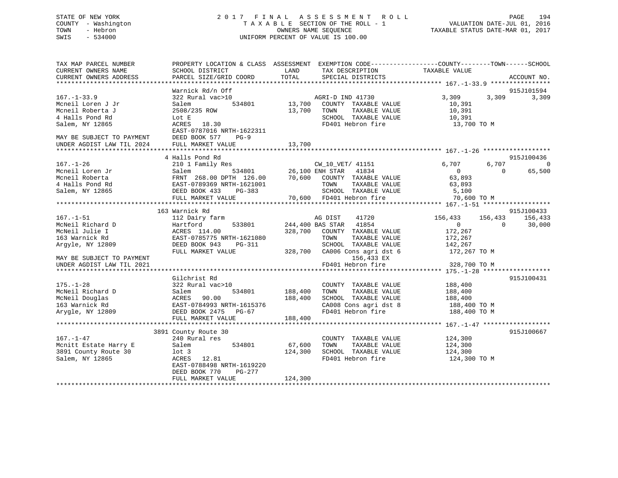## STATE OF NEW YORK 2 0 1 7 F I N A L A S S E S S M E N T R O L L PAGE 194 COUNTY - Washington T A X A B L E SECTION OF THE ROLL - 1 VALUATION DATE-JUL 01, 2016 TOWN - Hebron OWNERS NAME SEQUENCE TAXABLE STATUS DATE-MAR 01, 2017 SWIS - 534000 UNIFORM PERCENT OF VALUE IS 100.00

| TAX MAP PARCEL NUMBER<br>CURRENT OWNERS NAME<br>CURRENT OWNERS ADDRESS                                                                                | PROPERTY LOCATION & CLASS ASSESSMENT EXEMPTION CODE----------------COUNTY-------TOWN-----SCHOOL<br>SCHOOL DISTRICT<br>PARCEL SIZE/GRID COORD                                                                                                                                       | LAND<br>TOTAL                | TAX DESCRIPTION<br>SPECIAL DISTRICTS                                                                                                                                                    | TAXABLE VALUE                                                                              |                     | ACCOUNT NO.                     |
|-------------------------------------------------------------------------------------------------------------------------------------------------------|------------------------------------------------------------------------------------------------------------------------------------------------------------------------------------------------------------------------------------------------------------------------------------|------------------------------|-----------------------------------------------------------------------------------------------------------------------------------------------------------------------------------------|--------------------------------------------------------------------------------------------|---------------------|---------------------------------|
|                                                                                                                                                       | Warnick Rd/n Off                                                                                                                                                                                                                                                                   |                              |                                                                                                                                                                                         |                                                                                            |                     | 915J101594                      |
| $167. - 1 - 33.9$<br>Mcneil Loren J Jr<br>Mcneil Roberta J<br>4 Halls Pond Rd<br>Salem, NY 12865<br>MAY BE SUBJECT TO PAYMENT                         | 322 Rural vac>10<br>534801<br>Salem<br>2508/235 ROW<br>Lot E<br>ACRES 18.30<br>EAST-0787016 NRTH-1622311<br>DEED BOOK 577<br>$PG-9$                                                                                                                                                | 13,700<br>13,700             | AGRI-D IND 41730<br>COUNTY TAXABLE VALUE<br>TOWN<br>TAXABLE VALUE<br>SCHOOL TAXABLE VALUE<br>FD401 Hebron fire                                                                          | 3,309<br>10,391<br>10,391<br>10,391<br>13,700 TO M                                         | 3,309               | 3,309                           |
| UNDER AGDIST LAW TIL 2024                                                                                                                             | FULL MARKET VALUE                                                                                                                                                                                                                                                                  | 13,700                       |                                                                                                                                                                                         |                                                                                            |                     |                                 |
|                                                                                                                                                       |                                                                                                                                                                                                                                                                                    |                              |                                                                                                                                                                                         |                                                                                            |                     | 915J100436                      |
| $167. - 1 - 26$<br>Mcneil Loren Jr<br>Mcneil Roberta<br>4 Halls Pond Rd<br>Salem, NY 12865                                                            | 4 Halls Pond Rd<br>210 1 Family Res<br>Salem<br>$\begin{tabular}{lllllll} \texttt{FRNT} & 268.00 & \texttt{DPTH} & 126.00 & \texttt{70,600} & \texttt{COUNTY} & \texttt{TAXABLE VALUE} \end{tabular}$<br>EAST-0789369 NRTH-1621001<br>DEED BOOK 433<br>PG-383<br>FULL MARKET VALUE |                              | CW 10 VET/ 41151<br><sup>3</sup> CW_10_VET/ 41151<br>534801 26,100 ENH STAR 41834<br>TOWN<br>TAXABLE VALUE<br>SCHOOL TAXABLE VALUE<br>70,600 FD401 Hebron fire                          | 6,707<br>$\overline{0}$<br>63,893<br>63,893<br>5,100<br>70,600 TO M                        | 6,707<br>$\Omega$   | $\overline{0}$<br>65,500        |
|                                                                                                                                                       |                                                                                                                                                                                                                                                                                    |                              |                                                                                                                                                                                         |                                                                                            |                     |                                 |
| $167. - 1 - 51$<br>McNeil Richard D<br>McNeil Julie I<br>163 Warnick Rd<br>Argyle, NY 12809<br>MAY BE SUBJECT TO PAYMENT<br>UNDER AGDIST LAW TIL 2021 | 163 Warnick Rd<br>112 Dairy farm<br>Hartford<br>533801<br>ACRES 114.00<br>EAST-0785775 NRTH-1621080<br>DEED BOOK 943<br>$PG-311$<br>FULL MARKET VALUE                                                                                                                              | 328,700                      | AG DIST<br>41720<br>244,400 BAS STAR 41854<br>COUNTY TAXABLE VALUE<br>TAXABLE VALUE<br>TOWN<br>SCHOOL TAXABLE VALUE<br>328,700 CA006 Cons agri dst 6<br>156,433 EX<br>FD401 Hebron fire | 156,433<br>$\overline{0}$<br>172,267<br>172,267<br>142,267<br>172,267 TO M<br>328,700 TO M | 156,433<br>$\Omega$ | 915J100433<br>156,433<br>30,000 |
|                                                                                                                                                       |                                                                                                                                                                                                                                                                                    |                              |                                                                                                                                                                                         | **************** 175.-1-28 *****************                                               |                     |                                 |
| $175. - 1 - 28$<br>McNeil Richard D<br>McNeil Douglas<br>163 Warnick Rd<br>Arygle, NY 12809                                                           | Gilchrist Rd<br>322 Rural vac>10<br>534801<br>Salem<br>ACRES<br>90.00<br>EAST-0784993 NRTH-1615376<br>DEED BOOK 2475 PG-67                                                                                                                                                         | 188,400<br>188,400           | COUNTY TAXABLE VALUE<br>TOWN<br>TAXABLE VALUE<br>SCHOOL TAXABLE VALUE<br>CA008 Cons agri dst 8<br>FD401 Hebron fire                                                                     | 188,400<br>188,400<br>188,400<br>188,400 TO M<br>188,400 TO M                              |                     | 915J100431                      |
|                                                                                                                                                       | FULL MARKET VALUE                                                                                                                                                                                                                                                                  | 188,400                      |                                                                                                                                                                                         |                                                                                            |                     |                                 |
| $167. - 1 - 47$<br>Mcnitt Estate Harry E<br>3891 County Route 30<br>Salem, NY 12865                                                                   | 3891 County Route 30<br>240 Rural res<br>Salem<br>534801<br>$1$ ot $3$<br>ACRES 12.81<br>EAST-0788498 NRTH-1619220<br>DEED BOOK 770<br>PG-277<br>FULL MARKET VALUE                                                                                                                 | 67,600<br>124,300<br>124,300 | COUNTY TAXABLE VALUE<br>TAXABLE VALUE<br>TOWN<br>SCHOOL TAXABLE VALUE<br>FD401 Hebron fire                                                                                              | 124,300<br>124,300<br>124,300<br>124,300 TO M                                              |                     | 915J100667                      |
|                                                                                                                                                       |                                                                                                                                                                                                                                                                                    |                              |                                                                                                                                                                                         |                                                                                            |                     |                                 |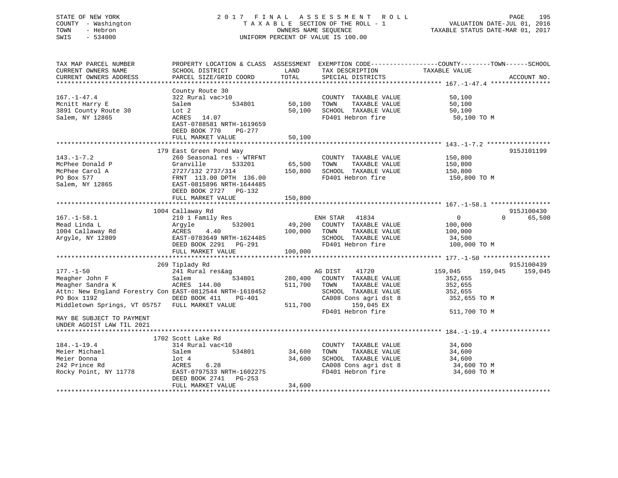## STATE OF NEW YORK 2 0 1 7 F I N A L A S S E S S M E N T R O L L PAGE 195 COUNTY - Washington T A X A B L E SECTION OF THE ROLL - 1 VALUATION DATE-JUL 01, 2016 TOWN - Hebron OWNERS NAME SEQUENCE TAXABLE STATUS DATE-MAR 01, 2017 SWIS - 534000 UNIFORM PERCENT OF VALUE IS 100.00

| TAX MAP PARCEL NUMBER<br>CURRENT OWNERS NAME<br>CURRENT OWNERS ADDRESS                                                                                                             | SCHOOL DISTRICT<br>PARCEL SIZE/GRID COORD                                                                                                                                         | LAND<br>TOTAL                 | TAX DESCRIPTION<br>SPECIAL DISTRICTS                                                                                                                  | PROPERTY LOCATION & CLASS ASSESSMENT EXEMPTION CODE---------------COUNTY-------TOWN------SCHOOL<br>TAXABLE VALUE<br>ACCOUNT NO. |
|------------------------------------------------------------------------------------------------------------------------------------------------------------------------------------|-----------------------------------------------------------------------------------------------------------------------------------------------------------------------------------|-------------------------------|-------------------------------------------------------------------------------------------------------------------------------------------------------|---------------------------------------------------------------------------------------------------------------------------------|
| $167. - 1 - 47.4$<br>Mcnitt Harry E<br>3891 County Route 30<br>Salem, NY 12865                                                                                                     | County Route 30<br>322 Rural vac>10<br>534801<br>Salem<br>Lot 2<br>ACRES<br>14.07<br>EAST-0788581 NRTH-1619659<br>DEED BOOK 770<br>$PG-277$<br>FULL MARKET VALUE                  | 50,100<br>50,100<br>50,100    | COUNTY TAXABLE VALUE<br>TOWN<br>TAXABLE VALUE<br>SCHOOL TAXABLE VALUE<br>FD401 Hebron fire                                                            | 50,100<br>50,100<br>50,100<br>50,100 TO M                                                                                       |
|                                                                                                                                                                                    |                                                                                                                                                                                   |                               |                                                                                                                                                       |                                                                                                                                 |
| $143. - 1 - 7.2$<br>McPhee Donald P<br>McPhee Carol A<br>PO Box 577<br>Salem, NY 12865                                                                                             | 179 East Green Pond Way<br>260 Seasonal res - WTRFNT<br>Granville<br>533201<br>2727/132 2737/314<br>FRNT 113.00 DPTH 136.00<br>EAST-0815896 NRTH-1644485<br>DEED BOOK 2727 PG-132 | 65,500<br>150,800             | COUNTY TAXABLE VALUE<br>TOWN<br>TAXABLE VALUE<br>SCHOOL TAXABLE VALUE<br>FD401 Hebron fire                                                            | 915J101199<br>150,800<br>150,800<br>150,800<br>150,800 TO M                                                                     |
|                                                                                                                                                                                    | FULL MARKET VALUE                                                                                                                                                                 | 150,800                       |                                                                                                                                                       |                                                                                                                                 |
|                                                                                                                                                                                    |                                                                                                                                                                                   |                               |                                                                                                                                                       |                                                                                                                                 |
| $167. - 1 - 58.1$<br>Mead Linda L<br>1004 Callaway Rd                                                                                                                              | 1004 Callaway Rd<br>210 1 Family Res<br>532001<br>Argyle<br>4.40<br>ACRES                                                                                                         | 49,200<br>100,000             | ENH STAR 41834<br>COUNTY TAXABLE VALUE<br>TOWN<br>TAXABLE VALUE                                                                                       | 915J100430<br>$\Omega$<br>$\mathbf{0}$<br>65,500<br>100,000<br>100,000                                                          |
| Argyle, NY 12809                                                                                                                                                                   | EAST-0783649 NRTH-1624485<br>DEED BOOK 2291 PG-291<br>FULL MARKET VALUE                                                                                                           | 100,000                       | SCHOOL TAXABLE VALUE<br>FD401 Hebron fire                                                                                                             | 34,500<br>100,000 TO M                                                                                                          |
|                                                                                                                                                                                    |                                                                                                                                                                                   |                               |                                                                                                                                                       |                                                                                                                                 |
| $177. - 1 - 50$<br>Meagher John F<br>Meagher Sandra K<br>Attn: New England Forestry Con EAST-0812544 NRTH-1610452<br>PO Box 1192<br>Middletown Springs, VT 05757 FULL MARKET VALUE | 269 Tiplady Rd<br>241 Rural res&ag<br>Salem<br>534801<br>ACRES 144.00<br>DEED BOOK 411<br><b>PG-401</b>                                                                           | 280,400<br>511,700<br>511,700 | AG DIST<br>41720<br>COUNTY TAXABLE VALUE<br>TOWN<br>TAXABLE VALUE<br>SCHOOL TAXABLE VALUE<br>CA008 Cons agri dst 8<br>159,045 EX<br>FD401 Hebron fire | 915J100439<br>159,045<br>159,045<br>159,045<br>352,655<br>352,655<br>352,655<br>352,655 TO M<br>511,700 TO M                    |
| MAY BE SUBJECT TO PAYMENT<br>UNDER AGDIST LAW TIL 2021                                                                                                                             |                                                                                                                                                                                   |                               |                                                                                                                                                       |                                                                                                                                 |
|                                                                                                                                                                                    | 1702 Scott Lake Rd                                                                                                                                                                |                               |                                                                                                                                                       |                                                                                                                                 |
| $184. - 1 - 19.4$<br>Meier Michael<br>Meier Donna<br>242 Prince Rd<br>Rocky Point, NY 11778                                                                                        | 314 Rural vac<10<br>534801<br>Salem<br>$1$ ot $4$<br>6.28<br>ACRES<br>EAST-0797533 NRTH-1602275<br>DEED BOOK 2741<br>$PG-253$                                                     | 34,600<br>34,600              | COUNTY TAXABLE VALUE<br>TOWN<br>TAXABLE VALUE<br>SCHOOL TAXABLE VALUE<br>CA008 Cons agri dst 8<br>FD401 Hebron fire                                   | 34,600<br>34,600<br>34,600<br>34,600 TO M<br>34,600 TO M                                                                        |
|                                                                                                                                                                                    | FULL MARKET VALUE                                                                                                                                                                 | 34,600                        |                                                                                                                                                       |                                                                                                                                 |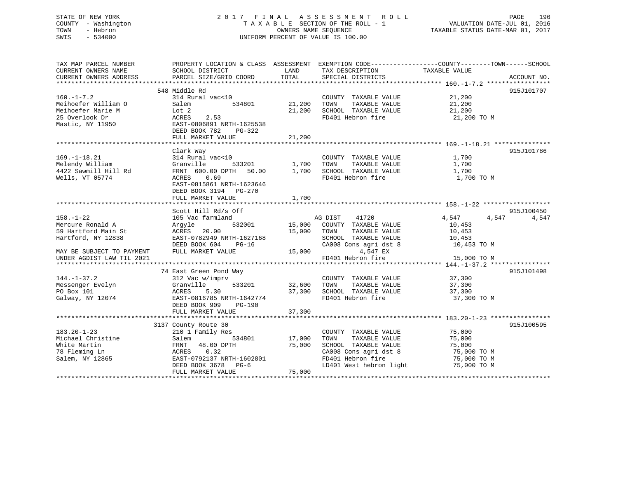## STATE OF NEW YORK 2 0 1 7 F I N A L A S S E S S M E N T R O L L PAGE 196 COUNTY - Washington T A X A B L E SECTION OF THE ROLL - 1 VALUATION DATE-JUL 01, 2016 TOWN - Hebron OWNERS NAME SEQUENCE TAXABLE STATUS DATE-MAR 01, 2017 SWIS - 534000 UNIFORM PERCENT OF VALUE IS 100.00

| TAX MAP PARCEL NUMBER<br>CURRENT OWNERS NAME<br>CURRENT OWNERS ADDRESS                             | PROPERTY LOCATION & CLASS ASSESSMENT EXEMPTION CODE----------------COUNTY-------TOWN------SCHOOL<br>SCHOOL DISTRICT<br>PARCEL SIZE/GRID COORD                              | LAND<br>TOTAL              | TAX DESCRIPTION<br>SPECIAL DISTRICTS                                                                                                           | TAXABLE VALUE                                                           | ACCOUNT NO. |
|----------------------------------------------------------------------------------------------------|----------------------------------------------------------------------------------------------------------------------------------------------------------------------------|----------------------------|------------------------------------------------------------------------------------------------------------------------------------------------|-------------------------------------------------------------------------|-------------|
|                                                                                                    | 548 Middle Rd                                                                                                                                                              |                            |                                                                                                                                                |                                                                         | 915J101707  |
| $160. - 1 - 7.2$<br>Meihoefer William O<br>Meihoefer Marie M<br>25 Overlook Dr<br>Mastic, NY 11950 | 314 Rural vac<10<br>534801<br>Salem<br>Lot 2<br>ACRES<br>2.53<br>EAST-0806891 NRTH-1625538<br>DEED BOOK 782<br>$PG-322$<br>FULL MARKET VALUE                               | 21,200<br>21,200<br>21,200 | COUNTY TAXABLE VALUE<br>TOWN<br>TAXABLE VALUE<br>SCHOOL TAXABLE VALUE<br>FD401 Hebron fire                                                     | 21,200<br>21,200<br>21,200<br>21,200 TO M                               |             |
|                                                                                                    |                                                                                                                                                                            |                            |                                                                                                                                                |                                                                         |             |
| $169. - 1 - 18.21$<br>Melendy William<br>4422 Sawmill Hill Rd<br>Wells, VT 05774                   | Clark Way<br>314 Rural vac<10<br>533201<br>Granville<br>FRNT 600.00 DPTH 50.00<br>0.69<br>ACRES<br>EAST-0815861 NRTH-1623646<br>DEED BOOK 3194 PG-270<br>FULL MARKET VALUE | 1,700<br>1,700<br>1,700    | COUNTY TAXABLE VALUE<br>TOWN<br>TAXABLE VALUE<br>SCHOOL TAXABLE VALUE<br>FD401 Hebron fire                                                     | 1,700<br>1,700<br>1,700<br>1,700 TO M                                   | 915J101786  |
|                                                                                                    | Scott Hill Rd/s Off                                                                                                                                                        |                            |                                                                                                                                                |                                                                         | 915J100450  |
| $158. - 1 - 22$<br>Mercure Ronald A<br>59 Hartford Main St<br>Hartford, NY 12838                   | 105 Vac farmland<br>532001<br>Argyle<br>20.00<br>ACRES<br>EAST-0782949 NRTH-1627168<br>DEED BOOK 604<br>$PG-16$                                                            | 15,000<br>15,000           | AG DIST<br>41720<br>COUNTY TAXABLE VALUE<br>TOWN<br>TAXABLE VALUE<br>SCHOOL TAXABLE VALUE<br>CA008 Cons agri dst 8                             | 4,547<br>4,547<br>10,453<br>10,453<br>10,453<br>10,453 TO M             | 4,547       |
| MAY BE SUBJECT TO PAYMENT<br>UNDER AGDIST LAW TIL 2021                                             | FULL MARKET VALUE                                                                                                                                                          | 15,000                     | 4,547 EX<br>FD401 Hebron fire                                                                                                                  | 15,000 TO M                                                             |             |
|                                                                                                    |                                                                                                                                                                            |                            |                                                                                                                                                |                                                                         |             |
| $144. - 1 - 37.2$<br>Messenger Evelyn<br>PO Box 101<br>Galway, NY 12074                            | 74 East Green Pond Way<br>312 Vac w/imprv<br>533201<br>Granville<br>ACRES<br>5.30<br>EAST-0816785 NRTH-1642774<br>DEED BOOK 909<br>PG-190<br>FULL MARKET VALUE             | 32,600<br>37,300<br>37,300 | COUNTY TAXABLE VALUE<br>TOWN<br>TAXABLE VALUE<br>SCHOOL TAXABLE VALUE<br>FD401 Hebron fire                                                     | 37,300<br>37,300<br>37,300<br>37,300 TO M                               | 915J101498  |
|                                                                                                    | 3137 County Route 30                                                                                                                                                       |                            |                                                                                                                                                |                                                                         | 915J100595  |
| $183.20 - 1 - 23$<br>Michael Christine<br>White Martin<br>78 Fleming Ln<br>Salem, NY 12865         | 210 1 Family Res<br>534801<br>Salem<br>FRNT<br>48.00 DPTH<br>0.32<br>ACRES<br>EAST-0792137 NRTH-1602801<br>DEED BOOK 3678 PG-6<br>FULL MARKET VALUE                        | 17,000<br>75,000<br>75,000 | COUNTY TAXABLE VALUE<br>TOWN<br>TAXABLE VALUE<br>SCHOOL TAXABLE VALUE<br>CA008 Cons agri dst 8<br>FD401 Hebron fire<br>LD401 West hebron light | 75,000<br>75,000<br>75,000<br>75,000 TO M<br>75,000 TO M<br>75,000 TO M |             |
|                                                                                                    |                                                                                                                                                                            |                            |                                                                                                                                                |                                                                         |             |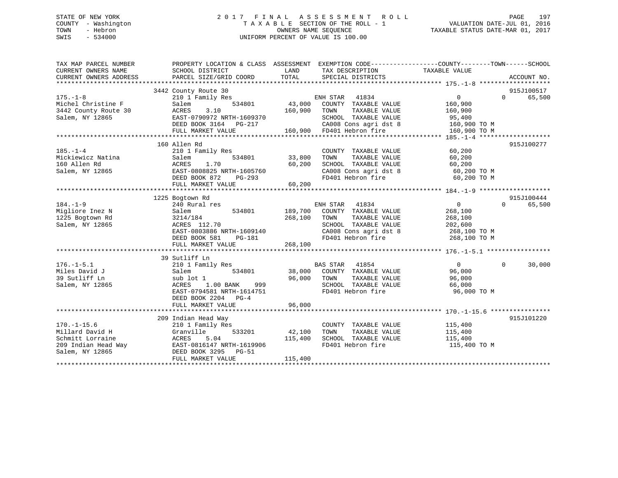## STATE OF NEW YORK 2 0 1 7 F I N A L A S S E S S M E N T R O L L PAGE 197 COUNTY - Washington T A X A B L E SECTION OF THE ROLL - 1 VALUATION DATE-JUL 01, 2016 TOWN - Hebron OWNERS NAME SEQUENCE TAXABLE STATUS DATE-MAR 01, 2017 SWIS - 534000 UNIFORM PERCENT OF VALUE IS 100.00

| TAX MAP PARCEL NUMBER<br>CURRENT OWNERS NAME<br>CURRENT OWNERS ADDRESS | PROPERTY LOCATION & CLASS ASSESSMENT EXEMPTION CODE---------------COUNTY-------TOWN-----SCHOOL<br>SCHOOL DISTRICT<br>PARCEL SIZE/GRID COORD | LAND<br>TOTAL | TAX DESCRIPTION TAXABLE VALUE<br>SPECIAL DISTRICTS              |                                                                            | ACCOUNT NO.                               |
|------------------------------------------------------------------------|---------------------------------------------------------------------------------------------------------------------------------------------|---------------|-----------------------------------------------------------------|----------------------------------------------------------------------------|-------------------------------------------|
|                                                                        | 3442 County Route 30                                                                                                                        |               |                                                                 |                                                                            | 915J100517                                |
| $175. - 1 - 8$                                                         | 210 1 Family Res                                                                                                                            |               | ENH STAR<br>41834                                               | $\Omega$                                                                   | 65,500<br>$0 \qquad \qquad$               |
| Michel Christine F                                                     | 534801<br>Salem                                                                                                                             | 43,000        | COUNTY TAXABLE VALUE                                            | 160,900                                                                    |                                           |
| 3442 County Route 30                                                   | ACRES<br>3.10                                                                                                                               | 160,900       | TOWN<br>TAXABLE VALUE                                           | 160,900                                                                    |                                           |
| Salem, NY 12865                                                        | EAST-0790972 NRTH-1609370                                                                                                                   |               | SCHOOL TAXABLE VALUE                                            | 95,400                                                                     |                                           |
|                                                                        | DEED BOOK 3164 PG-217                                                                                                                       |               | CA008 Cons agri dst 8                                           | 160,900 TO M                                                               |                                           |
|                                                                        | FULL MARKET VALUE                                                                                                                           |               | 160,900 FD401 Hebron fire                                       | 160,900 TO M                                                               |                                           |
|                                                                        |                                                                                                                                             |               |                                                                 |                                                                            |                                           |
|                                                                        | 160 Allen Rd                                                                                                                                |               |                                                                 |                                                                            | 915J100277                                |
| $185. - 1 - 4$                                                         | 210 1 Family Res                                                                                                                            |               | COUNTY TAXABLE VALUE                                            | 60,200                                                                     |                                           |
| Mickiewicz Natina                                                      | 534801<br>Salem                                                                                                                             | 33,800        | TOWN<br>TAXABLE VALUE                                           | 60,200                                                                     |                                           |
| 160 Allen Rd                                                           | ACRES<br>1.70                                                                                                                               | 60,200        | SCHOOL TAXABLE VALUE                                            | 60,200<br>SCHOOL TAXABLE VALUE 60,200<br>CA008 Cons agri dst 8 60,200 TO M |                                           |
| Salem, NY 12865                                                        | EAST-0808825 NRTH-1605760                                                                                                                   |               |                                                                 |                                                                            |                                           |
|                                                                        | DEED BOOK 872<br>PG-293                                                                                                                     | 60,200        | FD401 Hebron fire                                               | 60,200 TO M                                                                |                                           |
|                                                                        | FULL MARKET VALUE                                                                                                                           |               |                                                                 |                                                                            |                                           |
|                                                                        |                                                                                                                                             |               |                                                                 |                                                                            |                                           |
| $184. - 1 - 9$                                                         | 1225 Bogtown Rd<br>240 Rural res                                                                                                            |               | ENH STAR 41834                                                  | $\overline{0}$                                                             | 915J100444<br>65,500<br>$0 \qquad \qquad$ |
| Migliore Inez N                                                        | 534801 189,700<br>Salem                                                                                                                     |               | COUNTY TAXABLE VALUE                                            | 268,100                                                                    |                                           |
| 1225 Bogtown Rd                                                        | 3214/184                                                                                                                                    | 268,100       | TAXABLE VALUE<br>TOWN                                           | 268,100                                                                    |                                           |
| Salem, NY 12865                                                        | ACRES 112.70                                                                                                                                |               | SCHOOL TAXABLE VALUE                                            | 202,600                                                                    |                                           |
|                                                                        | EAST-0803886 NRTH-1609140                                                                                                                   |               | CA008 Cons agri dst 8                                           | 268,100 TO M                                                               |                                           |
|                                                                        | DEED BOOK 581<br>PG-181                                                                                                                     |               | FD401 Hebron fire                                               | 268,100 TO M                                                               |                                           |
|                                                                        | FULL MARKET VALUE                                                                                                                           | 268,100       |                                                                 |                                                                            |                                           |
|                                                                        |                                                                                                                                             |               |                                                                 |                                                                            |                                           |
|                                                                        | 39 Sutliff Ln                                                                                                                               |               |                                                                 |                                                                            |                                           |
| $176. - 1 - 5.1$                                                       | 210 1 Family Res                                                                                                                            |               | ممر<br>38,000 COUNTY TAXABLE VALUE<br>96,000 TOWN TAXABLE PALUE | $\overline{0}$                                                             | $\Omega$<br>30,000                        |
| Miles David J                                                          | 534801<br>Salem                                                                                                                             |               |                                                                 | 96,000                                                                     |                                           |
| 39 Sutliff Ln                                                          | sub lot 1                                                                                                                                   |               |                                                                 | 96,000                                                                     |                                           |
| Salem, NY 12865                                                        | 1.00 BANK<br>999<br>ACRES                                                                                                                   |               | SCHOOL TAXABLE VALUE                                            | 66,000                                                                     |                                           |
|                                                                        | EAST-0794581 NRTH-1614751                                                                                                                   |               | FD401 Hebron fire                                               | 96,000 TO M                                                                |                                           |
|                                                                        | DEED BOOK 2204 PG-4                                                                                                                         |               |                                                                 |                                                                            |                                           |
|                                                                        | FULL MARKET VALUE                                                                                                                           | 96,000        |                                                                 |                                                                            |                                           |
|                                                                        |                                                                                                                                             |               |                                                                 |                                                                            |                                           |
|                                                                        | 209 Indian Head Way                                                                                                                         |               |                                                                 |                                                                            | 915J101220                                |
| $170. - 1 - 15.6$                                                      | 210 1 Family Res                                                                                                                            |               | COUNTY TAXABLE VALUE                                            | 115,400<br>115,400                                                         |                                           |
| Millard David H                                                        | 533201<br>Granville                                                                                                                         | 42,100        | TOWN<br>TAXABLE VALUE                                           |                                                                            |                                           |
| Schmitt Lorraine                                                       | ACRES<br>5.04                                                                                                                               | 115,400       | SCHOOL TAXABLE VALUE                                            | 115,400                                                                    |                                           |
| 209 Indian Head Way<br>Salem, NY 12865                                 | EAST-0816147 NRTH-1619906                                                                                                                   |               | FD401 Hebron fire                                               | 115,400 TO M                                                               |                                           |
| Salem, NY 12865                                                        | DEED BOOK 3295 PG-51                                                                                                                        |               |                                                                 |                                                                            |                                           |
|                                                                        | FULL MARKET VALUE                                                                                                                           | 115,400       |                                                                 |                                                                            |                                           |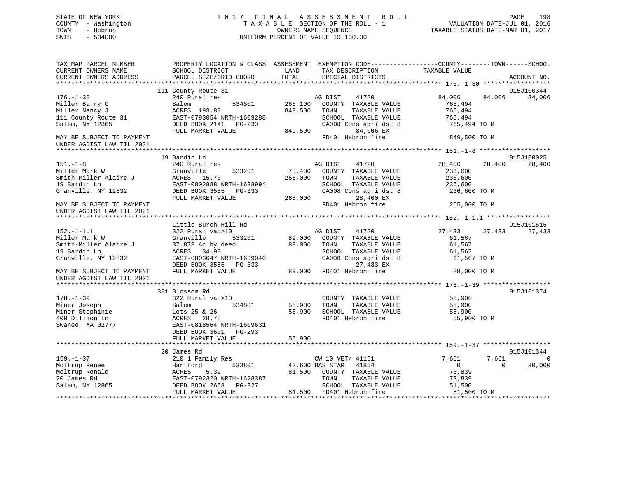## STATE OF NEW YORK 2 0 1 7 F I N A L A S S E S S M E N T R O L L PAGE 198 COUNTY - Washington T A X A B L E SECTION OF THE ROLL - 1 VALUATION DATE-JUL 01, 2016 TOWN - Hebron OWNERS NAME SEQUENCE TAXABLE STATUS DATE-MAR 01, 2017 SWIS - 534000 UNIFORM PERCENT OF VALUE IS 100.00

| TAX MAP PARCEL NUMBER<br>CURRENT OWNERS NAME                                                                                                                | SCHOOL DISTRICT                                                                                                                                        | LAND<br>TAX DESCRIPTION                                                                                                                                                         | PROPERTY LOCATION & CLASS ASSESSMENT EXEMPTION CODE----------------COUNTY-------TOWN------SCHOOL<br>TAXABLE VALUE |
|-------------------------------------------------------------------------------------------------------------------------------------------------------------|--------------------------------------------------------------------------------------------------------------------------------------------------------|---------------------------------------------------------------------------------------------------------------------------------------------------------------------------------|-------------------------------------------------------------------------------------------------------------------|
| CURRENT OWNERS ADDRESS                                                                                                                                      | PARCEL SIZE/GRID COORD                                                                                                                                 | TOTAL<br>SPECIAL DISTRICTS                                                                                                                                                      | ACCOUNT NO.                                                                                                       |
|                                                                                                                                                             | 111 County Route 31                                                                                                                                    |                                                                                                                                                                                 | 915J100344                                                                                                        |
| $176. - 1 - 30$<br>Miller Barry G<br>Miller Nancy J<br>111 County Route 31<br>Salem, NY 12865                                                               | 240 Rural res<br>Salem<br>534801<br>ACRES 193.80<br>EAST-0793054 NRTH-1609288<br>DEED BOOK 2141 PG-233                                                 | 41720<br>AG DIST<br>265,100<br>COUNTY TAXABLE VALUE<br>849,500<br>TOWN<br>TAXABLE VALUE<br>SCHOOL TAXABLE VALUE<br>CA008 Cons agri dst 8                                        | 84,006<br>84,006<br>84,006<br>765,494<br>765,494<br>765,494<br>765,494 TO M                                       |
|                                                                                                                                                             | FULL MARKET VALUE                                                                                                                                      | 849,500<br>84,006 EX                                                                                                                                                            |                                                                                                                   |
| MAY BE SUBJECT TO PAYMENT<br>UNDER AGDIST LAW TIL 2021                                                                                                      |                                                                                                                                                        | FD401 Hebron fire                                                                                                                                                               | 849,500 TO M                                                                                                      |
|                                                                                                                                                             | 19 Bardin Ln                                                                                                                                           |                                                                                                                                                                                 | 915J100025                                                                                                        |
| $151. - 1 - 8$<br>Miller Mark W<br>Smith-Miller Alaire J<br>19 Bardin Ln<br>Granville, NY 12832                                                             | 240 Rural res<br>Granville<br>533201<br>ACRES 15.70<br>EAST-0802888 NRTH-1638994<br>DEED BOOK 3555 PG-333                                              | AG DIST<br>41720<br>73,400<br>COUNTY TAXABLE VALUE<br>265,000<br>TOWN<br>TAXABLE VALUE<br>SCHOOL TAXABLE VALUE<br>CA008 Cons agri dst 8                                         | 28,400<br>28,400<br>28,400<br>236,600<br>236,600<br>236,600<br>236,600 TO M                                       |
| MAY BE SUBJECT TO PAYMENT<br>UNDER AGDIST LAW TIL 2021                                                                                                      | FULL MARKET VALUE                                                                                                                                      | 265,000<br>28,400 EX<br>FD401 Hebron fire                                                                                                                                       | 265,000 TO M                                                                                                      |
|                                                                                                                                                             |                                                                                                                                                        |                                                                                                                                                                                 |                                                                                                                   |
|                                                                                                                                                             | Little Burch Hill Rd                                                                                                                                   |                                                                                                                                                                                 | 915J101515                                                                                                        |
| $152. - 1 - 1.1$<br>Miller Mark W<br>Smith-Miller Alaire J<br>19 Bardin Ln<br>Granville, NY 12832<br>MAY BE SUBJECT TO PAYMENT<br>UNDER AGDIST LAW TIL 2021 | 322 Rural vac>10<br>Granville<br>533201<br>37.873 Ac by deed<br>ACRES 34.90<br>EAST-0803647 NRTH-1639046<br>DEED BOOK 3555 PG-333<br>FULL MARKET VALUE | AG DIST<br>41720<br>89,000<br>COUNTY TAXABLE VALUE<br>89,000<br>TOWN<br>TAXABLE VALUE<br>SCHOOL TAXABLE VALUE<br>CA008 Cons agri dst 8<br>27,433 EX<br>89,000 FD401 Hebron fire | 27,433<br>27,433<br>27,433<br>61,567<br>61,567<br>61,567<br>61,567 TO M<br>89,000 TO M                            |
|                                                                                                                                                             |                                                                                                                                                        |                                                                                                                                                                                 |                                                                                                                   |
| $178. - 1 - 39$<br>Miner Joseph<br>Miner Stephinie<br>400 Dillion Ln<br>Swanee, MA 02777                                                                    | 381 Blossom Rd<br>322 Rural vac>10<br>534801<br>Salem<br>Lots 25 & 26<br>ACRES 28.75<br>EAST-0818564 NRTH-1609631<br>DEED BOOK 3601 PG-293             | COUNTY TAXABLE VALUE<br>55,900<br>TOWN<br>TAXABLE VALUE<br>55,900<br>SCHOOL TAXABLE VALUE<br>FD401 Hebron fire                                                                  | 915J101374<br>55,900<br>55,900<br>55,900<br>55,900 TO M                                                           |
|                                                                                                                                                             | FULL MARKET VALUE                                                                                                                                      | 55,900                                                                                                                                                                          |                                                                                                                   |
|                                                                                                                                                             | 20 James Rd                                                                                                                                            |                                                                                                                                                                                 | 915J101344                                                                                                        |
| $159. - 1 - 37$                                                                                                                                             | 210 1 Family Res                                                                                                                                       | CW_10_VET/ 41151                                                                                                                                                                | 7,661<br>7,661<br>$\Omega$                                                                                        |
| Moltrup Renee<br>Moltrup Ronald<br>20 James Rd<br>Salem, NY 12865                                                                                           | 533801<br>Hartford<br><b>ACRES</b><br>5.39<br>EAST-0792320 NRTH-1628387<br>DEED BOOK 2658 PG-327<br>FULL MARKET VALUE                                  | 42,600 BAS STAR 41854<br>81,500 COUNTY TAXABLE VALUE<br>TOWN<br>TAXABLE VALUE<br>SCHOOL TAXABLE VALUE<br>81,500 FD401 Hebron fire                                               | $\overline{0}$<br>$\Omega$<br>30,000<br>73,839<br>73,839<br>51,500<br>81,500 TO M                                 |
|                                                                                                                                                             |                                                                                                                                                        |                                                                                                                                                                                 |                                                                                                                   |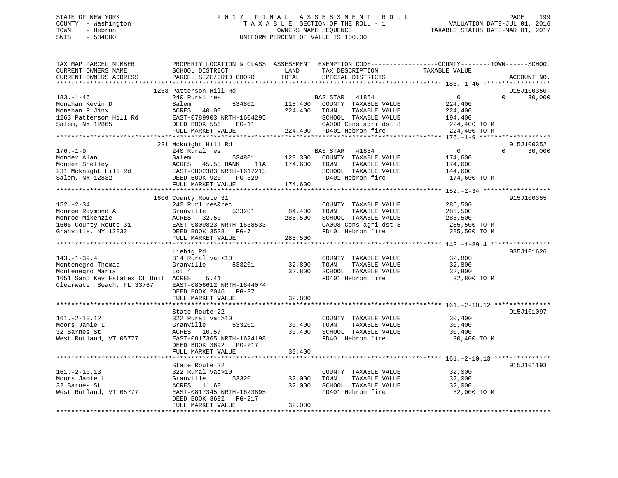## STATE OF NEW YORK 2 0 1 7 F I N A L A S S E S S M E N T R O L L PAGE 199 COUNTY - Washington T A X A B L E SECTION OF THE ROLL - 1 VALUATION DATE-JUL 01, 2016 TOWN - Hebron OWNERS NAME SEQUENCE TAXABLE STATUS DATE-MAR 01, 2017 SWIS - 534000 UNIFORM PERCENT OF VALUE IS 100.00

| TAX MAP PARCEL NUMBER<br>CURRENT OWNERS NAME<br>CURRENT OWNERS ADDRESS                                                          | PROPERTY LOCATION & CLASS ASSESSMENT<br>SCHOOL DISTRICT<br>PARCEL SIZE/GRID COORD                                                                        | LAND<br>TOTAL                | TAX DESCRIPTION<br>SPECIAL DISTRICTS                                                                                                             | EXEMPTION CODE-----------------COUNTY-------TOWN------SCHOOL<br>TAXABLE VALUE   | ACCOUNT NO.                      |
|---------------------------------------------------------------------------------------------------------------------------------|----------------------------------------------------------------------------------------------------------------------------------------------------------|------------------------------|--------------------------------------------------------------------------------------------------------------------------------------------------|---------------------------------------------------------------------------------|----------------------------------|
| *******************                                                                                                             | **********************                                                                                                                                   | *********                    |                                                                                                                                                  |                                                                                 |                                  |
| $183. - 1 - 46$<br>Monahan Kevin D<br>Monahan P Jinx<br>1263 Patterson Hill Rd<br>Salem, NY 12865                               | 1263 Patterson Hill Rd<br>240 Rural res<br>534801<br>Salem<br>40.00<br>ACRES<br>EAST-0789903 NRTH-1604295<br>DEED BOOK 556<br>PG-11<br>FULL MARKET VALUE | 118,400<br>224,400           | BAS STAR<br>41854<br>COUNTY TAXABLE VALUE<br>TAXABLE VALUE<br>TOWN<br>SCHOOL TAXABLE VALUE<br>CA008 Cons agri dst 8<br>224,400 FD401 Hebron fire | $\overline{0}$<br>224,400<br>224,400<br>194,400<br>224,400 TO M<br>224,400 TO M | 915J100350<br>$\Omega$<br>30,000 |
|                                                                                                                                 |                                                                                                                                                          |                              |                                                                                                                                                  |                                                                                 |                                  |
| $176. - 1 - 9$<br>Monder Alan<br>Monder Shelley<br>231 Mcknight Hill Rd<br>Salem, NY 12832                                      | 231 Mcknight Hill Rd<br>240 Rural res<br>534801<br>Salem<br>ACRES<br>45.50 BANK<br>11A<br>EAST-0802383 NRTH-1617213<br>DEED BOOK 920<br>PG-329           | 128,300<br>174,600           | BAS STAR<br>41854<br>COUNTY TAXABLE VALUE<br>TOWN<br>TAXABLE VALUE<br>SCHOOL TAXABLE VALUE<br>FD401 Hebron fire                                  | $\overline{0}$<br>174,600<br>174,600<br>144,600<br>174,600 TO M                 | 915J100352<br>$\Omega$<br>30,000 |
|                                                                                                                                 | FULL MARKET VALUE                                                                                                                                        | 174,600                      |                                                                                                                                                  |                                                                                 |                                  |
|                                                                                                                                 | 1606 County Route 31                                                                                                                                     |                              |                                                                                                                                                  |                                                                                 | 915J100355                       |
| $152 - 2 - 34$<br>Monroe Raymond A<br>Monroe Mikenzie<br>1606 County Route 31<br>Granville, NY 12832                            | 242 Rurl res&rec<br>Granville<br>533201<br>32.50<br>ACRES<br>EAST-0809823 NRTH-1638533<br>DEED BOOK 3538 PG-7<br>FULL MARKET VALUE                       | 84,400<br>285,500<br>285,500 | COUNTY TAXABLE VALUE<br>TOWN<br>TAXABLE VALUE<br>SCHOOL TAXABLE VALUE<br>CA008 Cons agri dst 8<br>FD401 Hebron fire                              | 285,500<br>285,500<br>285,500<br>285,500 TO M<br>285,500 TO M                   |                                  |
|                                                                                                                                 |                                                                                                                                                          |                              |                                                                                                                                                  | ***************** 143.-1-39.4 **************                                    |                                  |
| $143. - 1 - 39.4$<br>Montenegro Thomas<br>Montenegro Maria<br>1651 Sand Key Estates Ct Unit ACRES<br>Clearwater Beach, FL 33767 | Liebig Rd<br>314 Rural vac<10<br>Granville<br>533201<br>Lot 4<br>5.41<br>EAST-0806612 NRTH-1644074<br>DEED BOOK 2046 PG-37<br>FULL MARKET VALUE          | 32,800<br>32,800<br>32,800   | COUNTY TAXABLE VALUE<br>TOWN<br>TAXABLE VALUE<br>SCHOOL TAXABLE VALUE<br>FD401 Hebron fire                                                       | 32,800<br>32,800<br>32,800<br>32,800 TO M                                       | 935J101626                       |
|                                                                                                                                 | **********************************                                                                                                                       |                              |                                                                                                                                                  |                                                                                 |                                  |
| $161.-2-10.12$<br>Moors Jamie L<br>32 Barnes St<br>West Rutland, VT 05777                                                       | State Route 22<br>322 Rural vac>10<br>Granville<br>533201<br>ACRES<br>10.57<br>EAST-0817365 NRTH-1624198<br>DEED BOOK 3692<br>$PG-217$                   | 30,400<br>30,400             | COUNTY TAXABLE VALUE<br>TOWN<br>TAXABLE VALUE<br>SCHOOL TAXABLE VALUE<br>FD401 Hebron fire                                                       | 30,400<br>30,400<br>30,400<br>30,400 TO M                                       | 915J101097                       |
|                                                                                                                                 | FULL MARKET VALUE                                                                                                                                        | 30,400                       |                                                                                                                                                  |                                                                                 |                                  |
|                                                                                                                                 | State Route 22                                                                                                                                           | * * * * * * * * * * * * *    |                                                                                                                                                  |                                                                                 | 915J101193                       |
| $161. -2 - 10.13$<br>Moors Jamie L<br>32 Barnes St<br>West Rutland, VT 05777                                                    | 322 Rural vac>10<br>533201<br>Granville<br>11.68<br>ACRES<br>EAST-0817345 NRTH-1623895<br>DEED BOOK 3692<br>PG-217<br>FULL MARKET VALUE                  | 32,000<br>32,000<br>32,000   | COUNTY TAXABLE VALUE<br>TOWN<br>TAXABLE VALUE<br>SCHOOL TAXABLE VALUE<br>FD401 Hebron fire                                                       | 32,000<br>32,000<br>32,000<br>32,000 TO M                                       |                                  |
|                                                                                                                                 |                                                                                                                                                          |                              |                                                                                                                                                  |                                                                                 |                                  |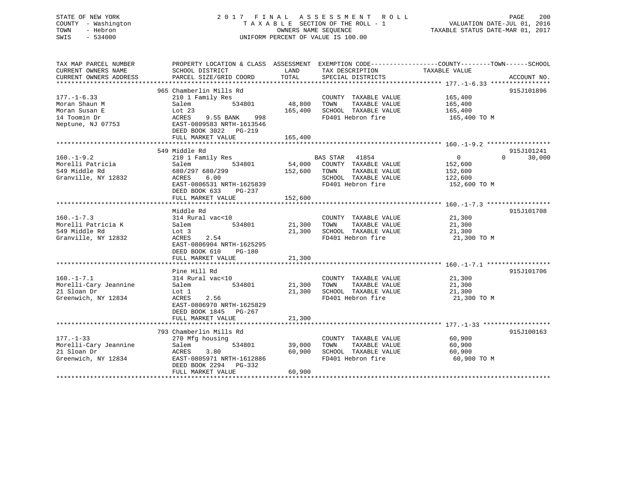## STATE OF NEW YORK 2 0 1 7 F I N A L A S S E S S M E N T R O L L PAGE 200 COUNTY - Washington T A X A B L E SECTION OF THE ROLL - 1 VALUATION DATE-JUL 01, 2016 TOWN - Hebron OWNERS NAME SEQUENCE TAXABLE STATUS DATE-MAR 01, 2017 SWIS - 534000 UNIFORM PERCENT OF VALUE IS 100.00

| SCHOOL DISTRICT                                                                                                                                      | LAND                                                            | TAX DESCRIPTION                                                    | TAXABLE VALUE                                                                                                                                                                                      |                                                                                                                                |
|------------------------------------------------------------------------------------------------------------------------------------------------------|-----------------------------------------------------------------|--------------------------------------------------------------------|----------------------------------------------------------------------------------------------------------------------------------------------------------------------------------------------------|--------------------------------------------------------------------------------------------------------------------------------|
| PARCEL SIZE/GRID COORD                                                                                                                               | TOTAL                                                           | SPECIAL DISTRICTS                                                  |                                                                                                                                                                                                    | ACCOUNT NO.                                                                                                                    |
| 965 Chamberlin Mills Rd                                                                                                                              |                                                                 |                                                                    |                                                                                                                                                                                                    | 915J101896                                                                                                                     |
| 210 1 Family Res<br>534801<br>Salem<br>Lot 23<br>9.55 BANK<br>998<br>ACRES<br>EAST-0809583 NRTH-1613546<br>DEED BOOK 3022 PG-219                     | 165,400                                                         | TOWN<br>TAXABLE VALUE<br>FD401 Hebron fire                         | 165,400<br>165,400<br>165,400 TO M                                                                                                                                                                 |                                                                                                                                |
| FULL MARKET VALUE                                                                                                                                    | 165,400                                                         |                                                                    |                                                                                                                                                                                                    |                                                                                                                                |
|                                                                                                                                                      |                                                                 |                                                                    |                                                                                                                                                                                                    | 915J101241                                                                                                                     |
| 210 1 Family Res<br>534801<br>Salem<br>680/297 680/299<br>6.00<br>ACRES<br>EAST-0806531 NRTH-1625839<br>DEED BOOK 633<br>PG-237<br>FULL MARKET VALUE | 152,600                                                         | TAXABLE VALUE<br>SCHOOL TAXABLE VALUE<br>FD401 Hebron fire         | $\overline{0}$<br>152,600<br>152,600<br>122,600<br>152,600 TO M                                                                                                                                    | $\Omega$<br>30,000                                                                                                             |
|                                                                                                                                                      |                                                                 |                                                                    |                                                                                                                                                                                                    |                                                                                                                                |
| 314 Rural vac<10<br>Salem<br>Lot 3<br>2.54<br>ACRES<br>EAST-0806904 NRTH-1625295<br>DEED BOOK 610<br>PG-180<br>FULL MARKET VALUE                     | 21,300                                                          | COUNTY TAXABLE VALUE<br>TAXABLE VALUE<br>FD401 Hebron fire         | 21,300<br>21,300<br>21,300<br>21,300 TO M                                                                                                                                                          | 915J101708                                                                                                                     |
|                                                                                                                                                      |                                                                 |                                                                    |                                                                                                                                                                                                    | 915J101706                                                                                                                     |
| 314 Rural vac<10<br>534801<br>Salem<br>Lot 1<br>ACRES<br>2.56<br>EAST-0806970 NRTH-1625829<br>DEED BOOK 1845 PG-267                                  | 21,300                                                          | COUNTY TAXABLE VALUE<br>TAXABLE VALUE<br>FD401 Hebron fire         | $\frac{21}{21}$ , 300<br>21,300<br>21,300<br>21,300 TO M                                                                                                                                           |                                                                                                                                |
|                                                                                                                                                      |                                                                 |                                                                    |                                                                                                                                                                                                    |                                                                                                                                |
| 793 Chamberlin Mills Rd<br>270 Mfg housing<br>Salem<br>534801<br>ACRES<br>3.80<br>EAST-0805971 NRTH-1612886<br>DEED BOOK 2294 PG-332                 | 39,000<br>60,900                                                | COUNTY TAXABLE VALUE<br>TOWN<br>TAXABLE VALUE<br>FD401 Hebron fire | 60,900<br>60,900<br>60,900<br>60,900 TO M                                                                                                                                                          | 915J100163                                                                                                                     |
|                                                                                                                                                      | 549 Middle Rd<br>Middle Rd<br>Pine Hill Rd<br>FULL MARKET VALUE | 48,800<br>534801<br>21,300<br>60,900<br>FULL MARKET VALUE          | SCHOOL TAXABLE VALUE<br>BAS STAR 41854<br>54,000 COUNTY TAXABLE VALUE<br>152,600 TOWN<br>21,300 TOWN<br>21,300 SCHOOL TAXABLE VALUE<br>21,300 TOWN<br>SCHOOL TAXABLE VALUE<br>SCHOOL TAXABLE VALUE | PROPERTY LOCATION & CLASS ASSESSMENT EXEMPTION CODE---------------COUNTY-------TOWN-----SCHOOL<br>COUNTY TAXABLE VALUE 165,400 |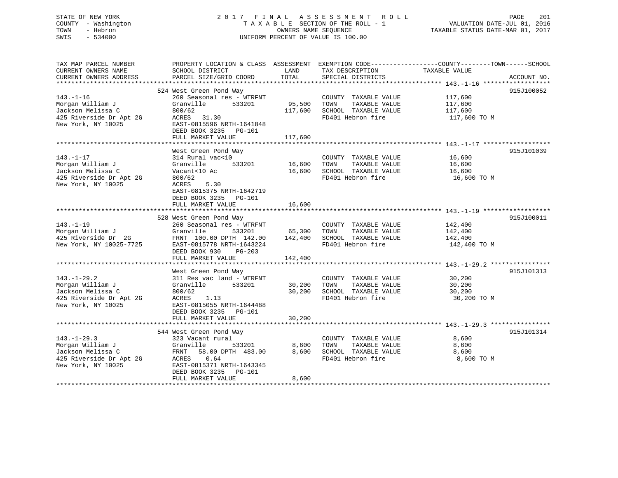## STATE OF NEW YORK 2 0 1 7 F I N A L A S S E S S M E N T R O L L PAGE 201 COUNTY - Washington T A X A B L E SECTION OF THE ROLL - 1 VALUATION DATE-JUL 01, 2016 TOWN - Hebron OWNERS NAME SEQUENCE TAXABLE STATUS DATE-MAR 01, 2017 SWIS - 534000 UNIFORM PERCENT OF VALUE IS 100.00

| TAX MAP PARCEL NUMBER          | PROPERTY LOCATION & CLASS ASSESSMENT EXEMPTION CODE----------------COUNTY-------TOWN------SCHOOL                                                                                                                            |                    |                              |                       |             |
|--------------------------------|-----------------------------------------------------------------------------------------------------------------------------------------------------------------------------------------------------------------------------|--------------------|------------------------------|-----------------------|-------------|
| CURRENT OWNERS NAME            | SCHOOL DISTRICT                                                                                                                                                                                                             | LAND               | TAX DESCRIPTION              | TAXABLE VALUE         |             |
| CURRENT OWNERS ADDRESS         | PARCEL SIZE/GRID COORD                                                                                                                                                                                                      | TOTAL              | SPECIAL DISTRICTS            |                       | ACCOUNT NO. |
|                                |                                                                                                                                                                                                                             |                    |                              |                       |             |
|                                | 524 West Green Pond Way                                                                                                                                                                                                     |                    |                              |                       | 915J100052  |
| $143. - 1 - 16$                | 260 Seasonal res - WTRFNT                                                                                                                                                                                                   |                    | COUNTY TAXABLE VALUE         | 117,600               |             |
|                                | Granville                                                                                                                                                                                                                   | 533201 95,500 TOWN | TAXABLE VALUE                | 117,600               |             |
| Morgan William J               |                                                                                                                                                                                                                             |                    |                              |                       |             |
| Jackson Melissa C              | 800/62                                                                                                                                                                                                                      |                    | 117,600 SCHOOL TAXABLE VALUE | 117,600               |             |
|                                |                                                                                                                                                                                                                             |                    | FD401 Hebron fire            | $117,600$ TO M        |             |
| New York, NY 10025             | EAST-0815596 NRTH-1641848                                                                                                                                                                                                   |                    |                              |                       |             |
|                                | DEED BOOK 3235 PG-101                                                                                                                                                                                                       |                    |                              |                       |             |
|                                | FULL MARKET VALUE                                                                                                                                                                                                           | 117,600            |                              |                       |             |
|                                |                                                                                                                                                                                                                             |                    |                              |                       |             |
|                                | West Green Pond Way                                                                                                                                                                                                         |                    |                              |                       | 915J101039  |
| $143. - 1 - 17$                | 314 Rural vac<10                                                                                                                                                                                                            |                    | COUNTY TAXABLE VALUE         | 16,600                |             |
| Morgan William J Granville     |                                                                                                                                                                                                                             |                    |                              |                       |             |
|                                |                                                                                                                                                                                                                             |                    |                              | TAXABLE VALUE 16,600  |             |
| Jackson Melissa C              | Vacant<10 Ac                                                                                                                                                                                                                |                    | 16,600 SCHOOL TAXABLE VALUE  | 16,600<br>16,600 TO M |             |
| 425 Riverside Dr Apt 2G 800/62 |                                                                                                                                                                                                                             |                    | FD401 Hebron fire            |                       |             |
| New York, NY 10025             | ACRES 5.30                                                                                                                                                                                                                  |                    |                              |                       |             |
|                                | EAST-0815375 NRTH-1642719                                                                                                                                                                                                   |                    |                              |                       |             |
|                                | DEED BOOK 3235 PG-101                                                                                                                                                                                                       |                    |                              |                       |             |
|                                |                                                                                                                                                                                                                             |                    |                              |                       |             |
|                                |                                                                                                                                                                                                                             |                    |                              |                       |             |
|                                | 528 West Green Pond Way                                                                                                                                                                                                     |                    |                              |                       | 915J100011  |
| $143. - 1 - 19$                |                                                                                                                                                                                                                             |                    | COUNTY TAXABLE VALUE         | 142,400               |             |
| Morgan William J               | According to the Seasonal res - WTRFNT<br>Granville 533201 65,300 TOWN<br>Granville                                                                                                                                         |                    | TAXABLE VALUE                | 142,400               |             |
|                                |                                                                                                                                                                                                                             |                    |                              |                       |             |
|                                |                                                                                                                                                                                                                             |                    |                              |                       |             |
|                                |                                                                                                                                                                                                                             |                    |                              | 142,400 TO M          |             |
|                                | MONGER NUTRIN UP OF THE 142,400<br>425 Riverside Dr. 2G FRNT 100.00 DPTH 142.00 142,400 SCHOOL TAXABLE VALUE 142,400<br>New York, NY 10025-7725 EAST-0815778 NRTH-1643224 FD401 Hebron fire 142,400<br>DEED BOOK 930 PG-203 |                    |                              |                       |             |
|                                |                                                                                                                                                                                                                             |                    |                              |                       |             |
|                                |                                                                                                                                                                                                                             |                    |                              |                       |             |
|                                | West Green Pond Way                                                                                                                                                                                                         |                    |                              |                       | 915J101313  |
| $143. - 1 - 29.2$              | 311 Res vac land - WTRFNT                                                                                                                                                                                                   |                    | COUNTY TAXABLE VALUE         | 30,200                |             |
| Morgan William J               | Granville 533201 30,200 TOWN                                                                                                                                                                                                |                    | TAXABLE VALUE                | 30,200                |             |
| Jackson Melissa C              | 800/62                                                                                                                                                                                                                      |                    | 30,200 SCHOOL TAXABLE VALUE  | 30,200                |             |
|                                | 800/62<br>ACRES 1.13<br>Jackson Melissa - (1.15)<br>425 Riverside Dr Apt 2G (1.15) RAST-0815055 NRTH-1644488<br>EAST-0815055 NRTH-1644488                                                                                   |                    | FD401 Hebron fire            | 30,200 TO M           |             |
|                                |                                                                                                                                                                                                                             |                    |                              |                       |             |
|                                |                                                                                                                                                                                                                             |                    |                              |                       |             |
|                                | DEED BOOK 3235 PG-101                                                                                                                                                                                                       |                    |                              |                       |             |
|                                |                                                                                                                                                                                                                             |                    |                              |                       |             |
|                                |                                                                                                                                                                                                                             |                    |                              |                       |             |
|                                | 544 West Green Pond Way                                                                                                                                                                                                     |                    |                              |                       | 915J101314  |
| $143. - 1 - 29.3$              | 323 Vacant rural                                                                                                                                                                                                            |                    | COUNTY TAXABLE VALUE 8,600   |                       |             |
| Morgan William J               | Granville 533201 8,600 TOWN TAXABLE VALUE<br>FRNT 58.00 DPTH 483.00 8,600 SCHOOL TAXABLE VALUE                                                                                                                              |                    |                              | 8,600                 |             |
| Jackson Melissa C              |                                                                                                                                                                                                                             |                    |                              | 8,600                 |             |
|                                |                                                                                                                                                                                                                             |                    | FD401 Hebron fire            | 8,600 TO M            |             |
|                                | 425 Riverside Dr Apt 2G ACRES 0.64<br>New York, NY 10025 EAST-0815371 NRTH-1643345                                                                                                                                          |                    |                              |                       |             |
|                                | DEED BOOK 3235 PG-101                                                                                                                                                                                                       |                    |                              |                       |             |
|                                |                                                                                                                                                                                                                             |                    |                              |                       |             |
|                                | FULL MARKET VALUE                                                                                                                                                                                                           | 8,600              |                              |                       |             |
|                                |                                                                                                                                                                                                                             |                    |                              |                       |             |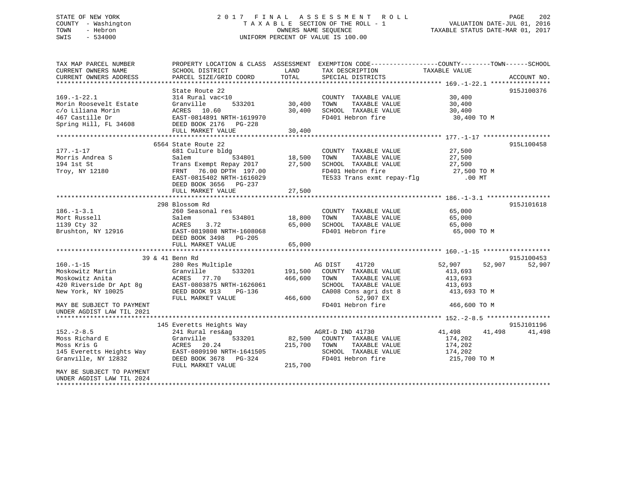## STATE OF NEW YORK 2 0 1 7 F I N A L A S S E S S M E N T R O L L PAGE 202 COUNTY - Washington T A X A B L E SECTION OF THE ROLL - 1 VALUATION DATE-JUL 01, 2016 TOWN - Hebron OWNERS NAME SEQUENCE TAXABLE STATUS DATE-MAR 01, 2017 SWIS - 534000 UNIFORM PERCENT OF VALUE IS 100.00

| TAX MAP PARCEL NUMBER<br>CURRENT OWNERS NAME           | PROPERTY LOCATION & CLASS ASSESSMENT<br>SCHOOL DISTRICT | LAND    | EXEMPTION CODE-----------------COUNTY-------TOWN------SCHOOL<br>TAX DESCRIPTION | TAXABLE VALUE    |             |
|--------------------------------------------------------|---------------------------------------------------------|---------|---------------------------------------------------------------------------------|------------------|-------------|
| CURRENT OWNERS ADDRESS                                 | PARCEL SIZE/GRID COORD                                  | TOTAL   | SPECIAL DISTRICTS                                                               |                  | ACCOUNT NO. |
|                                                        | State Route 22                                          |         |                                                                                 |                  | 915J100376  |
| $169. - 1 - 22.1$                                      | 314 Rural vac<10                                        |         | COUNTY TAXABLE VALUE                                                            | 30,400           |             |
| Morin Roosevelt Estate                                 | Granville<br>533201                                     | 30,400  | TOWN<br>TAXABLE VALUE                                                           | 30,400           |             |
| c/o Liliana Morin                                      | ACRES 10.60                                             | 30,400  | SCHOOL TAXABLE VALUE                                                            | 30,400           |             |
| 467 Castille Dr                                        | EAST-0814891 NRTH-1619970                               |         | FD401 Hebron fire                                                               | 30,400 TO M      |             |
| Spring Hill, FL 34608                                  | DEED BOOK 2176 PG-228                                   | 30,400  |                                                                                 |                  |             |
|                                                        | FULL MARKET VALUE                                       |         |                                                                                 |                  |             |
|                                                        | 6564 State Route 22                                     |         |                                                                                 |                  | 915L100458  |
| $177. - 1 - 17$                                        | 681 Culture bldg                                        |         | COUNTY TAXABLE VALUE                                                            | 27,500           |             |
| Morris Andrea S                                        | Salem<br>534801                                         | 18,500  | TOWN<br>TAXABLE VALUE                                                           | 27,500           |             |
| 194 1st St                                             | Trans Exempt Repay 2017                                 | 27,500  | SCHOOL TAXABLE VALUE                                                            | 27,500           |             |
| Troy, NY 12180                                         | 76.00 DPTH 197.00<br>FRNT                               |         | FD401 Hebron fire                                                               | 27,500 TO M      |             |
|                                                        | EAST-0815402 NRTH-1616029                               |         | TE533 Trans exmt repay-flg                                                      | .00 MT           |             |
|                                                        | DEED BOOK 3656 PG-237                                   |         |                                                                                 |                  |             |
|                                                        | FULL MARKET VALUE                                       | 27,500  |                                                                                 |                  |             |
|                                                        | 298 Blossom Rd                                          |         |                                                                                 |                  | 915J101618  |
| $186. - 1 - 3.1$                                       | 260 Seasonal res                                        |         | COUNTY TAXABLE VALUE                                                            | 65,000           |             |
| Mort Russell                                           | 534801<br>Salem                                         | 18,800  | TAXABLE VALUE<br>TOWN                                                           | 65,000           |             |
| 1139 Cty 32                                            | 3.72<br>ACRES                                           | 65,000  | SCHOOL TAXABLE VALUE                                                            | 65,000           |             |
| Brushton, NY 12916                                     | EAST-0819808 NRTH-1608068                               |         | FD401 Hebron fire                                                               | 65,000 TO M      |             |
|                                                        | DEED BOOK 3498 PG-205                                   |         |                                                                                 |                  |             |
|                                                        | FULL MARKET VALUE                                       | 65,000  |                                                                                 |                  |             |
|                                                        |                                                         |         |                                                                                 |                  |             |
|                                                        | 39 & 41 Benn Rd                                         |         |                                                                                 |                  | 915J100453  |
| $160. - 1 - 15$                                        | 280 Res Multiple                                        |         | AG DIST<br>41720                                                                | 52,907<br>52,907 | 52,907      |
| Moskowitz Martin                                       | 533201<br>Granville                                     | 191,500 | COUNTY TAXABLE VALUE                                                            | 413,693          |             |
| Moskowitz Anita                                        | ACRES 77.70                                             | 466,600 | TOWN<br>TAXABLE VALUE                                                           | 413,693          |             |
| 420 Riverside Dr Apt 8g                                | EAST-0803875 NRTH-1626061                               |         | SCHOOL TAXABLE VALUE                                                            | 413,693          |             |
| New York, NY 10025                                     | DEED BOOK 913<br>PG-136                                 |         | CA008 Cons agri dst 8                                                           | 413,693 TO M     |             |
|                                                        | FULL MARKET VALUE                                       | 466,600 | 52,907 EX<br>FD401 Hebron fire                                                  |                  |             |
| MAY BE SUBJECT TO PAYMENT<br>UNDER AGDIST LAW TIL 2021 |                                                         |         |                                                                                 | 466,600 TO M     |             |
|                                                        |                                                         |         |                                                                                 |                  |             |
|                                                        | 145 Everetts Heights Way                                |         |                                                                                 |                  | 915J101196  |
| $152 - 2 - 8.5$                                        | 241 Rural res&ag                                        |         | AGRI-D IND 41730                                                                | 41,498<br>41,498 | 41,498      |
| Moss Richard E                                         | 533201<br>Granville                                     |         | 82,500 COUNTY TAXABLE VALUE                                                     | 174,202          |             |
| Moss Kris G                                            | ACRES<br>20.24                                          | 215,700 | TOWN<br>TAXABLE VALUE                                                           | 174,202          |             |
| 145 Everetts Heights Way                               | EAST-0809190 NRTH-1641505                               |         | SCHOOL TAXABLE VALUE                                                            | 174,202          |             |
| Granville, NY 12832                                    | DEED BOOK 3678 PG-324                                   |         | FD401 Hebron fire                                                               | 215,700 TO M     |             |
|                                                        | FULL MARKET VALUE                                       | 215,700 |                                                                                 |                  |             |
| MAY BE SUBJECT TO PAYMENT                              |                                                         |         |                                                                                 |                  |             |
| UNDER AGDIST LAW TIL 2024                              |                                                         |         |                                                                                 |                  |             |
|                                                        |                                                         |         |                                                                                 |                  |             |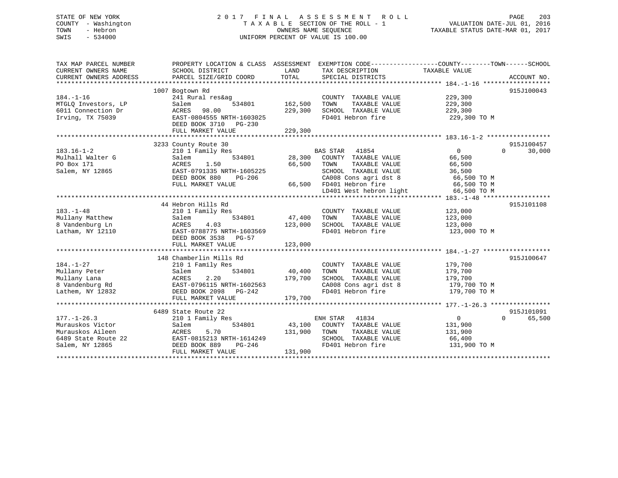## STATE OF NEW YORK 2 0 1 7 F I N A L A S S E S S M E N T R O L L PAGE 203 COUNTY - Washington T A X A B L E SECTION OF THE ROLL - 1 VALUATION DATE-JUL 01, 2016 TOWN - Hebron OWNERS NAME SEQUENCE TAXABLE STATUS DATE-MAR 01, 2017 SWIS - 534000 UNIFORM PERCENT OF VALUE IS 100.00

| TAX MAP PARCEL NUMBER<br>CURRENT OWNERS NAME<br>CURRENT OWNERS ADDRESS                              | PROPERTY LOCATION & CLASS ASSESSMENT EXEMPTION CODE---------------COUNTY-------TOWN------SCHOOL<br>SCHOOL DISTRICT<br>PARCEL SIZE/GRID COORD               | LAND<br>TOTAL                 | TAX DESCRIPTION<br>SPECIAL DISTRICTS                                                                                                                                    | TAXABLE VALUE                                                                             | ACCOUNT NO.                      |
|-----------------------------------------------------------------------------------------------------|------------------------------------------------------------------------------------------------------------------------------------------------------------|-------------------------------|-------------------------------------------------------------------------------------------------------------------------------------------------------------------------|-------------------------------------------------------------------------------------------|----------------------------------|
| $184. - 1 - 16$<br>MTGLO Investors, LP<br>6011 Connection Dr<br>Irving, TX 75039                    | 1007 Bogtown Rd<br>241 Rural res&ag<br>Salem<br>534801<br>ACRES 98.00<br>EAST-0804555 NRTH-1603025<br>DEED BOOK 3710<br>PG-230<br>FULL MARKET VALUE        | 162,500<br>229,300<br>229,300 | COUNTY TAXABLE VALUE<br>TOWN<br>TAXABLE VALUE<br>SCHOOL TAXABLE VALUE<br>FD401 Hebron fire                                                                              | 229,300<br>229,300<br>229,300<br>229,300 TO M                                             | 915J100043                       |
| $183.16 - 1 - 2$<br>Mulhall Walter G<br>PO Box 171<br>Salem, NY 12865                               | 3233 County Route 30<br>210 1 Family Res<br>534801<br>Salem<br>1.50<br>ACRES<br>EAST-0791335 NRTH-1605225<br>DEED BOOK 880<br>PG-206<br>FULL MARKET VALUE  | 28,300<br>66,500              | BAS STAR 41854<br>COUNTY TAXABLE VALUE<br>TOWN<br>TAXABLE VALUE<br>SCHOOL TAXABLE VALUE<br>CA008 Cons agri dst 8<br>66,500 FD401 Hebron fire<br>LD401 West hebron light | $\overline{0}$<br>66,500<br>66,500<br>36,500<br>66,500 TO M<br>66,500 TO M<br>66,500 TO M | 915J100457<br>30,000<br>$\Omega$ |
| $183. - 1 - 48$<br>Mullany Matthew<br>8 Vandenburg Ln<br>Latham, NY 12110                           | 44 Hebron Hills Rd<br>210 1 Family Res<br>534801<br>Salem<br>4.03<br>ACRES<br>EAST-0788775 NRTH-1603569<br>DEED BOOK 3538<br>PG-57<br>FULL MARKET VALUE    | 47,400<br>123,000<br>123,000  | COUNTY TAXABLE VALUE<br>TOWN<br>TAXABLE VALUE<br>SCHOOL TAXABLE VALUE<br>FD401 Hebron fire                                                                              | 123,000<br>123,000<br>123,000<br>123,000 TO M                                             | 915J101108                       |
| $184. - 1 - 27$<br>Mullany Peter<br>Mullany Lana<br>8 Vandenburg Rd<br>Lathem, NY 12832             | 148 Chamberlin Mills Rd<br>210 1 Family Res<br>534801<br>Salem<br>ACRES<br>2.20<br>EAST-0796115 NRTH-1602563<br>DEED BOOK 2098 PG-242<br>FULL MARKET VALUE | 40,400<br>179,700<br>179,700  | COUNTY TAXABLE VALUE<br>TAXABLE VALUE<br>TOWN<br>SCHOOL TAXABLE VALUE<br>CA008 Cons agri dst 8<br>FD401 Hebron fire                                                     | 179,700<br>179,700<br>179,700<br>179,700 TO M<br>179,700 TO M                             | 915J100647                       |
| $177. - 1 - 26.3$<br>Murauskos Victor<br>Murauskos Aileen<br>6489 State Route 22<br>Salem, NY 12865 | 6489 State Route 22<br>210 1 Family Res<br>534801<br>Salem<br>ACRES<br>5.70<br>EAST-0815213 NRTH-1614249<br>DEED BOOK 889<br>PG-246<br>FULL MARKET VALUE   | 43,100<br>131,900<br>131,900  | ENH STAR<br>41834<br>COUNTY TAXABLE VALUE<br>TOWN<br>TAXABLE VALUE<br>SCHOOL TAXABLE VALUE<br>FD401 Hebron fire                                                         | $\overline{0}$<br>131,900<br>131,900<br>66,400<br>131,900 TO M                            | 915J101091<br>$\Omega$<br>65,500 |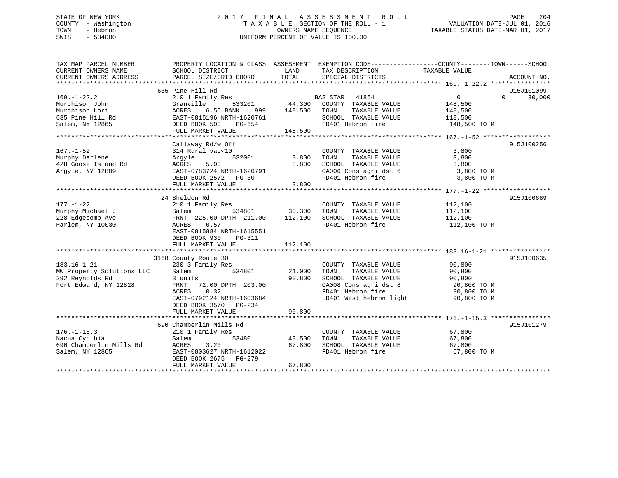## STATE OF NEW YORK 2 0 1 7 F I N A L A S S E S S M E N T R O L L PAGE 204 COUNTY - Washington T A X A B L E SECTION OF THE ROLL - 1 VALUATION DATE-JUL 01, 2016 TOWN - Hebron OWNERS NAME SEQUENCE TAXABLE STATUS DATE-MAR 01, 2017 SWIS - 534000 UNIFORM PERCENT OF VALUE IS 100.00

| TAX MAP PARCEL NUMBER<br>CURRENT OWNERS NAME | PROPERTY LOCATION & CLASS ASSESSMENT EXEMPTION CODE---------------COUNTY-------TOWN-----SCHOOL<br>SCHOOL DISTRICT | LAND                   | TAX DESCRIPTION         | TAXABLE VALUE                                      |                    |
|----------------------------------------------|-------------------------------------------------------------------------------------------------------------------|------------------------|-------------------------|----------------------------------------------------|--------------------|
| CURRENT OWNERS ADDRESS                       | PARCEL SIZE/GRID COORD                                                                                            | TOTAL                  | SPECIAL DISTRICTS       |                                                    | ACCOUNT NO.        |
|                                              |                                                                                                                   |                        |                         |                                                    |                    |
|                                              | 635 Pine Hill Rd                                                                                                  |                        |                         |                                                    | 915J101099         |
| $169. - 1 - 22.2$                            | 210 1 Family Res                                                                                                  | $44,300$ <sup>BZ</sup> | BAS STAR 41854          | $0 \qquad \qquad$                                  | 30,000<br>$\Omega$ |
| Murchison John                               | 533201<br>Granville                                                                                               |                        | COUNTY TAXABLE VALUE    | 148,500                                            |                    |
| Murchison Lori                               | 6.55 BANK<br>ACRES<br>999                                                                                         | 148,500                | TOWN<br>TAXABLE VALUE   | 148,500                                            |                    |
| 635 Pine Hill Rd                             | EAST-0815196 NRTH-1620761                                                                                         |                        | SCHOOL TAXABLE VALUE    | 118,500                                            |                    |
| Salem, NY 12865                              | DEED BOOK 500<br>PG-654                                                                                           |                        | FD401 Hebron fire       | 148,500 TO M                                       |                    |
|                                              | FULL MARKET VALUE                                                                                                 | 148,500                |                         |                                                    |                    |
|                                              |                                                                                                                   |                        |                         |                                                    |                    |
|                                              | Callaway Rd/w Off                                                                                                 |                        |                         |                                                    | 915J100256         |
| $167. - 1 - 52$                              | 314 Rural vac<10                                                                                                  |                        | COUNTY TAXABLE VALUE    | 3,800                                              |                    |
| Murphy Darlene                               | 532001<br>Argyle                                                                                                  | 3,800                  | TOWN<br>TAXABLE VALUE   | 3,800                                              |                    |
| 428 Goose Island Rd                          | ACRES<br>5.00                                                                                                     | 3,800                  | SCHOOL TAXABLE VALUE    | 3,800                                              |                    |
| Arqyle, NY 12809                             | EAST-0783724 NRTH-1620791                                                                                         |                        | CA006 Cons agri dst 6   | 3,800 TO M                                         |                    |
|                                              | DEED BOOK 2572 PG-30                                                                                              |                        | FD401 Hebron fire       | 3,800 TO M                                         |                    |
|                                              | FULL MARKET VALUE                                                                                                 | 3,800                  |                         |                                                    |                    |
|                                              |                                                                                                                   |                        |                         |                                                    |                    |
|                                              | 24 Sheldon Rd                                                                                                     |                        |                         |                                                    | 915J100689         |
| $177. - 1 - 22$                              | 210 1 Family Res                                                                                                  |                        | COUNTY TAXABLE VALUE    | 112,100                                            |                    |
| Murphy Michael J                             |                                                                                                                   |                        | TOWN<br>TAXABLE VALUE   | 112,100                                            |                    |
| 228 Edgecomb Ave                             | Salem 534801 30,300<br>FRNT 225.00 DPTH 211.00 112,100                                                            |                        | SCHOOL TAXABLE VALUE    | 112,100                                            |                    |
| Harlem, NY 10030                             | 0.57<br>ACRES                                                                                                     |                        | FD401 Hebron fire       | 112,100 TO M                                       |                    |
|                                              | EAST-0815884 NRTH-1615551                                                                                         |                        |                         |                                                    |                    |
|                                              | DEED BOOK 930<br>PG-311                                                                                           |                        |                         |                                                    |                    |
|                                              | FULL MARKET VALUE                                                                                                 | 112,100                |                         |                                                    |                    |
|                                              |                                                                                                                   |                        |                         |                                                    |                    |
|                                              | 3168 County Route 30                                                                                              |                        |                         |                                                    | 915J100635         |
| $183.16 - 1 - 21$                            | 230 3 Family Res                                                                                                  |                        | COUNTY TAXABLE VALUE    | 90,800                                             |                    |
| MW Property Solutions LLC                    | Salem<br>534801                                                                                                   | 21,000                 | TAXABLE VALUE<br>TOWN   | 90,800                                             |                    |
| 292 Reynolds Rd                              | 3 units                                                                                                           | 90,800                 | SCHOOL TAXABLE VALUE    |                                                    |                    |
| Fort Edward, NY 12828                        | FRNT 72.00 DPTH 203.00                                                                                            |                        | CA008 Cons agri dst 8   |                                                    |                    |
|                                              | ACRES<br>0.32                                                                                                     |                        | FD401 Hebron fire       | ט, סטט<br>90,800 TO M<br>רי הרה מית<br>90,800 TO M |                    |
|                                              | EAST-0792124 NRTH-1603684                                                                                         |                        | LD401 West hebron light | 90,800 TO M                                        |                    |
|                                              | DEED BOOK 3570 PG-234                                                                                             |                        |                         |                                                    |                    |
|                                              | FULL MARKET VALUE                                                                                                 | 90,800                 |                         |                                                    |                    |
|                                              |                                                                                                                   |                        |                         |                                                    |                    |
|                                              | 690 Chamberlin Mills Rd                                                                                           |                        |                         |                                                    | 915J101279         |
| $176. - 1 - 15.3$                            | 210 1 Family Res                                                                                                  |                        | COUNTY TAXABLE VALUE    | 67,800                                             |                    |
| Nacua Cynthia                                | 534801<br>Salem                                                                                                   | 43,500                 | TAXABLE VALUE<br>TOWN   | 67,800                                             |                    |
| 690 Chamberlin Mills Rd                      | ACRES<br>3.20                                                                                                     | 67,800                 | SCHOOL TAXABLE VALUE    | 67,800                                             |                    |
| Salem, NY 12865                              | EAST-0803627 NRTH-1612022                                                                                         |                        | FD401 Hebron fire       | 67,800 TO M                                        |                    |
|                                              | DEED BOOK 2675<br>PG-279                                                                                          |                        |                         |                                                    |                    |
|                                              | FULL MARKET VALUE                                                                                                 | 67,800                 |                         |                                                    |                    |
|                                              |                                                                                                                   |                        |                         |                                                    |                    |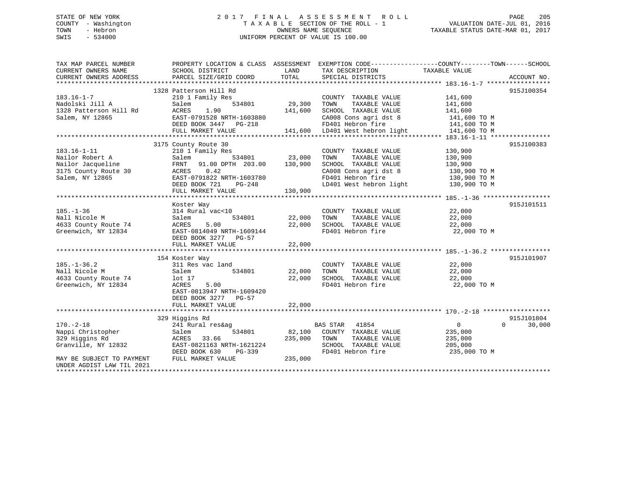## STATE OF NEW YORK 2 0 1 7 F I N A L A S S E S S M E N T R O L L PAGE 205 COUNTY - Washington T A X A B L E SECTION OF THE ROLL - 1 VALUATION DATE-JUL 01, 2016 TOWN - Hebron OWNERS NAME SEQUENCE TAXABLE STATUS DATE-MAR 01, 2017 SWIS - 534000 UNIFORM PERCENT OF VALUE IS 100.00

| TAX MAP PARCEL NUMBER<br>CURRENT OWNERS NAME | PROPERTY LOCATION & CLASS ASSESSMENT EXEMPTION CODE---------------COUNTY-------TOWN------SCHOOL<br>SCHOOL DISTRICT | LAND          | TAX DESCRIPTION                              | TAXABLE VALUE  |                    |
|----------------------------------------------|--------------------------------------------------------------------------------------------------------------------|---------------|----------------------------------------------|----------------|--------------------|
| CURRENT OWNERS ADDRESS                       | PARCEL SIZE/GRID COORD                                                                                             | TOTAL         | SPECIAL DISTRICTS                            |                | ACCOUNT NO.        |
|                                              |                                                                                                                    |               |                                              |                |                    |
|                                              | 1328 Patterson Hill Rd                                                                                             |               |                                              |                | 915J100354         |
| $183.16 - 1 - 7$                             | 210 1 Family Res                                                                                                   |               | COUNTY TAXABLE VALUE                         | 141,600        |                    |
| Nadolski Jill A                              | Salem<br>534801                                                                                                    | 29,300        | TAXABLE VALUE<br>TOWN                        | 141,600        |                    |
| 1328 Patterson Hill Rd                       | ACRES<br>1.90                                                                                                      | 141,600       | SCHOOL TAXABLE VALUE                         | 141,600        |                    |
| Salem, NY 12865                              | EAST-0791528 NRTH-1603880                                                                                          |               |                                              | 141,600 TO M   |                    |
|                                              | DEED BOOK 3447 PG-218                                                                                              |               | CA008 Cons agri dst 8<br>FD401 Hebron fire   | 141,600 TO M   |                    |
|                                              | FULL MARKET VALUE                                                                                                  |               | 141,600 LD401 West hebron light 141,600 TO M |                |                    |
|                                              |                                                                                                                    |               |                                              |                |                    |
|                                              | 3175 County Route 30                                                                                               |               |                                              |                | 915J100383         |
| $183.16 - 1 - 11$                            | 210 1 Family Res                                                                                                   |               | COUNTY TAXABLE VALUE                         | 130,900        |                    |
| Nailor Robert A                              | Salem                                                                                                              | 534801 23,000 | TAXABLE VALUE<br>TOWN                        | 130,900        |                    |
| Nailor Jacqueline                            | FRNT 91.00 DPTH 203.00 130,900                                                                                     |               | SCHOOL TAXABLE VALUE                         | 130,900        |                    |
| 3175 County Route 30                         | ACRES 0.42                                                                                                         |               |                                              | $130,900$ TO M |                    |
| Salem, NY 12865                              | EAST-0791822 NRTH-1603780                                                                                          |               | CA008 Cons agri dst 8<br>FD401 Hebron fire   | 130,900 TO M   |                    |
|                                              | DEED BOOK 721<br>PG-248                                                                                            |               | LD401 West hebron light                      | 130,900 TO M   |                    |
|                                              | FULL MARKET VALUE                                                                                                  | 130,900       |                                              |                |                    |
|                                              |                                                                                                                    |               |                                              |                |                    |
|                                              | Koster Way                                                                                                         |               |                                              |                | 915J101511         |
| $185. - 1 - 36$                              | 314 Rural vac<10                                                                                                   |               | COUNTY TAXABLE VALUE 22,000                  |                |                    |
| Nall Nicole M                                |                                                                                                                    | 22,000        | TOWN<br>TAXABLE VALUE                        | 22,000         |                    |
|                                              | Salem<br>534801                                                                                                    |               | SCHOOL TAXABLE VALUE                         | 22,000         |                    |
| 4633 County Route 74                         | ACRES<br>5.00                                                                                                      | 22,000        | FD401 Hebron fire                            |                |                    |
| Greenwich, NY 12834                          | EAST-0814049 NRTH-1609144                                                                                          |               |                                              | 22,000 TO M    |                    |
|                                              | DEED BOOK 3277 PG-57                                                                                               |               |                                              |                |                    |
|                                              | FULL MARKET VALUE                                                                                                  | 22,000        |                                              |                |                    |
|                                              |                                                                                                                    |               |                                              |                | 915J101907         |
|                                              | 154 Koster Way                                                                                                     |               |                                              |                |                    |
| $185. - 1 - 36.2$                            | 311 Res vac land                                                                                                   |               | COUNTY TAXABLE VALUE                         | 22,000         |                    |
| Nall Nicole M                                | Salem<br>534801                                                                                                    | 22,000        | TAXABLE VALUE<br>TOWN                        | 22,000         |                    |
| 4633 County Route 74                         | lot 17                                                                                                             | 22,000        | SCHOOL TAXABLE VALUE                         | 22,000         |                    |
| Greenwich, NY 12834                          | ACRES<br>5.00                                                                                                      |               | FD401 Hebron fire                            | 22,000 TO M    |                    |
|                                              | EAST-0813947 NRTH-1609420                                                                                          |               |                                              |                |                    |
|                                              | DEED BOOK 3277 PG-57                                                                                               |               |                                              |                |                    |
|                                              |                                                                                                                    |               |                                              |                |                    |
|                                              |                                                                                                                    |               |                                              |                |                    |
|                                              | 329 Higgins Rd                                                                                                     |               |                                              |                | 915J101804         |
| $170. - 2 - 18$                              | 241 Rural res&ag                                                                                                   |               | BAS STAR<br>41854                            | $\overline{0}$ | $\Omega$<br>30,000 |
| Nappi Christopher<br>329 Hiddins Rd          | 534801<br>Salem                                                                                                    | 82,100        | COUNTY TAXABLE VALUE                         | 235,000        |                    |
| 329 Higgins Rd                               | ACRES 33.66                                                                                                        | 235,000       | TOWN<br>TAXABLE VALUE                        | 235,000        |                    |
| Granville, NY 12832                          | EAST-0821163 NRTH-1621224                                                                                          |               | SCHOOL TAXABLE VALUE                         | 205,000        |                    |
|                                              | DEED BOOK 630<br>PG-339                                                                                            |               | FD401 Hebron fire                            | 235,000 TO M   |                    |
| MAY BE SUBJECT TO PAYMENT                    | FULL MARKET VALUE                                                                                                  | 235,000       |                                              |                |                    |
| UNDER AGDIST LAW TIL 2021                    |                                                                                                                    |               |                                              |                |                    |
|                                              |                                                                                                                    |               |                                              |                |                    |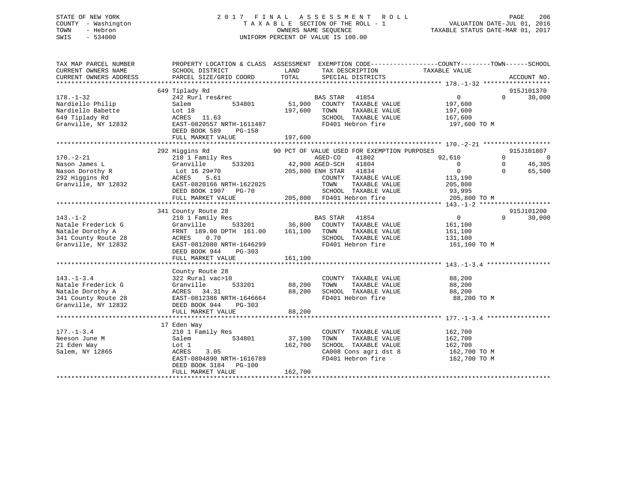## STATE OF NEW YORK 2 0 1 7 F I N A L A S S E S S M E N T R O L L PAGE 206 COUNTY - Washington T A X A B L E SECTION OF THE ROLL - 1 VALUATION DATE-JUL 01, 2016 TOWN - Hebron OWNERS NAME SEQUENCE TAXABLE STATUS DATE-MAR 01, 2017 SWIS - 534000 UNIFORM PERCENT OF VALUE IS 100.00

| TAX MAP PARCEL NUMBER<br>CURRENT OWNERS NAME<br>CURRENT OWNERS ADDRESS                                   | PROPERTY LOCATION & CLASS ASSESSMENT EXEMPTION CODE---------------COUNTY-------TOWN-----SCHOOL<br>SCHOOL DISTRICT<br>PARCEL SIZE/GRID COORD                                             | LAND<br>TOTAL                                                                                                                                           | TAX DESCRIPTION<br>SPECIAL DISTRICTS                                                                        | TAXABLE VALUE                                                                              | ACCOUNT NO.                                                                             |
|----------------------------------------------------------------------------------------------------------|-----------------------------------------------------------------------------------------------------------------------------------------------------------------------------------------|---------------------------------------------------------------------------------------------------------------------------------------------------------|-------------------------------------------------------------------------------------------------------------|--------------------------------------------------------------------------------------------|-----------------------------------------------------------------------------------------|
| $178. - 1 - 32$<br>Nardiello Philip<br>Nardiello Babette<br>649 Tiplady Rd<br>Granville, NY 12832        | 649 Tiplady Rd<br>242 Rurl res&rec<br>534801<br>Salem<br>LOT 18<br>ACRES 11.63<br>EAST-0820557 NRTH-1611487<br>DEED BOOK 589<br>PG-158<br>FULL MARKET VALUE                             | BAS STAR 41854<br>51,900<br>197,600 TOWN<br>197,600                                                                                                     | COUNTY TAXABLE VALUE<br>TAXABLE VALUE<br>SCHOOL TAXABLE VALUE<br>FD401 Hebron fire                          | $\overline{0}$<br>197,600<br>197,600<br>167,600<br>197,600 TO M                            | 915J101370<br>$\Omega$<br>30,000                                                        |
| $170. - 2 - 21$<br>Nason James L<br>Nason Dorothy R<br>292 Higgins Rd<br>Granville, NY 12832             | 292 Higgins Rd<br>210 1 Family Res<br>Granville<br>Lot 16 29#70<br>ACRES 5.61<br>ACRES 5.61<br>EAST-0820166 NRTH-1622025<br>DEED BOOK 1907 PG-70<br>FULL MARKET VALUE                   | 90 PCT OF VALUE USED FOR EXEMPTION PURPOSES<br>AGED-CO<br>533201 42,900 AGED-SCH 41804<br>$205,800$ ENH STAR 41804<br>TOWN<br>205,800 FD401 Hebron fire | 41802<br>COUNTY TAXABLE VALUE<br>TAXABLE VALUE<br>SCHOOL TAXABLE VALUE                                      | 92,610<br>$\overline{0}$<br>$\overline{0}$<br>113,190<br>205,800<br>93,995<br>205,800 TO M | 915J101807<br>$\overline{0}$<br>$\Omega$<br>$\mathbf 0$<br>46,305<br>$\Omega$<br>65,500 |
| $143. - 1 - 2$<br>Natale Frederick G<br>Natale Dorothy A<br>341 County Route 28<br>Granville, NY 12832   | 341 County Route 28<br>210 1 Family Res<br>Granville<br>FRNT 189.00 DPTH 161.00 161,100 TOWN<br>ACRES 0.70<br>EAST-0812080 NRTH-1646299<br>DEED BOOK 944<br>PG-303<br>FULL MARKET VALUE | $\begin{array}{cccc}\n 3 & 3 & 3 \\  533201 & 36,800 & 300 \\  \end{array}$<br>161,100                                                                  | TAXABLE VALUE<br>SCHOOL TAXABLE VALUE<br>FD401 Hebron fire                                                  | $\overline{0}$<br>161,100<br>161,100<br>131,100<br>161,100 TO M                            | 915J101200<br>30,000<br>$\Omega$                                                        |
| $143. - 1 - 3.4$<br>Natale Frederick G<br>Natale Dorothy A<br>341 County Route 28<br>Granville, NY 12832 | County Route 28<br>322 Rural vac>10<br>Granville<br>ACRES 34.31<br>EAST-0812386 NRTH-1646664<br>DEED BOOK 944<br>$PG-303$<br>FULL MARKET VALUE                                          | 533201 88,200<br>TOWN<br>88,200<br>88,200                                                                                                               | COUNTY TAXABLE VALUE<br>TAXABLE VALUE<br>SCHOOL TAXABLE VALUE 88,200<br>FD401 Hebron fire                   | 88,200<br>88,200<br>88,200 TO M                                                            |                                                                                         |
| $177. - 1 - 3.4$<br>Neeson June M<br>21 Eden Way<br>Salem, NY 12865                                      | 17 Eden Way<br>210 1 Family Res<br>534801<br>Salem<br>Lot 1<br>ACRES<br>3.05<br>EAST-0804890 NRTH-1616789<br>DEED BOOK 3184 PG-100<br>FULL MARKET VALUE                                 | 37,100<br>TOWN<br>162,700<br>162,700                                                                                                                    | COUNTY TAXABLE VALUE<br>TAXABLE VALUE<br>SCHOOL TAXABLE VALUE<br>CA008 Cons agri dst 8<br>FD401 Hebron fire | 162,700<br>162,700<br>162,700<br>162,700 TO M<br>162,700 TO M                              |                                                                                         |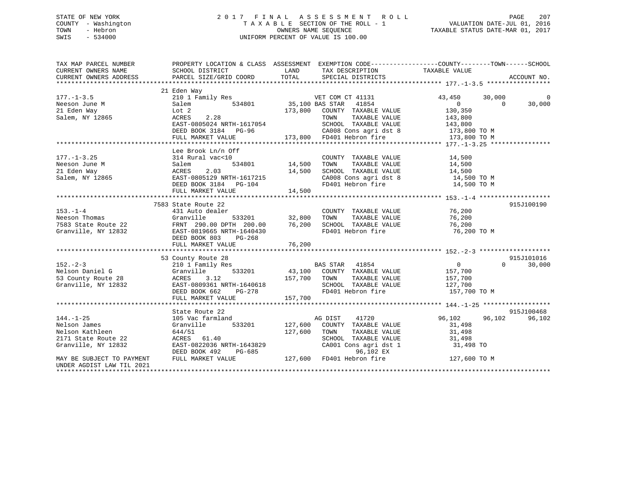## STATE OF NEW YORK 2 0 1 7 F I N A L A S S E S S M E N T R O L L PAGE 207 COUNTY - Washington T A X A B L E SECTION OF THE ROLL - 1 VALUATION DATE-JUL 01, 2016 TOWN - Hebron OWNERS NAME SEQUENCE TAXABLE STATUS DATE-MAR 01, 2017 SWIS - 534000 UNIFORM PERCENT OF VALUE IS 100.00

| TAX MAP PARCEL NUMBER                                  | PROPERTY LOCATION & CLASS ASSESSMENT EXEMPTION CODE----------------COUNTY-------TOWN------SCHOOL                                                                                                                                      |                    |                                                                                                                                                                                                                                         |                                                                |                                                |
|--------------------------------------------------------|---------------------------------------------------------------------------------------------------------------------------------------------------------------------------------------------------------------------------------------|--------------------|-----------------------------------------------------------------------------------------------------------------------------------------------------------------------------------------------------------------------------------------|----------------------------------------------------------------|------------------------------------------------|
|                                                        |                                                                                                                                                                                                                                       |                    |                                                                                                                                                                                                                                         |                                                                |                                                |
| $177. - 1 - 3.5$<br>Neeson June M                      | 21 Eden Way<br>210 1 Family Res<br>Salem                                                                                                                                                                                              |                    |                                                                                                                                                                                                                                         |                                                                | 30,000<br>$\Omega$<br>$\overline{0}$<br>30,000 |
| 21 Eden Way<br>Salem, NY 12865                         | Lot 2                                                                                                                                                                                                                                 |                    |                                                                                                                                                                                                                                         |                                                                |                                                |
|                                                        | $\begin{array}{cccccccccc} \texttt{ACRES} & 2.28 & & & & & & \texttt{TOWN} & & \texttt{TAXABLE VALUE} & & & & 143,800 \\ \texttt{EAST-0805024 NRTH-1617054} & & & & & & \texttt{SCHOOL TAXABLE VALUE} & & & & 143,800 \\ \end{array}$ |                    |                                                                                                                                                                                                                                         |                                                                |                                                |
|                                                        |                                                                                                                                                                                                                                       |                    |                                                                                                                                                                                                                                         |                                                                |                                                |
|                                                        |                                                                                                                                                                                                                                       |                    |                                                                                                                                                                                                                                         |                                                                |                                                |
|                                                        | Lee Brook Ln/n Off                                                                                                                                                                                                                    |                    |                                                                                                                                                                                                                                         |                                                                |                                                |
| $177. - 1 - 3.25$                                      | 314 Rural vac<10                                                                                                                                                                                                                      |                    | COUNTY TAXABLE VALUE                                                                                                                                                                                                                    | 14,500                                                         |                                                |
| Neeson June M                                          | Salem                                                                                                                                                                                                                                 | u<br>534801 14,500 | TOWN<br>TAXABLE VALUE                                                                                                                                                                                                                   | 14,500                                                         |                                                |
| 21 Eden Way                                            | ACRES<br>2.03                                                                                                                                                                                                                         | 14,500             |                                                                                                                                                                                                                                         |                                                                |                                                |
|                                                        |                                                                                                                                                                                                                                       |                    | SCHOOL TAXABLE VALUE 14,500<br>CA008 Cons agri dst 8 14,500 TO M                                                                                                                                                                        |                                                                |                                                |
|                                                        | DEED BOOK 3184 PG-104                                                                                                                                                                                                                 |                    |                                                                                                                                                                                                                                         | FD401 Hebron fire 14,500 TO M                                  |                                                |
|                                                        | FULL MARKET VALUE                                                                                                                                                                                                                     | 14,500             |                                                                                                                                                                                                                                         |                                                                |                                                |
|                                                        |                                                                                                                                                                                                                                       |                    |                                                                                                                                                                                                                                         |                                                                |                                                |
|                                                        | 7583 State Route 22                                                                                                                                                                                                                   |                    |                                                                                                                                                                                                                                         |                                                                | 915J100190                                     |
|                                                        |                                                                                                                                                                                                                                       |                    | COUNTY TAXABLE VALUE 76,200                                                                                                                                                                                                             |                                                                |                                                |
|                                                        |                                                                                                                                                                                                                                       |                    |                                                                                                                                                                                                                                         |                                                                |                                                |
|                                                        |                                                                                                                                                                                                                                       |                    |                                                                                                                                                                                                                                         | 76,200<br>76,200                                               |                                                |
|                                                        | DEED BOOK 803 PG-268                                                                                                                                                                                                                  |                    |                                                                                                                                                                                                                                         | 76,200 TO M                                                    |                                                |
|                                                        | FULL MARKET VALUE                                                                                                                                                                                                                     | 76,200             |                                                                                                                                                                                                                                         |                                                                |                                                |
|                                                        |                                                                                                                                                                                                                                       |                    |                                                                                                                                                                                                                                         |                                                                |                                                |
|                                                        | 53 County Route 28                                                                                                                                                                                                                    |                    |                                                                                                                                                                                                                                         |                                                                | 915J101016                                     |
| $152 - 2 - 3$                                          |                                                                                                                                                                                                                                       |                    |                                                                                                                                                                                                                                         | $\overline{0}$                                                 | $\Omega$<br>30,000                             |
| Nelson Daniel G                                        |                                                                                                                                                                                                                                       |                    |                                                                                                                                                                                                                                         | 157,700                                                        |                                                |
| 53 County Route 28                                     | County Route 28<br>210 1 Family Res<br>Granville 533201 43,100 COUNTY TAXABLE VALUE<br>ACRES 3.12 157,700 TOWN TAXABLE VALUE<br>EAST-0809361 NRTH-1640618 SCHOOL TAXABLE VALUE<br>DEED BOOK 662 PG-278 FD401 Hebron fire              |                    |                                                                                                                                                                                                                                         | TAXABLE VALUE 157,700                                          |                                                |
| Granville, NY 12832                                    |                                                                                                                                                                                                                                       |                    |                                                                                                                                                                                                                                         | SCHOOL TAXABLE VALUE 127,700<br>FD401 Hebron fire 157,700 TO M |                                                |
|                                                        |                                                                                                                                                                                                                                       |                    |                                                                                                                                                                                                                                         |                                                                |                                                |
|                                                        |                                                                                                                                                                                                                                       |                    |                                                                                                                                                                                                                                         |                                                                |                                                |
|                                                        |                                                                                                                                                                                                                                       |                    |                                                                                                                                                                                                                                         |                                                                |                                                |
|                                                        | State Route 22                                                                                                                                                                                                                        |                    |                                                                                                                                                                                                                                         |                                                                | 915J100468                                     |
| $144. - 1 - 25$                                        | 105 Vac farmland                                                                                                                                                                                                                      |                    | AG DIST<br>41720                                                                                                                                                                                                                        | 96,102                                                         | 96,102<br>96,102                               |
| Nelson James                                           | Granville 533201                                                                                                                                                                                                                      | 127,600            | COUNTY TAXABLE VALUE                                                                                                                                                                                                                    | 31,498                                                         |                                                |
| Nelson Kathleen                                        | 644/51                                                                                                                                                                                                                                | 127,600            | TOWN<br>TAXABLE VALUE                                                                                                                                                                                                                   | $31,498$<br>$31.498$                                           |                                                |
| 2171 State Route 22                                    | ACRES 61.40                                                                                                                                                                                                                           |                    |                                                                                                                                                                                                                                         |                                                                |                                                |
| Granville, NY 12832                                    | EAST-0822036 NRTH-1643829                                                                                                                                                                                                             |                    | $\begin{tabular}{lllllllll} \multicolumn{2}{c}{\textbf{SCHODL}} & \textbf{TAXABLE} & \textbf{VALUE} & & \textbf{31,498} \\ \textbf{CA001} & \textbf{Cons}\text{ agri}\text{ dist }1 & & \textbf{31,498} & \textbf{TO} \\ \end{tabular}$ |                                                                |                                                |
|                                                        | DEED BOOK 492                                                                                                                                                                                                                         |                    | $PG-685$<br>$127,600$ FD401 Hebron fire $127,600$ TO M                                                                                                                                                                                  |                                                                |                                                |
| MAY BE SUBJECT TO PAYMENT<br>UNDER AGDIST LAW TIL 2021 | FULL MARKET VALUE                                                                                                                                                                                                                     |                    |                                                                                                                                                                                                                                         |                                                                |                                                |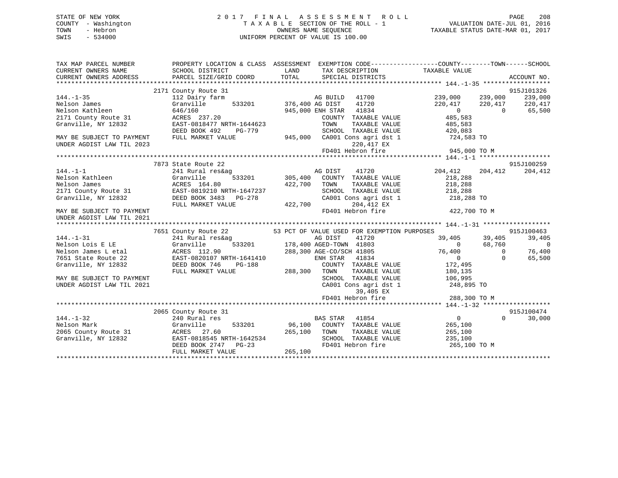## STATE OF NEW YORK 2 0 1 7 F I N A L A S S E S S M E N T R O L L PAGE 208 COUNTY - Washington T A X A B L E SECTION OF THE ROLL - 1 VALUATION DATE-JUL 01, 2016 TOWN - Hebron OWNERS NAME SEQUENCE TAXABLE STATUS DATE-MAR 01, 2017 SWIS - 534000 UNIFORM PERCENT OF VALUE IS 100.00

| TAX MAP PARCEL NUMBER<br>CURRENT OWNERS NAME<br>CURRENT OWNERS ADDRESS | SCHOOL DISTRICT<br>PARCEL SIZE/GRID COORD                               | LAND<br>TAX DESCRIPTION TAXABLE VALUE<br>TOTAL<br>SPECIAL DISTRICTS                            | PROPERTY LOCATION & CLASS ASSESSMENT EXEMPTION CODE----------------COUNTY-------TOWN------SCHOOL<br>ACCOUNT NO. |
|------------------------------------------------------------------------|-------------------------------------------------------------------------|------------------------------------------------------------------------------------------------|-----------------------------------------------------------------------------------------------------------------|
| $144. - 1 - 35$<br>Nelson James                                        | 2171 County Route 31<br>112 Dairy farm<br>Granville                     | AG BUILD<br>41700<br>533201 376,400 AG DIST<br>41720                                           | 915J101326<br>239,000<br>239,000<br>239,000                                                                     |
| Nelson Kathleen<br>2171 County Route 31                                | 646/160<br>ACRES 237.20                                                 | 945,000 ENH STAR 41834<br>COUNTY TAXABLE VALUE                                                 | 220,417<br>220,417<br>220,417<br>$\overline{0}$<br>$\overline{0}$<br>65,500<br>485,583                          |
| Granville, NY 12832                                                    | EAST-0818477 NRTH-1644623<br>DEED BOOK 492<br>PG-779                    | TOWN<br>TAXABLE VALUE<br>SCHOOL TAXABLE VALUE                                                  | 485,583<br>420,083                                                                                              |
| MAY BE SUBJECT TO PAYMENT<br>UNDER AGDIST LAW TIL 2023                 | FULL MARKET VALUE                                                       | 945,000 CA001 Cons agri dst 1 724,583 TO<br>220,417 EX                                         |                                                                                                                 |
|                                                                        |                                                                         |                                                                                                |                                                                                                                 |
|                                                                        | 7873 State Route 22                                                     |                                                                                                | 915J100259                                                                                                      |
| $144. - 1 - 1$<br>Nelson Kathleen<br>Nelson James                      | 241 Rural res&ag<br>Granville<br>ACRES 164.80                           | 41720<br>AG DIST<br>533201 305,400<br>COUNTY TAXABLE VALUE<br>422,700<br>TOWN<br>TAXABLE VALUE | 204,412<br>204,412<br>204,412<br>218,288<br>218,288                                                             |
| 2171 County Route 31<br>Granville, NY 12832                            | EAST-0819210 NRTH-1647237<br>DEED BOOK 3483 PG-278<br>FULL MARKET VALUE | SCHOOL TAXABLE VALUE<br>CA001 Cons agri dst 1<br>422,700<br>204,412 EX                         | 218,288<br>218,288 TO                                                                                           |
| MAY BE SUBJECT TO PAYMENT<br>UNDER AGDIST LAW TIL 2021                 |                                                                         | FD401 Hebron fire                                                                              | 422,700 TO M                                                                                                    |
|                                                                        | 7651 County Route 22                                                    | 53 PCT OF VALUE USED FOR EXEMPTION PURPOSES                                                    | 915J100463                                                                                                      |
| $144. - 1 - 31$                                                        | 241 Rural res&ag                                                        | AG DIST<br>41720                                                                               | 39,405<br>39,405<br>39,405                                                                                      |
| Nelson Lois E LE                                                       | Granville                                                               | $\frac{178,400 \text{ AGED-TOWN}}{178,400 \text{ AGED-TOWN}}$ 41803                            | 68,760<br>$\overline{0}$<br>$\overline{0}$                                                                      |
| Nelson James L etal<br>7651 State Route 22                             | ACRES 112.90<br>EAST-0820107 NRTH-1641410                               | 288,300 AGE-CO/SCH 41805<br>41834<br>ENH STAR                                                  | 76,400<br>76,400<br>$\overline{0}$<br>$\Omega$<br>$\overline{0}$<br>65,500                                      |
| Granville, NY 12832                                                    | DEED BOOK 746<br>PG-188<br>FULL MARKET VALUE                            | COUNTY TAXABLE VALUE<br>288,300 TOWN<br>TAXABLE VALUE                                          | 172,495<br>180,135                                                                                              |
| MAY BE SUBJECT TO PAYMENT<br>UNDER AGDIST LAW TIL 2021                 |                                                                         | SCHOOL TAXABLE VALUE<br>CA001 Cons agri dst 1<br>39,405 EX                                     | 106,995<br>248,895 TO                                                                                           |
|                                                                        |                                                                         | FD401 Hebron fire                                                                              | 288,300 TO M                                                                                                    |
|                                                                        |                                                                         |                                                                                                |                                                                                                                 |
|                                                                        | 2065 County Route 31                                                    |                                                                                                | 915J100474                                                                                                      |
| $144. - 1 - 32$<br>Nelson Mark<br>2065 County Route 31                 | 240 Rural res<br>Granville<br>533201<br>ACRES 27.60                     | <b>BAS STAR</b><br>41854<br>96,100 COUNTY TAXABLE VALUE<br>265,100 TOWN<br>TAXABLE VALUE       | $\overline{0}$<br>$\Omega$<br>30,000<br>265,100<br>265,100                                                      |
| Granville, NY 12832                                                    | EAST-0818545 NRTH-1642534<br>DEED BOOK 2747 PG-23                       | SCHOOL TAXABLE VALUE<br>FD401 Hebron fire                                                      | 235,100<br>265,100 TO M                                                                                         |
|                                                                        | FULL MARKET VALUE                                                       | 265,100                                                                                        |                                                                                                                 |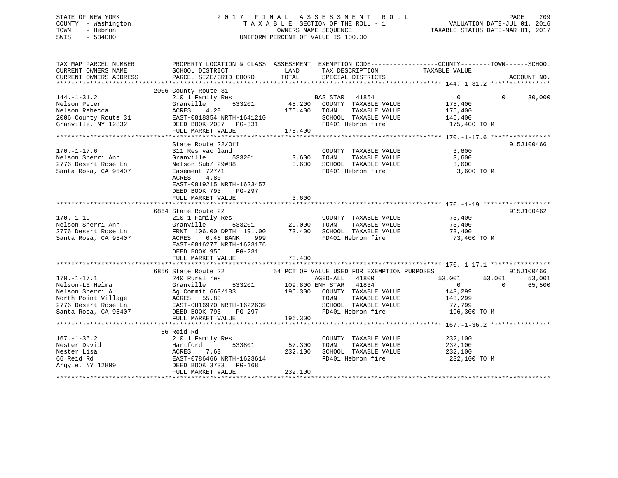## STATE OF NEW YORK 2 0 1 7 F I N A L A S S E S S M E N T R O L L PAGE 209 COUNTY - Washington T A X A B L E SECTION OF THE ROLL - 1 VALUATION DATE-JUL 01, 2016 TOWN - Hebron OWNERS NAME SEQUENCE TAXABLE STATUS DATE-MAR 01, 2017 SWIS - 534000 UNIFORM PERCENT OF VALUE IS 100.00

| TAX MAP PARCEL NUMBER<br>CURRENT OWNERS NAME<br>CURRENT OWNERS ADDRESS                                                                        | PROPERTY LOCATION & CLASS ASSESSMENT EXEMPTION CODE---------------COUNTY-------TOWN-----SCHOOL                                                                                                                                                                                                  |         |                            |                                                                            | ACCOUNT NO.        |
|-----------------------------------------------------------------------------------------------------------------------------------------------|-------------------------------------------------------------------------------------------------------------------------------------------------------------------------------------------------------------------------------------------------------------------------------------------------|---------|----------------------------|----------------------------------------------------------------------------|--------------------|
|                                                                                                                                               |                                                                                                                                                                                                                                                                                                 |         |                            |                                                                            |                    |
|                                                                                                                                               | 2006 County Route 31<br>2006 County Route 31<br>210 1 Family Res<br>Nelson Peter Granville 533201<br>2006 County Route 31<br>2006 County Route 31<br>2006 County Route 31<br>2006 County Route 31<br>2006 County Route 31<br>2006 County Route 3                                                |         |                            | $\overline{0}$                                                             | $\Omega$<br>30,000 |
|                                                                                                                                               |                                                                                                                                                                                                                                                                                                 |         |                            |                                                                            |                    |
| 170.-1-17.6 311 Res vac land<br>Nelson Sherri Ann Granville 5<br>2776 Desert Rose Ln Nelson Sub/ 29#88<br>Santa Rosa, CA 95407 Easement 727/1 | State Route 22/Off<br>Granville 533201 3,600 TOWN TAXABLE VALUE<br>Nelson Sub/ 29#88 3,600 SCHOOL TAXABLE VALUE<br>ACRES 4.80<br>EAST-0819215 NRTH-1623457<br>DEED BOOK 793 PG-297<br>FULL MARKET VALUE                                                                                         | 3,600   | COUNTY TAXABLE VALUE 3,600 | TAXABLE VALUE 3,600<br>TAXABLE VALUE 3,600<br>FD401 Hebron fire 3,600 TO M | 915J100466         |
|                                                                                                                                               |                                                                                                                                                                                                                                                                                                 |         |                            |                                                                            | 915J100462         |
| $170. - 1 - 19$<br>Nelson Sherri Ann<br>2776 Desert Rose Ln<br>Santa Rosa, CA 95407                                                           | 6864 State Route 22<br>210 1 Family Res<br>Granville 533201 29,000 TOWN TAXABLE VALUE 73,400<br>FRNT 106.00 DPTH 191.00 73,400 SCHOOL TAXABLE VALUE 73,400<br>ACRES 0.46 BANK 999 FD401 Hebron fire<br>TAXABLE VALUE 73,400<br>FRNT 106.00<br>EAST-0816277 NRTH-1623176<br>DEED BOOK 956 PG-231 |         |                            | 73,400 TO M                                                                |                    |
|                                                                                                                                               | FULL MARKET VALUE                                                                                                                                                                                                                                                                               | 73,400  |                            |                                                                            |                    |
| $170. - 1 - 17.1$                                                                                                                             |                                                                                                                                                                                                                                                                                                 |         |                            |                                                                            | 915J100466         |
|                                                                                                                                               | 170.-1-17.1<br>Nelson-LE Helma 240 Rural res and the state of the state of the state of the state of the state of the state of the state of the state of the state of the state of the state of the state of the state of the                                                                   |         |                            | 53,001                                                                     |                    |
|                                                                                                                                               |                                                                                                                                                                                                                                                                                                 |         |                            |                                                                            |                    |
|                                                                                                                                               | 66 Reid Rd<br>167.-1-36.2 210 1 Family Res<br>Nester David Mester David Hartford 533801 57,300 TOWN TAXABLE VALUE 232,100<br>Nester Lisa ACRES 7.63 232,100 SCHOOL TAXABLE VALUE 232,100<br>66 Reid Rd EAST-0786466 NRTH-1623614 FD401 Hebron fire<br>FULL MARKET VALUE                         | 232,100 |                            | FD401 Hebron fire 232,100 TO M                                             |                    |
|                                                                                                                                               |                                                                                                                                                                                                                                                                                                 |         |                            |                                                                            |                    |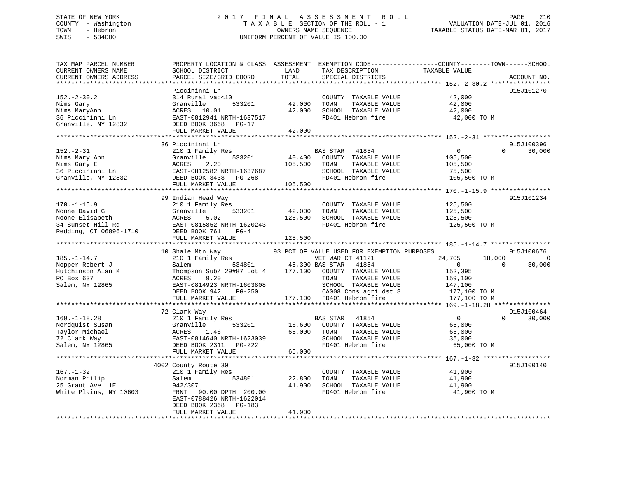## STATE OF NEW YORK 2 0 1 7 F I N A L A S S E S S M E N T R O L L PAGE 210 COUNTY - Washington T A X A B L E SECTION OF THE ROLL - 1 VALUATION DATE-JUL 01, 2016 TOWN - Hebron OWNERS NAME SEQUENCE TAXABLE STATUS DATE-MAR 01, 2017 SWIS - 534000 UNIFORM PERCENT OF VALUE IS 100.00

| TAX MAP PARCEL NUMBER<br>CURRENT OWNERS NAME<br>CURRENT OWNERS ADDRESS | PROPERTY LOCATION & CLASS ASSESSMENT<br>SCHOOL DISTRICT<br>PARCEL SIZE/GRID COORD                    | LAND<br>TOTAL    | EXEMPTION CODE----------------COUNTY-------TOWN------SCHOOL<br>TAX DESCRIPTION<br>SPECIAL DISTRICTS | TAXABLE VALUE                             | ACCOUNT NO.        |
|------------------------------------------------------------------------|------------------------------------------------------------------------------------------------------|------------------|-----------------------------------------------------------------------------------------------------|-------------------------------------------|--------------------|
|                                                                        |                                                                                                      |                  |                                                                                                     |                                           |                    |
| $152. - 2 - 30.2$<br>Nims Gary<br>Nims MaryAnn<br>36 Piccininni Ln     | Piccininni Ln<br>314 Rural vac<10<br>Granville<br>533201<br>ACRES 10.01<br>EAST-0812941 NRTH-1637517 | 42,000<br>42,000 | COUNTY TAXABLE VALUE<br>TOWN<br>TAXABLE VALUE<br>SCHOOL TAXABLE VALUE<br>FD401 Hebron fire          | 42,000<br>42,000<br>42,000<br>42,000 TO M | 915J101270         |
| Granville, NY 12832                                                    | DEED BOOK 3668 PG-17                                                                                 |                  |                                                                                                     |                                           |                    |
|                                                                        | FULL MARKET VALUE                                                                                    | 42,000           |                                                                                                     |                                           |                    |
|                                                                        |                                                                                                      |                  |                                                                                                     |                                           |                    |
|                                                                        | 36 Piccininni Ln                                                                                     |                  |                                                                                                     |                                           | 915J100396         |
| $152 - 2 - 31$                                                         | 210 1 Family Res                                                                                     |                  | BAS STAR<br>41854                                                                                   | $\overline{0}$                            | $\Omega$<br>30,000 |
| Nims Mary Ann                                                          | 533201<br>Granville                                                                                  | 40,400           | COUNTY TAXABLE VALUE                                                                                | 105,500                                   |                    |
| Nillis mar.<br>Nims Gary E<br>36 Piccininni Ln<br>Nillis March 19832   | ACRES<br>2.20                                                                                        | 105,500          | TOWN<br>TAXABLE VALUE                                                                               | 105,500                                   |                    |
|                                                                        | EAST-0812582 NRTH-1637687                                                                            |                  | SCHOOL TAXABLE VALUE<br>FD401 Hebron fire                                                           | 75,500                                    |                    |
|                                                                        | DEED BOOK 3438 PG-268<br>FULL MARKET VALUE                                                           | 105,500          |                                                                                                     | 105,500 TO M                              |                    |
|                                                                        |                                                                                                      |                  |                                                                                                     |                                           |                    |
|                                                                        | 99 Indian Head Way                                                                                   |                  |                                                                                                     |                                           | 915J101234         |
| $170. - 1 - 15.9$                                                      | 210 1 Family Res                                                                                     |                  | COUNTY TAXABLE VALUE                                                                                | 125,500                                   |                    |
| Noone David G                                                          | 533201<br>Granville                                                                                  | 42,000           | TOWN<br>TAXABLE VALUE                                                                               | 125,500                                   |                    |
| Noone Elisabeth                                                        | ACRES<br>5.02                                                                                        | 125,500          | SCHOOL TAXABLE VALUE                                                                                | 125,500                                   |                    |
| 34 Sunset Hill Rd                                                      | EAST-0815852 NRTH-1620243                                                                            |                  | FD401 Hebron fire                                                                                   | 125,500 TO M                              |                    |
| Redding, CT 06896-1710                                                 | DEED BOOK 761<br>$PG-4$                                                                              |                  |                                                                                                     |                                           |                    |
|                                                                        | FULL MARKET VALUE                                                                                    | 125,500          |                                                                                                     |                                           |                    |
|                                                                        |                                                                                                      |                  |                                                                                                     |                                           |                    |
|                                                                        | 10 Shale Mtn Way                                                                                     |                  | 93 PCT OF VALUE USED FOR EXEMPTION PURPOSES                                                         |                                           | 915J100676         |
| $185. - 1 - 14.7$                                                      | 210 1 Family Res                                                                                     |                  | VET WAR CT 41121                                                                                    | 24,705<br>18,000                          | $\mathbf 0$        |
| Nopper Robert J                                                        | Salem                                                                                                |                  | 534801 48,300 BAS STAR 41854                                                                        | $\overline{0}$                            | $\Omega$<br>30,000 |
| Hutchinson Alan K                                                      | Thompson Sub/ 29#87 Lot 4 177,100 COUNTY TAXABLE VALUE<br>9.20                                       |                  | TAXABLE VALUE<br>TOWN                                                                               | 152,395                                   |                    |
| PO Box 637<br>Salem, NY 12865                                          | ACRES<br>EAST-0814923 NRTH-1603808                                                                   |                  | SCHOOL TAXABLE VALUE                                                                                | 159,100<br>147,100                        |                    |
|                                                                        | DEED BOOK 942<br>PG-250                                                                              |                  | CA008 Cons agri dst 8                                                                               | 177,100 TO M                              |                    |
|                                                                        | FULL MARKET VALUE                                                                                    |                  | 177,100 FD401 Hebron fire                                                                           | 177,100 TO M                              |                    |
|                                                                        |                                                                                                      |                  |                                                                                                     |                                           |                    |
|                                                                        | 72 Clark Way                                                                                         |                  |                                                                                                     |                                           | 915J100464         |
| $169. - 1 - 18.28$                                                     | 210 1 Family Res                                                                                     |                  | BAS STAR 41854                                                                                      | $\overline{0}$                            | $\Omega$<br>30,000 |
| Nordquist Susan                                                        | 533201<br>Granville                                                                                  | 16,600           | COUNTY TAXABLE VALUE                                                                                | 65,000                                    |                    |
| Taylor Michael                                                         | ACRES<br>1.46                                                                                        | 65,000           | TAXABLE VALUE<br>TOWN                                                                               | 65,000                                    |                    |
| 72 Clark Way                                                           | EAST-0814640 NRTH-1623039                                                                            |                  | SCHOOL TAXABLE VALUE                                                                                | 35,000                                    |                    |
| Salem, NY 12865                                                        | DEED BOOK 2311 PG-222                                                                                |                  | FD401 Hebron fire                                                                                   | 65,000 TO M                               |                    |
|                                                                        | FULL MARKET VALUE                                                                                    | 65,000           |                                                                                                     |                                           |                    |
|                                                                        |                                                                                                      |                  |                                                                                                     |                                           |                    |
|                                                                        | 4002 County Route 30                                                                                 |                  |                                                                                                     |                                           | 915J100140         |
| $167. - 1 - 32$                                                        | 210 1 Family Res<br>534801                                                                           |                  | COUNTY TAXABLE VALUE<br>TOWN                                                                        | 41,900                                    |                    |
| Norman Philip<br>25 Grant Ave 1E                                       | Salem<br>942/307                                                                                     | 22,800<br>41,900 | TAXABLE VALUE<br>SCHOOL TAXABLE VALUE                                                               | 41,900<br>41,900                          |                    |
| White Plains, NY 10603                                                 | FRNT 90.00 DPTH 200.00<br>EAST-0788426 NRTH-1622014<br>DEED BOOK 2368<br>PG-183                      |                  | FD401 Hebron fire                                                                                   | 41,900 TO M                               |                    |
|                                                                        | FULL MARKET VALUE                                                                                    | 41,900           |                                                                                                     |                                           |                    |
|                                                                        | ************************                                                                             |                  |                                                                                                     |                                           |                    |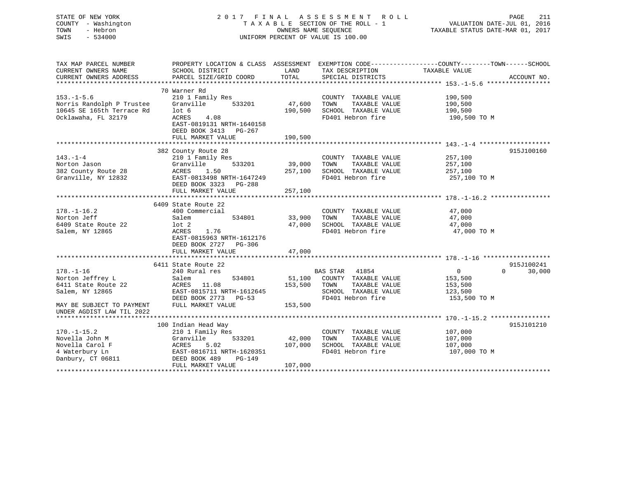| PROPERTY LOCATION & CLASS ASSESSMENT EXEMPTION CODE---------------COUNTY-------TOWN------SCHOOL<br>TAX MAP PARCEL NUMBER<br>CURRENT OWNERS NAME<br>SCHOOL DISTRICT<br>LAND<br>TAX DESCRIPTION<br>TAXABLE VALUE<br>TOTAL<br>CURRENT OWNERS ADDRESS<br>PARCEL SIZE/GRID COORD<br>SPECIAL DISTRICTS<br>ACCOUNT NO.<br>70 Warner Rd<br>$153. - 1 - 5.6$<br>210 1 Family Res<br>190,500<br>COUNTY TAXABLE VALUE<br>Norris Randolph P Trustee<br>TAXABLE VALUE<br>Granville<br>533201<br>47,600<br>TOWN<br>190,500<br>10645 SE 165th Terrace Rd<br>190,500<br>$1$ ot 6<br>SCHOOL TAXABLE VALUE<br>190,500<br>FD401 Hebron fire<br>Ocklawaha, FL 32179<br><b>ACRES</b><br>4.08<br>190,500 TO M<br>EAST-0819131 NRTH-1640158<br>DEED BOOK 3413 PG-267<br>FULL MARKET VALUE<br>190,500<br>382 County Route 28<br>915J100160<br>$143. - 1 - 4$<br>210 1 Family Res<br>COUNTY TAXABLE VALUE<br>257,100<br>TAXABLE VALUE<br>Norton Jason<br>Granville<br>533201<br>39,000<br>TOWN<br>257,100<br>382 County Route 28<br>ACRES<br>1.50<br>257,100<br>SCHOOL TAXABLE VALUE<br>257,100<br>FD401 Hebron fire<br>Granville, NY 12832<br>EAST-0813498 NRTH-1647249<br>257,100 TO M<br>DEED BOOK 3323 PG-288<br>FULL MARKET VALUE<br>257,100<br>6409 State Route 22<br>$178. - 1 - 16.2$<br>400 Commercial<br>COUNTY TAXABLE VALUE<br>47,000<br>Norton Jeff<br>33,900<br>TOWN<br>TAXABLE VALUE<br>47,000<br>Salem<br>534801<br>6409 State Route 22<br>47,000<br>SCHOOL TAXABLE VALUE<br>$1$ ot $2$<br>47,000<br>FD401 Hebron fire<br>Salem, NY 12865<br>ACRES<br>1.76<br>47,000 TO M<br>EAST-0815963 NRTH-1612176<br>DEED BOOK 2727 PG-306<br>FULL MARKET VALUE<br>47,000<br>6411 State Route 22<br>915J100241<br>$178. - 1 - 16$<br>240 Rural res<br><b>BAS STAR</b><br>41854<br>30,000<br>$\overline{0}$<br>$\Omega$<br>Norton Jeffrey L<br>COUNTY TAXABLE VALUE<br>Salem<br>534801<br>51,100<br>153,500<br>153,500<br>6411 State Route 22<br>ACRES<br>11.08<br>TOWN<br>TAXABLE VALUE<br>153,500<br>SCHOOL TAXABLE VALUE<br>Salem, NY 12865<br>EAST-0815711 NRTH-1612645<br>123,500<br>FD401 Hebron fire<br>DEED BOOK 2773 PG-53<br>153,500 TO M<br>FULL MARKET VALUE<br>153,500<br>MAY BE SUBJECT TO PAYMENT<br>UNDER AGDIST LAW TIL 2022<br>100 Indian Head Way<br>915J101210<br>$170. - 1 - 15.2$<br>210 1 Family Res<br>107,000<br>COUNTY TAXABLE VALUE<br>Novella John M<br>533201<br>TAXABLE VALUE<br>Granville<br>42,000<br>TOWN<br>107,000<br>Novella Carol F<br>ACRES<br>5.02<br>107,000<br>SCHOOL TAXABLE VALUE<br>107,000<br>4 Waterbury Ln<br>FD401 Hebron fire<br>EAST-0816711 NRTH-1620351<br>107,000 TO M<br>Danbury, CT 06811<br>DEED BOOK 489<br>PG-149 | STATE OF NEW YORK<br>COUNTY - Washington<br>- Hebron<br>TOWN<br>$-534000$<br>SWIS |                   |         | 2017 FINAL ASSESSMENT ROLL<br>TAXABLE SECTION OF THE ROLL - 1<br>OWNERS NAME SEOUENCE<br>UNIFORM PERCENT OF VALUE IS 100.00 | PAGE<br>211<br>VALUATION DATE-JUL 01, 2016<br>TAXABLE STATUS DATE-MAR 01, 2017 |
|--------------------------------------------------------------------------------------------------------------------------------------------------------------------------------------------------------------------------------------------------------------------------------------------------------------------------------------------------------------------------------------------------------------------------------------------------------------------------------------------------------------------------------------------------------------------------------------------------------------------------------------------------------------------------------------------------------------------------------------------------------------------------------------------------------------------------------------------------------------------------------------------------------------------------------------------------------------------------------------------------------------------------------------------------------------------------------------------------------------------------------------------------------------------------------------------------------------------------------------------------------------------------------------------------------------------------------------------------------------------------------------------------------------------------------------------------------------------------------------------------------------------------------------------------------------------------------------------------------------------------------------------------------------------------------------------------------------------------------------------------------------------------------------------------------------------------------------------------------------------------------------------------------------------------------------------------------------------------------------------------------------------------------------------------------------------------------------------------------------------------------------------------------------------------------------------------------------------------------------------------------------------------------------------------------------------------------------------------------------------------------------------------------------------------------------------------------------------------------------------------------------------------------------------------------------------------------------------------------------------------------------------------------|-----------------------------------------------------------------------------------|-------------------|---------|-----------------------------------------------------------------------------------------------------------------------------|--------------------------------------------------------------------------------|
|                                                                                                                                                                                                                                                                                                                                                                                                                                                                                                                                                                                                                                                                                                                                                                                                                                                                                                                                                                                                                                                                                                                                                                                                                                                                                                                                                                                                                                                                                                                                                                                                                                                                                                                                                                                                                                                                                                                                                                                                                                                                                                                                                                                                                                                                                                                                                                                                                                                                                                                                                                                                                                                        |                                                                                   |                   |         |                                                                                                                             |                                                                                |
|                                                                                                                                                                                                                                                                                                                                                                                                                                                                                                                                                                                                                                                                                                                                                                                                                                                                                                                                                                                                                                                                                                                                                                                                                                                                                                                                                                                                                                                                                                                                                                                                                                                                                                                                                                                                                                                                                                                                                                                                                                                                                                                                                                                                                                                                                                                                                                                                                                                                                                                                                                                                                                                        |                                                                                   |                   |         |                                                                                                                             |                                                                                |
|                                                                                                                                                                                                                                                                                                                                                                                                                                                                                                                                                                                                                                                                                                                                                                                                                                                                                                                                                                                                                                                                                                                                                                                                                                                                                                                                                                                                                                                                                                                                                                                                                                                                                                                                                                                                                                                                                                                                                                                                                                                                                                                                                                                                                                                                                                                                                                                                                                                                                                                                                                                                                                                        |                                                                                   |                   |         |                                                                                                                             |                                                                                |
|                                                                                                                                                                                                                                                                                                                                                                                                                                                                                                                                                                                                                                                                                                                                                                                                                                                                                                                                                                                                                                                                                                                                                                                                                                                                                                                                                                                                                                                                                                                                                                                                                                                                                                                                                                                                                                                                                                                                                                                                                                                                                                                                                                                                                                                                                                                                                                                                                                                                                                                                                                                                                                                        |                                                                                   |                   |         |                                                                                                                             |                                                                                |
|                                                                                                                                                                                                                                                                                                                                                                                                                                                                                                                                                                                                                                                                                                                                                                                                                                                                                                                                                                                                                                                                                                                                                                                                                                                                                                                                                                                                                                                                                                                                                                                                                                                                                                                                                                                                                                                                                                                                                                                                                                                                                                                                                                                                                                                                                                                                                                                                                                                                                                                                                                                                                                                        |                                                                                   |                   |         |                                                                                                                             |                                                                                |
|                                                                                                                                                                                                                                                                                                                                                                                                                                                                                                                                                                                                                                                                                                                                                                                                                                                                                                                                                                                                                                                                                                                                                                                                                                                                                                                                                                                                                                                                                                                                                                                                                                                                                                                                                                                                                                                                                                                                                                                                                                                                                                                                                                                                                                                                                                                                                                                                                                                                                                                                                                                                                                                        |                                                                                   |                   |         |                                                                                                                             |                                                                                |
|                                                                                                                                                                                                                                                                                                                                                                                                                                                                                                                                                                                                                                                                                                                                                                                                                                                                                                                                                                                                                                                                                                                                                                                                                                                                                                                                                                                                                                                                                                                                                                                                                                                                                                                                                                                                                                                                                                                                                                                                                                                                                                                                                                                                                                                                                                                                                                                                                                                                                                                                                                                                                                                        |                                                                                   |                   |         |                                                                                                                             |                                                                                |
|                                                                                                                                                                                                                                                                                                                                                                                                                                                                                                                                                                                                                                                                                                                                                                                                                                                                                                                                                                                                                                                                                                                                                                                                                                                                                                                                                                                                                                                                                                                                                                                                                                                                                                                                                                                                                                                                                                                                                                                                                                                                                                                                                                                                                                                                                                                                                                                                                                                                                                                                                                                                                                                        |                                                                                   |                   |         |                                                                                                                             |                                                                                |
|                                                                                                                                                                                                                                                                                                                                                                                                                                                                                                                                                                                                                                                                                                                                                                                                                                                                                                                                                                                                                                                                                                                                                                                                                                                                                                                                                                                                                                                                                                                                                                                                                                                                                                                                                                                                                                                                                                                                                                                                                                                                                                                                                                                                                                                                                                                                                                                                                                                                                                                                                                                                                                                        |                                                                                   |                   |         |                                                                                                                             |                                                                                |
|                                                                                                                                                                                                                                                                                                                                                                                                                                                                                                                                                                                                                                                                                                                                                                                                                                                                                                                                                                                                                                                                                                                                                                                                                                                                                                                                                                                                                                                                                                                                                                                                                                                                                                                                                                                                                                                                                                                                                                                                                                                                                                                                                                                                                                                                                                                                                                                                                                                                                                                                                                                                                                                        |                                                                                   |                   |         |                                                                                                                             |                                                                                |
|                                                                                                                                                                                                                                                                                                                                                                                                                                                                                                                                                                                                                                                                                                                                                                                                                                                                                                                                                                                                                                                                                                                                                                                                                                                                                                                                                                                                                                                                                                                                                                                                                                                                                                                                                                                                                                                                                                                                                                                                                                                                                                                                                                                                                                                                                                                                                                                                                                                                                                                                                                                                                                                        |                                                                                   |                   |         |                                                                                                                             |                                                                                |
|                                                                                                                                                                                                                                                                                                                                                                                                                                                                                                                                                                                                                                                                                                                                                                                                                                                                                                                                                                                                                                                                                                                                                                                                                                                                                                                                                                                                                                                                                                                                                                                                                                                                                                                                                                                                                                                                                                                                                                                                                                                                                                                                                                                                                                                                                                                                                                                                                                                                                                                                                                                                                                                        |                                                                                   |                   |         |                                                                                                                             |                                                                                |
|                                                                                                                                                                                                                                                                                                                                                                                                                                                                                                                                                                                                                                                                                                                                                                                                                                                                                                                                                                                                                                                                                                                                                                                                                                                                                                                                                                                                                                                                                                                                                                                                                                                                                                                                                                                                                                                                                                                                                                                                                                                                                                                                                                                                                                                                                                                                                                                                                                                                                                                                                                                                                                                        |                                                                                   |                   |         |                                                                                                                             |                                                                                |
|                                                                                                                                                                                                                                                                                                                                                                                                                                                                                                                                                                                                                                                                                                                                                                                                                                                                                                                                                                                                                                                                                                                                                                                                                                                                                                                                                                                                                                                                                                                                                                                                                                                                                                                                                                                                                                                                                                                                                                                                                                                                                                                                                                                                                                                                                                                                                                                                                                                                                                                                                                                                                                                        |                                                                                   |                   |         |                                                                                                                             |                                                                                |
|                                                                                                                                                                                                                                                                                                                                                                                                                                                                                                                                                                                                                                                                                                                                                                                                                                                                                                                                                                                                                                                                                                                                                                                                                                                                                                                                                                                                                                                                                                                                                                                                                                                                                                                                                                                                                                                                                                                                                                                                                                                                                                                                                                                                                                                                                                                                                                                                                                                                                                                                                                                                                                                        |                                                                                   |                   |         |                                                                                                                             |                                                                                |
|                                                                                                                                                                                                                                                                                                                                                                                                                                                                                                                                                                                                                                                                                                                                                                                                                                                                                                                                                                                                                                                                                                                                                                                                                                                                                                                                                                                                                                                                                                                                                                                                                                                                                                                                                                                                                                                                                                                                                                                                                                                                                                                                                                                                                                                                                                                                                                                                                                                                                                                                                                                                                                                        |                                                                                   |                   |         |                                                                                                                             |                                                                                |
|                                                                                                                                                                                                                                                                                                                                                                                                                                                                                                                                                                                                                                                                                                                                                                                                                                                                                                                                                                                                                                                                                                                                                                                                                                                                                                                                                                                                                                                                                                                                                                                                                                                                                                                                                                                                                                                                                                                                                                                                                                                                                                                                                                                                                                                                                                                                                                                                                                                                                                                                                                                                                                                        |                                                                                   |                   |         |                                                                                                                             |                                                                                |
|                                                                                                                                                                                                                                                                                                                                                                                                                                                                                                                                                                                                                                                                                                                                                                                                                                                                                                                                                                                                                                                                                                                                                                                                                                                                                                                                                                                                                                                                                                                                                                                                                                                                                                                                                                                                                                                                                                                                                                                                                                                                                                                                                                                                                                                                                                                                                                                                                                                                                                                                                                                                                                                        |                                                                                   |                   |         |                                                                                                                             |                                                                                |
|                                                                                                                                                                                                                                                                                                                                                                                                                                                                                                                                                                                                                                                                                                                                                                                                                                                                                                                                                                                                                                                                                                                                                                                                                                                                                                                                                                                                                                                                                                                                                                                                                                                                                                                                                                                                                                                                                                                                                                                                                                                                                                                                                                                                                                                                                                                                                                                                                                                                                                                                                                                                                                                        |                                                                                   |                   |         |                                                                                                                             |                                                                                |
|                                                                                                                                                                                                                                                                                                                                                                                                                                                                                                                                                                                                                                                                                                                                                                                                                                                                                                                                                                                                                                                                                                                                                                                                                                                                                                                                                                                                                                                                                                                                                                                                                                                                                                                                                                                                                                                                                                                                                                                                                                                                                                                                                                                                                                                                                                                                                                                                                                                                                                                                                                                                                                                        |                                                                                   |                   |         |                                                                                                                             |                                                                                |
|                                                                                                                                                                                                                                                                                                                                                                                                                                                                                                                                                                                                                                                                                                                                                                                                                                                                                                                                                                                                                                                                                                                                                                                                                                                                                                                                                                                                                                                                                                                                                                                                                                                                                                                                                                                                                                                                                                                                                                                                                                                                                                                                                                                                                                                                                                                                                                                                                                                                                                                                                                                                                                                        |                                                                                   |                   |         |                                                                                                                             |                                                                                |
|                                                                                                                                                                                                                                                                                                                                                                                                                                                                                                                                                                                                                                                                                                                                                                                                                                                                                                                                                                                                                                                                                                                                                                                                                                                                                                                                                                                                                                                                                                                                                                                                                                                                                                                                                                                                                                                                                                                                                                                                                                                                                                                                                                                                                                                                                                                                                                                                                                                                                                                                                                                                                                                        |                                                                                   |                   |         |                                                                                                                             |                                                                                |
|                                                                                                                                                                                                                                                                                                                                                                                                                                                                                                                                                                                                                                                                                                                                                                                                                                                                                                                                                                                                                                                                                                                                                                                                                                                                                                                                                                                                                                                                                                                                                                                                                                                                                                                                                                                                                                                                                                                                                                                                                                                                                                                                                                                                                                                                                                                                                                                                                                                                                                                                                                                                                                                        |                                                                                   |                   |         |                                                                                                                             |                                                                                |
|                                                                                                                                                                                                                                                                                                                                                                                                                                                                                                                                                                                                                                                                                                                                                                                                                                                                                                                                                                                                                                                                                                                                                                                                                                                                                                                                                                                                                                                                                                                                                                                                                                                                                                                                                                                                                                                                                                                                                                                                                                                                                                                                                                                                                                                                                                                                                                                                                                                                                                                                                                                                                                                        |                                                                                   |                   |         |                                                                                                                             |                                                                                |
|                                                                                                                                                                                                                                                                                                                                                                                                                                                                                                                                                                                                                                                                                                                                                                                                                                                                                                                                                                                                                                                                                                                                                                                                                                                                                                                                                                                                                                                                                                                                                                                                                                                                                                                                                                                                                                                                                                                                                                                                                                                                                                                                                                                                                                                                                                                                                                                                                                                                                                                                                                                                                                                        |                                                                                   |                   |         |                                                                                                                             |                                                                                |
|                                                                                                                                                                                                                                                                                                                                                                                                                                                                                                                                                                                                                                                                                                                                                                                                                                                                                                                                                                                                                                                                                                                                                                                                                                                                                                                                                                                                                                                                                                                                                                                                                                                                                                                                                                                                                                                                                                                                                                                                                                                                                                                                                                                                                                                                                                                                                                                                                                                                                                                                                                                                                                                        |                                                                                   |                   |         |                                                                                                                             |                                                                                |
|                                                                                                                                                                                                                                                                                                                                                                                                                                                                                                                                                                                                                                                                                                                                                                                                                                                                                                                                                                                                                                                                                                                                                                                                                                                                                                                                                                                                                                                                                                                                                                                                                                                                                                                                                                                                                                                                                                                                                                                                                                                                                                                                                                                                                                                                                                                                                                                                                                                                                                                                                                                                                                                        |                                                                                   |                   |         |                                                                                                                             |                                                                                |
|                                                                                                                                                                                                                                                                                                                                                                                                                                                                                                                                                                                                                                                                                                                                                                                                                                                                                                                                                                                                                                                                                                                                                                                                                                                                                                                                                                                                                                                                                                                                                                                                                                                                                                                                                                                                                                                                                                                                                                                                                                                                                                                                                                                                                                                                                                                                                                                                                                                                                                                                                                                                                                                        |                                                                                   |                   |         |                                                                                                                             |                                                                                |
|                                                                                                                                                                                                                                                                                                                                                                                                                                                                                                                                                                                                                                                                                                                                                                                                                                                                                                                                                                                                                                                                                                                                                                                                                                                                                                                                                                                                                                                                                                                                                                                                                                                                                                                                                                                                                                                                                                                                                                                                                                                                                                                                                                                                                                                                                                                                                                                                                                                                                                                                                                                                                                                        |                                                                                   |                   |         |                                                                                                                             |                                                                                |
|                                                                                                                                                                                                                                                                                                                                                                                                                                                                                                                                                                                                                                                                                                                                                                                                                                                                                                                                                                                                                                                                                                                                                                                                                                                                                                                                                                                                                                                                                                                                                                                                                                                                                                                                                                                                                                                                                                                                                                                                                                                                                                                                                                                                                                                                                                                                                                                                                                                                                                                                                                                                                                                        |                                                                                   |                   |         |                                                                                                                             |                                                                                |
|                                                                                                                                                                                                                                                                                                                                                                                                                                                                                                                                                                                                                                                                                                                                                                                                                                                                                                                                                                                                                                                                                                                                                                                                                                                                                                                                                                                                                                                                                                                                                                                                                                                                                                                                                                                                                                                                                                                                                                                                                                                                                                                                                                                                                                                                                                                                                                                                                                                                                                                                                                                                                                                        |                                                                                   |                   |         |                                                                                                                             |                                                                                |
|                                                                                                                                                                                                                                                                                                                                                                                                                                                                                                                                                                                                                                                                                                                                                                                                                                                                                                                                                                                                                                                                                                                                                                                                                                                                                                                                                                                                                                                                                                                                                                                                                                                                                                                                                                                                                                                                                                                                                                                                                                                                                                                                                                                                                                                                                                                                                                                                                                                                                                                                                                                                                                                        |                                                                                   |                   |         |                                                                                                                             |                                                                                |
|                                                                                                                                                                                                                                                                                                                                                                                                                                                                                                                                                                                                                                                                                                                                                                                                                                                                                                                                                                                                                                                                                                                                                                                                                                                                                                                                                                                                                                                                                                                                                                                                                                                                                                                                                                                                                                                                                                                                                                                                                                                                                                                                                                                                                                                                                                                                                                                                                                                                                                                                                                                                                                                        |                                                                                   |                   |         |                                                                                                                             |                                                                                |
|                                                                                                                                                                                                                                                                                                                                                                                                                                                                                                                                                                                                                                                                                                                                                                                                                                                                                                                                                                                                                                                                                                                                                                                                                                                                                                                                                                                                                                                                                                                                                                                                                                                                                                                                                                                                                                                                                                                                                                                                                                                                                                                                                                                                                                                                                                                                                                                                                                                                                                                                                                                                                                                        |                                                                                   |                   |         |                                                                                                                             |                                                                                |
|                                                                                                                                                                                                                                                                                                                                                                                                                                                                                                                                                                                                                                                                                                                                                                                                                                                                                                                                                                                                                                                                                                                                                                                                                                                                                                                                                                                                                                                                                                                                                                                                                                                                                                                                                                                                                                                                                                                                                                                                                                                                                                                                                                                                                                                                                                                                                                                                                                                                                                                                                                                                                                                        |                                                                                   |                   |         |                                                                                                                             |                                                                                |
|                                                                                                                                                                                                                                                                                                                                                                                                                                                                                                                                                                                                                                                                                                                                                                                                                                                                                                                                                                                                                                                                                                                                                                                                                                                                                                                                                                                                                                                                                                                                                                                                                                                                                                                                                                                                                                                                                                                                                                                                                                                                                                                                                                                                                                                                                                                                                                                                                                                                                                                                                                                                                                                        |                                                                                   |                   |         |                                                                                                                             |                                                                                |
|                                                                                                                                                                                                                                                                                                                                                                                                                                                                                                                                                                                                                                                                                                                                                                                                                                                                                                                                                                                                                                                                                                                                                                                                                                                                                                                                                                                                                                                                                                                                                                                                                                                                                                                                                                                                                                                                                                                                                                                                                                                                                                                                                                                                                                                                                                                                                                                                                                                                                                                                                                                                                                                        |                                                                                   |                   |         |                                                                                                                             |                                                                                |
|                                                                                                                                                                                                                                                                                                                                                                                                                                                                                                                                                                                                                                                                                                                                                                                                                                                                                                                                                                                                                                                                                                                                                                                                                                                                                                                                                                                                                                                                                                                                                                                                                                                                                                                                                                                                                                                                                                                                                                                                                                                                                                                                                                                                                                                                                                                                                                                                                                                                                                                                                                                                                                                        |                                                                                   |                   |         |                                                                                                                             |                                                                                |
|                                                                                                                                                                                                                                                                                                                                                                                                                                                                                                                                                                                                                                                                                                                                                                                                                                                                                                                                                                                                                                                                                                                                                                                                                                                                                                                                                                                                                                                                                                                                                                                                                                                                                                                                                                                                                                                                                                                                                                                                                                                                                                                                                                                                                                                                                                                                                                                                                                                                                                                                                                                                                                                        |                                                                                   |                   |         |                                                                                                                             |                                                                                |
|                                                                                                                                                                                                                                                                                                                                                                                                                                                                                                                                                                                                                                                                                                                                                                                                                                                                                                                                                                                                                                                                                                                                                                                                                                                                                                                                                                                                                                                                                                                                                                                                                                                                                                                                                                                                                                                                                                                                                                                                                                                                                                                                                                                                                                                                                                                                                                                                                                                                                                                                                                                                                                                        |                                                                                   | FULL MARKET VALUE | 107,000 |                                                                                                                             |                                                                                |

\*\*\*\*\*\*\*\*\*\*\*\*\*\*\*\*\*\*\*\*\*\*\*\*\*\*\*\*\*\*\*\*\*\*\*\*\*\*\*\*\*\*\*\*\*\*\*\*\*\*\*\*\*\*\*\*\*\*\*\*\*\*\*\*\*\*\*\*\*\*\*\*\*\*\*\*\*\*\*\*\*\*\*\*\*\*\*\*\*\*\*\*\*\*\*\*\*\*\*\*\*\*\*\*\*\*\*\*\*\*\*\*\*\*\*\*\*\*\*\*\*\*\*\*\*\*\*\*\*\*\*\*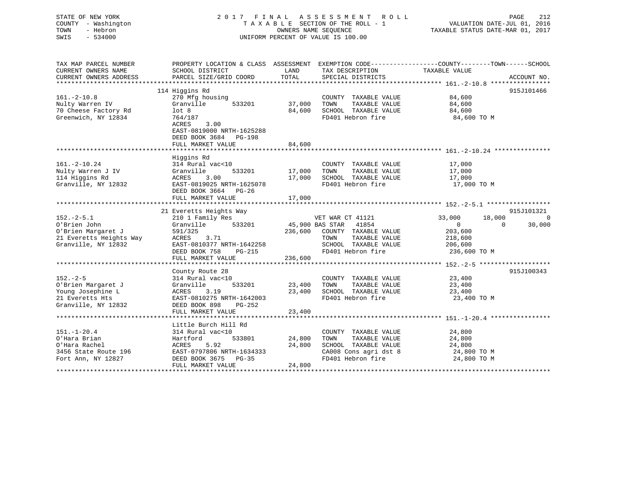## STATE OF NEW YORK 2 0 1 7 F I N A L A S S E S S M E N T R O L L PAGE 212 COUNTY - Washington T A X A B L E SECTION OF THE ROLL - 1 VALUATION DATE-JUL 01, 2016 TOWN - Hebron OWNERS NAME SEQUENCE TAXABLE STATUS DATE-MAR 01, 2017 SWIS - 534000 UNIFORM PERCENT OF VALUE IS 100.00

| TAX MAP PARCEL NUMBER<br>CURRENT OWNERS NAME<br>CURRENT OWNERS ADDRESS | SCHOOL DISTRICT<br>PARCEL SIZE/GRID COORD | LAND<br>TOTAL | TAX DESCRIPTION<br>SPECIAL DISTRICTS              | PROPERTY LOCATION & CLASS ASSESSMENT EXEMPTION CODE---------------COUNTY-------TOWN-----SCHOOL<br>TAXABLE VALUE | ACCOUNT NO.    |
|------------------------------------------------------------------------|-------------------------------------------|---------------|---------------------------------------------------|-----------------------------------------------------------------------------------------------------------------|----------------|
|                                                                        |                                           |               |                                                   |                                                                                                                 |                |
|                                                                        | 114 Higgins Rd                            |               |                                                   |                                                                                                                 | 915J101466     |
| $161. - 2 - 10.8$                                                      | 270 Mfg housing                           |               | COUNTY TAXABLE VALUE                              | 84,600                                                                                                          |                |
| Nulty Warren IV                                                        | Granville<br>533201                       | 37,000        | TAXABLE VALUE<br>TOWN                             | 84,600                                                                                                          |                |
| 70 Cheese Factory Rd                                                   | lot <sub>8</sub>                          | 84,600        | SCHOOL TAXABLE VALUE                              | 84,600                                                                                                          |                |
| Greenwich, NY 12834                                                    | 764/187                                   |               | FD401 Hebron fire                                 | 84,600 TO M                                                                                                     |                |
|                                                                        | ACRES<br>3.00                             |               |                                                   |                                                                                                                 |                |
|                                                                        | EAST-0819000 NRTH-1625288                 |               |                                                   |                                                                                                                 |                |
|                                                                        | DEED BOOK 3684 PG-198                     |               |                                                   |                                                                                                                 |                |
|                                                                        | FULL MARKET VALUE                         | 84,600        |                                                   |                                                                                                                 |                |
|                                                                        |                                           |               |                                                   |                                                                                                                 |                |
|                                                                        | Higgins Rd                                |               |                                                   |                                                                                                                 |                |
| $161. - 2 - 10.24$                                                     | 314 Rural vac<10                          |               | COUNTY TAXABLE VALUE                              | 17,000                                                                                                          |                |
| Nulty Warren J IV                                                      | Granville<br>533201                       | 17,000        | TOWN<br>TAXABLE VALUE                             | 17,000                                                                                                          |                |
| 114 Higgins Rd                                                         | ACRES<br>3.00                             | 17,000        | SCHOOL TAXABLE VALUE                              | 17,000                                                                                                          |                |
| Granville, NY 12832                                                    | EAST-0819025 NRTH-1625078                 |               | FD401 Hebron fire                                 | 17,000 TO M                                                                                                     |                |
|                                                                        | DEED BOOK 3664 PG-26                      |               |                                                   |                                                                                                                 |                |
|                                                                        |                                           |               |                                                   |                                                                                                                 |                |
|                                                                        |                                           |               |                                                   |                                                                                                                 |                |
|                                                                        | 21 Everetts Heights Way                   |               |                                                   |                                                                                                                 | 915J101321     |
| $152. - 2 - 5.1$                                                       | 210 1 Family Res                          |               | VET WAR CT 41121                                  | 33,000<br>18,000                                                                                                | $\overline{0}$ |
| O'Brien John                                                           | 533201<br>Granville                       |               | 45,900 BAS STAR 41854                             | $\overline{0}$<br>$\Omega$                                                                                      | 30,000         |
| O'Brien Margaret J                                                     | 591/325                                   | 236,600       | COUNTY TAXABLE VALUE                              | 203,600                                                                                                         |                |
| 21 Everetts Heights Way                                                | ACRES<br>3.71                             |               | TOWN<br>TAXABLE VALUE                             | 218,600                                                                                                         |                |
| Granville, NY 12832                                                    | EAST-0810377 NRTH-1642258                 |               | SCHOOL TAXABLE VALUE 206,600                      |                                                                                                                 |                |
|                                                                        | DEED BOOK 758<br>PG-215                   |               | FD401 Hebron fire                                 | 236,600 TO M                                                                                                    |                |
|                                                                        | FULL MARKET VALUE                         | 236,600       |                                                   |                                                                                                                 |                |
|                                                                        |                                           |               |                                                   |                                                                                                                 |                |
|                                                                        | County Route 28                           |               |                                                   |                                                                                                                 | 915J100343     |
| $152 - 2 - 5$                                                          | 314 Rural vac<10                          |               | COUNTY TAXABLE VALUE 23,400                       |                                                                                                                 |                |
| O'Brien Margaret J                                                     | 533201<br>Granville                       | 23,400        |                                                   | 23,400                                                                                                          |                |
| Young Josephine L                                                      | 3.19<br>ACRES                             | 23,400        | TOWN      TAXABLE VALUE<br>SCHOOL   TAXABLE VALUE | 23,400<br>23,400                                                                                                |                |
| 21 Everetts Hts                                                        | EAST-0810275 NRTH-1642003                 |               | FD401 Hebron fire                                 | 23,400 TO M                                                                                                     |                |
| Granville, NY 12832                                                    | DEED BOOK 898<br>PG-252                   |               |                                                   |                                                                                                                 |                |
|                                                                        | FULL MARKET VALUE                         | 23,400        |                                                   |                                                                                                                 |                |
|                                                                        |                                           |               |                                                   |                                                                                                                 |                |
|                                                                        | Little Burch Hill Rd                      |               |                                                   |                                                                                                                 |                |
| $151. - 1 - 20.4$                                                      | 314 Rural vac<10                          |               | COUNTY TAXABLE VALUE                              | 24,800                                                                                                          |                |
| O'Hara Brian                                                           | Hartford<br>533801                        | 24,800        | TOWN<br>TAXABLE VALUE                             | 24,800                                                                                                          |                |
| O'Hara Rachel                                                          | ACRES<br>5.92                             | 24,800        | SCHOOL TAXABLE VALUE                              | 24,800                                                                                                          |                |
| 3456 State Route 196                                                   | EAST-0797806 NRTH-1634333                 |               | CA008 Cons agri dst 8                             | 24,800 TO M                                                                                                     |                |
| Fort Ann, NY 12827                                                     | DEED BOOK 3675<br>PG-35                   |               | FD401 Hebron fire                                 | 24,800 TO M                                                                                                     |                |
|                                                                        | FULL MARKET VALUE                         | 24,800        |                                                   |                                                                                                                 |                |
|                                                                        |                                           |               |                                                   |                                                                                                                 |                |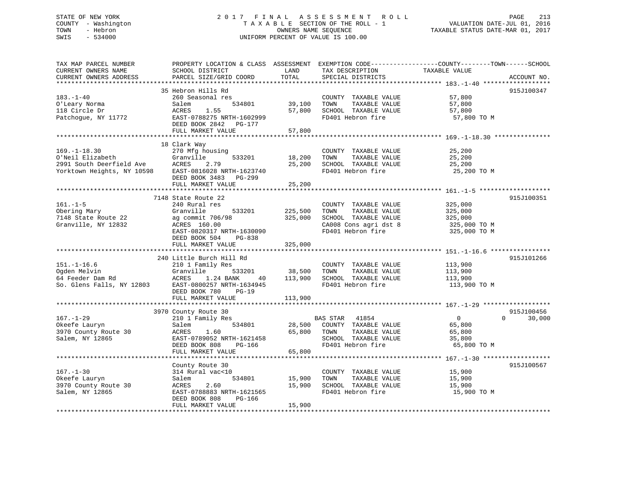## STATE OF NEW YORK 2 0 1 7 F I N A L A S S E S S M E N T R O L L PAGE 213 COUNTY - Washington T A X A B L E SECTION OF THE ROLL - 1 VALUATION DATE-JUL 01, 2016 TOWN - Hebron OWNERS NAME SEQUENCE TAXABLE STATUS DATE-MAR 01, 2017 SWIS - 534000 UNIFORM PERCENT OF VALUE IS 100.00

| TAX MAP PARCEL NUMBER<br>CURRENT OWNERS NAME<br>CURRENT OWNERS ADDRESS                           | PROPERTY LOCATION & CLASS ASSESSMENT<br>SCHOOL DISTRICT<br>PARCEL SIZE/GRID COORD                                                                                             | LAND<br>TOTAL                | TAX DESCRIPTION<br>SPECIAL DISTRICTS                                                                                | EXEMPTION CODE-----------------COUNTY-------TOWN------SCHOOL<br>TAXABLE VALUE<br>ACCOUNT NO. |
|--------------------------------------------------------------------------------------------------|-------------------------------------------------------------------------------------------------------------------------------------------------------------------------------|------------------------------|---------------------------------------------------------------------------------------------------------------------|----------------------------------------------------------------------------------------------|
|                                                                                                  |                                                                                                                                                                               |                              |                                                                                                                     |                                                                                              |
| $183. - 1 - 40$<br>O'Leary Norma<br>118 Circle Dr<br>Patchoque, NY 11772                         | 35 Hebron Hills Rd<br>260 Seasonal res<br>Salem<br>534801<br>ACRES<br>1.55<br>EAST-0788275 NRTH-1602999<br>DEED BOOK 2842 PG-177<br>FULL MARKET VALUE                         | 39,100<br>57,800             | COUNTY TAXABLE VALUE<br>TOWN<br>TAXABLE VALUE<br>SCHOOL TAXABLE VALUE<br>FD401 Hebron fire                          | 915J100347<br>57,800<br>57,800<br>57,800<br>57,800 TO M                                      |
|                                                                                                  |                                                                                                                                                                               | 57,800                       |                                                                                                                     |                                                                                              |
| $169. - 1 - 18.30$<br>O'Neil Elizabeth<br>2991 South Deerfield Ave<br>Yorktown Heights, NY 10598 | 18 Clark Way<br>270 Mfg housing<br>Granville<br>533201<br>ACRES<br>2.79<br>EAST-0816028 NRTH-1623740<br>DEED BOOK 3483 PG-299                                                 | 18,200<br>25,200             | COUNTY TAXABLE VALUE<br>TAXABLE VALUE<br>TOWN<br>SCHOOL TAXABLE VALUE<br>FD401 Hebron fire                          | 25,200<br>25,200<br>25,200<br>25,200 TO M                                                    |
|                                                                                                  | FULL MARKET VALUE                                                                                                                                                             | 25,200                       |                                                                                                                     |                                                                                              |
|                                                                                                  | 7148 State Route 22                                                                                                                                                           |                              |                                                                                                                     | 915J100351                                                                                   |
| $161. - 1 - 5$<br>Obering Mary<br>7148 State Route 22<br>Granville, NY 12832                     | 240 Rural res<br>Granville<br>533201<br>ag commit 706/98<br>ACRES 160.00<br>EAST-0820317 NRTH-1630090<br>DEED BOOK 504<br>PG-838                                              | 225,500<br>325,000           | COUNTY TAXABLE VALUE<br>TOWN<br>TAXABLE VALUE<br>SCHOOL TAXABLE VALUE<br>CA008 Cons agri dst 8<br>FD401 Hebron fire | 325,000<br>325,000<br>325,000<br>325,000 TO M<br>325,000 TO M                                |
|                                                                                                  | FULL MARKET VALUE                                                                                                                                                             | 325,000                      |                                                                                                                     |                                                                                              |
|                                                                                                  |                                                                                                                                                                               |                              |                                                                                                                     |                                                                                              |
| $151. - 1 - 16.6$<br>Ogden Melvin<br>64 Feeder Dam Rd<br>So. Glens Falls, NY 12803               | 240 Little Burch Hill Rd<br>210 1 Family Res<br>Granville<br>533201<br>ACRES<br>1.24 BANK<br>40<br>EAST-0800257 NRTH-1634945<br>DEED BOOK 780<br>$PG-19$<br>FULL MARKET VALUE | 38,500<br>113,900<br>113,900 | COUNTY TAXABLE VALUE<br>TOWN<br>TAXABLE VALUE<br>SCHOOL TAXABLE VALUE<br>FD401 Hebron fire                          | 915J101266<br>113,900<br>113,900<br>113,900<br>113,900 TO M                                  |
|                                                                                                  |                                                                                                                                                                               |                              |                                                                                                                     |                                                                                              |
|                                                                                                  | 3970 County Route 30                                                                                                                                                          |                              |                                                                                                                     | 915J100456                                                                                   |
| $167. - 1 - 29$<br>Okeefe Lauryn<br>3970 County Route 30<br>Salem, NY 12865                      | 210 1 Family Res<br>534801<br>Salem<br>ACRES<br>1.60<br>EAST-0789052 NRTH-1621458<br>DEED BOOK 808<br>PG-166                                                                  | 28,500<br>65,800             | BAS STAR 41854<br>COUNTY TAXABLE VALUE<br>TOWN<br>TAXABLE VALUE<br>SCHOOL TAXABLE VALUE<br>FD401 Hebron fire        | $\Omega$<br>$\Omega$<br>30,000<br>65,800<br>65,800<br>35,800<br>65,800 TO M                  |
|                                                                                                  | FULL MARKET VALUE                                                                                                                                                             | 65,800                       |                                                                                                                     |                                                                                              |
|                                                                                                  |                                                                                                                                                                               |                              |                                                                                                                     |                                                                                              |
| $167. - 1 - 30$<br>Okeefe Lauryn<br>3970 County Route 30<br>Salem, NY 12865                      | County Route 30<br>314 Rural vac<10<br>534801<br>Salem<br><b>ACRES</b><br>2.60<br>EAST-0788883 NRTH-1621565<br>DEED BOOK 808<br>PG-166                                        | 15,900<br>15,900             | COUNTY TAXABLE VALUE<br>TOWN<br>TAXABLE VALUE<br>SCHOOL TAXABLE VALUE<br>FD401 Hebron fire                          | 915J100567<br>15,900<br>15,900<br>15,900<br>15,900 TO M                                      |
|                                                                                                  | FULL MARKET VALUE                                                                                                                                                             | 15,900                       |                                                                                                                     |                                                                                              |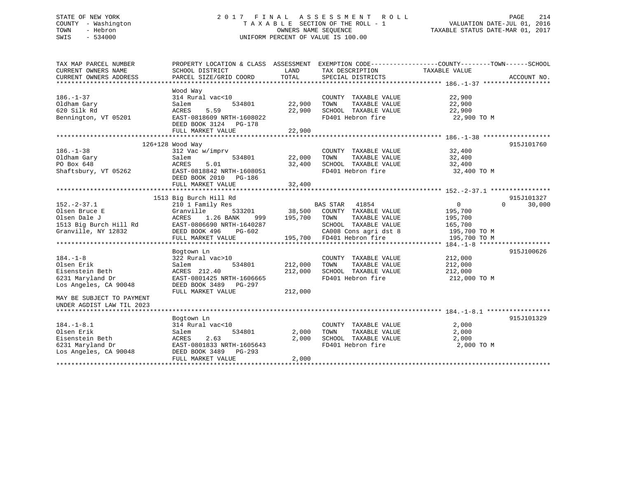## STATE OF NEW YORK 2 0 1 7 F I N A L A S S E S S M E N T R O L L PAGE 214 COUNTY - Washington T A X A B L E SECTION OF THE ROLL - 1 VALUATION DATE-JUL 01, 2016 TOWN - Hebron OWNERS NAME SEQUENCE TAXABLE STATUS DATE-MAR 01, 2017 SWIS - 534000 UNIFORM PERCENT OF VALUE IS 100.00

| Wood Way<br>314 Rural vac<10<br>22,900<br>COUNTY TAXABLE VALUE<br>Oldham Gary<br>22,900<br>TAXABLE VALUE<br>22,900<br>Salem<br>534801<br>TOWN<br>5.59<br>620 Silk Rd<br>ACRES<br>22,900<br>SCHOOL TAXABLE VALUE<br>22,900<br>FD401 Hebron fire<br>Bennington, VT 05201<br>EAST-0818609 NRTH-1608022<br>22,900 TO M<br>DEED BOOK 3124 PG-178<br>22,900<br>FULL MARKET VALUE<br>************<br>915J101760<br>126+128 Wood Way<br>$186. - 1 - 38$<br>32,400<br>312 Vac w/imprv<br>COUNTY TAXABLE VALUE<br>22,000<br>Oldham Gary<br>534801<br>TOWN<br>TAXABLE VALUE<br>32,400<br>Salem<br>PO Box 648<br>ACRES<br>5.01<br>32,400<br>SCHOOL TAXABLE VALUE<br>32,400<br>Shaftsbury, VT 05262<br>EAST-0818842 NRTH-1608051<br>FD401 Hebron fire<br>32,400 TO M<br>DEED BOOK 2010 PG-186<br>FULL MARKET VALUE<br>32,400<br>1513 Big Burch Hill Rd<br>915J101327<br>$152. - 2 - 37.1$<br>210 1 Family Res<br><b>BAS STAR</b><br>30,000<br>41854<br>$\overline{0}$<br>$\Omega$<br>Olsen Bruce E<br>Granville<br>533201<br>38,500<br>COUNTY TAXABLE VALUE<br>195,700<br>ACRES<br>1.26 BANK<br>195,700<br>TOWN<br>TAXABLE VALUE<br>195,700<br>999<br>SCHOOL TAXABLE VALUE<br>EAST-0806690 NRTH-1640287<br>165,700<br>Granville, NY 12832<br>PG-602<br>CA008 Cons agri dst 8<br>DEED BOOK 496<br>195,700 TO M<br>195,700 FD401 Hebron fire<br>FULL MARKET VALUE<br>195,700 TO M<br>915J100626<br>Bogtown Ln<br>322 Rural vac>10<br>212,000<br>COUNTY TAXABLE VALUE<br>212,000<br>TAXABLE VALUE<br>534801<br>TOWN<br>212,000<br>Salem<br>212,000<br>SCHOOL TAXABLE VALUE<br>212,000<br>ACRES 212.40<br>FD401 Hebron fire<br>EAST-0801425 NRTH-1606665<br>212,000 TO M<br>DEED BOOK 3489<br>PG-297<br>FULL MARKET VALUE<br>212,000<br>915J101329<br>Bogtown Ln<br>$184. - 1 - 8.1$<br>2,000<br>314 Rural vac<10<br>COUNTY TAXABLE VALUE<br>Olsen Erik<br>2,000<br>TAXABLE VALUE<br>2,000<br>534801<br>TOWN<br>Salem<br>Eisenstein Beth<br>ACRES<br>2.63<br>2,000<br>SCHOOL TAXABLE VALUE<br>2,000<br>FD401 Hebron fire<br>6231 Maryland Dr<br>EAST-0801833 NRTH-1605643<br>2,000 TO M<br>Los Angeles, CA 90048<br>DEED BOOK 3489<br>$PG-293$<br>FULL MARKET VALUE<br>2,000 | TAX MAP PARCEL NUMBER<br>CURRENT OWNERS NAME<br>CURRENT OWNERS ADDRESS | PROPERTY LOCATION & CLASS ASSESSMENT<br>SCHOOL DISTRICT<br>PARCEL SIZE/GRID COORD | LAND<br><b>TOTAL</b> | TAX DESCRIPTION<br>SPECIAL DISTRICTS | EXEMPTION CODE-----------------COUNTY-------TOWN------SCHOOL<br>TAXABLE VALUE | ACCOUNT NO. |
|-------------------------------------------------------------------------------------------------------------------------------------------------------------------------------------------------------------------------------------------------------------------------------------------------------------------------------------------------------------------------------------------------------------------------------------------------------------------------------------------------------------------------------------------------------------------------------------------------------------------------------------------------------------------------------------------------------------------------------------------------------------------------------------------------------------------------------------------------------------------------------------------------------------------------------------------------------------------------------------------------------------------------------------------------------------------------------------------------------------------------------------------------------------------------------------------------------------------------------------------------------------------------------------------------------------------------------------------------------------------------------------------------------------------------------------------------------------------------------------------------------------------------------------------------------------------------------------------------------------------------------------------------------------------------------------------------------------------------------------------------------------------------------------------------------------------------------------------------------------------------------------------------------------------------------------------------------------------------------------------------------------------------------------------------------------------------------------------------------------------------------------------------------------|------------------------------------------------------------------------|-----------------------------------------------------------------------------------|----------------------|--------------------------------------|-------------------------------------------------------------------------------|-------------|
|                                                                                                                                                                                                                                                                                                                                                                                                                                                                                                                                                                                                                                                                                                                                                                                                                                                                                                                                                                                                                                                                                                                                                                                                                                                                                                                                                                                                                                                                                                                                                                                                                                                                                                                                                                                                                                                                                                                                                                                                                                                                                                                                                             |                                                                        |                                                                                   |                      |                                      |                                                                               |             |
|                                                                                                                                                                                                                                                                                                                                                                                                                                                                                                                                                                                                                                                                                                                                                                                                                                                                                                                                                                                                                                                                                                                                                                                                                                                                                                                                                                                                                                                                                                                                                                                                                                                                                                                                                                                                                                                                                                                                                                                                                                                                                                                                                             | $186. - 1 - 37$                                                        |                                                                                   |                      |                                      |                                                                               |             |
|                                                                                                                                                                                                                                                                                                                                                                                                                                                                                                                                                                                                                                                                                                                                                                                                                                                                                                                                                                                                                                                                                                                                                                                                                                                                                                                                                                                                                                                                                                                                                                                                                                                                                                                                                                                                                                                                                                                                                                                                                                                                                                                                                             |                                                                        |                                                                                   |                      |                                      |                                                                               |             |
|                                                                                                                                                                                                                                                                                                                                                                                                                                                                                                                                                                                                                                                                                                                                                                                                                                                                                                                                                                                                                                                                                                                                                                                                                                                                                                                                                                                                                                                                                                                                                                                                                                                                                                                                                                                                                                                                                                                                                                                                                                                                                                                                                             |                                                                        |                                                                                   |                      |                                      |                                                                               |             |
|                                                                                                                                                                                                                                                                                                                                                                                                                                                                                                                                                                                                                                                                                                                                                                                                                                                                                                                                                                                                                                                                                                                                                                                                                                                                                                                                                                                                                                                                                                                                                                                                                                                                                                                                                                                                                                                                                                                                                                                                                                                                                                                                                             |                                                                        |                                                                                   |                      |                                      |                                                                               |             |
|                                                                                                                                                                                                                                                                                                                                                                                                                                                                                                                                                                                                                                                                                                                                                                                                                                                                                                                                                                                                                                                                                                                                                                                                                                                                                                                                                                                                                                                                                                                                                                                                                                                                                                                                                                                                                                                                                                                                                                                                                                                                                                                                                             |                                                                        |                                                                                   |                      |                                      |                                                                               |             |
|                                                                                                                                                                                                                                                                                                                                                                                                                                                                                                                                                                                                                                                                                                                                                                                                                                                                                                                                                                                                                                                                                                                                                                                                                                                                                                                                                                                                                                                                                                                                                                                                                                                                                                                                                                                                                                                                                                                                                                                                                                                                                                                                                             |                                                                        |                                                                                   |                      |                                      |                                                                               |             |
|                                                                                                                                                                                                                                                                                                                                                                                                                                                                                                                                                                                                                                                                                                                                                                                                                                                                                                                                                                                                                                                                                                                                                                                                                                                                                                                                                                                                                                                                                                                                                                                                                                                                                                                                                                                                                                                                                                                                                                                                                                                                                                                                                             |                                                                        |                                                                                   |                      |                                      |                                                                               |             |
|                                                                                                                                                                                                                                                                                                                                                                                                                                                                                                                                                                                                                                                                                                                                                                                                                                                                                                                                                                                                                                                                                                                                                                                                                                                                                                                                                                                                                                                                                                                                                                                                                                                                                                                                                                                                                                                                                                                                                                                                                                                                                                                                                             |                                                                        |                                                                                   |                      |                                      |                                                                               |             |
|                                                                                                                                                                                                                                                                                                                                                                                                                                                                                                                                                                                                                                                                                                                                                                                                                                                                                                                                                                                                                                                                                                                                                                                                                                                                                                                                                                                                                                                                                                                                                                                                                                                                                                                                                                                                                                                                                                                                                                                                                                                                                                                                                             |                                                                        |                                                                                   |                      |                                      |                                                                               |             |
|                                                                                                                                                                                                                                                                                                                                                                                                                                                                                                                                                                                                                                                                                                                                                                                                                                                                                                                                                                                                                                                                                                                                                                                                                                                                                                                                                                                                                                                                                                                                                                                                                                                                                                                                                                                                                                                                                                                                                                                                                                                                                                                                                             |                                                                        |                                                                                   |                      |                                      |                                                                               |             |
|                                                                                                                                                                                                                                                                                                                                                                                                                                                                                                                                                                                                                                                                                                                                                                                                                                                                                                                                                                                                                                                                                                                                                                                                                                                                                                                                                                                                                                                                                                                                                                                                                                                                                                                                                                                                                                                                                                                                                                                                                                                                                                                                                             |                                                                        |                                                                                   |                      |                                      |                                                                               |             |
|                                                                                                                                                                                                                                                                                                                                                                                                                                                                                                                                                                                                                                                                                                                                                                                                                                                                                                                                                                                                                                                                                                                                                                                                                                                                                                                                                                                                                                                                                                                                                                                                                                                                                                                                                                                                                                                                                                                                                                                                                                                                                                                                                             |                                                                        |                                                                                   |                      |                                      |                                                                               |             |
|                                                                                                                                                                                                                                                                                                                                                                                                                                                                                                                                                                                                                                                                                                                                                                                                                                                                                                                                                                                                                                                                                                                                                                                                                                                                                                                                                                                                                                                                                                                                                                                                                                                                                                                                                                                                                                                                                                                                                                                                                                                                                                                                                             |                                                                        |                                                                                   |                      |                                      |                                                                               |             |
|                                                                                                                                                                                                                                                                                                                                                                                                                                                                                                                                                                                                                                                                                                                                                                                                                                                                                                                                                                                                                                                                                                                                                                                                                                                                                                                                                                                                                                                                                                                                                                                                                                                                                                                                                                                                                                                                                                                                                                                                                                                                                                                                                             |                                                                        |                                                                                   |                      |                                      |                                                                               |             |
|                                                                                                                                                                                                                                                                                                                                                                                                                                                                                                                                                                                                                                                                                                                                                                                                                                                                                                                                                                                                                                                                                                                                                                                                                                                                                                                                                                                                                                                                                                                                                                                                                                                                                                                                                                                                                                                                                                                                                                                                                                                                                                                                                             |                                                                        |                                                                                   |                      |                                      |                                                                               |             |
|                                                                                                                                                                                                                                                                                                                                                                                                                                                                                                                                                                                                                                                                                                                                                                                                                                                                                                                                                                                                                                                                                                                                                                                                                                                                                                                                                                                                                                                                                                                                                                                                                                                                                                                                                                                                                                                                                                                                                                                                                                                                                                                                                             |                                                                        |                                                                                   |                      |                                      |                                                                               |             |
|                                                                                                                                                                                                                                                                                                                                                                                                                                                                                                                                                                                                                                                                                                                                                                                                                                                                                                                                                                                                                                                                                                                                                                                                                                                                                                                                                                                                                                                                                                                                                                                                                                                                                                                                                                                                                                                                                                                                                                                                                                                                                                                                                             | Olsen Dale J                                                           |                                                                                   |                      |                                      |                                                                               |             |
|                                                                                                                                                                                                                                                                                                                                                                                                                                                                                                                                                                                                                                                                                                                                                                                                                                                                                                                                                                                                                                                                                                                                                                                                                                                                                                                                                                                                                                                                                                                                                                                                                                                                                                                                                                                                                                                                                                                                                                                                                                                                                                                                                             | 1513 Big Burch Hill Rd                                                 |                                                                                   |                      |                                      |                                                                               |             |
|                                                                                                                                                                                                                                                                                                                                                                                                                                                                                                                                                                                                                                                                                                                                                                                                                                                                                                                                                                                                                                                                                                                                                                                                                                                                                                                                                                                                                                                                                                                                                                                                                                                                                                                                                                                                                                                                                                                                                                                                                                                                                                                                                             |                                                                        |                                                                                   |                      |                                      |                                                                               |             |
|                                                                                                                                                                                                                                                                                                                                                                                                                                                                                                                                                                                                                                                                                                                                                                                                                                                                                                                                                                                                                                                                                                                                                                                                                                                                                                                                                                                                                                                                                                                                                                                                                                                                                                                                                                                                                                                                                                                                                                                                                                                                                                                                                             |                                                                        |                                                                                   |                      |                                      |                                                                               |             |
|                                                                                                                                                                                                                                                                                                                                                                                                                                                                                                                                                                                                                                                                                                                                                                                                                                                                                                                                                                                                                                                                                                                                                                                                                                                                                                                                                                                                                                                                                                                                                                                                                                                                                                                                                                                                                                                                                                                                                                                                                                                                                                                                                             |                                                                        |                                                                                   |                      |                                      |                                                                               |             |
|                                                                                                                                                                                                                                                                                                                                                                                                                                                                                                                                                                                                                                                                                                                                                                                                                                                                                                                                                                                                                                                                                                                                                                                                                                                                                                                                                                                                                                                                                                                                                                                                                                                                                                                                                                                                                                                                                                                                                                                                                                                                                                                                                             |                                                                        |                                                                                   |                      |                                      |                                                                               |             |
|                                                                                                                                                                                                                                                                                                                                                                                                                                                                                                                                                                                                                                                                                                                                                                                                                                                                                                                                                                                                                                                                                                                                                                                                                                                                                                                                                                                                                                                                                                                                                                                                                                                                                                                                                                                                                                                                                                                                                                                                                                                                                                                                                             | $184. - 1 - 8$                                                         |                                                                                   |                      |                                      |                                                                               |             |
|                                                                                                                                                                                                                                                                                                                                                                                                                                                                                                                                                                                                                                                                                                                                                                                                                                                                                                                                                                                                                                                                                                                                                                                                                                                                                                                                                                                                                                                                                                                                                                                                                                                                                                                                                                                                                                                                                                                                                                                                                                                                                                                                                             | Olsen Erik                                                             |                                                                                   |                      |                                      |                                                                               |             |
|                                                                                                                                                                                                                                                                                                                                                                                                                                                                                                                                                                                                                                                                                                                                                                                                                                                                                                                                                                                                                                                                                                                                                                                                                                                                                                                                                                                                                                                                                                                                                                                                                                                                                                                                                                                                                                                                                                                                                                                                                                                                                                                                                             | Eisenstein Beth                                                        |                                                                                   |                      |                                      |                                                                               |             |
|                                                                                                                                                                                                                                                                                                                                                                                                                                                                                                                                                                                                                                                                                                                                                                                                                                                                                                                                                                                                                                                                                                                                                                                                                                                                                                                                                                                                                                                                                                                                                                                                                                                                                                                                                                                                                                                                                                                                                                                                                                                                                                                                                             | 6231 Maryland Dr                                                       |                                                                                   |                      |                                      |                                                                               |             |
|                                                                                                                                                                                                                                                                                                                                                                                                                                                                                                                                                                                                                                                                                                                                                                                                                                                                                                                                                                                                                                                                                                                                                                                                                                                                                                                                                                                                                                                                                                                                                                                                                                                                                                                                                                                                                                                                                                                                                                                                                                                                                                                                                             | Los Angeles, CA 90048                                                  |                                                                                   |                      |                                      |                                                                               |             |
|                                                                                                                                                                                                                                                                                                                                                                                                                                                                                                                                                                                                                                                                                                                                                                                                                                                                                                                                                                                                                                                                                                                                                                                                                                                                                                                                                                                                                                                                                                                                                                                                                                                                                                                                                                                                                                                                                                                                                                                                                                                                                                                                                             |                                                                        |                                                                                   |                      |                                      |                                                                               |             |
|                                                                                                                                                                                                                                                                                                                                                                                                                                                                                                                                                                                                                                                                                                                                                                                                                                                                                                                                                                                                                                                                                                                                                                                                                                                                                                                                                                                                                                                                                                                                                                                                                                                                                                                                                                                                                                                                                                                                                                                                                                                                                                                                                             | MAY BE SUBJECT TO PAYMENT                                              |                                                                                   |                      |                                      |                                                                               |             |
|                                                                                                                                                                                                                                                                                                                                                                                                                                                                                                                                                                                                                                                                                                                                                                                                                                                                                                                                                                                                                                                                                                                                                                                                                                                                                                                                                                                                                                                                                                                                                                                                                                                                                                                                                                                                                                                                                                                                                                                                                                                                                                                                                             | UNDER AGDIST LAW TIL 2023                                              |                                                                                   |                      |                                      |                                                                               |             |
|                                                                                                                                                                                                                                                                                                                                                                                                                                                                                                                                                                                                                                                                                                                                                                                                                                                                                                                                                                                                                                                                                                                                                                                                                                                                                                                                                                                                                                                                                                                                                                                                                                                                                                                                                                                                                                                                                                                                                                                                                                                                                                                                                             |                                                                        |                                                                                   |                      |                                      |                                                                               |             |
|                                                                                                                                                                                                                                                                                                                                                                                                                                                                                                                                                                                                                                                                                                                                                                                                                                                                                                                                                                                                                                                                                                                                                                                                                                                                                                                                                                                                                                                                                                                                                                                                                                                                                                                                                                                                                                                                                                                                                                                                                                                                                                                                                             |                                                                        |                                                                                   |                      |                                      |                                                                               |             |
|                                                                                                                                                                                                                                                                                                                                                                                                                                                                                                                                                                                                                                                                                                                                                                                                                                                                                                                                                                                                                                                                                                                                                                                                                                                                                                                                                                                                                                                                                                                                                                                                                                                                                                                                                                                                                                                                                                                                                                                                                                                                                                                                                             |                                                                        |                                                                                   |                      |                                      |                                                                               |             |
|                                                                                                                                                                                                                                                                                                                                                                                                                                                                                                                                                                                                                                                                                                                                                                                                                                                                                                                                                                                                                                                                                                                                                                                                                                                                                                                                                                                                                                                                                                                                                                                                                                                                                                                                                                                                                                                                                                                                                                                                                                                                                                                                                             |                                                                        |                                                                                   |                      |                                      |                                                                               |             |
|                                                                                                                                                                                                                                                                                                                                                                                                                                                                                                                                                                                                                                                                                                                                                                                                                                                                                                                                                                                                                                                                                                                                                                                                                                                                                                                                                                                                                                                                                                                                                                                                                                                                                                                                                                                                                                                                                                                                                                                                                                                                                                                                                             |                                                                        |                                                                                   |                      |                                      |                                                                               |             |
|                                                                                                                                                                                                                                                                                                                                                                                                                                                                                                                                                                                                                                                                                                                                                                                                                                                                                                                                                                                                                                                                                                                                                                                                                                                                                                                                                                                                                                                                                                                                                                                                                                                                                                                                                                                                                                                                                                                                                                                                                                                                                                                                                             |                                                                        |                                                                                   |                      |                                      |                                                                               |             |
|                                                                                                                                                                                                                                                                                                                                                                                                                                                                                                                                                                                                                                                                                                                                                                                                                                                                                                                                                                                                                                                                                                                                                                                                                                                                                                                                                                                                                                                                                                                                                                                                                                                                                                                                                                                                                                                                                                                                                                                                                                                                                                                                                             |                                                                        |                                                                                   |                      |                                      |                                                                               |             |
|                                                                                                                                                                                                                                                                                                                                                                                                                                                                                                                                                                                                                                                                                                                                                                                                                                                                                                                                                                                                                                                                                                                                                                                                                                                                                                                                                                                                                                                                                                                                                                                                                                                                                                                                                                                                                                                                                                                                                                                                                                                                                                                                                             |                                                                        |                                                                                   |                      |                                      |                                                                               |             |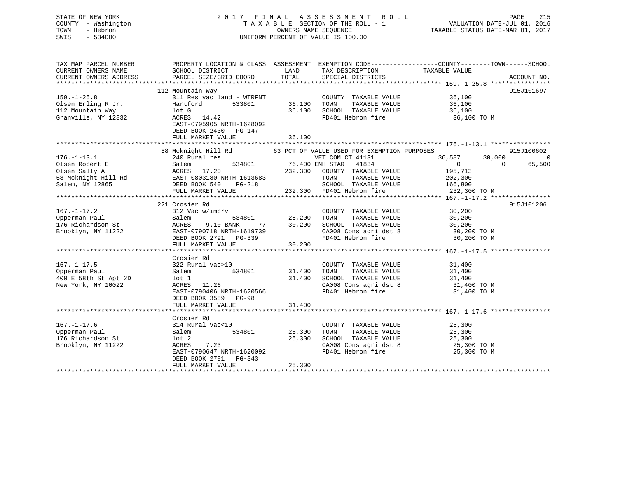## STATE OF NEW YORK 2 0 1 7 F I N A L A S S E S S M E N T R O L L PAGE 215 COUNTY - Washington T A X A B L E SECTION OF THE ROLL - 1 VALUATION DATE-JUL 01, 2016 TOWN - Hebron OWNERS NAME SEQUENCE TAXABLE STATUS DATE-MAR 01, 2017 SWIS - 534000 UNIFORM PERCENT OF VALUE IS 100.00

| TAX MAP PARCEL NUMBER<br>CURRENT OWNERS NAME<br>CURRENT OWNERS ADDRESS | SCHOOL DISTRICT<br>PARCEL SIZE/GRID COORD                                                                                                                                                                                                                        | LAND<br>TOTAL                                | TAX DESCRIPTION TAXABLE VALUE SPECIAL DISTRICTS                                                                                                                                                                                         | PROPERTY LOCATION & CLASS ASSESSMENT EXEMPTION CODE---------------COUNTY-------TOWN-----SCHOOL | ACCOUNT NO.              |
|------------------------------------------------------------------------|------------------------------------------------------------------------------------------------------------------------------------------------------------------------------------------------------------------------------------------------------------------|----------------------------------------------|-----------------------------------------------------------------------------------------------------------------------------------------------------------------------------------------------------------------------------------------|------------------------------------------------------------------------------------------------|--------------------------|
|                                                                        |                                                                                                                                                                                                                                                                  |                                              |                                                                                                                                                                                                                                         |                                                                                                |                          |
|                                                                        | 112 Mountain Way                                                                                                                                                                                                                                                 |                                              |                                                                                                                                                                                                                                         |                                                                                                | 915J101697               |
| $159. - 1 - 25.8$                                                      | 311 Res vac land - WTRFNT                                                                                                                                                                                                                                        |                                              | COUNTY TAXABLE VALUE 36,100                                                                                                                                                                                                             |                                                                                                |                          |
| Olsen Erling R Jr.                                                     | 533801<br>Hartford                                                                                                                                                                                                                                               |                                              |                                                                                                                                                                                                                                         |                                                                                                |                          |
| 112 Mountain Way                                                       | lot G                                                                                                                                                                                                                                                            | 36,100     TOWN<br>36,100    SCHOC<br>36,100 |                                                                                                                                                                                                                                         |                                                                                                |                          |
| Granville, NY 12832                                                    | ACRES 14.42                                                                                                                                                                                                                                                      |                                              | FD401 Hebron fire                                                                                                                                                                                                                       | 36,100 TO M                                                                                    |                          |
|                                                                        | EAST-0795905 NRTH-1628092<br>DEED BOOK 2430 PG-147                                                                                                                                                                                                               |                                              |                                                                                                                                                                                                                                         |                                                                                                |                          |
|                                                                        |                                                                                                                                                                                                                                                                  |                                              |                                                                                                                                                                                                                                         |                                                                                                |                          |
|                                                                        |                                                                                                                                                                                                                                                                  |                                              |                                                                                                                                                                                                                                         |                                                                                                |                          |
|                                                                        | 58 Mcknight Hill Rd 63 PCT OF VALUE USED FOR EXEMPTION PURPOSES                                                                                                                                                                                                  |                                              |                                                                                                                                                                                                                                         |                                                                                                | 915J100602               |
| $176. - 1 - 13.1$                                                      | 240 Rural res                                                                                                                                                                                                                                                    |                                              | VET COM CT 41131<br>1834 - - - - - - - - 534801<br>534801 - 76,400 ENH STAR 41834<br>COUNTY TAXABLE                                                                                                                                     | 36,587<br>30,000<br>$\bigcirc$                                                                 | $\overline{0}$<br>65,500 |
|                                                                        | 1.01 232,300<br>16.400 1<br>16.400 1<br>16.400 1<br>16.400 1<br>16.400 1<br>16.400 1<br>16.400 1<br>16.400 1<br>16.400 1<br>232,300<br>58 Mcknight Hill Rd<br>58 Mcknight Hill Rd<br>58 Mcknight Hill Rd<br>58 DEED BOOK 540<br>PG-218<br>FULL MARKET VALUE<br>2 |                                              |                                                                                                                                                                                                                                         | $\overline{0}$<br>195,713                                                                      |                          |
|                                                                        |                                                                                                                                                                                                                                                                  |                                              | 232,300 COUNTY TAXABLE VALUE<br>TOWN                                                                                                                                                                                                    | TAXABLE VALUE 202,300                                                                          |                          |
|                                                                        |                                                                                                                                                                                                                                                                  |                                              |                                                                                                                                                                                                                                         |                                                                                                |                          |
|                                                                        |                                                                                                                                                                                                                                                                  |                                              | SCHOOL TAXABLE VALUE 166,800<br>FD401 Hebron fire 232,300 TO M<br>232,300 FD401 Hebron fire                                                                                                                                             |                                                                                                |                          |
|                                                                        |                                                                                                                                                                                                                                                                  |                                              |                                                                                                                                                                                                                                         |                                                                                                |                          |
|                                                                        | 221 Crosier Rd                                                                                                                                                                                                                                                   |                                              |                                                                                                                                                                                                                                         |                                                                                                | 915J101206               |
| $167. - 1 - 17.2$                                                      | 312 Vac w/imprv                                                                                                                                                                                                                                                  |                                              |                                                                                                                                                                                                                                         |                                                                                                |                          |
|                                                                        | Salem                                                                                                                                                                                                                                                            | COUNTY<br>534801 28,200 TOWN                 |                                                                                                                                                                                                                                         |                                                                                                |                          |
| 176 Richardson St<br>Brooklyn, NY 11222                                | 77<br>ACRES<br>9.10 BANK                                                                                                                                                                                                                                         | 30,200                                       | COUNTY TAXABLE VALUE 30,200<br>TOWN TAXABLE VALUE 30,200<br>SCHOOL TAXABLE VALUE 30,200                                                                                                                                                 |                                                                                                |                          |
| Brooklyn, NY 11222                                                     |                                                                                                                                                                                                                                                                  |                                              |                                                                                                                                                                                                                                         |                                                                                                |                          |
|                                                                        | EAST-0790718 NRTH-1619739<br>DEED BOOK 2791 PG-339                                                                                                                                                                                                               |                                              | CA008 Cons agri dst 8 $30,200$ TO M<br>FD401 Hebron fire $30,200$ TO M                                                                                                                                                                  |                                                                                                |                          |
|                                                                        | FULL MARKET VALUE                                                                                                                                                                                                                                                | 30,200                                       |                                                                                                                                                                                                                                         |                                                                                                |                          |
|                                                                        |                                                                                                                                                                                                                                                                  |                                              |                                                                                                                                                                                                                                         |                                                                                                |                          |
|                                                                        | Crosier Rd                                                                                                                                                                                                                                                       |                                              |                                                                                                                                                                                                                                         |                                                                                                |                          |
| $167. - 1 - 17.5$                                                      | 322 Rural vac>10                                                                                                                                                                                                                                                 |                                              | COUNTY TAXABLE VALUE                                                                                                                                                                                                                    | 31,400                                                                                         |                          |
| Opperman Paul                                                          | Salem                                                                                                                                                                                                                                                            | 534801 31,400                                |                                                                                                                                                                                                                                         |                                                                                                |                          |
| 400 E 58th St Apt 2D                                                   | lot 1                                                                                                                                                                                                                                                            | 31,400                                       |                                                                                                                                                                                                                                         |                                                                                                |                          |
| New York, NY 10022                                                     | ACRES 11.26                                                                                                                                                                                                                                                      |                                              |                                                                                                                                                                                                                                         |                                                                                                |                          |
|                                                                        | EAST-0790406 NRTH-1620566                                                                                                                                                                                                                                        |                                              | COUNTY TAXABLE VALUE<br>TOWN TAXABLE VALUE<br>SCHOOL TAXABLE VALUE<br>CA008 CONS agri dst 8 31,400<br>FD401 Hebron fire 31,400 TO M<br>FD401 Hebron fire 31,400 TO M                                                                    |                                                                                                |                          |
|                                                                        | DEED BOOK 3589 PG-98                                                                                                                                                                                                                                             |                                              |                                                                                                                                                                                                                                         |                                                                                                |                          |
|                                                                        | FULL MARKET VALUE                                                                                                                                                                                                                                                | 31,400                                       |                                                                                                                                                                                                                                         |                                                                                                |                          |
|                                                                        |                                                                                                                                                                                                                                                                  |                                              |                                                                                                                                                                                                                                         |                                                                                                |                          |
|                                                                        | Crosier Rd                                                                                                                                                                                                                                                       |                                              |                                                                                                                                                                                                                                         |                                                                                                |                          |
| $167. - 1 - 17.6$                                                      | 314 Rural vac<10                                                                                                                                                                                                                                                 |                                              | COUNTY TAXABLE VALUE                                                                                                                                                                                                                    | 25,300                                                                                         |                          |
| Opperman Paul                                                          | 534801<br>Salem                                                                                                                                                                                                                                                  | 25,300                                       | TAXABLE VALUE<br>TOWN                                                                                                                                                                                                                   | 25,300                                                                                         |                          |
| 176 Richardson St                                                      | $1$ ot $2$                                                                                                                                                                                                                                                       | 25,300                                       | SCHOOL TAXABLE VALUE                                                                                                                                                                                                                    | 25,300                                                                                         |                          |
| Brooklyn, NY 11222                                                     | ACRES<br>7.23                                                                                                                                                                                                                                                    |                                              | $\begin{array}{lllllll} \texttt{CA008} & \texttt{Cons}\ \texttt{agri}\ \texttt{dst}\ 8 & & & \texttt{25,300}\ \texttt{T0 M} & \texttt{FD401} & \texttt{Hebron}\ \texttt{fire} & & & \texttt{25,300}\ \texttt{T0 M} & & & & \end{array}$ |                                                                                                |                          |
|                                                                        | EAST-0790647 NRTH-1620092                                                                                                                                                                                                                                        |                                              |                                                                                                                                                                                                                                         |                                                                                                |                          |
|                                                                        | DEED BOOK 2791 PG-343                                                                                                                                                                                                                                            |                                              |                                                                                                                                                                                                                                         |                                                                                                |                          |
|                                                                        | FULL MARKET VALUE                                                                                                                                                                                                                                                | 25,300                                       |                                                                                                                                                                                                                                         |                                                                                                |                          |
|                                                                        |                                                                                                                                                                                                                                                                  |                                              |                                                                                                                                                                                                                                         |                                                                                                |                          |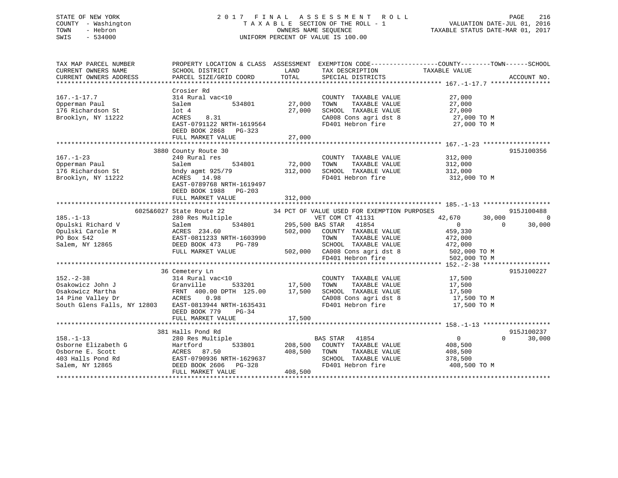## STATE OF NEW YORK 2 0 1 7 F I N A L A S S E S S M E N T R O L L PAGE 216 COUNTY - Washington T A X A B L E SECTION OF THE ROLL - 1 VALUATION DATE-JUL 01, 2016 TOWN - Hebron OWNERS NAME SEQUENCE TAXABLE STATUS DATE-MAR 01, 2017 SWIS - 534000 UNIFORM PERCENT OF VALUE IS 100.00

| TAX MAP PARCEL NUMBER<br>CURRENT OWNERS NAME | PROPERTY LOCATION & CLASS ASSESSMENT<br>SCHOOL DISTRICT              | LAND    | TAX DESCRIPTION                               | EXEMPTION CODE-----------------COUNTY-------TOWN------SCHOOL<br>TAXABLE VALUE |             |
|----------------------------------------------|----------------------------------------------------------------------|---------|-----------------------------------------------|-------------------------------------------------------------------------------|-------------|
| CURRENT OWNERS ADDRESS                       | PARCEL SIZE/GRID COORD                                               | TOTAL   | SPECIAL DISTRICTS                             |                                                                               | ACCOUNT NO. |
|                                              |                                                                      |         |                                               |                                                                               |             |
| $167. - 1 - 17.7$<br>Opperman Paul           | Crosier Rd<br>314 Rural vac<10<br>534801<br>Salem                    | 27,000  | COUNTY TAXABLE VALUE<br>TOWN<br>TAXABLE VALUE | 27,000<br>27,000                                                              |             |
| 176 Richardson St                            | $1$ ot $4$                                                           | 27,000  | SCHOOL TAXABLE VALUE                          | 27,000                                                                        |             |
| Brooklyn, NY 11222                           | ACRES<br>8.31                                                        |         | CA008 Cons agri dst 8                         | 27,000 TO M                                                                   |             |
|                                              | EAST-0791122 NRTH-1619564<br>DEED BOOK 2868 PG-323                   |         | FD401 Hebron fire                             | 27,000 TO M                                                                   |             |
|                                              | FULL MARKET VALUE                                                    | 27,000  |                                               |                                                                               |             |
|                                              | 3880 County Route 30                                                 |         |                                               |                                                                               | 915J100356  |
| $167. - 1 - 23$                              | 240 Rural res                                                        |         | COUNTY TAXABLE VALUE                          | 312,000                                                                       |             |
| Opperman Paul                                | 534801<br>Salem                                                      | 72,000  | TOWN<br>TAXABLE VALUE                         | 312,000                                                                       |             |
| 176 Richardson St                            | bndy agmt 925/79                                                     | 312,000 | SCHOOL TAXABLE VALUE                          | 312,000                                                                       |             |
| Brooklyn, NY 11222                           | ACRES<br>14.98<br>EAST-0789768 NRTH-1619497<br>DEED BOOK 1988 PG-203 |         | FD401 Hebron fire                             | 312,000 TO M                                                                  |             |
|                                              | FULL MARKET VALUE                                                    | 312,000 |                                               |                                                                               |             |
|                                              |                                                                      |         |                                               |                                                                               |             |
|                                              | 6025&6027 State Route 22                                             |         | 34 PCT OF VALUE USED FOR EXEMPTION PURPOSES   |                                                                               | 915J100488  |
| $185. - 1 - 13$                              | 280 Res Multiple                                                     |         | VET COM CT 41131                              | 42,670<br>30,000                                                              | $\Omega$    |
| Opulski Richard V                            | 534801<br>Salem                                                      |         | 295,500 BAS STAR<br>41854                     | $\Omega$<br>$\Omega$                                                          | 30,000      |
| Opulski Carole M                             | ACRES 234.60                                                         | 502,000 | COUNTY TAXABLE VALUE                          | 459,330                                                                       |             |
| PO Box 542                                   | EAST-0811233 NRTH-1603990                                            |         | TAXABLE VALUE<br>TOWN                         | 472,000                                                                       |             |
| Salem, NY 12865                              | DEED BOOK 473<br>PG-789                                              |         | SCHOOL TAXABLE VALUE                          | 472,000                                                                       |             |
|                                              | FULL MARKET VALUE                                                    | 502,000 | CA008 Cons agri dst 8                         | 502,000 TO M                                                                  |             |
|                                              |                                                                      |         | FD401 Hebron fire                             | 502,000 TO M                                                                  |             |
|                                              |                                                                      |         |                                               |                                                                               |             |
|                                              | 36 Cemetery Ln                                                       |         |                                               |                                                                               | 915J100227  |
| $152 - 2 - 38$                               | 314 Rural vac<10                                                     |         | COUNTY TAXABLE VALUE                          | 17,500                                                                        |             |
| Osakowicz John J                             | Granville<br>533201                                                  | 17,500  | TOWN<br>TAXABLE VALUE                         | 17,500                                                                        |             |
| Osakowicz Martha                             | FRNT 400.00 DPTH 125.00                                              | 17,500  | SCHOOL TAXABLE VALUE                          | 17,500                                                                        |             |
| 14 Pine Valley Dr                            | ACRES<br>0.98                                                        |         | CA008 Cons agri dst 8                         | 17,500 TO M                                                                   |             |
| South Glens Falls, NY 12803                  | EAST-0813944 NRTH-1635431<br>DEED BOOK 779<br>$PG-34$                |         | FD401 Hebron fire                             | 17,500 TO M                                                                   |             |
|                                              | FULL MARKET VALUE                                                    | 17,500  |                                               |                                                                               |             |
|                                              | **************************                                           |         |                                               |                                                                               |             |
|                                              | 381 Halls Pond Rd                                                    |         |                                               |                                                                               | 915J100237  |
| $158. - 1 - 13$                              | 280 Res Multiple                                                     |         | 41854<br><b>BAS STAR</b>                      | $\overline{0}$<br>$\Omega$                                                    | 30,000      |
| Osborne Elizabeth G                          | Hartford<br>533801                                                   | 208,500 | COUNTY TAXABLE VALUE                          | 408,500                                                                       |             |
| Osborne E. Scott                             | ACRES<br>87.50                                                       | 408,500 | TAXABLE VALUE<br>TOWN                         | 408,500                                                                       |             |
| 403 Halls Pond Rd                            | EAST-0790936 NRTH-1629637                                            |         | SCHOOL TAXABLE VALUE                          | 378,500                                                                       |             |
| Salem, NY 12865                              | DEED BOOK 2606<br>PG-328                                             |         | FD401 Hebron fire                             | 408,500 TO M                                                                  |             |
|                                              | FULL MARKET VALUE                                                    | 408,500 |                                               |                                                                               |             |
|                                              |                                                                      |         |                                               |                                                                               |             |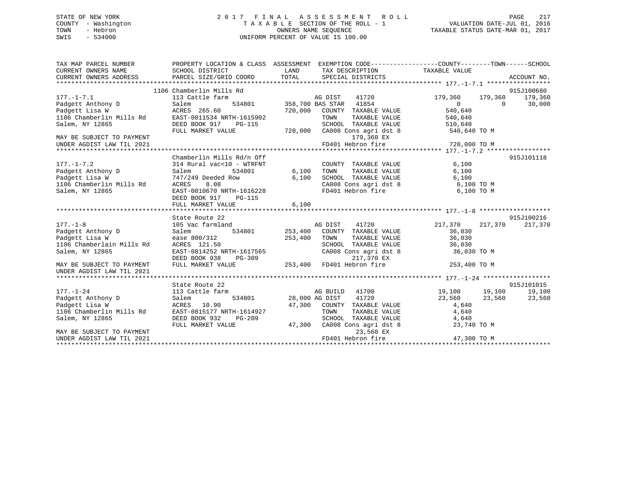## STATE OF NEW YORK 2 0 1 7 F I N A L A S S E S S M E N T R O L L PAGE 217 COUNTY - Washington T A X A B L E SECTION OF THE ROLL - 1 VALUATION DATE-JUL 01, 2016 TOWN - Hebron OWNERS NAME SEQUENCE TAXABLE STATUS DATE-MAR 01, 2017 SWIS - 534000 UNIFORM PERCENT OF VALUE IS 100.00

| TAX MAP PARCEL NUMBER<br>CURRENT OWNERS NAME<br>CURRENT OWNERS ADDRESS | SCHOOL DISTRICT<br>PARCEL SIZE/GRID COORD   | PROPERTY LOCATION & CLASS ASSESSMENT EXEMPTION CODE---------------COUNTY-------TOWN------SCHOOL<br>LAND<br>TAX DESCRIPTION TAXABLE VALUE<br>TOTAL<br>SPECIAL DISTRICTS | ACCOUNT NO.                                 |
|------------------------------------------------------------------------|---------------------------------------------|------------------------------------------------------------------------------------------------------------------------------------------------------------------------|---------------------------------------------|
| $177. - 1 - 7.1$                                                       | 1106 Chamberlin Mills Rd<br>113 Cattle farm |                                                                                                                                                                        | 915J100680<br>179,360<br>179,360<br>179,360 |
| Padgett Anthony D                                                      | Salem                                       | AG DIST 41720<br>534801 358,700 BAS STAR 41854                                                                                                                         | $\Omega$<br>$\Omega$<br>30,000              |
| Padgett Lisa W                                                         | ACRES 265.60                                | 720,000<br>COUNTY TAXABLE VALUE                                                                                                                                        | 540,640                                     |
| 1106 Chamberlin Mills Rd EAST-0811534 NRTH-1615902                     |                                             | TOWN<br>TAXABLE VALUE                                                                                                                                                  | 540,640                                     |
| Salem, NY 12865                                                        | DEED BOOK 917<br>PG-115                     | SCHOOL TAXABLE VALUE                                                                                                                                                   | 510,640                                     |
|                                                                        | FULL MARKET VALUE                           | 720,000 CA008 Cons agri dst 8                                                                                                                                          | 540,640 TO M                                |
| MAY BE SUBJECT TO PAYMENT                                              |                                             | 179,360 EX                                                                                                                                                             |                                             |
| UNDER AGDIST LAW TIL 2021                                              |                                             | FD401 Hebron fire                                                                                                                                                      | 720,000 TO M                                |
|                                                                        |                                             |                                                                                                                                                                        |                                             |
|                                                                        | Chamberlin Mills Rd/n Off                   |                                                                                                                                                                        | 915J101118                                  |
| $177. - 1 - 7.2$                                                       | 314 Rural vac<10 - WTRFNT                   | COUNTY TAXABLE VALUE                                                                                                                                                   | 6,100                                       |
| Padgett Anthony D                                                      | Salem<br>534801                             | 6,100<br>TOWN<br>TAXABLE VALUE                                                                                                                                         | 6,100                                       |
| Padgett Lisa W                                                         | 747/249 Deeded Row                          | 6,100                                                                                                                                                                  | 6,100                                       |
| 1106 Chamberlin Mills Rd                                               | ACRES<br>8.08                               |                                                                                                                                                                        | 6,100 TO M                                  |
| Salem, NY 12865                                                        | EAST-0810670 NRTH-1616228                   | CAOOB CONSTANABLE VALUE<br>CAOO8 Cons agri dst 8<br>FD401 Hebron fire                                                                                                  | 6,100 TO M                                  |
|                                                                        | DEED BOOK 917<br>PG-115                     |                                                                                                                                                                        |                                             |
|                                                                        | FULL MARKET VALUE                           | 6,100                                                                                                                                                                  |                                             |
|                                                                        |                                             |                                                                                                                                                                        |                                             |
|                                                                        | State Route 22                              |                                                                                                                                                                        | 915J100216                                  |
| $177. - 1 - 8$                                                         | 105 Vac farmland                            | AG DIST<br>41720                                                                                                                                                       | 217,370<br>217,370<br>217,370               |
| Padgett Anthony D                                                      | Salem<br>534801 253,400                     | COUNTY TAXABLE VALUE                                                                                                                                                   | 36,030                                      |
| Padgett Lisa W                                                         | ease 800/312                                | 253,400<br>TOWN<br>TAXABLE VALUE                                                                                                                                       | 36,030                                      |
| 1106 Chamberlain Mills Rd                                              | ACRES 121.50                                | SCHOOL TAXABLE VALUE                                                                                                                                                   | 36,030                                      |
| Salem, NY 12865                                                        | EAST-0814252 NRTH-1617565                   | CA008 Cons agri dst 8                                                                                                                                                  | 36,030 TO M                                 |
|                                                                        | DEED BOOK 938                               |                                                                                                                                                                        |                                             |
| MAY BE SUBJECT TO PAYMENT<br>UNDER AGDIST LAW TIL 2021                 | FULL MARKET VALUE                           | PG-309 253,400 FD401 Hebron fire<br>LUE 253,400 FD401 Hebron fire                                                                                                      | 253,400 TO M                                |
|                                                                        |                                             |                                                                                                                                                                        |                                             |
|                                                                        | State Route 22                              |                                                                                                                                                                        | 915J101015                                  |
| $177. - 1 - 24$                                                        | 113 Cattle farm                             | AG BUILD<br>41700                                                                                                                                                      | 19,100 19,100<br>19,100                     |
| Padgett Anthony D                                                      | 534801<br>Salem                             | 28,000 AG DIST<br>41720                                                                                                                                                | 23,560<br>23,560<br>23,560                  |
| Padgett Lisa W                                                         | ACRES 10.90                                 | 47,300 COUNTY TAXABLE VALUE                                                                                                                                            | 4,640                                       |
| 1106 Chamberlin Mills Rd                                               | EAST-0815177 NRTH-1614927                   | TOWN<br>TAXABLE VALUE                                                                                                                                                  | 4,640                                       |
| Salem, NY 12865                                                        | DEED BOOK 932<br>PG-209                     | SCHOOL TAXABLE VALUE                                                                                                                                                   | 4,640                                       |
|                                                                        | FULL MARKET VALUE                           | 47,300<br>CA008 Cons agri dst 8                                                                                                                                        | 23,740 TO M                                 |
| MAY BE SUBJECT TO PAYMENT                                              |                                             | 23,560 EX                                                                                                                                                              |                                             |
| UNDER AGDIST LAW TIL 2021                                              |                                             | FD401 Hebron fire                                                                                                                                                      | 47,300 TO M                                 |
|                                                                        |                                             |                                                                                                                                                                        |                                             |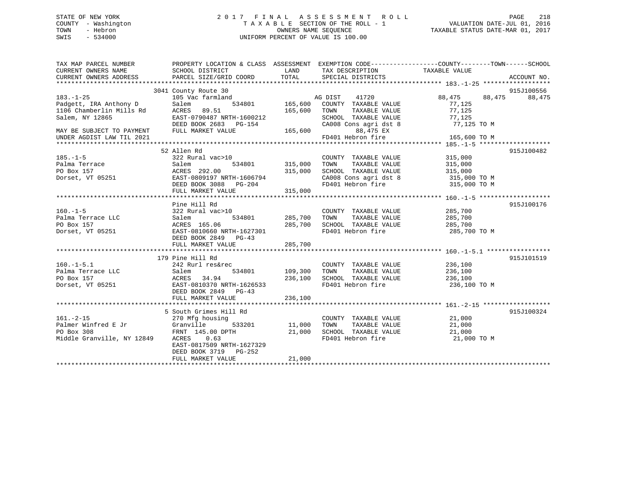## STATE OF NEW YORK 2 0 1 7 F I N A L A S S E S S M E N T R O L L PAGE 218 COUNTY - Washington T A X A B L E SECTION OF THE ROLL - 1 VALUATION DATE-JUL 01, 2016 TOWN - Hebron OWNERS NAME SEQUENCE TAXABLE STATUS DATE-MAR 01, 2017 SWIS - 534000 UNIFORM PERCENT OF VALUE IS 100.00

| TAX MAP PARCEL NUMBER<br>CURRENT OWNERS NAME<br>CURRENT OWNERS ADDRESS | PROPERTY LOCATION & CLASS ASSESSMENT EXEMPTION CODE---------------COUNTY-------TOWN-----SCHOOL<br>SCHOOL DISTRICT<br>PARCEL SIZE/GRID COORD | LAND<br>TOTAL  | TAX DESCRIPTION<br>SPECIAL DISTRICTS | TAXABLE VALUE              | ACCOUNT NO. |        |
|------------------------------------------------------------------------|---------------------------------------------------------------------------------------------------------------------------------------------|----------------|--------------------------------------|----------------------------|-------------|--------|
|                                                                        |                                                                                                                                             |                |                                      |                            |             |        |
|                                                                        | 3041 County Route 30                                                                                                                        |                |                                      |                            | 915J100556  |        |
| $183. - 1 - 25$                                                        | 105 Vac farmland                                                                                                                            |                | AG DIST<br>41720                     | 88,475                     | 88,475      | 88,475 |
| Padgett, IRA Anthony D                                                 | Salem<br>534801                                                                                                                             | 165,600        | COUNTY TAXABLE VALUE                 | 77,125                     |             |        |
| 1106 Chamberlin Mills Rd                                               | ACRES 89.51                                                                                                                                 | 165,600        | TOWN<br>TAXABLE VALUE                | 77,125                     |             |        |
| Salem, NY 12865                                                        | EAST-0790487 NRTH-1600212                                                                                                                   |                | SCHOOL TAXABLE VALUE                 | 77,125                     |             |        |
|                                                                        | DEED BOOK 2683 PG-154                                                                                                                       |                | CA008 Cons agri dst 8                | 77,125 TO M                |             |        |
| MAY BE SUBJECT TO PAYMENT                                              | FULL MARKET VALUE                                                                                                                           | 165,600        | 88,475 EX                            |                            |             |        |
| UNDER AGDIST LAW TIL 2021                                              |                                                                                                                                             |                | FD401 Hebron fire                    | 165,600 TO M               |             |        |
|                                                                        | 52 Allen Rd                                                                                                                                 |                |                                      |                            | 915J100482  |        |
| $185. - 1 - 5$                                                         | 322 Rural vac>10                                                                                                                            |                | COUNTY TAXABLE VALUE                 | 315,000                    |             |        |
| Palma Terrace                                                          | Salem                                                                                                                                       | 534801 315,000 | TAXABLE VALUE<br>TOWN                | 315,000                    |             |        |
| PO Box 157                                                             | ACRES 292.00                                                                                                                                | 315,000        | SCHOOL TAXABLE VALUE                 | 315,000                    |             |        |
| Dorset, VT 05251                                                       | EAST-0809197 NRTH-1606794                                                                                                                   |                | CA008 Cons agri dst 8                | 315,000 TO M               |             |        |
|                                                                        | DEED BOOK 3088 PG-204                                                                                                                       |                | FD401 Hebron fire                    | 315,000 TO M               |             |        |
|                                                                        | FULL MARKET VALUE                                                                                                                           | 315,000        |                                      |                            |             |        |
|                                                                        |                                                                                                                                             |                |                                      |                            |             |        |
|                                                                        | Pine Hill Rd                                                                                                                                |                |                                      |                            | 915J100176  |        |
| $160.-1-5$                                                             | 322 Rural vac>10                                                                                                                            |                | COUNTY TAXABLE VALUE                 | 285,700                    |             |        |
| Palma Terrace LLC                                                      | 534801<br>Salem                                                                                                                             | 285,700        | TAXABLE VALUE<br>TOWN                | 285,700                    |             |        |
| PO Box 157                                                             | ACRES 165.06                                                                                                                                | 285,700        | SCHOOL TAXABLE VALUE                 | 285,700                    |             |        |
| Dorset, VT 05251                                                       | EAST-0810660 NRTH-1627301                                                                                                                   |                | FD401 Hebron fire                    | 285,700 TO M               |             |        |
|                                                                        | DEED BOOK 2849 PG-43                                                                                                                        |                |                                      |                            |             |        |
|                                                                        | FULL MARKET VALUE                                                                                                                           | 285,700        |                                      |                            |             |        |
|                                                                        |                                                                                                                                             |                |                                      |                            |             |        |
|                                                                        | 179 Pine Hill Rd                                                                                                                            |                |                                      |                            | 915J101519  |        |
| $160. - 1 - 5.1$                                                       | 242 Rurl res&rec                                                                                                                            |                | COUNTY TAXABLE VALUE                 | 236,100                    |             |        |
| Palma Terrace LLC                                                      | 534801<br>Salem                                                                                                                             | 109,300        | TOWN<br>TAXABLE VALUE                | 236,100                    |             |        |
| PO Box 157                                                             | ACRES<br>34.94                                                                                                                              | 236,100        | SCHOOL TAXABLE VALUE 236,100         |                            |             |        |
| Dorset, VT 05251                                                       | EAST-0810370 NRTH-1626533                                                                                                                   |                | FD401 Hebron fire                    | 236,100 TO M               |             |        |
|                                                                        | DEED BOOK 2849 PG-43<br>FULL MARKET VALUE                                                                                                   | 236,100        |                                      |                            |             |        |
|                                                                        |                                                                                                                                             |                |                                      |                            |             |        |
|                                                                        | 5 South Grimes Hill Rd                                                                                                                      |                |                                      |                            | 915J100324  |        |
| $161. - 2 - 15$                                                        | 270 Mfg housing                                                                                                                             |                | COUNTY TAXABLE VALUE                 |                            |             |        |
| Palmer Winfred E Jr                                                    | 533201<br>Granville                                                                                                                         | 11,000         | TAXABLE VALUE<br>TOWN                | 21,000<br>21.000<br>21,000 |             |        |
| PO Box 308                                                             | FRNT 145.00 DPTH                                                                                                                            | 21,000         | SCHOOL TAXABLE VALUE                 | 21,000                     |             |        |
| Middle Granville, NY 12849                                             | ACRES 0.63                                                                                                                                  |                | FD401 Hebron fire                    | 21,000 TO M                |             |        |
|                                                                        | EAST-0817509 NRTH-1627329                                                                                                                   |                |                                      |                            |             |        |
|                                                                        | DEED BOOK 3719 PG-252                                                                                                                       |                |                                      |                            |             |        |
|                                                                        | FULL MARKET VALUE                                                                                                                           | 21,000         |                                      |                            |             |        |
|                                                                        |                                                                                                                                             |                |                                      |                            |             |        |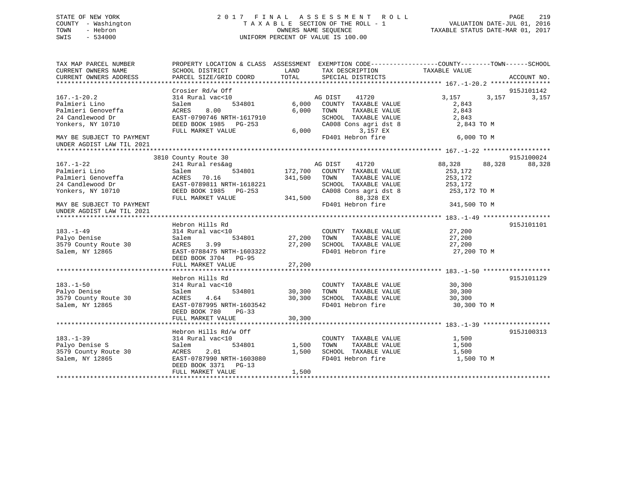## STATE OF NEW YORK 2 0 1 7 F I N A L A S S E S S M E N T R O L L PAGE 219 COUNTY - Washington T A X A B L E SECTION OF THE ROLL - 1 VALUATION DATE-JUL 01, 2016 TOWN - Hebron OWNERS NAME SEQUENCE TAXABLE STATUS DATE-MAR 01, 2017 SWIS - 534000 UNIFORM PERCENT OF VALUE IS 100.00

| TAX MAP PARCEL NUMBER<br>CURRENT OWNERS NAME<br>CURRENT OWNERS ADDRESS | SCHOOL DISTRICT<br>PARCEL SIZE/GRID COORD | LAND<br>TOTAL | TAX DESCRIPTION<br>SPECIAL DISTRICTS          | PROPERTY LOCATION & CLASS ASSESSMENT EXEMPTION CODE---------------COUNTY-------TOWN------SCHOOL<br>TAXABLE VALUE | ACCOUNT NO. |
|------------------------------------------------------------------------|-------------------------------------------|---------------|-----------------------------------------------|------------------------------------------------------------------------------------------------------------------|-------------|
|                                                                        |                                           |               |                                               |                                                                                                                  |             |
|                                                                        | Crosier Rd/w Off                          |               |                                               |                                                                                                                  | 915J101142  |
| $167. - 1 - 20.2$                                                      | 314 Rural vac<10                          |               | 41720<br>AG DIST                              | 3,157<br>3,157                                                                                                   | 3,157       |
| Palmieri Lino                                                          | 534801<br>Salem                           | 6,000         | COUNTY TAXABLE VALUE                          | 2,843                                                                                                            |             |
| Palmieri Genoveffa                                                     | ACRES<br>8.00                             | 6,000         | TAXABLE VALUE<br>TOWN                         | 2,843                                                                                                            |             |
| 24 Candlewood Dr                                                       | EAST-0790746 NRTH-1617910                 |               | SCHOOL TAXABLE VALUE                          | 2,843                                                                                                            |             |
| Yonkers, NY 10710                                                      | DEED BOOK 1985 PG-253                     |               | CA008 Cons agri dst 8                         | 2,843 TO M                                                                                                       |             |
|                                                                        | FULL MARKET VALUE                         | 6,000         | 3,157 EX                                      |                                                                                                                  |             |
| MAY BE SUBJECT TO PAYMENT                                              |                                           |               | FD401 Hebron fire                             | 6,000 TO M                                                                                                       |             |
| UNDER AGDIST LAW TIL 2021                                              |                                           |               |                                               |                                                                                                                  |             |
|                                                                        |                                           |               |                                               |                                                                                                                  |             |
|                                                                        | 3810 County Route 30                      |               |                                               |                                                                                                                  | 915J100024  |
| $167. - 1 - 22$                                                        | 241 Rural res&ag                          |               | AG DIST<br>41720                              | 88,328<br>88,328                                                                                                 | 88,328      |
| Palmieri Lino                                                          | 534801<br>Salem                           | 172,700       | COUNTY TAXABLE VALUE                          | 253,172                                                                                                          |             |
| Palmieri Genoveffa                                                     | ACRES 70.16                               | 341,500       | TOWN<br>TAXABLE VALUE                         | 253,172                                                                                                          |             |
| 24 Candlewood Dr                                                       | EAST-0789811 NRTH-1618221                 |               | SCHOOL TAXABLE VALUE                          | 253,172                                                                                                          |             |
| Yonkers, NY 10710                                                      | DEED BOOK 1985 PG-253                     |               | CA008 Cons agri dst 8                         | 253,172 TO M                                                                                                     |             |
|                                                                        | FULL MARKET VALUE                         | 341,500       | 88,328 EX                                     |                                                                                                                  |             |
| MAY BE SUBJECT TO PAYMENT                                              |                                           |               | FD401 Hebron fire                             | 341,500 TO M                                                                                                     |             |
| UNDER AGDIST LAW TIL 2021                                              |                                           |               |                                               |                                                                                                                  |             |
|                                                                        |                                           |               |                                               |                                                                                                                  |             |
|                                                                        | Hebron Hills Rd                           |               |                                               |                                                                                                                  | 915J101101  |
| $183. - 1 - 49$                                                        | 314 Rural vac<10                          |               | COUNTY TAXABLE VALUE                          | 27,200                                                                                                           |             |
| Palyo Denise                                                           | 534801<br>Salem                           | 27,200        | TOWN<br>TAXABLE VALUE                         | 27,200                                                                                                           |             |
| 3579 County Route 30                                                   | ACRES<br>3.99                             | 27,200        | SCHOOL TAXABLE VALUE                          | 27,200                                                                                                           |             |
| Salem, NY 12865                                                        | EAST-0788475 NRTH-1603322                 |               | FD401 Hebron fire                             | 27,200 TO M                                                                                                      |             |
|                                                                        | DEED BOOK 3704 PG-95                      |               |                                               |                                                                                                                  |             |
|                                                                        | FULL MARKET VALUE                         | 27,200        |                                               |                                                                                                                  |             |
|                                                                        |                                           |               |                                               |                                                                                                                  |             |
|                                                                        | Hebron Hills Rd                           |               |                                               |                                                                                                                  | 915J101129  |
| $183. - 1 - 50$                                                        | 314 Rural vac<10<br>534801                |               | COUNTY TAXABLE VALUE                          | 30,300                                                                                                           |             |
| Palyo Denise                                                           | Salem<br>ACRES                            | 30,300        | TOWN<br>TAXABLE VALUE<br>SCHOOL TAXABLE VALUE | 30,300                                                                                                           |             |
| 3579 County Route 30<br>Salem, NY 12865                                | 4.64                                      | 30,300        | FD401 Hebron fire                             | 30,300                                                                                                           |             |
|                                                                        | EAST-0787995 NRTH-1603542<br>$PG-33$      |               |                                               | 30,300 TO M                                                                                                      |             |
|                                                                        | DEED BOOK 780<br>FULL MARKET VALUE        | 30,300        |                                               |                                                                                                                  |             |
|                                                                        |                                           |               |                                               |                                                                                                                  |             |
|                                                                        | Hebron Hills Rd/w Off                     |               |                                               |                                                                                                                  | 915J100313  |
| $183. - 1 - 39$                                                        | 314 Rural vac<10                          |               | COUNTY TAXABLE VALUE                          | 1,500                                                                                                            |             |
| Palyo Denise S                                                         | 534801<br>Salem                           | 1,500         | TAXABLE VALUE<br>TOWN                         | 1,500                                                                                                            |             |
| 3579 County Route 30                                                   | ACRES<br>2.01                             | 1,500         | SCHOOL TAXABLE VALUE                          | 1,500                                                                                                            |             |
| Salem, NY 12865                                                        | EAST-0787990 NRTH-1603080                 |               | FD401 Hebron fire                             | 1,500 TO M                                                                                                       |             |
|                                                                        | DEED BOOK 3371 PG-13                      |               |                                               |                                                                                                                  |             |
|                                                                        | FULL MARKET VALUE                         | 1,500         |                                               |                                                                                                                  |             |
|                                                                        |                                           |               |                                               |                                                                                                                  |             |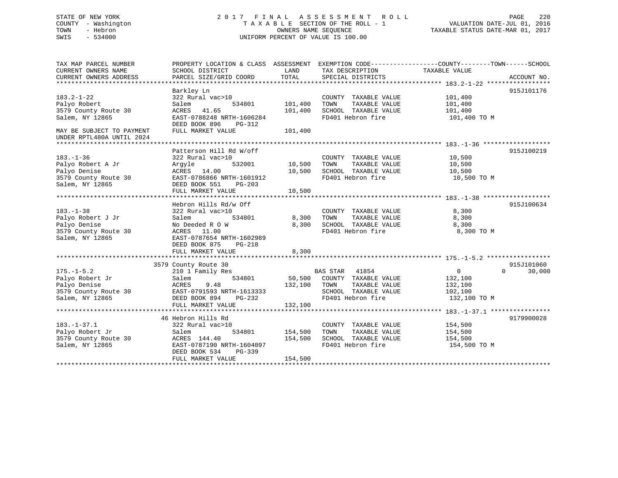## STATE OF NEW YORK 2 0 1 7 F I N A L A S S E S S M E N T R O L L PAGE 220 COUNTY - Washington T A X A B L E SECTION OF THE ROLL - 1 VALUATION DATE-JUL 01, 2016 TOWN - Hebron OWNERS NAME SEQUENCE TAXABLE STATUS DATE-MAR 01, 2017 SWIS - 534000 UNIFORM PERCENT OF VALUE IS 100.00

| TAX MAP PARCEL NUMBER<br>CURRENT OWNERS NAME                                                    | PROPERTY LOCATION & CLASS ASSESSMENT EXEMPTION CODE---------------COUNTY-------TOWN------SCHOOL<br>SCHOOL DISTRICT                                     | LAND                          | TAX DESCRIPTION                                                                                                        | TAXABLE VALUE                                             |                    |
|-------------------------------------------------------------------------------------------------|--------------------------------------------------------------------------------------------------------------------------------------------------------|-------------------------------|------------------------------------------------------------------------------------------------------------------------|-----------------------------------------------------------|--------------------|
| CURRENT OWNERS ADDRESS                                                                          | PARCEL SIZE/GRID COORD                                                                                                                                 | TOTAL                         | SPECIAL DISTRICTS                                                                                                      |                                                           | ACCOUNT NO.        |
|                                                                                                 |                                                                                                                                                        |                               |                                                                                                                        |                                                           |                    |
| $183.2 - 1 - 22$<br>Palyo Robert<br>3579 County Route 30<br>Salem, NY 12865                     | Barkley Ln<br>322 Rural vac>10<br>534801<br>Salem<br>41.65<br>ACRES<br>EAST-0788248 NRTH-1606284                                                       | 101,400<br>101,400            | COUNTY TAXABLE VALUE<br>TAXABLE VALUE<br>TOWN<br>SCHOOL TAXABLE VALUE<br>FD401 Hebron fire                             | 101,400<br>101,400<br>101,400<br>101,400 TO M             | 915J101176         |
| MAY BE SUBJECT TO PAYMENT<br>UNDER RPTL480A UNTIL 2024                                          | DEED BOOK 896<br>PG-312<br>FULL MARKET VALUE                                                                                                           | 101,400                       |                                                                                                                        |                                                           |                    |
|                                                                                                 | Patterson Hill Rd W/off                                                                                                                                |                               |                                                                                                                        |                                                           | 915J100219         |
| $183. - 1 - 36$<br>Palyo Robert A Jr<br>Palyo Denise<br>3579 County Route 30<br>Salem, NY 12865 | 322 Rural vac>10<br>532001<br>Arqyle<br>ACRES 14.00<br>EAST-0786866 NRTH-1601912<br>DEED BOOK 551<br>PG-203<br>FULL MARKET VALUE                       | 10,500<br>10,500<br>10,500    | COUNTY TAXABLE VALUE<br>TOWN<br>TAXABLE VALUE<br>SCHOOL TAXABLE VALUE<br>FD401 Hebron fire                             | 10,500<br>10,500<br>10,500<br>10,500 TO M                 |                    |
|                                                                                                 | Hebron Hills Rd/w Off                                                                                                                                  |                               |                                                                                                                        |                                                           | 915J100634         |
| $183. - 1 - 38$<br>Palyo Robert J Jr<br>Palyo Denise<br>3579 County Route 30<br>Salem, NY 12865 | 322 Rural vac>10<br>534801<br>Salem<br>No Deeded R O W<br>ACRES 11.00<br>EAST-0787654 NRTH-1602989<br>DEED BOOK 875<br>PG-218                          | 8,300<br>8,300                | COUNTY TAXABLE VALUE<br>TAXABLE VALUE<br>TOWN<br>SCHOOL TAXABLE VALUE<br>FD401 Hebron fire                             | 8,300<br>8,300<br>8,300<br>8,300 TO M                     |                    |
|                                                                                                 | FULL MARKET VALUE                                                                                                                                      | 8,300                         |                                                                                                                        |                                                           |                    |
|                                                                                                 | 3579 County Route 30                                                                                                                                   |                               |                                                                                                                        |                                                           | 915J101060         |
| $175. - 1 - 5.2$<br>Palyo Robert Jr<br>Palyo Denise<br>3579 County Route 30<br>Salem, NY 12865  | 210 1 Family Res<br>534801<br>Salem<br>ACRES<br>9.48<br>EAST-0791593 NRTH-1613333<br>DEED BOOK 894<br>$PG-232$<br>FULL MARKET VALUE                    | 132,100<br>132,100            | BAS STAR<br>41854<br>50,500 COUNTY TAXABLE VALUE<br>TOWN<br>TAXABLE VALUE<br>SCHOOL TAXABLE VALUE<br>FD401 Hebron fire | $\Omega$<br>132,100<br>132,100<br>102,100<br>132,100 TO M | 30,000<br>$\Omega$ |
|                                                                                                 |                                                                                                                                                        |                               |                                                                                                                        |                                                           |                    |
| $183. - 1 - 37.1$<br>Palyo Robert Jr<br>3579 County Route 30<br>Salem, NY 12865                 | 46 Hebron Hills Rd<br>322 Rural vac>10<br>534801<br>Salem<br>ACRES 144.40<br>EAST-0787190 NRTH-1604097<br>DEED BOOK 534<br>PG-339<br>FULL MARKET VALUE | 154,500<br>154,500<br>154,500 | COUNTY TAXABLE VALUE<br>TAXABLE VALUE<br>TOWN<br>SCHOOL TAXABLE VALUE<br>FD401 Hebron fire                             | 154,500<br>154,500<br>154,500<br>154,500 TO M             | 9179900028         |
|                                                                                                 |                                                                                                                                                        |                               |                                                                                                                        |                                                           |                    |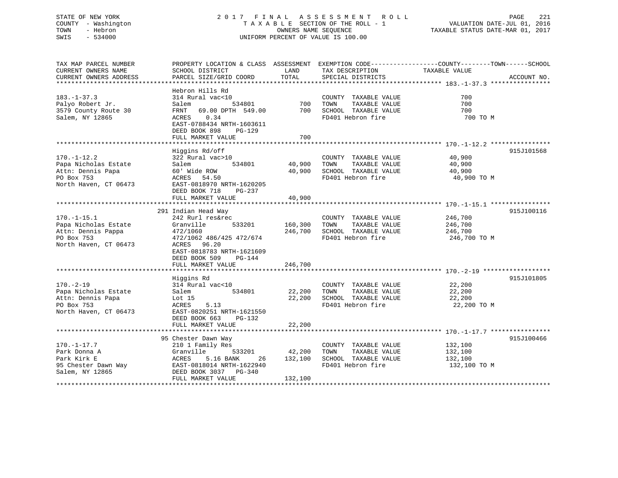## STATE OF NEW YORK 2 0 1 7 F I N A L A S S E S S M E N T R O L L PAGE 221 COUNTY - Washington T A X A B L E SECTION OF THE ROLL - 1 VALUATION DATE-JUL 01, 2016 TOWN - Hebron OWNERS NAME SEQUENCE TAXABLE STATUS DATE-MAR 01, 2017 SWIS - 534000 UNIFORM PERCENT OF VALUE IS 100.00

| TAX MAP PARCEL NUMBER<br>CURRENT OWNERS NAME                                                          | PROPERTY LOCATION & CLASS ASSESSMENT EXEMPTION CODE---------------COUNTY-------TOWN-----SCHOOL<br>SCHOOL DISTRICT | LAND             | TAX DESCRIPTION                                                                            | TAXABLE VALUE                             |             |
|-------------------------------------------------------------------------------------------------------|-------------------------------------------------------------------------------------------------------------------|------------------|--------------------------------------------------------------------------------------------|-------------------------------------------|-------------|
| CURRENT OWNERS ADDRESS                                                                                | PARCEL SIZE/GRID COORD                                                                                            | TOTAL            | SPECIAL DISTRICTS                                                                          |                                           | ACCOUNT NO. |
|                                                                                                       |                                                                                                                   |                  |                                                                                            |                                           |             |
| $183. - 1 - 37.3$<br>Palyo Robert Jr.                                                                 | Hebron Hills Rd<br>314 Rural vac<10<br>534801<br>Salem                                                            |                  | COUNTY TAXABLE VALUE<br>700 TOWN TAXABLE VALUE<br>700 SCHOOL TAXABLE VALUE                 | 700<br>700                                |             |
| 3579 County Route 30<br>Salem, NY 12865                                                               | FRNT 69.00 DPTH 549.00<br>ACRES 0.34<br>EAST-0788434 NRTH-1603611<br>DEED BOOK 898<br>PG-129                      | 700              | FD401 Hebron fire                                                                          | 700<br>700 TO M                           |             |
|                                                                                                       | FULL MARKET VALUE                                                                                                 |                  |                                                                                            |                                           |             |
|                                                                                                       | Higgins Rd/off                                                                                                    |                  |                                                                                            |                                           | 915J101568  |
| $170. - 1 - 12.2$<br>Papa Nicholas Estate<br>Attn: Dennis Papa<br>PO Box 753<br>North Haven, CT 06473 | 322 Rural vac>10<br>534801<br>Salem<br>60' Wide ROW<br>ACRES 54.50<br>EAST-0818970 NRTH-1620205                   | 40,900 TOWN      | COUNTY TAXABLE VALUE<br>TAXABLE VALUE<br>40,900 SCHOOL TAXABLE VALUE<br>FD401 Hebron fire  | 40,900<br>40,900<br>40,900<br>40,900 TO M |             |
|                                                                                                       | DEED BOOK 718<br>PG-237<br>FULL MARKET VALUE                                                                      | 40,900           |                                                                                            |                                           |             |
|                                                                                                       |                                                                                                                   |                  |                                                                                            |                                           |             |
|                                                                                                       | 291 Indian Head Way                                                                                               |                  |                                                                                            |                                           | 915J100116  |
| $170. - 1 - 15.1$                                                                                     | 242 Rurl res&rec                                                                                                  | 160,300 TOWN     | COUNTY TAXABLE VALUE                                                                       | 246,700                                   |             |
| Papa Nicholas Estate<br>Attn: Dennis Pappa                                                            | Granville<br>533201<br>472/1060                                                                                   |                  | TAXABLE VALUE<br>246,700 SCHOOL TAXABLE VALUE 246,700                                      | 246,700                                   |             |
| PO Box 753                                                                                            | 472/1062 486/425 472/674                                                                                          |                  | FD401 Hebron fire                                                                          | 246,700 TO M                              |             |
| North Haven, CT 06473                                                                                 | ACRES 96.20<br>EAST-0818783 NRTH-1621609<br>DEED BOOK 509 PG-144                                                  |                  |                                                                                            |                                           |             |
|                                                                                                       | FULL MARKET VALUE                                                                                                 | 246,700          |                                                                                            |                                           |             |
|                                                                                                       | Higgins Rd                                                                                                        |                  |                                                                                            |                                           | 915J101805  |
| $170. - 2 - 19$<br>Papa Nicholas Estate<br>Attn: Dennis Papa<br>PO Box 753                            | 314 Rural vac<10<br>534801<br>Salem<br>Lot 15<br>ACRES<br>5.13                                                    | 22,200<br>22,200 | COUNTY TAXABLE VALUE<br>TOWN<br>TAXABLE VALUE<br>SCHOOL TAXABLE VALUE<br>FD401 Hebron fire | 22,200<br>22,200<br>22,200<br>22,200 TO M |             |
| North Haven, CT 06473                                                                                 | EAST-0820251 NRTH-1621550<br>DEED BOOK 663 PG-132<br>FULL MARKET VALUE                                            | 22,200           |                                                                                            |                                           |             |
|                                                                                                       |                                                                                                                   |                  |                                                                                            |                                           |             |
| $170. - 1 - 17.7$                                                                                     | 95 Chester Dawn Way<br>210 1 Family Res                                                                           |                  | COUNTY TAXABLE VALUE                                                                       | 132,100                                   | 915J100466  |
| Park Donna A                                                                                          | 533201<br>Granville                                                                                               | 42,200           | TAXABLE VALUE<br>TOWN                                                                      | 132,100                                   |             |
| Park Kirk E                                                                                           | ACRES<br>5.16 BANK<br>26                                                                                          | 132,100          | SCHOOL TAXABLE VALUE                                                                       | 132,100                                   |             |
| 95 Chester Dawn Way<br>Salem, NY 12865                                                                | EAST-0818014 NRTH-1622940<br>DEED BOOK 3037 PG-340                                                                |                  | FD401 Hebron fire                                                                          | 132,100 TO M                              |             |
|                                                                                                       | FULL MARKET VALUE                                                                                                 | 132,100          |                                                                                            |                                           |             |
|                                                                                                       |                                                                                                                   |                  |                                                                                            |                                           |             |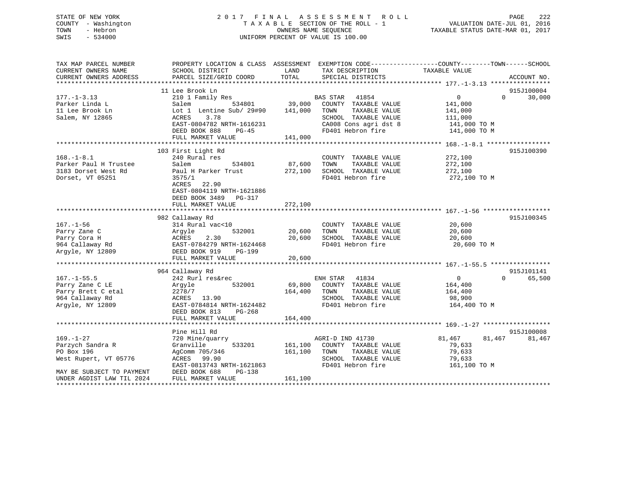## STATE OF NEW YORK 2 0 1 7 F I N A L A S S E S S M E N T R O L L PAGE 222 COUNTY - Washington T A X A B L E SECTION OF THE ROLL - 1 VALUATION DATE-JUL 01, 2016 TOWN - Hebron OWNERS NAME SEQUENCE TAXABLE STATUS DATE-MAR 01, 2017 SWIS - 534000 UNIFORM PERCENT OF VALUE IS 100.00

| TAX MAP PARCEL NUMBER<br>CURRENT OWNERS NAME<br>CURRENT OWNERS ADDRESS | PROPERTY LOCATION & CLASS ASSESSMENT EXEMPTION CODE----------------COUNTY-------TOWN------SCHOOL<br>SCHOOL DISTRICT<br>PARCEL SIZE/GRID COORD | LAND<br>TOTAL | TAX DESCRIPTION<br>SPECIAL DISTRICTS | TAXABLE VALUE              | ACCOUNT NO. |
|------------------------------------------------------------------------|-----------------------------------------------------------------------------------------------------------------------------------------------|---------------|--------------------------------------|----------------------------|-------------|
|                                                                        |                                                                                                                                               |               |                                      |                            |             |
|                                                                        | 11 Lee Brook Ln                                                                                                                               |               |                                      |                            | 915J100004  |
| $177. - 1 - 3.13$                                                      | 210 1 Family Res                                                                                                                              |               | <b>BAS STAR</b><br>41854             | $\Omega$<br>$\Omega$       | 30,000      |
| Parker Linda L                                                         | Salem                                                                                                                                         | 534801 39,000 | COUNTY TAXABLE VALUE                 | 141,000                    |             |
| 11 Lee Brook Ln                                                        | Lot 1 Lentine Sub/ 29#90                                                                                                                      | 141,000       | TOWN<br>TAXABLE VALUE                | 141,000                    |             |
| Salem, NY 12865                                                        | 3.78<br>ACRES                                                                                                                                 |               | SCHOOL TAXABLE VALUE                 | 111,000                    |             |
|                                                                        | EAST-0804782 NRTH-1616231                                                                                                                     |               | CA008 Cons agri dst 8                | 141,000 TO M               |             |
|                                                                        | DEED BOOK 888<br>$PG-45$                                                                                                                      |               | FD401 Hebron fire                    | 141,000 TO M               |             |
|                                                                        | FULL MARKET VALUE                                                                                                                             | 141,000       |                                      |                            |             |
|                                                                        |                                                                                                                                               |               |                                      |                            |             |
|                                                                        | 103 First Light Rd                                                                                                                            |               |                                      |                            | 915J100390  |
| $168. - 1 - 8.1$                                                       | 240 Rural res                                                                                                                                 |               | COUNTY TAXABLE VALUE                 | 272,100                    |             |
| Parker Paul H Trustee                                                  | 534801<br>Salem                                                                                                                               | 87,600        | TAXABLE VALUE<br>TOWN                | 272,100                    |             |
| 3183 Dorset West Rd                                                    | Paul H Parker Trust                                                                                                                           | 272,100       | SCHOOL TAXABLE VALUE                 | 272,100                    |             |
| Dorset, VT 05251                                                       | 3575/1                                                                                                                                        |               | FD401 Hebron fire                    | 272,100 TO M               |             |
|                                                                        | ACRES 22.90                                                                                                                                   |               |                                      |                            |             |
|                                                                        | EAST-0804119 NRTH-1621886                                                                                                                     |               |                                      |                            |             |
|                                                                        | DEED BOOK 3489 PG-317                                                                                                                         |               |                                      |                            |             |
|                                                                        | FULL MARKET VALUE                                                                                                                             | 272,100       |                                      |                            |             |
|                                                                        |                                                                                                                                               |               |                                      |                            |             |
|                                                                        | 982 Callaway Rd                                                                                                                               |               |                                      |                            | 915J100345  |
| $167. - 1 - 56$                                                        | 314 Rural vac<10                                                                                                                              |               | COUNTY TAXABLE VALUE                 | 20,600                     |             |
| Parry Zane C                                                           | Argyle<br>532001                                                                                                                              | 20,600        | TOWN<br>TAXABLE VALUE                | 20,600                     |             |
| Parry Cora H                                                           | 2.30<br>ACRES                                                                                                                                 | 20,600        | SCHOOL TAXABLE VALUE                 | 20,600                     |             |
| 964 Callaway Rd                                                        | EAST-0784279 NRTH-1624468                                                                                                                     |               | FD401 Hebron fire                    | 20,600 TO M                |             |
| Argyle, NY 12809                                                       | DEED BOOK 919<br>PG-199                                                                                                                       |               |                                      |                            |             |
|                                                                        | FULL MARKET VALUE                                                                                                                             | 20,600        |                                      |                            |             |
|                                                                        |                                                                                                                                               |               |                                      |                            |             |
|                                                                        | 964 Callaway Rd                                                                                                                               |               |                                      |                            | 915J101141  |
| $167. - 1 - 55.5$                                                      | 242 Rurl res&rec                                                                                                                              |               | ENH STAR<br>41834                    | $\overline{0}$<br>$\Omega$ | 65,500      |
| Parry Zane C LE                                                        | 532001<br>Argyle                                                                                                                              |               | 69,800 COUNTY TAXABLE VALUE          | 164,400                    |             |
| Parry Brett C etal                                                     | 2278/7                                                                                                                                        | 164,400       | TOWN<br>TAXABLE VALUE                | 164,400                    |             |
| 964 Callaway Rd                                                        | ACRES 13.90                                                                                                                                   |               | SCHOOL TAXABLE VALUE                 | 98,900                     |             |
| Argyle, NY 12809                                                       | EAST-0784814 NRTH-1624482                                                                                                                     |               | FD401 Hebron fire                    | 164,400 TO M               |             |
|                                                                        | DEED BOOK 813<br>PG-268                                                                                                                       |               |                                      |                            |             |
|                                                                        | FULL MARKET VALUE                                                                                                                             | 164,400       |                                      |                            |             |
|                                                                        |                                                                                                                                               |               |                                      |                            |             |
|                                                                        | Pine Hill Rd                                                                                                                                  |               |                                      |                            | 915J100008  |
| $169. - 1 - 27$                                                        | 720 Mine/quarry                                                                                                                               |               | AGRI-D IND 41730                     | 81,467<br>81,467           | 81,467      |
| Parzych Sandra R                                                       | 533201<br>Granville                                                                                                                           | 161,100       | COUNTY TAXABLE VALUE                 | 79,633                     |             |
| PO Box 196                                                             | AgComm 705/346                                                                                                                                | 161,100       | TOWN<br>TAXABLE VALUE                | 79,633                     |             |
| West Rupert, VT 05776                                                  | ACRES 99.90                                                                                                                                   |               | SCHOOL TAXABLE VALUE                 | 79,633                     |             |
|                                                                        | EAST-0813743 NRTH-1621863                                                                                                                     |               | FD401 Hebron fire                    | 161,100 TO M               |             |
| MAY BE SUBJECT TO PAYMENT                                              | DEED BOOK 688<br>$PG-138$                                                                                                                     |               |                                      |                            |             |
| UNDER AGDIST LAW TIL 2024                                              | FULL MARKET VALUE                                                                                                                             | 161,100       |                                      |                            |             |
|                                                                        |                                                                                                                                               |               |                                      |                            |             |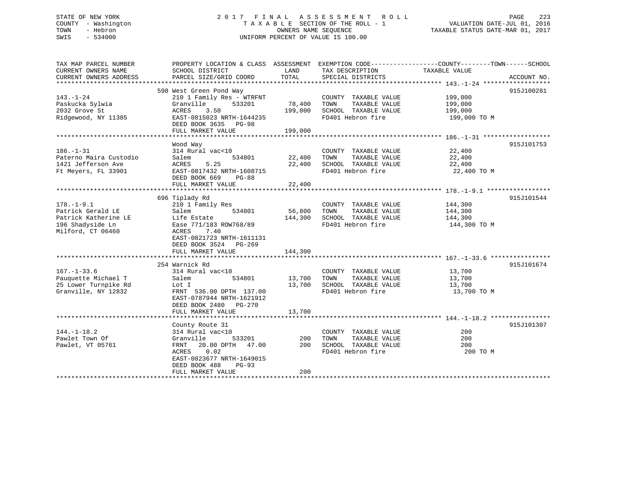## STATE OF NEW YORK 2 0 1 7 F I N A L A S S E S S M E N T R O L L PAGE 223 COUNTY - Washington T A X A B L E SECTION OF THE ROLL - 1 VALUATION DATE-JUL 01, 2016 TOWN - Hebron OWNERS NAME SEQUENCE TAXABLE STATUS DATE-MAR 01, 2017 SWIS - 534000 UNIFORM PERCENT OF VALUE IS 100.00

| TAX MAP PARCEL NUMBER<br>CURRENT OWNERS NAME<br>CURRENT OWNERS ADDRESS                                 | SCHOOL DISTRICT<br>PARCEL SIZE/GRID COORD                                                                                                                                                  | LAND<br>TOTAL                | TAX DESCRIPTION<br>SPECIAL DISTRICTS                                                       | PROPERTY LOCATION & CLASS ASSESSMENT EXEMPTION CODE---------------COUNTY-------TOWN------SCHOOL<br>TAXABLE VALUE<br>ACCOUNT NO. |
|--------------------------------------------------------------------------------------------------------|--------------------------------------------------------------------------------------------------------------------------------------------------------------------------------------------|------------------------------|--------------------------------------------------------------------------------------------|---------------------------------------------------------------------------------------------------------------------------------|
| $143. - 1 - 24$<br>Paskucka Sylwia<br>2032 Grove St<br>Ridgewood, NY 11385                             | 598 West Green Pond Way<br>210 1 Family Res - WTRFNT<br>533201<br>Granville<br>ACRES<br>3.50<br>EAST-0815023 NRTH-1644235<br>DEED BOOK 3635 PG-98<br>FULL MARKET VALUE                     | 78,400<br>199,000<br>199,000 | COUNTY TAXABLE VALUE<br>TOWN<br>TAXABLE VALUE<br>SCHOOL TAXABLE VALUE<br>FD401 Hebron fire | 915J100281<br>199,000<br>199,000<br>199,000<br>199,000 TO M                                                                     |
| $186. - 1 - 31$<br>Paterno Maira Custodio<br>1421 Jefferson Ave<br>Ft Meyers, FL 33901                 | Wood Way<br>314 Rural vac<10<br>534801<br>Salem<br>5.25<br>ACRES<br>EAST-0817432 NRTH-1608715<br>DEED BOOK 669<br>PG-88<br>FULL MARKET VALUE                                               | 22,400<br>22,400<br>22,400   | COUNTY TAXABLE VALUE<br>TAXABLE VALUE<br>TOWN<br>SCHOOL TAXABLE VALUE<br>FD401 Hebron fire | 915J101753<br>22,400<br>22,400<br>22,400<br>22,400 TO M                                                                         |
| $178. - 1 - 9.1$<br>Patrick Gerald LE<br>Patrick Katherine LE<br>196 Shadyside Ln<br>Milford, CT 06460 | 696 Tiplady Rd<br>210 1 Family Res<br>534801<br>Salem<br>Life Estate<br>Ease 771/183 ROW768/89<br>ACRES<br>7.40<br>EAST-0821723 NRTH-1611131<br>DEED BOOK 3524 PG-269<br>FULL MARKET VALUE | 56,800<br>144,300<br>144,300 | COUNTY TAXABLE VALUE<br>TOWN<br>TAXABLE VALUE<br>SCHOOL TAXABLE VALUE<br>FD401 Hebron fire | 915J101544<br>144,300<br>144,300<br>144,300<br>144,300 TO M                                                                     |
| $167. - 1 - 33.6$<br>Pauquette Michael T<br>25 Lower Turnpike Rd<br>Granville, NY 12832                | 254 Warnick Rd<br>314 Rural vac<10<br>534801<br>Salem<br>Lot I<br>FRNT 536.00 DPTH 137.00<br>EAST-0787944 NRTH-1621912<br>DEED BOOK 2480 PG-270<br>FULL MARKET VALUE                       | 13,700<br>13,700<br>13,700   | COUNTY TAXABLE VALUE<br>TAXABLE VALUE<br>TOWN<br>SCHOOL TAXABLE VALUE<br>FD401 Hebron fire | 915J101674<br>13,700<br>13,700<br>13,700<br>13,700 TO M                                                                         |
| $144. - 1 - 18.2$<br>Pawlet Town Of<br>Pawlet, VT 05761                                                | County Route 31<br>314 Rural vac<10<br>Granville<br>533201<br>20.00 DPTH 47.00<br>FRNT<br>0.02<br>ACRES<br>EAST-0823677 NRTH-1649015<br>DEED BOOK 488<br>$PG-93$<br>FULL MARKET VALUE      | 200<br>200<br>200            | COUNTY TAXABLE VALUE<br>TOWN<br>TAXABLE VALUE<br>SCHOOL TAXABLE VALUE<br>FD401 Hebron fire | 915J101307<br>200<br>200<br>200<br>200 TO M                                                                                     |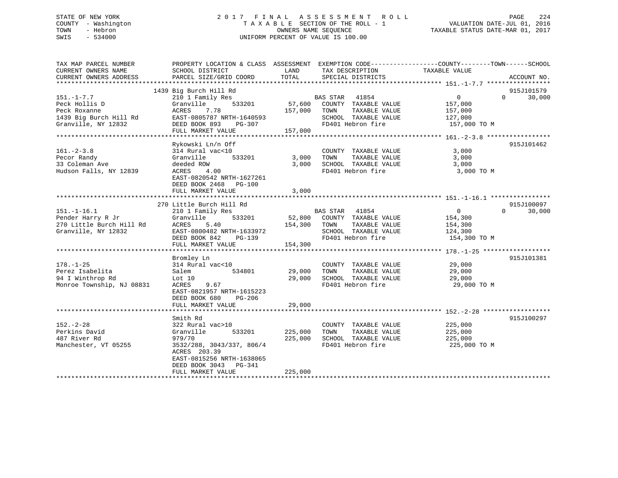## STATE OF NEW YORK 2 0 1 7 F I N A L A S S E S S M E N T R O L L PAGE 224 COUNTY - Washington T A X A B L E SECTION OF THE ROLL - 1 VALUATION DATE-JUL 01, 2016 TOWN - Hebron OWNERS NAME SEQUENCE TAXABLE STATUS DATE-MAR 01, 2017 SWIS - 534000 UNIFORM PERCENT OF VALUE IS 100.00

| TAX MAP PARCEL NUMBER<br>CURRENT OWNERS NAME<br>CURRENT OWNERS ADDRESS                    | SCHOOL DISTRICT<br>PARCEL SIZE/GRID COORD                                                                                                                                           | LAND<br>TAX DESCRIPTION<br>TOTAL<br>SPECIAL DISTRICTS                                                                                                  | PROPERTY LOCATION & CLASS ASSESSMENT EXEMPTION CODE---------------COUNTY-------TOWN-----SCHOOL<br>TAXABLE VALUE<br>ACCOUNT NO. |
|-------------------------------------------------------------------------------------------|-------------------------------------------------------------------------------------------------------------------------------------------------------------------------------------|--------------------------------------------------------------------------------------------------------------------------------------------------------|--------------------------------------------------------------------------------------------------------------------------------|
| $151. - 1 - 7.7$<br>Peck Hollis D<br>Peck Roxanne<br>Granville, NY 12832                  | 1439 Big Burch Hill Rd<br>210 1 Family Res<br>533201<br>Granville<br>ACRES 7.78<br>1439 Big Burch Hill Rd EAST-0805787 NRTH-1640593<br>DEED BOOK 893<br>PG-307<br>FULL MARKET VALUE | BAS STAR 41854<br>57,600 COUNTY TAXABLE VALUE 157,000<br>157,000 TOWN<br>TAXABLE VALUE<br>SCHOOL TAXABLE VALUE 127,000<br>FD401 Hebron fire<br>157,000 | 915J101579<br>$\overline{0}$<br>$\Omega$<br>30,000<br>157,000<br>157,000 TO M                                                  |
| $161. - 2 - 3.8$<br>Pecor Randy<br>33 Coleman Ave<br>Hudson Falls, NY 12839               | Rykowski Ln/n Off<br>314 Rural vac<10<br>533201<br>Granville<br>deeded ROW<br>4.00<br>ACRES<br>EAST-0820542 NRTH-1627261<br>DEED BOOK 2468 PG-100<br>FULL MARKET VALUE              | COUNTY TAXABLE VALUE<br>TAXABLE VALUE<br>3,000<br>TOWN<br>3,000<br>SCHOOL TAXABLE VALUE<br>FD401 Hebron fire<br>3,000                                  | 915J101462<br>3,000<br>3,000<br>3,000<br>3,000 TO M                                                                            |
| $151. - 1 - 16.1$<br>Pender Harry R Jr<br>270 Little Burch Hill Rd<br>Granville, NY 12832 | 270 Little Burch Hill Rd<br>210 1 Family Res<br>Granville<br>5.40<br>ACRES<br>EAST-0800482 NRTH-1633972<br>DEED BOOK 842 PG-139<br>FULL MARKET VALUE                                | BAS STAR 41854<br>$533201$ $52,800$ COUNTY TAXABLE VALUE<br>40 $154,300$ TOWN TAXABLE VALUE<br>SCHOOL TAXABLE VALUE<br>FD401 Hebron fire<br>154,300    | 915J100097<br>$\overline{0}$<br>$\Omega$<br>30,000<br>154,300<br>TAXABLE VALUE 154,300<br>124,300<br>154,300 TO M              |
| $178. - 1 - 25$<br>Perez Isabelita<br>94 I Winthrop Rd<br>Monroe Township, NJ 08831       | Bromley Ln<br>314 Rural vac<10<br>534801<br>Salem<br>Lot 10<br>9.67<br>ACRES<br>EAST-0821957 NRTH-1615223<br>DEED BOOK 680 PG-206<br>FULL MARKET VALUE                              | COUNTY TAXABLE VALUE<br>29,000<br>TOWN<br>29,000<br>SCHOOL TAXABLE VALUE<br>FD401 Hebron fire<br>29,000                                                | 915J101381<br>29,000<br>TAXABLE VALUE 29,000<br>29,000<br>29,000 TO M                                                          |
| $152. - 2 - 28$<br>Perkins David<br>487 River Rd<br>Manchester, VT 05255                  | Smith Rd<br>322 Rural vac>10<br>Granville<br>979/70<br>3532/288, 3043/337, 806/4<br>ACRES 203.39<br>EAST-0815256 NRTH-1638065<br>DEED BOOK 3043 PG-341<br>FULL MARKET VALUE         | COUNTY TAXABLE VALUE<br>533201 225,000<br>TOWN<br>TAXABLE VALUE<br>225,000<br>SCHOOL TAXABLE VALUE<br>FD401 Hebron fire<br>225,000                     | 915J100297<br>225,000<br>225,000<br>225,000<br>225,000 TO M                                                                    |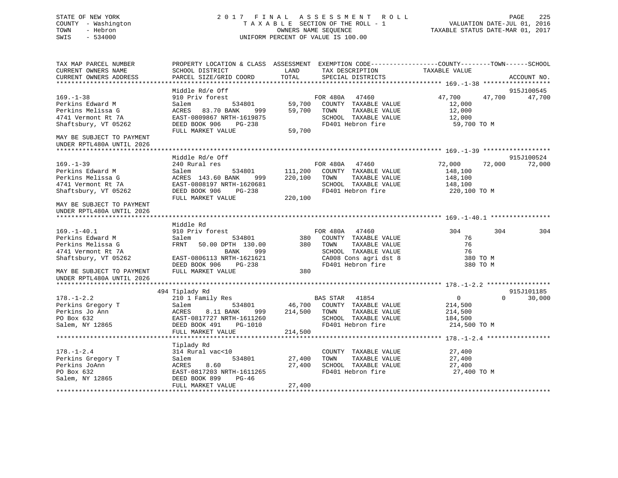## STATE OF NEW YORK 2 0 1 7 F I N A L A S S E S S M E N T R O L L PAGE 225 COUNTY - Washington T A X A B L E SECTION OF THE ROLL - 1 VALUATION DATE-JUL 01, 2016 TOWN - Hebron OWNERS NAME SEQUENCE TAXABLE STATUS DATE-MAR 01, 2017 SWIS - 534000 UNIFORM PERCENT OF VALUE IS 100.00

| TAX MAP PARCEL NUMBER                               | PROPERTY LOCATION & CLASS ASSESSMENT EXEMPTION CODE----------------COUNTY-------TOWN------SCHOOL |                 |                                                      |                      |          |             |
|-----------------------------------------------------|--------------------------------------------------------------------------------------------------|-----------------|------------------------------------------------------|----------------------|----------|-------------|
| CURRENT OWNERS NAME                                 | SCHOOL DISTRICT                                                                                  | LAND            | TAX DESCRIPTION                                      | TAXABLE VALUE        |          |             |
| CURRENT OWNERS ADDRESS                              | PARCEL SIZE/GRID COORD                                                                           | TOTAL           | SPECIAL DISTRICTS                                    |                      |          | ACCOUNT NO. |
|                                                     |                                                                                                  |                 |                                                      |                      |          |             |
|                                                     | Middle Rd/e Off                                                                                  |                 |                                                      |                      |          | 915J100545  |
| $169. - 1 - 38$                                     | 910 Priv forest                                                                                  |                 | FOR 480A 47460<br>534801 59,700 COUNTY TAXABLE VALUE | 47,700 47,700        |          | 47,700      |
| Perkins Edward M                                    | Salem                                                                                            |                 |                                                      | 12,000               |          |             |
| Perkins Melissa G                                   | ACRES<br>83.70 BANK                                                                              | 999 59,700 TOWN | TAXABLE VALUE                                        | 12,000               |          |             |
| 4741 Vermont Rt 7A                                  | EAST-0809867 NRTH-1619875                                                                        |                 | SCHOOL TAXABLE VALUE                                 | 12,000               |          |             |
| Shaftsbury, VT 05262                                | PG-238<br>LUE 59,700<br>DEED BOOK 906                                                            |                 | FD401 Hebron fire                                    | 59,700 TO M          |          |             |
|                                                     | FULL MARKET VALUE                                                                                |                 |                                                      |                      |          |             |
| MAY BE SUBJECT TO PAYMENT                           |                                                                                                  |                 |                                                      |                      |          |             |
| UNDER RPTL480A UNTIL 2026                           |                                                                                                  |                 |                                                      |                      |          |             |
|                                                     |                                                                                                  |                 |                                                      |                      |          |             |
|                                                     | Middle Rd/e Off                                                                                  |                 |                                                      |                      |          | 915J100524  |
| $169. - 1 - 39$                                     | 240 Rural res                                                                                    |                 | FOR 480A 47460                                       | 72,000               | 72,000   | 72,000      |
| Perkins Edward M                                    | Salem                                                                                            |                 | 534801 111,200 COUNTY TAXABLE VALUE                  | 148,100              |          |             |
| Perkins Melissa G                                   | ACRES 143.60 BANK<br>999                                                                         |                 | 220,100 TOWN<br>TAXABLE VALUE                        | 148,100              |          |             |
| 4741 Vermont Rt 7A                                  | EAST-0808197 NRTH-1620681                                                                        |                 | SCHOOL TAXABLE VALUE<br>FD401 Hebron fire            | 148,100              |          |             |
| Shaftsbury, VT 05262                                | DEED BOOK 906<br>PG-238                                                                          |                 |                                                      | 220,100 TO M         |          |             |
|                                                     | FULL MARKET VALUE                                                                                | 220,100         |                                                      |                      |          |             |
| MAY BE SUBJECT TO PAYMENT                           |                                                                                                  |                 |                                                      |                      |          |             |
| UNDER RPTL480A UNTIL 2026                           |                                                                                                  |                 |                                                      |                      |          |             |
|                                                     |                                                                                                  |                 |                                                      |                      |          |             |
|                                                     | Middle Rd                                                                                        |                 |                                                      |                      | 304      | 304         |
| $169. - 1 - 40.1$                                   | 910 Priv forest                                                                                  |                 | FOR 480A 47460<br>34801 380 COUNTY TAXABLE VALUE     | 304<br>76            |          |             |
| Perkins Edward M                                    | Salem 534801<br>50.00 DPTH 130.00 380 TOWN                                                       |                 |                                                      |                      |          |             |
| Perkins Melissa G                                   | FRNT                                                                                             |                 | TAXABLE VALUE                                        | 76                   |          |             |
| 4741 Vermont Rt 7A                                  | BANK<br>999<br>EAST-0806113 NRTH-1621621                                                         |                 | SCHOOL TAXABLE VALUE                                 | 76                   |          |             |
| Shaftsbury, VT 05262                                |                                                                                                  |                 | CA008 Cons agri dst 8<br>FD401 Hebron fire           | 380 TO M<br>380 TO M |          |             |
| MAY BE SUBJECT TO PAYMENT                           | DEED BOOK 906 PG-238<br>FULL MARKET VALUE                                                        | 380             |                                                      |                      |          |             |
| UNDER RPTL480A UNTIL 2026                           |                                                                                                  |                 |                                                      |                      |          |             |
|                                                     |                                                                                                  |                 |                                                      |                      |          |             |
|                                                     | 494 Tiplady Rd                                                                                   |                 |                                                      |                      |          | 915J101185  |
| $178. - 1 - 2.2$                                    | 210 1 Family Res                                                                                 |                 | BAS STAR 41854                                       | $\overline{0}$       | $\Omega$ | 30,000      |
|                                                     | Salem                                                                                            |                 | 534801 46,700 COUNTY TAXABLE VALUE                   | 214,500              |          |             |
| 178.-1-2.2<br>Perkins Gregory T<br>Perkins Jo Ann   | 999<br>ACRES<br>8.11 BANK                                                                        |                 | 214,500 TOWN<br>TAXABLE VALUE                        | 214,500              |          |             |
| PO Box 632                                          | EAST-0817727 NRTH-1611260                                                                        |                 |                                                      | 184,500              |          |             |
| Salem, NY 12865                                     | DEED BOOK 491<br>PG-1010                                                                         |                 | SCHOOL TAXABLE VALUE<br>FD401 Hebron fire            | 214,500 TO M         |          |             |
|                                                     | FULL MARKET VALUE                                                                                | 214,500         |                                                      |                      |          |             |
|                                                     |                                                                                                  |                 |                                                      |                      |          |             |
|                                                     | Tiplady Rd                                                                                       |                 |                                                      |                      |          |             |
| $178. - 1 - 2.4$                                    | 314 Rural vac<10                                                                                 |                 | COUNTY TAXABLE VALUE                                 | 27,400               |          |             |
|                                                     | 534801<br>Salem                                                                                  | 27,400          | TOWN<br>TAXABLE VALUE                                | 27,400               |          |             |
| Perkins Gregory T<br>Perkins JoAnn<br>Perkins JoAnn | ACRES<br>8.60                                                                                    | 27,400          | SCHOOL TAXABLE VALUE                                 | 27,400               |          |             |
| PO Box 632                                          | EAST-0817203 NRTH-1611265                                                                        |                 | FD401 Hebron fire                                    | 27,400 TO M          |          |             |
| Salem, NY 12865                                     | DEED BOOK 899<br>PG-46                                                                           |                 |                                                      |                      |          |             |
|                                                     | FULL MARKET VALUE                                                                                | 27,400          |                                                      |                      |          |             |
|                                                     |                                                                                                  |                 |                                                      |                      |          |             |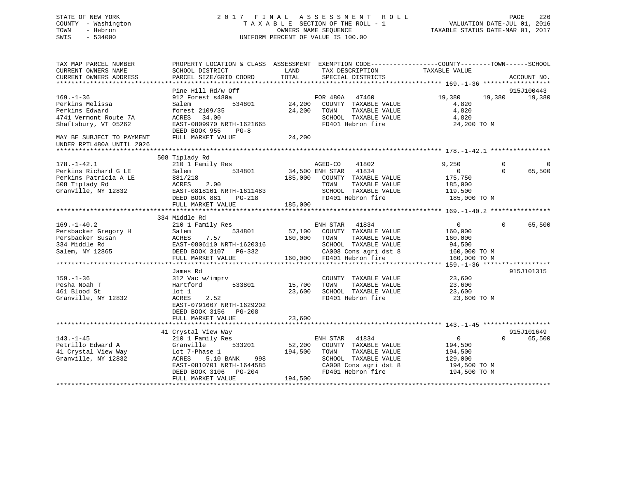### STATE OF NEW YORK 2 0 1 7 F I N A L A S S E S S M E N T R O L L PAGE 226 COUNTY - Washington T A X A B L E SECTION OF THE ROLL - 1 VALUATION DATE-JUL 01, 2016 TOWN - Hebron OWNERS NAME SEQUENCE TAXABLE STATUS DATE-MAR 01, 2017 SWIS - 534000 UNIFORM PERCENT OF VALUE IS 100.00

TAX MAP PARCEL NUMBER PROPERTY LOCATION & CLASS ASSESSMENT EXEMPTION CODE------------------COUNTY--------TOWN------SCHOOL

CURRENT OWNERS NAME SCHOOL DISTRICT LAND TAX DESCRIPTION TAXABLE VALUE

CURRENT OWNERS ADDRESS PARCEL SIZE/GRID COORD TOTAL SPECIAL DISTRICTS ACCOUNT NO. \*\*\*\*\*\*\*\*\*\*\*\*\*\*\*\*\*\*\*\*\*\*\*\*\*\*\*\*\*\*\*\*\*\*\*\*\*\*\*\*\*\*\*\*\*\*\*\*\*\*\*\*\*\*\*\*\*\*\*\*\*\*\*\*\*\*\*\*\*\*\*\*\*\*\*\*\*\*\*\*\*\*\*\*\*\*\*\*\*\*\*\*\*\*\*\*\*\*\*\*\*\*\* 169.-1-36 \*\*\*\*\*\*\*\*\*\*\*\*\*\*\*\*\*\* Pine Hill Rd/w Off 915J100443 169.-1-36 912 Forest s480a FOR 480A 47460 19,380 19,380 19,380 Perkins Melissa Salem 534801 24,200 COUNTY TAXABLE VALUE 4,820 Perkins Edward forest 2109/35 24,200 TOWN TAXABLE VALUE 4,820 4741 Vermont Route 7A ACRES 34.00 SCHOOL TAXABLE VALUE 4,820 Shaftsbury, VT 05262 EAST-0809970 NRTH-1621665 FD401 Hebron fire 24,200 TO M DEED BOOK 955 PG-8 MAY BE SUBJECT TO PAYMENT FULL MARKET VALUE  $24,200$ UNDER RPTL480A UNTIL 2026 \*\*\*\*\*\*\*\*\*\*\*\*\*\*\*\*\*\*\*\*\*\*\*\*\*\*\*\*\*\*\*\*\*\*\*\*\*\*\*\*\*\*\*\*\*\*\*\*\*\*\*\*\*\*\*\*\*\*\*\*\*\*\*\*\*\*\*\*\*\*\*\*\*\*\*\*\*\*\*\*\*\*\*\*\*\*\*\*\*\*\*\*\*\*\*\*\*\*\*\*\*\*\* 178.-1-42.1 \*\*\*\*\*\*\*\*\*\*\*\*\*\*\*\* 508 Tiplady Rd 178.-1-42.1 210 1 Family Res AGED-CO 41802 9,250 0 0 Perkins Richard G LE Salem 534801 34,500 ENH STAR 41834 0 0 65,500 Perkins Patricia A LE 881/218 185,000 COUNTY TAXABLE VALUE 175,750 508 Tiplady Rd ACRES 2.00 TOWN TAXABLE VALUE 185,000 Granville, NY 12832 EAST-0818101 NRTH-1611483 SCHOOL TAXABLE VALUE 119,500 DEED BOOK 881 PG-218 FD401 Hebron fire 185,000 TO M FULL MARKET VALUE 185,000 \*\*\*\*\*\*\*\*\*\*\*\*\*\*\*\*\*\*\*\*\*\*\*\*\*\*\*\*\*\*\*\*\*\*\*\*\*\*\*\*\*\*\*\*\*\*\*\*\*\*\*\*\*\*\*\*\*\*\*\*\*\*\*\*\*\*\*\*\*\*\*\*\*\*\*\*\*\*\*\*\*\*\*\*\*\*\*\*\*\*\*\*\*\*\*\*\*\*\*\*\*\*\* 169.-1-40.2 \*\*\*\*\*\*\*\*\*\*\*\*\*\*\*\* 334 Middle Rd 169.-1-40.2 210 1 Family Res ENH STAR 41834 0 0 65,500 Persbacker Gregory H Salem 534801 57,100 COUNTY TAXABLE VALUE 160,000 Persbacker Susan ACRES 7.57 160,000 TOWN TAXABLE VALUE 160,000 334 Middle Rd EAST-0806110 NRTH-1620316 SCHOOL TAXABLE VALUE 94,500 Salem, NY 12865 DEED BOOK 3107 PG-332 CA008 Cons agri dst 8 160,000 TO M FULL MARKET VALUE 160,000 FD401 Hebron fire 160,000 TO M \*\*\*\*\*\*\*\*\*\*\*\*\*\*\*\*\*\*\*\*\*\*\*\*\*\*\*\*\*\*\*\*\*\*\*\*\*\*\*\*\*\*\*\*\*\*\*\*\*\*\*\*\*\*\*\*\*\*\*\*\*\*\*\*\*\*\*\*\*\*\*\*\*\*\*\*\*\*\*\*\*\*\*\*\*\*\*\*\*\*\*\*\*\*\*\*\*\*\*\*\*\*\* 159.-1-36 \*\*\*\*\*\*\*\*\*\*\*\*\*\*\*\*\*\* James Rd 915J101315159.-1-36 312 Vac w/imprv COUNTY TAXABLE VALUE 23,600 Pesha Noah T Hartford 533801 15,700 TOWN TAXABLE VALUE 23,600 Pesha Noah Taxabu Samud Hartford 1533801 15,700 TOWN TAXABLE VALUE 23,600<br>161 Blood St 1 1 23,600 SCHOOL TAXABLE VALUE 23,600 Granville, NY 12832 ACRES 2.52 FD401 Hebron fire 23,600 TO M EAST-0791667 NRTH-1629202 DEED BOOK 3156 PG-208FULL MARKET VALUE 23,600 \*\*\*\*\*\*\*\*\*\*\*\*\*\*\*\*\*\*\*\*\*\*\*\*\*\*\*\*\*\*\*\*\*\*\*\*\*\*\*\*\*\*\*\*\*\*\*\*\*\*\*\*\*\*\*\*\*\*\*\*\*\*\*\*\*\*\*\*\*\*\*\*\*\*\*\*\*\*\*\*\*\*\*\*\*\*\*\*\*\*\*\*\*\*\*\*\*\*\*\*\*\*\* 143.-1-45 \*\*\*\*\*\*\*\*\*\*\*\*\*\*\*\*\*\* 41 Crystal View Way 915J101649 143.-1-45 210 1 Family Res ENH STAR 41834 0 0 65,500 Petrillo Edward A Granville 533201 52,200 COUNTY TAXABLE VALUE 194,500 41 Crystal View Way Lot 7-Phase 1 194,500 TOWN TAXABLE VALUE 194,500 Granville, NY 12832 ACRES 5.10 BANK 998 SCHOOL TAXABLE VALUE 129,000 EAST-0810701 NRTH-1644585 CA008 Cons agri dst 8 194,500 TO M DEED BOOK 3106 PG-204 FD401 Hebron fire 194,500 TO M DEED BOOK 3106 PG-204<br>FULL MARKET VALUE 194,500

# \*\*\*\*\*\*\*\*\*\*\*\*\*\*\*\*\*\*\*\*\*\*\*\*\*\*\*\*\*\*\*\*\*\*\*\*\*\*\*\*\*\*\*\*\*\*\*\*\*\*\*\*\*\*\*\*\*\*\*\*\*\*\*\*\*\*\*\*\*\*\*\*\*\*\*\*\*\*\*\*\*\*\*\*\*\*\*\*\*\*\*\*\*\*\*\*\*\*\*\*\*\*\*\*\*\*\*\*\*\*\*\*\*\*\*\*\*\*\*\*\*\*\*\*\*\*\*\*\*\*\*\*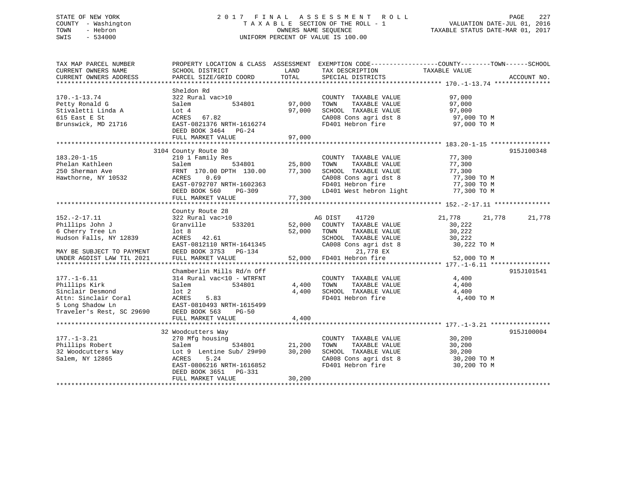## STATE OF NEW YORK 2 0 1 7 F I N A L A S S E S S M E N T R O L L PAGE 227 COUNTY - Washington T A X A B L E SECTION OF THE ROLL - 1 VALUATION DATE-JUL 01, 2016 TOWN - Hebron OWNERS NAME SEQUENCE TAXABLE STATUS DATE-MAR 01, 2017 SWIS - 534000 UNIFORM PERCENT OF VALUE IS 100.00

| TAX MAP PARCEL NUMBER<br>CURRENT OWNERS NAME<br>CURRENT OWNERS ADDRESS                                                                       | PROPERTY LOCATION & CLASS ASSESSMENT<br>SCHOOL DISTRICT<br>PARCEL SIZE/GRID COORD                                                                                                                             | LAND<br>TOTAL              | TAX DESCRIPTION<br>SPECIAL DISTRICTS                                                                                                                 | EXEMPTION CODE-----------------COUNTY-------TOWN------SCHOOL<br>TAXABLE VALUE | ACCOUNT NO. |
|----------------------------------------------------------------------------------------------------------------------------------------------|---------------------------------------------------------------------------------------------------------------------------------------------------------------------------------------------------------------|----------------------------|------------------------------------------------------------------------------------------------------------------------------------------------------|-------------------------------------------------------------------------------|-------------|
| $170. - 1 - 13.74$<br>Petty Ronald G<br>Stivaletti Linda A<br>615 East E St<br>Brunswick, MD 21716                                           | Sheldon Rd<br>322 Rural vac>10<br>534801<br>Salem<br>Lot 4<br>67.82<br>ACRES<br>EAST-0821376 NRTH-1616274<br>DEED BOOK 3464<br>$PG-24$<br>FULL MARKET VALUE                                                   | 97,000<br>97,000<br>97,000 | COUNTY TAXABLE VALUE<br>TOWN<br>TAXABLE VALUE<br>SCHOOL TAXABLE VALUE<br>CA008 Cons agri dst 8<br>FD401 Hebron fire                                  | 97,000<br>97,000<br>97,000<br>97,000 TO M<br>97,000 TO M                      |             |
| $183.20 - 1 - 15$<br>Phelan Kathleen<br>250 Sherman Ave<br>Hawthorne, NY 10532                                                               | 3104 County Route 30<br>210 1 Family Res<br>534801<br>Salem<br>FRNT 170.00 DPTH 130.00<br>0.69<br>ACRES<br>EAST-0792707 NRTH-1602363<br>DEED BOOK 560<br>PG-309<br>FULL MARKET VALUE                          | 25,800<br>77,300<br>77,300 | COUNTY TAXABLE VALUE<br>TOWN<br>TAXABLE VALUE<br>SCHOOL TAXABLE VALUE<br>CA008 Cons agri dst 8<br>FD401 Hebron fire<br>LD401 West hebron light       | 77,300<br>77,300<br>77,300<br>77,300 TO M<br>77,300 TO M<br>77,300 TO M       | 915J100348  |
| $152. -2 - 17.11$<br>Phillips John J<br>6 Cherry Tree Ln<br>Hudson Falls, NY 12839<br>MAY BE SUBJECT TO PAYMENT<br>UNDER AGDIST LAW TIL 2021 | County Route 28<br>322 Rural vac>10<br>Granville<br>533201<br>lot <sub>8</sub><br>ACRES 42.61<br>EAST-0812110 NRTH-1641345<br>DEED BOOK 3753 PG-134<br>FULL MARKET VALUE                                      | 52,000<br>52,000<br>52,000 | AG DIST<br>41720<br>COUNTY TAXABLE VALUE<br>TAXABLE VALUE<br>TOWN<br>SCHOOL TAXABLE VALUE<br>CA008 Cons agri dst 8<br>21,778 EX<br>FD401 Hebron fire | 21,778<br>21,778<br>30,222<br>30,222<br>30,222<br>30,222 TO M<br>52,000 TO M  | 21,778      |
| $177. - 1 - 6.11$<br>Phillips Kirk<br>Sinclair Desmond<br>Attn: Sinclair Coral<br>5 Long Shadow Ln<br>Traveler's Rest, SC 29690              | Chamberlin Mills Rd/n Off<br>314 Rural vac<10 - WTRFNT<br>Salem<br>534801<br>$1$ ot $2$<br><b>ACRES</b><br>5.83<br>EAST-0810493 NRTH-1615499<br>DEED BOOK 563<br>$PG-50$<br>FULL MARKET VALUE                 | 4,400<br>4,400<br>4,400    | COUNTY TAXABLE VALUE<br>TAXABLE VALUE<br>TOWN<br>SCHOOL TAXABLE VALUE<br>FD401 Hebron fire                                                           | 4,400<br>4,400<br>4,400<br>4,400 TO M                                         | 915J101541  |
| $177. - 1 - 3.21$<br>Phillips Robert<br>32 Woodcutters Way<br>Salem, NY 12865<br>***********************                                     | 32 Woodcutters Way<br>270 Mfg housing<br>534801<br>Salem<br>Lot 9 Lentine Sub/ 29#90<br>ACRES<br>5.24<br>EAST-0806216 NRTH-1616852<br>DEED BOOK 3651<br>PG-331<br>FULL MARKET VALUE<br>********************** | 21,200<br>30,200<br>30,200 | COUNTY TAXABLE VALUE<br>TOWN<br>TAXABLE VALUE<br>SCHOOL TAXABLE VALUE<br>CA008 Cons agri dst 8<br>FD401 Hebron fire                                  | 30,200<br>30,200<br>30,200<br>30,200 TO M<br>30,200 TO M                      | 915J100004  |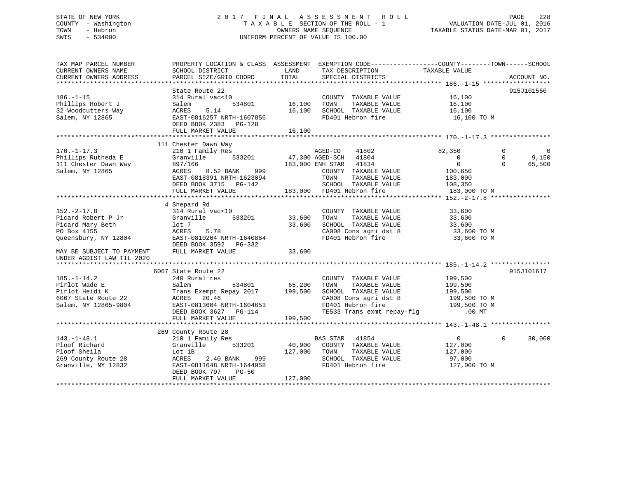## STATE OF NEW YORK 2 0 1 7 F I N A L A S S E S S M E N T R O L L PAGE 228 COUNTY - Washington T A X A B L E SECTION OF THE ROLL - 1 VALUATION DATE-JUL 01, 2016 TOWN - Hebron OWNERS NAME SEQUENCE TAXABLE STATUS DATE-MAR 01, 2017 SWIS - 534000 UNIFORM PERCENT OF VALUE IS 100.00

| TAX MAP PARCEL NUMBER                         |                                                                      |                    | PROPERTY LOCATION & CLASS ASSESSMENT EXEMPTION CODE----------------COUNTY-------TOWN------SCHOOL                                                                                                                                                                                                                                                                                             |                    |                            |
|-----------------------------------------------|----------------------------------------------------------------------|--------------------|----------------------------------------------------------------------------------------------------------------------------------------------------------------------------------------------------------------------------------------------------------------------------------------------------------------------------------------------------------------------------------------------|--------------------|----------------------------|
| CURRENT OWNERS NAME<br>CURRENT OWNERS ADDRESS | SCHOOL DISTRICT<br>PARCEL SIZE/GRID COORD                            | LAND<br>TOTAL      | TAX DESCRIPTION<br>SPECIAL DISTRICTS                                                                                                                                                                                                                                                                                                                                                         | TAXABLE VALUE      | ACCOUNT NO.                |
|                                               |                                                                      |                    |                                                                                                                                                                                                                                                                                                                                                                                              |                    |                            |
|                                               | State Route 22                                                       |                    |                                                                                                                                                                                                                                                                                                                                                                                              |                    | 915J101550                 |
| $186. - 1 - 15$                               | 314 Rural vac<10                                                     |                    | COUNTY TAXABLE VALUE 16,100                                                                                                                                                                                                                                                                                                                                                                  |                    |                            |
| Phillips Robert J                             | Salem                                                                | 534801 16,100 TOWN |                                                                                                                                                                                                                                                                                                                                                                                              | 16,100             |                            |
| 32 Woodcutters Way                            | 5.14<br>ACRES                                                        |                    | 16,100 TOWN TAXABLE VALUE<br>16,100 SCHOOL TAXABLE VALUE                                                                                                                                                                                                                                                                                                                                     | $10,100$<br>16,100 |                            |
| Salem, NY 12865                               | EAST-0816257 NRTH-1607856                                            |                    | FD401 Hebron fire                                                                                                                                                                                                                                                                                                                                                                            | 16,100 TO M        |                            |
|                                               | DEED BOOK 2383 PG-128                                                |                    |                                                                                                                                                                                                                                                                                                                                                                                              |                    |                            |
|                                               | FULL MARKET VALUE                                                    | 16,100             |                                                                                                                                                                                                                                                                                                                                                                                              |                    |                            |
|                                               |                                                                      |                    |                                                                                                                                                                                                                                                                                                                                                                                              |                    |                            |
|                                               | 111 Chester Dawn Way                                                 |                    |                                                                                                                                                                                                                                                                                                                                                                                              |                    |                            |
| $170. - 1 - 17.3$                             | 210 1 Family Res                                                     |                    | AGED-CO<br>41802                                                                                                                                                                                                                                                                                                                                                                             | 82,350             | $\Omega$<br>$\overline{0}$ |
| Phillips Rutheda E                            | Granville                                                            |                    | 533201 47,300 AGED-SCH 41804                                                                                                                                                                                                                                                                                                                                                                 | $\overline{0}$     | $\Omega$<br>9,150          |
| 111 Chester Dawn Way<br>salem NY 12865        | 897/166                                                              |                    | 183,000 ENH STAR 41834                                                                                                                                                                                                                                                                                                                                                                       | $\overline{0}$     | $\Omega$<br>65,500         |
| Salem, NY 12865                               | ACRES<br>8.52 BANK                                                   | 999                | COUNTY TAXABLE VALUE                                                                                                                                                                                                                                                                                                                                                                         | 100,650            |                            |
|                                               | EAST-0818391 NRTH-1623094                                            |                    | TOWN<br>TAXABLE VALUE                                                                                                                                                                                                                                                                                                                                                                        | 183,000            |                            |
|                                               | DEED BOOK 3715 PG-142                                                |                    | SCHOOL TAXABLE VALUE                                                                                                                                                                                                                                                                                                                                                                         | 108,350            |                            |
|                                               | FULL MARKET VALUE                                                    |                    | 183,000 FD401 Hebron fire                                                                                                                                                                                                                                                                                                                                                                    | 183,000 TO M       |                            |
|                                               |                                                                      |                    |                                                                                                                                                                                                                                                                                                                                                                                              |                    |                            |
|                                               | 4 Shepard Rd                                                         |                    |                                                                                                                                                                                                                                                                                                                                                                                              |                    |                            |
| $152. - 2 - 17.8$                             | 314 Rural vac<10                                                     |                    | COUNTY TAXABLE VALUE                                                                                                                                                                                                                                                                                                                                                                         | 33,600             |                            |
|                                               | Granville 533201                                                     | 33,600             | TOWN TAXABLE VALUE 33,600<br>SCHOOL TAXABLE VALUE 33,600                                                                                                                                                                                                                                                                                                                                     |                    |                            |
|                                               |                                                                      | 33,600             |                                                                                                                                                                                                                                                                                                                                                                                              |                    |                            |
| PO Box 4155                                   | 5.78<br>ACRES                                                        |                    | $\begin{array}{llll}\n\text{CA008} & \text{Cons}\n\text{ agri}\n\text{dst}\n\end{array}\n\quad\n\begin{array}{llll}\n\text{SA00 T0 M} \\ \text{FD401} & \text{Hebron}\n\end{array}\n\quad\n\begin{array}{llll}\n\text{C100} & \text{S100 T0 M} \\ \text{ST210} & \text{S2100 T0 M} \\ \text{S3100 T0 M} \\ \text{S11100} & \text{S2100 M} \\ \text{S21100} & \text{S3100 T0 M} \\ \text{S11$ |                    |                            |
| Queensbury, NY 12804                          | EAST-0810204 NRTH-1640884                                            |                    |                                                                                                                                                                                                                                                                                                                                                                                              |                    |                            |
| MAY BE SUBJECT TO PAYMENT                     | DEED BOOK 3592 PG-332                                                |                    |                                                                                                                                                                                                                                                                                                                                                                                              |                    |                            |
|                                               | FULL MARKET VALUE                                                    | 33,600             |                                                                                                                                                                                                                                                                                                                                                                                              |                    |                            |
| UNDER AGDIST LAW TIL 2020                     |                                                                      |                    |                                                                                                                                                                                                                                                                                                                                                                                              |                    |                            |
|                                               | 6067 State Route 22                                                  |                    |                                                                                                                                                                                                                                                                                                                                                                                              |                    | 915J101617                 |
| $185. - 1 - 14.2$                             | 240 Rural res                                                        |                    | COUNTY TAXABLE VALUE                                                                                                                                                                                                                                                                                                                                                                         | 199,500            |                            |
| Pirlot Wade E                                 | 534801 65,200<br>Salem                                               |                    | TAXABLE VALUE<br>TOWN                                                                                                                                                                                                                                                                                                                                                                        | 199,500            |                            |
| Pirlot Heidi K                                |                                                                      |                    | SCHOOL TAXABLE VALUE                                                                                                                                                                                                                                                                                                                                                                         | 199,500            |                            |
| 6067 State Route 22                           | Trans Exempt Repay 2017 199,500<br>ACRES<br>20.46                    |                    | SCHOOL TAXABLE VALUE 199,500<br>CA008 Cons agri dst 8 199,500 TO M                                                                                                                                                                                                                                                                                                                           |                    |                            |
| Salem, NY 12865-9804                          |                                                                      |                    |                                                                                                                                                                                                                                                                                                                                                                                              |                    |                            |
|                                               | EAST-0813604 NRTH-1604653<br>DEED BOOK 3605<br>DEED BOOK 3627 PG-114 |                    | FD401 Hebron fire 199,500 TO M<br>TE533 Trans exmt repay-flg 00 MT                                                                                                                                                                                                                                                                                                                           |                    |                            |
|                                               | FULL MARKET VALUE                                                    | 199,500            |                                                                                                                                                                                                                                                                                                                                                                                              |                    |                            |
|                                               |                                                                      |                    |                                                                                                                                                                                                                                                                                                                                                                                              |                    |                            |
|                                               | 269 County Route 28                                                  |                    |                                                                                                                                                                                                                                                                                                                                                                                              |                    |                            |
| $143. - 1 - 48.1$                             | 210 1 Family Res                                                     |                    | BAS STAR 41854                                                                                                                                                                                                                                                                                                                                                                               | $\overline{0}$     | $\Omega$<br>30,000         |
| Ploof Richard                                 | 533201<br>Granville                                                  |                    | 40,900 COUNTY TAXABLE VALUE                                                                                                                                                                                                                                                                                                                                                                  | 127,000            |                            |
| Ploof Sheila                                  | Lot 1B                                                               | 127,000 TOWN       | TAXABLE VALUE                                                                                                                                                                                                                                                                                                                                                                                | 127,000            |                            |
| 269 County Route 28                           | 2.40 BANK<br>ACRES                                                   | 999                | SCHOOL TAXABLE VALUE                                                                                                                                                                                                                                                                                                                                                                         | 97,000             |                            |
| Granville, NY 12832                           | EAST-0811648 NRTH-1644958                                            |                    | FD401 Hebron fire                                                                                                                                                                                                                                                                                                                                                                            | 127,000 TO M       |                            |
|                                               | DEED BOOK 797 PG-50                                                  |                    |                                                                                                                                                                                                                                                                                                                                                                                              |                    |                            |
|                                               | FULL MARKET VALUE                                                    | 127,000            |                                                                                                                                                                                                                                                                                                                                                                                              |                    |                            |
|                                               |                                                                      |                    |                                                                                                                                                                                                                                                                                                                                                                                              |                    |                            |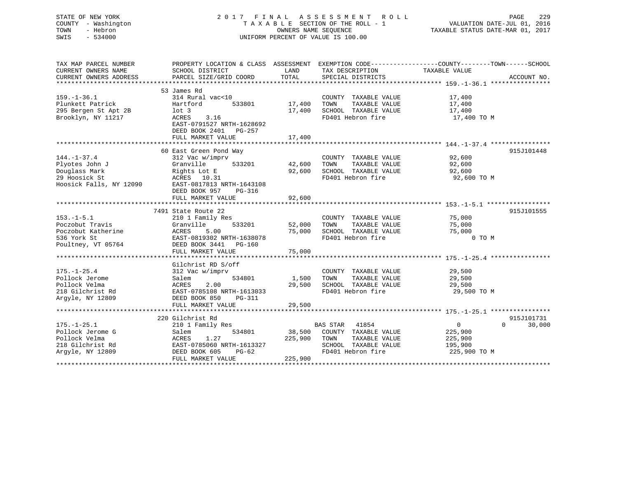## STATE OF NEW YORK 2 0 1 7 F I N A L A S S E S S M E N T R O L L PAGE 229 COUNTY - Washington T A X A B L E SECTION OF THE ROLL - 1 VALUATION DATE-JUL 01, 2016 TOWN - Hebron OWNERS NAME SEQUENCE TAXABLE STATUS DATE-MAR 01, 2017 SWIS - 534000 UNIFORM PERCENT OF VALUE IS 100.00

| TAX MAP PARCEL NUMBER<br>CURRENT OWNERS NAME | PROPERTY LOCATION & CLASS ASSESSMENT EXEMPTION CODE---------------COUNTY-------TOWN-----SCHOOL<br>SCHOOL DISTRICT | LAND    | TAX DESCRIPTION       | TAXABLE VALUE              |             |
|----------------------------------------------|-------------------------------------------------------------------------------------------------------------------|---------|-----------------------|----------------------------|-------------|
| CURRENT OWNERS ADDRESS                       | PARCEL SIZE/GRID COORD                                                                                            | TOTAL   | SPECIAL DISTRICTS     |                            | ACCOUNT NO. |
|                                              |                                                                                                                   |         |                       |                            |             |
|                                              | 53 James Rd                                                                                                       |         |                       |                            |             |
| $159. - 1 - 36.1$                            | 314 Rural vac<10                                                                                                  |         | COUNTY TAXABLE VALUE  | 17,400                     |             |
| Plunkett Patrick                             | Hartford<br>533801                                                                                                | 17,400  | TAXABLE VALUE<br>TOWN | 17,400                     |             |
| 295 Bergen St Apt 2B                         | $1$ ot $3$                                                                                                        | 17,400  | SCHOOL TAXABLE VALUE  | 17,400                     |             |
| Brooklyn, NY 11217                           | 3.16<br>ACRES                                                                                                     |         | FD401 Hebron fire     | 17,400 TO M                |             |
|                                              | EAST-0791527 NRTH-1628692                                                                                         |         |                       |                            |             |
|                                              | DEED BOOK 2401 PG-257                                                                                             |         |                       |                            |             |
|                                              | FULL MARKET VALUE                                                                                                 | 17,400  |                       |                            |             |
|                                              |                                                                                                                   |         |                       |                            |             |
|                                              | 60 East Green Pond Way                                                                                            |         |                       |                            | 915J101448  |
| $144. - 1 - 37.4$                            | 312 Vac w/imprv                                                                                                   |         | COUNTY TAXABLE VALUE  | 92,600                     |             |
| Plyotes John J                               | Granville<br>533201                                                                                               | 42,600  | TOWN<br>TAXABLE VALUE | 92,600                     |             |
| Douglass Mark                                | Rights Lot E                                                                                                      | 92,600  | SCHOOL TAXABLE VALUE  | 92,600                     |             |
| 29 Hoosick St                                | ACRES 10.31                                                                                                       |         | FD401 Hebron fire     | 92,600 TO M                |             |
| Hoosick Falls, NY 12090                      | EAST-0817813 NRTH-1643108                                                                                         |         |                       |                            |             |
|                                              | DEED BOOK 957<br>PG-316                                                                                           |         |                       |                            |             |
|                                              | FULL MARKET VALUE                                                                                                 | 92,600  |                       |                            |             |
|                                              |                                                                                                                   |         |                       |                            |             |
|                                              |                                                                                                                   |         |                       |                            |             |
|                                              | 7491 State Route 22                                                                                               |         |                       |                            | 915J101555  |
| $153. - 1 - 5.1$                             | 210 1 Family Res                                                                                                  |         | COUNTY TAXABLE VALUE  | 75,000                     |             |
| Poczobut Travis                              | 533201<br>Granville                                                                                               | 52,000  | TOWN<br>TAXABLE VALUE | 75,000                     |             |
| Poczobut Katherine                           | ACRES<br>5.00                                                                                                     | 75,000  | SCHOOL TAXABLE VALUE  | 75,000                     |             |
| 536 York St                                  | EAST-0819302 NRTH-1638078                                                                                         |         | FD401 Hebron fire     | 0 TO M                     |             |
| Poultney, VT 05764                           | DEED BOOK 3441 PG-160                                                                                             |         |                       |                            |             |
|                                              | FULL MARKET VALUE                                                                                                 | 75,000  |                       |                            |             |
|                                              |                                                                                                                   |         |                       |                            |             |
|                                              | Gilchrist RD S/off                                                                                                |         |                       |                            |             |
| $175. - 1 - 25.4$                            | 312 Vac w/imprv                                                                                                   |         | COUNTY TAXABLE VALUE  | 29,500                     |             |
| Pollock Jerome                               | 534801<br>Salem                                                                                                   | 1,500   | TOWN<br>TAXABLE VALUE | 29,500                     |             |
| Pollock Velma                                | 2.00<br>ACRES                                                                                                     | 29,500  | SCHOOL TAXABLE VALUE  | 29,500                     |             |
| 218 Gilchrist Rd                             | EAST-0785108 NRTH-1613033                                                                                         |         | FD401 Hebron fire     | 29,500 TO M                |             |
| Arqyle, NY 12809                             | DEED BOOK 850<br>PG-311                                                                                           |         |                       |                            |             |
|                                              | FULL MARKET VALUE                                                                                                 | 29,500  |                       |                            |             |
|                                              |                                                                                                                   |         |                       |                            |             |
|                                              | 220 Gilchrist Rd                                                                                                  |         |                       |                            | 915J101731  |
| $175. - 1 - 25.1$                            | 210 1 Family Res                                                                                                  |         | BAS STAR 41854        | $\overline{0}$<br>$\Omega$ | 30,000      |
| Pollock Jerome G                             | 534801<br>Salem                                                                                                   | 38,500  | COUNTY TAXABLE VALUE  | 225,900                    |             |
| Pollock Velma                                | 1.27<br>ACRES                                                                                                     | 225,900 | TOWN<br>TAXABLE VALUE | 225,900                    |             |
| 218 Gilchrist Rd                             | EAST-0785060 NRTH-1613327                                                                                         |         | SCHOOL TAXABLE VALUE  | 195,900                    |             |
| Argyle, NY 12809                             | DEED BOOK 605<br>PG-62                                                                                            |         | FD401 Hebron fire     | 225,900 TO M               |             |
|                                              | FULL MARKET VALUE                                                                                                 | 225,900 |                       |                            |             |
|                                              |                                                                                                                   |         |                       |                            |             |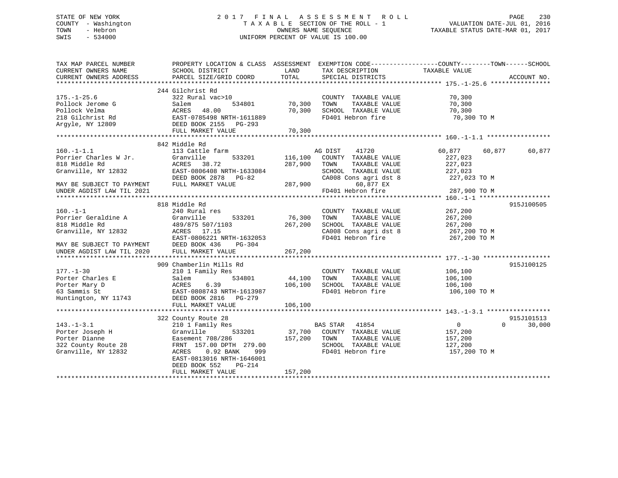## STATE OF NEW YORK 2 0 1 7 F I N A L A S S E S S M E N T R O L L PAGE 230 COUNTY - Washington T A X A B L E SECTION OF THE ROLL - 1 VALUATION DATE-JUL 01, 2016 TOWN - Hebron OWNERS NAME SEQUENCE TAXABLE STATUS DATE-MAR 01, 2017 SWIS - 534000 UNIFORM PERCENT OF VALUE IS 100.00

| TAX MAP PARCEL NUMBER<br>CURRENT OWNERS NAME<br>CURRENT OWNERS ADDRESS                                                                                           | PROPERTY LOCATION & CLASS ASSESSMENT EXEMPTION CODE----------------COUNTY-------TOWN------SCHOOL<br>SCHOOL DISTRICT<br>PARCEL SIZE/GRID COORD                                                                             | LAND<br>TOTAL                       | TAX DESCRIPTION<br>SPECIAL DISTRICTS                                                                                                                                                                                                                                                                                                            | TAXABLE VALUE                                          | ACCOUNT NO.                      |
|------------------------------------------------------------------------------------------------------------------------------------------------------------------|---------------------------------------------------------------------------------------------------------------------------------------------------------------------------------------------------------------------------|-------------------------------------|-------------------------------------------------------------------------------------------------------------------------------------------------------------------------------------------------------------------------------------------------------------------------------------------------------------------------------------------------|--------------------------------------------------------|----------------------------------|
| $175. - 1 - 25.6$<br>Pollock Jerome G<br>Pollock Velma<br>218 Gilchrist Rd<br>Arqyle, NY 12809                                                                   | 244 Gilchrist Rd<br>322 Rural vac>10<br>Salem<br>534801<br>ACRES 48.00<br>EAST-0785498 NRTH-1611889<br>DEED BOOK 2155 PG-293<br>FULL MARKET VALUE                                                                         | 70,300<br>70,300<br>70,300          | COUNTY TAXABLE VALUE<br>TOWN<br>TAXABLE VALUE<br>SCHOOL TAXABLE VALUE<br>FD401 Hebron fire                                                                                                                                                                                                                                                      | 70,300<br>70,300<br>70,300<br>70,300 TO M              |                                  |
| $160. - 1 - 1.1$<br>Granville, NY 12832<br>MAY BE SUBJECT TO PAYMENT FULL MARKET VALUE<br>UNDER AGDIST LAW TIL 2021                                              | 842 Middle Rd<br>113 Cattle farm<br>533201<br>EAST-0806408 NRTH-1633084<br>$25 - 3000 \times 100 \times 10^{-10} = 1033084$<br>DEED BOOK 2878 PG-82                                                                       | 116,100<br>287,900<br>287,900       | AG DIST<br>41720<br>COUNTY TAXABLE VALUE<br>TOWN<br>TAXABLE VALUE<br>$\begin{tabular}{lllllllll} \texttt{SCHOOL} & \texttt{TAXABLE} & \texttt{VALUE} & & \texttt{227,023} \\ \texttt{CA008} & \texttt{Cons}\ & \texttt{agri}\ & \texttt{dst}\ & 8 & & \texttt{227,023} & \texttt{TO} \text{ M} \end{tabular}$<br>60,877 EX<br>FD401 Hebron fire | 60,877<br>60,877<br>227,023<br>227,023<br>287,900 TO M | 60,877                           |
| $160.-1-1$<br>Porrier Geraldine A<br>818 Middle Rd<br>Granville, NY 12832<br>MAY BE SUBJECT TO PAYMENT DEED BOOK 436 INDER AGDIST LAW TIL 2020 FULL MARKET VALUE | 818 Middle Rd<br>240 Rural res<br>Granville<br>533201<br>5 Granville<br>489/875 507/1103<br>ACRES 17.15<br><br>EAST-0806221 NRTH-1632053<br>הר^ שרמם תקקת<br>PG-304                                                       | 76,300<br>267,200                   | COUNTY TAXABLE VALUE<br>TAXABLE VALUE<br>TOWN<br>SCHOOL TAXABLE VALUE<br>CA008 Cons agri dst 8 267, 200 TO M<br>FD401 Hebron fire                                                                                                                                                                                                               | 267,200<br>267,200<br>267, 200<br>267,200 TO M         | 915J100505                       |
| $177. - 1 - 30$<br>Porter Charles E<br>Porter Mary D<br>63 Sammis St<br>Huntington, NY 11743                                                                     | 909 Chamberlin Mills Rd<br>210 1 Family Res<br>Salem 534801<br>ACRES 6.39<br>EAST-0808743 NRTH-1613987<br>DEED BOOK 2816 PG-279<br>COOK 2816 PG-279<br>FULL MARKET VALUE                                                  | 534801 44,100<br>106,100<br>106,100 | COUNTY TAXABLE VALUE 106,100<br>TAXABLE VALUE<br>TOWN<br>SCHOOL TAXABLE VALUE<br>FD401 Hebron fire                                                                                                                                                                                                                                              | 106,100<br>106, 100<br>106,100 TO M                    | 915J100125                       |
| $143. - 1 - 3.1$<br>Porter Joseph H<br>Porter Dianne<br>322 County Route 28<br>Granville, NY 12832                                                               | 322 County Route 28<br>210 1 Family Res<br>533201<br>Granville<br>Easement 708/286<br>FRNT 157.00 DPTH 279.00<br>$0.92$ BANK<br>999<br>ACRES<br>EAST-0813016 NRTH-1646001<br>DEED BOOK 552<br>PG-214<br>FULL MARKET VALUE | 157,200 TOWN<br>157,200             | BAS STAR 41854<br>37,700 COUNTY TAXABLE VALUE 157,200<br>TAXABLE VALUE<br>SCHOOL TAXABLE VALUE<br>FD401 Hebron fire                                                                                                                                                                                                                             | $\overline{0}$<br>157,200<br>127,200<br>157,200 TO M   | 915J101513<br>$\Omega$<br>30,000 |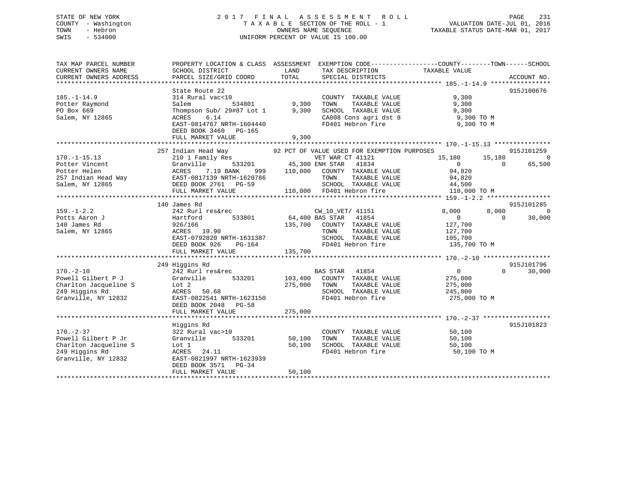## STATE OF NEW YORK 2 0 1 7 F I N A L A S S E S S M E N T R O L L PAGE 231 COUNTY - Washington T A X A B L E SECTION OF THE ROLL - 1 VALUATION DATE-JUL 01, 2016 TOWN - Hebron OWNERS NAME SEQUENCE TAXABLE STATUS DATE-MAR 01, 2017 SWIS - 534000 UNIFORM PERCENT OF VALUE IS 100.00

| TAX MAP PARCEL NUMBER<br>CURRENT OWNERS NAME<br>CURRENT OWNERS ADDRESS                                   | SCHOOL DISTRICT<br>PARCEL SIZE/GRID COORD                                                                                                                                      | PROPERTY LOCATION & CLASS ASSESSMENT EXEMPTION CODE---------------COUNTY-------TOWN-----SCHOOL<br>LAND<br>TAX DESCRIPTION<br>TOTAL<br>SPECIAL DISTRICTS                                                              | TAXABLE VALUE<br>ACCOUNT NO.                                                                                                            |
|----------------------------------------------------------------------------------------------------------|--------------------------------------------------------------------------------------------------------------------------------------------------------------------------------|----------------------------------------------------------------------------------------------------------------------------------------------------------------------------------------------------------------------|-----------------------------------------------------------------------------------------------------------------------------------------|
| $185. - 1 - 14.9$<br>Potter Raymond<br>PO Box 669<br>Salem, NY 12865                                     | State Route 22<br>314 Rural vac<10<br>534801<br>Salem<br>Thompson Sub/ 29#87 Lot 1<br>6.14<br>ACRES<br>EAST-0814767 NRTH-1604440<br>DEED BOOK 3460 PG-165<br>FULL MARKET VALUE | COUNTY TAXABLE VALUE<br>9,300<br>TAXABLE VALUE<br>TOWN<br>9,300<br>SCHOOL TAXABLE VALUE<br>CA008 Cons agri dst 8<br>FD401 Hebron fire<br>9,300                                                                       | 915J100676<br>9,300<br>9,300<br>9,300<br>9,300 TO M<br>9,300 TO M                                                                       |
| $170. - 1 - 15.13$<br>Potter Vincent<br>Potter Helen<br>257 Indian Head Way<br>Salem, NY 12865           | 257 Indian Head Way<br>210 1 Family Res<br>Granville<br>7.19 BANK<br>ACRES<br>EAST-0817139 NRTH-1620786<br>DEED BOOK 2761 PG-59<br>FULL MARKET VALUE                           | 92 PCT OF VALUE USED FOR EXEMPTION PURPOSES<br>VET WAR CT 41121<br>533201 45,300 ENH STAR<br>41834<br>999 110,000 COUNTY TAXABLE VALUE<br>TOWN<br>TAXABLE VALUE<br>SCHOOL TAXABLE VALUE<br>110,000 FD401 Hebron fire | 915J101259<br>15,180<br>15,180<br>$\overline{0}$<br>$\overline{0}$<br>$\Omega$<br>65,500<br>94,820<br>94,820<br>44,500<br>110,000 TO M  |
| $159. - 1 - 2.2$<br>Potts Aaron J<br>140 James Rd<br>Salem, NY 12865                                     | 140 James Rd<br>242 Rurl res&rec<br>533801<br>Hartford<br>926/166<br>ACRES 19.90<br>EAST-0792820 NRTH-1631387<br>DEED BOOK 926<br>PG-164<br>FULL MARKET VALUE                  | CW_10_VET/ 41151<br>64,400 BAS STAR 41854<br>135,700<br>COUNTY TAXABLE VALUE<br>TOWN<br>TAXABLE VALUE<br>SCHOOL TAXABLE VALUE<br>FD401 Hebron fire<br>135,700                                                        | 915J101285<br>8,000<br>8,000<br>$\overline{0}$<br>$\overline{0}$<br>$\Omega$<br>30,000<br>127,700<br>127,700<br>105,700<br>135,700 TO M |
| $170. - 2 - 10$<br>Powell Gilbert P J<br>Charlton Jacqueline S<br>249 Higgins Rd<br>Granville, NY 12832  | 249 Higgins Rd<br>242 Rurl res&rec<br>Granville<br>533201<br>Lot 2<br>ACRES<br>50.68<br>EAST-0822541 NRTH-1623150<br>DEED BOOK 2048 PG-58<br>FULL MARKET VALUE                 | <b>BAS STAR</b><br>41854<br>103,400<br>COUNTY TAXABLE VALUE<br>275,000<br>TOWN<br>TAXABLE VALUE<br>SCHOOL TAXABLE VALUE<br>FD401 Hebron fire<br>275,000                                                              | 915J101796<br>$\overline{0}$<br>$\Omega$<br>30,000<br>275,000<br>275,000<br>245,000<br>275,000 TO M                                     |
| $170. - 2 - 37$<br>Powell Gilbert P Jr<br>Charlton Jacqueline S<br>249 Higgins Rd<br>Granville, NY 12832 | Higgins Rd<br>322 Rural vac>10<br>533201<br>Granville<br>Lot 1<br>ACRES 24.11<br>EAST-0821997 NRTH-1623939<br>DEED BOOK 3571 PG-34<br>FULL MARKET VALUE                        | COUNTY TAXABLE VALUE<br>TAXABLE VALUE<br>50,100<br>TOWN<br>50,100<br>SCHOOL TAXABLE VALUE<br>FD401 Hebron fire<br>50,100                                                                                             | 915J101823<br>50,100<br>50,100<br>50,100<br>50,100 TO M                                                                                 |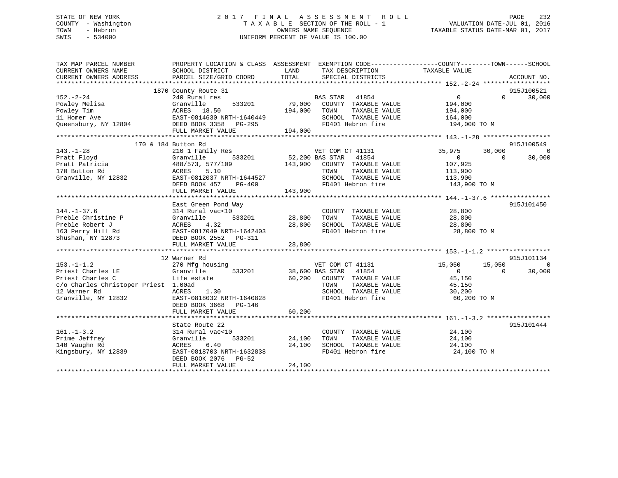## STATE OF NEW YORK 2 0 1 7 F I N A L A S S E S S M E N T R O L L PAGE 232 COUNTY - Washington T A X A B L E SECTION OF THE ROLL - 1 VALUATION DATE-JUL 01, 2016 TOWN - Hebron OWNERS NAME SEQUENCE TAXABLE STATUS DATE-MAR 01, 2017 SWIS - 534000 UNIFORM PERCENT OF VALUE IS 100.00

| TAX MAP PARCEL NUMBER<br>CURRENT OWNERS NAME<br>CURRENT OWNERS ADDRESS                                                   | SCHOOL DISTRICT<br>PARCEL SIZE/GRID COORD                                                                                                                                | LAND<br>TAX DESCRIPTION<br>TOTAL<br>SPECIAL DISTRICTS                                                                                                                          | PROPERTY LOCATION & CLASS ASSESSMENT EXEMPTION CODE---------------COUNTY-------TOWN------SCHOOL<br>TAXABLE VALUE<br>ACCOUNT NO.           |
|--------------------------------------------------------------------------------------------------------------------------|--------------------------------------------------------------------------------------------------------------------------------------------------------------------------|--------------------------------------------------------------------------------------------------------------------------------------------------------------------------------|-------------------------------------------------------------------------------------------------------------------------------------------|
| $152 - 2 - 24$<br>Powley Melisa<br>Powley Tim<br>11 Homer Ave<br>Queensbury, NY 12804                                    | 1870 County Route 31<br>240 Rural res<br>Granville<br>533201<br>ACRES 18.50<br>EAST-0814630 NRTH-1640449<br>DEED BOOK 3358 PG-295<br>FULL MARKET VALUE                   | BA<br>79,000<br><b>BAS STAR</b><br>41854<br>COUNTY TAXABLE VALUE<br>194,000<br>TAXABLE VALUE<br>TOWN<br>SCHOOL TAXABLE VALUE<br>$\frac{19}{2}$<br>FD401 Hebron fire<br>194,000 | 915J100521<br>30,000<br>$\overline{0}$<br>$\Omega$<br>194,000<br>194,000<br>164,000<br>194,000 TO M                                       |
|                                                                                                                          |                                                                                                                                                                          |                                                                                                                                                                                |                                                                                                                                           |
| $143. - 1 - 28$<br>Pratt Floyd<br>Pratt Patricia<br>170 Button Rd<br>Granville, NY 12832                                 | 170 & 184 Button Rd<br>210 1 Family Res<br>Granville<br>533201<br>488/573, 577/109<br>ACRES 5.10<br>EAST-0812037 NRTH-1644527<br>DEED BOOK 457<br>PG-400                 | VET COM CT 41131<br>52,200 BAS STAR 41854<br>143,900<br>COUNTY TAXABLE VALUE<br>TOWN<br>TAXABLE VALUE<br>SCHOOL TAXABLE VALUE<br>FD401 Hebron fire                             | 915J100549<br>$\overline{0}$<br>35,975<br>30,000<br>$\overline{0}$<br>$\Omega$<br>30,000<br>107,925<br>113,900<br>113,900<br>143,900 TO M |
|                                                                                                                          | FULL MARKET VALUE                                                                                                                                                        | 143,900                                                                                                                                                                        |                                                                                                                                           |
| $144. - 1 - 37.6$<br>Preble Christine P<br>Preble Robert J<br>163 Perry Hill Rd<br>Shushan, NY 12873<br>$153. - 1 - 1.2$ | East Green Pond Way<br>314 Rural vac<10<br>533201<br>Granville<br>4.32<br>ACRES<br>EAST-0817049 NRTH-1642403<br>DEED BOOK 2552 PG-311<br>12 Warner Rd<br>270 Mfg housing | COUNTY TAXABLE VALUE<br>28,800<br>TAXABLE VALUE<br>TOWN<br>SCHOOL TAXABLE VALUE 28,800<br>28,800<br>FD401 Hebron fire<br>VET COM CT 41131                                      | 915J101450<br>28,800<br>28,800<br>28,800 TO M<br>915J101134<br>15,050<br>15,050<br>$\overline{0}$                                         |
| Priest Charles LE<br>Priest Charles C<br>c/o Charles Christoper Priest 1.00ad<br>12 Warner Rd<br>Granville, NY 12832     | 533201<br>Granville<br>Life estate<br>ACRES<br>1.30<br>EAST-0818032 NRTH-1640828<br>DEED BOOK 3668 PG-146<br>FULL MARKET VALUE                                           | 38,600 BAS STAR 41854<br>60,200 COUNTY TAXABLE VALUE<br>TOWN<br>TAXABLE VALUE<br>SCHOOL TAXABLE VALUE<br>FD401 Hebron fire<br>60,200                                           | $\Omega$<br>$\Omega$<br>30,000<br>45,150<br>45,150<br>30,200<br>60,200 TO M                                                               |
| $161. - 1 - 3.2$<br>Prime Jeffrey<br>140 Vaughn Rd<br>Kingsbury, NY 12839                                                | State Route 22<br>314 Rural vac<10<br>Granville<br>533201<br>6.40<br>ACRES<br>EAST-0818703 NRTH-1632838<br>DEED BOOK 2076<br>$PG-52$<br>FULL MARKET VALUE                | COUNTY TAXABLE VALUE<br>24,100<br>TAXABLE VALUE<br>TOWN<br>24,100<br>SCHOOL TAXABLE VALUE<br>FD401 Hebron fire<br>24,100                                                       | 915J101444<br>24,100<br>24,100<br>24,100<br>24,100 TO M                                                                                   |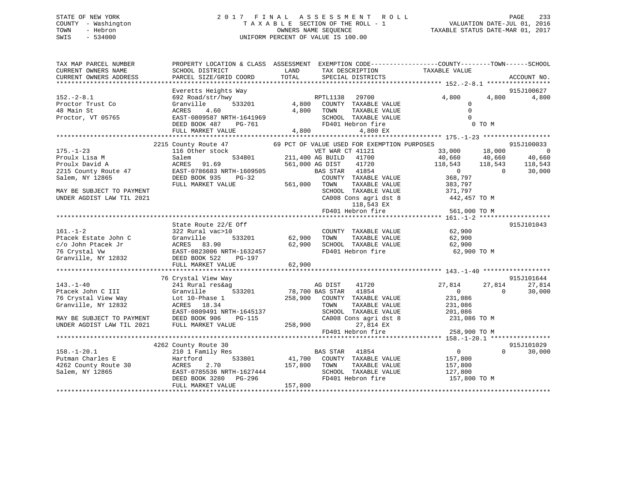## STATE OF NEW YORK 2 0 1 7 F I N A L A S S E S S M E N T R O L L PAGE 233 COUNTY - Washington T A X A B L E SECTION OF THE ROLL - 1 VALUATION DATE-JUL 01, 2016 TOWN - Hebron OWNERS NAME SEQUENCE TAXABLE STATUS DATE-MAR 01, 2017 SWIS - 534000 UNIFORM PERCENT OF VALUE IS 100.00

| TAX MAP PARCEL NUMBER<br>CURRENT OWNERS NAME<br>CURRENT OWNERS ADDRESS                                                                                  | SCHOOL DISTRICT<br>PARCEL SIZE/GRID COORD                                                                                                                    | PROPERTY LOCATION & CLASS ASSESSMENT EXEMPTION CODE---------------COUNTY-------TOWN-----SCHOOL<br>LAND<br>TAX DESCRIPTION<br>TOTAL<br>SPECIAL DISTRICTS                                                                                                                                       | TAXABLE VALUE<br>ACCOUNT NO.                                                                                                                                                                                       |
|---------------------------------------------------------------------------------------------------------------------------------------------------------|--------------------------------------------------------------------------------------------------------------------------------------------------------------|-----------------------------------------------------------------------------------------------------------------------------------------------------------------------------------------------------------------------------------------------------------------------------------------------|--------------------------------------------------------------------------------------------------------------------------------------------------------------------------------------------------------------------|
|                                                                                                                                                         |                                                                                                                                                              |                                                                                                                                                                                                                                                                                               |                                                                                                                                                                                                                    |
| $152. - 2 - 8.1$<br>Proctor Trust Co<br>48 Main St<br>Proctor, VT 05765                                                                                 | Everetts Heights Way<br>692 Road/str/hwy<br>533201<br>Granville<br>4.60<br>ACRES<br>EAST-0809587 NRTH-1641969<br>DEED BOOK 487<br>PG-761                     | RPTL1138<br>29700<br>4,800<br>COUNTY TAXABLE VALUE<br>4,800<br>TOWN<br>TAXABLE VALUE<br>SCHOOL TAXABLE VALUE<br>FD401 Hebron fire                                                                                                                                                             | 915J100627<br>4,800<br>4,800<br>4,800<br>$\mathbf 0$<br>$\Omega$<br>$\Omega$<br>0 TO M                                                                                                                             |
|                                                                                                                                                         | FULL MARKET VALUE                                                                                                                                            | $4\,, 800$<br>4,800 EX                                                                                                                                                                                                                                                                        |                                                                                                                                                                                                                    |
|                                                                                                                                                         |                                                                                                                                                              |                                                                                                                                                                                                                                                                                               |                                                                                                                                                                                                                    |
| $175. - 1 - 23$<br>Proulx Lisa M<br>Proulx David A<br>2215 County Route 47<br>Salem, NY 12865<br>MAY BE SUBJECT TO PAYMENT<br>UNDER AGDIST LAW TIL 2021 | 2215 County Route 47<br>116 Other stock<br>534801<br>Salem<br>91.69<br>ACRES<br>EAST-0786683 NRTH-1609505<br>DEED BOOK 935<br>$PG-32$<br>FULL MARKET VALUE   | 69 PCT OF VALUE USED FOR EXEMPTION PURPOSES<br>VET WAR CT 41121<br>211,400 AG BUILD<br>41700<br>561,000 AG DIST<br>41720<br>41854<br>BAS STAR<br>COUNTY TAXABLE VALUE<br>561,000<br>TOWN<br>TAXABLE VALUE<br>SCHOOL TAXABLE VALUE<br>CA008 Cons agri dst 8<br>118,543 EX<br>FD401 Hebron fire | 915J100033<br>33,000<br>18,000<br>$\overline{0}$<br>40,660<br>40,660<br>40,660<br>118,543<br>118,543<br>118,543<br>30,000<br>$\Omega$<br>$\Omega$<br>368,797<br>383,797<br>371,797<br>442,457 TO M<br>561,000 TO M |
|                                                                                                                                                         |                                                                                                                                                              |                                                                                                                                                                                                                                                                                               |                                                                                                                                                                                                                    |
| $161. - 1 - 2$<br>Ptacek Estate John C<br>c/o John Ptacek Jr<br>76 Crystal Vw<br>Granville, NY 12832                                                    | State Route 22/E Off<br>322 Rural vac>10<br>533201<br>Granville<br>ACRES 83.90<br>EAST-0823006 NRTH-1632457<br>DEED BOOK 522<br>PG-197                       | COUNTY TAXABLE VALUE<br>62,900<br>TOWN<br>TAXABLE VALUE<br>62,900<br>SCHOOL TAXABLE VALUE<br>FD401 Hebron fire                                                                                                                                                                                | 915J101043<br>62,900<br>62,900<br>62,900<br>62,900 TO M                                                                                                                                                            |
|                                                                                                                                                         | FULL MARKET VALUE                                                                                                                                            | 62,900                                                                                                                                                                                                                                                                                        |                                                                                                                                                                                                                    |
|                                                                                                                                                         | 76 Crystal View Way                                                                                                                                          |                                                                                                                                                                                                                                                                                               | 915J101644                                                                                                                                                                                                         |
| $143. - 1 - 40$<br>Ptacek John C III<br>76 Crystal View Way<br>Granville, NY 12832<br>MAY BE SUBJECT TO PAYMENT<br>UNDER AGDIST LAW TIL 2021            | 241 Rural res&ag<br>533201<br>Granville<br>Lot 10-Phase 1<br>ACRES 18.34<br>EAST-0809491 NRTH-1645137<br>DEED BOOK 906<br><b>PG-115</b><br>FULL MARKET VALUE | AG DIST<br>41720<br>78,700 BAS STAR<br>41854<br>258,900 COUNTY TAXABLE VALUE<br>TOWN<br>TAXABLE VALUE<br>SCHOOL TAXABLE VALUE<br>CA008 Cons agri dst 8<br>258,900<br>27,814 EX<br>FD401 Hebron fire                                                                                           | 27,814<br>27,814<br>27,814<br>30,000<br>$\mathbf{0}$<br>$\Omega$<br>231,086<br>231,086<br>201,086<br>231,086 TO M<br>258,900 TO M                                                                                  |
|                                                                                                                                                         |                                                                                                                                                              |                                                                                                                                                                                                                                                                                               |                                                                                                                                                                                                                    |
| $158. - 1 - 20.1$<br>Putman Charles E<br>4262 County Route 30<br>Salem, NY 12865                                                                        | 4262 County Route 30<br>210 1 Family Res<br>533801<br>Hartford<br>ACRES<br>2.70<br>EAST-0785536 NRTH-1627444<br>DEED BOOK 3280<br>PG-296                     | 41854<br><b>BAS STAR</b><br>41,700<br>COUNTY TAXABLE VALUE<br>157,800<br>TAXABLE VALUE<br>TOWN<br>SCHOOL TAXABLE VALUE<br>FD401 Hebron fire                                                                                                                                                   | 915J101029<br>$\mathbf{0}$<br>$\Omega$<br>30,000<br>157,800<br>157,800<br>127,800<br>157,800 TO M                                                                                                                  |
|                                                                                                                                                         | FULL MARKET VALUE                                                                                                                                            | 157,800                                                                                                                                                                                                                                                                                       |                                                                                                                                                                                                                    |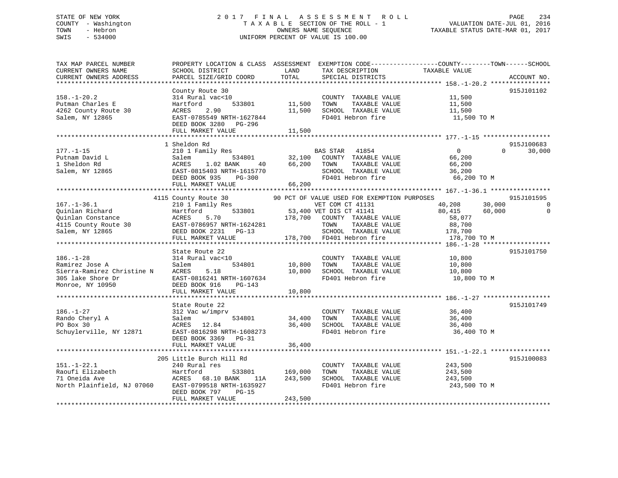## STATE OF NEW YORK 2 0 1 7 F I N A L A S S E S S M E N T R O L L PAGE 234 COUNTY - Washington T A X A B L E SECTION OF THE ROLL - 1 VALUATION DATE-JUL 01, 2016 TOWN - Hebron OWNERS NAME SEQUENCE TAXABLE STATUS DATE-MAR 01, 2017 SWIS - 534000 UNIFORM PERCENT OF VALUE IS 100.00

| TAX MAP PARCEL NUMBER<br>CURRENT OWNERS NAME<br>CURRENT OWNERS ADDRESS                                   | SCHOOL DISTRICT<br>PARCEL SIZE/GRID COORD                                                                                                                                | LAND<br>TOTAL                 | TAX DESCRIPTION<br>SPECIAL DISTRICTS                                                                                                                                                                     | PROPERTY LOCATION & CLASS ASSESSMENT EXEMPTION CODE----------------COUNTY-------TOWN------SCHOOL<br>TAXABLE VALUE | ACCOUNT NO.                        |
|----------------------------------------------------------------------------------------------------------|--------------------------------------------------------------------------------------------------------------------------------------------------------------------------|-------------------------------|----------------------------------------------------------------------------------------------------------------------------------------------------------------------------------------------------------|-------------------------------------------------------------------------------------------------------------------|------------------------------------|
| $158. - 1 - 20.2$<br>Putman Charles E<br>4262 County Route 30<br>Salem, NY 12865                         | County Route 30<br>314 Rural vac<10<br>Hartford<br>533801<br>ACRES<br>2.90<br>EAST-0785549 NRTH-1627844<br>DEED BOOK 3280 PG-296<br>FULL MARKET VALUE                    | 11,500<br>11,500<br>11,500    | COUNTY TAXABLE VALUE<br>TOWN<br>TAXABLE VALUE<br>SCHOOL TAXABLE VALUE<br>FD401 Hebron fire                                                                                                               | 11,500<br>11,500<br>11,500<br>11,500 TO M                                                                         | 915J101102                         |
| $177. - 1 - 15$<br>Putnam David L<br>1 Sheldon Rd<br>Salem, NY 12865                                     | 1 Sheldon Rd<br>210 1 Family Res<br>534801<br>Salem<br>ACRES<br>1.02 BANK<br>40<br>EAST-0815403 NRTH-1615770<br>DEED BOOK 935<br>$PG-300$<br>FULL MARKET VALUE           | 32,100<br>66,200<br>66,200    | BAS STAR 41854<br>COUNTY TAXABLE VALUE<br>TOWN<br>TAXABLE VALUE<br>SCHOOL TAXABLE VALUE<br>FD401 Hebron fire                                                                                             | $\Omega$<br>$\Omega$<br>66,200<br>66,200<br>36,200<br>66,200 TO M                                                 | 915J100683<br>30,000               |
| $167. - 1 - 36.1$<br>Ouinlan Richard<br>Ouinlan Constance<br>4115 County Route 30<br>Salem, NY 12865     | 4115 County Route 30<br>210 1 Family Res<br>533801<br>Hartford<br>ACRES<br>5.70<br>EAST-0786957 NRTH-1624281<br>DEED BOOK 2231 PG-13<br>FULL MARKET VALUE                |                               | 90 PCT OF VALUE USED FOR EXEMPTION PURPOSES<br>VET COM CT 41131<br>53,400 VET DIS CT 41141<br>178,700 COUNTY TAXABLE VALUE<br>TOWN<br>TAXABLE VALUE<br>SCHOOL TAXABLE VALUE<br>178,700 FD401 Hebron fire | 30,000<br>40,208<br>80,415<br>60,000<br>58,077<br>88,700<br>178,700<br>178,700 TO M                               | 915J101595<br>$\Omega$<br>$\Omega$ |
| $186. - 1 - 28$<br>Ramirez Jose A<br>Sierra-Ramirez Christine N<br>305 lake Shore Dr<br>Monroe, NY 10950 | State Route 22<br>314 Rural vac<10<br>Salem<br>534801<br>ACRES<br>5.18<br>EAST-0816241 NRTH-1607634<br>DEED BOOK 916<br>PG-143<br>FULL MARKET VALUE                      | 10,800<br>10,800<br>10,800    | COUNTY TAXABLE VALUE<br>TOWN<br>TAXABLE VALUE<br>SCHOOL TAXABLE VALUE<br>FD401 Hebron fire                                                                                                               | 10,800<br>10,800<br>10,800<br>10,800 TO M                                                                         | 915J101750                         |
| $186. - 1 - 27$<br>Rando Cheryl A<br>PO Box 30<br>Schuylerville, NY 12871                                | State Route 22<br>312 Vac w/imprv<br>Salem<br>534801<br>ACRES 12.84<br>EAST-0816298 NRTH-1608273<br>DEED BOOK 3369 PG-31<br>FULL MARKET VALUE                            | 34,400<br>36,400<br>36,400    | COUNTY TAXABLE VALUE<br>TAXABLE VALUE<br>TOWN<br>SCHOOL TAXABLE VALUE<br>FD401 Hebron fire                                                                                                               | 36,400<br>36,400<br>36,400<br>36,400 TO M                                                                         | 915J101749                         |
| $151. - 1 - 22.1$<br>Raoufi Elizabeth<br>71 Oneida Ave<br>North Plainfield, NJ 07060                     | 205 Little Burch Hill Rd<br>240 Rural res<br>Hartford<br>533801<br>ACRES 68.10 BANK<br>11A<br>EAST-0799518 NRTH-1635927<br>DEED BOOK 797<br>$PG-15$<br>FULL MARKET VALUE | 169,000<br>243,500<br>243,500 | COUNTY TAXABLE VALUE<br>TAXABLE VALUE<br>TOWN<br>SCHOOL TAXABLE VALUE<br>FD401 Hebron fire                                                                                                               | 243,500<br>243,500<br>243,500<br>243,500 TO M                                                                     | 915J100083                         |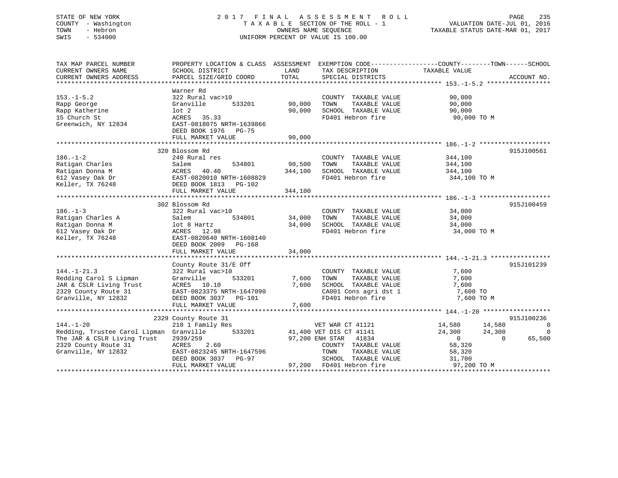## STATE OF NEW YORK 2 0 1 7 F I N A L A S S E S S M E N T R O L L PAGE 235 COUNTY - Washington T A X A B L E SECTION OF THE ROLL - 1 VALUATION DATE-JUL 01, 2016 TOWN - Hebron OWNERS NAME SEQUENCE TAXABLE STATUS DATE-MAR 01, 2017 SWIS - 534000 UNIFORM PERCENT OF VALUE IS 100.00

| TAX MAP PARCEL NUMBER<br>CURRENT OWNERS NAME | PROPERTY LOCATION & CLASS ASSESSMENT<br>SCHOOL DISTRICT | LAND<br>TOTAL | TAX DESCRIPTION<br>SPECIAL DISTRICTS          | EXEMPTION CODE-----------------COUNTY-------TOWN------SCHOOL<br>TAXABLE VALUE | ACCOUNT NO. |
|----------------------------------------------|---------------------------------------------------------|---------------|-----------------------------------------------|-------------------------------------------------------------------------------|-------------|
| CURRENT OWNERS ADDRESS                       | PARCEL SIZE/GRID COORD                                  |               |                                               |                                                                               |             |
|                                              | Warner Rd                                               |               |                                               |                                                                               |             |
| $153. - 1 - 5.2$<br>Rapp George              | 322 Rural vac>10<br>Granville<br>533201                 | 90,000        | COUNTY TAXABLE VALUE<br>TOWN<br>TAXABLE VALUE | 90,000<br>90,000                                                              |             |
| Rapp Katherine                               | $1$ ot $2$                                              | 90,000        | SCHOOL TAXABLE VALUE                          | 90,000                                                                        |             |
| 15 Church St                                 | 35.33<br>ACRES                                          |               | FD401 Hebron fire                             | 90,000 TO M                                                                   |             |
| Greenwich, NY 12834                          | EAST-0818075 NRTH-1639866                               |               |                                               |                                                                               |             |
|                                              | DEED BOOK 1976 PG-75                                    |               |                                               |                                                                               |             |
|                                              | FULL MARKET VALUE                                       | 90,000        |                                               |                                                                               |             |
|                                              |                                                         |               |                                               |                                                                               |             |
|                                              | 320 Blossom Rd                                          |               |                                               |                                                                               | 915J100561  |
| $186. - 1 - 2$                               | 240 Rural res                                           |               | COUNTY TAXABLE VALUE                          | 344,100                                                                       |             |
| Ratigan Charles                              | 534801<br>Salem                                         | 90,500        | TOWN<br>TAXABLE VALUE                         | 344,100                                                                       |             |
| Ratigan Donna M                              | 40.40<br>ACRES                                          | 344,100       | SCHOOL TAXABLE VALUE                          | 344,100                                                                       |             |
| 612 Vasey Oak Dr                             | EAST-0820010 NRTH-1608829                               |               | FD401 Hebron fire                             | 344,100 TO M                                                                  |             |
| Keller, TX 76248                             | DEED BOOK 1813 PG-102                                   |               |                                               |                                                                               |             |
|                                              | FULL MARKET VALUE                                       | 344,100       |                                               |                                                                               |             |
|                                              |                                                         |               |                                               |                                                                               |             |
|                                              | 302 Blossom Rd                                          |               |                                               |                                                                               | 915J100459  |
| $186. - 1 - 3$                               | 322 Rural vac>10                                        |               | COUNTY TAXABLE VALUE                          | 34,000                                                                        |             |
| Ratigan Charles A                            | Salem<br>534801                                         | 34,000        | TOWN<br>TAXABLE VALUE                         | 34,000                                                                        |             |
| Ratigan Donna M                              | lot 8 Hartz                                             | 34,000        | SCHOOL TAXABLE VALUE                          | 34,000                                                                        |             |
| 612 Vasey Oak Dr                             | ACRES 12.98                                             |               | FD401 Hebron fire                             | 34,000 TO M                                                                   |             |
| Keller, TX 76248                             | EAST-0820640 NRTH-1608140                               |               |                                               |                                                                               |             |
|                                              | DEED BOOK 2009 PG-168                                   |               |                                               |                                                                               |             |
|                                              | FULL MARKET VALUE                                       | 34,000        |                                               |                                                                               |             |
|                                              |                                                         |               |                                               |                                                                               | 915J101239  |
| $144. - 1 - 21.3$                            | County Route 31/E Off<br>322 Rural vac>10               |               | COUNTY TAXABLE VALUE                          | 7,600                                                                         |             |
| Redding Carol S Lipman                       | 533201<br>Granville                                     | 7,600         | TOWN<br>TAXABLE VALUE                         | 7,600                                                                         |             |
| JAR & CSLR Living Trust                      | ACRES 10.10                                             | 7,600         | SCHOOL TAXABLE VALUE                          | 7,600                                                                         |             |
| 2329 County Route 31                         | EAST-0823375 NRTH-1647090                               |               | CA001 Cons agri dst 1                         | 7,600 TO                                                                      |             |
| Granville, NY 12832                          | DEED BOOK 3037 PG-101                                   |               | FD401 Hebron fire                             | 7,600 TO M                                                                    |             |
|                                              | FULL MARKET VALUE                                       | 7,600         |                                               |                                                                               |             |
|                                              |                                                         |               |                                               |                                                                               |             |
|                                              | 2329 County Route 31                                    |               |                                               |                                                                               | 915J100236  |
| $144. - 1 - 20$                              | 210 1 Family Res                                        |               | VET WAR CT 41121                              | 14,580<br>14,580                                                              | 0           |
| Redding, Trustee Carol Lipman Granville      | 533201                                                  |               | 41,400 VET DIS CT 41141                       | 24,300<br>24,300                                                              | 0           |
| The JAR & CSLR Living Trust                  | 2939/259                                                |               | 97,200 ENH STAR 41834                         | $\overline{0}$<br>$\Omega$                                                    | 65,500      |
| 2329 County Route 31                         | ACRES<br>2.60                                           |               | COUNTY TAXABLE VALUE                          | 58,320                                                                        |             |
| Granville, NY 12832                          | EAST-0823245 NRTH-1647596                               |               | TOWN<br>TAXABLE VALUE                         | 58,320                                                                        |             |
|                                              | DEED BOOK 3037<br>PG-97                                 |               | SCHOOL TAXABLE VALUE                          | 31,700                                                                        |             |
|                                              | FULL MARKET VALUE                                       |               | 97,200 FD401 Hebron fire                      | 97,200 TO M                                                                   |             |
|                                              |                                                         |               |                                               |                                                                               |             |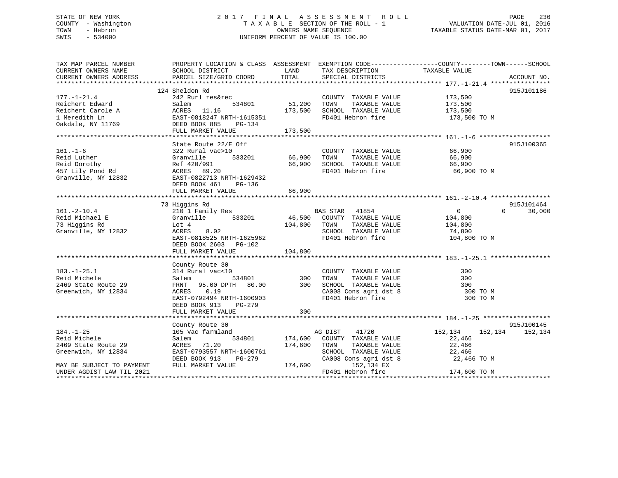## STATE OF NEW YORK 2 0 1 7 F I N A L A S S E S S M E N T R O L L PAGE 236 COUNTY - Washington T A X A B L E SECTION OF THE ROLL - 1 VALUATION DATE-JUL 01, 2016 TOWN - Hebron OWNERS NAME SEQUENCE TAXABLE STATUS DATE-MAR 01, 2017 SWIS - 534000 UNIFORM PERCENT OF VALUE IS 100.00

| TAX MAP PARCEL NUMBER<br>CURRENT OWNERS NAME                                                               | SCHOOL DISTRICT                                                                                                                                                               | LAND                          | TAX DESCRIPTION                                                                                                                  | PROPERTY LOCATION & CLASS ASSESSMENT EXEMPTION CODE----------------COUNTY-------TOWN------SCHOOL<br>TAXABLE VALUE |                                  |
|------------------------------------------------------------------------------------------------------------|-------------------------------------------------------------------------------------------------------------------------------------------------------------------------------|-------------------------------|----------------------------------------------------------------------------------------------------------------------------------|-------------------------------------------------------------------------------------------------------------------|----------------------------------|
| CURRENT OWNERS ADDRESS                                                                                     | PARCEL SIZE/GRID COORD                                                                                                                                                        | TOTAL                         | SPECIAL DISTRICTS                                                                                                                |                                                                                                                   | ACCOUNT NO.                      |
|                                                                                                            |                                                                                                                                                                               |                               |                                                                                                                                  |                                                                                                                   |                                  |
| $177. - 1 - 21.4$<br>Reichert Edward                                                                       | 124 Sheldon Rd<br>242 Rurl res&rec<br>Salem<br>534801<br>FULL MARKET VALUE                                                                                                    | 51,200<br>173,500<br>173,500  | COUNTY TAXABLE VALUE 173,500<br>TOWN<br>TAXABLE VALUE<br>SCHOOL TAXABLE VALUE<br>FD401 Hebron fire                               | 173,500<br>173,500<br>173,500 TO M                                                                                | 915J101186                       |
|                                                                                                            | State Route 22/E Off                                                                                                                                                          |                               |                                                                                                                                  |                                                                                                                   | 915J100365                       |
| $161. - 1 - 6$<br>Reid Luther<br>Reid Dorothy<br>457 Lily Pond Rd<br>Granville, NY 12832                   | 322 Rural vac>10<br>Granville<br>Ref 420/991<br>ACRES 89.20<br>EAST-0822713 NRTH-1629432<br>DEED BOOK 461<br>PG-136                                                           | 533201 66,900<br>66,900       | COUNTY TAXABLE VALUE<br>TAXABLE VALUE<br>TOWN<br>SCHOOL TAXABLE VALUE<br>FD401 Hebron fire                                       | 66,900<br>66,900<br>66,900<br>66,900 TO M                                                                         |                                  |
|                                                                                                            |                                                                                                                                                                               |                               |                                                                                                                                  |                                                                                                                   |                                  |
| $161. - 2 - 10.4$<br>Reid Michael E<br>73 Higgins Rd<br>Granville, NY 12832                                | 73 Higgins Rd<br>210 1 Family Res<br>533201<br>Granville<br>Lot 4<br>Lot 4 104,800<br>ACRES 8.02 EAST-0818525 NRTH-1625962<br>DEED BOOK 2603 PG-102<br>FULL MARKET VALUE      | 46,500<br>104,800<br>104,800  | BAS STAR 41854<br>COUNTY TAXABLE VALUE<br>TOWN<br>TAXABLE VALUE<br>SCHOOL TAXABLE VALUE<br>FD401 Hebron fire                     | $\overline{0}$<br>104,800<br>104,800<br>74,800<br>104,800 TO M                                                    | 915J101464<br>$\Omega$<br>30,000 |
| $183. - 1 - 25.1$<br>Reid Michele<br>2469 State Route 29<br>Greenwich, NY 12834                            | County Route 30<br>314 Rural vac<10<br>534801<br>Salem<br>FRNT 95.00 DPTH 80.00<br>ACRES<br>0.19<br>EAST-0792494 NRTH-1600903<br>DEED BOOK 913<br>PG-279<br>FULL MARKET VALUE | 300<br>300<br>300             | COUNTY TAXABLE VALUE<br>TAXABLE VALUE<br>TOWN<br>SCHOOL TAXABLE VALUE<br>CA008 Cons agri dst 8<br>FD401 Hebron fire              | 300<br>300<br>300<br>300 TO M<br>300 TO M                                                                         |                                  |
|                                                                                                            |                                                                                                                                                                               |                               |                                                                                                                                  |                                                                                                                   |                                  |
| $184. - 1 - 25$<br>Reid Michele<br>2469 State Route 29<br>Greenwich, NY 12834<br>MAY BE SUBJECT TO PAYMENT | County Route 30<br>105 Vac farmland<br>534801<br>Salem<br>71.20<br>ACRES<br>EAST-0793557 NRTH-1600761<br>DEED BOOK 913<br>PG-279<br>FULL MARKET VALUE                         | 174,600<br>174,600<br>174,600 | 41720<br>AG DIST<br>COUNTY TAXABLE VALUE<br>TAXABLE VALUE<br>TOWN<br>SCHOOL TAXABLE VALUE<br>CA008 Cons agri dst 8<br>152,134 EX | 152,134<br>22,466<br>22,466<br>22,466<br>22,466 TO M                                                              | 915J100145<br>152, 134 152, 134  |
| UNDER AGDIST LAW TIL 2021                                                                                  |                                                                                                                                                                               |                               | FD401 Hebron fire                                                                                                                | 174,600 TO M                                                                                                      |                                  |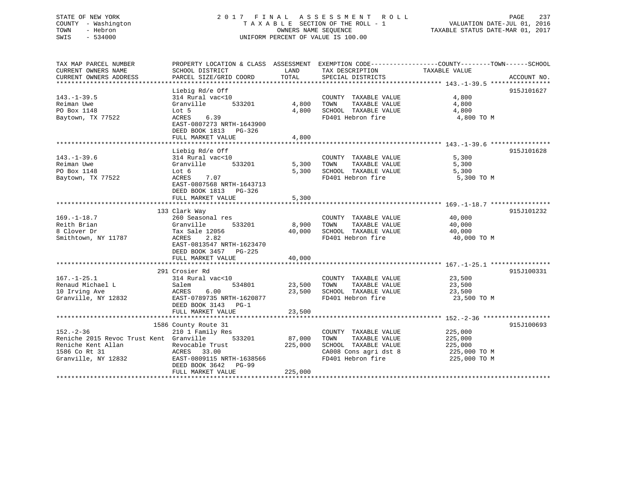## STATE OF NEW YORK 2 0 1 7 F I N A L A S S E S S M E N T R O L L PAGE 237 COUNTY - Washington T A X A B L E SECTION OF THE ROLL - 1 VALUATION DATE-JUL 01, 2016 TOWN - Hebron OWNERS NAME SEQUENCE TAXABLE STATUS DATE-MAR 01, 2017 SWIS - 534000 UNIFORM PERCENT OF VALUE IS 100.00

TAX MAP PARCEL NUMBER PROPERTY LOCATION & CLASS ASSESSMENT EXEMPTION CODE------------------COUNTY--------TOWN------SCHOOL CURRENT OWNERS NAME SCHOOL DISTRICT LAND TAX DESCRIPTION TAXABLE VALUE CURRENT OWNERS ADDRESS PARCEL SIZE/GRID COORD TOTAL SPECIAL DISTRICTS ACCOUNT NO. \*\*\*\*\*\*\*\*\*\*\*\*\*\*\*\*\*\*\*\*\*\*\*\*\*\*\*\*\*\*\*\*\*\*\*\*\*\*\*\*\*\*\*\*\*\*\*\*\*\*\*\*\*\*\*\*\*\*\*\*\*\*\*\*\*\*\*\*\*\*\*\*\*\*\*\*\*\*\*\*\*\*\*\*\*\*\*\*\*\*\*\*\*\*\*\*\*\*\*\*\*\*\* 143.-1-39.5 \*\*\*\*\*\*\*\*\*\*\*\*\*\*\*\* Liebig Rd/e Off 915J101627 143.-1-39.5 314 Rural vac<10 COUNTY TAXABLE VALUE 4,800 Reiman Uwe Granville 533201 4,800 TOWN TAXABLE VALUE 4,800 PO Box 1148 Lot 5 4,800 SCHOOL TAXABLE VALUE 4,800 Baytown, TX 77522 ACRES 6.39 FD401 Hebron fire 4,800 TO M EAST-0807273 NRTH-1643900 DEED BOOK 1813 PG-326 FULL MARKET VALUE 4,800 \*\*\*\*\*\*\*\*\*\*\*\*\*\*\*\*\*\*\*\*\*\*\*\*\*\*\*\*\*\*\*\*\*\*\*\*\*\*\*\*\*\*\*\*\*\*\*\*\*\*\*\*\*\*\*\*\*\*\*\*\*\*\*\*\*\*\*\*\*\*\*\*\*\*\*\*\*\*\*\*\*\*\*\*\*\*\*\*\*\*\*\*\*\*\*\*\*\*\*\*\*\*\* 143.-1-39.6 \*\*\*\*\*\*\*\*\*\*\*\*\*\*\*\*Liebig Rd/e Off 915J101628 143.-1-39.6 314 Rural vac<10 COUNTY TAXABLE VALUE 5,300 Reiman Uwe Granville 533201 5,300 TOWN TAXABLE VALUE 5,300 PO Box 1148 Lot 6 5,300 SCHOOL TAXABLE VALUE 5,300 Baytown, TX 77522 ACRES 7.07 FD401 Hebron fire 5,300 TO M EAST-0807568 NRTH-1643713 DEED BOOK 1813 PG-326 FULL MARKET VALUE 5,300 \*\*\*\*\*\*\*\*\*\*\*\*\*\*\*\*\*\*\*\*\*\*\*\*\*\*\*\*\*\*\*\*\*\*\*\*\*\*\*\*\*\*\*\*\*\*\*\*\*\*\*\*\*\*\*\*\*\*\*\*\*\*\*\*\*\*\*\*\*\*\*\*\*\*\*\*\*\*\*\*\*\*\*\*\*\*\*\*\*\*\*\*\*\*\*\*\*\*\*\*\*\*\* 169.-1-18.7 \*\*\*\*\*\*\*\*\*\*\*\*\*\*\*\* 133 Clark Way 915J101232 169.-1-18.7 260 Seasonal res COUNTY TAXABLE VALUE 40,000 Reith Brian Granville 533201 8,900 TOWN TAXABLE VALUE 40,000 8 Clover Dr Tax Sale 12056 40,000 SCHOOL TAXABLE VALUE 40,000 Smithtown, NY 11787 ACRES 2.82 FD401 Hebron fire 40,000 TO M EAST-0813547 NRTH-1623470 DEED BOOK 3457 PG-225 FULL MARKET VALUE 40,000 \*\*\*\*\*\*\*\*\*\*\*\*\*\*\*\*\*\*\*\*\*\*\*\*\*\*\*\*\*\*\*\*\*\*\*\*\*\*\*\*\*\*\*\*\*\*\*\*\*\*\*\*\*\*\*\*\*\*\*\*\*\*\*\*\*\*\*\*\*\*\*\*\*\*\*\*\*\*\*\*\*\*\*\*\*\*\*\*\*\*\*\*\*\*\*\*\*\*\*\*\*\*\* 167.-1-25.1 \*\*\*\*\*\*\*\*\*\*\*\*\*\*\*\* 291 Crosier Rd 915J100331167.-1-25.1 314 Rural vac<10 COUNTY TAXABLE VALUE 23,500 Renaud Michael L Salem 534801 23,500 TOWN TAXABLE VALUE 23,500 10 Irving Ave ACRES 6.00 23,500 SCHOOL TAXABLE VALUE 23,500 Granville, NY 12832 EAST-0789735 NRTH-1620877 FD401 Hebron fire 23,500 TO M DEED BOOK 3143 PG-1FULL MARKET VALUE 23,500 \*\*\*\*\*\*\*\*\*\*\*\*\*\*\*\*\*\*\*\*\*\*\*\*\*\*\*\*\*\*\*\*\*\*\*\*\*\*\*\*\*\*\*\*\*\*\*\*\*\*\*\*\*\*\*\*\*\*\*\*\*\*\*\*\*\*\*\*\*\*\*\*\*\*\*\*\*\*\*\*\*\*\*\*\*\*\*\*\*\*\*\*\*\*\*\*\*\*\*\*\*\*\* 152.-2-36 \*\*\*\*\*\*\*\*\*\*\*\*\*\*\*\*\*\* 1586 County Route 31 915J100693 152.-2-36 210 1 Family Res COUNTY TAXABLE VALUE 225,000 Reniche 2015 Revoc Trust Kent Granville 533201 87,000 TOWN TAXABLE VALUE 225,000 Reniche Kent Allan Revocable Trust 225,000 SCHOOL TAXABLE VALUE 225,000 1586 Co Rt 31 ACRES 33.00 CA008 Cons agri dst 8 225,000 TO M Granville, NY 12832 EAST-0809115 NRTH-1638566 FD401 Hebron fire 225,000 TO M DEED BOOK 3642 PG-99FULL MARKET VALUE 225,000 \*\*\*\*\*\*\*\*\*\*\*\*\*\*\*\*\*\*\*\*\*\*\*\*\*\*\*\*\*\*\*\*\*\*\*\*\*\*\*\*\*\*\*\*\*\*\*\*\*\*\*\*\*\*\*\*\*\*\*\*\*\*\*\*\*\*\*\*\*\*\*\*\*\*\*\*\*\*\*\*\*\*\*\*\*\*\*\*\*\*\*\*\*\*\*\*\*\*\*\*\*\*\*\*\*\*\*\*\*\*\*\*\*\*\*\*\*\*\*\*\*\*\*\*\*\*\*\*\*\*\*\*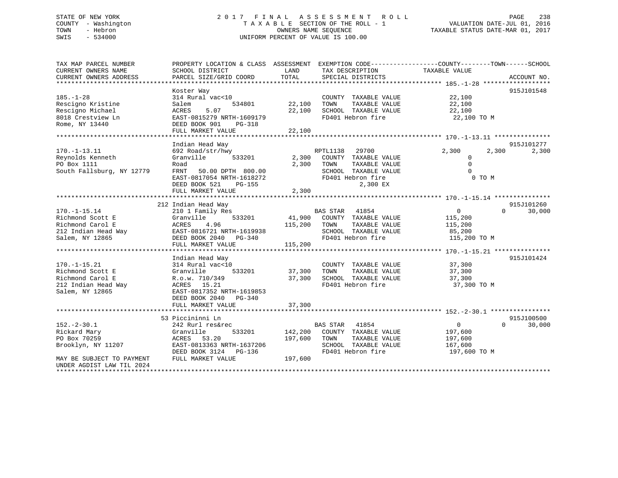## STATE OF NEW YORK 2 0 1 7 F I N A L A S S E S S M E N T R O L L PAGE 238 COUNTY - Washington T A X A B L E SECTION OF THE ROLL - 1 VALUATION DATE-JUL 01, 2016 TOWN - Hebron OWNERS NAME SEQUENCE TAXABLE STATUS DATE-MAR 01, 2017 SWIS - 534000 UNIFORM PERCENT OF VALUE IS 100.00

| TAX MAP PARCEL NUMBER     | PROPERTY LOCATION & CLASS ASSESSMENT EXEMPTION CODE---------------COUNTY-------TOWN-----SCHOOL |         |                             |                |                    |
|---------------------------|------------------------------------------------------------------------------------------------|---------|-----------------------------|----------------|--------------------|
| CURRENT OWNERS NAME       | SCHOOL DISTRICT                                                                                | LAND    | TAX DESCRIPTION             | TAXABLE VALUE  |                    |
| CURRENT OWNERS ADDRESS    | PARCEL SIZE/GRID COORD                                                                         | TOTAL   | SPECIAL DISTRICTS           |                | ACCOUNT NO.        |
|                           |                                                                                                |         |                             |                |                    |
|                           | Koster Way                                                                                     |         |                             |                | 915J101548         |
| $185. - 1 - 28$           | 314 Rural vac<10                                                                               |         | COUNTY TAXABLE VALUE        | 22,100         |                    |
| Rescigno Kristine         | 534801<br>Salem                                                                                | 22,100  | TAXABLE VALUE<br>TOWN       | 22,100         |                    |
| Rescigno Michael          | 5.07<br>ACRES                                                                                  | 22,100  | SCHOOL TAXABLE VALUE        | 22,100         |                    |
| 8018 Crestview Ln         | EAST-0815279 NRTH-1609179                                                                      |         | FD401 Hebron fire           | 22,100 TO M    |                    |
| Rome, NY 13440            | DEED BOOK 901<br>PG-318                                                                        |         |                             |                |                    |
|                           | FULL MARKET VALUE                                                                              | 22,100  |                             |                |                    |
|                           |                                                                                                |         |                             |                |                    |
|                           | Indian Head Way                                                                                |         |                             |                | 915J101277         |
| $170. - 1 - 13.11$        | 692 Road/str/hwy                                                                               |         | 29700<br>RPTL1138           | 2,300<br>2,300 | 2,300              |
| Reynolds Kenneth          | 533201<br>Granville                                                                            | 2,300   | COUNTY TAXABLE VALUE        | $\Omega$       |                    |
| PO Box 1111               | Road                                                                                           | 2,300   | TOWN<br>TAXABLE VALUE       | $\Omega$       |                    |
| South Fallsburg, NY 12779 | FRNT 50.00 DPTH 800.00                                                                         |         | SCHOOL TAXABLE VALUE        | $\Omega$       |                    |
|                           | EAST-0817054 NRTH-1618272                                                                      |         | FD401 Hebron fire           | 0 TO M         |                    |
|                           | DEED BOOK 521<br>PG-155                                                                        |         | 2,300 EX                    |                |                    |
|                           | FULL MARKET VALUE                                                                              | 2,300   |                             |                |                    |
|                           |                                                                                                |         |                             |                |                    |
|                           | 212 Indian Head Way                                                                            |         |                             |                | 915J101260         |
| $170. - 1 - 15.14$        | 210 1 Family Res                                                                               |         | <b>BAS STAR</b><br>41854    | $\overline{0}$ | $\Omega$<br>30,000 |
| Richmond Scott E          | Granville<br>533201                                                                            |         | 41,900 COUNTY TAXABLE VALUE | 115,200        |                    |
| Richmond Carol E          | ACRES<br>4.96                                                                                  | 115,200 | TOWN<br>TAXABLE VALUE       | 115,200        |                    |
| 212 Indian Head Way       | EAST-0816721 NRTH-1619938                                                                      |         | SCHOOL TAXABLE VALUE        | 85,200         |                    |
| Salem, NY 12865           | DEED BOOK 2040 PG-340                                                                          |         | FD401 Hebron fire           | 115,200 TO M   |                    |
|                           | FULL MARKET VALUE                                                                              | 115,200 |                             |                |                    |
|                           |                                                                                                |         |                             |                |                    |
|                           | Indian Head Way                                                                                |         |                             |                | 915J101424         |
| $170. - 1 - 15.21$        | 314 Rural vac<10                                                                               |         | COUNTY TAXABLE VALUE        | 37,300         |                    |
| Richmond Scott E          | Granville<br>533201                                                                            | 37,300  | TOWN<br>TAXABLE VALUE       | 37,300         |                    |
| Richmond Carol E          | R.o.w. 710/349                                                                                 | 37,300  | SCHOOL TAXABLE VALUE        | 37,300         |                    |
| 212 Indian Head Way       | ACRES 15.21                                                                                    |         | FD401 Hebron fire           | 37,300 TO M    |                    |
| Salem, NY 12865           | EAST-0817352 NRTH-1619853                                                                      |         |                             |                |                    |
|                           | DEED BOOK 2040 PG-340                                                                          |         |                             |                |                    |
|                           | FULL MARKET VALUE                                                                              | 37,300  |                             |                |                    |
|                           |                                                                                                |         |                             |                |                    |
|                           | 53 Piccininni Ln                                                                               |         |                             |                | 915J100500         |
| $152. - 2 - 30.1$         | 242 Rurl res&rec                                                                               |         | <b>BAS STAR</b><br>41854    | $\overline{0}$ | 30,000<br>$\Omega$ |
| Rickard Mary              | Granville<br>533201                                                                            | 142,200 | COUNTY TAXABLE VALUE        | 197,600        |                    |
| PO Box 70259              | 53.20<br>ACRES                                                                                 | 197,600 | TOWN<br>TAXABLE VALUE       | 197,600        |                    |
| Brooklyn, NY 11207        | EAST-0813363 NRTH-1637206                                                                      |         | SCHOOL TAXABLE VALUE        | 167,600        |                    |
|                           | DEED BOOK 3124 PG-136                                                                          |         | FD401 Hebron fire           | 197,600 TO M   |                    |
| MAY BE SUBJECT TO PAYMENT | FULL MARKET VALUE                                                                              | 197,600 |                             |                |                    |
| UNDER AGDIST LAW TIL 2024 |                                                                                                |         |                             |                |                    |
| *********************     |                                                                                                |         |                             |                |                    |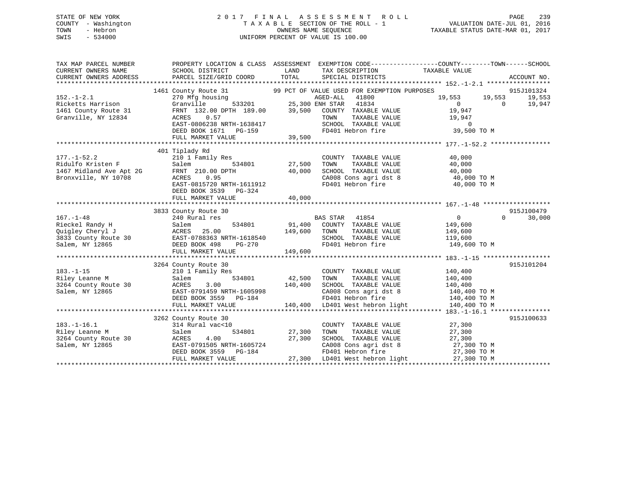## STATE OF NEW YORK 2 0 1 7 F I N A L A S S E S S M E N T R O L L PAGE 239 COUNTY - Washington T A X A B L E SECTION OF THE ROLL - 1 VALUATION DATE-JUL 01, 2016 TOWN - Hebron OWNERS NAME SEQUENCE TAXABLE STATUS DATE-MAR 01, 2017 SWIS - 534000 UNIFORM PERCENT OF VALUE IS 100.00

| TAX MAP PARCEL NUMBER<br>CURRENT OWNERS NAME<br>CURRENT OWNERS ADDRESS                    | SCHOOL DISTRICT<br>PARCEL SIZE/GRID COORD                                                                                                                                             | LAND<br>TOTAL              | TAX DESCRIPTION TAXABLE VALUE<br>SPECIAL DISTRICTS                                                                                                                                         | PROPERTY LOCATION & CLASS ASSESSMENT EXEMPTION CODE---------------COUNTY-------TOWN-----SCHOOL | ACCOUNT NO.                    |
|-------------------------------------------------------------------------------------------|---------------------------------------------------------------------------------------------------------------------------------------------------------------------------------------|----------------------------|--------------------------------------------------------------------------------------------------------------------------------------------------------------------------------------------|------------------------------------------------------------------------------------------------|--------------------------------|
| $152. - 1 - 2.1$<br>Ricketts Harrison<br>1461 County Route 31<br>Granville, NY 12834      | 1461 County Route 31<br>270 Mfg housing<br>533201<br>Granville<br>FRNT 132.00 DPTH 189.00<br>ACRES<br>0.57<br>EAST-0806238 NRTH-1638417<br>DEED BOOK 1671 PG-159<br>FULL MARKET VALUE | 39,500<br>39,500           | 99 PCT OF VALUE USED FOR EXEMPTION PURPOSES<br>AGED-ALL<br>41800<br>25,300 ENH STAR<br>41834<br>COUNTY TAXABLE VALUE<br>TAXABLE VALUE<br>TOWN<br>SCHOOL TAXABLE VALUE<br>FD401 Hebron fire | 19,553<br>19,553<br>$\overline{0}$<br>$\Omega$<br>19,947<br>19,947<br>$\circ$<br>39,500 TO M   | 915J101324<br>19,553<br>19,947 |
| $177. - 1 - 52.2$<br>Ridulfo Kristen F<br>1467 Midland Ave Apt 2G<br>Bronxville, NY 10708 | 401 Tiplady Rd<br>210 1 Family Res<br>s<br>534801<br>Salem<br>FRNT 210.00 DPTH<br>0.95<br>ACRES<br>EAST-0815720 NRTH-1611912<br>DEED BOOK 3539<br>$PG-324$<br>FULL MARKET VALUE       | 27,500<br>40,000<br>40,000 | COUNTY TAXABLE VALUE<br>TOWN<br>TAXABLE VALUE<br>SCHOOL TAXABLE VALUE<br>CA008 Cons agri dst 8<br>FD401 Hebron fire                                                                        | 40,000<br>40,000<br>40,000<br>40,000 TO M<br>40,000 TO M                                       |                                |
| $167. - 1 - 48$<br>Rieckel Randy H                                                        | 3833 County Route 30<br>240 Rural res<br>534801<br>Salem<br>$PG-270$<br>FULL MARKET VALUE                                                                                             | 149,600 TOWN<br>149,600    | BAS STAR 41854<br>91,400 COUNTY TAXABLE VALUE<br>TAXABLE VALUE<br>SCHOOL TAXABLE VALUE                                                                                                     | $\Omega$<br>$\Omega$<br>149,600<br>149,600<br>119,600<br>FD401 Hebron fire 149,600 TO M        | 915J100479<br>30,000           |
| $183. - 1 - 15$<br>Riley Leanne M<br>3264 County Route 30<br>Salem, NY 12865              | 3264 County Route 30<br>210 1 Family Res<br>Salem<br>534801<br>ACRES<br>3.00<br>EAST-0791459 NRTH-1605998<br>DEED BOOK 3559 PG-184<br>FULL MARKET VALUE                               | 42,500<br>140,400          | COUNTY TAXABLE VALUE<br>TOWN<br>TAXABLE VALUE<br>SCHOOL TAXABLE VALUE<br>CA008 Cons agri dst 8<br>FD401 Hebron fire<br>140,400 LD401 West hebron light                                     | 140,400<br>140,400<br>140,400<br>140,400 TO M<br>140,400 TO M<br>140,400 TO M                  | 915J101204                     |
| $183. - 1 - 16.1$<br>Riley Leanne M<br>3264 County Route 30<br>Salem, NY 12865            | 3262 County Route 30<br>314 Rural vac<10<br>534801<br>Salem<br>4.00<br>ACRES<br>EAST-0791505 NRTH-1605724<br>DEED BOOK 3559 PG-184<br>FULL MARKET VALUE                               | 27,300<br>27,300           | COUNTY TAXABLE VALUE<br>TOWN<br>TAXABLE VALUE<br>SCHOOL TAXABLE VALUE<br>CA008 Cons agri dst 8<br>FD401 Hebron fire<br>27,300 LD401 West hebron light                                      | 27,300<br>27,300<br>27,300<br>27,300 TO M<br>27,300 TO M<br>27,300 TO M                        | 915J100633                     |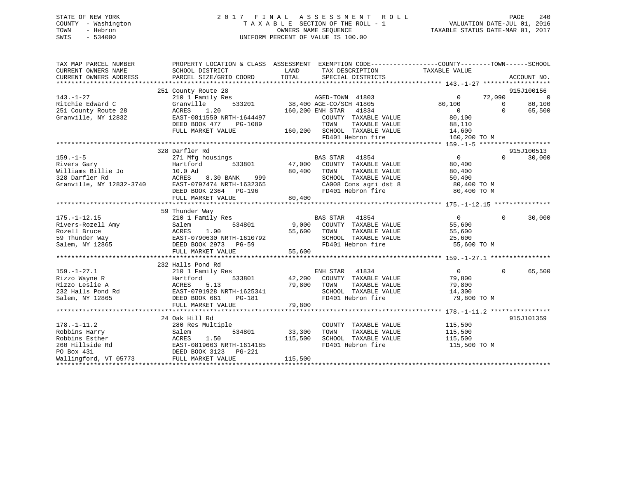## STATE OF NEW YORK 2 0 1 7 F I N A L A S S E S S M E N T R O L L PAGE 240 COUNTY - Washington T A X A B L E SECTION OF THE ROLL - 1 VALUATION DATE-JUL 01, 2016 TOWN - Hebron OWNERS NAME SEQUENCE TAXABLE STATUS DATE-MAR 01, 2017 SWIS - 534000 UNIFORM PERCENT OF VALUE IS 100.00

| TAX MAP PARCEL NUMBER<br>CURRENT OWNERS NAME<br>CURRENT OWNERS ADDRESS                                               | PROPERTY LOCATION & CLASS ASSESSMENT EXEMPTION CODE---------------COUNTY-------TOWN-----SCHOOL<br>SCHOOL DISTRICT<br>PARCEL SIZE/GRID COORD                              | LAND<br>TOTAL                        | TAX DESCRIPTION<br>SPECIAL DISTRICTS                                                                                                                      | TAXABLE VALUE                                                                      |                                | ACCOUNT NO.                                      |
|----------------------------------------------------------------------------------------------------------------------|--------------------------------------------------------------------------------------------------------------------------------------------------------------------------|--------------------------------------|-----------------------------------------------------------------------------------------------------------------------------------------------------------|------------------------------------------------------------------------------------|--------------------------------|--------------------------------------------------|
| $143. - 1 - 27$<br>Ritchie Edward C<br>251 County Route 28<br>Granville, NY 12832                                    | 251 County Route 28<br>210 1 Family Res<br>533201<br>Granville<br>1.20<br>ACRES<br>EAST-0811550 NRTH-1644497<br>DEED BOOK 477<br>PG-1089<br>FULL MARKET VALUE            | 160,200 ENH STAR                     | AGED-TOWN 41803<br>38,400 AGE-CO/SCH 41805<br>41834<br>COUNTY TAXABLE VALUE<br>TAXABLE VALUE<br>TOWN<br>160,200 SCHOOL TAXABLE VALUE<br>FD401 Hebron fire | $\Omega$<br>80,100<br>$\overline{0}$<br>80,100<br>88,110<br>14,600<br>160,200 TO M | 72,090<br>$\Omega$<br>$\Omega$ | 915J100156<br>$\overline{0}$<br>80,100<br>65,500 |
|                                                                                                                      |                                                                                                                                                                          |                                      |                                                                                                                                                           |                                                                                    |                                |                                                  |
| $159. - 1 - 5$<br>Rivers Gary<br>Rivers Gary<br>Williams Billie Jo<br>Williams Billie Jo<br>Granville, NY 12832-3740 | 328 Darfler Rd<br>271 Mfg housings<br>533801<br>Hartford<br>10.0 Ad<br>ACRES<br>8.30 BANK 999<br>EAST-0797474 NRTH-1632365<br>DEED BOOK 2364 PG-196<br>FULL MARKET VALUE | 80,400 TOWN<br>80,400                | BAS STAR 41854<br>47,000 COUNTY TAXABLE VALUE<br>TAXABLE VALUE<br>SCHOOL TAXABLE VALUE<br>CA008 Cons agri dst 8<br>FD401 Hebron fire                      | $\overline{0}$<br>80,400<br>80,400<br>50,400<br>80,400 TO M<br>80,400 TO M         | $\Omega$                       | 915J100513<br>30,000                             |
| $175. - 1 - 12.15$<br>Rivers-Rozell Amy<br>Rozell Bruce<br>59 Thunder Way<br>Salem, NY 12865                         | 59 Thunder Way<br>210 1 Family Res<br>534801<br>Salem<br>ACRES 1.00<br>EAST-0790630 NRTH-1610792<br>DEED BOOK 2973 PG-59<br>FULL MARKET VALUE                            | 55,600 TOWN<br>55,600<br>-<br>55,600 | <b>BAS STAR</b> 41854<br>9,000 COUNTY TAXABLE VALUE<br>TAXABLE VALUE<br>SCHOOL TAXABLE VALUE<br>FD401 Hebron fire                                         | $\overline{0}$<br>55,600<br>55,600<br>25,600<br>55,600 TO M                        | $\Omega$                       | 30,000                                           |
|                                                                                                                      | 232 Halls Pond Rd                                                                                                                                                        |                                      |                                                                                                                                                           |                                                                                    |                                |                                                  |
| $159. - 1 - 27.1$<br>Rizzo Wayne R<br>Rizzo Leslie A                                                                 | 210 1 Family Res<br>533801<br>Hartford<br>ACRES<br>5.13<br>EAST-0791928 NRTH-1625341<br>DEED BOOK 661<br>PG-181<br>FULL MARKET VALUE                                     | 79,800<br>79,800                     | ENH STAR 41834<br>42,200 COUNTY TAXABLE VALUE<br>TOWN<br>TAXABLE VALUE<br>SCHOOL TAXABLE VALUE<br>FD401 Hebron fire                                       | $0 \qquad \qquad$<br>79,800<br>79,800<br>14,300<br>79,800 TO M                     | $\mathbf{0}$                   | 65,500                                           |
|                                                                                                                      |                                                                                                                                                                          |                                      |                                                                                                                                                           |                                                                                    |                                |                                                  |
| $178. - 1 - 11.2$<br>Robbins Harry<br>Robbins Esther<br>260 Hillside Rd<br>PO Box 431<br>Wallingford, VT 05773       | 24 Oak Hill Rd<br>280 Res Multiple<br>534801<br>Salem<br>ACRES<br>1.50<br>EAST-0819663 NRTH-1614185<br>DEED BOOK 3123 PG-221<br>FULL MARKET VALUE                        | 33,300<br>115,500<br>115,500         | COUNTY TAXABLE VALUE<br>TAXABLE VALUE<br>TOWN<br>SCHOOL TAXABLE VALUE<br>FD401 Hebron fire                                                                | 115,500<br>115,500<br>115,500<br>115,500 TO M                                      |                                | 915J101359                                       |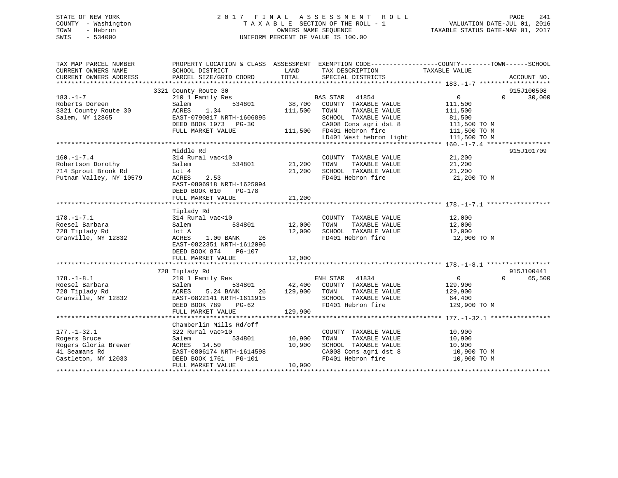## STATE OF NEW YORK 2 0 1 7 F I N A L A S S E S S M E N T R O L L PAGE 241 COUNTY - Washington T A X A B L E SECTION OF THE ROLL - 1 VALUATION DATE-JUL 01, 2016 TOWN - Hebron OWNERS NAME SEQUENCE TAXABLE STATUS DATE-MAR 01, 2017 SWIS - 534000 UNIFORM PERCENT OF VALUE IS 100.00

| TAX MAP PARCEL NUMBER<br>CURRENT OWNERS NAME<br>CURRENT OWNERS ADDRESS | PROPERTY LOCATION & CLASS ASSESSMENT EXEMPTION CODE---------------COUNTY-------TOWN-----SCHOOL<br>SCHOOL DISTRICT<br>PARCEL SIZE/GRID COORD | LAND<br>TOTAL | TAX DESCRIPTION<br>SPECIAL DISTRICTS          | TAXABLE VALUE    | ACCOUNT NO.        |
|------------------------------------------------------------------------|---------------------------------------------------------------------------------------------------------------------------------------------|---------------|-----------------------------------------------|------------------|--------------------|
|                                                                        |                                                                                                                                             |               |                                               |                  |                    |
|                                                                        | 3321 County Route 30                                                                                                                        |               |                                               |                  | 915J100508         |
| $183. - 1 - 7$                                                         | 210 1 Family Res                                                                                                                            |               | BAS STAR 41854                                | $\overline{0}$   | 30,000<br>$\Omega$ |
| Roberts Doreen                                                         | Salem<br>534801                                                                                                                             | 38,700        | COUNTY TAXABLE VALUE                          | 111,500          |                    |
| 3321 County Route 30                                                   | 1.34<br>ACRES                                                                                                                               | 111,500       | TAXABLE VALUE<br>TOWN                         | 111,500          |                    |
| Salem, NY 12865                                                        | EAST-0790817 NRTH-1606895                                                                                                                   |               | SCHOOL TAXABLE VALUE                          | 81,500           |                    |
|                                                                        | DEED BOOK 1973 PG-30                                                                                                                        |               | CA008 Cons agri dst 8                         | 111,500 TO M     |                    |
|                                                                        | FULL MARKET VALUE                                                                                                                           |               | 111,500 FD401 Hebron fire                     | 111,500 TO M     |                    |
|                                                                        |                                                                                                                                             |               | LD401 West hebron light                       | 111,500 TO M     |                    |
|                                                                        |                                                                                                                                             |               |                                               |                  |                    |
|                                                                        | Middle Rd                                                                                                                                   |               |                                               |                  | 915J101709         |
| $160. - 1 - 7.4$                                                       | 314 Rural vac<10                                                                                                                            |               | COUNTY TAXABLE VALUE                          | 21,200           |                    |
| Robertson Dorothy                                                      | Salem<br>534801                                                                                                                             | 21,200        | TOWN<br>TAXABLE VALUE                         | 21,200           |                    |
| 714 Sprout Brook Rd                                                    | Lot 4                                                                                                                                       | 21,200        | SCHOOL TAXABLE VALUE                          | 21,200           |                    |
| Putnam Valley, NY 10579                                                | ACRES<br>2.53                                                                                                                               |               | FD401 Hebron fire                             | 21,200 TO M      |                    |
|                                                                        | EAST-0806918 NRTH-1625094                                                                                                                   |               |                                               |                  |                    |
|                                                                        | DEED BOOK 610 PG-178                                                                                                                        |               |                                               |                  |                    |
|                                                                        | FULL MARKET VALUE                                                                                                                           | 21,200        |                                               |                  |                    |
|                                                                        |                                                                                                                                             |               |                                               |                  |                    |
|                                                                        |                                                                                                                                             |               |                                               |                  |                    |
| $178. - 1 - 7.1$                                                       | Tiplady Rd<br>314 Rural vac<10                                                                                                              |               |                                               |                  |                    |
| Roesel Barbara                                                         | 534801<br>Salem                                                                                                                             | 12,000        | COUNTY TAXABLE VALUE<br>TAXABLE VALUE<br>TOWN | 12,000<br>12,000 |                    |
|                                                                        |                                                                                                                                             |               |                                               |                  |                    |
| 728 Tiplady Rd                                                         | lot A                                                                                                                                       | 12,000        | SCHOOL TAXABLE VALUE                          | 12,000           |                    |
| Granville, NY 12832                                                    | ACRES<br>1.00 BANK<br>26                                                                                                                    |               | FD401 Hebron fire                             | 12,000 TO M      |                    |
|                                                                        | EAST-0822351 NRTH-1612096                                                                                                                   |               |                                               |                  |                    |
|                                                                        | DEED BOOK 874<br>PG-107                                                                                                                     |               |                                               |                  |                    |
|                                                                        | FULL MARKET VALUE                                                                                                                           | 12,000        |                                               |                  |                    |
|                                                                        |                                                                                                                                             |               |                                               |                  |                    |
|                                                                        | 728 Tiplady Rd                                                                                                                              |               |                                               |                  | 915J100441         |
| $178. - 1 - 8.1$                                                       | 210 1 Family Res                                                                                                                            |               | ENH STAR<br>41834                             | $\overline{0}$   | $\Omega$<br>65,500 |
| Roesel Barbara                                                         | Salem<br>534801                                                                                                                             |               | 42,400 COUNTY TAXABLE VALUE                   | 129,900          |                    |
| 728 Tiplady Rd                                                         | ACRES<br>5.24 BANK<br>26                                                                                                                    | 129,900 TOWN  | TAXABLE VALUE                                 | 129,900          |                    |
| Granville, NY 12832                                                    | EAST-0822141 NRTH-1611915                                                                                                                   |               | SCHOOL TAXABLE VALUE                          | 64,400           |                    |
|                                                                        | DEED BOOK 789 PG-62                                                                                                                         |               | FD401 Hebron fire                             | 129,900 TO M     |                    |
|                                                                        | FULL MARKET VALUE                                                                                                                           | 129,900       |                                               |                  |                    |
|                                                                        |                                                                                                                                             |               |                                               |                  |                    |
|                                                                        | Chamberlin Mills Rd/off                                                                                                                     |               |                                               |                  |                    |
| $177. - 1 - 32.1$                                                      | 322 Rural vac>10                                                                                                                            |               | COUNTY TAXABLE VALUE                          | 10,900           |                    |
| Rogers Bruce                                                           | 534801<br>Salem                                                                                                                             | 10,900        | TAXABLE VALUE<br>TOWN                         | 10,900           |                    |
| Rogers Gloria Brewer                                                   | ACRES 14.50                                                                                                                                 | 10,900        | SCHOOL TAXABLE VALUE                          | 10,900           |                    |
| 41 Seamans Rd                                                          | EAST-0806174 NRTH-1614598                                                                                                                   |               | CA008 Cons agri dst 8                         | 10,900 TO M      |                    |
| Castleton, NY 12033                                                    | DEED BOOK 1761 PG-101                                                                                                                       |               | FD401 Hebron fire                             | 10,900 TO M      |                    |
|                                                                        | FULL MARKET VALUE                                                                                                                           | 10,900        |                                               |                  |                    |
|                                                                        |                                                                                                                                             |               |                                               |                  |                    |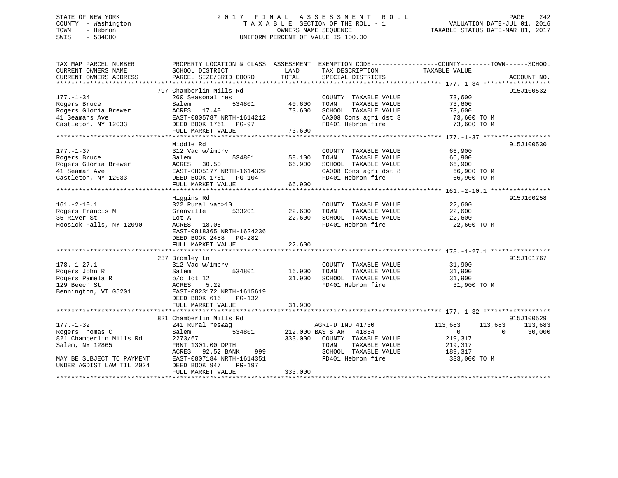## STATE OF NEW YORK 2 0 1 7 F I N A L A S S E S S M E N T R O L L PAGE 242 COUNTY - Washington T A X A B L E SECTION OF THE ROLL - 1 VALUATION DATE-JUL 01, 2016 TOWN - Hebron OWNERS NAME SEQUENCE TAXABLE STATUS DATE-MAR 01, 2017 SWIS - 534000 UNIFORM PERCENT OF VALUE IS 100.00

| TAX MAP PARCEL NUMBER<br>CURRENT OWNERS NAME                                                                                               | SCHOOL DISTRICT                                                                                                                                                                                           | TAX DESCRIPTION<br>LAND                                                                                                                                        | PROPERTY LOCATION & CLASS ASSESSMENT EXEMPTION CODE---------------COUNTY-------TOWN------SCHOOL<br>TAXABLE VALUE                     |
|--------------------------------------------------------------------------------------------------------------------------------------------|-----------------------------------------------------------------------------------------------------------------------------------------------------------------------------------------------------------|----------------------------------------------------------------------------------------------------------------------------------------------------------------|--------------------------------------------------------------------------------------------------------------------------------------|
| CURRENT OWNERS ADDRESS                                                                                                                     | PARCEL SIZE/GRID COORD                                                                                                                                                                                    | TOTAL<br>SPECIAL DISTRICTS                                                                                                                                     | ACCOUNT NO.                                                                                                                          |
| 177.-1-34<br>Rogers Bruce<br>Rogers Gloria Brewer<br>41 Seamans Ave<br>Castleton, NY 12033                                                 | 797 Chamberlin Mills Rd<br>260 Seasonal res<br>534801<br>Salem<br>ACRES<br>17.40<br>EAST-0805787 NRTH-1614212<br>DEED BOOK 1761 PG-97<br>FULL MARKET VALUE                                                | COUNTY TAXABLE VALUE<br>40,600<br>TOWN<br>TAXABLE VALUE<br>73,600<br>SCHOOL TAXABLE VALUE<br>CA008 Cons agri dst 8<br>FD401 Hebron fire<br>73,600              | 915J100532<br>73,600<br>73,600<br>73,600<br>73,600 TO M<br>73,600 TO M                                                               |
| $177. - 1 - 37$<br>Rogers Bruce<br>Rogers Gloria Brewer<br>41 Seaman Ave<br>Castleton, NY 12033                                            | Middle Rd<br>312 Vac w/imprv<br>534801<br>Salem<br>ACRES 30.50<br>EAST-0805177 NRTH-1614329<br>DEED BOOK 1761 PG-104<br>FULL MARKET VALUE                                                                 | COUNTY TAXABLE VALUE<br>58,100<br>TAXABLE VALUE<br>TOWN<br>66,900<br>SCHOOL TAXABLE VALUE<br>CA008 Cons agri dst 8<br>FD401 Hebron fire<br>66,900              | 915J100530<br>66,900<br>66,900<br>66,900<br>66,900 TO M<br>66,900 TO M                                                               |
| $161. - 2 - 10.1$<br>Rogers Francis M<br>35 River St<br>Hoosick Falls, NY 12090                                                            | Higgins Rd<br>322 Rural vac>10<br>Granville<br>533201<br>Lot A<br>ACRES 18.05<br>EAST-0818365 NRTH-1624236<br>DEED BOOK 2488 PG-282<br>FULL MARKET VALUE                                                  | COUNTY TAXABLE VALUE<br>22,600<br>TOWN<br>TAXABLE VALUE<br>SCHOOL TAXABLE VALUE<br>22,600<br>FD401 Hebron fire<br>22,600                                       | 915J100258<br>22,600<br>22,600<br>22,600<br>22,600 TO M                                                                              |
| $178. - 1 - 27.1$<br>Rogers John R<br>Rogers Pamela R<br>129 Beech St<br>Bennington, VT 05201                                              | 237 Bromley Ln<br>312 Vac w/imprv<br>534801<br>Salem<br>$p/\text{o}$ lot 12<br>5.22<br>ACRES<br>EAST-0823172 NRTH-1615619<br>DEED BOOK 616<br>PG-132<br>FULL MARKET VALUE                                 | COUNTY TAXABLE VALUE<br>16,900<br>TOWN<br>TAXABLE VALUE<br>31,900<br>SCHOOL TAXABLE VALUE<br>FD401 Hebron fire<br>31,900                                       | 915J101767<br>31,900<br>31,900<br>31,900<br>31,900 TO M                                                                              |
| $177. - 1 - 32$<br>Rogers Thomas C<br>821 Chamberlin Mills Rd<br>Salem, NY 12865<br>MAY BE SUBJECT TO PAYMENT<br>UNDER AGDIST LAW TIL 2024 | 821 Chamberlin Mills Rd<br>241 Rural res&ag<br>Salem<br>534801<br>2273/67<br>FRNT 1301.00 DPTH<br>92.52 BANK<br>ACRES<br>999<br>EAST-0807184 NRTH-1614351<br>DEED BOOK 947<br>PG-197<br>FULL MARKET VALUE | AGRI-D IND 41730<br>212,000 BAS STAR 41854<br>333,000<br>COUNTY TAXABLE VALUE<br>TAXABLE VALUE<br>TOWN<br>SCHOOL TAXABLE VALUE<br>FD401 Hebron fire<br>333,000 | 915J100529<br>113,683<br>113,683<br>113,683<br>30,000<br>$\overline{0}$<br>$\Omega$<br>219,317<br>219,317<br>189,317<br>333,000 TO M |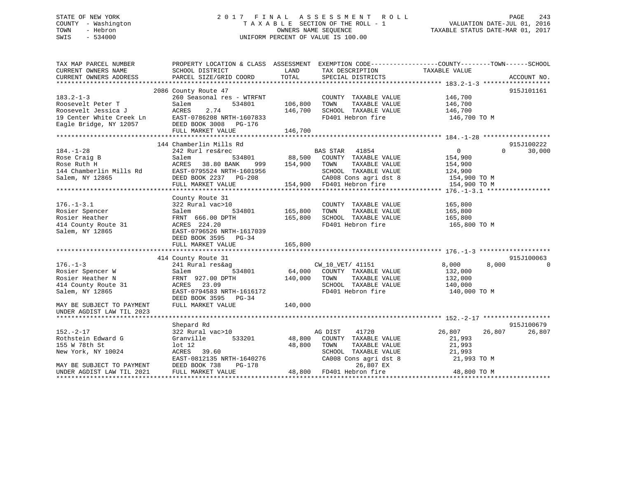## STATE OF NEW YORK 2 0 1 7 F I N A L A S S E S S M E N T R O L L PAGE 243 COUNTY - Washington T A X A B L E SECTION OF THE ROLL - 1 VALUATION DATE-JUL 01, 2016 TOWN - Hebron OWNERS NAME SEQUENCE TAXABLE STATUS DATE-MAR 01, 2017 SWIS - 534000 UNIFORM PERCENT OF VALUE IS 100.00

| TAX MAP PARCEL NUMBER<br>CURRENT OWNERS NAME<br>CURRENT OWNERS ADDRESS | PROPERTY LOCATION & CLASS ASSESSMENT<br>SCHOOL DISTRICT<br>PARCEL SIZE/GRID COORD | LAND<br>TOTAL                               | TAX DESCRIPTION<br>SPECIAL DISTRICTS               | EXEMPTION CODE-----------------COUNTY-------TOWN------SCHOOL<br>TAXABLE VALUE |             |
|------------------------------------------------------------------------|-----------------------------------------------------------------------------------|---------------------------------------------|----------------------------------------------------|-------------------------------------------------------------------------------|-------------|
|                                                                        |                                                                                   |                                             |                                                    |                                                                               | ACCOUNT NO. |
|                                                                        | 2086 County Route 47                                                              |                                             |                                                    |                                                                               | 915J101161  |
| $183.2 - 1 - 3$                                                        | 260 Seasonal res - WTRFNT                                                         |                                             | COUNTY TAXABLE VALUE                               |                                                                               |             |
| Roosevelt Peter T                                                      | 534801<br>Salem                                                                   | 106,800                                     | TAXABLE VALUE<br>TOWN                              | 146,700<br>146,700                                                            |             |
|                                                                        |                                                                                   | 146,700                                     | SCHOOL TAXABLE VALUE                               | 146,700                                                                       |             |
|                                                                        |                                                                                   |                                             | FD401 Hebron fire                                  | 146,700 TO M                                                                  |             |
|                                                                        |                                                                                   |                                             |                                                    |                                                                               |             |
|                                                                        | FULL MARKET VALUE                                                                 | 146,700                                     |                                                    |                                                                               |             |
|                                                                        |                                                                                   |                                             |                                                    |                                                                               |             |
|                                                                        | 144 Chamberlin Mills Rd                                                           |                                             |                                                    |                                                                               | 915J100222  |
| $184. - 1 - 28$                                                        | 242 Rurl res&rec                                                                  |                                             | BAS STAR 41854                                     | $\overline{0}$<br>$\Omega$                                                    | 30,000      |
| Rose Craig B                                                           | Salem                                                                             |                                             | COUNTY TAXABLE VALUE                               | 154,900                                                                       |             |
| Rose Ruth H                                                            | ACRES 38.80 BANK<br>999                                                           | 534801 88,500<br>NNK 999 154,900<br>154,900 | TAXABLE VALUE<br>TOWN                              | 154,900                                                                       |             |
| 144 Chamberlin Mills Rd                                                | EAST-0795524 NRTH-1601956                                                         |                                             | SCHOOL TAXABLE VALUE                               | 124,900                                                                       |             |
| Salem, NY 12865                                                        | DEED BOOK 2237 PG-208                                                             |                                             |                                                    | 154,900 TO M                                                                  |             |
|                                                                        | FULL MARKET VALUE                                                                 |                                             | CA008 Cons agri dst 8<br>154,900 FD401 Hebron fire | 154,900 TO M                                                                  |             |
|                                                                        |                                                                                   |                                             |                                                    |                                                                               |             |
|                                                                        | County Route 31                                                                   |                                             |                                                    |                                                                               |             |
| $176. - 1 - 3.1$                                                       | 322 Rural vac>10                                                                  |                                             | COUNTY TAXABLE VALUE                               | 165,800                                                                       |             |
| Rosier Spencer                                                         | Salem<br>534801                                                                   | 165,800                                     | TAXABLE VALUE<br>TOWN                              | 165,800                                                                       |             |
| Rosier Heather                                                         | FRNT 666.00 DPTH                                                                  | 165,800                                     |                                                    |                                                                               |             |
| 414 County Route 31                                                    | ACRES 224.20                                                                      |                                             | SCHOOL TAXABLE VALUE 165,800<br>FD401 Hebron fire  | 165,800 TO M                                                                  |             |
| Salem, NY 12865                                                        | EAST-0796526 NRTH-1617039                                                         |                                             |                                                    |                                                                               |             |
|                                                                        |                                                                                   |                                             |                                                    |                                                                               |             |
|                                                                        | DEED BOOK 3595 PG-34                                                              |                                             |                                                    |                                                                               |             |
|                                                                        | FULL MARKET VALUE                                                                 | 165,800                                     |                                                    |                                                                               |             |
|                                                                        |                                                                                   |                                             |                                                    |                                                                               | 915J100063  |
|                                                                        | 414 County Route 31                                                               |                                             |                                                    |                                                                               |             |
| $176. - 1 - 3$                                                         | 241 Rural res&ag                                                                  |                                             | CW_10_VET/ 41151                                   | 8,000<br>8,000                                                                | $\Omega$    |
| Rosier Spencer W                                                       | 534801<br>Salem                                                                   | 64,000                                      | COUNTY TAXABLE VALUE                               | 132,000                                                                       |             |
| Rosier Heather N                                                       | FRNT 927.00 DPTH                                                                  | 140,000                                     | TOWN<br>TAXABLE VALUE                              | 132,000                                                                       |             |
| 414 County Route 31                                                    | ACRES 23.09                                                                       |                                             | SCHOOL TAXABLE VALUE                               | 140,000                                                                       |             |
| Salem, NY 12865                                                        | EAST-0794583 NRTH-1616172                                                         |                                             | FD401 Hebron fire                                  | 140,000 TO M                                                                  |             |
|                                                                        | DEED BOOK 3595 PG-34                                                              |                                             |                                                    |                                                                               |             |
| MAY BE SUBJECT TO PAYMENT                                              | FULL MARKET VALUE                                                                 | 140,000                                     |                                                    |                                                                               |             |
| UNDER AGDIST LAW TIL 2023                                              |                                                                                   |                                             |                                                    |                                                                               |             |
|                                                                        |                                                                                   |                                             |                                                    |                                                                               |             |
|                                                                        | Shepard Rd                                                                        |                                             |                                                    |                                                                               | 915J100679  |
| $152. - 2 - 17$                                                        | 322 Rural vac>10                                                                  |                                             | AG DIST<br>41720                                   | 26,807<br>26,807                                                              | 26,807      |
| Rothstein Edward G                                                     | Granville<br>533201                                                               | 48,800                                      | COUNTY TAXABLE VALUE                               | 21,993                                                                        |             |
| 155 W 78th St                                                          | $1$ ot $12$                                                                       | 48,800                                      | TAXABLE VALUE<br>TOWN                              | 21,993                                                                        |             |
| New York, NY 10024                                                     | ACRES 39.60                                                                       |                                             | SCHOOL TAXABLE VALUE                               | 21,993                                                                        |             |
|                                                                        | EAST-0812135 NRTH-1640276                                                         |                                             | CA008 Cons agri dst 8                              | 21,993 TO M                                                                   |             |
| MAY BE SUBJECT TO PAYMENT                                              | DEED BOOK 738<br>PG-178                                                           |                                             | 26,807 EX                                          |                                                                               |             |
| UNDER AGDIST LAW TIL 2021                                              | FULL MARKET VALUE                                                                 |                                             | 48,800 FD401 Hebron fire                           | 48,800 TO M                                                                   |             |
|                                                                        |                                                                                   |                                             |                                                    |                                                                               |             |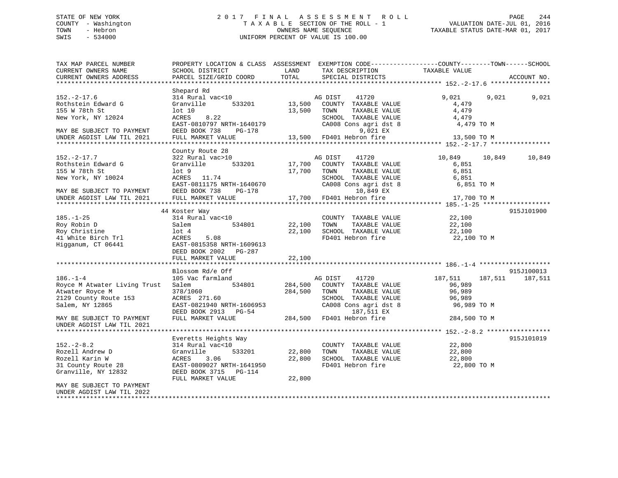## STATE OF NEW YORK 2 0 1 7 F I N A L A S S E S S M E N T R O L L PAGE 244 COUNTY - Washington T A X A B L E SECTION OF THE ROLL - 1 VALUATION DATE-JUL 01, 2016 TOWN - Hebron OWNERS NAME SEQUENCE TAXABLE STATUS DATE-MAR 01, 2017 SWIS - 534000 UNIFORM PERCENT OF VALUE IS 100.00

| TAX MAP PARCEL NUMBER<br>CURRENT OWNERS NAME            | PROPERTY LOCATION & CLASS ASSESSMENT EXEMPTION CODE----------------COUNTY-------TOWN------SCHOOL<br>SCHOOL DISTRICT | LAND    | TAX DESCRIPTION                                                                 | TAXABLE VALUE                    |             |
|---------------------------------------------------------|---------------------------------------------------------------------------------------------------------------------|---------|---------------------------------------------------------------------------------|----------------------------------|-------------|
| CURRENT OWNERS ADDRESS                                  | PARCEL SIZE/GRID COORD                                                                                              | TOTAL   | SPECIAL DISTRICTS                                                               |                                  | ACCOUNT NO. |
|                                                         | Shepard Rd                                                                                                          |         |                                                                                 |                                  |             |
| $152 - 2 - 17.6$<br>Rothstein Edward G<br>155 W 78th St | 314 Rural vac<10<br>533201<br>Granville<br>lot 10                                                                   |         | 41720<br>AG DIST<br>13,500 COUNTY TAXABLE VALUE<br>13,500 TOWN<br>TAXABLE VALUE | 9,021<br>9,021<br>4,479<br>4,479 | 9,021       |
| New York, NY 12024                                      | 8.22<br>ACRES<br>EAST-0810797 NRTH-1640179                                                                          |         | SCHOOL TAXABLE VALUE<br>CA008 Cons agri dst 8                                   | 4,479<br>4,479 TO M              |             |
| MAY BE SUBJECT TO PAYMENT                               | DEED BOOK 738<br>PG-178                                                                                             |         | 9,021 EX                                                                        |                                  |             |
| UNDER AGDIST LAW TIL 2021                               | FULL MARKET VALUE                                                                                                   |         | 13,500 FD401 Hebron fire                                                        | 13,500 TO M                      |             |
|                                                         |                                                                                                                     |         |                                                                                 |                                  |             |
| $152 - 2 - 17.7$                                        | County Route 28<br>322 Rural vac>10                                                                                 |         | AG DIST<br>41720                                                                | 10,849<br>10,849                 | 10,849      |
| Rothstein Edward G                                      | 533201<br>Granville                                                                                                 | 17,700  | COUNTY TAXABLE VALUE                                                            | 6,851                            |             |
| 155 W 78th St                                           | lot <sub>9</sub>                                                                                                    | 17,700  | TOWN<br>TAXABLE VALUE                                                           | 6,851                            |             |
| New York, NY 10024                                      | ACRES 11.74                                                                                                         |         | SCHOOL TAXABLE VALUE                                                            | 6,851                            |             |
|                                                         | EAST-0811175 NRTH-1640670                                                                                           |         | CA008 Cons agri dst 8                                                           | 6,851 TO M                       |             |
| MAY BE SUBJECT TO PAYMENT                               | DEED BOOK 738<br>PG-178                                                                                             |         | 10,849 EX                                                                       |                                  |             |
| UNDER AGDIST LAW TIL 2021                               | FULL MARKET VALUE                                                                                                   |         | 17,700 FD401 Hebron fire                                                        | 17,700 TO M                      |             |
|                                                         |                                                                                                                     |         |                                                                                 |                                  |             |
|                                                         | 44 Koster Way                                                                                                       |         |                                                                                 |                                  | 915J101900  |
| $185. - 1 - 25$                                         | 314 Rural vac<10                                                                                                    |         | COUNTY TAXABLE VALUE                                                            | 22,100                           |             |
| Roy Robin D                                             | 534801<br>Salem                                                                                                     | 22,100  | TOWN<br>TAXABLE VALUE                                                           | 22,100                           |             |
| Roy Christine                                           | $1$ ot $4$                                                                                                          | 22,100  | SCHOOL TAXABLE VALUE<br>FD401 Hebron fire                                       | 22,100                           |             |
| 41 White Birch Trl                                      | ACRES<br>5.08                                                                                                       |         |                                                                                 | 22,100 TO M                      |             |
| Higganum, CT 06441                                      | EAST-0815358 NRTH-1609613<br>DEED BOOK 2002 PG-287                                                                  |         |                                                                                 |                                  |             |
|                                                         | FULL MARKET VALUE                                                                                                   | 22,100  |                                                                                 |                                  |             |
|                                                         |                                                                                                                     |         |                                                                                 |                                  |             |
|                                                         | Blossom Rd/e Off                                                                                                    |         |                                                                                 |                                  | 915J100013  |
| $186. - 1 - 4$                                          | 105 Vac farmland                                                                                                    |         | AG DIST<br>41720                                                                | 187,511<br>187,511               | 187,511     |
| Royce M Atwater Living Trust                            | 534801<br>Salem                                                                                                     | 284,500 | COUNTY TAXABLE VALUE                                                            | 96,989                           |             |
| Atwater Royce M                                         | 378/1060                                                                                                            | 284,500 | TAXABLE VALUE<br>TOWN                                                           | 96,989                           |             |
| 2129 County Route 153                                   | ACRES 271.60                                                                                                        |         | SCHOOL TAXABLE VALUE                                                            | 96,989                           |             |
| Salem, NY 12865                                         | EAST-0821940 NRTH-1606953<br>DEED BOOK 2913 PG-54                                                                   |         | CA008 Cons agri dst 8<br>187,511 EX                                             | 96,989 TO M                      |             |
| MAY BE SUBJECT TO PAYMENT                               | FULL MARKET VALUE                                                                                                   |         | 284,500 FD401 Hebron fire                                                       | 284,500 TO M                     |             |
| UNDER AGDIST LAW TIL 2021                               |                                                                                                                     |         |                                                                                 |                                  |             |
|                                                         |                                                                                                                     |         |                                                                                 |                                  |             |
| $152 - 2 - 8.2$                                         | Everetts Heights Way<br>314 Rural vac<10                                                                            |         | COUNTY TAXABLE VALUE                                                            | 22,800                           | 915J101019  |
| Rozell Andrew D                                         | Granville<br>533201                                                                                                 | 22,800  | TOWN<br>TAXABLE VALUE                                                           | 22,800                           |             |
| Rozell Karin W                                          | ACRES<br>3.06                                                                                                       | 22,800  | SCHOOL TAXABLE VALUE                                                            | 22,800                           |             |
| 31 County Route 28                                      | EAST-0809027 NRTH-1641950                                                                                           |         | FD401 Hebron fire                                                               | 22,800 TO M                      |             |
| Granville, NY 12832                                     | DEED BOOK 3715 PG-114                                                                                               |         |                                                                                 |                                  |             |
|                                                         | FULL MARKET VALUE                                                                                                   | 22,800  |                                                                                 |                                  |             |
| MAY BE SUBJECT TO PAYMENT                               |                                                                                                                     |         |                                                                                 |                                  |             |
| UNDER AGDIST LAW TIL 2022                               |                                                                                                                     |         |                                                                                 |                                  |             |
| ******************                                      |                                                                                                                     |         |                                                                                 |                                  |             |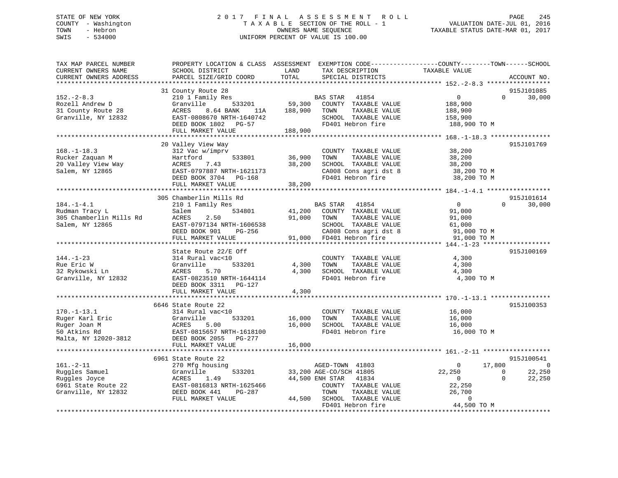## STATE OF NEW YORK 2 0 1 7 F I N A L A S S E S S M E N T R O L L PAGE 245 COUNTY - Washington T A X A B L E SECTION OF THE ROLL - 1 VALUATION DATE-JUL 01, 2016 TOWN - Hebron OWNERS NAME SEQUENCE TAXABLE STATUS DATE-MAR 01, 2017 SWIS - 534000 UNIFORM PERCENT OF VALUE IS 100.00

| TAX MAP PARCEL NUMBER<br>CURRENT OWNERS NAME<br>CURRENT OWNERS ADDRESS                           | PROPERTY LOCATION & CLASS ASSESSMENT EXEMPTION CODE----------------COUNTY-------TOWN-----SCHOOL<br>SCHOOL DISTRICT<br>PARCEL SIZE/GRID COORD                         | LAND<br>TOTAL              | TAX DESCRIPTION<br>SPECIAL DISTRICTS                                                                                                            | TAXABLE VALUE                                                                  | ACCOUNT NO.                                                           |
|--------------------------------------------------------------------------------------------------|----------------------------------------------------------------------------------------------------------------------------------------------------------------------|----------------------------|-------------------------------------------------------------------------------------------------------------------------------------------------|--------------------------------------------------------------------------------|-----------------------------------------------------------------------|
|                                                                                                  |                                                                                                                                                                      |                            |                                                                                                                                                 |                                                                                |                                                                       |
| $152 - 2 - 8.3$<br>Rozell Andrew D<br>31 County Route 28<br>Granville, NY 12832                  | 31 County Route 28<br>210 1 Family Res<br>Granville<br>533201<br>ACRES<br>8.64 BANK<br>11A<br>EAST-0808670 NRTH-1640742<br>DEED BOOK 1802 PG-57<br>FULL MARKET VALUE | 59,300<br>188,900          | BAS STAR<br>41854<br>COUNTY TAXABLE VALUE<br>TAXABLE VALUE<br>TOWN<br>SCHOOL TAXABLE VALUE<br>FD401 Hebron fire                                 | $\overline{0}$<br>188,900<br>188,900<br>158,900<br>188,900 TO M                | 915J101085<br>$\Omega$<br>30,000                                      |
|                                                                                                  |                                                                                                                                                                      | 188,900                    |                                                                                                                                                 |                                                                                |                                                                       |
| $168. - 1 - 18.3$<br>Rucker Zaquan M<br>20 Valley View Way<br>Salem, NY 12865                    | 20 Valley View Way<br>312 Vac w/imprv<br>Hartford<br>533801<br>7.43<br>ACRES<br>EAST-0797887 NRTH-1621173<br>DEED BOOK 3704 PG-168                                   | 36,900<br>38,200           | COUNTY TAXABLE VALUE<br>TAXABLE VALUE<br>TOWN<br>SCHOOL TAXABLE VALUE<br>CA008 Cons agri dst 8<br>FD401 Hebron fire                             | 38,200<br>38,200<br>38,200<br>38,200 TO M<br>38,200 TO M                       | 915J101769                                                            |
|                                                                                                  | FULL MARKET VALUE                                                                                                                                                    | 38,200                     |                                                                                                                                                 |                                                                                |                                                                       |
|                                                                                                  |                                                                                                                                                                      |                            |                                                                                                                                                 |                                                                                |                                                                       |
| $184. - 1 - 4.1$<br>Rudman Tracy L<br>305 Chamberlin Mills Rd<br>Salem, NY 12865                 | 305 Chamberlin Mills Rd<br>210 1 Family Res<br>534801<br>Salem<br>ACRES<br>2.50<br>EAST-0797134 NRTH-1606538<br>DEED BOOK 901<br>PG-256<br>FULL MARKET VALUE         | 41,200<br>91,000<br>91,000 | <b>BAS STAR</b><br>41854<br>COUNTY TAXABLE VALUE<br>TOWN<br>TAXABLE VALUE<br>SCHOOL TAXABLE VALUE<br>CA008 Cons agri dst 8<br>FD401 Hebron fire | $\overline{0}$<br>91,000<br>91,000<br>61,000<br>91,000 TO M<br>91,000 TO M     | 915J101614<br>$\Omega$<br>30,000                                      |
|                                                                                                  |                                                                                                                                                                      |                            |                                                                                                                                                 |                                                                                |                                                                       |
| $144. - 1 - 23$<br>Rue Eric W<br>32 Rykowski Ln<br>Granville, NY 12832                           | State Route 22/E Off<br>314 Rural vac<10<br>Granville<br>533201<br>ACRES<br>5.70<br>EAST-0823510 NRTH-1644114<br>DEED BOOK 3311 PG-127                               | 4,300<br>4,300             | COUNTY TAXABLE VALUE<br>TOWN<br>TAXABLE VALUE<br>SCHOOL TAXABLE VALUE<br>FD401 Hebron fire                                                      | 4,300<br>4,300<br>4,300<br>4,300 TO M                                          | 915J100169                                                            |
|                                                                                                  | FULL MARKET VALUE                                                                                                                                                    | 4,300                      |                                                                                                                                                 |                                                                                |                                                                       |
| $170. - 1 - 13.1$<br>Ruger Karl Eric<br>Ruger Joan M<br>50 Atkins Rd<br>Malta, NY 12020-3812     | 6646 State Route 22<br>314 Rural vac<10<br>Granville<br>533201<br>ACRES<br>5.00<br>EAST-0815657 NRTH-1618100<br>DEED BOOK 2055 PG-277                                | 16,000<br>16,000           | COUNTY TAXABLE VALUE<br>TAXABLE VALUE<br>TOWN<br>SCHOOL TAXABLE VALUE<br>FD401 Hebron fire                                                      | 16,000<br>16,000<br>16,000<br>16,000 TO M                                      | 915J100353                                                            |
|                                                                                                  | FULL MARKET VALUE                                                                                                                                                    | 16,000                     |                                                                                                                                                 |                                                                                |                                                                       |
|                                                                                                  |                                                                                                                                                                      |                            |                                                                                                                                                 |                                                                                |                                                                       |
| $161. - 2 - 11$<br>Ruggles Samuel<br>Ruggles Joyce<br>6961 State Route 22<br>Granville, NY 12832 | 6961 State Route 22<br>270 Mfg housing<br>Granville<br>533201<br>ACRES<br>1.49<br>EAST-0816813 NRTH-1625466<br>DEED BOOK 441<br>PG-287<br>FULL MARKET VALUE          | 44,500                     | AGED-TOWN 41803<br>33,200 AGE-CO/SCH 41805<br>44,500 ENH STAR<br>41834<br>COUNTY TAXABLE VALUE<br>TOWN<br>TAXABLE VALUE<br>SCHOOL TAXABLE VALUE | 17,800<br>$\Omega$<br>22,250<br>$\overline{0}$<br>22,250<br>26,700<br>$\Omega$ | 915J100541<br>$\mathbf 0$<br>$\Omega$<br>22,250<br>$\Omega$<br>22,250 |
|                                                                                                  |                                                                                                                                                                      |                            | FD401 Hebron fire                                                                                                                               | 44,500 TO M                                                                    |                                                                       |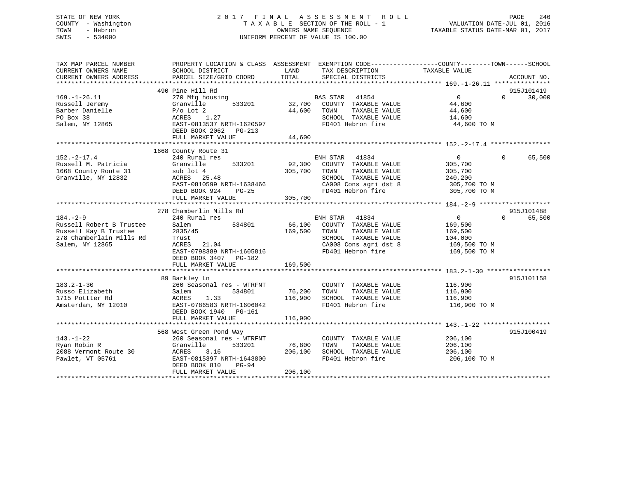## STATE OF NEW YORK 2 0 1 7 F I N A L A S S E S S M E N T R O L L PAGE 246 COUNTY - Washington T A X A B L E SECTION OF THE ROLL - 1 VALUATION DATE-JUL 01, 2016 TOWN - Hebron OWNERS NAME SEQUENCE TAXABLE STATUS DATE-MAR 01, 2017 SWIS - 534000 UNIFORM PERCENT OF VALUE IS 100.00

| TAX MAP PARCEL NUMBER<br>CURRENT OWNERS NAME<br>CURRENT OWNERS ADDRESS | SCHOOL DISTRICT<br>PARCEL SIZE/GRID COORD | PROPERTY LOCATION & CLASS ASSESSMENT EXEMPTION CODE----------------COUNTY-------TOWN-----SCHOOL<br>LAND<br>TAX DESCRIPTION<br>TOTAL<br>SPECIAL DISTRICTS | TAXABLE VALUE<br>ACCOUNT NO.            |
|------------------------------------------------------------------------|-------------------------------------------|----------------------------------------------------------------------------------------------------------------------------------------------------------|-----------------------------------------|
|                                                                        |                                           |                                                                                                                                                          |                                         |
|                                                                        | 490 Pine Hill Rd                          |                                                                                                                                                          | 915J101419                              |
| $169. - 1 - 26.11$                                                     | 270 Mfg housing                           | BAS STAR 41854                                                                                                                                           | $0 \qquad \qquad$<br>30,000<br>$\Omega$ |
| Russell Jeremy                                                         | 533201<br>Granville                       | 32,700<br>COUNTY TAXABLE VALUE                                                                                                                           | 44,600                                  |
| Barber Danielle                                                        | $P/O$ Lot 2                               | 44,600<br>TAXABLE VALUE<br>TOWN                                                                                                                          | 44,600                                  |
| PO Box 38                                                              | ACRES 1.27                                | SCHOOL TAXABLE VALUE                                                                                                                                     | 14,600                                  |
| Salem, NY 12865                                                        | EAST-0813537 NRTH-1620597                 | FD401 Hebron fire                                                                                                                                        | 44,600 TO M                             |
|                                                                        | DEED BOOK 2062 PG-213                     |                                                                                                                                                          |                                         |
|                                                                        | FULL MARKET VALUE                         | 44,600                                                                                                                                                   |                                         |
|                                                                        |                                           |                                                                                                                                                          |                                         |
|                                                                        | 1668 County Route 31                      |                                                                                                                                                          |                                         |
| $152. - 2 - 17.4$                                                      | 240 Rural res                             | ENH STAR 41834                                                                                                                                           | 0<br>65,500<br>$\Omega$                 |
| Russell M. Patricia                                                    | 533201<br>Granville                       | 92,300<br>COUNTY TAXABLE VALUE                                                                                                                           | 305,700                                 |
| 1668 County Route 31                                                   | sub lot 4                                 | 305,700<br>TOWN<br>TAXABLE VALUE                                                                                                                         | 305,700                                 |
| Granville, NY 12832                                                    | ACRES 25.48                               | SCHOOL TAXABLE VALUE                                                                                                                                     | 240,200                                 |
|                                                                        |                                           |                                                                                                                                                          |                                         |
|                                                                        | EAST-0810599 NRTH-1638466                 | CA008 Cons agri dst 8                                                                                                                                    | 305,700 TO M                            |
|                                                                        | DEED BOOK 924<br>$PG-25$                  | FD401 Hebron fire                                                                                                                                        | 305,700 TO M                            |
|                                                                        | FULL MARKET VALUE                         | 305,700                                                                                                                                                  |                                         |
|                                                                        |                                           |                                                                                                                                                          |                                         |
|                                                                        | 278 Chamberlin Mills Rd                   |                                                                                                                                                          | 915J101488                              |
| $184. - 2 - 9$                                                         | 240 Rural res                             | ENH STAR 41834                                                                                                                                           | $0 \qquad \qquad$<br>$\Omega$<br>65,500 |
| Russell Robert B Trustee                                               | Salem<br>534801                           | 66,100<br>COUNTY TAXABLE VALUE                                                                                                                           | 169,500                                 |
| Russell Kay B Trustee                                                  | 2835/45                                   | 169,500<br>TAXABLE VALUE<br>TOWN                                                                                                                         | 169,500                                 |
| 278 Chamberlain Mills Rd                                               | Trust                                     | SCHOOL TAXABLE VALUE                                                                                                                                     | 104,000                                 |
| Salem, NY 12865                                                        | ACRES<br>21.04                            | CA008 Cons agri dst 8                                                                                                                                    | 169,500 TO M                            |
|                                                                        | EAST-0798389 NRTH-1605816                 | FD401 Hebron fire                                                                                                                                        | 169,500 TO M                            |
|                                                                        | DEED BOOK 3407 PG-182                     |                                                                                                                                                          |                                         |
|                                                                        | FULL MARKET VALUE                         | 169,500                                                                                                                                                  |                                         |
|                                                                        |                                           |                                                                                                                                                          |                                         |
|                                                                        | 89 Barkley Ln                             |                                                                                                                                                          | 915J101158                              |
| $183.2 - 1 - 30$                                                       | 260 Seasonal res - WTRFNT                 | COUNTY TAXABLE VALUE                                                                                                                                     | 116,900                                 |
| Russo Elizabeth                                                        | 534801<br>Salem                           | 76,200<br>TAXABLE VALUE<br>TOWN                                                                                                                          | 116,900                                 |
| 1715 Pottter Rd                                                        | 1.33<br>ACRES                             | 116,900<br>SCHOOL TAXABLE VALUE                                                                                                                          | 116,900                                 |
| Amsterdam, NY 12010                                                    | EAST-0786583 NRTH-1606042                 | FD401 Hebron fire                                                                                                                                        | 116,900 TO M                            |
|                                                                        | DEED BOOK 1940 PG-161                     |                                                                                                                                                          |                                         |
|                                                                        | FULL MARKET VALUE                         | 116,900                                                                                                                                                  |                                         |
|                                                                        |                                           |                                                                                                                                                          |                                         |
|                                                                        | 568 West Green Pond Way                   |                                                                                                                                                          | 915J100419                              |
| $143. - 1 - 22$                                                        | 260 Seasonal res - WTRFNT                 | COUNTY TAXABLE VALUE                                                                                                                                     | 206,100                                 |
| Ryan Robin R                                                           | Granville<br>533201                       | 76,800<br>TAXABLE VALUE<br>TOWN                                                                                                                          | 206,100                                 |
| 2088 Vermont Route 30                                                  | 3.16<br>ACRES                             | 206,100<br>SCHOOL TAXABLE VALUE                                                                                                                          | 206,100                                 |
| Pawlet, VT 05761                                                       | EAST-0815397 NRTH-1643800                 | FD401 Hebron fire                                                                                                                                        | 206,100 ТО М                            |
|                                                                        | DEED BOOK 810<br>PG-94                    |                                                                                                                                                          |                                         |
|                                                                        |                                           |                                                                                                                                                          |                                         |
|                                                                        | FULL MARKET VALUE                         | 206,100                                                                                                                                                  |                                         |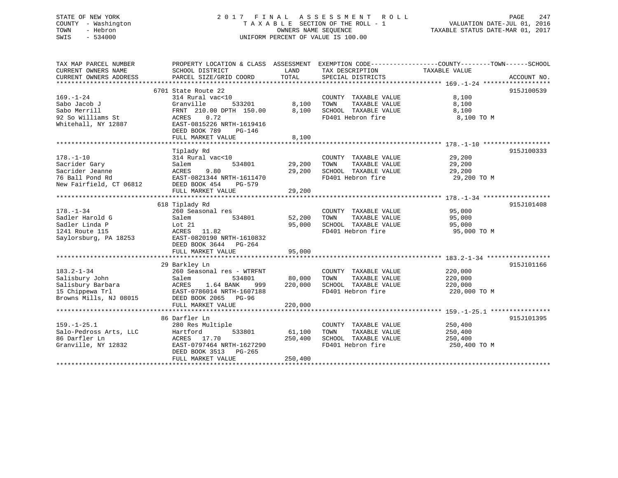## STATE OF NEW YORK 2 0 1 7 F I N A L A S S E S S M E N T R O L L PAGE 247 COUNTY - Washington T A X A B L E SECTION OF THE ROLL - 1 VALUATION DATE-JUL 01, 2016 TOWN - Hebron OWNERS NAME SEQUENCE TAXABLE STATUS DATE-MAR 01, 2017 SWIS - 534000 UNIFORM PERCENT OF VALUE IS 100.00

| TAX MAP PARCEL NUMBER<br>CURRENT OWNERS NAME                                                         | PROPERTY LOCATION & CLASS ASSESSMENT<br>SCHOOL DISTRICT                                                                                                              | LAND                         | TAX DESCRIPTION                                                                            | EXEMPTION CODE-----------------COUNTY-------TOWN------SCHOOL<br>TAXABLE VALUE |             |
|------------------------------------------------------------------------------------------------------|----------------------------------------------------------------------------------------------------------------------------------------------------------------------|------------------------------|--------------------------------------------------------------------------------------------|-------------------------------------------------------------------------------|-------------|
| CURRENT OWNERS ADDRESS                                                                               | PARCEL SIZE/GRID COORD                                                                                                                                               | TOTAL                        | SPECIAL DISTRICTS                                                                          |                                                                               | ACCOUNT NO. |
|                                                                                                      | 6701 State Route 22                                                                                                                                                  |                              |                                                                                            |                                                                               | 915J100539  |
| $169. - 1 - 24$<br>Sabo Jacob J                                                                      | 314 Rural vac<10<br>Granville<br>533201                                                                                                                              | 8,100                        | COUNTY TAXABLE VALUE<br>TOWN<br>TAXABLE VALUE                                              | 8,100<br>8,100                                                                |             |
| Sabo Merrill<br>92 So Williams St<br>Whitehall, NY 12887                                             | FRNT 210.00 DPTH 150.00<br>ACRES<br>0.72<br>EAST-0815226 NRTH-1619416<br>DEED BOOK 789<br>$PG-146$                                                                   | 8,100                        | SCHOOL TAXABLE VALUE<br>FD401 Hebron fire                                                  | 8,100<br>8,100 TO M                                                           |             |
|                                                                                                      | FULL MARKET VALUE                                                                                                                                                    | 8,100                        |                                                                                            |                                                                               |             |
|                                                                                                      | Tiplady Rd                                                                                                                                                           |                              |                                                                                            |                                                                               | 915J100333  |
| $178. - 1 - 10$<br>Sacrider Gary<br>Sacrider Jeanne<br>76 Ball Pond Rd<br>New Fairfield, CT 06812    | 314 Rural vac<10<br>534801<br>Salem<br>ACRES<br>9.80<br>EAST-0821344 NRTH-1611470<br>DEED BOOK 454<br>$PG-579$<br>FULL MARKET VALUE                                  | 29,200<br>29,200<br>29,200   | COUNTY TAXABLE VALUE<br>TOWN<br>TAXABLE VALUE<br>SCHOOL TAXABLE VALUE<br>FD401 Hebron fire | 29,200<br>29,200<br>29,200<br>29,200 TO M                                     |             |
|                                                                                                      |                                                                                                                                                                      |                              |                                                                                            |                                                                               |             |
| $178. - 1 - 34$<br>Sadler Harold G<br>Sadler Linda P<br>1241 Route 115<br>Saylorsburg, PA 18253      | 618 Tiplady Rd<br>260 Seasonal res<br>Salem<br>534801<br>Lot 21<br>11.82<br>ACRES<br>EAST-0820190 NRTH-1610832<br>DEED BOOK 3644 PG-264<br>FULL MARKET VALUE         | 52,200<br>95,000<br>95,000   | COUNTY TAXABLE VALUE<br>TOWN<br>TAXABLE VALUE<br>SCHOOL TAXABLE VALUE<br>FD401 Hebron fire | 95,000<br>95,000<br>95,000<br>95,000 TO M                                     | 915J101408  |
|                                                                                                      |                                                                                                                                                                      |                              |                                                                                            |                                                                               |             |
| $183.2 - 1 - 34$<br>Salisbury John<br>Salisbury Barbara<br>15 Chippewa Trl<br>Browns Mills, NJ 08015 | 29 Barkley Ln<br>260 Seasonal res - WTRFNT<br>534801<br>Salem<br>ACRES<br>1.64 BANK<br>999<br>EAST-0786014 NRTH-1607188<br>DEED BOOK 2065 PG-96<br>FULL MARKET VALUE | 80,000<br>220,000<br>220,000 | COUNTY TAXABLE VALUE<br>TOWN<br>TAXABLE VALUE<br>SCHOOL TAXABLE VALUE<br>FD401 Hebron fire | 220,000<br>220,000<br>220,000<br>220,000 TO M                                 | 915J101166  |
|                                                                                                      |                                                                                                                                                                      |                              |                                                                                            |                                                                               |             |
| $159. - 1 - 25.1$<br>Salo-Pedross Arts, LLC<br>86 Darfler Ln<br>Granville, NY 12832                  | 86 Darfler Ln<br>280 Res Multiple<br>533801<br>Hartford<br>ACRES 17.70<br>EAST-0797464 NRTH-1627290<br>DEED BOOK 3513<br>PG-265<br>FULL MARKET VALUE                 | 61,100<br>250,400<br>250,400 | COUNTY TAXABLE VALUE<br>TOWN<br>TAXABLE VALUE<br>SCHOOL TAXABLE VALUE<br>FD401 Hebron fire | 250,400<br>250,400<br>250,400<br>250,400 TO M                                 | 915J101395  |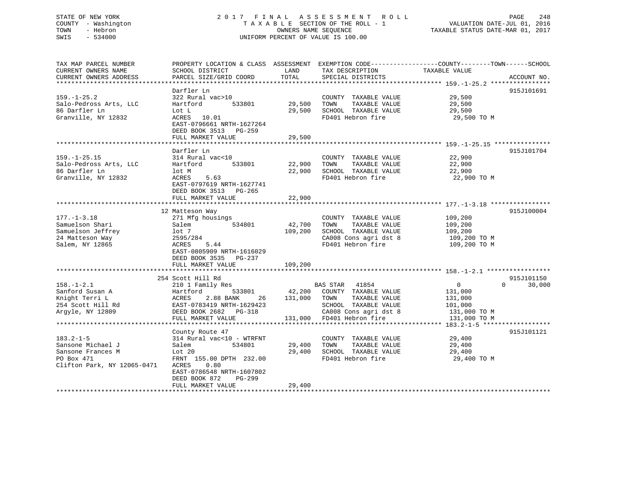## STATE OF NEW YORK 2 0 1 7 F I N A L A S S E S S M E N T R O L L PAGE 248 COUNTY - Washington T A X A B L E SECTION OF THE ROLL - 1 VALUATION DATE-JUL 01, 2016 TOWN - Hebron OWNERS NAME SEQUENCE TAXABLE STATUS DATE-MAR 01, 2017 SWIS - 534000 UNIFORM PERCENT OF VALUE IS 100.00

| TAX MAP PARCEL NUMBER       | PROPERTY LOCATION & CLASS ASSESSMENT EXEMPTION CODE---------------COUNTY-------TOWN-----SCHOOL |         |                           |                |                    |
|-----------------------------|------------------------------------------------------------------------------------------------|---------|---------------------------|----------------|--------------------|
| CURRENT OWNERS NAME         | SCHOOL DISTRICT                                                                                | LAND    | TAX DESCRIPTION           | TAXABLE VALUE  |                    |
| CURRENT OWNERS ADDRESS      | PARCEL SIZE/GRID COORD                                                                         | TOTAL   | SPECIAL DISTRICTS         |                | ACCOUNT NO.        |
|                             |                                                                                                |         |                           |                |                    |
|                             | Darfler Ln                                                                                     |         |                           |                | 915J101691         |
| $159. - 1 - 25.2$           | 322 Rural vac>10                                                                               |         | COUNTY TAXABLE VALUE      | 29,500         |                    |
| Salo-Pedross Arts, LLC      | 533801<br>Hartford                                                                             | 29,500  | TOWN<br>TAXABLE VALUE     | 29,500         |                    |
| 86 Darfler Ln               | Lot L                                                                                          | 29,500  | SCHOOL TAXABLE VALUE      | 29,500         |                    |
| Granville, NY 12832         | ACRES 10.01                                                                                    |         | FD401 Hebron fire         | 29,500 TO M    |                    |
|                             | EAST-0796661 NRTH-1627264                                                                      |         |                           |                |                    |
|                             | DEED BOOK 3513 PG-259                                                                          |         |                           |                |                    |
|                             | FULL MARKET VALUE                                                                              | 29,500  |                           |                |                    |
|                             |                                                                                                |         |                           |                |                    |
|                             | Darfler Ln                                                                                     |         |                           |                | 915J101704         |
| $159. - 1 - 25.15$          | 314 Rural vac<10                                                                               |         | COUNTY TAXABLE VALUE      | 22,900         |                    |
| Salo-Pedross Arts, LLC      | 533801<br>Hartford                                                                             | 22,900  | TOWN<br>TAXABLE VALUE     | 22,900         |                    |
| 86 Darfler Ln               | lot M                                                                                          | 22,900  | SCHOOL TAXABLE VALUE      | 22,900         |                    |
| Granville, NY 12832         | 5.63<br>ACRES                                                                                  |         | FD401 Hebron fire         | 22,900 TO M    |                    |
|                             | EAST-0797619 NRTH-1627741                                                                      |         |                           |                |                    |
|                             | DEED BOOK 3513 PG-265                                                                          |         |                           |                |                    |
|                             | FULL MARKET VALUE                                                                              | 22,900  |                           |                |                    |
|                             |                                                                                                |         |                           |                |                    |
|                             | 12 Matteson Way                                                                                |         |                           |                | 915J100004         |
| $177. - 1 - 3.18$           | 271 Mfg housings                                                                               |         | COUNTY TAXABLE VALUE      | 109,200        |                    |
| Samuelson Shari             | 534801<br>Salem                                                                                | 42,700  | TAXABLE VALUE<br>TOWN     | 109,200        |                    |
| Samuelson Jeffrey           | lot 7                                                                                          | 109,200 | SCHOOL TAXABLE VALUE      | 109,200        |                    |
| 24 Matteson Way             | 2595/284                                                                                       |         | CA008 Cons agri dst 8     | 109,200 TO M   |                    |
| Salem, NY 12865             | ACRES<br>5.44                                                                                  |         | FD401 Hebron fire         | 109,200 TO M   |                    |
|                             | EAST-0805909 NRTH-1616029                                                                      |         |                           |                |                    |
|                             | DEED BOOK 3535 PG-237                                                                          |         |                           |                |                    |
|                             | FULL MARKET VALUE                                                                              | 109,200 |                           |                |                    |
|                             |                                                                                                |         |                           |                |                    |
|                             | 254 Scott Hill Rd                                                                              |         |                           |                | 915J101150         |
| $158. - 1 - 2.1$            | 210 1 Family Res                                                                               |         | BAS STAR<br>41854         | $\overline{0}$ | $\Omega$<br>30,000 |
| Sanford Susan A             | 533801<br>Hartford                                                                             | 42,200  | COUNTY TAXABLE VALUE      | 131,000        |                    |
| Knight Terri L              | 2.88 BANK<br>ACRES<br>26                                                                       | 131,000 | TAXABLE VALUE<br>TOWN     | 131,000        |                    |
| 254 Scott Hill Rd           | EAST-0783419 NRTH-1629423                                                                      |         | SCHOOL TAXABLE VALUE      | 101,000        |                    |
| Arqyle, NY 12809            | DEED BOOK 2682 PG-318                                                                          |         | CA008 Cons agri dst 8     | 131,000 TO M   |                    |
|                             | FULL MARKET VALUE                                                                              |         | 131,000 FD401 Hebron fire | 131,000 TO M   |                    |
|                             |                                                                                                |         |                           |                |                    |
|                             | County Route 47                                                                                |         |                           |                | 915J101121         |
| $183.2 - 1 - 5$             | 314 Rural vac<10 - WTRFNT                                                                      |         | COUNTY TAXABLE VALUE      | 29,400         |                    |
| Sansone Michael J           | 534801<br>Salem                                                                                | 29,400  | TAXABLE VALUE<br>TOWN     | 29,400         |                    |
| Sansone Frances M           | Lot 20                                                                                         | 29,400  | SCHOOL TAXABLE VALUE      | 29,400         |                    |
| PO Box 471                  | FRNT 155.00 DPTH 232.00                                                                        |         | FD401 Hebron fire         | 29,400 TO M    |                    |
| Clifton Park, NY 12065-0471 | ACRES<br>0.80                                                                                  |         |                           |                |                    |
|                             | EAST-0786548 NRTH-1607802                                                                      |         |                           |                |                    |
|                             | DEED BOOK 872<br>PG-299                                                                        |         |                           |                |                    |
|                             | FULL MARKET VALUE                                                                              | 29,400  |                           |                |                    |
|                             |                                                                                                |         |                           |                |                    |
|                             |                                                                                                |         |                           |                |                    |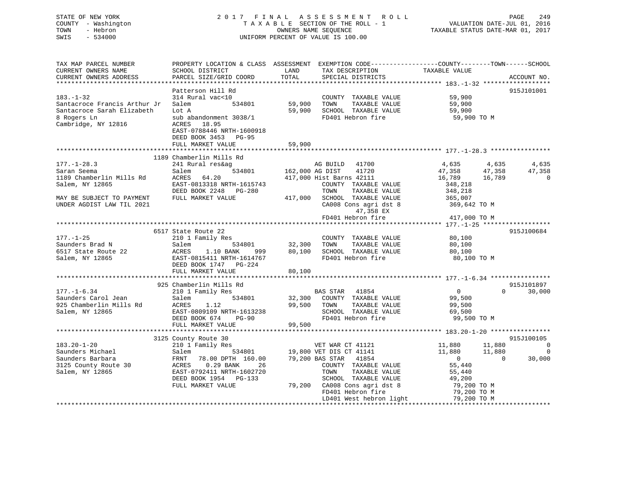## STATE OF NEW YORK 2 0 1 7 F I N A L A S S E S S M E N T R O L L PAGE 249 COUNTY - Washington T A X A B L E SECTION OF THE ROLL - 1 VALUATION DATE-JUL 01, 2016 TOWN - Hebron OWNERS NAME SEQUENCE TAXABLE STATUS DATE-MAR 01, 2017 SWIS - 534000 UNIFORM PERCENT OF VALUE IS 100.00

| TAX MAP PARCEL NUMBER<br>CURRENT OWNERS NAME                                                                                                                                                                                                               | PROPERTY LOCATION & CLASS ASSESSMENT EXEMPTION CODE----------------COUNTY-------TOWN------SCHOOL<br>SCHOOL DISTRICT                                                                                                                    | LAND               | TAX DESCRIPTION                | TAXABLE VALUE                                                                                                                                                                                                                         |               |
|------------------------------------------------------------------------------------------------------------------------------------------------------------------------------------------------------------------------------------------------------------|----------------------------------------------------------------------------------------------------------------------------------------------------------------------------------------------------------------------------------------|--------------------|--------------------------------|---------------------------------------------------------------------------------------------------------------------------------------------------------------------------------------------------------------------------------------|---------------|
| CURRENT OWNERS ADDRESS                                                                                                                                                                                                                                     | PARCEL SIZE/GRID COORD                                                                                                                                                                                                                 | TOTAL              | SPECIAL DISTRICTS              |                                                                                                                                                                                                                                       | ACCOUNT NO.   |
|                                                                                                                                                                                                                                                            |                                                                                                                                                                                                                                        |                    |                                |                                                                                                                                                                                                                                       |               |
|                                                                                                                                                                                                                                                            | Patterson Hill Rd                                                                                                                                                                                                                      |                    |                                |                                                                                                                                                                                                                                       | 915J101001    |
| $183. - 1 - 32$                                                                                                                                                                                                                                            | 314 Rural vac<10                                                                                                                                                                                                                       |                    | COUNTY TAXABLE VALUE           | 59,900                                                                                                                                                                                                                                |               |
| Santacroce Francis Arthur Jr                                                                                                                                                                                                                               | Salem                                                                                                                                                                                                                                  | 534801 59,900 TOWN |                                |                                                                                                                                                                                                                                       |               |
| Santacroce Sarah Elizabeth                                                                                                                                                                                                                                 | Lot A                                                                                                                                                                                                                                  |                    | 59,900 SCHOOL TAXABLE VALUE    | TAXABLE VALUE<br>TAXABLE VALUE 59,900<br>TAXABLE VALUE 59,900                                                                                                                                                                         |               |
| 8 Rogers Ln                                                                                                                                                                                                                                                | sub abandonment 3038/1                                                                                                                                                                                                                 |                    | FD401 Hebron fire              | 59,900 TO M                                                                                                                                                                                                                           |               |
| Cambridge, NY 12816                                                                                                                                                                                                                                        | ACRES<br>18.95                                                                                                                                                                                                                         |                    |                                |                                                                                                                                                                                                                                       |               |
|                                                                                                                                                                                                                                                            | EAST-0788446 NRTH-1600918                                                                                                                                                                                                              |                    |                                |                                                                                                                                                                                                                                       |               |
|                                                                                                                                                                                                                                                            | DEED BOOK 3453 PG-95                                                                                                                                                                                                                   |                    |                                |                                                                                                                                                                                                                                       |               |
|                                                                                                                                                                                                                                                            | FULL MARKET VALUE                                                                                                                                                                                                                      | 59,900             |                                |                                                                                                                                                                                                                                       |               |
|                                                                                                                                                                                                                                                            |                                                                                                                                                                                                                                        |                    |                                |                                                                                                                                                                                                                                       |               |
|                                                                                                                                                                                                                                                            | 1189 Chamberlin Mills Rd                                                                                                                                                                                                               |                    |                                |                                                                                                                                                                                                                                       |               |
| $177. - 1 - 28.3$                                                                                                                                                                                                                                          |                                                                                                                                                                                                                                        |                    |                                | AG BUILD 41700<br>AG DIST 41720<br>AG DIST 41720<br>History Taylor Time (16,789 16,789 018)<br>COUNTY TAYLE MALLE CONDITE CONTRACT CONDITION OF THE CONDITION OF THE CONDITION OF THE CONDITION OF THE CONDITION OF THE CONDITION O   |               |
| Saran Seema                                                                                                                                                                                                                                                |                                                                                                                                                                                                                                        |                    |                                |                                                                                                                                                                                                                                       |               |
| 1189 Chamberlin Mills Rd                                                                                                                                                                                                                                   | ACRES 64.20 417,000 Hist Barns 42111                                                                                                                                                                                                   |                    |                                |                                                                                                                                                                                                                                       |               |
| Salem, NY 12865                                                                                                                                                                                                                                            | EAST-0813318 NRTH-1615743<br>DEED BOOK 2248 PG-280 TOWN TAXABLE VALUE<br>FULL MARKET VALUE 417,000 SCHOOL TAXABLE VALUE                                                                                                                |                    |                                | 348,218                                                                                                                                                                                                                               |               |
|                                                                                                                                                                                                                                                            |                                                                                                                                                                                                                                        |                    |                                | 348,218<br>365,007                                                                                                                                                                                                                    |               |
| MAY BE SUBJECT TO PAYMENT                                                                                                                                                                                                                                  |                                                                                                                                                                                                                                        |                    |                                |                                                                                                                                                                                                                                       |               |
| UNDER AGDIST LAW TIL 2021                                                                                                                                                                                                                                  |                                                                                                                                                                                                                                        |                    |                                | CA008 Cons agri dst 8 369,642 TO M                                                                                                                                                                                                    |               |
|                                                                                                                                                                                                                                                            |                                                                                                                                                                                                                                        |                    | 47,358 EX<br>FD401 Hebron fire |                                                                                                                                                                                                                                       |               |
|                                                                                                                                                                                                                                                            |                                                                                                                                                                                                                                        |                    |                                | 417,000 TO M                                                                                                                                                                                                                          |               |
|                                                                                                                                                                                                                                                            | 6517 State Route 22                                                                                                                                                                                                                    |                    |                                |                                                                                                                                                                                                                                       | 915J100684    |
| $177. - 1 - 25$                                                                                                                                                                                                                                            |                                                                                                                                                                                                                                        |                    |                                |                                                                                                                                                                                                                                       |               |
|                                                                                                                                                                                                                                                            |                                                                                                                                                                                                                                        |                    |                                |                                                                                                                                                                                                                                       |               |
| 177.-1-25<br>Saunders Brad N<br>Salem 534801<br>Salem 534801<br>Salem 534801<br>Salem 534801<br>Salem 32,300<br>TOWN TAXABLE VALUE<br>VALUE VALUE<br>Salem, NY 12865<br>Salem, NY 12865<br>Salem, NY 12865<br>Salem, NY 12865<br>Salem, NY 12865<br>Salem, |                                                                                                                                                                                                                                        |                    |                                |                                                                                                                                                                                                                                       |               |
|                                                                                                                                                                                                                                                            |                                                                                                                                                                                                                                        |                    |                                | 80,100<br>80,100 TO M                                                                                                                                                                                                                 |               |
|                                                                                                                                                                                                                                                            | DEED BOOK 1747 PG-224                                                                                                                                                                                                                  |                    |                                |                                                                                                                                                                                                                                       |               |
|                                                                                                                                                                                                                                                            | FULL MARKET VALUE                                                                                                                                                                                                                      | 80,100             |                                |                                                                                                                                                                                                                                       |               |
|                                                                                                                                                                                                                                                            |                                                                                                                                                                                                                                        |                    |                                |                                                                                                                                                                                                                                       |               |
|                                                                                                                                                                                                                                                            | 925 Chamberlin Mills Rd                                                                                                                                                                                                                |                    |                                |                                                                                                                                                                                                                                       | 915J101897    |
| $177. - 1 - 6.34$                                                                                                                                                                                                                                          |                                                                                                                                                                                                                                        |                    |                                |                                                                                                                                                                                                                                       | $0 \t 30,000$ |
| Saunders Carol Jean                                                                                                                                                                                                                                        | Salem 534801<br>d ACRES 1.12                                                                                                                                                                                                           |                    |                                |                                                                                                                                                                                                                                       |               |
| 925 Chamberlin Mills Rd                                                                                                                                                                                                                                    |                                                                                                                                                                                                                                        |                    |                                |                                                                                                                                                                                                                                       |               |
| Salem, NY 12865                                                                                                                                                                                                                                            | CHAINGLETTED MITTED ASSESS AND TAXABLE VALUE<br>210 1 Family Res 534801 32,300 COUNTY TAXABLE VALUE 99,500<br>ACRES 1.12 99,500 TOWN TAXABLE VALUE 99,500<br>EAST-0809109 NRTH-1613238 SCHOOL TAXABLE VALUE 99,500<br>DEED BOOK 674 PG |                    |                                |                                                                                                                                                                                                                                       |               |
|                                                                                                                                                                                                                                                            |                                                                                                                                                                                                                                        |                    |                                |                                                                                                                                                                                                                                       |               |
|                                                                                                                                                                                                                                                            |                                                                                                                                                                                                                                        |                    |                                |                                                                                                                                                                                                                                       |               |
|                                                                                                                                                                                                                                                            |                                                                                                                                                                                                                                        |                    |                                |                                                                                                                                                                                                                                       |               |
|                                                                                                                                                                                                                                                            |                                                                                                                                                                                                                                        |                    |                                |                                                                                                                                                                                                                                       | 915J100105    |
| $183.20 - 1 - 20$                                                                                                                                                                                                                                          |                                                                                                                                                                                                                                        |                    |                                |                                                                                                                                                                                                                                       |               |
| Saunders Michael                                                                                                                                                                                                                                           |                                                                                                                                                                                                                                        |                    |                                |                                                                                                                                                                                                                                       |               |
| Saunders Barbara                                                                                                                                                                                                                                           | 3125 County Route 30<br>210 1 Family Res<br>Salem 534801 19,800 VET DIS CT 41141<br>FRNT 78.00 DPTH 160.00 79,200 BAS STAR 41854<br>ACRES 0.29 BANK 26 COUNTY TAXABLE VALUE                                                            |                    |                                | VET WAR CT 41121 $\begin{array}{cccc} 11,880 & 11,880 & 0 \\ 0 \text{VET DIS CT 41141} & 11,880 & 11,880 & 0 \\ 0 & \text{BAS STAR} & 41854 & 0 & 0 \\ 0 & \text{COUNTY} & \text{TAXABLE VALUE} & 55,440 & 0 & 30,000 \\ \end{array}$ |               |
| 3125 County Route 30                                                                                                                                                                                                                                       |                                                                                                                                                                                                                                        |                    |                                |                                                                                                                                                                                                                                       |               |
| Salem, NY 12865                                                                                                                                                                                                                                            | EAST-0792411 NRTH-1602720<br>DEED BOOK 1954 PG-133                                                                                                                                                                                     |                    |                                |                                                                                                                                                                                                                                       |               |
|                                                                                                                                                                                                                                                            | FULL MARKET VALUE                                                                                                                                                                                                                      |                    |                                |                                                                                                                                                                                                                                       |               |
|                                                                                                                                                                                                                                                            |                                                                                                                                                                                                                                        |                    |                                |                                                                                                                                                                                                                                       |               |
|                                                                                                                                                                                                                                                            |                                                                                                                                                                                                                                        |                    |                                |                                                                                                                                                                                                                                       |               |
|                                                                                                                                                                                                                                                            |                                                                                                                                                                                                                                        |                    |                                |                                                                                                                                                                                                                                       |               |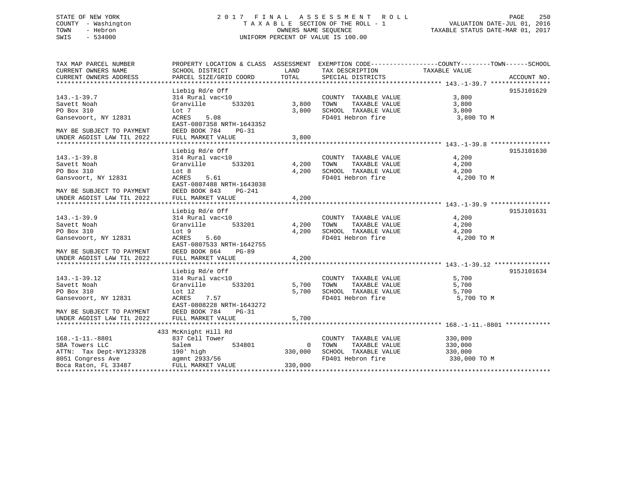## STATE OF NEW YORK 2 0 1 7 F I N A L A S S E S S M E N T R O L L PAGE 250 COUNTY - Washington T A X A B L E SECTION OF THE ROLL - 1 VALUATION DATE-JUL 01, 2016 TOWN - Hebron OWNERS NAME SEQUENCE TAXABLE STATUS DATE-MAR 01, 2017 SWIS - 534000 UNIFORM PERCENT OF VALUE IS 100.00

TAX MAP PARCEL NUMBER PROPERTY LOCATION & CLASS ASSESSMENT EXEMPTION CODE------------------COUNTY--------TOWN------SCHOOL CURRENT OWNERS NAME SCHOOL DISTRICT THE LAND TAX DESCRIPTION TAXABLE VALUE CURRENT OWNERS ADDRESS PARCEL SIZE/GRID COORD TOTAL SPECIAL DISTRICTS ACCOUNT NO. \*\*\*\*\*\*\*\*\*\*\*\*\*\*\*\*\*\*\*\*\*\*\*\*\*\*\*\*\*\*\*\*\*\*\*\*\*\*\*\*\*\*\*\*\*\*\*\*\*\*\*\*\*\*\*\*\*\*\*\*\*\*\*\*\*\*\*\*\*\*\*\*\*\*\*\*\*\*\*\*\*\*\*\*\*\*\*\*\*\*\*\*\*\*\*\*\*\*\*\*\*\*\* 143.-1-39.7 \*\*\*\*\*\*\*\*\*\*\*\*\*\*\*\* Liebig Rd/e Off 915J101629 143.-1-39.7 314 Rural vac<10 COUNTY TAXABLE VALUE 3,800 Savett Noah Granville 533201 3,800 TOWN TAXABLE VALUE 3,800 PO Box 310 Lot 7 Lot 7 3,800 SCHOOL TAXABLE VALUE 3,800 3 Gansevoort, NY 12831 ACRES 5.08 FD401 Hebron fire 3,800 TO M EAST-0807358 NRTH-1643352DEED BOOK 784 PG-31 MAY BE SUBJECT TO PAYMENT UNDER AGDIST LAW TIL 2022 FULL MARKET VALUE 3,800 \*\*\*\*\*\*\*\*\*\*\*\*\*\*\*\*\*\*\*\*\*\*\*\*\*\*\*\*\*\*\*\*\*\*\*\*\*\*\*\*\*\*\*\*\*\*\*\*\*\*\*\*\*\*\*\*\*\*\*\*\*\*\*\*\*\*\*\*\*\*\*\*\*\*\*\*\*\*\*\*\*\*\*\*\*\*\*\*\*\*\*\*\*\*\*\*\*\*\*\*\*\*\* 143.-1-39.8 \*\*\*\*\*\*\*\*\*\*\*\*\*\*\*\*Liebig Rd/e Off 915J101630 143.-1-39.8 314 Rural vac<10 COUNTY TAXABLE VALUE 4,200 Savett Noah Granville 533201 4,200 TOWN TAXABLE VALUE 4,200 PO Box 310 Lot 8 Lot 8 4,200 SCHOOL TAXABLE VALUE 4,200 Gansvoort, NY 12831 ACRES 5.61 FD401 Hebron fire 4,200 TO M EAST-0807488 NRTH-1643038MAY BE SUBJECT TO PAYMENT DEED BOOK 843 PG-241FULL MARKET VALUE UNDER AGDIST LAW TIL 2022 FULL MARKET VALUE 4,200 \*\*\*\*\*\*\*\*\*\*\*\*\*\*\*\*\*\*\*\*\*\*\*\*\*\*\*\*\*\*\*\*\*\*\*\*\*\*\*\*\*\*\*\*\*\*\*\*\*\*\*\*\*\*\*\*\*\*\*\*\*\*\*\*\*\*\*\*\*\*\*\*\*\*\*\*\*\*\*\*\*\*\*\*\*\*\*\*\*\*\*\*\*\*\*\*\*\*\*\*\*\*\* 143.-1-39.9 \*\*\*\*\*\*\*\*\*\*\*\*\*\*\*\* Liebig Rd/e Off 915J101631 143.-1-39.9 314 Rural vac<10 COUNTY TAXABLE VALUE 4,200 Savett Noah Granville 533201 4,200 TOWN TAXABLE VALUE 4,200 PO Box 310 Lot 9 4,200 SCHOOL TAXABLE VALUE 4,200 Gansevoort, NY 12831 ACRES 5.60 FD401 Hebron fire 4,200 TO M EAST-0807533 NRTH-1642755MAY BE SUBJECT TO PAYMENT DEED BOOK 864 PG-89UNDER AGDIST LAW TIL 2022 FULL MARKET VALUE 4,200 \*\*\*\*\*\*\*\*\*\*\*\*\*\*\*\*\*\*\*\*\*\*\*\*\*\*\*\*\*\*\*\*\*\*\*\*\*\*\*\*\*\*\*\*\*\*\*\*\*\*\*\*\*\*\*\*\*\*\*\*\*\*\*\*\*\*\*\*\*\*\*\*\*\*\*\*\*\*\*\*\*\*\*\*\*\*\*\*\*\*\*\*\*\*\*\*\*\*\*\*\*\*\* 143.-1-39.12 \*\*\*\*\*\*\*\*\*\*\*\*\*\*\*Liebig Rd/e Off 915J101634 143.-1-39.12 314 Rural vac<10 COUNTY TAXABLE VALUE 5,700 Savett Noah Granville 533201 5,700 TOWN TAXABLE VALUE 5,700 PO Box 310 Lot 12 5,700 SCHOOL TAXABLE VALUE 5,700 ---<br>Gansevoort, NY 12831 ACRES 7.57 57<br>EACRES 7.57 FD401 Hebron fire 5,700 TO M EAST-0808228 NRTH-1643272MAY BE SUBJECT TO PAYMENT DEED BOOK 784 PG-31UNDER AGDIST LAW TIL 2022 FULL MARKET VALUE 5,700 \*\*\*\*\*\*\*\*\*\*\*\*\*\*\*\*\*\*\*\*\*\*\*\*\*\*\*\*\*\*\*\*\*\*\*\*\*\*\*\*\*\*\*\*\*\*\*\*\*\*\*\*\*\*\*\*\*\*\*\*\*\*\*\*\*\*\*\*\*\*\*\*\*\*\*\*\*\*\*\*\*\*\*\*\*\*\*\*\*\*\*\*\*\*\*\*\*\*\*\*\*\*\* 168.-1-11.-8801 \*\*\*\*\*\*\*\*\*\*\*\* 433 McKnight Hill Rd 168.-1-11.-8801 837 Cell Tower COUNTY TAXABLE VALUE 330,000<br>
SBA Towers LLC Salem 534801 600 TOWN TAXABLE VALUE<br>
ATTN: Tax Dept NV19229P SBA Towers LLC Salem 534801 0 TOWN TAXABLE VALUE 330,000 ATTN: Tax Dept-NY12332B 190' high 330,000 SCHOOL TAXABLE VALUE 330,000 8051 Congress Ave agmnt 2933/56 FD401 Hebron fire 330,000 TO M Boca Raton, FL 33487 FULL MARKET VALUE 330,000 \*\*\*\*\*\*\*\*\*\*\*\*\*\*\*\*\*\*\*\*\*\*\*\*\*\*\*\*\*\*\*\*\*\*\*\*\*\*\*\*\*\*\*\*\*\*\*\*\*\*\*\*\*\*\*\*\*\*\*\*\*\*\*\*\*\*\*\*\*\*\*\*\*\*\*\*\*\*\*\*\*\*\*\*\*\*\*\*\*\*\*\*\*\*\*\*\*\*\*\*\*\*\*\*\*\*\*\*\*\*\*\*\*\*\*\*\*\*\*\*\*\*\*\*\*\*\*\*\*\*\*\*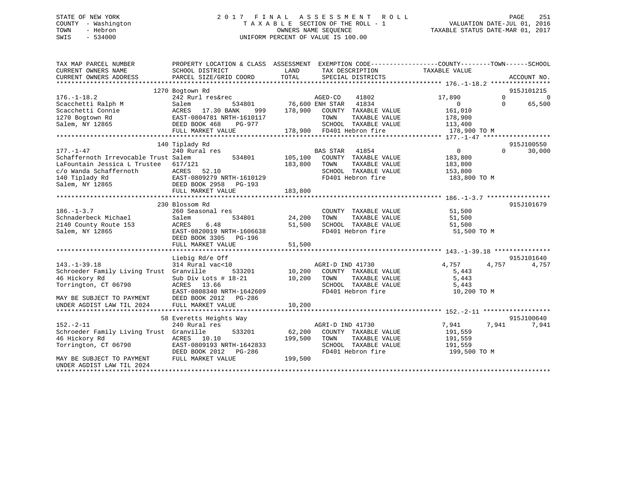## STATE OF NEW YORK 2 0 1 7 F I N A L A S S E S S M E N T R O L L PAGE 251 COUNTY - Washington T A X A B L E SECTION OF THE ROLL - 1 VALUATION DATE-JUL 01, 2016 TOWN - Hebron OWNERS NAME SEQUENCE TAXABLE STATUS DATE-MAR 01, 2017 SWIS - 534000 UNIFORM PERCENT OF VALUE IS 100.00

| 1270 Bogtown Rd<br>915J101215<br>$\Omega$<br>$176. - 1 - 18.2$<br>242 Rurl res&rec<br>AGED-CO 41802<br>76,600 ENH STAR 41834<br>17,890<br>$\Omega$<br>Scacchetti Ralph M<br>$\overline{0}$<br>65,500<br>Salem<br>534801<br>$\Omega$<br>Scacchetti Connie<br>ACRES<br>17.30 BANK<br>178,900 COUNTY TAXABLE VALUE<br>161,010<br>999<br>1270 Bogtown Rd<br>EAST-0804781 NRTH-1610117<br>TOWN<br>TAXABLE VALUE<br>178,900<br>113,400<br>Salem, NY 12865<br>SCHOOL TAXABLE VALUE<br>DEED BOOK 468<br>PG-977<br>178,900 FD401 Hebron fire<br>FULL MARKET VALUE<br>178,900 TO M<br>915J100550<br>140 Tiplady Rd<br>240 Rural res<br>30,000<br>$177. - 1 - 47$<br>BAS STAR<br>41854<br>$\overline{0}$<br>$\Omega$<br>105,100<br>Schaffernoth Irrevocable Trust Salem<br>534801<br>COUNTY TAXABLE VALUE<br>183,800<br>617/121<br>183,800<br>TOWN<br>TAXABLE VALUE<br>183,800<br>c/o Wanda Schaffernoth<br>ACRES 52.10<br>SCHOOL TAXABLE VALUE<br>153,800<br>EAST-0809279 NRTH-1610129<br>FD401 Hebron fire<br>183,800 TO M<br>DEED BOOK 2958 PG-193<br>FULL MARKET VALUE<br>183,800<br>230 Blossom Rd<br>915J101679<br>$186. - 1 - 3.7$<br>51,500<br>260 Seasonal res<br>COUNTY TAXABLE VALUE<br>Schnaderbeck Michael<br>534801<br>24,200<br>TAXABLE VALUE<br>51,500<br>Salem<br>TOWN<br>SCHOOL TAXABLE VALUE<br>2140 County Route 153<br>ACRES<br>6.48<br>51,500<br>51,500<br>FD401 Hebron fire<br>Salem, NY 12865<br>EAST-0820019 NRTH-1606638<br>51,500 TO M<br>DEED BOOK 3305 PG-196<br>51,500<br>FULL MARKET VALUE<br>Liebig Rd/e Off<br>915J101640<br>4,757<br>4,757<br>$143. - 1 - 39.18$<br>314 Rural vac<10<br>AGRI-D IND 41730<br>4,757<br>Schroeder Family Living Trust Granville<br>533201<br>10,200<br>COUNTY TAXABLE VALUE<br>5,443<br>46 Hickory Rd<br>Sub Div Lots $# 18-21$<br>10,200 TOWN<br>TAXABLE VALUE<br>5,443<br>Torrington, CT 06790<br>SCHOOL TAXABLE VALUE<br>5,443<br>ACRES 13.66<br>FD401 Hebron fire<br>EAST-0808340 NRTH-1642609<br>10,200 TO M<br>MAY BE SUBJECT TO PAYMENT<br>DEED BOOK 2012 PG-286<br>58 Everetts Heights Way<br>915J100640<br>$152 - 2 - 11$<br>240 Rural res<br>7,941<br>7,941<br>AGRI-D IND 41730<br>7,941<br>Schroeder Family Living Trust Granville<br>533201<br>62,200<br>COUNTY TAXABLE VALUE<br>191,559<br>46 Hickory Rd<br>10.10<br>199,500<br>191,559<br>ACRES<br>TOWN<br>TAXABLE VALUE<br>EAST-0809193 NRTH-1642833<br>SCHOOL TAXABLE VALUE<br>Torrington, CT 06790<br>191,559<br>FD401 Hebron fire<br>DEED BOOK 2012 PG-286<br>199,500 TO M<br>FULL MARKET VALUE<br>199,500<br>MAY BE SUBJECT TO PAYMENT<br>UNDER AGDIST LAW TIL 2024 | TAX MAP PARCEL NUMBER<br>CURRENT OWNERS NAME<br>CURRENT OWNERS ADDRESS | PROPERTY LOCATION & CLASS ASSESSMENT EXEMPTION CODE----------------COUNTY-------TOWN------SCHOOL<br>SCHOOL DISTRICT<br>PARCEL SIZE/GRID COORD | LAND<br>TOTAL | TAX DESCRIPTION<br>SPECIAL DISTRICTS | TAXABLE VALUE | ACCOUNT NO. |
|--------------------------------------------------------------------------------------------------------------------------------------------------------------------------------------------------------------------------------------------------------------------------------------------------------------------------------------------------------------------------------------------------------------------------------------------------------------------------------------------------------------------------------------------------------------------------------------------------------------------------------------------------------------------------------------------------------------------------------------------------------------------------------------------------------------------------------------------------------------------------------------------------------------------------------------------------------------------------------------------------------------------------------------------------------------------------------------------------------------------------------------------------------------------------------------------------------------------------------------------------------------------------------------------------------------------------------------------------------------------------------------------------------------------------------------------------------------------------------------------------------------------------------------------------------------------------------------------------------------------------------------------------------------------------------------------------------------------------------------------------------------------------------------------------------------------------------------------------------------------------------------------------------------------------------------------------------------------------------------------------------------------------------------------------------------------------------------------------------------------------------------------------------------------------------------------------------------------------------------------------------------------------------------------------------------------------------------------------------------------------------------------------------------------------------------------------------------------------------------------------------------------------------------------------------------------------------------------|------------------------------------------------------------------------|-----------------------------------------------------------------------------------------------------------------------------------------------|---------------|--------------------------------------|---------------|-------------|
|                                                                                                                                                                                                                                                                                                                                                                                                                                                                                                                                                                                                                                                                                                                                                                                                                                                                                                                                                                                                                                                                                                                                                                                                                                                                                                                                                                                                                                                                                                                                                                                                                                                                                                                                                                                                                                                                                                                                                                                                                                                                                                                                                                                                                                                                                                                                                                                                                                                                                                                                                                                            |                                                                        |                                                                                                                                               |               |                                      |               |             |
|                                                                                                                                                                                                                                                                                                                                                                                                                                                                                                                                                                                                                                                                                                                                                                                                                                                                                                                                                                                                                                                                                                                                                                                                                                                                                                                                                                                                                                                                                                                                                                                                                                                                                                                                                                                                                                                                                                                                                                                                                                                                                                                                                                                                                                                                                                                                                                                                                                                                                                                                                                                            |                                                                        |                                                                                                                                               |               |                                      |               |             |
|                                                                                                                                                                                                                                                                                                                                                                                                                                                                                                                                                                                                                                                                                                                                                                                                                                                                                                                                                                                                                                                                                                                                                                                                                                                                                                                                                                                                                                                                                                                                                                                                                                                                                                                                                                                                                                                                                                                                                                                                                                                                                                                                                                                                                                                                                                                                                                                                                                                                                                                                                                                            |                                                                        |                                                                                                                                               |               |                                      |               |             |
|                                                                                                                                                                                                                                                                                                                                                                                                                                                                                                                                                                                                                                                                                                                                                                                                                                                                                                                                                                                                                                                                                                                                                                                                                                                                                                                                                                                                                                                                                                                                                                                                                                                                                                                                                                                                                                                                                                                                                                                                                                                                                                                                                                                                                                                                                                                                                                                                                                                                                                                                                                                            |                                                                        |                                                                                                                                               |               |                                      |               |             |
|                                                                                                                                                                                                                                                                                                                                                                                                                                                                                                                                                                                                                                                                                                                                                                                                                                                                                                                                                                                                                                                                                                                                                                                                                                                                                                                                                                                                                                                                                                                                                                                                                                                                                                                                                                                                                                                                                                                                                                                                                                                                                                                                                                                                                                                                                                                                                                                                                                                                                                                                                                                            |                                                                        |                                                                                                                                               |               |                                      |               |             |
|                                                                                                                                                                                                                                                                                                                                                                                                                                                                                                                                                                                                                                                                                                                                                                                                                                                                                                                                                                                                                                                                                                                                                                                                                                                                                                                                                                                                                                                                                                                                                                                                                                                                                                                                                                                                                                                                                                                                                                                                                                                                                                                                                                                                                                                                                                                                                                                                                                                                                                                                                                                            |                                                                        |                                                                                                                                               |               |                                      |               |             |
|                                                                                                                                                                                                                                                                                                                                                                                                                                                                                                                                                                                                                                                                                                                                                                                                                                                                                                                                                                                                                                                                                                                                                                                                                                                                                                                                                                                                                                                                                                                                                                                                                                                                                                                                                                                                                                                                                                                                                                                                                                                                                                                                                                                                                                                                                                                                                                                                                                                                                                                                                                                            |                                                                        |                                                                                                                                               |               |                                      |               |             |
|                                                                                                                                                                                                                                                                                                                                                                                                                                                                                                                                                                                                                                                                                                                                                                                                                                                                                                                                                                                                                                                                                                                                                                                                                                                                                                                                                                                                                                                                                                                                                                                                                                                                                                                                                                                                                                                                                                                                                                                                                                                                                                                                                                                                                                                                                                                                                                                                                                                                                                                                                                                            |                                                                        |                                                                                                                                               |               |                                      |               |             |
|                                                                                                                                                                                                                                                                                                                                                                                                                                                                                                                                                                                                                                                                                                                                                                                                                                                                                                                                                                                                                                                                                                                                                                                                                                                                                                                                                                                                                                                                                                                                                                                                                                                                                                                                                                                                                                                                                                                                                                                                                                                                                                                                                                                                                                                                                                                                                                                                                                                                                                                                                                                            |                                                                        |                                                                                                                                               |               |                                      |               |             |
|                                                                                                                                                                                                                                                                                                                                                                                                                                                                                                                                                                                                                                                                                                                                                                                                                                                                                                                                                                                                                                                                                                                                                                                                                                                                                                                                                                                                                                                                                                                                                                                                                                                                                                                                                                                                                                                                                                                                                                                                                                                                                                                                                                                                                                                                                                                                                                                                                                                                                                                                                                                            |                                                                        |                                                                                                                                               |               |                                      |               |             |
|                                                                                                                                                                                                                                                                                                                                                                                                                                                                                                                                                                                                                                                                                                                                                                                                                                                                                                                                                                                                                                                                                                                                                                                                                                                                                                                                                                                                                                                                                                                                                                                                                                                                                                                                                                                                                                                                                                                                                                                                                                                                                                                                                                                                                                                                                                                                                                                                                                                                                                                                                                                            |                                                                        |                                                                                                                                               |               |                                      |               |             |
|                                                                                                                                                                                                                                                                                                                                                                                                                                                                                                                                                                                                                                                                                                                                                                                                                                                                                                                                                                                                                                                                                                                                                                                                                                                                                                                                                                                                                                                                                                                                                                                                                                                                                                                                                                                                                                                                                                                                                                                                                                                                                                                                                                                                                                                                                                                                                                                                                                                                                                                                                                                            |                                                                        |                                                                                                                                               |               |                                      |               |             |
|                                                                                                                                                                                                                                                                                                                                                                                                                                                                                                                                                                                                                                                                                                                                                                                                                                                                                                                                                                                                                                                                                                                                                                                                                                                                                                                                                                                                                                                                                                                                                                                                                                                                                                                                                                                                                                                                                                                                                                                                                                                                                                                                                                                                                                                                                                                                                                                                                                                                                                                                                                                            | LaFountain Jessica L Trustee                                           |                                                                                                                                               |               |                                      |               |             |
|                                                                                                                                                                                                                                                                                                                                                                                                                                                                                                                                                                                                                                                                                                                                                                                                                                                                                                                                                                                                                                                                                                                                                                                                                                                                                                                                                                                                                                                                                                                                                                                                                                                                                                                                                                                                                                                                                                                                                                                                                                                                                                                                                                                                                                                                                                                                                                                                                                                                                                                                                                                            |                                                                        |                                                                                                                                               |               |                                      |               |             |
|                                                                                                                                                                                                                                                                                                                                                                                                                                                                                                                                                                                                                                                                                                                                                                                                                                                                                                                                                                                                                                                                                                                                                                                                                                                                                                                                                                                                                                                                                                                                                                                                                                                                                                                                                                                                                                                                                                                                                                                                                                                                                                                                                                                                                                                                                                                                                                                                                                                                                                                                                                                            | 140 Tiplady Rd                                                         |                                                                                                                                               |               |                                      |               |             |
|                                                                                                                                                                                                                                                                                                                                                                                                                                                                                                                                                                                                                                                                                                                                                                                                                                                                                                                                                                                                                                                                                                                                                                                                                                                                                                                                                                                                                                                                                                                                                                                                                                                                                                                                                                                                                                                                                                                                                                                                                                                                                                                                                                                                                                                                                                                                                                                                                                                                                                                                                                                            | Salem, NY 12865                                                        |                                                                                                                                               |               |                                      |               |             |
|                                                                                                                                                                                                                                                                                                                                                                                                                                                                                                                                                                                                                                                                                                                                                                                                                                                                                                                                                                                                                                                                                                                                                                                                                                                                                                                                                                                                                                                                                                                                                                                                                                                                                                                                                                                                                                                                                                                                                                                                                                                                                                                                                                                                                                                                                                                                                                                                                                                                                                                                                                                            |                                                                        |                                                                                                                                               |               |                                      |               |             |
|                                                                                                                                                                                                                                                                                                                                                                                                                                                                                                                                                                                                                                                                                                                                                                                                                                                                                                                                                                                                                                                                                                                                                                                                                                                                                                                                                                                                                                                                                                                                                                                                                                                                                                                                                                                                                                                                                                                                                                                                                                                                                                                                                                                                                                                                                                                                                                                                                                                                                                                                                                                            |                                                                        |                                                                                                                                               |               |                                      |               |             |
|                                                                                                                                                                                                                                                                                                                                                                                                                                                                                                                                                                                                                                                                                                                                                                                                                                                                                                                                                                                                                                                                                                                                                                                                                                                                                                                                                                                                                                                                                                                                                                                                                                                                                                                                                                                                                                                                                                                                                                                                                                                                                                                                                                                                                                                                                                                                                                                                                                                                                                                                                                                            |                                                                        |                                                                                                                                               |               |                                      |               |             |
|                                                                                                                                                                                                                                                                                                                                                                                                                                                                                                                                                                                                                                                                                                                                                                                                                                                                                                                                                                                                                                                                                                                                                                                                                                                                                                                                                                                                                                                                                                                                                                                                                                                                                                                                                                                                                                                                                                                                                                                                                                                                                                                                                                                                                                                                                                                                                                                                                                                                                                                                                                                            |                                                                        |                                                                                                                                               |               |                                      |               |             |
|                                                                                                                                                                                                                                                                                                                                                                                                                                                                                                                                                                                                                                                                                                                                                                                                                                                                                                                                                                                                                                                                                                                                                                                                                                                                                                                                                                                                                                                                                                                                                                                                                                                                                                                                                                                                                                                                                                                                                                                                                                                                                                                                                                                                                                                                                                                                                                                                                                                                                                                                                                                            |                                                                        |                                                                                                                                               |               |                                      |               |             |
|                                                                                                                                                                                                                                                                                                                                                                                                                                                                                                                                                                                                                                                                                                                                                                                                                                                                                                                                                                                                                                                                                                                                                                                                                                                                                                                                                                                                                                                                                                                                                                                                                                                                                                                                                                                                                                                                                                                                                                                                                                                                                                                                                                                                                                                                                                                                                                                                                                                                                                                                                                                            |                                                                        |                                                                                                                                               |               |                                      |               |             |
|                                                                                                                                                                                                                                                                                                                                                                                                                                                                                                                                                                                                                                                                                                                                                                                                                                                                                                                                                                                                                                                                                                                                                                                                                                                                                                                                                                                                                                                                                                                                                                                                                                                                                                                                                                                                                                                                                                                                                                                                                                                                                                                                                                                                                                                                                                                                                                                                                                                                                                                                                                                            |                                                                        |                                                                                                                                               |               |                                      |               |             |
|                                                                                                                                                                                                                                                                                                                                                                                                                                                                                                                                                                                                                                                                                                                                                                                                                                                                                                                                                                                                                                                                                                                                                                                                                                                                                                                                                                                                                                                                                                                                                                                                                                                                                                                                                                                                                                                                                                                                                                                                                                                                                                                                                                                                                                                                                                                                                                                                                                                                                                                                                                                            |                                                                        |                                                                                                                                               |               |                                      |               |             |
|                                                                                                                                                                                                                                                                                                                                                                                                                                                                                                                                                                                                                                                                                                                                                                                                                                                                                                                                                                                                                                                                                                                                                                                                                                                                                                                                                                                                                                                                                                                                                                                                                                                                                                                                                                                                                                                                                                                                                                                                                                                                                                                                                                                                                                                                                                                                                                                                                                                                                                                                                                                            |                                                                        |                                                                                                                                               |               |                                      |               |             |
|                                                                                                                                                                                                                                                                                                                                                                                                                                                                                                                                                                                                                                                                                                                                                                                                                                                                                                                                                                                                                                                                                                                                                                                                                                                                                                                                                                                                                                                                                                                                                                                                                                                                                                                                                                                                                                                                                                                                                                                                                                                                                                                                                                                                                                                                                                                                                                                                                                                                                                                                                                                            |                                                                        |                                                                                                                                               |               |                                      |               |             |
|                                                                                                                                                                                                                                                                                                                                                                                                                                                                                                                                                                                                                                                                                                                                                                                                                                                                                                                                                                                                                                                                                                                                                                                                                                                                                                                                                                                                                                                                                                                                                                                                                                                                                                                                                                                                                                                                                                                                                                                                                                                                                                                                                                                                                                                                                                                                                                                                                                                                                                                                                                                            |                                                                        |                                                                                                                                               |               |                                      |               |             |
|                                                                                                                                                                                                                                                                                                                                                                                                                                                                                                                                                                                                                                                                                                                                                                                                                                                                                                                                                                                                                                                                                                                                                                                                                                                                                                                                                                                                                                                                                                                                                                                                                                                                                                                                                                                                                                                                                                                                                                                                                                                                                                                                                                                                                                                                                                                                                                                                                                                                                                                                                                                            |                                                                        |                                                                                                                                               |               |                                      |               |             |
|                                                                                                                                                                                                                                                                                                                                                                                                                                                                                                                                                                                                                                                                                                                                                                                                                                                                                                                                                                                                                                                                                                                                                                                                                                                                                                                                                                                                                                                                                                                                                                                                                                                                                                                                                                                                                                                                                                                                                                                                                                                                                                                                                                                                                                                                                                                                                                                                                                                                                                                                                                                            |                                                                        |                                                                                                                                               |               |                                      |               |             |
|                                                                                                                                                                                                                                                                                                                                                                                                                                                                                                                                                                                                                                                                                                                                                                                                                                                                                                                                                                                                                                                                                                                                                                                                                                                                                                                                                                                                                                                                                                                                                                                                                                                                                                                                                                                                                                                                                                                                                                                                                                                                                                                                                                                                                                                                                                                                                                                                                                                                                                                                                                                            |                                                                        |                                                                                                                                               |               |                                      |               |             |
|                                                                                                                                                                                                                                                                                                                                                                                                                                                                                                                                                                                                                                                                                                                                                                                                                                                                                                                                                                                                                                                                                                                                                                                                                                                                                                                                                                                                                                                                                                                                                                                                                                                                                                                                                                                                                                                                                                                                                                                                                                                                                                                                                                                                                                                                                                                                                                                                                                                                                                                                                                                            |                                                                        |                                                                                                                                               |               |                                      |               |             |
|                                                                                                                                                                                                                                                                                                                                                                                                                                                                                                                                                                                                                                                                                                                                                                                                                                                                                                                                                                                                                                                                                                                                                                                                                                                                                                                                                                                                                                                                                                                                                                                                                                                                                                                                                                                                                                                                                                                                                                                                                                                                                                                                                                                                                                                                                                                                                                                                                                                                                                                                                                                            |                                                                        |                                                                                                                                               |               |                                      |               |             |
|                                                                                                                                                                                                                                                                                                                                                                                                                                                                                                                                                                                                                                                                                                                                                                                                                                                                                                                                                                                                                                                                                                                                                                                                                                                                                                                                                                                                                                                                                                                                                                                                                                                                                                                                                                                                                                                                                                                                                                                                                                                                                                                                                                                                                                                                                                                                                                                                                                                                                                                                                                                            |                                                                        |                                                                                                                                               |               |                                      |               |             |
|                                                                                                                                                                                                                                                                                                                                                                                                                                                                                                                                                                                                                                                                                                                                                                                                                                                                                                                                                                                                                                                                                                                                                                                                                                                                                                                                                                                                                                                                                                                                                                                                                                                                                                                                                                                                                                                                                                                                                                                                                                                                                                                                                                                                                                                                                                                                                                                                                                                                                                                                                                                            |                                                                        |                                                                                                                                               |               |                                      |               |             |
|                                                                                                                                                                                                                                                                                                                                                                                                                                                                                                                                                                                                                                                                                                                                                                                                                                                                                                                                                                                                                                                                                                                                                                                                                                                                                                                                                                                                                                                                                                                                                                                                                                                                                                                                                                                                                                                                                                                                                                                                                                                                                                                                                                                                                                                                                                                                                                                                                                                                                                                                                                                            |                                                                        |                                                                                                                                               |               |                                      |               |             |
|                                                                                                                                                                                                                                                                                                                                                                                                                                                                                                                                                                                                                                                                                                                                                                                                                                                                                                                                                                                                                                                                                                                                                                                                                                                                                                                                                                                                                                                                                                                                                                                                                                                                                                                                                                                                                                                                                                                                                                                                                                                                                                                                                                                                                                                                                                                                                                                                                                                                                                                                                                                            |                                                                        |                                                                                                                                               |               |                                      |               |             |
|                                                                                                                                                                                                                                                                                                                                                                                                                                                                                                                                                                                                                                                                                                                                                                                                                                                                                                                                                                                                                                                                                                                                                                                                                                                                                                                                                                                                                                                                                                                                                                                                                                                                                                                                                                                                                                                                                                                                                                                                                                                                                                                                                                                                                                                                                                                                                                                                                                                                                                                                                                                            |                                                                        |                                                                                                                                               |               |                                      |               |             |
|                                                                                                                                                                                                                                                                                                                                                                                                                                                                                                                                                                                                                                                                                                                                                                                                                                                                                                                                                                                                                                                                                                                                                                                                                                                                                                                                                                                                                                                                                                                                                                                                                                                                                                                                                                                                                                                                                                                                                                                                                                                                                                                                                                                                                                                                                                                                                                                                                                                                                                                                                                                            |                                                                        |                                                                                                                                               |               |                                      |               |             |
|                                                                                                                                                                                                                                                                                                                                                                                                                                                                                                                                                                                                                                                                                                                                                                                                                                                                                                                                                                                                                                                                                                                                                                                                                                                                                                                                                                                                                                                                                                                                                                                                                                                                                                                                                                                                                                                                                                                                                                                                                                                                                                                                                                                                                                                                                                                                                                                                                                                                                                                                                                                            |                                                                        |                                                                                                                                               |               |                                      |               |             |
|                                                                                                                                                                                                                                                                                                                                                                                                                                                                                                                                                                                                                                                                                                                                                                                                                                                                                                                                                                                                                                                                                                                                                                                                                                                                                                                                                                                                                                                                                                                                                                                                                                                                                                                                                                                                                                                                                                                                                                                                                                                                                                                                                                                                                                                                                                                                                                                                                                                                                                                                                                                            |                                                                        |                                                                                                                                               |               |                                      |               |             |
|                                                                                                                                                                                                                                                                                                                                                                                                                                                                                                                                                                                                                                                                                                                                                                                                                                                                                                                                                                                                                                                                                                                                                                                                                                                                                                                                                                                                                                                                                                                                                                                                                                                                                                                                                                                                                                                                                                                                                                                                                                                                                                                                                                                                                                                                                                                                                                                                                                                                                                                                                                                            |                                                                        |                                                                                                                                               |               |                                      |               |             |
|                                                                                                                                                                                                                                                                                                                                                                                                                                                                                                                                                                                                                                                                                                                                                                                                                                                                                                                                                                                                                                                                                                                                                                                                                                                                                                                                                                                                                                                                                                                                                                                                                                                                                                                                                                                                                                                                                                                                                                                                                                                                                                                                                                                                                                                                                                                                                                                                                                                                                                                                                                                            |                                                                        |                                                                                                                                               |               |                                      |               |             |
|                                                                                                                                                                                                                                                                                                                                                                                                                                                                                                                                                                                                                                                                                                                                                                                                                                                                                                                                                                                                                                                                                                                                                                                                                                                                                                                                                                                                                                                                                                                                                                                                                                                                                                                                                                                                                                                                                                                                                                                                                                                                                                                                                                                                                                                                                                                                                                                                                                                                                                                                                                                            |                                                                        |                                                                                                                                               |               |                                      |               |             |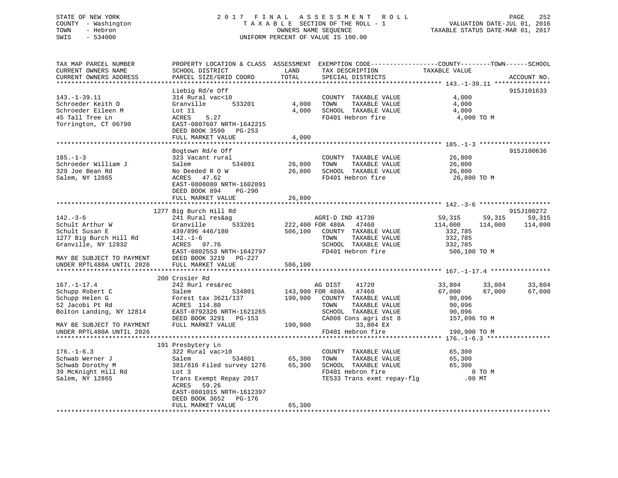## STATE OF NEW YORK 2 0 1 7 F I N A L A S S E S S M E N T R O L L PAGE 252 COUNTY - Washington T A X A B L E SECTION OF THE ROLL - 1 VALUATION DATE-JUL 01, 2016 TOWN - Hebron OWNERS NAME SEQUENCE TAXABLE STATUS DATE-MAR 01, 2017 SWIS - 534000 UNIFORM PERCENT OF VALUE IS 100.00

| TAX MAP PARCEL NUMBER<br>CURRENT OWNERS NAME<br>CURRENT OWNERS ADDRESS | SCHOOL DISTRICT<br>PARCEL SIZE/GRID COORD          | LAND<br>TOTAL | PROPERTY LOCATION & CLASS ASSESSMENT EXEMPTION CODE----------------COUNTY-------TOWN-----SCHOOL<br>TAX DESCRIPTION<br>SPECIAL DISTRICTS | TAXABLE VALUE          | ACCOUNT NO.        |
|------------------------------------------------------------------------|----------------------------------------------------|---------------|-----------------------------------------------------------------------------------------------------------------------------------------|------------------------|--------------------|
|                                                                        |                                                    |               |                                                                                                                                         |                        |                    |
|                                                                        | Liebig Rd/e Off                                    |               |                                                                                                                                         |                        | 915J101633         |
| $143. - 1 - 39.11$                                                     | 314 Rural vac<10                                   |               | COUNTY TAXABLE VALUE                                                                                                                    | 4,000                  |                    |
| Schroeder Keith D                                                      | 533201<br>Granville                                | 4,000         | TAXABLE VALUE<br>TOWN                                                                                                                   | 4,000                  |                    |
| Schroeder Eileen M                                                     | Lot 11                                             | 4,000         | SCHOOL TAXABLE VALUE                                                                                                                    | 4,000                  |                    |
| 45 Tall Tree Ln                                                        | 5.27<br>ACRES                                      |               | FD401 Hebron fire                                                                                                                       | 4,000 TO M             |                    |
| Torrington, CT 06790                                                   | EAST-0807607 NRTH-1642215                          |               |                                                                                                                                         |                        |                    |
|                                                                        | DEED BOOK 3590 PG-253                              |               |                                                                                                                                         |                        |                    |
|                                                                        | FULL MARKET VALUE                                  | 4,000         |                                                                                                                                         |                        |                    |
|                                                                        | Bogtown Rd/e Off                                   |               |                                                                                                                                         |                        | 915J100636         |
| $185. - 1 - 3$                                                         | 323 Vacant rural                                   |               | COUNTY TAXABLE VALUE                                                                                                                    | 26,800                 |                    |
| Schroeder William J                                                    | 534801<br>Salem                                    | 26,800        | TOWN<br>TAXABLE VALUE                                                                                                                   | 26,800                 |                    |
| 329 Joe Bean Rd                                                        | No Deeded R O W                                    |               | 26,800 SCHOOL TAXABLE VALUE                                                                                                             | 26,800                 |                    |
| Salem, NY 12865                                                        | ACRES 47.62                                        |               | FD401 Hebron fire                                                                                                                       | 26,800 TO M            |                    |
|                                                                        | EAST-0808080 NRTH-1602891                          |               |                                                                                                                                         |                        |                    |
|                                                                        | DEED BOOK 894 PG-290                               |               |                                                                                                                                         |                        |                    |
|                                                                        | FULL MARKET VALUE                                  | 26,800        |                                                                                                                                         |                        |                    |
|                                                                        |                                                    |               |                                                                                                                                         |                        |                    |
|                                                                        | 1277 Big Burch Hill Rd                             |               |                                                                                                                                         |                        | 915J100272         |
| $142. - 3 - 6$                                                         | 241 Rural res&ag<br>533201                         |               | AGRI-D IND 41730<br>222,400 FOR 480A 47460                                                                                              | 59,315                 | 59,315<br>59,315   |
| Schult Arthur W<br>Schult Susan E                                      | Granville                                          |               |                                                                                                                                         | 114,000<br>332,785     | 114,000<br>114,000 |
| 1277 Big Burch Hill Rd                                                 | 439/896 446/180<br>$142. - 1 - 6$                  |               | 506,100 COUNTY TAXABLE VALUE<br>TAXABLE VALUE<br>TOWN                                                                                   | 332,785                |                    |
| Granville, NY 12832                                                    | $ACRES$ 97.76                                      |               | SCHOOL TAXABLE VALUE                                                                                                                    | 332,785                |                    |
|                                                                        | EAST-0802553 NRTH-1642797                          |               | FD401 Hebron fire                                                                                                                       | 506,100 TO M           |                    |
| MAY BE SUBJECT TO PAYMENT                                              | DEED BOOK 3219 PG-227                              |               |                                                                                                                                         |                        |                    |
| UNDER RPTL480A UNTIL 2026                                              | FULL MARKET VALUE                                  | 506,100       |                                                                                                                                         |                        |                    |
|                                                                        |                                                    |               |                                                                                                                                         |                        |                    |
|                                                                        | 200 Crosier Rd                                     |               |                                                                                                                                         |                        |                    |
| $167. - 1 - 17.4$                                                      | 242 Rurl res&rec                                   |               | AG DIST<br>41720                                                                                                                        | 33,804                 | 33,804<br>33,804   |
| Schupp Robert C                                                        | Salem<br>534801                                    |               | 143,900 FOR 480A 47460                                                                                                                  | 67,000                 | 67,000<br>67,000   |
| Schupp Helen G                                                         | Forest tax 3621/137                                |               | 190,900 COUNTY TAXABLE VALUE                                                                                                            | 90,096                 |                    |
| 52 Jacobi Pt Rd                                                        | ACRES 114.80                                       |               | TOWN<br>TAXABLE VALUE                                                                                                                   | 90,096                 |                    |
| Bolton Landing, NY 12814                                               | EAST-0792326 NRTH-1621265<br>DEED BOOK 3291 PG-153 |               | SCHOOL TAXABLE VALUE<br>CA008 Cons agri dst 8                                                                                           | 90,096<br>157,096 TO M |                    |
| MAY BE SUBJECT TO PAYMENT                                              | FULL MARKET VALUE                                  |               | 190,900<br>33,804 EX                                                                                                                    |                        |                    |
| UNDER RPTL480A UNTIL 2026                                              |                                                    |               | FD401 Hebron fire                                                                                                                       | 190,900 TO M           |                    |
|                                                                        |                                                    |               |                                                                                                                                         |                        |                    |
|                                                                        | 191 Presbytery Ln                                  |               |                                                                                                                                         |                        |                    |
| $176. - 1 - 6.3$                                                       | 322 Rural vac>10                                   |               | COUNTY TAXABLE VALUE                                                                                                                    | 65,300                 |                    |
| Schwab Werner J                                                        | Salem<br>534801                                    | 65,300        | TOWN<br>TAXABLE VALUE                                                                                                                   | 65,300                 |                    |
| Schwab Dorothy M                                                       | 381/816 Filed survey 1276 65,300                   |               | SCHOOL TAXABLE VALUE<br>FD401 Hebron fire                                                                                               | 65,300                 |                    |
| 39 McKnight Hill Rd                                                    | Lot 3                                              |               |                                                                                                                                         | 0 TO M                 |                    |
| Salem, NY 12865                                                        | Trans Exempt Repay 2017                            |               | TE533 Trans exmt repay-flg .00 MT                                                                                                       |                        |                    |
|                                                                        | ACRES<br>59.26                                     |               |                                                                                                                                         |                        |                    |
|                                                                        | EAST-0801015 NRTH-1612397                          |               |                                                                                                                                         |                        |                    |
|                                                                        | DEED BOOK 3652 PG-176<br>FULL MARKET VALUE         | 65,300        |                                                                                                                                         |                        |                    |
|                                                                        |                                                    |               |                                                                                                                                         |                        |                    |
|                                                                        |                                                    |               |                                                                                                                                         |                        |                    |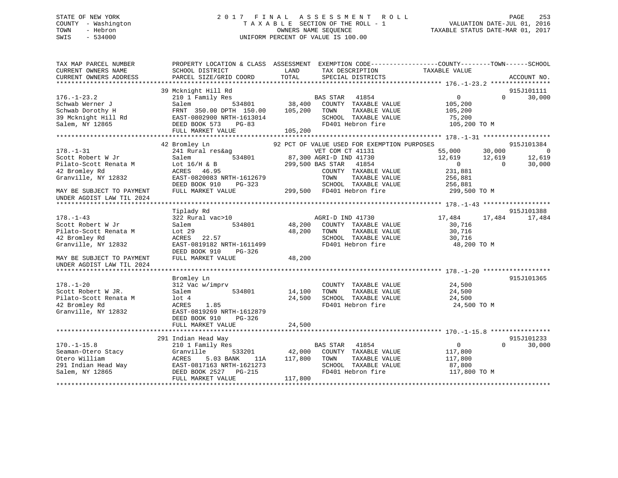# STATE OF NEW YORK 2 0 1 7 F I N A L A S S E S S M E N T R O L L PAGE 253 COUNTY - Washington T A X A B L E SECTION OF THE ROLL - 1 VALUATION DATE-JUL 01, 2016 TOWN - Hebron OWNERS NAME SEQUENCE TAXABLE STATUS DATE-MAR 01, 2017 SWIS - 534000 UNIFORM PERCENT OF VALUE IS 100.00

| TAX MAP PARCEL NUMBER<br>CURRENT OWNERS NAME<br>CURRENT OWNERS ADDRESS | SCHOOL DISTRICT<br>PARCEL SIZE/GRID COORD     | PROPERTY LOCATION & CLASS ASSESSMENT EXEMPTION CODE---------------COUNTY-------TOWN-----SCHOOL<br>LAND<br>TAX DESCRIPTION<br>TOTAL<br>SPECIAL DISTRICTS | TAXABLE VALUE<br>ACCOUNT NO.         |
|------------------------------------------------------------------------|-----------------------------------------------|---------------------------------------------------------------------------------------------------------------------------------------------------------|--------------------------------------|
|                                                                        |                                               |                                                                                                                                                         |                                      |
|                                                                        | 39 Mcknight Hill Rd                           |                                                                                                                                                         | 915J101111                           |
| $176. - 1 - 23.2$                                                      | 210 1 Family Res                              | BAS STAR 41854                                                                                                                                          | $\overline{0}$<br>30,000<br>$\Omega$ |
| Schwab Werner J                                                        | Salem<br>534801                               | 38,400<br>COUNTY TAXABLE VALUE                                                                                                                          | 105,200                              |
| Schwab Dorothy H                                                       | FRNT 350.00 DPTH 150.00                       | 105,200<br>TOWN<br>TAXABLE VALUE                                                                                                                        | 105,200                              |
| 39 Mcknight Hill Rd                                                    | EAST-0802900 NRTH-1613014                     | SCHOOL TAXABLE VALUE<br>FD401 Hebron fire                                                                                                               | 75,200                               |
| Salem, NY 12865                                                        | DEED BOOK 573<br>$PG-83$<br>FULL MARKET VALUE | 105,200                                                                                                                                                 | 105,200 TO M                         |
|                                                                        |                                               |                                                                                                                                                         |                                      |
|                                                                        | 42 Bromley Ln                                 | 92 PCT OF VALUE USED FOR EXEMPTION PURPOSES                                                                                                             | 915J101384                           |
| $178. - 1 - 31$                                                        | 241 Rural res&ag                              | VET COM CT 41131                                                                                                                                        | 55,000<br>30,000<br>$\overline{0}$   |
| Scott Robert W Jr                                                      | 534801<br>Salem                               | 87,300 AGRI-D IND 41730                                                                                                                                 | 12,619<br>12,619<br>12,619           |
| Pilato-Scott Renata M                                                  | Lot $16/H$ & B                                | 299,500 BAS STAR<br>41854                                                                                                                               | 30,000<br>$\overline{0}$<br>$\Omega$ |
| 42 Bromley Rd                                                          | ACRES<br>46.95                                | COUNTY TAXABLE VALUE                                                                                                                                    | 231,881                              |
| Granville, NY 12832                                                    | EAST-0820083 NRTH-1612679                     | TOWN<br>TAXABLE VALUE                                                                                                                                   | 256,881                              |
|                                                                        | DEED BOOK 910<br>PG-323                       | SCHOOL TAXABLE VALUE                                                                                                                                    | 256,881                              |
| MAY BE SUBJECT TO PAYMENT<br>UNDER AGDIST LAW TIL 2024                 | FULL MARKET VALUE                             | 299,500 FD401 Hebron fire                                                                                                                               | 299,500 TO M                         |
|                                                                        | Tiplady Rd                                    |                                                                                                                                                         | 915J101388                           |
| $178. - 1 - 43$                                                        | 322 Rural vac>10                              | AGRI-D IND 41730                                                                                                                                        | 17,484<br>17,484<br>17,484           |
| Scott Robert W Jr                                                      | 534801<br>Salem                               | 48,200 COUNTY TAXABLE VALUE                                                                                                                             | 30,716                               |
| Pilato-Scott Renata M                                                  | Lot 29                                        | 48,200<br>TOWN<br>TAXABLE VALUE                                                                                                                         | 30,716                               |
| 42 Bromley Rd                                                          | ACRES 22.57                                   | SCHOOL TAXABLE VALUE                                                                                                                                    | 30,716                               |
| Granville, NY 12832                                                    | EAST-0819182 NRTH-1611499                     | FD401 Hebron fire                                                                                                                                       | 48,200 TO M                          |
|                                                                        | DEED BOOK 910<br>PG-326                       |                                                                                                                                                         |                                      |
| MAY BE SUBJECT TO PAYMENT                                              | FULL MARKET VALUE                             | 48,200                                                                                                                                                  |                                      |
| UNDER AGDIST LAW TIL 2024                                              |                                               |                                                                                                                                                         |                                      |
|                                                                        | Bromley Ln                                    |                                                                                                                                                         | 915J101365                           |
| $178. - 1 - 20$                                                        | 312 Vac w/imprv                               | COUNTY TAXABLE VALUE                                                                                                                                    | 24,500                               |
| Scott Robert W JR.                                                     | Salem<br>534801                               | 14,100<br>TOWN<br>TAXABLE VALUE                                                                                                                         | 24,500                               |
| Pilato-Scott Renata M                                                  | $1$ ot $4$                                    | SCHOOL TAXABLE VALUE<br>24,500                                                                                                                          | 24,500                               |
| 42 Bromley Rd                                                          | ACRES<br>1.85                                 | FD401 Hebron fire                                                                                                                                       | 24,500 TO M                          |
| Granville, NY 12832                                                    | EAST-0819269 NRTH-1612879                     |                                                                                                                                                         |                                      |
|                                                                        | DEED BOOK 910<br>$PG-326$                     |                                                                                                                                                         |                                      |
|                                                                        | FULL MARKET VALUE                             | 24,500                                                                                                                                                  |                                      |
|                                                                        |                                               |                                                                                                                                                         |                                      |
|                                                                        | 291 Indian Head Way                           |                                                                                                                                                         | 915J101233                           |
| $170. - 1 - 15.8$                                                      | 210 1 Family Res                              | <b>BAS STAR</b><br>41854                                                                                                                                | 30,000<br>$\mathbf{0}$<br>$\Omega$   |
| Seaman-Otero Stacy                                                     | 533201<br>Granville                           | 42,000<br>COUNTY TAXABLE VALUE                                                                                                                          | 117,800                              |
| Otero William                                                          | 5.03 BANK<br>ACRES<br>11A                     | 117,800<br>TOWN<br>TAXABLE VALUE                                                                                                                        | 117,800                              |
| 291 Indian Head Way                                                    | EAST-0817163 NRTH-1621273                     | SCHOOL TAXABLE VALUE                                                                                                                                    | 87,800                               |
| Salem, NY 12865                                                        | DEED BOOK 2527<br>PG-215<br>FULL MARKET VALUE | FD401 Hebron fire                                                                                                                                       | 117,800 TO M                         |
|                                                                        |                                               | 117,800                                                                                                                                                 |                                      |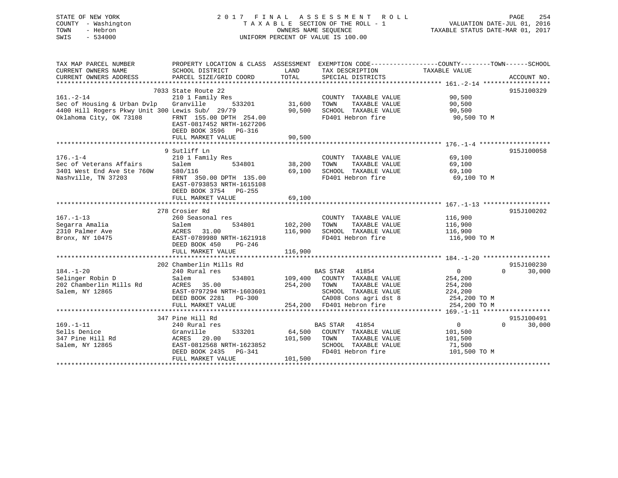# STATE OF NEW YORK 2 0 1 7 F I N A L A S S E S S M E N T R O L L PAGE 254 COUNTY - Washington T A X A B L E SECTION OF THE ROLL - 1 VALUATION DATE-JUL 01, 2016 TOWN - Hebron OWNERS NAME SEQUENCE TAXABLE STATUS DATE-MAR 01, 2017 SWIS - 534000 UNIFORM PERCENT OF VALUE IS 100.00

| TAX MAP PARCEL NUMBER<br>CURRENT OWNERS NAME<br>CURRENT OWNERS ADDRESS                                                                 | PROPERTY LOCATION & CLASS ASSESSMENT<br>SCHOOL DISTRICT<br>PARCEL SIZE/GRID COORD                                                                         | LAND<br>TOTAL                 | TAX DESCRIPTION TAXABLE VALUE<br>SPECIAL DISTRICTS                                                                           | EXEMPTION CODE-----------------COUNTY-------TOWN------SCHOOL                                          | ACCOUNT NO.                      |
|----------------------------------------------------------------------------------------------------------------------------------------|-----------------------------------------------------------------------------------------------------------------------------------------------------------|-------------------------------|------------------------------------------------------------------------------------------------------------------------------|-------------------------------------------------------------------------------------------------------|----------------------------------|
| $161. - 2 - 14$<br>Sec of Housing & Urban Dvlp Granville<br>4400 Hill Rogers Pkwy Unit 300 Lewis Sub/ 29/79<br>Oklahoma City, OK 73108 | 7033 State Route 22<br>210 1 Family Res<br>533201<br>FRNT 155.00 DPTH 254.00<br>EAST-0817452 NRTH-1627206<br>DEED BOOK 3596 PG-316<br>FULL MARKET VALUE   | 31,600<br>90,500<br>90,500    | COUNTY TAXABLE VALUE<br>TAXABLE VALUE<br>TOWN<br>SCHOOL TAXABLE VALUE<br>FD401 Hebron fire                                   | 90,500<br>90,500<br>90,500<br>90,500 TO M                                                             | 915J100329                       |
|                                                                                                                                        |                                                                                                                                                           |                               |                                                                                                                              |                                                                                                       |                                  |
| $176. - 1 - 4$<br>Sec of Veterans Affairs<br>3401 West End Ave Ste 760W 580/116<br>Nashville, TN 37203                                 | 9 Sutliff Ln<br>210 1 Family Res<br>Salem<br>534801<br>FRNT 350.00 DPTH 135.00<br>EAST-0793853 NRTH-1615108<br>DEED BOOK 3754 PG-255<br>FULL MARKET VALUE | 38,200<br>69,100<br>69,100    | COUNTY TAXABLE VALUE<br>TOWN<br>TAXABLE VALUE<br>SCHOOL TAXABLE VALUE 69,100                                                 | 69,100<br>69,100<br>FD401 Hebron fire 69,100 TO M                                                     | 915J100058                       |
|                                                                                                                                        | 278 Crosier Rd                                                                                                                                            |                               |                                                                                                                              |                                                                                                       | 915J100202                       |
| $167. - 1 - 13$<br>Segarra Amalia<br>2310 Palmer Ave<br>Bronx, NY 10475                                                                | 260 Seasonal res<br>Salem<br>534801<br>ACRES 31.00<br>EAST-0789980 NRTH-1621918<br>Compared Press, PG-246<br>DEED BOOK 450<br>FULL MARKET VALUE           | 102,200<br>116,900<br>116,900 | COUNTY TAXABLE VALUE<br>TAXABLE VALUE<br>TOWN<br>SCHOOL TAXABLE VALUE 116,900<br>FD401 Hebron fire                           | 116,900<br>116,900<br>116,900 TO M                                                                    |                                  |
|                                                                                                                                        |                                                                                                                                                           |                               |                                                                                                                              |                                                                                                       |                                  |
|                                                                                                                                        | 202 Chamberlin Mills Rd                                                                                                                                   |                               |                                                                                                                              |                                                                                                       | 915J100230                       |
| $184. - 1 - 20$<br>Selinger Robin D<br>202 Chamberlin Mills Rd<br>Salem, NY 12865                                                      | 240 Rural res<br>534801<br>Salem<br>ACRES<br>35.00<br>EAST-0797294 NRTH-1603601<br>DEED BOOK 2281 PG-300<br>FULL MARKET VALUE                             | 254,200<br>$\mathbf{1}$       | BAS STAR 41854<br>109,400 COUNTY TAXABLE VALUE<br>TAXABLE VALUE<br>TOWN<br>SCHOOL TAXABLE VALUE<br>254,200 FD401 Hebron fire | $\overline{0}$<br>254,200<br>254,200<br>224,200<br>CA008 Cons agri dst 8 254,200 TO M<br>254,200 TO M | $\Omega$<br>30,000               |
|                                                                                                                                        |                                                                                                                                                           |                               |                                                                                                                              |                                                                                                       |                                  |
| $169. - 1 - 11$<br>Sells Denice<br>347 Pine Hill Rd<br>Salem, NY 12865                                                                 | 347 Pine Hill Rd<br>240 Rural res<br>Granville<br>533201<br>ACRES<br>20.00<br>EAST-0812568 NRTH-1623852<br>DEED BOOK 2435 PG-341<br>FULL MARKET VALUE     | 101,500<br>101,500            | BAS STAR 41854<br>64,500 COUNTY TAXABLE VALUE<br>TOWN<br>TAXABLE VALUE<br>SCHOOL TAXABLE VALUE<br>FD401 Hebron fire          | $\overline{0}$<br>101,500<br>101,500<br>71,500<br>101,500 TO M                                        | 915J100491<br>30,000<br>$\Omega$ |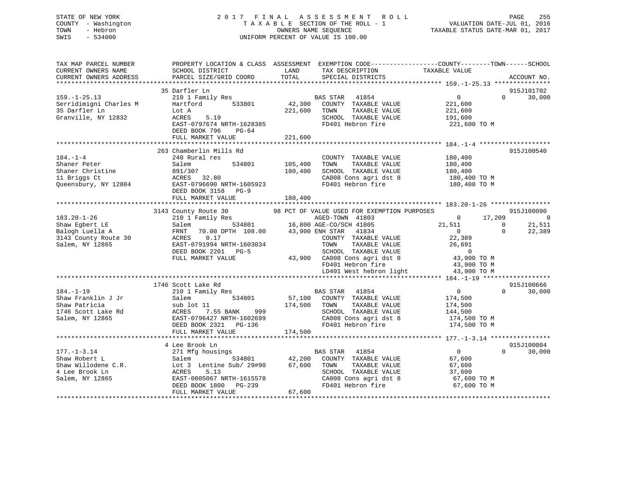# STATE OF NEW YORK 2 0 1 7 F I N A L A S S E S S M E N T R O L L PAGE 255 COUNTY - Washington T A X A B L E SECTION OF THE ROLL - 1 VALUATION DATE-JUL 01, 2016 TOWN - Hebron OWNERS NAME SEQUENCE TAXABLE STATUS DATE-MAR 01, 2017 SWIS - 534000 UNIFORM PERCENT OF VALUE IS 100.00

| TAX MAP PARCEL NUMBER<br>CURRENT OWNERS NAME<br>CURRENT OWNERS ADDRESS | SCHOOL DISTRICT<br>PARCEL SIZE/GRID COORD | TAX DESCRIPTION<br>SPECIAL DISTRICTS<br>LAND<br>TOTAL<br>SPECIAL DISTRICTS | PROPERTY LOCATION & CLASS ASSESSMENT EXEMPTION CODE---------------COUNTY-------TOWN-----SCHOOL<br>ACCOUNT NO. |
|------------------------------------------------------------------------|-------------------------------------------|----------------------------------------------------------------------------|---------------------------------------------------------------------------------------------------------------|
|                                                                        |                                           |                                                                            |                                                                                                               |
|                                                                        | 35 Darfler Ln                             |                                                                            | 915J101702                                                                                                    |
| $159. - 1 - 25.13$                                                     | 210 1 Family Res                          | BAS STAR 41854                                                             | $\overline{0}$<br>30,000<br>$\Omega$                                                                          |
| Serridimigni Charles M                                                 | Hartford<br>533801                        | 42,300<br>COUNTY TAXABLE VALUE                                             | 221,600                                                                                                       |
| 35 Darfler Ln                                                          | Lot A                                     | 221,600<br>TOWN<br>TAXABLE VALUE                                           | 221,600                                                                                                       |
| Granville, NY 12832                                                    | 5.19<br>ACRES                             | SCHOOL TAXABLE VALUE                                                       | 191,600                                                                                                       |
|                                                                        | EAST-0797674 NRTH-1628385                 | FD401 Hebron fire                                                          | 221,600 TO M                                                                                                  |
|                                                                        | DEED BOOK 796<br>PG-64                    |                                                                            |                                                                                                               |
|                                                                        | FULL MARKET VALUE                         | 221,600                                                                    |                                                                                                               |
|                                                                        |                                           |                                                                            |                                                                                                               |
|                                                                        | 263 Chamberlin Mills Rd                   |                                                                            | 915J100540                                                                                                    |
| $184. - 1 - 4$                                                         | 240 Rural res                             | COUNTY TAXABLE VALUE                                                       | 180,400                                                                                                       |
| Shaner Peter                                                           | 534801<br>Salem                           | 105,400<br>TAXABLE VALUE<br>TOWN                                           | 180,400                                                                                                       |
| Shaner Christine                                                       | 891/307                                   | 180,400<br>SCHOOL TAXABLE VALUE                                            | 180,400                                                                                                       |
| 11 Briggs Ct                                                           | ACRES 32.80                               |                                                                            | CA008 Cons agri dst 8 180,400 TO M                                                                            |
| Queensbury, NY 12804                                                   | EAST-0796690 NRTH-1605923                 | FD401 Hebron fire                                                          | 180,400 TO M                                                                                                  |
|                                                                        | DEED BOOK 3158 PG-9                       |                                                                            |                                                                                                               |
|                                                                        | FULL MARKET VALUE                         | 180,400                                                                    |                                                                                                               |
|                                                                        |                                           |                                                                            |                                                                                                               |
|                                                                        |                                           |                                                                            | 915J100090                                                                                                    |
| $183.20 - 1 - 26$                                                      |                                           |                                                                            | 17,209<br>$\overline{0}$<br>$\overline{\phantom{0}}$                                                          |
| Shaw Egbert LE                                                         | Salem                                     | 534801 16,800 AGE-CO/SCH 41805                                             | 21,511<br>$\Omega$<br>21,511                                                                                  |
| Balogh Luella A                                                        | FRNT                                      | 70.00 DPTH 108.00 43,900 ENH STAR<br>41834                                 | $\mathbf 0$<br>22,389<br>$\overline{0}$                                                                       |
| 3143 County Route 30                                                   | 0.17<br>ACRES                             | COUNTY TAXABLE VALUE                                                       | 22,389                                                                                                        |
| Salem, NY 12865                                                        | EAST-0791994 NRTH-1603034                 | TAXABLE VALUE<br>TOWN                                                      | 26,691                                                                                                        |
|                                                                        | DEED BOOK 2201 PG-5                       | SCHOOL TAXABLE VALUE                                                       | $\overline{0}$                                                                                                |
|                                                                        | FULL MARKET VALUE                         |                                                                            | 43,900 TO M                                                                                                   |
|                                                                        |                                           | 43,900 CA008 Cons agri dst 8<br>FD401 Hebron fire                          | 43,900 TO M                                                                                                   |
|                                                                        |                                           |                                                                            |                                                                                                               |
|                                                                        |                                           |                                                                            | LD401 West hebron light 43,900 TO M                                                                           |
|                                                                        |                                           |                                                                            |                                                                                                               |
| $184. - 1 - 19$                                                        | 1746 Scott Lake Rd                        |                                                                            | 915J100666<br>$\overline{0}$<br>$\Omega$                                                                      |
|                                                                        | 210 1 Family Res                          | <b>BAS STAR</b><br>41854                                                   | 30,000                                                                                                        |
| Shaw Franklin J Jr                                                     | Salem<br>534801                           | 57,100 COUNTY TAXABLE VALUE                                                | 174,500                                                                                                       |
| Shaw Patricia                                                          | sub lot 11                                | 174,500 TOWN<br>TAXABLE VALUE                                              | 174,500                                                                                                       |
| 1746 Scott Lake Rd                                                     | ACRES 7.55 BANK<br>999                    | SCHOOL TAXABLE VALUE                                                       | 144,500                                                                                                       |
| Salem, NY 12865                                                        | EAST-0796427 NRTH-1602699                 | CA008 Cons agri dst 8                                                      | 174,500 TO M                                                                                                  |
|                                                                        | DEED BOOK 2321 PG-136                     | FD401 Hebron fire                                                          | 174,500 TO M                                                                                                  |
|                                                                        | FULL MARKET VALUE                         | 174,500                                                                    |                                                                                                               |
|                                                                        |                                           |                                                                            |                                                                                                               |
|                                                                        | 4 Lee Brook Ln                            |                                                                            | 915J100004                                                                                                    |
| $177. - 1 - 3.14$                                                      | 271 Mfg housings                          | BAS STAR 41854                                                             | $\overline{0}$<br>$\Omega$<br>30,000                                                                          |
| Shaw Robert L                                                          | 534801<br>Salem                           | 42,200 COUNTY TAXABLE VALUE                                                | 67,600                                                                                                        |
| Shaw Willodene C.R.                                                    | Lot 3 Lentine Sub/ 29#90 67,600 TOWN      | TAXABLE VALUE                                                              | 67,600                                                                                                        |
| 4 Lee Brook Ln                                                         | 5.13<br>ACRES                             | SCHOOL TAXABLE VALUE                                                       | 37,600                                                                                                        |
| Salem, NY 12865                                                        | EAST-0805067 NRTH-1615578                 | CA008 Cons agri dst 8                                                      | 67,600 TO M                                                                                                   |
|                                                                        | DEED BOOK 1800 PG-239                     | FD401 Hebron fire                                                          | 67,600 TO M                                                                                                   |
|                                                                        | FULL MARKET VALUE                         | 67,600                                                                     |                                                                                                               |
|                                                                        |                                           |                                                                            |                                                                                                               |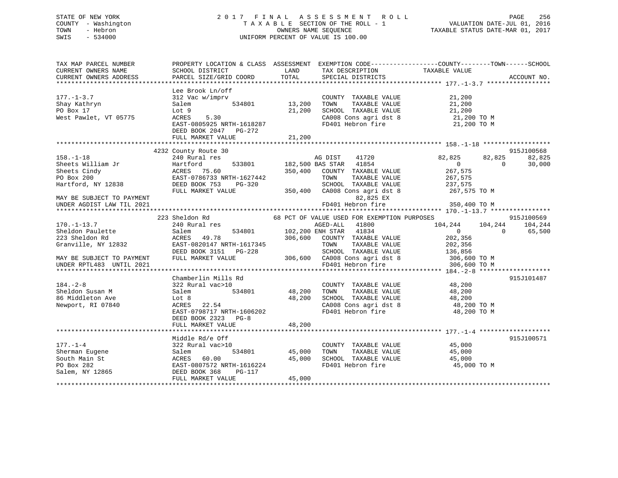# STATE OF NEW YORK 2 0 1 7 F I N A L A S S E S S M E N T R O L L PAGE 256 COUNTY - Washington T A X A B L E SECTION OF THE ROLL - 1 VALUATION DATE-JUL 01, 2016 TOWN - Hebron OWNERS NAME SEQUENCE TAXABLE STATUS DATE-MAR 01, 2017 SWIS - 534000 UNIFORM PERCENT OF VALUE IS 100.00

| TAX MAP PARCEL NUMBER<br>CURRENT OWNERS NAME<br>CURRENT OWNERS ADDRESS                                                                  | PROPERTY LOCATION & CLASS ASSESSMENT EXEMPTION CODE----------------COUNTY-------TOWN------SCHOOL<br>SCHOOL DISTRICT<br>PARCEL SIZE/GRID COORD               | LAND<br>TOTAL              | TAX DESCRIPTION TAXABLE VALUE<br>SPECIAL DISTRICTS                                                                                                                         |                                                                                                               | ACCOUNT NO.                                |
|-----------------------------------------------------------------------------------------------------------------------------------------|-------------------------------------------------------------------------------------------------------------------------------------------------------------|----------------------------|----------------------------------------------------------------------------------------------------------------------------------------------------------------------------|---------------------------------------------------------------------------------------------------------------|--------------------------------------------|
| $177. - 1 - 3.7$<br>Shay Kathryn<br>PO Box 17<br>West Pawlet, VT 05775                                                                  | Lee Brook Ln/off<br>312 Vac w/imprv<br>534801<br>Salem<br>Lot 9<br>5.30<br>ACRES<br>EAST-0805925 NRTH-1618287<br>DEED BOOK 2047 PG-272<br>FULL MARKET VALUE | 13,200<br>21,200<br>21,200 | COUNTY TAXABLE VALUE<br>TAXABLE VALUE<br>TOWN<br>SCHOOL TAXABLE VALUE<br>CA008 Cons agri dst 8<br>FD401 Hebron fire                                                        | 21,200<br>21,200<br>21,200<br>21,200 TO M<br>21,200 TO M                                                      |                                            |
|                                                                                                                                         |                                                                                                                                                             |                            |                                                                                                                                                                            |                                                                                                               |                                            |
| $158. - 1 - 18$<br>Sheets William Jr<br>Sheets Cindy<br>PO Box 200<br>Hartford, NY 12838                                                | 4232 County Route 30<br>240 Rural res<br>Hartford<br>ACRES 75.60<br>EAST-0786733 NRTH-1627442<br>DEED BOOK 753<br>PG-320                                    |                            | AG DIST 41720<br>533801 182,500 BAS STAR 41854<br>350,400 COUNTY TAXABLE VALUE<br>TOWN<br>TAXABLE VALUE<br>SCHOOL TAXABLE VALUE                                            | 82,825<br>82,825<br>$\Omega$<br>267,575<br>267,575<br>237,575                                                 | 915J100568<br>82,825<br>30,000<br>$\Omega$ |
| MAY BE SUBJECT TO PAYMENT<br>UNDER AGDIST LAW TIL 2021                                                                                  | FULL MARKET VALUE                                                                                                                                           |                            | 350,400 CA008 Cons agri dst 8<br>82,825 EX<br>FD401 Hebron fire                                                                                                            | 267,575 TO M<br>350,400 TO M                                                                                  |                                            |
|                                                                                                                                         | 223 Sheldon Rd                                                                                                                                              |                            | 68 PCT OF VALUE USED FOR EXEMPTION PURPOSES                                                                                                                                |                                                                                                               | 915J100569                                 |
| $170. - 1 - 13.7$<br>Sheldon Paulette<br>223 Sheldon Rd<br>Granville, NY 12832<br>MAY BE SUBJECT TO PAYMENT<br>UNDER RPTL483 UNTIL 2021 | 240 Rural res<br>534801<br>Salem<br>ACRES<br>49.78<br>EAST-0820147 NRTH-1617345<br>DEED BOOK 3151 PG-228<br>FULL MARKET VALUE                               | 306,600                    | AGED-ALL<br>41800<br>102,200 ENH STAR 41834<br>COUNTY TAXABLE VALUE<br>TAXABLE VALUE<br>TOWN<br>SCHOOL TAXABLE VALUE<br>306,600 CA008 Cons agri dst 8<br>FD401 Hebron fire | 104,244<br>104,244<br>$\overline{0}$<br>202,356<br>202,356<br>136,856<br>306,600 TO M<br>306,600 TO M         | 104,244<br>$\Omega$<br>65,500              |
|                                                                                                                                         |                                                                                                                                                             |                            |                                                                                                                                                                            |                                                                                                               |                                            |
| $184. - 2 - 8$<br>Sheldon Susan M<br>86 Middleton Ave<br>Newport, RI 07840                                                              | Chamberlin Mills Rd<br>322 Rural vac>10<br>Salem<br>534801<br>Lot 8<br>ACRES 22.54<br>EAST-0798717 NRTH-1606202<br>DEED BOOK 2323 PG-8                      | 48,200<br>48,200           | COUNTY TAXABLE VALUE<br>TAXABLE VALUE<br>TOWN<br>SCHOOL TAXABLE VALUE<br>FD401 Hebron fire                                                                                 | 48,200<br>48,200<br>48,200<br>SCHOOL TAXABLE VALUE 48,200<br>CA008 Cons agri dst 8 48,200 TO M<br>48,200 TO M | 915J101487                                 |
|                                                                                                                                         | FULL MARKET VALUE                                                                                                                                           | 48,200                     |                                                                                                                                                                            |                                                                                                               |                                            |
|                                                                                                                                         |                                                                                                                                                             |                            |                                                                                                                                                                            |                                                                                                               |                                            |
| $177. - 1 - 4$<br>Sherman Eugene<br>South Main St<br>PO Box 282<br>Salem, NY 12865                                                      | Middle Rd/e Off<br>322 Rural vac>10<br>Salem<br>ACRES<br>60.00<br>EAST-0807572 NRTH-1616224<br>DEED BOOK 368<br>PG-117                                      | 534801 45,000<br>45,000    | COUNTY TAXABLE VALUE<br>TOWN<br>TAXABLE VALUE<br>SCHOOL TAXABLE VALUE<br>FD401 Hebron fire                                                                                 | 45,000<br>45,000<br>45,000<br>45,000 TO M                                                                     | 915J100571                                 |
|                                                                                                                                         | FULL MARKET VALUE                                                                                                                                           | 45,000                     |                                                                                                                                                                            |                                                                                                               |                                            |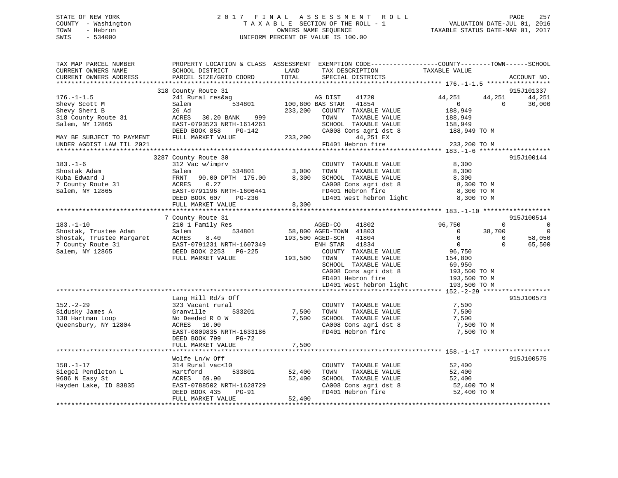# STATE OF NEW YORK 2 0 1 7 F I N A L A S S E S S M E N T R O L L PAGE 257 COUNTY - Washington T A X A B L E SECTION OF THE ROLL - 1 VALUATION DATE-JUL 01, 2016 TOWN - Hebron OWNERS NAME SEQUENCE TAXABLE STATUS DATE-MAR 01, 2017 SWIS - 534000 UNIFORM PERCENT OF VALUE IS 100.00

| TAX MAP PARCEL NUMBER<br>CURRENT OWNERS NAME<br>CURRENT OWNERS ADDRESS | PROPERTY LOCATION & CLASS ASSESSMENT EXEMPTION CODE----------------COUNTY-------TOWN------SCHOOL<br>SCHOOL DISTRICT<br>PARCEL SIZE/GRID COORD | LAND<br>TOTAL  | TAX DESCRIPTION<br>SPECIAL DISTRICTS           | TAXABLE VALUE             |              | ACCOUNT NO.          |
|------------------------------------------------------------------------|-----------------------------------------------------------------------------------------------------------------------------------------------|----------------|------------------------------------------------|---------------------------|--------------|----------------------|
|                                                                        |                                                                                                                                               |                |                                                |                           |              |                      |
| $176. - 1 - 1.5$                                                       | 318 County Route 31<br>241 Rural res&ag                                                                                                       |                | 41720<br>AG DIST                               | 44,251                    | 44,251       | 915J101337<br>44,251 |
| Shevy Scott M<br>Shevy Sheri B                                         | Salem<br>534801<br>26 Ad                                                                                                                      | 233,200        | 100,800 BAS STAR 41854<br>COUNTY TAXABLE VALUE | $\overline{0}$<br>188,949 | $\Omega$     | 30,000               |
| 318 County Route 31                                                    | 30.20 BANK<br>999<br>ACRES                                                                                                                    |                | TOWN<br>TAXABLE VALUE                          | 188,949                   |              |                      |
| Salem, NY 12865                                                        | EAST-0793523 NRTH-1614261                                                                                                                     |                | SCHOOL TAXABLE VALUE                           | 158,949                   |              |                      |
|                                                                        | DEED BOOK 858<br>PG-142                                                                                                                       |                | CA008 Cons agri dst 8                          | 188,949 TO M              |              |                      |
| MAY BE SUBJECT TO PAYMENT                                              | FULL MARKET VALUE                                                                                                                             | 233,200        | 44,251 EX                                      |                           |              |                      |
| UNDER AGDIST LAW TIL 2021                                              |                                                                                                                                               |                | FD401 Hebron fire                              | 233,200 TO M              |              |                      |
|                                                                        |                                                                                                                                               |                |                                                |                           |              |                      |
|                                                                        | 3287 County Route 30                                                                                                                          |                |                                                |                           |              | 915J100144           |
| $183. - 1 - 6$                                                         | 312 Vac w/imprv                                                                                                                               |                | COUNTY TAXABLE VALUE                           | 8,300                     |              |                      |
| Shostak Adam                                                           | 534801<br>Salem                                                                                                                               | 3,000          | TOWN<br>TAXABLE VALUE                          | 8,300                     |              |                      |
| Kuba Edward J                                                          | FRNT<br>90.00 DPTH 175.00                                                                                                                     | 8,300          | SCHOOL TAXABLE VALUE                           | 8,300                     |              |                      |
| 7 County Route 31                                                      | ACRES<br>0.27                                                                                                                                 |                | CA008 Cons agri dst 8<br>FD401 Hebron fire     | 8,300 TO M                |              |                      |
| Salem, NY 12865                                                        | EAST-0791196 NRTH-1606441                                                                                                                     |                |                                                | 8,300 TO M                |              |                      |
|                                                                        | DEED BOOK 607<br>PG-236                                                                                                                       |                | LD401 West hebron light                        | 8,300 TO M                |              |                      |
|                                                                        | FULL MARKET VALUE                                                                                                                             | 8,300          |                                                |                           |              |                      |
|                                                                        |                                                                                                                                               |                |                                                |                           |              |                      |
|                                                                        | 7 County Route 31                                                                                                                             |                |                                                |                           |              | 915J100514           |
| $183. - 1 - 10$                                                        | 210 1 Family Res                                                                                                                              |                | AGED-CO<br>41802                               | 96,750                    | $\mathbf{0}$ | $\overline{0}$       |
| Shostak, Trustee Adam                                                  | 534801<br>Salem                                                                                                                               |                | 58,800 AGED-TOWN 41803                         | $\Omega$                  | 38,700       | $\Omega$             |
| Shostak, Trustee Margaret                                              | ACRES<br>8.40                                                                                                                                 |                | 193,500 AGED-SCH<br>41804                      | $\bigcirc$                | $\Omega$     | 58,050               |
| 7 County Route 31                                                      | EAST-0791231 NRTH-1607349                                                                                                                     |                | 41834<br>ENH STAR                              | $\overline{0}$            | $\Omega$     | 65,500               |
| Salem, NY 12865                                                        | DEED BOOK 2253 PG-225                                                                                                                         |                | COUNTY TAXABLE VALUE                           | 96,750                    |              |                      |
|                                                                        | FULL MARKET VALUE                                                                                                                             | 193,500        | TOWN<br>TAXABLE VALUE                          | 154,800                   |              |                      |
|                                                                        |                                                                                                                                               |                | SCHOOL TAXABLE VALUE                           | 69,950                    |              |                      |
|                                                                        |                                                                                                                                               |                | CA008 Cons agri dst 8                          | 193,500 TO M              |              |                      |
|                                                                        |                                                                                                                                               |                | FD401 Hebron fire                              | 193,500 TO M              |              |                      |
|                                                                        |                                                                                                                                               |                | LD401 West hebron light                        | 193,500 TO M              |              |                      |
|                                                                        |                                                                                                                                               |                |                                                |                           |              |                      |
|                                                                        | Lang Hill Rd/s Off                                                                                                                            |                |                                                |                           |              | 915J100573           |
| $152 - 2 - 29$                                                         | 323 Vacant rural                                                                                                                              |                | COUNTY TAXABLE VALUE                           | 7,500                     |              |                      |
| Sidusky James A                                                        | 533201<br>Granville                                                                                                                           | 7,500<br>7,500 | TOWN<br>TAXABLE VALUE<br>SCHOOL TAXABLE VALUE  | 7,500<br>7,500            |              |                      |
| 138 Hartman Loop<br>Queensbury, NY 12804                               | No Deeded R O W<br>ACRES 10.00                                                                                                                |                | CA008 Cons agri dst 8                          | 7,500 TO M                |              |                      |
|                                                                        | EAST-0809835 NRTH-1633186                                                                                                                     |                | FD401 Hebron fire                              | 7,500 TO M                |              |                      |
|                                                                        | DEED BOOK 799<br>PG-72                                                                                                                        |                |                                                |                           |              |                      |
|                                                                        | FULL MARKET VALUE                                                                                                                             | 7,500          |                                                |                           |              |                      |
|                                                                        |                                                                                                                                               |                |                                                |                           |              |                      |
|                                                                        | Wolfe Ln/w Off                                                                                                                                |                |                                                |                           |              | 915J100575           |
| $158. - 1 - 17$                                                        | 314 Rural vac<10                                                                                                                              |                | COUNTY TAXABLE VALUE                           | 52,400                    |              |                      |
| Siegel Pendleton L                                                     | 533801<br>Hartford                                                                                                                            | 52,400         | TOWN<br>TAXABLE VALUE                          | 52,400                    |              |                      |
| 9686 N Easy St                                                         | ACRES<br>69.90                                                                                                                                | 52,400         | SCHOOL TAXABLE VALUE                           | 52,400                    |              |                      |
| Hayden Lake, ID 83835                                                  | EAST-0788502 NRTH-1628729                                                                                                                     |                | CA008 Cons agri dst 8                          | 52,400 TO M               |              |                      |
|                                                                        | DEED BOOK 435<br>PG-91                                                                                                                        |                | FD401 Hebron fire                              | 52,400 TO M               |              |                      |
|                                                                        | FULL MARKET VALUE                                                                                                                             | 52,400         |                                                |                           |              |                      |
|                                                                        |                                                                                                                                               |                |                                                |                           |              |                      |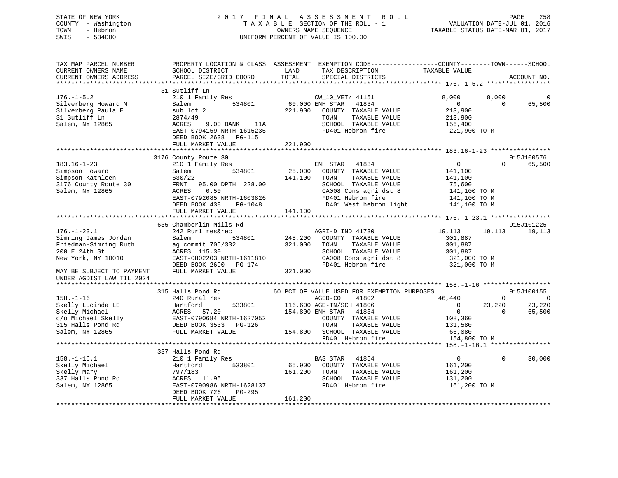# STATE OF NEW YORK 2 0 1 7 F I N A L A S S E S S M E N T R O L L PAGE 258 COUNTY - Washington T A X A B L E SECTION OF THE ROLL - 1 VALUATION DATE-JUL 01, 2016 TOWN - Hebron OWNERS NAME SEQUENCE TAXABLE STATUS DATE-MAR 01, 2017 SWIS - 534000 UNIFORM PERCENT OF VALUE IS 100.00

| 31 Sutliff Ln<br>8,000<br>8,000<br>210 1 Family Res<br>CW_10_VET/ 41151<br>0<br>60,000 ENH STAR<br>$\Omega$<br>65,500<br>Salem<br>534801<br>41834<br>$\overline{0}$<br>221,900<br>COUNTY TAXABLE VALUE<br>213,900<br>sub lot 2<br>31 Sutliff Ln<br>2874/49<br>TOWN<br>TAXABLE VALUE<br>213,900<br>Salem, NY 12865<br>9.00 BANK<br>SCHOOL TAXABLE VALUE<br>ACRES<br>11A<br>156,400<br>FD401 Hebron fire<br>EAST-0794159 NRTH-1615235<br>221,900 TO M<br>DEED BOOK 2638 PG-115<br>221,900<br>FULL MARKET VALUE<br>3176 County Route 30<br>915J100576<br>41834<br>$\overline{0}$<br>$\Omega$<br>65,500<br>210 1 Family Res<br>ENH STAR<br>25,000<br>COUNTY TAXABLE VALUE<br>Simpson Howard<br>Salem<br>534801<br>141,100<br>Simpson Kathleen<br>630/22<br>141,100<br>TOWN<br>TAXABLE VALUE<br>141,100<br>3176 County Route 30<br>SCHOOL TAXABLE VALUE<br>FRNT<br>95.00 DPTH 228.00<br>75,600<br>0.50<br>CA008 Cons agri dst 8<br>ACRES<br>141,100 TO M<br>EAST-0792085 NRTH-1603826<br>FD401 Hebron fire<br>141,100 TO M<br>$141,100$ TO M<br>LD401 West hebron light<br>DEED BOOK 438<br>PG-1048<br>FULL MARKET VALUE<br>141,100<br>635 Chamberlin Mills Rd<br>915J101225<br>$176. - 1 - 23.1$<br>242 Rurl res&rec<br>AGRI-D IND 41730<br>19,113<br>19,113<br>19,113<br>Simring James Jordan<br>Salem<br>534801<br>245,200<br>301,887<br>COUNTY TAXABLE VALUE<br>Friedman-Simring Ruth<br>321,000<br>ag commit 705/332<br>TOWN<br>TAXABLE VALUE<br>301,887<br>200 E 24th St<br>ACRES 115.30<br>SCHOOL TAXABLE VALUE<br>301,887<br>New York, NY 10010<br>EAST-0802203 NRTH-1611810<br>CA008 Cons agri dst 8<br>321,000 TO M<br>FD401 Hebron fire<br>321,000 TO M<br>DEED BOOK 2690 PG-174<br>FULL MARKET VALUE<br>321,000<br>UNDER AGDIST LAW TIL 2024<br>315 Halls Pond Rd<br>60 PCT OF VALUE USED FOR EXEMPTION PURPOSES<br>915J100155<br>$158. - 1 - 16$<br>240 Rural res<br>AGED-CO<br>41802<br>46,440<br>$\Omega$<br>$\Omega$<br>Skelly Lucinda LE<br>533801<br>116,600 AGE-TN/SCH 41806<br>23,220<br>23,220<br>Hartford<br>$\overline{0}$<br>Skelly Michael<br>57.20<br>154,800 ENH STAR<br>41834<br>$\overline{0}$<br>$\Omega$<br>65,500<br>ACRES<br>c/o Michael Skelly<br>EAST-0790684 NRTH-1627052<br>COUNTY TAXABLE VALUE<br>108,360<br>315 Halls Pond Rd<br>DEED BOOK 3533 PG-126<br>TOWN<br>TAXABLE VALUE<br>131,580<br>Salem, NY 12865<br>FULL MARKET VALUE<br>154,800<br>SCHOOL TAXABLE VALUE<br>66,080<br>FD401 Hebron fire<br>154,800 TO M<br>337 Halls Pond Rd<br>30,000<br>$158. - 1 - 16.1$<br>41854<br>$\overline{0}$<br>$\Omega$<br>210 1 Family Res<br>BAS STAR<br>533801<br>65,900<br>Hartford<br>COUNTY TAXABLE VALUE<br>161,200<br>161,200<br>TAXABLE VALUE<br>797/183<br>TOWN<br>161,200<br>SCHOOL TAXABLE VALUE<br>337 Halls Pond Rd<br>ACRES 11.95<br>131,200<br>EAST-0790986 NRTH-1628137<br>FD401 Hebron fire<br>161,200 TO M<br>Salem, NY 12865<br>DEED BOOK 726<br>PG-295<br>161,200<br>FULL MARKET VALUE | TAX MAP PARCEL NUMBER<br>CURRENT OWNERS NAME<br>CURRENT OWNERS ADDRESS | PROPERTY LOCATION & CLASS ASSESSMENT<br>SCHOOL DISTRICT<br>PARCEL SIZE/GRID COORD | LAND<br>TAX DESCRIPTION<br>TOTAL<br>SPECIAL DISTRICTS | EXEMPTION CODE-----------------COUNTY-------TOWN------SCHOOL<br>TAXABLE VALUE<br>ACCOUNT NO. |
|----------------------------------------------------------------------------------------------------------------------------------------------------------------------------------------------------------------------------------------------------------------------------------------------------------------------------------------------------------------------------------------------------------------------------------------------------------------------------------------------------------------------------------------------------------------------------------------------------------------------------------------------------------------------------------------------------------------------------------------------------------------------------------------------------------------------------------------------------------------------------------------------------------------------------------------------------------------------------------------------------------------------------------------------------------------------------------------------------------------------------------------------------------------------------------------------------------------------------------------------------------------------------------------------------------------------------------------------------------------------------------------------------------------------------------------------------------------------------------------------------------------------------------------------------------------------------------------------------------------------------------------------------------------------------------------------------------------------------------------------------------------------------------------------------------------------------------------------------------------------------------------------------------------------------------------------------------------------------------------------------------------------------------------------------------------------------------------------------------------------------------------------------------------------------------------------------------------------------------------------------------------------------------------------------------------------------------------------------------------------------------------------------------------------------------------------------------------------------------------------------------------------------------------------------------------------------------------------------------------------------------------------------------------------------------------------------------------------------------------------------------------------------------------------------------------------------------------------------------------------------------------------------------------------------------------|------------------------------------------------------------------------|-----------------------------------------------------------------------------------|-------------------------------------------------------|----------------------------------------------------------------------------------------------|
|                                                                                                                                                                                                                                                                                                                                                                                                                                                                                                                                                                                                                                                                                                                                                                                                                                                                                                                                                                                                                                                                                                                                                                                                                                                                                                                                                                                                                                                                                                                                                                                                                                                                                                                                                                                                                                                                                                                                                                                                                                                                                                                                                                                                                                                                                                                                                                                                                                                                                                                                                                                                                                                                                                                                                                                                                                                                                                                                        |                                                                        |                                                                                   |                                                       |                                                                                              |
|                                                                                                                                                                                                                                                                                                                                                                                                                                                                                                                                                                                                                                                                                                                                                                                                                                                                                                                                                                                                                                                                                                                                                                                                                                                                                                                                                                                                                                                                                                                                                                                                                                                                                                                                                                                                                                                                                                                                                                                                                                                                                                                                                                                                                                                                                                                                                                                                                                                                                                                                                                                                                                                                                                                                                                                                                                                                                                                                        | $176. - 1 - 5.2$<br>Silverberg Howard M<br>Silverberg Paula E          |                                                                                   |                                                       |                                                                                              |
|                                                                                                                                                                                                                                                                                                                                                                                                                                                                                                                                                                                                                                                                                                                                                                                                                                                                                                                                                                                                                                                                                                                                                                                                                                                                                                                                                                                                                                                                                                                                                                                                                                                                                                                                                                                                                                                                                                                                                                                                                                                                                                                                                                                                                                                                                                                                                                                                                                                                                                                                                                                                                                                                                                                                                                                                                                                                                                                                        |                                                                        |                                                                                   |                                                       |                                                                                              |
|                                                                                                                                                                                                                                                                                                                                                                                                                                                                                                                                                                                                                                                                                                                                                                                                                                                                                                                                                                                                                                                                                                                                                                                                                                                                                                                                                                                                                                                                                                                                                                                                                                                                                                                                                                                                                                                                                                                                                                                                                                                                                                                                                                                                                                                                                                                                                                                                                                                                                                                                                                                                                                                                                                                                                                                                                                                                                                                                        |                                                                        |                                                                                   |                                                       |                                                                                              |
|                                                                                                                                                                                                                                                                                                                                                                                                                                                                                                                                                                                                                                                                                                                                                                                                                                                                                                                                                                                                                                                                                                                                                                                                                                                                                                                                                                                                                                                                                                                                                                                                                                                                                                                                                                                                                                                                                                                                                                                                                                                                                                                                                                                                                                                                                                                                                                                                                                                                                                                                                                                                                                                                                                                                                                                                                                                                                                                                        |                                                                        |                                                                                   |                                                       |                                                                                              |
|                                                                                                                                                                                                                                                                                                                                                                                                                                                                                                                                                                                                                                                                                                                                                                                                                                                                                                                                                                                                                                                                                                                                                                                                                                                                                                                                                                                                                                                                                                                                                                                                                                                                                                                                                                                                                                                                                                                                                                                                                                                                                                                                                                                                                                                                                                                                                                                                                                                                                                                                                                                                                                                                                                                                                                                                                                                                                                                                        | $183.16 - 1 - 23$                                                      |                                                                                   |                                                       |                                                                                              |
|                                                                                                                                                                                                                                                                                                                                                                                                                                                                                                                                                                                                                                                                                                                                                                                                                                                                                                                                                                                                                                                                                                                                                                                                                                                                                                                                                                                                                                                                                                                                                                                                                                                                                                                                                                                                                                                                                                                                                                                                                                                                                                                                                                                                                                                                                                                                                                                                                                                                                                                                                                                                                                                                                                                                                                                                                                                                                                                                        |                                                                        |                                                                                   |                                                       |                                                                                              |
|                                                                                                                                                                                                                                                                                                                                                                                                                                                                                                                                                                                                                                                                                                                                                                                                                                                                                                                                                                                                                                                                                                                                                                                                                                                                                                                                                                                                                                                                                                                                                                                                                                                                                                                                                                                                                                                                                                                                                                                                                                                                                                                                                                                                                                                                                                                                                                                                                                                                                                                                                                                                                                                                                                                                                                                                                                                                                                                                        | Salem, NY 12865                                                        |                                                                                   |                                                       |                                                                                              |
|                                                                                                                                                                                                                                                                                                                                                                                                                                                                                                                                                                                                                                                                                                                                                                                                                                                                                                                                                                                                                                                                                                                                                                                                                                                                                                                                                                                                                                                                                                                                                                                                                                                                                                                                                                                                                                                                                                                                                                                                                                                                                                                                                                                                                                                                                                                                                                                                                                                                                                                                                                                                                                                                                                                                                                                                                                                                                                                                        |                                                                        |                                                                                   |                                                       |                                                                                              |
|                                                                                                                                                                                                                                                                                                                                                                                                                                                                                                                                                                                                                                                                                                                                                                                                                                                                                                                                                                                                                                                                                                                                                                                                                                                                                                                                                                                                                                                                                                                                                                                                                                                                                                                                                                                                                                                                                                                                                                                                                                                                                                                                                                                                                                                                                                                                                                                                                                                                                                                                                                                                                                                                                                                                                                                                                                                                                                                                        |                                                                        |                                                                                   |                                                       |                                                                                              |
|                                                                                                                                                                                                                                                                                                                                                                                                                                                                                                                                                                                                                                                                                                                                                                                                                                                                                                                                                                                                                                                                                                                                                                                                                                                                                                                                                                                                                                                                                                                                                                                                                                                                                                                                                                                                                                                                                                                                                                                                                                                                                                                                                                                                                                                                                                                                                                                                                                                                                                                                                                                                                                                                                                                                                                                                                                                                                                                                        |                                                                        |                                                                                   |                                                       |                                                                                              |
|                                                                                                                                                                                                                                                                                                                                                                                                                                                                                                                                                                                                                                                                                                                                                                                                                                                                                                                                                                                                                                                                                                                                                                                                                                                                                                                                                                                                                                                                                                                                                                                                                                                                                                                                                                                                                                                                                                                                                                                                                                                                                                                                                                                                                                                                                                                                                                                                                                                                                                                                                                                                                                                                                                                                                                                                                                                                                                                                        |                                                                        |                                                                                   |                                                       |                                                                                              |
|                                                                                                                                                                                                                                                                                                                                                                                                                                                                                                                                                                                                                                                                                                                                                                                                                                                                                                                                                                                                                                                                                                                                                                                                                                                                                                                                                                                                                                                                                                                                                                                                                                                                                                                                                                                                                                                                                                                                                                                                                                                                                                                                                                                                                                                                                                                                                                                                                                                                                                                                                                                                                                                                                                                                                                                                                                                                                                                                        |                                                                        |                                                                                   |                                                       |                                                                                              |
|                                                                                                                                                                                                                                                                                                                                                                                                                                                                                                                                                                                                                                                                                                                                                                                                                                                                                                                                                                                                                                                                                                                                                                                                                                                                                                                                                                                                                                                                                                                                                                                                                                                                                                                                                                                                                                                                                                                                                                                                                                                                                                                                                                                                                                                                                                                                                                                                                                                                                                                                                                                                                                                                                                                                                                                                                                                                                                                                        |                                                                        |                                                                                   |                                                       |                                                                                              |
|                                                                                                                                                                                                                                                                                                                                                                                                                                                                                                                                                                                                                                                                                                                                                                                                                                                                                                                                                                                                                                                                                                                                                                                                                                                                                                                                                                                                                                                                                                                                                                                                                                                                                                                                                                                                                                                                                                                                                                                                                                                                                                                                                                                                                                                                                                                                                                                                                                                                                                                                                                                                                                                                                                                                                                                                                                                                                                                                        |                                                                        |                                                                                   |                                                       |                                                                                              |
|                                                                                                                                                                                                                                                                                                                                                                                                                                                                                                                                                                                                                                                                                                                                                                                                                                                                                                                                                                                                                                                                                                                                                                                                                                                                                                                                                                                                                                                                                                                                                                                                                                                                                                                                                                                                                                                                                                                                                                                                                                                                                                                                                                                                                                                                                                                                                                                                                                                                                                                                                                                                                                                                                                                                                                                                                                                                                                                                        |                                                                        |                                                                                   |                                                       |                                                                                              |
|                                                                                                                                                                                                                                                                                                                                                                                                                                                                                                                                                                                                                                                                                                                                                                                                                                                                                                                                                                                                                                                                                                                                                                                                                                                                                                                                                                                                                                                                                                                                                                                                                                                                                                                                                                                                                                                                                                                                                                                                                                                                                                                                                                                                                                                                                                                                                                                                                                                                                                                                                                                                                                                                                                                                                                                                                                                                                                                                        |                                                                        |                                                                                   |                                                       |                                                                                              |
|                                                                                                                                                                                                                                                                                                                                                                                                                                                                                                                                                                                                                                                                                                                                                                                                                                                                                                                                                                                                                                                                                                                                                                                                                                                                                                                                                                                                                                                                                                                                                                                                                                                                                                                                                                                                                                                                                                                                                                                                                                                                                                                                                                                                                                                                                                                                                                                                                                                                                                                                                                                                                                                                                                                                                                                                                                                                                                                                        | MAY BE SUBJECT TO PAYMENT                                              |                                                                                   |                                                       |                                                                                              |
|                                                                                                                                                                                                                                                                                                                                                                                                                                                                                                                                                                                                                                                                                                                                                                                                                                                                                                                                                                                                                                                                                                                                                                                                                                                                                                                                                                                                                                                                                                                                                                                                                                                                                                                                                                                                                                                                                                                                                                                                                                                                                                                                                                                                                                                                                                                                                                                                                                                                                                                                                                                                                                                                                                                                                                                                                                                                                                                                        |                                                                        |                                                                                   |                                                       |                                                                                              |
|                                                                                                                                                                                                                                                                                                                                                                                                                                                                                                                                                                                                                                                                                                                                                                                                                                                                                                                                                                                                                                                                                                                                                                                                                                                                                                                                                                                                                                                                                                                                                                                                                                                                                                                                                                                                                                                                                                                                                                                                                                                                                                                                                                                                                                                                                                                                                                                                                                                                                                                                                                                                                                                                                                                                                                                                                                                                                                                                        |                                                                        |                                                                                   |                                                       |                                                                                              |
|                                                                                                                                                                                                                                                                                                                                                                                                                                                                                                                                                                                                                                                                                                                                                                                                                                                                                                                                                                                                                                                                                                                                                                                                                                                                                                                                                                                                                                                                                                                                                                                                                                                                                                                                                                                                                                                                                                                                                                                                                                                                                                                                                                                                                                                                                                                                                                                                                                                                                                                                                                                                                                                                                                                                                                                                                                                                                                                                        |                                                                        |                                                                                   |                                                       |                                                                                              |
|                                                                                                                                                                                                                                                                                                                                                                                                                                                                                                                                                                                                                                                                                                                                                                                                                                                                                                                                                                                                                                                                                                                                                                                                                                                                                                                                                                                                                                                                                                                                                                                                                                                                                                                                                                                                                                                                                                                                                                                                                                                                                                                                                                                                                                                                                                                                                                                                                                                                                                                                                                                                                                                                                                                                                                                                                                                                                                                                        |                                                                        |                                                                                   |                                                       |                                                                                              |
|                                                                                                                                                                                                                                                                                                                                                                                                                                                                                                                                                                                                                                                                                                                                                                                                                                                                                                                                                                                                                                                                                                                                                                                                                                                                                                                                                                                                                                                                                                                                                                                                                                                                                                                                                                                                                                                                                                                                                                                                                                                                                                                                                                                                                                                                                                                                                                                                                                                                                                                                                                                                                                                                                                                                                                                                                                                                                                                                        |                                                                        |                                                                                   |                                                       |                                                                                              |
|                                                                                                                                                                                                                                                                                                                                                                                                                                                                                                                                                                                                                                                                                                                                                                                                                                                                                                                                                                                                                                                                                                                                                                                                                                                                                                                                                                                                                                                                                                                                                                                                                                                                                                                                                                                                                                                                                                                                                                                                                                                                                                                                                                                                                                                                                                                                                                                                                                                                                                                                                                                                                                                                                                                                                                                                                                                                                                                                        |                                                                        |                                                                                   |                                                       |                                                                                              |
|                                                                                                                                                                                                                                                                                                                                                                                                                                                                                                                                                                                                                                                                                                                                                                                                                                                                                                                                                                                                                                                                                                                                                                                                                                                                                                                                                                                                                                                                                                                                                                                                                                                                                                                                                                                                                                                                                                                                                                                                                                                                                                                                                                                                                                                                                                                                                                                                                                                                                                                                                                                                                                                                                                                                                                                                                                                                                                                                        |                                                                        |                                                                                   |                                                       |                                                                                              |
|                                                                                                                                                                                                                                                                                                                                                                                                                                                                                                                                                                                                                                                                                                                                                                                                                                                                                                                                                                                                                                                                                                                                                                                                                                                                                                                                                                                                                                                                                                                                                                                                                                                                                                                                                                                                                                                                                                                                                                                                                                                                                                                                                                                                                                                                                                                                                                                                                                                                                                                                                                                                                                                                                                                                                                                                                                                                                                                                        |                                                                        |                                                                                   |                                                       |                                                                                              |
|                                                                                                                                                                                                                                                                                                                                                                                                                                                                                                                                                                                                                                                                                                                                                                                                                                                                                                                                                                                                                                                                                                                                                                                                                                                                                                                                                                                                                                                                                                                                                                                                                                                                                                                                                                                                                                                                                                                                                                                                                                                                                                                                                                                                                                                                                                                                                                                                                                                                                                                                                                                                                                                                                                                                                                                                                                                                                                                                        |                                                                        |                                                                                   |                                                       |                                                                                              |
|                                                                                                                                                                                                                                                                                                                                                                                                                                                                                                                                                                                                                                                                                                                                                                                                                                                                                                                                                                                                                                                                                                                                                                                                                                                                                                                                                                                                                                                                                                                                                                                                                                                                                                                                                                                                                                                                                                                                                                                                                                                                                                                                                                                                                                                                                                                                                                                                                                                                                                                                                                                                                                                                                                                                                                                                                                                                                                                                        |                                                                        |                                                                                   |                                                       |                                                                                              |
|                                                                                                                                                                                                                                                                                                                                                                                                                                                                                                                                                                                                                                                                                                                                                                                                                                                                                                                                                                                                                                                                                                                                                                                                                                                                                                                                                                                                                                                                                                                                                                                                                                                                                                                                                                                                                                                                                                                                                                                                                                                                                                                                                                                                                                                                                                                                                                                                                                                                                                                                                                                                                                                                                                                                                                                                                                                                                                                                        |                                                                        |                                                                                   |                                                       |                                                                                              |
|                                                                                                                                                                                                                                                                                                                                                                                                                                                                                                                                                                                                                                                                                                                                                                                                                                                                                                                                                                                                                                                                                                                                                                                                                                                                                                                                                                                                                                                                                                                                                                                                                                                                                                                                                                                                                                                                                                                                                                                                                                                                                                                                                                                                                                                                                                                                                                                                                                                                                                                                                                                                                                                                                                                                                                                                                                                                                                                                        | Skelly Michael                                                         |                                                                                   |                                                       |                                                                                              |
|                                                                                                                                                                                                                                                                                                                                                                                                                                                                                                                                                                                                                                                                                                                                                                                                                                                                                                                                                                                                                                                                                                                                                                                                                                                                                                                                                                                                                                                                                                                                                                                                                                                                                                                                                                                                                                                                                                                                                                                                                                                                                                                                                                                                                                                                                                                                                                                                                                                                                                                                                                                                                                                                                                                                                                                                                                                                                                                                        | Skelly Mary                                                            |                                                                                   |                                                       |                                                                                              |
|                                                                                                                                                                                                                                                                                                                                                                                                                                                                                                                                                                                                                                                                                                                                                                                                                                                                                                                                                                                                                                                                                                                                                                                                                                                                                                                                                                                                                                                                                                                                                                                                                                                                                                                                                                                                                                                                                                                                                                                                                                                                                                                                                                                                                                                                                                                                                                                                                                                                                                                                                                                                                                                                                                                                                                                                                                                                                                                                        |                                                                        |                                                                                   |                                                       |                                                                                              |
|                                                                                                                                                                                                                                                                                                                                                                                                                                                                                                                                                                                                                                                                                                                                                                                                                                                                                                                                                                                                                                                                                                                                                                                                                                                                                                                                                                                                                                                                                                                                                                                                                                                                                                                                                                                                                                                                                                                                                                                                                                                                                                                                                                                                                                                                                                                                                                                                                                                                                                                                                                                                                                                                                                                                                                                                                                                                                                                                        |                                                                        |                                                                                   |                                                       |                                                                                              |
|                                                                                                                                                                                                                                                                                                                                                                                                                                                                                                                                                                                                                                                                                                                                                                                                                                                                                                                                                                                                                                                                                                                                                                                                                                                                                                                                                                                                                                                                                                                                                                                                                                                                                                                                                                                                                                                                                                                                                                                                                                                                                                                                                                                                                                                                                                                                                                                                                                                                                                                                                                                                                                                                                                                                                                                                                                                                                                                                        |                                                                        |                                                                                   |                                                       |                                                                                              |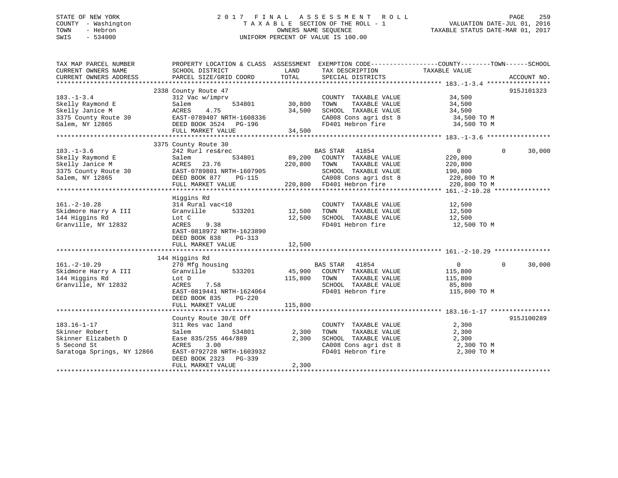# STATE OF NEW YORK 2 0 1 7 F I N A L A S S E S S M E N T R O L L PAGE 259 COUNTY - Washington T A X A B L E SECTION OF THE ROLL - 1 VALUATION DATE-JUL 01, 2016 TOWN - Hebron OWNERS NAME SEQUENCE TAXABLE STATUS DATE-MAR 01, 2017 SWIS - 534000 UNIFORM PERCENT OF VALUE IS 100.00

| TAX MAP PARCEL NUMBER<br>CURRENT OWNERS NAME | PROPERTY LOCATION & CLASS ASSESSMENT<br>SCHOOL DISTRICT | LAND    | EXEMPTION CODE-----------------COUNTY-------TOWN------SCHOOL<br>TAX DESCRIPTION | TAXABLE VALUE                |                       |
|----------------------------------------------|---------------------------------------------------------|---------|---------------------------------------------------------------------------------|------------------------------|-----------------------|
| CURRENT OWNERS ADDRESS                       | PARCEL SIZE/GRID COORD                                  | TOTAL   | SPECIAL DISTRICTS                                                               |                              | ACCOUNT NO.           |
|                                              |                                                         |         |                                                                                 |                              |                       |
|                                              | 2338 County Route 47                                    |         |                                                                                 |                              | 915J101323            |
| $183. - 1 - 3.4$                             | 312 Vac w/imprv                                         |         | COUNTY TAXABLE VALUE                                                            | 34,500                       |                       |
| Skelly Raymond E                             | 534801<br>Salem<br>4.75                                 | 30,800  | TOWN<br>TAXABLE VALUE                                                           | 34,500                       |                       |
| Skelly Janice M                              | ACRES                                                   | 34,500  | SCHOOL TAXABLE VALUE                                                            | 34,500                       |                       |
| 3375 County Route 30                         | EAST-0789407 NRTH-1608336                               |         | CA008 Cons agri dst 8                                                           | 34,500 TO M                  |                       |
| Salem, NY 12865                              | DEED BOOK 3524 PG-196                                   |         | FD401 Hebron fire                                                               | 34,500 TO M                  |                       |
|                                              | FULL MARKET VALUE                                       | 34,500  |                                                                                 |                              |                       |
|                                              | 3375 County Route 30                                    |         |                                                                                 |                              |                       |
| $183. - 1 - 3.6$                             | 242 Rurl res&rec                                        |         | BAS STAR 41854                                                                  | $\mathbf{0}$                 | $\mathbf 0$<br>30,000 |
| Skelly Raymond E                             | 534801<br>Salem                                         | 89,200  | COUNTY TAXABLE VALUE                                                            | 220,800                      |                       |
| Skelly Janice M                              | ACRES<br>23.76                                          | 220,800 | TOWN<br>TAXABLE VALUE                                                           | 220,800                      |                       |
| 3375 County Route 30                         | EAST-0789801 NRTH-1607905                               |         | SCHOOL TAXABLE VALUE                                                            | 190,800                      |                       |
| Salem, NY 12865                              | DEED BOOK 877                                           |         | CA008 Cons agri dst 8                                                           |                              |                       |
|                                              | PG-115<br>FULL MARKET VALUE                             |         | 220,800 FD401 Hebron fire                                                       | 220,800 TO M<br>220,800 TO M |                       |
|                                              |                                                         |         |                                                                                 |                              |                       |
|                                              | Higgins Rd                                              |         |                                                                                 |                              |                       |
| $161. - 2 - 10.28$                           | 314 Rural vac<10                                        |         | COUNTY TAXABLE VALUE                                                            | 12,500                       |                       |
| Skidmore Harry A III                         | 533201<br>Granville                                     | 12,500  | TOWN<br>TAXABLE VALUE                                                           | 12,500                       |                       |
| 144 Higgins Rd                               | Lot C                                                   | 12,500  | SCHOOL TAXABLE VALUE                                                            | 12,500                       |                       |
| Granville, NY 12832                          | <b>ACRES</b><br>9.38                                    |         | FD401 Hebron fire                                                               | 12,500 TO M                  |                       |
|                                              | EAST-0818972 NRTH-1623890                               |         |                                                                                 |                              |                       |
|                                              | DEED BOOK 838<br>$PG-313$                               |         |                                                                                 |                              |                       |
|                                              | FULL MARKET VALUE                                       | 12,500  |                                                                                 |                              |                       |
|                                              |                                                         |         |                                                                                 |                              |                       |
|                                              | 144 Higgins Rd                                          |         |                                                                                 |                              |                       |
| $161. -2 - 10.29$                            | 270 Mfg housing                                         |         | BAS STAR 41854                                                                  | $\overline{0}$               | $\Omega$<br>30,000    |
| Skidmore Harry A III                         | Granville<br>533201                                     | 45,900  | COUNTY TAXABLE VALUE                                                            | 115,800                      |                       |
| 144 Higgins Rd                               | Lot D                                                   | 115,800 | TOWN<br>TAXABLE VALUE                                                           | 115,800                      |                       |
| Granville, NY 12832                          | ACRES<br>7.58                                           |         | SCHOOL TAXABLE VALUE                                                            | 85,800                       |                       |
|                                              | EAST-0819441 NRTH-1624064                               |         | FD401 Hebron fire                                                               | 115,800 TO M                 |                       |
|                                              | DEED BOOK 835<br>$PG-220$                               |         |                                                                                 |                              |                       |
|                                              | FULL MARKET VALUE                                       | 115,800 |                                                                                 |                              |                       |
|                                              |                                                         |         |                                                                                 |                              |                       |
|                                              | County Route 30/E Off                                   |         |                                                                                 |                              | 915J100289            |
| $183.16 - 1 - 17$                            | 311 Res vac land                                        |         | COUNTY TAXABLE VALUE                                                            | 2,300                        |                       |
| Skinner Robert                               | Salem<br>534801                                         | 2,300   | TAXABLE VALUE<br>TOWN                                                           | 2,300                        |                       |
| Skinner Elizabeth D                          | Ease 835/255 464/889                                    | 2,300   | SCHOOL TAXABLE VALUE                                                            | 2,300                        |                       |
| 5 Second St                                  | ACRES<br>3.00                                           |         | CA008 Cons agri dst 8                                                           | 2,300 TO M                   |                       |
| Saratoga Springs, NY 12866                   | EAST-0792728 NRTH-1603932                               |         | FD401 Hebron fire                                                               | 2,300 TO M                   |                       |
|                                              | DEED BOOK 2323<br>PG-339                                |         |                                                                                 |                              |                       |
|                                              | FULL MARKET VALUE                                       | 2,300   |                                                                                 |                              |                       |
|                                              |                                                         |         |                                                                                 |                              |                       |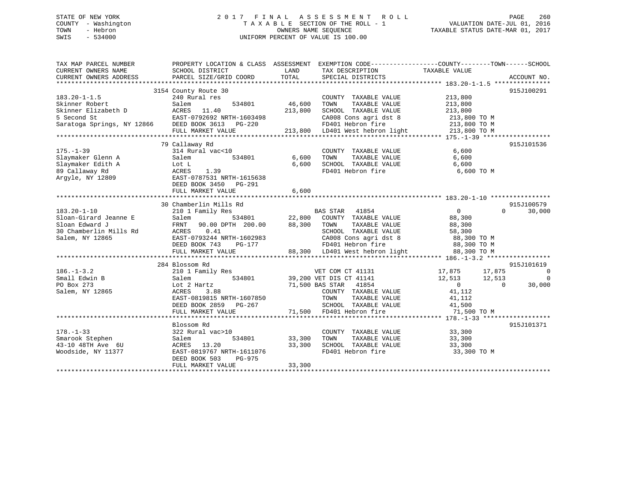# STATE OF NEW YORK 2 0 1 7 F I N A L A S S E S S M E N T R O L L PAGE 260 COUNTY - Washington T A X A B L E SECTION OF THE ROLL - 1 VALUATION DATE-JUL 01, 2016 TOWN - Hebron OWNERS NAME SEQUENCE TAXABLE STATUS DATE-MAR 01, 2017 SWIS - 534000 UNIFORM PERCENT OF VALUE IS 100.00

| TAX MAP PARCEL NUMBER      | PROPERTY LOCATION & CLASS ASSESSMENT |         | EXEMPTION CODE-----------------COUNTY-------TOWN------SCHOOL |                   |          |                |
|----------------------------|--------------------------------------|---------|--------------------------------------------------------------|-------------------|----------|----------------|
| CURRENT OWNERS NAME        | SCHOOL DISTRICT                      | LAND    | TAX DESCRIPTION                                              | TAXABLE VALUE     |          |                |
| CURRENT OWNERS ADDRESS     | PARCEL SIZE/GRID COORD               | TOTAL   | SPECIAL DISTRICTS                                            |                   |          | ACCOUNT NO.    |
|                            |                                      |         |                                                              |                   |          |                |
|                            | 3154 County Route 30                 |         |                                                              |                   |          | 915J100291     |
| $183.20 - 1 - 1.5$         | 240 Rural res                        |         | COUNTY TAXABLE VALUE                                         | 213,800           |          |                |
| Skinner Robert             | 534801<br>Salem                      | 46,600  | TAXABLE VALUE<br>TOWN                                        | 213,800           |          |                |
| Skinner Elizabeth D        | ACRES 11.40                          | 213,800 | SCHOOL TAXABLE VALUE                                         | 213,800           |          |                |
| 5 Second St                | EAST-0792692 NRTH-1603498            |         | CA008 Cons agri dst 8                                        | 213,800 TO M      |          |                |
| Saratoga Springs, NY 12866 | DEED BOOK 3613 PG-220                |         | FD401 Hebron fire                                            | 213,800 TO M      |          |                |
|                            | FULL MARKET VALUE                    |         | 213,800 LD401 West hebron light                              | 213,800 TO M      |          |                |
|                            |                                      |         |                                                              |                   |          |                |
|                            | 79 Callaway Rd                       |         |                                                              |                   |          | 915J101536     |
| $175. - 1 - 39$            | 314 Rural vac<10                     |         | COUNTY TAXABLE VALUE                                         | 6,600             |          |                |
| Slaymaker Glenn A          | 534801<br>Salem                      | 6,600   | TOWN<br>TAXABLE VALUE                                        | 6,600             |          |                |
| Slaymaker Edith A          | Lot L                                | 6,600   | SCHOOL TAXABLE VALUE                                         | 6,600             |          |                |
| 89 Callaway Rd             | 1.39<br>ACRES                        |         | FD401 Hebron fire                                            | 6,600 TO M        |          |                |
| Argyle, NY 12809           | EAST-0787531 NRTH-1615638            |         |                                                              |                   |          |                |
|                            | DEED BOOK 3450 PG-291                |         |                                                              |                   |          |                |
|                            |                                      |         |                                                              |                   |          |                |
|                            | FULL MARKET VALUE                    | 6,600   |                                                              |                   |          |                |
|                            |                                      |         |                                                              |                   |          | 915J100579     |
|                            | 30 Chamberlin Mills Rd               |         |                                                              |                   |          |                |
| $183.20 - 1 - 10$          | 210 1 Family Res                     |         | BAS STAR 41854                                               | $0 \qquad \qquad$ | $\Omega$ | 30,000         |
| Sloan-Girard Jeanne E      | 534801<br>Salem                      | 22,800  | COUNTY TAXABLE VALUE                                         | 88,300            |          |                |
| Sloan Edward J             | FRNT 90.00 DPTH 200.00               | 88,300  | TOWN<br>TAXABLE VALUE                                        | 88,300            |          |                |
| 30 Chamberlin Mills Rd     | 0.41<br>ACRES                        |         | SCHOOL TAXABLE VALUE                                         | 58,300            |          |                |
| Salem, NY 12865            | EAST-0793244 NRTH-1602983            |         | CA008 Cons agri dst 8                                        | 88,300 TO M       |          |                |
|                            | DEED BOOK 743<br>PG-177              |         | FD401 Hebron fire                                            | 88,300 TO M       |          |                |
|                            | FULL MARKET VALUE                    |         | 88,300 LD401 West hebron light                               | 88,300 TO M       |          |                |
|                            |                                      |         |                                                              |                   |          |                |
|                            | 284 Blossom Rd                       |         |                                                              |                   |          | 915J101619     |
| $186. - 1 - 3.2$           | 210 1 Family Res                     |         | VET COM CT 41131                                             | 17,875            | 17,875   | 0              |
| Small Edwin B              | 534801<br>Salem                      |         | 39,200 VET DIS CT 41141                                      | 12,513            | 12,513   | $\overline{0}$ |
| PO Box 273                 | Lot 2 Hartz                          |         | 71,500 BAS STAR 41854                                        | $\overline{0}$    | $\Omega$ | 30,000         |
| Salem, NY 12865            | ACRES<br>3.88                        |         | COUNTY TAXABLE VALUE                                         | 41,112            |          |                |
|                            | EAST-0819815 NRTH-1607850            |         | TAXABLE VALUE<br>TOWN                                        | 41,112            |          |                |
|                            | DEED BOOK 2859<br>PG-267             |         | SCHOOL TAXABLE VALUE                                         | 41,500            |          |                |
|                            | FULL MARKET VALUE                    |         | 71,500 FD401 Hebron fire                                     | 71,500 TO M       |          |                |
|                            |                                      |         |                                                              |                   |          |                |
|                            |                                      |         |                                                              |                   |          |                |
|                            | Blossom Rd                           |         |                                                              |                   |          | 915J101371     |
| $178. - 1 - 33$            | 322 Rural vac>10                     |         | COUNTY TAXABLE VALUE                                         | 33,300            |          |                |
| Smarook Stephen            | Salem<br>534801                      | 33,300  | TOWN<br>TAXABLE VALUE                                        | 33,300            |          |                |
| 43-10 48TH Ave 6U          | 13.20<br>ACRES                       | 33,300  | SCHOOL TAXABLE VALUE                                         | 33,300            |          |                |
| Woodside, NY 11377         | EAST-0819767 NRTH-1611076            |         | FD401 Hebron fire                                            | 33,300 TO M       |          |                |
|                            | DEED BOOK 503<br>PG-975              |         |                                                              |                   |          |                |
|                            | FULL MARKET VALUE                    | 33,300  |                                                              |                   |          |                |
|                            |                                      |         |                                                              |                   |          |                |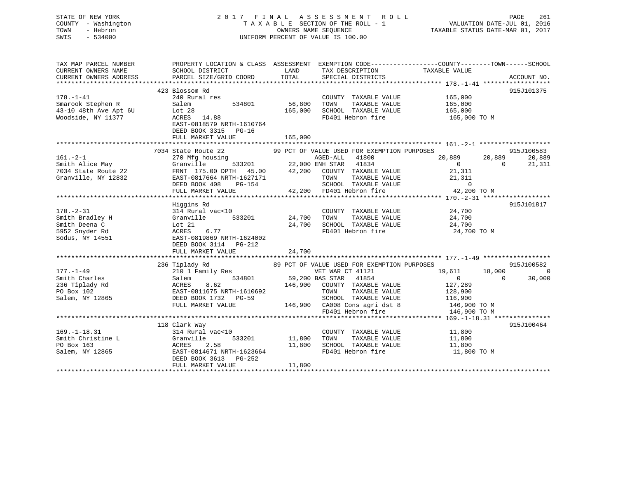| STATE OF NEW YORK<br>COUNTY - Washington<br>- Hebron<br>TOWN<br>$-534000$<br>SWIS |                                                                                                                    |                   | 2017 FINAL ASSESSMENT ROLL<br>TAXABLE SECTION OF THE ROLL - 1<br>OWNERS NAME SEOUENCE<br>UNIFORM PERCENT OF VALUE IS 100.00 |                    | PAGE<br>261<br>VALUATION DATE-JUL 01, 2016<br>TAXABLE STATUS DATE-MAR 01, 2017 |
|-----------------------------------------------------------------------------------|--------------------------------------------------------------------------------------------------------------------|-------------------|-----------------------------------------------------------------------------------------------------------------------------|--------------------|--------------------------------------------------------------------------------|
| TAX MAP PARCEL NUMBER<br>CURRENT OWNERS NAME                                      | PROPERTY LOCATION & CLASS ASSESSMENT EXEMPTION CODE---------------COUNTY-------TOWN------SCHOOL<br>SCHOOL DISTRICT | LAND              | TAX DESCRIPTION                                                                                                             | TAXABLE VALUE      |                                                                                |
| CURRENT OWNERS ADDRESS                                                            | PARCEL SIZE/GRID COORD                                                                                             | TOTAL             | SPECIAL DISTRICTS                                                                                                           |                    | ACCOUNT NO.                                                                    |
|                                                                                   |                                                                                                                    |                   |                                                                                                                             |                    |                                                                                |
|                                                                                   | 423 Blossom Rd                                                                                                     |                   |                                                                                                                             |                    | 915J101375                                                                     |
| $178. - 1 - 41$                                                                   | 240 Rural res<br>Salem                                                                                             |                   | COUNTY TAXABLE VALUE<br>TOWN                                                                                                | 165,000            |                                                                                |
| Smarook Stephen R<br>43-10 48th Ave Apt 6U                                        | 534801<br>Lot 28                                                                                                   | 56,800<br>165,000 | TAXABLE VALUE<br>SCHOOL TAXABLE VALUE                                                                                       | 165,000<br>165,000 |                                                                                |
| Woodside, NY 11377                                                                | ACRES 14.88                                                                                                        |                   | FD401 Hebron fire                                                                                                           | 165,000 TO M       |                                                                                |
|                                                                                   | EAST-0818579 NRTH-1610764                                                                                          |                   |                                                                                                                             |                    |                                                                                |
|                                                                                   | DEED BOOK 3315 PG-16                                                                                               |                   |                                                                                                                             |                    |                                                                                |
|                                                                                   | FULL MARKET VALUE                                                                                                  | 165,000           |                                                                                                                             |                    |                                                                                |
|                                                                                   |                                                                                                                    |                   |                                                                                                                             |                    |                                                                                |
|                                                                                   | 7034 State Route 22                                                                                                |                   | 99 PCT OF VALUE USED FOR EXEMPTION PURPOSES                                                                                 |                    | 915J100583                                                                     |
| $161. - 2 - 1$                                                                    | 270 Mfg housing                                                                                                    |                   | AGED-ALL 41800                                                                                                              | 20,889             | 20,889<br>20,889                                                               |
| Smith Alice May                                                                   | Granville<br>533201                                                                                                |                   | 22,000 ENH STAR 41834                                                                                                       | $\overline{0}$     | 21,311<br>$\Omega$                                                             |
| 7034 State Route 22                                                               | FRNT 175.00 DPTH 45.00                                                                                             | 42,200            | COUNTY TAXABLE VALUE                                                                                                        | 21,311             |                                                                                |
| Granville, NY 12832                                                               | EAST-0817664 NRTH-1627171                                                                                          |                   | TAXABLE VALUE<br>TOWN                                                                                                       | 21,311             |                                                                                |
|                                                                                   | DEED BOOK 408<br>PG-154                                                                                            |                   | SCHOOL TAXABLE VALUE                                                                                                        | $\Omega$           |                                                                                |
|                                                                                   | FULL MARKET VALUE                                                                                                  |                   | 42,200 FD401 Hebron fire                                                                                                    | 42,200 TO M        |                                                                                |
|                                                                                   |                                                                                                                    |                   |                                                                                                                             |                    |                                                                                |
| $170. - 2 - 31$                                                                   | Higgins Rd<br>314 Rural vac<10                                                                                     |                   | COUNTY TAXABLE VALUE                                                                                                        | 24,700             | 915J101817                                                                     |
| Smith Bradley H                                                                   | Granville<br>533201                                                                                                | 24,700            | TAXABLE VALUE<br>TOWN                                                                                                       | 24,700             |                                                                                |
| Smith Deena C                                                                     | Lot $21$                                                                                                           | 24,700            | SCHOOL TAXABLE VALUE                                                                                                        | 24,700             |                                                                                |
| 5952 Snyder Rd                                                                    | ACRES<br>6.77                                                                                                      |                   | FD401 Hebron fire                                                                                                           | 24,700 TO M        |                                                                                |
| Sodus, NY 14551                                                                   | EAST-0819869 NRTH-1624002                                                                                          |                   |                                                                                                                             |                    |                                                                                |
|                                                                                   | DEED BOOK 3114 PG-212                                                                                              |                   |                                                                                                                             |                    |                                                                                |
|                                                                                   | FULL MARKET VALUE                                                                                                  | 24,700            |                                                                                                                             |                    |                                                                                |
|                                                                                   |                                                                                                                    |                   |                                                                                                                             |                    |                                                                                |
|                                                                                   | 236 Tiplady Rd                                                                                                     |                   | 89 PCT OF VALUE USED FOR EXEMPTION PURPOSES                                                                                 |                    | 915J100582                                                                     |
| $177. - 1 - 49$                                                                   | 210 1 Family Res                                                                                                   |                   | VET WAR CT 41121                                                                                                            | 19,611             | 18,000<br>$\overline{0}$                                                       |
| Smith Charles                                                                     | 534801<br>Salem                                                                                                    |                   | 59,200 BAS STAR 41854                                                                                                       | $\Omega$           | $\Omega$<br>30,000                                                             |
| 236 Tiplady Rd                                                                    | ACRES<br>8.62                                                                                                      | 146,900           | COUNTY TAXABLE VALUE                                                                                                        | 127,289            |                                                                                |
| PO Box 102                                                                        | EAST-0811675 NRTH-1610692                                                                                          |                   | TOWN<br>TAXABLE VALUE                                                                                                       | 128,900            |                                                                                |
| Salem, NY 12865                                                                   | DEED BOOK 1732 PG-59                                                                                               |                   | SCHOOL TAXABLE VALUE                                                                                                        | 116,900            |                                                                                |
|                                                                                   | FULL MARKET VALUE                                                                                                  |                   | 146,900 CA008 Cons agri dst 8                                                                                               | 146,900 TO M       |                                                                                |
|                                                                                   |                                                                                                                    |                   | FD401 Hebron fire                                                                                                           | 146,900 TO M       |                                                                                |
|                                                                                   |                                                                                                                    |                   |                                                                                                                             |                    | 915J100464                                                                     |
| $169. - 1 - 18.31$                                                                | 118 Clark Way<br>314 Rural vac<10                                                                                  |                   | COUNTY TAXABLE VALUE                                                                                                        | 11,800             |                                                                                |
| Smith Christine L                                                                 | Granville<br>533201                                                                                                | 11,800            | TAXABLE VALUE<br>TOWN                                                                                                       | 11,800             |                                                                                |
| PO Box 163                                                                        | <b>ACRES</b><br>2.58                                                                                               | 11,800            | SCHOOL TAXABLE VALUE                                                                                                        | 11,800             |                                                                                |
| Salem, NY 12865                                                                   | EAST-0814671 NRTH-1623664                                                                                          |                   | FD401 Hebron fire                                                                                                           | 11,800 TO M        |                                                                                |
|                                                                                   | DEED BOOK 3613 PG-252                                                                                              |                   |                                                                                                                             |                    |                                                                                |
|                                                                                   | FULL MARKET VALUE                                                                                                  | 11,800            |                                                                                                                             |                    |                                                                                |

\*\*\*\*\*\*\*\*\*\*\*\*\*\*\*\*\*\*\*\*\*\*\*\*\*\*\*\*\*\*\*\*\*\*\*\*\*\*\*\*\*\*\*\*\*\*\*\*\*\*\*\*\*\*\*\*\*\*\*\*\*\*\*\*\*\*\*\*\*\*\*\*\*\*\*\*\*\*\*\*\*\*\*\*\*\*\*\*\*\*\*\*\*\*\*\*\*\*\*\*\*\*\*\*\*\*\*\*\*\*\*\*\*\*\*\*\*\*\*\*\*\*\*\*\*\*\*\*\*\*\*\*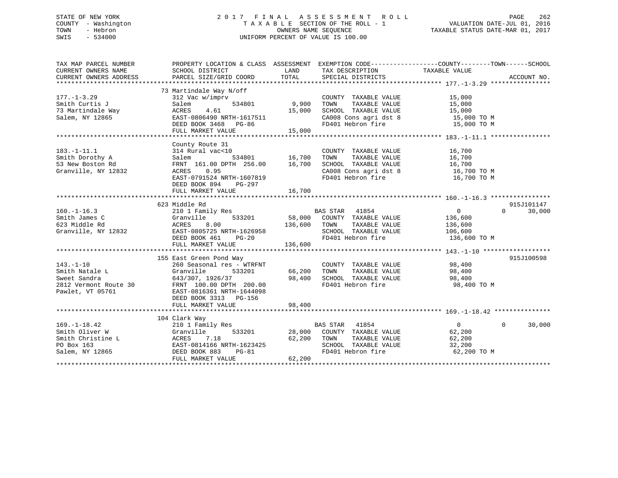# STATE OF NEW YORK 2 0 1 7 F I N A L A S S E S S M E N T R O L L PAGE 262 COUNTY - Washington T A X A B L E SECTION OF THE ROLL - 1 VALUATION DATE-JUL 01, 2016 TOWN - Hebron OWNERS NAME SEQUENCE TAXABLE STATUS DATE-MAR 01, 2017 SWIS - 534000 UNIFORM PERCENT OF VALUE IS 100.00

| TAX MAP PARCEL NUMBER                                                                                    |                                                                                                                                                                                                       |                           |                                                                                                                                                                                                                                                                                                                                                                                                                                                                                    | PROPERTY LOCATION & CLASS ASSESSMENT EXEMPTION CODE----------------COUNTY-------TOWN------SCHOOL |            |
|----------------------------------------------------------------------------------------------------------|-------------------------------------------------------------------------------------------------------------------------------------------------------------------------------------------------------|---------------------------|------------------------------------------------------------------------------------------------------------------------------------------------------------------------------------------------------------------------------------------------------------------------------------------------------------------------------------------------------------------------------------------------------------------------------------------------------------------------------------|--------------------------------------------------------------------------------------------------|------------|
| $177. - 1 - 3.29$<br>Smith Curtis J<br>73 Martindale Way<br>Salem, NY 12865                              | 73 Martindale Way N/off<br>312 Vac w/imprv<br>Salem<br>534801<br>ACRES<br>4.61<br>EAST-0806490 NRTH-1617511<br>DEED BOOK 3468 PG-86<br>FULL MARKET VALUE                                              | 9,900<br>15,000<br>15,000 | COUNTY TAXABLE VALUE<br>TOWN<br>TAXABLE VALUE<br>SCHOOL TAXABLE VALUE<br>CA008 Cons agri dst 8 15,000 TO M<br>FD401 Hebron fire                                                                                                                                                                                                                                                                                                                                                    | 15,000<br>15,000<br>15,000<br>15,000 TO M                                                        |            |
| $183. - 1 - 11.1$<br>Smith Dorothy A<br>53 New Boston Rd<br>Granville, NY 12832                          | County Route 31<br>314 Rural vac<10<br>Salem 534801 16,700<br>FRNT 161.00 DPTH 256.00 16,700<br>0.95<br>ACRES<br>EAST-0791524 NRTH-1607819<br>DEED BOOK 894<br>PG-297<br>FULL MARKET VALUE            | 16,700                    | COUNTY TAXABLE VALUE<br>TAXABLE VALUE<br>TOWN<br>SCHOOL TAXABLE VALUE 16,700<br>CA008 Cons agri dst 8 16,700 TO M<br>FD401 Hebron fire                                                                                                                                                                                                                                                                                                                                             | 16,700<br>$\frac{16}{16}$ , 700<br>16,700 TO M                                                   |            |
|                                                                                                          | 623 Middle Rd                                                                                                                                                                                         |                           |                                                                                                                                                                                                                                                                                                                                                                                                                                                                                    |                                                                                                  | 915J101147 |
| $160. - 1 - 16.3$<br>Smith James C<br>623 Middle Rd<br>Granville, NY 12832                               | 210 1 Family Res<br>Granville<br>8.00<br>ACRES<br>EAST-0805725 NRTH-1626958<br>DEED BOOK 461 PG-20                                                                                                    |                           | $\begin{tabular}{lcccc} $Y$ Res & & & & & & & & & \\ $X$ Res & & & & & & & & \\ $533201 & & & & & & & & \\ $533201 & & & & & & & & \\ $00$ & & & & & & & & & \\ $00$ & & & & & & & & \\ $00$ & & & & & & & & \\ $00$ & & & & & & & & \\ $00$ & & & & & & & & \\ $00$ & & & & & & & & \\ $00$ & & & & & & & & \\ $00$ & & & & & & & & \\ $00$ & & & & & & & & \\ $00$ & & & & & & & & \\ $00$ & & & & & & & & \\ $00$ & & & &$<br>SCHOOL TAXABLE VALUE 106,600<br>FD401 Hebron fire | $\overline{0}$<br>$\Omega$<br>136,600<br>136,600<br>136,600 TO M                                 | 30,000     |
|                                                                                                          | FULL MARKET VALUE                                                                                                                                                                                     | 136,600                   |                                                                                                                                                                                                                                                                                                                                                                                                                                                                                    |                                                                                                  |            |
| $143. - 1 - 10$<br>Smith Natale L<br>Sweet Sandra<br>2812 Vermont Route 30<br>Pawlet, VT 05761           | 155 East Green Pond Way<br>260 Seasonal res - WTRFNT<br>Granville<br>533201<br>643/307, 1926/37<br>FRNT 100.00 DPTH 200.00<br>EAST-0816361 NRTH-1644098<br>DEED BOOK 3313 PG-156<br>FULL MARKET VALUE | 98,400                    | COUNTY TAXABLE VALUE 98,400<br>$\begin{tabular}{lllllllll} 66,200 & TOWN & TAXABLE VALUE & & & 98,400 \\ 98,400 & SCHOOL & TAXABLE VALUE & & & 98,400 \\ \end{tabular}$<br>FD401 Hebron fire 98,400 TO M                                                                                                                                                                                                                                                                           |                                                                                                  | 915J100598 |
|                                                                                                          |                                                                                                                                                                                                       |                           |                                                                                                                                                                                                                                                                                                                                                                                                                                                                                    |                                                                                                  |            |
| $169. - 1 - 18.42$<br>Smith Oliver W<br>Smith Christine L<br>PO Box 163<br>PO Box 163<br>Salem, NY 12865 | 104 Clark Way<br>210 1 Family Res<br>533201<br>Granville<br>7.18<br>ACRES<br>EAST-0814166 NRTH-1623425<br>DEED BOOK 883<br>$PG-81$<br>FULL MARKET VALUE                                               | 62,200<br>62,200          | BAS STAR 41854<br>28,000 COUNTY TAXABLE VALUE<br>TOWN<br>TAXABLE VALUE<br>FD401 Hebron fire                                                                                                                                                                                                                                                                                                                                                                                        | $\Omega$<br>$\Omega$<br>62,200<br>62,200<br>32,200<br>62,200 TO M                                | 30,000     |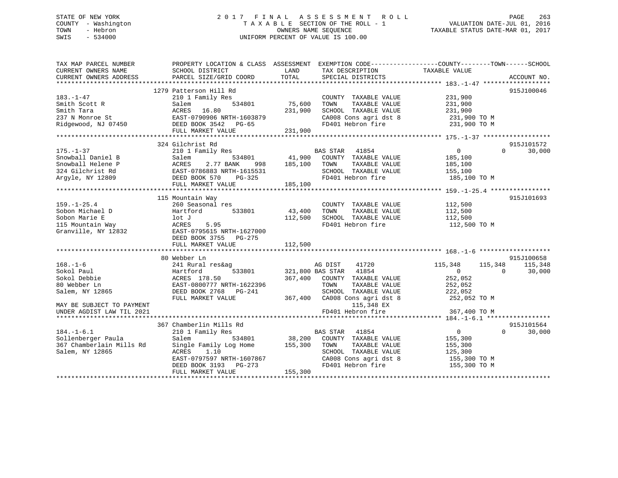# STATE OF NEW YORK 2 0 1 7 F I N A L A S S E S S M E N T R O L L PAGE 263 COUNTY - Washington T A X A B L E SECTION OF THE ROLL - 1 VALUATION DATE-JUL 01, 2016 TOWN - Hebron OWNERS NAME SEQUENCE TAXABLE STATUS DATE-MAR 01, 2017 SWIS - 534000 UNIFORM PERCENT OF VALUE IS 100.00

| TAX MAP PARCEL NUMBER                          |                                                   | PROPERTY LOCATION & CLASS ASSESSMENT EXEMPTION CODE---------------COUNTY-------TOWN-----SCHOOL                    |                                      |
|------------------------------------------------|---------------------------------------------------|-------------------------------------------------------------------------------------------------------------------|--------------------------------------|
| CURRENT OWNERS NAME                            | SCHOOL DISTRICT                                   | LAND<br>TAX DESCRIPTION                                                                                           | TAXABLE VALUE                        |
| CURRENT OWNERS ADDRESS                         | PARCEL SIZE/GRID COORD                            | TOTAL<br>SPECIAL DISTRICTS                                                                                        | ACCOUNT NO.                          |
|                                                |                                                   |                                                                                                                   |                                      |
|                                                | 1279 Patterson Hill Rd                            |                                                                                                                   | 915J100046                           |
| 183.-1-47                                      | 210 1 Family Res                                  | COUNTY TAXABLE VALUE                                                                                              | 231,900                              |
| Smith Scott R                                  | Salem<br>534801                                   | 75,600<br>TOWN<br>TAXABLE VALUE                                                                                   | 231,900                              |
| Smith Tara                                     | ACRES 16.80                                       | 231,900<br>SCHOOL TAXABLE VALUE                                                                                   | 231,900                              |
| 237 N Monroe St                                | EAST-0790906 NRTH-1603879                         |                                                                                                                   |                                      |
| Ridgewood, NJ 07450<br>DEED BOOK 3542<br>PG-65 |                                                   | CA008 Cons agri dst 8 231,900 TO M<br>FD401 Hebron fire 231,900 TO M                                              |                                      |
|                                                | FULL MARKET VALUE                                 | 231,900                                                                                                           |                                      |
|                                                |                                                   |                                                                                                                   |                                      |
|                                                | 324 Gilchrist Rd                                  |                                                                                                                   | 915J101572                           |
| $175. - 1 - 37$                                | 210 1 Family Res                                  | BAS STAR 41854                                                                                                    | $\overline{0}$<br>30,000<br>$\Omega$ |
| Snowball Daniel B                              | Salem                                             |                                                                                                                   | 185,100                              |
| Snowball Helene P                              | ACRES<br>2.77 BANK                                | 534801               41,900    COUNTY   TAXABLE VALUE<br>ANK        998        185,100    TOWN      TAXABLE VALUE | 185,100                              |
| 324 Gilchrist Rd                               |                                                   | SCHOOL TAXABLE VALUE                                                                                              | 155,100                              |
| Argyle, NY 12809                               | EAST-0786883 NRTH-1615531<br>DEED BOOK 570 PG-325 | FD401 Hebron fire                                                                                                 | 185,100 TO M                         |
|                                                | FULL MARKET VALUE                                 | 185,100                                                                                                           |                                      |
|                                                |                                                   |                                                                                                                   |                                      |
|                                                | 115 Mountain Way                                  |                                                                                                                   | 915J101693                           |
| $159. - 1 - 25.4$                              | 260 Seasonal res                                  | COUNTY TAXABLE VALUE                                                                                              | 112,500                              |
| Sobon Michael D                                | Hartford 533801                                   | 43,400<br>TOWN<br>TAXABLE VALUE                                                                                   | 112,500                              |
|                                                |                                                   |                                                                                                                   |                                      |
| sopon Marie E<br>115 Mountain Way<br>Crew 11   | lot J                                             | 112,500<br>SCHOOL TAXABLE VALUE                                                                                   | 112,500                              |
|                                                | 5.95<br>ACRES                                     | FD401 Hebron fire                                                                                                 | 112,500 TO M                         |
| Granville, NY 12832                            | EAST-0795615 NRTH-1627000                         |                                                                                                                   |                                      |
|                                                | DEED BOOK 3755 PG-275                             |                                                                                                                   |                                      |
|                                                | FULL MARKET VALUE                                 | 112,500                                                                                                           |                                      |
|                                                |                                                   |                                                                                                                   |                                      |
|                                                | 80 Webber Ln                                      |                                                                                                                   | 915J100658                           |
| $168. - 1 - 6$                                 | 241 Rural res&ag                                  | 41720<br>AG DIST                                                                                                  | 115,348<br>115,348<br>115,348        |
| Sokol Paul                                     | 533801<br>Hartford                                | 321,800 BAS STAR 41854                                                                                            | $\overline{0}$<br>30,000<br>$\Omega$ |
| Sokol Debbie                                   | ACRES 178.50                                      | 367,400 COUNTY TAXABLE VALUE                                                                                      | 252,052                              |
| 80 Webber Ln                                   | EAST-0800777 NRTH-1622396                         | TAXABLE VALUE<br>TOWN                                                                                             | 252,052                              |
| Salem, NY 12865                                | DEED BOOK 2768 PG-241                             | SCHOOL TAXABLE VALUE                                                                                              | 222,052                              |
|                                                | FULL MARKET VALUE                                 | 367,400 CA008 Cons agri dst 8 252,052 TO M                                                                        |                                      |
| MAY BE SUBJECT TO PAYMENT                      |                                                   | 115,348 EX                                                                                                        |                                      |
| UNDER AGDIST LAW TIL 2021                      |                                                   | FD401 Hebron fire                                                                                                 | 367,400 TO M                         |
|                                                |                                                   |                                                                                                                   |                                      |
|                                                | 367 Chamberlin Mills Rd                           |                                                                                                                   | 915J101564                           |
| $184. - 1 - 6.1$                               | 210 1 Family Res                                  | BAS STAR 41854                                                                                                    | $\overline{0}$<br>$\Omega$<br>30,000 |
| Sollenberger Paula                             | Salem                                             | 534801 38,200 COUNTY TAXABLE VALUE                                                                                | 155,300                              |
| 367 Chamberlain Mills Rd                       | Single Family Log Home                            | 155,300<br>TOWN<br>TAXABLE VALUE                                                                                  | 155,300                              |
| Salem, NY 12865                                | 1.10<br>ACRES                                     | SCHOOL TAXABLE VALUE                                                                                              | 125,300                              |
|                                                | EAST-0797597 NRTH-1607867                         | CA008 Cons agri dst 8                                                                                             | 155,300 TO M                         |
|                                                | DEED BOOK 3193 PG-273                             | FD401 Hebron fire                                                                                                 | 155,300 TO M                         |
|                                                | FULL MARKET VALUE                                 | 155,300                                                                                                           |                                      |
|                                                |                                                   |                                                                                                                   |                                      |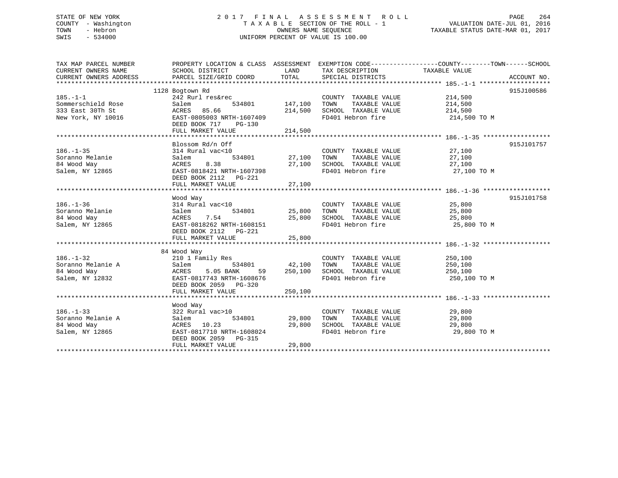# STATE OF NEW YORK 2 0 1 7 F I N A L A S S E S S M E N T R O L L PAGE 264 COUNTY - Washington T A X A B L E SECTION OF THE ROLL - 1 VALUATION DATE-JUL 01, 2016 TOWN - Hebron OWNERS NAME SEQUENCE TAXABLE STATUS DATE-MAR 01, 2017 SWIS - 534000 UNIFORM PERCENT OF VALUE IS 100.00

| TAX MAP PARCEL NUMBER              | PROPERTY LOCATION & CLASS ASSESSMENT EXEMPTION CODE---------------COUNTY-------TOWN-----SCHOOL |                        |                                                                                                                  |                                  |             |
|------------------------------------|------------------------------------------------------------------------------------------------|------------------------|------------------------------------------------------------------------------------------------------------------|----------------------------------|-------------|
| CURRENT OWNERS NAME                | SCHOOL DISTRICT                                                                                | LAND                   | TAX DESCRIPTION                                                                                                  | TAXABLE VALUE                    |             |
| CURRENT OWNERS ADDRESS             | PARCEL SIZE/GRID COORD                                                                         |                        | TOTAL SPECIAL DISTRICTS                                                                                          |                                  | ACCOUNT NO. |
|                                    |                                                                                                |                        |                                                                                                                  |                                  |             |
|                                    | 1128 Bogtown Rd                                                                                |                        |                                                                                                                  |                                  | 915J100586  |
| $185. - 1 - 1$                     | 242 Rurl res&rec                                                                               |                        | COUNTY TAXABLE VALUE                                                                                             | 214,500                          |             |
| Sommerschield Rose                 | 534801 147,100<br>Salem                                                                        |                        | TAXABLE VALUE<br>TOWN                                                                                            | 214,500                          |             |
| 333 East 30Th St                   | ACRES 85.66                                                                                    | 214,500                | SCHOOL TAXABLE VALUE<br>FD401 Hebron fire                                                                        | 214,500                          |             |
| New York, NY 10016                 | EAST-0805003 NRTH-1607409                                                                      |                        |                                                                                                                  | 214,500 TO M                     |             |
|                                    | DEED BOOK 717<br>PG-130                                                                        |                        |                                                                                                                  |                                  |             |
|                                    | FULL MARKET VALUE                                                                              | 214,500                |                                                                                                                  |                                  |             |
|                                    |                                                                                                |                        |                                                                                                                  |                                  |             |
|                                    | Blossom Rd/n Off                                                                               |                        |                                                                                                                  |                                  | 915J101757  |
| $186. - 1 - 35$                    | 314 Rural vac<10                                                                               |                        | COUNTY TAXABLE VALUE                                                                                             | 27,100<br>27,100                 |             |
| Soranno Melanie                    | Salem                                                                                          | 534801 27,100          | TAXABLE VALUE<br>TOWN                                                                                            | 27,100                           |             |
| 84 Wood Way                        | ACRES<br>8.38                                                                                  | 27,100                 | SCHOOL TAXABLE VALUE                                                                                             | 27,100                           |             |
| Salem, NY 12865                    | EAST-0818421 NRTH-1607398                                                                      |                        | FD401 Hebron fire 27,100 TO M                                                                                    |                                  |             |
|                                    | DEED BOOK 2112    PG-221                                                                       |                        |                                                                                                                  |                                  |             |
|                                    | FULL MARKET VALUE                                                                              | 27,100                 |                                                                                                                  |                                  |             |
|                                    |                                                                                                |                        |                                                                                                                  |                                  |             |
|                                    | Wood Way<br>314 Rural vac<10                                                                   |                        | COUNTY TAXABLE VALUE 25,800                                                                                      |                                  | 915J101758  |
| $186. - 1 - 36$<br>Soranno Melanie |                                                                                                | 534801 25,800          | TOWN                                                                                                             | TAXABLE VALUE 25,800             |             |
|                                    | Salem                                                                                          |                        |                                                                                                                  |                                  |             |
| 84 Wood Way                        | 7.54<br>25,800<br>RTH-1608151<br>ACRES                                                         |                        | SCHOOL TAXABLE VALUE 25,800<br>FD401 Hebron fire                                                                 | 25,800 TO M                      |             |
| Salem, NY 12865                    | EAST-0818262 NRTH-1608151<br>DEED BOOK 2112    PG-221                                          |                        |                                                                                                                  |                                  |             |
|                                    |                                                                                                |                        |                                                                                                                  |                                  |             |
|                                    |                                                                                                |                        |                                                                                                                  |                                  |             |
|                                    | 84 Wood Way                                                                                    |                        |                                                                                                                  |                                  |             |
| $186. - 1 - 32$                    | 210 1 Family Res                                                                               |                        | COUNTY TAXABLE VALUE                                                                                             | 250,100                          |             |
| Soranno Melanie A                  | Salem                                                                                          |                        |                                                                                                                  |                                  |             |
| 84 Wood Way                        | ACRES                                                                                          |                        |                                                                                                                  | TAXABLE VALUE 250,100<br>250,100 |             |
| Salem, NY 12832                    | EAST-0817743 NRTH-1608676                                                                      |                        |                                                                                                                  | 250,100 TO M                     |             |
|                                    | DEED BOOK 2059 PG-320                                                                          |                        | Family Res<br>534801 12,100 TOWN TAXABLE VALUE<br>5.05 BANK 59 250,100 SCHOOL TAXABLE VALUE<br>FD401 Hebron fire |                                  |             |
|                                    | FULL MARKET VALUE                                                                              | 250,100                |                                                                                                                  |                                  |             |
|                                    |                                                                                                |                        |                                                                                                                  |                                  |             |
|                                    | Wood Way                                                                                       |                        |                                                                                                                  |                                  |             |
| $186. - 1 - 33$                    | 322 Rural vac>10                                                                               |                        |                                                                                                                  | 29,800                           |             |
| Soranno Melanie A                  | Salem                                                                                          | )<br>534801     29,800 | COUNTY TAXABLE VALUE<br>TOWN      TAXABLE VALUE                                                                  | 29,800                           |             |
| 84 Wood Way                        | ACRES 10.23                                                                                    | 29,800                 | SCHOOL TAXABLE VALUE 29,800                                                                                      |                                  |             |
| Salem, NY 12865                    | EAST-0817710 NRTH-1608024                                                                      |                        | FD401 Hebron fire                                                                                                | 29,800 TO M                      |             |
|                                    | DEED BOOK 2059 PG-315                                                                          |                        |                                                                                                                  |                                  |             |
|                                    | FULL MARKET VALUE                                                                              | 29,800                 |                                                                                                                  |                                  |             |
|                                    |                                                                                                |                        |                                                                                                                  |                                  |             |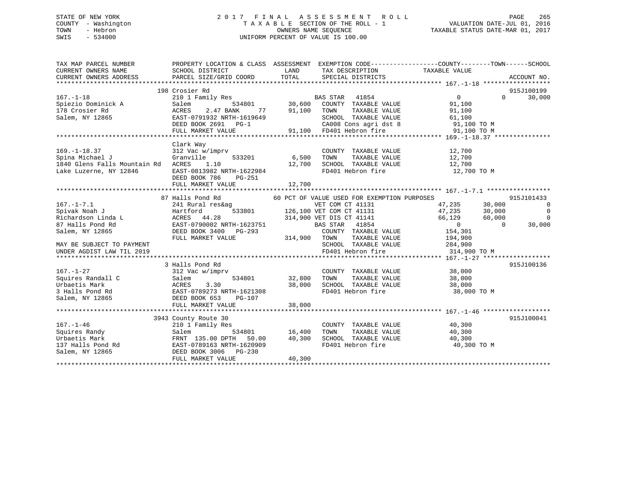# STATE OF NEW YORK 2 0 1 7 F I N A L A S S E S S M E N T R O L L PAGE 265 COUNTY - Washington T A X A B L E SECTION OF THE ROLL - 1 VALUATION DATE-JUL 01, 2016 TOWN - Hebron OWNERS NAME SEQUENCE TAXABLE STATUS DATE-MAR 01, 2017 SWIS - 534000 UNIFORM PERCENT OF VALUE IS 100.00

| TAX MAP PARCEL NUMBER<br>CURRENT OWNERS NAME<br>CURRENT OWNERS ADDRESS | PROPERTY LOCATION & CLASS ASSESSMENT EXEMPTION CODE---------------COUNTY-------TOWN-----SCHOOL<br>SCHOOL DISTRICT<br>PARCEL SIZE/GRID COORD | LAND<br>TOTAL | TAX DESCRIPTION<br>SPECIAL DISTRICTS              | TAXABLE VALUE    | ACCOUNT NO.        |
|------------------------------------------------------------------------|---------------------------------------------------------------------------------------------------------------------------------------------|---------------|---------------------------------------------------|------------------|--------------------|
|                                                                        |                                                                                                                                             |               |                                                   |                  |                    |
|                                                                        | 198 Crosier Rd                                                                                                                              |               |                                                   |                  | 915J100199         |
| $167. - 1 - 18$                                                        | 210 1 Family Res                                                                                                                            |               | <b>BAS STAR</b><br>41854                          | $\overline{0}$   | 30,000<br>$\Omega$ |
| Spiezio Dominick A                                                     | 534801<br>Salem                                                                                                                             | 30,600        | COUNTY TAXABLE VALUE                              | 91,100           |                    |
| 178 Crosier Rd                                                         | 2.47 BANK<br>77<br>ACRES                                                                                                                    | 91,100        | TOWN<br>TAXABLE VALUE                             | 91,100           |                    |
| Salem, NY 12865                                                        | EAST-0791932 NRTH-1619649                                                                                                                   |               | SCHOOL TAXABLE VALUE                              | 61,100           |                    |
|                                                                        | DEED BOOK 2691 PG-1                                                                                                                         |               | CA008 Cons agri dst 8                             | 91,100 TO M      |                    |
|                                                                        | FULL MARKET VALUE                                                                                                                           |               | 91,100 FD401 Hebron fire                          | 91,100 TO M      |                    |
|                                                                        |                                                                                                                                             |               |                                                   |                  |                    |
|                                                                        | Clark Way                                                                                                                                   |               |                                                   |                  |                    |
| $169. - 1 - 18.37$                                                     | 312 Vac w/imprv                                                                                                                             |               | COUNTY TAXABLE VALUE                              | 12,700           |                    |
| Spina Michael J                                                        | Granville<br>533201                                                                                                                         | 6,500         | TAXABLE VALUE<br>TOWN                             | 12,700           |                    |
| 1840 Glens Falls Mountain Rd ACRES                                     | 1.10                                                                                                                                        | 12,700        | TOWN      TAXABLE VALUE<br>SCHOOL   TAXABLE VALUE | 12,700           |                    |
| Lake Luzerne, NY 12846                                                 | EAST-0813982 NRTH-1622984                                                                                                                   |               | FD401 Hebron fire                                 | 12,700 TO M      |                    |
|                                                                        | DEED BOOK 786<br>PG-251                                                                                                                     |               |                                                   |                  |                    |
|                                                                        | FULL MARKET VALUE                                                                                                                           | 12,700        |                                                   |                  |                    |
|                                                                        |                                                                                                                                             |               |                                                   |                  |                    |
|                                                                        | 87 Halls Pond Rd                                                                                                                            |               | 60 PCT OF VALUE USED FOR EXEMPTION PURPOSES       |                  | 915J101433         |
| $167. - 1 - 7.1$                                                       | 241 Rural res&ag                                                                                                                            |               | VET COM CT 41131                                  | 47,235<br>30,000 | 0                  |
| Spivak Noah J                                                          | Hartford                                                                                                                                    |               | 533801 126,100 VET COM CT 41131                   | 47,235<br>30,000 | $\overline{0}$     |
| Richardson Linda L                                                     | ACRES 44.28                                                                                                                                 |               | 314,900 VET DIS CT 41141                          | 66,129<br>60,000 | $\mathbf 0$        |
| 87 Halls Pond Rd                                                       | EAST-0790002 NRTH-1623751                                                                                                                   |               | BAS STAR<br>41854                                 | $\overline{0}$   | $\Omega$<br>30,000 |
| Salem, NY 12865                                                        | DEED BOOK 3400 PG-293                                                                                                                       |               | COUNTY TAXABLE VALUE                              | 154,301          |                    |
|                                                                        | FULL MARKET VALUE                                                                                                                           | 314,900 TOWN  | TAXABLE VALUE                                     | 194,900          |                    |
| MAY BE SUBJECT TO PAYMENT                                              |                                                                                                                                             |               | SCHOOL TAXABLE VALUE                              | 284,900          |                    |
| UNDER AGDIST LAW TIL 2019                                              |                                                                                                                                             |               | FD401 Hebron fire                                 | 314,900 TO M     |                    |
|                                                                        |                                                                                                                                             |               |                                                   |                  |                    |
|                                                                        | 3 Halls Pond Rd                                                                                                                             |               |                                                   |                  | 915J100136         |
| $167. - 1 - 27$                                                        | 312 Vac w/imprv                                                                                                                             |               | COUNTY TAXABLE VALUE                              | 38,000           |                    |
| Squires Randall C                                                      | 534801<br>Salem                                                                                                                             | 32,800        | TOWN<br>TAXABLE VALUE                             | 38,000           |                    |
| Urbaetis Mark                                                          | 3.30<br>ACRES                                                                                                                               | 38,000        | SCHOOL TAXABLE VALUE                              | 38,000           |                    |
| 3 Halls Pond Rd                                                        | EAST-0789273 NRTH-1621308                                                                                                                   |               | FD401 Hebron fire                                 | 38,000 TO M      |                    |
| Salem, NY 12865                                                        | DEED BOOK 653<br>PG-107                                                                                                                     |               |                                                   |                  |                    |
|                                                                        | FULL MARKET VALUE                                                                                                                           | 38,000        |                                                   |                  |                    |
|                                                                        |                                                                                                                                             |               |                                                   |                  |                    |
|                                                                        | 3943 County Route 30                                                                                                                        |               |                                                   |                  | 915J100041         |
| $167. - 1 - 46$                                                        | 210 1 Family Res                                                                                                                            |               | COUNTY TAXABLE VALUE                              | 40,300           |                    |
| Squires Randy                                                          | Salem<br>534801                                                                                                                             | 16,400        | TAXABLE VALUE<br>TOWN                             | 40,300           |                    |
| Urbaetis Mark                                                          | FRNT 135.00 DPTH 50.00                                                                                                                      | 40,300        | SCHOOL TAXABLE VALUE                              | 40,300           |                    |
| 137 Halls Pond Rd                                                      | EAST-0789163 NRTH-1620909                                                                                                                   |               | FD401 Hebron fire                                 | 40,300 TO M      |                    |
| Salem, NY 12865                                                        | DEED BOOK 3006<br>PG-230                                                                                                                    |               |                                                   |                  |                    |
|                                                                        | FULL MARKET VALUE                                                                                                                           | 40,300        |                                                   |                  |                    |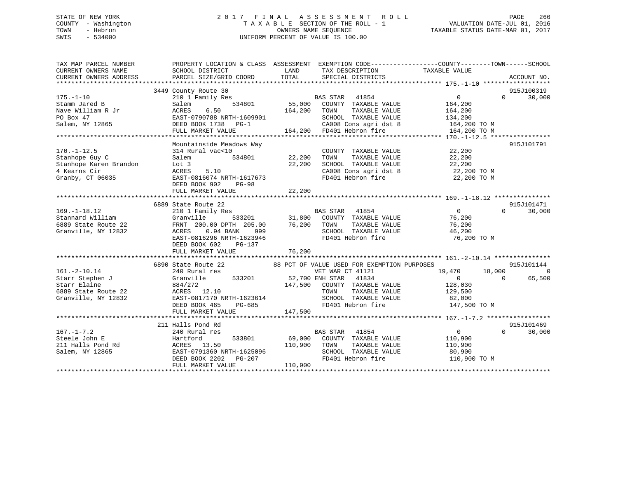# STATE OF NEW YORK 2 0 1 7 F I N A L A S S E S S M E N T R O L L PAGE 266 COUNTY - Washington T A X A B L E SECTION OF THE ROLL - 1 VALUATION DATE-JUL 01, 2016 TOWN - Hebron OWNERS NAME SEQUENCE TAXABLE STATUS DATE-MAR 01, 2017 SWIS - 534000 UNIFORM PERCENT OF VALUE IS 100.00

| TAX MAP PARCEL NUMBER<br>CURRENT OWNERS NAME | PROPERTY LOCATION & CLASS ASSESSMENT EXEMPTION CODE---------------COUNTY-------TOWN------SCHOOL<br>SCHOOL DISTRICT | LAND         | TAX DESCRIPTION                                                                                   | TAXABLE VALUE     |                    |
|----------------------------------------------|--------------------------------------------------------------------------------------------------------------------|--------------|---------------------------------------------------------------------------------------------------|-------------------|--------------------|
| CURRENT OWNERS ADDRESS                       | PARCEL SIZE/GRID COORD                                                                                             | TOTAL        | SPECIAL DISTRICTS                                                                                 |                   | ACCOUNT NO.        |
|                                              | 3449 County Route 30                                                                                               |              |                                                                                                   |                   | 915J100319         |
| 175.-1-10                                    | 210 1 Family Res                                                                                                   |              |                                                                                                   | $0 \qquad \qquad$ | 30,000<br>$\Omega$ |
| Stamm Jared B                                | 534801<br>Salem                                                                                                    |              | BAS STAR 41854<br>55,000 COUNTY TAXABLE VALUE                                                     | 164,200           |                    |
| Nave William R Jr                            | 6.50<br>ACRES                                                                                                      | 164,200 TOWN | TAXABLE VALUE                                                                                     | 164,200           |                    |
| PO Box 47                                    | EAST-0790788 NRTH-1609901                                                                                          |              | SCHOOL TAXABLE VALUE                                                                              | 134,200           |                    |
| Salem, NY 12865                              | DEED BOOK 1738 PG-1                                                                                                |              | CA008 Cons agri dst 8 164,200 TO M                                                                |                   |                    |
|                                              | FULL MARKET VALUE                                                                                                  |              | 164,200 FD401 Hebron fire                                                                         | 164,200 TO M      |                    |
|                                              |                                                                                                                    |              |                                                                                                   |                   |                    |
|                                              | Mountainside Meadows Way                                                                                           |              |                                                                                                   |                   | 915J101791         |
| $170. - 1 - 12.5$                            | 314 Rural vac<10                                                                                                   |              | COUNTY TAXABLE VALUE                                                                              | 22,200            |                    |
| Stanhope Guy C                               | Salem<br>534801                                                                                                    | 22,200       | TAXABLE VALUE<br>TOWN                                                                             | 22,200            |                    |
| Stanhope Karen Brandon                       | Lot 3                                                                                                              | 22,200       | SCHOOL TAXABLE VALUE                                                                              | 22,200            |                    |
| 4 Kearns Cir                                 | ACRES 5.10                                                                                                         |              | SCHOOL TAXABLE VALUE 22,200<br>CA008 Cons agri dst 8 22,200 TO M<br>FD401 Hebron fire 22,200 TO M |                   |                    |
| Granby, CT 06035                             | EAST-0816074 NRTH-1617673                                                                                          |              |                                                                                                   |                   |                    |
|                                              | DEED BOOK 902<br>PG-98                                                                                             |              |                                                                                                   |                   |                    |
|                                              | FULL MARKET VALUE                                                                                                  | 22,200       |                                                                                                   |                   |                    |
|                                              |                                                                                                                    |              |                                                                                                   |                   |                    |
|                                              | 6889 State Route 22                                                                                                |              |                                                                                                   |                   | 915J101471         |
| $169. - 1 - 18.12$                           | 210 1 Family Res                                                                                                   |              | BAS STAR 41854<br>31,800 COUNTY TAXABLE VALUE                                                     | $\overline{0}$    | $\Omega$<br>30,000 |
| Stannard William                             | Granville 533201                                                                                                   |              |                                                                                                   | 76,200            |                    |
| 6889 State Route 22                          | FRNT 200.00 DPTH 205.00                                                                                            | 76,200 TOWN  | TAXABLE VALUE                                                                                     | 76,200            |                    |
| Granville, NY 12832                          | $0.94$ BANK<br>ACRES<br>999                                                                                        |              | SCHOOL TAXABLE VALUE                                                                              | 46,200            |                    |
|                                              | EAST-0816296 NRTH-1623946                                                                                          |              | FD401 Hebron fire                                                                                 | 76,200 TO M       |                    |
|                                              | DEED BOOK 602<br>PG-137                                                                                            |              |                                                                                                   |                   |                    |
|                                              | FULL MARKET VALUE                                                                                                  | 76,200       |                                                                                                   |                   |                    |
|                                              |                                                                                                                    |              | 88 PCT OF VALUE USED FOR EXEMPTION PURPOSES                                                       |                   | 915J101144         |
| $161. - 2 - 10.14$                           | 6890 State Route 22<br>240 Rural res                                                                               |              | VET WAR CT 41121                                                                                  | 19,470<br>18,000  | $\overline{0}$     |
| Starr Stephen J                              | Granville<br>533201 52,700 ENH STAR                                                                                |              | 41834                                                                                             | $\overline{0}$    | 65,500<br>$\Omega$ |
| Starr Elaine                                 | 884/272                                                                                                            |              | 147,500 COUNTY TAXABLE VALUE                                                                      | 128,030           |                    |
| 6889 State Route 22                          | ACRES 12.10                                                                                                        |              | TOWN<br>TAXABLE VALUE                                                                             | 129,500           |                    |
| Granville, NY 12832                          | EAST-0817170 NRTH-1623614                                                                                          |              | SCHOOL TAXABLE VALUE                                                                              | 82,000            |                    |
|                                              | DEED BOOK 465<br>PG-685                                                                                            |              | FD401 Hebron fire                                                                                 | 147,500 TO M      |                    |
|                                              | FULL MARKET VALUE                                                                                                  | 147,500      |                                                                                                   |                   |                    |
|                                              |                                                                                                                    |              |                                                                                                   |                   |                    |
|                                              | 211 Halls Pond Rd                                                                                                  |              |                                                                                                   |                   | 915J101469         |
| $167. - 1 - 7.2$                             | 240 Rural res                                                                                                      |              | BAS STAR 41854                                                                                    | 0                 | 30,000<br>$\Omega$ |
| Steele John E                                | Hartford<br>533801                                                                                                 |              | 69,000 COUNTY TAXABLE VALUE                                                                       | 110,900           |                    |
| 211 Halls Pond Rd                            | ACRES 13.50                                                                                                        | 110,900 TOWN | TAXABLE VALUE                                                                                     | 110,900           |                    |
| Salem, NY 12865                              | EAST-0791360 NRTH-1625096                                                                                          |              | SCHOOL TAXABLE VALUE                                                                              | 80,900            |                    |
|                                              | DEED BOOK 2202 PG-207                                                                                              |              | FD401 Hebron fire                                                                                 | 110,900 TO M      |                    |
|                                              | FULL MARKET VALUE                                                                                                  | 110,900      |                                                                                                   |                   |                    |
|                                              |                                                                                                                    |              |                                                                                                   |                   |                    |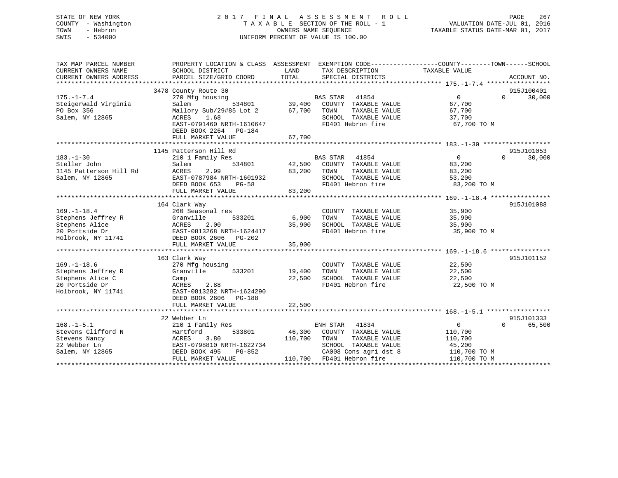# STATE OF NEW YORK 2 0 1 7 F I N A L A S S E S S M E N T R O L L PAGE 267 COUNTY - Washington T A X A B L E SECTION OF THE ROLL - 1 VALUATION DATE-JUL 01, 2016 TOWN - Hebron OWNERS NAME SEQUENCE TAXABLE STATUS DATE-MAR 01, 2017 SWIS - 534000 UNIFORM PERCENT OF VALUE IS 100.00

| TAX MAP PARCEL NUMBER<br>CURRENT OWNERS NAME<br>CURRENT OWNERS ADDRESS                              | PROPERTY LOCATION & CLASS ASSESSMENT<br>SCHOOL DISTRICT<br>PARCEL SIZE/GRID COORD                                                                              | LAND<br>TAX DESCRIPTION<br>TOTAL<br>SPECIAL DISTRICTS                                                                                                              | EXEMPTION CODE-----------------COUNTY-------TOWN------SCHOOL<br>TAXABLE VALUE<br>ACCOUNT NO.          |
|-----------------------------------------------------------------------------------------------------|----------------------------------------------------------------------------------------------------------------------------------------------------------------|--------------------------------------------------------------------------------------------------------------------------------------------------------------------|-------------------------------------------------------------------------------------------------------|
| $175. - 1 - 7.4$<br>Steigerwald Virginia<br>PO Box 356<br>Salem, NY 12865                           | 3478 County Route 30<br>270 Mfg housing<br>Salem<br>534801<br>Mallory Sub/29#85 Lot 2<br>ACRES<br>1.68<br>EAST-0791460 NRTH-1610647<br>DEED BOOK 2264 PG-184   | <b>BAS STAR</b><br>41854<br>39,400<br>COUNTY TAXABLE VALUE<br>67,700<br>TOWN<br>TAXABLE VALUE<br>SCHOOL TAXABLE VALUE<br>FD401 Hebron fire                         | 915J100401<br>$\overline{0}$<br>30,000<br>$\Omega$<br>67,700<br>67,700<br>37,700<br>67,700 TO M       |
|                                                                                                     | FULL MARKET VALUE                                                                                                                                              | 67,700                                                                                                                                                             |                                                                                                       |
| $183. - 1 - 30$<br>Steller John<br>1145 Patterson Hill Rd<br>Salem, NY 12865                        | 1145 Patterson Hill Rd<br>210 1 Family Res<br>Salem<br>534801<br>ACRES<br>2.99<br>EAST-0787984 NRTH-1601932<br>DEED BOOK 653<br>$PG-58$<br>FULL MARKET VALUE   | BAS STAR<br>41854<br>42,500<br>COUNTY TAXABLE VALUE<br>83,200<br>TOWN<br>TAXABLE VALUE<br>SCHOOL TAXABLE VALUE<br>FD401 Hebron fire<br>83,200                      | 915J101053<br>$\Omega$<br>$\Omega$<br>30,000<br>83,200<br>83,200<br>53,200<br>83,200 TO M             |
| $169. - 1 - 18.4$<br>Stephens Jeffrey R<br>Stephens Alice<br>20 Portside Dr<br>Holbrook, NY 11741   | 164 Clark Way<br>260 Seasonal res<br>533201<br>Granville<br>ACRES<br>2.00<br>EAST-0813268 NRTH-1624417<br>DEED BOOK 2606<br>PG-202<br>FULL MARKET VALUE        | COUNTY TAXABLE VALUE<br>6,900<br>TOWN<br>TAXABLE VALUE<br>35,900<br>SCHOOL TAXABLE VALUE<br>FD401 Hebron fire<br>35,900                                            | 915J101088<br>35,900<br>35,900<br>35,900<br>35,900 TO M                                               |
| $169. - 1 - 18.6$<br>Stephens Jeffrey R<br>Stephens Alice C<br>20 Portside Dr<br>Holbrook, NY 11741 | 163 Clark Way<br>270 Mfg housing<br>Granville<br>533201<br>Camp<br>2.88<br>ACRES<br>EAST-0813282 NRTH-1624290<br>DEED BOOK 2606<br>PG-188<br>FULL MARKET VALUE | COUNTY TAXABLE VALUE<br>19,400<br>TOWN<br>TAXABLE VALUE<br>22,500<br>SCHOOL TAXABLE VALUE<br>FD401 Hebron fire<br>22,500                                           | 915J101152<br>22,500<br>22,500<br>22,500<br>22,500 TO M                                               |
| $168. - 1 - 5.1$<br>Stevens Clifford N<br>Stevens Nancy<br>22 Webber Ln<br>Salem, NY 12865          | 22 Webber Ln<br>210 1 Family Res<br>Hartford<br>533801<br>3.80<br>ACRES<br>EAST-0798810 NRTH-1622734<br>DEED BOOK 495<br>PG-852<br>FULL MARKET VALUE           | ENH STAR 41834<br>46,300<br>COUNTY TAXABLE VALUE<br>110,700<br>TAXABLE VALUE<br>TOWN<br>SCHOOL TAXABLE VALUE<br>CA008 Cons agri dst 8<br>110,700 FD401 Hebron fire | 915J101333<br>0<br>$\Omega$<br>65,500<br>110,700<br>110,700<br>45,200<br>110,700 TO M<br>110,700 TO M |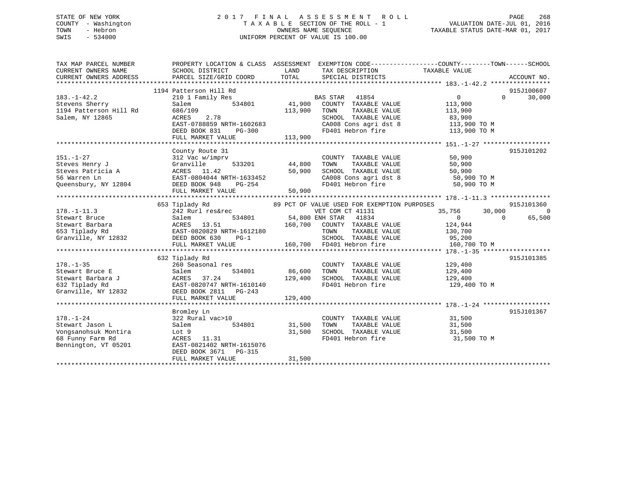# STATE OF NEW YORK 2 0 1 7 F I N A L A S S E S S M E N T R O L L PAGE 268 COUNTY - Washington T A X A B L E SECTION OF THE ROLL - 1 VALUATION DATE-JUL 01, 2016 TOWN - Hebron OWNERS NAME SEQUENCE TAXABLE STATUS DATE-MAR 01, 2017 SWIS - 534000 UNIFORM PERCENT OF VALUE IS 100.00

| TAX MAP PARCEL NUMBER<br>CURRENT OWNERS NAME<br>CURRENT OWNERS ADDRESS | SCHOOL DISTRICT<br>PARCEL SIZE/GRID COORD    | LAND<br>TOTAL   | TAX DESCRIPTION<br>SPECIAL DISTRICTS        | PROPERTY LOCATION & CLASS ASSESSMENT EXEMPTION CODE---------------COUNTY-------TOWN------SCHOOL<br>TAXABLE VALUE | ACCOUNT NO. |
|------------------------------------------------------------------------|----------------------------------------------|-----------------|---------------------------------------------|------------------------------------------------------------------------------------------------------------------|-------------|
|                                                                        |                                              |                 |                                             |                                                                                                                  |             |
|                                                                        | 1194 Patterson Hill Rd                       |                 |                                             |                                                                                                                  | 915J100607  |
| $183. - 1 - 42.2$                                                      | 210 1 Family Res                             |                 | <b>BAS STAR</b><br>41854                    | $\overline{0}$<br>$\Omega$                                                                                       | 30,000      |
| Stevens Sherry                                                         | Salem<br>534801                              | 41,900          | COUNTY TAXABLE VALUE                        | 113,900                                                                                                          |             |
| 1194 Patterson Hill Rd                                                 | 686/109                                      | 113,900         | TAXABLE VALUE<br>TOWN                       | 113,900                                                                                                          |             |
| Salem, NY 12865                                                        | 2.78<br>ACRES                                |                 | SCHOOL TAXABLE VALUE                        | 83,900                                                                                                           |             |
|                                                                        | EAST-0788859 NRTH-1602683                    |                 | CA008 Cons agri dst 8                       | 113,900 TO M                                                                                                     |             |
|                                                                        | DEED BOOK 831<br>PG-300<br>FULL MARKET VALUE | 113,900         | FD401 Hebron fire                           | 113,900 TO M                                                                                                     |             |
|                                                                        |                                              |                 |                                             |                                                                                                                  |             |
|                                                                        | County Route 31                              |                 |                                             |                                                                                                                  | 915J101202  |
| $151. - 1 - 27$                                                        | 312 Vac w/imprv                              |                 | COUNTY TAXABLE VALUE                        | 50,900                                                                                                           |             |
| Steves Henry J                                                         | Granville<br>533201                          | 44,800          | TAXABLE VALUE<br>TOWN                       | 50,900                                                                                                           |             |
| Steves Patricia A                                                      | ACRES 11.42                                  | 50,900          | SCHOOL TAXABLE VALUE                        | 50,900                                                                                                           |             |
| 56 Warren Ln                                                           | EAST-0804044 NRTH-1633452                    |                 | CA008 Cons agri dst 8                       | 50,900 TO M                                                                                                      |             |
| Queensbury, NY 12804                                                   | DEED BOOK 948<br>PG-254                      |                 | FD401 Hebron fire                           | 50,900 TO M                                                                                                      |             |
|                                                                        | FULL MARKET VALUE                            | 50,900          |                                             |                                                                                                                  |             |
|                                                                        |                                              |                 |                                             |                                                                                                                  |             |
|                                                                        | 653 Tiplady Rd                               |                 | 89 PCT OF VALUE USED FOR EXEMPTION PURPOSES |                                                                                                                  | 915J101360  |
| $178. - 1 - 11.3$                                                      | 242 Rurl res&rec                             |                 | VET COM CT 41131                            | 35,756<br>30,000                                                                                                 | $\Omega$    |
| Stewart Bruce                                                          | 534801<br>Salem                              | 54,800 ENH STAR | 41834                                       | $\Omega$<br>$\Omega$                                                                                             | 65,500      |
| Stewart Barbara                                                        | ACRES 13.51                                  |                 | 160,700 COUNTY TAXABLE VALUE                | 124,944                                                                                                          |             |
| 653 Tiplady Rd                                                         | EAST-0820829 NRTH-1612180                    |                 | TOWN<br>TAXABLE VALUE                       | 130,700                                                                                                          |             |
| Granville, NY 12832                                                    | DEED BOOK 630<br>$PG-1$                      |                 | SCHOOL TAXABLE VALUE                        | 95,200                                                                                                           |             |
|                                                                        | FULL MARKET VALUE                            |                 | 160,700 FD401 Hebron fire                   | 160,700 TO M                                                                                                     |             |
|                                                                        |                                              |                 |                                             |                                                                                                                  |             |
|                                                                        | 632 Tiplady Rd                               |                 |                                             |                                                                                                                  | 915J101385  |
| $178. - 1 - 35$                                                        | 260 Seasonal res                             |                 | COUNTY TAXABLE VALUE                        | 129,400                                                                                                          |             |
| Stewart Bruce E                                                        | Salem<br>534801                              | 86,600          | TAXABLE VALUE<br>TOWN                       | 129,400                                                                                                          |             |
| Stewart Barbara J<br>632 Tiplady Rd                                    | 37.24<br>ACRES<br>EAST-0820747 NRTH-1610140  | 129,400         | SCHOOL TAXABLE VALUE<br>FD401 Hebron fire   | 129,400<br>129,400 TO M                                                                                          |             |
| Granville, NY 12832                                                    | DEED BOOK 2811<br>PG-243                     |                 |                                             |                                                                                                                  |             |
|                                                                        | FULL MARKET VALUE                            | 129,400         |                                             |                                                                                                                  |             |
|                                                                        |                                              |                 |                                             |                                                                                                                  |             |
|                                                                        | Bromley Ln                                   |                 |                                             |                                                                                                                  | 915J101367  |
| $178. - 1 - 24$                                                        | 322 Rural vac>10                             |                 | COUNTY TAXABLE VALUE                        | 31,500                                                                                                           |             |
| Stewart Jason L                                                        | Salem<br>534801                              | 31,500          | TAXABLE VALUE<br>TOWN                       | 31,500                                                                                                           |             |
| Vongsanohsuk Montira                                                   | Lot 9                                        | 31,500          | SCHOOL TAXABLE VALUE                        | 31,500                                                                                                           |             |
| 68 Funny Farm Rd                                                       | ACRES 11.31                                  |                 | FD401 Hebron fire                           | 31,500 TO M                                                                                                      |             |
| Bennington, VT 05201                                                   | EAST-0821402 NRTH-1615076                    |                 |                                             |                                                                                                                  |             |
|                                                                        | DEED BOOK 3671<br>PG-315                     |                 |                                             |                                                                                                                  |             |
|                                                                        | FULL MARKET VALUE                            | 31,500          |                                             |                                                                                                                  |             |
|                                                                        |                                              |                 |                                             |                                                                                                                  |             |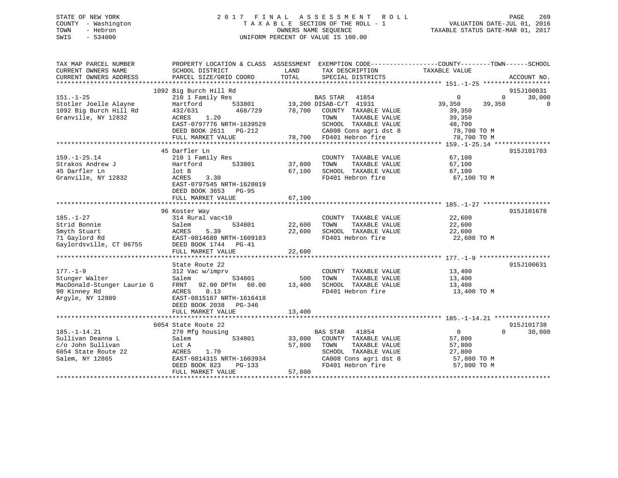# STATE OF NEW YORK 2 0 1 7 F I N A L A S S E S S M E N T R O L L PAGE 269 COUNTY - Washington T A X A B L E SECTION OF THE ROLL - 1 VALUATION DATE-JUL 01, 2016 TOWN - Hebron OWNERS NAME SEQUENCE TAXABLE STATUS DATE-MAR 01, 2017 SWIS - 534000 UNIFORM PERCENT OF VALUE IS 100.00

| TAX MAP PARCEL NUMBER<br>CURRENT OWNERS NAME<br>CURRENT OWNERS ADDRESS                                 | SCHOOL DISTRICT<br>PARCEL SIZE/GRID COORD                                                                                                                                       | LAND<br>TAX DESCRIPTION<br>TOTAL<br>SPECIAL DISTRICTS                                                                                                                                   | PROPERTY LOCATION & CLASS ASSESSMENT EXEMPTION CODE----------------COUNTY-------TOWN------SCHOOL<br>TAXABLE VALUE<br>ACCOUNT NO.                                   |
|--------------------------------------------------------------------------------------------------------|---------------------------------------------------------------------------------------------------------------------------------------------------------------------------------|-----------------------------------------------------------------------------------------------------------------------------------------------------------------------------------------|--------------------------------------------------------------------------------------------------------------------------------------------------------------------|
| $151. - 1 - 25$<br>Stotler Joelle Alayne<br>1092 Big Burch Hill Rd<br>Granville, NY 12832              | 1092 Big Burch Hill Rd<br>210 1 Family Res<br>Hartford<br>432/631<br>468/729<br>1.20<br>ACRES<br>EAST-0797776 NRTH-1639529<br>DEED BOOK 2611 PG-212<br>FULL MARKET VALUE        | BAS STAR<br>41854<br>533801 19,200 DISAB-C/T 41931<br>78,700 COUNTY TAXABLE VALUE<br>TOWN<br>TAXABLE VALUE<br>SCHOOL TAXABLE VALUE<br>CA008 Cons agri dst 8<br>78,700 FD401 Hebron fire | 915J100031<br>$\Omega$<br>30,000<br>$\overline{0}$<br>39,350<br>39,350<br>$\mathbf 0$<br>39,350<br>39,350<br>48,700<br>$18,700$ TO M<br>78,700 TO M<br>78,700 TO M |
| $159. - 1 - 25.14$<br>Strakos Andrew J<br>45 Darfler Ln<br>Granville, NY 12832                         | 45 Darfler Ln<br>210 1 Family Res<br>Hartford<br>533801<br>lot B<br>3.30<br>ACRES<br>EAST-0797545 NRTH-1628019<br>DEED BOOK 3653<br><b>PG-95</b><br>FULL MARKET VALUE           | COUNTY TAXABLE VALUE<br>37,800<br>TOWN<br>TAXABLE VALUE<br>SCHOOL TAXABLE VALUE<br>67,100<br>FD401 Hebron fire<br>67,100                                                                | 915J101703<br>67,100<br>67,100<br>67,100<br>67,100 TO M                                                                                                            |
| $185. - 1 - 27$<br>Strid Bonnie<br>Smyth Stuart<br>71 Gaylord Rd<br>Gaylordsville, CT 06755            | 96 Koster Way<br>314 Rural vac<10<br>534801<br>Salem<br>5.39<br>ACRES<br>EAST-0814680 NRTH-1609183<br>DEED BOOK 1744 PG-41<br>FULL MARKET VALUE                                 | COUNTY TAXABLE VALUE<br>22,600<br>TAXABLE VALUE<br>TOWN<br>22,600<br>SCHOOL TAXABLE VALUE<br>FD401 Hebron fire<br>22,600                                                                | 915J101678<br>22,600<br>22,600<br>22,600<br>22,600 TO M                                                                                                            |
| $177. - 1 - 9$<br>Stunger Walter<br>MacDonald-Stunger Laurie G<br>90 Kinney Rd<br>Argyle, NY 12809     | State Route 22<br>312 Vac w/imprv<br>534801<br>Salem<br>FRNT 92.00 DPTH<br>60.00<br>0.13<br>ACRES<br>EAST-0815167 NRTH-1616418<br>DEED BOOK 2038<br>PG-346<br>FULL MARKET VALUE | COUNTY TAXABLE VALUE<br>500<br>TAXABLE VALUE<br>TOWN<br>13,400<br>SCHOOL TAXABLE VALUE<br>FD401 Hebron fire<br>13,400                                                                   | 915J100631<br>13,400<br>13,400<br>13,400<br>13,400 TO M                                                                                                            |
| $185. - 1 - 14.21$<br>Sullivan Deanna L<br>c/o John Sullivan<br>6054 State Route 22<br>Salem, NY 12865 | 6054 State Route 22<br>270 Mfg housing<br>Salem<br>534801<br>Lot A<br>ACRES<br>1.70<br>EAST-0814315 NRTH-1603934<br>DEED BOOK 823<br>PG-133<br>FULL MARKET VALUE                | BAS STAR<br>41854<br>COUNTY TAXABLE VALUE<br>33,800<br>57,800<br>TOWN<br>TAXABLE VALUE<br>SCHOOL TAXABLE VALUE<br>CA008 Cons agri dst 8<br>FD401 Hebron fire<br>57,800                  | 915J101738<br>$\overline{0}$<br>$\Omega$<br>30,000<br>57,800<br>57,800<br>27,800<br>57,800 TO M<br>57,800 TO M                                                     |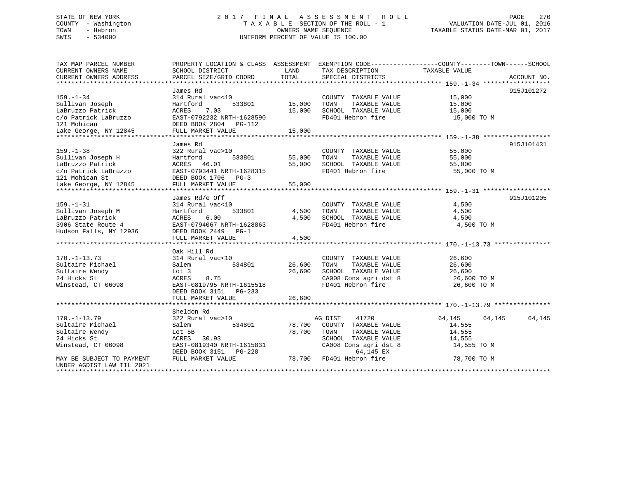# STATE OF NEW YORK 2 0 1 7 F I N A L A S S E S S M E N T R O L L PAGE 270 COUNTY - Washington T A X A B L E SECTION OF THE ROLL - 1 VALUATION DATE-JUL 01, 2016 TOWN - Hebron OWNERS NAME SEQUENCE TAXABLE STATUS DATE-MAR 01, 2017 SWIS - 534000 UNIFORM PERCENT OF VALUE IS 100.00

| TAX MAP PARCEL NUMBER         |                           |        |                          | PROPERTY LOCATION & CLASS ASSESSMENT EXEMPTION CODE----------------COUNTY-------TOWN------SCHOOL |             |
|-------------------------------|---------------------------|--------|--------------------------|--------------------------------------------------------------------------------------------------|-------------|
| CURRENT OWNERS NAME           | SCHOOL DISTRICT           | LAND   | TAX DESCRIPTION          | TAXABLE VALUE                                                                                    |             |
| CURRENT OWNERS ADDRESS        | PARCEL SIZE/GRID COORD    | TOTAL  | SPECIAL DISTRICTS        |                                                                                                  | ACCOUNT NO. |
|                               |                           |        |                          |                                                                                                  |             |
|                               | James Rd                  |        |                          |                                                                                                  | 915J101272  |
| $159. - 1 - 34$               | 314 Rural vac<10          |        | COUNTY TAXABLE VALUE     | 15,000                                                                                           |             |
| Sullivan Joseph               | Hartford<br>533801        | 15,000 | TOWN<br>TAXABLE VALUE    | 15,000                                                                                           |             |
| LaBruzzo Patrick              | ACRES<br>7.03             | 15,000 | SCHOOL TAXABLE VALUE     | 15,000                                                                                           |             |
| c/o Patrick LaBruzzo          | EAST-0792232 NRTH-1628590 |        | FD401 Hebron fire        | 15,000 TO M                                                                                      |             |
| 121 Mohican                   | DEED BOOK 2804 PG-112     |        |                          |                                                                                                  |             |
|                               |                           |        |                          |                                                                                                  |             |
| Lake George, NY 12845         | FULL MARKET VALUE         | 15,000 |                          |                                                                                                  |             |
|                               |                           |        |                          |                                                                                                  |             |
|                               | James Rd                  |        |                          |                                                                                                  | 915J101431  |
| $159. - 1 - 38$               | 322 Rural vac>10          |        | COUNTY TAXABLE VALUE     | 55,000                                                                                           |             |
| Sullivan Joseph H             | Hartford<br>533801        | 55,000 | TAXABLE VALUE<br>TOWN    | 55,000                                                                                           |             |
| LaBruzzo Patrick              | ACRES 46.01               | 55,000 | SCHOOL TAXABLE VALUE     | 55,000                                                                                           |             |
| c/o Patrick LaBruzzo          | EAST-0793441 NRTH-1628315 |        | FD401 Hebron fire        | 55,000 TO M                                                                                      |             |
| 121 Mohican St                | DEED BOOK 1706 PG-3       |        |                          |                                                                                                  |             |
| Lake George, NY 12845         | FULL MARKET VALUE         | 55,000 |                          |                                                                                                  |             |
|                               |                           |        |                          |                                                                                                  |             |
|                               | James Rd/e Off            |        |                          |                                                                                                  | 915J101205  |
| $159. - 1 - 31$               | 314 Rural vac<10          |        | COUNTY TAXABLE VALUE     | 4,500                                                                                            |             |
| Sullivan Joseph M             | 533801<br>Hartford        | 4,500  | TOWN<br>TAXABLE VALUE    | 4,500                                                                                            |             |
| LaBruzzo Patrick              | 6.00<br>ACRES             | 4,500  | SCHOOL TAXABLE VALUE     | 4,500                                                                                            |             |
| 3906 State Route 4            | EAST-0794067 NRTH-1628863 |        | FD401 Hebron fire        | 4,500 TO M                                                                                       |             |
| Hudson Falls, NY 12936        | DEED BOOK 2449 PG-1       |        |                          |                                                                                                  |             |
|                               | FULL MARKET VALUE         | 4,500  |                          |                                                                                                  |             |
|                               |                           |        |                          |                                                                                                  |             |
|                               | Oak Hill Rd               |        |                          |                                                                                                  |             |
| $170. - 1 - 13.73$            | 314 Rural vac<10          |        | COUNTY TAXABLE VALUE     | 26,600                                                                                           |             |
| Sultaire Michael              | 534801<br>Salem           | 26,600 | TAXABLE VALUE<br>TOWN    | 26,600                                                                                           |             |
|                               |                           |        |                          |                                                                                                  |             |
| Sultaire Wendy<br>24 Hicks St | Lot 3<br>8.75             | 26,600 | SCHOOL TAXABLE VALUE     | 26,600                                                                                           |             |
|                               | ACRES                     |        | CA008 Cons agri dst 8    | 26,600 TO M                                                                                      |             |
| Winstead, CT 06098            | EAST-0819795 NRTH-1615518 |        | FD401 Hebron fire        | 26,600 TO M                                                                                      |             |
|                               | DEED BOOK 3151 PG-233     |        |                          |                                                                                                  |             |
|                               | FULL MARKET VALUE         | 26,600 |                          |                                                                                                  |             |
|                               |                           |        |                          |                                                                                                  |             |
|                               | Sheldon Rd                |        |                          |                                                                                                  |             |
| $170. - 1 - 13.79$            | 322 Rural vac>10          |        | 41720<br>AG DIST         | 64,145<br>64,145                                                                                 | 64,145      |
| Sultaire Michael              | 534801<br>Salem           | 78,700 | COUNTY TAXABLE VALUE     | 14,555                                                                                           |             |
| Sultaire Wendy                | Lot 5B                    | 78,700 | TOWN<br>TAXABLE VALUE    | 14,555                                                                                           |             |
| 24 Hicks St                   | ACRES 30.93               |        | SCHOOL TAXABLE VALUE     | 14,555                                                                                           |             |
| Winstead, CT 06098            | EAST-0819340 NRTH-1615831 |        | CA008 Cons agri dst 8    | 14,555 TO M                                                                                      |             |
|                               | DEED BOOK 3151 PG-228     |        | 64,145 EX                |                                                                                                  |             |
| MAY BE SUBJECT TO PAYMENT     | FULL MARKET VALUE         |        | 78,700 FD401 Hebron fire | 78,700 TO M                                                                                      |             |
| UNDER AGDIST LAW TIL 2021     |                           |        |                          |                                                                                                  |             |
|                               |                           |        |                          |                                                                                                  |             |
|                               |                           |        |                          |                                                                                                  |             |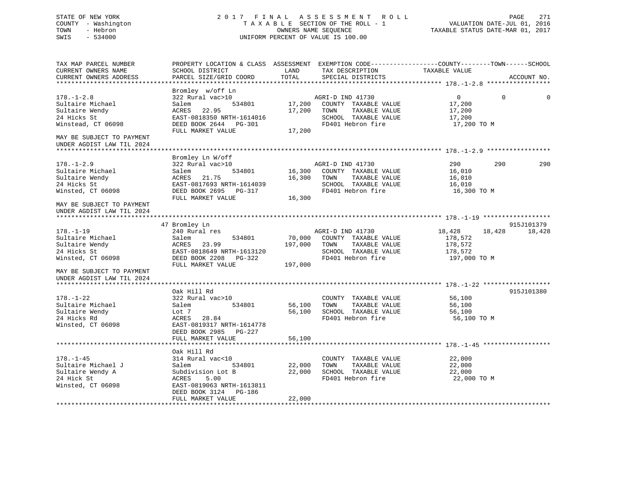# STATE OF NEW YORK 2 0 1 7 F I N A L A S S E S S M E N T R O L L PAGE 271 COUNTY - Washington T A X A B L E SECTION OF THE ROLL - 1 VALUATION DATE-JUL 01, 2016 TOWN - Hebron OWNERS NAME SEQUENCE TAXABLE STATUS DATE-MAR 01, 2017 SWIS - 534000 UNIFORM PERCENT OF VALUE IS 100.00

| TAX MAP PARCEL NUMBER<br>CURRENT OWNERS NAME<br>CURRENT OWNERS ADDRESS                                                                              | PROPERTY LOCATION & CLASS ASSESSMENT EXEMPTION CODE----------------COUNTY-------TOWN-----SCHOOL<br>SCHOOL DISTRICT<br>PARCEL SIZE/GRID COORD      | LAND<br>TOTAL     | TAX DESCRIPTION<br>SPECIAL DISTRICTS                                                                                         | TAXABLE VALUE                                               |          | ACCOUNT NO. |
|-----------------------------------------------------------------------------------------------------------------------------------------------------|---------------------------------------------------------------------------------------------------------------------------------------------------|-------------------|------------------------------------------------------------------------------------------------------------------------------|-------------------------------------------------------------|----------|-------------|
|                                                                                                                                                     |                                                                                                                                                   |                   |                                                                                                                              |                                                             |          |             |
| $178. - 1 - 2.8$<br>Sultaire Michael<br>Sultaire Wendy<br>24 Hicks St<br>Winstead, CT 06098                                                         | Bromley w/off Ln<br>322 Rural vac>10<br>Salem<br>534801<br>ACRES 22.95<br>EAST-0818350 NRTH-1614016<br>DEED BOOK 2644 PG-301<br>FULL MARKET VALUE | 17,200<br>17,200  | AGRI-D IND 41730<br>17,200 COUNTY TAXABLE VALUE<br>TOWN<br>TAXABLE VALUE<br>SCHOOL TAXABLE VALUE<br>FD401 Hebron fire        | $\overline{0}$<br>17,200<br>17,200<br>17,200<br>17,200 TO M | $\Omega$ |             |
| MAY BE SUBJECT TO PAYMENT<br>UNDER AGDIST LAW TIL 2024                                                                                              |                                                                                                                                                   |                   |                                                                                                                              |                                                             |          |             |
|                                                                                                                                                     | Bromley Ln W/off                                                                                                                                  |                   |                                                                                                                              |                                                             |          |             |
| $178. - 1 - 2.9$<br>Sultaire Michael<br>Sultaire Wendy<br>24 Hicks St<br>Winsted, CT 06098<br>MAY BE SUBJECT TO PAYMENT                             | 322 Rural vac>10<br>534801<br>Salem<br>ACRES 21.75<br>EAST-0817693 NRTH-1614039<br>DEED BOOK 2695 PG-317<br>FULL MARKET VALUE                     | 16,300            | AGRI-D IND 41730<br>16,300 COUNTY TAXABLE VALUE<br>16,300 TOWN<br>TAXABLE VALUE<br>SCHOOL TAXABLE VALUE<br>FD401 Hebron fire | 290<br>16,010<br>16,010<br>16,010<br>16,300 TO M            | 290      | 290         |
| UNDER AGDIST LAW TIL 2024                                                                                                                           |                                                                                                                                                   |                   |                                                                                                                              |                                                             |          |             |
|                                                                                                                                                     | 47 Bromley Ln                                                                                                                                     |                   |                                                                                                                              |                                                             |          | 915J101379  |
| $178. - 1 - 19$<br>Sultaire Michael<br>Sultaire Wendy<br>24 Hicks St<br>Winsted, CT 06098<br>MAY BE SUBJECT TO PAYMENT<br>UNDER AGDIST LAW TIL 2024 | 240 Rural res<br>534801<br>Salem<br>ACRES 23.99<br>EAST-0818649 NRTH-1613120<br>DEED BOOK 2208 PG-322<br>FULL MARKET VALUE                        | 70,000<br>197,000 | AGRI-D IND 41730<br>COUNTY TAXABLE VALUE<br>197,000 TOWN<br>TAXABLE VALUE<br>SCHOOL TAXABLE VALUE<br>FD401 Hebron fire       | 18,428<br>178,572<br>178,572<br>178,572<br>197,000 TO M     | 18,428   | 18,428      |
|                                                                                                                                                     | Oak Hill Rd                                                                                                                                       |                   |                                                                                                                              |                                                             |          | 915J101380  |
| $178. - 1 - 22$<br>Sultaire Michael<br>Sultaire Wendy<br>24 Hicks Rd<br>Winsted, CT 06098                                                           | 322 Rural vac>10<br>534801<br>Salem<br>Lot 7<br>ACRES 28.84<br>EAST-0819317 NRTH-1614778<br>DEED BOOK 2985 PG-227                                 | 56,100            | COUNTY TAXABLE VALUE<br>TOWN<br>TAXABLE VALUE<br>56,100 SCHOOL TAXABLE VALUE<br>FD401 Hebron fire                            | 56,100<br>56,100<br>56,100<br>56,100 TO M                   |          |             |
|                                                                                                                                                     | FULL MARKET VALUE                                                                                                                                 | 56,100            |                                                                                                                              |                                                             |          |             |
|                                                                                                                                                     | Oak Hill Rd                                                                                                                                       |                   |                                                                                                                              |                                                             |          |             |
| $178. - 1 - 45$<br>Sultaire Michael J<br>Sultaire Wendy A<br>24 Hick St<br>Winsted, CT 06098                                                        | 314 Rural vac<10<br>534801<br>Salem<br>Subdivision Lot B<br>ACRES<br>5.00<br>EAST-0819063 NRTH-1613811<br>DEED BOOK 3124 PG-186                   | 22,000<br>22,000  | COUNTY TAXABLE VALUE<br>TOWN<br>TAXABLE VALUE<br>SCHOOL TAXABLE VALUE<br>FD401 Hebron fire                                   | 22,000<br>22,000<br>22,000<br>22,000 TO M                   |          |             |
|                                                                                                                                                     | FULL MARKET VALUE                                                                                                                                 | 22,000            |                                                                                                                              |                                                             |          |             |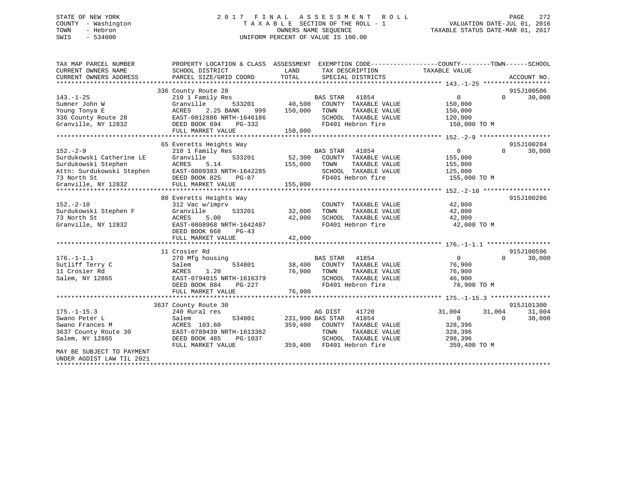# STATE OF NEW YORK 2 0 1 7 F I N A L A S S E S S M E N T R O L L PAGE 272 COUNTY - Washington T A X A B L E SECTION OF THE ROLL - 1 VALUATION DATE-JUL 01, 2016 TOWN - Hebron OWNERS NAME SEQUENCE TAXABLE STATUS DATE-MAR 01, 2017 SWIS - 534000 UNIFORM PERCENT OF VALUE IS 100.00

| TAX MAP PARCEL NUMBER     |                           | PROPERTY LOCATION & CLASS ASSESSMENT EXEMPTION CODE---------------COUNTY-------TOWN-----SCHOOL |                                      |
|---------------------------|---------------------------|------------------------------------------------------------------------------------------------|--------------------------------------|
| CURRENT OWNERS NAME       | SCHOOL DISTRICT           | LAND<br>TAX DESCRIPTION                                                                        | TAXABLE VALUE                        |
| CURRENT OWNERS ADDRESS    | PARCEL SIZE/GRID COORD    | TOTAL<br>SPECIAL DISTRICTS                                                                     | ACCOUNT NO.                          |
|                           |                           |                                                                                                |                                      |
|                           | 336 County Route 28       |                                                                                                | 915J100506                           |
| $143. - 1 - 25$           | 210 1 Family Res          | BAS STAR<br>41854                                                                              | 30,000<br>$\overline{0}$<br>$\Omega$ |
| Sumner John W             | 533201<br>Granville       | 40,500<br>COUNTY TAXABLE VALUE                                                                 | 150,000                              |
| Young Tonya E             | 2.25 BANK<br>ACRES<br>999 | 150,000<br>TOWN<br>TAXABLE VALUE                                                               | 150,000                              |
| 336 County Route 28       | EAST-0812886 NRTH-1646186 | SCHOOL TAXABLE VALUE                                                                           | 120,000                              |
| Granville, NY 12832       | DEED BOOK 694<br>PG-332   | FD401 Hebron fire                                                                              | 150,000 TO M                         |
|                           | FULL MARKET VALUE         | 150,000                                                                                        |                                      |
|                           | 65 Everetts Heights Way   |                                                                                                | 915J100284                           |
| $152 - 2 - 9$             | 210 1 Family Res          | <b>BAS STAR</b><br>41854                                                                       | $\overline{0}$<br>$\Omega$<br>30,000 |
| Surdukowski Catherine LE  | 533201<br>Granville       | 52,300 COUNTY TAXABLE VALUE                                                                    | 155,000                              |
| Surdukowski Stephen       | ACRES<br>5.14             | 155,000<br>TOWN<br>TAXABLE VALUE                                                               | 155,000                              |
| Attn: Surdukowski Stephen | EAST-0809383 NRTH-1642285 | SCHOOL TAXABLE VALUE                                                                           | 125,000                              |
| 73 North St               | DEED BOOK 825<br>PG-87    | FD401 Hebron fire                                                                              | 155,000 TO M                         |
| Granville, NY 12832       | FULL MARKET VALUE         | 155,000                                                                                        |                                      |
|                           |                           |                                                                                                |                                      |
|                           | 80 Everetts Heights Way   |                                                                                                | 915J100286                           |
| $152. - 2 - 10$           | 312 Vac w/imprv           | COUNTY TAXABLE VALUE                                                                           | 42,000                               |
| Surdukowski Stephen F     | Granville<br>533201       | TAXABLE VALUE<br>32,000<br>TOWN                                                                | 42,000                               |
| 73 North St               | ACRES<br>5.00             | 42,000<br>SCHOOL TAXABLE VALUE                                                                 | 42,000                               |
| Granville, NY 12832       | EAST-0808968 NRTH-1642487 | FD401 Hebron fire                                                                              | 42,000 TO M                          |
|                           | DEED BOOK 668<br>PG-43    |                                                                                                |                                      |
|                           | FULL MARKET VALUE         | 42,000                                                                                         |                                      |
|                           |                           |                                                                                                |                                      |
|                           | 11 Crosier Rd             |                                                                                                | 915J100596                           |
| $176. - 1 - 1.1$          | 270 Mfg housing           | <b>BAS STAR</b><br>41854                                                                       | $\overline{0}$<br>$\Omega$<br>30,000 |
| Sutliff Terry C           | 534801<br>Salem           | 38,400 COUNTY TAXABLE VALUE                                                                    | 76,900                               |
| 11 Crosier Rd             | 1.20<br>ACRES             | 76,900<br>TOWN<br>TAXABLE VALUE                                                                | 76,900                               |
| Salem, NY 12865           | EAST-0794015 NRTH-1616379 | SCHOOL TAXABLE VALUE                                                                           | 46,900                               |
|                           | DEED BOOK 884<br>PG-227   | FD401 Hebron fire                                                                              | 76,900 TO M                          |
|                           | FULL MARKET VALUE         | 76,900                                                                                         |                                      |
|                           |                           |                                                                                                |                                      |
|                           | 3637 County Route 30      |                                                                                                | 915J101300                           |
| $175. - 1 - 15.3$         | 240 Rural res             | AG DIST<br>41720                                                                               | 31,004<br>31,004<br>31,004           |
| Swano Peter L             | 534801<br>Salem           | 231,900 BAS STAR<br>41854                                                                      | 30,000<br>$\overline{0}$<br>$\Omega$ |
| Swano Frances M           | ACRES 103.60              | 359,400<br>COUNTY TAXABLE VALUE                                                                | 328,396                              |
| 3637 County Route 30      | EAST-0789439 NRTH-1613362 | TOWN<br>TAXABLE VALUE                                                                          | 328,396                              |
| Salem, NY 12865           | DEED BOOK 485<br>PG-1037  | SCHOOL TAXABLE VALUE                                                                           | 298,396                              |
|                           | FULL MARKET VALUE         | 359,400<br>FD401 Hebron fire                                                                   | 359,400 TO M                         |
| MAY BE SUBJECT TO PAYMENT |                           |                                                                                                |                                      |
| UNDER AGDIST LAW TIL 2021 |                           |                                                                                                |                                      |
|                           |                           |                                                                                                |                                      |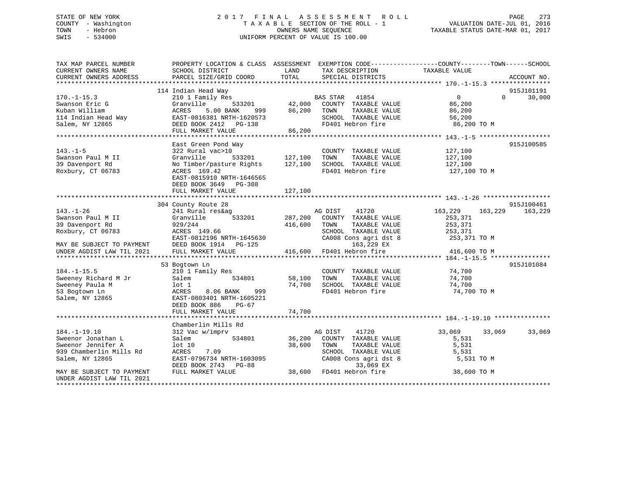# STATE OF NEW YORK 2 0 1 7 F I N A L A S S E S S M E N T R O L L PAGE 273 COUNTY - Washington T A X A B L E SECTION OF THE ROLL - 1 VALUATION DATE-JUL 01, 2016 TOWN - Hebron OWNERS NAME SEQUENCE TAXABLE STATUS DATE-MAR 01, 2017 SWIS - 534000 UNIFORM PERCENT OF VALUE IS 100.00

| TAX MAP PARCEL NUMBER<br>CURRENT OWNERS NAME<br>CURRENT OWNERS ADDRESS | PROPERTY LOCATION & CLASS ASSESSMENT EXEMPTION CODE---------------COUNTY-------TOWN-----SCHOOL<br>SCHOOL DISTRICT<br>PARCEL SIZE/GRID COORD | LAND<br>TOTAL      | TAX DESCRIPTION<br>SPECIAL DISTRICTS          | TAXABLE VALUE         |          | ACCOUNT NO. |
|------------------------------------------------------------------------|---------------------------------------------------------------------------------------------------------------------------------------------|--------------------|-----------------------------------------------|-----------------------|----------|-------------|
|                                                                        |                                                                                                                                             |                    |                                               |                       |          |             |
|                                                                        | 114 Indian Head Way                                                                                                                         |                    |                                               |                       |          | 915J101191  |
| $170. - 1 - 15.3$                                                      | 210 1 Family Res                                                                                                                            |                    | BAS STAR 41854                                | $\overline{0}$        | $\Omega$ | 30,000      |
| Swanson Eric G                                                         | Granville<br>533201                                                                                                                         | 42,000             | COUNTY TAXABLE VALUE                          | 86,200                |          |             |
| Kuban William<br>114 Indian Head Way                                   | ACRES<br>5.00 BANK<br>999                                                                                                                   | 86,200             | TOWN<br>TAXABLE VALUE                         | 86,200                |          |             |
| Salem, NY 12865                                                        | EAST-0816381 NRTH-1620573<br>DEED BOOK 2412 PG-138                                                                                          |                    | SCHOOL TAXABLE VALUE<br>FD401 Hebron fire     | 56,200<br>86,200 TO M |          |             |
|                                                                        | FULL MARKET VALUE                                                                                                                           | 86,200             |                                               |                       |          |             |
|                                                                        |                                                                                                                                             |                    |                                               |                       |          |             |
|                                                                        | East Green Pond Way                                                                                                                         |                    |                                               |                       |          | 915J100585  |
| $143. - 1 - 5$                                                         | 322 Rural vac>10                                                                                                                            |                    | COUNTY TAXABLE VALUE                          | 127,100               |          |             |
| Swanson Paul M II                                                      | Granville<br>533201                                                                                                                         | 127,100            | TAXABLE VALUE<br>TOWN                         | 127,100               |          |             |
| 39 Davenport Rd                                                        | No Timber/pasture Rights                                                                                                                    | 127,100            | SCHOOL TAXABLE VALUE                          | 127,100               |          |             |
| Roxbury, CT 06783                                                      | ACRES 169.42                                                                                                                                |                    | FD401 Hebron fire                             | 127,100 TO M          |          |             |
|                                                                        | EAST-0815910 NRTH-1646565                                                                                                                   |                    |                                               |                       |          |             |
|                                                                        | DEED BOOK 3649 PG-308                                                                                                                       |                    |                                               |                       |          |             |
|                                                                        | FULL MARKET VALUE                                                                                                                           | 127,100            |                                               |                       |          |             |
|                                                                        |                                                                                                                                             |                    |                                               |                       |          |             |
|                                                                        | 304 County Route 28                                                                                                                         |                    |                                               |                       |          | 915J100461  |
| $143. - 1 - 26$                                                        | 241 Rural res&ag                                                                                                                            |                    | AG DIST 41720                                 | 163,229               | 163,229  | 163,229     |
| Swanson Paul M II<br>39 Davenport Rd                                   | 533201<br>Granville<br>929/244                                                                                                              | 287,200<br>416,600 | COUNTY TAXABLE VALUE<br>TAXABLE VALUE<br>TOWN | 253,371<br>253,371    |          |             |
| Roxbury, CT 06783                                                      | ACRES 149.66                                                                                                                                |                    | SCHOOL TAXABLE VALUE                          | 253,371               |          |             |
|                                                                        | EAST-0812196 NRTH-1645630                                                                                                                   |                    | CA008 Cons agri dst 8                         | 253,371 TO M          |          |             |
| MAY BE SUBJECT TO PAYMENT                                              | DEED BOOK 1914 PG-125                                                                                                                       |                    | 163,229 EX                                    |                       |          |             |
| UNDER AGDIST LAW TIL 2021                                              | FULL MARKET VALUE                                                                                                                           |                    | 416,600 FD401 Hebron fire                     | 416,600 TO M          |          |             |
|                                                                        |                                                                                                                                             |                    |                                               |                       |          |             |
|                                                                        | 53 Bogtown Ln                                                                                                                               |                    |                                               |                       |          | 915J101084  |
| $184. - 1 - 15.5$                                                      | 210 1 Family Res                                                                                                                            |                    | COUNTY TAXABLE VALUE                          | 74,700                |          |             |
| Sweeney Richard M Jr                                                   | 534801<br>Salem                                                                                                                             | 58,100             | TAXABLE VALUE<br>TOWN                         | 74,700                |          |             |
| Sweeney Paula M                                                        | lot 1                                                                                                                                       | 74,700             | SCHOOL TAXABLE VALUE                          | 74,700                |          |             |
| 53 Bogtown Ln                                                          | <b>ACRES</b><br>8.06 BANK<br>999                                                                                                            |                    | FD401 Hebron fire                             | 74,700 TO M           |          |             |
| Salem, NY 12865                                                        | EAST-0803401 NRTH-1605221                                                                                                                   |                    |                                               |                       |          |             |
|                                                                        | DEED BOOK 886<br>$PG-67$                                                                                                                    |                    |                                               |                       |          |             |
|                                                                        | FULL MARKET VALUE                                                                                                                           | 74,700             |                                               |                       |          |             |
|                                                                        |                                                                                                                                             |                    |                                               |                       |          |             |
|                                                                        | Chamberlin Mills Rd                                                                                                                         |                    |                                               |                       |          |             |
| $184. - 1 - 19.10$                                                     | 312 Vac w/imprv                                                                                                                             |                    | AG DIST<br>41720                              | 33,069                | 33,069   | 33,069      |
| Sweenor Jonathan L<br>Sweenor Jennifer A                               | 534801<br>Salem<br>lot 10                                                                                                                   | 36,200<br>38,600   | COUNTY TAXABLE VALUE<br>TOWN<br>TAXABLE VALUE | 5,531<br>5,531        |          |             |
| 939 Chamberlin Mills Rd                                                | ACRES<br>7.09                                                                                                                               |                    | SCHOOL TAXABLE VALUE                          | 5,531                 |          |             |
| Salem, NY 12865                                                        | EAST-0796734 NRTH-1603095                                                                                                                   |                    | CA008 Cons agri dst 8                         | 5,531 TO M            |          |             |
|                                                                        | DEED BOOK 2743 PG-88                                                                                                                        |                    | 33,069 EX                                     |                       |          |             |
| MAY BE SUBJECT TO PAYMENT                                              | FULL MARKET VALUE                                                                                                                           |                    | 38,600 FD401 Hebron fire                      | 38,600 TO M           |          |             |
| UNDER AGDIST LAW TIL 2021                                              |                                                                                                                                             |                    |                                               |                       |          |             |
|                                                                        |                                                                                                                                             |                    |                                               |                       |          |             |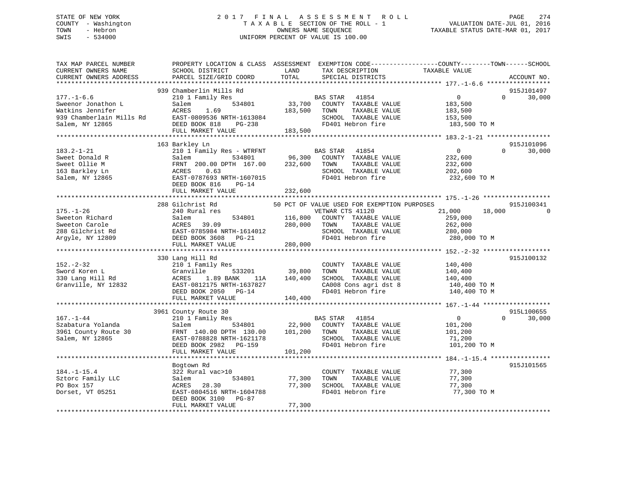# STATE OF NEW YORK 2 0 1 7 F I N A L A S S E S S M E N T R O L L PAGE 274 COUNTY - Washington T A X A B L E SECTION OF THE ROLL - 1 VALUATION DATE-JUL 01, 2016 TOWN - Hebron OWNERS NAME SEQUENCE TAXABLE STATUS DATE-MAR 01, 2017 SWIS - 534000 UNIFORM PERCENT OF VALUE IS 100.00

| TAX MAP PARCEL NUMBER<br>CURRENT OWNERS NAME<br>CURRENT OWNERS ADDRESS                                                                 | SCHOOL DISTRICT<br>PARCEL SIZE/GRID COORD                                                                                                                                                                                 | LAND<br>TOTAL                 | TAX DESCRIPTION<br>SPECIAL DISTRICTS                                                                                                                          | PROPERTY LOCATION & CLASS ASSESSMENT EXEMPTION CODE---------------COUNTY-------TOWN-----SCHOOL<br>TAXABLE VALUE                    | ACCOUNT NO.          |
|----------------------------------------------------------------------------------------------------------------------------------------|---------------------------------------------------------------------------------------------------------------------------------------------------------------------------------------------------------------------------|-------------------------------|---------------------------------------------------------------------------------------------------------------------------------------------------------------|------------------------------------------------------------------------------------------------------------------------------------|----------------------|
| *************************<br>$177. - 1 - 6.6$<br>Sweenor Jonathon L<br>Watkins Jennifer<br>939 Chamberlain Mills Rd<br>Salem, NY 12865 | 939 Chamberlin Mills Rd<br>210 1 Family Res<br>534801<br>Salem<br>ACRES<br>1.69<br>EAST-0809536 NRTH-1613084<br>DEED BOOK 818<br>PG-238<br>FULL MARKET VALUE                                                              | 33,700<br>183,500<br>183,500  | BAS STAR<br>41854<br>COUNTY TAXABLE VALUE<br>TOWN<br>TAXABLE VALUE<br>SCHOOL TAXABLE VALUE<br>FD401 Hebron fire                                               | $\overline{0}$<br>$\Omega$<br>183,500<br>183,500<br>153,500<br>183,500 TO M                                                        | 915J101497<br>30,000 |
| $183.2 - 1 - 21$<br>Sweet Donald R<br>Sweet Ollie M<br>163 Barkley Ln<br>Salem, NY 12865                                               | 163 Barkley Ln<br>210 1 Family Res - WTRFNT<br>Salem<br>534801<br>FRNT 200.00 DPTH 167.00<br>0.63<br>ACRES<br>EAST-0787693 NRTH-1607015<br>DEED BOOK 816<br>$PG-14$<br>FULL MARKET VALUE<br>***************************** | 96,300<br>232,600<br>232,600  | BAS STAR<br>41854<br>COUNTY TAXABLE VALUE<br>TAXABLE VALUE<br>TOWN<br>SCHOOL TAXABLE VALUE<br>FD401 Hebron fire                                               | $\overline{0}$<br>$\Omega$<br>232,600<br>232,600<br>202,600<br>232,600 TO M<br>********************* 175.-1-26 ******************* | 915J101096<br>30,000 |
| $175. - 1 - 26$<br>Sweeton Richard<br>Sweeton Carole<br>288 Gilchrist Rd<br>Argyle, NY 12809                                           | 288 Gilchrist Rd<br>240 Rural res<br>534801<br>Salem<br>39.09<br>ACRES<br>EAST-0785984 NRTH-1614012<br>DEED BOOK 3608 PG-21<br>FULL MARKET VALUE                                                                          | 116,800<br>280,000<br>280,000 | 50 PCT OF VALUE USED FOR EXEMPTION PURPOSES<br>VETWAR CTS 41120<br>COUNTY TAXABLE VALUE<br>TAXABLE VALUE<br>TOWN<br>SCHOOL TAXABLE VALUE<br>FD401 Hebron fire | 21,000<br>18,000<br>259,000<br>262,000<br>280,000<br>280,000 TO M                                                                  | 915J100341           |
| $152. - 2 - 32$<br>Sword Koren L<br>330 Lang Hill Rd<br>Granville, NY 12832                                                            | 330 Lang Hill Rd<br>210 1 Family Res<br>Granville<br>533201<br>1.89 BANK<br>ACRES<br>11A<br>EAST-0812175 NRTH-1637827<br>DEED BOOK 2050 PG-14<br>FULL MARKET VALUE                                                        | 39,800<br>140,400<br>140,400  | COUNTY TAXABLE VALUE<br>TOWN<br>TAXABLE VALUE<br>SCHOOL TAXABLE VALUE<br>CA008 Cons agri dst 8<br>FD401 Hebron fire                                           | 140,400<br>140,400<br>140,400<br>140,400 TO M<br>140,400 TO M                                                                      | 915J100132           |
| $167. - 1 - 44$<br>Szabatura Yolanda<br>3961 County Route 30<br>Salem, NY 12865                                                        | 3961 County Route 30<br>210 1 Family Res<br>Salem<br>534801<br>FRNT 140.00 DPTH 130.00<br>EAST-0788828 NRTH-1621178<br>DEED BOOK 2982 PG-159<br>FULL MARKET VALUE                                                         | 22,900<br>101,200<br>101,200  | BAS STAR 41854<br>COUNTY TAXABLE VALUE<br>TAXABLE VALUE<br>TOWN<br>SCHOOL TAXABLE VALUE<br>FD401 Hebron fire                                                  | $\Omega$<br>$\overline{0}$<br>101,200<br>101,200<br>71,200<br>101,200 TO M                                                         | 915L100655<br>30,000 |
| $184. - 1 - 15.4$<br>Sztorc Family LLC<br>PO Box 157<br>Dorset, VT 05251                                                               | Bogtown Rd<br>322 Rural vac>10<br>534801<br>Salem<br>ACRES 28.30<br>EAST-0804516 NRTH-1604788<br>DEED BOOK 3100 PG-87<br>FULL MARKET VALUE                                                                                | 77,300<br>77,300<br>77,300    | COUNTY TAXABLE VALUE<br>TAXABLE VALUE<br>TOWN<br>SCHOOL TAXABLE VALUE<br>FD401 Hebron fire                                                                    | 77,300<br>77,300<br>77,300<br>77,300 TO M                                                                                          | 915J101565           |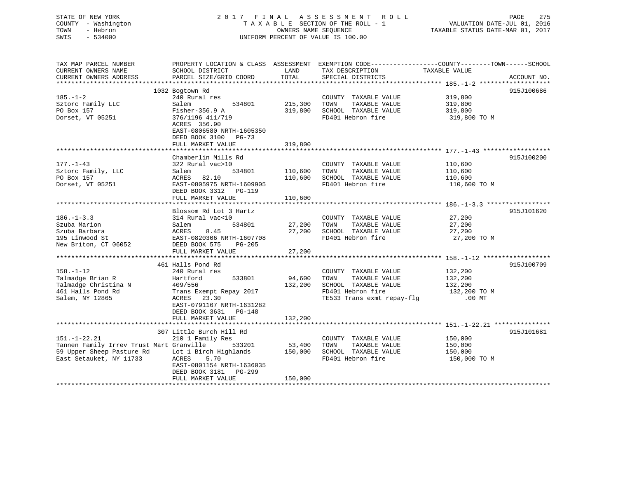| STATE OF NEW YORK<br>COUNTY - Washington<br>- Hebron<br>TOWN<br>$-534000$<br>SWIS                   | 2017 FINAL ASSESSMENT ROLL<br>TAXABLE SECTION OF THE ROLL - 1<br>OWNERS NAME SEOUENCE<br>UNIFORM PERCENT OF VALUE IS 100.00                                                                 |                              |                                                                                                                                                         | PAGE<br>275<br>VALUATION DATE-JUL 01, 2016<br>TAXABLE STATUS DATE-MAR 01, 2017 |             |  |
|-----------------------------------------------------------------------------------------------------|---------------------------------------------------------------------------------------------------------------------------------------------------------------------------------------------|------------------------------|---------------------------------------------------------------------------------------------------------------------------------------------------------|--------------------------------------------------------------------------------|-------------|--|
| TAX MAP PARCEL NUMBER<br>CURRENT OWNERS NAME<br>CURRENT OWNERS ADDRESS                              | SCHOOL DISTRICT<br>PARCEL SIZE/GRID COORD                                                                                                                                                   | LAND<br>TOTAL                | PROPERTY LOCATION & CLASS ASSESSMENT EXEMPTION CODE-----------------COUNTY-------TOWN------SCHOOL<br>TAX DESCRIPTION TAXABLE VALUE<br>SPECIAL DISTRICTS |                                                                                | ACCOUNT NO. |  |
| $185. - 1 - 2$<br>Sztorc Family LLC<br>PO Box 157<br>Dorset, VT 05251                               | 1032 Bogtown Rd<br>240 Rural res<br>Salem<br>534801<br>Fisher-356.9 A<br>376/1196 411/719<br>ACRES 356.90<br>EAST-0806580 NRTH-1605350<br>DEED BOOK 3100 PG-73<br>FULL MARKET VALUE         | 215,300 TOWN<br>319,800      | COUNTY TAXABLE VALUE<br>TAXABLE VALUE<br>319,800 SCHOOL TAXABLE VALUE<br>FD401 Hebron fire                                                              | 319,800<br>319,800<br>319,800<br>319,800 TO M                                  | 915J100686  |  |
| $177. - 1 - 43$<br>Sztorc Family, LLC<br>PO Box 157<br>Dorset, VT 05251                             | Chamberlin Mills Rd<br>322 Rural vac>10<br>Salem<br>ACRES 82.10<br>EAST-0805975 NRTH-1609905<br>DEED BOOK 3312 PG-119<br>FULL MARKET VALUE                                                  | 534801 110,600<br>110,600    | COUNTY TAXABLE VALUE<br>TOWN<br>TAXABLE VALUE<br>110,600 SCHOOL TAXABLE VALUE<br>FD401 Hebron fire                                                      | 110,600<br>110,600<br>110,600<br>110,600 TO M                                  | 915J100200  |  |
| $186. - 1 - 3.3$<br>Szuba Marion<br>Szuba Barbara<br>195 Linwood St<br>New Briton, CT 06052         | Blossom Rd Lot 3 Hartz<br>314 Rural vac<10<br>Salem<br>534801<br>ACRES<br>8.45<br>EAST-0820306 NRTH-1607708<br>DEED BOOK 575<br>PG-205<br>FULL MARKET VALUE                                 | 27,200<br>27,200<br>27,200   | COUNTY TAXABLE VALUE<br>TAXABLE VALUE<br>TOWN<br>SCHOOL TAXABLE VALUE<br>FD401 Hebron fire                                                              | 27,200<br>27,200<br>27,200<br>27,200 TO M                                      | 915J101620  |  |
| $158. - 1 - 12$<br>Talmadge Brian R<br>Talmadge Christina N<br>461 Halls Pond Rd<br>Salem, NY 12865 | 461 Halls Pond Rd<br>240 Rural res<br>Hartford<br>533801<br>409/556<br>Trans Exempt Repay 2017<br>ACRES<br>23.30<br>EAST-0791167 NRTH-1631282<br>DEED BOOK 3631 PG-148<br>FULL MARKET VALUE | 94,600<br>132,200<br>132,200 | COUNTY TAXABLE VALUE<br>TOWN<br>TAXABLE VALUE<br>SCHOOL TAXABLE VALUE<br>FD401 Hebron fire<br>TE533 Trans exmt repay-flg                                | $\frac{132}{132}$ , 200<br>132,200<br>132,200 TO M<br>$.00$ MT                 | 915J100709  |  |
|                                                                                                     | 307 Little Burch Hill Rd                                                                                                                                                                    |                              |                                                                                                                                                         |                                                                                | 915J101681  |  |

151.-1-22.21 210 1 Family Res COUNTY TAXABLE VALUE 150,000

59 Upper Sheep Pasture Rd Lot 1 Birch Highlands 150,000 SCHOOL TAXABLE VALUE 150,000 10 M<br>East Setauket, NY 11733 ACRES 5.70 FOAOL FD401 Hebron fire 150,000 TO M

\*\*\*\*\*\*\*\*\*\*\*\*\*\*\*\*\*\*\*\*\*\*\*\*\*\*\*\*\*\*\*\*\*\*\*\*\*\*\*\*\*\*\*\*\*\*\*\*\*\*\*\*\*\*\*\*\*\*\*\*\*\*\*\*\*\*\*\*\*\*\*\*\*\*\*\*\*\*\*\*\*\*\*\*\*\*\*\*\*\*\*\*\*\*\*\*\*\*\*\*\*\*\*\*\*\*\*\*\*\*\*\*\*\*\*\*\*\*\*\*\*\*\*\*\*\*\*\*\*\*\*\*

Tannen Family Irrev Trust Mart Granville 533201 53,400 TOWN TAXABLE VALUE

FULL MARKET VALUE 150,000

 EAST-0801154 NRTH-1636035 DEED BOOK 3181 PG-299

East Setauket, NY 11733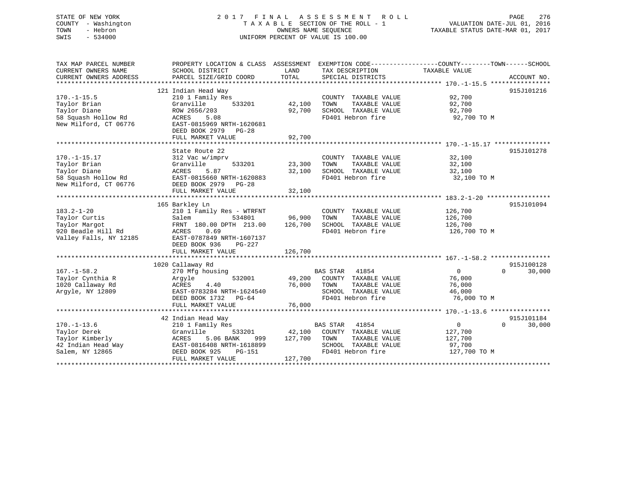# STATE OF NEW YORK 2 0 1 7 F I N A L A S S E S S M E N T R O L L PAGE 276 COUNTY - Washington T A X A B L E SECTION OF THE ROLL - 1 VALUATION DATE-JUL 01, 2016 TOWN - Hebron OWNERS NAME SEQUENCE TAXABLE STATUS DATE-MAR 01, 2017 SWIS - 534000 UNIFORM PERCENT OF VALUE IS 100.00

| TAX MAP PARCEL NUMBER  | PROPERTY LOCATION & CLASS ASSESSMENT |         |                                           | EXEMPTION CODE-----------------COUNTY-------TOWN------SCHOOL |
|------------------------|--------------------------------------|---------|-------------------------------------------|--------------------------------------------------------------|
| CURRENT OWNERS NAME    | SCHOOL DISTRICT                      | LAND    | TAX DESCRIPTION                           | TAXABLE VALUE                                                |
| CURRENT OWNERS ADDRESS | PARCEL SIZE/GRID COORD               | TOTAL   | SPECIAL DISTRICTS                         | ACCOUNT NO.                                                  |
|                        |                                      |         |                                           |                                                              |
|                        | 121 Indian Head Way                  |         |                                           | 915J101216                                                   |
| $170. - 1 - 15.5$      | 210 1 Family Res                     |         | COUNTY TAXABLE VALUE                      | 92,700                                                       |
| Taylor Brian           | Granville<br>533201                  | 42,100  | TOWN<br>TAXABLE VALUE                     | 92,700                                                       |
| Taylor Diane           | ROW 2656/203                         | 92,700  | SCHOOL TAXABLE VALUE                      | 92,700                                                       |
| 58 Squash Hollow Rd    | ACRES<br>5.08                        |         | FD401 Hebron fire                         | 92,700 TO M                                                  |
| New Milford, CT 06776  | EAST-0815969 NRTH-1620681            |         |                                           |                                                              |
|                        | DEED BOOK 2979<br><b>PG-28</b>       |         |                                           |                                                              |
|                        | FULL MARKET VALUE                    | 92,700  |                                           |                                                              |
|                        |                                      |         |                                           |                                                              |
|                        | State Route 22                       |         |                                           | 915J101278                                                   |
| $170. - 1 - 15.17$     | 312 Vac w/imprv                      |         | COUNTY TAXABLE VALUE                      | 32,100                                                       |
| Taylor Brian           | Granville<br>533201                  | 23,300  | TOWN<br>TAXABLE VALUE                     | 32,100                                                       |
| Taylor Diane           | ACRES<br>5.87                        | 32,100  | SCHOOL TAXABLE VALUE                      | 32,100                                                       |
| 58 Squash Hollow Rd    | EAST-0815660 NRTH-1620883            |         | FD401 Hebron fire                         | 32,100 TO M                                                  |
| New Milford, CT 06776  | DEED BOOK 2979<br>$PG-28$            |         |                                           |                                                              |
|                        | FULL MARKET VALUE                    | 32,100  |                                           |                                                              |
|                        |                                      |         |                                           |                                                              |
|                        | 165 Barkley Ln                       |         |                                           | 915J101094                                                   |
| $183.2 - 1 - 20$       | 210 1 Family Res - WTRFNT            |         | COUNTY TAXABLE VALUE                      | 126,700                                                      |
| Taylor Curtis          | 534801<br>Salem                      | 96,900  | TOWN<br>TAXABLE VALUE                     | 126,700                                                      |
| Taylor Margot          | FRNT 180.00 DPTH 213.00              | 126,700 | SCHOOL TAXABLE VALUE                      | 126,700                                                      |
| 920 Beadle Hill Rd     | ACRES<br>0.69                        |         | FD401 Hebron fire                         | 126,700 TO M                                                 |
| Valley Falls, NY 12185 | EAST-0787849 NRTH-1607137            |         |                                           |                                                              |
|                        | DEED BOOK 936<br>PG-227              |         |                                           |                                                              |
|                        | FULL MARKET VALUE                    | 126,700 |                                           |                                                              |
|                        |                                      |         |                                           |                                                              |
|                        | 1020 Callaway Rd                     |         |                                           | 915J100128                                                   |
| $167. - 1 - 58.2$      | 270 Mfg housing                      |         | <b>BAS STAR</b><br>41854                  | $\Omega$<br>$\mathbf{0}$<br>30,000                           |
| Taylor Cynthia R       | 532001<br>Argyle                     | 49,200  | COUNTY TAXABLE VALUE                      | 76,000                                                       |
| 1020 Callaway Rd       | 4.40<br>ACRES                        | 76,000  | TOWN<br>TAXABLE VALUE                     | 76,000                                                       |
| Argyle, NY 12809       | EAST-0783284 NRTH-1624540            |         | SCHOOL TAXABLE VALUE                      | 46,000                                                       |
|                        | DEED BOOK 1732<br>PG-64              |         | FD401 Hebron fire                         | 76,000 TO M                                                  |
|                        | FULL MARKET VALUE                    | 76,000  |                                           |                                                              |
|                        |                                      |         |                                           |                                                              |
|                        | 42 Indian Head Way                   |         |                                           | 915J101184                                                   |
| $170. - 1 - 13.6$      | 210 1 Family Res                     |         | <b>BAS STAR</b><br>41854                  | $\mathbf{0}$<br>$\Omega$<br>30,000                           |
| Taylor Derek           | Granville<br>533201                  | 42,100  | COUNTY TAXABLE VALUE                      | 127,700                                                      |
| Taylor Kimberly        | ACRES<br>5.06 BANK                   | 127,700 | TOWN<br>TAXABLE VALUE                     | 127,700                                                      |
|                        | 999                                  |         |                                           |                                                              |
| 42 Indian Head Way     | EAST-0816408 NRTH-1618899            |         | SCHOOL TAXABLE VALUE<br>FD401 Hebron fire | 97,700                                                       |
| Salem, NY 12865        | DEED BOOK 925<br>PG-151              |         |                                           | 127,700 TO M                                                 |
|                        | FULL MARKET VALUE                    | 127,700 |                                           |                                                              |
|                        |                                      |         |                                           |                                                              |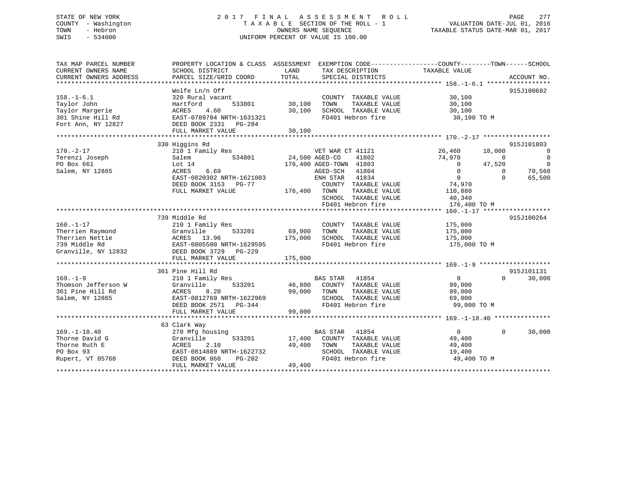# STATE OF NEW YORK 2 0 1 7 F I N A L A S S E S S M E N T R O L L PAGE 277 COUNTY - Washington T A X A B L E SECTION OF THE ROLL - 1 VALUATION DATE-JUL 01, 2016 TOWN - Hebron OWNERS NAME SEQUENCE TAXABLE STATUS DATE-MAR 01, 2017 SWIS - 534000 UNIFORM PERCENT OF VALUE IS 100.00

| TAX MAP PARCEL NUMBER<br>CURRENT OWNERS NAME<br>CURRENT OWNERS ADDRESS | PROPERTY LOCATION & CLASS ASSESSMENT EXEMPTION CODE---------------COUNTY-------TOWN-----SCHOOL<br>SCHOOL DISTRICT<br>PARCEL SIZE/GRID COORD | LAND<br>TOTAL  | TAX DESCRIPTION<br>SPECIAL DISTRICTS | TAXABLE VALUE              | ACCOUNT NO.        |
|------------------------------------------------------------------------|---------------------------------------------------------------------------------------------------------------------------------------------|----------------|--------------------------------------|----------------------------|--------------------|
|                                                                        |                                                                                                                                             |                |                                      |                            |                    |
|                                                                        | Wolfe Ln/n Off                                                                                                                              |                |                                      |                            | 915J100682         |
| $158. - 1 - 6.1$                                                       | 320 Rural vacant                                                                                                                            |                | COUNTY TAXABLE VALUE                 | 30,100                     |                    |
| Taylor John                                                            | 533801<br>Hartford                                                                                                                          | 30,100         | TAXABLE VALUE<br>TOWN                | 30,100                     |                    |
| Taylor Margerie                                                        | ACRES<br>4.60                                                                                                                               | 30,100         | SCHOOL TAXABLE VALUE                 | 30,100                     |                    |
| 301 Shine Hill Rd                                                      | EAST-0789704 NRTH-1631321                                                                                                                   |                | FD401 Hebron fire                    | 30,100 TO M                |                    |
| Fort Ann, NY 12827                                                     | DEED BOOK 2331    PG-284                                                                                                                    |                |                                      |                            |                    |
|                                                                        | FULL MARKET VALUE                                                                                                                           | 30,100         |                                      |                            |                    |
|                                                                        |                                                                                                                                             |                |                                      |                            |                    |
|                                                                        | 330 Higgins Rd                                                                                                                              |                |                                      |                            | 915J101803         |
| $170. - 2 - 17$                                                        | 210 1 Family Res                                                                                                                            |                | VET WAR CT 41121                     | 26,460<br>18,000           | $\overline{0}$     |
| Terenzi Joseph                                                         | 534801<br>Salem                                                                                                                             | 24,500 AGED-CO | 41802                                | 74,970<br>$\overline{0}$   | $\overline{0}$     |
| PO Box 661                                                             | Lot $14$                                                                                                                                    |                | 176,400 AGED-TOWN 41803              | $\overline{0}$<br>47,520   | $\overline{0}$     |
| Salem, NY 12865                                                        | 6.69<br>ACRES                                                                                                                               |                | AGED-SCH<br>41804                    | $\Omega$<br>$\Omega$       | 70,560             |
|                                                                        | EAST-0820302 NRTH-1621003                                                                                                                   |                | ENH STAR<br>41834                    | $\overline{0}$<br>$\Omega$ | 65,500             |
|                                                                        | DEED BOOK 3153 PG-77                                                                                                                        |                | COUNTY TAXABLE VALUE                 | 74,970                     |                    |
|                                                                        | FULL MARKET VALUE                                                                                                                           | 176,400 TOWN   | TAXABLE VALUE                        | 110,880                    |                    |
|                                                                        |                                                                                                                                             |                | SCHOOL TAXABLE VALUE                 | 40,340                     |                    |
|                                                                        |                                                                                                                                             |                | FD401 Hebron fire                    | 176,400 TO M               |                    |
|                                                                        |                                                                                                                                             |                |                                      |                            |                    |
|                                                                        | 739 Middle Rd                                                                                                                               |                |                                      |                            | 915J100264         |
| $160. - 1 - 17$                                                        | 210 1 Family Res                                                                                                                            |                | COUNTY TAXABLE VALUE                 | 175,000                    |                    |
| Therrien Raymond                                                       | 533201<br>Granville                                                                                                                         | 69,900         | TOWN<br>TAXABLE VALUE                | 175,000                    |                    |
| Therrien Nettie                                                        | ACRES 13.96                                                                                                                                 | 175,000        | SCHOOL TAXABLE VALUE                 | 175,000                    |                    |
| 739 Middle Rd                                                          | EAST-0805500 NRTH-1629595                                                                                                                   |                | FD401 Hebron fire                    | 175,000 TO M               |                    |
| Granville, NY 12832                                                    | DEED BOOK 3729 PG-229<br>FULL MARKET VALUE                                                                                                  | 175,000        |                                      |                            |                    |
|                                                                        |                                                                                                                                             |                |                                      |                            |                    |
|                                                                        | 361 Pine Hill Rd                                                                                                                            |                |                                      |                            | 915J101131         |
| $169. - 1 - 9$                                                         | 210 1 Family Res                                                                                                                            |                | <b>BAS STAR</b><br>41854             | $\overline{0}$<br>$\Omega$ | 30,000             |
| Thomson Jefferson W                                                    | 533201<br>Granville                                                                                                                         |                | 46,800 COUNTY TAXABLE VALUE          | 99,000                     |                    |
| 361 Pine Hill Rd                                                       | ACRES<br>8.20                                                                                                                               | 99,000         | TAXABLE VALUE<br>TOWN                | 99,000                     |                    |
| Salem, NY 12865                                                        | EAST-0812769 NRTH-1622969                                                                                                                   |                | SCHOOL TAXABLE VALUE                 | 69,000                     |                    |
|                                                                        | DEED BOOK 2571 PG-344                                                                                                                       |                | FD401 Hebron fire                    | 99,000 TO M                |                    |
|                                                                        | FULL MARKET VALUE                                                                                                                           | 99,000         |                                      |                            |                    |
|                                                                        |                                                                                                                                             |                |                                      |                            |                    |
|                                                                        | 63 Clark Way                                                                                                                                |                |                                      |                            |                    |
| $169. - 1 - 18.40$                                                     | 270 Mfg housing                                                                                                                             |                | <b>BAS STAR</b><br>41854             | $\overline{0}$             | $\Omega$<br>30,000 |
| Thorne David G                                                         | Granville<br>533201                                                                                                                         | 17,400         | COUNTY TAXABLE VALUE                 | 49,400                     |                    |
| Thorne Ruth E                                                          | ACRES<br>2.10                                                                                                                               | 49,400         | TOWN<br>TAXABLE VALUE                | 49,400                     |                    |
| PO Box 93                                                              | EAST-0814889 NRTH-1622732                                                                                                                   |                | SCHOOL TAXABLE VALUE                 | 19,400                     |                    |
| Rupert, VT 05768                                                       | DEED BOOK 868<br>$PG-202$                                                                                                                   |                | FD401 Hebron fire                    | 49,400 TO M                |                    |
|                                                                        | FULL MARKET VALUE                                                                                                                           | 49,400         |                                      |                            |                    |
|                                                                        |                                                                                                                                             |                |                                      |                            |                    |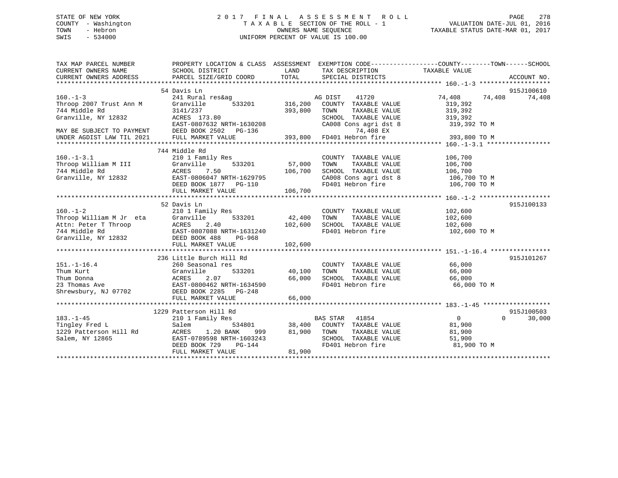# STATE OF NEW YORK 2 0 1 7 F I N A L A S S E S S M E N T R O L L PAGE 278 COUNTY - Washington T A X A B L E SECTION OF THE ROLL - 1 VALUATION DATE-JUL 01, 2016 TOWN - Hebron OWNERS NAME SEQUENCE TAXABLE STATUS DATE-MAR 01, 2017 SWIS - 534000 UNIFORM PERCENT OF VALUE IS 100.00

| TAX MAP PARCEL NUMBER<br>CURRENT OWNERS NAME<br>CURRENT OWNERS ADDRESS | PROPERTY LOCATION & CLASS ASSESSMENT EXEMPTION CODE----------------COUNTY-------TOWN------SCHOOL<br>SCHOOL DISTRICT<br>PARCEL SIZE/GRID COORD | LAND<br>TOTAL  | TAX DESCRIPTION TAXABLE VALUE<br>SPECIAL DISTRICTS                                                    |                  |          | ACCOUNT NO. |
|------------------------------------------------------------------------|-----------------------------------------------------------------------------------------------------------------------------------------------|----------------|-------------------------------------------------------------------------------------------------------|------------------|----------|-------------|
|                                                                        | 54 Davis Ln                                                                                                                                   |                |                                                                                                       |                  |          | 915J100610  |
| $160. -1 - 3$                                                          | 241 Rural res&ag                                                                                                                              |                | 41720<br>AG DIST                                                                                      | 74,408           | 74,408   | 74,408      |
| Throop 2007 Trust Ann M                                                | Granville                                                                                                                                     | 533201 316,200 | COUNTY TAXABLE VALUE                                                                                  | 319,392          |          |             |
| 744 Middle Rd                                                          | 3141/237                                                                                                                                      | 393,800        | TOWN<br>TAXABLE VALUE                                                                                 | 319,392          |          |             |
| Granville, NY 12832                                                    | ACRES 173.80                                                                                                                                  |                | SCHOOL TAXABLE VALUE                                                                                  | 319,392          |          |             |
|                                                                        | EAST-0807632 NRTH-1630208                                                                                                                     |                | CA008 Cons agri dst 8 319,392 TO M                                                                    |                  |          |             |
| MAY BE SUBJECT TO PAYMENT                                              | DEED BOOK 2502 PG-136                                                                                                                         |                | 74,408 EX                                                                                             |                  |          |             |
| UNDER AGDIST LAW TIL 2021                                              | FULL MARKET VALUE                                                                                                                             | 393,800        | FD401 Hebron fire                                                                                     | 393,800 TO M     |          |             |
|                                                                        |                                                                                                                                               |                |                                                                                                       |                  |          |             |
|                                                                        | 744 Middle Rd                                                                                                                                 |                |                                                                                                       |                  |          |             |
| $160. - 1 - 3.1$                                                       | 210 1 Family Res                                                                                                                              |                | COUNTY TAXABLE VALUE                                                                                  | 106,700          |          |             |
| Throop William M III                                                   | 533201<br>Granville                                                                                                                           | 57,000         | TOWN<br>TAXABLE VALUE                                                                                 | 106,700          |          |             |
| 744 Middle Rd                                                          | ACRES<br>7.50                                                                                                                                 | 106,700        | SCHOOL TAXABLE VALUE 106,700<br>CA008 Cons agri dst 8 106,700 TO M                                    |                  |          |             |
| Granville, NY 12832                                                    | EAST-0806047 NRTH-1629795                                                                                                                     |                |                                                                                                       |                  |          |             |
|                                                                        | DEED BOOK 1877    PG-110                                                                                                                      |                | FD401 Hebron fire 106,700 TO M                                                                        |                  |          |             |
|                                                                        | FULL MARKET VALUE                                                                                                                             |                |                                                                                                       |                  |          |             |
|                                                                        |                                                                                                                                               |                |                                                                                                       |                  |          |             |
|                                                                        | 52 Davis Ln                                                                                                                                   |                |                                                                                                       |                  |          | 915J100133  |
| $160. - 1 - 2$                                                         | 210 1 Family Res                                                                                                                              |                | COUNTY TAXABLE VALUE                                                                                  | 102,600          |          |             |
| Throop William M Jr eta<br>Attn: Peter T Thro                          | Granville                                                                                                                                     | 533201 42,400  | TAXABLE VALUE<br>TOWN                                                                                 | 102,600          |          |             |
|                                                                        |                                                                                                                                               | 102,600        | SCHOOL TAXABLE VALUE                                                                                  | 102,600          |          |             |
|                                                                        | Attn: Peter T Throop<br>744 Middle Rd<br>Granville, NY 12832<br>DEED BOOK 488 PG-968                                                          |                | FD401 Hebron fire                                                                                     | 102,600 TO M     |          |             |
|                                                                        |                                                                                                                                               |                |                                                                                                       |                  |          |             |
|                                                                        |                                                                                                                                               |                |                                                                                                       |                  |          |             |
|                                                                        |                                                                                                                                               |                |                                                                                                       |                  |          |             |
|                                                                        | 236 Little Burch Hill Rd                                                                                                                      |                |                                                                                                       |                  |          | 915J101267  |
| $151. - 1 - 16.4$                                                      | 260 Seasonal res                                                                                                                              |                | COUNTY TAXABLE VALUE                                                                                  | 66,000<br>66.000 |          |             |
| Thum Kurt                                                              | Granville                                                                                                                                     | 533201 40,100  | TAXABLE VALUE<br>TOWN                                                                                 | 66,000           |          |             |
| Thum Donna                                                             | 2.07<br>ACRES                                                                                                                                 | 66,000         | SCHOOL TAXABLE VALUE                                                                                  | 66,000           |          |             |
| 23 Thomas Ave                                                          |                                                                                                                                               |                | FD401 Hebron fire                                                                                     | 66,000 TO M      |          |             |
| Shrewsbury, NJ 07702                                                   |                                                                                                                                               |                |                                                                                                       |                  |          |             |
|                                                                        | FULL MARKET VALUE                                                                                                                             | 66,000         |                                                                                                       |                  |          |             |
|                                                                        |                                                                                                                                               |                |                                                                                                       |                  |          |             |
|                                                                        | 1229 Patterson Hill Rd                                                                                                                        |                |                                                                                                       |                  |          | 915J100503  |
| $183. - 1 - 45$                                                        | 210 1 Family Res                                                                                                                              |                | BAS STAR 41854                                                                                        | $\overline{0}$   | $\Omega$ | 30,000      |
| Tingley Fred L                                                         | Salem<br>534801                                                                                                                               |                |                                                                                                       | 81,900           |          |             |
| 1229 Patterson Hill Rd                                                 | ACRES<br>1.20 BANK<br>999 —                                                                                                                   |                | TAXABLE VALUE                                                                                         | 81,900           |          |             |
| Salem, NY 12865                                                        | EAST-0789598 NRTH-1603243                                                                                                                     |                | 38,400 COUNTY TAXABLE VALUE<br>81,900 TOWN TAXABLE VALUE<br>SCHOOL TAXABLE VALUE<br>FD401 Hebron fire | 51,900           |          |             |
|                                                                        | DEED BOOK 729<br>$PG-144$                                                                                                                     |                |                                                                                                       | 81,900 TO M      |          |             |
|                                                                        | FULL MARKET VALUE                                                                                                                             | 81,900         |                                                                                                       |                  |          |             |
|                                                                        |                                                                                                                                               |                |                                                                                                       |                  |          |             |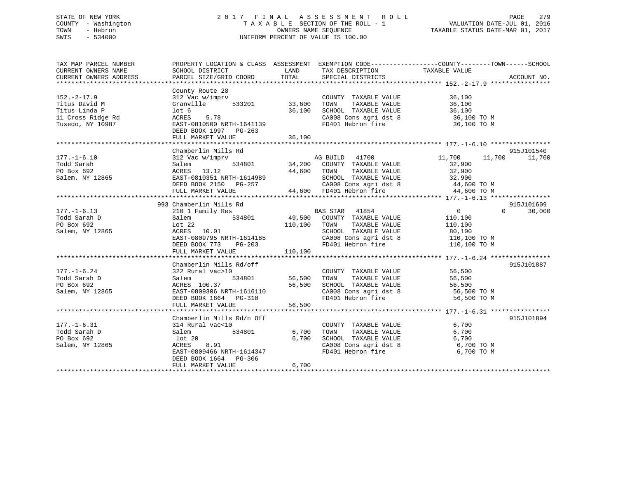# STATE OF NEW YORK 2 0 1 7 F I N A L A S S E S S M E N T R O L L PAGE 279 COUNTY - Washington T A X A B L E SECTION OF THE ROLL - 1 VALUATION DATE-JUL 01, 2016 TOWN - Hebron OWNERS NAME SEQUENCE TAXABLE STATUS DATE-MAR 01, 2017 SWIS - 534000 UNIFORM PERCENT OF VALUE IS 100.00

| TAX MAP PARCEL NUMBER<br>CURRENT OWNERS NAME<br>CURRENT OWNERS ADDRESS                      | SCHOOL DISTRICT<br>PARCEL SIZE/GRID COORD                                                                                                                           | LAND<br>TOTAL              | TAX DESCRIPTION TAXABLE VALUE SPECIAL DISTRICTS                                                                                                                                        | PROPERTY LOCATION & CLASS ASSESSMENT EXEMPTION CODE---------------COUNTY-------TOWN------SCHOOL<br>ACCOUNT NO. |  |
|---------------------------------------------------------------------------------------------|---------------------------------------------------------------------------------------------------------------------------------------------------------------------|----------------------------|----------------------------------------------------------------------------------------------------------------------------------------------------------------------------------------|----------------------------------------------------------------------------------------------------------------|--|
| $152 - 2 - 17.9$<br>Titus David M<br>Titus Linda P<br>11 Cross Ridge Rd<br>Tuxedo, NY 10987 | County Route 28<br>312 Vac w/imprv<br>Granville<br>533201<br>lot <sub>6</sub><br>5.78<br>ACRES<br>EAST-0810500 NRTH-1641139<br>DEED BOOK 1997 PG-263                | 33,600<br>36,100           | COUNTY TAXABLE VALUE<br>TAXABLE VALUE<br>TOWN<br>SCHOOL TAXABLE VALUE<br>CA008 Cons agri dst 8 $36,100$ TO M<br>FD401 Hebron fire                                                      | 36,100<br>36,100<br>36,100<br>36,100 TO M                                                                      |  |
|                                                                                             |                                                                                                                                                                     |                            |                                                                                                                                                                                        |                                                                                                                |  |
|                                                                                             |                                                                                                                                                                     |                            |                                                                                                                                                                                        |                                                                                                                |  |
| $177. - 1 - 6.10$<br>Todd Sarah<br>PO Box 692<br>Salem, NY 12865                            | Chamberlin Mills Rd<br>312 Vac w/imprv<br>Salem<br>ACRES 13.12<br>EAST-0810351 NRTH-1614989<br>DEED BOOK 2150 PG-257<br>FULL MARKET VALUE                           | 44,600 TOWN                | AG BUILD 41700<br>534801 34,200 COUNTY TAXABLE VALUE<br>TAXABLE VALUE<br>4989 SCHOOL TAXABLE VALUE 32,900<br>CA008 Cons agri dst 8 44,600 TO M<br>44,600 FD401 Hebron fire 44,600 TO M | 915J101540<br>11,700<br>11,700<br>11,700<br>32,900<br>32,900                                                   |  |
|                                                                                             |                                                                                                                                                                     |                            |                                                                                                                                                                                        |                                                                                                                |  |
|                                                                                             | 993 Chamberlin Mills Rd                                                                                                                                             |                            |                                                                                                                                                                                        | 915J101609                                                                                                     |  |
| $177. - 1 - 6.13$<br>Todd Sarah D<br>PO Box 692<br>Salem, NY 12865                          | 210 1 Family Res<br>534801<br>Salem<br>Lot $22$<br>ACRES 10.01<br>EAST-0809795 NRTH-1614185<br>DEED BOOK 773<br>PG-203                                              | 110,100 TOWN               | BAS STAR 41854<br>49,500 COUNTY TAXABLE VALUE<br>TAXABLE VALUE<br>SCHOOL TAXABLE VALUE<br>CA008 Cons agri dst 8<br>FD401 Hebron fire                                                   | $\overline{0}$<br>$\Omega$<br>30,000<br>110,100<br>110,100<br>80,100<br>110,100 TO M<br>110,100 TO M           |  |
|                                                                                             | FULL MARKET VALUE                                                                                                                                                   | 110,100                    |                                                                                                                                                                                        |                                                                                                                |  |
|                                                                                             |                                                                                                                                                                     |                            |                                                                                                                                                                                        |                                                                                                                |  |
| $177. - 1 - 6.24$<br>Todd Sarah D<br>PO Box 692<br>Salem, NY 12865                          | Chamberlin Mills Rd/off<br>322 Rural vac>10<br>534801<br>Salem<br>ACRES 100.37<br>EAST-0809306 NRTH-1616110<br>DEED BOOK 1664 PG-310<br>FULL MARKET VALUE           | 56,500<br>56,500<br>56,500 | COUNTY TAXABLE VALUE<br>TOWN<br>TAXABLE VALUE<br>SCHOOL TAXABLE VALUE<br>CA008 Cons agri dst 8 56,500 TO M<br>FD401 Hebron fire                                                        | 915J101887<br>56,500<br>56,500<br>56,500<br>56,500 TO M                                                        |  |
|                                                                                             |                                                                                                                                                                     |                            |                                                                                                                                                                                        |                                                                                                                |  |
| $177. - 1 - 6.31$<br>Todd Sarah D<br>PO Box 692<br>Salem, NY 12865                          | Chamberlin Mills Rd/n Off<br>314 Rural vac<10<br>534801<br>Salem<br>lot 20<br>ACRES 8.91<br>EAST-0809466 NRTH-1614347<br>DEED BOOK 1664 PG-306<br>FULL MARKET VALUE | 6,700<br>6,700<br>6,700    | COUNTY TAXABLE VALUE<br>TAXABLE VALUE<br>TOWN<br>SCHOOL TAXABLE VALUE<br>CA008 Cons agri dst 8<br>FD401 Hebron fire                                                                    | 915J101894<br>6,700<br>6,700<br>6,700<br>6,700 TO M<br>6,700 TO M                                              |  |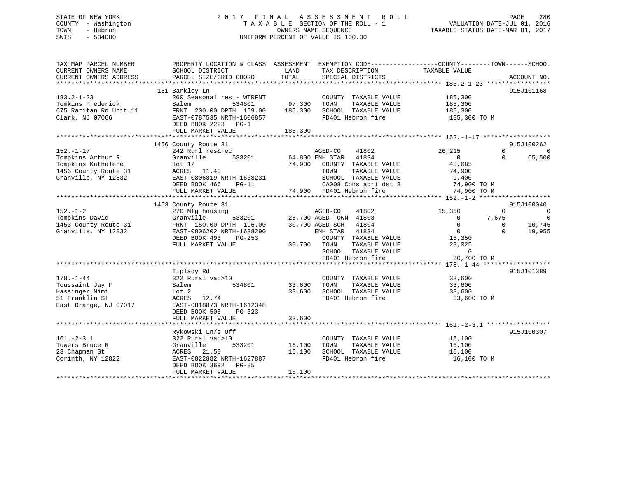# STATE OF NEW YORK 2 0 1 7 F I N A L A S S E S S M E N T R O L L PAGE 280 COUNTY - Washington T A X A B L E SECTION OF THE ROLL - 1 VALUATION DATE-JUL 01, 2016 TOWN - Hebron OWNERS NAME SEQUENCE TAXABLE STATUS DATE-MAR 01, 2017 SWIS - 534000 UNIFORM PERCENT OF VALUE IS 100.00

| TAX MAP PARCEL NUMBER<br>CURRENT OWNERS NAME<br>CURRENT OWNERS ADDRESS                                    | PROPERTY LOCATION & CLASS ASSESSMENT<br>SCHOOL DISTRICT<br>PARCEL SIZE/GRID COORD                                                                             | LAND<br>TOTAL                                                                      | TAX DESCRIPTION<br>SPECIAL DISTRICTS                                                                          | EXEMPTION CODE-----------------COUNTY-------TOWN------SCHOOL<br>TAXABLE VALUE                                     | ACCOUNT NO.                                                                                 |
|-----------------------------------------------------------------------------------------------------------|---------------------------------------------------------------------------------------------------------------------------------------------------------------|------------------------------------------------------------------------------------|---------------------------------------------------------------------------------------------------------------|-------------------------------------------------------------------------------------------------------------------|---------------------------------------------------------------------------------------------|
|                                                                                                           |                                                                                                                                                               |                                                                                    |                                                                                                               |                                                                                                                   |                                                                                             |
|                                                                                                           | 151 Barkley Ln                                                                                                                                                |                                                                                    |                                                                                                               |                                                                                                                   | 915J101168                                                                                  |
| $183.2 - 1 - 23$<br>Tomkins Frederick<br>675 Raritan Rd Unit 11                                           | 260 Seasonal res - WTRFNT<br>Salem<br>534801<br>FRNT 200.00 DPTH 159.00                                                                                       | 97,300<br>TOWN<br>185,300                                                          | COUNTY TAXABLE VALUE<br>TAXABLE VALUE<br>SCHOOL TAXABLE VALUE                                                 | 185,300<br>185,300<br>185,300                                                                                     |                                                                                             |
| Clark, NJ 07066                                                                                           | EAST-0787535 NRTH-1606857<br>DEED BOOK 2223 PG-1<br>FULL MARKET VALUE                                                                                         | 185,300                                                                            | FD401 Hebron fire                                                                                             | 185,300 TO M                                                                                                      |                                                                                             |
|                                                                                                           |                                                                                                                                                               |                                                                                    |                                                                                                               |                                                                                                                   |                                                                                             |
|                                                                                                           | 1456 County Route 31                                                                                                                                          |                                                                                    |                                                                                                               |                                                                                                                   | 915J100262                                                                                  |
| $152. - 1 - 17$<br>Tompkins Arthur R<br>Tompkins Kathalene<br>1456 County Route 31<br>Granville, NY 12832 | 242 Rurl res&rec<br>533201<br>Granville<br>lot <sub>12</sub><br>ACRES 11.40<br>EAST-0806819 NRTH-1638231<br>DEED BOOK 466<br>$PG-11$<br>FULL MARKET VALUE     | AGED-CO<br>64,800 ENH STAR<br>74,900<br>TOWN<br>74,900 FD401 Hebron fire           | 41802<br>41834<br>COUNTY TAXABLE VALUE<br>TAXABLE VALUE<br>SCHOOL TAXABLE VALUE<br>CA008 Cons agri dst 8      | 26,215<br>$\Omega$<br>48,685<br>74,900<br>9,400<br>74,900 TO M<br>74,900 TO M                                     | $\Omega$<br>$\Omega$<br>65,500<br>$\Omega$                                                  |
|                                                                                                           |                                                                                                                                                               |                                                                                    |                                                                                                               |                                                                                                                   |                                                                                             |
|                                                                                                           | 1453 County Route 31                                                                                                                                          |                                                                                    |                                                                                                               |                                                                                                                   | 915J100040                                                                                  |
| $152. - 1 - 2$<br>Tompkins David<br>1453 County Route 31<br>Granville, NY 12832                           | 270 Mfg housing<br>533201<br>Granville<br>FRNT 150.00 DPTH 196.00<br>EAST-0806202 NRTH-1638290<br>DEED BOOK 493<br>$PG-253$<br>FULL MARKET VALUE              | AGED-CO<br>25,700 AGED-TOWN 41803<br>30,700 AGED-SCH<br>ENH STAR<br>30,700<br>TOWN | 41802<br>41804<br>41834<br>COUNTY TAXABLE VALUE<br>TAXABLE VALUE<br>SCHOOL TAXABLE VALUE<br>FD401 Hebron fire | 15,350<br>$\overline{0}$<br>$\overline{0}$<br>$\overline{0}$<br>15,350<br>23,025<br>$\overline{0}$<br>30,700 TO M | $\overline{0}$<br>$\Omega$<br>7,675<br>$\Omega$<br>$\Omega$<br>10,745<br>$\Omega$<br>19,955 |
|                                                                                                           |                                                                                                                                                               |                                                                                    |                                                                                                               |                                                                                                                   |                                                                                             |
| $178. - 1 - 44$<br>Toussaint Jay F<br>Hassinger Mimi<br>51 Franklin St<br>East Orange, NJ 07017           | Tiplady Rd<br>322 Rural vac>10<br>534801<br>Salem<br>Lot 2<br>ACRES<br>12.74<br>EAST-0818873 NRTH-1612348<br>DEED BOOK 505<br>PG-323<br>FULL MARKET VALUE     | COUNTY<br>33,600<br>TOWN<br>33,600<br>33,600                                       | TAXABLE VALUE<br>TAXABLE VALUE<br>SCHOOL TAXABLE VALUE<br>FD401 Hebron fire                                   | 33,600<br>33,600<br>33,600<br>33,600 TO M                                                                         | 915J101389                                                                                  |
|                                                                                                           |                                                                                                                                                               |                                                                                    |                                                                                                               |                                                                                                                   |                                                                                             |
| $161. - 2 - 3.1$<br>Towers Bruce R<br>23 Chapman St<br>Corinth, NY 12822                                  | Rykowski Ln/e Off<br>322 Rural vac>10<br>Granville<br>533201<br>ACRES<br>21.50<br>EAST-0822882 NRTH-1627887<br>DEED BOOK 3692<br>$PG-85$<br>FULL MARKET VALUE | 16,100<br>TOWN<br>16,100<br>16,100                                                 | COUNTY TAXABLE VALUE<br>TAXABLE VALUE<br>SCHOOL TAXABLE VALUE<br>FD401 Hebron fire                            | 16,100<br>16,100<br>16,100<br>16,100 TO M                                                                         | 915J100307                                                                                  |
|                                                                                                           |                                                                                                                                                               |                                                                                    |                                                                                                               |                                                                                                                   |                                                                                             |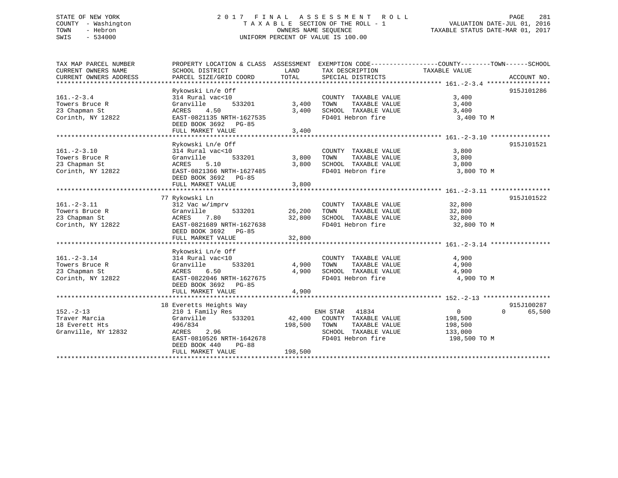# STATE OF NEW YORK 2 0 1 7 F I N A L A S S E S S M E N T R O L L PAGE 281 COUNTY - Washington T A X A B L E SECTION OF THE ROLL - 1 VALUATION DATE-JUL 01, 2016 TOWN - Hebron OWNERS NAME SEQUENCE TAXABLE STATUS DATE-MAR 01, 2017 SWIS - 534000 UNIFORM PERCENT OF VALUE IS 100.00

| TAX MAP PARCEL NUMBER  | PROPERTY LOCATION & CLASS ASSESSMENT EXEMPTION CODE----------------COUNTY-------TOWN------SCHOOL |         |                             |                |                    |
|------------------------|--------------------------------------------------------------------------------------------------|---------|-----------------------------|----------------|--------------------|
| CURRENT OWNERS NAME    | SCHOOL DISTRICT                                                                                  | LAND    | TAX DESCRIPTION             | TAXABLE VALUE  |                    |
| CURRENT OWNERS ADDRESS | PARCEL SIZE/GRID COORD                                                                           | TOTAL   | SPECIAL DISTRICTS           |                | ACCOUNT NO.        |
|                        |                                                                                                  |         |                             |                |                    |
|                        | Rykowski Ln/e Off                                                                                |         |                             |                | 915J101286         |
| $161. - 2 - 3.4$       | 314 Rural vac<10                                                                                 |         | COUNTY TAXABLE VALUE        | 3,400          |                    |
| Towers Bruce R         | Granville<br>533201                                                                              | 3,400   | TAXABLE VALUE<br>TOWN       | 3,400          |                    |
| 23 Chapman St          | 4.50<br>ACRES                                                                                    | 3,400   | SCHOOL TAXABLE VALUE        | 3,400          |                    |
| Corinth, NY 12822      | EAST-0821135 NRTH-1627535<br>DEED BOOK 3692 PG-85                                                |         | FD401 Hebron fire           | 3,400 TO M     |                    |
|                        | FULL MARKET VALUE                                                                                | 3,400   |                             |                |                    |
|                        |                                                                                                  |         |                             |                |                    |
|                        | Rykowski Ln/e Off                                                                                |         |                             |                | 915J101521         |
| $161. - 2 - 3.10$      | 314 Rural vac<10                                                                                 |         | COUNTY TAXABLE VALUE        | 3,800          |                    |
| Towers Bruce R         | 533201<br>Granville                                                                              | 3,800   | TAXABLE VALUE<br>TOWN       | 3,800          |                    |
| 23 Chapman St          | 5.10<br>ACRES                                                                                    | 3,800   | SCHOOL TAXABLE VALUE        | 3,800          |                    |
| Corinth, NY 12822      | EAST-0821366 NRTH-1627485                                                                        |         | FD401 Hebron fire           | 3,800 TO M     |                    |
|                        | DEED BOOK 3692 PG-85                                                                             |         |                             |                |                    |
|                        | FULL MARKET VALUE                                                                                | 3,800   |                             |                |                    |
|                        |                                                                                                  |         |                             |                |                    |
|                        | 77 Rykowski Ln                                                                                   |         |                             |                | 915J101522         |
| $161. - 2 - 3.11$      | 312 Vac w/imprv                                                                                  |         | COUNTY TAXABLE VALUE        | 32,800         |                    |
| Towers Bruce R         | Granville<br>533201                                                                              | 26,200  | TOWN<br>TAXABLE VALUE       | 32,800         |                    |
| 23 Chapman St          | ACRES<br>7.80                                                                                    | 32,800  | SCHOOL TAXABLE VALUE        | 32,800         |                    |
| Corinth, NY 12822      | EAST-0821689 NRTH-1627638                                                                        |         | FD401 Hebron fire           | 32,800 TO M    |                    |
|                        | DEED BOOK 3692 PG-85                                                                             |         |                             |                |                    |
|                        | FULL MARKET VALUE                                                                                | 32,800  |                             |                |                    |
|                        |                                                                                                  |         |                             |                |                    |
|                        | Rykowski Ln/e Off                                                                                |         |                             |                |                    |
| $161. - 2 - 3.14$      | 314 Rural vac<10                                                                                 |         | COUNTY TAXABLE VALUE        | 4,900          |                    |
| Towers Bruce R         | 533201<br>Granville                                                                              | 4,900   | TOWN<br>TAXABLE VALUE       | 4,900          |                    |
| 23 Chapman St          | 6.50<br>ACRES                                                                                    | 4,900   | SCHOOL TAXABLE VALUE        | 4,900          |                    |
| Corinth, NY 12822      | EAST-0822046 NRTH-1627675                                                                        |         | FD401 Hebron fire           | 4,900 TO M     |                    |
|                        | DEED BOOK 3692 PG-85                                                                             |         |                             |                |                    |
|                        | FULL MARKET VALUE                                                                                | 4,900   |                             |                |                    |
|                        |                                                                                                  |         |                             |                |                    |
|                        | 18 Everetts Heights Way                                                                          |         |                             |                | 915J100287         |
| $152 - 2 - 13$         | 210 1 Family Res                                                                                 |         | ENH STAR<br>41834           | $\overline{0}$ | $\Omega$<br>65,500 |
| Traver Marcia          | 533201<br>Granville                                                                              |         | 42,400 COUNTY TAXABLE VALUE | 198,500        |                    |
| 18 Everett Hts         | 496/834                                                                                          | 198,500 | TAXABLE VALUE<br>TOWN       | 198,500        |                    |
| Granville, NY 12832    | 2.96<br>ACRES                                                                                    |         | SCHOOL TAXABLE VALUE        | 133,000        |                    |
|                        | EAST-0810526 NRTH-1642678                                                                        |         | FD401 Hebron fire           | 198,500 TO M   |                    |
|                        | DEED BOOK 440<br><b>PG-88</b>                                                                    |         |                             |                |                    |
|                        | FULL MARKET VALUE                                                                                | 198,500 |                             |                |                    |
|                        |                                                                                                  |         |                             |                |                    |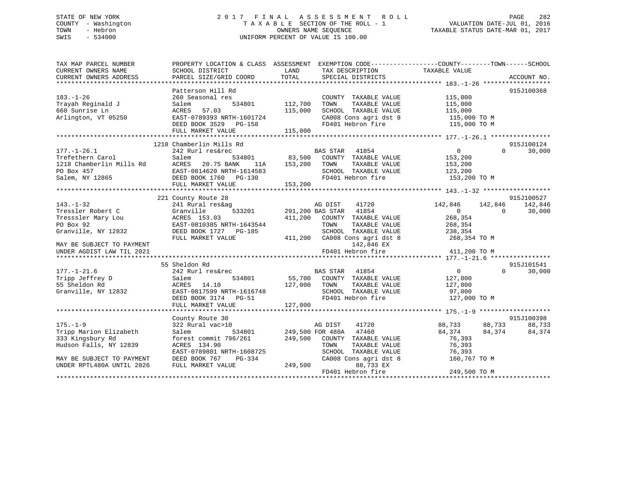# STATE OF NEW YORK 2 0 1 7 F I N A L A S S E S S M E N T R O L L PAGE 282 COUNTY - Washington T A X A B L E SECTION OF THE ROLL - 1 VALUATION DATE-JUL 01, 2016 TOWN - Hebron OWNERS NAME SEQUENCE TAXABLE STATUS DATE-MAR 01, 2017 SWIS - 534000 UNIFORM PERCENT OF VALUE IS 100.00

| SCHOOL DISTRICT<br>PARCEL SIZE/GRID COORD                                                                                                                                                                                                                                                                  | LAND<br>TOTAL                                         |                                                                      | TAXABLE VALUE                                                                                                                                                                                                                                                                                                                                                                                                                                                                                                                                                    | ACCOUNT NO.                                                                                                                                                                                                                             |
|------------------------------------------------------------------------------------------------------------------------------------------------------------------------------------------------------------------------------------------------------------------------------------------------------------|-------------------------------------------------------|----------------------------------------------------------------------|------------------------------------------------------------------------------------------------------------------------------------------------------------------------------------------------------------------------------------------------------------------------------------------------------------------------------------------------------------------------------------------------------------------------------------------------------------------------------------------------------------------------------------------------------------------|-----------------------------------------------------------------------------------------------------------------------------------------------------------------------------------------------------------------------------------------|
|                                                                                                                                                                                                                                                                                                            |                                                       |                                                                      |                                                                                                                                                                                                                                                                                                                                                                                                                                                                                                                                                                  |                                                                                                                                                                                                                                         |
| Patterson Hill Rd<br>260 Seasonal res<br>Salem<br>534801<br>ACRES<br>57.03<br>EAST-0789393 NRTH-1601724<br>DEED BOOK 3529 PG-158<br>FULL MARKET VALUE                                                                                                                                                      | 112,700<br>115,000<br>115,000                         | TAXABLE VALUE                                                        | 115,000<br>115,000<br>115,000<br>115,000 TO M                                                                                                                                                                                                                                                                                                                                                                                                                                                                                                                    | 915J100368                                                                                                                                                                                                                              |
|                                                                                                                                                                                                                                                                                                            |                                                       |                                                                      |                                                                                                                                                                                                                                                                                                                                                                                                                                                                                                                                                                  |                                                                                                                                                                                                                                         |
| 242 Rurl res&rec<br>Salem<br>ACRES<br>20.75 BANK<br>11A<br>EAST-0814620 NRTH-1614583<br>DEED BOOK 1760 PG-130<br>FULL MARKET VALUE                                                                                                                                                                         | 153,200                                               | 41854<br>TAXABLE VALUE                                               | $\overline{0}$<br>153,200<br>153,200<br>123,200<br>153,200 TO M                                                                                                                                                                                                                                                                                                                                                                                                                                                                                                  | 915J100124<br>30,000<br>$\Omega$                                                                                                                                                                                                        |
|                                                                                                                                                                                                                                                                                                            |                                                       |                                                                      |                                                                                                                                                                                                                                                                                                                                                                                                                                                                                                                                                                  |                                                                                                                                                                                                                                         |
| 221 County Route 28<br>241 Rural res&ag<br>Granville<br>533201<br>ACRES 153.03<br>EAST-0810385 NRTH-1643544<br>DEED BOOK 1727 PG-185<br>FULL MARKET VALUE<br>55 Sheldon Rd<br>242 Rurl res&rec<br>534801<br>Salem<br>ACRES 14.10<br>EAST-0817599 NRTH-1616748<br>DEED BOOK 3174 PG-51<br>FULL MARKET VALUE | 411,200<br>127,000<br>127,000                         | TAXABLE VALUE<br>142,846 EX<br>TAXABLE VALUE                         | 142,846<br>$\Omega$<br>268,354<br>268,354<br>238,354<br>268,354 TO M<br>411,200 TO M<br>$\overline{0}$<br>127,000<br>127,000<br>97,000<br>127,000 TO M                                                                                                                                                                                                                                                                                                                                                                                                           | 915J100527<br>142,846<br>$\Omega$<br>30,000<br>915J101541<br>30,000<br>$\Omega$                                                                                                                                                         |
|                                                                                                                                                                                                                                                                                                            |                                                       |                                                                      |                                                                                                                                                                                                                                                                                                                                                                                                                                                                                                                                                                  | 915J100398                                                                                                                                                                                                                              |
| 322 Rural vac>10<br>534801<br>Salem<br>forest commit 796/261<br>ACRES 134.90<br>EAST-0789801 NRTH-1608725<br>DEED BOOK 767<br>PG-334<br>FULL MARKET VALUE                                                                                                                                                  | 249,500                                               | 41720<br>TAXABLE VALUE<br>88,733 EX                                  | 84,374<br>76,393<br>76,393<br>76,393<br>160,767 TO M                                                                                                                                                                                                                                                                                                                                                                                                                                                                                                             | 88,733<br>84,374                                                                                                                                                                                                                        |
|                                                                                                                                                                                                                                                                                                            | 1218 Chamberlin Mills Rd<br>534801<br>County Route 30 | PROPERTY LOCATION & CLASS ASSESSMENT<br>83,500<br>153,200<br>249,500 | TAX DESCRIPTION<br>SPECIAL DISTRICTS<br>COUNTY TAXABLE VALUE<br>TOWN<br>SCHOOL TAXABLE VALUE<br>FD401 Hebron fire<br>BAS STAR<br>COUNTY TAXABLE VALUE<br>TOWN<br>SCHOOL TAXABLE VALUE<br>FD401 Hebron fire<br>AG DIST 41720<br>291,200 BAS STAR 41854<br>COUNTY TAXABLE VALUE<br>TOWN<br>SCHOOL TAXABLE VALUE<br>411,200 CA008 Cons agri dst 8<br>FD401 Hebron fire<br>BAS STAR 41854<br>TOWN<br>SCHOOL TAXABLE VALUE<br>FD401 Hebron fire<br>AG DIST<br>249,500 FOR 480A 47460<br>COUNTY TAXABLE VALUE<br>TOWN<br>SCHOOL TAXABLE VALUE<br>CA008 Cons agri dst 8 | EXEMPTION CODE-----------------COUNTY-------TOWN------SCHOOL<br>SCHOOL TAXABLE VALUE<br>CA008 Cons agri dst 8<br>115,000 TO M<br>142,846<br>55,700 COUNTY TAXABLE VALUE<br>88,733 88,733<br>84,374<br>FD401 Hebron fire<br>249,500 TO M |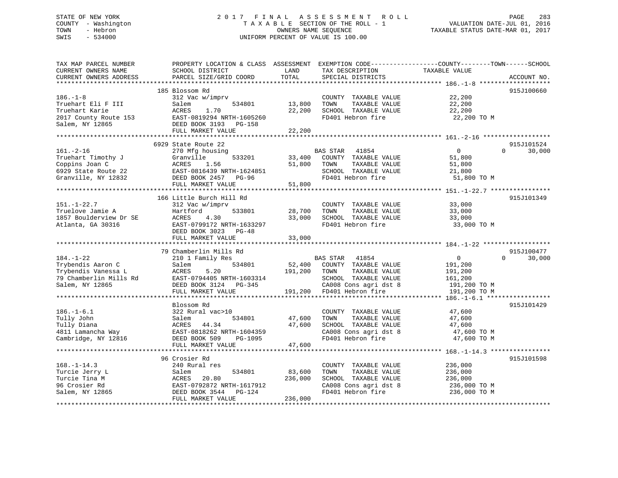# STATE OF NEW YORK 2 0 1 7 F I N A L A S S E S S M E N T R O L L PAGE 283 COUNTY - Washington T A X A B L E SECTION OF THE ROLL - 1 VALUATION DATE-JUL 01, 2016 TOWN - Hebron OWNERS NAME SEQUENCE TAXABLE STATUS DATE-MAR 01, 2017 SWIS - 534000 UNIFORM PERCENT OF VALUE IS 100.00

| TAX MAP PARCEL NUMBER<br>CURRENT OWNERS NAME<br>CURRENT OWNERS ADDRESS<br>*************************      | PROPERTY LOCATION & CLASS ASSESSMENT<br>SCHOOL DISTRICT<br>PARCEL SIZE/GRID COORD                                                                          | LAND<br>TOTAL              | TAX DESCRIPTION<br>SPECIAL DISTRICTS                                                                                                          | EXEMPTION CODE-----------------COUNTY-------TOWN------SCHOOL<br>TAXABLE VALUE         | ACCOUNT NO.          |
|----------------------------------------------------------------------------------------------------------|------------------------------------------------------------------------------------------------------------------------------------------------------------|----------------------------|-----------------------------------------------------------------------------------------------------------------------------------------------|---------------------------------------------------------------------------------------|----------------------|
| $186. - 1 - 8$<br>Truehart Eli F III<br>Truehart Karie<br>2017 County Route 153<br>Salem, NY 12865       | 185 Blossom Rd<br>312 Vac w/imprv<br>Salem<br>534801<br><b>ACRES</b><br>1.70<br>EAST-0819294 NRTH-1605260<br>DEED BOOK 3193<br>PG-158<br>FULL MARKET VALUE | 13,800<br>22,200<br>22,200 | COUNTY TAXABLE VALUE<br>TOWN<br>TAXABLE VALUE<br>SCHOOL TAXABLE VALUE<br>FD401 Hebron fire                                                    | 22,200<br>22,200<br>22,200<br>22,200 TO M                                             | 915J100660           |
|                                                                                                          | 6929 State Route 22                                                                                                                                        |                            |                                                                                                                                               |                                                                                       | 915J101524           |
| $161. - 2 - 16$<br>Truehart Timothy J<br>Coppins Joan C<br>6929 State Route 22<br>Granville, NY 12832    | 270 Mfg housing<br>Granville<br>533201<br>ACRES<br>1.56<br>EAST-0816439 NRTH-1624851<br>DEED BOOK 2457<br>PG-96<br>FULL MARKET VALUE                       | 33,400<br>51,800<br>51,800 | BAS STAR<br>41854<br>COUNTY TAXABLE VALUE<br>TOWN<br>TAXABLE VALUE<br>SCHOOL TAXABLE VALUE<br>FD401 Hebron fire                               | $\mathbf 0$<br>$\Omega$<br>51,800<br>51,800<br>21,800<br>51,800 TO M                  | 30,000               |
|                                                                                                          | 166 Little Burch Hill Rd                                                                                                                                   |                            |                                                                                                                                               |                                                                                       | 915J101349           |
| $151.-1-22.7$<br>Truelove Jamie A<br>1857 Boulderview Dr SE<br>Atlanta, GA 30316                         | 312 Vac w/imprv<br>Hartford<br>533801<br><b>ACRES</b><br>4.30<br>EAST-0799172 NRTH-1633297<br>DEED BOOK 3023 PG-48<br>FULL MARKET VALUE                    | 28,700<br>33,000<br>33,000 | COUNTY TAXABLE VALUE<br>TAXABLE VALUE<br>TOWN<br>SCHOOL TAXABLE VALUE<br>FD401 Hebron fire                                                    | 33,000<br>33,000<br>33,000<br>33,000 TO M                                             |                      |
|                                                                                                          |                                                                                                                                                            |                            |                                                                                                                                               |                                                                                       |                      |
| $184. - 1 - 22$<br>Trybendis Aaron C<br>Trybendis Vanessa L<br>79 Chamberlin Mills Rd<br>Salem, NY 12865 | 79 Chamberlin Mills Rd<br>210 1 Family Res<br>534801<br>Salem<br>5.20<br>ACRES<br>EAST-0794405 NRTH-1603314<br>DEED BOOK 3124 PG-345<br>FULL MARKET VALUE  | 52,400<br>191,200          | BAS STAR 41854<br>COUNTY TAXABLE VALUE<br>TOWN<br>TAXABLE VALUE<br>SCHOOL TAXABLE VALUE<br>CA008 Cons agri dst 8<br>191,200 FD401 Hebron fire | $\Omega$<br>$\Omega$<br>191,200<br>191,200<br>161,200<br>191,200 TO M<br>191,200 TO M | 915J100477<br>30,000 |
|                                                                                                          | Blossom Rd                                                                                                                                                 |                            |                                                                                                                                               |                                                                                       | 915J101429           |
| $186. - 1 - 6.1$<br>Tully John<br>Tully Diana<br>4811 Lamancha Way<br>Cambridge, NY 12816                | 322 Rural vac>10<br>534801<br>Salem<br>ACRES<br>44.34<br>EAST-0818262 NRTH-1604359<br>DEED BOOK 509<br>PG-1095                                             | 47,600<br>47,600           | COUNTY TAXABLE VALUE<br>TOWN<br>TAXABLE VALUE<br>SCHOOL TAXABLE VALUE<br>CA008 Cons agri dst 8<br>FD401 Hebron fire                           | 47,600<br>47,600<br>47,600<br>47,600 TO M<br>47,600 TO M                              |                      |
|                                                                                                          | FULL MARKET VALUE                                                                                                                                          | 47,600                     |                                                                                                                                               |                                                                                       |                      |
| $168. - 1 - 14.3$<br>Turcie Jerry L                                                                      | 96 Crosier Rd<br>240 Rural res<br>Salem<br>534801                                                                                                          | 83,600                     | COUNTY TAXABLE VALUE<br>TAXABLE VALUE<br>TOWN                                                                                                 | 236,000<br>236,000                                                                    | 915J101598           |
| Turcie Tina M<br>96 Crosier Rd<br>Salem, NY 12865                                                        | ACRES<br>20.80<br>EAST-0792872 NRTH-1617912<br>DEED BOOK 3544<br>PG-124                                                                                    | 236,000                    | SCHOOL TAXABLE VALUE<br>CA008 Cons agri dst 8<br>FD401 Hebron fire                                                                            | 236,000<br>236,000 TO M<br>236,000 TO M                                               |                      |
|                                                                                                          | FULL MARKET VALUE                                                                                                                                          | 236,000                    |                                                                                                                                               |                                                                                       |                      |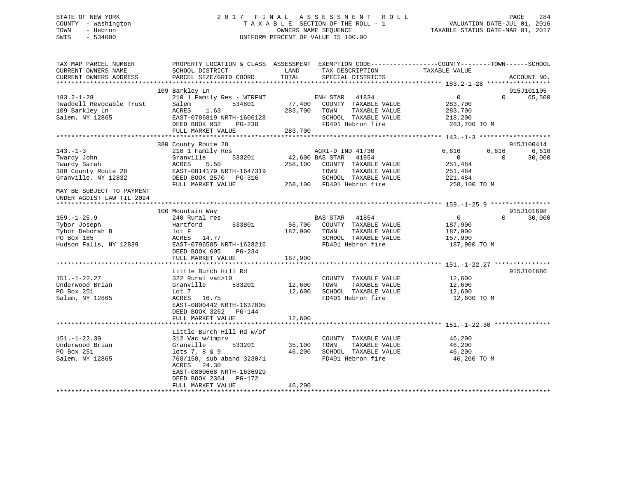# STATE OF NEW YORK 2 0 1 7 F I N A L A S S E S S M E N T R O L L PAGE 284 COUNTY - Washington T A X A B L E SECTION OF THE ROLL - 1 VALUATION DATE-JUL 01, 2016 TOWN - Hebron OWNERS NAME SEQUENCE TAXABLE STATUS DATE-MAR 01, 2017 SWIS - 534000 UNIFORM PERCENT OF VALUE IS 100.00

| TAX MAP PARCEL NUMBER<br>CURRENT OWNERS NAME<br>CURRENT OWNERS ADDRESS                       | PROPERTY LOCATION & CLASS ASSESSMENT<br>SCHOOL DISTRICT<br>PARCEL SIZE/GRID COORD                                                                                                               | LAND<br>TOTAL                | EXEMPTION CODE-----------------COUNTY-------TOWN------SCHOOL<br>TAX DESCRIPTION<br>SPECIAL DISTRICTS                  | TAXABLE VALUE                                                   |                   | ACCOUNT NO.                   |
|----------------------------------------------------------------------------------------------|-------------------------------------------------------------------------------------------------------------------------------------------------------------------------------------------------|------------------------------|-----------------------------------------------------------------------------------------------------------------------|-----------------------------------------------------------------|-------------------|-------------------------------|
| ***********************                                                                      |                                                                                                                                                                                                 |                              |                                                                                                                       |                                                                 |                   |                               |
|                                                                                              | 109 Barkley Ln                                                                                                                                                                                  |                              |                                                                                                                       |                                                                 |                   | 915J101105                    |
| $183.2 - 1 - 28$<br>Twaddell Revocable Trust<br>109 Barkley Ln<br>Salem, NY 12865            | 210 1 Family Res - WTRFNT<br>Salem<br>534801<br>ACRES<br>1.63<br>EAST-0786819 NRTH-1606128<br>DEED BOOK 932<br>$PG-238$<br>FULL MARKET VALUE                                                    | 77,400<br>283,700<br>283,700 | 41834<br>ENH STAR<br>COUNTY TAXABLE VALUE<br>TOWN<br>TAXABLE VALUE<br>SCHOOL TAXABLE VALUE<br>FD401 Hebron fire       | $\mathbf 0$<br>283,700<br>283,700<br>218,200<br>283,700 TO M    | $\Omega$          | 65,500                        |
|                                                                                              |                                                                                                                                                                                                 |                              |                                                                                                                       |                                                                 |                   |                               |
| $143. - 1 - 3$<br>Twardy John<br>Twardy Sarah<br>380 County Route 28<br>Granville, NY 12832  | 380 County Route 28<br>210 1 Family Res<br>533201<br>Granville<br>5.50<br>ACRES<br>EAST-0814179 NRTH-1647319<br>DEED BOOK 2570<br>PG-316                                                        | 258,100                      | AGRI-D IND 41730<br>42,600 BAS STAR<br>41854<br>COUNTY TAXABLE VALUE<br>TAXABLE VALUE<br>TOWN<br>SCHOOL TAXABLE VALUE | 6,616<br>$\mathbf{0}$<br>251,484<br>251,484<br>221,484          | 6,616<br>$\Omega$ | 915J100414<br>6,616<br>30,000 |
|                                                                                              | FULL MARKET VALUE                                                                                                                                                                               | 258,100                      | FD401 Hebron fire                                                                                                     | 258,100 TO M                                                    |                   |                               |
| MAY BE SUBJECT TO PAYMENT<br>UNDER AGDIST LAW TIL 2024                                       |                                                                                                                                                                                                 |                              |                                                                                                                       |                                                                 |                   |                               |
|                                                                                              | 106 Mountain Way                                                                                                                                                                                |                              |                                                                                                                       |                                                                 |                   | 915J101698                    |
| $159. - 1 - 25.9$<br>Tybor Joseph<br>Tybor Deborah B<br>PO Box 185<br>Hudson Falls, NY 12839 | 240 Rural res<br>Hartford<br>533801<br>lot F<br>ACRES<br>14.77<br>EAST-0796585 NRTH-1628216<br>DEED BOOK 605<br>PG-234<br>FULL MARKET VALUE                                                     | 56,700<br>187,900<br>187,900 | 41854<br>BAS STAR<br>COUNTY TAXABLE VALUE<br>TOWN<br>TAXABLE VALUE<br>SCHOOL TAXABLE VALUE<br>FD401 Hebron fire       | $\overline{0}$<br>187,900<br>187,900<br>157,900<br>187,900 TO M | $\Omega$          | 30,000                        |
|                                                                                              |                                                                                                                                                                                                 |                              |                                                                                                                       |                                                                 |                   |                               |
| $151. - 1 - 22.27$<br>Underwood Brian<br>PO Box 251<br>Salem, NY 12865                       | Little Burch Hill Rd<br>322 Rural vac>10<br>Granville<br>533201<br>Lot 7<br>ACRES<br>16.75<br>EAST-0800442 NRTH-1637805<br>DEED BOOK 3262<br>PG-144                                             | 12,600<br>12,600             | COUNTY TAXABLE VALUE<br>TAXABLE VALUE<br>TOWN<br>SCHOOL TAXABLE VALUE<br>FD401 Hebron fire                            | 12,600<br>12,600<br>12,600<br>12,600 TO M                       |                   | 915J101686                    |
|                                                                                              | FULL MARKET VALUE                                                                                                                                                                               | 12,600                       |                                                                                                                       |                                                                 |                   |                               |
|                                                                                              |                                                                                                                                                                                                 |                              |                                                                                                                       |                                                                 |                   |                               |
| $151. - 1 - 22.30$<br>Underwood Brian<br>PO Box 251<br>Salem, NY 12865                       | Little Burch Hill Rd w/of<br>312 Vac w/imprv<br>Granville<br>533201<br>$lots 7, 8 \& 9$<br>768/158, sub aband 3230/1<br>24.30<br>ACRES<br>EAST-0800668 NRTH-1636929<br>DEED BOOK 2364<br>PG-172 | 35,100<br>46,200             | COUNTY TAXABLE VALUE<br>TOWN<br>TAXABLE VALUE<br>SCHOOL TAXABLE VALUE<br>FD401 Hebron fire                            | 46,200<br>46,200<br>46,200<br>46,200 TO M                       |                   |                               |
|                                                                                              | FULL MARKET VALUE                                                                                                                                                                               | 46,200                       |                                                                                                                       |                                                                 |                   |                               |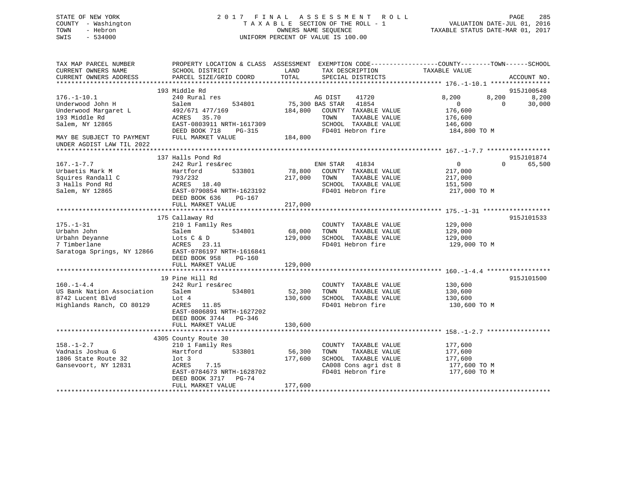# STATE OF NEW YORK 2 0 1 7 F I N A L A S S E S S M E N T R O L L PAGE 285 COUNTY - Washington T A X A B L E SECTION OF THE ROLL - 1 VALUATION DATE-JUL 01, 2016 TOWN - Hebron OWNERS NAME SEQUENCE TAXABLE STATUS DATE-MAR 01, 2017 SWIS - 534000 UNIFORM PERCENT OF VALUE IS 100.00

| TAX MAP PARCEL NUMBER<br>CURRENT OWNERS NAME<br>CURRENT OWNERS ADDRESS | PROPERTY LOCATION & CLASS ASSESSMENT EXEMPTION CODE---------------COUNTY-------TOWN------SCHOOL<br>SCHOOL DISTRICT<br>PARCEL SIZE/GRID COORD | LAND<br>TOTAL | TAX DESCRIPTION<br>SPECIAL DISTRICTS | TAXABLE VALUE           | ACCOUNT NO.                          |
|------------------------------------------------------------------------|----------------------------------------------------------------------------------------------------------------------------------------------|---------------|--------------------------------------|-------------------------|--------------------------------------|
|                                                                        |                                                                                                                                              |               |                                      |                         |                                      |
|                                                                        | 193 Middle Rd                                                                                                                                |               | AG DIST                              |                         | 915J100548                           |
| $176. - 1 - 10.1$<br>Underwood John H                                  | 240 Rural res<br>534801<br>Salem                                                                                                             |               | 41720<br>75,300 BAS STAR 41854       | 8,200<br>$\overline{0}$ | 8,200<br>8,200<br>30,000<br>$\Omega$ |
| Underwood Margaret L                                                   | 492/671 477/169                                                                                                                              | 184,800       | COUNTY TAXABLE VALUE                 | 176,600                 |                                      |
| 193 Middle Rd                                                          | ACRES<br>35.70                                                                                                                               |               | TAXABLE VALUE<br>TOWN                | 176,600                 |                                      |
| Salem, NY 12865                                                        | EAST-0803911 NRTH-1617309                                                                                                                    |               | SCHOOL TAXABLE VALUE                 | 146,600                 |                                      |
|                                                                        | DEED BOOK 718<br>PG-315                                                                                                                      |               | FD401 Hebron fire                    | 184,800 TO M            |                                      |
| MAY BE SUBJECT TO PAYMENT<br>UNDER AGDIST LAW TIL 2022                 | FULL MARKET VALUE                                                                                                                            | 184,800       |                                      |                         |                                      |
|                                                                        |                                                                                                                                              |               |                                      |                         |                                      |
|                                                                        | 137 Halls Pond Rd                                                                                                                            |               |                                      |                         | 915J101874                           |
| $167. - 1 - 7.7$                                                       | 242 Rurl res&rec                                                                                                                             |               | ENH STAR 41834                       | $\overline{0}$          | $\Omega$<br>65,500                   |
| Urbaetis Mark M                                                        | Hartford<br>533801                                                                                                                           | 78,800        | COUNTY TAXABLE VALUE                 | 217,000                 |                                      |
| Squires Randall C                                                      | 793/232                                                                                                                                      | 217,000       | TOWN<br>TAXABLE VALUE                | 217,000                 |                                      |
| 3 Halls Pond Rd                                                        | ACRES 18.40                                                                                                                                  |               | SCHOOL TAXABLE VALUE                 | 151,500                 |                                      |
| Salem, NY 12865                                                        | EAST-0790854 NRTH-1623192                                                                                                                    |               | FD401 Hebron fire                    | 217,000 TO M            |                                      |
|                                                                        | DEED BOOK 636<br>PG-167                                                                                                                      | 217,000       |                                      |                         |                                      |
|                                                                        | FULL MARKET VALUE                                                                                                                            |               |                                      |                         |                                      |
|                                                                        | 175 Callaway Rd                                                                                                                              |               |                                      |                         | 915J101533                           |
| $175. - 1 - 31$                                                        | 210 1 Family Res                                                                                                                             |               | COUNTY TAXABLE VALUE                 | 129,000                 |                                      |
| Urbahn John                                                            | 534801<br>Salem                                                                                                                              | 68,000        | TOWN<br>TAXABLE VALUE                | 129,000                 |                                      |
| Urbahn Deyanne                                                         | Lots C & D                                                                                                                                   | 129,000       | SCHOOL TAXABLE VALUE                 | 129,000                 |                                      |
| 7 Timberlane                                                           | ACRES 23.11                                                                                                                                  |               | FD401 Hebron fire                    | 129,000 TO M            |                                      |
| Saratoga Springs, NY 12866                                             | EAST-0786197 NRTH-1616841                                                                                                                    |               |                                      |                         |                                      |
|                                                                        | DEED BOOK 958<br>PG-160                                                                                                                      |               |                                      |                         |                                      |
|                                                                        | FULL MARKET VALUE                                                                                                                            | 129,000       |                                      |                         |                                      |
|                                                                        |                                                                                                                                              |               |                                      |                         |                                      |
|                                                                        | 19 Pine Hill Rd                                                                                                                              |               |                                      |                         | 915J101500                           |
| $160. - 1 - 4.4$                                                       | 242 Rurl res&rec                                                                                                                             |               | COUNTY TAXABLE VALUE                 | 130,600                 |                                      |
| US Bank Nation Association                                             | 534801<br>Salem                                                                                                                              | 52,300        | TAXABLE VALUE<br>TOWN                | 130,600                 |                                      |
| 8742 Lucent Blvd                                                       | Lot 4                                                                                                                                        | 130,600       | SCHOOL TAXABLE VALUE                 | 130,600                 |                                      |
| Highlands Ranch, CO 80129                                              | ACRES<br>11.85                                                                                                                               |               | FD401 Hebron fire                    | 130,600 TO M            |                                      |
|                                                                        | EAST-0806891 NRTH-1627202                                                                                                                    |               |                                      |                         |                                      |
|                                                                        | DEED BOOK 3744<br>PG-346                                                                                                                     |               |                                      |                         |                                      |
|                                                                        | FULL MARKET VALUE                                                                                                                            | 130,600       |                                      |                         |                                      |
|                                                                        | 4305 County Route 30                                                                                                                         |               |                                      |                         |                                      |
| $158. - 1 - 2.7$                                                       | 210 1 Family Res                                                                                                                             |               | COUNTY TAXABLE VALUE                 | 177,600                 |                                      |
| Vadnais Joshua G                                                       | Hartford 533801                                                                                                                              | 56,300        | TAXABLE VALUE<br>TOWN                | 177,600                 |                                      |
| 1806 State Route 32                                                    | $1$ ot 3                                                                                                                                     | 177,600       | SCHOOL TAXABLE VALUE                 | 177,600                 |                                      |
| Gansevoort, NY 12831                                                   | ACRES<br>7.15                                                                                                                                |               | CA008 Cons agri dst 8                | 177,600 TO M            |                                      |
|                                                                        | EAST-0784673 NRTH-1628702                                                                                                                    |               | FD401 Hebron fire                    | 177,600 TO M            |                                      |
|                                                                        | DEED BOOK 3717 PG-74                                                                                                                         |               |                                      |                         |                                      |
|                                                                        | FULL MARKET VALUE                                                                                                                            | 177,600       |                                      |                         |                                      |
|                                                                        |                                                                                                                                              |               |                                      |                         |                                      |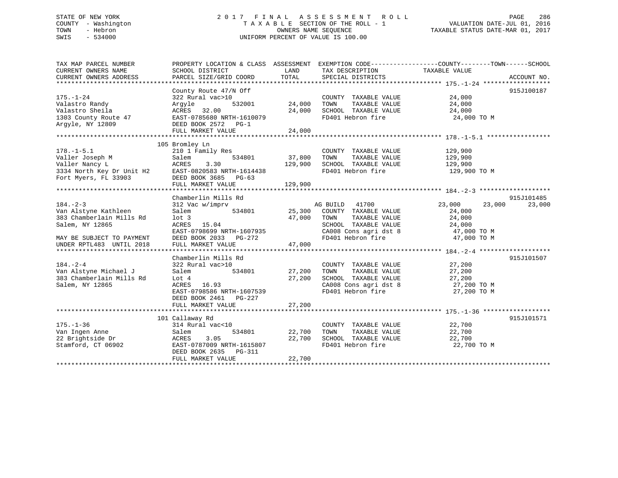# STATE OF NEW YORK 2 0 1 7 F I N A L A S S E S S M E N T R O L L PAGE 286 COUNTY - Washington T A X A B L E SECTION OF THE ROLL - 1 VALUATION DATE-JUL 01, 2016 TOWN - Hebron OWNERS NAME SEQUENCE TAXABLE STATUS DATE-MAR 01, 2017 SWIS - 534000 UNIFORM PERCENT OF VALUE IS 100.00

| TAX MAP PARCEL NUMBER     |                                                                                                                                                   |               |                                                                                                   | PROPERTY LOCATION & CLASS ASSESSMENT EXEMPTION CODE----------------COUNTY-------TOWN------SCHOOL |             |
|---------------------------|---------------------------------------------------------------------------------------------------------------------------------------------------|---------------|---------------------------------------------------------------------------------------------------|--------------------------------------------------------------------------------------------------|-------------|
| CURRENT OWNERS NAME       | SCHOOL DISTRICT                                                                                                                                   | LAND          | TAX DESCRIPTION                                                                                   | TAXABLE VALUE                                                                                    |             |
| CURRENT OWNERS ADDRESS    | PARCEL SIZE/GRID COORD                                                                                                                            | TOTAL         | SPECIAL DISTRICTS                                                                                 |                                                                                                  | ACCOUNT NO. |
|                           |                                                                                                                                                   |               |                                                                                                   |                                                                                                  |             |
|                           | County Route 47/N Off                                                                                                                             |               |                                                                                                   |                                                                                                  | 915J100187  |
| $175. - 1 - 24$           | 322 Rural vac>10                                                                                                                                  |               | COUNTY TAXABLE VALUE                                                                              | 24,000                                                                                           |             |
| Valastro Randy            | Arqyle                                                                                                                                            | 532001 24,000 | TOWN<br>TAXABLE VALUE                                                                             | 24,000                                                                                           |             |
| Valastro Sheila           | ACRES 32.00                                                                                                                                       | 24,000        | SCHOOL TAXABLE VALUE                                                                              | 24,000                                                                                           |             |
| 1303 County Route $47$    | ACRES 32.00<br>EAST-0785680 NRTH-1610079                                                                                                          |               | FD401 Hebron fire                                                                                 | 24,000 TO M                                                                                      |             |
| Argyle, NY 12809          | DEED BOOK 2572 PG-1                                                                                                                               |               |                                                                                                   |                                                                                                  |             |
|                           |                                                                                                                                                   |               |                                                                                                   |                                                                                                  |             |
|                           |                                                                                                                                                   |               |                                                                                                   |                                                                                                  |             |
|                           | 105 Bromley Ln                                                                                                                                    |               |                                                                                                   |                                                                                                  |             |
| $178. - 1 - 5.1$          | 210 1 Family Res                                                                                                                                  |               | COUNTY TAXABLE VALUE                                                                              | 129,900                                                                                          |             |
|                           | 534801                                                                                                                                            | 37,800        | TOWN<br>TAXABLE VALUE                                                                             | 129,900                                                                                          |             |
|                           |                                                                                                                                                   | 129,900       | SCHOOL TAXABLE VALUE                                                                              | 129,900                                                                                          |             |
|                           | EAST-0820583 NRTH-1614438                                                                                                                         |               | FD401 Hebron fire                                                                                 | 129,900 TO M                                                                                     |             |
|                           | 176.-1-5.1<br>Valler Joseph M<br>Valler Nancy L<br>Valler Nancy L<br>3334 North Key Dr Unit H2<br>Fort Myers, FL 33903<br>DEED BOOK 3685<br>PG-63 |               |                                                                                                   |                                                                                                  |             |
|                           | FULL MARKET VALUE                                                                                                                                 | 129,900       |                                                                                                   |                                                                                                  |             |
|                           |                                                                                                                                                   |               |                                                                                                   |                                                                                                  |             |
|                           | Chamberlin Mills Rd                                                                                                                               |               |                                                                                                   |                                                                                                  | 915J101485  |
| $184. - 2 - 3$            | 312 Vac w/imprv                                                                                                                                   |               | AG BUILD 41700                                                                                    | 23,000 23,000                                                                                    | 23,000      |
| Van Alstyne Kathleen      | Salem                                                                                                                                             |               | 534801 25,300 COUNTY TAXABLE VALUE                                                                | 24,000                                                                                           |             |
| 383 Chamberlain Mills Rd  | lot <sub>3</sub>                                                                                                                                  | 47,000        | TOWN<br>TAXABLE VALUE                                                                             | 24,000                                                                                           |             |
| Salem, NY 12865           | ACRES 15.04                                                                                                                                       |               |                                                                                                   |                                                                                                  |             |
|                           | EAST-0798699 NRTH-1607935                                                                                                                         |               |                                                                                                   |                                                                                                  |             |
| MAY BE SUBJECT TO PAYMENT | DEED BOOK 2033 PG-272                                                                                                                             |               | SCHOOL TAXABLE VALUE 24,000<br>CA008 Cons agri dst 8 47,000 TO M<br>FD401 Hebron fire 47,000 TO M |                                                                                                  |             |
| UNDER RPTL483 UNTIL 2018  | FULL MARKET VALUE                                                                                                                                 | 47,000        |                                                                                                   |                                                                                                  |             |
|                           |                                                                                                                                                   |               |                                                                                                   |                                                                                                  |             |
|                           | Chamberlin Mills Rd                                                                                                                               |               |                                                                                                   |                                                                                                  | 915J101507  |
| $184. - 2 - 4$            | 322 Rural vac>10                                                                                                                                  |               | COUNTY TAXABLE VALUE                                                                              | 27,200                                                                                           |             |
| Van Alstyne Michael J     | 534801 27,200<br>Salem                                                                                                                            |               | TAXABLE VALUE<br>TOWN                                                                             | 27,200                                                                                           |             |
| 383 Chamberlain Mills Rd  | Lot 4                                                                                                                                             | 27,200        |                                                                                                   |                                                                                                  |             |
| Salem, NY 12865           | ACRES 16.93                                                                                                                                       |               | SCHOOL TAXABLE VALUE $27,200$<br>CA008 Cons agri dst 8 $27,200$ TO M                              |                                                                                                  |             |
|                           | EAST-0798586 NRTH-1607539                                                                                                                         |               | CA008 Cons agri dst 8<br>-- 101 Webson fire<br>FD401 Hebron fire                                  | 27,200 TO M                                                                                      |             |
|                           | DEED BOOK 2461 PG-227                                                                                                                             |               |                                                                                                   |                                                                                                  |             |
|                           | FULL MARKET VALUE                                                                                                                                 | 27,200        |                                                                                                   |                                                                                                  |             |
|                           |                                                                                                                                                   |               |                                                                                                   |                                                                                                  |             |
|                           |                                                                                                                                                   |               |                                                                                                   |                                                                                                  | 915J101571  |
|                           | 101 Callaway Rd<br>$314$ Rural vac< $10$                                                                                                          |               |                                                                                                   |                                                                                                  |             |
| $175. - 1 - 36$           |                                                                                                                                                   |               | COUNTY TAXABLE VALUE                                                                              | 22,700                                                                                           |             |
| Van Ingen Anne            | Salem                                                                                                                                             | 534801 22,700 | TOWN<br>TAXABLE VALUE                                                                             | 22,700                                                                                           |             |
| 22 Brightside Dr          | ACRES 3.05<br>EAST-0787009 NRTH-1615807                                                                                                           | 22,700        | SCHOOL TAXABLE VALUE                                                                              | 22,700                                                                                           |             |
| Stamford, CT 06902        |                                                                                                                                                   |               | FD401 Hebron fire                                                                                 | 22,700 TO M                                                                                      |             |
|                           | DEED BOOK 2635 PG-311                                                                                                                             |               |                                                                                                   |                                                                                                  |             |
|                           | FULL MARKET VALUE                                                                                                                                 | 22,700        |                                                                                                   |                                                                                                  |             |
|                           |                                                                                                                                                   |               |                                                                                                   |                                                                                                  |             |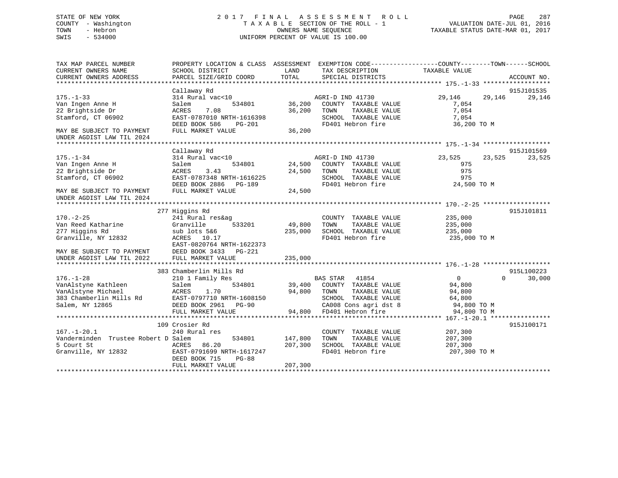# STATE OF NEW YORK 2 0 1 7 F I N A L A S S E S S M E N T R O L L PAGE 287 COUNTY - Washington T A X A B L E SECTION OF THE ROLL - 1 VALUATION DATE-JUL 01, 2016 TOWN - Hebron OWNERS NAME SEQUENCE TAXABLE STATUS DATE-MAR 01, 2017 SWIS - 534000 UNIFORM PERCENT OF VALUE IS 100.00

| TAX MAP PARCEL NUMBER<br>CURRENT OWNERS NAME | PROPERTY LOCATION & CLASS ASSESSMENT EXEMPTION CODE----------------COUNTY-------TOWN------SCHOOL<br>SCHOOL DISTRICT | LAND    | TAX DESCRIPTION                               | TAXABLE VALUE        |                      |
|----------------------------------------------|---------------------------------------------------------------------------------------------------------------------|---------|-----------------------------------------------|----------------------|----------------------|
| CURRENT OWNERS ADDRESS                       | PARCEL SIZE/GRID COORD                                                                                              | TOTAL   | SPECIAL DISTRICTS                             |                      | ACCOUNT NO.          |
|                                              |                                                                                                                     |         |                                               |                      |                      |
|                                              | Callaway Rd                                                                                                         |         |                                               |                      | 915J101535           |
| $175. - 1 - 33$                              | 314 Rural vac<10                                                                                                    | 36,200  | AGRI-D IND 41730                              | 29,146<br>29,146     | 29,146               |
| Van Ingen Anne H<br>22 Brightside Dr         | 534801<br>Salem<br>ACRES<br>7.08                                                                                    | 36,200  | COUNTY TAXABLE VALUE<br>TOWN<br>TAXABLE VALUE | 7,054<br>7,054       |                      |
| Stamford, CT 06902                           | EAST-0787010 NRTH-1616398                                                                                           |         | SCHOOL TAXABLE VALUE                          | 7,054                |                      |
|                                              | DEED BOOK 586<br><b>PG-201</b>                                                                                      |         | FD401 Hebron fire                             | 36,200 TO M          |                      |
| MAY BE SUBJECT TO PAYMENT                    | FULL MARKET VALUE                                                                                                   | 36,200  |                                               |                      |                      |
| UNDER AGDIST LAW TIL 2024                    |                                                                                                                     |         |                                               |                      |                      |
|                                              |                                                                                                                     |         |                                               |                      |                      |
|                                              | Callaway Rd                                                                                                         |         |                                               |                      | 915J101569           |
| $175. - 1 - 34$                              | 314 Rural vac<10                                                                                                    |         | AGRI-D IND 41730                              | 23,525<br>23,525     | 23,525               |
| Van Ingen Anne H                             | 534801<br>Salem                                                                                                     | 24,500  | COUNTY TAXABLE VALUE                          | 975                  |                      |
| 22 Brightside Dr                             | ACRES<br>3.43                                                                                                       | 24,500  | TAXABLE VALUE<br>TOWN                         | 975                  |                      |
| Stamford, CT 06902                           | EAST-0787348 NRTH-1616225                                                                                           |         | SCHOOL TAXABLE VALUE                          | 975                  |                      |
|                                              | DEED BOOK 2886<br>PG-189                                                                                            |         | FD401 Hebron fire                             | 24,500 TO M          |                      |
| MAY BE SUBJECT TO PAYMENT                    | FULL MARKET VALUE                                                                                                   | 24,500  |                                               |                      |                      |
| UNDER AGDIST LAW TIL 2024                    |                                                                                                                     |         |                                               |                      |                      |
|                                              |                                                                                                                     |         |                                               |                      |                      |
|                                              | 277 Higgins Rd                                                                                                      |         |                                               |                      | 915J101811           |
| $170. - 2 - 25$                              | 241 Rural res&ag                                                                                                    |         | COUNTY TAXABLE VALUE                          | 235,000              |                      |
| Van Reed Katharine                           | 533201<br>Granville                                                                                                 | 49,800  | TOWN<br>TAXABLE VALUE                         | 235,000              |                      |
| 277 Higgins Rd                               | sub lots 5&6                                                                                                        | 235,000 | SCHOOL TAXABLE VALUE                          | 235,000              |                      |
| Granville, NY 12832                          | ACRES<br>10.17                                                                                                      |         | FD401 Hebron fire                             | 235,000 TO M         |                      |
|                                              | EAST-0820764 NRTH-1622373                                                                                           |         |                                               |                      |                      |
| MAY BE SUBJECT TO PAYMENT                    | DEED BOOK 3433<br>PG-221                                                                                            |         |                                               |                      |                      |
| UNDER AGDIST LAW TIL 2022                    | FULL MARKET VALUE                                                                                                   | 235,000 |                                               |                      |                      |
|                                              |                                                                                                                     |         |                                               |                      |                      |
| $176. - 1 - 28$                              | 383 Chamberlin Mills Rd                                                                                             |         |                                               | $\Omega$<br>$\Omega$ | 915L100223<br>30,000 |
| VanAlstyne Kathleen                          | 210 1 Family Res<br>534801<br>Salem                                                                                 | 39,400  | BAS STAR 41854<br>COUNTY TAXABLE VALUE        | 94,800               |                      |
| VanAlstyne Michael                           | 1.70<br>ACRES                                                                                                       | 94,800  | TAXABLE VALUE<br>TOWN                         | 94,800               |                      |
| 383 Chamberlin Mills Rd                      | EAST-0797710 NRTH-1608150                                                                                           |         | SCHOOL TAXABLE VALUE                          | 64,800               |                      |
| Salem, NY 12865                              | DEED BOOK 2961<br><b>PG-90</b>                                                                                      |         | CA008 Cons agri dst 8                         | 94,800 TO M          |                      |
|                                              | FULL MARKET VALUE                                                                                                   | 94,800  | FD401 Hebron fire                             | 94,800 TO M          |                      |
|                                              |                                                                                                                     |         |                                               |                      |                      |
|                                              | 109 Crosier Rd                                                                                                      |         |                                               |                      | 915J100171           |
| $167. - 1 - 20.1$                            | 240 Rural res                                                                                                       |         | COUNTY TAXABLE VALUE                          | 207,300              |                      |
| Vanderminden Trustee Robert D Salem          | 534801                                                                                                              | 147,800 | TAXABLE VALUE<br>TOWN                         | 207,300              |                      |
| 5 Court St                                   | 86.20<br>ACRES                                                                                                      | 207,300 | SCHOOL TAXABLE VALUE                          | 207,300              |                      |
| Granville, NY 12832                          | EAST-0791699 NRTH-1617247                                                                                           |         | FD401 Hebron fire                             | 207,300 TO M         |                      |
|                                              | DEED BOOK 715<br>$PG-88$                                                                                            |         |                                               |                      |                      |
|                                              | FULL MARKET VALUE                                                                                                   | 207,300 |                                               |                      |                      |
|                                              |                                                                                                                     |         |                                               |                      |                      |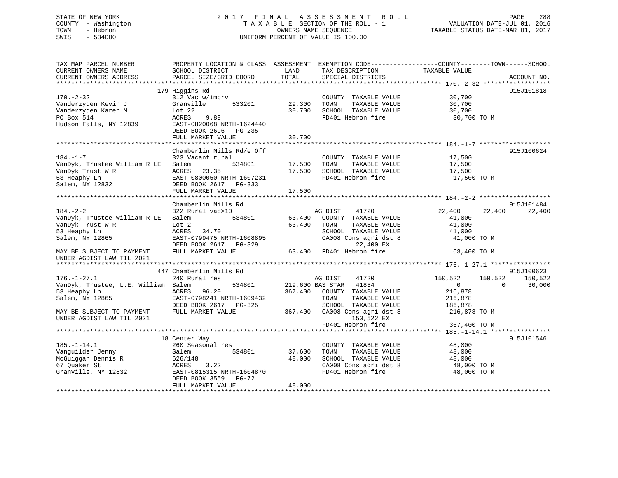# STATE OF NEW YORK 2 0 1 7 F I N A L A S S E S S M E N T R O L L PAGE 288 COUNTY - Washington T A X A B L E SECTION OF THE ROLL - 1 VALUATION DATE-JUL 01, 2016 TOWN - Hebron OWNERS NAME SEQUENCE TAXABLE STATUS DATE-MAR 01, 2017 SWIS - 534000 UNIFORM PERCENT OF VALUE IS 100.00

| TAX MAP PARCEL NUMBER               | PROPERTY LOCATION & CLASS ASSESSMENT EXEMPTION CODE----------------COUNTY-------TOWN------SCHOOL |                         |                                                                   |                               |             |
|-------------------------------------|--------------------------------------------------------------------------------------------------|-------------------------|-------------------------------------------------------------------|-------------------------------|-------------|
| CURRENT OWNERS NAME                 | SCHOOL DISTRICT                                                                                  | LAND                    | TAX DESCRIPTION                                                   | TAXABLE VALUE                 |             |
| CURRENT OWNERS ADDRESS              | PARCEL SIZE/GRID COORD                                                                           | TOTAL                   | SPECIAL DISTRICTS                                                 |                               | ACCOUNT NO. |
|                                     |                                                                                                  |                         |                                                                   |                               |             |
|                                     | 179 Higgins Rd                                                                                   |                         |                                                                   |                               | 915J101818  |
| $170. - 2 - 32$                     | 312 Vac w/imprv                                                                                  |                         | COUNTY TAXABLE VALUE                                              | 30,700                        |             |
| Vanderzyden Kevin J                 | 533201<br>Granville                                                                              | 29,300                  | TOWN<br>TAXABLE VALUE                                             | 30,700                        |             |
| Vanderzyden Karen M                 | Lot $22$                                                                                         | 30,700                  | SCHOOL TAXABLE VALUE                                              | 30,700                        |             |
| PO Box 514                          | ACRES<br>9.89                                                                                    |                         | FD401 Hebron fire                                                 | 30,700 TO M                   |             |
| Hudson Falls, NY 12839              | EAST-0820068 NRTH-1624440                                                                        |                         |                                                                   |                               |             |
|                                     | DEED BOOK 2696 PG-235                                                                            |                         |                                                                   |                               |             |
|                                     | FULL MARKET VALUE                                                                                | 30,700                  |                                                                   |                               |             |
|                                     | Chamberlin Mills Rd/e Off                                                                        |                         |                                                                   |                               | 915J100624  |
| $184. - 1 - 7$                      | 323 Vacant rural                                                                                 |                         | COUNTY TAXABLE VALUE                                              | 17,500                        |             |
| VanDyk, Trustee William R LE        | 534801<br>Salem                                                                                  | 17,500                  | TOWN<br>TAXABLE VALUE                                             | 17,500                        |             |
| VanDyk Trust W R                    | ACRES 23.35                                                                                      | 17,500                  | SCHOOL TAXABLE VALUE                                              | 17,500                        |             |
| 53 Heaphy Ln                        | EAST-0800050 NRTH-1607231                                                                        |                         | FD401 Hebron fire                                                 | 17,500 TO M                   |             |
| Salem, NY 12832                     | DEED BOOK 2617 PG-333                                                                            |                         |                                                                   |                               |             |
|                                     | FULL MARKET VALUE                                                                                | 17,500                  |                                                                   |                               |             |
|                                     |                                                                                                  |                         |                                                                   |                               |             |
|                                     | Chamberlin Mills Rd                                                                              |                         |                                                                   |                               | 915J101484  |
| $184. - 2 - 2$                      | 322 Rural vac>10                                                                                 |                         | AG DIST<br>41720                                                  | 22,400<br>22,400              | 22,400      |
| VanDyk, Trustee William R LE        | Salem<br>534801                                                                                  | 63,400                  | COUNTY TAXABLE VALUE                                              | 41,000                        |             |
| VanDyk Trust W R                    | Lot 2                                                                                            | 63,400                  | TOWN<br>TAXABLE VALUE                                             | 41,000                        |             |
| 53 Heaphy Ln                        | ACRES 34.70                                                                                      |                         | SCHOOL TAXABLE VALUE                                              | 41,000                        |             |
| Salem, NY 12865                     | EAST-0799475 NRTH-1608895                                                                        |                         | CA008 Cons agri dst 8                                             | 41,000 TO M                   |             |
|                                     | DEED BOOK 2617 PG-329                                                                            |                         | 22,400 EX                                                         |                               |             |
| MAY BE SUBJECT TO PAYMENT           | FULL MARKET VALUE                                                                                |                         | 22,400 EX<br>63,400 FD401 Hebron fire<br>63,400 FD401 Hebron fire | 63,400 TO M                   |             |
| UNDER AGDIST LAW TIL 2021           |                                                                                                  |                         |                                                                   |                               |             |
|                                     |                                                                                                  |                         |                                                                   |                               |             |
|                                     | 447 Chamberlin Mills Rd                                                                          |                         |                                                                   |                               | 915J100623  |
| $176. - 1 - 27.1$                   | 240 Rural res                                                                                    |                         | AG DIST<br>41720                                                  | 150,522<br>150,522            | 150,522     |
| VanDyk, Trustee, L.E. William Salem |                                                                                                  | 534801 219,600 BAS STAR | 41854                                                             | $0 \qquad \qquad$<br>$\Omega$ | 30,000      |
| 53 Heaphy Ln                        | ACRES 96.20                                                                                      |                         | 367,400 COUNTY TAXABLE VALUE                                      | 216,878                       |             |
| Salem, NY 12865                     | EAST-0798241 NRTH-1609432                                                                        |                         | TOWN<br>TAXABLE VALUE                                             | 216,878                       |             |
|                                     | DEED BOOK 2617 PG-325                                                                            |                         | SCHOOL TAXABLE VALUE                                              | 186,878                       |             |
| MAY BE SUBJECT TO PAYMENT           | FULL MARKET VALUE                                                                                |                         | 367,400 CA008 Cons agri dst 8                                     | 216,878 TO M                  |             |
| UNDER AGDIST LAW TIL 2021           |                                                                                                  |                         | 150,522 EX                                                        |                               |             |
|                                     |                                                                                                  |                         | FD401 Hebron fire                                                 | 367,400 TO M                  |             |
|                                     |                                                                                                  |                         |                                                                   |                               |             |
|                                     | 18 Center Way                                                                                    |                         |                                                                   |                               | 915J101546  |
| $185. - 1 - 14.1$                   | 260 Seasonal res                                                                                 |                         | COUNTY TAXABLE VALUE                                              | 48,000                        |             |
| Vanguilder Jenny                    | 534801<br>Salem                                                                                  | 37,600                  | TAXABLE VALUE<br>TOWN                                             | 48,000                        |             |
| McGuiggan Dennis R<br>67 Ouaker St  | 626/148                                                                                          | 48,000                  | SCHOOL TAXABLE VALUE                                              | 48,000                        |             |
| 67 Quaker St                        | ACRES<br>3.22                                                                                    |                         | CA008 Cons agri dst 8                                             | 48,000 TO M                   |             |
| Granville, NY 12832                 | EAST-0815315 NRTH-1604870                                                                        |                         | FD401 Hebron fire                                                 | 48,000 TO M                   |             |
|                                     | DEED BOOK 3559 PG-72                                                                             |                         |                                                                   |                               |             |
|                                     | FULL MARKET VALUE                                                                                | 48,000                  |                                                                   |                               |             |
|                                     |                                                                                                  |                         |                                                                   |                               |             |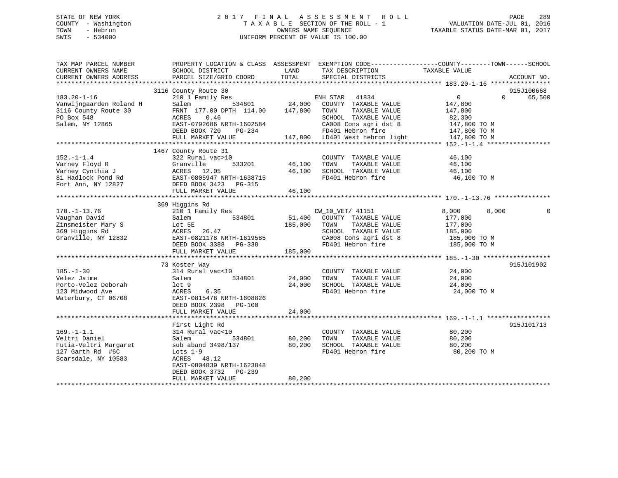# STATE OF NEW YORK 2 0 1 7 F I N A L A S S E S S M E N T R O L L PAGE 289 COUNTY - Washington T A X A B L E SECTION OF THE ROLL - 1 VALUATION DATE-JUL 01, 2016 TOWN - Hebron OWNERS NAME SEQUENCE TAXABLE STATUS DATE-MAR 01, 2017 SWIS - 534000 UNIFORM PERCENT OF VALUE IS 100.00

| TAX MAP PARCEL NUMBER<br>CURRENT OWNERS NAME<br>CURRENT OWNERS ADDRESS | PROPERTY LOCATION & CLASS ASSESSMENT EXEMPTION CODE----------------COUNTY-------TOWN------SCHOOL<br>SCHOOL DISTRICT<br>PARCEL SIZE/GRID COORD | LAND<br>TOTAL  | TAX DESCRIPTION<br>SPECIAL DISTRICTS | TAXABLE VALUE                                       | ACCOUNT NO.        |
|------------------------------------------------------------------------|-----------------------------------------------------------------------------------------------------------------------------------------------|----------------|--------------------------------------|-----------------------------------------------------|--------------------|
|                                                                        |                                                                                                                                               |                |                                      |                                                     |                    |
|                                                                        | 3116 County Route 30                                                                                                                          |                |                                      |                                                     | 915J100668         |
| $183.20 - 1 - 16$                                                      | 210 1 Family Res                                                                                                                              |                | ENH STAR<br>41834                    | $\overline{0}$                                      | 65,500<br>$\Omega$ |
| Vanwijngaarden Roland H                                                | Salem<br>534801                                                                                                                               | 24,000         | COUNTY TAXABLE VALUE                 | 147,800                                             |                    |
| 3116 County Route 30                                                   | FRNT 177.00 DPTH 114.00                                                                                                                       | 147,800        | TOWN<br>TAXABLE VALUE                | 147,800                                             |                    |
| PO Box 548                                                             | ACRES<br>0.46                                                                                                                                 |                | SCHOOL TAXABLE VALUE                 | 82,300                                              |                    |
| Salem, NY 12865                                                        | EAST-0792686 NRTH-1602584                                                                                                                     |                | CA008 Cons agri dst 8                | 147,800 TO M                                        |                    |
|                                                                        | DEED BOOK 720<br>$PG-234$                                                                                                                     |                | FD401 Hebron fire                    | 147,800 TO M                                        |                    |
|                                                                        | FULL MARKET VALUE                                                                                                                             |                | 147,800 LD401 West hebron light      | 147,800 TO M                                        |                    |
|                                                                        |                                                                                                                                               |                |                                      |                                                     |                    |
|                                                                        | 1467 County Route 31                                                                                                                          |                |                                      |                                                     |                    |
| $152. - 1 - 1.4$                                                       | 322 Rural vac>10                                                                                                                              |                | COUNTY TAXABLE VALUE                 | 46,100                                              |                    |
| Varney Floyd R                                                         | Granville<br>533201                                                                                                                           | 46,100         | TAXABLE VALUE<br>TOWN                | 46,100                                              |                    |
| Varney Cynthia J                                                       | ACRES 12.05                                                                                                                                   | 46,100         | SCHOOL TAXABLE VALUE                 | 46,100                                              |                    |
| 81 Hadlock Pond Rd                                                     | EAST-0805947 NRTH-1638715                                                                                                                     |                | FD401 Hebron fire                    | 46,100 TO M                                         |                    |
| Fort Ann, NY 12827                                                     | DEED BOOK 3423<br>PG-315                                                                                                                      |                |                                      |                                                     |                    |
|                                                                        | FULL MARKET VALUE                                                                                                                             | 46,100         |                                      |                                                     |                    |
|                                                                        |                                                                                                                                               |                |                                      |                                                     |                    |
|                                                                        | 369 Higgins Rd                                                                                                                                |                |                                      |                                                     |                    |
| $170. - 1 - 13.76$                                                     | 210 1 Family Res                                                                                                                              |                | CW_10_VET/ 41151                     | 8,000<br>8,000                                      |                    |
| Vaughan David                                                          | 534801<br>Salem                                                                                                                               | 51,400         | COUNTY TAXABLE VALUE                 | 177,000                                             |                    |
| Zinsmeister Mary S                                                     | Lot 5E                                                                                                                                        | 185,000        | TAXABLE VALUE<br>TOWN                | 177,000                                             |                    |
| 369 Higgins Rd                                                         | ACRES<br>26.47                                                                                                                                |                | SCHOOL TAXABLE VALUE                 | 185,000                                             |                    |
| Granville, NY 12832                                                    | EAST-0821178 NRTH-1619585                                                                                                                     |                | CA008 Cons agri dst 8                | 185,000 TO M                                        |                    |
|                                                                        | DEED BOOK 3388 PG-338                                                                                                                         |                | FD401 Hebron fire                    | 185,000 TO M                                        |                    |
|                                                                        | FULL MARKET VALUE                                                                                                                             | 185,000        |                                      |                                                     |                    |
|                                                                        | **************************                                                                                                                    | ************** |                                      | ********************* 185.-1-30 ******************* |                    |
|                                                                        | 73 Koster Way                                                                                                                                 |                |                                      |                                                     | 915J101902         |
| $185. - 1 - 30$                                                        | 314 Rural vac<10                                                                                                                              |                | COUNTY TAXABLE VALUE                 | 24,000                                              |                    |
| Velez Jaime                                                            | 534801<br>Salem                                                                                                                               | 24,000         | TOWN<br>TAXABLE VALUE                | 24,000                                              |                    |
| Porto-Velez Deborah                                                    | lot <sub>9</sub>                                                                                                                              | 24,000         | SCHOOL TAXABLE VALUE                 | 24,000                                              |                    |
| 123 Midwood Ave                                                        | 6.35<br>ACRES                                                                                                                                 |                | FD401 Hebron fire                    | 24,000 TO M                                         |                    |
| Waterbury, CT 06708                                                    | EAST-0815478 NRTH-1608826                                                                                                                     |                |                                      |                                                     |                    |
|                                                                        | DEED BOOK 2398 PG-100                                                                                                                         |                |                                      |                                                     |                    |
|                                                                        | FULL MARKET VALUE                                                                                                                             | 24,000         |                                      |                                                     |                    |
|                                                                        |                                                                                                                                               |                |                                      |                                                     |                    |
|                                                                        | First Light Rd                                                                                                                                |                |                                      |                                                     | 915J101713         |
| $169. - 1 - 1.1$                                                       | 314 Rural vac<10                                                                                                                              |                | COUNTY TAXABLE VALUE                 | 80,200                                              |                    |
| Veltri Daniel                                                          | Salem<br>534801                                                                                                                               | 80,200         | TOWN<br>TAXABLE VALUE                | 80,200                                              |                    |
| Futia-Veltri Margaret                                                  | sub aband 3498/137                                                                                                                            | 80,200         | SCHOOL TAXABLE VALUE                 | 80,200                                              |                    |
| 127 Garth Rd #6C                                                       | Lots $1-9$                                                                                                                                    |                | FD401 Hebron fire                    | 80,200 TO M                                         |                    |
| Scarsdale, NY 10583                                                    | ACRES 48.12                                                                                                                                   |                |                                      |                                                     |                    |
|                                                                        | EAST-0804839 NRTH-1623848                                                                                                                     |                |                                      |                                                     |                    |
|                                                                        | DEED BOOK 3732<br>PG-239                                                                                                                      |                |                                      |                                                     |                    |
|                                                                        | FULL MARKET VALUE                                                                                                                             | 80,200         |                                      |                                                     |                    |
|                                                                        |                                                                                                                                               |                |                                      |                                                     |                    |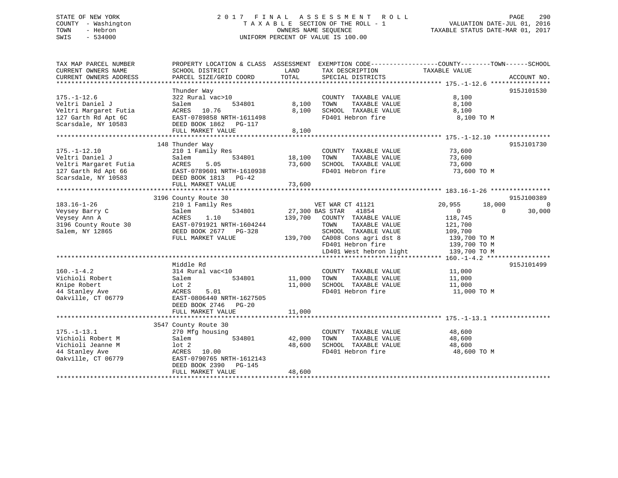# STATE OF NEW YORK 2 0 1 7 F I N A L A S S E S S M E N T R O L L PAGE 290 COUNTY - Washington T A X A B L E SECTION OF THE ROLL - 1 VALUATION DATE-JUL 01, 2016 TOWN - Hebron OWNERS NAME SEQUENCE TAXABLE STATUS DATE-MAR 01, 2017 SWIS - 534000 UNIFORM PERCENT OF VALUE IS 100.00

| TAX MAP PARCEL NUMBER<br>CURRENT OWNERS NAME<br>CURRENT OWNERS ADDRESS                                       | SCHOOL DISTRICT<br>PARCEL SIZE/GRID COORD                                                                                                                        | LAND<br>TAX DESCRIPTION<br>TOTAL<br>SPECIAL DISTRICTS                                                                                                                                                             | PROPERTY LOCATION & CLASS ASSESSMENT EXEMPTION CODE---------------COUNTY-------TOWN-----SCHOOL<br>TAXABLE VALUE<br>ACCOUNT NO.                                            |
|--------------------------------------------------------------------------------------------------------------|------------------------------------------------------------------------------------------------------------------------------------------------------------------|-------------------------------------------------------------------------------------------------------------------------------------------------------------------------------------------------------------------|---------------------------------------------------------------------------------------------------------------------------------------------------------------------------|
| $175. - 1 - 12.6$<br>Veltri Daniel J<br>Veltri Margaret Futia<br>127 Garth Rd Apt 6C<br>Scarsdale, NY 10583  | Thunder Way<br>322 Rural vac>10<br>534801<br>Salem<br>ACRES 10.76<br>EAST-0789858 NRTH-1611498<br>DEED BOOK 1862    PG-117<br>FULL MARKET VALUE                  | COUNTY TAXABLE VALUE<br>8,100<br>TAXABLE VALUE<br>TOWN<br>8,100<br>SCHOOL TAXABLE VALUE<br>FD401 Hebron fire<br>8,100                                                                                             | 915J101530<br>8,100<br>8,100<br>8,100<br>8,100 TO M                                                                                                                       |
| $175. - 1 - 12.10$<br>Veltri Daniel J<br>Veltri Margaret Futia<br>127 Garth Rd Apt 66<br>Scarsdale, NY 10583 | 148 Thunder Way<br>210 1 Family Res<br>Salem<br>534801<br>ACRES<br>5.05<br>EAST-0789601 NRTH-1610938<br>DEED BOOK 1813 PG-42<br>FULL MARKET VALUE                | COUNTY TAXABLE VALUE<br>TAXABLE VALUE<br>18,100<br>TOWN<br>73,600<br>SCHOOL TAXABLE VALUE<br>FD401 Hebron fire<br>73,600                                                                                          | 915J101730<br>73,600<br>73,600<br>73,600<br>73,600 TO M                                                                                                                   |
| $183.16 - 1 - 26$<br>Veysey Barry C<br>Veysey Ann A<br>3196 County Route 30<br>Salem, NY 12865               | 3196 County Route 30<br>210 1 Family Res<br>534801<br>Salem<br>1.10<br>ACRES<br>EAST-0791921 NRTH-1604244<br>DEED BOOK 2677 PG-328<br>FULL MARKET VALUE          | VET WAR CT 41121<br>41854<br>27,300 BAS STAR<br>139,700<br>COUNTY TAXABLE VALUE<br>TAXABLE VALUE<br>TOWN<br>SCHOOL TAXABLE VALUE<br>139,700 CA008 Cons agri dst 8<br>FD401 Hebron fire<br>LD401 West hebron light | 915J100389<br>20,955<br>18,000<br>$\overline{0}$<br>$\overline{0}$<br>$\Omega$<br>30,000<br>118,745<br>121,700<br>109,700<br>139,700 TO M<br>139,700 TO M<br>139,700 TO M |
| $160. - 1 - 4.2$<br>Vichioli Robert<br>Knipe Robert<br>44 Stanley Ave<br>Oakville, CT 06779                  | Middle Rd<br>314 Rural vac<10<br>534801<br>Salem<br>Lot 2<br>5.01<br>ACRES<br>EAST-0806440 NRTH-1627505<br>DEED BOOK 2746 PG-20<br>FULL MARKET VALUE             | COUNTY TAXABLE VALUE<br>11,000<br>TAXABLE VALUE<br>TOWN<br>11,000<br>SCHOOL TAXABLE VALUE<br>FD401 Hebron fire<br>11,000                                                                                          | 915J101499<br>11,000<br>11,000<br>11,000<br>11,000 TO M                                                                                                                   |
| $175. - 1 - 13.1$<br>Vichioli Robert M<br>Vichioli Jeanne M<br>44 Stanley Ave<br>Oakville, CT 06779          | 3547 County Route 30<br>270 Mfg housing<br>534801<br>Salem<br>lot 2<br>ACRES 10.00<br>EAST-0790765 NRTH-1612143<br>DEED BOOK 2390<br>PG-145<br>FULL MARKET VALUE | COUNTY TAXABLE VALUE<br>42,000<br>TAXABLE VALUE<br>TOWN<br>48,600<br>SCHOOL TAXABLE VALUE<br>FD401 Hebron fire<br>48,600                                                                                          | 48,600<br>48,600<br>48,600<br>48,600 TO M                                                                                                                                 |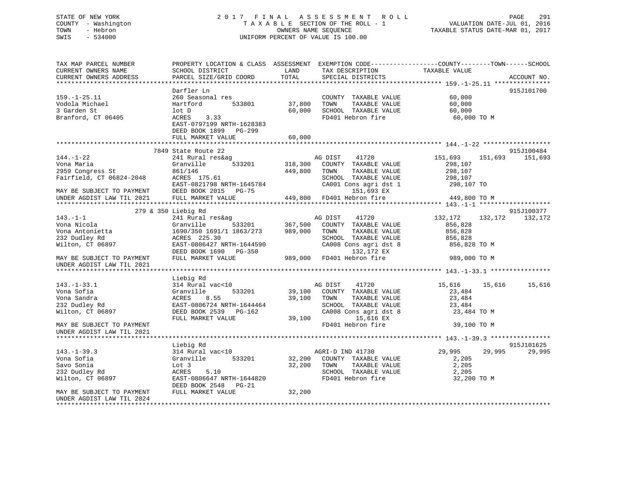# STATE OF NEW YORK 2 0 1 7 F I N A L A S S E S S M E N T R O L L PAGE 291 COUNTY - Washington T A X A B L E SECTION OF THE ROLL - 1 VALUATION DATE-JUL 01, 2016 TOWN - Hebron OWNERS NAME SEQUENCE TAXABLE STATUS DATE-MAR 01, 2017 SWIS - 534000 UNIFORM PERCENT OF VALUE IS 100.00

| TAX MAP PARCEL NUMBER<br>CURRENT OWNERS NAME<br>CURRENT OWNERS ADDRESS | PROPERTY LOCATION & CLASS ASSESSMENT<br>SCHOOL DISTRICT<br>PARCEL SIZE/GRID COORD | LAND<br>TOTAL | TAX DESCRIPTION<br>SPECIAL DISTRICTS | EXEMPTION CODE-----------------COUNTY-------TOWN------SCHOOL<br>TAXABLE VALUE | ACCOUNT NO. |
|------------------------------------------------------------------------|-----------------------------------------------------------------------------------|---------------|--------------------------------------|-------------------------------------------------------------------------------|-------------|
|                                                                        |                                                                                   |               |                                      |                                                                               |             |
|                                                                        | Darfler Ln                                                                        |               |                                      |                                                                               | 915J101700  |
| $159. - 1 - 25.11$                                                     | 260 Seasonal res                                                                  |               | COUNTY TAXABLE VALUE                 | 60,000                                                                        |             |
| Vodola Michael                                                         | 533801<br>Hartford                                                                | 37,800        | TOWN<br>TAXABLE VALUE                | 60,000                                                                        |             |
| 3 Garden St                                                            | lot D                                                                             | 60,000        | SCHOOL TAXABLE VALUE                 | 60,000                                                                        |             |
| Branford, CT 06405                                                     | 3.33<br>ACRES                                                                     |               | FD401 Hebron fire                    | 60,000 TO M                                                                   |             |
|                                                                        | EAST-0797199 NRTH-1628383                                                         |               |                                      |                                                                               |             |
|                                                                        | DEED BOOK 1899 PG-299                                                             |               |                                      |                                                                               |             |
|                                                                        | FULL MARKET VALUE                                                                 | 60,000        |                                      |                                                                               |             |
|                                                                        |                                                                                   |               |                                      |                                                                               |             |
|                                                                        | 7849 State Route 22                                                               |               |                                      |                                                                               | 915J100484  |
| $144. - 1 - 22$                                                        | 241 Rural res&ag                                                                  |               | AG DIST<br>41720                     | 151,693<br>151,693                                                            | 151,693     |
| Vona Maria                                                             | Granville<br>533201                                                               | 318,300       | COUNTY TAXABLE VALUE                 | 298,107                                                                       |             |
| 2959 Congress St                                                       | 861/146                                                                           | 449,800       | TOWN<br>TAXABLE VALUE                | 298,107                                                                       |             |
| Fairfield, CT 06824-2048                                               | ACRES 175.61                                                                      |               | SCHOOL TAXABLE VALUE                 | 298,107                                                                       |             |
|                                                                        | EAST-0821798 NRTH-1645784                                                         |               | CA001 Cons agri dst 1                | 298,107 TO                                                                    |             |
| MAY BE SUBJECT TO PAYMENT                                              | DEED BOOK 2015 PG-75                                                              |               | 151,693 EX                           |                                                                               |             |
| UNDER AGDIST LAW TIL 2021                                              | FULL MARKET VALUE                                                                 |               | 449,800 FD401 Hebron fire            | 449,800 TO M                                                                  |             |
|                                                                        |                                                                                   |               |                                      |                                                                               |             |
|                                                                        | 279 & 350 Liebig Rd                                                               |               |                                      |                                                                               | 915J100377  |
| $143. - 1 - 1$                                                         | 241 Rural res&ag                                                                  |               | AG DIST<br>41720                     | 132,172<br>132,172                                                            | 132,172     |
| Vona Nicola                                                            | 533201<br>Granville                                                               | 367,500       | COUNTY TAXABLE VALUE                 | 856,828                                                                       |             |
| Vona Antonietta                                                        | 1690/350 1691/1 1863/273                                                          | 989,000       | TOWN<br>TAXABLE VALUE                | 856,828                                                                       |             |
| 232 Dudley Rd                                                          | ACRES 225.30                                                                      |               | SCHOOL TAXABLE VALUE                 | 856,828                                                                       |             |
| Wilton, CT 06897                                                       | EAST-0806427 NRTH-1644590                                                         |               | CA008 Cons agri dst 8                | 856,828 TO M                                                                  |             |
|                                                                        | DEED BOOK 1690 PG-350                                                             |               | 132,172 EX                           |                                                                               |             |
| MAY BE SUBJECT TO PAYMENT                                              | FULL MARKET VALUE                                                                 | 989,000       | FD401 Hebron fire                    | 989,000 TO M                                                                  |             |
| UNDER AGDIST LAW TIL 2021                                              |                                                                                   |               |                                      |                                                                               |             |
|                                                                        |                                                                                   |               |                                      |                                                                               |             |
|                                                                        | Liebig Rd                                                                         |               |                                      |                                                                               |             |
| $143. - 1 - 33.1$                                                      | 314 Rural vac<10                                                                  |               | AG DIST<br>41720                     | 15,616<br>15,616                                                              | 15,616      |
| Vona Sofia                                                             | Granville<br>533201                                                               | 39,100        | COUNTY TAXABLE VALUE                 | 23,484                                                                        |             |
| Vona Sandra                                                            | 8.55<br>ACRES                                                                     | 39,100        | TOWN<br>TAXABLE VALUE                | 23,484                                                                        |             |
| 232 Dudley Rd                                                          | EAST-0806724 NRTH-1644464                                                         |               | SCHOOL TAXABLE VALUE                 | 23,484                                                                        |             |
| Wilton, CT 06897                                                       | DEED BOOK 2539 PG-162                                                             |               | CA008 Cons agri dst 8                | 23,484 TO M                                                                   |             |
|                                                                        | FULL MARKET VALUE                                                                 | 39,100        | 15,616 EX                            |                                                                               |             |
| MAY BE SUBJECT TO PAYMENT                                              |                                                                                   |               | FD401 Hebron fire                    | 39,100 TO M                                                                   |             |
| UNDER AGDIST LAW TIL 2021                                              |                                                                                   |               |                                      |                                                                               |             |
| ******************************                                         |                                                                                   |               |                                      |                                                                               |             |
|                                                                        | Liebig Rd                                                                         |               |                                      |                                                                               | 915J101625  |
| $143. - 1 - 39.3$                                                      | 314 Rural vac<10                                                                  |               | AGRI-D IND 41730                     | 29,995<br>29,995                                                              | 29,995      |
| Vona Sofia                                                             | Granville<br>533201                                                               | 32,200        | COUNTY TAXABLE VALUE                 | 2,205                                                                         |             |
| Savo Sonia                                                             | Lot 3                                                                             | 32,200        | TOWN<br>TAXABLE VALUE                | 2,205                                                                         |             |
| 232 Dudley Rd                                                          | 5.10<br>ACRES                                                                     |               | SCHOOL TAXABLE VALUE                 | 2,205                                                                         |             |
| Wilton, CT 06897                                                       | EAST-0806647 NRTH-1644820                                                         |               | FD401 Hebron fire                    | 32,200 TO M                                                                   |             |
|                                                                        | DEED BOOK 2548<br>PG-21                                                           |               |                                      |                                                                               |             |
| MAY BE SUBJECT TO PAYMENT                                              | FULL MARKET VALUE                                                                 | 32,200        |                                      |                                                                               |             |
| UNDER AGDIST LAW TIL 2024                                              |                                                                                   |               |                                      |                                                                               |             |
|                                                                        |                                                                                   |               |                                      |                                                                               |             |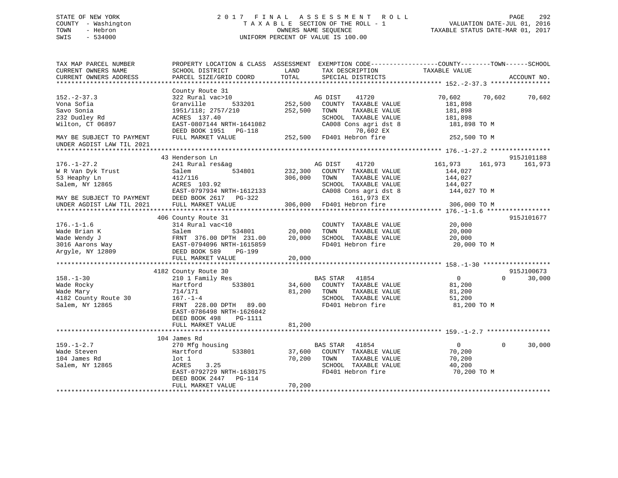# STATE OF NEW YORK 2 0 1 7 F I N A L A S S E S S M E N T R O L L PAGE 292 COUNTY - Washington T A X A B L E SECTION OF THE ROLL - 1 VALUATION DATE-JUL 01, 2016 TOWN - Hebron OWNERS NAME SEQUENCE TAXABLE STATUS DATE-MAR 01, 2017 SWIS - 534000 UNIFORM PERCENT OF VALUE IS 100.00

| TAX MAP PARCEL NUMBER<br>CURRENT OWNERS NAME<br>CURRENT OWNERS ADDRESS                | SCHOOL DISTRICT<br>PARCEL SIZE/GRID COORD                                                                                                                                                           | PROPERTY LOCATION & CLASS ASSESSMENT EXEMPTION CODE----------------COUNTY-------TOWN-----SCHOOL<br>LAND<br>TAX DESCRIPTION<br>TOTAL<br>SPECIAL DISTRICTS | TAXABLE VALUE<br>ACCOUNT NO.                                                                    |
|---------------------------------------------------------------------------------------|-----------------------------------------------------------------------------------------------------------------------------------------------------------------------------------------------------|----------------------------------------------------------------------------------------------------------------------------------------------------------|-------------------------------------------------------------------------------------------------|
| $152 - 2 - 37.3$<br>Vona Sofia<br>Savo Sonia<br>232 Dudley Rd<br>Wilton, CT 06897     | County Route 31<br>322 Rural vac>10<br>Granville<br>1951/118; 2757/210<br>ACRES 137.40<br>EAST-0807144 NRTH-1641082                                                                                 | AG DIST<br>41720<br>533201 252,500<br>COUNTY TAXABLE VALUE<br>252,500<br>TOWN<br>TAXABLE VALUE<br>SCHOOL TAXABLE VALUE<br>CA008 Cons agri dst 8          | 70,602 70,602 70,602<br>181,898<br>181,898<br>181,898<br>181,898 TO M                           |
| MAY BE SUBJECT TO PAYMENT<br>UNDER AGDIST LAW TIL 2021                                |                                                                                                                                                                                                     | DEED BOOK 1951 PG-118 $70,602$ EX<br>FULL MARKET VALUE 252,500 FD401 Hebron fire<br>70,602 EX                                                            | 252,500 TO M                                                                                    |
|                                                                                       |                                                                                                                                                                                                     |                                                                                                                                                          |                                                                                                 |
| $176. - 1 - 27.2$<br>W R Van Dyk Trust<br>53 Heaphy Ln<br>Salem, NY 12865             | 43 Henderson Ln<br>241 Rural res&ag<br>Salem<br>534801<br>412/116<br>ACRES 103.92<br>EAST-0797934 NRTH-1612133                                                                                      | AG DIST<br>41720<br>232,300<br>COUNTY TAXABLE VALUE<br>306,000<br>TOWN<br>TAXABLE VALUE<br>SCHOOL TAXABLE VALUE<br>CA008 Cons agri dst 8                 | 915J101188<br>161,973<br>161,973<br>161,973<br>144,027<br>144,027<br>144,027<br>144,027 TO M    |
| MAY BE SUBJECT TO PAYMENT                                                             | DEED BOOK 2617 PG-322                                                                                                                                                                               | 161,973 EX                                                                                                                                               |                                                                                                 |
| UNDER AGDIST LAW TIL 2021                                                             | FULL MARKET VALUE                                                                                                                                                                                   | 306,000 FD401 Hebron fire                                                                                                                                | 306,000 TO M                                                                                    |
|                                                                                       | 406 County Route 31                                                                                                                                                                                 |                                                                                                                                                          | 915J101677                                                                                      |
| $176. - 1 - 1.6$<br>Wade Brian K                                                      | 314 Rural vac<10<br>Salem<br>534801                                                                                                                                                                 | COUNTY TAXABLE VALUE<br>TAXABLE VALUE<br>20,000<br>TOWN<br>20,000<br>SCHOOL TAXABLE VALUE<br>FD401 Hebron fire                                           | 20,000<br>20,000<br>20,000<br>20,000 TO M                                                       |
|                                                                                       |                                                                                                                                                                                                     |                                                                                                                                                          |                                                                                                 |
| $158. - 1 - 30$<br>Wade Rocky<br>Wade Mary<br>4182 County Route 30<br>Salem, NY 12865 | 4182 County Route 30<br>210 1 Family Res<br>Hartford<br>533801<br>714/171<br>$167. - 1 - 4$<br>FRNT 228.00 DPTH 89.00<br>EAST-0786498 NRTH-1626042<br>DEED BOOK 498<br>PG-1111<br>FULL MARKET VALUE | <b>BAS STAR</b><br>41854<br>34,600 COUNTY TAXABLE VALUE<br>81,200 TOWN<br>TAXABLE VALUE<br>SCHOOL TAXABLE VALUE<br>FD401 Hebron fire<br>81,200           | 915J100673<br>$\overline{0}$<br>$\Omega$<br>30,000<br>81,200<br>81,200<br>51,200<br>81,200 TO M |
|                                                                                       |                                                                                                                                                                                                     | *************                                                                                                                                            |                                                                                                 |
|                                                                                       | 104 James Rd                                                                                                                                                                                        |                                                                                                                                                          |                                                                                                 |
| $159. - 1 - 2.7$<br>Wade Steven<br>104 James Rd<br>Salem, NY 12865                    | 270 Mfg housing<br>533801<br>Hartford<br>lot 1<br>ACRES<br>3.25<br>EAST-0792729 NRTH-1630175<br>DEED BOOK 2447 PG-114<br>FULL MARKET VALUE                                                          | BAS STAR<br>41854<br>37,600<br>COUNTY TAXABLE VALUE<br>70,200<br>TOWN<br>TAXABLE VALUE<br>SCHOOL TAXABLE VALUE<br>FD401 Hebron fire<br>70,200            | 30,000<br>$\overline{0}$<br>$\Omega$<br>70,200<br>70,200<br>40,200<br>70,200 TO M               |
|                                                                                       |                                                                                                                                                                                                     |                                                                                                                                                          |                                                                                                 |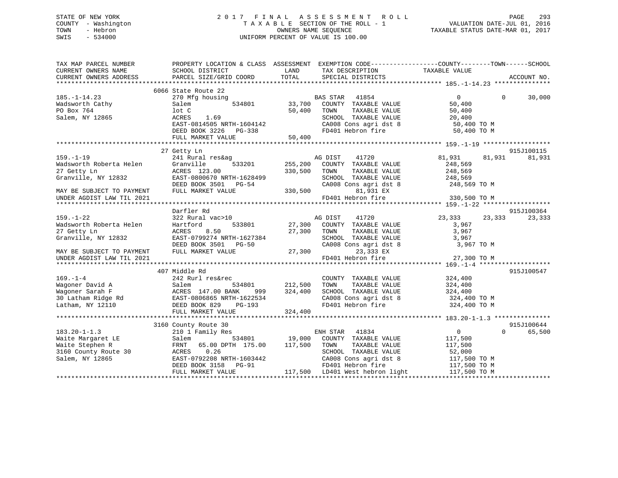# STATE OF NEW YORK 2 0 1 7 F I N A L A S S E S S M E N T R O L L PAGE 293 COUNTY - Washington T A X A B L E SECTION OF THE ROLL - 1 VALUATION DATE-JUL 01, 2016 TOWN - Hebron OWNERS NAME SEQUENCE TAXABLE STATUS DATE-MAR 01, 2017 SWIS - 534000 UNIFORM PERCENT OF VALUE IS 100.00

| TAX MAP PARCEL NUMBER<br>CURRENT OWNERS NAME | PROPERTY LOCATION & CLASS ASSESSMENT<br>SCHOOL DISTRICT | LAND<br>TAX DESCRIPTION          | EXEMPTION CODE-----------------COUNTY-------TOWN------SCHOOL<br>TAXABLE VALUE |
|----------------------------------------------|---------------------------------------------------------|----------------------------------|-------------------------------------------------------------------------------|
| CURRENT OWNERS ADDRESS                       | PARCEL SIZE/GRID COORD                                  | TOTAL<br>SPECIAL DISTRICTS       | ACCOUNT NO.                                                                   |
|                                              |                                                         |                                  |                                                                               |
|                                              | 6066 State Route 22                                     |                                  |                                                                               |
| $185. - 1 - 14.23$                           | 270 Mfg housing                                         | BAS STAR<br>41854                | $\overline{0}$<br>$\Omega$<br>30,000                                          |
| Wadsworth Cathy                              | 534801<br>Salem                                         | 33,700<br>COUNTY TAXABLE VALUE   | 50,400                                                                        |
| PO Box 764                                   | lot C                                                   | 50,400<br>TOWN<br>TAXABLE VALUE  | 50,400                                                                        |
| Salem, NY 12865                              | ACRES<br>1.69                                           | SCHOOL TAXABLE VALUE             | 20,400                                                                        |
|                                              | EAST-0814505 NRTH-1604142                               | CA008 Cons agri dst 8            | 50,400 TO M                                                                   |
|                                              | DEED BOOK 3226 PG-338                                   | FD401 Hebron fire                | 50,400 TO M                                                                   |
|                                              | FULL MARKET VALUE                                       | 50,400                           |                                                                               |
|                                              |                                                         |                                  |                                                                               |
|                                              | 27 Getty Ln                                             |                                  | 915J100115                                                                    |
| $159. - 1 - 19$                              | 241 Rural res&ag                                        | AG DIST<br>41720                 | 81,931<br>81,931<br>81,931                                                    |
| Wadsworth Roberta Helen                      | 533201<br>Granville                                     | 255,200<br>COUNTY TAXABLE VALUE  | 248,569                                                                       |
| 27 Getty Ln                                  |                                                         | TOWN                             |                                                                               |
|                                              | ACRES 123.00                                            | 330,500<br>TAXABLE VALUE         | 248,569                                                                       |
| Granville, NY 12832                          | EAST-0800670 NRTH-1628499                               | SCHOOL TAXABLE VALUE             | 248,569                                                                       |
|                                              | DEED BOOK 3501 PG-54                                    | CA008 Cons agri dst 8            | 248,569 TO M                                                                  |
| MAY BE SUBJECT TO PAYMENT                    | FULL MARKET VALUE                                       | 330,500<br>81,931 EX             |                                                                               |
| UNDER AGDIST LAW TIL 2021                    |                                                         | FD401 Hebron fire                | 330,500 TO M                                                                  |
|                                              |                                                         |                                  |                                                                               |
|                                              | Darfler Rd                                              |                                  | 915J100364                                                                    |
| $159. - 1 - 22$                              | 322 Rural vac>10                                        | AG DIST<br>41720                 | 23,333<br>23,333<br>23,333                                                    |
| Wadsworth Roberta Helen                      | Hartford<br>533801                                      | 27,300<br>COUNTY TAXABLE VALUE   | 3,967                                                                         |
| 27 Getty Ln                                  | ACRES<br>8.50                                           | 27,300<br>TOWN<br>TAXABLE VALUE  | 3,967                                                                         |
| Granville, NY 12832                          | EAST-0799274 NRTH-1627384                               | SCHOOL TAXABLE VALUE             | 3,967                                                                         |
|                                              | DEED BOOK 3501 PG-50                                    | CA008 Cons agri dst 8            | 3,967 TO M                                                                    |
| MAY BE SUBJECT TO PAYMENT                    | FULL MARKET VALUE                                       | 27,300<br>23,333 EX              |                                                                               |
| UNDER AGDIST LAW TIL 2021                    |                                                         | FD401 Hebron fire                | 27,300 TO M                                                                   |
|                                              |                                                         |                                  |                                                                               |
|                                              | 407 Middle Rd                                           |                                  | 915J100547                                                                    |
| $169. - 1 - 4$                               | 242 Rurl res&rec                                        | COUNTY TAXABLE VALUE             | 324,400                                                                       |
| Wagoner David A                              | Salem<br>534801                                         | 212,500<br>TAXABLE VALUE<br>TOWN | 324,400                                                                       |
| Wagoner Sarah F                              | ACRES 147.00 BANK<br>999                                | 324,400<br>SCHOOL TAXABLE VALUE  | 324,400                                                                       |
| 30 Latham Ridge Rd                           | EAST-0806865 NRTH-1622534                               | CA008 Cons agri dst 8            | 324,400 TO M                                                                  |
| Latham, NY 12110                             | DEED BOOK 829<br>PG-193                                 | FD401 Hebron fire                | 324,400 TO M                                                                  |
|                                              | FULL MARKET VALUE                                       | 324,400                          |                                                                               |
|                                              |                                                         |                                  |                                                                               |
|                                              | 3160 County Route 30                                    |                                  | 915J100644                                                                    |
| $183.20 - 1 - 1.3$                           | 210 1 Family Res                                        | ENH STAR<br>41834                | $\overline{0}$<br>$\Omega$<br>65,500                                          |
| Waite Margaret LE                            | 534801<br>Salem                                         | 19,000<br>COUNTY TAXABLE VALUE   | 117,500                                                                       |
| Waite Stephen R                              | 65.00 DPTH 175.00<br>FRNT                               | 117,500<br>TOWN<br>TAXABLE VALUE | 117,500                                                                       |
| 3160 County Route 30                         | 0.26<br>ACRES                                           | SCHOOL TAXABLE VALUE             | 52,000                                                                        |
| Salem, NY 12865                              | EAST-0792208 NRTH-1603442                               | CA008 Cons agri dst 8            | 117,500 TO M                                                                  |
|                                              | DEED BOOK 3158 PG-91                                    | FD401 Hebron fire                |                                                                               |
|                                              | FULL MARKET VALUE                                       | 117,500 LD401 West hebron light  | 117,500 TO M<br>117,500 TO M                                                  |
|                                              |                                                         |                                  |                                                                               |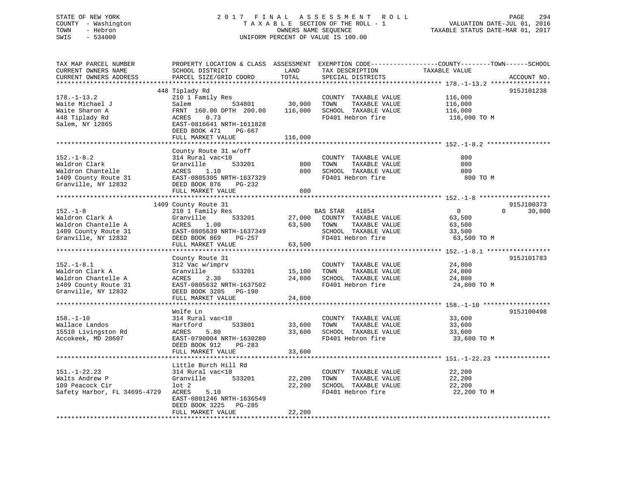# STATE OF NEW YORK 2 0 1 7 F I N A L A S S E S S M E N T R O L L PAGE 294 COUNTY - Washington T A X A B L E SECTION OF THE ROLL - 1 VALUATION DATE-JUL 01, 2016 TOWN - Hebron OWNERS NAME SEQUENCE TAXABLE STATUS DATE-MAR 01, 2017 SWIS - 534000 UNIFORM PERCENT OF VALUE IS 100.00

| TAX MAP PARCEL NUMBER<br>CURRENT OWNERS NAME<br>CURRENT OWNERS ADDRESS                                              | PROPERTY LOCATION & CLASS ASSESSMENT<br>SCHOOL DISTRICT<br>PARCEL SIZE/GRID COORD                                                                                              | LAND<br>TOTAL                | TAX DESCRIPTION<br>SPECIAL DISTRICTS                                                                         | EXEMPTION CODE-----------------COUNTY-------TOWN------SCHOOL<br>TAXABLE VALUE | ACCOUNT NO.          |
|---------------------------------------------------------------------------------------------------------------------|--------------------------------------------------------------------------------------------------------------------------------------------------------------------------------|------------------------------|--------------------------------------------------------------------------------------------------------------|-------------------------------------------------------------------------------|----------------------|
| ********************<br>$178. - 1 - 13.2$<br>Waite Michael J<br>Waite Sharon A<br>448 Tiplady Rd<br>Salem, NY 12865 | 448 Tiplady Rd<br>210 1 Family Res<br>534801<br>Salem<br>FRNT 160.00 DPTH 200.00<br>ACRES<br>0.73<br>EAST-0816641 NRTH-1611828<br>DEED BOOK 471<br>PG-667<br>FULL MARKET VALUE | 30,900<br>116,000<br>116,000 | COUNTY TAXABLE VALUE<br>TOWN<br>TAXABLE VALUE<br>SCHOOL TAXABLE VALUE<br>FD401 Hebron fire                   | 116,000<br>116,000<br>116,000<br>116,000 TO M                                 | 915J101238           |
| $152. - 1 - 8.2$<br>Waldron Clark<br>Waldron Chantelle<br>1409 County Route 31<br>Granville, NY 12832               | County Route 31 w/off<br>314 Rural vac<10<br>Granville<br>533201<br>ACRES<br>1.10<br>EAST-0805305 NRTH-1637329<br>DEED BOOK 876<br>PG-232                                      | 800<br>800                   | COUNTY TAXABLE VALUE<br>TAXABLE VALUE<br>TOWN<br>SCHOOL TAXABLE VALUE<br>FD401 Hebron fire                   | 800<br>800<br>800<br>800 TO M                                                 |                      |
|                                                                                                                     | FULL MARKET VALUE                                                                                                                                                              | 800                          |                                                                                                              |                                                                               |                      |
| $152. - 1 - 8$<br>Waldron Clark A<br>Waldron Chantelle A<br>1409 County Route 31<br>Granville, NY 12832             | 1409 County Route 31<br>210 1 Family Res<br>Granville<br>533201<br>ACRES<br>1.00<br>EAST-0805639 NRTH-1637349<br>DEED BOOK 869<br>PG-257<br>FULL MARKET VALUE                  | 27,000<br>63,500<br>63,500   | BAS STAR 41854<br>COUNTY TAXABLE VALUE<br>TOWN<br>TAXABLE VALUE<br>SCHOOL TAXABLE VALUE<br>FD401 Hebron fire | $\overline{0}$<br>$\Omega$<br>63,500<br>63,500<br>33,500<br>63,500 TO M       | 915J100373<br>30,000 |
|                                                                                                                     |                                                                                                                                                                                |                              |                                                                                                              |                                                                               |                      |
| $152.-1-8.1$<br>Waldron Clark A<br>Waldron Chantelle A<br>1409 County Route 31<br>Granville, NY 12832               | County Route 31<br>312 Vac w/imprv<br>533201<br>Granville<br>ACRES<br>2.30<br>EAST-0805632 NRTH-1637502<br>DEED BOOK 3205 PG-190                                               | 15,100<br>24,800             | COUNTY TAXABLE VALUE<br>TAXABLE VALUE<br>TOWN<br>SCHOOL TAXABLE VALUE<br>FD401 Hebron fire                   | 24,800<br>24,800<br>24,800<br>24,800 TO M                                     | 915J101783           |
|                                                                                                                     | FULL MARKET VALUE                                                                                                                                                              | 24,800                       |                                                                                                              |                                                                               |                      |
| $158. - 1 - 10$<br>Wallace Landos<br>15510 Livingston Rd<br>Accokeek, MD 20607                                      | Wolfe Ln<br>314 Rural vac<10<br>Hartford<br>533801<br>ACRES<br>5.80<br>EAST-0790004 NRTH-1630280<br>DEED BOOK 912<br>PG-283<br>FULL MARKET VALUE                               | 33,600<br>33,600             | COUNTY TAXABLE VALUE<br>TAXABLE VALUE<br>TOWN<br>SCHOOL TAXABLE VALUE<br>FD401 Hebron fire                   | 33,600<br>33,600<br>33,600<br>33,600 TO M                                     | 915J100498           |
|                                                                                                                     |                                                                                                                                                                                | 33,600                       |                                                                                                              |                                                                               |                      |
| $151. - 1 - 22.23$<br>Walts Andrew P<br>109 Peacock Cir<br>Safety Harbor, FL 34695-4729                             | Little Burch Hill Rd<br>314 Rural vac<10<br>Granville<br>533201<br>lot 2<br>ACRES<br>5.10<br>EAST-0801246 NRTH-1636549<br>DEED BOOK 3225<br>PG-285                             | 22,200<br>22,200             | COUNTY TAXABLE VALUE<br>TAXABLE VALUE<br>TOWN<br>SCHOOL TAXABLE VALUE<br>FD401 Hebron fire                   | 22,200<br>22,200<br>22,200<br>22,200 TO M                                     |                      |
|                                                                                                                     | FULL MARKET VALUE                                                                                                                                                              | 22,200                       |                                                                                                              |                                                                               |                      |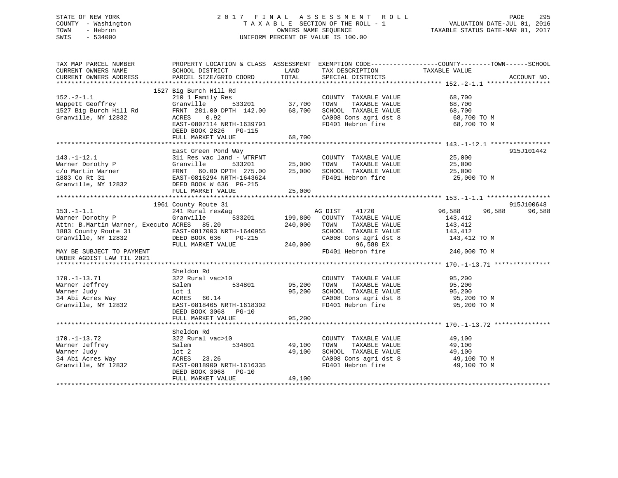# STATE OF NEW YORK 2 0 1 7 F I N A L A S S E S S M E N T R O L L PAGE 295 COUNTY - Washington T A X A B L E SECTION OF THE ROLL - 1 VALUATION DATE-JUL 01, 2016 TOWN - Hebron OWNERS NAME SEQUENCE TAXABLE STATUS DATE-MAR 01, 2017 SWIS - 534000 UNIFORM PERCENT OF VALUE IS 100.00

| TAX MAP PARCEL NUMBER<br>CURRENT OWNERS NAME<br>CURRENT OWNERS ADDRESS                                                                                                                                                                                                                                | SCHOOL DISTRICT<br>PARCEL SIZE/GRID COORD                                                                                                                                                                                                                                                             | LAND<br>TOTAL                     | TAX DESCRIPTION<br>SPECIAL DISTRICTS                                                                                                              | PROPERTY LOCATION & CLASS ASSESSMENT EXEMPTION CODE----------------COUNTY-------TOWN-----SCHOOL<br>TAXABLE VALUE<br>ACCOUNT NO. |        |
|-------------------------------------------------------------------------------------------------------------------------------------------------------------------------------------------------------------------------------------------------------------------------------------------------------|-------------------------------------------------------------------------------------------------------------------------------------------------------------------------------------------------------------------------------------------------------------------------------------------------------|-----------------------------------|---------------------------------------------------------------------------------------------------------------------------------------------------|---------------------------------------------------------------------------------------------------------------------------------|--------|
| $152. -2 - 1.1$<br>roor<br>Wappett Geoffrey<br>1527 Big Burch Hill Rd<br>Granville, NY 12832<br>Granville, NY 12832                                                                                                                                                                                   | 1527 Big Burch Hill Rd<br>Big Burch Hill Ru<br>210 1 Family Res<br>Granville 533201 37,700<br>Granville 333261<br>FRNT 281.00 DPTH 142.00 68,700 SCHOOL TAXABLE VALUE 68,700<br>ACRES 0.92 CA008 Consagridst 8 68,700 TO M<br>EAST-0807114 NRTH-1639791<br>DEED BOOK 2826 PG-115<br>FULL MARKET VALUE | 68,700                            | COUNTY TAXABLE VALUE 68,700<br>TOWN<br>TAXABLE VALUE<br>TAXABLE VALUE<br>FD401 Hebron fire 68,700 TO M                                            | 68,700                                                                                                                          |        |
| 143.-1-12.1<br>Warner Dorothy P (311 Res vac land - WTRFNT (25,000 TOWN TAXABLE VALUE<br>C/O Martin Warner FRNT 60.00 DPTH 275.00 25,000 SCHOOL TAXABLE VALUE<br>1883 Co Rt 31 EAST-0816294 NRTH-1643624 FD401 Hebron fire<br>Granvill                                                                | East Green Pond Way<br>FULL MARKET VALUE                                                                                                                                                                                                                                                              | 25,000                            | COUNTY TAXABLE VALUE 25,000<br>FD401 Hebron fire 25,000 TO M                                                                                      | 915J101442<br>25,000<br>25,000                                                                                                  |        |
| $153. - 1 - 1.1$<br>Warner Dorothy P<br>Attn: B.Martin Warner, Executo ACRES 85.20<br>1883 County Route 31 EAST-0817003 NRTH-1640955<br>Granville, NY 12832 DEED BOOK 636 PG-215 CA008 Cons agri dst<br>FULL MARKET VALUE 240,000 96,588 EX<br>MAY BE SUBJECT TO PAYMENT<br>UNDER AGDIST LAW TIL 2021 | 1961 County Route 31<br>241 Rural res&ag<br>Granville                                                                                                                                                                                                                                                 | 240,000 TOWN                      | g<br>533201 199,800 COUNTY TAXABLE VALUE<br>TAXABLE VALUE<br>SCHOOL TAXABLE VALUE 143,412<br>CA008 Cons agri dst 8<br>FD401 Hebron fire           | 915J100648<br>96,588 96,588<br>143,412<br>143,412<br>143,412 TO M<br>240,000 TO M                                               | 96,588 |
| $170. - 1 - 13.71$<br>Warner Jeffrey<br>Granville, NY 12832 EAST-0818465 NRTH-1618302                                                                                                                                                                                                                 | Sheldon Rd<br>-- 1.<br> -<br>  7000 001 034801 05,200 000 05,200 000 0534801<br>322 Rural vac>10<br>Salem<br>DEED BOOK 3068 PG-10<br>FULL MARKET VALUE                                                                                                                                                | 95,200<br>95,200                  | COUNTY TAXABLE VALUE 95,200<br>TOWN TAXABLE VALUE 95,200<br>SCHOOL TAXABLE VALUE 95,200<br>CA008 Cons agri dst 8 95,200 TO M<br>FD401 Hebron fire | 95,200 TO M                                                                                                                     |        |
| $170. - 1 - 13.72$<br>Warner Jeffrey<br>Warner Judy<br>warner Juay<br>34 Abi Acres Way<br>Granville, NY 12832                                                                                                                                                                                         | Sheldon Rd<br>322 Rural vac>10<br>Salem<br>$1$ ot $2$<br>ACRES 23.26<br>EAST-0818900 NRTH-1616335<br>DEED BOOK 3068 PG-10<br>FULL MARKET VALUE                                                                                                                                                        | 534801 49,100<br>49,100<br>49,100 | COUNTY TAXABLE VALUE<br>TAXABLE VALUE<br>TOWN<br>SCHOOL TAXABLE VALUE<br>CA008 Cons agri dst 8 49,100 TO M<br>FD401 Hebron fire                   | 49,100<br>49,100<br>49,100<br>49,100 TO M                                                                                       |        |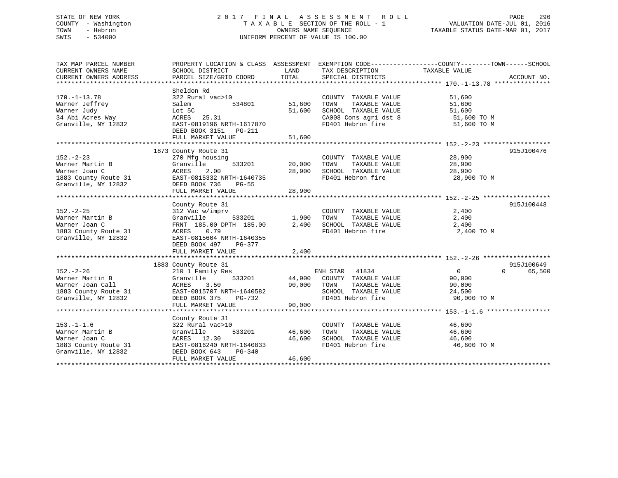# STATE OF NEW YORK 2 0 1 7 F I N A L A S S E S S M E N T R O L L PAGE 296 COUNTY - Washington T A X A B L E SECTION OF THE ROLL - 1 VALUATION DATE-JUL 01, 2016 TOWN - Hebron OWNERS NAME SEQUENCE TAXABLE STATUS DATE-MAR 01, 2017 SWIS - 534000 UNIFORM PERCENT OF VALUE IS 100.00

| TAX MAP PARCEL NUMBER  | PROPERTY LOCATION & CLASS ASSESSMENT EXEMPTION CODE----------------COUNTY-------TOWN------SCHOOL |               |                       |                |                    |
|------------------------|--------------------------------------------------------------------------------------------------|---------------|-----------------------|----------------|--------------------|
| CURRENT OWNERS NAME    | SCHOOL DISTRICT                                                                                  | LAND          | TAX DESCRIPTION       | TAXABLE VALUE  |                    |
| CURRENT OWNERS ADDRESS | PARCEL SIZE/GRID COORD                                                                           | TOTAL         | SPECIAL DISTRICTS     |                | ACCOUNT NO.        |
|                        |                                                                                                  |               |                       |                |                    |
|                        | Sheldon Rd                                                                                       |               |                       |                |                    |
| $170. - 1 - 13.78$     | 322 Rural vac>10                                                                                 |               | COUNTY TAXABLE VALUE  | 51,600         |                    |
| Warner Jeffrey         | 534801<br>Salem                                                                                  | 51,600        | TOWN<br>TAXABLE VALUE | 51,600         |                    |
| Warner Judy            | Lot 5C                                                                                           | 51,600        | SCHOOL TAXABLE VALUE  | 51,600         |                    |
| 34 Abi Acres Way       | ACRES 25.31                                                                                      |               |                       |                |                    |
|                        |                                                                                                  |               | CA008 Cons agri dst 8 | 51,600 TO M    |                    |
| Granville, NY 12832    | EAST-0819196 NRTH-1617870                                                                        |               | FD401 Hebron fire     | 51,600 TO M    |                    |
|                        | DEED BOOK 3151 PG-211                                                                            |               |                       |                |                    |
|                        |                                                                                                  |               |                       |                |                    |
|                        |                                                                                                  |               |                       |                |                    |
|                        | 1873 County Route 31                                                                             |               |                       |                | 915J100476         |
| $152. - 2 - 23$        | 270 Mfg housing                                                                                  |               | COUNTY TAXABLE VALUE  | 28,900         |                    |
| Warner Martin B        | 533201<br>Granville                                                                              | 20,000        | TAXABLE VALUE<br>TOWN | 28,900         |                    |
| Warner Joan C          | ACRES<br>2.00                                                                                    | 28,900        | SCHOOL TAXABLE VALUE  | 28,900         |                    |
| 1883 County Route 31   | EAST-0815332 NRTH-1640735                                                                        |               | FD401 Hebron fire     | 28,900 TO M    |                    |
| Granville, NY 12832    | DEED BOOK 736<br>$PG-55$                                                                         |               |                       |                |                    |
|                        | FULL MARKET VALUE                                                                                | 28,900        |                       |                |                    |
|                        |                                                                                                  |               |                       |                |                    |
|                        | County Route 31                                                                                  |               |                       |                | 915J100448         |
| $152. - 2 - 25$        | 312 Vac w/imprv                                                                                  |               | COUNTY TAXABLE VALUE  | 2,400          |                    |
| Warner Martin B        | Granville                                                                                        | 533201 1,900  | TAXABLE VALUE<br>TOWN | 2,400          |                    |
|                        |                                                                                                  |               | SCHOOL TAXABLE VALUE  |                |                    |
| Warner Joan C          | FRNT 185.00 DPTH 185.00 2,400                                                                    |               |                       | 2,400          |                    |
| 1883 County Route 31   | ACRES 0.79                                                                                       |               | FD401 Hebron fire     | 2,400 TO M     |                    |
| Granville, NY 12832    | EAST-0815604 NRTH-1640355                                                                        |               |                       |                |                    |
|                        | DEED BOOK 497<br>PG-377                                                                          |               |                       |                |                    |
|                        | FULL MARKET VALUE                                                                                | 2,400         |                       |                |                    |
|                        |                                                                                                  |               |                       |                |                    |
|                        | 1883 County Route 31                                                                             |               |                       |                | 915J100649         |
| $152. - 2 - 26$        | 210 1 Family Res                                                                                 |               | ENH STAR 41834        | $\overline{0}$ | $\Omega$<br>65,500 |
| Warner Martin B        | Granville                                                                                        | 533201 44,900 | COUNTY TAXABLE VALUE  | 90,000         |                    |
| Warner Joan Call       | ACRES<br>3.50                                                                                    | 90,000        | TOWN<br>TAXABLE VALUE | 90,000         |                    |
| 1883 County Route 31   | EAST-0815707 NRTH-1640582                                                                        |               | SCHOOL TAXABLE VALUE  | 24,500         |                    |
| Granville, NY 12832    | DEED BOOK 375<br>PG-732                                                                          |               | FD401 Hebron fire     | 90,000 TO M    |                    |
|                        | FULL MARKET VALUE                                                                                | 90,000        |                       |                |                    |
|                        |                                                                                                  |               |                       |                |                    |
|                        | County Route 31                                                                                  |               |                       |                |                    |
| $153. - 1 - 1.6$       | 322 Rural vac>10                                                                                 |               | COUNTY TAXABLE VALUE  | 46,600         |                    |
| Warner Martin B        | 533201<br>Granville                                                                              | 46,600        | TOWN<br>TAXABLE VALUE | 46,600         |                    |
| Warner Joan C          |                                                                                                  | 46,600        | SCHOOL TAXABLE VALUE  | 46,600         |                    |
|                        | ACRES 12.30                                                                                      |               |                       |                |                    |
| 1883 County Route 31   | EAST-0816240 NRTH-1640833                                                                        |               | FD401 Hebron fire     | 46,600 TO M    |                    |
| Granville, NY 12832    | DEED BOOK 643<br>PG-340                                                                          |               |                       |                |                    |
|                        | FULL MARKET VALUE                                                                                | 46,600        |                       |                |                    |
|                        |                                                                                                  |               |                       |                |                    |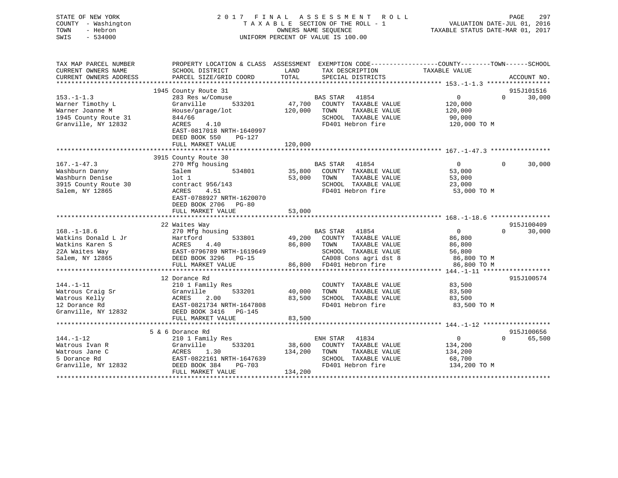| STATE OF NEW YORK<br>COUNTY - Washington<br>TOWN<br>- Hebron<br>SWIS<br>$-534000$ | 2017 FINAL ASSESSMENT<br>TAXABLE SECTION OF THE ROLL - 1<br>UNIFORM PERCENT OF VALUE IS 100.00 | PAGE<br>297<br>VALUATION DATE-JUL 01, 2016<br>TAXABLE STATUS DATE-MAR 01, 2017                                             |                                      |
|-----------------------------------------------------------------------------------|------------------------------------------------------------------------------------------------|----------------------------------------------------------------------------------------------------------------------------|--------------------------------------|
| TAX MAP PARCEL NUMBER<br>CURRENT OWNERS NAME                                      | SCHOOL DISTRICT                                                                                | PROPERTY LOCATION & CLASS ASSESSMENT EXEMPTION CODE----------------COUNTY-------TOWN-----SCHOOL<br>LAND<br>TAX DESCRIPTION | TAXABLE VALUE                        |
| CURRENT OWNERS ADDRESS                                                            | PARCEL SIZE/GRID COORD                                                                         | TOTAL<br>SPECIAL DISTRICTS                                                                                                 | ACCOUNT NO.                          |
|                                                                                   |                                                                                                |                                                                                                                            |                                      |
|                                                                                   | 1945 County Route 31                                                                           |                                                                                                                            | 915J101516                           |
| $153. - 1 - 1.3$                                                                  | 283 Res w/Comuse                                                                               | BAS STAR<br>41854                                                                                                          | $\overline{0}$<br>$\Omega$<br>30,000 |
| Warner Timothy L                                                                  | Granville<br>533201                                                                            | 47,700 COUNTY TAXABLE VALUE                                                                                                | 120,000                              |
| Warner Joanne M                                                                   | House/garage/lot                                                                               | 120,000 TOWN<br>TAXABLE VALUE                                                                                              | 120,000                              |
| 1945 County Route 31                                                              | 844/66                                                                                         | SCHOOL TAXABLE VALUE                                                                                                       | 90,000                               |
| Granville, NY 12832                                                               | ACRES<br>4.10<br>EAST-0817018 NRTH-1640997                                                     | FD401 Hebron fire                                                                                                          | 120,000 TO M                         |
|                                                                                   | DEED BOOK 550<br>PG-127                                                                        |                                                                                                                            |                                      |
|                                                                                   | FULL MARKET VALUE                                                                              | 120,000                                                                                                                    |                                      |
|                                                                                   |                                                                                                |                                                                                                                            |                                      |
|                                                                                   | 3915 County Route 30                                                                           |                                                                                                                            |                                      |
| $167. - 1 - 47.3$                                                                 | 270 Mfg housing                                                                                | BAS STAR<br>41854                                                                                                          | $\overline{0}$<br>$\Omega$<br>30,000 |
| Washburn Danny                                                                    | 534801<br>Salem                                                                                | 35,800<br>COUNTY TAXABLE VALUE                                                                                             | 53,000                               |
| Washburn Denise                                                                   | $1$ ot $1$                                                                                     | TAXABLE VALUE<br>53,000<br>TOWN                                                                                            | 53,000                               |
| 3915 County Route 30                                                              | contract $956/143$<br>ACRES<br>4.51                                                            | SCHOOL TAXABLE VALUE                                                                                                       | 23,000                               |
| Salem, NY 12865                                                                   | EAST-0788927 NRTH-1620070                                                                      | FD401 Hebron fire                                                                                                          | 53,000 TO M                          |
|                                                                                   | DEED BOOK 2706 PG-80                                                                           |                                                                                                                            |                                      |
|                                                                                   | FULL MARKET VALUE                                                                              | 53,000                                                                                                                     |                                      |
|                                                                                   |                                                                                                |                                                                                                                            |                                      |
|                                                                                   | 22 Waites Way                                                                                  |                                                                                                                            | 915J100409                           |
| $168. - 1 - 18.6$                                                                 | 270 Mfg housing                                                                                | BAS STAR<br>41854                                                                                                          | $\overline{0}$<br>30,000<br>$\Omega$ |
| Watkins Donald L Jr                                                               | 533801<br>Hartford                                                                             | 49,200<br>COUNTY TAXABLE VALUE                                                                                             | 86,800                               |
| Watkins Karen S                                                                   | ACRES<br>4.40                                                                                  | 86,800<br>TOWN<br>TAXABLE VALUE                                                                                            | 86,800                               |
| 22A Waites Way                                                                    | EAST-0796789 NRTH-1619649                                                                      | SCHOOL TAXABLE VALUE                                                                                                       | 56,800                               |
| Salem, NY 12865                                                                   | DEED BOOK 3296 PG-15                                                                           | CA008 Cons agri dst 8                                                                                                      | 86,800 TO M                          |
|                                                                                   | FULL MARKET VALUE                                                                              | 86,800 FD401 Hebron fire                                                                                                   | 86,800 TO M                          |
|                                                                                   | 12 Dorance Rd                                                                                  |                                                                                                                            | 915J100574                           |
| $144. - 1 - 11$                                                                   | 210 1 Family Res                                                                               | COUNTY TAXABLE VALUE                                                                                                       | 83,500                               |
| Watrous Craig Sr                                                                  | 533201<br>Granville                                                                            | 40,000<br>TAXABLE VALUE<br>TOWN                                                                                            | 83,500                               |
| Watrous Kelly                                                                     | ACRES<br>2.00                                                                                  | 83,500<br>SCHOOL TAXABLE VALUE                                                                                             | 83,500                               |
| 12 Dorance Rd                                                                     | EAST-0821734 NRTH-1647808                                                                      | FD401 Hebron fire                                                                                                          | 83,500 TO M                          |
| Granville, NY 12832                                                               | DEED BOOK 3416 PG-145                                                                          |                                                                                                                            |                                      |
|                                                                                   | FULL MARKET VALUE                                                                              | 83,500                                                                                                                     |                                      |
|                                                                                   |                                                                                                |                                                                                                                            |                                      |
|                                                                                   | 5 & 6 Dorance Rd                                                                               |                                                                                                                            | 915J100656                           |
| $144. - 1 - 12$                                                                   | 210 1 Family Res                                                                               | ENH STAR<br>41834                                                                                                          | $\mathbf{0}$<br>$\Omega$<br>65,500   |
| Watrous Ivan R                                                                    | Granville<br>533201                                                                            | COUNTY TAXABLE VALUE<br>38,600                                                                                             | 134,200                              |
| Watrous Jane C                                                                    | ACRES 1.30                                                                                     | 134,200<br>TOWN<br>TAXABLE VALUE                                                                                           | 134,200                              |

\*\*\*\*\*\*\*\*\*\*\*\*\*\*\*\*\*\*\*\*\*\*\*\*\*\*\*\*\*\*\*\*\*\*\*\*\*\*\*\*\*\*\*\*\*\*\*\*\*\*\*\*\*\*\*\*\*\*\*\*\*\*\*\*\*\*\*\*\*\*\*\*\*\*\*\*\*\*\*\*\*\*\*\*\*\*\*\*\*\*\*\*\*\*\*\*\*\*\*\*\*\*\*\*\*\*\*\*\*\*\*\*\*\*\*\*\*\*\*\*\*\*\*\*\*\*\*\*\*\*\*\*

5 Dorance Rd EAST-0822161 NRTH-1647639 SCHOOL TAXABLE VALUE 68,700 Granville, NY 12832 DEED BOOK 384 PG-703 FD401 Hebron fire 134,200 TO M<br>FULL MARKET VALUE 134,200

FULL MARKET VALUE 134,200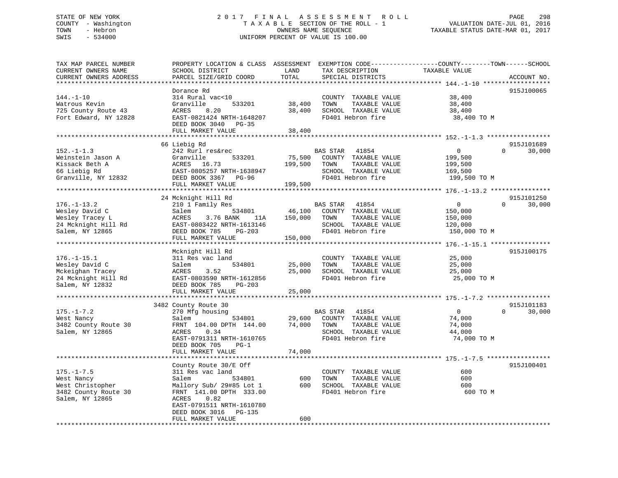# STATE OF NEW YORK 2 0 1 7 F I N A L A S S E S S M E N T R O L L PAGE 298 COUNTY - Washington T A X A B L E SECTION OF THE ROLL - 1 VALUATION DATE-JUL 01, 2016 TOWN - Hebron OWNERS NAME SEQUENCE TAXABLE STATUS DATE-MAR 01, 2017 SWIS - 534000 UNIFORM PERCENT OF VALUE IS 100.00

| TAX MAP PARCEL NUMBER<br>CURRENT OWNERS NAME<br>CURRENT OWNERS ADDRESS                            | SCHOOL DISTRICT<br>PARCEL SIZE/GRID COORD                                                                                                                                                     | LAND<br>TOTAL                | TAX DESCRIPTION<br>SPECIAL DISTRICTS                                                                                   | PROPERTY LOCATION & CLASS ASSESSMENT EXEMPTION CODE----------------COUNTY-------TOWN------SCHOOL<br>TAXABLE VALUE<br>ACCOUNT NO. |
|---------------------------------------------------------------------------------------------------|-----------------------------------------------------------------------------------------------------------------------------------------------------------------------------------------------|------------------------------|------------------------------------------------------------------------------------------------------------------------|----------------------------------------------------------------------------------------------------------------------------------|
|                                                                                                   |                                                                                                                                                                                               |                              |                                                                                                                        |                                                                                                                                  |
| $144. - 1 - 10$<br>Watrous Kevin<br>725 County Route 43<br>Fort Edward, NY 12828                  | Dorance Rd<br>314 Rural vac<10<br>Granville<br>533201<br>8.20<br>ACRES<br>EAST-0821424 NRTH-1648207<br>DEED BOOK 3040 PG-35<br>FULL MARKET VALUE                                              | 38,400<br>38,400<br>38,400   | COUNTY TAXABLE VALUE<br>TOWN<br>TAXABLE VALUE<br>SCHOOL TAXABLE VALUE<br>FD401 Hebron fire                             | 915J100065<br>38,400<br>38,400<br>38,400<br>38,400 TO M                                                                          |
|                                                                                                   |                                                                                                                                                                                               |                              |                                                                                                                        |                                                                                                                                  |
| $152. - 1 - 1.3$<br>Weinstein Jason A<br>Kissack Beth A<br>66 Liebig Rd<br>Granville, NY 12832    | 66 Liebig Rd<br>242 Rurl res&rec<br>533201<br>Granville<br>ACRES 16.73<br>EAST-0805257 NRTH-1638947<br>DEED BOOK 3367 PG-96                                                                   | 75,500<br>199,500            | BAS STAR 41854<br>COUNTY TAXABLE VALUE<br>TAXABLE VALUE<br>TOWN<br>SCHOOL TAXABLE VALUE<br>FD401 Hebron fire           | 915J101689<br>$\overline{0}$<br>$\Omega$<br>30,000<br>199,500<br>199,500<br>169,500<br>199,500 TO M                              |
|                                                                                                   | FULL MARKET VALUE                                                                                                                                                                             | 199,500                      |                                                                                                                        |                                                                                                                                  |
|                                                                                                   |                                                                                                                                                                                               |                              |                                                                                                                        |                                                                                                                                  |
| $176. - 1 - 13.2$<br>Wesley David C<br>Wesley Tracey L<br>24 Mcknight Hill Rd<br>Salem, NY 12865  | 24 Mcknight Hill Rd<br>210 1 Family Res<br>Salem<br>534801<br>3.76 BANK<br>ACRES<br>11A<br>EAST-0803422 NRTH-1613146<br>DEED BOOK 785<br>$PG-203$<br>FULL MARKET VALUE                        | 46,100<br>150,000<br>150,000 | BAS STAR 41854<br>COUNTY TAXABLE VALUE<br>TOWN<br>TAXABLE VALUE<br>SCHOOL TAXABLE VALUE<br>FD401 Hebron fire           | 915J101250<br>$\overline{0}$<br>$\Omega$<br>30,000<br>150,000<br>150,000<br>120,000<br>150,000 TO M                              |
|                                                                                                   |                                                                                                                                                                                               |                              |                                                                                                                        |                                                                                                                                  |
| $176. - 1 - 15.1$<br>Wesley David C<br>Mckeighan Tracey<br>24 Mcknight Hill Rd<br>Salem, NY 12832 | Mcknight Hill Rd<br>311 Res vac land<br>Salem<br>534801<br>3.52<br>ACRES<br>EAST-0803590 NRTH-1612856<br>DEED BOOK 785<br>PG-203<br>FULL MARKET VALUE                                         | 25,000<br>25,000<br>25,000   | COUNTY TAXABLE VALUE<br>TOWN<br>TAXABLE VALUE<br>SCHOOL TAXABLE VALUE<br>FD401 Hebron fire                             | 915J100175<br>25,000<br>25,000<br>25,000<br>25,000 TO M                                                                          |
|                                                                                                   | 3482 County Route 30                                                                                                                                                                          |                              |                                                                                                                        | 915J101183                                                                                                                       |
| $175. - 1 - 7.2$<br>West Nancy<br>3482 County Route 30<br>Salem, NY 12865                         | 270 Mfg housing<br>Salem<br>534801<br>FRNT 104.00 DPTH 144.00<br>0.34<br>ACRES<br>EAST-0791311 NRTH-1610765<br>DEED BOOK 705<br>$PG-1$<br>FULL MARKET VALUE                                   | 29,600<br>74,000<br>74,000   | 41854<br><b>BAS STAR</b><br>COUNTY TAXABLE VALUE<br>TOWN<br>TAXABLE VALUE<br>SCHOOL TAXABLE VALUE<br>FD401 Hebron fire | $\overline{0}$<br>$\Omega$<br>30,000<br>74,000<br>74,000<br>44,000<br>74,000 TO M                                                |
|                                                                                                   |                                                                                                                                                                                               |                              |                                                                                                                        |                                                                                                                                  |
| $175. - 1 - 7.5$<br>West Nancy<br>West Christopher<br>3482 County Route 30<br>Salem, NY 12865     | County Route 30/E Off<br>311 Res vac land<br>Salem<br>534801<br>Mallory Sub/ 29#85 Lot 1<br>FRNT 141.00 DPTH 333.00<br>ACRES<br>0.82<br>EAST-0791511 NRTH-1610780<br>DEED BOOK 3016<br>PG-135 | 600<br>600                   | COUNTY TAXABLE VALUE<br>TOWN<br>TAXABLE VALUE<br>SCHOOL TAXABLE VALUE<br>FD401 Hebron fire                             | 915J100401<br>600<br>600<br>600<br>600 TO M                                                                                      |
|                                                                                                   | FULL MARKET VALUE                                                                                                                                                                             | 600                          |                                                                                                                        |                                                                                                                                  |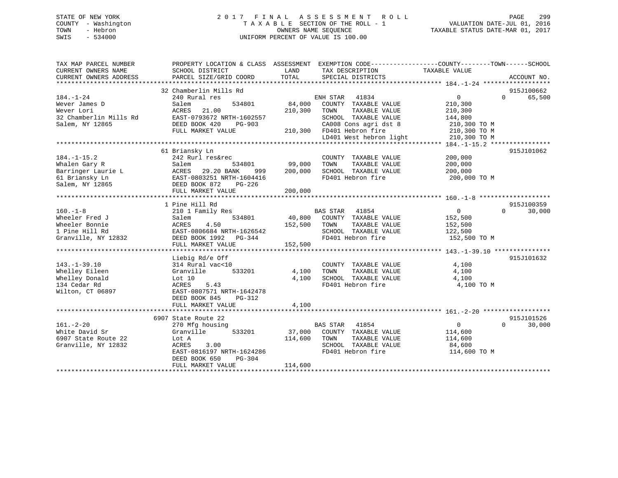# STATE OF NEW YORK 2 0 1 7 F I N A L A S S E S S M E N T R O L L PAGE 299 COUNTY - Washington T A X A B L E SECTION OF THE ROLL - 1 VALUATION DATE-JUL 01, 2016 TOWN - Hebron OWNERS NAME SEQUENCE TAXABLE STATUS DATE-MAR 01, 2017 SWIS - 534000 UNIFORM PERCENT OF VALUE IS 100.00

| TAX MAP PARCEL NUMBER<br>CURRENT OWNERS NAME<br>CURRENT OWNERS ADDRESS | PROPERTY LOCATION & CLASS ASSESSMENT<br>SCHOOL DISTRICT<br>PARCEL SIZE/GRID COORD | LAND<br>TOTAL | TAX DESCRIPTION<br>SPECIAL DISTRICTS | EXEMPTION CODE-----------------COUNTY-------TOWN------SCHOOL<br>TAXABLE VALUE | ACCOUNT NO.        |
|------------------------------------------------------------------------|-----------------------------------------------------------------------------------|---------------|--------------------------------------|-------------------------------------------------------------------------------|--------------------|
|                                                                        |                                                                                   |               |                                      |                                                                               |                    |
|                                                                        | 32 Chamberlin Mills Rd                                                            |               |                                      |                                                                               | 915J100662         |
| $184. - 1 - 24$                                                        | 240 Rural res                                                                     |               | ENH STAR<br>41834                    | $\mathbf{0}$                                                                  | 65,500<br>$\Omega$ |
| Wever James D                                                          | Salem<br>534801                                                                   | 84,000        | COUNTY TAXABLE VALUE                 | 210,300                                                                       |                    |
| Wever Lori                                                             | ACRES<br>21.00                                                                    | 210,300       | TOWN<br>TAXABLE VALUE                | 210,300                                                                       |                    |
| 32 Chamberlin Mills Rd                                                 | EAST-0793672 NRTH-1602557                                                         |               | SCHOOL TAXABLE VALUE                 | 144,800                                                                       |                    |
| Salem, NY 12865                                                        | DEED BOOK 420<br>PG-903                                                           |               | CA008 Cons agri dst 8                | 210,300 TO M                                                                  |                    |
|                                                                        | FULL MARKET VALUE                                                                 |               | 210,300 FD401 Hebron fire            | 210,300 TO M                                                                  |                    |
|                                                                        |                                                                                   |               | LD401 West hebron light              | 210,300 TO M                                                                  |                    |
|                                                                        |                                                                                   |               |                                      |                                                                               |                    |
|                                                                        | 61 Briansky Ln                                                                    |               |                                      |                                                                               | 915J101062         |
| $184. - 1 - 15.2$                                                      | 242 Rurl res&rec                                                                  |               | COUNTY TAXABLE VALUE                 | 200,000                                                                       |                    |
| Whalen Gary R                                                          | 534801<br>Salem                                                                   | 99,000        | TAXABLE VALUE<br>TOWN                | 200,000                                                                       |                    |
| Barringer Laurie L                                                     | 29.20 BANK<br>ACRES<br>999                                                        | 200,000       | SCHOOL TAXABLE VALUE                 | 200,000                                                                       |                    |
| 61 Briansky Ln                                                         | EAST-0803251 NRTH-1604416                                                         |               | FD401 Hebron fire                    | 200,000 TO M                                                                  |                    |
| Salem, NY 12865                                                        | DEED BOOK 872<br>PG-226                                                           |               |                                      |                                                                               |                    |
|                                                                        | FULL MARKET VALUE                                                                 | 200,000       |                                      |                                                                               |                    |
|                                                                        |                                                                                   |               |                                      |                                                                               |                    |
|                                                                        | 1 Pine Hill Rd                                                                    |               |                                      |                                                                               | 915J100359         |
| $160. - 1 - 8$                                                         | 210 1 Family Res                                                                  |               | BAS STAR<br>41854                    | $\overline{0}$                                                                | $\Omega$<br>30,000 |
| Wheeler Fred J                                                         | 534801<br>Salem                                                                   |               | 40,800 COUNTY TAXABLE VALUE          | 152,500                                                                       |                    |
| Wheeler Bonnie                                                         | ACRES<br>4.50                                                                     | 152,500       | TAXABLE VALUE<br>TOWN                | 152,500                                                                       |                    |
| 1 Pine Hill Rd                                                         | EAST-0806684 NRTH-1626542                                                         |               | SCHOOL TAXABLE VALUE                 | 122,500                                                                       |                    |
| Granville, NY 12832                                                    | DEED BOOK 1992    PG-344                                                          |               | FD401 Hebron fire                    | 152,500 TO M                                                                  |                    |
|                                                                        | FULL MARKET VALUE                                                                 | 152,500       |                                      |                                                                               |                    |
|                                                                        |                                                                                   |               |                                      |                                                                               |                    |
|                                                                        | Liebig Rd/e Off                                                                   |               |                                      |                                                                               | 915J101632         |
|                                                                        |                                                                                   |               |                                      |                                                                               |                    |
| $143. - 1 - 39.10$                                                     | 314 Rural vac<10                                                                  |               | COUNTY TAXABLE VALUE                 | 4,100                                                                         |                    |
| Whelley Eileen                                                         | 533201<br>Granville                                                               | 4,100         | TAXABLE VALUE<br>TOWN                | 4,100                                                                         |                    |
| Whelley Donald                                                         | Lot 10                                                                            | 4,100         | SCHOOL TAXABLE VALUE                 | 4,100                                                                         |                    |
| 134 Cedar Rd                                                           | ACRES<br>5.43                                                                     |               | FD401 Hebron fire                    | 4,100 TO M                                                                    |                    |
| Wilton, CT 06897                                                       | EAST-0807571 NRTH-1642478                                                         |               |                                      |                                                                               |                    |
|                                                                        | DEED BOOK 845<br>PG-312                                                           |               |                                      |                                                                               |                    |
|                                                                        | FULL MARKET VALUE                                                                 | 4,100         |                                      |                                                                               |                    |
|                                                                        |                                                                                   |               |                                      |                                                                               |                    |
|                                                                        | 6907 State Route 22                                                               |               |                                      |                                                                               | 915J101526         |
| $161. - 2 - 20$                                                        | 270 Mfg housing                                                                   |               | <b>BAS STAR</b><br>41854             | $\mathbf{0}$                                                                  | $\Omega$<br>30,000 |
| White David Sr                                                         | Granville<br>533201                                                               | 37,000        | COUNTY TAXABLE VALUE                 | 114,600                                                                       |                    |
| 6907 State Route 22                                                    | Lot A                                                                             | 114,600       | TAXABLE VALUE<br>TOWN                | 114,600                                                                       |                    |
| Granville, NY 12832                                                    | ACRES<br>3.00                                                                     |               | SCHOOL TAXABLE VALUE                 | 84,600                                                                        |                    |
|                                                                        | EAST-0816197 NRTH-1624286                                                         |               | FD401 Hebron fire                    | 114,600 TO M                                                                  |                    |
|                                                                        | $PG-304$<br>DEED BOOK 650                                                         |               |                                      |                                                                               |                    |
|                                                                        | FULL MARKET VALUE                                                                 | 114,600       |                                      |                                                                               |                    |
|                                                                        |                                                                                   |               |                                      |                                                                               |                    |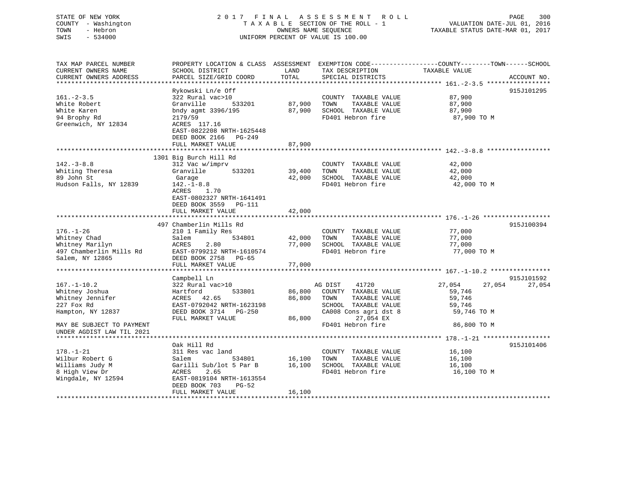# STATE OF NEW YORK 2 0 1 7 F I N A L A S S E S S M E N T R O L L PAGE 300 COUNTY - Washington T A X A B L E SECTION OF THE ROLL - 1 VALUATION DATE-JUL 01, 2016 TOWN - Hebron OWNERS NAME SEQUENCE TAXABLE STATUS DATE-MAR 01, 2017 SWIS - 534000 UNIFORM PERCENT OF VALUE IS 100.00

| TAX MAP PARCEL NUMBER                           | PROPERTY LOCATION & CLASS ASSESSMENT      |        | EXEMPTION CODE-----------------COUNTY-------TOWN------SCHOOL |                  |             |
|-------------------------------------------------|-------------------------------------------|--------|--------------------------------------------------------------|------------------|-------------|
| CURRENT OWNERS NAME                             | SCHOOL DISTRICT                           | LAND   | TAX DESCRIPTION                                              | TAXABLE VALUE    |             |
| CURRENT OWNERS ADDRESS<br>********************* | PARCEL SIZE/GRID COORD                    | TOTAL  | SPECIAL DISTRICTS                                            |                  | ACCOUNT NO. |
|                                                 |                                           |        |                                                              |                  |             |
|                                                 | Rykowski Ln/e Off                         |        |                                                              |                  | 915J101295  |
| $161. - 2 - 3.5$                                | 322 Rural vac>10                          |        | COUNTY TAXABLE VALUE                                         | 87,900           |             |
| White Robert                                    | 533201<br>Granville                       | 87,900 | TOWN<br>TAXABLE VALUE                                        | 87,900           |             |
| White Karen                                     | bndy agmt 3396/195                        | 87,900 | SCHOOL TAXABLE VALUE                                         | 87,900           |             |
| 94 Brophy Rd                                    | 2179/59                                   |        | FD401 Hebron fire                                            | 87,900 TO M      |             |
| Greenwich, NY 12834                             | ACRES 117.16                              |        |                                                              |                  |             |
|                                                 | EAST-0822208 NRTH-1625448                 |        |                                                              |                  |             |
|                                                 | DEED BOOK 2166<br>PG-249                  |        |                                                              |                  |             |
|                                                 | FULL MARKET VALUE                         | 87,900 |                                                              |                  |             |
|                                                 |                                           |        |                                                              |                  |             |
| $142.-3-8.8$                                    | 1301 Big Burch Hill Rd<br>312 Vac w/imprv |        | COUNTY TAXABLE VALUE                                         | 42,000           |             |
| Whiting Theresa                                 | Granville<br>533201                       | 39,400 | TOWN<br>TAXABLE VALUE                                        | 42,000           |             |
| 89 John St                                      |                                           | 42,000 | SCHOOL TAXABLE VALUE                                         | 42,000           |             |
| Hudson Falls, NY 12839                          | Garage<br>$142. - 1 - 8.8$                |        | FD401 Hebron fire                                            | 42,000 TO M      |             |
|                                                 | ACRES<br>1.70                             |        |                                                              |                  |             |
|                                                 | EAST-0802327 NRTH-1641491                 |        |                                                              |                  |             |
|                                                 | DEED BOOK 3559 PG-111                     |        |                                                              |                  |             |
|                                                 | FULL MARKET VALUE                         | 42,000 |                                                              |                  |             |
|                                                 |                                           |        |                                                              |                  |             |
|                                                 | 497 Chamberlin Mills Rd                   |        |                                                              |                  | 915J100394  |
| $176. - 1 - 26$                                 | 210 1 Family Res                          |        | COUNTY TAXABLE VALUE                                         | 77,000           |             |
| Whitney Chad                                    | 534801<br>Salem                           | 42,000 | TOWN<br>TAXABLE VALUE                                        | 77,000           |             |
| Whitney Marilyn                                 | ACRES<br>2.80                             | 77,000 | SCHOOL TAXABLE VALUE                                         | 77,000           |             |
| 497 Chamberlin Mills Rd                         | EAST-0799212 NRTH-1610574                 |        | FD401 Hebron fire                                            | 77,000 TO M      |             |
| Salem, NY 12865                                 | DEED BOOK 2758 PG-65                      |        |                                                              |                  |             |
|                                                 | FULL MARKET VALUE                         | 77,000 |                                                              |                  |             |
|                                                 |                                           |        |                                                              |                  |             |
|                                                 | Campbell Ln                               |        |                                                              |                  | 915J101592  |
| $167. - 1 - 10.2$                               | 322 Rural vac>10                          |        | AG DIST<br>41720                                             | 27,054<br>27,054 | 27,054      |
| Whitney Joshua                                  | Hartford<br>533801                        | 86,800 | COUNTY TAXABLE VALUE                                         | 59,746           |             |
| Whitney Jennifer                                | ACRES 42.65                               | 86,800 | TOWN<br>TAXABLE VALUE                                        | 59,746           |             |
| 227 Fox Rd                                      | EAST-0792042 NRTH-1623198                 |        | SCHOOL TAXABLE VALUE                                         | 59,746           |             |
| Hampton, NY 12837                               | DEED BOOK 3714<br>PG-250                  |        | CA008 Cons agri dst 8                                        | 59,746 TO M      |             |
|                                                 | FULL MARKET VALUE                         | 86,800 | 27,054 EX                                                    |                  |             |
| MAY BE SUBJECT TO PAYMENT                       |                                           |        | FD401 Hebron fire                                            | 86,800 TO M      |             |
| UNDER AGDIST LAW TIL 2021                       |                                           |        |                                                              |                  |             |
|                                                 |                                           |        |                                                              |                  |             |
|                                                 | Oak Hill Rd                               |        |                                                              |                  | 915J101406  |
| $178. - 1 - 21$                                 | 311 Res vac land                          |        | COUNTY TAXABLE VALUE                                         | 16,100           |             |
| Wilbur Robert G                                 | 534801<br>Salem                           | 16,100 | TOWN<br>TAXABLE VALUE                                        | 16,100           |             |
| Williams Judy M                                 | Garilli Sub/lot 5 Par B                   | 16,100 | SCHOOL TAXABLE VALUE                                         | 16,100           |             |
| 8 High View Dr                                  | ACRES<br>2.65                             |        | FD401 Hebron fire                                            | 16,100 TO M      |             |
| Wingdale, NY 12594                              | EAST-0819104 NRTH-1613554                 |        |                                                              |                  |             |
|                                                 | DEED BOOK 703<br>$PG-52$                  |        |                                                              |                  |             |
|                                                 | FULL MARKET VALUE                         | 16,100 |                                                              |                  |             |
|                                                 |                                           |        |                                                              |                  |             |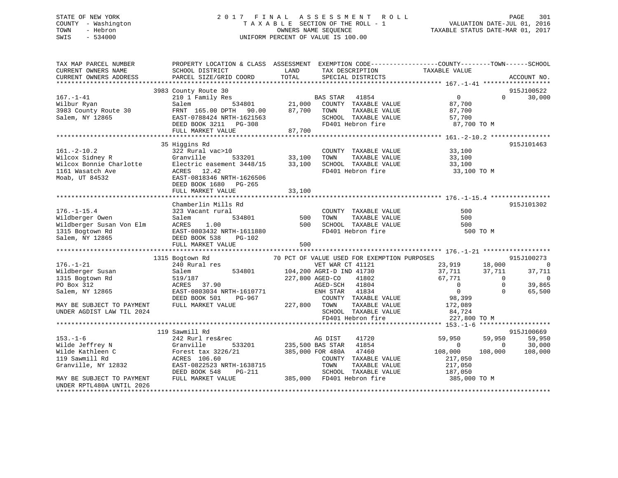# STATE OF NEW YORK 2 0 1 7 F I N A L A S S E S S M E N T R O L L PAGE 301 COUNTY - Washington T A X A B L E SECTION OF THE ROLL - 1 VALUATION DATE-JUL 01, 2016 TOWN - Hebron OWNERS NAME SEQUENCE TAXABLE STATUS DATE-MAR 01, 2017 SWIS - 534000 UNIFORM PERCENT OF VALUE IS 100.00UNIFORM PERCENT OF VALUE IS 100.00

| TAX MAP PARCEL NUMBER<br>CURRENT OWNERS NAME<br>CURRENT OWNERS ADDRESS | PROPERTY LOCATION & CLASS ASSESSMENT EXEMPTION CODE----------------COUNTY-------TOWN-----SCHOOL<br>SCHOOL DISTRICT<br>PARCEL SIZE/GRID COORD | LAND<br>TOTAL                                     | TAX DESCRIPTION<br>SPECIAL DISTRICTS                                           | TAXABLE VALUE  |                | ACCOUNT NO.    |
|------------------------------------------------------------------------|----------------------------------------------------------------------------------------------------------------------------------------------|---------------------------------------------------|--------------------------------------------------------------------------------|----------------|----------------|----------------|
|                                                                        |                                                                                                                                              |                                                   |                                                                                |                |                |                |
|                                                                        | 3983 County Route 30                                                                                                                         |                                                   |                                                                                |                |                | 915J100522     |
| $167. - 1 - 41$                                                        | 210 1 Family Res                                                                                                                             | EXTREM STAR 41854<br>534801 21,000 COUNTY TAXABLE |                                                                                | $\overline{0}$ | $\Omega$       | 30,000         |
| Wilbur Ryan                                                            | Salem                                                                                                                                        |                                                   | COUNTY TAXABLE VALUE                                                           | 87,700         |                |                |
| 3983 County Route 30                                                   | FRNT 165.00 DPTH 90.00                                                                                                                       | 87,700 TOWN                                       | TAXABLE VALUE                                                                  | 87,700         |                |                |
| Salem, NY 12865                                                        | EAST-0788424 NRTH-1621563                                                                                                                    |                                                   | SCHOOL TAXABLE VALUE<br>3 SCHOOL TAXABLE VA<br>FD401 Hebron fire               | 57,700         |                |                |
|                                                                        | DEED BOOK 3211 PG-308                                                                                                                        |                                                   |                                                                                | 87,700 TO M    |                |                |
|                                                                        | FULL MARKET VALUE                                                                                                                            | 87,700                                            |                                                                                |                |                |                |
|                                                                        |                                                                                                                                              |                                                   |                                                                                |                |                |                |
|                                                                        | 35 Higgins Rd                                                                                                                                |                                                   |                                                                                |                |                | 915J101463     |
| $161. - 2 - 10.2$                                                      | 322 Rural vac>10                                                                                                                             |                                                   | COUNTY TAXABLE VALUE<br>TOWN                                                   | 33,100         |                |                |
|                                                                        | Granville                                                                                                                                    | 533201 33,100<br>it 3448/15 33,100                | TAXABLE VALUE                                                                  | 33,100         |                |                |
| Wilcox Sidney R<br>Wilcox Bonnie Charlotte<br>1161 Wasatch Ave         | Electric easement 3448/15<br>ACRES 12.42                                                                                                     |                                                   |                                                                                |                |                |                |
| Moab, UT 84532                                                         | EAST-0818346 NRTH-1626506                                                                                                                    |                                                   |                                                                                |                |                |                |
|                                                                        | DEED BOOK 1680 PG-265                                                                                                                        |                                                   |                                                                                |                |                |                |
|                                                                        | FULL MARKET VALUE                                                                                                                            | 33,100                                            |                                                                                |                |                |                |
|                                                                        |                                                                                                                                              |                                                   |                                                                                |                |                |                |
|                                                                        | Chamberlin Mills Rd                                                                                                                          |                                                   |                                                                                |                |                | 915J101302     |
| $176. - 1 - 15.4$                                                      | 323 Vacant rural                                                                                                                             |                                                   | COUNTY TAXABLE VALUE                                                           | 500            |                |                |
| Wildberger Owen                                                        | Salem                                                                                                                                        | l<br>534801 500                                   | TAXABLE VALUE<br>TOWN                                                          | 500            |                |                |
|                                                                        | ACRES<br>1.00                                                                                                                                | 500                                               | SCHOOL TAXABLE VALUE                                                           | 500            |                |                |
| Wildberger Susan Von Elm<br>1315 Bogtown Rd                            | EAST-0803432 NRTH-1611880                                                                                                                    |                                                   | FD401 Hebron fire                                                              | 500 TO M       |                |                |
| Salem, NY 12865                                                        | DEED BOOK 538<br>$PG-102$                                                                                                                    |                                                   |                                                                                |                |                |                |
|                                                                        | FULL MARKET VALUE                                                                                                                            | 500                                               |                                                                                |                |                |                |
|                                                                        |                                                                                                                                              |                                                   |                                                                                |                |                |                |
|                                                                        | 1315 Bogtown Rd                                                                                                                              |                                                   | 70 PCT OF VALUE USED FOR EXEMPTION PURPOSES                                    |                |                | 915J100273     |
| $176. - 1 - 21$                                                        | 240 Rural res                                                                                                                                |                                                   | Rd<br>alres 534801 104,200 AGRI-D IND 41730<br>534801 104,200 AGRI-D IND 41730 | 23,919         | 18,000         | $\overline{0}$ |
| Wildberger Susan                                                       | Salem                                                                                                                                        |                                                   |                                                                                | 37,711         | 37,711         | 37,711         |
| 1315 Bogtown Rd                                                        | 519/187                                                                                                                                      |                                                   |                                                                                | 67,771         | $\overline{0}$ | $\mathbf 0$    |
| PO Box 312                                                             | ACRES 37.90                                                                                                                                  |                                                   | AGED-SCH 41804                                                                 | $\overline{0}$ | $\mathbf 0$    | 39,865         |
| Salem, NY 12865                                                        | EAST-0803034 NRTH-1610771                                                                                                                    |                                                   | ENH STAR 41834                                                                 | $\overline{0}$ | $\Omega$       | 65,500         |
|                                                                        | DEED BOOK 501<br>PG-967                                                                                                                      |                                                   | COUNTY TAXABLE VALUE                                                           | 98,399         |                |                |
| MAY BE SUBJECT TO PAYMENT                                              | FULL MARKET VALUE                                                                                                                            | 227,800 TOWN                                      | TAXABLE VALUE                                                                  | 172,089        |                |                |
| UNDER AGDIST LAW TIL 2024                                              |                                                                                                                                              |                                                   | SCHOOL TAXABLE VALUE                                                           | 84,724         |                |                |
|                                                                        |                                                                                                                                              |                                                   | FD401 Hebron fire                                                              | 227,800 TO M   |                |                |
|                                                                        |                                                                                                                                              |                                                   |                                                                                |                |                |                |
|                                                                        | 119 Sawmill Rd                                                                                                                               |                                                   |                                                                                |                |                | 915J100669     |
| $153. - 1 - 6$                                                         | 242 Rurl res&rec                                                                                                                             |                                                   | 41720<br>AG DIST                                                               | 59,950         | 59,950         | 59,950         |
| Wilde Jeffrey N                                                        | Granville                                                                                                                                    | 533201 235,500 BAS STAR                           | 41854                                                                          | $\Omega$       | $\overline{0}$ | 30,000         |
| Wilde Kathleen C                                                       | Forest tax 3226/21                                                                                                                           | 385,000 FOR 480A                                  | 47460                                                                          | 108,000        | 108,000        | 108,000        |
| 119 Sawmill Rd                                                         | ACRES 106.60                                                                                                                                 |                                                   | COUNTY TAXABLE VALUE                                                           | 217,050        |                |                |
| Granville, NY 12832                                                    | EAST-0822523 NRTH-1638715                                                                                                                    |                                                   | TOWN<br>TAXABLE VALUE                                                          | 217,050        |                |                |
|                                                                        | DEED BOOK 548<br>PG-211                                                                                                                      |                                                   | SCHOOL TAXABLE VALUE                                                           | 187,050        |                |                |
| MAY BE SUBJECT TO PAYMENT                                              | FULL MARKET VALUE                                                                                                                            |                                                   | 385,000 FD401 Hebron fire                                                      | 385,000 TO M   |                |                |
| UNDER RPTL480A UNTIL 2026                                              |                                                                                                                                              |                                                   |                                                                                |                |                |                |
|                                                                        |                                                                                                                                              |                                                   |                                                                                |                |                |                |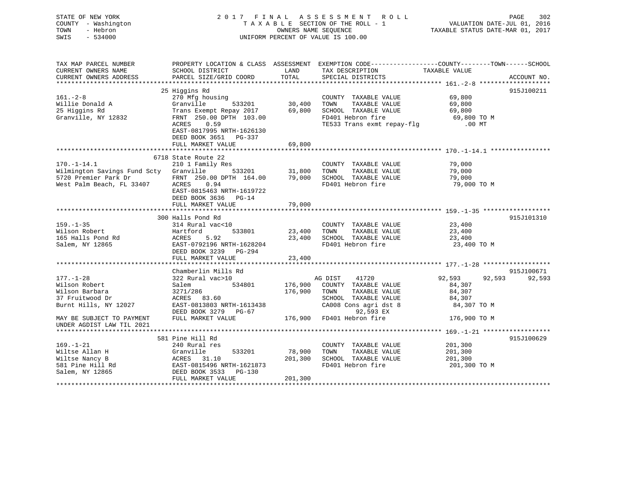| STATE OF NEW YORK<br>COUNTY - Washington<br>- Hebron<br>TOWN<br>SWIS<br>$-534000$                                | 2017 FINAL ASSESSMENT                                                                                                                                       | OWNERS NAME SEQUENCE          | R O L L<br>TAXABLE SECTION OF THE ROLL - 1<br>UNIFORM PERCENT OF VALUE IS 100.00                                                | VALUATION DATE-JUL 01, 2016<br>TAXABLE STATUS DATE-MAR 01, 2017 | PAGE<br>302   |
|------------------------------------------------------------------------------------------------------------------|-------------------------------------------------------------------------------------------------------------------------------------------------------------|-------------------------------|---------------------------------------------------------------------------------------------------------------------------------|-----------------------------------------------------------------|---------------|
| TAX MAP PARCEL NUMBER<br>CURRENT OWNERS NAME<br>CURRENT OWNERS ADDRESS                                           | PROPERTY LOCATION & CLASS ASSESSMENT EXEMPTION CODE----------------COUNTY-------TOWN------SCHOOL<br>SCHOOL DISTRICT<br>PARCEL SIZE/GRID COORD               | LAND<br>TOTAL                 | TAX DESCRIPTION<br>SPECIAL DISTRICTS                                                                                            | TAXABLE VALUE                                                   | ACCOUNT NO.   |
|                                                                                                                  |                                                                                                                                                             | * * * * * * * * * * * * * *   |                                                                                                                                 | ***************** 161.-2-8 *******************                  |               |
| $161. - 2 - 8$<br>Willie Donald A<br>25 Higgins Rd<br>Granville, NY 12832                                        | 25 Higgins Rd<br>270 Mfg housing<br>Granville<br>533201<br>Trans Exempt Repay 2017<br>FRNT 250.00 DPTH 103.00<br>ACRES<br>0.59<br>EAST-0817995 NRTH-1626130 | 30,400<br>69,800              | COUNTY TAXABLE VALUE<br>TOWN<br>TAXABLE VALUE<br>SCHOOL TAXABLE VALUE<br>FD401 Hebron fire<br>TE533 Trans exmt repay-flg        | 69,800<br>69,800<br>69,800<br>69,800 TO M<br>$.00$ MT           | 915J100211    |
|                                                                                                                  | DEED BOOK 3651 PG-337<br>FULL MARKET VALUE                                                                                                                  | 69,800                        |                                                                                                                                 |                                                                 |               |
|                                                                                                                  |                                                                                                                                                             |                               |                                                                                                                                 |                                                                 |               |
| $170. - 1 - 14.1$<br>Wilmington Savings Fund Scty Granville<br>5720 Premier Park Dr<br>West Palm Beach, FL 33407 | 6718 State Route 22<br>210 1 Family Res<br>533201<br>FRNT 250.00 DPTH 164.00<br>0.94<br>ACRES<br>EAST-0815463 NRTH-1619722                                  | 31,800<br>79,000              | COUNTY TAXABLE VALUE<br>TOWN<br>TAXABLE VALUE<br>SCHOOL TAXABLE VALUE<br>FD401 Hebron fire                                      | 79,000<br>79,000<br>79,000<br>79,000 TO M                       |               |
|                                                                                                                  | DEED BOOK 3636 PG-14<br>FULL MARKET VALUE                                                                                                                   | 79,000                        |                                                                                                                                 |                                                                 |               |
|                                                                                                                  | 300 Halls Pond Rd                                                                                                                                           |                               |                                                                                                                                 |                                                                 | 915J101310    |
| $159. - 1 - 35$<br>Wilson Robert<br>165 Halls Pond Rd<br>Salem, NY 12865                                         | 314 Rural vac<10<br>Hartford<br>533801<br><b>ACRES</b><br>5.92<br>EAST-0792196 NRTH-1628204<br>DEED BOOK 3239 PG-294                                        | 23,400<br>23,400              | COUNTY TAXABLE VALUE<br>TOWN<br>TAXABLE VALUE<br>SCHOOL TAXABLE VALUE<br>FD401 Hebron fire                                      | 23,400<br>23,400<br>23,400<br>23,400 TO M                       |               |
|                                                                                                                  | FULL MARKET VALUE                                                                                                                                           | 23,400<br>******************* |                                                                                                                                 |                                                                 |               |
|                                                                                                                  | Chamberlin Mills Rd                                                                                                                                         |                               |                                                                                                                                 |                                                                 | 915J100671    |
| $177. - 1 - 28$<br>Wilson Robert<br>Wilson Barbara<br>37 Fruitwood Dr<br>Burnt Hills, NY 12027                   | 322 Rural vac>10<br>Salem<br>534801<br>3271/286<br>ACRES 83.60<br>EAST-0813803 NRTH-1613438<br>DEED BOOK 3279 PG-67                                         | 176,900<br>176,900            | AG DIST<br>41720<br>COUNTY TAXABLE VALUE<br>TOWN<br>TAXABLE VALUE<br>SCHOOL TAXABLE VALUE<br>CA008 Cons agri dst 8<br>92,593 EX | 92,593<br>84,307<br>84,307<br>84,307<br>84,307 TO M             | 92,593 92,593 |
| MAY BE SUBJECT TO PAYMENT<br>UNDER AGDIST LAW TIL 2021                                                           | FULL MARKET VALUE                                                                                                                                           |                               | 176,900 FD401 Hebron fire                                                                                                       | 176,900 TO M                                                    |               |
|                                                                                                                  | 581 Pine Hill Rd                                                                                                                                            |                               |                                                                                                                                 |                                                                 | 915J100629    |
| $169. - 1 - 21$<br>Wiltse Allan H<br>Wiltse Nancy B<br>581 Pine Hill Rd<br>Salem, NY 12865                       | 240 Rural res<br>Granville<br>533201<br>ACRES 31.10<br>EAST-0815496 NRTH-1621873<br>DEED BOOK 3533 PG-130                                                   | 78,900<br>201,300             | COUNTY TAXABLE VALUE<br>TOWN<br>TAXABLE VALUE<br>SCHOOL TAXABLE VALUE<br>FD401 Hebron fire                                      | 201,300<br>201,300<br>201,300<br>201,300 TO M                   |               |
|                                                                                                                  | FULL MARKET VALUE                                                                                                                                           | 201,300                       |                                                                                                                                 |                                                                 |               |
|                                                                                                                  |                                                                                                                                                             |                               |                                                                                                                                 |                                                                 |               |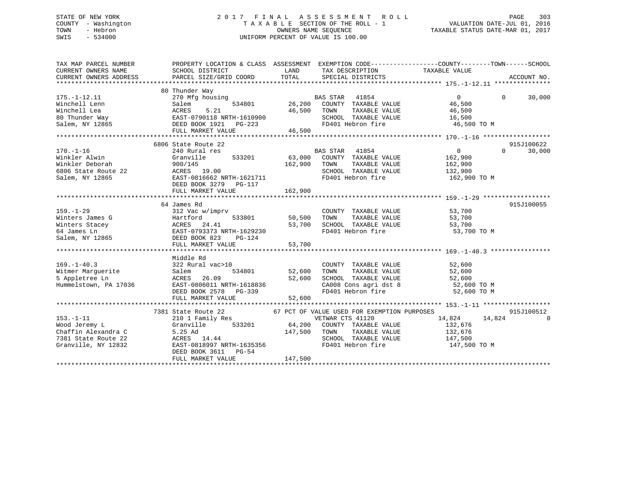# STATE OF NEW YORK 2 0 1 7 F I N A L A S S E S S M E N T R O L L PAGE 303 COUNTY - Washington T A X A B L E SECTION OF THE ROLL - 1 VALUATION DATE-JUL 01, 2016 TOWN - Hebron OWNERS NAME SEQUENCE TAXABLE STATUS DATE-MAR 01, 2017 SWIS - 534000 UNIFORM PERCENT OF VALUE IS 100.00

| TAX MAP PARCEL NUMBER                                                                                 | PROPERTY LOCATION & CLASS ASSESSMENT EXEMPTION CODE---------------COUNTY-------TOWN------SCHOOL                                                                        |                                     |                                                                                                                                                               |                                                                                                                       |                        |
|-------------------------------------------------------------------------------------------------------|------------------------------------------------------------------------------------------------------------------------------------------------------------------------|-------------------------------------|---------------------------------------------------------------------------------------------------------------------------------------------------------------|-----------------------------------------------------------------------------------------------------------------------|------------------------|
|                                                                                                       |                                                                                                                                                                        |                                     |                                                                                                                                                               |                                                                                                                       |                        |
| $175. - 1 - 12.11$<br>Winchell Lenn<br>Winchell Lea<br>80 Thunder Way                                 | 80 Thunder Way<br>270 Mfg housing<br>534801<br>Salem<br>ACRES<br>5.21<br>EAST-0790118 NRTH-1610900<br>DEED BOOK 1921 PG-223                                            | 46,500                              | <b>BAS STAR</b><br>41854<br>26,200 COUNTY TAXABLE VALUE<br>TOWN<br>TAXABLE VALUE<br>SCHOOL TAXABLE VALUE                                                      | $\Omega$<br>$\Omega$<br>46,500<br>46,500<br>16,500                                                                    | 30,000                 |
| Salem, NY 12865                                                                                       |                                                                                                                                                                        |                                     | FD401 Hebron fire                                                                                                                                             | 46,500 TO M                                                                                                           |                        |
|                                                                                                       | FULL MARKET VALUE                                                                                                                                                      | 46,500                              |                                                                                                                                                               |                                                                                                                       |                        |
|                                                                                                       |                                                                                                                                                                        |                                     |                                                                                                                                                               |                                                                                                                       |                        |
| $170. - 1 - 16$<br>Winkler Alwin<br>Winkler Deborah<br>6806 State Route 22<br>salam NY 12865          | 6806 State Route 22<br>240 Rural res<br>533201<br>Granville<br>900/145<br>ACRES 19.00<br>EAST-0816662 NRTH-1621711<br>DEED BOOK 3279<br>PG-117<br>FULL MARKET VALUE    | 162,900<br>162,900                  | <b>BAS STAR</b><br>41854<br>63,000 COUNTY TAXABLE VALUE<br>TAXABLE VALUE<br>TOWN<br>SCHOOL TAXABLE VALUE<br>FD401 Hebron fire                                 | $\overline{0}$<br>$\Omega$<br>162,900<br>162,900<br>132,900<br>162,900 TO M                                           | 915J100622<br>30,000   |
|                                                                                                       |                                                                                                                                                                        |                                     |                                                                                                                                                               |                                                                                                                       |                        |
| $159. - 1 - 29$<br>Winters James G<br>Winters Stacey<br>64 James Ln<br>Salem, NY 12865                | 64 James Rd<br>312 Vac w/imprv<br>Hartford<br>533801<br>ACRES 24.41<br>EAST-0793373 NRTH-1629230<br>DEED BOOK 823<br>$PG-124$<br>FULL MARKET VALUE                     | 50,500<br>53,700<br>53,700          | COUNTY TAXABLE VALUE<br>TAXABLE VALUE<br>TOWN<br>SCHOOL TAXABLE VALUE<br>FD401 Hebron fire                                                                    | 53,700<br>53,700<br>53,700<br>53,700 TO M                                                                             | 915J100055             |
|                                                                                                       | Middle Rd                                                                                                                                                              |                                     |                                                                                                                                                               |                                                                                                                       |                        |
| $169. - 1 - 40.3$<br>169.-1-40.3<br>Witmer Marguerite<br>5 Appletree Ln<br>Hummelstown, PA 17036      | 322 Rural vac>10<br>Salem<br>ACRES 26.09<br>EAST-0806011 NRTH-1618836<br>DEED BOOK 2578                                                                                | 534801 52,600<br>52,600<br>$PG-339$ | COUNTY TAXABLE VALUE<br>TAXABLE VALUE<br>TOWN<br>SCHOOL TAXABLE VALUE                                                                                         | 52,600<br>52,600<br>SCHOOL TAXABLE VALUE 52,600<br>CA008 Cons agri dst 8 52,600 TO M<br>FD401 Hebron fire 52,600 TO M |                        |
|                                                                                                       | FULL MARKET VALUE                                                                                                                                                      | 52,600                              |                                                                                                                                                               |                                                                                                                       |                        |
|                                                                                                       |                                                                                                                                                                        |                                     |                                                                                                                                                               |                                                                                                                       |                        |
| $153. - 1 - 11$<br>Wood Jeremy L<br>Chaffin Alexandra C<br>7381 State Route 22<br>Granville, NY 12832 | 7381 State Route 22<br>210 1 Family Res<br>Granville<br>$147,500$<br>ACRES $14.44$ $147,500$<br>EAST-0818997 NRTH-1635356<br>DEED BOOK 3611 PG-54<br>FULL MARKET VALUE | 533201 64,200<br>147,500            | 67 PCT OF VALUE USED FOR EXEMPTION PURPOSES<br>VETWAR CTS 41120<br>COUNTY TAXABLE VALUE<br>TAXABLE VALUE<br>TOWN<br>SCHOOL TAXABLE VALUE<br>FD401 Hebron fire | 14,824 14,824<br>132,676<br>132,676<br>$\frac{1}{147}$ , 500<br>147,500 TO M                                          | 915J100512<br>$\Omega$ |
|                                                                                                       |                                                                                                                                                                        |                                     |                                                                                                                                                               |                                                                                                                       |                        |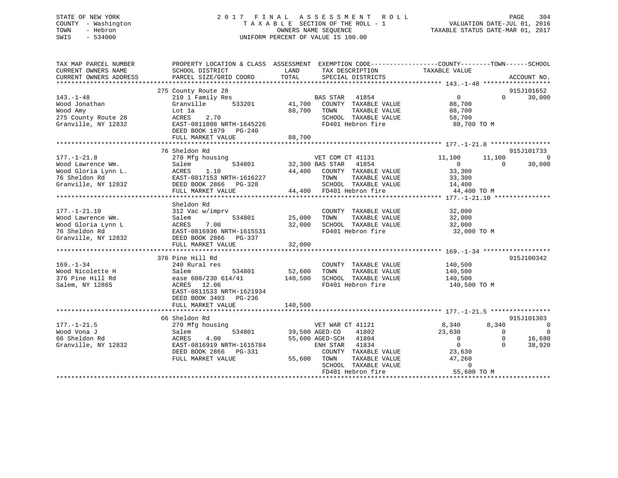# STATE OF NEW YORK 2 0 1 7 F I N A L A S S E S S M E N T R O L L PAGE 304 COUNTY - Washington T A X A B L E SECTION OF THE ROLL - 1 VALUATION DATE-JUL 01, 2016 TOWN - Hebron OWNERS NAME SEQUENCE TAXABLE STATUS DATE-MAR 01, 2017 SWIS - 534000 UNIFORM PERCENT OF VALUE IS 100.00

| TAX MAP PARCEL NUMBER<br>CURRENT OWNERS NAME<br>CURRENT OWNERS ADDRESS                                | PROPERTY LOCATION & CLASS ASSESSMENT<br>SCHOOL DISTRICT<br>PARCEL SIZE/GRID COORD                                                                                                      | LAND<br>TAX DESCRIPTION<br>TOTAL<br>SPECIAL DISTRICTS                                                                                                                                             | EXEMPTION CODE-----------------COUNTY-------TOWN------SCHOOL<br>TAXABLE VALUE<br>ACCOUNT NO.                                                                                                                     |
|-------------------------------------------------------------------------------------------------------|----------------------------------------------------------------------------------------------------------------------------------------------------------------------------------------|---------------------------------------------------------------------------------------------------------------------------------------------------------------------------------------------------|------------------------------------------------------------------------------------------------------------------------------------------------------------------------------------------------------------------|
| $143. - 1 - 48$<br>Wood Jonathan<br>Wood Amy<br>275 County Route 28<br>Granville, NY 12832            | 275 County Route 28<br>210 1 Family Res<br>Granville<br>533201<br>Lot la<br>2.70<br>ACRES<br>EAST-0811808 NRTH-1645226<br>DEED BOOK 1879 PG-240<br>FULL MARKET VALUE                   | BAS STAR<br>41854<br>41,700<br>COUNTY TAXABLE VALUE<br>88,700<br>TOWN<br>TAXABLE VALUE<br>SCHOOL TAXABLE VALUE<br>FD401 Hebron fire<br>88,700                                                     | 915J101652<br>$\overline{0}$<br>30,000<br>$\Omega$<br>88,700<br>88,700<br>58,700<br>88,700 TO M                                                                                                                  |
| $177. - 1 - 21.8$<br>Wood Lawrence Wm.<br>Wood Gloria Lynn L.<br>76 Sheldon Rd<br>Granville, NY 12832 | 76 Sheldon Rd<br>270 Mfg housing<br>534801<br>Salem<br>ACRES<br>1.10<br>EAST-0817153 NRTH-1616227<br>DEED BOOK 2866 PG-328<br>FULL MARKET VALUE<br>*********************************** | VET COM CT 41131<br>41854<br>32,300 BAS STAR<br>44,400 COUNTY TAXABLE VALUE<br>TOWN<br>TAXABLE VALUE<br>SCHOOL TAXABLE VALUE<br>44,400 FD401 Hebron fire                                          | 915J101733<br>11,100<br>11,100<br>$\overline{0}$<br>$\overline{0}$<br>$\Omega$<br>30,000<br>33,300<br>33,300<br>14,400<br>44,400 TO M                                                                            |
| $177. - 1 - 21.10$<br>Wood Lawrence Wm.<br>Wood Gloria Lynn L<br>76 Sheldon Rd<br>Granville, NY 12832 | Sheldon Rd<br>312 Vac w/imprv<br>534801<br>Salem<br>ACRES<br>7.00<br>EAST-0816936 NRTH-1615531<br>DEED BOOK 2866 PG-337<br>FULL MARKET VALUE                                           | COUNTY TAXABLE VALUE<br>TAXABLE VALUE<br>25,000<br>TOWN<br>32,000<br>SCHOOL TAXABLE VALUE<br>FD401 Hebron fire<br>32,000                                                                          | 32,000<br>32,000<br>32,000<br>32,000 TO M                                                                                                                                                                        |
| $169. - 1 - 34$<br>Wood Nicolette H<br>376 Pine Hill Rd<br>Salem, NY 12865                            | 376 Pine Hill Rd<br>240 Rural res<br>534801<br>Salem<br>ease 608/230 614/41<br>12.06<br>ACRES<br>EAST-0811533 NRTH-1621934<br>DEED BOOK 3403 PG-236<br>FULL MARKET VALUE               | COUNTY TAXABLE VALUE<br>52,600<br>TAXABLE VALUE<br>TOWN<br>140,500<br>SCHOOL TAXABLE VALUE<br>FD401 Hebron fire<br>140,500                                                                        | 915J100342<br>140,500<br>140,500<br>140,500<br>140,500 TO M                                                                                                                                                      |
| $177. - 1 - 21.5$<br>Wood Vona J<br>66 Sheldon Rd<br>Granville, NY 12832                              | 66 Sheldon Rd<br>270 Mfg housing<br>534801<br>Salem<br>4.00<br>ACRES<br>EAST-0816919 NRTH-1615784<br>DEED BOOK 2866<br>PG-331<br>FULL MARKET VALUE                                     | VET WAR CT 41121<br>39,500 AGED-CO<br>41802<br>55,600 AGED-SCH 41804<br>41834<br>ENH STAR<br>COUNTY TAXABLE VALUE<br>55,600<br>TOWN<br>TAXABLE VALUE<br>SCHOOL TAXABLE VALUE<br>FD401 Hebron fire | 915J101303<br>8,340<br>8,340<br>$\Omega$<br>23,630<br>$\Omega$<br>$\mathbf{0}$<br>$\overline{0}$<br>$\mathbf 0$<br>16,680<br>$\overline{0}$<br>$\Omega$<br>38,920<br>23,630<br>47,260<br>$\Omega$<br>55,600 TO M |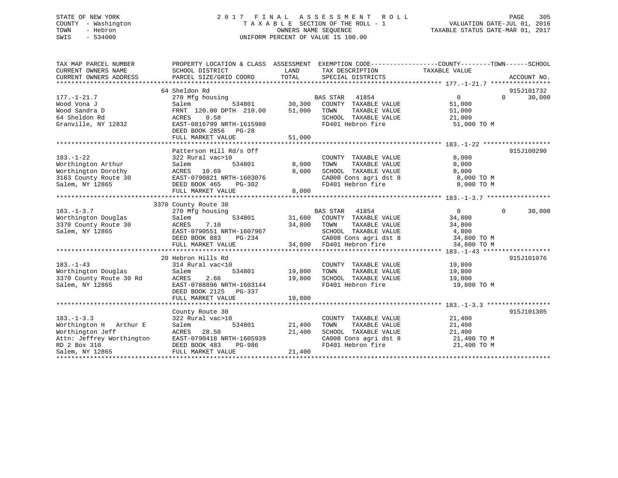# STATE OF NEW YORK 2 0 1 7 F I N A L A S S E S S M E N T R O L L PAGE 305 COUNTY - Washington T A X A B L E SECTION OF THE ROLL - 1 VALUATION DATE-JUL 01, 2016 TOWN - Hebron OWNERS NAME SEQUENCE TAXABLE STATUS DATE-MAR 01, 2017 SWIS - 534000 UNIFORM PERCENT OF VALUE IS 100.00

| TAX MAP PARCEL NUMBER<br>CURRENT OWNERS NAME<br>CURRENT OWNERS ADDRESS                                                         | PROPERTY LOCATION & CLASS ASSESSMENT EXEMPTION CODE----------------COUNTY-------TOWN------SCHOOL<br>SCHOOL DISTRICT<br>PARCEL SIZE/GRID COORD                | LAND<br>TOTAL                      | TAX DESCRIPTION<br>SPECIAL DISTRICTS                                                                                                                                                                  | TAXABLE VALUE                                         | ACCOUNT NO.                      |
|--------------------------------------------------------------------------------------------------------------------------------|--------------------------------------------------------------------------------------------------------------------------------------------------------------|------------------------------------|-------------------------------------------------------------------------------------------------------------------------------------------------------------------------------------------------------|-------------------------------------------------------|----------------------------------|
| $177. - 1 - 21.7$<br>Wood Vona J<br>Wood Sandra D<br>64 Sheldon Rd<br>Granville, NY 12832                                      | 64 Sheldon Rd<br>270 Mfg housing<br>Salem<br>FRNT 120.00 DPTH 210.00<br>ACRES 0.58<br>EAST-0816799 NRTH-1615980<br>DEED BOOK 2856 PG-28<br>FULL MARKET VALUE | 51,000<br>51,000                   | BAS STAR 41854<br>534801 30,300 COUNTY TAXABLE VALUE<br>TAXABLE VALUE<br>TOWN<br>SCHOOL TAXABLE VALUE<br>FD401 Hebron fire                                                                            | $\Omega$<br>51,000<br>51,000<br>21,000<br>51,000 TO M | 915J101732<br>30,000<br>$\Omega$ |
| $183. - 1 - 22$<br>Worthington Arthur<br>Worthington Dorothy<br>3163 County Route 30<br>Salem, NY 12865                        | Patterson Hill Rd/s Off<br>322 Rural vac>10<br>534801<br>Salem<br>ACRES 10.69<br>EAST-0790821 NRTH-1603076<br>DEED BOOK 465<br>PG-302<br>FULL MARKET VALUE   | 8,000<br>8,000<br>8,000            | COUNTY TAXABLE VALUE<br>TAXABLE VALUE<br>TOWN<br>SCHOOL TAXABLE VALUE 8,000<br>CA008 Cons agri dst 8 8,000 TO M<br>FD401 Hebron fire 8 8,000 TO M                                                     | 8,000<br>8,000                                        | 915J100290                       |
| $183. - 1 - 3.7$<br>Worthington Douglas<br>3370 County Route 30<br>Salem, NY 12865                                             | 3370 County Route 30<br>270 Mfg housing<br>Salem<br>7.10<br>ACRES<br>EAST-0790551 NRTH-1607967<br>DEED BOOK 883<br>FULL MARKET VALUE                         | 34,800 TOWN<br>H-1607967<br>PG-234 | BAS STAR 41854<br>534801 31,600 COUNTY TAXABLE VALUE<br>TAXABLE VALUE<br>607967 SCHOOL TAXABLE VALUE $4,800$<br>-234 34,800 CA008 Cons agri dst 8 34,800 TO M<br>34,800 TD401 Hebron fire 34,800 TO M | $\overline{0}$<br>34,800<br>34,800                    | $\mathbf 0$<br>30,000            |
| $183. - 1 - 43$<br>Worthington Douglas<br>3370 County Route 30 Rd<br>Salem, NY 12865                                           | 20 Hebron Hills Rd<br>314 Rural vac<10<br>Salem<br>534801<br>ACRES<br>2.66<br>EAST-0788896 NRTH-1603144<br>DEED BOOK 2125 PG-337<br>FULL MARKET VALUE        | 19,800<br>19,800<br>19,800         | COUNTY TAXABLE VALUE 19,800<br>FD401 Hebron fire 19,800 TO M                                                                                                                                          |                                                       | 915J101076                       |
| $183. - 1 - 3.3$<br>Worthington H Arthur E<br>Worthington Jeff<br>Attn: Jeffrey Worthington<br>RD 2 Box 310<br>Salem, NY 12865 | County Route 30<br>322 Rural vac>10<br>Salem<br>ACRES 28.50<br>PG-986<br>DEED BOOK 483<br>FULL MARKET VALUE                                                  | 534801 21,400<br>21,400<br>21,400  | COUNTY TAXABLE VALUE 21,400<br>TAXABLE VALUE<br>TOWN<br>SCHOOL TAXABLE VALUE 21,400<br>CA008 Cons agri dst 8 21,400 TO M<br>FD401 Hebron fire                                                         | 21,400<br>21,400 TO M                                 | 915J101305                       |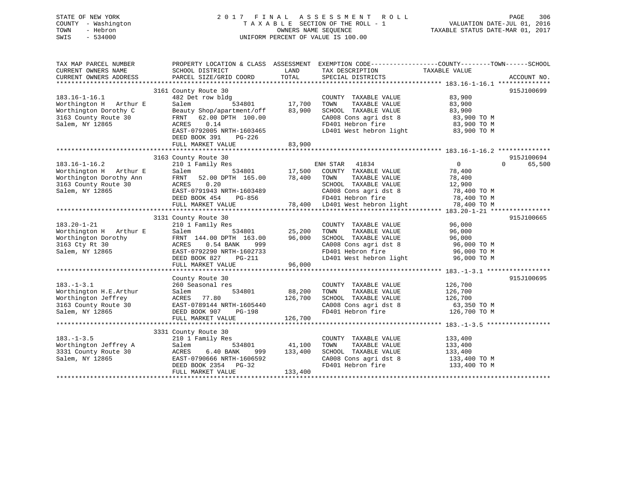# STATE OF NEW YORK 2 0 1 7 F I N A L A S S E S S M E N T R O L L PAGE 306 COUNTY - Washington T A X A B L E SECTION OF THE ROLL - 1 VALUATION DATE-JUL 01, 2016 TOWN - Hebron OWNERS NAME SEQUENCE TAXABLE STATUS DATE-MAR 01, 2017 SWIS - 534000 UNIFORM PERCENT OF VALUE IS 100.00

| CURRENT OWNERS ADDRESS<br>PARCEL SIZE/GRID COORD<br>TOTAL<br>SPECIAL DISTRICTS<br>ACCOUNT NO.<br>3161 County Route 30<br>915J100699<br>482 Det row bldg<br>$183.16 - 1 - 16.1$<br>COUNTY TAXABLE VALUE<br>83,900<br>17,700<br>Worthington H Arthur E<br>Salem<br>534801<br>TOWN<br>TAXABLE VALUE<br>83,900<br>Worthington Dorothy C<br>83,900<br>SCHOOL TAXABLE VALUE<br>83,900<br>Beauty Shop/apartment/off<br>CA008 Cons agri dst 8 3,900 TO M<br>3163 County Route 30<br>FRNT 62.00 DPTH 100.00<br>FD401 Hebron fire<br>Salem, NY 12865<br>0.14<br>ACRES<br>83,900 TO M<br>LD401 West hebron light 83,900 TO M<br>EAST-0792005 NRTH-1603465<br>DEED BOOK 391<br>PG-226<br>83,900<br>FULL MARKET VALUE | PROPERTY LOCATION & CLASS ASSESSMENT EXEMPTION CODE-----------------COUNTY--------TOWN------SCHOOL |
|----------------------------------------------------------------------------------------------------------------------------------------------------------------------------------------------------------------------------------------------------------------------------------------------------------------------------------------------------------------------------------------------------------------------------------------------------------------------------------------------------------------------------------------------------------------------------------------------------------------------------------------------------------------------------------------------------------|----------------------------------------------------------------------------------------------------|
|                                                                                                                                                                                                                                                                                                                                                                                                                                                                                                                                                                                                                                                                                                          |                                                                                                    |
|                                                                                                                                                                                                                                                                                                                                                                                                                                                                                                                                                                                                                                                                                                          |                                                                                                    |
|                                                                                                                                                                                                                                                                                                                                                                                                                                                                                                                                                                                                                                                                                                          |                                                                                                    |
|                                                                                                                                                                                                                                                                                                                                                                                                                                                                                                                                                                                                                                                                                                          |                                                                                                    |
|                                                                                                                                                                                                                                                                                                                                                                                                                                                                                                                                                                                                                                                                                                          |                                                                                                    |
|                                                                                                                                                                                                                                                                                                                                                                                                                                                                                                                                                                                                                                                                                                          |                                                                                                    |
|                                                                                                                                                                                                                                                                                                                                                                                                                                                                                                                                                                                                                                                                                                          |                                                                                                    |
|                                                                                                                                                                                                                                                                                                                                                                                                                                                                                                                                                                                                                                                                                                          |                                                                                                    |
|                                                                                                                                                                                                                                                                                                                                                                                                                                                                                                                                                                                                                                                                                                          |                                                                                                    |
|                                                                                                                                                                                                                                                                                                                                                                                                                                                                                                                                                                                                                                                                                                          |                                                                                                    |
| 915J100694<br>3163 County Route 30                                                                                                                                                                                                                                                                                                                                                                                                                                                                                                                                                                                                                                                                       |                                                                                                    |
| $183.16 - 1 - 16.2$<br>ENH STAR<br>$\overline{0}$<br>$\Omega$<br>210 1 Family Res<br>41834<br>65,500                                                                                                                                                                                                                                                                                                                                                                                                                                                                                                                                                                                                     |                                                                                                    |
| Worthington H Arthur E<br>534801 17,500 COUNTY TAXABLE VALUE<br>Salem<br>78,400                                                                                                                                                                                                                                                                                                                                                                                                                                                                                                                                                                                                                          |                                                                                                    |
| 78,400<br>Worthington Dorothy Ann<br>TAXABLE VALUE<br>78,400<br>FRNT 52.00 DPTH 165.00<br>TOWN                                                                                                                                                                                                                                                                                                                                                                                                                                                                                                                                                                                                           |                                                                                                    |
| ACRES 0.20<br>SCHOOL TAXABLE VALUE<br>3163 County Route 30<br>12,900                                                                                                                                                                                                                                                                                                                                                                                                                                                                                                                                                                                                                                     |                                                                                                    |
| Salem, NY 12865<br>EAST-0791943 NRTH-1603489<br>CA008 Cons agri dst 8<br>78,400 TO M                                                                                                                                                                                                                                                                                                                                                                                                                                                                                                                                                                                                                     |                                                                                                    |
| FD401 Hebron fire<br>78,400 TO M<br>DEED BOOK 454<br>PG-856                                                                                                                                                                                                                                                                                                                                                                                                                                                                                                                                                                                                                                              |                                                                                                    |
| 78,400 TO M<br>78,400 LD401 West hebron light<br>FULL MARKET VALUE                                                                                                                                                                                                                                                                                                                                                                                                                                                                                                                                                                                                                                       |                                                                                                    |
| 3131 County Route 30<br>915J100665                                                                                                                                                                                                                                                                                                                                                                                                                                                                                                                                                                                                                                                                       |                                                                                                    |
| $183.20 - 1 - 21$<br>210 1 Family Res<br>COUNTY TAXABLE VALUE<br>96,000                                                                                                                                                                                                                                                                                                                                                                                                                                                                                                                                                                                                                                  |                                                                                                    |
| 25,200<br>Worthington H Arthur E<br>Salem<br>534801<br>TOWN<br>TAXABLE VALUE<br>96,000                                                                                                                                                                                                                                                                                                                                                                                                                                                                                                                                                                                                                   |                                                                                                    |
| Worthington Dorothy<br>96,000<br>SCHOOL TAXABLE VALUE<br>96,000<br>FRNT 144.00 DPTH 163.00                                                                                                                                                                                                                                                                                                                                                                                                                                                                                                                                                                                                               |                                                                                                    |
| CA008 Cons agri dst 8 96,000 TO M<br>3163 Cty Rt 30<br>ACRES<br>$0.54$ BANK<br>999                                                                                                                                                                                                                                                                                                                                                                                                                                                                                                                                                                                                                       |                                                                                                    |
| EAST-0792290 NRTH-1602733<br>FD401 Hebron fire<br>Salem, NY 12865<br>96,000 TO M                                                                                                                                                                                                                                                                                                                                                                                                                                                                                                                                                                                                                         |                                                                                                    |
| LD401 West hebron light<br>DEED BOOK 827<br>PG-211<br>96,000 TO M                                                                                                                                                                                                                                                                                                                                                                                                                                                                                                                                                                                                                                        |                                                                                                    |
| FULL MARKET VALUE<br>96,000                                                                                                                                                                                                                                                                                                                                                                                                                                                                                                                                                                                                                                                                              |                                                                                                    |
| 915J100695<br>County Route 30                                                                                                                                                                                                                                                                                                                                                                                                                                                                                                                                                                                                                                                                            |                                                                                                    |
| $183. - 1 - 3.1$<br>260 Seasonal res<br>COUNTY TAXABLE VALUE<br>126,700                                                                                                                                                                                                                                                                                                                                                                                                                                                                                                                                                                                                                                  |                                                                                                    |
| 88,200<br>Worthington H.E.Arthur<br>534801<br>TAXABLE VALUE<br>Salem<br>TOWN<br>126,700                                                                                                                                                                                                                                                                                                                                                                                                                                                                                                                                                                                                                  |                                                                                                    |
| Worthington Jeffrey<br>ACRES 77.80<br>126,700<br>SCHOOL TAXABLE VALUE<br>126,700                                                                                                                                                                                                                                                                                                                                                                                                                                                                                                                                                                                                                         |                                                                                                    |
| CA008 Cons agri dst 8 63,350 TO M<br>3163 County Route 30<br>EAST-0789144 NRTH-1605440                                                                                                                                                                                                                                                                                                                                                                                                                                                                                                                                                                                                                   |                                                                                                    |
| FD401 Hebron fire 126,700 TO M<br>Salem, NY 12865<br>DEED BOOK 907<br>PG-198                                                                                                                                                                                                                                                                                                                                                                                                                                                                                                                                                                                                                             |                                                                                                    |
| 126,700<br>FULL MARKET VALUE                                                                                                                                                                                                                                                                                                                                                                                                                                                                                                                                                                                                                                                                             |                                                                                                    |
|                                                                                                                                                                                                                                                                                                                                                                                                                                                                                                                                                                                                                                                                                                          |                                                                                                    |
| 3331 County Route 30                                                                                                                                                                                                                                                                                                                                                                                                                                                                                                                                                                                                                                                                                     |                                                                                                    |
| $183. - 1 - 3.5$<br>210 1 Family Res<br>COUNTY TAXABLE VALUE<br>133,400                                                                                                                                                                                                                                                                                                                                                                                                                                                                                                                                                                                                                                  |                                                                                                    |
| Worthington Jeffrey A<br>Salem<br>534801<br>41,100<br>TAXABLE VALUE<br>133,400<br>TOWN                                                                                                                                                                                                                                                                                                                                                                                                                                                                                                                                                                                                                   |                                                                                                    |
| SCHOOL TAXABLE VALUE<br>3331 County Route 30<br>ACRES<br>6.40 BANK<br>133,400<br>133,400<br>999                                                                                                                                                                                                                                                                                                                                                                                                                                                                                                                                                                                                          |                                                                                                    |
| CA008 Cons agri dst 8<br>Salem, NY 12865<br>EAST-0790666 NRTH-1606592<br>133,400 TO M                                                                                                                                                                                                                                                                                                                                                                                                                                                                                                                                                                                                                    |                                                                                                    |
| FD401 Hebron fire<br>DEED BOOK 2354 PG-32<br>133,400 TO M                                                                                                                                                                                                                                                                                                                                                                                                                                                                                                                                                                                                                                                |                                                                                                    |
| FULL MARKET VALUE<br>133,400                                                                                                                                                                                                                                                                                                                                                                                                                                                                                                                                                                                                                                                                             |                                                                                                    |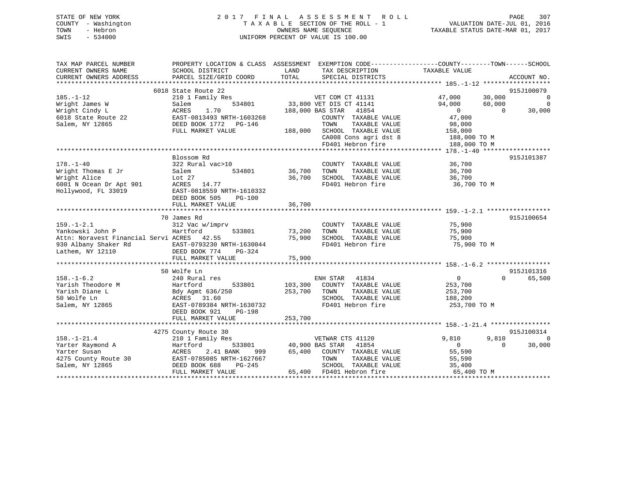# STATE OF NEW YORK 2 0 1 7 F I N A L A S S E S S M E N T R O L L PAGE 307 COUNTY - Washington T A X A B L E SECTION OF THE ROLL - 1 VALUATION DATE-JUL 01, 2016 TOWN - Hebron OWNERS NAME SEQUENCE TAXABLE STATUS DATE-MAR 01, 2017 SWIS - 534000 UNIFORM PERCENT OF VALUE IS 100.00

| TAX MAP PARCEL NUMBER<br>CURRENT OWNERS NAME<br>CURRENT OWNERS ADDRESS                    | PROPERTY LOCATION & CLASS ASSESSMENT<br>SCHOOL DISTRICT<br>PARCEL SIZE/GRID COORD                                              | LAND<br>TAX DESCRIPTION<br>TOTAL<br>SPECIAL DISTRICTS                                                                                 | EXEMPTION CODE-----------------COUNTY-------TOWN------SCHOOL<br>TAXABLE VALUE<br>ACCOUNT NO. |
|-------------------------------------------------------------------------------------------|--------------------------------------------------------------------------------------------------------------------------------|---------------------------------------------------------------------------------------------------------------------------------------|----------------------------------------------------------------------------------------------|
|                                                                                           |                                                                                                                                |                                                                                                                                       |                                                                                              |
| $185. - 1 - 12$<br>Wright James W                                                         | 6018 State Route 22<br>210 1 Family Res<br>534801<br>Salem                                                                     | VET COM CT 41131<br>33,800 VET DIS CT 41141                                                                                           | 915J100079<br>47,000<br>30,000<br>0<br>94,000<br>60,000<br>$\Omega$                          |
| Wright Cindy L<br>6018 State Route 22                                                     | ACRES<br>1.70<br>EAST-0813493 NRTH-1603268                                                                                     | 188,000 BAS STAR<br>41854<br>COUNTY TAXABLE VALUE                                                                                     | 30,000<br>$\overline{0}$<br>$\Omega$<br>47,000                                               |
| Salem, NY 12865                                                                           | DEED BOOK 1772<br>PG-146<br>FULL MARKET VALUE                                                                                  | TOWN<br>TAXABLE VALUE<br>SCHOOL TAXABLE VALUE<br>188,000<br>CA008 Cons agri dst 8<br>FD401 Hebron fire                                | 98,000<br>158,000<br>188,000 TO M<br>188,000 TO M                                            |
|                                                                                           |                                                                                                                                |                                                                                                                                       |                                                                                              |
| $178. - 1 - 40$                                                                           | Blossom Rd<br>322 Rural vac>10                                                                                                 | COUNTY TAXABLE VALUE                                                                                                                  | 915J101387<br>36,700                                                                         |
| Wright Thomas E Jr<br>Wright Alice<br>6001 N Ocean Dr Apt 901<br>Hollywood, FL 33019      | 534801<br>Salem<br>Lot 27<br>ACRES<br>14.77<br>EAST-0818559 NRTH-1610332<br>DEED BOOK 505<br>$PG-100$                          | 36,700<br>TOWN<br>TAXABLE VALUE<br>36,700<br>SCHOOL TAXABLE VALUE<br>FD401 Hebron fire                                                | 36,700<br>36,700<br>36,700 TO M                                                              |
|                                                                                           | FULL MARKET VALUE                                                                                                              | 36,700                                                                                                                                |                                                                                              |
|                                                                                           |                                                                                                                                |                                                                                                                                       |                                                                                              |
| $159. - 1 - 2.1$<br>Yankowski John P<br>Attn: Noravest Financial Servi ACRES 42.55        | 70 James Rd<br>312 Vac w/imprv<br>533801<br>Hartford                                                                           | COUNTY TAXABLE VALUE<br>73,200<br>TOWN<br>TAXABLE VALUE<br>75,900<br>SCHOOL TAXABLE VALUE                                             | 915J100654<br>75,900<br>75,900                                                               |
| 930 Albany Shaker Rd<br>Lathem, NY 12110                                                  | EAST-0793230 NRTH-1630044<br>DEED BOOK 774<br>$PG-324$                                                                         | FD401 Hebron fire                                                                                                                     | 75,900<br>75,900 TO M                                                                        |
|                                                                                           | FULL MARKET VALUE                                                                                                              | 75,900                                                                                                                                |                                                                                              |
|                                                                                           | 50 Wolfe Ln                                                                                                                    |                                                                                                                                       | 915J101316                                                                                   |
| $158. - 1 - 6.2$<br>Yarish Theodore M<br>Yarish Diane L<br>50 Wolfe Ln<br>Salem, NY 12865 | 240 Rural res<br>533801<br>Hartford<br>Bdy Agmt 636/250<br>ACRES 31.60<br>EAST-0789384 NRTH-1630732<br>DEED BOOK 921<br>PG-198 | ENH STAR<br>41834<br>103,300<br>COUNTY TAXABLE VALUE<br>253,700<br>TOWN<br>TAXABLE VALUE<br>SCHOOL TAXABLE VALUE<br>FD401 Hebron fire | $\overline{0}$<br>65,500<br>$\Omega$<br>253,700<br>253,700<br>188,200<br>253,700 TO M        |
|                                                                                           | FULL MARKET VALUE                                                                                                              | 253,700                                                                                                                               |                                                                                              |
|                                                                                           |                                                                                                                                |                                                                                                                                       |                                                                                              |
| $158. - 1 - 21.4$                                                                         | 4275 County Route 30<br>210 1 Family Res                                                                                       | VETWAR CTS 41120                                                                                                                      | 915J100314<br>9,810<br>9,810<br>$\Omega$                                                     |
| Yarter Raymond A                                                                          | Hartford<br>533801                                                                                                             | 40,900 BAS STAR<br>41854                                                                                                              | 30,000<br>$\overline{0}$<br>$\Omega$                                                         |
| Yarter Susan<br>4275 County Route 30                                                      | ACRES<br>2.41 BANK<br>999<br>EAST-0785085 NRTH-1627667                                                                         | 65,400<br>COUNTY TAXABLE VALUE<br>TOWN<br>TAXABLE VALUE                                                                               | 55,590<br>55,590                                                                             |
| Salem, NY 12865                                                                           | $PG-245$<br>DEED BOOK 688<br>FULL MARKET VALUE                                                                                 | SCHOOL TAXABLE VALUE<br>65,400<br>FD401 Hebron fire                                                                                   | 35,400<br>65,400 TO M                                                                        |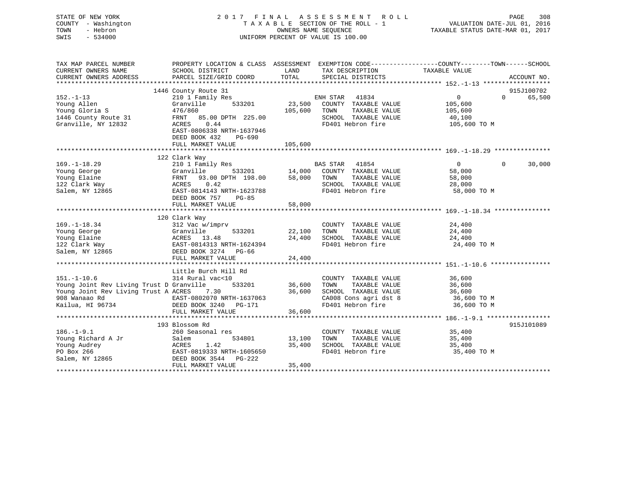| STATE OF NEW YORK<br>COUNTY - Washington<br>- Hebron<br>TOWN<br>SWIS<br>$-534000$ | 2017 FINAL ASSESSMENT ROLL<br>TAXABLE SECTION OF THE ROLL - 1<br>UNIFORM PERCENT OF VALUE IS 100.00 | PAGE<br>308<br>VALUATION DATE-JUL 01, 2016<br>TAXABLE STATUS DATE-MAR 01, 2017 |                                           |                                                                                                  |
|-----------------------------------------------------------------------------------|-----------------------------------------------------------------------------------------------------|--------------------------------------------------------------------------------|-------------------------------------------|--------------------------------------------------------------------------------------------------|
| TAX MAP PARCEL NUMBER                                                             |                                                                                                     |                                                                                |                                           | PROPERTY LOCATION & CLASS ASSESSMENT EXEMPTION CODE----------------COUNTY-------TOWN------SCHOOL |
| CURRENT OWNERS NAME<br>CURRENT OWNERS ADDRESS                                     | SCHOOL DISTRICT<br>PARCEL SIZE/GRID COORD                                                           | LAND<br>TOTAL                                                                  | TAX DESCRIPTION<br>SPECIAL DISTRICTS      | TAXABLE VALUE<br>ACCOUNT NO.                                                                     |
|                                                                                   |                                                                                                     |                                                                                |                                           |                                                                                                  |
|                                                                                   | 1446 County Route 31                                                                                |                                                                                |                                           | 915J100702                                                                                       |
| $152. - 1 - 13$                                                                   | 210 1 Family Res                                                                                    |                                                                                | ENH STAR 41834                            | $\overline{0}$<br>$\Omega$<br>65,500                                                             |
| Young Allen                                                                       | 533201<br>Granville                                                                                 | 23,500                                                                         | COUNTY TAXABLE VALUE                      | 105,600                                                                                          |
| Young Gloria S                                                                    | 476/860                                                                                             | 105,600                                                                        | TAXABLE VALUE<br>TOWN                     | 105,600                                                                                          |
| 1446 County Route 31                                                              | FRNT 85.00 DPTH 225.00                                                                              |                                                                                | SCHOOL TAXABLE VALUE                      | 40,100                                                                                           |
| Granville, NY 12832                                                               | ACRES<br>0.44                                                                                       |                                                                                | FD401 Hebron fire                         | 105,600 TO M                                                                                     |
|                                                                                   | EAST-0806338 NRTH-1637946<br>DEED BOOK 432<br>PG-690                                                |                                                                                |                                           |                                                                                                  |
|                                                                                   | FULL MARKET VALUE                                                                                   | 105,600                                                                        |                                           |                                                                                                  |
|                                                                                   |                                                                                                     |                                                                                |                                           |                                                                                                  |
|                                                                                   | 122 Clark Way                                                                                       |                                                                                |                                           |                                                                                                  |
| $169. - 1 - 18.29$                                                                | 210 1 Family Res                                                                                    |                                                                                | BAS STAR 41854                            | $\overline{0}$<br>30,000<br>$\Omega$                                                             |
| Young George                                                                      | Granville<br>533201                                                                                 | 14,000                                                                         | COUNTY TAXABLE VALUE                      | 58,000                                                                                           |
| Young Elaine                                                                      | 93.00 DPTH 198.00<br>FRNT                                                                           | 58,000                                                                         | TOWN<br>TAXABLE VALUE                     | 58,000                                                                                           |
| 122 Clark Way<br>Salem, NY 12865                                                  | 0.42<br>ACRES<br>EAST-0814143 NRTH-1623788                                                          |                                                                                | SCHOOL TAXABLE VALUE<br>FD401 Hebron fire | 28,000<br>58,000 TO M                                                                            |
|                                                                                   | DEED BOOK 757<br>PG-85                                                                              |                                                                                |                                           |                                                                                                  |
|                                                                                   | FULL MARKET VALUE                                                                                   | 58,000                                                                         |                                           |                                                                                                  |
|                                                                                   | ******************************                                                                      | ***********                                                                    |                                           | ********************* 169. -1-18.34 ****************                                             |
|                                                                                   | 120 Clark Way                                                                                       |                                                                                |                                           |                                                                                                  |
| $169. - 1 - 18.34$                                                                | 312 Vac w/imprv                                                                                     |                                                                                | COUNTY TAXABLE VALUE                      | 24,400                                                                                           |
| Young George                                                                      | Granville<br>533201                                                                                 | 22,100                                                                         | TOWN<br>TAXABLE VALUE                     | 24,400                                                                                           |
| Young Elaine                                                                      | ACRES 13.48                                                                                         | 24,400                                                                         | SCHOOL TAXABLE VALUE                      | 24,400                                                                                           |
| 122 Clark Way<br>Salem, NY 12865                                                  | EAST-0814313 NRTH-1624394<br>DEED BOOK 3274 PG-66                                                   |                                                                                | FD401 Hebron fire                         | 24,400 TO M                                                                                      |
|                                                                                   | FULL MARKET VALUE                                                                                   | 24,400                                                                         |                                           |                                                                                                  |
|                                                                                   |                                                                                                     |                                                                                |                                           |                                                                                                  |
|                                                                                   | Little Burch Hill Rd                                                                                |                                                                                |                                           |                                                                                                  |
| $151. - 1 - 10.6$                                                                 | 314 Rural vac<10                                                                                    |                                                                                | COUNTY TAXABLE VALUE                      | 36,600                                                                                           |
| Young Joint Rev Living Trust D Granville                                          | 533201                                                                                              | 36,600                                                                         | TAXABLE VALUE<br>TOWN                     | 36,600                                                                                           |
| Young Joint Rev Living Trust A ACRES 7.30                                         |                                                                                                     | 36,600                                                                         | SCHOOL TAXABLE VALUE                      | 36,600                                                                                           |
| 908 Wanaao Rd                                                                     | EAST-0802070 NRTH-1637063                                                                           |                                                                                | CA008 Cons agri dst 8                     | 36,600 TO M                                                                                      |
| Kailua, HI 96734                                                                  | DEED BOOK 3240 PG-171                                                                               | 36,600                                                                         | FD401 Hebron fire                         | 36,600 TO M                                                                                      |
|                                                                                   | FULL MARKET VALUE                                                                                   |                                                                                |                                           |                                                                                                  |
|                                                                                   | 193 Blossom Rd                                                                                      |                                                                                |                                           | 915J101089                                                                                       |
| $186. - 1 - 9.1$                                                                  | 260 Seasonal res                                                                                    |                                                                                | COUNTY TAXABLE VALUE                      | 35,400                                                                                           |
| Young Richard A Jr                                                                | Salem<br>534801                                                                                     | 13,100                                                                         | TOWN<br>TAXABLE VALUE                     | 35,400                                                                                           |
| Young Audrey                                                                      |                                                                                                     | 35,400                                                                         | SCHOOL TAXABLE VALUE                      | 35,400                                                                                           |
| PO Box 266                                                                        | ACRES 1.42<br>EAST-0819333 NRTH-1605650                                                             |                                                                                | FD401 Hebron fire                         | 35,400 TO M                                                                                      |
| Salem, NY 12865                                                                   | DEED BOOK 3544<br>PG-222                                                                            |                                                                                |                                           |                                                                                                  |
|                                                                                   | FULL MARKET VALUE                                                                                   | 35,400                                                                         |                                           |                                                                                                  |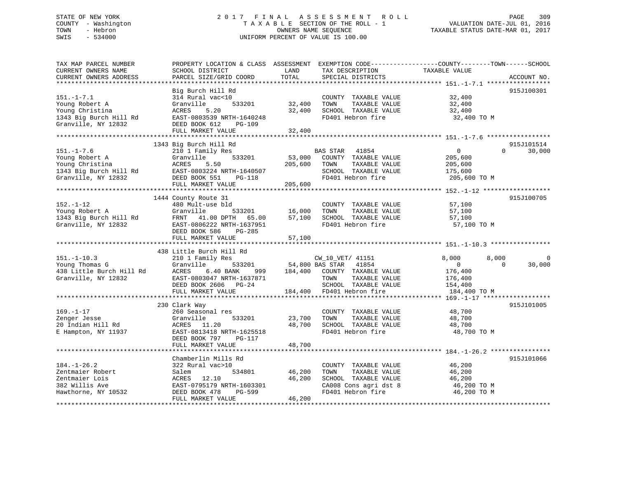# STATE OF NEW YORK 2 0 1 7 F I N A L A S S E S S M E N T R O L L PAGE 309 COUNTY - Washington T A X A B L E SECTION OF THE ROLL - 1 VALUATION DATE-JUL 01, 2016 TOWN - Hebron OWNERS NAME SEQUENCE TAXABLE STATUS DATE-MAR 01, 2017 SWIS - 534000 UNIFORM PERCENT OF VALUE IS 100.00

| TAX MAP PARCEL NUMBER<br>CURRENT OWNERS NAME<br>CURRENT OWNERS ADDRESS                                 | PROPERTY LOCATION & CLASS ASSESSMENT<br>SCHOOL DISTRICT<br>PARCEL SIZE/GRID COORD                                                                                               | LAND<br>TOTAL                | TAX DESCRIPTION<br>SPECIAL DISTRICTS                                                                                                               | EXEMPTION CODE-----------------COUNTY-------TOWN------SCHOOL<br>TAXABLE VALUE   | ACCOUNT NO.                      |
|--------------------------------------------------------------------------------------------------------|---------------------------------------------------------------------------------------------------------------------------------------------------------------------------------|------------------------------|----------------------------------------------------------------------------------------------------------------------------------------------------|---------------------------------------------------------------------------------|----------------------------------|
| ***********************                                                                                |                                                                                                                                                                                 |                              |                                                                                                                                                    |                                                                                 |                                  |
| $151. - 1 - 7.1$<br>Young Robert A<br>Young Christina<br>1343 Big Burch Hill Rd<br>Granville, NY 12832 | Big Burch Hill Rd<br>314 Rural vac<10<br>Granville<br>533201<br>ACRES<br>5.20<br>EAST-0803539 NRTH-1640248<br>DEED BOOK 612<br><b>PG-109</b><br>FULL MARKET VALUE               | 32,400<br>32,400<br>32,400   | COUNTY TAXABLE VALUE<br>TOWN<br>TAXABLE VALUE<br>SCHOOL TAXABLE VALUE<br>FD401 Hebron fire                                                         | 32,400<br>32,400<br>32,400<br>32,400 TO M                                       | 915J100301                       |
|                                                                                                        | *******************************                                                                                                                                                 |                              |                                                                                                                                                    |                                                                                 |                                  |
| $151. - 1 - 7.6$<br>Young Robert A<br>Young Christina<br>1343 Big Burch Hill Rd<br>Granville, NY 12832 | 1343 Big Burch Hill Rd<br>210 1 Family Res<br>Granville<br>533201<br>ACRES<br>5.50<br>EAST-0803224 NRTH-1640507<br>DEED BOOK 551<br><b>PG-118</b><br>FULL MARKET VALUE          | 53,000<br>205,600<br>205,600 | BAS STAR<br>41854<br>COUNTY TAXABLE VALUE<br>TOWN<br>TAXABLE VALUE<br>SCHOOL TAXABLE VALUE<br>FD401 Hebron fire                                    | $\Omega$<br>205,600<br>205,600<br>175,600<br>205,600 TO M                       | 915J101514<br>$\Omega$<br>30,000 |
|                                                                                                        | 1444 County Route 31                                                                                                                                                            |                              |                                                                                                                                                    |                                                                                 | 915J100705                       |
| $152. - 1 - 12$<br>Young Robert A<br>1343 Big Burch Hill Rd<br>Granville, NY 12832                     | 480 Mult-use bld<br>Granville<br>533201<br>FRNT<br>41.00 DPTH<br>65.00<br>EAST-0806222 NRTH-1637951<br>DEED BOOK 586<br>$PG-285$<br>FULL MARKET VALUE                           | 16,000<br>57,100<br>57,100   | COUNTY TAXABLE VALUE<br>TOWN<br>TAXABLE VALUE<br>SCHOOL TAXABLE VALUE<br>FD401 Hebron fire                                                         | 57,100<br>57,100<br>57,100<br>57,100 TO M                                       |                                  |
|                                                                                                        |                                                                                                                                                                                 |                              |                                                                                                                                                    |                                                                                 |                                  |
| $151. - 1 - 10.3$<br>Young Thomas G<br>438 Little Burch Hill Rd<br>Granville, NY 12832                 | 438 Little Burch Hill Rd<br>210 1 Family Res<br>Granville<br>533201<br>ACRES<br>6.40 BANK<br>999<br>EAST-0803047 NRTH-1637871<br>DEED BOOK 2606<br>$PG-24$<br>FULL MARKET VALUE | 184,400                      | CW_10_VET/ 41151<br>54,800 BAS STAR<br>41854<br>184,400 COUNTY TAXABLE VALUE<br>TOWN<br>TAXABLE VALUE<br>SCHOOL TAXABLE VALUE<br>FD401 Hebron fire | 8,000<br>8,000<br>$\mathbf{0}$<br>176,400<br>176,400<br>154,400<br>184,400 TO M | 30,000<br>$\Omega$               |
|                                                                                                        | 230 Clark Way                                                                                                                                                                   |                              |                                                                                                                                                    |                                                                                 | 915J101005                       |
| $169. - 1 - 17$<br>Zenger Jesse<br>20 Indian Hill Rd<br>E Hampton, NY 11937                            | 260 Seasonal res<br>Granville<br>533201<br>ACRES 11.20<br>EAST-0813418 NRTH-1625518<br>DEED BOOK 797<br>PG-117                                                                  | 23,700<br>48,700             | COUNTY TAXABLE VALUE<br>TOWN<br>TAXABLE VALUE<br>SCHOOL TAXABLE VALUE<br>FD401 Hebron fire                                                         | 48,700<br>48,700<br>48,700<br>48,700 TO M                                       |                                  |
|                                                                                                        | FULL MARKET VALUE                                                                                                                                                               | 48,700                       |                                                                                                                                                    |                                                                                 |                                  |
|                                                                                                        | ****************************                                                                                                                                                    |                              |                                                                                                                                                    |                                                                                 |                                  |
| $184. - 1 - 26.2$<br>Zentmaier Robert<br>Zentmaier Lois<br>382 Willis Ave                              | Chamberlin Mills Rd<br>322 Rural vac>10<br>534801<br>Salem<br>ACRES<br>12.10<br>EAST-0795179 NRTH-1603301                                                                       | 46,200<br>46,200             | COUNTY TAXABLE VALUE<br>TOWN<br>TAXABLE VALUE<br>SCHOOL TAXABLE VALUE<br>CA008 Cons agri dst 8                                                     | 46,200<br>46,200<br>46,200<br>46,200 TO M                                       | 915J101066                       |
| Hawthorne, NY 10532                                                                                    | DEED BOOK 478<br>PG-599<br>FULL MARKET VALUE                                                                                                                                    | 46,200                       | FD401 Hebron fire                                                                                                                                  | 46,200 TO M                                                                     |                                  |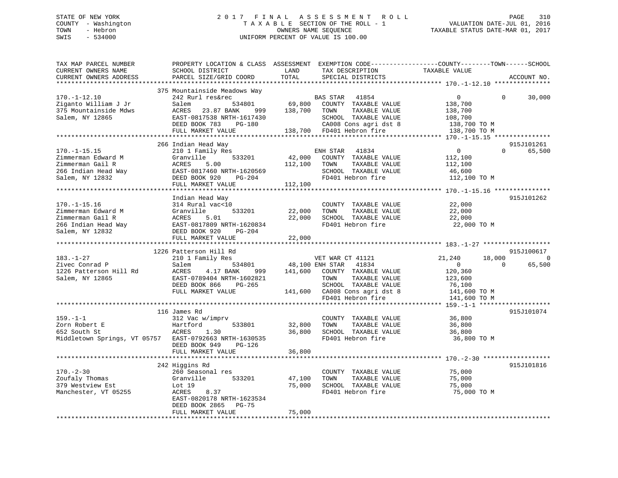# STATE OF NEW YORK 2 0 1 7 F I N A L A S S E S S M E N T R O L L PAGE 310 COUNTY - Washington T A X A B L E SECTION OF THE ROLL - 1 VALUATION DATE-JUL 01, 2016 TOWN - Hebron OWNERS NAME SEQUENCE TAXABLE STATUS DATE-MAR 01, 2017 SWIS - 534000 UNIFORM PERCENT OF VALUE IS 100.00UNIFORM PERCENT OF VALUE IS 100.00

| TAX MAP PARCEL NUMBER<br>CURRENT OWNERS NAME<br>CURRENT OWNERS ADDRESS                                     | PROPERTY LOCATION & CLASS ASSESSMENT<br>SCHOOL DISTRICT<br>PARCEL SIZE/GRID COORD                                                                                              | LAND<br>TOTAL                | TAX DESCRIPTION<br>SPECIAL DISTRICTS                                                                                                             | EXEMPTION CODE-----------------COUNTY-------TOWN------SCHOOL<br>TAXABLE VALUE                | ACCOUNT NO.                         |
|------------------------------------------------------------------------------------------------------------|--------------------------------------------------------------------------------------------------------------------------------------------------------------------------------|------------------------------|--------------------------------------------------------------------------------------------------------------------------------------------------|----------------------------------------------------------------------------------------------|-------------------------------------|
|                                                                                                            | *********************                                                                                                                                                          |                              |                                                                                                                                                  |                                                                                              |                                     |
| $170. - 1 - 12.10$<br>Ziganto William J Jr<br>375 Mountainside Mdws<br>Salem, NY 12865                     | 375 Mountainside Meadows Way<br>242 Rurl res&rec<br>534801<br>Salem<br>ACRES<br>23.87 BANK<br>999<br>EAST-0817538 NRTH-1617430<br>DEED BOOK 783<br>PG-180<br>FULL MARKET VALUE | 69,800<br>138,700            | 41854<br>BAS STAR<br>COUNTY TAXABLE VALUE<br>TAXABLE VALUE<br>TOWN<br>SCHOOL TAXABLE VALUE<br>CA008 Cons agri dst 8<br>138,700 FD401 Hebron fire | $\Omega$<br>$\Omega$<br>138,700<br>138,700<br>108,700<br>138,700 ТО М<br>138,700 TO M        | 30,000                              |
|                                                                                                            |                                                                                                                                                                                |                              |                                                                                                                                                  |                                                                                              |                                     |
| $170. - 1 - 15.15$<br>Zimmerman Edward M<br>Zimmerman Gail R<br>266 Indian Head Way<br>Salem, NY 12832     | 266 Indian Head Way<br>210 1 Family Res<br>533201<br>Granville<br>5.00<br>ACRES<br>EAST-0817460 NRTH-1620569<br>DEED BOOK 920<br>PG-204<br>FULL MARKET VALUE                   | 42,000<br>112,100<br>112,100 | ENH STAR<br>41834<br>COUNTY TAXABLE VALUE<br>TOWN<br>TAXABLE VALUE<br>SCHOOL TAXABLE VALUE<br>FD401 Hebron fire                                  | $\overline{0}$<br>$\Omega$<br>112,100<br>112,100<br>46,600<br>112,100 TO M                   | 915J101261<br>65,500                |
|                                                                                                            |                                                                                                                                                                                |                              |                                                                                                                                                  |                                                                                              |                                     |
| $170. - 1 - 15.16$<br>Zimmerman Edward M<br>Zimmerman Gail R<br>266 Indian Head Way<br>Salem, NY 12832     | Indian Head Way<br>314 Rural vac<10<br>Granville<br>533201<br>ACRES<br>5.01<br>EAST-0817809 NRTH-1620834<br>DEED BOOK 920<br>PG-204<br>FULL MARKET VALUE                       | 22,000<br>22,000<br>22,000   | COUNTY TAXABLE VALUE<br>TOWN<br>TAXABLE VALUE<br>SCHOOL TAXABLE VALUE<br>FD401 Hebron fire                                                       | 22,000<br>22,000<br>22,000<br>22,000 TO M                                                    | 915J101262                          |
|                                                                                                            |                                                                                                                                                                                |                              |                                                                                                                                                  |                                                                                              |                                     |
| $183. - 1 - 27$<br>Zivec Conrad P<br>1226 Patterson Hill Rd<br>Salem, NY 12865                             | 1226 Patterson Hill Rd<br>210 1 Family Res<br>534801<br>Salem<br>ACRES<br>4.17 BANK<br>999<br>EAST-0789404 NRTH-1602821<br>DEED BOOK 866<br>PG-265<br>FULL MARKET VALUE        | 48,100 ENH STAR<br>141,600   | VET WAR CT 41121<br>41834<br>COUNTY TAXABLE VALUE<br>TOWN<br>TAXABLE VALUE<br>SCHOOL TAXABLE VALUE<br>141,600 CA008 Cons agri dst 8              | 18,000<br>21,240<br>$\mathbf{0}$<br>$\Omega$<br>120,360<br>123,600<br>76,100<br>141,600 TO M | 915J100617<br>$\mathbf 0$<br>65,500 |
|                                                                                                            |                                                                                                                                                                                |                              | FD401 Hebron fire                                                                                                                                | 141,600 TO M                                                                                 |                                     |
| $159. - 1 - 1$<br>Zorn Robert E<br>652 South St<br>Middletown Springs, VT 05757 EAST-0792663 NRTH-1630535  | 116 James Rd<br>312 Vac w/imprv<br>Hartford<br>533801<br>ACRES<br>1.30<br>DEED BOOK 949<br>PG-126<br>FULL MARKET VALUE                                                         | 32,800<br>36,800<br>36,800   | COUNTY TAXABLE VALUE<br>TOWN<br>TAXABLE VALUE<br>SCHOOL TAXABLE VALUE<br>FD401 Hebron fire                                                       | 36,800<br>36,800<br>36,800<br>36,800 TO M                                                    | 915J101074                          |
|                                                                                                            | **********************                                                                                                                                                         |                              |                                                                                                                                                  |                                                                                              |                                     |
| $170. - 2 - 30$<br>Zoufaly Thomas<br>379 Westview Est<br>Manchester, VT 05255<br>************************* | 242 Higgins Rd<br>260 Seasonal res<br>Granville<br>533201<br>Lot 19<br>ACRES<br>8.37<br>EAST-0820178 NRTH-1623534<br>DEED BOOK 2865<br>$PG-75$<br>FULL MARKET VALUE            | 47,100<br>75,000<br>75,000   | COUNTY TAXABLE VALUE<br>TAXABLE VALUE<br>TOWN<br>SCHOOL TAXABLE VALUE<br>FD401 Hebron fire                                                       | 75,000<br>75,000<br>75,000<br>75,000 TO M                                                    | 915J101816                          |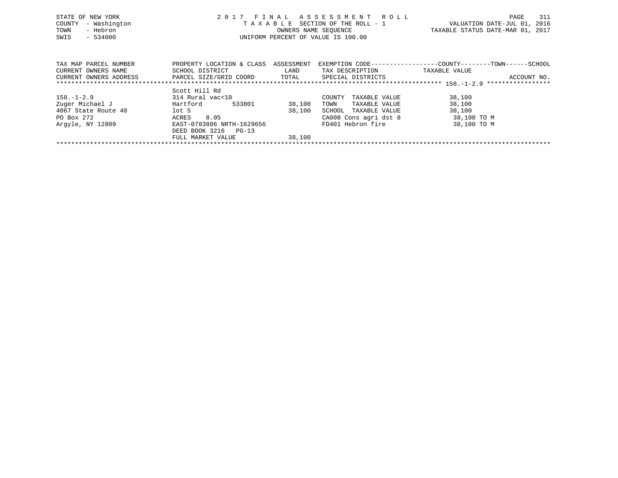| STATE OF NEW YORK<br>- Washington<br>COUNTY<br>- Hebron<br>TOWN<br>SWIS<br>$-534000$ |                                                                              |                    | 2017 FINAL ASSESSMENT ROLL<br>TAXABLE SECTION OF THE ROLL - 1<br>OWNERS NAME SEQUENCE<br>UNIFORM PERCENT OF VALUE IS 100.00 | 311<br>PAGE<br>VALUATION DATE-JUL 01, 2016<br>TAXABLE STATUS DATE-MAR 01, 2017               |
|--------------------------------------------------------------------------------------|------------------------------------------------------------------------------|--------------------|-----------------------------------------------------------------------------------------------------------------------------|----------------------------------------------------------------------------------------------|
| TAX MAP PARCEL NUMBER<br>CURRENT OWNERS NAME<br>CURRENT OWNERS ADDRESS               | PROPERTY LOCATION & CLASS<br>SCHOOL DISTRICT<br>PARCEL SIZE/GRID COORD TOTAL | ASSESSMENT<br>LAND | TAX DESCRIPTION<br>SPECIAL DISTRICTS                                                                                        | EXEMPTION CODE-----------------COUNTY-------TOWN------SCHOOL<br>TAXABLE VALUE<br>ACCOUNT NO. |
| $158. - 1 - 2.9$<br>Zuger Michael J                                                  | Scott Hill Rd<br>314 Rural vac<10<br>Hartford<br>533801                      | 38,100             | COUNTY<br>TAXABLE VALUE<br>TOWN<br>TAXABLE VALUE                                                                            | 38,100<br>38,100                                                                             |

\*\*\*\*\*\*\*\*\*\*\*\*\*\*\*\*\*\*\*\*\*\*\*\*\*\*\*\*\*\*\*\*\*\*\*\*\*\*\*\*\*\*\*\*\*\*\*\*\*\*\*\*\*\*\*\*\*\*\*\*\*\*\*\*\*\*\*\*\*\*\*\*\*\*\*\*\*\*\*\*\*\*\*\*\*\*\*\*\*\*\*\*\*\*\*\*\*\*\*\*\*\*\*\*\*\*\*\*\*\*\*\*\*\*\*\*\*\*\*\*\*\*\*\*\*\*\*\*\*\*\*\*

PO Box 272 **ACRES** 8.05 CA008 Cons agri dst 8 38,100 TO M Argyle, NY 12809 **EAST-0783886 NRTH-1629656** FD401 Hebron fire 38,100 TO M

4067 State Route 40 lot 5 38,100 SCHOOL TAXABLE VALUE 38,100

FULL MARKET VALUE 38,100

DEED BOOK 3216 PG-13

 $38,100$  TOWN TAXABLE VALUE 38,100<br>38,100 SCHOOL TAXABLE VALUE 38,100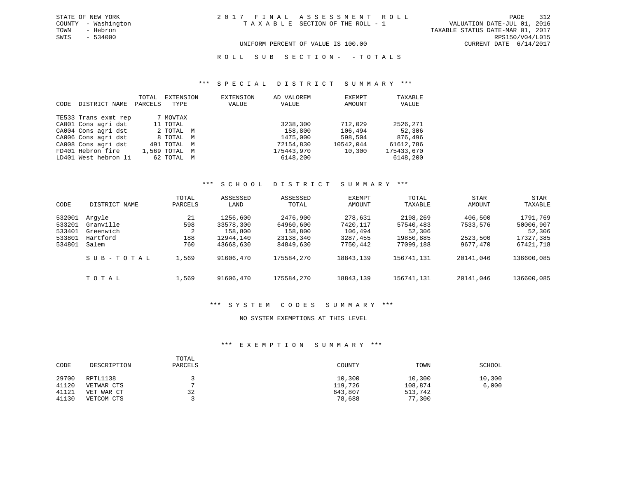VALUATION DATE-JUL 01, 2016 TOWN - Hebron TAXABLE STATUS DATE-MAR 01, 2017 SWIS - 534000 RPS150/V04/L015 UNIFORM PERCENT OF VALUE IS 100.00 CURRENT DATE 6/14/2017

R O L L S U B S E C T I O N - - T O T A L S

#### \*\*\* S P E C I A L D I S T R I C T S U M M A R Y \*\*\*

| CODE | DISTRICT NAME        | TOTAL<br>PARCELS | EXTENSION<br>TYPE | <b>EXTENSION</b><br>VALUE | AD VALOREM<br>VALUE | EXEMPT<br>AMOUNT | TAXABLE<br>VALUE |
|------|----------------------|------------------|-------------------|---------------------------|---------------------|------------------|------------------|
|      | TE533 Trans exmt rep |                  | 7 MOVTAX          |                           |                     |                  |                  |
|      | CA001 Cons agri dst  |                  | 11 TOTAL          |                           | 3238,300            | 712,029          | 2526,271         |
|      | CA004 Cons agri dst  |                  | 2 ТОТАЬ М         |                           | 158,800             | 106,494          | 52,306           |
|      | CA006 Cons agri dst  |                  | 8 TOTAL M         |                           | 1475,000            | 598,504          | 876,496          |
|      | CA008 Cons agri dst  |                  | 491 TOTAL M       |                           | 72154,830           | 10542,044        | 61612,786        |
|      | FD401 Hebron fire    |                  | 1,569 TOTAL M     |                           | 175443,970          | 10,300           | 175433,670       |
|      | LD401 West hebron li |                  | 62 TOTAL M        |                           | 6148,200            |                  | 6148,200         |

### \*\*\* S C H O O L D I S T R I C T S U M M A R Y \*\*\*

| CODE                                           | DISTRICT NAME                                         | TOTAL<br>PARCELS             | ASSESSED<br>LAND                                           | ASSESSED<br>TOTAL                                          | EXEMPT<br>AMOUNT                                       | TOTAL<br>TAXABLE                                          | <b>STAR</b><br>AMOUNT                       | <b>STAR</b><br>TAXABLE                                    |
|------------------------------------------------|-------------------------------------------------------|------------------------------|------------------------------------------------------------|------------------------------------------------------------|--------------------------------------------------------|-----------------------------------------------------------|---------------------------------------------|-----------------------------------------------------------|
| 532001<br>533201<br>533401<br>533801<br>534801 | Arqyle<br>Granville<br>Greenwich<br>Hartford<br>Salem | 21<br>598<br>2<br>188<br>760 | 1256,600<br>33578,300<br>158,800<br>12944,140<br>43668,630 | 2476,900<br>64960,600<br>158,800<br>23138,340<br>84849,630 | 278,631<br>7420,117<br>106,494<br>3287,455<br>7750,442 | 2198,269<br>57540,483<br>52,306<br>19850,885<br>77099,188 | 406,500<br>7533,576<br>2523,500<br>9677,470 | 1791,769<br>50006,907<br>52,306<br>17327,385<br>67421,718 |
|                                                | SUB-TOTAL                                             | 1,569                        | 91606,470                                                  | 175584,270                                                 | 18843,139                                              | 156741,131                                                | 20141,046                                   | 136600,085                                                |
|                                                | TOTAL                                                 | 1,569                        | 91606,470                                                  | 175584,270                                                 | 18843,139                                              | 156741,131                                                | 20141,046                                   | 136600,085                                                |

### \*\*\* S Y S T E M C O D E S S U M M A R Y \*\*\*

### NO SYSTEM EXEMPTIONS AT THIS LEVEL

### \*\*\* E X E M P T I O N S U M M A R Y \*\*\*

| CODE  | DESCRIPTION | TOTAL<br>PARCELS | COUNTY  | TOWN    | SCHOOL |
|-------|-------------|------------------|---------|---------|--------|
| 29700 | RPTL1138    |                  | 10,300  | 10,300  | 10,300 |
| 41120 | VETWAR CTS  |                  | 119,726 | 108,874 | 6,000  |
| 41121 | VET WAR CT  | 32               | 643,807 | 513,742 |        |
| 41130 | VETCOM CTS  |                  | 78,688  | 77,300  |        |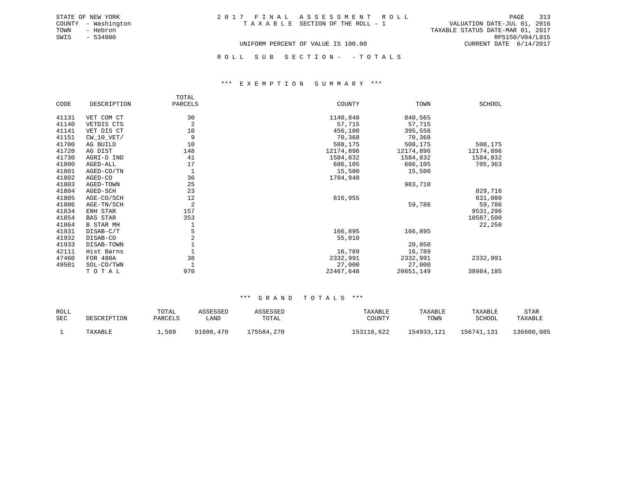TOWN - Hebron TAXABLE STATUS DATE-MAR 01, 2017 SWIS - 534000 RPS150/V04/L015 UNIFORM PERCENT OF VALUE IS 100.00 CURRENT DATE 6/14/2017

ROLL SUB SECTION - - TOTALS

### \*\*\* E X E M P T I O N S U M M A R Y \*\*\*

|       |                  | TOTAL          |           |           |           |
|-------|------------------|----------------|-----------|-----------|-----------|
| CODE  | DESCRIPTION      | PARCELS        | COUNTY    | TOWN      | SCHOOL    |
| 41131 | VET COM CT       | 30             | 1140,848  | 840,565   |           |
| 41140 | VETDIS CTS       | $\overline{a}$ | 57,715    | 57,715    |           |
| 41141 | VET DIS CT       | 10             | 456,100   | 395,556   |           |
| 41151 | $CW_10_VET/$     | 9              | 70,368    | 70,368    |           |
| 41700 | AG BUILD         | 10             | 508,175   | 508,175   | 508,175   |
| 41720 | AG DIST          | 148            | 12174,896 | 12174,896 | 12174,896 |
| 41730 | AGRI-D IND       | 41             | 1584,832  | 1584,832  | 1584,832  |
| 41800 | AGED-ALL         | 17             | 686,105   | 686,105   | 705,363   |
| 41801 | AGED-CO/TN       | 1              | 15,500    | 15,500    |           |
| 41802 | AGED-CO          | 36             | 1704,948  |           |           |
| 41803 | AGED-TOWN        | 25             |           | 983,710   |           |
| 41804 | AGED-SCH         | 23             |           |           | 829,716   |
| 41805 | AGE-CO/SCH       | 12             | 616,955   |           | 631,080   |
| 41806 | AGE-TN/SCH       | $\overline{2}$ |           | 59,786    | 59,786    |
| 41834 | ENH STAR         | 157            |           |           | 9531,296  |
| 41854 | <b>BAS STAR</b>  | 353            |           |           | 10587,500 |
| 41864 | <b>B STAR MH</b> |                |           |           | 22,250    |
| 41931 | DISAB-C/T        | 5              | 166,895   | 166,895   |           |
| 41932 | DISAB-CO         | $\overline{a}$ | 55,010    |           |           |
| 41933 | DISAB-TOWN       |                |           | 20,050    |           |
| 42111 | Hist Barns       |                | 16,789    | 16,789    |           |
| 47460 | FOR 480A         | 38             | 2332,991  | 2332,991  | 2332,991  |
| 49501 | SOL-CO/TWN       |                | 27,000    | 27,000    |           |
|       | TOTAL            | 970            | 22467,648 | 20651,149 | 38984,185 |

| <b>ROLL</b> |             | TOTAL   | ASSESSED  | ASSESSED   | TAXABLE    | TAXABLE    | TAXABLE    | STAR       |
|-------------|-------------|---------|-----------|------------|------------|------------|------------|------------|
| <b>SEC</b>  | DESCRIPTION | PARCELS | úAND      | TOTAL      | COUNTY     | TOWN       | SCHOOL     | TAXABLE    |
|             | TAXABLE     | ,569    | 91606,470 | 175584,270 | 153116,622 | 154933,121 | 156741,131 | 136600,085 |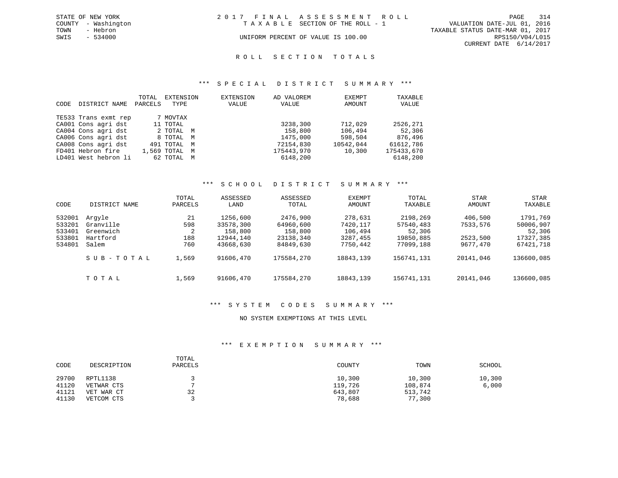|      | STATE OF NEW YORK   | 2017 FINAL ASSESSMENT ROLL |                                    |                                  | PAGE                   | 314 |
|------|---------------------|----------------------------|------------------------------------|----------------------------------|------------------------|-----|
|      | COUNTY - Washington |                            | TAXABLE SECTION OF THE ROLL - 1    | VALUATION DATE-JUL 01, 2016      |                        |     |
| TOWN | - Hebron            |                            |                                    | TAXABLE STATUS DATE-MAR 01, 2017 |                        |     |
| SWIS | $-534000$           |                            | UNIFORM PERCENT OF VALUE IS 100.00 |                                  | RPS150/V04/L015        |     |
|      |                     |                            |                                    |                                  | CURRENT DATE 6/14/2017 |     |

#### R O L L S E C T I O N T O T A L S

### \*\*\* S P E C I A L D I S T R I C T S U M M A R Y \*\*\*

| CODE | DISTRICT NAME        | TOTAL<br>PARCELS | EXTENSION<br>TYPE | EXTENSION<br>VALUE | AD VALOREM<br>VALUE | EXEMPT<br>AMOUNT | TAXABLE<br>VALUE |
|------|----------------------|------------------|-------------------|--------------------|---------------------|------------------|------------------|
|      | TE533 Trans exmt rep |                  | 7 MOVTAX          |                    |                     |                  |                  |
|      | CA001 Cons agri dst  |                  | 11 TOTAL          |                    | 3238,300            | 712,029          | 2526,271         |
|      | CA004 Cons agri dst  |                  | 2 TOTAL M         |                    | 158,800             | 106,494          | 52,306           |
|      | CA006 Cons agri dst  |                  | 8 TOTAL M         |                    | 1475,000            | 598,504          | 876,496          |
|      | CA008 Cons agri dst  |                  | 491 TOTAL M       |                    | 72154,830           | 10542,044        | 61612,786        |
|      | FD401 Hebron fire    |                  | 1,569 TOTAL M     |                    | 175443,970          | 10,300           | 175433,670       |
|      | LD401 West hebron li |                  | 62 TOTAL M        |                    | 6148,200            |                  | 6148,200         |

#### \*\*\* S C H O O L D I S T R I C T S U M M A R Y \*\*\*

| CODE                                           | DISTRICT NAME                                         | TOTAL<br>PARCELS             | ASSESSED<br>LAND                                           | ASSESSED<br>TOTAL                                          | EXEMPT<br>AMOUNT                                       | <b>TOTAL</b><br>TAXABLE                                   | STAR<br>AMOUNT                              | STAR<br>TAXABLE                                           |
|------------------------------------------------|-------------------------------------------------------|------------------------------|------------------------------------------------------------|------------------------------------------------------------|--------------------------------------------------------|-----------------------------------------------------------|---------------------------------------------|-----------------------------------------------------------|
| 532001<br>533201<br>533401<br>533801<br>534801 | Arqvle<br>Granville<br>Greenwich<br>Hartford<br>Salem | 21<br>598<br>2<br>188<br>760 | 1256,600<br>33578,300<br>158,800<br>12944,140<br>43668,630 | 2476,900<br>64960,600<br>158,800<br>23138,340<br>84849,630 | 278,631<br>7420,117<br>106,494<br>3287,455<br>7750,442 | 2198,269<br>57540,483<br>52,306<br>19850,885<br>77099,188 | 406,500<br>7533,576<br>2523,500<br>9677,470 | 1791,769<br>50006,907<br>52,306<br>17327,385<br>67421,718 |
|                                                | SUB-TOTAL                                             | 1,569                        | 91606,470                                                  | 175584,270                                                 | 18843,139                                              | 156741,131                                                | 20141,046                                   | 136600,085                                                |
|                                                | TOTAL                                                 | 1,569                        | 91606,470                                                  | 175584,270                                                 | 18843, 139                                             | 156741,131                                                | 20141,046                                   | 136600,085                                                |

### \*\*\* S Y S T E M C O D E S S U M M A R Y \*\*\*

### NO SYSTEM EXEMPTIONS AT THIS LEVEL

## \*\*\* E X E M P T I O N S U M M A R Y \*\*\*

| CODE  | DESCRIPTION | TOTAL<br>PARCELS | COUNTY  | TOWN    | SCHOOL |
|-------|-------------|------------------|---------|---------|--------|
| 29700 | RPTL1138    |                  | 10,300  | 10,300  | 10,300 |
| 41120 | VETWAR CTS  |                  | 119,726 | 108,874 | 6,000  |
| 41121 | VET WAR CT  | 32               | 643,807 | 513,742 |        |
| 41130 | VETCOM CTS  |                  | 78,688  | 77,300  |        |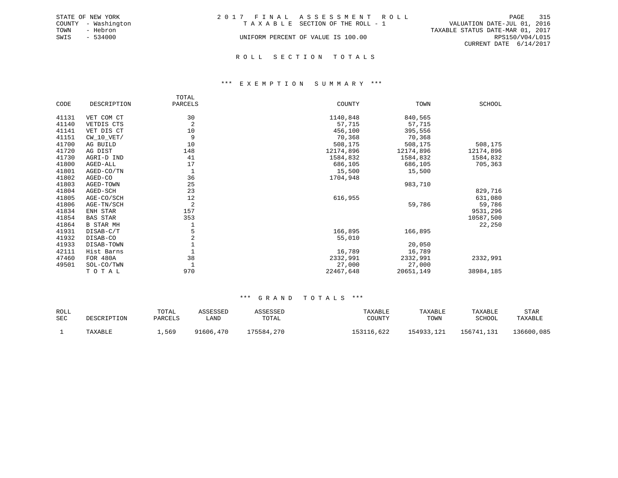|      | STATE OF NEW YORK   | 2017 FINAL ASSESSMENT ROLL         |                                  |                        | PAGE 315 |  |
|------|---------------------|------------------------------------|----------------------------------|------------------------|----------|--|
|      | COUNTY - Washington | TAXABLE SECTION OF THE ROLL - 1    | VALUATION DATE-JUL 01, 2016      |                        |          |  |
| TOWN | - Hebron            |                                    | TAXABLE STATUS DATE-MAR 01, 2017 |                        |          |  |
| SWIS | $-534000$           | UNIFORM PERCENT OF VALUE IS 100.00 |                                  | RPS150/V04/L015        |          |  |
|      |                     |                                    |                                  | CURRENT DATE 6/14/2017 |          |  |
|      |                     |                                    |                                  |                        |          |  |

### R O L L S E C T I O N T O T A L S

### \*\*\* E X E M P T I O N S U M M A R Y \*\*\*

|       |                  | TOTAL          |           |           |           |
|-------|------------------|----------------|-----------|-----------|-----------|
| CODE  | DESCRIPTION      | PARCELS        | COUNTY    | TOWN      | SCHOOL    |
| 41131 | VET COM CT       | 30             | 1140,848  | 840,565   |           |
| 41140 | VETDIS CTS       | $\overline{a}$ | 57,715    | 57,715    |           |
| 41141 | VET DIS CT       | 10             | 456,100   | 395,556   |           |
| 41151 | $CW_10_VET/$     | 9              | 70,368    | 70,368    |           |
| 41700 | AG BUILD         | 10             | 508,175   | 508,175   | 508,175   |
| 41720 | AG DIST          | 148            | 12174,896 | 12174,896 | 12174,896 |
| 41730 | AGRI-D IND       | 41             | 1584,832  | 1584,832  | 1584,832  |
| 41800 | AGED-ALL         | 17             | 686,105   | 686,105   | 705,363   |
| 41801 | AGED-CO/TN       | 1              | 15,500    | 15,500    |           |
| 41802 | AGED-CO          | 36             | 1704,948  |           |           |
| 41803 | AGED-TOWN        | 25             |           | 983,710   |           |
| 41804 | AGED-SCH         | 23             |           |           | 829,716   |
| 41805 | AGE-CO/SCH       | 12             | 616,955   |           | 631,080   |
| 41806 | AGE-TN/SCH       | $\overline{2}$ |           | 59,786    | 59,786    |
| 41834 | ENH STAR         | 157            |           |           | 9531,296  |
| 41854 | <b>BAS STAR</b>  | 353            |           |           | 10587,500 |
| 41864 | <b>B STAR MH</b> |                |           |           | 22,250    |
| 41931 | DISAB-C/T        | 5              | 166,895   | 166,895   |           |
| 41932 | DISAB-CO         | $\overline{a}$ | 55,010    |           |           |
| 41933 | DISAB-TOWN       |                |           | 20,050    |           |
| 42111 | Hist Barns       |                | 16,789    | 16,789    |           |
| 47460 | FOR 480A         | 38             | 2332,991  | 2332,991  | 2332,991  |
| 49501 | SOL-CO/TWN       |                | 27,000    | 27,000    |           |
|       | TOTAL            | 970            | 22467,648 | 20651,149 | 38984,185 |

| ROLL<br>SEC | DESCRIPTION | TOTAL<br>PARCELS | ASSESSED<br>LAND | ASSESSED<br>TOTAL | TAXABLE<br>COUNTY | TAXABLE<br>TOWN | TAXABLE<br>SCHOOL | STAR<br>TAXABLE |
|-------------|-------------|------------------|------------------|-------------------|-------------------|-----------------|-------------------|-----------------|
|             | TAXABLE     | .,569            | 91606,470        | 175584,270        | 153116,622        | 154933,121      | 156741,131        | 136600,085      |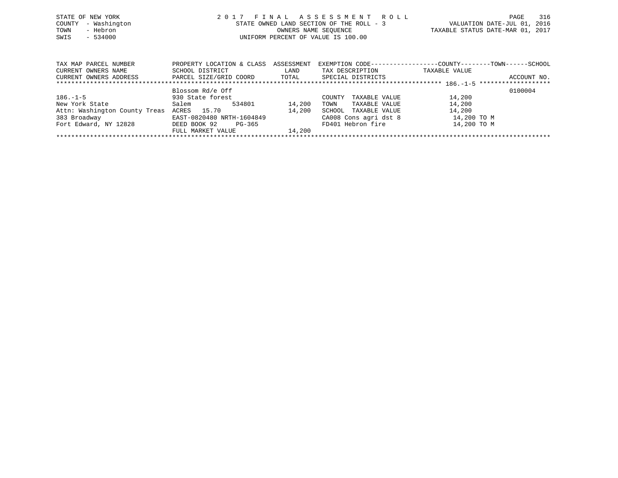| STATE OF NEW YORK<br>TOWN | COUNTY - Washington<br>- Hebron |  | 2017 FINAL ASSESSMENT ROLL<br>STATE OWNED LAND SECTION OF THE ROLL - 3<br>OWNERS NAME SEOUENCE | TAXABLE STATUS DATE-MAR 01, 2017 | PAGE<br>VALUATION DATE-JUL 01, 2016 | 316 |
|---------------------------|---------------------------------|--|------------------------------------------------------------------------------------------------|----------------------------------|-------------------------------------|-----|
| SWIS                      | $-534000$                       |  | UNIFORM PERCENT OF VALUE IS 100.00                                                             |                                  |                                     |     |

| TAX MAP PARCEL NUMBER         | PROPERTY LOCATION & CLASS | ASSESSMENT | EXEMPTION CODE-----------------COUNTY-------TOWN------SCHOOL |               |             |
|-------------------------------|---------------------------|------------|--------------------------------------------------------------|---------------|-------------|
| CURRENT OWNERS NAME           | SCHOOL DISTRICT           | LAND       | TAX DESCRIPTION                                              | TAXABLE VALUE |             |
| CURRENT OWNERS ADDRESS        | PARCEL SIZE/GRID COORD    | TOTAL      | SPECIAL DISTRICTS                                            |               | ACCOUNT NO. |
|                               |                           |            |                                                              |               |             |
|                               | Blossom Rd/e Off          |            |                                                              |               | 0100004     |
| $186. - 1 - 5$                | 930 State forest          |            | TAXABLE VALUE<br>COUNTY                                      | 14,200        |             |
| New York State                | 534801<br>Salem           | 14,200     | TAXABLE VALUE<br>TOWN                                        | 14,200        |             |
| Attn: Washington County Treas | ACRES 15.70               | 14,200     | TAXABLE VALUE<br>SCHOOL                                      | 14,200        |             |
| 383 Broadway                  | EAST-0820480 NRTH-1604849 |            | CA008 Cons agri dst 8                                        | 14,200 TO M   |             |
| Fort Edward, NY 12828         | DEED BOOK 92<br>PG-365    |            | FD401 Hebron fire                                            | 14,200 TO M   |             |
|                               | FULL MARKET VALUE         | 14,200     |                                                              |               |             |
|                               |                           |            |                                                              |               |             |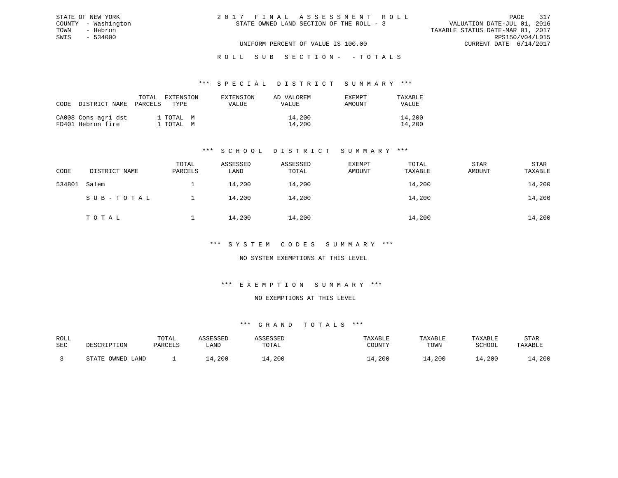| 2017 FINAL ASSESSMENT ROLL               | 317<br>PAGE                      |
|------------------------------------------|----------------------------------|
| STATE OWNED LAND SECTION OF THE ROLL - 3 | VALUATION DATE-JUL 01, 2016      |
|                                          | TAXABLE STATUS DATE-MAR 01, 2017 |
|                                          | RPS150/V04/L015                  |
| UNIFORM PERCENT OF VALUE IS 100.00       | CURRENT DATE $6/14/2017$         |

#### \*\*\* S P E C I A L D I S T R I C T S U M M A R Y \*\*\*

| CODE DISTRICT NAME PARCELS               | TOTAL | EXTENSION<br>TYPE.     | EXTENSION<br><b>VALUE</b> | AD VALOREM<br>VALUE | EXEMPT<br>AMOUNT | TAXABLE<br>VALUE |
|------------------------------------------|-------|------------------------|---------------------------|---------------------|------------------|------------------|
| CA008 Cons agri dst<br>FD401 Hebron fire |       | 1 TOTAL M<br>1 TOTAL M |                           | 14,200<br>14,200    |                  | 14,200<br>14,200 |

STATE OF NEW YORK COUNTY - Washington TOWN - Hebron SWIS - 534000

## \*\*\* S C H O O L D I S T R I C T S U M M A R Y \*\*\*

| CODE   | DISTRICT NAME | TOTAL<br>PARCELS | ASSESSED<br>LAND | ASSESSED<br>TOTAL | EXEMPT<br>AMOUNT | TOTAL<br>TAXABLE | STAR<br>AMOUNT | STAR<br>TAXABLE |
|--------|---------------|------------------|------------------|-------------------|------------------|------------------|----------------|-----------------|
| 534801 | Salem         |                  | 14,200           | 14,200            |                  | 14,200           |                | 14,200          |
|        | SUB-TOTAL     |                  | 14,200           | 14,200            |                  | 14,200           |                | 14,200          |
|        | TOTAL         |                  | 14,200           | 14,200            |                  | 14,200           |                | 14,200          |

### \*\*\* S Y S T E M C O D E S S U M M A R Y \*\*\*

### NO SYSTEM EXEMPTIONS AT THIS LEVEL

### \*\*\* E X E M P T I O N S U M M A R Y \*\*\*

#### NO EXEMPTIONS AT THIS LEVEL

| ROLL |                                              | TOTAL   | 7 CCFCCFF |             | TAXABLE | TAXABLE | TAXABLE | STAR    |
|------|----------------------------------------------|---------|-----------|-------------|---------|---------|---------|---------|
| SEC  | DESCRIPTION                                  | PARCELS | LAND      | TOTAL       | COUNTY  | TOWN    | SCHOOL  | TAXABLE |
|      |                                              |         |           |             |         |         |         |         |
|      | OWNED<br>$\sim$ $\sim$ $\sim$ $\sim$<br>LAND |         | , 200     | $\pm$ , 200 | ⊥4,200  | .4,200  | .4,200  | 14,200  |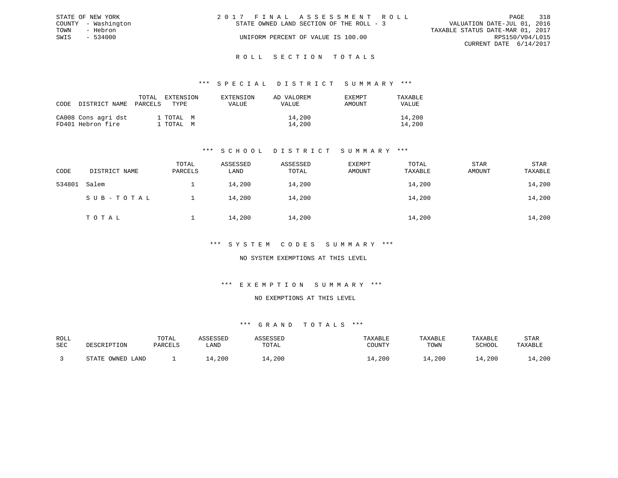|      | STATE OF NEW YORK   | 2017 FINAL ASSESSMENT ROLL               |  |                                  | PAGE                   | 318 |
|------|---------------------|------------------------------------------|--|----------------------------------|------------------------|-----|
|      | COUNTY - Washington | STATE OWNED LAND SECTION OF THE ROLL - 3 |  | VALUATION DATE-JUL 01, 2016      |                        |     |
| TOWN | - Hebron            |                                          |  | TAXABLE STATUS DATE-MAR 01, 2017 |                        |     |
| SWIS | $-534000$           | UNIFORM PERCENT OF VALUE IS 100.00       |  |                                  | RPS150/V04/L015        |     |
|      |                     |                                          |  |                                  | CURRENT DATE 6/14/2017 |     |
|      |                     |                                          |  |                                  |                        |     |

#### R O L L S E C T I O N T O T A L S

### \*\*\* S P E C I A L D I S T R I C T S U M M A R Y \*\*\*

| CODE | DISTRICT NAME                            | TOTAL<br>EXTENSION<br>PARCELS<br>TYPE. | EXTENSION<br>VALUE | AD VALOREM<br><b>EXEMPT</b><br>AMOUNT<br>VALUE | TAXABLE<br>VALUE |
|------|------------------------------------------|----------------------------------------|--------------------|------------------------------------------------|------------------|
|      | CA008 Cons agri dst<br>FD401 Hebron fire | 1 TOTAL M<br>1 TOTAL M                 |                    | 14,200<br>14,200                               | 14,200<br>14,200 |

## \*\*\* S C H O O L D I S T R I C T S U M M A R Y \*\*\*

| CODE   | DISTRICT NAME | TOTAL<br>PARCELS | ASSESSED<br>LAND | ASSESSED<br>TOTAL | <b>EXEMPT</b><br>AMOUNT | TOTAL<br>TAXABLE | <b>STAR</b><br>AMOUNT | STAR<br>TAXABLE |
|--------|---------------|------------------|------------------|-------------------|-------------------------|------------------|-----------------------|-----------------|
| 534801 | Salem         |                  | 14,200           | 14,200            |                         | 14,200           |                       | 14,200          |
|        | SUB-TOTAL     |                  | 14,200           | 14,200            |                         | 14,200           |                       | 14,200          |
|        | TOTAL         |                  | 14,200           | 14,200            |                         | 14,200           |                       | 14,200          |

### \*\*\* S Y S T E M C O D E S S U M M A R Y \*\*\*

### NO SYSTEM EXEMPTIONS AT THIS LEVEL

## \*\*\* E X E M P T I O N S U M M A R Y \*\*\*

#### NO EXEMPTIONS AT THIS LEVEL

| ROLL |                                              | TOTAL   | 7 CCFCCFF |             | TAXABLE | TAXABLE | TAXABLE       | STAR    |
|------|----------------------------------------------|---------|-----------|-------------|---------|---------|---------------|---------|
| SEC  | DESCRIPTION                                  | PARCELS | LAND      | TOTAL       | COUNTY  | TOWN    | <b>SCHOOL</b> | TAXABLE |
|      |                                              |         |           |             |         |         |               |         |
|      | OWNED<br>$\sim$ $\sim$ $\sim$ $\sim$<br>LAND |         | , 200     | $\pm$ , 200 | ⊥4,200  | .4,200  | .4,200        | 14,200  |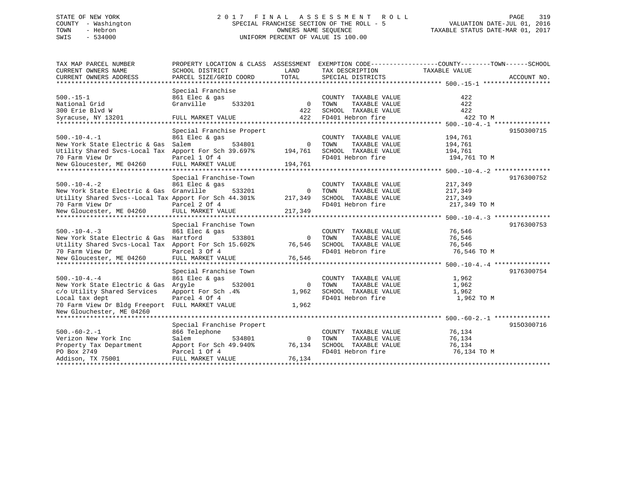# STATE OF NEW YORK 2 0 1 7 F I N A L A S S E S S M E N T R O L L PAGE 319 COUNTY - Washington SPECIAL FRANCHISE SECTION OF THE ROLL - 5 VALUATION DATE-JUL 01, 2016 TOWN - Hebron OWNERS NAME SEQUENCE TAXABLE STATUS DATE-MAR 01, 2017 SWIS - 534000 UNIFORM PERCENT OF VALUE IS 100.00

| TAX MAP PARCEL NUMBER                                   |                           |          |                       | PROPERTY LOCATION & CLASS ASSESSMENT EXEMPTION CODE---------------COUNTY-------TOWN------SCHOOL |
|---------------------------------------------------------|---------------------------|----------|-----------------------|-------------------------------------------------------------------------------------------------|
| CURRENT OWNERS NAME                                     | SCHOOL DISTRICT           | LAND     | TAX DESCRIPTION       | TAXABLE VALUE                                                                                   |
| CURRENT OWNERS ADDRESS                                  | PARCEL SIZE/GRID COORD    | TOTAL    | SPECIAL DISTRICTS     | ACCOUNT NO.                                                                                     |
|                                                         |                           |          |                       |                                                                                                 |
|                                                         | Special Franchise         |          |                       |                                                                                                 |
| $500. -15 - 1$                                          | 861 Elec & gas            |          | COUNTY TAXABLE VALUE  | 422                                                                                             |
| National Grid                                           | Granville<br>533201       | $\Omega$ | TAXABLE VALUE<br>TOWN | 422                                                                                             |
| 300 Erie Blvd W                                         |                           | 422      | SCHOOL TAXABLE VALUE  | 422                                                                                             |
| Syracuse, NY 13201                                      | FULL MARKET VALUE         | 422      | FD401 Hebron fire     | 422 TO M                                                                                        |
|                                                         |                           |          |                       |                                                                                                 |
|                                                         | Special Franchise Propert |          |                       | 9150300715                                                                                      |
| $500. - 10 - 4. - 1$                                    | 861 Elec & gas            |          | COUNTY TAXABLE VALUE  | 194,761                                                                                         |
| New York State Electric & Gas                           | Salem<br>534801           | $\Omega$ | TOWN<br>TAXABLE VALUE | 194,761                                                                                         |
| Utility Shared Svcs-Local Tax Apport For Sch 39.697%    |                           | 194,761  | SCHOOL TAXABLE VALUE  | 194,761                                                                                         |
| 70 Farm View Dr                                         | Parcel 1 Of 4             |          | FD401 Hebron fire     | 194,761 TO M                                                                                    |
| New Gloucester, ME 04260                                | FULL MARKET VALUE         | 194,761  |                       |                                                                                                 |
|                                                         |                           |          |                       |                                                                                                 |
|                                                         | Special Franchise-Town    |          |                       | 9176300752                                                                                      |
| $500. - 10 - 4. - 2$                                    | 861 Elec & gas            |          | COUNTY TAXABLE VALUE  | 217,349                                                                                         |
| New York State Electric & Gas                           | Granville<br>533201       | $\Omega$ | TOWN<br>TAXABLE VALUE | 217,349                                                                                         |
| Utility Shared Svcs--Local Tax Apport For Sch 44.301%   |                           | 217,349  | SCHOOL TAXABLE VALUE  | 217,349                                                                                         |
| 70 Farm View Dr                                         | Parcel 2 Of 4             |          | FD401 Hebron fire     | 217,349 TO M                                                                                    |
| New Gloucester, ME 04260                                | FULL MARKET VALUE         | 217,349  |                       |                                                                                                 |
|                                                         |                           |          |                       |                                                                                                 |
|                                                         | Special Franchise Town    |          |                       | 9176300753                                                                                      |
| $500. -10 - 4. -3$                                      | 861 Elec & gas            |          | COUNTY TAXABLE VALUE  | 76,546                                                                                          |
| New York State Electric & Gas Hartford                  | 533801                    | $\Omega$ | TAXABLE VALUE<br>TOWN | 76,546                                                                                          |
| Utility Shared Svcs-Local Tax Apport For Sch 15.602%    |                           | 76,546   | SCHOOL TAXABLE VALUE  | 76,546                                                                                          |
| 70 Farm View Dr                                         | Parcel 3 Of 4             |          | FD401 Hebron fire     | 76,546 TO M                                                                                     |
| New Gloucester, ME 04260                                | FULL MARKET VALUE         | 76,546   |                       |                                                                                                 |
|                                                         |                           |          |                       |                                                                                                 |
|                                                         | Special Franchise Town    |          |                       | 9176300754                                                                                      |
| $500. - 10 - 4. - 4$                                    | 861 Elec & gas            |          | COUNTY TAXABLE VALUE  | 1,962                                                                                           |
| New York State Electric & Gas Argyle                    | 532001                    | $\Omega$ | TAXABLE VALUE<br>TOWN | 1,962                                                                                           |
| c/o Utility Shared Services                             | Apport For Sch. 4%        | 1,962    | SCHOOL TAXABLE VALUE  | 1,962                                                                                           |
| Local tax dept                                          | Parcel 4 Of 4             |          | FD401 Hebron fire     | 1,962 TO M                                                                                      |
| 70 Farm View Dr Bldg Freeport FULL MARKET VALUE         |                           | 1,962    |                       |                                                                                                 |
| New Glouchester, ME 04260<br>************************** |                           |          |                       |                                                                                                 |
|                                                         | Special Franchise Propert |          |                       |                                                                                                 |
| $500. -60 - 2. -1$                                      | 866 Telephone             |          | COUNTY TAXABLE VALUE  | 9150300716<br>76,134                                                                            |
| Verizon New York Inc                                    | Salem<br>534801           | $\Omega$ | TOWN<br>TAXABLE VALUE | 76,134                                                                                          |
| Property Tax Department                                 | Apport For Sch 49.940%    | 76,134   | SCHOOL TAXABLE VALUE  | 76,134                                                                                          |
| PO Box 2749                                             | Parcel 1 Of 4             |          | FD401 Hebron fire     | 76,134 TO M                                                                                     |
| Addison, TX 75001                                       | FULL MARKET VALUE         | 76,134   |                       |                                                                                                 |
|                                                         |                           |          |                       |                                                                                                 |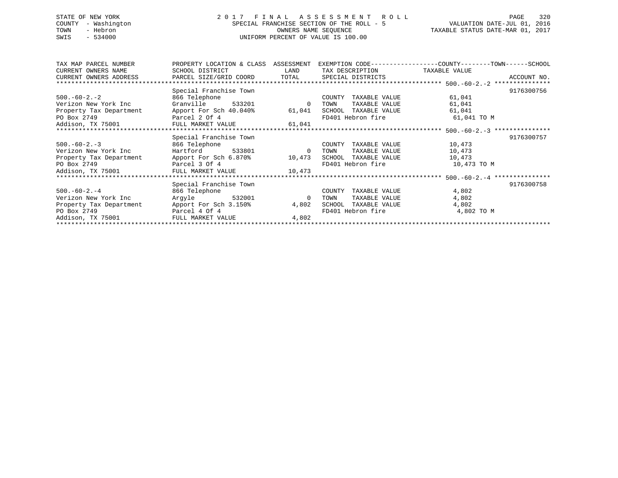# STATE OF NEW YORK 2 0 1 7 F I N A L A S S E S S M E N T R O L L PAGE 320 COUNTY - Washington SPECIAL FRANCHISE SECTION OF THE ROLL - 5 VALUATION DATE-JUL 01, 2016 TOWN - Hebron OWNERS NAME SEQUENCE TAXABLE STATUS DATE-MAR 01, 2017 SWIS - 534000 UNIFORM PERCENT OF VALUE IS 100.00

| TAX MAP PARCEL NUMBER                                 | PROPERTY LOCATION & CLASS | ASSESSMENT     |                         | EXEMPTION CODE-----------------COUNTY-------TOWN------SCHOOL |
|-------------------------------------------------------|---------------------------|----------------|-------------------------|--------------------------------------------------------------|
| CURRENT OWNERS NAME                                   | SCHOOL DISTRICT           | LAND           | TAX DESCRIPTION         | TAXABLE VALUE                                                |
| CURRENT OWNERS ADDRESS                                | PARCEL SIZE/GRID COORD    | TOTAL          | SPECIAL DISTRICTS       | ACCOUNT NO.                                                  |
|                                                       |                           |                |                         |                                                              |
|                                                       | Special Franchise Town    |                |                         | 9176300756                                                   |
| $500.-60-2.-2$                                        | 866 Telephone             |                | TAXABLE VALUE<br>COUNTY | 61,041                                                       |
| Verizon New York Inc                                  | Granville 533201          | 0              | TAXABLE VALUE<br>TOWN   | 61,041                                                       |
| Property Tax Department Apport For Sch 40.040% 61,041 |                           |                | SCHOOL TAXABLE VALUE    | 61,041                                                       |
| PO Box 2749<br>Parcel 2 Of 4                          |                           |                | FD401 Hebron fire       | 61,041 TO M                                                  |
| Addison, TX 75001 FULL MARKET VALUE 61,041            |                           |                |                         |                                                              |
|                                                       |                           |                |                         |                                                              |
|                                                       | Special Franchise Town    |                |                         | 9176300757                                                   |
| $500.-60-2.-3$                                        | 866 Telephone             |                | COUNTY<br>TAXABLE VALUE | 10,473                                                       |
| Verizon New York Inc                                  | Hartford<br>533801        | $\overline{0}$ | TOWN<br>TAXABLE VALUE   | 10,473                                                       |
| Property Tax Department Apport For Sch 6.870% 10,473  |                           |                | SCHOOL TAXABLE VALUE    | 10,473                                                       |
| PO Box 2749                                           | Parcel 3 Of 4             |                | FD401 Hebron fire       | 10,473 TO M                                                  |
| Addison, TX 75001 FULL MARKET VALUE 10,473            |                           |                |                         |                                                              |
|                                                       |                           |                |                         |                                                              |
|                                                       | Special Franchise Town    |                |                         | 9176300758                                                   |
| $500.-60-2.-4$                                        | 866 Telephone             |                | COUNTY<br>TAXABLE VALUE | 4,802                                                        |
| Verizon New York Inc                                  | Argyle 532001             | $\mathbf{0}$   | TAXABLE VALUE<br>TOWN   | 4,802                                                        |
| Property Tax Department                               | Apport For Sch 3.150%     | 4,802          | SCHOOL<br>TAXABLE VALUE | 4,802                                                        |
| PO Box 2749                                           | Parcel 4 Of 4             |                | FD401 Hebron fire       | 4,802 TO M                                                   |
| Addison, TX 75001                                     | FULL MARKET VALUE         | 4,802          |                         |                                                              |
|                                                       |                           |                |                         |                                                              |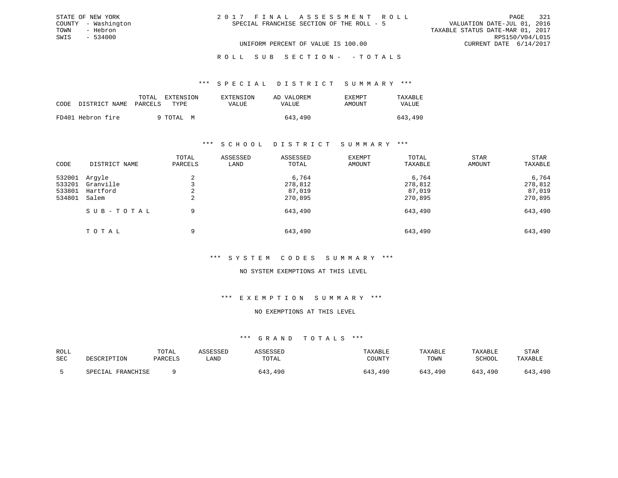|  | 2017 FINAL ASSESSMENT ROLL                |                                  | PAGE            | -321 |
|--|-------------------------------------------|----------------------------------|-----------------|------|
|  | SPECIAL FRANCHISE SECTION OF THE ROLL - 5 | VALUATION DATE-JUL 01, 2016      |                 |      |
|  |                                           | TAXABLE STATUS DATE-MAR 01, 2017 |                 |      |
|  |                                           |                                  | RPS150/V04/L015 |      |
|  | UNIFORM PERCENT OF VALUE IS 100.00        | CURRENT DATE 6/14/2017           |                 |      |

ROLL SUB SECTION - - TOTALS

#### \*\*\* S P E C I A L D I S T R I C T S U M M A R Y \*\*\*

|      |                       | EXTENSION<br>TOTAL | EXTENSION | AD VALOREM | EXEMPT | TAXABLE |
|------|-----------------------|--------------------|-----------|------------|--------|---------|
| CODE | DISTRICT NAME PARCELS | TYPE.              | VALUE     | VALUE      | AMOUNT | VALUE   |
|      |                       |                    |           |            |        |         |
|      | FD401 Hebron fire     | 9 TOTAL M          |           | 643,490    |        | 643,490 |

STATE OF NEW YORK COUNTY - Washington TOWN - Hebron SWIS - 534000

### \*\*\* S C H O O L D I S T R I C T S U M M A R Y \*\*\*

| CODE                                 | DISTRICT NAME                            | TOTAL<br>PARCELS | ASSESSED<br>LAND | ASSESSED<br>TOTAL                     | EXEMPT<br>AMOUNT | TOTAL<br>TAXABLE                      | STAR<br>AMOUNT | STAR<br>TAXABLE                       |
|--------------------------------------|------------------------------------------|------------------|------------------|---------------------------------------|------------------|---------------------------------------|----------------|---------------------------------------|
| 532001<br>533201<br>533801<br>534801 | Arqyle<br>Granville<br>Hartford<br>Salem | 4<br>∠           |                  | 6,764<br>278,812<br>87,019<br>270,895 |                  | 6,764<br>278,812<br>87,019<br>270,895 |                | 6,764<br>278,812<br>87,019<br>270,895 |
|                                      | SUB-TOTAL                                | 9                |                  | 643,490                               |                  | 643,490                               |                | 643,490                               |
|                                      | TOTAL                                    | 9                |                  | 643,490                               |                  | 643,490                               |                | 643,490                               |

### \*\*\* S Y S T E M C O D E S S U M M A R Y \*\*\*

### NO SYSTEM EXEMPTIONS AT THIS LEVEL

### \*\*\* E X E M P T I O N S U M M A R Y \*\*\*

### NO EXEMPTIONS AT THIS LEVEL

| ROLL |                   | TOTAL   | ASSESSED | ASSESSED | TAXABLE | TAXABLE | TAXABLE       | STAR    |
|------|-------------------|---------|----------|----------|---------|---------|---------------|---------|
| SEC  | DESCRIPTION       | PARCELS | LAND     | TOTAL    | COUNTY  | TOWN    | <b>SCHOOL</b> | TAXABLE |
|      | SPECIAL FRANCHISE |         |          | 643,490  | 643,490 | 643,490 | 643,490       | 643,490 |
|      |                   |         |          |          |         |         |               |         |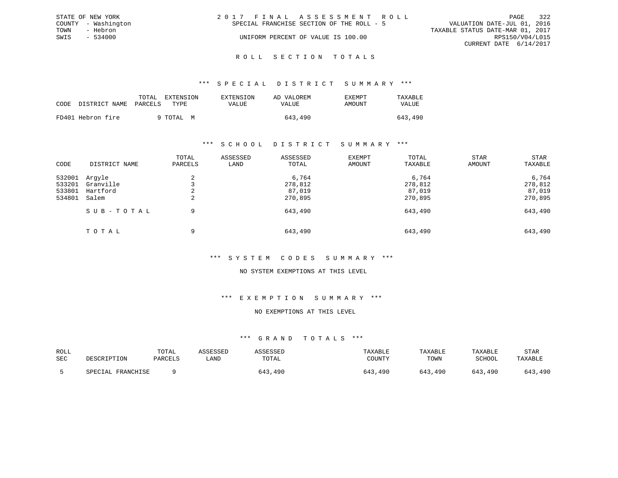|      | STATE OF NEW YORK   | 2017 FINAL ASSESSMENT ROLL                                               | PAGE            | 322 |
|------|---------------------|--------------------------------------------------------------------------|-----------------|-----|
|      | COUNTY - Washington | VALUATION DATE-JUL 01, 2016<br>SPECIAL FRANCHISE SECTION OF THE ROLL - 5 |                 |     |
| TOWN | - Hebron            | TAXABLE STATUS DATE-MAR 01, 2017                                         |                 |     |
| SWIS | - 534000            | UNIFORM PERCENT OF VALUE IS 100.00                                       | RPS150/V04/L015 |     |
|      |                     | CURRENT DATE 6/14/2017                                                   |                 |     |
|      |                     |                                                                          |                 |     |

#### R O L L S E C T I O N T O T A L S

### \*\*\* S P E C I A L D I S T R I C T S U M M A R Y \*\*\*

|      |                       | EXTENSION<br>TOTAL | <b>EXTENSION</b> | AD VALOREM | EXEMPT | TAXABLE |
|------|-----------------------|--------------------|------------------|------------|--------|---------|
| CODE | DISTRICT NAME PARCELS | TYPE.              | VALUE            | VALUE      | AMOUNT | VALUE   |
|      | FD401 Hebron fire     | 9 TOTAL M          |                  | 643,490    |        | 643,490 |

### \*\*\* S C H O O L D I S T R I C T S U M M A R Y \*\*\*

| CODE                                 | DISTRICT NAME                            | TOTAL<br>PARCELS | ASSESSED<br>LAND | ASSESSED<br>TOTAL                     | EXEMPT<br>AMOUNT | TOTAL<br>TAXABLE                      | STAR<br>AMOUNT | STAR<br>TAXABLE                       |
|--------------------------------------|------------------------------------------|------------------|------------------|---------------------------------------|------------------|---------------------------------------|----------------|---------------------------------------|
| 532001<br>533201<br>533801<br>534801 | Arqyle<br>Granville<br>Hartford<br>Salem | 2<br>2           |                  | 6,764<br>278,812<br>87,019<br>270,895 |                  | 6,764<br>278,812<br>87,019<br>270,895 |                | 6,764<br>278,812<br>87,019<br>270,895 |
|                                      | SUB-TOTAL                                | 9                |                  | 643,490                               |                  | 643,490                               |                | 643,490                               |
|                                      | TOTAL                                    | 9                |                  | 643,490                               |                  | 643,490                               |                | 643,490                               |

### \*\*\* S Y S T E M C O D E S S U M M A R Y \*\*\*

### NO SYSTEM EXEMPTIONS AT THIS LEVEL

### \*\*\* E X E M P T I O N S U M M A R Y \*\*\*

#### NO EXEMPTIONS AT THIS LEVEL

| ROLL<br>SEC | DESCRIPTION       | TOTAL<br>PARCELS | <i>SSESSED</i><br>LAND | TOTAL   | TAXABLE<br>COUNTY | TAXABLE<br>TOWN | TAXABLE<br>SCHOOL | STAR<br>TAXABLE |
|-------------|-------------------|------------------|------------------------|---------|-------------------|-----------------|-------------------|-----------------|
|             | SPECIAL FRANCHISE |                  |                        | 643,490 | 643,490           | 643,490         | 643,490           | 643,490         |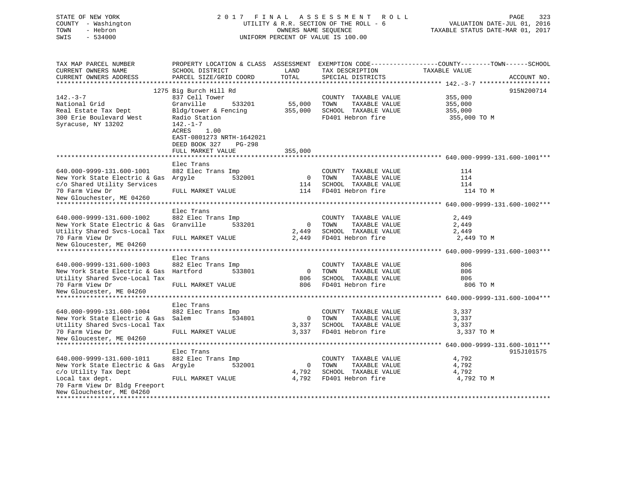| STATE OF NEW YORK<br>COUNTY - Washington<br>TOWN<br>- Hebron<br>SWIS<br>$-534000$ |                                                                                           | OWNERS NAME SEQUENCE     | 2017 FINAL ASSESSMENT ROLL<br>UTILITY & R.R. SECTION OF THE ROLL - 6<br>UNIFORM PERCENT OF VALUE IS 100.00 | PAGE<br>323<br>VALUATION DATE-JUL 01, 2016<br>TAXABLE STATUS DATE-MAR 01, 2017                                   |
|-----------------------------------------------------------------------------------|-------------------------------------------------------------------------------------------|--------------------------|------------------------------------------------------------------------------------------------------------|------------------------------------------------------------------------------------------------------------------|
| TAX MAP PARCEL NUMBER<br>CURRENT OWNERS NAME                                      | SCHOOL DISTRICT                                                                           | LAND                     | TAX DESCRIPTION                                                                                            | PROPERTY LOCATION & CLASS ASSESSMENT EXEMPTION CODE---------------COUNTY-------TOWN------SCHOOL<br>TAXABLE VALUE |
| CURRENT OWNERS ADDRESS                                                            | PARCEL SIZE/GRID COORD                                                                    | TOTAL                    | SPECIAL DISTRICTS                                                                                          | ACCOUNT NO.                                                                                                      |
|                                                                                   |                                                                                           |                          |                                                                                                            |                                                                                                                  |
|                                                                                   | 1275 Big Burch Hill Rd                                                                    |                          |                                                                                                            | 915N200714                                                                                                       |
| $142. - 3 - 7$                                                                    | 837 Cell Tower                                                                            |                          | COUNTY TAXABLE VALUE                                                                                       | 355,000                                                                                                          |
| National Grid<br>Real Estate Tax Dept                                             | Granville<br>533201<br>Bldg/tower & Fencing                                               | 55,000<br>355,000        | TOWN<br>TAXABLE VALUE<br>SCHOOL TAXABLE VALUE                                                              | 355,000<br>355,000                                                                                               |
| 300 Erie Boulevard West                                                           | Radio Station                                                                             |                          | FD401 Hebron fire                                                                                          | 355,000 TO M                                                                                                     |
| Syracuse, NY 13202                                                                | $142. - 1 - 7$<br>ACRES<br>1.00<br>EAST-0801273 NRTH-1642021<br>DEED BOOK 327<br>$PG-298$ |                          |                                                                                                            |                                                                                                                  |
|                                                                                   | FULL MARKET VALUE                                                                         | 355,000                  |                                                                                                            |                                                                                                                  |
|                                                                                   |                                                                                           | **************           |                                                                                                            | ******************************** 640.000-9999-131.600-1001***                                                    |
|                                                                                   | Elec Trans                                                                                |                          |                                                                                                            |                                                                                                                  |
| 640.000-9999-131.600-1001                                                         | 882 Elec Trans Imp                                                                        |                          | COUNTY TAXABLE VALUE                                                                                       | 114                                                                                                              |
| New York State Electric & Gas Argyle                                              | 532001                                                                                    | $\overline{\phantom{0}}$ | TOWN<br>TAXABLE VALUE                                                                                      | 114                                                                                                              |
| c/o Shared Utility Services                                                       |                                                                                           | 114                      | SCHOOL TAXABLE VALUE                                                                                       | 114                                                                                                              |
| 70 Farm View Dr                                                                   | FULL MARKET VALUE                                                                         | 114                      | FD401 Hebron fire                                                                                          | 114 TO M                                                                                                         |
| New Glouchester, ME 04260                                                         |                                                                                           |                          |                                                                                                            |                                                                                                                  |
|                                                                                   | Elec Trans                                                                                |                          |                                                                                                            |                                                                                                                  |
| 640.000-9999-131.600-1002                                                         | 882 Elec Trans Imp                                                                        |                          | COUNTY TAXABLE VALUE                                                                                       | 2,449                                                                                                            |
| New York State Electric & Gas                                                     | Granville<br>533201                                                                       | $\overline{0}$           | TAXABLE VALUE<br>TOWN                                                                                      | 2,449                                                                                                            |
| Utility Shared Svcs-Local Tax                                                     |                                                                                           | 2,449                    | SCHOOL TAXABLE VALUE                                                                                       | 2,449                                                                                                            |
| 70 Farm View Dr                                                                   | FULL MARKET VALUE                                                                         | 2,449                    | FD401 Hebron fire                                                                                          | 2,449 TO M                                                                                                       |
| New Gloucester, ME 04260                                                          |                                                                                           |                          |                                                                                                            |                                                                                                                  |
|                                                                                   |                                                                                           |                          |                                                                                                            |                                                                                                                  |
|                                                                                   | Elec Trans                                                                                |                          |                                                                                                            |                                                                                                                  |
| 640.000-9999-131.600-1003                                                         | 882 Elec Trans Imp                                                                        |                          | COUNTY TAXABLE VALUE                                                                                       | 806                                                                                                              |
| New York State Electric & Gas Hartford                                            | 533801                                                                                    | $\Omega$                 | TOWN<br>TAXABLE VALUE                                                                                      | 806                                                                                                              |
| Utility Shared Svce-Local Tax                                                     |                                                                                           | 806<br>806               | SCHOOL TAXABLE VALUE                                                                                       | 806                                                                                                              |
| 70 Farm View Dr<br>New Gloucester, ME 04260                                       | FULL MARKET VALUE                                                                         |                          | FD401 Hebron fire                                                                                          | 806 TO M                                                                                                         |
|                                                                                   |                                                                                           |                          |                                                                                                            |                                                                                                                  |
|                                                                                   | Elec Trans                                                                                |                          |                                                                                                            |                                                                                                                  |
| 640.000-9999-131.600-1004                                                         | 882 Elec Trans Imp                                                                        |                          | COUNTY TAXABLE VALUE                                                                                       | 3,337                                                                                                            |
| New York State Electric & Gas                                                     | 534801<br>Salem                                                                           | $\overline{0}$           | TOWN<br>TAXABLE VALUE                                                                                      | 3,337                                                                                                            |
| Utility Shared Svcs-Local Tax                                                     |                                                                                           | 3,337                    | SCHOOL TAXABLE VALUE                                                                                       | 3,337                                                                                                            |
| 70 Farm View Dr                                                                   | FULL MARKET VALUE                                                                         | 3,337                    | FD401 Hebron fire                                                                                          | 3,337 TO M                                                                                                       |
| New Gloucester, ME 04260                                                          |                                                                                           |                          |                                                                                                            |                                                                                                                  |
|                                                                                   |                                                                                           |                          |                                                                                                            |                                                                                                                  |
|                                                                                   | Elec Trans                                                                                |                          |                                                                                                            | 915J101575                                                                                                       |
| 640.000-9999-131.600-1011                                                         | 882 Elec Trans Imp                                                                        |                          | COUNTY TAXABLE VALUE                                                                                       | 4,792                                                                                                            |
| New York State Electric & Gas Argyle<br>c/o Utility Tax Dept                      | 532001                                                                                    | $\mathbf{0}$<br>4,792    | TOWN<br>TAXABLE VALUE<br>SCHOOL TAXABLE VALUE                                                              | 4,792<br>4,792                                                                                                   |
| Local tax dept.                                                                   | FULL MARKET VALUE                                                                         | 4,792                    | FD401 Hebron fire                                                                                          | 4,792 TO M                                                                                                       |
|                                                                                   |                                                                                           |                          |                                                                                                            |                                                                                                                  |

\*\*\*\*\*\*\*\*\*\*\*\*\*\*\*\*\*\*\*\*\*\*\*\*\*\*\*\*\*\*\*\*\*\*\*\*\*\*\*\*\*\*\*\*\*\*\*\*\*\*\*\*\*\*\*\*\*\*\*\*\*\*\*\*\*\*\*\*\*\*\*\*\*\*\*\*\*\*\*\*\*\*\*\*\*\*\*\*\*\*\*\*\*\*\*\*\*\*\*\*\*\*\*\*\*\*\*\*\*\*\*\*\*\*\*\*\*\*\*\*\*\*\*\*\*\*\*\*\*\*\*\*

70 Farm View Dr Bldg Freeport New Glouchester, ME 04260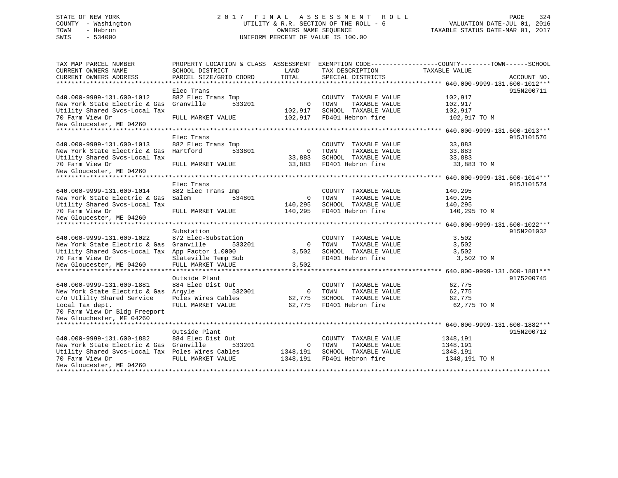# STATE OF NEW YORK 2 0 1 7 F I N A L A S S E S S M E N T R O L L PAGE 324 COUNTY - Washington UTILITY & R.R. SECTION OF THE ROLL - 6 VALUATION DATE-JUL 01, 2016 TOWN - Hebron OWNERS NAME SEQUENCE TAXABLE STATUS DATE-MAR 01, 2017 SWIS - 534000 UNIFORM PERCENT OF VALUE IS 100.00

| TAX MAP PARCEL NUMBER                            |                        |                |                       | PROPERTY LOCATION & CLASS ASSESSMENT EXEMPTION CODE----------------COUNTY-------TOWN------SCHOOL |             |
|--------------------------------------------------|------------------------|----------------|-----------------------|--------------------------------------------------------------------------------------------------|-------------|
| CURRENT OWNERS NAME                              | SCHOOL DISTRICT        | LAND           | TAX DESCRIPTION       | TAXABLE VALUE                                                                                    |             |
| CURRENT OWNERS ADDRESS                           | PARCEL SIZE/GRID COORD | TOTAL          | SPECIAL DISTRICTS     |                                                                                                  | ACCOUNT NO. |
| **************************                       |                        |                |                       |                                                                                                  |             |
|                                                  | Elec Trans             |                |                       |                                                                                                  | 915N200711  |
| 640.000-9999-131.600-1012                        | 882 Elec Trans Imp     |                | COUNTY TAXABLE VALUE  | 102,917                                                                                          |             |
| New York State Electric & Gas                    | 533201<br>Granville    | $\mathbf{0}$   | TOWN<br>TAXABLE VALUE | 102,917                                                                                          |             |
| Utility Shared Svcs-Local Tax                    |                        | 102,917        | SCHOOL TAXABLE VALUE  | 102,917                                                                                          |             |
| 70 Farm View Dr                                  | FULL MARKET VALUE      | 102,917        | FD401 Hebron fire     | 102,917 TO M                                                                                     |             |
| New Gloucester, ME 04260                         |                        |                |                       |                                                                                                  |             |
| *********************                            |                        |                |                       |                                                                                                  |             |
|                                                  | Elec Trans             |                |                       |                                                                                                  | 915J101576  |
| 640.000-9999-131.600-1013                        | 882 Elec Trans Imp     |                | COUNTY TAXABLE VALUE  | 33,883                                                                                           |             |
| New York State Electric & Gas                    | Hartford<br>533801     | $\overline{0}$ | TOWN<br>TAXABLE VALUE | 33,883                                                                                           |             |
| Utility Shared Svcs-Local Tax                    |                        | 33,883         | SCHOOL TAXABLE VALUE  | 33,883                                                                                           |             |
| 70 Farm View Dr                                  | FULL MARKET VALUE      | 33,883         | FD401 Hebron fire     | 33,883 TO M                                                                                      |             |
| New Gloucester, ME 04260                         |                        |                |                       |                                                                                                  |             |
|                                                  |                        |                |                       |                                                                                                  |             |
|                                                  | Elec Trans             |                |                       |                                                                                                  | 915J101574  |
| 640.000-9999-131.600-1014                        | 882 Elec Trans Imp     |                | COUNTY TAXABLE VALUE  | 140,295                                                                                          |             |
| New York State Electric & Gas                    | Salem<br>534801        | $\Omega$       | TAXABLE VALUE<br>TOWN | 140,295                                                                                          |             |
| Utility Shared Svcs-Local Tax                    |                        | 140,295        | SCHOOL TAXABLE VALUE  | 140,295                                                                                          |             |
| 70 Farm View Dr                                  | FULL MARKET VALUE      | 140,295        | FD401 Hebron fire     | 140,295 TO M                                                                                     |             |
| New Gloucester, ME 04260                         |                        |                |                       |                                                                                                  |             |
|                                                  |                        |                |                       |                                                                                                  |             |
|                                                  | Substation             |                |                       |                                                                                                  | 915N201032  |
| 640.000-9999-131.600-1022                        | 872 Elec-Substation    |                | COUNTY TAXABLE VALUE  | 3,502                                                                                            |             |
| New York State Electric & Gas                    | Granville<br>533201    | $\Omega$       | TOWN<br>TAXABLE VALUE | 3,502                                                                                            |             |
| Utility Shared Svcs-Local Tax App Factor 1.0000  |                        | 3,502          | SCHOOL TAXABLE VALUE  | 3,502                                                                                            |             |
| 70 Farm View Dr                                  | Slateville Temp Sub    |                | FD401 Hebron fire     | 3,502 TO M                                                                                       |             |
| New Gloucester, ME 04260                         | FULL MARKET VALUE      | 3,502          |                       |                                                                                                  |             |
| **********************                           |                        |                |                       |                                                                                                  |             |
|                                                  | Outside Plant          |                |                       |                                                                                                  | 9175200745  |
| 640.000-9999-131.600-1881                        | 884 Elec Dist Out      |                | COUNTY TAXABLE VALUE  | 62,775                                                                                           |             |
| New York State Electric & Gas                    | Arqyle<br>532001       | $\Omega$       | TOWN<br>TAXABLE VALUE | 62,775                                                                                           |             |
| c/o Utlilty Shared Service                       | Poles Wires Cables     | 62,775         | SCHOOL TAXABLE VALUE  | 62,775                                                                                           |             |
| Local Tax dept.                                  | FULL MARKET VALUE      | 62,775         | FD401 Hebron fire     | 62,775 TO M                                                                                      |             |
| 70 Farm View Dr Bldg Freeport                    |                        |                |                       |                                                                                                  |             |
| New Glouchester, ME 04260                        |                        |                |                       |                                                                                                  |             |
|                                                  |                        |                |                       |                                                                                                  |             |
|                                                  | Outside Plant          |                |                       |                                                                                                  | 915N200712  |
| 640.000-9999-131.600-1882                        | 884 Elec Dist Out      |                | COUNTY TAXABLE VALUE  | 1348,191                                                                                         |             |
| New York State Electric & Gas Granville          | 533201                 | $\Omega$       | TOWN<br>TAXABLE VALUE | 1348,191                                                                                         |             |
| Utility Shared Svcs-Local Tax Poles Wires Cables |                        | 1348,191       | SCHOOL TAXABLE VALUE  | 1348,191                                                                                         |             |
| 70 Farm View Dr                                  | FULL MARKET VALUE      | 1348,191       | FD401 Hebron fire     | 1348,191 TO M                                                                                    |             |
| New Gloucester, ME 04260                         |                        |                |                       |                                                                                                  |             |
|                                                  |                        |                |                       |                                                                                                  |             |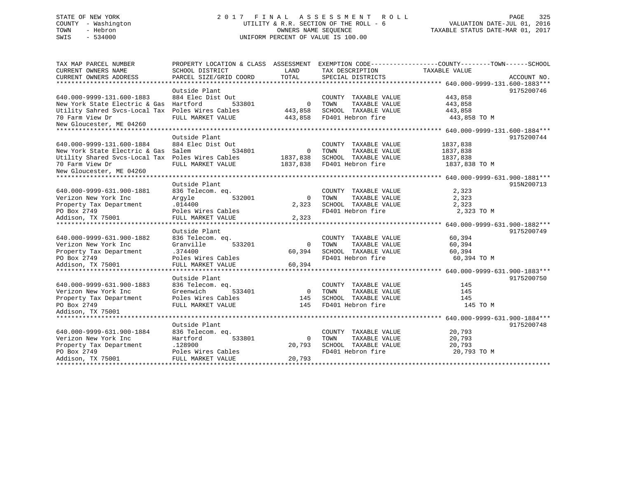# STATE OF NEW YORK 2 0 1 7 F I N A L A S S E S S M E N T R O L L PAGE 325 COUNTY - Washington UTILITY & R.R. SECTION OF THE ROLL - 6 VALUATION DATE-JUL 01, 2016 TOWN - Hebron OWNERS NAME SEQUENCE TAXABLE STATUS DATE-MAR 01, 2017 SWIS - 534000 UNIFORM PERCENT OF VALUE IS 100.00

| TOTAL<br>PARCEL SIZE/GRID COORD<br>CURRENT OWNERS ADDRESS<br>SPECIAL DISTRICTS<br>Outside Plant<br>640.000-9999-131.600-1883<br>884 Elec Dist Out<br>443,858<br>COUNTY TAXABLE VALUE<br>Hartford<br>New York State Electric & Gas<br>533801<br>$\Omega$<br>TAXABLE VALUE<br>443,858<br>TOWN<br>Utility Sahred Svcs-Local Tax<br>Poles Wires Cables<br>SCHOOL TAXABLE VALUE<br>443,858<br>443,858<br>FD401 Hebron fire<br>70 Farm View Dr<br>FULL MARKET VALUE<br>443,858<br>443,858 TO M<br>New Gloucester, ME 04260<br>Outside Plant<br>640.000-9999-131.600-1884<br>884 Elec Dist Out<br>1837,838<br>COUNTY TAXABLE VALUE | TAX MAP PARCEL NUMBER<br>CURRENT OWNERS NAME | PROPERTY LOCATION & CLASS ASSESSMENT<br>SCHOOL DISTRICT | LAND     | TAX DESCRIPTION       | EXEMPTION CODE----------------COUNTY-------TOWN------SCHOOL<br>TAXABLE VALUE |             |
|-----------------------------------------------------------------------------------------------------------------------------------------------------------------------------------------------------------------------------------------------------------------------------------------------------------------------------------------------------------------------------------------------------------------------------------------------------------------------------------------------------------------------------------------------------------------------------------------------------------------------------|----------------------------------------------|---------------------------------------------------------|----------|-----------------------|------------------------------------------------------------------------------|-------------|
|                                                                                                                                                                                                                                                                                                                                                                                                                                                                                                                                                                                                                             |                                              |                                                         |          |                       |                                                                              | ACCOUNT NO. |
|                                                                                                                                                                                                                                                                                                                                                                                                                                                                                                                                                                                                                             |                                              |                                                         |          |                       |                                                                              |             |
|                                                                                                                                                                                                                                                                                                                                                                                                                                                                                                                                                                                                                             |                                              |                                                         |          |                       |                                                                              | 9175200746  |
|                                                                                                                                                                                                                                                                                                                                                                                                                                                                                                                                                                                                                             |                                              |                                                         |          |                       |                                                                              |             |
|                                                                                                                                                                                                                                                                                                                                                                                                                                                                                                                                                                                                                             |                                              |                                                         |          |                       |                                                                              |             |
|                                                                                                                                                                                                                                                                                                                                                                                                                                                                                                                                                                                                                             |                                              |                                                         |          |                       |                                                                              |             |
|                                                                                                                                                                                                                                                                                                                                                                                                                                                                                                                                                                                                                             |                                              |                                                         |          |                       |                                                                              |             |
|                                                                                                                                                                                                                                                                                                                                                                                                                                                                                                                                                                                                                             |                                              |                                                         |          |                       |                                                                              |             |
|                                                                                                                                                                                                                                                                                                                                                                                                                                                                                                                                                                                                                             |                                              |                                                         |          |                       |                                                                              |             |
|                                                                                                                                                                                                                                                                                                                                                                                                                                                                                                                                                                                                                             |                                              |                                                         |          |                       |                                                                              | 9175200744  |
|                                                                                                                                                                                                                                                                                                                                                                                                                                                                                                                                                                                                                             |                                              |                                                         |          |                       |                                                                              |             |
|                                                                                                                                                                                                                                                                                                                                                                                                                                                                                                                                                                                                                             | New York State Electric & Gas                | Salem<br>534801                                         | $\Omega$ | TOWN<br>TAXABLE VALUE | 1837,838                                                                     |             |
| Utility Shared Svcs-Local Tax Poles Wires Cables<br>SCHOOL TAXABLE VALUE<br>1837,838<br>1837,838                                                                                                                                                                                                                                                                                                                                                                                                                                                                                                                            |                                              |                                                         |          |                       |                                                                              |             |
| FD401 Hebron fire<br>70 Farm View Dr<br>FULL MARKET VALUE<br>1837,838<br>1837,838 TO M                                                                                                                                                                                                                                                                                                                                                                                                                                                                                                                                      |                                              |                                                         |          |                       |                                                                              |             |
| New Gloucester, ME 04260                                                                                                                                                                                                                                                                                                                                                                                                                                                                                                                                                                                                    |                                              |                                                         |          |                       |                                                                              |             |
|                                                                                                                                                                                                                                                                                                                                                                                                                                                                                                                                                                                                                             |                                              |                                                         |          |                       |                                                                              |             |
| Outside Plant                                                                                                                                                                                                                                                                                                                                                                                                                                                                                                                                                                                                               |                                              |                                                         |          |                       |                                                                              | 915N200713  |
| 640.000-9999-631.900-1881<br>836 Telecom. eq.<br>2,323<br>COUNTY TAXABLE VALUE                                                                                                                                                                                                                                                                                                                                                                                                                                                                                                                                              |                                              |                                                         |          |                       |                                                                              |             |
| 532001<br>$\Omega$<br>2,323<br>Verizon New York Inc<br>Argyle<br>TOWN<br>TAXABLE VALUE                                                                                                                                                                                                                                                                                                                                                                                                                                                                                                                                      |                                              |                                                         |          |                       |                                                                              |             |
| .014400<br>2,323<br>Property Tax Department<br>2,323<br>SCHOOL TAXABLE VALUE                                                                                                                                                                                                                                                                                                                                                                                                                                                                                                                                                |                                              |                                                         |          |                       |                                                                              |             |
| PO Box 2749<br>FD401 Hebron fire<br>Poles Wires Cables<br>2,323 TO M                                                                                                                                                                                                                                                                                                                                                                                                                                                                                                                                                        |                                              |                                                         |          |                       |                                                                              |             |
| Addison, TX 75001<br>FULL MARKET VALUE<br>2,323                                                                                                                                                                                                                                                                                                                                                                                                                                                                                                                                                                             |                                              |                                                         |          |                       |                                                                              |             |
| Outside Plant                                                                                                                                                                                                                                                                                                                                                                                                                                                                                                                                                                                                               |                                              |                                                         |          |                       |                                                                              | 9175200749  |
| 640.000-9999-631.900-1882<br>60,394<br>836 Telecom. eq.<br>COUNTY TAXABLE VALUE                                                                                                                                                                                                                                                                                                                                                                                                                                                                                                                                             |                                              |                                                         |          |                       |                                                                              |             |
| Granville<br>533201<br>TAXABLE VALUE<br>60,394<br>Verizon New York Inc<br>$\Omega$<br>TOWN                                                                                                                                                                                                                                                                                                                                                                                                                                                                                                                                  |                                              |                                                         |          |                       |                                                                              |             |
| .374400<br>SCHOOL TAXABLE VALUE<br>60,394<br>60,394<br>Property Tax Department                                                                                                                                                                                                                                                                                                                                                                                                                                                                                                                                              |                                              |                                                         |          |                       |                                                                              |             |
| PO Box 2749<br>Poles Wires Cables<br>FD401 Hebron fire<br>60,394 TO M                                                                                                                                                                                                                                                                                                                                                                                                                                                                                                                                                       |                                              |                                                         |          |                       |                                                                              |             |
| 60,394<br>Addison, TX 75001<br>FULL MARKET VALUE                                                                                                                                                                                                                                                                                                                                                                                                                                                                                                                                                                            |                                              |                                                         |          |                       |                                                                              |             |
|                                                                                                                                                                                                                                                                                                                                                                                                                                                                                                                                                                                                                             |                                              |                                                         |          |                       |                                                                              |             |
| Outside Plant                                                                                                                                                                                                                                                                                                                                                                                                                                                                                                                                                                                                               |                                              |                                                         |          |                       |                                                                              | 9175200750  |
| 640.000-9999-631.900-1883<br>836 Telecom. eq.<br>COUNTY TAXABLE VALUE<br>145                                                                                                                                                                                                                                                                                                                                                                                                                                                                                                                                                |                                              |                                                         |          |                       |                                                                              |             |
| Verizon New York Inc<br>Greenwich<br>533401<br>TAXABLE VALUE<br>$\overline{0}$<br>TOWN<br>145                                                                                                                                                                                                                                                                                                                                                                                                                                                                                                                               |                                              |                                                         |          |                       |                                                                              |             |
| Poles Wires Cables<br>SCHOOL TAXABLE VALUE<br>Property Tax Department<br>145<br>145                                                                                                                                                                                                                                                                                                                                                                                                                                                                                                                                         |                                              |                                                         |          |                       |                                                                              |             |
| PO Box 2749<br>FD401 Hebron fire<br>FULL MARKET VALUE<br>145<br>145 TO M                                                                                                                                                                                                                                                                                                                                                                                                                                                                                                                                                    |                                              |                                                         |          |                       |                                                                              |             |
| Addison, TX 75001                                                                                                                                                                                                                                                                                                                                                                                                                                                                                                                                                                                                           |                                              |                                                         |          |                       |                                                                              |             |
|                                                                                                                                                                                                                                                                                                                                                                                                                                                                                                                                                                                                                             |                                              |                                                         |          |                       |                                                                              |             |
| Outside Plant                                                                                                                                                                                                                                                                                                                                                                                                                                                                                                                                                                                                               |                                              |                                                         |          |                       |                                                                              | 9175200748  |
| 640.000-9999-631.900-1884<br>20,793<br>836 Telecom. eq.<br>COUNTY TAXABLE VALUE                                                                                                                                                                                                                                                                                                                                                                                                                                                                                                                                             |                                              |                                                         |          |                       |                                                                              |             |
| Verizon New York Inc<br>Hartford<br>533801<br>TOWN<br>TAXABLE VALUE<br>20,793<br>0                                                                                                                                                                                                                                                                                                                                                                                                                                                                                                                                          |                                              |                                                         |          |                       |                                                                              |             |
| SCHOOL TAXABLE VALUE<br>Property Tax Department<br>.128900<br>20,793<br>20,793                                                                                                                                                                                                                                                                                                                                                                                                                                                                                                                                              |                                              |                                                         |          |                       |                                                                              |             |
| PO Box 2749<br>Poles Wires Cables<br>FD401 Hebron fire<br>20,793 TO M                                                                                                                                                                                                                                                                                                                                                                                                                                                                                                                                                       |                                              |                                                         |          |                       |                                                                              |             |
| Addison, TX 75001<br>20,793<br>FULL MARKET VALUE                                                                                                                                                                                                                                                                                                                                                                                                                                                                                                                                                                            |                                              |                                                         |          |                       |                                                                              |             |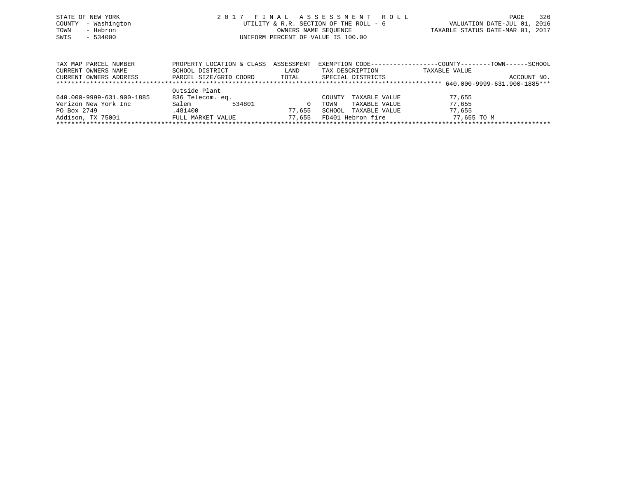|      | STATE OF NEW YORK   | 2017 FINAL ASSESSMENT ROLL             |                                  | PAGE | 326 |
|------|---------------------|----------------------------------------|----------------------------------|------|-----|
|      | COUNTY - Washington | UTILITY & R.R. SECTION OF THE ROLL - 6 | VALUATION DATE-JUL 01, 2016      |      |     |
| TOWN | - Hebron            | OWNERS NAME SEOUENCE                   | TAXABLE STATUS DATE-MAR 01, 2017 |      |     |
| SWIS | $-534000$           | UNIFORM PERCENT OF VALUE IS 100.00     |                                  |      |     |
|      |                     |                                        |                                  |      |     |
|      |                     |                                        |                                  |      |     |

| TAX MAP PARCEL NUMBER     | PROPERTY LOCATION & CLASS | ASSESSMENT |                         | EXEMPTION CODE-----------------COUNTY-------TOWN------SCHOOL |             |  |  |  |
|---------------------------|---------------------------|------------|-------------------------|--------------------------------------------------------------|-------------|--|--|--|
| CURRENT OWNERS NAME       | SCHOOL DISTRICT           | LAND       | TAX DESCRIPTION         | TAXABLE VALUE                                                |             |  |  |  |
| CURRENT OWNERS ADDRESS    | PARCEL SIZE/GRID COORD    | TOTAL      | SPECIAL DISTRICTS       |                                                              | ACCOUNT NO. |  |  |  |
|                           |                           |            |                         |                                                              |             |  |  |  |
|                           | Outside Plant             |            |                         |                                                              |             |  |  |  |
| 640.000-9999-631.900-1885 | 836 Telecom. eq.          |            | TAXABLE VALUE<br>COUNTY | 77,655                                                       |             |  |  |  |
| Verizon New York Inc      | Salem<br>534801           |            | TAXABLE VALUE<br>TOWN   | 77,655                                                       |             |  |  |  |
| PO Box 2749               | .481400                   | 77,655     | SCHOOL<br>TAXABLE VALUE | 77,655                                                       |             |  |  |  |
| Addison, TX 75001         | FULL MARKET VALUE         | 77,655     | FD401 Hebron fire       | 77,655 TO M                                                  |             |  |  |  |
|                           |                           |            |                         |                                                              |             |  |  |  |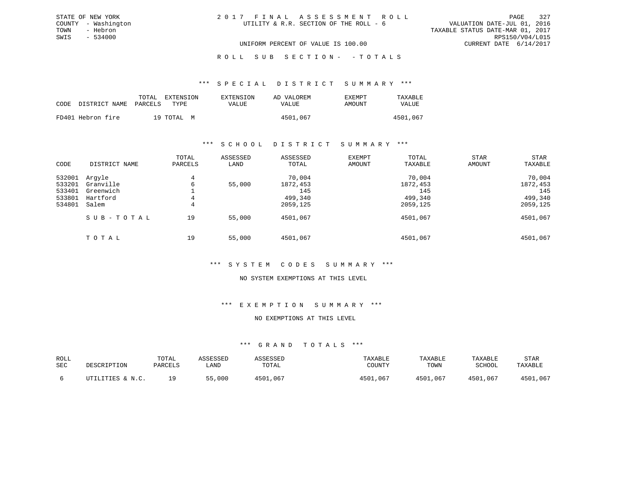## ROLL SUB SECTION - - TOTALS

#### \*\*\* S P E C I A L D I S T R I C T S U M M A R Y \*\*\*

|                            | TOTAL | EXTENSION  | <b>EXTENSION</b> | AD VALOREM | <b>EXEMPT</b> | TAXABLE      |
|----------------------------|-------|------------|------------------|------------|---------------|--------------|
| CODE DISTRICT NAME PARCELS |       | TYPE.      | VALUE            | VALUE      | AMOUNT        | <b>VALUE</b> |
| FD401 Hebron fire          |       | 19 TOTAL M |                  | 4501,067   |               | 4501,067     |

### \*\*\* S C H O O L D I S T R I C T S U M M A R Y \*\*\*

| CODE                                           | DISTRICT NAME                                         | TOTAL<br>PARCELS | ASSESSED<br>LAND | ASSESSED<br>TOTAL                                | EXEMPT<br>AMOUNT | TOTAL<br>TAXABLE                                 | <b>STAR</b><br>AMOUNT | STAR<br>TAXABLE                                  |
|------------------------------------------------|-------------------------------------------------------|------------------|------------------|--------------------------------------------------|------------------|--------------------------------------------------|-----------------------|--------------------------------------------------|
| 532001<br>533201<br>533401<br>533801<br>534801 | Argyle<br>Granville<br>Greenwich<br>Hartford<br>Salem | 4<br>6<br>4<br>4 | 55,000           | 70,004<br>1872,453<br>145<br>499,340<br>2059,125 |                  | 70,004<br>1872,453<br>145<br>499,340<br>2059,125 |                       | 70,004<br>1872,453<br>145<br>499,340<br>2059,125 |
|                                                | SUB-TOTAL                                             | 19               | 55,000           | 4501,067                                         |                  | 4501,067                                         |                       | 4501,067                                         |
|                                                | TOTAL                                                 | 19               | 55,000           | 4501,067                                         |                  | 4501,067                                         |                       | 4501,067                                         |

## \*\*\* S Y S T E M C O D E S S U M M A R Y \*\*\*

#### NO SYSTEM EXEMPTIONS AT THIS LEVEL

## \*\*\* E X E M P T I O N S U M M A R Y \*\*\*

## NO EXEMPTIONS AT THIS LEVEL

| ROLL<br><b>SEC</b> | DESCRIPTION      | TOTAL<br>PARCELS | ASSESSED<br>LAND | ASSESSED<br>TOTAL | TAXABLE<br>COUNTY | TAXABLE<br>TOWN | TAXABLE<br>SCHOOL | <b>STAR</b><br>TAXABLE |
|--------------------|------------------|------------------|------------------|-------------------|-------------------|-----------------|-------------------|------------------------|
|                    | UTILITIES & N.C. | 1 Q              | 55,000           | 4501,067          | 4501,067          | 4501,067        | 4501,067          | 4501,067               |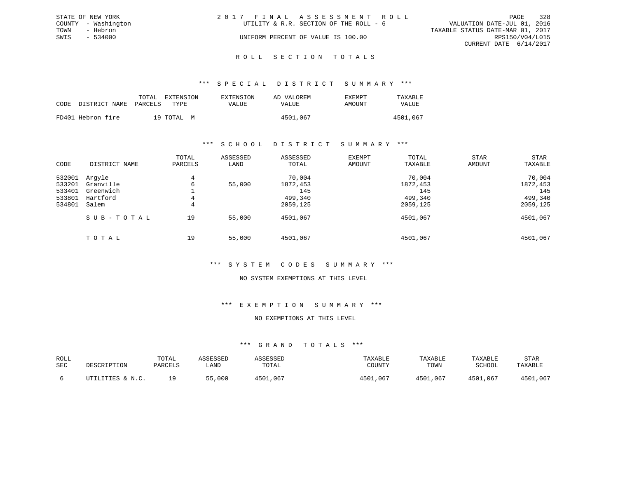|      | STATE OF NEW YORK   | 2017 FINAL ASSESSMENT ROLL |                                        |                                  |                        | PAGE | 328 |
|------|---------------------|----------------------------|----------------------------------------|----------------------------------|------------------------|------|-----|
|      | COUNTY - Washington |                            | UTILITY & R.R. SECTION OF THE ROLL - 6 | VALUATION DATE-JUL 01, 2016      |                        |      |     |
| TOWN | - Hebron            |                            |                                        | TAXABLE STATUS DATE-MAR 01, 2017 |                        |      |     |
| SWIS | $-534000$           |                            | UNIFORM PERCENT OF VALUE IS 100.00     |                                  | RPS150/V04/L015        |      |     |
|      |                     |                            |                                        |                                  | CURRENT DATE 6/14/2017 |      |     |
|      |                     |                            |                                        |                                  |                        |      |     |

#### R O L L S E C T I O N T O T A L S

## \*\*\* S P E C I A L D I S T R I C T S U M M A R Y \*\*\*

|      |                       | TOTAL | EXTENSION  | EXTENSION | AD VALOREM | EXEMPT | TAXABLE      |
|------|-----------------------|-------|------------|-----------|------------|--------|--------------|
| CODE | DISTRICT NAME PARCELS |       | TYPE       | VALUE     | VALUE      | AMOUNT | <b>VALUE</b> |
|      | FD401 Hebron fire     |       | 19 TOTAL M |           | 4501,067   |        | 4501,067     |

## \*\*\* S C H O O L D I S T R I C T S U M M A R Y \*\*\*

| CODE                                           | DISTRICT NAME                                         | TOTAL<br>PARCELS | ASSESSED<br>LAND | ASSESSED<br>TOTAL                                | <b>EXEMPT</b><br>AMOUNT | TOTAL<br>TAXABLE                                 | <b>STAR</b><br>AMOUNT | <b>STAR</b><br>TAXABLE                           |
|------------------------------------------------|-------------------------------------------------------|------------------|------------------|--------------------------------------------------|-------------------------|--------------------------------------------------|-----------------------|--------------------------------------------------|
| 532001<br>533201<br>533401<br>533801<br>534801 | Arqyle<br>Granville<br>Greenwich<br>Hartford<br>Salem | 4<br>6<br>4<br>4 | 55,000           | 70,004<br>1872,453<br>145<br>499,340<br>2059,125 |                         | 70,004<br>1872,453<br>145<br>499,340<br>2059,125 |                       | 70,004<br>1872,453<br>145<br>499,340<br>2059,125 |
|                                                | SUB-TOTAL                                             | 19               | 55,000           | 4501,067                                         |                         | 4501,067                                         |                       | 4501,067                                         |
|                                                | TOTAL                                                 | 19               | 55,000           | 4501,067                                         |                         | 4501,067                                         |                       | 4501,067                                         |

## \*\*\* S Y S T E M C O D E S S U M M A R Y \*\*\*

#### NO SYSTEM EXEMPTIONS AT THIS LEVEL

## \*\*\* E X E M P T I O N S U M M A R Y \*\*\*

## NO EXEMPTIONS AT THIS LEVEL

| ROLL<br>SEC | DESCRIPTION      | TOTAL<br>PARCELS | ASSESSED<br>LAND | ASSESSED<br>TOTAL | TAXABLE<br>COUNTY | TAXABLE<br>TOWN | TAXABLE<br><b>SCHOOL</b> | <b>STAR</b><br>TAXABLE |
|-------------|------------------|------------------|------------------|-------------------|-------------------|-----------------|--------------------------|------------------------|
|             | UTILITIES & N.C. | 1 Q              | 55,000           | 4501,067          | 4501,067          | 4501,067        | 4501,067                 | 4501,067               |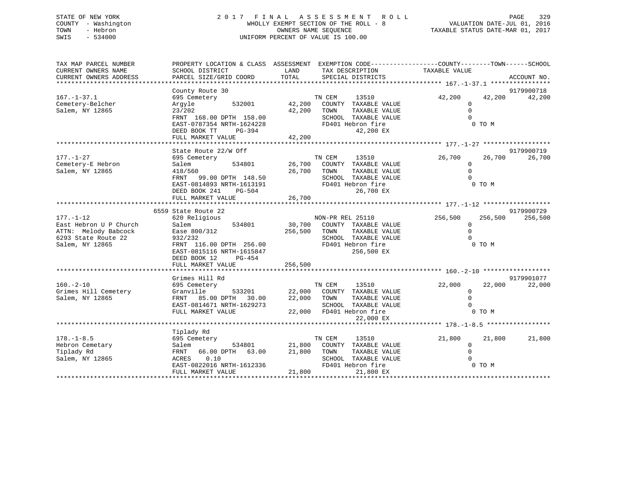# STATE OF NEW YORK 2 0 1 7 F I N A L A S S E S S M E N T R O L L PAGE 329 COUNTY - Washington WHOLLY EXEMPT SECTION OF THE ROLL - 8 VALUATION DATE-JUL 01, 2016 TOWN - Hebron OWNERS NAME SEQUENCE TAXABLE STATUS DATE-MAR 01, 2017 SWIS - 534000 UNIFORM PERCENT OF VALUE IS 100.00

| PROPERTY LOCATION & CLASS ASSESSMENT<br>SCHOOL DISTRICT<br>PARCEL SIZE/GRID COORD | LAND<br>TOTAL                                                                                                                                                                                                                                                                       | EXEMPTION CODE-----------------COUNTY-------TOWN------SCHOOL<br>TAX DESCRIPTION<br>SPECIAL DISTRICTS |                                                                                                                                                                                                                                                                                                                                                                                                                                                       |         | ACCOUNT NO.                                                                                                                                                                                                                                                     |
|-----------------------------------------------------------------------------------|-------------------------------------------------------------------------------------------------------------------------------------------------------------------------------------------------------------------------------------------------------------------------------------|------------------------------------------------------------------------------------------------------|-------------------------------------------------------------------------------------------------------------------------------------------------------------------------------------------------------------------------------------------------------------------------------------------------------------------------------------------------------------------------------------------------------------------------------------------------------|---------|-----------------------------------------------------------------------------------------------------------------------------------------------------------------------------------------------------------------------------------------------------------------|
| County Route 30                                                                   |                                                                                                                                                                                                                                                                                     |                                                                                                      |                                                                                                                                                                                                                                                                                                                                                                                                                                                       |         | 9179900718<br>42,200                                                                                                                                                                                                                                            |
| 532001<br>Argyle<br>23/202<br>FRNT 168.00 DPTH 158.00                             |                                                                                                                                                                                                                                                                                     | COUNTY TAXABLE VALUE<br>TOWN<br>TAXABLE VALUE<br>SCHOOL TAXABLE VALUE                                |                                                                                                                                                                                                                                                                                                                                                                                                                                                       |         |                                                                                                                                                                                                                                                                 |
| DEED BOOK TT<br>PG-394<br>FULL MARKET VALUE                                       |                                                                                                                                                                                                                                                                                     | 42,200 EX                                                                                            |                                                                                                                                                                                                                                                                                                                                                                                                                                                       |         |                                                                                                                                                                                                                                                                 |
|                                                                                   |                                                                                                                                                                                                                                                                                     |                                                                                                      |                                                                                                                                                                                                                                                                                                                                                                                                                                                       |         |                                                                                                                                                                                                                                                                 |
|                                                                                   |                                                                                                                                                                                                                                                                                     |                                                                                                      |                                                                                                                                                                                                                                                                                                                                                                                                                                                       |         | 9179900719                                                                                                                                                                                                                                                      |
| 695 Cemetery<br>Salem<br>534801                                                   |                                                                                                                                                                                                                                                                                     | 13510<br>COUNTY TAXABLE VALUE                                                                        | 26,700                                                                                                                                                                                                                                                                                                                                                                                                                                                | 26,700  | 26,700                                                                                                                                                                                                                                                          |
| EAST-0814893 NRTH-1613191<br>DEED BOOK 241<br>PG-504                              |                                                                                                                                                                                                                                                                                     | SCHOOL TAXABLE VALUE<br>FD401 Hebron fire<br>26,700 EX                                               |                                                                                                                                                                                                                                                                                                                                                                                                                                                       | 0 TO M  |                                                                                                                                                                                                                                                                 |
|                                                                                   |                                                                                                                                                                                                                                                                                     |                                                                                                      |                                                                                                                                                                                                                                                                                                                                                                                                                                                       |         |                                                                                                                                                                                                                                                                 |
|                                                                                   |                                                                                                                                                                                                                                                                                     |                                                                                                      |                                                                                                                                                                                                                                                                                                                                                                                                                                                       |         |                                                                                                                                                                                                                                                                 |
| 6559 State Route 22                                                               |                                                                                                                                                                                                                                                                                     |                                                                                                      |                                                                                                                                                                                                                                                                                                                                                                                                                                                       |         | 9179900729                                                                                                                                                                                                                                                      |
|                                                                                   |                                                                                                                                                                                                                                                                                     |                                                                                                      |                                                                                                                                                                                                                                                                                                                                                                                                                                                       |         | 256,500                                                                                                                                                                                                                                                         |
|                                                                                   |                                                                                                                                                                                                                                                                                     |                                                                                                      |                                                                                                                                                                                                                                                                                                                                                                                                                                                       |         |                                                                                                                                                                                                                                                                 |
|                                                                                   |                                                                                                                                                                                                                                                                                     |                                                                                                      |                                                                                                                                                                                                                                                                                                                                                                                                                                                       |         |                                                                                                                                                                                                                                                                 |
|                                                                                   |                                                                                                                                                                                                                                                                                     |                                                                                                      |                                                                                                                                                                                                                                                                                                                                                                                                                                                       |         |                                                                                                                                                                                                                                                                 |
| EAST-0815116 NRTH-1615847<br>DEED BOOK 12<br>PG-454                               |                                                                                                                                                                                                                                                                                     | 256,500 EX                                                                                           |                                                                                                                                                                                                                                                                                                                                                                                                                                                       |         |                                                                                                                                                                                                                                                                 |
|                                                                                   |                                                                                                                                                                                                                                                                                     |                                                                                                      |                                                                                                                                                                                                                                                                                                                                                                                                                                                       |         |                                                                                                                                                                                                                                                                 |
|                                                                                   |                                                                                                                                                                                                                                                                                     |                                                                                                      |                                                                                                                                                                                                                                                                                                                                                                                                                                                       |         |                                                                                                                                                                                                                                                                 |
|                                                                                   |                                                                                                                                                                                                                                                                                     |                                                                                                      |                                                                                                                                                                                                                                                                                                                                                                                                                                                       |         | 9179901077<br>22,000                                                                                                                                                                                                                                            |
| Granville                                                                         |                                                                                                                                                                                                                                                                                     |                                                                                                      |                                                                                                                                                                                                                                                                                                                                                                                                                                                       |         |                                                                                                                                                                                                                                                                 |
|                                                                                   |                                                                                                                                                                                                                                                                                     |                                                                                                      |                                                                                                                                                                                                                                                                                                                                                                                                                                                       |         |                                                                                                                                                                                                                                                                 |
| FULL MARKET VALUE                                                                 |                                                                                                                                                                                                                                                                                     |                                                                                                      |                                                                                                                                                                                                                                                                                                                                                                                                                                                       | 0 TO M  |                                                                                                                                                                                                                                                                 |
|                                                                                   |                                                                                                                                                                                                                                                                                     |                                                                                                      |                                                                                                                                                                                                                                                                                                                                                                                                                                                       |         |                                                                                                                                                                                                                                                                 |
| Tiplady Rd                                                                        |                                                                                                                                                                                                                                                                                     |                                                                                                      |                                                                                                                                                                                                                                                                                                                                                                                                                                                       |         |                                                                                                                                                                                                                                                                 |
| 695 Cemetery                                                                      |                                                                                                                                                                                                                                                                                     | TN CEM<br>13510                                                                                      | 21,800                                                                                                                                                                                                                                                                                                                                                                                                                                                | 21,800  | 21,800                                                                                                                                                                                                                                                          |
| Salem                                                                             |                                                                                                                                                                                                                                                                                     | COUNTY TAXABLE VALUE                                                                                 |                                                                                                                                                                                                                                                                                                                                                                                                                                                       |         |                                                                                                                                                                                                                                                                 |
| FRNT 66.00 DPTH 63.00                                                             | 21,800                                                                                                                                                                                                                                                                              | TOWN<br>TAXABLE VALUE                                                                                |                                                                                                                                                                                                                                                                                                                                                                                                                                                       |         |                                                                                                                                                                                                                                                                 |
| 0.10<br>ACRES                                                                     |                                                                                                                                                                                                                                                                                     | SCHOOL TAXABLE VALUE                                                                                 |                                                                                                                                                                                                                                                                                                                                                                                                                                                       |         |                                                                                                                                                                                                                                                                 |
| EAST-0822016 NRTH-1612336<br>FULL MARKET VALUE                                    |                                                                                                                                                                                                                                                                                     | FD401 Hebron fire<br>21,800 EX                                                                       |                                                                                                                                                                                                                                                                                                                                                                                                                                                       |         |                                                                                                                                                                                                                                                                 |
|                                                                                   | 695 Cemetery<br>EAST-0787354 NRTH-1624228<br>State Route 22/W Off<br>418/560<br>620 Religious<br>534801<br>Salem<br>Ease 800/312<br>932/232<br>FRNT 116.00 DPTH 256.00<br>FULL MARKET VALUE<br>Grimes Hill Rd<br>695 Cemetery<br>FRNT 85.00 DPTH 30.00<br>EAST-0814671 NRTH-1629273 | FRNT 99.00 DPTH 148.50<br>533201<br>534801                                                           | TN CEM<br>13510<br>42,200<br>42,200<br>FD401 Hebron fire<br>42,200<br>TN CEM<br>26,700<br>26,700<br>TAXABLE VALUE<br>TOWN<br>NON-PR REL 25110<br>30,700<br>COUNTY TAXABLE VALUE<br>TAXABLE VALUE<br>256,500<br>TOWN<br>SCHOOL TAXABLE VALUE<br>FD401 Hebron fire<br>256,500<br>TN CEM<br>13510<br>22,000 COUNTY TAXABLE VALUE<br>22,000<br>TAXABLE VALUE<br>TOWN<br>SCHOOL TAXABLE VALUE<br>22,000 FD401 Hebron fire<br>22,000 EX<br>21,800<br>21,800 | 256,500 | TAXABLE VALUE<br>42,200<br>42,200<br>$\mathbf{0}$<br>$\Omega$<br>$\Omega$<br>0 TO M<br>$\mathbf{0}$<br>$\Omega$<br>$\Omega$<br>256,500<br>$\Omega$<br>$\Omega$<br>0 TO M<br>22,000<br>22,000<br>$\mathbf{0}$<br>$\Omega$<br>$\Omega$<br>0<br>$\Omega$<br>0 TO M |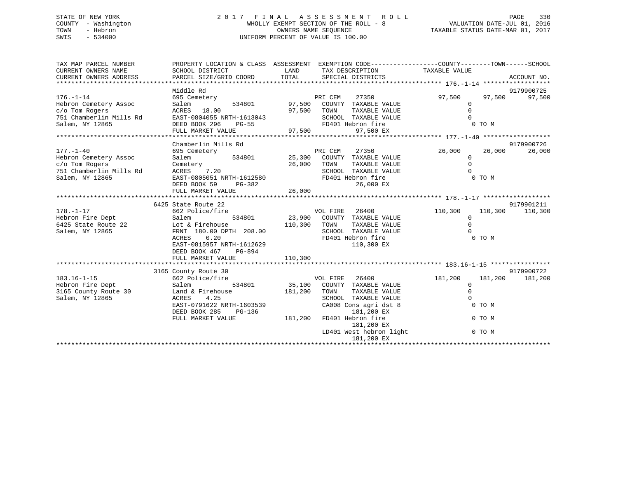# STATE OF NEW YORK 2 0 1 7 F I N A L A S S E S S M E N T R O L L PAGE 330 COUNTY - Washington WHOLLY EXEMPT SECTION OF THE ROLL - 8 VALUATION DATE-JUL 01, 2016 TOWN - Hebron OWNERS NAME SEQUENCE TAXABLE STATUS DATE-MAR 01, 2017 SWIS - 534000 UNIFORM PERCENT OF VALUE IS 100.00

| TAX MAP PARCEL NUMBER<br>CURRENT OWNERS NAME<br>CURRENT OWNERS ADDRESS | PROPERTY LOCATION & CLASS ASSESSMENT EXEMPTION CODE----------------COUNTY-------TOWN------SCHOOL<br>SCHOOL DISTRICT<br>PARCEL SIZE/GRID COORD | LAND<br>TOTAL | SPECIAL DISTRICTS                                            | TAX DESCRIPTION TAXABLE VALUE |             |         | ACCOUNT NO. |
|------------------------------------------------------------------------|-----------------------------------------------------------------------------------------------------------------------------------------------|---------------|--------------------------------------------------------------|-------------------------------|-------------|---------|-------------|
|                                                                        | Middle Rd                                                                                                                                     |               |                                                              |                               |             |         | 9179900725  |
| $176. - 1 - 14$                                                        | 695 Cemetery                                                                                                                                  |               | PRI CERT COUNTY TAXABLE VALUE<br>97,500 COUNTY TAXABLE VALUE |                               | 97,500      | 97,500  | 97,500      |
| Hebron Cemetery Assoc                                                  | 534801<br>Salem                                                                                                                               |               |                                                              |                               | $\Omega$    |         |             |
| c/o Tom Rogers                                                         | ACRES 18.00                                                                                                                                   | 97,500        |                                                              | TAXABLE VALUE                 | $\Omega$    |         |             |
| 751 Chamberlin Mills Rd                                                | EAST-0804055 NRTH-1613043                                                                                                                     |               | SCHOOL TAXABLE VALUE                                         |                               | $\Omega$    |         |             |
| Salem, NY 12865                                                        | DEED BOOK 296<br>$PG-55$                                                                                                                      |               | FD401 Hebron fire                                            |                               |             | 0 TO M  |             |
|                                                                        | FULL MARKET VALUE                                                                                                                             |               | 97,500                                                       | 97,500 EX                     |             |         |             |
|                                                                        |                                                                                                                                               |               |                                                              |                               |             |         |             |
|                                                                        | Chamberlin Mills Rd                                                                                                                           |               |                                                              |                               |             |         | 9179900726  |
| $177. - 1 - 40$                                                        | 695 Cemetery<br>ا<br>1 534801 534801 534801                                                                                                   |               | PRI CEM                                                      | 27350                         | 26,000      | 26,000  | 26,000      |
| Hebron Cemetery Assoc                                                  | Salem                                                                                                                                         |               | COUNTY TAXABLE VALUE                                         |                               | $\mathbf 0$ |         |             |
| c/o Tom Rogers                                                         | Cemetery                                                                                                                                      | 26,000        | TOWN                                                         | TAXABLE VALUE                 | $\Omega$    |         |             |
| 751 Chamberlin Mills Rd                                                | ACRES 7.20                                                                                                                                    |               | SCHOOL TAXABLE VALUE                                         |                               | $\Omega$    |         |             |
| Salem, NY 12865                                                        | EAST-0805051 NRTH-1612580                                                                                                                     |               | FD401 Hebron fire                                            |                               |             | 0 TO M  |             |
|                                                                        | DEED BOOK 59<br>PG-382                                                                                                                        |               |                                                              | 26,000 EX                     |             |         |             |
|                                                                        | FULL MARKET VALUE                                                                                                                             | 26,000        |                                                              |                               |             |         |             |
|                                                                        |                                                                                                                                               |               |                                                              |                               |             |         |             |
|                                                                        | 6425 State Route 22                                                                                                                           |               |                                                              |                               |             |         | 9179901211  |
| $178. - 1 - 17$                                                        | 662 Police/fire                                                                                                                               |               | VOL FIRE                                                     | 26400                         | 110,300     | 110,300 | 110,300     |
| Hebron Fire Dept                                                       | 534801<br>Salem                                                                                                                               |               | 23,900 COUNTY TAXABLE VALUE                                  |                               | $\mathbf 0$ |         |             |
| 6425 State Route 22                                                    | Lot & Firehouse                                                                                                                               | 110,300       | TOWN                                                         | TAXABLE VALUE                 | $\Omega$    |         |             |
| Salem, NY 12865                                                        | FRNT 180.00 DPTH 208.00                                                                                                                       |               | SCHOOL TAXABLE VALUE                                         |                               | $\Omega$    |         |             |
|                                                                        | ACRES<br>0.20                                                                                                                                 |               | FD401 Hebron fire                                            |                               |             | 0 TO M  |             |
|                                                                        | EAST-0815957 NRTH-1612629                                                                                                                     |               |                                                              | 110,300 EX                    |             |         |             |
|                                                                        | DEED BOOK 467<br>PG-894                                                                                                                       |               |                                                              |                               |             |         |             |
|                                                                        | FULL MARKET VALUE                                                                                                                             | 110,300       |                                                              |                               |             |         |             |
|                                                                        |                                                                                                                                               |               |                                                              |                               |             |         |             |
|                                                                        | 3165 County Route 30                                                                                                                          |               |                                                              |                               |             |         | 9179900722  |
| $183.16 - 1 - 15$                                                      | 662 Police/fire                                                                                                                               |               | VOL FIRE 26400                                               |                               | 181,200     | 181,200 | 181,200     |
| Hebron Fire Dept                                                       | 534801<br>Salem                                                                                                                               |               | 35,100 COUNTY TAXABLE VALUE                                  |                               | $\mathbf 0$ |         |             |
| 3165 County Route 30                                                   | Land & Firehouse                                                                                                                              | 181,200       | TOWN                                                         | TAXABLE VALUE                 | $\mathbf 0$ |         |             |
| Salem, NY 12865                                                        | 4.25<br>ACRES                                                                                                                                 |               |                                                              | SCHOOL TAXABLE VALUE          | $\Omega$    |         |             |
|                                                                        | EAST-0791622 NRTH-1603539                                                                                                                     |               | CA008 Cons agri dst 8                                        |                               |             | 0 TO M  |             |
|                                                                        | DEED BOOK 285<br>PG-136                                                                                                                       |               |                                                              | 181,200 EX                    |             |         |             |
|                                                                        | FULL MARKET VALUE                                                                                                                             | 181,200       | FD401 Hebron fire                                            |                               |             | 0 TO M  |             |
|                                                                        |                                                                                                                                               |               |                                                              | 181,200 EX                    |             |         |             |
|                                                                        |                                                                                                                                               |               |                                                              | LD401 West hebron light       |             | 0 TO M  |             |
|                                                                        |                                                                                                                                               |               |                                                              | 181,200 EX                    |             |         |             |
|                                                                        |                                                                                                                                               |               |                                                              |                               |             |         |             |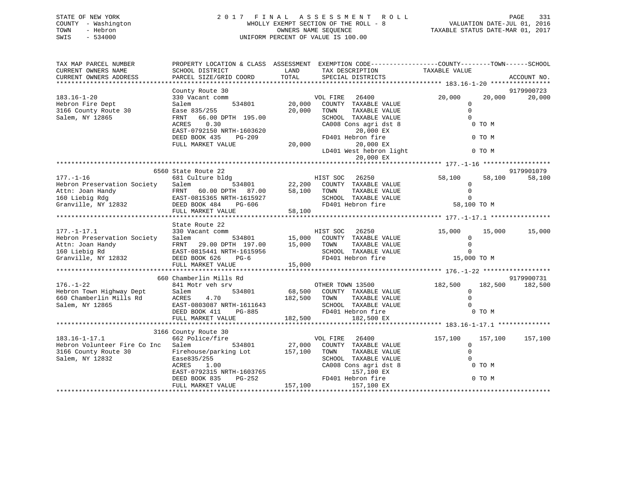# STATE OF NEW YORK 2 0 1 7 F I N A L A S S E S S M E N T R O L L PAGE 331 COUNTY - Washington WHOLLY EXEMPT SECTION OF THE ROLL - 8 VALUATION DATE-JUL 01, 2016 TOWN - Hebron OWNERS NAME SEQUENCE TAXABLE STATUS DATE-MAR 01, 2017 SWIS - 534000 UNIFORM PERCENT OF VALUE IS 100.00

| TAX MAP PARCEL NUMBER                         |                                             |               | PROPERTY LOCATION & CLASS ASSESSMENT EXEMPTION CODE----------------COUNTY-------TOWN------SCHOOL |                                 |         |                       |
|-----------------------------------------------|---------------------------------------------|---------------|--------------------------------------------------------------------------------------------------|---------------------------------|---------|-----------------------|
| CURRENT OWNERS NAME<br>CURRENT OWNERS ADDRESS | SCHOOL DISTRICT<br>PARCEL SIZE/GRID COORD   | LAND<br>TOTAL | TAX DESCRIPTION<br>SPECIAL DISTRICTS                                                             | TAXABLE VALUE                   |         | ACCOUNT NO.           |
|                                               |                                             |               |                                                                                                  |                                 |         |                       |
| $183.16 - 1 - 20$                             | County Route 30                             |               |                                                                                                  |                                 |         | 9179900723            |
| Hebron Fire Dept                              | 330 Vacant comm<br>534801<br>Salem          | 20,000        | 26400<br>VOL FIRE<br>COUNTY TAXABLE VALUE                                                        | 20,000<br>$\mathbf 0$           | 20,000  | 20,000                |
| 3166 County Route 30                          | Ease 835/255                                | 20,000        | TOWN<br>TAXABLE VALUE                                                                            | $\Omega$                        |         |                       |
| Salem, NY 12865                               | 66.00 DPTH 195.00<br>FRNT                   |               | SCHOOL TAXABLE VALUE                                                                             | $\Omega$                        |         |                       |
|                                               | 0.30<br>ACRES                               |               | CA008 Cons agri dst 8                                                                            |                                 | 0 TO M  |                       |
|                                               | EAST-0792150 NRTH-1603620                   |               | 20,000 EX                                                                                        |                                 |         |                       |
|                                               | DEED BOOK 435<br>PG-209                     |               | FD401 Hebron fire                                                                                |                                 | 0 TO M  |                       |
|                                               | FULL MARKET VALUE                           | 20,000        | 20,000 EX                                                                                        |                                 |         |                       |
|                                               |                                             |               | LD401 West hebron light                                                                          |                                 | 0 TO M  |                       |
|                                               |                                             |               | 20,000 EX                                                                                        |                                 |         |                       |
|                                               |                                             |               |                                                                                                  |                                 |         |                       |
|                                               | 6560 State Route 22                         |               |                                                                                                  |                                 |         | 9179901079            |
| $177. - 1 - 16$                               | 681 Culture bldg                            |               | HIST SOC<br>26250                                                                                | 58,100                          | 58,100  | 58,100                |
| Hebron Preservation Society                   | Salem<br>534801                             |               | 22,200 COUNTY TAXABLE VALUE                                                                      | 0                               |         |                       |
| Attn: Joan Handy                              | FRNT 60.00 DPTH 87.00                       | 58,100        | TOWN<br>TAXABLE VALUE                                                                            | $\mathbf 0$                     |         |                       |
| 160 Liebig Rdg                                | EAST-0815365 NRTH-1615927                   |               | SCHOOL TAXABLE VALUE                                                                             | $\Omega$                        |         |                       |
| Granville, NY 12832                           | DEED BOOK 484<br>PG-606                     |               | FD401 Hebron fire                                                                                | 58,100 TO M                     |         |                       |
|                                               | FULL MARKET VALUE                           | 58,100        |                                                                                                  |                                 |         |                       |
|                                               | State Route 22                              |               |                                                                                                  |                                 |         |                       |
| $177. - 1 - 17.1$                             | 330 Vacant comm                             |               | HIST SOC<br>26250                                                                                | 15,000                          | 15,000  | 15,000                |
| Hebron Preservation Society                   | Salem<br>534801                             | 15,000        | COUNTY TAXABLE VALUE                                                                             | 0                               |         |                       |
| Attn: Joan Handy                              | FRNT 29.00 DPTH 197.00                      | 15,000        | TAXABLE VALUE<br>TOWN                                                                            | $\mathbf 0$                     |         |                       |
| 160 Liebig Rd                                 | EAST-0815441 NRTH-1615956                   |               | SCHOOL TAXABLE VALUE                                                                             | $\Omega$                        |         |                       |
| Granville, NY 12832                           | DEED BOOK 626<br>$PG-6$                     |               | FD401 Hebron fire                                                                                | 15,000 TO M                     |         |                       |
|                                               | FULL MARKET VALUE                           | 15,000        |                                                                                                  |                                 |         |                       |
|                                               |                                             |               |                                                                                                  |                                 |         |                       |
| $176. - 1 - 22$                               | 660 Chamberlin Mills Rd<br>841 Motr veh srv |               | OTHER TOWN 13500                                                                                 |                                 | 182,500 | 9179900731<br>182,500 |
| Hebron Town Highway Dept                      | Salem<br>534801                             |               | 68,500 COUNTY TAXABLE VALUE                                                                      | 182,500<br>0                    |         |                       |
| 660 Chamberlin Mills Rd                       | ACRES<br>4.70                               | 182,500       | TAXABLE VALUE<br>TOWN                                                                            | $\Omega$                        |         |                       |
| Salem, NY 12865                               | EAST-0803087 NRTH-1611643                   |               | SCHOOL TAXABLE VALUE                                                                             | $\Omega$                        |         |                       |
|                                               | DEED BOOK 411<br>PG-885                     |               | FD401 Hebron fire                                                                                |                                 | 0 TO M  |                       |
|                                               | FULL MARKET VALUE                           | 182,500       | 182,500 EX                                                                                       |                                 |         |                       |
|                                               |                                             |               |                                                                                                  |                                 |         |                       |
|                                               | 3166 County Route 30                        |               |                                                                                                  |                                 |         |                       |
| $183.16 - 1 - 17.1$                           | 662 Police/fire                             |               | 26400<br>VOL FIRE                                                                                | 157,100                         | 157,100 | 157,100               |
| Hebron Volunteer Fire Co Inc Salem            | 534801                                      | 27,000        | COUNTY TAXABLE VALUE                                                                             | $\mathbf 0$                     |         |                       |
| 3166 County Route 30                          | Firehouse/parking Lot                       | 157,100       | TOWN<br>TAXABLE VALUE                                                                            | $\Omega$                        |         |                       |
| Salem, NY 12832                               | Ease835/255                                 |               | SCHOOL TAXABLE VALUE                                                                             | $\Omega$                        |         |                       |
|                                               | ACRES<br>1.00                               |               | CA008 Cons agri dst 8                                                                            |                                 | 0 TO M  |                       |
|                                               | EAST-0792315 NRTH-1603765                   |               | 157,100 EX                                                                                       |                                 |         |                       |
|                                               | DEED BOOK 835<br>PG-252                     |               | FD401 Hebron fire                                                                                |                                 | 0 TO M  |                       |
| *****************************                 | FULL MARKET VALUE                           | 157,100       | 157,100 EX                                                                                       | ******************************* |         |                       |
|                                               |                                             |               |                                                                                                  |                                 |         |                       |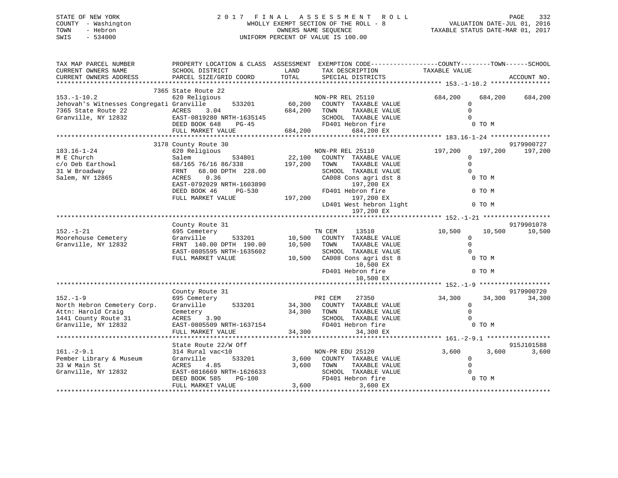# STATE OF NEW YORK 2 0 1 7 F I N A L A S S E S S M E N T R O L L PAGE 332 COUNTY - Washington WHOLLY EXEMPT SECTION OF THE ROLL - 8 VALUATION DATE-JUL 01, 2016 TOWN - Hebron OWNERS NAME SEQUENCE TAXABLE STATUS DATE-MAR 01, 2017 SWIS - 534000 UNIFORM PERCENT OF VALUE IS 100.00UNIFORM PERCENT OF VALUE IS 100.00

| TAX MAP PARCEL NUMBER<br>CURRENT OWNERS NAME<br>CURRENT OWNERS ADDRESS                                                               | SCHOOL DISTRICT<br>PARCEL SIZE/GRID COORD                                                                                                                                      | LAND<br>TOTAL                | PROPERTY LOCATION & CLASS ASSESSMENT EXEMPTION CODE----------------COUNTY-------TOWN-----SCHOOL<br>TAX DESCRIPTION<br>SPECIAL DISTRICTS                                               | TAXABLE VALUE                                     |                             | ACCOUNT NO.          |
|--------------------------------------------------------------------------------------------------------------------------------------|--------------------------------------------------------------------------------------------------------------------------------------------------------------------------------|------------------------------|---------------------------------------------------------------------------------------------------------------------------------------------------------------------------------------|---------------------------------------------------|-----------------------------|----------------------|
|                                                                                                                                      | 7365 State Route 22                                                                                                                                                            |                              |                                                                                                                                                                                       |                                                   |                             |                      |
| $153.-1-10.2$<br>Jehovah's Witnesses Congregati Granville<br>7365 State Route 22<br>Granville, NY 12832<br>EAST-0819280 NRTH-1635145 | 620 Religious<br>533201<br>DEED BOOK 648<br>PG-45<br>FULL MARKET VALUE                                                                                                         | 684,200                      | NON-PR REL 25110<br>60,200 COUNTY TAXABLE VALUE<br>TOWN<br>TAXABLE VALUE<br>SCHOOL TAXABLE VALUE<br>FD401 Hebron fire<br>684,200 EX                                                   | 684,200<br>$\overline{0}$<br>$\Omega$<br>$\Omega$ | 684,200<br>0 TO M           | 684,200              |
|                                                                                                                                      |                                                                                                                                                                                |                              |                                                                                                                                                                                       |                                                   |                             |                      |
|                                                                                                                                      | 3178 County Route 30                                                                                                                                                           |                              |                                                                                                                                                                                       |                                                   |                             | 9179900727           |
| $183.16 - 1 - 24$<br>M E Church<br>c/o Deb Earthowl<br>31 W Broadway<br>Salem, NY 12865                                              | 620 Religious<br>534801<br>Salem<br>68/165 76/16 86/338<br>FRNT 68.00 DPTH 228.00<br>ACRES<br>0.36<br>EAST-0792029 NRTH-1603890<br>DEED BOOK 46<br>PG-530<br>FULL MARKET VALUE | 22,100<br>197,200<br>197,200 | NON-PR REL 25110<br>COUNTY TAXABLE VALUE<br>TOWN<br>TAXABLE VALUE<br>SCHOOL TAXABLE VALUE<br>CA008 Cons agri dst 8<br>197,200 EX<br>FD401 Hebron fire<br>197,200 EX                   | 197,200<br>$\mathbf 0$<br>$\Omega$<br>$\Omega$    | 197,200<br>0 TO M<br>0 TO M | 197,200              |
|                                                                                                                                      |                                                                                                                                                                                |                              | LD401 West hebron light<br>197,200 EX                                                                                                                                                 |                                                   | 0 TO M                      |                      |
|                                                                                                                                      | County Route 31                                                                                                                                                                |                              |                                                                                                                                                                                       |                                                   |                             | 9179901078           |
| $152. - 1 - 21$<br>Moorehouse Cemetery<br>Granville, NY 12832                                                                        | 695 Cemetery<br>Granville<br>FRNT 140.00 DPTH 190.00<br>EAST-0805595 NRTH-1635602<br>FULL MARKET VALUE                                                                         | 10,500                       | TN CEM<br>13510<br>533201 10,500 COUNTY TAXABLE VALUE<br>TOWN<br>TAXABLE VALUE<br>SCHOOL TAXABLE VALUE<br>10,500 CA008 Cons agri dst 8<br>10,500 EX<br>FD401 Hebron fire<br>10,500 EX | 10,500<br>$\Omega$<br>$\Omega$<br>$\Omega$        | 10,500<br>0 TO M<br>0 TO M  | 10,500               |
|                                                                                                                                      |                                                                                                                                                                                |                              |                                                                                                                                                                                       |                                                   |                             |                      |
| $152. - 1 - 9$<br>North Hebron Cemetery Corp.<br>Attn: Harold Craig<br>1441 County Route 31<br>Granville, NY 12832                   | County Route 31<br>695 Cemetery<br>533201<br>Granville<br>Cemetery<br>ACRES 3.90<br>ACRES 3.90<br>EAST-0805509 NRTH-1637154<br>FULL MARKET VALUE                               | 34,300<br>34,300             | PRI CEM<br>27350<br>34,300 COUNTY TAXABLE VALUE<br>TOWN<br>TAXABLE VALUE<br>SCHOOL TAXABLE VALUE<br>FD401 Hebron fire<br>34,300 EX                                                    | 34,300<br>$\mathbf 0$<br>$\Omega$<br>$\Omega$     | 34,300<br>0 TO M            | 9179900720<br>34,300 |
|                                                                                                                                      |                                                                                                                                                                                |                              |                                                                                                                                                                                       |                                                   |                             |                      |
| $161. - 2 - 9.1$<br>Pember Library & Museum                                                                                          | State Route 22/W Off<br>314 Rural vac<10<br>533201<br>Granville                                                                                                                | 3,600                        | NON-PR EDU 25120<br>COUNTY TAXABLE VALUE                                                                                                                                              | 3,600<br>$\mathbf 0$                              | 3,600                       | 915J101588<br>3,600  |
| 33 W Main St<br>Granville, NY 12832                                                                                                  | ACRES<br>4.85<br>EAST-0816669 NRTH-1626633<br>DEED BOOK 585<br>PG-100<br>FULL MARKET VALUE                                                                                     | 3,600                        | TAXABLE VALUE<br>TOWN<br>SCHOOL TAXABLE VALUE<br>FD401 Hebron fire<br>3,600<br>3,600 EX                                                                                               | $\Omega$                                          | 0 TO M                      |                      |
|                                                                                                                                      |                                                                                                                                                                                |                              |                                                                                                                                                                                       |                                                   |                             |                      |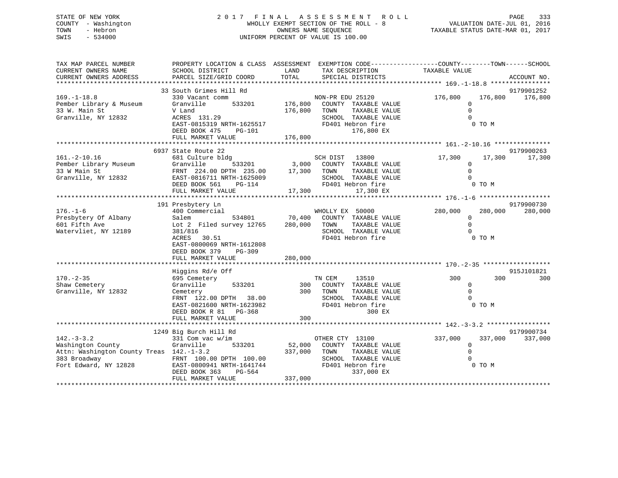# STATE OF NEW YORK 2 0 1 7 F I N A L A S S E S S M E N T R O L L PAGE 333 COUNTY - Washington WHOLLY EXEMPT SECTION OF THE ROLL - 8 VALUATION DATE-JUL 01, 2016 TOWN - Hebron OWNERS NAME SEQUENCE TAXABLE STATUS DATE-MAR 01, 2017 SWIS - 534000 UNIFORM PERCENT OF VALUE IS 100.00

| TAX MAP PARCEL NUMBER<br>CURRENT OWNERS NAME<br>CURRENT OWNERS ADDRESS                                                     | PROPERTY LOCATION & CLASS ASSESSMENT EXEMPTION CODE----------------COUNTY-------TOWN------SCHOOL<br>SCHOOL DISTRICT<br>PARCEL SIZE/GRID COORD                                               | LAND<br>TOTAL                        | TAX DESCRIPTION<br>SPECIAL DISTRICTS                                                                                            | TAXABLE VALUE                                  | ACCOUNT NO.                                |
|----------------------------------------------------------------------------------------------------------------------------|---------------------------------------------------------------------------------------------------------------------------------------------------------------------------------------------|--------------------------------------|---------------------------------------------------------------------------------------------------------------------------------|------------------------------------------------|--------------------------------------------|
| $169. - 1 - 18.8$<br>Pember Library & Museum<br>33 W. Main St<br>Granville, NY 12832                                       | 33 South Grimes Hill Rd<br>330 Vacant comm<br>Granville<br>V Land<br>ACRES 131.29<br>EAST-0815319 NRTH-1625517<br>DEED BOOK 475<br>PG-101<br>FULL MARKET VALUE                              | 533201 176,800<br>176,800<br>176,800 | NON-PR EDU 25120<br>COUNTY TAXABLE VALUE<br>TOWN<br>TAXABLE VALUE<br>SCHOOL TAXABLE VALUE<br>FD401 Hebron fire<br>176,800 EX    | 176,800<br>$\Omega$<br>$\Omega$<br>$\Omega$    | 9179901252<br>176,800<br>176,800<br>0 TO M |
| $161. - 2 - 10.16$<br>Pember Library Museum<br>33 W Main St<br>Granville, NY 12832                                         | 6937 State Route 22<br>681 Culture bldg<br>533201<br>Granville<br>FRNT 224.00 DPTH 235.00<br>EAST-0816711 NRTH-1625009<br>DEED BOOK 561<br>PG-114<br>FULL MARKET VALUE                      | 17,300<br>17,300                     | SCH DIST 13800<br>3,000 COUNTY TAXABLE VALUE<br>TOWN<br>TAXABLE VALUE<br>SCHOOL TAXABLE VALUE<br>FD401 Hebron fire<br>17,300 EX | 17,300<br>$\mathbf 0$<br>$\Omega$<br>$\Omega$  | 9179900263<br>17,300<br>17,300<br>0 TO M   |
| $176. - 1 - 6$<br>Presbytery Of Albany<br>601 Fifth Ave<br>Watervliet, NY 12189                                            | 191 Presbytery Ln<br>400 Commercial<br>534801<br>Salem<br>Lot 2 Filed survey 12765<br>381/816<br>ACRES 30.51<br>EAST-0800069 NRTH-1612808<br>DEED BOOK 379<br>$PG-309$<br>FULL MARKET VALUE | 70,400<br>280,000<br>280,000         | WHOLLY EX 50000<br>COUNTY TAXABLE VALUE<br>TOWN<br>TAXABLE VALUE<br>SCHOOL TAXABLE VALUE<br>FD401 Hebron fire                   | 280,000<br>$\mathbf 0$<br>$\Omega$<br>$\Omega$ | 9179900730<br>280,000<br>280,000<br>0 TO M |
| $170. - 2 - 35$<br>Shaw Cemetery<br>Granville, NY 12832                                                                    | Higgins Rd/e Off<br>695 Cemetery<br>Granville<br>533201<br>Cemetery<br>FRNT 122.00 DPTH 38.00<br>EAST-0821600 NRTH-1623982<br>DEED BOOK R 81 PG-368<br>FULL MARKET VALUE                    | 300<br>300<br>300                    | TN CEM<br>13510<br>COUNTY TAXABLE VALUE<br>TOWN<br>TAXABLE VALUE<br>SCHOOL TAXABLE VALUE<br>FD401 Hebron fire<br>300 EX         | 300<br>$\mathbf 0$<br>$\Omega$<br>$\Omega$     | 915J101821<br>300<br>300<br>0 TO M         |
| $142. - 3 - 3.2$<br>Washington County<br>Attn: Washington County Treas 142.-1-3.2<br>383 Broadway<br>Fort Edward, NY 12828 | 1249 Big Burch Hill Rd<br>331 Com vac w/im<br>Granville<br>533201<br>FRNT 100.00 DPTH 100.00<br>EAST-0800941 NRTH-1641744<br>PG-564<br>DEED BOOK 363<br>FULL MARKET VALUE                   | 52,000<br>337,000<br>337,000         | OTHER CTY 13100<br>COUNTY TAXABLE VALUE<br>TOWN<br>TAXABLE VALUE<br>SCHOOL TAXABLE VALUE<br>FD401 Hebron fire<br>337,000 EX     | 337,000<br>$\mathbf 0$<br>$\Omega$<br>$\Omega$ | 9179900734<br>337,000<br>337,000<br>0 TO M |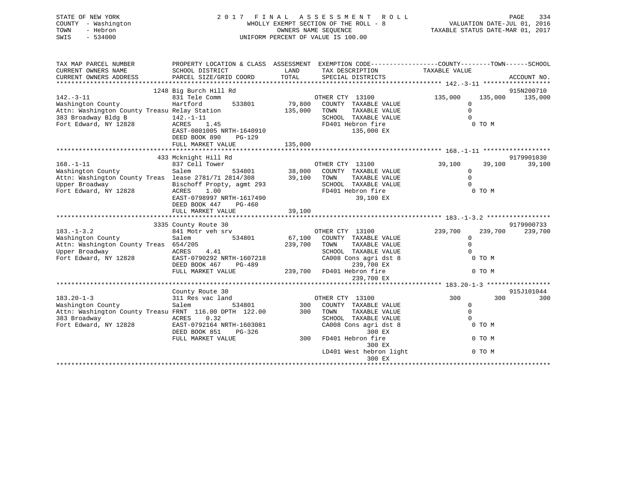| STATE OF NEW YORK<br>COUNTY - Washington<br>- Hebron<br>TOWN<br>$-534000$<br>SWIS                                                       |                                                                                                                                                      |                         | 2017 FINAL ASSESSMENT<br>R O L L<br>WHOLLY EXEMPT SECTION OF THE ROLL - 8<br>OWNERS NAME SEQUENCE<br>UNIFORM PERCENT OF VALUE IS 100.00 | VALUATION DATE-JUL 01, 2016<br>TAXABLE STATUS DATE-MAR 01, 2017      | PAGE<br>334           |
|-----------------------------------------------------------------------------------------------------------------------------------------|------------------------------------------------------------------------------------------------------------------------------------------------------|-------------------------|-----------------------------------------------------------------------------------------------------------------------------------------|----------------------------------------------------------------------|-----------------------|
| TAX MAP PARCEL NUMBER<br>CURRENT OWNERS NAME<br>CURRENT OWNERS ADDRESS                                                                  | SCHOOL DISTRICT<br>PARCEL SIZE/GRID COORD                                                                                                            | LAND<br>TOTAL           | PROPERTY LOCATION & CLASS ASSESSMENT EXEMPTION CODE---------------COUNTY-------TOWN-----SCHOOL<br>TAX DESCRIPTION<br>SPECIAL DISTRICTS  | TAXABLE VALUE                                                        | ACCOUNT NO.           |
|                                                                                                                                         | 1248 Big Burch Hill Rd                                                                                                                               |                         |                                                                                                                                         |                                                                      | 915N200710            |
| $142. - 3 - 11$<br>Washington County<br>Attn: Washington County Treasu Relay Station<br>383 Broadway Bldg B<br>Fort Edward, NY 12828    | 831 Tele Comm<br>Hartford<br>533801<br>$142. - 1 - 11$<br>ACRES<br>1.45<br>EAST-0801005 NRTH-1640910<br>DEED BOOK 890<br>$PG-129$                    | 79,800<br>135,000       | OTHER CTY 13100<br>COUNTY TAXABLE VALUE<br>TAXABLE VALUE<br>TOWN<br>SCHOOL TAXABLE VALUE<br>FD401 Hebron fire<br>135,000 EX             | 135,000<br>135,000<br>0<br>$\mathsf 0$<br>$\Omega$<br>0 TO M         | 135,000               |
|                                                                                                                                         | FULL MARKET VALUE                                                                                                                                    | 135,000                 |                                                                                                                                         |                                                                      |                       |
|                                                                                                                                         |                                                                                                                                                      |                         |                                                                                                                                         |                                                                      |                       |
|                                                                                                                                         | 433 Mcknight Hill Rd                                                                                                                                 |                         |                                                                                                                                         |                                                                      | 9179901030            |
| $168. - 1 - 11$<br>Washington County<br>Attn: Washington County Treas lease 2781/71 2814/308<br>Upper Broadway<br>Fort Edward, NY 12828 | 837 Cell Tower<br>Salem<br>Bischoff Propty, agmt 293<br>ACRES<br>1.00<br>EAST-0798997 NRTH-1617490<br>DEED BOOK 447<br>$PG-460$<br>FULL MARKET VALUE | 534801 38,000<br>39,100 | OTHER CTY 13100<br>COUNTY TAXABLE VALUE<br>39,100 TOWN<br>TAXABLE VALUE<br>SCHOOL TAXABLE VALUE<br>FD401 Hebron fire<br>39,100 EX       | 39,100<br>39,100<br>$\mathbf 0$<br>$\mathsf 0$<br>$\Omega$<br>0 TO M | 39,100                |
|                                                                                                                                         |                                                                                                                                                      |                         |                                                                                                                                         |                                                                      |                       |
| $183. - 1 - 3.2$<br>Washington County<br>Attn: Washington County Treas 654/205<br>Upper Broadway<br>Fort Edward, NY 12828               | 3335 County Route 30<br>841 Motr veh srv<br>Salem<br>534801<br>ACRES<br>4.41<br>EAST-0790292 NRTH-1607218<br>DEED BOOK 467<br>PG-489                 | 67,100<br>239,700       | OTHER CTY 13100<br>COUNTY TAXABLE VALUE<br>TOWN<br>TAXABLE VALUE<br>SCHOOL TAXABLE VALUE<br>CA008 Cons agri dst 8<br>239,700 EX         | 239,700<br>239,700<br>$\mathbf{0}$<br>$\Omega$<br>$\Omega$<br>0 TO M | 9179900733<br>239,700 |
|                                                                                                                                         | FULL MARKET VALUE                                                                                                                                    |                         | 239,700 FD401 Hebron fire                                                                                                               | 0 TO M                                                               |                       |

\*\*\*\*\*\*\*\*\*\*\*\*\*\*\*\*\*\*\*\*\*\*\*\*\*\*\*\*\*\*\*\*\*\*\*\*\*\*\*\*\*\*\*\*\*\*\*\*\*\*\*\*\*\*\*\*\*\*\*\*\*\*\*\*\*\*\*\*\*\*\*\*\*\*\*\*\*\*\*\*\*\*\*\*\*\*\*\*\*\*\*\*\*\*\*\*\*\*\*\*\*\*\* 183.20-1-3 \*\*\*\*\*\*\*\*\*\*\*\*\*\*\*\*\*915J101044 County Route 30 915J101044 183.20-1-3 311 Res vac land<br>Washington County 311 Res vac land 534801 300 300 Washington County Salem 534801 300 COUNTY TAXABLE VALUE 0<br>
Attn: Washington County Treasu FRNT 116.00 DPTH 122.00 300 TOWN TAXABLE VALUE 0 Attn: Washington County Treasu FRNT 116.00 DPTH 122.00 300 TOWN TAXABLE VALUE 0 383 Broadway ACRES 0.32 SCHOOL TAXABLE VALUE 0 CA008 Cons agri dst 8<br>300 EX  $DEED BOOK 851 PC-326$  FULL MARKET VALUE 300 FD401 Hebron fire 0 TO M0 TO M 300 EXLD401 West hebron light 0 TO M 300 EX\*\*\*\*\*\*\*\*\*\*\*\*\*\*\*\*\*\*\*\*\*\*\*\*\*\*\*\*\*\*\*\*\*\*\*\*\*\*\*\*\*\*\*\*\*\*\*\*\*\*\*\*\*\*\*\*\*\*\*\*\*\*\*\*\*\*\*\*\*\*\*\*\*\*\*\*\*\*\*\*\*\*\*\*\*\*\*\*\*\*\*\*\*\*\*\*\*\*\*\*\*\*\*\*\*\*\*\*\*\*\*\*\*\*\*\*\*\*\*\*\*\*\*\*\*\*\*\*\*\*\*\*

239,700 EX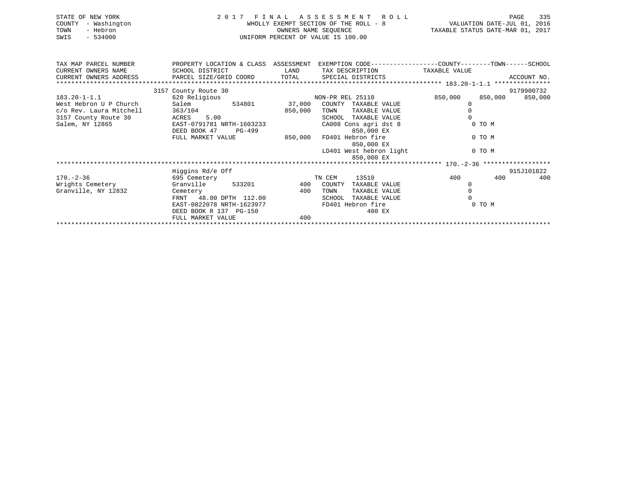|      | STATE OF NEW YORK   | 2017 FINAL ASSESSMENT ROLL            | PAGE                             | 335 |
|------|---------------------|---------------------------------------|----------------------------------|-----|
|      | COUNTY - Washington | WHOLLY EXEMPT SECTION OF THE ROLL - 8 | VALUATION DATE-JUL 01, 2016      |     |
| TOWN | - Hebron            | OWNERS NAME SEOUENCE                  | TAXABLE STATUS DATE-MAR 01, 2017 |     |
| SWIS | - 534000            | UNIFORM PERCENT OF VALUE IS 100.00    |                                  |     |

| TAX MAP PARCEL NUMBER   | PROPERTY LOCATION & CLASS ASSESSMENT           |         | EXEMPTION CODE-----------------COUNTY-------TOWN------SCHOOL |                    |             |
|-------------------------|------------------------------------------------|---------|--------------------------------------------------------------|--------------------|-------------|
| CURRENT OWNERS NAME     | SCHOOL DISTRICT                                | LAND    | TAX DESCRIPTION TAXABLE VALUE                                |                    |             |
| CURRENT OWNERS ADDRESS  | PARCEL SIZE/GRID COORD TOTAL SPECIAL DISTRICTS |         |                                                              |                    | ACCOUNT NO. |
|                         |                                                |         |                                                              |                    |             |
|                         | 3157 County Route 30                           |         |                                                              |                    | 9179900732  |
| $183.20 - 1 - 1.1$      | 620 Religious                                  |         | NON-PR REL 25110                                             | 850,000<br>850,000 | 850,000     |
| West Hebron U P Church  | 534801<br>Salem                                | 37,000  | COUNTY<br>TAXABLE VALUE                                      |                    |             |
| c/o Rev. Laura Mitchell | 363/104                                        | 850,000 | TAXABLE VALUE<br>TOWN                                        |                    |             |
| 3157 County Route 30    | ACRES 5.00                                     |         | SCHOOL<br>TAXABLE VALUE                                      |                    |             |
| Salem, NY 12865         | EAST-0791781 NRTH-1603233                      |         | CA008 Cons agri dst 8                                        | 0 TO M             |             |
|                         | DEED BOOK 47<br>PG-499                         |         | 850,000 EX                                                   |                    |             |
|                         | FULL MARKET VALUE                              | 850,000 | FD401 Hebron fire                                            | 0 TO M             |             |
|                         |                                                |         | 850,000 EX                                                   |                    |             |
|                         |                                                |         | LD401 West hebron light                                      | 0 TO M             |             |
|                         |                                                |         | 850,000 EX                                                   |                    |             |
|                         |                                                |         |                                                              |                    |             |
|                         | Higgins Rd/e Off                               |         |                                                              |                    | 915J101822  |
| $170. - 2 - 36$         | 695 Cemetery                                   |         | 13510<br>TN CEM                                              | 400<br>400         | 400         |
| Wrights Cemetery        | Granville<br>533201                            |         | 400 COUNTY<br>TAXABLE VALUE                                  |                    |             |
| Granville, NY 12832     | Cemetery                                       | 400     | TAXABLE VALUE<br>TOWN                                        |                    |             |
|                         | FRNT 48.00 DPTH 112.00                         |         | SCHOOL<br>TAXABLE VALUE                                      |                    |             |
|                         | EAST-0822078 NRTH-1623977                      |         | FD401 Hebron fire                                            | 0 TO M             |             |
|                         | DEED BOOK R 137 PG-150                         |         | 400 EX                                                       |                    |             |
|                         | FULL MARKET VALUE                              | 400     |                                                              |                    |             |
|                         |                                                |         |                                                              |                    |             |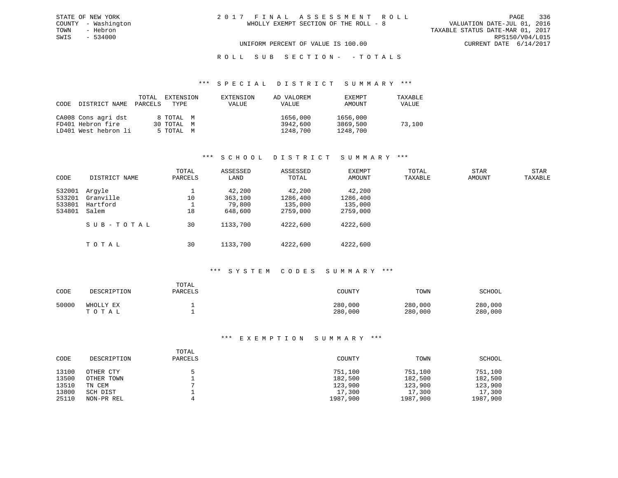VALUATION DATE-JUL 01, 2016 TAXABLE STATUS DATE-MAR 01, 2017<br>RPS150/V04/L015 UNIFORM PERCENT OF VALUE IS 100.00 CURRENT DATE 6/14/2017

## ROLL SUB SECTION - - TOTALS

#### \*\*\* S P E C I A L D I S T R I C T S U M M A R Y \*\*\*

| CODE | DISTRICT NAME        | TOTAL<br>PARCELS | EXTENSION<br>TYPE | EXTENSION<br><b>VALUE</b> | AD VALOREM<br>VALUE | EXEMPT<br>AMOUNT | TAXABLE<br>VALUE |
|------|----------------------|------------------|-------------------|---------------------------|---------------------|------------------|------------------|
|      | CA008 Cons agri dst  |                  | 8 TOTAL M         |                           | 1656,000            | 1656,000         |                  |
|      | FD401 Hebron fire    |                  | 30 TOTAL M        |                           | 3942,600            | 3869,500         | 73,100           |
|      | LD401 West hebron li |                  | 5 TOTAL M         |                           | 1248,700            | 1248,700         |                  |

## \*\*\* S C H O O L D I S T R I C T S U M M A R Y \*\*\*

| CODE                                 | DISTRICT NAME                            | TOTAL<br>PARCELS | ASSESSED<br>LAND                       | ASSESSED<br>TOTAL                         | EXEMPT<br>AMOUNT                          | TOTAL<br>TAXABLE | STAR<br>AMOUNT | STAR<br>TAXABLE |
|--------------------------------------|------------------------------------------|------------------|----------------------------------------|-------------------------------------------|-------------------------------------------|------------------|----------------|-----------------|
| 532001<br>533201<br>533801<br>534801 | Arqyle<br>Granville<br>Hartford<br>Salem | 10<br>18         | 42,200<br>363,100<br>79,800<br>648,600 | 42,200<br>1286,400<br>135,000<br>2759,000 | 42,200<br>1286,400<br>135,000<br>2759,000 |                  |                |                 |
|                                      | SUB-TOTAL                                | 30               | 1133,700                               | 4222,600                                  | 4222,600                                  |                  |                |                 |
|                                      | ТОТАЬ                                    | 30               | 1133,700                               | 4222,600                                  | 4222,600                                  |                  |                |                 |

## \*\*\* S Y S T E M C O D E S S U M M A R Y \*\*\*

| CODE  | DESCRIPTION        | TOTAL<br>PARCELS | COUNTY             | TOWN               | SCHOOL             |
|-------|--------------------|------------------|--------------------|--------------------|--------------------|
| 50000 | WHOLLY EX<br>TOTAL |                  | 280,000<br>280,000 | 280,000<br>280,000 | 280,000<br>280,000 |

| CODE  | DESCRIPTION | TOTAL<br>PARCELS | COUNTY   | TOWN     | SCHOOL   |
|-------|-------------|------------------|----------|----------|----------|
| 13100 | OTHER CTY   |                  | 751,100  | 751,100  | 751,100  |
| 13500 | OTHER TOWN  |                  | 182,500  | 182,500  | 182,500  |
| 13510 | TN CEM      |                  | 123,900  | 123,900  | 123,900  |
| 13800 | SCH DIST    |                  | 17,300   | 17,300   | 17,300   |
| 25110 | NON-PR REL  |                  | 1987,900 | 1987,900 | 1987,900 |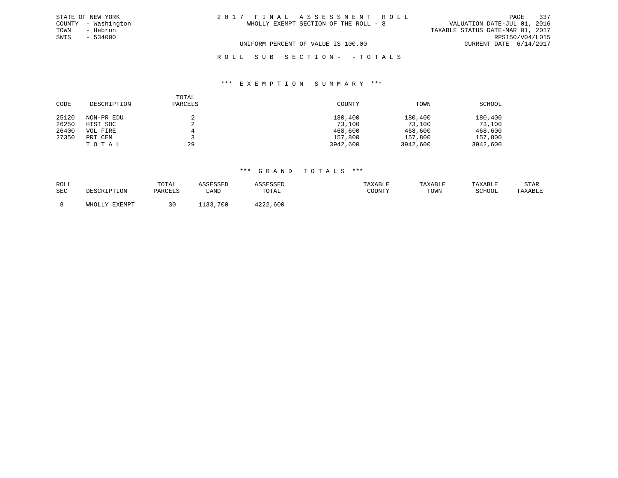| STATE OF NEW YORK   | 2017 FINAL ASSESSMENT ROLL            | 337<br>PAGE                      |
|---------------------|---------------------------------------|----------------------------------|
| COUNTY - Washington | WHOLLY EXEMPT SECTION OF THE ROLL - 8 | VALUATION DATE-JUL 01, 2016      |
| TOWN<br>- Hebron    |                                       | TAXABLE STATUS DATE-MAR 01, 2017 |
| SWIS<br>$-534000$   |                                       | RPS150/V04/L015                  |
|                     | UNIFORM PERCENT OF VALUE IS 100.00    | CURRENT DATE 6/14/2017           |
|                     | ROLL SUB SECTION- -TOTALS             |                                  |

| CODE  | DESCRIPTION | TOTAL<br>PARCELS | COUNTY   | TOWN     | SCHOOL   |
|-------|-------------|------------------|----------|----------|----------|
| 25120 | NON-PR EDU  |                  | 180,400  | 180,400  | 180,400  |
| 26250 | HIST SOC    |                  | 73,100   | 73,100   | 73,100   |
| 26400 | VOL FIRE    | 4                | 468,600  | 468,600  | 468,600  |
| 27350 | PRI CEM     |                  | 157,800  | 157,800  | 157,800  |
|       | TOTAL       | 29               | 3942,600 | 3942,600 | 3942,600 |

| ROLL       |                 | TOTAL   |             |          | 'AXABLE | TAXABLI | TAXABLE | STAR    |
|------------|-----------------|---------|-------------|----------|---------|---------|---------|---------|
| <b>SEC</b> |                 | DARCELS | LAND        | TOTAL    | COUNTY  | TOWN    | SCHOOL  | TAXABLE |
|            |                 |         |             |          |         |         |         |         |
|            | EXEMPT<br>WHOLI | 30      | .700<br>--- | 4222,600 |         |         |         |         |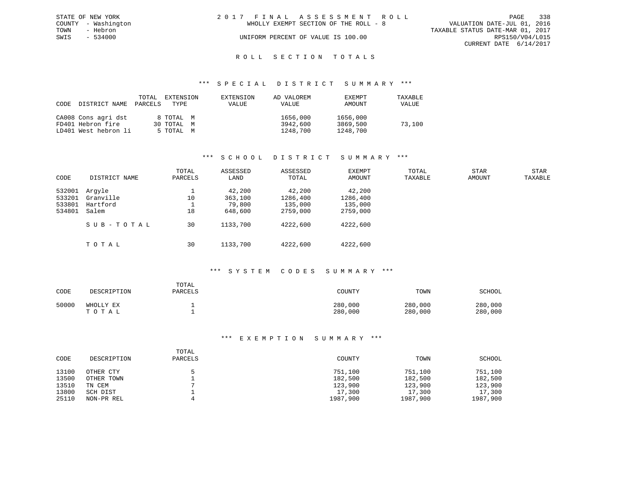|      | STATE OF NEW YORK   | 2017 FINAL ASSESSMENT ROLL            | 338<br>PAGE                      |
|------|---------------------|---------------------------------------|----------------------------------|
|      | COUNTY - Washington | WHOLLY EXEMPT SECTION OF THE ROLL - 8 | VALUATION DATE-JUL 01, 2016      |
| TOWN | - Hebron            |                                       | TAXABLE STATUS DATE-MAR 01, 2017 |
| SWIS | - 534000            | UNIFORM PERCENT OF VALUE IS 100.00    | RPS150/V04/L015                  |
|      |                     |                                       | CURRENT DATE $6/14/2017$         |
|      |                     |                                       |                                  |

#### R O L L S E C T I O N T O T A L S

#### \*\*\* S P E C I A L D I S T R I C T S U M M A R Y \*\*\*

| CODE | DISTRICT NAME        | TOTAL<br>PARCELS | EXTENSION<br>TYPE | EXTENSION<br>VALUE | AD VALOREM<br>VALUE | <b>EXEMPT</b><br>AMOUNT | TAXABLE<br>VALUE |
|------|----------------------|------------------|-------------------|--------------------|---------------------|-------------------------|------------------|
|      | CA008 Cons agri dst  |                  | 8 TOTAL M         |                    | 1656,000            | 1656,000                |                  |
|      | FD401 Hebron fire    |                  | 30 TOTAL M        |                    | 3942,600            | 3869,500                | 73,100           |
|      | LD401 West hebron li |                  | 5 TOTAL M         |                    | 1248,700            | 1248,700                |                  |

## \*\*\* S C H O O L D I S T R I C T S U M M A R Y \*\*\*

| CODE   | DISTRICT NAME | TOTAL<br>PARCELS | ASSESSED<br>LAND | ASSESSED<br>TOTAL | EXEMPT<br>AMOUNT | TOTAL<br>TAXABLE | <b>STAR</b><br>AMOUNT | <b>STAR</b><br>TAXABLE |
|--------|---------------|------------------|------------------|-------------------|------------------|------------------|-----------------------|------------------------|
| 532001 | Arqyle        |                  | 42,200           | 42,200            | 42,200           |                  |                       |                        |
| 533201 | Granville     | 10               | 363,100          | 1286,400          | 1286,400         |                  |                       |                        |
| 533801 | Hartford      |                  | 79,800           | 135,000           | 135,000          |                  |                       |                        |
| 534801 | Salem         | 18               | 648,600          | 2759,000          | 2759,000         |                  |                       |                        |
|        | SUB-TOTAL     | 30               | 1133,700         | 4222,600          | 4222,600         |                  |                       |                        |
|        | TOTAL         | 30               | 1133,700         | 4222,600          | 4222,600         |                  |                       |                        |

### \*\*\* S Y S T E M C O D E S S U M M A R Y \*\*\*

| CODE  | DESCRIPTION        | TOTAL<br>PARCELS | COUNTY             | TOWN               | SCHOOL             |
|-------|--------------------|------------------|--------------------|--------------------|--------------------|
| 50000 | WHOLLY EX<br>TOTAL |                  | 280,000<br>280,000 | 280,000<br>280,000 | 280,000<br>280,000 |

| CODE  | DESCRIPTION | TOTAL<br>PARCELS | COUNTY   | TOWN     | SCHOOL   |
|-------|-------------|------------------|----------|----------|----------|
| 13100 | OTHER CTY   |                  | 751,100  | 751,100  | 751,100  |
| 13500 | OTHER TOWN  |                  | 182,500  | 182,500  | 182,500  |
| 13510 | TN CEM      |                  | 123,900  | 123,900  | 123,900  |
| 13800 | SCH DIST    |                  | 17,300   | 17,300   | 17,300   |
| 25110 | NON-PR REL  |                  | 1987,900 | 1987,900 | 1987,900 |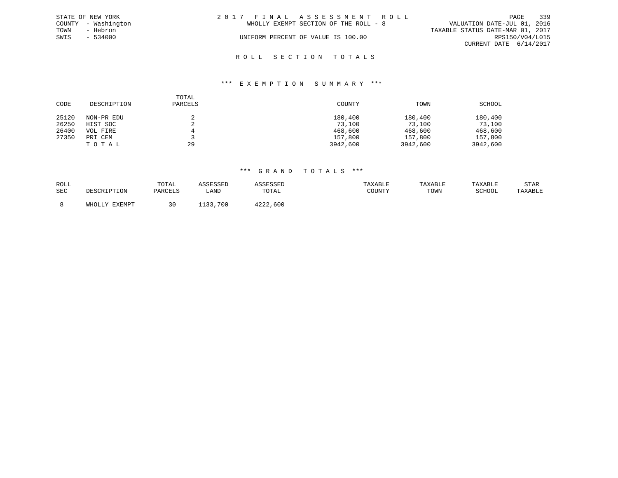|      | STATE OF NEW YORK   | 2017 FINAL ASSESSMENT ROLL            | 339<br>PAGE                      |
|------|---------------------|---------------------------------------|----------------------------------|
|      | COUNTY - Washington | WHOLLY EXEMPT SECTION OF THE ROLL - 8 | VALUATION DATE-JUL 01, 2016      |
| TOWN | - Hebron            |                                       | TAXABLE STATUS DATE-MAR 01, 2017 |
| SWIS | $-534000$           | UNIFORM PERCENT OF VALUE IS 100.00    | RPS150/V04/L015                  |
|      |                     |                                       | CURRENT DATE 6/14/2017           |
|      |                     |                                       |                                  |

# R O L L S E C T I O N T O T A L S

#### \*\*\* E X E M P T I O N S U M M A R Y \*\*\*

| CODE  | DESCRIPTION | TOTAL<br>PARCELS | COUNTY   | TOWN     | SCHOOL   |
|-------|-------------|------------------|----------|----------|----------|
| 25120 | NON-PR EDU  | $\epsilon$       | 180,400  | 180,400  | 180,400  |
| 26250 | HIST SOC    | ▵                | 73,100   | 73,100   | 73,100   |
| 26400 | VOL FIRE    | 4                | 468,600  | 468,600  | 468,600  |
| 27350 | PRI CEM     |                  | 157,800  | 157,800  | 157,800  |
|       | TOTAL       | 29               | 3942,600 | 3942,600 | 3942,600 |

| ROLL |                   | TOTAL   | רקססיירי |             | <b>XABLE</b>                               | TAXABLE |        | STAR    |
|------|-------------------|---------|----------|-------------|--------------------------------------------|---------|--------|---------|
| SEC  | וא∩דידים דפרי? את | PARCELS | LANI     | TOTAL       | $C$ $C$ $T$ $T$ $T$ $T$ $T$ $T$<br>1.70111 | TOWN    | SCHOOL | TAXABLE |
|      | FYFMDT            | 30      | 700      | 4222<br>600 |                                            |         |        |         |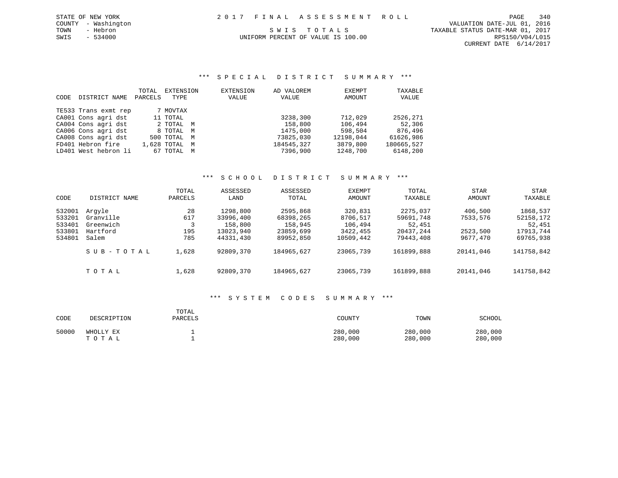\*\*\* S P E C I A L D I S T R I C T S U M M A R Y \*\*\*

|      |                      | TOTAL   | EXTENSION     | <b>EXTENSION</b> | AD VALOREM | EXEMPT    | TAXABLE    |
|------|----------------------|---------|---------------|------------------|------------|-----------|------------|
| CODE | DISTRICT NAME        | PARCELS | TYPE          | VALUE            | VALUE      | AMOUNT    | VALUE      |
|      | TE533 Trans exmt rep |         | 7 MOVTAX      |                  |            |           |            |
|      | CA001 Cons agri dst  |         | 11 TOTAL      |                  | 3238,300   | 712,029   | 2526,271   |
|      | CA004 Cons agri dst  |         | 2 TOTAL M     |                  | 158,800    | 106,494   | 52,306     |
|      | CA006 Cons agri dst  |         | 8 TOTAL M     |                  | 1475,000   | 598,504   | 876,496    |
|      | CA008 Cons agri dst  |         | 500 TOTAL M   |                  | 73825,030  | 12198,044 | 61626,986  |
|      | FD401 Hebron fire    |         | 1,628 TOTAL M |                  | 184545,327 | 3879,800  | 180665,527 |
|      | LD401 West hebron li |         | 67 TOTAL M    |                  | 7396,900   | 1248,700  | 6148,200   |

## \*\*\* S C H O O L D I S T R I C T S U M M A R Y \*\*\*

| CODE                                           | DISTRICT NAME                                         | TOTAL<br>PARCELS        | ASSESSED<br>LAND                                           | ASSESSED<br>TOTAL                                          | EXEMPT<br>AMOUNT                                        | TOTAL<br>TAXABLE                                          | STAR<br>AMOUNT                              | STAR<br>TAXABLE                                           |
|------------------------------------------------|-------------------------------------------------------|-------------------------|------------------------------------------------------------|------------------------------------------------------------|---------------------------------------------------------|-----------------------------------------------------------|---------------------------------------------|-----------------------------------------------------------|
| 532001<br>533201<br>533401<br>533801<br>534801 | Arqyle<br>Granville<br>Greenwich<br>Hartford<br>Salem | 28<br>617<br>195<br>785 | 1298,800<br>33996,400<br>158,800<br>13023,940<br>44331,430 | 2595,868<br>68398,265<br>158,945<br>23859,699<br>89952,850 | 320,831<br>8706,517<br>106,494<br>3422,455<br>10509,442 | 2275,037<br>59691,748<br>52,451<br>20437,244<br>79443,408 | 406,500<br>7533,576<br>2523,500<br>9677,470 | 1868,537<br>52158,172<br>52,451<br>17913,744<br>69765,938 |
|                                                | SUB-TOTAL                                             | 1,628                   | 92809,370                                                  | 184965,627                                                 | 23065,739                                               | 161899,888                                                | 20141,046                                   | 141758,842                                                |
|                                                | TOTAL                                                 | 1,628                   | 92809,370                                                  | 184965,627                                                 | 23065,739                                               | 161899,888                                                | 20141,046                                   | 141758,842                                                |

## \*\*\* S Y S T E M C O D E S S U M M A R Y \*\*\*

| CODE  | DESCRIPTION        | TOTAL<br>PARCELS | COUNTY             | TOWN               | SCHOOL             |
|-------|--------------------|------------------|--------------------|--------------------|--------------------|
| 50000 | WHOLLY EX<br>TOTAL |                  | 280,000<br>280,000 | 280,000<br>280,000 | 280,000<br>280,000 |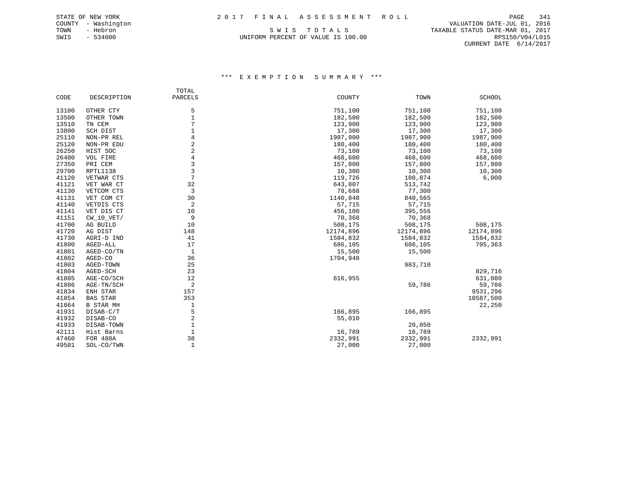UNIFORM PERCENT OF VALUE IS 100.00 RPS150/V04/L015

 COUNTY - Washington VALUATION DATE-JUL 01, 2016 TOWN - Hebron S W I S T O T A L S TAXABLE STATUS DATE-MAR 01, 2017 CURRENT DATE 6/14/2017

|       |                  | TOTAL          |           |           |               |
|-------|------------------|----------------|-----------|-----------|---------------|
| CODE  | DESCRIPTION      | PARCELS        | COUNTY    | TOWN      | <b>SCHOOL</b> |
| 13100 | OTHER CTY        | 5              | 751,100   | 751,100   | 751,100       |
| 13500 | OTHER TOWN       | $\mathbf 1$    | 182,500   | 182,500   | 182,500       |
| 13510 | TN CEM           | 7              | 123,900   | 123,900   | 123,900       |
| 13800 | SCH DIST         |                | 17,300    | 17,300    | 17,300        |
| 25110 | NON-PR REL       | 4              | 1987,900  | 1987,900  | 1987,900      |
| 25120 | NON-PR EDU       | 2              | 180,400   | 180,400   | 180,400       |
| 26250 | HIST SOC         | $\overline{a}$ | 73,100    | 73,100    | 73,100        |
| 26400 | VOL FIRE         | $\overline{4}$ | 468,600   | 468,600   | 468,600       |
| 27350 | PRI CEM          | 3              | 157,800   | 157,800   | 157,800       |
| 29700 | RPTL1138         | 3              | 10,300    | 10,300    | 10,300        |
| 41120 | VETWAR CTS       | 7              | 119,726   | 108,874   | 6,000         |
| 41121 | VET WAR CT       | 32             | 643,807   | 513,742   |               |
| 41130 | VETCOM CTS       | 3              | 78,688    | 77,300    |               |
| 41131 | VET COM CT       | 30             | 1140,848  | 840,565   |               |
| 41140 | VETDIS CTS       | 2              | 57,715    | 57,715    |               |
| 41141 | VET DIS CT       | 10             | 456,100   | 395,556   |               |
| 41151 | CW 10 VET/       | 9              | 70,368    | 70,368    |               |
| 41700 | AG BUILD         | 10             | 508,175   | 508,175   | 508,175       |
| 41720 | AG DIST          | 148            | 12174,896 | 12174,896 | 12174,896     |
| 41730 | AGRI-D IND       | 41             | 1584,832  | 1584,832  | 1584,832      |
| 41800 | AGED-ALL         | 17             | 686,105   | 686,105   | 705,363       |
| 41801 | AGED-CO/TN       | $\mathbf{1}$   | 15,500    | 15,500    |               |
| 41802 | AGED-CO          | 36             | 1704,948  |           |               |
| 41803 | AGED-TOWN        | 25             |           | 983,710   |               |
| 41804 | AGED-SCH         | 23             |           |           | 829,716       |
| 41805 | AGE-CO/SCH       | 12             | 616,955   |           | 631,080       |
| 41806 | AGE-TN/SCH       | 2              |           | 59,786    | 59,786        |
| 41834 | ENH STAR         | 157            |           |           | 9531,296      |
| 41854 | <b>BAS STAR</b>  | 353            |           |           | 10587,500     |
| 41864 | <b>B STAR MH</b> | 1              |           |           | 22,250        |
| 41931 | DISAB-C/T        | 5              | 166,895   | 166,895   |               |
| 41932 | DISAB-CO         | $\overline{2}$ | 55,010    |           |               |
| 41933 | DISAB-TOWN       | $\mathbf 1$    |           | 20,050    |               |
| 42111 | Hist Barns       | 1              | 16,789    | 16,789    |               |
| 47460 | FOR 480A         | 38             | 2332,991  | 2332,991  | 2332,991      |
| 49501 | SOL-CO/TWN       | $\mathbf{1}$   | 27,000    | 27,000    |               |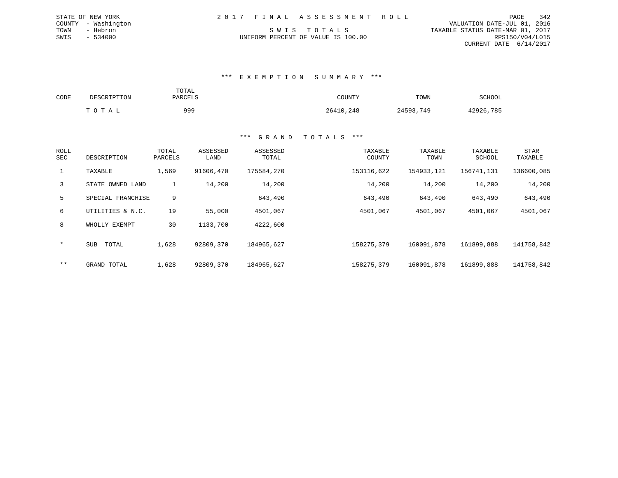| 2017 FINAL ASSESSMENT ROLL         |                                  | PAGE                        | 342 |
|------------------------------------|----------------------------------|-----------------------------|-----|
|                                    |                                  | VALUATION DATE-JUL 01, 2016 |     |
| SWIS TOTALS                        | TAXABLE STATUS DATE-MAR 01, 2017 |                             |     |
| UNIFORM PERCENT OF VALUE IS 100.00 |                                  | RPS150/V04/L015             |     |
|                                    |                                  | CURRENT DATE 6/14/2017      |     |
|                                    |                                  |                             |     |

| CODE | DESCRIPTION | TOTAL<br>PARCELS | COUNTY    | TOWN      | SCHOOL    |  |
|------|-------------|------------------|-----------|-----------|-----------|--|
|      | TOTAL       | 999              | 26410,248 | 24593,749 | 42926,785 |  |

STATE OF NEW YORK COUNTY - Washington TOWN - Hebron  $SWIS$  - 534000

| ROLL<br>SEC    | DESCRIPTION       | TOTAL<br>PARCELS | ASSESSED<br>LAND | ASSESSED<br>TOTAL | TAXABLE<br>COUNTY | TAXABLE<br>TOWN | TAXABLE<br>SCHOOL | <b>STAR</b><br>TAXABLE |
|----------------|-------------------|------------------|------------------|-------------------|-------------------|-----------------|-------------------|------------------------|
| $\mathbf{1}$   | TAXABLE           | 1,569            | 91606,470        | 175584,270        | 153116,622        | 154933,121      | 156741,131        | 136600,085             |
| $\overline{3}$ | STATE OWNED LAND  | 1                | 14,200           | 14,200            | 14,200            | 14,200          | 14,200            | 14,200                 |
| 5              | SPECIAL FRANCHISE | 9                |                  | 643,490           | 643,490           | 643,490         | 643,490           | 643,490                |
| 6              | UTILITIES & N.C.  | 19               | 55,000           | 4501,067          | 4501,067          | 4501,067        | 4501,067          | 4501,067               |
| 8              | WHOLLY EXEMPT     | 30               | 1133,700         | 4222,600          |                   |                 |                   |                        |
| $\star$        | TOTAL<br>SUB      | 1,628            | 92809,370        | 184965,627        | 158275,379        | 160091,878      | 161899,888        | 141758,842             |
| $***$          | GRAND TOTAL       | 1,628            | 92809,370        | 184965,627        | 158275,379        | 160091,878      | 161899,888        | 141758,842             |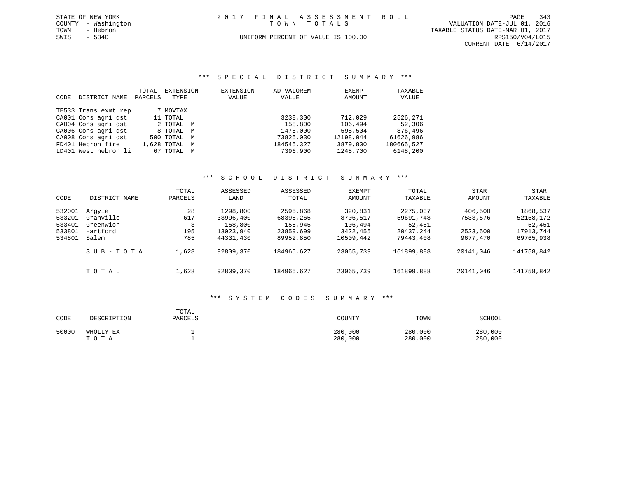| STATE OF NEW YORK   | 2017 FINAL ASSESSMENT ROLL         | 343<br>PAGE                      |
|---------------------|------------------------------------|----------------------------------|
| COUNTY - Washington | TOWN TOTALS                        | VALUATION DATE-JUL 01, 2016      |
| TOWN<br>- Hebron    |                                    | TAXABLE STATUS DATE-MAR 01, 2017 |
| SWIS - 5340         | UNIFORM PERCENT OF VALUE IS 100.00 | RPS150/V04/L015                  |
|                     |                                    | CURRENT DATE 6/14/2017           |

\*\*\* S P E C I A L D I S T R I C T S U M M A R Y \*\*\*

| CODE | DISTRICT NAME        | TOTAL<br>PARCELS | EXTENSION<br>TYPE |   | EXTENSION<br>VALUE | AD VALOREM<br>VALUE | EXEMPT<br>AMOUNT | TAXABLE<br>VALUE |
|------|----------------------|------------------|-------------------|---|--------------------|---------------------|------------------|------------------|
|      | TE533 Trans exmt rep |                  | 7 MOVTAX          |   |                    |                     |                  |                  |
|      | CA001 Cons agri dst  |                  | 11 TOTAL          |   |                    | 3238,300            | 712,029          | 2526,271         |
|      | CA004 Cons agri dst  |                  | 2 TOTAL M         |   |                    | 158,800             | 106,494          | 52,306           |
|      | CA006 Cons agri dst  |                  | 8 TOTAL M         |   |                    | 1475,000            | 598,504          | 876,496          |
|      | CA008 Cons agri dst  |                  | 500 TOTAL         | M |                    | 73825,030           | 12198,044        | 61626,986        |
|      | FD401 Hebron fire    |                  | 1,628 TOTAL       | M |                    | 184545,327          | 3879,800         | 180665,527       |
|      | LD401 West hebron li | 67               | TOTAL             | M |                    | 7396,900            | 1248,700         | 6148,200         |

## \*\*\* S C H O O L D I S T R I C T S U M M A R Y \*\*\*

| CODE                                           | DISTRICT NAME                                         | TOTAL<br>PARCELS        | ASSESSED<br>LAND                                           | ASSESSED<br>TOTAL                                          | EXEMPT<br>AMOUNT                                        | TOTAL<br>TAXABLE                                          | STAR<br>AMOUNT                              | STAR<br>TAXABLE                                           |
|------------------------------------------------|-------------------------------------------------------|-------------------------|------------------------------------------------------------|------------------------------------------------------------|---------------------------------------------------------|-----------------------------------------------------------|---------------------------------------------|-----------------------------------------------------------|
| 532001<br>533201<br>533401<br>533801<br>534801 | Arqyle<br>Granville<br>Greenwich<br>Hartford<br>Salem | 28<br>617<br>195<br>785 | 1298,800<br>33996,400<br>158,800<br>13023,940<br>44331,430 | 2595,868<br>68398,265<br>158,945<br>23859,699<br>89952,850 | 320,831<br>8706,517<br>106,494<br>3422,455<br>10509,442 | 2275,037<br>59691,748<br>52,451<br>20437,244<br>79443,408 | 406,500<br>7533,576<br>2523,500<br>9677,470 | 1868,537<br>52158,172<br>52,451<br>17913,744<br>69765,938 |
|                                                | SUB-TOTAL                                             | 1,628                   | 92809,370                                                  | 184965,627                                                 | 23065,739                                               | 161899,888                                                | 20141,046                                   | 141758,842                                                |
|                                                | тотаь                                                 | 1,628                   | 92809,370                                                  | 184965,627                                                 | 23065,739                                               | 161899,888                                                | 20141,046                                   | 141758,842                                                |

### \*\*\* S Y S T E M C O D E S S U M M A R Y \*\*\*

| CODE  | DESCRIPTION        | TOTAL<br>PARCELS | COUNTY             | TOWN               | SCHOOL             |
|-------|--------------------|------------------|--------------------|--------------------|--------------------|
| 50000 | WHOLLY EX<br>TOTAL |                  | 280,000<br>280,000 | 280,000<br>280,000 | 280,000<br>280,000 |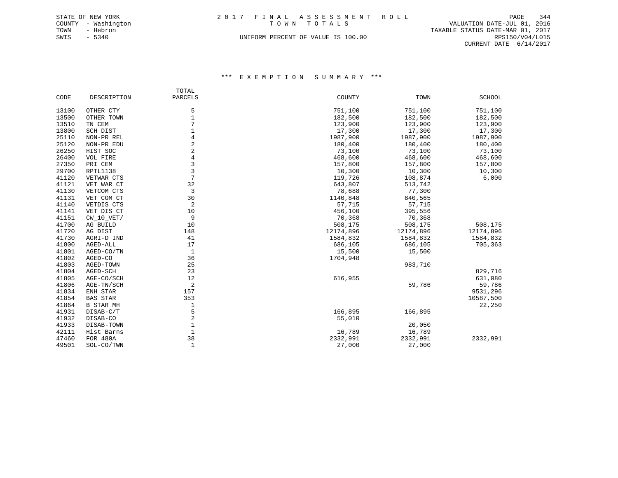| TOTAL                                          |                        |
|------------------------------------------------|------------------------|
| PARCELS<br>CODE<br>DESCRIPTION<br>COUNTY       | TOWN<br>SCHOOL         |
|                                                |                        |
| 5<br>751,100<br>13100<br>OTHER CTY             | 751,100<br>751,100     |
| $\mathbf{1}$<br>182,500<br>13500<br>OTHER TOWN | 182,500<br>182,500     |
| 7<br>13510<br>123,900<br>TN CEM                | 123,900<br>123,900     |
| $\mathbf{1}$<br>17,300<br>13800<br>SCH DIST    | 17,300<br>17,300       |
| 4<br>25110<br>1987,900<br>NON-PR REL           | 1987,900<br>1987,900   |
| 2<br>25120<br>180,400<br>NON-PR EDU            | 180,400<br>180,400     |
| $\overline{2}$<br>26250<br>HIST SOC<br>73,100  | 73,100<br>73,100       |
| $\overline{4}$<br>26400<br>VOL FIRE<br>468,600 | 468,600<br>468,600     |
| 3<br>27350<br>PRI CEM<br>157,800               | 157,800<br>157,800     |
| $\overline{3}$<br>29700<br>RPTL1138<br>10,300  | 10,300<br>10,300       |
| 7<br>41120<br>119,726<br>VETWAR CTS            | 6,000<br>108,874       |
| 32<br>41121<br>643,807<br>VET WAR CT           | 513,742                |
| 3<br>41130<br>VETCOM CTS<br>78,688             | 77,300                 |
| 30<br>41131<br>1140,848<br>VET COM CT          | 840,565                |
| 2<br>41140<br>VETDIS CTS<br>57,715             | 57,715                 |
| 41141<br>10<br>456,100<br>VET DIS CT           | 395,556                |
| 9<br>41151<br>$CW_10_VET/$<br>70,368           | 70,368                 |
| 41700<br>10<br>508,175<br>AG BUILD             | 508,175<br>508,175     |
| 41720<br>148<br>12174,896<br>AG DIST           | 12174,896<br>12174,896 |
| 41730<br>41<br>1584,832<br>AGRI-D IND          | 1584,832<br>1584,832   |
| 41800<br>17<br>AGED-ALL<br>686,105             | 686,105<br>705,363     |
| $\mathbf{1}$<br>41801<br>AGED-CO/TN<br>15,500  | 15,500                 |
| 41802<br>36<br>1704,948<br>AGED-CO             |                        |
| 41803<br>25<br>AGED-TOWN                       | 983,710                |
| 23<br>41804<br>AGED-SCH                        | 829,716                |
| 616,955<br>41805<br>12<br>AGE-CO/SCH           | 631,080                |
| 2<br>41806<br>AGE-TN/SCH                       | 59,786<br>59,786       |
| 41834<br>ENH STAR<br>157                       | 9531,296               |
| 41854<br><b>BAS STAR</b><br>353                | 10587,500              |
| 41864<br><b>B STAR MH</b><br>1                 | 22,250                 |
| 5<br>41931<br>166,895<br>DISAB-C/T             | 166,895                |
| $\overline{c}$<br>41932<br>55,010<br>DISAB-CO  |                        |
| $\mathbf 1$<br>41933<br>DISAB-TOWN             | 20,050                 |
| $\mathbf{1}$<br>42111<br>16,789<br>Hist Barns  | 16,789                 |
| 38<br>47460<br>2332,991<br><b>FOR 480A</b>     | 2332,991<br>2332,991   |
| $\mathbf{1}$<br>49501<br>27,000<br>SOL-CO/TWN  | 27,000                 |